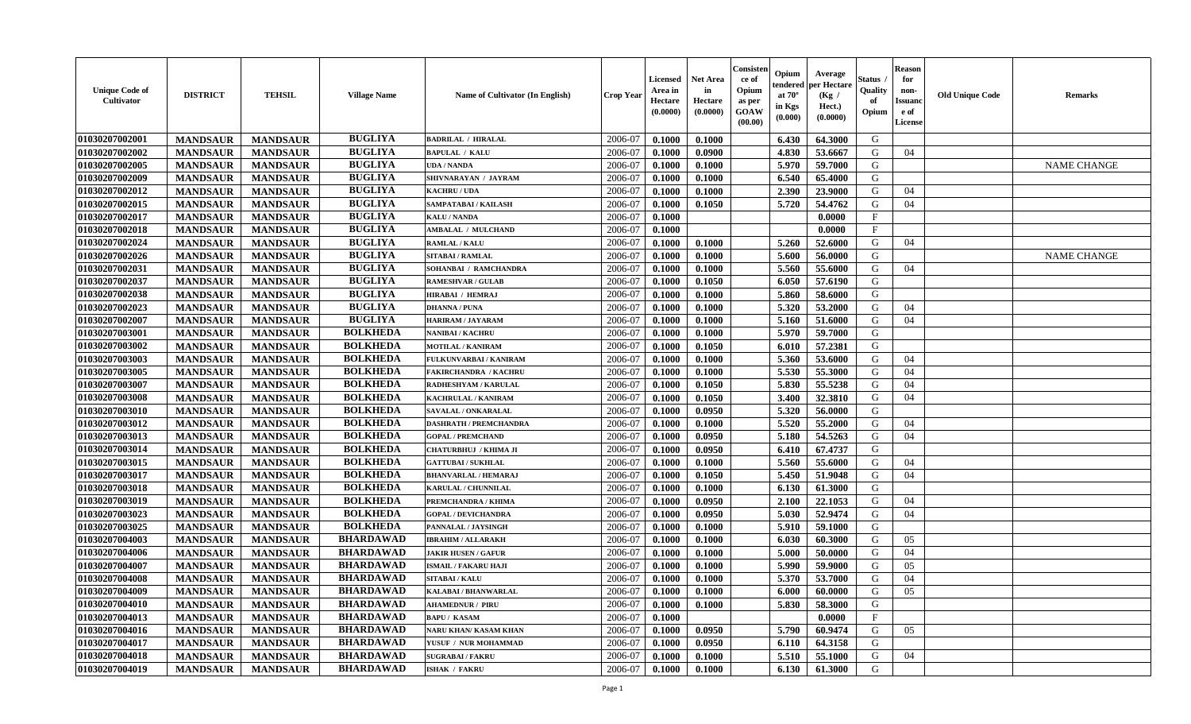| <b>Unique Code of</b><br><b>Cultivator</b> | <b>DISTRICT</b> | <b>TEHSIL</b>   | <b>Village Name</b> | Name of Cultivator (In English) | <b>Crop Year</b> | <b>Licensed</b><br>Area in<br>Hectare<br>(0.0000) | <b>Net Area</b><br>in<br>Hectare<br>(0.0000) | Consister<br>ce of<br>Opium<br>as per<br><b>GOAW</b><br>(00.00) | Opium<br>endered<br>at $70^\circ$<br>in Kgs<br>(0.000) | Average<br>per Hectare<br>(Kg /<br>Hect.)<br>(0.0000) | Status<br>Quality<br>of<br>Opium | <b>Reason</b><br>for<br>non-<br><b>Issuand</b><br>e of<br><b>License</b> | <b>Old Unique Code</b> | <b>Remarks</b>     |
|--------------------------------------------|-----------------|-----------------|---------------------|---------------------------------|------------------|---------------------------------------------------|----------------------------------------------|-----------------------------------------------------------------|--------------------------------------------------------|-------------------------------------------------------|----------------------------------|--------------------------------------------------------------------------|------------------------|--------------------|
| 01030207002001                             | <b>MANDSAUR</b> | <b>MANDSAUR</b> | <b>BUGLIYA</b>      | <b>BADRILAL / HIRALAL</b>       | 2006-07          | 0.1000                                            | 0.1000                                       |                                                                 | 6.430                                                  | 64.3000                                               | G                                |                                                                          |                        |                    |
| 01030207002002                             | <b>MANDSAUR</b> | <b>MANDSAUR</b> | <b>BUGLIYA</b>      | <b>BAPULAL / KALU</b>           | 2006-07          | 0.1000                                            | 0.0900                                       |                                                                 | 4.830                                                  | 53.6667                                               | G                                | 04                                                                       |                        |                    |
| 01030207002005                             | <b>MANDSAUR</b> | <b>MANDSAUR</b> | <b>BUGLIYA</b>      | <b>UDA / NANDA</b>              | 2006-07          | 0.1000                                            | 0.1000                                       |                                                                 | 5.970                                                  | 59.7000                                               | G                                |                                                                          |                        | <b>NAME CHANGE</b> |
| 01030207002009                             | <b>MANDSAUR</b> | <b>MANDSAUR</b> | <b>BUGLIYA</b>      | SHIVNARAYAN / JAYRAM            | 2006-07          | 0.1000                                            | 0.1000                                       |                                                                 | 6.540                                                  | 65.4000                                               | G                                |                                                                          |                        |                    |
| 01030207002012                             | <b>MANDSAUR</b> | <b>MANDSAUR</b> | <b>BUGLIYA</b>      | <b>KACHRU / UDA</b>             | 2006-07          | 0.1000                                            | 0.1000                                       |                                                                 | 2.390                                                  | 23.9000                                               | G                                | 04                                                                       |                        |                    |
| 01030207002015                             | <b>MANDSAUR</b> | <b>MANDSAUR</b> | <b>BUGLIYA</b>      | SAMPATABAI / KAILASH            | 2006-07          | 0.1000                                            | 0.1050                                       |                                                                 | 5.720                                                  | 54.4762                                               | G                                | 04                                                                       |                        |                    |
| 01030207002017                             | <b>MANDSAUR</b> | <b>MANDSAUR</b> | <b>BUGLIYA</b>      | <b>KALU / NANDA</b>             | 2006-07          | 0.1000                                            |                                              |                                                                 |                                                        | 0.0000                                                | F                                |                                                                          |                        |                    |
| 01030207002018                             | <b>MANDSAUR</b> | <b>MANDSAUR</b> | <b>BUGLIYA</b>      | <b>AMBALAL / MULCHAND</b>       | 2006-07          | 0.1000                                            |                                              |                                                                 |                                                        | 0.0000                                                | $_{\rm F}$                       |                                                                          |                        |                    |
| 01030207002024                             | <b>MANDSAUR</b> | <b>MANDSAUR</b> | <b>BUGLIYA</b>      | <b>RAMLAL / KALU</b>            | 2006-07          | 0.1000                                            | 0.1000                                       |                                                                 | 5.260                                                  | 52.6000                                               | G                                | 04                                                                       |                        |                    |
| 01030207002026                             | <b>MANDSAUR</b> | <b>MANDSAUR</b> | <b>BUGLIYA</b>      | SITABAI / RAMLAL                | 2006-07          | 0.1000                                            | 0.1000                                       |                                                                 | 5.600                                                  | 56.0000                                               | G                                |                                                                          |                        | <b>NAME CHANGE</b> |
| 01030207002031                             | <b>MANDSAUR</b> | <b>MANDSAUR</b> | <b>BUGLIYA</b>      | SOHANBAI / RAMCHANDRA           | 2006-07          | 0.1000                                            | 0.1000                                       |                                                                 | 5.560                                                  | 55.6000                                               | G                                | 04                                                                       |                        |                    |
| 01030207002037                             | <b>MANDSAUR</b> | <b>MANDSAUR</b> | <b>BUGLIYA</b>      | <b>RAMESHVAR / GULAB</b>        | 2006-07          | 0.1000                                            | 0.1050                                       |                                                                 | 6.050                                                  | 57.6190                                               | G                                |                                                                          |                        |                    |
| 01030207002038                             | <b>MANDSAUR</b> | <b>MANDSAUR</b> | <b>BUGLIYA</b>      | <b>HIRABAI / HEMRAJ</b>         | 2006-07          | 0.1000                                            | 0.1000                                       |                                                                 | 5.860                                                  | 58.6000                                               | G                                |                                                                          |                        |                    |
| 01030207002023                             | <b>MANDSAUR</b> | <b>MANDSAUR</b> | <b>BUGLIYA</b>      | <b>DHANNA / PUNA</b>            | 2006-07          | 0.1000                                            | 0.1000                                       |                                                                 | 5.320                                                  | 53,2000                                               | G                                | 04                                                                       |                        |                    |
| 01030207002007                             | <b>MANDSAUR</b> | <b>MANDSAUR</b> | <b>BUGLIYA</b>      | HARIRAM / JAYARAM               | 2006-07          | 0.1000                                            | 0.1000                                       |                                                                 | 5.160                                                  | 51.6000                                               | G                                | 04                                                                       |                        |                    |
| 01030207003001                             | <b>MANDSAUR</b> | <b>MANDSAUR</b> | <b>BOLKHEDA</b>     | <b>NANIBAI / KACHRU</b>         | 2006-07          | 0.1000                                            | 0.1000                                       |                                                                 | 5.970                                                  | 59.7000                                               | G                                |                                                                          |                        |                    |
| 01030207003002                             | <b>MANDSAUR</b> | <b>MANDSAUR</b> | <b>BOLKHEDA</b>     | <b>MOTILAL / KANIRAM</b>        | 2006-07          | 0.1000                                            | 0.1050                                       |                                                                 | 6.010                                                  | 57.2381                                               | G                                |                                                                          |                        |                    |
| 01030207003003                             | <b>MANDSAUR</b> | <b>MANDSAUR</b> | <b>BOLKHEDA</b>     | FULKUNVARBAI / KANIRAM          | 2006-07          | 0.1000                                            | 0.1000                                       |                                                                 | 5.360                                                  | 53.6000                                               | G                                | 04                                                                       |                        |                    |
| 01030207003005                             | <b>MANDSAUR</b> | <b>MANDSAUR</b> | <b>BOLKHEDA</b>     | <b>FAKIRCHANDRA / KACHRU</b>    | 2006-07          | 0.1000                                            | 0.1000                                       |                                                                 | 5.530                                                  | 55.3000                                               | G                                | 04                                                                       |                        |                    |
| 01030207003007                             | <b>MANDSAUR</b> | <b>MANDSAUR</b> | <b>BOLKHEDA</b>     | RADHESHYAM / KARULAL            | 2006-07          | 0.1000                                            | 0.1050                                       |                                                                 | 5.830                                                  | 55.5238                                               | G                                | 04                                                                       |                        |                    |
| 01030207003008                             | <b>MANDSAUR</b> | <b>MANDSAUR</b> | <b>BOLKHEDA</b>     | <b>KACHRULAL / KANIRAM</b>      | 2006-07          | 0.1000                                            | 0.1050                                       |                                                                 | 3.400                                                  | 32.3810                                               | G                                | 04                                                                       |                        |                    |
| 01030207003010                             | <b>MANDSAUR</b> | <b>MANDSAUR</b> | <b>BOLKHEDA</b>     | <b>SAVALAL / ONKARALAL</b>      | 2006-07          | 0.1000                                            | 0.0950                                       |                                                                 | 5.320                                                  | 56.0000                                               | G                                |                                                                          |                        |                    |
| 01030207003012                             | <b>MANDSAUR</b> | <b>MANDSAUR</b> | <b>BOLKHEDA</b>     | <b>DASHRATH / PREMCHANDRA</b>   | 2006-07          | 0.1000                                            | 0.1000                                       |                                                                 | 5.520                                                  | 55.2000                                               | G                                | 04                                                                       |                        |                    |
| 01030207003013                             | <b>MANDSAUR</b> | <b>MANDSAUR</b> | <b>BOLKHEDA</b>     | <b>GOPAL / PREMCHAND</b>        | 2006-07          | 0.1000                                            | 0.0950                                       |                                                                 | 5.180                                                  | 54.5263                                               | G                                | 04                                                                       |                        |                    |
| 01030207003014                             | <b>MANDSAUR</b> | <b>MANDSAUR</b> | <b>BOLKHEDA</b>     | CHATURBHUJ / KHIMA JI           | 2006-07          | 0.1000                                            | 0.0950                                       |                                                                 | 6.410                                                  | 67.4737                                               | G                                |                                                                          |                        |                    |
| 01030207003015                             | <b>MANDSAUR</b> | <b>MANDSAUR</b> | <b>BOLKHEDA</b>     | <b>GATTUBAI/SUKHLAL</b>         | 2006-07          | 0.1000                                            | 0.1000                                       |                                                                 | 5.560                                                  | 55.6000                                               | G                                | 04                                                                       |                        |                    |
| 01030207003017                             | <b>MANDSAUR</b> | <b>MANDSAUR</b> | <b>BOLKHEDA</b>     | <b>BHANVARLAL / HEMARAJ</b>     | 2006-07          | 0.1000                                            | 0.1050                                       |                                                                 | 5.450                                                  | 51.9048                                               | G                                | 04                                                                       |                        |                    |
| 01030207003018                             | <b>MANDSAUR</b> | <b>MANDSAUR</b> | <b>BOLKHEDA</b>     | KARULAL / CHUNNILAL             | 2006-07          | 0.1000                                            | 0.1000                                       |                                                                 | 6.130                                                  | 61.3000                                               | G                                |                                                                          |                        |                    |
| 01030207003019                             | <b>MANDSAUR</b> | <b>MANDSAUR</b> | <b>BOLKHEDA</b>     | PREMCHANDRA / KHIMA             | 2006-07          | 0.1000                                            | 0.0950                                       |                                                                 | 2.100                                                  | 22.1053                                               | G                                | 04                                                                       |                        |                    |
| 01030207003023                             | <b>MANDSAUR</b> | <b>MANDSAUR</b> | <b>BOLKHEDA</b>     | <b>GOPAL / DEVICHANDRA</b>      | 2006-07          | 0.1000                                            | 0.0950                                       |                                                                 | 5.030                                                  | 52.9474                                               | G                                | 04                                                                       |                        |                    |
| 01030207003025                             | <b>MANDSAUR</b> | <b>MANDSAUR</b> | <b>BOLKHEDA</b>     | PANNALAL / JAYSINGH             | 2006-07          | 0.1000                                            | 0.1000                                       |                                                                 | 5.910                                                  | 59.1000                                               | G                                |                                                                          |                        |                    |
| 01030207004003                             | <b>MANDSAUR</b> | <b>MANDSAUR</b> | <b>BHARDAWAD</b>    | <b>IBRAHIM / ALLARAKH</b>       | 2006-07          | 0.1000                                            | 0.1000                                       |                                                                 | 6.030                                                  | 60.3000                                               | G                                | 05                                                                       |                        |                    |
| 01030207004006                             | <b>MANDSAUR</b> | <b>MANDSAUR</b> | <b>BHARDAWAD</b>    | <b>JAKIR HUSEN / GAFUR</b>      | 2006-07          | 0.1000                                            | 0.1000                                       |                                                                 | 5.000                                                  | 50.0000                                               | G                                | 04                                                                       |                        |                    |
| 01030207004007                             | <b>MANDSAUR</b> | <b>MANDSAUR</b> | <b>BHARDAWAD</b>    | <b>ISMAIL / FAKARU HAJI</b>     | 2006-07          | 0.1000                                            | 0.1000                                       |                                                                 | 5.990                                                  | 59.9000                                               | G                                | 05                                                                       |                        |                    |
| 01030207004008                             | <b>MANDSAUR</b> | <b>MANDSAUR</b> | <b>BHARDAWAD</b>    | <b>SITABAI/KALU</b>             | 2006-07          | 0.1000                                            | 0.1000                                       |                                                                 | 5.370                                                  | 53.7000                                               | G                                | 04                                                                       |                        |                    |
| 01030207004009                             | <b>MANDSAUR</b> | <b>MANDSAUR</b> | <b>BHARDAWAD</b>    | <b>KALABAI/BHANWARLAL</b>       | 2006-07          | 0.1000                                            | 0.1000                                       |                                                                 | 6.000                                                  | 60.0000                                               | G                                | 05                                                                       |                        |                    |
| 01030207004010                             | <b>MANDSAUR</b> | <b>MANDSAUR</b> | <b>BHARDAWAD</b>    | <b>AHAMEDNUR / PIRU</b>         | 2006-07          | 0.1000                                            | 0.1000                                       |                                                                 | 5.830                                                  | 58.3000                                               | G                                |                                                                          |                        |                    |
| 01030207004013                             | <b>MANDSAUR</b> | <b>MANDSAUR</b> | <b>BHARDAWAD</b>    | <b>BAPU / KASAM</b>             | 2006-07          | 0.1000                                            |                                              |                                                                 |                                                        | 0.0000                                                | $\mathbf{F}$                     |                                                                          |                        |                    |
| 01030207004016                             | <b>MANDSAUR</b> | <b>MANDSAUR</b> | <b>BHARDAWAD</b>    | NARU KHAN/ KASAM KHAN           | 2006-07          | 0.1000                                            | 0.0950                                       |                                                                 | 5.790                                                  | 60.9474                                               | G                                | 05                                                                       |                        |                    |
| 01030207004017                             | <b>MANDSAUR</b> | <b>MANDSAUR</b> | <b>BHARDAWAD</b>    | YUSUF / NUR MOHAMMAD            | 2006-07          | 0.1000                                            | 0.0950                                       |                                                                 | 6.110                                                  | 64.3158                                               | G                                |                                                                          |                        |                    |
| 01030207004018                             | <b>MANDSAUR</b> | <b>MANDSAUR</b> | <b>BHARDAWAD</b>    | <b>SUGRABAI/FAKRU</b>           | 2006-07          | 0.1000                                            | 0.1000                                       |                                                                 | 5.510                                                  | 55.1000                                               | G                                | 04                                                                       |                        |                    |
| 01030207004019                             | <b>MANDSAUR</b> | <b>MANDSAUR</b> | <b>BHARDAWAD</b>    | <b>ISHAK / FAKRU</b>            | 2006-07          | 0.1000                                            | 0.1000                                       |                                                                 | 6.130                                                  | 61.3000                                               | G                                |                                                                          |                        |                    |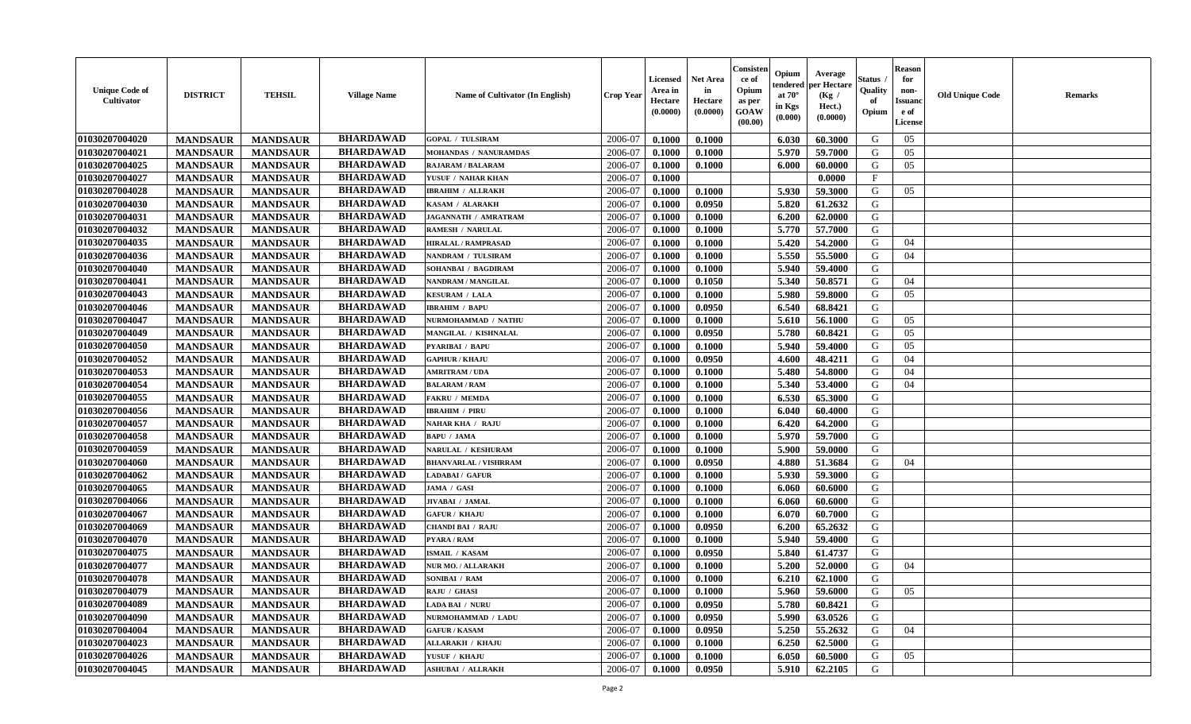| <b>Unique Code of</b><br><b>Cultivator</b> | <b>DISTRICT</b> | <b>TEHSIL</b>   | <b>Village Name</b> | <b>Name of Cultivator (In English)</b> | <b>Crop Year</b> | <b>Licensed</b><br>Area in<br>Hectare<br>(0.0000) | <b>Net Area</b><br>in<br>Hectare<br>(0.0000) | Consisteı<br>ce of<br>Opium<br>as per<br><b>GOAW</b><br>(00.00) | Opium<br>endered<br>at $70^\circ$<br>in Kgs<br>$(\mathbf{0.000})$ | Average<br>per Hectare<br>(Kg /<br>Hect.)<br>(0.0000) | Status<br>Quality<br>of<br>Opium | Reason<br>for<br>non-<br>Issuan<br>e of<br>License | <b>Old Unique Code</b> | <b>Remarks</b> |
|--------------------------------------------|-----------------|-----------------|---------------------|----------------------------------------|------------------|---------------------------------------------------|----------------------------------------------|-----------------------------------------------------------------|-------------------------------------------------------------------|-------------------------------------------------------|----------------------------------|----------------------------------------------------|------------------------|----------------|
| 01030207004020                             | <b>MANDSAUR</b> | <b>MANDSAUR</b> | <b>BHARDAWAD</b>    | <b>GOPAL / TULSIRAM</b>                | 2006-07          | 0.1000                                            | 0.1000                                       |                                                                 | 6.030                                                             | 60.3000                                               | G                                | 05                                                 |                        |                |
| 01030207004021                             | <b>MANDSAUR</b> | <b>MANDSAUR</b> | <b>BHARDAWAD</b>    | MOHANDAS / NANURAMDAS                  | 2006-07          | 0.1000                                            | 0.1000                                       |                                                                 | 5.970                                                             | 59.7000                                               | G                                | 05                                                 |                        |                |
| 01030207004025                             | <b>MANDSAUR</b> | <b>MANDSAUR</b> | <b>BHARDAWAD</b>    | <b>RAJARAM / BALARAM</b>               | 2006-07          | 0.1000                                            | 0.1000                                       |                                                                 | 6.000                                                             | 60.0000                                               | G                                | 05                                                 |                        |                |
| 01030207004027                             | <b>MANDSAUR</b> | <b>MANDSAUR</b> | <b>BHARDAWAD</b>    | YUSUF / NAHAR KHAN                     | 2006-07          | 0.1000                                            |                                              |                                                                 |                                                                   | 0.0000                                                | $\mathbf{F}$                     |                                                    |                        |                |
| 01030207004028                             | <b>MANDSAUR</b> | <b>MANDSAUR</b> | <b>BHARDAWAD</b>    | <b>IBRAHIM / ALLRAKH</b>               | 2006-07          | 0.1000                                            | 0.1000                                       |                                                                 | 5.930                                                             | 59.3000                                               | G                                | 05                                                 |                        |                |
| 01030207004030                             | <b>MANDSAUR</b> | <b>MANDSAUR</b> | <b>BHARDAWAD</b>    | KASAM / ALARAKH                        | 2006-07          | 0.1000                                            | 0.0950                                       |                                                                 | 5.820                                                             | 61.2632                                               | G                                |                                                    |                        |                |
| 01030207004031                             | <b>MANDSAUR</b> | <b>MANDSAUR</b> | <b>BHARDAWAD</b>    | JAGANNATH / AMRATRAM                   | 2006-07          | 0.1000                                            | 0.1000                                       |                                                                 | 6.200                                                             | 62.0000                                               | G                                |                                                    |                        |                |
| 01030207004032                             | <b>MANDSAUR</b> | <b>MANDSAUR</b> | <b>BHARDAWAD</b>    | <b>RAMESH / NARULAL</b>                | 2006-07          | 0.1000                                            | 0.1000                                       |                                                                 | 5.770                                                             | 57.7000                                               | G                                |                                                    |                        |                |
| 01030207004035                             | <b>MANDSAUR</b> | <b>MANDSAUR</b> | <b>BHARDAWAD</b>    | <b>HIRALAL / RAMPRASAD</b>             | 2006-07          | 0.1000                                            | 0.1000                                       |                                                                 | 5.420                                                             | 54.2000                                               | G                                | 04                                                 |                        |                |
| 01030207004036                             | <b>MANDSAUR</b> | <b>MANDSAUR</b> | <b>BHARDAWAD</b>    | NANDRAM / TULSIRAM                     | 2006-07          | 0.1000                                            | 0.1000                                       |                                                                 | 5.550                                                             | 55.5000                                               | G                                | 04                                                 |                        |                |
| 01030207004040                             | <b>MANDSAUR</b> | <b>MANDSAUR</b> | <b>BHARDAWAD</b>    | SOHANBAI / BAGDIRAM                    | 2006-07          | 0.1000                                            | 0.1000                                       |                                                                 | 5.940                                                             | 59.4000                                               | G                                |                                                    |                        |                |
| 01030207004041                             | <b>MANDSAUR</b> | <b>MANDSAUR</b> | <b>BHARDAWAD</b>    | <b>NANDRAM / MANGILAL</b>              | 2006-07          | 0.1000                                            | 0.1050                                       |                                                                 | 5.340                                                             | 50.8571                                               | G                                | 04                                                 |                        |                |
| 01030207004043                             | <b>MANDSAUR</b> | <b>MANDSAUR</b> | <b>BHARDAWAD</b>    | <b>KESURAM / LALA</b>                  | 2006-07          | 0.1000                                            | 0.1000                                       |                                                                 | 5.980                                                             | 59.8000                                               | G                                | 05                                                 |                        |                |
| 01030207004046                             | <b>MANDSAUR</b> | <b>MANDSAUR</b> | <b>BHARDAWAD</b>    | <b>IBRAHIM / BAPU</b>                  | 2006-07          | 0.1000                                            | 0.0950                                       |                                                                 | 6.540                                                             | 68.8421                                               | G                                |                                                    |                        |                |
| 01030207004047                             | <b>MANDSAUR</b> | <b>MANDSAUR</b> | <b>BHARDAWAD</b>    | NURMOHAMMAD / NATHU                    | 2006-07          | 0.1000                                            | 0.1000                                       |                                                                 | 5.610                                                             | 56.1000                                               | G                                | 05                                                 |                        |                |
| 01030207004049                             | <b>MANDSAUR</b> | <b>MANDSAUR</b> | <b>BHARDAWAD</b>    | MANGILAL / KISHNALAL                   | 2006-07          | 0.1000                                            | 0.0950                                       |                                                                 | 5.780                                                             | 60.8421                                               | G                                | 05                                                 |                        |                |
| 01030207004050                             | <b>MANDSAUR</b> | <b>MANDSAUR</b> | <b>BHARDAWAD</b>    | <b>PYARIBAI / BAPU</b>                 | 2006-07          | 0.1000                                            | 0.1000                                       |                                                                 | 5.940                                                             | 59.4000                                               | G                                | 05                                                 |                        |                |
| 01030207004052                             | <b>MANDSAUR</b> | <b>MANDSAUR</b> | <b>BHARDAWAD</b>    | <b>GAPHUR / KHAJU</b>                  | 2006-07          | 0.1000                                            | 0.0950                                       |                                                                 | 4.600                                                             | 48.4211                                               | G                                | 04                                                 |                        |                |
| 01030207004053                             | <b>MANDSAUR</b> | <b>MANDSAUR</b> | <b>BHARDAWAD</b>    | <b>AMRITRAM / UDA</b>                  | 2006-07          | 0.1000                                            | 0.1000                                       |                                                                 | 5.480                                                             | 54.8000                                               | G                                | 04                                                 |                        |                |
| 01030207004054                             | <b>MANDSAUR</b> | <b>MANDSAUR</b> | <b>BHARDAWAD</b>    | <b>BALARAM / RAM</b>                   | 2006-07          | 0.1000                                            | 0.1000                                       |                                                                 | 5.340                                                             | 53.4000                                               | G                                | 04                                                 |                        |                |
| 01030207004055                             | <b>MANDSAUR</b> | <b>MANDSAUR</b> | <b>BHARDAWAD</b>    | <b>FAKRU / MEMDA</b>                   | 2006-07          | 0.1000                                            | 0.1000                                       |                                                                 | 6.530                                                             | 65.3000                                               | G                                |                                                    |                        |                |
| 01030207004056                             | <b>MANDSAUR</b> | <b>MANDSAUR</b> | <b>BHARDAWAD</b>    | <b>IBRAHIM / PIRU</b>                  | 2006-07          | 0.1000                                            | 0.1000                                       |                                                                 | 6.040                                                             | 60.4000                                               | G                                |                                                    |                        |                |
| 01030207004057                             | <b>MANDSAUR</b> | <b>MANDSAUR</b> | <b>BHARDAWAD</b>    | <b>NAHAR KHA / RAJU</b>                | 2006-07          | 0.1000                                            | 0.1000                                       |                                                                 | 6.420                                                             | 64.2000                                               | G                                |                                                    |                        |                |
| 01030207004058                             | <b>MANDSAUR</b> | <b>MANDSAUR</b> | <b>BHARDAWAD</b>    | <b>BAPU / JAMA</b>                     | 2006-07          | 0.1000                                            | 0.1000                                       |                                                                 | 5.970                                                             | 59.7000                                               | G                                |                                                    |                        |                |
| 01030207004059                             | <b>MANDSAUR</b> | <b>MANDSAUR</b> | <b>BHARDAWAD</b>    | NARULAL / KESHURAM                     | 2006-07          | 0.1000                                            | 0.1000                                       |                                                                 | 5.900                                                             | 59.0000                                               | G                                |                                                    |                        |                |
| 01030207004060                             | <b>MANDSAUR</b> | <b>MANDSAUR</b> | <b>BHARDAWAD</b>    | <b>BHANVARLAL / VISHRRAM</b>           | 2006-07          | 0.1000                                            | 0.0950                                       |                                                                 | 4.880                                                             | 51.3684                                               | G                                | 04                                                 |                        |                |
| 01030207004062                             | <b>MANDSAUR</b> | <b>MANDSAUR</b> | <b>BHARDAWAD</b>    | LADABAI / GAFUR                        | 2006-07          | 0.1000                                            | 0.1000                                       |                                                                 | 5.930                                                             | 59.3000                                               | G                                |                                                    |                        |                |
| 01030207004065                             | <b>MANDSAUR</b> | <b>MANDSAUR</b> | <b>BHARDAWAD</b>    | JAMA / GASI                            | 2006-07          | 0.1000                                            | 0.1000                                       |                                                                 | 6.060                                                             | 60.6000                                               | G                                |                                                    |                        |                |
| 01030207004066                             | <b>MANDSAUR</b> | <b>MANDSAUR</b> | <b>BHARDAWAD</b>    | JIVABAI / JAMAL                        | 2006-07          | 0.1000                                            | 0.1000                                       |                                                                 | 6.060                                                             | 60.6000                                               | G                                |                                                    |                        |                |
| 01030207004067                             | <b>MANDSAUR</b> | <b>MANDSAUR</b> | <b>BHARDAWAD</b>    | <b>GAFUR / KHAJU</b>                   | 2006-07          | 0.1000                                            | 0.1000                                       |                                                                 | 6.070                                                             | 60.7000                                               | G                                |                                                    |                        |                |
| 01030207004069                             | <b>MANDSAUR</b> | <b>MANDSAUR</b> | <b>BHARDAWAD</b>    | <b>CHANDI BAI / RAJU</b>               | 2006-07          | 0.1000                                            | 0.0950                                       |                                                                 | 6.200                                                             | 65.2632                                               | G                                |                                                    |                        |                |
| 01030207004070                             | <b>MANDSAUR</b> | <b>MANDSAUR</b> | <b>BHARDAWAD</b>    | PYARA / RAM                            | 2006-07          | 0.1000                                            | 0.1000                                       |                                                                 | 5.940                                                             | 59.4000                                               | G                                |                                                    |                        |                |
| 01030207004075                             | <b>MANDSAUR</b> | <b>MANDSAUR</b> | <b>BHARDAWAD</b>    | <b>ISMAIL / KASAM</b>                  | 2006-07          | 0.1000                                            | 0.0950                                       |                                                                 | 5.840                                                             | 61.4737                                               | G                                |                                                    |                        |                |
| 01030207004077                             | <b>MANDSAUR</b> | <b>MANDSAUR</b> | <b>BHARDAWAD</b>    | NUR MO. / ALLARAKH                     | 2006-07          | 0.1000                                            | 0.1000                                       |                                                                 | 5.200                                                             | 52.0000                                               | G                                | 04                                                 |                        |                |
| 01030207004078                             | <b>MANDSAUR</b> | <b>MANDSAUR</b> | <b>BHARDAWAD</b>    | SONIBAI / RAM                          | 2006-07          | 0.1000                                            | 0.1000                                       |                                                                 | 6.210                                                             | 62.1000                                               | G                                |                                                    |                        |                |
| 01030207004079                             | <b>MANDSAUR</b> | MANDSAUR        | <b>BHARDAWAD</b>    | <b>RAJU / GHASI</b>                    | 2006-07          | 0.1000                                            | 0.1000                                       |                                                                 |                                                                   | $5.960$   59.6000                                     | G                                | 05                                                 |                        |                |
| 01030207004089                             | <b>MANDSAUR</b> | <b>MANDSAUR</b> | <b>BHARDAWAD</b>    | <b>LADA BAI / NURU</b>                 | 2006-07          | 0.1000                                            | 0.0950                                       |                                                                 | 5.780                                                             | 60.8421                                               | G                                |                                                    |                        |                |
| 01030207004090                             | <b>MANDSAUR</b> | <b>MANDSAUR</b> | <b>BHARDAWAD</b>    | NURMOHAMMAD / LADU                     | 2006-07          | 0.1000                                            | 0.0950                                       |                                                                 | 5.990                                                             | 63.0526                                               | G                                |                                                    |                        |                |
| 01030207004004                             | <b>MANDSAUR</b> | <b>MANDSAUR</b> | <b>BHARDAWAD</b>    | <b>GAFUR / KASAM</b>                   | 2006-07          | 0.1000                                            | 0.0950                                       |                                                                 | 5.250                                                             | 55.2632                                               | G                                | 04                                                 |                        |                |
| 01030207004023                             | <b>MANDSAUR</b> | <b>MANDSAUR</b> | <b>BHARDAWAD</b>    | <b>ALLARAKH / KHAJU</b>                | 2006-07          | 0.1000                                            | 0.1000                                       |                                                                 | 6.250                                                             | 62.5000                                               | G                                |                                                    |                        |                |
| 01030207004026                             | <b>MANDSAUR</b> | <b>MANDSAUR</b> | <b>BHARDAWAD</b>    | YUSUF / KHAJU                          | 2006-07          | 0.1000                                            | 0.1000                                       |                                                                 | 6.050                                                             | 60.5000                                               | G                                | 05                                                 |                        |                |
| 01030207004045                             | <b>MANDSAUR</b> | <b>MANDSAUR</b> | <b>BHARDAWAD</b>    | <b>ASHUBAI / ALLRAKH</b>               | 2006-07          | 0.1000                                            | 0.0950                                       |                                                                 | 5.910                                                             | 62.2105                                               | G                                |                                                    |                        |                |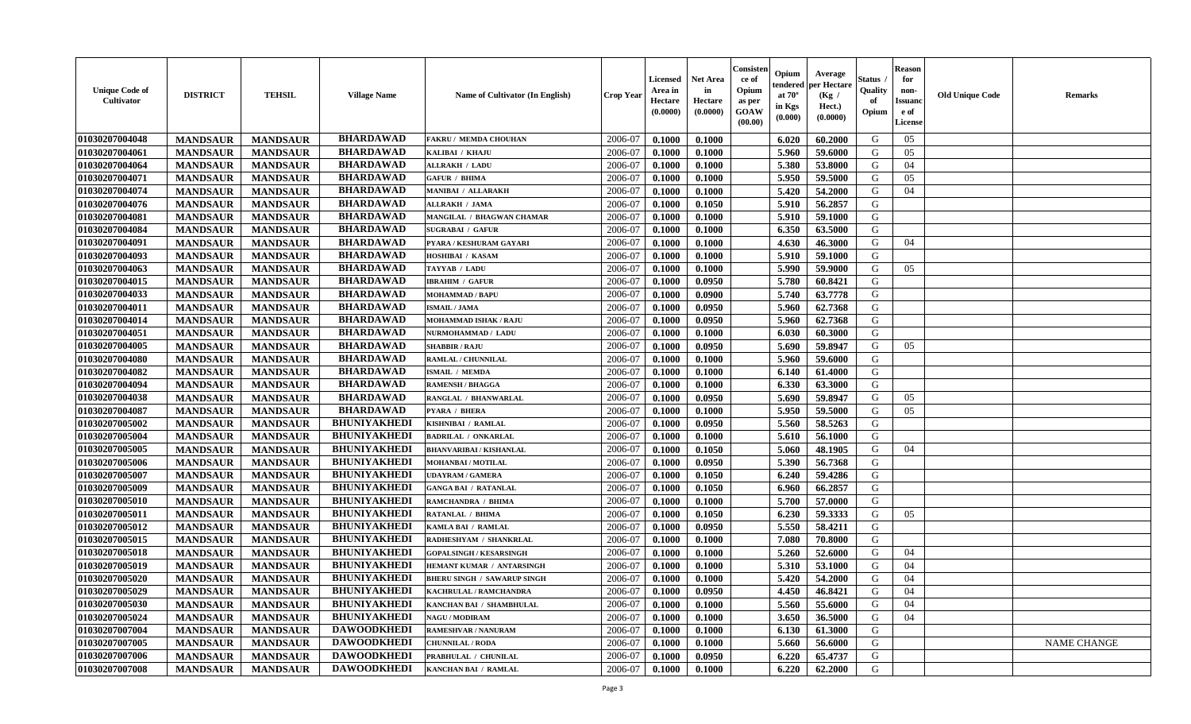| <b>BHARDAWAD</b><br>01030207004048<br><b>MANDSAUR</b><br>2006-07<br>0.1000<br>0.1000<br>6.020<br>60.2000<br>G<br>05<br><b>MANDSAUR</b><br><b>FAKRU/ MEMDA CHOUHAN</b><br><b>BHARDAWAD</b><br>01030207004061<br>2006-07<br>G<br><b>MANDSAUR</b><br><b>MANDSAUR</b><br>0.1000<br>5.960<br>59.6000<br>05<br>KALIBAI / KHAJU<br>0.1000<br><b>BHARDAWAD</b><br>01030207004064<br><b>MANDSAUR</b><br><b>MANDSAUR</b><br><b>ALLRAKH / LADU</b><br>2006-07<br>0.1000<br>0.1000<br>5.380<br>53.8000<br>G<br>04<br><b>BHARDAWAD</b><br>01030207004071<br><b>MANDSAUR</b><br><b>MANDSAUR</b><br><b>GAFUR / BHIMA</b><br>2006-07<br>0.1000<br>0.1000<br>5.950<br>59.5000<br>G<br>05<br><b>BHARDAWAD</b><br>01030207004074<br>5.420<br><b>MANDSAUR</b><br><b>MANDSAUR</b><br><b>MANIBAI / ALLARAKH</b><br>2006-07<br>0.1000<br>0.1000<br>54.2000<br>G<br>04<br><b>BHARDAWAD</b><br>01030207004076<br><b>MANDSAUR</b><br><b>MANDSAUR</b><br>0.1050<br>5.910<br>56.2857<br>G<br><b>ALLRAKH / JAMA</b><br>2006-07<br>0.1000<br><b>BHARDAWAD</b><br>01030207004081<br><b>MANDSAUR</b><br><b>MANDSAUR</b><br>5.910<br>59.1000<br>G<br>MANGILAL / BHAGWAN CHAMAR<br>2006-07<br>0.1000<br>0.1000<br><b>BHARDAWAD</b><br>01030207004084<br><b>MANDSAUR</b><br><b>MANDSAUR</b><br>2006-07<br>0.1000<br>0.1000<br>6.350<br>63.5000<br>G<br><b>SUGRABAI / GAFUR</b><br><b>BHARDAWAD</b><br>01030207004091<br><b>MANDSAUR</b><br>2006-07<br><b>MANDSAUR</b><br>0.1000<br>0.1000<br>4.630<br>46.3000<br>G<br>04<br>PYARA / KESHURAM GAYARI<br><b>BHARDAWAD</b><br>01030207004093<br>2006-07<br>5.910<br>G<br><b>MANDSAUR</b><br><b>MANDSAUR</b><br>0.1000<br>0.1000<br>59.1000<br>HOSHIBAI / KASAM<br><b>BHARDAWAD</b><br>01030207004063<br>5.990<br><b>MANDSAUR</b><br><b>MANDSAUR</b><br>TAYYAB / LADU<br>2006-07<br>0.1000<br>0.1000<br>59.9000<br>G<br>0.5<br><b>BHARDAWAD</b><br>01030207004015<br><b>IBRAHIM / GAFUR</b><br>5.780<br><b>MANDSAUR</b><br><b>MANDSAUR</b><br>2006-07<br>0.1000<br>0.0950<br>60.8421<br>G<br><b>BHARDAWAD</b><br>01030207004033<br><b>MANDSAUR</b><br><b>MANDSAUR</b><br>0.0900<br>5.740<br>63.7778<br>G<br><b>MOHAMMAD / BAPU</b><br>2006-07<br>0.1000<br><b>BHARDAWAD</b><br>01030207004011<br><b>MANDSAUR</b><br><b>MANDSAUR</b><br>5.960<br>62.7368<br>G<br><b>ISMAIL / JAMA</b><br>2006-07<br>0.1000<br>0.0950<br><b>BHARDAWAD</b><br>5.960<br>$\mathbf G$<br>01030207004014<br><b>MANDSAUR</b><br><b>MANDSAUR</b><br>2006-07<br>0.1000<br>0.0950<br>62.7368<br><b>MOHAMMAD ISHAK / RAJU</b><br><b>BHARDAWAD</b><br>01030207004051<br><b>MANDSAUR</b><br><b>MANDSAUR</b><br>2006-07<br>60.3000<br>G<br>0.1000<br>0.1000<br>6.030<br>NURMOHAMMAD / LADU<br><b>BHARDAWAD</b><br>01030207004005<br>2006-07<br>G<br><b>MANDSAUR</b><br><b>MANDSAUR</b><br><b>SHABBIR / RAJU</b><br>0.1000<br>0.0950<br>5.690<br>59.8947<br>05<br>01030207004080<br><b>BHARDAWAD</b><br><b>MANDSAUR</b><br>2006-07<br>5.960<br>59.6000<br>G<br><b>MANDSAUR</b><br>0.1000<br>0.1000<br>RAMLAL / CHUNNILAL<br><b>BHARDAWAD</b><br>01030207004082<br>2006-07<br>0.1000<br>G<br><b>MANDSAUR</b><br><b>MANDSAUR</b><br><b>ISMAIL / MEMDA</b><br>0.1000<br>6.140<br>61.4000<br><b>BHARDAWAD</b><br>01030207004094<br><b>MANDSAUR</b><br>2006-07<br><b>MANDSAUR</b><br><b>RAMENSH / BHAGGA</b><br>0.1000<br>0.1000<br>6.330<br>63.3000<br>G<br><b>BHARDAWAD</b><br>01030207004038<br><b>MANDSAUR</b><br><b>MANDSAUR</b><br>RANGLAL / BHANWARLAL<br>2006-07<br>0.0950<br>5.690<br>59.8947<br>G<br>0.1000<br>05<br><b>BHARDAWAD</b><br>01030207004087<br><b>MANDSAUR</b><br><b>MANDSAUR</b><br>2006-07<br>0.1000<br>0.1000<br>5.950<br>59.5000<br>G<br>05<br>PYARA / BHERA<br><b>BHUNIYAKHEDI</b><br>01030207005002<br><b>MANDSAUR</b><br>5.560<br>58.5263<br>G<br><b>MANDSAUR</b><br>KISHNIBAI / RAMLAL<br>2006-07<br>0.0950<br>0.1000<br><b>BHUNIYAKHEDI</b><br>G<br>01030207005004<br>2006-07<br>5.610<br><b>MANDSAUR</b><br><b>MANDSAUR</b><br><b>BADRILAL / ONKARLAL</b><br>0.1000<br>0.1000<br>56.1000<br><b>BHUNIYAKHEDI</b><br>01030207005005<br><b>MANDSAUR</b><br><b>MANDSAUR</b><br>2006-07<br>0.1050<br>5.060<br>48.1905<br>G<br><b>BHANVARIBAI/KISHANLAL</b><br>0.1000<br>04<br>01030207005006<br><b>BHUNIYAKHEDI</b><br><b>MANDSAUR</b><br><b>MANDSAUR</b><br>2006-07<br>0.0950<br>5.390<br>56.7368<br>G<br>MOHANBAI / MOTILAL<br>0.1000<br><b>BHUNIYAKHEDI</b><br>01030207005007<br><b>MANDSAUR</b><br><b>MANDSAUR</b><br>2006-07<br>0.1050<br>6.240<br>59.4286<br>G<br><b>UDAYRAM / GAMERA</b><br>0.1000 |
|----------------------------------------------------------------------------------------------------------------------------------------------------------------------------------------------------------------------------------------------------------------------------------------------------------------------------------------------------------------------------------------------------------------------------------------------------------------------------------------------------------------------------------------------------------------------------------------------------------------------------------------------------------------------------------------------------------------------------------------------------------------------------------------------------------------------------------------------------------------------------------------------------------------------------------------------------------------------------------------------------------------------------------------------------------------------------------------------------------------------------------------------------------------------------------------------------------------------------------------------------------------------------------------------------------------------------------------------------------------------------------------------------------------------------------------------------------------------------------------------------------------------------------------------------------------------------------------------------------------------------------------------------------------------------------------------------------------------------------------------------------------------------------------------------------------------------------------------------------------------------------------------------------------------------------------------------------------------------------------------------------------------------------------------------------------------------------------------------------------------------------------------------------------------------------------------------------------------------------------------------------------------------------------------------------------------------------------------------------------------------------------------------------------------------------------------------------------------------------------------------------------------------------------------------------------------------------------------------------------------------------------------------------------------------------------------------------------------------------------------------------------------------------------------------------------------------------------------------------------------------------------------------------------------------------------------------------------------------------------------------------------------------------------------------------------------------------------------------------------------------------------------------------------------------------------------------------------------------------------------------------------------------------------------------------------------------------------------------------------------------------------------------------------------------------------------------------------------------------------------------------------------------------------------------------------------------------------------------------------------------------------------------------------------------------------------------------------------------------------------------------------------------------------------------------------------------------------------------------------------------------------------------------------------------------------------------------------------------------------------------------------------------------------------------------------------------------------------------------------------------------------------------------------------------------------------------------------------------------------------------------------------------------------------------------------------------------------------------------------------------------------------------------------------------------------------------------------------------------------------------------|
|                                                                                                                                                                                                                                                                                                                                                                                                                                                                                                                                                                                                                                                                                                                                                                                                                                                                                                                                                                                                                                                                                                                                                                                                                                                                                                                                                                                                                                                                                                                                                                                                                                                                                                                                                                                                                                                                                                                                                                                                                                                                                                                                                                                                                                                                                                                                                                                                                                                                                                                                                                                                                                                                                                                                                                                                                                                                                                                                                                                                                                                                                                                                                                                                                                                                                                                                                                                                                                                                                                                                                                                                                                                                                                                                                                                                                                                                                                                                                                                                                                                                                                                                                                                                                                                                                                                                                                                                                                                                                                          |
|                                                                                                                                                                                                                                                                                                                                                                                                                                                                                                                                                                                                                                                                                                                                                                                                                                                                                                                                                                                                                                                                                                                                                                                                                                                                                                                                                                                                                                                                                                                                                                                                                                                                                                                                                                                                                                                                                                                                                                                                                                                                                                                                                                                                                                                                                                                                                                                                                                                                                                                                                                                                                                                                                                                                                                                                                                                                                                                                                                                                                                                                                                                                                                                                                                                                                                                                                                                                                                                                                                                                                                                                                                                                                                                                                                                                                                                                                                                                                                                                                                                                                                                                                                                                                                                                                                                                                                                                                                                                                                          |
|                                                                                                                                                                                                                                                                                                                                                                                                                                                                                                                                                                                                                                                                                                                                                                                                                                                                                                                                                                                                                                                                                                                                                                                                                                                                                                                                                                                                                                                                                                                                                                                                                                                                                                                                                                                                                                                                                                                                                                                                                                                                                                                                                                                                                                                                                                                                                                                                                                                                                                                                                                                                                                                                                                                                                                                                                                                                                                                                                                                                                                                                                                                                                                                                                                                                                                                                                                                                                                                                                                                                                                                                                                                                                                                                                                                                                                                                                                                                                                                                                                                                                                                                                                                                                                                                                                                                                                                                                                                                                                          |
|                                                                                                                                                                                                                                                                                                                                                                                                                                                                                                                                                                                                                                                                                                                                                                                                                                                                                                                                                                                                                                                                                                                                                                                                                                                                                                                                                                                                                                                                                                                                                                                                                                                                                                                                                                                                                                                                                                                                                                                                                                                                                                                                                                                                                                                                                                                                                                                                                                                                                                                                                                                                                                                                                                                                                                                                                                                                                                                                                                                                                                                                                                                                                                                                                                                                                                                                                                                                                                                                                                                                                                                                                                                                                                                                                                                                                                                                                                                                                                                                                                                                                                                                                                                                                                                                                                                                                                                                                                                                                                          |
|                                                                                                                                                                                                                                                                                                                                                                                                                                                                                                                                                                                                                                                                                                                                                                                                                                                                                                                                                                                                                                                                                                                                                                                                                                                                                                                                                                                                                                                                                                                                                                                                                                                                                                                                                                                                                                                                                                                                                                                                                                                                                                                                                                                                                                                                                                                                                                                                                                                                                                                                                                                                                                                                                                                                                                                                                                                                                                                                                                                                                                                                                                                                                                                                                                                                                                                                                                                                                                                                                                                                                                                                                                                                                                                                                                                                                                                                                                                                                                                                                                                                                                                                                                                                                                                                                                                                                                                                                                                                                                          |
|                                                                                                                                                                                                                                                                                                                                                                                                                                                                                                                                                                                                                                                                                                                                                                                                                                                                                                                                                                                                                                                                                                                                                                                                                                                                                                                                                                                                                                                                                                                                                                                                                                                                                                                                                                                                                                                                                                                                                                                                                                                                                                                                                                                                                                                                                                                                                                                                                                                                                                                                                                                                                                                                                                                                                                                                                                                                                                                                                                                                                                                                                                                                                                                                                                                                                                                                                                                                                                                                                                                                                                                                                                                                                                                                                                                                                                                                                                                                                                                                                                                                                                                                                                                                                                                                                                                                                                                                                                                                                                          |
|                                                                                                                                                                                                                                                                                                                                                                                                                                                                                                                                                                                                                                                                                                                                                                                                                                                                                                                                                                                                                                                                                                                                                                                                                                                                                                                                                                                                                                                                                                                                                                                                                                                                                                                                                                                                                                                                                                                                                                                                                                                                                                                                                                                                                                                                                                                                                                                                                                                                                                                                                                                                                                                                                                                                                                                                                                                                                                                                                                                                                                                                                                                                                                                                                                                                                                                                                                                                                                                                                                                                                                                                                                                                                                                                                                                                                                                                                                                                                                                                                                                                                                                                                                                                                                                                                                                                                                                                                                                                                                          |
|                                                                                                                                                                                                                                                                                                                                                                                                                                                                                                                                                                                                                                                                                                                                                                                                                                                                                                                                                                                                                                                                                                                                                                                                                                                                                                                                                                                                                                                                                                                                                                                                                                                                                                                                                                                                                                                                                                                                                                                                                                                                                                                                                                                                                                                                                                                                                                                                                                                                                                                                                                                                                                                                                                                                                                                                                                                                                                                                                                                                                                                                                                                                                                                                                                                                                                                                                                                                                                                                                                                                                                                                                                                                                                                                                                                                                                                                                                                                                                                                                                                                                                                                                                                                                                                                                                                                                                                                                                                                                                          |
|                                                                                                                                                                                                                                                                                                                                                                                                                                                                                                                                                                                                                                                                                                                                                                                                                                                                                                                                                                                                                                                                                                                                                                                                                                                                                                                                                                                                                                                                                                                                                                                                                                                                                                                                                                                                                                                                                                                                                                                                                                                                                                                                                                                                                                                                                                                                                                                                                                                                                                                                                                                                                                                                                                                                                                                                                                                                                                                                                                                                                                                                                                                                                                                                                                                                                                                                                                                                                                                                                                                                                                                                                                                                                                                                                                                                                                                                                                                                                                                                                                                                                                                                                                                                                                                                                                                                                                                                                                                                                                          |
|                                                                                                                                                                                                                                                                                                                                                                                                                                                                                                                                                                                                                                                                                                                                                                                                                                                                                                                                                                                                                                                                                                                                                                                                                                                                                                                                                                                                                                                                                                                                                                                                                                                                                                                                                                                                                                                                                                                                                                                                                                                                                                                                                                                                                                                                                                                                                                                                                                                                                                                                                                                                                                                                                                                                                                                                                                                                                                                                                                                                                                                                                                                                                                                                                                                                                                                                                                                                                                                                                                                                                                                                                                                                                                                                                                                                                                                                                                                                                                                                                                                                                                                                                                                                                                                                                                                                                                                                                                                                                                          |
|                                                                                                                                                                                                                                                                                                                                                                                                                                                                                                                                                                                                                                                                                                                                                                                                                                                                                                                                                                                                                                                                                                                                                                                                                                                                                                                                                                                                                                                                                                                                                                                                                                                                                                                                                                                                                                                                                                                                                                                                                                                                                                                                                                                                                                                                                                                                                                                                                                                                                                                                                                                                                                                                                                                                                                                                                                                                                                                                                                                                                                                                                                                                                                                                                                                                                                                                                                                                                                                                                                                                                                                                                                                                                                                                                                                                                                                                                                                                                                                                                                                                                                                                                                                                                                                                                                                                                                                                                                                                                                          |
|                                                                                                                                                                                                                                                                                                                                                                                                                                                                                                                                                                                                                                                                                                                                                                                                                                                                                                                                                                                                                                                                                                                                                                                                                                                                                                                                                                                                                                                                                                                                                                                                                                                                                                                                                                                                                                                                                                                                                                                                                                                                                                                                                                                                                                                                                                                                                                                                                                                                                                                                                                                                                                                                                                                                                                                                                                                                                                                                                                                                                                                                                                                                                                                                                                                                                                                                                                                                                                                                                                                                                                                                                                                                                                                                                                                                                                                                                                                                                                                                                                                                                                                                                                                                                                                                                                                                                                                                                                                                                                          |
|                                                                                                                                                                                                                                                                                                                                                                                                                                                                                                                                                                                                                                                                                                                                                                                                                                                                                                                                                                                                                                                                                                                                                                                                                                                                                                                                                                                                                                                                                                                                                                                                                                                                                                                                                                                                                                                                                                                                                                                                                                                                                                                                                                                                                                                                                                                                                                                                                                                                                                                                                                                                                                                                                                                                                                                                                                                                                                                                                                                                                                                                                                                                                                                                                                                                                                                                                                                                                                                                                                                                                                                                                                                                                                                                                                                                                                                                                                                                                                                                                                                                                                                                                                                                                                                                                                                                                                                                                                                                                                          |
|                                                                                                                                                                                                                                                                                                                                                                                                                                                                                                                                                                                                                                                                                                                                                                                                                                                                                                                                                                                                                                                                                                                                                                                                                                                                                                                                                                                                                                                                                                                                                                                                                                                                                                                                                                                                                                                                                                                                                                                                                                                                                                                                                                                                                                                                                                                                                                                                                                                                                                                                                                                                                                                                                                                                                                                                                                                                                                                                                                                                                                                                                                                                                                                                                                                                                                                                                                                                                                                                                                                                                                                                                                                                                                                                                                                                                                                                                                                                                                                                                                                                                                                                                                                                                                                                                                                                                                                                                                                                                                          |
|                                                                                                                                                                                                                                                                                                                                                                                                                                                                                                                                                                                                                                                                                                                                                                                                                                                                                                                                                                                                                                                                                                                                                                                                                                                                                                                                                                                                                                                                                                                                                                                                                                                                                                                                                                                                                                                                                                                                                                                                                                                                                                                                                                                                                                                                                                                                                                                                                                                                                                                                                                                                                                                                                                                                                                                                                                                                                                                                                                                                                                                                                                                                                                                                                                                                                                                                                                                                                                                                                                                                                                                                                                                                                                                                                                                                                                                                                                                                                                                                                                                                                                                                                                                                                                                                                                                                                                                                                                                                                                          |
|                                                                                                                                                                                                                                                                                                                                                                                                                                                                                                                                                                                                                                                                                                                                                                                                                                                                                                                                                                                                                                                                                                                                                                                                                                                                                                                                                                                                                                                                                                                                                                                                                                                                                                                                                                                                                                                                                                                                                                                                                                                                                                                                                                                                                                                                                                                                                                                                                                                                                                                                                                                                                                                                                                                                                                                                                                                                                                                                                                                                                                                                                                                                                                                                                                                                                                                                                                                                                                                                                                                                                                                                                                                                                                                                                                                                                                                                                                                                                                                                                                                                                                                                                                                                                                                                                                                                                                                                                                                                                                          |
|                                                                                                                                                                                                                                                                                                                                                                                                                                                                                                                                                                                                                                                                                                                                                                                                                                                                                                                                                                                                                                                                                                                                                                                                                                                                                                                                                                                                                                                                                                                                                                                                                                                                                                                                                                                                                                                                                                                                                                                                                                                                                                                                                                                                                                                                                                                                                                                                                                                                                                                                                                                                                                                                                                                                                                                                                                                                                                                                                                                                                                                                                                                                                                                                                                                                                                                                                                                                                                                                                                                                                                                                                                                                                                                                                                                                                                                                                                                                                                                                                                                                                                                                                                                                                                                                                                                                                                                                                                                                                                          |
|                                                                                                                                                                                                                                                                                                                                                                                                                                                                                                                                                                                                                                                                                                                                                                                                                                                                                                                                                                                                                                                                                                                                                                                                                                                                                                                                                                                                                                                                                                                                                                                                                                                                                                                                                                                                                                                                                                                                                                                                                                                                                                                                                                                                                                                                                                                                                                                                                                                                                                                                                                                                                                                                                                                                                                                                                                                                                                                                                                                                                                                                                                                                                                                                                                                                                                                                                                                                                                                                                                                                                                                                                                                                                                                                                                                                                                                                                                                                                                                                                                                                                                                                                                                                                                                                                                                                                                                                                                                                                                          |
|                                                                                                                                                                                                                                                                                                                                                                                                                                                                                                                                                                                                                                                                                                                                                                                                                                                                                                                                                                                                                                                                                                                                                                                                                                                                                                                                                                                                                                                                                                                                                                                                                                                                                                                                                                                                                                                                                                                                                                                                                                                                                                                                                                                                                                                                                                                                                                                                                                                                                                                                                                                                                                                                                                                                                                                                                                                                                                                                                                                                                                                                                                                                                                                                                                                                                                                                                                                                                                                                                                                                                                                                                                                                                                                                                                                                                                                                                                                                                                                                                                                                                                                                                                                                                                                                                                                                                                                                                                                                                                          |
|                                                                                                                                                                                                                                                                                                                                                                                                                                                                                                                                                                                                                                                                                                                                                                                                                                                                                                                                                                                                                                                                                                                                                                                                                                                                                                                                                                                                                                                                                                                                                                                                                                                                                                                                                                                                                                                                                                                                                                                                                                                                                                                                                                                                                                                                                                                                                                                                                                                                                                                                                                                                                                                                                                                                                                                                                                                                                                                                                                                                                                                                                                                                                                                                                                                                                                                                                                                                                                                                                                                                                                                                                                                                                                                                                                                                                                                                                                                                                                                                                                                                                                                                                                                                                                                                                                                                                                                                                                                                                                          |
|                                                                                                                                                                                                                                                                                                                                                                                                                                                                                                                                                                                                                                                                                                                                                                                                                                                                                                                                                                                                                                                                                                                                                                                                                                                                                                                                                                                                                                                                                                                                                                                                                                                                                                                                                                                                                                                                                                                                                                                                                                                                                                                                                                                                                                                                                                                                                                                                                                                                                                                                                                                                                                                                                                                                                                                                                                                                                                                                                                                                                                                                                                                                                                                                                                                                                                                                                                                                                                                                                                                                                                                                                                                                                                                                                                                                                                                                                                                                                                                                                                                                                                                                                                                                                                                                                                                                                                                                                                                                                                          |
|                                                                                                                                                                                                                                                                                                                                                                                                                                                                                                                                                                                                                                                                                                                                                                                                                                                                                                                                                                                                                                                                                                                                                                                                                                                                                                                                                                                                                                                                                                                                                                                                                                                                                                                                                                                                                                                                                                                                                                                                                                                                                                                                                                                                                                                                                                                                                                                                                                                                                                                                                                                                                                                                                                                                                                                                                                                                                                                                                                                                                                                                                                                                                                                                                                                                                                                                                                                                                                                                                                                                                                                                                                                                                                                                                                                                                                                                                                                                                                                                                                                                                                                                                                                                                                                                                                                                                                                                                                                                                                          |
|                                                                                                                                                                                                                                                                                                                                                                                                                                                                                                                                                                                                                                                                                                                                                                                                                                                                                                                                                                                                                                                                                                                                                                                                                                                                                                                                                                                                                                                                                                                                                                                                                                                                                                                                                                                                                                                                                                                                                                                                                                                                                                                                                                                                                                                                                                                                                                                                                                                                                                                                                                                                                                                                                                                                                                                                                                                                                                                                                                                                                                                                                                                                                                                                                                                                                                                                                                                                                                                                                                                                                                                                                                                                                                                                                                                                                                                                                                                                                                                                                                                                                                                                                                                                                                                                                                                                                                                                                                                                                                          |
|                                                                                                                                                                                                                                                                                                                                                                                                                                                                                                                                                                                                                                                                                                                                                                                                                                                                                                                                                                                                                                                                                                                                                                                                                                                                                                                                                                                                                                                                                                                                                                                                                                                                                                                                                                                                                                                                                                                                                                                                                                                                                                                                                                                                                                                                                                                                                                                                                                                                                                                                                                                                                                                                                                                                                                                                                                                                                                                                                                                                                                                                                                                                                                                                                                                                                                                                                                                                                                                                                                                                                                                                                                                                                                                                                                                                                                                                                                                                                                                                                                                                                                                                                                                                                                                                                                                                                                                                                                                                                                          |
|                                                                                                                                                                                                                                                                                                                                                                                                                                                                                                                                                                                                                                                                                                                                                                                                                                                                                                                                                                                                                                                                                                                                                                                                                                                                                                                                                                                                                                                                                                                                                                                                                                                                                                                                                                                                                                                                                                                                                                                                                                                                                                                                                                                                                                                                                                                                                                                                                                                                                                                                                                                                                                                                                                                                                                                                                                                                                                                                                                                                                                                                                                                                                                                                                                                                                                                                                                                                                                                                                                                                                                                                                                                                                                                                                                                                                                                                                                                                                                                                                                                                                                                                                                                                                                                                                                                                                                                                                                                                                                          |
|                                                                                                                                                                                                                                                                                                                                                                                                                                                                                                                                                                                                                                                                                                                                                                                                                                                                                                                                                                                                                                                                                                                                                                                                                                                                                                                                                                                                                                                                                                                                                                                                                                                                                                                                                                                                                                                                                                                                                                                                                                                                                                                                                                                                                                                                                                                                                                                                                                                                                                                                                                                                                                                                                                                                                                                                                                                                                                                                                                                                                                                                                                                                                                                                                                                                                                                                                                                                                                                                                                                                                                                                                                                                                                                                                                                                                                                                                                                                                                                                                                                                                                                                                                                                                                                                                                                                                                                                                                                                                                          |
|                                                                                                                                                                                                                                                                                                                                                                                                                                                                                                                                                                                                                                                                                                                                                                                                                                                                                                                                                                                                                                                                                                                                                                                                                                                                                                                                                                                                                                                                                                                                                                                                                                                                                                                                                                                                                                                                                                                                                                                                                                                                                                                                                                                                                                                                                                                                                                                                                                                                                                                                                                                                                                                                                                                                                                                                                                                                                                                                                                                                                                                                                                                                                                                                                                                                                                                                                                                                                                                                                                                                                                                                                                                                                                                                                                                                                                                                                                                                                                                                                                                                                                                                                                                                                                                                                                                                                                                                                                                                                                          |
| <b>BHUNIYAKHEDI</b><br>01030207005009<br><b>MANDSAUR</b><br><b>MANDSAUR</b><br><b>GANGA BAI / RATANLAL</b><br>2006-07<br>0.1050<br>6.960<br>66.2857<br>G<br>0.1000                                                                                                                                                                                                                                                                                                                                                                                                                                                                                                                                                                                                                                                                                                                                                                                                                                                                                                                                                                                                                                                                                                                                                                                                                                                                                                                                                                                                                                                                                                                                                                                                                                                                                                                                                                                                                                                                                                                                                                                                                                                                                                                                                                                                                                                                                                                                                                                                                                                                                                                                                                                                                                                                                                                                                                                                                                                                                                                                                                                                                                                                                                                                                                                                                                                                                                                                                                                                                                                                                                                                                                                                                                                                                                                                                                                                                                                                                                                                                                                                                                                                                                                                                                                                                                                                                                                                       |
| <b>BHUNIYAKHEDI</b><br>01030207005010<br>5.700<br>G<br><b>MANDSAUR</b><br><b>MANDSAUR</b><br>RAMCHANDRA / BHIMA<br>2006-07<br>0.1000<br>0.1000<br>57.0000                                                                                                                                                                                                                                                                                                                                                                                                                                                                                                                                                                                                                                                                                                                                                                                                                                                                                                                                                                                                                                                                                                                                                                                                                                                                                                                                                                                                                                                                                                                                                                                                                                                                                                                                                                                                                                                                                                                                                                                                                                                                                                                                                                                                                                                                                                                                                                                                                                                                                                                                                                                                                                                                                                                                                                                                                                                                                                                                                                                                                                                                                                                                                                                                                                                                                                                                                                                                                                                                                                                                                                                                                                                                                                                                                                                                                                                                                                                                                                                                                                                                                                                                                                                                                                                                                                                                                |
| <b>BHUNIYAKHEDI</b><br>01030207005011<br><b>MANDSAUR</b><br><b>MANDSAUR</b><br>6.230<br>59.3333<br>RATANLAL / BHIMA<br>2006-07<br>0.1000<br>0.1050<br>G<br>05                                                                                                                                                                                                                                                                                                                                                                                                                                                                                                                                                                                                                                                                                                                                                                                                                                                                                                                                                                                                                                                                                                                                                                                                                                                                                                                                                                                                                                                                                                                                                                                                                                                                                                                                                                                                                                                                                                                                                                                                                                                                                                                                                                                                                                                                                                                                                                                                                                                                                                                                                                                                                                                                                                                                                                                                                                                                                                                                                                                                                                                                                                                                                                                                                                                                                                                                                                                                                                                                                                                                                                                                                                                                                                                                                                                                                                                                                                                                                                                                                                                                                                                                                                                                                                                                                                                                            |
| <b>BHUNIYAKHEDI</b><br>01030207005012<br><b>MANDSAUR</b><br><b>MANDSAUR</b><br>2006-07<br>0.0950<br>5.550<br>58.4211<br>G<br>KAMLA BAI / RAMLAL<br>0.1000                                                                                                                                                                                                                                                                                                                                                                                                                                                                                                                                                                                                                                                                                                                                                                                                                                                                                                                                                                                                                                                                                                                                                                                                                                                                                                                                                                                                                                                                                                                                                                                                                                                                                                                                                                                                                                                                                                                                                                                                                                                                                                                                                                                                                                                                                                                                                                                                                                                                                                                                                                                                                                                                                                                                                                                                                                                                                                                                                                                                                                                                                                                                                                                                                                                                                                                                                                                                                                                                                                                                                                                                                                                                                                                                                                                                                                                                                                                                                                                                                                                                                                                                                                                                                                                                                                                                                |
| <b>BHUNIYAKHEDI</b><br>01030207005015<br>G<br><b>MANDSAUR</b><br><b>MANDSAUR</b><br>2006-07<br>7.080<br>70.8000<br>RADHESHYAM / SHANKRLAL<br>0.1000<br>0.1000                                                                                                                                                                                                                                                                                                                                                                                                                                                                                                                                                                                                                                                                                                                                                                                                                                                                                                                                                                                                                                                                                                                                                                                                                                                                                                                                                                                                                                                                                                                                                                                                                                                                                                                                                                                                                                                                                                                                                                                                                                                                                                                                                                                                                                                                                                                                                                                                                                                                                                                                                                                                                                                                                                                                                                                                                                                                                                                                                                                                                                                                                                                                                                                                                                                                                                                                                                                                                                                                                                                                                                                                                                                                                                                                                                                                                                                                                                                                                                                                                                                                                                                                                                                                                                                                                                                                            |
| <b>BHUNIYAKHEDI</b><br>01030207005018<br><b>MANDSAUR</b><br><b>MANDSAUR</b><br>2006-07<br>0.1000<br>0.1000<br>5.260<br>52.6000<br>G<br><b>GOPALSINGH / KESARSINGH</b><br>04                                                                                                                                                                                                                                                                                                                                                                                                                                                                                                                                                                                                                                                                                                                                                                                                                                                                                                                                                                                                                                                                                                                                                                                                                                                                                                                                                                                                                                                                                                                                                                                                                                                                                                                                                                                                                                                                                                                                                                                                                                                                                                                                                                                                                                                                                                                                                                                                                                                                                                                                                                                                                                                                                                                                                                                                                                                                                                                                                                                                                                                                                                                                                                                                                                                                                                                                                                                                                                                                                                                                                                                                                                                                                                                                                                                                                                                                                                                                                                                                                                                                                                                                                                                                                                                                                                                              |
| 01030207005019<br><b>BHUNIYAKHEDI</b><br><b>MANDSAUR</b><br>2006-07<br><b>MANDSAUR</b><br>HEMANT KUMAR / ANTARSINGH<br>0.1000<br>0.1000<br>5.310<br>53.1000<br>G<br>04                                                                                                                                                                                                                                                                                                                                                                                                                                                                                                                                                                                                                                                                                                                                                                                                                                                                                                                                                                                                                                                                                                                                                                                                                                                                                                                                                                                                                                                                                                                                                                                                                                                                                                                                                                                                                                                                                                                                                                                                                                                                                                                                                                                                                                                                                                                                                                                                                                                                                                                                                                                                                                                                                                                                                                                                                                                                                                                                                                                                                                                                                                                                                                                                                                                                                                                                                                                                                                                                                                                                                                                                                                                                                                                                                                                                                                                                                                                                                                                                                                                                                                                                                                                                                                                                                                                                   |
| <b>BHUNIYAKHEDI</b><br>01030207005020<br>5.420<br><b>MANDSAUR</b><br><b>MANDSAUR</b><br>2006-07<br>0.1000<br>54.2000<br>G<br>04<br><b>BHERU SINGH / SAWARUP SINGH</b><br>0.1000                                                                                                                                                                                                                                                                                                                                                                                                                                                                                                                                                                                                                                                                                                                                                                                                                                                                                                                                                                                                                                                                                                                                                                                                                                                                                                                                                                                                                                                                                                                                                                                                                                                                                                                                                                                                                                                                                                                                                                                                                                                                                                                                                                                                                                                                                                                                                                                                                                                                                                                                                                                                                                                                                                                                                                                                                                                                                                                                                                                                                                                                                                                                                                                                                                                                                                                                                                                                                                                                                                                                                                                                                                                                                                                                                                                                                                                                                                                                                                                                                                                                                                                                                                                                                                                                                                                          |
| <b>BHUNIYAKHEDI</b><br>01030207005029<br><b>MANDSAUR</b><br><b>MANDSAUR</b><br>KACHRULAL / RAMCHANDRA<br>2006-07<br>0.0950<br>4.450<br>46.8421<br>G<br>04<br>0.1000                                                                                                                                                                                                                                                                                                                                                                                                                                                                                                                                                                                                                                                                                                                                                                                                                                                                                                                                                                                                                                                                                                                                                                                                                                                                                                                                                                                                                                                                                                                                                                                                                                                                                                                                                                                                                                                                                                                                                                                                                                                                                                                                                                                                                                                                                                                                                                                                                                                                                                                                                                                                                                                                                                                                                                                                                                                                                                                                                                                                                                                                                                                                                                                                                                                                                                                                                                                                                                                                                                                                                                                                                                                                                                                                                                                                                                                                                                                                                                                                                                                                                                                                                                                                                                                                                                                                      |
| <b>BHUNIYAKHEDI</b><br>01030207005030<br><b>MANDSAUR</b><br>5.560<br>55.6000<br><b>MANDSAUR</b><br>KANCHAN BAI / SHAMBHULAL<br>2006-07<br>0.1000<br>0.1000<br>G<br>04                                                                                                                                                                                                                                                                                                                                                                                                                                                                                                                                                                                                                                                                                                                                                                                                                                                                                                                                                                                                                                                                                                                                                                                                                                                                                                                                                                                                                                                                                                                                                                                                                                                                                                                                                                                                                                                                                                                                                                                                                                                                                                                                                                                                                                                                                                                                                                                                                                                                                                                                                                                                                                                                                                                                                                                                                                                                                                                                                                                                                                                                                                                                                                                                                                                                                                                                                                                                                                                                                                                                                                                                                                                                                                                                                                                                                                                                                                                                                                                                                                                                                                                                                                                                                                                                                                                                    |
| <b>BHUNIYAKHEDI</b><br>01030207005024<br><b>MANDSAUR</b><br><b>MANDSAUR</b><br>36.5000<br><b>NAGU / MODIRAM</b><br>2006-07<br>0.1000<br>0.1000<br>3.650<br>G<br>04                                                                                                                                                                                                                                                                                                                                                                                                                                                                                                                                                                                                                                                                                                                                                                                                                                                                                                                                                                                                                                                                                                                                                                                                                                                                                                                                                                                                                                                                                                                                                                                                                                                                                                                                                                                                                                                                                                                                                                                                                                                                                                                                                                                                                                                                                                                                                                                                                                                                                                                                                                                                                                                                                                                                                                                                                                                                                                                                                                                                                                                                                                                                                                                                                                                                                                                                                                                                                                                                                                                                                                                                                                                                                                                                                                                                                                                                                                                                                                                                                                                                                                                                                                                                                                                                                                                                       |
| 01030207007004<br><b>DAWOODKHEDI</b><br><b>MANDSAUR</b><br><b>MANDSAUR</b><br>6.130<br>G<br><b>RAMESHVAR / NANURAM</b><br>2006-07<br>0.1000<br>0.1000<br>61.3000                                                                                                                                                                                                                                                                                                                                                                                                                                                                                                                                                                                                                                                                                                                                                                                                                                                                                                                                                                                                                                                                                                                                                                                                                                                                                                                                                                                                                                                                                                                                                                                                                                                                                                                                                                                                                                                                                                                                                                                                                                                                                                                                                                                                                                                                                                                                                                                                                                                                                                                                                                                                                                                                                                                                                                                                                                                                                                                                                                                                                                                                                                                                                                                                                                                                                                                                                                                                                                                                                                                                                                                                                                                                                                                                                                                                                                                                                                                                                                                                                                                                                                                                                                                                                                                                                                                                         |
| 01030207007005<br><b>DAWOODKHEDI</b><br>G<br><b>MANDSAUR</b><br><b>MANDSAUR</b><br>0.1000<br>5.660<br>56.6000<br>2006-07<br>0.1000<br><b>NAME CHANGE</b><br><b>CHUNNILAL / RODA</b>                                                                                                                                                                                                                                                                                                                                                                                                                                                                                                                                                                                                                                                                                                                                                                                                                                                                                                                                                                                                                                                                                                                                                                                                                                                                                                                                                                                                                                                                                                                                                                                                                                                                                                                                                                                                                                                                                                                                                                                                                                                                                                                                                                                                                                                                                                                                                                                                                                                                                                                                                                                                                                                                                                                                                                                                                                                                                                                                                                                                                                                                                                                                                                                                                                                                                                                                                                                                                                                                                                                                                                                                                                                                                                                                                                                                                                                                                                                                                                                                                                                                                                                                                                                                                                                                                                                      |
| G<br><b>DAWOODKHEDI</b><br>6.220<br>65.4737<br>01030207007006<br><b>MANDSAUR</b><br>2006-07<br>0.0950<br><b>MANDSAUR</b><br>PRABHULAL / CHUNILAL<br>0.1000                                                                                                                                                                                                                                                                                                                                                                                                                                                                                                                                                                                                                                                                                                                                                                                                                                                                                                                                                                                                                                                                                                                                                                                                                                                                                                                                                                                                                                                                                                                                                                                                                                                                                                                                                                                                                                                                                                                                                                                                                                                                                                                                                                                                                                                                                                                                                                                                                                                                                                                                                                                                                                                                                                                                                                                                                                                                                                                                                                                                                                                                                                                                                                                                                                                                                                                                                                                                                                                                                                                                                                                                                                                                                                                                                                                                                                                                                                                                                                                                                                                                                                                                                                                                                                                                                                                                               |
| G<br>01030207007008<br><b>DAWOODKHEDI</b><br>2006-07<br>6.220<br>62.2000<br><b>MANDSAUR</b><br><b>MANDSAUR</b><br><b>KANCHAN BAI / RAMLAL</b><br>0.1000<br>0.1000                                                                                                                                                                                                                                                                                                                                                                                                                                                                                                                                                                                                                                                                                                                                                                                                                                                                                                                                                                                                                                                                                                                                                                                                                                                                                                                                                                                                                                                                                                                                                                                                                                                                                                                                                                                                                                                                                                                                                                                                                                                                                                                                                                                                                                                                                                                                                                                                                                                                                                                                                                                                                                                                                                                                                                                                                                                                                                                                                                                                                                                                                                                                                                                                                                                                                                                                                                                                                                                                                                                                                                                                                                                                                                                                                                                                                                                                                                                                                                                                                                                                                                                                                                                                                                                                                                                                        |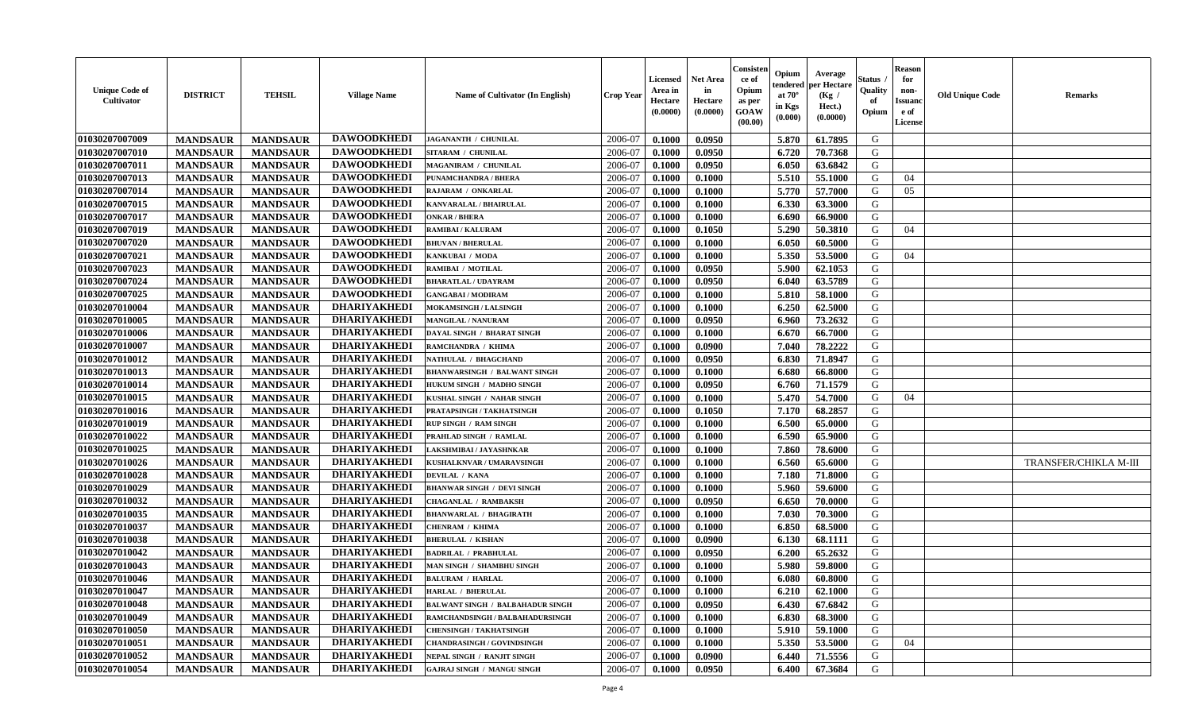| <b>Unique Code of</b><br><b>Cultivator</b> | <b>DISTRICT</b> | <b>TEHSIL</b>   | <b>Village Name</b> | Name of Cultivator (In English)         | <b>Crop Year</b> | <b>Licensed</b><br>Area in<br>Hectare<br>(0.0000) | <b>Net Area</b><br>in<br>Hectare<br>(0.0000) | Consisteı<br>ce of<br>Opium<br>as per<br><b>GOAW</b><br>(00.00) | Opium<br>endered<br>at $70^\circ$<br>in Kgs<br>$(\mathbf{0.000})$ | Average<br>per Hectare<br>(Kg /<br>Hect.)<br>(0.0000) | Status<br>Quality<br>of<br>Opium | Reason<br>for<br>non-<br>Issuan<br>e of<br>License | <b>Old Unique Code</b> | <b>Remarks</b>        |
|--------------------------------------------|-----------------|-----------------|---------------------|-----------------------------------------|------------------|---------------------------------------------------|----------------------------------------------|-----------------------------------------------------------------|-------------------------------------------------------------------|-------------------------------------------------------|----------------------------------|----------------------------------------------------|------------------------|-----------------------|
| 01030207007009                             | <b>MANDSAUR</b> | <b>MANDSAUR</b> | <b>DAWOODKHEDI</b>  | JAGANANTH / CHUNILAL                    | 2006-07          | 0.1000                                            | 0.0950                                       |                                                                 | 5.870                                                             | 61.7895                                               | G                                |                                                    |                        |                       |
| 01030207007010                             | <b>MANDSAUR</b> | <b>MANDSAUR</b> | <b>DAWOODKHEDI</b>  | SITARAM / CHUNILAL                      | 2006-07          | 0.1000                                            | 0.0950                                       |                                                                 | 6.720                                                             | 70.7368                                               | G                                |                                                    |                        |                       |
| 01030207007011                             | <b>MANDSAUR</b> | <b>MANDSAUR</b> | <b>DAWOODKHEDI</b>  | MAGANIRAM / CHUNILAL                    | 2006-07          | 0.1000                                            | 0.0950                                       |                                                                 | 6.050                                                             | 63.6842                                               | G                                |                                                    |                        |                       |
| 01030207007013                             | <b>MANDSAUR</b> | <b>MANDSAUR</b> | <b>DAWOODKHEDI</b>  | PUNAMCHANDRA / BHERA                    | 2006-07          | 0.1000                                            | 0.1000                                       |                                                                 | 5.510                                                             | 55.1000                                               | G                                | 04                                                 |                        |                       |
| 01030207007014                             | <b>MANDSAUR</b> | <b>MANDSAUR</b> | <b>DAWOODKHEDI</b>  | RAJARAM / ONKARLAL                      | 2006-07          | 0.1000                                            | 0.1000                                       |                                                                 | 5.770                                                             | 57.7000                                               | G                                | 05                                                 |                        |                       |
| 01030207007015                             | <b>MANDSAUR</b> | <b>MANDSAUR</b> | <b>DAWOODKHEDI</b>  | KANVARALAL / BHAIRULAL                  | 2006-07          | 0.1000                                            | 0.1000                                       |                                                                 | 6.330                                                             | 63.3000                                               | G                                |                                                    |                        |                       |
| 01030207007017                             | <b>MANDSAUR</b> | <b>MANDSAUR</b> | <b>DAWOODKHEDI</b>  | <b>ONKAR / BHERA</b>                    | 2006-07          | 0.1000                                            | 0.1000                                       |                                                                 | 6.690                                                             | 66.9000                                               | G                                |                                                    |                        |                       |
| 01030207007019                             | <b>MANDSAUR</b> | <b>MANDSAUR</b> | <b>DAWOODKHEDI</b>  | <b>RAMIBAI/KALURAM</b>                  | 2006-07          | 0.1000                                            | 0.1050                                       |                                                                 | 5.290                                                             | 50.3810                                               | G                                | 04                                                 |                        |                       |
| 01030207007020                             | <b>MANDSAUR</b> | <b>MANDSAUR</b> | <b>DAWOODKHEDI</b>  | <b>BHUVAN / BHERULAL</b>                | 2006-07          | 0.1000                                            | 0.1000                                       |                                                                 | 6.050                                                             | 60.5000                                               | G                                |                                                    |                        |                       |
| 01030207007021                             | <b>MANDSAUR</b> | <b>MANDSAUR</b> | <b>DAWOODKHEDI</b>  | KANKUBAI / MODA                         | 2006-07          | 0.1000                                            | 0.1000                                       |                                                                 | 5.350                                                             | 53.5000                                               | G                                | 04                                                 |                        |                       |
| 01030207007023                             | <b>MANDSAUR</b> | <b>MANDSAUR</b> | <b>DAWOODKHEDI</b>  | RAMIBAI / MOTILAL                       | 2006-07          | 0.1000                                            | 0.0950                                       |                                                                 | 5.900                                                             | 62.1053                                               | G                                |                                                    |                        |                       |
| 01030207007024                             | <b>MANDSAUR</b> | <b>MANDSAUR</b> | <b>DAWOODKHEDI</b>  | <b>BHARATLAL / UDAYRAM</b>              | 2006-07          | 0.1000                                            | 0.0950                                       |                                                                 | 6.040                                                             | 63.5789                                               | G                                |                                                    |                        |                       |
| 01030207007025                             | <b>MANDSAUR</b> | <b>MANDSAUR</b> | <b>DAWOODKHEDI</b>  | <b>GANGABAI/MODIRAM</b>                 | 2006-07          | 0.1000                                            | 0.1000                                       |                                                                 | 5.810                                                             | 58.1000                                               | G                                |                                                    |                        |                       |
| 01030207010004                             | <b>MANDSAUR</b> | <b>MANDSAUR</b> | <b>DHARIYAKHEDI</b> | <b>MOKAMSINGH / LALSINGH</b>            | 2006-07          | 0.1000                                            | 0.1000                                       |                                                                 | 6.250                                                             | 62.5000                                               | G                                |                                                    |                        |                       |
| 01030207010005                             | <b>MANDSAUR</b> | <b>MANDSAUR</b> | <b>DHARIYAKHEDI</b> | <b>MANGILAL / NANURAM</b>               | 2006-07          | 0.1000                                            | 0.0950                                       |                                                                 | 6.960                                                             | 73.2632                                               | G                                |                                                    |                        |                       |
| 01030207010006                             | <b>MANDSAUR</b> | <b>MANDSAUR</b> | <b>DHARIYAKHEDI</b> | DAYAL SINGH / BHARAT SINGH              | 2006-07          | 0.1000                                            | 0.1000                                       |                                                                 | 6.670                                                             | 66.7000                                               | G                                |                                                    |                        |                       |
| 01030207010007                             | <b>MANDSAUR</b> | <b>MANDSAUR</b> | <b>DHARIYAKHEDI</b> | RAMCHANDRA / KHIMA                      | 2006-07          | 0.1000                                            | 0.0900                                       |                                                                 | 7.040                                                             | 78.2222                                               | G                                |                                                    |                        |                       |
| 01030207010012                             | <b>MANDSAUR</b> | <b>MANDSAUR</b> | <b>DHARIYAKHEDI</b> | NATHULAL / BHAGCHAND                    | 2006-07          | 0.1000                                            | 0.0950                                       |                                                                 | 6.830                                                             | 71.8947                                               | G                                |                                                    |                        |                       |
| 01030207010013                             | <b>MANDSAUR</b> | <b>MANDSAUR</b> | <b>DHARIYAKHEDI</b> | <b>BHANWARSINGH / BALWANT SINGH</b>     | 2006-07          | 0.1000                                            | 0.1000                                       |                                                                 | 6.680                                                             | 66.8000                                               | G                                |                                                    |                        |                       |
| 01030207010014                             | <b>MANDSAUR</b> | <b>MANDSAUR</b> | <b>DHARIYAKHEDI</b> | HUKUM SINGH / MADHO SINGH               | 2006-07          | 0.1000                                            | 0.0950                                       |                                                                 | 6.760                                                             | 71.1579                                               | G                                |                                                    |                        |                       |
| 01030207010015                             | <b>MANDSAUR</b> | <b>MANDSAUR</b> | <b>DHARIYAKHEDI</b> | KUSHAL SINGH / NAHAR SINGH              | 2006-07          | 0.1000                                            | 0.1000                                       |                                                                 | 5.470                                                             | 54.7000                                               | G                                | 04                                                 |                        |                       |
| 01030207010016                             | <b>MANDSAUR</b> | <b>MANDSAUR</b> | <b>DHARIYAKHEDI</b> | PRATAPSINGH / TAKHATSINGH               | 2006-07          | 0.1000                                            | 0.1050                                       |                                                                 | 7.170                                                             | 68.2857                                               | G                                |                                                    |                        |                       |
| 01030207010019                             | <b>MANDSAUR</b> | <b>MANDSAUR</b> | <b>DHARIYAKHEDI</b> | <b>RUP SINGH / RAM SINGH</b>            | 2006-07          | 0.1000                                            | 0.1000                                       |                                                                 | 6.500                                                             | 65.0000                                               | G                                |                                                    |                        |                       |
| 01030207010022                             | <b>MANDSAUR</b> | <b>MANDSAUR</b> | <b>DHARIYAKHEDI</b> | PRAHLAD SINGH / RAMLAL                  | 2006-07          | 0.1000                                            | 0.1000                                       |                                                                 | 6.590                                                             | 65.9000                                               | G                                |                                                    |                        |                       |
| 01030207010025                             | <b>MANDSAUR</b> | <b>MANDSAUR</b> | <b>DHARIYAKHEDI</b> | AKSHMIBAI / JAYASHNKAR                  | 2006-07          | 0.1000                                            | 0.1000                                       |                                                                 | 7.860                                                             | 78.6000                                               | G                                |                                                    |                        |                       |
| 01030207010026                             | <b>MANDSAUR</b> | <b>MANDSAUR</b> | <b>DHARIYAKHEDI</b> | KUSHALKNVAR / UMARAVSINGH               | 2006-07          | 0.1000                                            | 0.1000                                       |                                                                 | 6.560                                                             | 65.6000                                               | G                                |                                                    |                        | TRANSFER/CHIKLA M-III |
| 01030207010028                             | <b>MANDSAUR</b> | <b>MANDSAUR</b> | <b>DHARIYAKHEDI</b> | DEVILAL / KANA                          | 2006-07          | 0.1000                                            | 0.1000                                       |                                                                 | 7.180                                                             | 71.8000                                               | G                                |                                                    |                        |                       |
| 01030207010029                             | <b>MANDSAUR</b> | <b>MANDSAUR</b> | <b>DHARIYAKHEDI</b> | <b>BHANWAR SINGH / DEVI SINGH</b>       | 2006-07          | 0.1000                                            | 0.1000                                       |                                                                 | 5.960                                                             | 59.6000                                               | G                                |                                                    |                        |                       |
| 01030207010032                             | <b>MANDSAUR</b> | <b>MANDSAUR</b> | <b>DHARIYAKHEDI</b> | <b>CHAGANLAL / RAMBAKSH</b>             | 2006-07          | 0.1000                                            | 0.0950                                       |                                                                 | 6.650                                                             | 70.0000                                               | G                                |                                                    |                        |                       |
| 01030207010035                             | <b>MANDSAUR</b> | <b>MANDSAUR</b> | <b>DHARIYAKHEDI</b> | <b>BHANWARLAL / BHAGIRATH</b>           | 2006-07          | 0.1000                                            | 0.1000                                       |                                                                 | 7.030                                                             | 70.3000                                               | G                                |                                                    |                        |                       |
| 01030207010037                             | <b>MANDSAUR</b> | <b>MANDSAUR</b> | <b>DHARIYAKHEDI</b> | CHENRAM / KHIMA                         | 2006-07          | 0.1000                                            | 0.1000                                       |                                                                 | 6.850                                                             | 68.5000                                               | G                                |                                                    |                        |                       |
| 01030207010038                             | <b>MANDSAUR</b> | <b>MANDSAUR</b> | <b>DHARIYAKHEDI</b> | <b>BHERULAL / KISHAN</b>                | 2006-07          | 0.1000                                            | 0.0900                                       |                                                                 | 6.130                                                             | 68.1111                                               | G                                |                                                    |                        |                       |
| 01030207010042                             | <b>MANDSAUR</b> | <b>MANDSAUR</b> | <b>DHARIYAKHEDI</b> | <b>BADRILAL / PRABHULAL</b>             | 2006-07          | 0.1000                                            | 0.0950                                       |                                                                 | 6.200                                                             | 65.2632                                               | G                                |                                                    |                        |                       |
| 01030207010043                             | <b>MANDSAUR</b> | <b>MANDSAUR</b> | <b>DHARIYAKHEDI</b> | MAN SINGH / SHAMBHU SINGH               | 2006-07          | 0.1000                                            | 0.1000                                       |                                                                 | 5.980                                                             | 59.8000                                               | G                                |                                                    |                        |                       |
| 01030207010046                             | <b>MANDSAUR</b> | <b>MANDSAUR</b> | <b>DHARIYAKHEDI</b> | <b>BALURAM / HARLAL</b>                 | 2006-07          | 0.1000                                            | 0.1000                                       |                                                                 | 6.080                                                             | 60.8000                                               | G                                |                                                    |                        |                       |
| <b>01030207010047</b>                      | <b>MANDSAUR</b> | <b>MANDSAUR</b> | DHARIYAKHEDI        | <b>HARLAL / BHERULAL</b>                | 2006-07          | 0.1000                                            | 0.1000                                       |                                                                 | $6.210$                                                           | 62.1000                                               | G                                |                                                    |                        |                       |
| 01030207010048                             | <b>MANDSAUR</b> | <b>MANDSAUR</b> | <b>DHARIYAKHEDI</b> | <b>BALWANT SINGH / BALBAHADUR SINGH</b> | 2006-07          | 0.1000                                            | 0.0950                                       |                                                                 | 6.430                                                             | 67.6842                                               | G                                |                                                    |                        |                       |
| 01030207010049                             | <b>MANDSAUR</b> | <b>MANDSAUR</b> | <b>DHARIYAKHEDI</b> | RAMCHANDSINGH / BALBAHADURSINGH         | 2006-07          | 0.1000                                            | 0.1000                                       |                                                                 | 6.830                                                             | 68.3000                                               | G                                |                                                    |                        |                       |
| 01030207010050                             | <b>MANDSAUR</b> | <b>MANDSAUR</b> | <b>DHARIYAKHEDI</b> | <b>CHENSINGH / TAKHATSINGH</b>          | 2006-07          | 0.1000                                            | 0.1000                                       |                                                                 | 5.910                                                             | 59.1000                                               | G                                |                                                    |                        |                       |
| 01030207010051                             | <b>MANDSAUR</b> | <b>MANDSAUR</b> | <b>DHARIYAKHEDI</b> | <b>CHANDRASINGH / GOVINDSINGH</b>       | 2006-07          | 0.1000                                            | 0.1000                                       |                                                                 | 5.350                                                             | 53.5000                                               | G                                | 04                                                 |                        |                       |
| 01030207010052                             | <b>MANDSAUR</b> | <b>MANDSAUR</b> | <b>DHARIYAKHEDI</b> | NEPAL SINGH / RANJIT SINGH              | 2006-07          | 0.1000                                            | 0.0900                                       |                                                                 | 6.440                                                             | 71.5556                                               | G                                |                                                    |                        |                       |
| 01030207010054                             | <b>MANDSAUR</b> | <b>MANDSAUR</b> | <b>DHARIYAKHEDI</b> | <b>GAJRAJ SINGH / MANGU SINGH</b>       | 2006-07          | 0.1000                                            | 0.0950                                       |                                                                 | 6.400                                                             | 67.3684                                               | G                                |                                                    |                        |                       |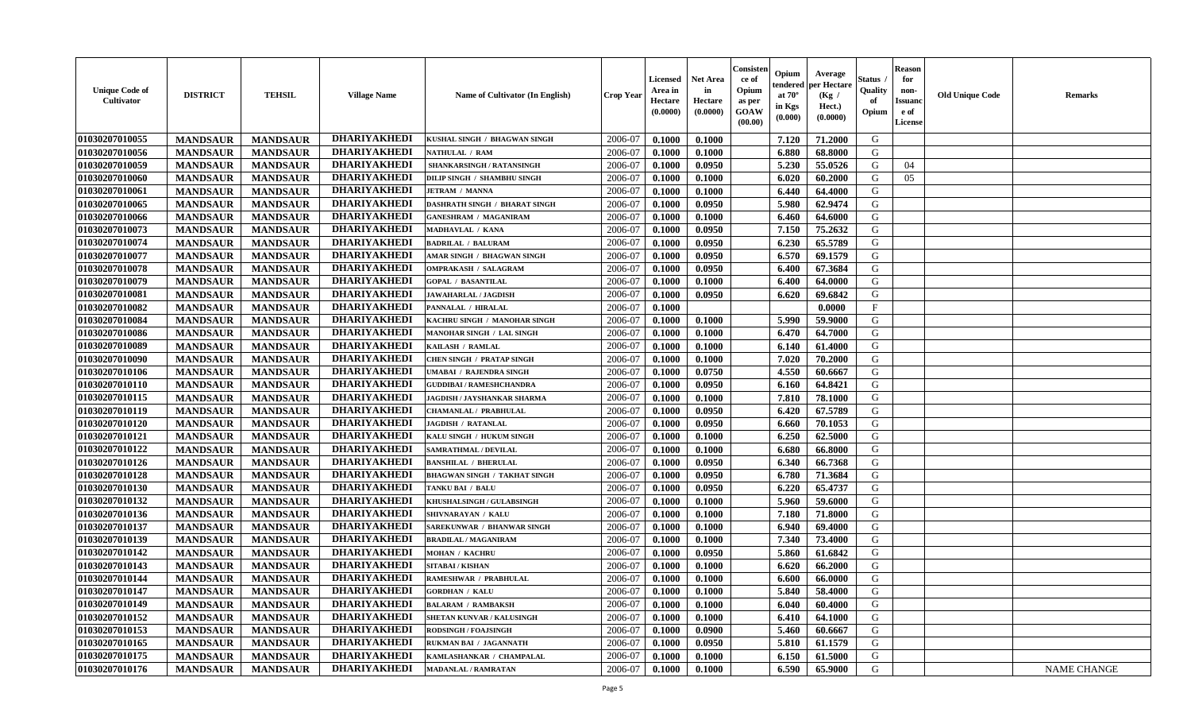| <b>Unique Code of</b><br><b>Cultivator</b> | <b>DISTRICT</b> | <b>TEHSIL</b>   | <b>Village Name</b> | Name of Cultivator (In English)      | <b>Crop Year</b> | <b>Licensed</b><br>Area in<br>Hectare<br>(0.0000) | <b>Net Area</b><br>in<br>Hectare<br>(0.0000) | Consisteı<br>ce of<br>Opium<br>as per<br><b>GOAW</b><br>(00.00) | Opium<br>endered<br>at $70^\circ$<br>in Kgs<br>$(\mathbf{0.000})$ | Average<br>per Hectare<br>(Kg /<br>Hect.)<br>(0.0000) | Status<br>Quality<br>of<br>Opium | Reason<br>for<br>non-<br>Issuan<br>e of<br>License | <b>Old Unique Code</b> | <b>Remarks</b>     |
|--------------------------------------------|-----------------|-----------------|---------------------|--------------------------------------|------------------|---------------------------------------------------|----------------------------------------------|-----------------------------------------------------------------|-------------------------------------------------------------------|-------------------------------------------------------|----------------------------------|----------------------------------------------------|------------------------|--------------------|
| 01030207010055                             | <b>MANDSAUR</b> | <b>MANDSAUR</b> | <b>DHARIYAKHEDI</b> | KUSHAL SINGH / BHAGWAN SINGH         | 2006-07          | 0.1000                                            | 0.1000                                       |                                                                 | 7.120                                                             | 71.2000                                               | G                                |                                                    |                        |                    |
| 01030207010056                             | <b>MANDSAUR</b> | <b>MANDSAUR</b> | <b>DHARIYAKHEDI</b> | NATHULAL / RAM                       | 2006-07          | 0.1000                                            | 0.1000                                       |                                                                 | 6.880                                                             | 68.8000                                               | G                                |                                                    |                        |                    |
| 01030207010059                             | <b>MANDSAUR</b> | <b>MANDSAUR</b> | <b>DHARIYAKHEDI</b> | SHANKARSINGH / RATANSINGH            | 2006-07          | 0.1000                                            | 0.0950                                       |                                                                 | 5.230                                                             | 55.0526                                               | G                                | 04                                                 |                        |                    |
| 01030207010060                             | <b>MANDSAUR</b> | <b>MANDSAUR</b> | <b>DHARIYAKHEDI</b> | DILIP SINGH / SHAMBHU SINGH          | 2006-07          | 0.1000                                            | 0.1000                                       |                                                                 | 6.020                                                             | 60.2000                                               | G                                | 05                                                 |                        |                    |
| 01030207010061                             | <b>MANDSAUR</b> | <b>MANDSAUR</b> | <b>DHARIYAKHEDI</b> | <b>JETRAM / MANNA</b>                | 2006-07          | 0.1000                                            | 0.1000                                       |                                                                 | 6.440                                                             | 64.4000                                               | G                                |                                                    |                        |                    |
| 01030207010065                             | <b>MANDSAUR</b> | <b>MANDSAUR</b> | <b>DHARIYAKHEDI</b> | <b>DASHRATH SINGH / BHARAT SINGH</b> | 2006-07          | 0.1000                                            | 0.0950                                       |                                                                 | 5.980                                                             | 62.9474                                               | G                                |                                                    |                        |                    |
| 01030207010066                             | <b>MANDSAUR</b> | <b>MANDSAUR</b> | <b>DHARIYAKHEDI</b> | <b>GANESHRAM / MAGANIRAM</b>         | 2006-07          | 0.1000                                            | 0.1000                                       |                                                                 | 6.460                                                             | 64.6000                                               | G                                |                                                    |                        |                    |
| 01030207010073                             | <b>MANDSAUR</b> | <b>MANDSAUR</b> | <b>DHARIYAKHEDI</b> | MADHAVLAL / KANA                     | 2006-07          | 0.1000                                            | 0.0950                                       |                                                                 | 7.150                                                             | 75.2632                                               | G                                |                                                    |                        |                    |
| 01030207010074                             | <b>MANDSAUR</b> | <b>MANDSAUR</b> | <b>DHARIYAKHEDI</b> | <b>BADRILAL / BALURAM</b>            | 2006-07          | 0.1000                                            | 0.0950                                       |                                                                 | 6.230                                                             | 65.5789                                               | G                                |                                                    |                        |                    |
| 01030207010077                             | <b>MANDSAUR</b> | <b>MANDSAUR</b> | <b>DHARIYAKHEDI</b> | AMAR SINGH / BHAGWAN SINGH           | 2006-07          | 0.1000                                            | 0.0950                                       |                                                                 | 6.570                                                             | 69.1579                                               | G                                |                                                    |                        |                    |
| 01030207010078                             | <b>MANDSAUR</b> | <b>MANDSAUR</b> | <b>DHARIYAKHEDI</b> | <b>OMPRAKASH / SALAGRAM</b>          | 2006-07          | 0.1000                                            | 0.0950                                       |                                                                 | 6.400                                                             | 67.3684                                               | G                                |                                                    |                        |                    |
| 01030207010079                             | <b>MANDSAUR</b> | <b>MANDSAUR</b> | <b>DHARIYAKHEDI</b> | <b>GOPAL / BASANTILAL</b>            | 2006-07          | 0.1000                                            | 0.1000                                       |                                                                 | 6.400                                                             | 64.0000                                               | G                                |                                                    |                        |                    |
| 01030207010081                             | <b>MANDSAUR</b> | <b>MANDSAUR</b> | <b>DHARIYAKHEDI</b> | <b>JAWAHARLAL / JAGDISH</b>          | 2006-07          | 0.1000                                            | 0.0950                                       |                                                                 | 6.620                                                             | 69.6842                                               | G                                |                                                    |                        |                    |
| 01030207010082                             | <b>MANDSAUR</b> | <b>MANDSAUR</b> | <b>DHARIYAKHEDI</b> | PANNALAL / HIRALAL                   | 2006-07          | 0.1000                                            |                                              |                                                                 |                                                                   | 0.0000                                                | $\mathbf{F}$                     |                                                    |                        |                    |
| 01030207010084                             | <b>MANDSAUR</b> | <b>MANDSAUR</b> | <b>DHARIYAKHEDI</b> | KACHRU SINGH / MANOHAR SINGH         | 2006-07          | 0.1000                                            | 0.1000                                       |                                                                 | 5.990                                                             | 59.9000                                               | G                                |                                                    |                        |                    |
| 01030207010086                             | <b>MANDSAUR</b> | <b>MANDSAUR</b> | <b>DHARIYAKHEDI</b> | MANOHAR SINGH / LAL SINGH            | 2006-07          | 0.1000                                            | 0.1000                                       |                                                                 | 6.470                                                             | 64.7000                                               | G                                |                                                    |                        |                    |
| 01030207010089                             | <b>MANDSAUR</b> | <b>MANDSAUR</b> | <b>DHARIYAKHEDI</b> | KAILASH / RAMLAL                     | 2006-07          | 0.1000                                            | 0.1000                                       |                                                                 | 6.140                                                             | 61.4000                                               | G                                |                                                    |                        |                    |
| 01030207010090                             | <b>MANDSAUR</b> | <b>MANDSAUR</b> | <b>DHARIYAKHEDI</b> | <b>CHEN SINGH / PRATAP SINGH</b>     | 2006-07          | 0.1000                                            | 0.1000                                       |                                                                 | 7.020                                                             | 70.2000                                               | G                                |                                                    |                        |                    |
| 01030207010106                             | <b>MANDSAUR</b> | <b>MANDSAUR</b> | <b>DHARIYAKHEDI</b> | UMABAI / RAJENDRA SINGH              | 2006-07          | 0.1000                                            | 0.0750                                       |                                                                 | 4.550                                                             | 60.6667                                               | G                                |                                                    |                        |                    |
| 01030207010110                             | <b>MANDSAUR</b> | <b>MANDSAUR</b> | <b>DHARIYAKHEDI</b> | <b>GUDDIBAI / RAMESHCHANDRA</b>      | 2006-07          | 0.1000                                            | 0.0950                                       |                                                                 | 6.160                                                             | 64.8421                                               | G                                |                                                    |                        |                    |
| 01030207010115                             | <b>MANDSAUR</b> | <b>MANDSAUR</b> | <b>DHARIYAKHEDI</b> | JAGDISH / JAYSHANKAR SHARMA          | 2006-07          | 0.1000                                            | 0.1000                                       |                                                                 | 7.810                                                             | 78.1000                                               | G                                |                                                    |                        |                    |
| 01030207010119                             | <b>MANDSAUR</b> | <b>MANDSAUR</b> | <b>DHARIYAKHEDI</b> | CHAMANLAL / PRABHULAL                | 2006-07          | 0.1000                                            | 0.0950                                       |                                                                 | 6.420                                                             | 67.5789                                               | G                                |                                                    |                        |                    |
| 01030207010120                             | <b>MANDSAUR</b> | <b>MANDSAUR</b> | <b>DHARIYAKHEDI</b> | <b>JAGDISH / RATANLAL</b>            | 2006-07          | 0.1000                                            | 0.0950                                       |                                                                 | 6.660                                                             | 70.1053                                               | G                                |                                                    |                        |                    |
| 01030207010121                             | <b>MANDSAUR</b> | <b>MANDSAUR</b> | <b>DHARIYAKHEDI</b> | KALU SINGH / HUKUM SINGH             | 2006-07          | 0.1000                                            | 0.1000                                       |                                                                 | 6.250                                                             | 62.5000                                               | G                                |                                                    |                        |                    |
| 01030207010122                             | <b>MANDSAUR</b> | <b>MANDSAUR</b> | <b>DHARIYAKHEDI</b> | SAMRATHMAL / DEVILAL                 | 2006-07          | 0.1000                                            | 0.1000                                       |                                                                 | 6.680                                                             | 66.8000                                               | G                                |                                                    |                        |                    |
| 01030207010126                             | <b>MANDSAUR</b> | <b>MANDSAUR</b> | <b>DHARIYAKHEDI</b> | <b>BANSHILAL / BHERULAL</b>          | 2006-07          | 0.1000                                            | 0.0950                                       |                                                                 | 6.340                                                             | 66.7368                                               | G                                |                                                    |                        |                    |
| 01030207010128                             | <b>MANDSAUR</b> | <b>MANDSAUR</b> | <b>DHARIYAKHEDI</b> | <b>BHAGWAN SINGH / TAKHAT SINGH</b>  | 2006-07          | 0.1000                                            | 0.0950                                       |                                                                 | 6.780                                                             | 71.3684                                               | G                                |                                                    |                        |                    |
| 01030207010130                             | <b>MANDSAUR</b> | <b>MANDSAUR</b> | <b>DHARIYAKHEDI</b> | TANKU BAI / BALU                     | 2006-07          | 0.1000                                            | 0.0950                                       |                                                                 | 6.220                                                             | 65.4737                                               | G                                |                                                    |                        |                    |
| 01030207010132                             | <b>MANDSAUR</b> | <b>MANDSAUR</b> | <b>DHARIYAKHEDI</b> | KHUSHALSINGH / GULABSINGH            | 2006-07          | 0.1000                                            | 0.1000                                       |                                                                 | 5.960                                                             | 59.6000                                               | G                                |                                                    |                        |                    |
| 01030207010136                             | <b>MANDSAUR</b> | <b>MANDSAUR</b> | <b>DHARIYAKHEDI</b> | SHIVNARAYAN / KALU                   | 2006-07          | 0.1000                                            | 0.1000                                       |                                                                 | 7.180                                                             | 71.8000                                               | G                                |                                                    |                        |                    |
| 01030207010137                             | <b>MANDSAUR</b> | <b>MANDSAUR</b> | <b>DHARIYAKHEDI</b> | SAREKUNWAR / BHANWAR SINGH           | 2006-07          | 0.1000                                            | 0.1000                                       |                                                                 | 6.940                                                             | 69.4000                                               | G                                |                                                    |                        |                    |
| 01030207010139                             | <b>MANDSAUR</b> | <b>MANDSAUR</b> | <b>DHARIYAKHEDI</b> | <b>BRADILAL / MAGANIRAM</b>          | 2006-07          | 0.1000                                            | 0.1000                                       |                                                                 | 7.340                                                             | 73.4000                                               | G                                |                                                    |                        |                    |
| 01030207010142                             | <b>MANDSAUR</b> | <b>MANDSAUR</b> | <b>DHARIYAKHEDI</b> | MOHAN / KACHRU                       | 2006-07          | 0.1000                                            | 0.0950                                       |                                                                 | 5.860                                                             | 61.6842                                               | G                                |                                                    |                        |                    |
| 01030207010143                             | <b>MANDSAUR</b> | <b>MANDSAUR</b> | <b>DHARIYAKHEDI</b> | <b>SITABAI/KISHAN</b>                | 2006-07          | 0.1000                                            | 0.1000                                       |                                                                 | 6.620                                                             | 66.2000                                               | G                                |                                                    |                        |                    |
| 01030207010144                             | <b>MANDSAUR</b> | <b>MANDSAUR</b> | <b>DHARIYAKHEDI</b> | RAMESHWAR / PRABHULAL                | 2006-07          | 0.1000                                            | 0.1000                                       |                                                                 | 6.600                                                             | 66.0000                                               | G                                |                                                    |                        |                    |
| <b>01030207010147</b>                      | <b>MANDSAUR</b> | <b>MANDSAUR</b> | DHARIYAKHEDI        | <b>GORDHAN / KALU</b>                | 2006-07          | 0.1000                                            | 0.1000                                       |                                                                 | 5.840                                                             | 58.4000                                               | G                                |                                                    |                        |                    |
| 01030207010149                             | <b>MANDSAUR</b> | <b>MANDSAUR</b> | <b>DHARIYAKHEDI</b> | <b>BALARAM / RAMBAKSH</b>            | 2006-07          | 0.1000                                            | 0.1000                                       |                                                                 | 6.040                                                             | 60.4000                                               | G                                |                                                    |                        |                    |
| 01030207010152                             | <b>MANDSAUR</b> | <b>MANDSAUR</b> | <b>DHARIYAKHEDI</b> | <b>SHETAN KUNVAR / KALUSINGH</b>     | 2006-07          | 0.1000                                            | 0.1000                                       |                                                                 | 6.410                                                             | 64.1000                                               | G                                |                                                    |                        |                    |
| 01030207010153                             | <b>MANDSAUR</b> | <b>MANDSAUR</b> | <b>DHARIYAKHEDI</b> | <b>RODSINGH / FOAJSINGH</b>          | 2006-07          | 0.1000                                            | 0.0900                                       |                                                                 | 5.460                                                             | 60.6667                                               | G                                |                                                    |                        |                    |
| 01030207010165                             | <b>MANDSAUR</b> | <b>MANDSAUR</b> | <b>DHARIYAKHEDI</b> | RUKMAN BAI / JAGANNATH               | 2006-07          | 0.1000                                            | 0.0950                                       |                                                                 | 5.810                                                             | 61.1579                                               | G                                |                                                    |                        |                    |
| 01030207010175                             | <b>MANDSAUR</b> | <b>MANDSAUR</b> | <b>DHARIYAKHEDI</b> | KAMLASHANKAR / CHAMPALAL             | 2006-07          | 0.1000                                            | 0.1000                                       |                                                                 | 6.150                                                             | 61.5000                                               | G                                |                                                    |                        |                    |
| 01030207010176                             | <b>MANDSAUR</b> | <b>MANDSAUR</b> | <b>DHARIYAKHEDI</b> | <b>MADANLAL / RAMRATAN</b>           | 2006-07          | 0.1000                                            | 0.1000                                       |                                                                 | 6.590                                                             | 65.9000                                               | G                                |                                                    |                        | <b>NAME CHANGE</b> |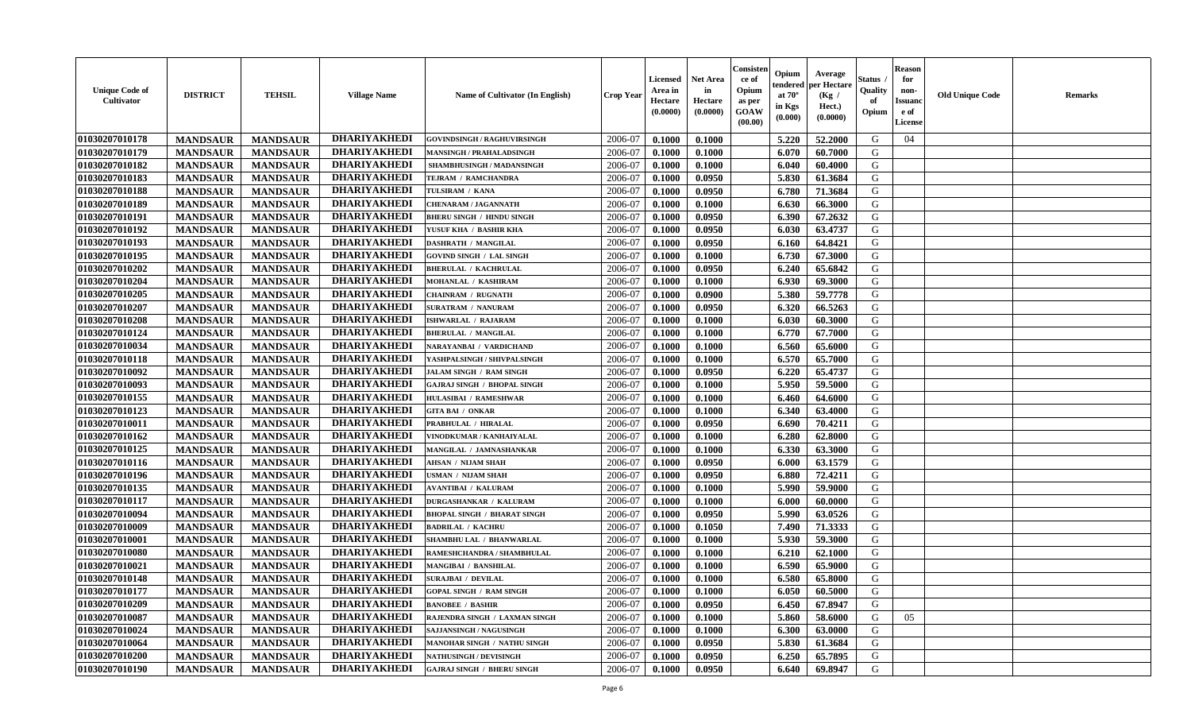| <b>Unique Code of</b><br><b>Cultivator</b> | <b>DISTRICT</b> | <b>TEHSIL</b>   | <b>Village Name</b> | Name of Cultivator (In English)    | <b>Crop Year</b> | <b>Licensed</b><br>Area in<br>Hectare<br>(0.0000) | <b>Net Area</b><br>in<br>Hectare<br>(0.0000) | Consisteı<br>ce of<br>Opium<br>as per<br><b>GOAW</b><br>(00.00) | Opium<br>endered<br>at $70^\circ$<br>in Kgs<br>$(\mathbf{0.000})$ | Average<br>per Hectare<br>(Kg /<br>Hect.)<br>(0.0000) | Status<br>Quality<br>of<br>Opium | Reason<br>for<br>non-<br>Issuan<br>e of<br>License | <b>Old Unique Code</b> | <b>Remarks</b> |
|--------------------------------------------|-----------------|-----------------|---------------------|------------------------------------|------------------|---------------------------------------------------|----------------------------------------------|-----------------------------------------------------------------|-------------------------------------------------------------------|-------------------------------------------------------|----------------------------------|----------------------------------------------------|------------------------|----------------|
| 01030207010178                             | <b>MANDSAUR</b> | <b>MANDSAUR</b> | <b>DHARIYAKHEDI</b> | <b>GOVINDSINGH / RAGHUVIRSINGH</b> | 2006-07          | 0.1000                                            | 0.1000                                       |                                                                 | 5.220                                                             | 52.2000                                               | G                                | 04                                                 |                        |                |
| 01030207010179                             | <b>MANDSAUR</b> | <b>MANDSAUR</b> | <b>DHARIYAKHEDI</b> | <b>MANSINGH / PRAHALADSINGH</b>    | 2006-07          | 0.1000                                            | 0.1000                                       |                                                                 | 6.070                                                             | 60.7000                                               | G                                |                                                    |                        |                |
| 01030207010182                             | <b>MANDSAUR</b> | <b>MANDSAUR</b> | <b>DHARIYAKHEDI</b> | SHAMBHUSINGH / MADANSINGH          | 2006-07          | 0.1000                                            | 0.1000                                       |                                                                 | 6.040                                                             | 60.4000                                               | G                                |                                                    |                        |                |
| 01030207010183                             | <b>MANDSAUR</b> | <b>MANDSAUR</b> | <b>DHARIYAKHEDI</b> | TEJRAM / RAMCHANDRA                | 2006-07          | 0.1000                                            | 0.0950                                       |                                                                 | 5.830                                                             | 61.3684                                               | G                                |                                                    |                        |                |
| 01030207010188                             | <b>MANDSAUR</b> | <b>MANDSAUR</b> | <b>DHARIYAKHEDI</b> | TULSIRAM / KANA                    | 2006-07          | 0.1000                                            | 0.0950                                       |                                                                 | 6.780                                                             | 71.3684                                               | G                                |                                                    |                        |                |
| 01030207010189                             | <b>MANDSAUR</b> | <b>MANDSAUR</b> | <b>DHARIYAKHEDI</b> | <b>CHENARAM / JAGANNATH</b>        | 2006-07          | 0.1000                                            | 0.1000                                       |                                                                 | 6.630                                                             | 66.3000                                               | G                                |                                                    |                        |                |
| 01030207010191                             | <b>MANDSAUR</b> | <b>MANDSAUR</b> | <b>DHARIYAKHEDI</b> | <b>BHERU SINGH / HINDU SINGH</b>   | 2006-07          | 0.1000                                            | 0.0950                                       |                                                                 | 6.390                                                             | 67.2632                                               | G                                |                                                    |                        |                |
| 01030207010192                             | <b>MANDSAUR</b> | <b>MANDSAUR</b> | <b>DHARIYAKHEDI</b> | YUSUF KHA / BASHIR KHA             | 2006-07          | 0.1000                                            | 0.0950                                       |                                                                 | 6.030                                                             | 63.4737                                               | G                                |                                                    |                        |                |
| 01030207010193                             | <b>MANDSAUR</b> | <b>MANDSAUR</b> | <b>DHARIYAKHEDI</b> | <b>DASHRATH / MANGILAL</b>         | 2006-07          | 0.1000                                            | 0.0950                                       |                                                                 | 6.160                                                             | 64.8421                                               | G                                |                                                    |                        |                |
| 01030207010195                             | <b>MANDSAUR</b> | <b>MANDSAUR</b> | <b>DHARIYAKHEDI</b> | GOVIND SINGH / LAL SINGH           | 2006-07          | 0.1000                                            | 0.1000                                       |                                                                 | 6.730                                                             | 67.3000                                               | G                                |                                                    |                        |                |
| 01030207010202                             | <b>MANDSAUR</b> | <b>MANDSAUR</b> | <b>DHARIYAKHEDI</b> | <b>BHERULAL / KACHRULAL</b>        | 2006-07          | 0.1000                                            | 0.0950                                       |                                                                 | 6.240                                                             | 65.6842                                               | G                                |                                                    |                        |                |
| 01030207010204                             | <b>MANDSAUR</b> | <b>MANDSAUR</b> | <b>DHARIYAKHEDI</b> | MOHANLAL / KASHIRAM                | 2006-07          | 0.1000                                            | 0.1000                                       |                                                                 | 6.930                                                             | 69.3000                                               | G                                |                                                    |                        |                |
| 01030207010205                             | <b>MANDSAUR</b> | <b>MANDSAUR</b> | <b>DHARIYAKHEDI</b> | CHAINRAM / RUGNATH                 | 2006-07          | 0.1000                                            | 0.0900                                       |                                                                 | 5.380                                                             | 59.7778                                               | G                                |                                                    |                        |                |
| 01030207010207                             | <b>MANDSAUR</b> | <b>MANDSAUR</b> | <b>DHARIYAKHEDI</b> | <b>SURATRAM / NANURAM</b>          | 2006-07          | 0.1000                                            | 0.0950                                       |                                                                 | 6.320                                                             | 66.5263                                               | G                                |                                                    |                        |                |
| 01030207010208                             | <b>MANDSAUR</b> | <b>MANDSAUR</b> | <b>DHARIYAKHEDI</b> | ISHWARLAL / RAJARAM                | 2006-07          | 0.1000                                            | 0.1000                                       |                                                                 | 6.030                                                             | 60.3000                                               | G                                |                                                    |                        |                |
| 01030207010124                             | <b>MANDSAUR</b> | <b>MANDSAUR</b> | <b>DHARIYAKHEDI</b> | <b>BHERULAL / MANGILAL</b>         | 2006-07          | 0.1000                                            | 0.1000                                       |                                                                 | 6.770                                                             | 67.7000                                               | G                                |                                                    |                        |                |
| 01030207010034                             | <b>MANDSAUR</b> | <b>MANDSAUR</b> | <b>DHARIYAKHEDI</b> | NARAYANBAI / VARDICHAND            | 2006-07          | 0.1000                                            | 0.1000                                       |                                                                 | 6.560                                                             | 65.6000                                               | G                                |                                                    |                        |                |
| 01030207010118                             | <b>MANDSAUR</b> | <b>MANDSAUR</b> | <b>DHARIYAKHEDI</b> | YASHPALSINGH / SHIVPALSINGH        | 2006-07          | 0.1000                                            | 0.1000                                       |                                                                 | 6.570                                                             | 65.7000                                               | G                                |                                                    |                        |                |
| 01030207010092                             | <b>MANDSAUR</b> | <b>MANDSAUR</b> | <b>DHARIYAKHEDI</b> | JALAM SINGH / RAM SINGH            | 2006-07          | 0.1000                                            | 0.0950                                       |                                                                 | 6.220                                                             | 65.4737                                               | G                                |                                                    |                        |                |
| 01030207010093                             | <b>MANDSAUR</b> | <b>MANDSAUR</b> | <b>DHARIYAKHEDI</b> | <b>GAJRAJ SINGH / BHOPAL SINGH</b> | 2006-07          | 0.1000                                            | 0.1000                                       |                                                                 | 5.950                                                             | 59.5000                                               | G                                |                                                    |                        |                |
| 01030207010155                             | <b>MANDSAUR</b> | <b>MANDSAUR</b> | <b>DHARIYAKHEDI</b> | <b>HULASIBAI / RAMESHWAR</b>       | 2006-07          | 0.1000                                            | 0.1000                                       |                                                                 | 6.460                                                             | 64.6000                                               | G                                |                                                    |                        |                |
| 01030207010123                             | <b>MANDSAUR</b> | <b>MANDSAUR</b> | <b>DHARIYAKHEDI</b> | <b>GITA BAI / ONKAR</b>            | 2006-07          | 0.1000                                            | 0.1000                                       |                                                                 | 6.340                                                             | 63.4000                                               | G                                |                                                    |                        |                |
| 01030207010011                             | <b>MANDSAUR</b> | <b>MANDSAUR</b> | <b>DHARIYAKHEDI</b> | PRABHULAL / HIRALAL                | 2006-07          | 0.1000                                            | 0.0950                                       |                                                                 | 6.690                                                             | 70.4211                                               | G                                |                                                    |                        |                |
| 01030207010162                             | <b>MANDSAUR</b> | <b>MANDSAUR</b> | <b>DHARIYAKHEDI</b> | VINODKUMAR / KANHAIYALAL           | 2006-07          | 0.1000                                            | 0.1000                                       |                                                                 | 6.280                                                             | 62.8000                                               | G                                |                                                    |                        |                |
| 01030207010125                             | <b>MANDSAUR</b> | <b>MANDSAUR</b> | <b>DHARIYAKHEDI</b> | MANGILAL / JAMNASHANKAR            | 2006-07          | 0.1000                                            | 0.1000                                       |                                                                 | 6.330                                                             | 63.3000                                               | G                                |                                                    |                        |                |
| 01030207010116                             | <b>MANDSAUR</b> | <b>MANDSAUR</b> | <b>DHARIYAKHEDI</b> | <b>AHSAN / NIJAM SHAH</b>          | 2006-07          | 0.1000                                            | 0.0950                                       |                                                                 | 6.000                                                             | 63.1579                                               | G                                |                                                    |                        |                |
| 01030207010196                             | <b>MANDSAUR</b> | <b>MANDSAUR</b> | <b>DHARIYAKHEDI</b> | USMAN / NIJAM SHAH                 | 2006-07          | 0.1000                                            | 0.0950                                       |                                                                 | 6.880                                                             | 72.4211                                               | G                                |                                                    |                        |                |
| 01030207010135                             | <b>MANDSAUR</b> | <b>MANDSAUR</b> | <b>DHARIYAKHEDI</b> | <b>AVANTIBAI / KALURAM</b>         | 2006-07          | 0.1000                                            | 0.1000                                       |                                                                 | 5.990                                                             | 59.9000                                               | G                                |                                                    |                        |                |
| 01030207010117                             | <b>MANDSAUR</b> | <b>MANDSAUR</b> | <b>DHARIYAKHEDI</b> | <b>DURGASHANKAR / KALURAM</b>      | 2006-07          | 0.1000                                            | 0.1000                                       |                                                                 | 6.000                                                             | 60.0000                                               | G                                |                                                    |                        |                |
| 01030207010094                             | <b>MANDSAUR</b> | <b>MANDSAUR</b> | <b>DHARIYAKHEDI</b> | <b>BHOPAL SINGH / BHARAT SINGH</b> | 2006-07          | 0.1000                                            | 0.0950                                       |                                                                 | 5.990                                                             | 63.0526                                               | G                                |                                                    |                        |                |
| 01030207010009                             | <b>MANDSAUR</b> | <b>MANDSAUR</b> | <b>DHARIYAKHEDI</b> | <b>BADRILAL / KACHRU</b>           | 2006-07          | 0.1000                                            | 0.1050                                       |                                                                 | 7.490                                                             | 71.3333                                               | G                                |                                                    |                        |                |
| 01030207010001                             | <b>MANDSAUR</b> | <b>MANDSAUR</b> | <b>DHARIYAKHEDI</b> | SHAMBHU LAL / BHANWARLAL           | 2006-07          | 0.1000                                            | 0.1000                                       |                                                                 | 5.930                                                             | 59.3000                                               | G                                |                                                    |                        |                |
| 01030207010080                             | <b>MANDSAUR</b> | <b>MANDSAUR</b> | <b>DHARIYAKHEDI</b> | RAMESHCHANDRA / SHAMBHULAL         | 2006-07          | 0.1000                                            | 0.1000                                       |                                                                 | 6.210                                                             | 62.1000                                               | G                                |                                                    |                        |                |
| 01030207010021                             | <b>MANDSAUR</b> | <b>MANDSAUR</b> | <b>DHARIYAKHEDI</b> | MANGIBAI / BANSHILAL               | 2006-07          | 0.1000                                            | 0.1000                                       |                                                                 | 6.590                                                             | 65.9000                                               | G                                |                                                    |                        |                |
| 01030207010148                             | <b>MANDSAUR</b> | <b>MANDSAUR</b> | <b>DHARIYAKHEDI</b> | <b>SURAJBAI / DEVILAL</b>          | 2006-07          | 0.1000                                            | 0.1000                                       |                                                                 | 6.580                                                             | 65.8000                                               | G                                |                                                    |                        |                |
| <b>01030207010177</b>                      | <b>MANDSAUR</b> | <b>MANDSAUR</b> | DHARIYAKHEDI        | <b>GOPAL SINGH / RAM SINGH</b>     | 2006-07          | 0.1000                                            | 0.1000                                       |                                                                 | $6.050$                                                           | 60.5000                                               | G                                |                                                    |                        |                |
| 01030207010209                             | <b>MANDSAUR</b> | <b>MANDSAUR</b> | <b>DHARIYAKHEDI</b> | <b>BANOBEE / BASHIR</b>            | 2006-07          | 0.1000                                            | 0.0950                                       |                                                                 | 6.450                                                             | 67.8947                                               | G                                |                                                    |                        |                |
| <b>01030207010087</b>                      | <b>MANDSAUR</b> | <b>MANDSAUR</b> | <b>DHARIYAKHEDI</b> | RAJENDRA SINGH / LAXMAN SINGH      | 2006-07          | 0.1000                                            | 0.1000                                       |                                                                 | 5.860                                                             | 58.6000                                               | G                                | 05                                                 |                        |                |
| 01030207010024                             | <b>MANDSAUR</b> | <b>MANDSAUR</b> | <b>DHARIYAKHEDI</b> | SAJJANSINGH / NAGUSINGH            | 2006-07          | 0.1000                                            | 0.1000                                       |                                                                 | 6.300                                                             | 63.0000                                               | G                                |                                                    |                        |                |
| 01030207010064                             | <b>MANDSAUR</b> | <b>MANDSAUR</b> | <b>DHARIYAKHEDI</b> | MANOHAR SINGH / NATHU SINGH        | 2006-07          | 0.1000                                            | 0.0950                                       |                                                                 | 5.830                                                             | 61.3684                                               | G                                |                                                    |                        |                |
| 01030207010200                             | <b>MANDSAUR</b> | <b>MANDSAUR</b> | <b>DHARIYAKHEDI</b> | <b>NATHUSINGH / DEVISINGH</b>      | 2006-07          | 0.1000                                            | 0.0950                                       |                                                                 | 6.250                                                             | 65.7895                                               | G                                |                                                    |                        |                |
| 01030207010190                             | <b>MANDSAUR</b> | <b>MANDSAUR</b> | <b>DHARIYAKHEDI</b> | <b>GAJRAJ SINGH / BHERU SINGH</b>  | 2006-07          | 0.1000                                            | 0.0950                                       |                                                                 | 6.640                                                             | 69.8947                                               | G                                |                                                    |                        |                |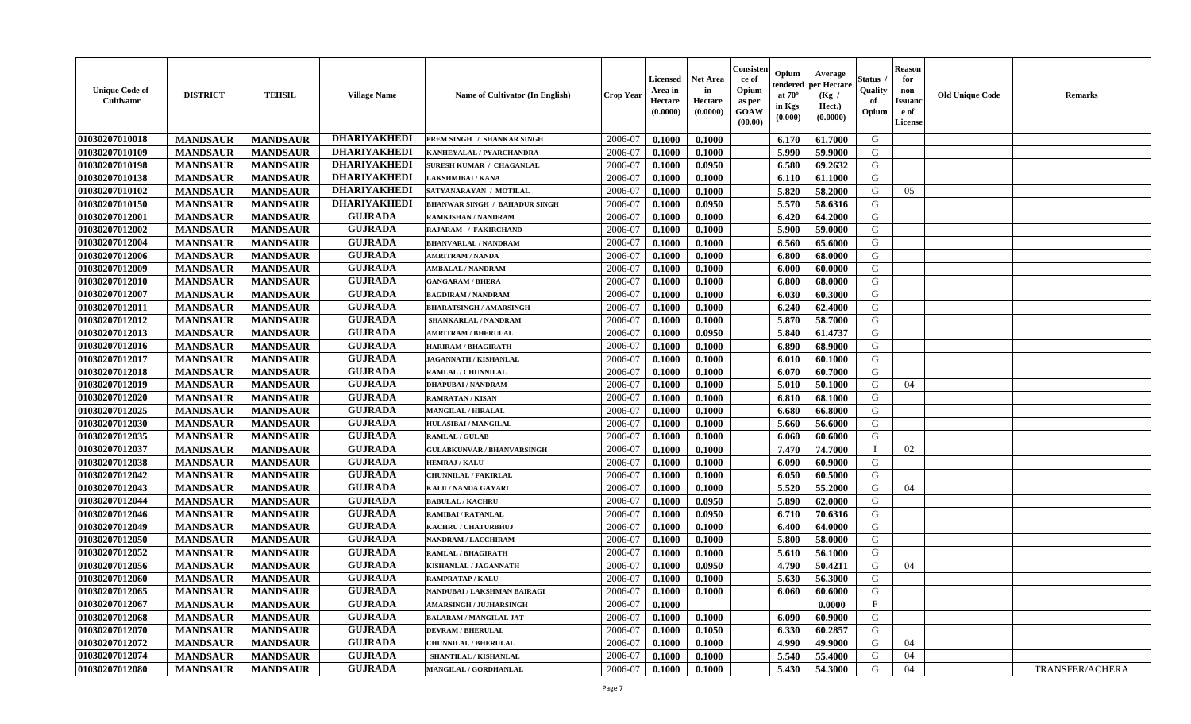| <b>Unique Code of</b><br>Cultivator | <b>DISTRICT</b> | <b>TEHSIL</b>   | <b>Village Name</b> | Name of Cultivator (In English)      | <b>Crop Year</b> | <b>Licensed</b><br>Area in<br>Hectare<br>(0.0000) | <b>Net Area</b><br>in<br>Hectare<br>(0.0000) | Consister<br>ce of<br>Opium<br>as per<br><b>GOAW</b><br>(00.00) | Opium<br>endered<br>at $70^{\circ}$<br>in Kgs<br>(0.000) | Average<br>per Hectare<br>(Kg /<br>Hect.)<br>(0.0000) | Status<br>Quality<br>of<br>Opium | <b>Reason</b><br>for<br>non-<br><b>Issuanc</b><br>e of<br>License | <b>Old Unique Code</b> | <b>Remarks</b>  |
|-------------------------------------|-----------------|-----------------|---------------------|--------------------------------------|------------------|---------------------------------------------------|----------------------------------------------|-----------------------------------------------------------------|----------------------------------------------------------|-------------------------------------------------------|----------------------------------|-------------------------------------------------------------------|------------------------|-----------------|
| 01030207010018                      | <b>MANDSAUR</b> | <b>MANDSAUR</b> | <b>DHARIYAKHEDI</b> | PREM SINGH / SHANKAR SINGH           | 2006-07          | 0.1000                                            | 0.1000                                       |                                                                 | 6.170                                                    | 61.7000                                               | G                                |                                                                   |                        |                 |
| 01030207010109                      | <b>MANDSAUR</b> | <b>MANDSAUR</b> | <b>DHARIYAKHEDI</b> | KANHEYALAL / PYARCHANDRA             | 2006-07          | 0.1000                                            | 0.1000                                       |                                                                 | 5.990                                                    | 59.9000                                               | G                                |                                                                   |                        |                 |
| 01030207010198                      | <b>MANDSAUR</b> | <b>MANDSAUR</b> | <b>DHARIYAKHEDI</b> | SURESH KUMAR / CHAGANLAL             | 2006-07          | 0.1000                                            | 0.0950                                       |                                                                 | 6.580                                                    | 69.2632                                               | G                                |                                                                   |                        |                 |
| 01030207010138                      | <b>MANDSAUR</b> | <b>MANDSAUR</b> | <b>DHARIYAKHEDI</b> | LAKSHMIBAI / KANA                    | 2006-07          | 0.1000                                            | 0.1000                                       |                                                                 | 6.110                                                    | 61.1000                                               | G                                |                                                                   |                        |                 |
| 01030207010102                      | <b>MANDSAUR</b> | <b>MANDSAUR</b> | <b>DHARIYAKHEDI</b> | SATYANARAYAN / MOTILAL               | 2006-07          | 0.1000                                            | 0.1000                                       |                                                                 | 5.820                                                    | 58.2000                                               | G                                | 05                                                                |                        |                 |
| 01030207010150                      | <b>MANDSAUR</b> | <b>MANDSAUR</b> | <b>DHARIYAKHEDI</b> | <b>BHANWAR SINGH / BAHADUR SINGH</b> | 2006-07          | 0.1000                                            | 0.0950                                       |                                                                 | 5.570                                                    | 58.6316                                               | G                                |                                                                   |                        |                 |
| 01030207012001                      | <b>MANDSAUR</b> | <b>MANDSAUR</b> | <b>GUJRADA</b>      | RAMKISHAN / NANDRAM                  | 2006-07          | 0.1000                                            | 0.1000                                       |                                                                 | 6.420                                                    | 64.2000                                               | G                                |                                                                   |                        |                 |
| 01030207012002                      | <b>MANDSAUR</b> | <b>MANDSAUR</b> | <b>GUJRADA</b>      | RAJARAM / FAKIRCHAND                 | 2006-07          | 0.1000                                            | 0.1000                                       |                                                                 | 5.900                                                    | 59.0000                                               | G                                |                                                                   |                        |                 |
| 01030207012004                      | <b>MANDSAUR</b> | <b>MANDSAUR</b> | <b>GUJRADA</b>      | <b>BHANVARLAL / NANDRAM</b>          | 2006-07          | 0.1000                                            | 0.1000                                       |                                                                 | 6.560                                                    | 65.6000                                               | G                                |                                                                   |                        |                 |
| 01030207012006                      | <b>MANDSAUR</b> | <b>MANDSAUR</b> | <b>GUJRADA</b>      | <b>AMRITRAM / NANDA</b>              | 2006-07          | 0.1000                                            | 0.1000                                       |                                                                 | 6.800                                                    | 68.0000                                               | G                                |                                                                   |                        |                 |
| 01030207012009                      | <b>MANDSAUR</b> | <b>MANDSAUR</b> | <b>GUJRADA</b>      | <b>AMBALAL / NANDRAM</b>             | 2006-07          | 0.1000                                            | 0.1000                                       |                                                                 | 6.000                                                    | 60.0000                                               | G                                |                                                                   |                        |                 |
| 01030207012010                      | <b>MANDSAUR</b> | <b>MANDSAUR</b> | <b>GUJRADA</b>      | <b>GANGARAM / BHERA</b>              | 2006-07          | 0.1000                                            | 0.1000                                       |                                                                 | 6.800                                                    | 68.0000                                               | G                                |                                                                   |                        |                 |
| 01030207012007                      | <b>MANDSAUR</b> | <b>MANDSAUR</b> | <b>GUJRADA</b>      | <b>BAGDIRAM / NANDRAM</b>            | 2006-07          | 0.1000                                            | 0.1000                                       |                                                                 | 6.030                                                    | 60.3000                                               | G                                |                                                                   |                        |                 |
| 01030207012011                      | <b>MANDSAUR</b> | <b>MANDSAUR</b> | <b>GUJRADA</b>      | <b>BHARATSINGH / AMARSINGH</b>       | 2006-07          | 0.1000                                            | 0.1000                                       |                                                                 | 6.240                                                    | 62.4000                                               | G                                |                                                                   |                        |                 |
| 01030207012012                      | <b>MANDSAUR</b> | <b>MANDSAUR</b> | <b>GUJRADA</b>      | SHANKARLAL / NANDRAM                 | 2006-07          | 0.1000                                            | 0.1000                                       |                                                                 | 5.870                                                    | 58.7000                                               | G                                |                                                                   |                        |                 |
| 01030207012013                      | <b>MANDSAUR</b> | <b>MANDSAUR</b> | <b>GUJRADA</b>      | <b>AMRITRAM / BHERULAL</b>           | 2006-07          | 0.1000                                            | 0.0950                                       |                                                                 | 5.840                                                    | 61.4737                                               | G                                |                                                                   |                        |                 |
| 01030207012016                      | <b>MANDSAUR</b> | <b>MANDSAUR</b> | <b>GUJRADA</b>      | <b>HARIRAM / BHAGIRATH</b>           | 2006-07          | 0.1000                                            | 0.1000                                       |                                                                 | 6.890                                                    | 68.9000                                               | G                                |                                                                   |                        |                 |
| 01030207012017                      | <b>MANDSAUR</b> | <b>MANDSAUR</b> | <b>GUJRADA</b>      | JAGANNATH / KISHANLAL                | 2006-07          | 0.1000                                            | 0.1000                                       |                                                                 | 6.010                                                    | 60.1000                                               | G                                |                                                                   |                        |                 |
| 01030207012018                      | <b>MANDSAUR</b> | <b>MANDSAUR</b> | <b>GUJRADA</b>      | RAMLAL / CHUNNILAL                   | 2006-07          | 0.1000                                            | 0.1000                                       |                                                                 | 6.070                                                    | 60.7000                                               | G                                |                                                                   |                        |                 |
| 01030207012019                      | <b>MANDSAUR</b> | <b>MANDSAUR</b> | <b>GUJRADA</b>      | <b>DHAPUBAI/NANDRAM</b>              | 2006-07          | 0.1000                                            | 0.1000                                       |                                                                 | 5.010                                                    | 50.1000                                               | G                                | 04                                                                |                        |                 |
| 01030207012020                      | <b>MANDSAUR</b> | <b>MANDSAUR</b> | <b>GUJRADA</b>      | <b>RAMRATAN / KISAN</b>              | 2006-07          | 0.1000                                            | 0.1000                                       |                                                                 | 6.810                                                    | 68.1000                                               | G                                |                                                                   |                        |                 |
| 01030207012025                      | <b>MANDSAUR</b> | <b>MANDSAUR</b> | <b>GUJRADA</b>      | <b>MANGILAL / HIRALAL</b>            | 2006-07          | 0.1000                                            | 0.1000                                       |                                                                 | 6.680                                                    | 66.8000                                               | G                                |                                                                   |                        |                 |
| 01030207012030                      | <b>MANDSAUR</b> | <b>MANDSAUR</b> | <b>GUJRADA</b>      | <b>HULASIBAI / MANGILAL</b>          | 2006-07          | 0.1000                                            | 0.1000                                       |                                                                 | 5.660                                                    | 56.6000                                               | G                                |                                                                   |                        |                 |
| 01030207012035                      | <b>MANDSAUR</b> | <b>MANDSAUR</b> | <b>GUJRADA</b>      | <b>RAMLAL / GULAB</b>                | 2006-07          | 0.1000                                            | 0.1000                                       |                                                                 | 6.060                                                    | 60.6000                                               | G                                |                                                                   |                        |                 |
| 01030207012037                      | <b>MANDSAUR</b> | <b>MANDSAUR</b> | <b>GUJRADA</b>      | <b>GULABKUNVAR / BHANVARSINGH</b>    | 2006-07          | 0.1000                                            | 0.1000                                       |                                                                 | 7.470                                                    | 74.7000                                               |                                  | 02                                                                |                        |                 |
| 01030207012038                      | <b>MANDSAUR</b> | <b>MANDSAUR</b> | <b>GUJRADA</b>      | <b>HEMRAJ / KALU</b>                 | 2006-07          | 0.1000                                            | 0.1000                                       |                                                                 | 6.090                                                    | 60.9000                                               | G                                |                                                                   |                        |                 |
| 01030207012042                      | <b>MANDSAUR</b> | <b>MANDSAUR</b> | <b>GUJRADA</b>      | <b>CHUNNILAL / FAKIRLAL</b>          | 2006-07          | 0.1000                                            | 0.1000                                       |                                                                 | 6.050                                                    | 60.5000                                               | G                                |                                                                   |                        |                 |
| 01030207012043                      | <b>MANDSAUR</b> | <b>MANDSAUR</b> | <b>GUJRADA</b>      | KALU / NANDA GAYARI                  | 2006-07          | 0.1000                                            | 0.1000                                       |                                                                 | 5.520                                                    | 55,2000                                               | G                                | 04                                                                |                        |                 |
| 01030207012044                      | <b>MANDSAUR</b> | <b>MANDSAUR</b> | <b>GUJRADA</b>      | <b>BABULAL / KACHRU</b>              | 2006-07          | 0.1000                                            | 0.0950                                       |                                                                 | 5.890                                                    | 62.0000                                               | G                                |                                                                   |                        |                 |
| 01030207012046                      | <b>MANDSAUR</b> | <b>MANDSAUR</b> | <b>GUJRADA</b>      | RAMIBAI / RATANLAL                   | 2006-07          | 0.1000                                            | 0.0950                                       |                                                                 | 6.710                                                    | 70.6316                                               | G                                |                                                                   |                        |                 |
| 01030207012049                      | <b>MANDSAUR</b> | <b>MANDSAUR</b> | <b>GUJRADA</b>      | <b>KACHRU / CHATURBHUJ</b>           | 2006-07          | 0.1000                                            | 0.1000                                       |                                                                 | 6.400                                                    | 64.0000                                               | G                                |                                                                   |                        |                 |
| 01030207012050                      | <b>MANDSAUR</b> | <b>MANDSAUR</b> | <b>GUJRADA</b>      | <b>NANDRAM / LACCHIRAM</b>           | 2006-07          | 0.1000                                            | 0.1000                                       |                                                                 | 5.800                                                    | 58.0000                                               | G                                |                                                                   |                        |                 |
| 01030207012052                      | <b>MANDSAUR</b> | <b>MANDSAUR</b> | <b>GUJRADA</b>      | RAMLAL / BHAGIRATH                   | 2006-07          | 0.1000                                            | 0.1000                                       |                                                                 | 5.610                                                    | 56.1000                                               | G                                |                                                                   |                        |                 |
| 01030207012056                      | <b>MANDSAUR</b> | <b>MANDSAUR</b> | <b>GUJRADA</b>      | KISHANLAL / JAGANNATH                | 2006-07          | 0.1000                                            | 0.0950                                       |                                                                 | 4.790                                                    | 50.4211                                               | G                                | 04                                                                |                        |                 |
| 01030207012060                      | <b>MANDSAUR</b> | <b>MANDSAUR</b> | <b>GUJRADA</b>      | <b>RAMPRATAP / KALU</b>              | 2006-07          | 0.1000                                            | 0.1000                                       |                                                                 | 5.630                                                    | 56.3000                                               | G                                |                                                                   |                        |                 |
| 01030207012065                      | <b>MANDSAUR</b> | MANDSAUR        | <b>GUJRADA</b>      | NANDUBAI / LAKSHMAN BAIRAGI          | 2006-07          | 0.1000                                            | 0.1000                                       |                                                                 | 6.060                                                    | 60.6000                                               | G                                |                                                                   |                        |                 |
| 01030207012067                      | <b>MANDSAUR</b> | <b>MANDSAUR</b> | <b>GUJRADA</b>      | <b>AMARSINGH / JUJHARSINGH</b>       | 2006-07          | 0.1000                                            |                                              |                                                                 |                                                          | 0.0000                                                | $\mathbf{F}$                     |                                                                   |                        |                 |
| 01030207012068                      | <b>MANDSAUR</b> | <b>MANDSAUR</b> | <b>GUJRADA</b>      | <b>BALARAM / MANGILAL JAT</b>        | 2006-07          | 0.1000                                            | 0.1000                                       |                                                                 | 6.090                                                    | 60.9000                                               | G                                |                                                                   |                        |                 |
| 01030207012070                      | <b>MANDSAUR</b> | <b>MANDSAUR</b> | <b>GUJRADA</b>      | <b>DEVRAM / BHERULAL</b>             | 2006-07          | 0.1000                                            | 0.1050                                       |                                                                 | 6.330                                                    | 60.2857                                               | G                                |                                                                   |                        |                 |
| 01030207012072                      | <b>MANDSAUR</b> | <b>MANDSAUR</b> | <b>GUJRADA</b>      | <b>CHUNNILAL / BHERULAL</b>          | 2006-07          | 0.1000                                            | 0.1000                                       |                                                                 | 4.990                                                    | 49.9000                                               | G                                | 04                                                                |                        |                 |
| 01030207012074                      | <b>MANDSAUR</b> | <b>MANDSAUR</b> | <b>GUJRADA</b>      | SHANTILAL / KISHANLAL                | 2006-07          | 0.1000                                            | 0.1000                                       |                                                                 | 5.540                                                    | 55.4000                                               | G                                | 04                                                                |                        |                 |
| 01030207012080                      | <b>MANDSAUR</b> | <b>MANDSAUR</b> | <b>GUJRADA</b>      | MANGILAL / GORDHANLAL                | 2006-07          | 0.1000                                            | 0.1000                                       |                                                                 | 5.430                                                    | 54.3000                                               | G                                | 04                                                                |                        | TRANSFER/ACHERA |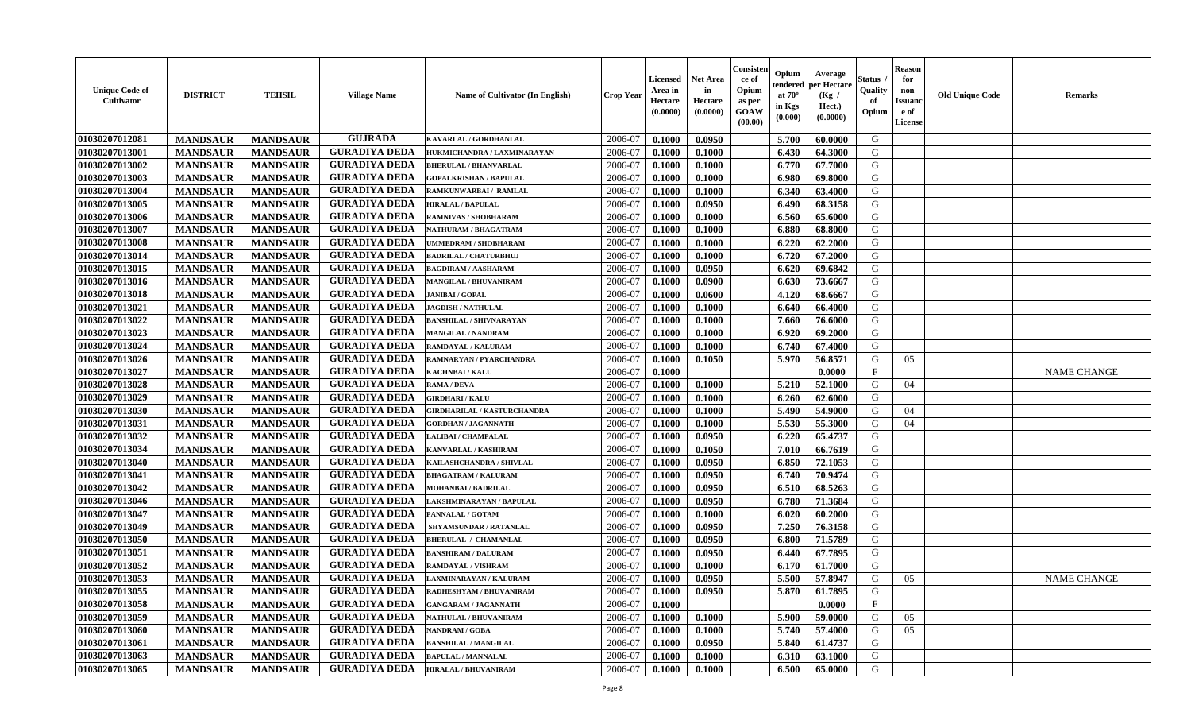| <b>Unique Code of</b><br><b>Cultivator</b> | <b>DISTRICT</b> | <b>TEHSIL</b>                      | <b>Village Name</b>  | <b>Name of Cultivator (In English)</b> | <b>Crop Year</b> | <b>Licensed</b><br>Area in<br>Hectare<br>(0.0000) | <b>Net Area</b><br>in<br>Hectare<br>(0.0000) | Consister<br>ce of<br>Opium<br>as per<br><b>GOAW</b><br>(00.00) | Opium<br>endered<br>at $70^\circ$<br>in Kgs<br>$(\mathbf{0.000})$ | Average<br>per Hectare<br>(Kg /<br>Hect.)<br>(0.0000) | Status<br>Quality<br>of<br>Opium | <b>Reason</b><br>for<br>non-<br><b>Issuano</b><br>e of<br>License | <b>Old Unique Code</b> | <b>Remarks</b>     |
|--------------------------------------------|-----------------|------------------------------------|----------------------|----------------------------------------|------------------|---------------------------------------------------|----------------------------------------------|-----------------------------------------------------------------|-------------------------------------------------------------------|-------------------------------------------------------|----------------------------------|-------------------------------------------------------------------|------------------------|--------------------|
| 01030207012081                             | <b>MANDSAUR</b> | <b>MANDSAUR</b>                    | <b>GUJRADA</b>       | <b>KAVARLAL / GORDHANLAL</b>           | 2006-07          | 0.1000                                            | 0.0950                                       |                                                                 | 5.700                                                             | 60.0000                                               | G                                |                                                                   |                        |                    |
| 01030207013001                             | <b>MANDSAUR</b> | <b>MANDSAUR</b>                    | <b>GURADIYA DEDA</b> | HUKMICHANDRA / LAXMINARAYAN            | 2006-07          | 0.1000                                            | 0.1000                                       |                                                                 | 6.430                                                             | 64.3000                                               | G                                |                                                                   |                        |                    |
| 01030207013002                             | <b>MANDSAUR</b> | <b>MANDSAUR</b>                    | <b>GURADIYA DEDA</b> | <b>BHERULAL / BHANVARLAL</b>           | 2006-07          | 0.1000                                            | 0.1000                                       |                                                                 | 6.770                                                             | 67.7000                                               | G                                |                                                                   |                        |                    |
| 01030207013003                             | <b>MANDSAUR</b> | <b>MANDSAUR</b>                    | <b>GURADIYA DEDA</b> | <b>GOPALKRISHAN / BAPULAL</b>          | 2006-07          | 0.1000                                            | 0.1000                                       |                                                                 | 6.980                                                             | 69.8000                                               | G                                |                                                                   |                        |                    |
| 01030207013004                             | <b>MANDSAUR</b> | <b>MANDSAUR</b>                    | <b>GURADIYA DEDA</b> | RAMKUNWARBAI / RAMLAL                  | 2006-07          | 0.1000                                            | 0.1000                                       |                                                                 | 6.340                                                             | 63.4000                                               | G                                |                                                                   |                        |                    |
| 01030207013005                             | <b>MANDSAUR</b> | <b>MANDSAUR</b>                    | <b>GURADIYA DEDA</b> | <b>HIRALAL / BAPULAL</b>               | 2006-07          | 0.1000                                            | 0.0950                                       |                                                                 | 6.490                                                             | 68.3158                                               | G                                |                                                                   |                        |                    |
| 01030207013006                             | <b>MANDSAUR</b> | <b>MANDSAUR</b>                    | <b>GURADIYA DEDA</b> | RAMNIVAS / SHOBHARAM                   | 2006-07          | 0.1000                                            | 0.1000                                       |                                                                 | 6.560                                                             | 65.6000                                               | G                                |                                                                   |                        |                    |
| 01030207013007                             | <b>MANDSAUR</b> | <b>MANDSAUR</b>                    | <b>GURADIYA DEDA</b> | NATHURAM / BHAGATRAM                   | 2006-07          | 0.1000                                            | 0.1000                                       |                                                                 | 6.880                                                             | 68.8000                                               | G                                |                                                                   |                        |                    |
| 01030207013008                             | <b>MANDSAUR</b> | <b>MANDSAUR</b>                    | <b>GURADIYA DEDA</b> | <b>JMMEDRAM / SHOBHARAM</b>            | 2006-07          | 0.1000                                            | 0.1000                                       |                                                                 | 6.220                                                             | 62.2000                                               | G                                |                                                                   |                        |                    |
| 01030207013014                             | <b>MANDSAUR</b> | <b>MANDSAUR</b>                    | <b>GURADIYA DEDA</b> | <b>BADRILAL / CHATURBHUJ</b>           | 2006-07          | 0.1000                                            | 0.1000                                       |                                                                 | 6.720                                                             | 67.2000                                               | G                                |                                                                   |                        |                    |
| 01030207013015                             | <b>MANDSAUR</b> | <b>MANDSAUR</b>                    | <b>GURADIYA DEDA</b> | <b>BAGDIRAM / AASHARAM</b>             | 2006-07          | 0.1000                                            | 0.0950                                       |                                                                 | 6.620                                                             | 69.6842                                               | G                                |                                                                   |                        |                    |
| 01030207013016                             | <b>MANDSAUR</b> | <b>MANDSAUR</b>                    | <b>GURADIYA DEDA</b> | <b>MANGILAL / BHUVANIRAM</b>           | 2006-07          | 0.1000                                            | 0.0900                                       |                                                                 | 6.630                                                             | 73.6667                                               | G                                |                                                                   |                        |                    |
| 01030207013018                             | <b>MANDSAUR</b> | <b>MANDSAUR</b>                    | <b>GURADIYA DEDA</b> | <b>JANIBAI/GOPAL</b>                   | 2006-07          | 0.1000                                            | 0.0600                                       |                                                                 | 4.120                                                             | 68.6667                                               | G                                |                                                                   |                        |                    |
| 01030207013021                             | <b>MANDSAUR</b> | <b>MANDSAUR</b>                    | <b>GURADIYA DEDA</b> | <b>JAGDISH / NATHULAL</b>              | 2006-07          | 0.1000                                            | 0.1000                                       |                                                                 | 6.640                                                             | 66.4000                                               | G                                |                                                                   |                        |                    |
| 01030207013022                             | <b>MANDSAUR</b> | <b>MANDSAUR</b>                    | <b>GURADIYA DEDA</b> | <b>BANSHILAL / SHIVNARAYAN</b>         | 2006-07          | 0.1000                                            | 0.1000                                       |                                                                 | 7.660                                                             | 76.6000                                               | G                                |                                                                   |                        |                    |
| 01030207013023                             | <b>MANDSAUR</b> | <b>MANDSAUR</b>                    | <b>GURADIYA DEDA</b> | MANGILAL / NANDRAM                     | 2006-07          | 0.1000                                            | 0.1000                                       |                                                                 | 6.920                                                             | 69.2000                                               | G                                |                                                                   |                        |                    |
| 01030207013024                             | <b>MANDSAUR</b> | <b>MANDSAUR</b>                    | <b>GURADIYA DEDA</b> | RAMDAYAL / KALURAM                     | 2006-07          | 0.1000                                            | 0.1000                                       |                                                                 | 6.740                                                             | 67.4000                                               | G                                |                                                                   |                        |                    |
| 01030207013026                             | <b>MANDSAUR</b> | <b>MANDSAUR</b>                    | <b>GURADIYA DEDA</b> | RAMNARYAN / PYARCHANDRA                | 2006-07          | 0.1000                                            | 0.1050                                       |                                                                 | 5.970                                                             | 56.8571                                               | G                                | 05                                                                |                        |                    |
| 01030207013027                             | <b>MANDSAUR</b> | <b>MANDSAUR</b>                    | <b>GURADIYA DEDA</b> | KACHNBAI / KALU                        | 2006-07          | 0.1000                                            |                                              |                                                                 |                                                                   | 0.0000                                                | $\mathbf{F}$                     |                                                                   |                        | <b>NAME CHANGE</b> |
| 01030207013028                             | <b>MANDSAUR</b> | <b>MANDSAUR</b>                    | <b>GURADIYA DEDA</b> | RAMA / DEVA                            | 2006-07          | 0.1000                                            | 0.1000                                       |                                                                 | 5.210                                                             | 52.1000                                               | G                                | 04                                                                |                        |                    |
| 01030207013029                             | <b>MANDSAUR</b> | <b>MANDSAUR</b>                    | <b>GURADIYA DEDA</b> | <b>GIRDHARI / KALU</b>                 | 2006-07          | 0.1000                                            | 0.1000                                       |                                                                 | 6.260                                                             | 62.6000                                               | G                                |                                                                   |                        |                    |
| 01030207013030                             | <b>MANDSAUR</b> | <b>MANDSAUR</b>                    | <b>GURADIYA DEDA</b> | <b>GIRDHARILAL / KASTURCHANDRA</b>     | 2006-07          | 0.1000                                            | 0.1000                                       |                                                                 | 5.490                                                             | 54.9000                                               | G                                | 04                                                                |                        |                    |
| 01030207013031                             | <b>MANDSAUR</b> | <b>MANDSAUR</b>                    | <b>GURADIYA DEDA</b> | <b>GORDHAN / JAGANNATH</b>             | 2006-07          | 0.1000                                            | 0.1000                                       |                                                                 | 5.530                                                             | 55.3000                                               | G                                | 04                                                                |                        |                    |
| 01030207013032                             | <b>MANDSAUR</b> | <b>MANDSAUR</b>                    | <b>GURADIYA DEDA</b> | LALIBAI / CHAMPALAL                    | 2006-07          | 0.1000                                            | 0.0950                                       |                                                                 | 6.220                                                             | 65,4737                                               | G                                |                                                                   |                        |                    |
| 01030207013034                             | <b>MANDSAUR</b> | <b>MANDSAUR</b>                    | <b>GURADIYA DEDA</b> | KANVARLAL / KASHIRAM                   | 2006-07          | 0.1000                                            | 0.1050                                       |                                                                 | 7.010                                                             | 66.7619                                               | G                                |                                                                   |                        |                    |
| 01030207013040                             | <b>MANDSAUR</b> | <b>MANDSAUR</b>                    | <b>GURADIYA DEDA</b> | KAILASHCHANDRA / SHIVLAL               | 2006-07          | 0.1000                                            | 0.0950                                       |                                                                 | 6.850                                                             | 72.1053                                               | G                                |                                                                   |                        |                    |
| 01030207013041                             | <b>MANDSAUR</b> |                                    | <b>GURADIYA DEDA</b> | <b>BHAGATRAM / KALURAM</b>             | 2006-07          | 0.1000                                            | 0.0950                                       |                                                                 | 6.740                                                             | 70.9474                                               | G                                |                                                                   |                        |                    |
| 01030207013042                             | <b>MANDSAUR</b> | <b>MANDSAUR</b><br><b>MANDSAUR</b> | <b>GURADIYA DEDA</b> | MOHANBAI / BADRILAL                    | 2006-07          | 0.1000                                            | 0.0950                                       |                                                                 | 6.510                                                             | 68.5263                                               | G                                |                                                                   |                        |                    |
| 01030207013046                             | <b>MANDSAUR</b> | <b>MANDSAUR</b>                    | <b>GURADIYA DEDA</b> | AKSHMINARAYAN / BAPULAL                | 2006-07          | 0.1000                                            | 0.0950                                       |                                                                 | 6.780                                                             | 71.3684                                               | G                                |                                                                   |                        |                    |
| 01030207013047                             | <b>MANDSAUR</b> | <b>MANDSAUR</b>                    | <b>GURADIYA DEDA</b> | PANNALAL / GOTAM                       | 2006-07          | 0.1000                                            | 0.1000                                       |                                                                 | 6.020                                                             | 60.2000                                               | G                                |                                                                   |                        |                    |
| 01030207013049                             | <b>MANDSAUR</b> | <b>MANDSAUR</b>                    | <b>GURADIYA DEDA</b> | SHYAMSUNDAR / RATANLAL                 | 2006-07          | 0.1000                                            | 0.0950                                       |                                                                 | 7.250                                                             | 76.3158                                               | G                                |                                                                   |                        |                    |
|                                            |                 |                                    | <b>GURADIYA DEDA</b> |                                        |                  |                                                   |                                              |                                                                 |                                                                   |                                                       | G                                |                                                                   |                        |                    |
| 01030207013050                             | <b>MANDSAUR</b> | <b>MANDSAUR</b>                    | <b>GURADIYA DEDA</b> | <b>BHERULAL / CHAMANLAL</b>            | 2006-07          | 0.1000                                            | 0.0950                                       |                                                                 | 6.800                                                             | 71.5789                                               |                                  |                                                                   |                        |                    |
| 01030207013051                             | <b>MANDSAUR</b> | <b>MANDSAUR</b>                    | <b>GURADIYA DEDA</b> | <b>BANSHIRAM / DALURAM</b>             | 2006-07          | 0.1000                                            | 0.0950                                       |                                                                 | 6.440                                                             | 67.7895                                               | G                                |                                                                   |                        |                    |
| 01030207013052                             | <b>MANDSAUR</b> | <b>MANDSAUR</b>                    |                      | RAMDAYAL / VISHRAM                     | 2006-07          | 0.1000                                            | 0.1000                                       |                                                                 | 6.170                                                             | 61.7000                                               | G                                |                                                                   |                        |                    |
| 01030207013053                             | <b>MANDSAUR</b> | <b>MANDSAUR</b>                    | <b>GURADIYA DEDA</b> | LAXMINARAYAN / KALURAM                 | 2006-07          | 0.1000                                            | 0.0950                                       |                                                                 | 5.500                                                             | 57.8947                                               | G                                | 05                                                                |                        | <b>NAME CHANGE</b> |
| 01030207013055                             | <b>MANDSAUR</b> | <b>MANDSAUR</b>                    | <b>GURADIYA DEDA</b> | RADHESHYAM / BHUVANIRAM                | 2006-07          | 0.1000                                            | 0.0950                                       |                                                                 | 5.870                                                             | 61.7895                                               | G                                |                                                                   |                        |                    |
| 01030207013058                             | <b>MANDSAUR</b> | <b>MANDSAUR</b>                    | <b>GURADIYA DEDA</b> | <b>GANGARAM / JAGANNATH</b>            | 2006-07          | 0.1000                                            |                                              |                                                                 |                                                                   | 0.0000                                                | $\mathbf{F}$                     |                                                                   |                        |                    |
| 01030207013059                             | <b>MANDSAUR</b> | <b>MANDSAUR</b>                    | <b>GURADIYA DEDA</b> | NATHULAL / BHUVANIRAM                  | 2006-07          | 0.1000                                            | 0.1000                                       |                                                                 | 5.900                                                             | 59.0000                                               | G                                | 05                                                                |                        |                    |
| 01030207013060                             | <b>MANDSAUR</b> | <b>MANDSAUR</b>                    | <b>GURADIYA DEDA</b> | <b>NANDRAM / GOBA</b>                  | 2006-07          | 0.1000                                            | 0.1000                                       |                                                                 | 5.740                                                             | 57.4000                                               | G                                | 05                                                                |                        |                    |
| 01030207013061                             | <b>MANDSAUR</b> | <b>MANDSAUR</b>                    | <b>GURADIYA DEDA</b> | <b>BANSHILAL / MANGILAL</b>            | 2006-07          | 0.1000                                            | 0.0950                                       |                                                                 | 5.840                                                             | 61.4737                                               | G                                |                                                                   |                        |                    |
| 01030207013063                             | <b>MANDSAUR</b> | <b>MANDSAUR</b>                    | <b>GURADIYA DEDA</b> | <b>BAPULAL / MANNALAL</b>              | 2006-07          | 0.1000                                            | 0.1000                                       |                                                                 | 6.310                                                             | 63.1000                                               | G                                |                                                                   |                        |                    |
| 01030207013065                             | <b>MANDSAUR</b> | <b>MANDSAUR</b>                    | <b>GURADIYA DEDA</b> | <b>HIRALAL / BHUVANIRAM</b>            | 2006-07          | 0.1000                                            | 0.1000                                       |                                                                 | 6.500                                                             | 65.0000                                               | G                                |                                                                   |                        |                    |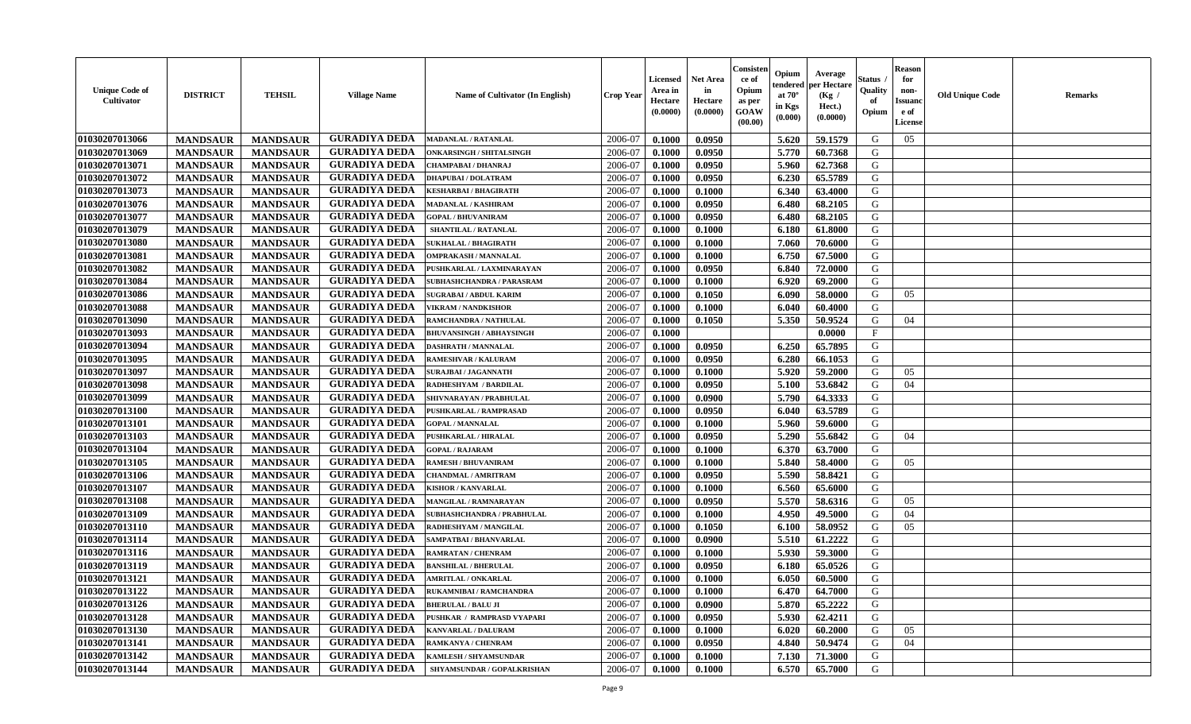| <b>Unique Code of</b><br><b>Cultivator</b> | <b>DISTRICT</b> | <b>TEHSIL</b>   | <b>Village Name</b>  | <b>Name of Cultivator (In English)</b> | <b>Crop Year</b> | <b>Licensed</b><br>Area in<br>Hectare<br>(0.0000) | <b>Net Area</b><br>in<br>Hectare<br>(0.0000) | Consister<br>ce of<br>Opium<br>as per<br><b>GOAW</b><br>(00.00) | Opium<br>endered<br>at $70^\circ$<br>in Kgs<br>$(\mathbf{0.000})$ | Average<br>per Hectare<br>(Kg /<br>Hect.)<br>(0.0000) | Status<br>Quality<br>of<br>Opium | <b>Reason</b><br>for<br>non-<br><b>Issuano</b><br>e of<br>License | <b>Old Unique Code</b> | <b>Remarks</b> |
|--------------------------------------------|-----------------|-----------------|----------------------|----------------------------------------|------------------|---------------------------------------------------|----------------------------------------------|-----------------------------------------------------------------|-------------------------------------------------------------------|-------------------------------------------------------|----------------------------------|-------------------------------------------------------------------|------------------------|----------------|
| 01030207013066                             | <b>MANDSAUR</b> | <b>MANDSAUR</b> | <b>GURADIYA DEDA</b> | <b>MADANLAL / RATANLAL</b>             | 2006-07          | 0.1000                                            | 0.0950                                       |                                                                 | 5.620                                                             | 59.1579                                               | G                                | 05                                                                |                        |                |
| 01030207013069                             | <b>MANDSAUR</b> | <b>MANDSAUR</b> | <b>GURADIYA DEDA</b> | <b>ONKARSINGH / SHITALSINGH</b>        | 2006-07          | 0.1000                                            | 0.0950                                       |                                                                 | 5.770                                                             | 60.7368                                               | G                                |                                                                   |                        |                |
| 01030207013071                             | <b>MANDSAUR</b> | <b>MANDSAUR</b> | <b>GURADIYA DEDA</b> | CHAMPABAI / DHANRAJ                    | 2006-07          | 0.1000                                            | 0.0950                                       |                                                                 | 5.960                                                             | 62.7368                                               | G                                |                                                                   |                        |                |
| 01030207013072                             | <b>MANDSAUR</b> | <b>MANDSAUR</b> | <b>GURADIYA DEDA</b> | <b>DHAPUBAI/DOLATRAM</b>               | 2006-07          | 0.1000                                            | 0.0950                                       |                                                                 | 6.230                                                             | 65.5789                                               | G                                |                                                                   |                        |                |
| 01030207013073                             | <b>MANDSAUR</b> | <b>MANDSAUR</b> | <b>GURADIYA DEDA</b> | KESHARBAI / BHAGIRATH                  | 2006-07          | 0.1000                                            | 0.1000                                       |                                                                 | 6.340                                                             | 63.4000                                               | G                                |                                                                   |                        |                |
| 01030207013076                             | <b>MANDSAUR</b> | <b>MANDSAUR</b> | <b>GURADIYA DEDA</b> | MADANLAL / KASHIRAM                    | 2006-07          | 0.1000                                            | 0.0950                                       |                                                                 | 6.480                                                             | 68.2105                                               | G                                |                                                                   |                        |                |
| 01030207013077                             | <b>MANDSAUR</b> | <b>MANDSAUR</b> | <b>GURADIYA DEDA</b> | <b>GOPAL / BHUVANIRAM</b>              | 2006-07          | 0.1000                                            | 0.0950                                       |                                                                 | 6.480                                                             | 68.2105                                               | G                                |                                                                   |                        |                |
| 01030207013079                             | <b>MANDSAUR</b> | <b>MANDSAUR</b> | <b>GURADIYA DEDA</b> | SHANTILAL / RATANLAL                   | 2006-07          | 0.1000                                            | 0.1000                                       |                                                                 | 6.180                                                             | 61.8000                                               | G                                |                                                                   |                        |                |
| 01030207013080                             | <b>MANDSAUR</b> | <b>MANDSAUR</b> | <b>GURADIYA DEDA</b> | <b>SUKHALAL / BHAGIRATH</b>            | 2006-07          | 0.1000                                            | 0.1000                                       |                                                                 | 7.060                                                             | 70.6000                                               | G                                |                                                                   |                        |                |
| 01030207013081                             | <b>MANDSAUR</b> | <b>MANDSAUR</b> | <b>GURADIYA DEDA</b> | <b>OMPRAKASH / MANNALAL</b>            | 2006-07          | 0.1000                                            | 0.1000                                       |                                                                 | 6.750                                                             | 67.5000                                               | G                                |                                                                   |                        |                |
| 01030207013082                             | <b>MANDSAUR</b> | <b>MANDSAUR</b> | <b>GURADIYA DEDA</b> | PUSHKARLAL / LAXMINARAYAN              | 2006-07          | 0.1000                                            | 0.0950                                       |                                                                 | 6.840                                                             | 72.0000                                               | G                                |                                                                   |                        |                |
| 01030207013084                             | <b>MANDSAUR</b> | <b>MANDSAUR</b> | <b>GURADIYA DEDA</b> | <b>SUBHASHCHANDRA / PARASRAM</b>       | 2006-07          | 0.1000                                            | 0.1000                                       |                                                                 | 6.920                                                             | 69.2000                                               | G                                |                                                                   |                        |                |
| 01030207013086                             | <b>MANDSAUR</b> | <b>MANDSAUR</b> | <b>GURADIYA DEDA</b> | <b>SUGRABAI/ ABDUL KARIM</b>           | 2006-07          | 0.1000                                            | 0.1050                                       |                                                                 | 6.090                                                             | 58.0000                                               | G                                | 05                                                                |                        |                |
| 01030207013088                             | <b>MANDSAUR</b> | <b>MANDSAUR</b> | <b>GURADIYA DEDA</b> | <b>VIKRAM / NANDKISHOR</b>             | 2006-07          | 0.1000                                            | 0.1000                                       |                                                                 | 6.040                                                             | 60.4000                                               | G                                |                                                                   |                        |                |
| 01030207013090                             | <b>MANDSAUR</b> | <b>MANDSAUR</b> | <b>GURADIYA DEDA</b> | RAMCHANDRA / NATHULAL                  | 2006-07          | 0.1000                                            | 0.1050                                       |                                                                 | 5.350                                                             | 50.9524                                               | G                                | 04                                                                |                        |                |
| 01030207013093                             | <b>MANDSAUR</b> | <b>MANDSAUR</b> | <b>GURADIYA DEDA</b> | <b>BHUVANSINGH / ABHAYSINGH</b>        | 2006-07          | 0.1000                                            |                                              |                                                                 |                                                                   | 0.0000                                                | $\mathbf{F}$                     |                                                                   |                        |                |
| 01030207013094                             | <b>MANDSAUR</b> | <b>MANDSAUR</b> | <b>GURADIYA DEDA</b> | <b>DASHRATH / MANNALAL</b>             | 2006-07          | 0.1000                                            | 0.0950                                       |                                                                 | 6.250                                                             | 65.7895                                               | G                                |                                                                   |                        |                |
| 01030207013095                             | <b>MANDSAUR</b> | <b>MANDSAUR</b> | <b>GURADIYA DEDA</b> | RAMESHVAR / KALURAM                    | 2006-07          | 0.1000                                            | 0.0950                                       |                                                                 | 6.280                                                             | 66.1053                                               | G                                |                                                                   |                        |                |
| 01030207013097                             | <b>MANDSAUR</b> | <b>MANDSAUR</b> | <b>GURADIYA DEDA</b> | <b>SURAJBAI / JAGANNATH</b>            | 2006-07          | 0.1000                                            | 0.1000                                       |                                                                 | 5.920                                                             | 59.2000                                               | G                                | 05                                                                |                        |                |
| 01030207013098                             | <b>MANDSAUR</b> | <b>MANDSAUR</b> | <b>GURADIYA DEDA</b> | RADHESHYAM / BARDILAL                  | 2006-07          | 0.1000                                            | 0.0950                                       |                                                                 | 5.100                                                             | 53.6842                                               | G                                | 04                                                                |                        |                |
| 01030207013099                             | <b>MANDSAUR</b> | <b>MANDSAUR</b> | <b>GURADIYA DEDA</b> | SHIVNARAYAN / PRABHULAL                | 2006-07          | 0.1000                                            | 0.0900                                       |                                                                 | 5.790                                                             | 64.3333                                               | G                                |                                                                   |                        |                |
| 01030207013100                             | <b>MANDSAUR</b> | <b>MANDSAUR</b> | <b>GURADIYA DEDA</b> | PUSHKARLAL / RAMPRASAD                 | 2006-07          | 0.1000                                            | 0.0950                                       |                                                                 | 6.040                                                             | 63.5789                                               | G                                |                                                                   |                        |                |
| 01030207013101                             | <b>MANDSAUR</b> | <b>MANDSAUR</b> | <b>GURADIYA DEDA</b> | <b>GOPAL / MANNALAL</b>                | 2006-07          | 0.1000                                            | 0.1000                                       |                                                                 | 5.960                                                             | 59.6000                                               | G                                |                                                                   |                        |                |
| 01030207013103                             | <b>MANDSAUR</b> | <b>MANDSAUR</b> | <b>GURADIYA DEDA</b> | <b>PUSHKARLAL / HIRALAL</b>            | 2006-07          | 0.1000                                            | 0.0950                                       |                                                                 | 5.290                                                             | 55.6842                                               | G                                | 04                                                                |                        |                |
| 01030207013104                             | <b>MANDSAUR</b> | <b>MANDSAUR</b> | <b>GURADIYA DEDA</b> | <b>GOPAL / RAJARAM</b>                 | 2006-07          | 0.1000                                            | 0.1000                                       |                                                                 | 6.370                                                             | 63.7000                                               | G                                |                                                                   |                        |                |
| 01030207013105                             | <b>MANDSAUR</b> | <b>MANDSAUR</b> | <b>GURADIYA DEDA</b> | <b>RAMESH / BHUVANIRAM</b>             | 2006-07          | 0.1000                                            | 0.1000                                       |                                                                 | 5.840                                                             | 58.4000                                               | G                                | 05                                                                |                        |                |
| 01030207013106                             | <b>MANDSAUR</b> | <b>MANDSAUR</b> | <b>GURADIYA DEDA</b> | CHANDMAL / AMRITRAM                    | 2006-07          | 0.1000                                            | 0.0950                                       |                                                                 | 5.590                                                             | 58.8421                                               | G                                |                                                                   |                        |                |
| 01030207013107                             | <b>MANDSAUR</b> | <b>MANDSAUR</b> | <b>GURADIYA DEDA</b> | <b>KISHOR / KANVARLAL</b>              | 2006-07          | 0.1000                                            | 0.1000                                       |                                                                 | 6.560                                                             | 65.6000                                               | G                                |                                                                   |                        |                |
| 01030207013108                             | <b>MANDSAUR</b> | <b>MANDSAUR</b> | <b>GURADIYA DEDA</b> | MANGILAL / RAMNARAYAN                  | 2006-07          | 0.1000                                            | 0.0950                                       |                                                                 | 5.570                                                             | 58.6316                                               | G                                | 05                                                                |                        |                |
| 01030207013109                             | <b>MANDSAUR</b> | <b>MANDSAUR</b> | <b>GURADIYA DEDA</b> | SUBHASHCHANDRA / PRABHULAL             | 2006-07          | 0.1000                                            | 0.1000                                       |                                                                 | 4.950                                                             | 49.5000                                               | G                                | 04                                                                |                        |                |
| 01030207013110                             | <b>MANDSAUR</b> | <b>MANDSAUR</b> | <b>GURADIYA DEDA</b> | RADHESHYAM / MANGILAL                  | 2006-07          | 0.1000                                            | 0.1050                                       |                                                                 | 6.100                                                             | 58.0952                                               | G                                | 05                                                                |                        |                |
| 01030207013114                             | <b>MANDSAUR</b> | <b>MANDSAUR</b> | <b>GURADIYA DEDA</b> | SAMPATBAI / BHANVARLAL                 | 2006-07          | 0.1000                                            | 0.0900                                       |                                                                 | 5.510                                                             | 61.2222                                               | G                                |                                                                   |                        |                |
| 01030207013116                             | <b>MANDSAUR</b> | <b>MANDSAUR</b> | <b>GURADIYA DEDA</b> | RAMRATAN / CHENRAM                     | 2006-07          | 0.1000                                            | 0.1000                                       |                                                                 | 5.930                                                             | 59.3000                                               | G                                |                                                                   |                        |                |
| 01030207013119                             | <b>MANDSAUR</b> | <b>MANDSAUR</b> | <b>GURADIYA DEDA</b> | <b>BANSHILAL / BHERULAL</b>            | 2006-07          | 0.1000                                            | 0.0950                                       |                                                                 | 6.180                                                             | 65.0526                                               | G                                |                                                                   |                        |                |
| 01030207013121                             | <b>MANDSAUR</b> | <b>MANDSAUR</b> | <b>GURADIYA DEDA</b> | AMRITLAL / ONKARLAL                    | 2006-07          | 0.1000                                            | 0.1000                                       |                                                                 | 6.050                                                             | 60.5000                                               | G                                |                                                                   |                        |                |
| 01030207013122                             | <b>MANDSAUR</b> | <b>MANDSAUR</b> | <b>GURADIYA DEDA</b> | RUKAMNIBAI / RAMCHANDRA                | 2006-07          | 0.1000                                            | 0.1000                                       |                                                                 | 6.470                                                             | 64.7000                                               | G                                |                                                                   |                        |                |
| 01030207013126                             | <b>MANDSAUR</b> | <b>MANDSAUR</b> | <b>GURADIYA DEDA</b> | <b>BHERULAL / BALU JI</b>              | 2006-07          | 0.1000                                            | 0.0900                                       |                                                                 | 5.870                                                             | 65.2222                                               | G                                |                                                                   |                        |                |
| 01030207013128                             | <b>MANDSAUR</b> | <b>MANDSAUR</b> | <b>GURADIYA DEDA</b> | PUSHKAR / RAMPRASD VYAPARI             | 2006-07          | 0.1000                                            | 0.0950                                       |                                                                 | 5.930                                                             | 62.4211                                               | G                                |                                                                   |                        |                |
| 01030207013130                             | <b>MANDSAUR</b> | <b>MANDSAUR</b> | <b>GURADIYA DEDA</b> | <b>KANVARLAL / DALURAM</b>             | 2006-07          | 0.1000                                            | 0.1000                                       |                                                                 | 6.020                                                             | 60.2000                                               | G                                | 05                                                                |                        |                |
| 01030207013141                             | <b>MANDSAUR</b> | <b>MANDSAUR</b> | <b>GURADIYA DEDA</b> | RAMKANYA / CHENRAM                     | 2006-07          | 0.1000                                            | 0.0950                                       |                                                                 | 4.840                                                             | 50.9474                                               | G                                | 04                                                                |                        |                |
| 01030207013142                             | <b>MANDSAUR</b> | <b>MANDSAUR</b> | <b>GURADIYA DEDA</b> | KAMLESH / SHYAMSUNDAR                  | 2006-07          | 0.1000                                            | 0.1000                                       |                                                                 | 7.130                                                             | 71.3000                                               | G                                |                                                                   |                        |                |
| 01030207013144                             | <b>MANDSAUR</b> | <b>MANDSAUR</b> | <b>GURADIYA DEDA</b> | SHYAMSUNDAR / GOPALKRISHAN             | 2006-07          | 0.1000                                            | 0.1000                                       |                                                                 | 6.570                                                             | 65.7000                                               | G                                |                                                                   |                        |                |
|                                            |                 |                 |                      |                                        |                  |                                                   |                                              |                                                                 |                                                                   |                                                       |                                  |                                                                   |                        |                |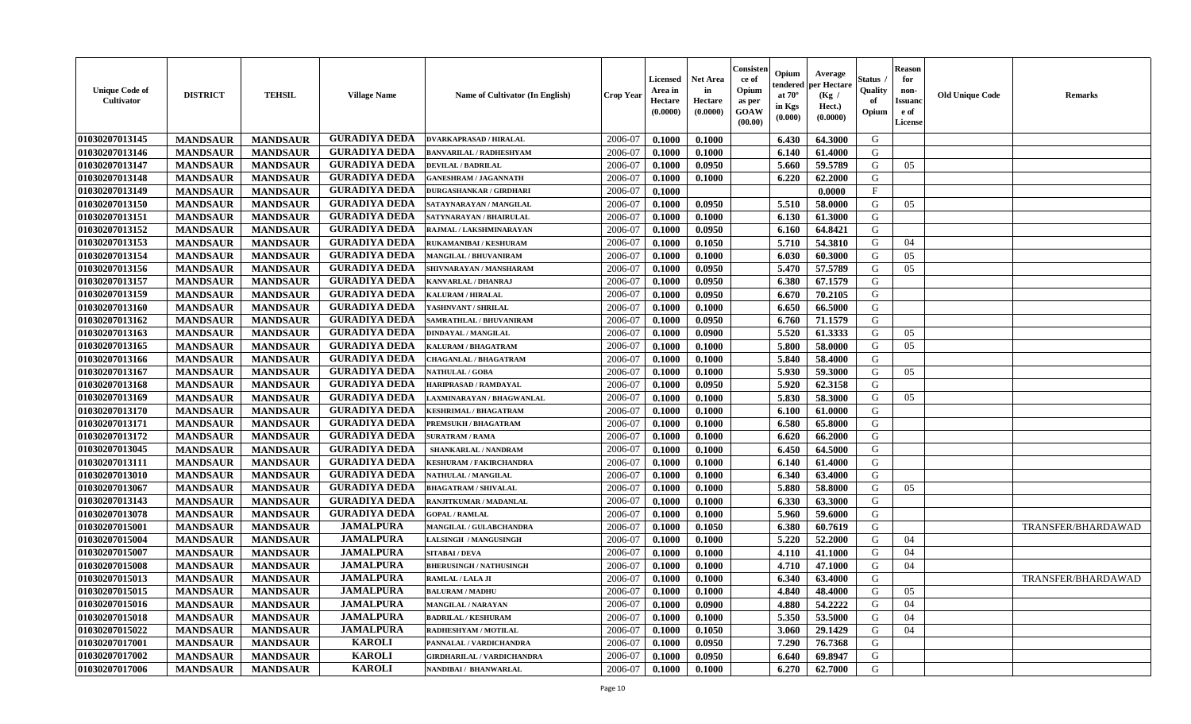| <b>Unique Code of</b><br>Cultivator | <b>DISTRICT</b> | <b>TEHSIL</b>   | <b>Village Name</b>  | Name of Cultivator (In English)   | <b>Crop Year</b> | <b>Licensed</b><br>Area in<br>Hectare<br>(0.0000) | <b>Net Area</b><br>in<br>Hectare<br>(0.0000) | Consister<br>ce of<br>Opium<br>as per<br><b>GOAW</b><br>(00.00) | Opium<br>endered<br>at $70^\circ$<br>in Kgs<br>(0.000) | Average<br>per Hectare<br>(Kg /<br>Hect.)<br>(0.0000) | <b>Status</b><br>Quality<br>of<br>Opium | <b>Reason</b><br>for<br>non-<br><b>Issuand</b><br>e of<br>License | <b>Old Unique Code</b> | <b>Remarks</b>     |
|-------------------------------------|-----------------|-----------------|----------------------|-----------------------------------|------------------|---------------------------------------------------|----------------------------------------------|-----------------------------------------------------------------|--------------------------------------------------------|-------------------------------------------------------|-----------------------------------------|-------------------------------------------------------------------|------------------------|--------------------|
| 01030207013145                      | <b>MANDSAUR</b> | <b>MANDSAUR</b> | <b>GURADIYA DEDA</b> | <b>DVARKAPRASAD / HIRALAL</b>     | 2006-07          | 0.1000                                            | 0.1000                                       |                                                                 | 6.430                                                  | 64.3000                                               | G                                       |                                                                   |                        |                    |
| 01030207013146                      | <b>MANDSAUR</b> | <b>MANDSAUR</b> | <b>GURADIYA DEDA</b> | BANVARILAL / RADHESHYAM           | 2006-07          | 0.1000                                            | 0.1000                                       |                                                                 | 6.140                                                  | 61.4000                                               | G                                       |                                                                   |                        |                    |
| 01030207013147                      | <b>MANDSAUR</b> | <b>MANDSAUR</b> | <b>GURADIYA DEDA</b> | <b>DEVILAL / BADRILAL</b>         | 2006-07          | 0.1000                                            | 0.0950                                       |                                                                 | 5.660                                                  | 59.5789                                               | G                                       | 05                                                                |                        |                    |
| 01030207013148                      | <b>MANDSAUR</b> | <b>MANDSAUR</b> | <b>GURADIYA DEDA</b> | <b>GANESHRAM / JAGANNATH</b>      | 2006-07          | 0.1000                                            | 0.1000                                       |                                                                 | 6.220                                                  | 62.2000                                               | G                                       |                                                                   |                        |                    |
| 01030207013149                      | <b>MANDSAUR</b> | <b>MANDSAUR</b> | <b>GURADIYA DEDA</b> | <b>DURGASHANKAR / GIRDHARI</b>    | 2006-07          | 0.1000                                            |                                              |                                                                 |                                                        | 0.0000                                                | F                                       |                                                                   |                        |                    |
| 01030207013150                      | <b>MANDSAUR</b> | <b>MANDSAUR</b> | <b>GURADIYA DEDA</b> | SATAYNARAYAN / MANGILAL           | 2006-07          | 0.1000                                            | 0.0950                                       |                                                                 | 5.510                                                  | 58.0000                                               | G                                       | 05                                                                |                        |                    |
| 01030207013151                      | <b>MANDSAUR</b> | <b>MANDSAUR</b> | <b>GURADIYA DEDA</b> | SATYNARAYAN / BHAIRULAL           | 2006-07          | 0.1000                                            | 0.1000                                       |                                                                 | 6.130                                                  | 61.3000                                               | G                                       |                                                                   |                        |                    |
| 01030207013152                      | <b>MANDSAUR</b> | <b>MANDSAUR</b> | <b>GURADIYA DEDA</b> | RAJMAL / LAKSHMINARAYAN           | 2006-07          | 0.1000                                            | 0.0950                                       |                                                                 | 6.160                                                  | 64.8421                                               | G                                       |                                                                   |                        |                    |
| 01030207013153                      | <b>MANDSAUR</b> | <b>MANDSAUR</b> | <b>GURADIYA DEDA</b> | <b>RUKAMANIBAI / KESHURAM</b>     | 2006-07          | 0.1000                                            | 0.1050                                       |                                                                 | 5.710                                                  | 54.3810                                               | G                                       | 04                                                                |                        |                    |
| 01030207013154                      | <b>MANDSAUR</b> | <b>MANDSAUR</b> | <b>GURADIYA DEDA</b> | <b>MANGILAL / BHUVANIRAM</b>      | 2006-07          | 0.1000                                            | 0.1000                                       |                                                                 | 6.030                                                  | 60.3000                                               | G                                       | 05                                                                |                        |                    |
| 01030207013156                      | <b>MANDSAUR</b> | <b>MANDSAUR</b> | <b>GURADIYA DEDA</b> | SHIVNARAYAN / MANSHARAM           | 2006-07          | 0.1000                                            | 0.0950                                       |                                                                 | 5.470                                                  | 57.5789                                               | G                                       | 05                                                                |                        |                    |
| 01030207013157                      | <b>MANDSAUR</b> | <b>MANDSAUR</b> | <b>GURADIYA DEDA</b> | KANVARLAL / DHANRAJ               | 2006-07          | 0.1000                                            | 0.0950                                       |                                                                 | 6.380                                                  | 67.1579                                               | G                                       |                                                                   |                        |                    |
| 01030207013159                      | <b>MANDSAUR</b> | <b>MANDSAUR</b> | <b>GURADIYA DEDA</b> | <b>KALURAM / HIRALAL</b>          | 2006-07          | 0.1000                                            | 0.0950                                       |                                                                 | 6.670                                                  | 70.2105                                               | G                                       |                                                                   |                        |                    |
| 01030207013160                      | <b>MANDSAUR</b> | <b>MANDSAUR</b> | <b>GURADIYA DEDA</b> | YASHNVANT / SHRILAL               | 2006-07          | 0.1000                                            | 0.1000                                       |                                                                 | 6.650                                                  | 66.5000                                               | G                                       |                                                                   |                        |                    |
| 01030207013162                      | <b>MANDSAUR</b> | <b>MANDSAUR</b> | <b>GURADIYA DEDA</b> | SAMRATHLAL / BHUVANIRAM           | 2006-07          | 0.1000                                            | 0.0950                                       |                                                                 | 6.760                                                  | 71.1579                                               | G                                       |                                                                   |                        |                    |
| 01030207013163                      | <b>MANDSAUR</b> | <b>MANDSAUR</b> | <b>GURADIYA DEDA</b> | <b>DINDAYAL / MANGILAL</b>        | 2006-07          | 0.1000                                            | 0.0900                                       |                                                                 | 5.520                                                  | 61.3333                                               | G                                       | 05                                                                |                        |                    |
| 01030207013165                      | <b>MANDSAUR</b> | <b>MANDSAUR</b> | <b>GURADIYA DEDA</b> | KALURAM / BHAGATRAM               | 2006-07          | 0.1000                                            | 0.1000                                       |                                                                 | 5.800                                                  | 58.0000                                               | G                                       | 05                                                                |                        |                    |
| 01030207013166                      | <b>MANDSAUR</b> | <b>MANDSAUR</b> | <b>GURADIYA DEDA</b> | <b>CHAGANLAL / BHAGATRAM</b>      | 2006-07          | 0.1000                                            | 0.1000                                       |                                                                 | 5.840                                                  | 58.4000                                               | G                                       |                                                                   |                        |                    |
| 01030207013167                      | <b>MANDSAUR</b> | <b>MANDSAUR</b> | <b>GURADIYA DEDA</b> | <b>NATHULAL / GOBA</b>            | 2006-07          | 0.1000                                            | 0.1000                                       |                                                                 | 5.930                                                  | 59.3000                                               | G                                       | 05                                                                |                        |                    |
| 01030207013168                      | <b>MANDSAUR</b> | <b>MANDSAUR</b> | <b>GURADIYA DEDA</b> | HARIPRASAD / RAMDAYAL             | 2006-07          | 0.1000                                            | 0.0950                                       |                                                                 | 5.920                                                  | 62.3158                                               | G                                       |                                                                   |                        |                    |
| 01030207013169                      | <b>MANDSAUR</b> | <b>MANDSAUR</b> | <b>GURADIYA DEDA</b> | AXMINARAYAN / BHAGWANLAL          | 2006-07          | 0.1000                                            | 0.1000                                       |                                                                 | 5.830                                                  | 58.3000                                               | G                                       | 05                                                                |                        |                    |
| 01030207013170                      | <b>MANDSAUR</b> | <b>MANDSAUR</b> | <b>GURADIYA DEDA</b> | KESHRIMAL / BHAGATRAM             | 2006-07          | 0.1000                                            | 0.1000                                       |                                                                 | 6.100                                                  | 61.0000                                               | G                                       |                                                                   |                        |                    |
| 01030207013171                      | <b>MANDSAUR</b> | <b>MANDSAUR</b> | <b>GURADIYA DEDA</b> | PREMSUKH / BHAGATRAM              | 2006-07          | 0.1000                                            | 0.1000                                       |                                                                 | 6.580                                                  | 65.8000                                               | G                                       |                                                                   |                        |                    |
| 01030207013172                      | <b>MANDSAUR</b> | <b>MANDSAUR</b> | <b>GURADIYA DEDA</b> | <b>SURATRAM / RAMA</b>            | 2006-07          | 0.1000                                            | 0.1000                                       |                                                                 | 6.620                                                  | 66.2000                                               | G                                       |                                                                   |                        |                    |
| 01030207013045                      | <b>MANDSAUR</b> | <b>MANDSAUR</b> | <b>GURADIYA DEDA</b> | SHANKARLAL / NANDRAM              | 2006-07          | 0.1000                                            | 0.1000                                       |                                                                 | 6.450                                                  | 64.5000                                               | G                                       |                                                                   |                        |                    |
| 01030207013111                      | <b>MANDSAUR</b> | <b>MANDSAUR</b> | <b>GURADIYA DEDA</b> | <b>KESHURAM / FAKIRCHANDRA</b>    | 2006-07          | 0.1000                                            | 0.1000                                       |                                                                 | 6.140                                                  | 61.4000                                               | G                                       |                                                                   |                        |                    |
| 01030207013010                      | <b>MANDSAUR</b> | <b>MANDSAUR</b> | <b>GURADIYA DEDA</b> | <b>NATHULAL / MANGILAL</b>        | 2006-07          | 0.1000                                            | 0.1000                                       |                                                                 | 6.340                                                  | 63.4000                                               | G                                       |                                                                   |                        |                    |
| 01030207013067                      | <b>MANDSAUR</b> | <b>MANDSAUR</b> | <b>GURADIYA DEDA</b> | <b>BHAGATRAM / SHIVALAL</b>       | 2006-07          | 0.1000                                            | 0.1000                                       |                                                                 | 5.880                                                  | 58.8000                                               | G                                       | 05                                                                |                        |                    |
| 01030207013143                      | <b>MANDSAUR</b> | <b>MANDSAUR</b> | <b>GURADIYA DEDA</b> | RANJITKUMAR / MADANLAL            | 2006-07          | 0.1000                                            | 0.1000                                       |                                                                 | 6.330                                                  | 63.3000                                               | G                                       |                                                                   |                        |                    |
| 01030207013078                      | <b>MANDSAUR</b> | <b>MANDSAUR</b> | <b>GURADIYA DEDA</b> | <b>GOPAL / RAMLAL</b>             | 2006-07          | 0.1000                                            | 0.1000                                       |                                                                 | 5.960                                                  | 59.6000                                               | G                                       |                                                                   |                        |                    |
| 01030207015001                      | <b>MANDSAUR</b> | <b>MANDSAUR</b> | <b>JAMALPURA</b>     | MANGILAL / GULABCHANDRA           | 2006-07          | 0.1000                                            | 0.1050                                       |                                                                 | 6.380                                                  | 60.7619                                               | G                                       |                                                                   |                        | TRANSFER/BHARDAWAD |
| 01030207015004                      | <b>MANDSAUR</b> | <b>MANDSAUR</b> | <b>JAMALPURA</b>     | <b>LALSINGH / MANGUSINGH</b>      | 2006-07          | 0.1000                                            | 0.1000                                       |                                                                 | 5.220                                                  | 52,2000                                               | G                                       | 04                                                                |                        |                    |
| 01030207015007                      | <b>MANDSAUR</b> | <b>MANDSAUR</b> | <b>JAMALPURA</b>     | <b>SITABAI/DEVA</b>               | 2006-07          | 0.1000                                            | 0.1000                                       |                                                                 | 4.110                                                  | 41.1000                                               | G                                       | 04                                                                |                        |                    |
| 01030207015008                      | <b>MANDSAUR</b> | <b>MANDSAUR</b> | <b>JAMALPURA</b>     | <b>BHERUSINGH / NATHUSINGH</b>    | 2006-07          | 0.1000                                            | 0.1000                                       |                                                                 | 4.710                                                  | 47.1000                                               | G                                       | 04                                                                |                        |                    |
| 01030207015013                      | <b>MANDSAUR</b> | <b>MANDSAUR</b> | <b>JAMALPURA</b>     | RAMLAL / LALA JI                  | 2006-07          | 0.1000                                            | 0.1000                                       |                                                                 | 6.340                                                  | 63.4000                                               | G                                       |                                                                   |                        | TRANSFER/BHARDAWAD |
| 01030207015015                      | <b>MANDSAUR</b> | MANDSAUR        | <b>JAMALPURA</b>     | <b>BALURAM / MADHU</b>            | 2006-07          | 0.1000                                            | 0.1000                                       |                                                                 | 4.840                                                  | 48.4000                                               | G                                       | 05                                                                |                        |                    |
| 01030207015016                      | <b>MANDSAUR</b> | <b>MANDSAUR</b> | <b>JAMALPURA</b>     | MANGILAL / NARAYAN                | 2006-07          | 0.1000                                            | 0.0900                                       |                                                                 | 4.880                                                  | 54.2222                                               | G                                       | 04                                                                |                        |                    |
| 01030207015018                      | <b>MANDSAUR</b> | <b>MANDSAUR</b> | <b>JAMALPURA</b>     | <b>BADRILAL / KESHURAM</b>        | 2006-07          | 0.1000                                            | 0.1000                                       |                                                                 | 5.350                                                  | 53.5000                                               | G                                       | 04                                                                |                        |                    |
| 01030207015022                      | <b>MANDSAUR</b> | <b>MANDSAUR</b> | <b>JAMALPURA</b>     | RADHESHYAM / MOTILAL              | 2006-07          | 0.1000                                            | 0.1050                                       |                                                                 | 3.060                                                  | 29.1429                                               | G                                       | 04                                                                |                        |                    |
| 01030207017001                      | <b>MANDSAUR</b> | <b>MANDSAUR</b> | <b>KAROLI</b>        | PANNALAL / VARDICHANDRA           | 2006-07          | 0.1000                                            | 0.0950                                       |                                                                 | 7.290                                                  | 76.7368                                               | G                                       |                                                                   |                        |                    |
| 01030207017002                      | <b>MANDSAUR</b> | <b>MANDSAUR</b> | <b>KAROLI</b>        | <b>GIRDHARILAL / VARDICHANDRA</b> | 2006-07          | 0.1000                                            | 0.0950                                       |                                                                 | 6.640                                                  | 69.8947                                               | G                                       |                                                                   |                        |                    |
| 01030207017006                      | <b>MANDSAUR</b> | <b>MANDSAUR</b> | <b>KAROLI</b>        | NANDIBAI / BHANWARLAL             | 2006-07          | 0.1000                                            | 0.1000                                       |                                                                 | 6.270                                                  | 62.7000                                               | G                                       |                                                                   |                        |                    |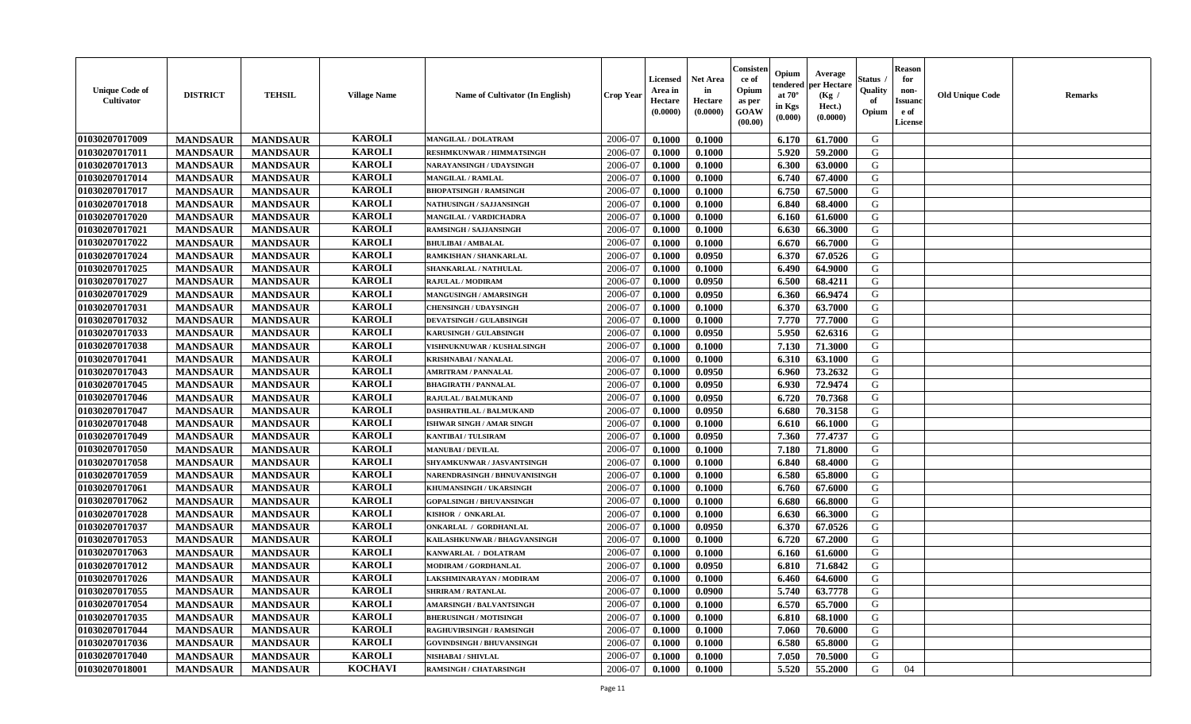| <b>Unique Code of</b><br><b>Cultivator</b> | <b>DISTRICT</b> | <b>TEHSIL</b>   | <b>Village Name</b> | <b>Name of Cultivator (In English)</b> | <b>Crop Year</b> | <b>Licensed</b><br>Area in<br>Hectare<br>(0.0000) | <b>Net Area</b><br>in<br>Hectare<br>(0.0000) | Consister<br>ce of<br>Opium<br>as per<br><b>GOAW</b><br>(00.00) | Opium<br>endered<br>at $70^{\circ}$<br>in Kgs<br>$(\mathbf{0.000})$ | Average<br>per Hectare<br>(Kg)<br>Hect.)<br>(0.0000) | Status<br>Quality<br>of<br>Opium | <b>Reason</b><br>for<br>non-<br><b>Issuano</b><br>e of<br>License | <b>Old Unique Code</b> | <b>Remarks</b> |
|--------------------------------------------|-----------------|-----------------|---------------------|----------------------------------------|------------------|---------------------------------------------------|----------------------------------------------|-----------------------------------------------------------------|---------------------------------------------------------------------|------------------------------------------------------|----------------------------------|-------------------------------------------------------------------|------------------------|----------------|
| 01030207017009                             | <b>MANDSAUR</b> | <b>MANDSAUR</b> | <b>KAROLI</b>       | <b>MANGILAL / DOLATRAM</b>             | 2006-07          | 0.1000                                            | 0.1000                                       |                                                                 | 6.170                                                               | 61.7000                                              | G                                |                                                                   |                        |                |
| 01030207017011                             | <b>MANDSAUR</b> | <b>MANDSAUR</b> | <b>KAROLI</b>       | <b>RESHMKUNWAR / HIMMATSINGH</b>       | 2006-07          | 0.1000                                            | 0.1000                                       |                                                                 | 5.920                                                               | 59.2000                                              | G                                |                                                                   |                        |                |
| 01030207017013                             | <b>MANDSAUR</b> | <b>MANDSAUR</b> | <b>KAROLI</b>       | NARAYANSINGH / UDAYSINGH               | 2006-07          | 0.1000                                            | 0.1000                                       |                                                                 | 6.300                                                               | 63.0000                                              | G                                |                                                                   |                        |                |
| 01030207017014                             | <b>MANDSAUR</b> | <b>MANDSAUR</b> | <b>KAROLI</b>       | <b>MANGILAL / RAMLAL</b>               | 2006-07          | 0.1000                                            | 0.1000                                       |                                                                 | 6.740                                                               | 67.4000                                              | G                                |                                                                   |                        |                |
| 01030207017017                             | <b>MANDSAUR</b> | <b>MANDSAUR</b> | <b>KAROLI</b>       | <b>BHOPATSINGH / RAMSINGH</b>          | 2006-07          | 0.1000                                            | 0.1000                                       |                                                                 | 6.750                                                               | 67.5000                                              | G                                |                                                                   |                        |                |
| 01030207017018                             | <b>MANDSAUR</b> | <b>MANDSAUR</b> | <b>KAROLI</b>       | NATHUSINGH / SAJJANSINGH               | 2006-07          | 0.1000                                            | 0.1000                                       |                                                                 | 6.840                                                               | 68.4000                                              | G                                |                                                                   |                        |                |
| 01030207017020                             | <b>MANDSAUR</b> | <b>MANDSAUR</b> | <b>KAROLI</b>       | MANGILAL / VARDICHADRA                 | 2006-07          | 0.1000                                            | 0.1000                                       |                                                                 | 6.160                                                               | 61.6000                                              | G                                |                                                                   |                        |                |
| 01030207017021                             | <b>MANDSAUR</b> | <b>MANDSAUR</b> | <b>KAROLI</b>       | <b>RAMSINGH / SAJJANSINGH</b>          | 2006-07          | 0.1000                                            | 0.1000                                       |                                                                 | 6.630                                                               | 66.3000                                              | G                                |                                                                   |                        |                |
| 01030207017022                             | <b>MANDSAUR</b> | <b>MANDSAUR</b> | <b>KAROLI</b>       | <b>BHULIBAI / AMBALAL</b>              | 2006-07          | 0.1000                                            | 0.1000                                       |                                                                 | 6.670                                                               | 66.7000                                              | G                                |                                                                   |                        |                |
| 01030207017024                             | <b>MANDSAUR</b> | <b>MANDSAUR</b> | <b>KAROLI</b>       | RAMKISHAN / SHANKARLAL                 | 2006-07          | 0.1000                                            | 0.0950                                       |                                                                 | 6.370                                                               | 67.0526                                              | G                                |                                                                   |                        |                |
| 01030207017025                             | <b>MANDSAUR</b> | <b>MANDSAUR</b> | <b>KAROLI</b>       | SHANKARLAL / NATHULAL                  | 2006-07          | 0.1000                                            | 0.1000                                       |                                                                 | 6.490                                                               | 64.9000                                              | G                                |                                                                   |                        |                |
| 01030207017027                             | <b>MANDSAUR</b> | <b>MANDSAUR</b> | <b>KAROLI</b>       | <b>RAJULAL / MODIRAM</b>               | 2006-07          | 0.1000                                            | 0.0950                                       |                                                                 | 6.500                                                               | 68.4211                                              | G                                |                                                                   |                        |                |
| 01030207017029                             | <b>MANDSAUR</b> | <b>MANDSAUR</b> | <b>KAROLI</b>       | MANGUSINGH / AMARSINGH                 | 2006-07          | 0.1000                                            | 0.0950                                       |                                                                 | 6.360                                                               | 66.9474                                              | G                                |                                                                   |                        |                |
| 01030207017031                             | <b>MANDSAUR</b> | <b>MANDSAUR</b> | <b>KAROLI</b>       | <b>CHENSINGH / UDAYSINGH</b>           | 2006-07          | 0.1000                                            | 0.1000                                       |                                                                 | 6.370                                                               | 63.7000                                              | G                                |                                                                   |                        |                |
| 01030207017032                             | <b>MANDSAUR</b> | <b>MANDSAUR</b> | <b>KAROLI</b>       | <b>DEVATSINGH / GULABSINGH</b>         | 2006-07          | 0.1000                                            | 0.1000                                       |                                                                 | 7.770                                                               | 77.7000                                              | G                                |                                                                   |                        |                |
| 01030207017033                             | <b>MANDSAUR</b> | <b>MANDSAUR</b> | <b>KAROLI</b>       | <b>KARUSINGH / GULABSINGH</b>          | 2006-07          | 0.1000                                            | 0.0950                                       |                                                                 | 5.950                                                               | 62.6316                                              | G                                |                                                                   |                        |                |
| 01030207017038                             | <b>MANDSAUR</b> | <b>MANDSAUR</b> | <b>KAROLI</b>       | VISHNUKNUWAR / KUSHALSINGH             | 2006-07          | 0.1000                                            | 0.1000                                       |                                                                 | 7.130                                                               | 71.3000                                              | G                                |                                                                   |                        |                |
| 01030207017041                             | <b>MANDSAUR</b> | <b>MANDSAUR</b> | <b>KAROLI</b>       | <b>KRISHNABAI / NANALAL</b>            | 2006-07          | 0.1000                                            | 0.1000                                       |                                                                 | 6.310                                                               | 63.1000                                              | G                                |                                                                   |                        |                |
| 01030207017043                             | <b>MANDSAUR</b> | <b>MANDSAUR</b> | <b>KAROLI</b>       | <b>AMRITRAM / PANNALAL</b>             | 2006-07          | 0.1000                                            | 0.0950                                       |                                                                 | 6.960                                                               | 73.2632                                              | G                                |                                                                   |                        |                |
| 01030207017045                             | <b>MANDSAUR</b> | <b>MANDSAUR</b> | <b>KAROLI</b>       | <b>BHAGIRATH / PANNALAL</b>            | 2006-07          | 0.1000                                            | 0.0950                                       |                                                                 | 6.930                                                               | 72.9474                                              | G                                |                                                                   |                        |                |
| 01030207017046                             | <b>MANDSAUR</b> | <b>MANDSAUR</b> | <b>KAROLI</b>       | RAJULAL / BALMUKAND                    | 2006-07          | 0.1000                                            | 0.0950                                       |                                                                 | 6.720                                                               | 70.7368                                              | G                                |                                                                   |                        |                |
| 01030207017047                             | <b>MANDSAUR</b> | <b>MANDSAUR</b> | <b>KAROLI</b>       | DASHRATHLAL / BALMUKAND                | 2006-07          | 0.1000                                            | 0.0950                                       |                                                                 | 6.680                                                               | 70.3158                                              | G                                |                                                                   |                        |                |
| 01030207017048                             | <b>MANDSAUR</b> | <b>MANDSAUR</b> | <b>KAROLI</b>       | ISHWAR SINGH / AMAR SINGH              | 2006-07          | 0.1000                                            | 0.1000                                       |                                                                 | 6.610                                                               | 66.1000                                              | G                                |                                                                   |                        |                |
| 01030207017049                             | <b>MANDSAUR</b> | <b>MANDSAUR</b> | <b>KAROLI</b>       | <b>KANTIBAI / TULSIRAM</b>             | 2006-07          | 0.1000                                            | 0.0950                                       |                                                                 | 7.360                                                               | 77,4737                                              | G                                |                                                                   |                        |                |
| 01030207017050                             | <b>MANDSAUR</b> | <b>MANDSAUR</b> | <b>KAROLI</b>       | <b>MANUBAI/DEVILAL</b>                 | 2006-07          | 0.1000                                            | 0.1000                                       |                                                                 | 7.180                                                               | 71.8000                                              | G                                |                                                                   |                        |                |
| 01030207017058                             | <b>MANDSAUR</b> | <b>MANDSAUR</b> | <b>KAROLI</b>       | SHYAMKUNWAR / JASVANTSINGH             | 2006-07          | 0.1000                                            | 0.1000                                       |                                                                 | 6.840                                                               | 68.4000                                              | G                                |                                                                   |                        |                |
| 01030207017059                             | <b>MANDSAUR</b> | <b>MANDSAUR</b> | <b>KAROLI</b>       | NARENDRASINGH / BHNUVANISINGH          | 2006-07          | 0.1000                                            | 0.1000                                       |                                                                 | 6.580                                                               | 65.8000                                              | G                                |                                                                   |                        |                |
| 01030207017061                             | <b>MANDSAUR</b> | <b>MANDSAUR</b> | <b>KAROLI</b>       | KHUMANSINGH / UKARSINGH                | 2006-07          | 0.1000                                            | 0.1000                                       |                                                                 | 6.760                                                               | 67.6000                                              | G                                |                                                                   |                        |                |
| 01030207017062                             | <b>MANDSAUR</b> | <b>MANDSAUR</b> | <b>KAROLI</b>       | <b>GOPALSINGH / BHUVANSINGH</b>        | 2006-07          | 0.1000                                            | 0.1000                                       |                                                                 | 6.680                                                               | 66.8000                                              | G                                |                                                                   |                        |                |
| 01030207017028                             | <b>MANDSAUR</b> | <b>MANDSAUR</b> | <b>KAROLI</b>       | KISHOR / ONKARLAL                      | 2006-07          | 0.1000                                            | 0.1000                                       |                                                                 | 6.630                                                               | 66.3000                                              | G                                |                                                                   |                        |                |
| 01030207017037                             | <b>MANDSAUR</b> | <b>MANDSAUR</b> | <b>KAROLI</b>       | ONKARLAL / GORDHANLAL                  | 2006-07          | 0.1000                                            | 0.0950                                       |                                                                 | 6.370                                                               | 67.0526                                              | G                                |                                                                   |                        |                |
| 01030207017053                             | <b>MANDSAUR</b> | <b>MANDSAUR</b> | <b>KAROLI</b>       | KAILASHKUNWAR / BHAGVANSINGH           | 2006-07          | 0.1000                                            | 0.1000                                       |                                                                 | 6.720                                                               | 67.2000                                              | G                                |                                                                   |                        |                |
| 01030207017063                             | <b>MANDSAUR</b> | <b>MANDSAUR</b> | <b>KAROLI</b>       | KANWARLAL / DOLATRAM                   | 2006-07          | 0.1000                                            | 0.1000                                       |                                                                 | 6.160                                                               | 61.6000                                              | G                                |                                                                   |                        |                |
| 01030207017012                             | <b>MANDSAUR</b> | <b>MANDSAUR</b> | <b>KAROLI</b>       | <b>MODIRAM / GORDHANLAL</b>            | 2006-07          | 0.1000                                            | 0.0950                                       |                                                                 | 6.810                                                               | 71.6842                                              | G                                |                                                                   |                        |                |
| 01030207017026                             | <b>MANDSAUR</b> | <b>MANDSAUR</b> | <b>KAROLI</b>       | LAKSHMINARAYAN / MODIRAM               | 2006-07          | 0.1000                                            | 0.1000                                       |                                                                 | 6.460                                                               | 64.6000                                              | G                                |                                                                   |                        |                |
| <b>01030207017055</b>                      | <b>MANDSAUR</b> | <b>MANDSAUR</b> | <b>KAROLI</b>       | <b>SHRIRAM / RATANLAL</b>              | 2006-07          | 0.1000                                            | 0.0900                                       |                                                                 | 5.740                                                               | 63.7778                                              | G                                |                                                                   |                        |                |
| 01030207017054                             | <b>MANDSAUR</b> | <b>MANDSAUR</b> | <b>KAROLI</b>       | <b>AMARSINGH / BALVANTSINGH</b>        | 2006-07          | 0.1000                                            | 0.1000                                       |                                                                 | 6.570                                                               | 65.7000                                              | G                                |                                                                   |                        |                |
| 01030207017035                             | <b>MANDSAUR</b> | <b>MANDSAUR</b> | <b>KAROLI</b>       | <b>BHERUSINGH / MOTISINGH</b>          | 2006-07          | 0.1000                                            | 0.1000                                       |                                                                 | 6.810                                                               | 68.1000                                              | G                                |                                                                   |                        |                |
| 01030207017044                             | <b>MANDSAUR</b> | <b>MANDSAUR</b> | <b>KAROLI</b>       | RAGHUVIRSINGH / RAMSINGH               | 2006-07          | 0.1000                                            | 0.1000                                       |                                                                 | 7.060                                                               | 70.6000                                              | G                                |                                                                   |                        |                |
| 01030207017036                             | <b>MANDSAUR</b> | <b>MANDSAUR</b> | <b>KAROLI</b>       | <b>GOVINDSINGH / BHUVANSINGH</b>       | 2006-07          | 0.1000                                            | 0.1000                                       |                                                                 | 6.580                                                               | 65.8000                                              | G                                |                                                                   |                        |                |
| 01030207017040                             | <b>MANDSAUR</b> | <b>MANDSAUR</b> | <b>KAROLI</b>       | <b>NISHABAI / SHIVLAL</b>              | 2006-07          | 0.1000                                            | 0.1000                                       |                                                                 | 7.050                                                               | 70.5000                                              | G                                |                                                                   |                        |                |
| 01030207018001                             | <b>MANDSAUR</b> | <b>MANDSAUR</b> | <b>KOCHAVI</b>      | <b>RAMSINGH / CHATARSINGH</b>          | 2006-07          | 0.1000                                            | 0.1000                                       |                                                                 | 5.520                                                               | 55.2000                                              | G                                | 04                                                                |                        |                |
|                                            |                 |                 |                     |                                        |                  |                                                   |                                              |                                                                 |                                                                     |                                                      |                                  |                                                                   |                        |                |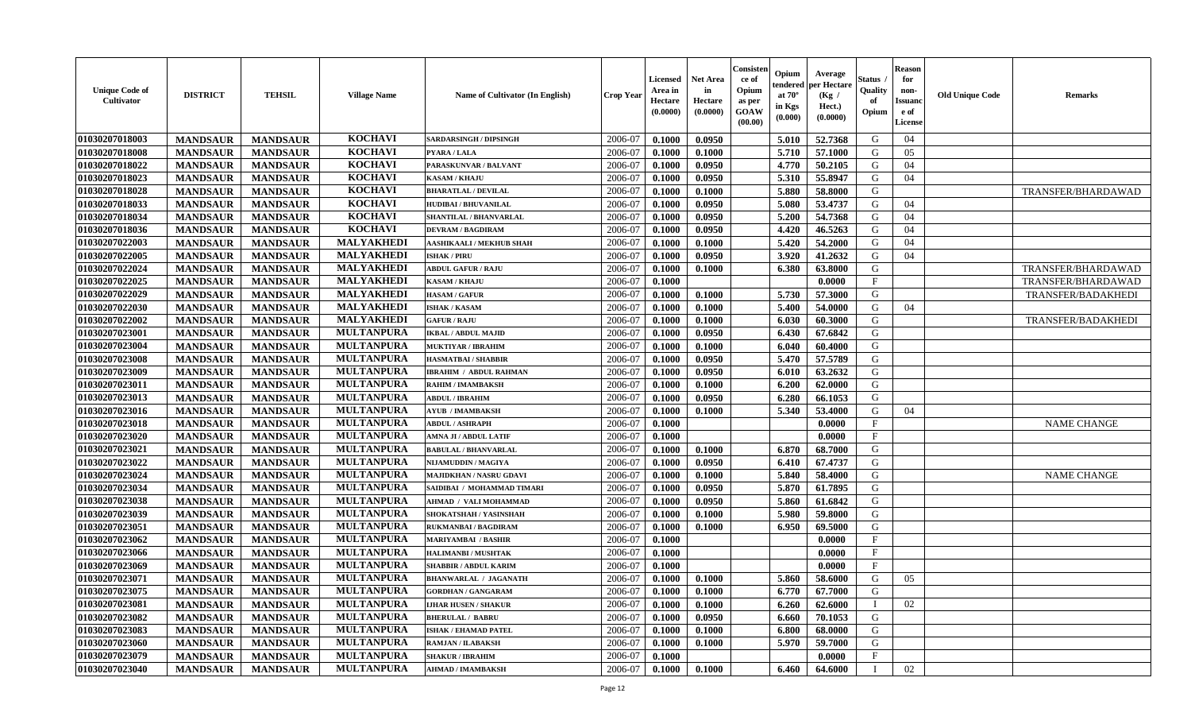| <b>Unique Code of</b><br>Cultivator | <b>DISTRICT</b> | <b>TEHSIL</b>   | <b>Village Name</b> | Name of Cultivator (In English) | <b>Crop Year</b> | <b>Licensed</b><br>Area in<br>Hectare<br>(0.0000) | Net Area<br>in<br>Hectare<br>(0.0000) | Consisteı<br>ce of<br>Opium<br>as per<br>GOAW<br>(00.00) | Opium<br>tendere<br>at $70^\circ$<br>in Kgs<br>$({\bf 0.000})$ | Average<br>per Hectare<br>(Kg /<br>Hect.)<br>(0.0000) | Status<br>Quality<br>of<br>Opium | <b>Reason</b><br>for<br>non-<br>Issuan<br>e of<br>License | <b>Old Unique Code</b> | <b>Remarks</b>            |
|-------------------------------------|-----------------|-----------------|---------------------|---------------------------------|------------------|---------------------------------------------------|---------------------------------------|----------------------------------------------------------|----------------------------------------------------------------|-------------------------------------------------------|----------------------------------|-----------------------------------------------------------|------------------------|---------------------------|
| 01030207018003                      | <b>MANDSAUR</b> | <b>MANDSAUR</b> | <b>KOCHAVI</b>      | <b>SARDARSINGH / DIPSINGH</b>   | 2006-07          | 0.1000                                            | 0.0950                                |                                                          | 5.010                                                          | 52.7368                                               | G                                | 04                                                        |                        |                           |
| 01030207018008                      | <b>MANDSAUR</b> | <b>MANDSAUR</b> | <b>KOCHAVI</b>      | PYARA / LALA                    | 2006-07          | 0.1000                                            | 0.1000                                |                                                          | 5.710                                                          | 57.1000                                               | G                                | 05                                                        |                        |                           |
| 01030207018022                      | <b>MANDSAUR</b> | <b>MANDSAUR</b> | <b>KOCHAVI</b>      | PARASKUNVAR / BALVANT           | 2006-07          | 0.1000                                            | 0.0950                                |                                                          | 4.770                                                          | 50.2105                                               | G                                | 04                                                        |                        |                           |
| 01030207018023                      | <b>MANDSAUR</b> | <b>MANDSAUR</b> | <b>KOCHAVI</b>      | <b>KASAM / KHAJU</b>            | 2006-07          | 0.1000                                            | 0.0950                                |                                                          | 5.310                                                          | 55.8947                                               | G                                | 04                                                        |                        |                           |
| 01030207018028                      | <b>MANDSAUR</b> | <b>MANDSAUR</b> | <b>KOCHAVI</b>      | <b>BHARATLAL / DEVILAL</b>      | 2006-07          | 0.1000                                            | 0.1000                                |                                                          | 5.880                                                          | 58.8000                                               | G                                |                                                           |                        | TRANSFER/BHARDAWAD        |
| 01030207018033                      | <b>MANDSAUR</b> | <b>MANDSAUR</b> | <b>KOCHAVI</b>      | <b>HUDIBAI/BHUVANILAL</b>       | 2006-07          | 0.1000                                            | 0.0950                                |                                                          | 5.080                                                          | 53,4737                                               | G                                | 04                                                        |                        |                           |
| 01030207018034                      | <b>MANDSAUR</b> | <b>MANDSAUR</b> | <b>KOCHAVI</b>      | <b>SHANTILAL / BHANVARLAL</b>   | 2006-07          | 0.1000                                            | 0.0950                                |                                                          | 5.200                                                          | 54.7368                                               | G                                | 04                                                        |                        |                           |
| 01030207018036                      | <b>MANDSAUR</b> | <b>MANDSAUR</b> | <b>KOCHAVI</b>      | <b>DEVRAM / BAGDIRAM</b>        | 2006-07          | 0.1000                                            | 0.0950                                |                                                          | 4.420                                                          | 46.5263                                               | G                                | 04                                                        |                        |                           |
| 01030207022003                      | <b>MANDSAUR</b> | <b>MANDSAUR</b> | MALYAKHEDI          | <b>AASHIKAALI / MEKHUB SHAH</b> | 2006-07          | 0.1000                                            | 0.1000                                |                                                          | 5.420                                                          | 54.2000                                               | G                                | 04                                                        |                        |                           |
| 01030207022005                      | <b>MANDSAUR</b> | <b>MANDSAUR</b> | <b>MALYAKHEDI</b>   | <b>ISHAK / PIRU</b>             | 2006-07          | 0.1000                                            | 0.0950                                |                                                          | 3.920                                                          | 41.2632                                               | G                                | 04                                                        |                        |                           |
| 01030207022024                      | <b>MANDSAUR</b> | <b>MANDSAUR</b> | MALYAKHEDI          | <b>ABDUL GAFUR / RAJU</b>       | 2006-07          | 0.1000                                            | 0.1000                                |                                                          | 6.380                                                          | 63.8000                                               | G                                |                                                           |                        | TRANSFER/BHARDAWAD        |
| 01030207022025                      | <b>MANDSAUR</b> | <b>MANDSAUR</b> | MALYAKHEDI          | <b>KASAM / KHAJU</b>            | 2006-07          | 0.1000                                            |                                       |                                                          |                                                                | 0.0000                                                | $\mathbf{F}$                     |                                                           |                        | TRANSFER/BHARDAWAD        |
| 01030207022029                      | <b>MANDSAUR</b> | <b>MANDSAUR</b> | <b>MALYAKHEDI</b>   | <b>HASAM / GAFUR</b>            | 2006-07          | 0.1000                                            | 0.1000                                |                                                          | 5.730                                                          | 57.3000                                               | G                                |                                                           |                        | <b>TRANSFER/BADAKHEDI</b> |
| 01030207022030                      | <b>MANDSAUR</b> | <b>MANDSAUR</b> | <b>MALYAKHEDI</b>   | <b>ISHAK / KASAM</b>            | 2006-07          | 0.1000                                            | 0.1000                                |                                                          | 5.400                                                          | 54.0000                                               | G                                | 04                                                        |                        |                           |
| 01030207022002                      | <b>MANDSAUR</b> | <b>MANDSAUR</b> | <b>MALYAKHEDI</b>   | <b>GAFUR / RAJU</b>             | 2006-07          | 0.1000                                            | 0.1000                                |                                                          | 6.030                                                          | 60.3000                                               | G                                |                                                           |                        | <b>TRANSFER/BADAKHEDI</b> |
| 01030207023001                      | <b>MANDSAUR</b> | <b>MANDSAUR</b> | <b>MULTANPURA</b>   | <b>IKBAL / ABDUL MAJID</b>      | 2006-07          | 0.1000                                            | 0.0950                                |                                                          | 6.430                                                          | 67.6842                                               | G                                |                                                           |                        |                           |
| 01030207023004                      | <b>MANDSAUR</b> | <b>MANDSAUR</b> | <b>MULTANPURA</b>   | <b>MUKTIYAR / IBRAHIM</b>       | 2006-07          | 0.1000                                            | 0.1000                                |                                                          | 6.040                                                          | 60.4000                                               | G                                |                                                           |                        |                           |
| 01030207023008                      | <b>MANDSAUR</b> | <b>MANDSAUR</b> | <b>MULTANPURA</b>   | <b>HASMATBAI/SHABBIR</b>        | 2006-07          | 0.1000                                            | 0.0950                                |                                                          | 5.470                                                          | 57.5789                                               | G                                |                                                           |                        |                           |
| 01030207023009                      | <b>MANDSAUR</b> | <b>MANDSAUR</b> | <b>MULTANPURA</b>   | <b>IBRAHIM / ABDUL RAHMAN</b>   | 2006-07          | 0.1000                                            | 0.0950                                |                                                          | 6.010                                                          | 63.2632                                               | G                                |                                                           |                        |                           |
| 01030207023011                      | <b>MANDSAUR</b> | <b>MANDSAUR</b> | <b>MULTANPURA</b>   | RAHIM / IMAMBAKSH               | 2006-07          | 0.1000                                            | 0.1000                                |                                                          | 6.200                                                          | 62.0000                                               | G                                |                                                           |                        |                           |
| 01030207023013                      | <b>MANDSAUR</b> | <b>MANDSAUR</b> | <b>MULTANPURA</b>   | <b>ABDUL / IBRAHIM</b>          | 2006-07          | 0.1000                                            | 0.0950                                |                                                          | 6.280                                                          | 66.1053                                               | G                                |                                                           |                        |                           |
| 01030207023016                      | <b>MANDSAUR</b> | <b>MANDSAUR</b> | <b>MULTANPURA</b>   | AYUB / IMAMBAKSH                | 2006-07          | 0.1000                                            | 0.1000                                |                                                          | 5.340                                                          | 53.4000                                               | G                                | 04                                                        |                        |                           |
| 01030207023018                      | <b>MANDSAUR</b> | <b>MANDSAUR</b> | <b>MULTANPURA</b>   | <b>ABDUL / ASHRAPH</b>          | 2006-07          | 0.1000                                            |                                       |                                                          |                                                                | 0.0000                                                | $\mathbf{F}$                     |                                                           |                        | <b>NAME CHANGE</b>        |
| 01030207023020                      | <b>MANDSAUR</b> | <b>MANDSAUR</b> | <b>MULTANPURA</b>   | AMNA JI / ABDUL LATIF           | 2006-07          | 0.1000                                            |                                       |                                                          |                                                                | 0.0000                                                | $\mathbf{F}$                     |                                                           |                        |                           |
| 01030207023021                      | <b>MANDSAUR</b> | <b>MANDSAUR</b> | <b>MULTANPURA</b>   | <b>BABULAL / BHANVARLAL</b>     | 2006-07          | 0.1000                                            | 0.1000                                |                                                          | 6.870                                                          | 68.7000                                               | G                                |                                                           |                        |                           |
| 01030207023022                      | <b>MANDSAUR</b> | <b>MANDSAUR</b> | <b>MULTANPURA</b>   | NIJAMUDDIN / MAGIYA             | 2006-07          | 0.1000                                            | 0.0950                                |                                                          | 6.410                                                          | 67.4737                                               | G                                |                                                           |                        |                           |
| 01030207023024                      | <b>MANDSAUR</b> | <b>MANDSAUR</b> | <b>MULTANPURA</b>   | MAJIDKHAN / NASRU GDAVI         | 2006-07          | 0.1000                                            | 0.1000                                |                                                          | 5.840                                                          | 58.4000                                               | G                                |                                                           |                        | <b>NAME CHANGE</b>        |
| 01030207023034                      | <b>MANDSAUR</b> | <b>MANDSAUR</b> | <b>MULTANPURA</b>   | SAIDIBAI / MOHAMMAD TIMARI      | 2006-07          | 0.1000                                            | 0.0950                                |                                                          | 5.870                                                          | 61.7895                                               | G                                |                                                           |                        |                           |
| 01030207023038                      | <b>MANDSAUR</b> | <b>MANDSAUR</b> | <b>MULTANPURA</b>   | AHMAD / VALI MOHAMMAD           | 2006-07          | 0.1000                                            | 0.0950                                |                                                          | 5.860                                                          | 61.6842                                               | G                                |                                                           |                        |                           |
| 01030207023039                      | <b>MANDSAUR</b> | <b>MANDSAUR</b> | <b>MULTANPURA</b>   | SHOKATSHAH / YASINSHAH          | 2006-07          | 0.1000                                            | 0.1000                                |                                                          | 5.980                                                          | 59.8000                                               | G                                |                                                           |                        |                           |
| 01030207023051                      | <b>MANDSAUR</b> | <b>MANDSAUR</b> | <b>MULTANPURA</b>   | <b>RUKMANBAI / BAGDIRAM</b>     | 2006-07          | 0.1000                                            | 0.1000                                |                                                          | 6.950                                                          | 69.5000                                               | G                                |                                                           |                        |                           |
| 01030207023062                      | <b>MANDSAUR</b> | <b>MANDSAUR</b> | <b>MULTANPURA</b>   | <b>MARIYAMBAI / BASHIR</b>      | 2006-07          | 0.1000                                            |                                       |                                                          |                                                                | 0.0000                                                | $_{\rm F}$                       |                                                           |                        |                           |
| 01030207023066                      | <b>MANDSAUR</b> | <b>MANDSAUR</b> | <b>MULTANPURA</b>   | <b>HALIMANBI / MUSHTAK</b>      | 2006-07          | 0.1000                                            |                                       |                                                          |                                                                | 0.0000                                                | $_{\rm F}$                       |                                                           |                        |                           |
| 01030207023069                      | <b>MANDSAUR</b> | <b>MANDSAUR</b> | <b>MULTANPURA</b>   | <b>SHABBIR / ABDUL KARIM</b>    | 2006-07          | 0.1000                                            |                                       |                                                          |                                                                | 0.0000                                                | $\mathbf{F}$                     |                                                           |                        |                           |
| 01030207023071                      | <b>MANDSAUR</b> | <b>MANDSAUR</b> | <b>MULTANPURA</b>   | <b>BHANWARLAL / JAGANATH</b>    | 2006-07          | 0.1000                                            | 0.1000                                |                                                          | 5.860                                                          | 58.6000                                               | G                                | 05                                                        |                        |                           |
| 01030207023075                      | <b>MANDSAUR</b> | <b>MANDSAUR</b> | <b>MULTANPURA</b>   | <b>GORDHAN / GANGARAM</b>       | 2006-07          | 0.1000                                            | 0.1000                                |                                                          | 6.770                                                          | 67.7000                                               | G                                |                                                           |                        |                           |
| 01030207023081                      | <b>MANDSAUR</b> | <b>MANDSAUR</b> | <b>MULTANPURA</b>   | <b>LJHAR HUSEN / SHAKUR</b>     | 2006-07          | 0.1000                                            | 0.1000                                |                                                          | 6.260                                                          | 62.6000                                               | $\blacksquare$                   | 02                                                        |                        |                           |
| 01030207023082                      | <b>MANDSAUR</b> | <b>MANDSAUR</b> | <b>MULTANPURA</b>   | <b>BHERULAL / BABRU</b>         | 2006-07          | 0.1000                                            | 0.0950                                |                                                          | 6.660                                                          | 70.1053                                               | G                                |                                                           |                        |                           |
| 01030207023083                      | <b>MANDSAUR</b> | <b>MANDSAUR</b> | <b>MULTANPURA</b>   | <b>ISHAK / EHAMAD PATEL</b>     | 2006-07          | 0.1000                                            | 0.1000                                |                                                          | 6.800                                                          | 68.0000                                               | G                                |                                                           |                        |                           |
| 01030207023060                      | <b>MANDSAUR</b> | <b>MANDSAUR</b> | <b>MULTANPURA</b>   | RAMJAN / ILABAKSH               | 2006-07          | 0.1000                                            | 0.1000                                |                                                          | 5.970                                                          | 59.7000                                               | G                                |                                                           |                        |                           |
| 01030207023079                      | <b>MANDSAUR</b> | <b>MANDSAUR</b> | <b>MULTANPURA</b>   | <b>SHAKUR / IBRAHIM</b>         | 2006-07          | 0.1000                                            |                                       |                                                          |                                                                | 0.0000                                                | $\mathbf F$                      |                                                           |                        |                           |
| 01030207023040                      | <b>MANDSAUR</b> | <b>MANDSAUR</b> | <b>MULTANPURA</b>   | <b>AHMAD / IMAMBAKSH</b>        | 2006-07          | $\boldsymbol{0.1000}$                             | 0.1000                                |                                                          | 6.460                                                          | 64.6000                                               | $\mathbf I$                      | 02                                                        |                        |                           |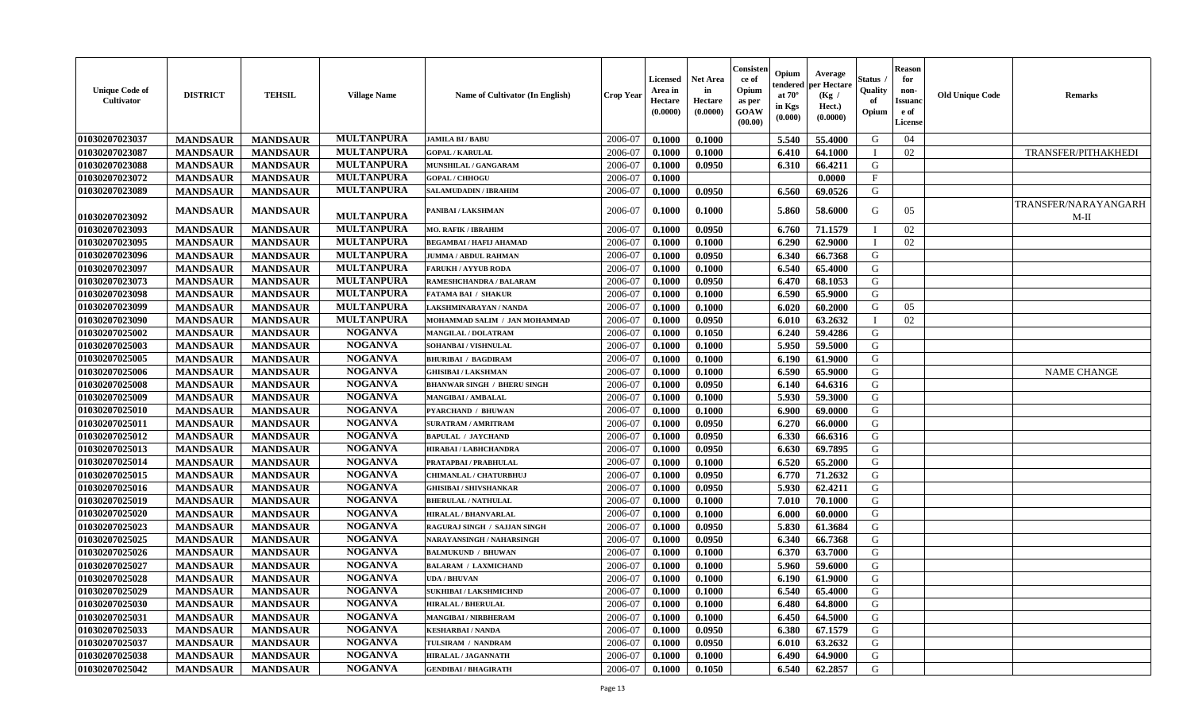| <b>Unique Code of</b><br>Cultivator | <b>DISTRICT</b> | <b>TEHSIL</b>   | <b>Village Name</b> | Name of Cultivator (In English)    | <b>Crop Year</b> | Licensed<br>Area in<br>Hectare<br>(0.0000) | <b>Net Area</b><br>in<br>Hectare<br>(0.0000) | Consisten<br>ce of<br>Opium<br>as per<br>GOAW<br>(00.00) | Opium<br>tendered<br>at $70^\circ$<br>in Kgs<br>(0.000) | Average<br>per Hectare<br>(Kg /<br>Hect.)<br>(0.0000) | Status<br>Quality<br>of<br>Opium | <b>Reason</b><br>for<br>non-<br>Issuanc<br>e of<br>License | <b>Old Unique Code</b> | <b>Remarks</b>                 |
|-------------------------------------|-----------------|-----------------|---------------------|------------------------------------|------------------|--------------------------------------------|----------------------------------------------|----------------------------------------------------------|---------------------------------------------------------|-------------------------------------------------------|----------------------------------|------------------------------------------------------------|------------------------|--------------------------------|
| 01030207023037                      | <b>MANDSAUR</b> | <b>MANDSAUR</b> | <b>MULTANPURA</b>   | <b>JAMILA BI/BABU</b>              | 2006-07          | 0.1000                                     | 0.1000                                       |                                                          | 5.540                                                   | 55.4000                                               | G                                | 04                                                         |                        |                                |
| 01030207023087                      | <b>MANDSAUR</b> | <b>MANDSAUR</b> | <b>MULTANPURA</b>   | <b>GOPAL / KARULAL</b>             | 2006-07          | 0.1000                                     | 0.1000                                       |                                                          | 6.410                                                   | 64.1000                                               |                                  | 02                                                         |                        | TRANSFER/PITHAKHEDI            |
| 01030207023088                      | <b>MANDSAUR</b> | <b>MANDSAUR</b> | <b>MULTANPURA</b>   | MUNSHILAL / GANGARAM               | 2006-07          | 0.1000                                     | 0.0950                                       |                                                          | 6.310                                                   | 66.4211                                               | G                                |                                                            |                        |                                |
| 01030207023072                      | <b>MANDSAUR</b> | <b>MANDSAUR</b> | <b>MULTANPURA</b>   | <b>GOPAL / CHHOGU</b>              | 2006-07          | 0.1000                                     |                                              |                                                          |                                                         | 0.0000                                                | $\mathbf{F}$                     |                                                            |                        |                                |
| 01030207023089                      | <b>MANDSAUR</b> | <b>MANDSAUR</b> | <b>MULTANPURA</b>   | <b>SALAMUDADIN / IBRAHIM</b>       | 2006-07          | 0.1000                                     | 0.0950                                       |                                                          | 6.560                                                   | 69.0526                                               | G                                |                                                            |                        |                                |
| 01030207023092                      | <b>MANDSAUR</b> | <b>MANDSAUR</b> | <b>MULTANPURA</b>   | PANIBAI / LAKSHMAN                 | 2006-07          | 0.1000                                     | 0.1000                                       |                                                          | 5.860                                                   | 58.6000                                               | G                                | 05                                                         |                        | TRANSFER/NARAYANGARH<br>$M-II$ |
| 01030207023093                      | <b>MANDSAUR</b> | <b>MANDSAUR</b> | <b>MULTANPURA</b>   | <b>MO. RAFIK / IBRAHIM</b>         | 2006-07          | 0.1000                                     | 0.0950                                       |                                                          | 6.760                                                   | 71.1579                                               |                                  | 02                                                         |                        |                                |
| 01030207023095                      | <b>MANDSAUR</b> | <b>MANDSAUR</b> | <b>MULTANPURA</b>   | <b>BEGAMBAI / HAFIJ AHAMAD</b>     | 2006-07          | 0.1000                                     | 0.1000                                       |                                                          | 6.290                                                   | 62.9000                                               | T                                | 02                                                         |                        |                                |
| 01030207023096                      | <b>MANDSAUR</b> | <b>MANDSAUR</b> | <b>MULTANPURA</b>   | <b>JUMMA / ABDUL RAHMAN</b>        | 2006-07          | 0.1000                                     | 0.0950                                       |                                                          | 6.340                                                   | 66.7368                                               | G                                |                                                            |                        |                                |
| 01030207023097                      | <b>MANDSAUR</b> | <b>MANDSAUR</b> | <b>MULTANPURA</b>   | <b>FARUKH / AYYUB RODA</b>         | 2006-07          | 0.1000                                     | 0.1000                                       |                                                          | 6.540                                                   | 65.4000                                               | G                                |                                                            |                        |                                |
| 01030207023073                      | <b>MANDSAUR</b> | <b>MANDSAUR</b> | <b>MULTANPURA</b>   | RAMESHCHANDRA / BALARAM            | 2006-07          | 0.1000                                     | 0.0950                                       |                                                          | 6.470                                                   | 68.1053                                               | G                                |                                                            |                        |                                |
| 01030207023098                      | <b>MANDSAUR</b> | <b>MANDSAUR</b> | <b>MULTANPURA</b>   | <b>FATAMA BAI / SHAKUR</b>         | 2006-07          | 0.1000                                     | 0.1000                                       |                                                          | 6.590                                                   | 65.9000                                               | G                                |                                                            |                        |                                |
| 01030207023099                      | <b>MANDSAUR</b> | <b>MANDSAUR</b> | <b>MULTANPURA</b>   | <b>LAKSHMINARAYAN / NANDA</b>      | 2006-07          | 0.1000                                     | 0.1000                                       |                                                          | 6.020                                                   | 60.2000                                               | G                                | 05                                                         |                        |                                |
| 01030207023090                      | <b>MANDSAUR</b> | <b>MANDSAUR</b> | <b>MULTANPURA</b>   | MOHAMMAD SALIM / JAN MOHAMMAD      | 2006-07          | 0.1000                                     | 0.0950                                       |                                                          | 6.010                                                   | 63.2632                                               |                                  | 02                                                         |                        |                                |
| 01030207025002                      | <b>MANDSAUR</b> | <b>MANDSAUR</b> | <b>NOGANVA</b>      | <b>MANGILAL / DOLATRAM</b>         | 2006-07          | 0.1000                                     | 0.1050                                       |                                                          | 6.240                                                   | 59.4286                                               | G                                |                                                            |                        |                                |
| 01030207025003                      | <b>MANDSAUR</b> | <b>MANDSAUR</b> | <b>NOGANVA</b>      | SOHANBAI / VISHNULAL               | 2006-07          | 0.1000                                     | 0.1000                                       |                                                          | 5.950                                                   | 59.5000                                               | G                                |                                                            |                        |                                |
| 01030207025005                      | <b>MANDSAUR</b> | <b>MANDSAUR</b> | <b>NOGANVA</b>      | <b>BHURIBAI / BAGDIRAM</b>         | 2006-07          | 0.1000                                     | 0.1000                                       |                                                          | 6.190                                                   | 61.9000                                               | G                                |                                                            |                        |                                |
| 01030207025006                      | <b>MANDSAUR</b> | <b>MANDSAUR</b> | <b>NOGANVA</b>      | <b>GHISIBAI/LAKSHMAN</b>           | 2006-07          | 0.1000                                     | 0.1000                                       |                                                          | 6.590                                                   | 65.9000                                               | G                                |                                                            |                        | <b>NAME CHANGE</b>             |
| 01030207025008                      | <b>MANDSAUR</b> | <b>MANDSAUR</b> | <b>NOGANVA</b>      | <b>BHANWAR SINGH / BHERU SINGH</b> | 2006-07          | 0.1000                                     | 0.0950                                       |                                                          | 6.140                                                   | 64.6316                                               | G                                |                                                            |                        |                                |
| 01030207025009                      | <b>MANDSAUR</b> | <b>MANDSAUR</b> | <b>NOGANVA</b>      | <b>MANGIBAI/AMBALAL</b>            | 2006-07          | 0.1000                                     | 0.1000                                       |                                                          | 5.930                                                   | 59.3000                                               | G                                |                                                            |                        |                                |
| 01030207025010                      | <b>MANDSAUR</b> | <b>MANDSAUR</b> | <b>NOGANVA</b>      | <b>PYARCHAND / BHUWAN</b>          | 2006-07          | 0.1000                                     | 0.1000                                       |                                                          | 6.900                                                   | 69.0000                                               | G                                |                                                            |                        |                                |
| 01030207025011                      | <b>MANDSAUR</b> | <b>MANDSAUR</b> | <b>NOGANVA</b>      | <b>SURATRAM / AMRITRAM</b>         | 2006-07          | 0.1000                                     | 0.0950                                       |                                                          | 6.270                                                   | 66.0000                                               | G                                |                                                            |                        |                                |
| 01030207025012                      | <b>MANDSAUR</b> | <b>MANDSAUR</b> | <b>NOGANVA</b>      | <b>BAPULAL / JAYCHAND</b>          | 2006-07          | 0.1000                                     | 0.0950                                       |                                                          | 6.330                                                   | 66.6316                                               | G                                |                                                            |                        |                                |
| 01030207025013                      | <b>MANDSAUR</b> | <b>MANDSAUR</b> | <b>NOGANVA</b>      | HIRABAI / LABHCHANDRA              | 2006-07          | 0.1000                                     | 0.0950                                       |                                                          | 6.630                                                   | 69.7895                                               | G                                |                                                            |                        |                                |
| 01030207025014                      | <b>MANDSAUR</b> | <b>MANDSAUR</b> | <b>NOGANVA</b>      | PRATAPBAI / PRABHULAL              | 2006-07          | 0.1000                                     | 0.1000                                       |                                                          | 6.520                                                   | 65.2000                                               | G                                |                                                            |                        |                                |
| 01030207025015                      | <b>MANDSAUR</b> | <b>MANDSAUR</b> | <b>NOGANVA</b>      | CHIMANLAL / CHATURBHUJ             | 2006-07          | 0.1000                                     | 0.0950                                       |                                                          | 6.770                                                   | 71.2632                                               | G                                |                                                            |                        |                                |
| 01030207025016                      | <b>MANDSAUR</b> | <b>MANDSAUR</b> | <b>NOGANVA</b>      | <b>GHISIBAI / SHIVSHANKAR</b>      | 2006-07          | 0.1000                                     | 0.0950                                       |                                                          | 5.930                                                   | 62.4211                                               | G                                |                                                            |                        |                                |
| 01030207025019                      | <b>MANDSAUR</b> | <b>MANDSAUR</b> | <b>NOGANVA</b>      | <b>BHERULAL / NATHULAL</b>         | 2006-07          | 0.1000                                     | 0.1000                                       |                                                          | 7.010                                                   | 70.1000                                               | G                                |                                                            |                        |                                |
| 01030207025020                      | <b>MANDSAUR</b> | <b>MANDSAUR</b> | <b>NOGANVA</b>      | <b>HIRALAL / BHANVARLAL</b>        | 2006-07          | 0.1000                                     | 0.1000                                       |                                                          | 6.000                                                   | 60.0000                                               | G                                |                                                            |                        |                                |
| 01030207025023                      | <b>MANDSAUR</b> | <b>MANDSAUR</b> | <b>NOGANVA</b>      | RAGURAJ SINGH / SAJJAN SINGH       | 2006-07          | 0.1000                                     | 0.0950                                       |                                                          | 5.830                                                   | 61.3684                                               | G                                |                                                            |                        |                                |
| 01030207025025                      | <b>MANDSAUR</b> | <b>MANDSAUR</b> | <b>NOGANVA</b>      | NARAYANSINGH / NAHARSINGH          | 2006-07          | 0.1000                                     | 0.0950                                       |                                                          | 6.340                                                   | 66.7368                                               | G                                |                                                            |                        |                                |
| 01030207025026                      | <b>MANDSAUR</b> | <b>MANDSAUR</b> | <b>NOGANVA</b>      | <b>BALMUKUND / BHUWAN</b>          | 2006-07          | 0.1000                                     | 0.1000                                       |                                                          | 6.370                                                   | 63.7000                                               | G                                |                                                            |                        |                                |
| 01030207025027                      | <b>MANDSAUR</b> | <b>MANDSAUR</b> | <b>NOGANVA</b>      | <b>BALARAM / LAXMICHAND</b>        | 2006-07          | 0.1000                                     | 0.1000                                       |                                                          | 5.960                                                   | 59.6000                                               | G                                |                                                            |                        |                                |
| 01030207025028                      | <b>MANDSAUR</b> | <b>MANDSAUR</b> | <b>NOGANVA</b>      | <b>UDA / BHUVAN</b>                | 2006-07          | 0.1000                                     | 0.1000                                       |                                                          | 6.190                                                   | 61.9000                                               | G                                |                                                            |                        |                                |
| 01030207025029                      | <b>MANDSAUR</b> | <b>MANDSAUR</b> | <b>NOGANVA</b>      | <b>SUKHIBAI/LAKSHMICHND</b>        | 2006-07          | 0.1000                                     | 0.1000                                       |                                                          | 6.540                                                   | 65.4000                                               | G                                |                                                            |                        |                                |
| 01030207025030                      | <b>MANDSAUR</b> | <b>MANDSAUR</b> | <b>NOGANVA</b>      | <b>HIRALAL / BHERULAL</b>          | 2006-07          | 0.1000                                     | 0.1000                                       |                                                          | 6.480                                                   | 64.8000                                               | G                                |                                                            |                        |                                |
| 01030207025031                      | <b>MANDSAUR</b> | <b>MANDSAUR</b> | <b>NOGANVA</b>      | <b>MANGIBAI/NIRBHERAM</b>          | 2006-07          | 0.1000                                     | 0.1000                                       |                                                          | 6.450                                                   | 64.5000                                               | G                                |                                                            |                        |                                |
| 01030207025033                      | <b>MANDSAUR</b> | <b>MANDSAUR</b> | <b>NOGANVA</b>      | <b>KESHARBAI/NANDA</b>             | 2006-07          | 0.1000                                     | 0.0950                                       |                                                          | 6.380                                                   | 67.1579                                               | G                                |                                                            |                        |                                |
| 01030207025037                      | <b>MANDSAUR</b> | <b>MANDSAUR</b> | <b>NOGANVA</b>      | TULSIRAM / NANDRAM                 | 2006-07          | 0.1000                                     | 0.0950                                       |                                                          | 6.010                                                   | 63.2632                                               | G                                |                                                            |                        |                                |
| 01030207025038                      | <b>MANDSAUR</b> | <b>MANDSAUR</b> | <b>NOGANVA</b>      | <b>HIRALAL / JAGANNATH</b>         | 2006-07          | 0.1000                                     | 0.1000                                       |                                                          | 6.490                                                   | 64.9000                                               | G                                |                                                            |                        |                                |
| 01030207025042                      | <b>MANDSAUR</b> | <b>MANDSAUR</b> | <b>NOGANVA</b>      | <b>GENDIBAI / BHAGIRATH</b>        | 2006-07          | 0.1000                                     | 0.1050                                       |                                                          | 6.540                                                   | 62.2857                                               | G                                |                                                            |                        |                                |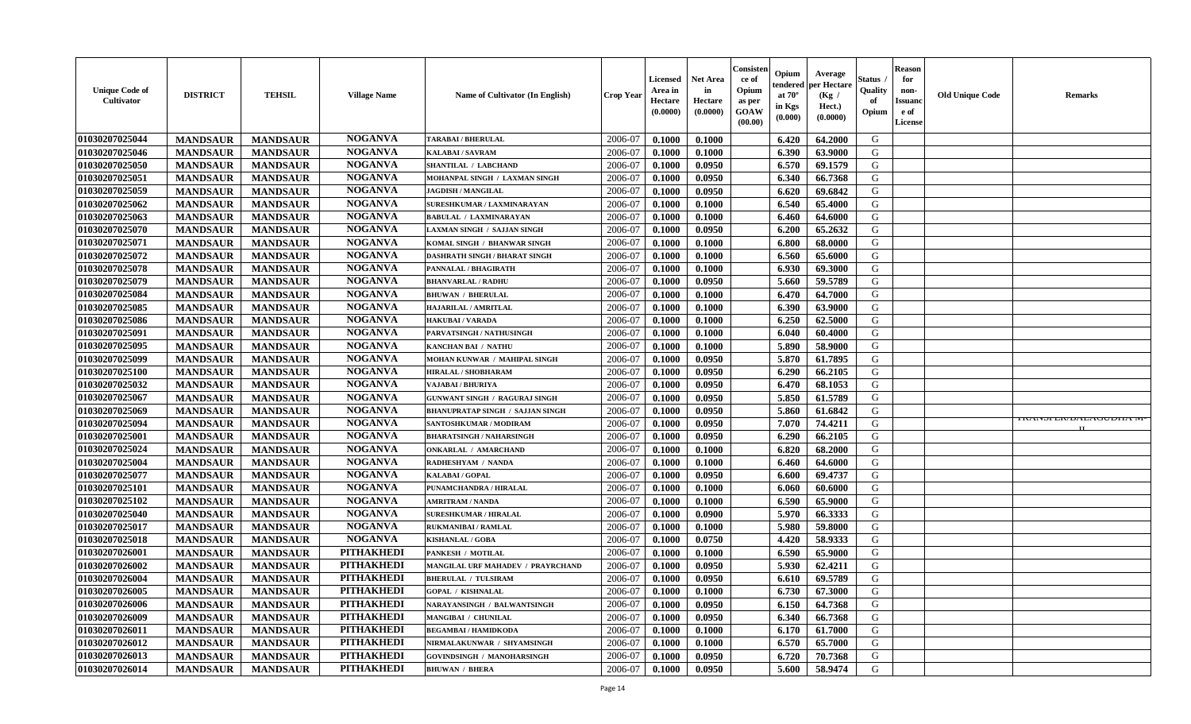| <b>Unique Code of</b><br><b>Cultivator</b> | <b>DISTRICT</b> | <b>TEHSIL</b>   | <b>Village Name</b> | Name of Cultivator (In English)          | <b>Crop Year</b> | <b>Licensed</b><br>Area in<br>Hectare<br>(0.0000) | <b>Net Area</b><br>in<br>Hectare<br>(0.0000) | Consisteı<br>ce of<br>Opium<br>as per<br><b>GOAW</b><br>(00.00) | Opium<br>endered<br>at $70^\circ$<br>in Kgs<br>$(\mathbf{0.000})$ | Average<br>per Hectare<br>(Kg /<br>Hect.)<br>(0.0000) | Status<br>Quality<br>of<br>Opium | Reason<br>for<br>non-<br>Issuan<br>e of<br>License | <b>Old Unique Code</b> | <b>Remarks</b>                  |
|--------------------------------------------|-----------------|-----------------|---------------------|------------------------------------------|------------------|---------------------------------------------------|----------------------------------------------|-----------------------------------------------------------------|-------------------------------------------------------------------|-------------------------------------------------------|----------------------------------|----------------------------------------------------|------------------------|---------------------------------|
| 01030207025044                             | <b>MANDSAUR</b> | <b>MANDSAUR</b> | <b>NOGANVA</b>      | <b>TARABAI / BHERULAL</b>                | 2006-07          | 0.1000                                            | 0.1000                                       |                                                                 | 6.420                                                             | 64.2000                                               | G                                |                                                    |                        |                                 |
| 01030207025046                             | <b>MANDSAUR</b> | <b>MANDSAUR</b> | <b>NOGANVA</b>      | KALABAI / SAVRAM                         | 2006-07          | 0.1000                                            | 0.1000                                       |                                                                 | 6.390                                                             | 63.9000                                               | G                                |                                                    |                        |                                 |
| 01030207025050                             | <b>MANDSAUR</b> | <b>MANDSAUR</b> | <b>NOGANVA</b>      | SHANTILAL / LABCHAND                     | 2006-07          | 0.1000                                            | 0.0950                                       |                                                                 | 6.570                                                             | 69.1579                                               | G                                |                                                    |                        |                                 |
| 01030207025051                             | <b>MANDSAUR</b> | <b>MANDSAUR</b> | <b>NOGANVA</b>      | MOHANPAL SINGH / LAXMAN SINGH            | 2006-07          | 0.1000                                            | 0.0950                                       |                                                                 | 6.340                                                             | 66.7368                                               | G                                |                                                    |                        |                                 |
| 01030207025059                             | <b>MANDSAUR</b> | <b>MANDSAUR</b> | <b>NOGANVA</b>      | <b>JAGDISH / MANGILAL</b>                | 2006-07          | 0.1000                                            | 0.0950                                       |                                                                 | 6.620                                                             | 69.6842                                               | G                                |                                                    |                        |                                 |
| 01030207025062                             | <b>MANDSAUR</b> | <b>MANDSAUR</b> | <b>NOGANVA</b>      | SURESHKUMAR / LAXMINARAYAN               | 2006-07          | 0.1000                                            | 0.1000                                       |                                                                 | 6.540                                                             | 65.4000                                               | G                                |                                                    |                        |                                 |
| 01030207025063                             | <b>MANDSAUR</b> | <b>MANDSAUR</b> | <b>NOGANVA</b>      | <b>BABULAL / LAXMINARAYAN</b>            | 2006-07          | 0.1000                                            | 0.1000                                       |                                                                 | 6.460                                                             | 64.6000                                               | G                                |                                                    |                        |                                 |
| 01030207025070                             | <b>MANDSAUR</b> | <b>MANDSAUR</b> | <b>NOGANVA</b>      | LAXMAN SINGH / SAJJAN SINGH              | 2006-07          | 0.1000                                            | 0.0950                                       |                                                                 | 6.200                                                             | 65.2632                                               | G                                |                                                    |                        |                                 |
| 01030207025071                             | <b>MANDSAUR</b> | <b>MANDSAUR</b> | <b>NOGANVA</b>      | KOMAL SINGH / BHANWAR SINGH              | 2006-07          | 0.1000                                            | 0.1000                                       |                                                                 | 6.800                                                             | 68.0000                                               | G                                |                                                    |                        |                                 |
| 01030207025072                             | <b>MANDSAUR</b> | <b>MANDSAUR</b> | <b>NOGANVA</b>      | DASHRATH SINGH / BHARAT SINGH            | 2006-07          | 0.1000                                            | 0.1000                                       |                                                                 | 6.560                                                             | 65.6000                                               | G                                |                                                    |                        |                                 |
| 01030207025078                             | <b>MANDSAUR</b> | <b>MANDSAUR</b> | <b>NOGANVA</b>      | PANNALAL / BHAGIRATH                     | 2006-07          | 0.1000                                            | 0.1000                                       |                                                                 | 6.930                                                             | 69.3000                                               | G                                |                                                    |                        |                                 |
| 01030207025079                             | <b>MANDSAUR</b> | <b>MANDSAUR</b> | <b>NOGANVA</b>      | <b>BHANVARLAL / RADHU</b>                | 2006-07          | 0.1000                                            | 0.0950                                       |                                                                 | 5.660                                                             | 59.5789                                               | G                                |                                                    |                        |                                 |
| 01030207025084                             | <b>MANDSAUR</b> | <b>MANDSAUR</b> | <b>NOGANVA</b>      | <b>BHUWAN / BHERULAL</b>                 | 2006-07          | 0.1000                                            | 0.1000                                       |                                                                 | 6.470                                                             | 64.7000                                               | G                                |                                                    |                        |                                 |
| 01030207025085                             | <b>MANDSAUR</b> | <b>MANDSAUR</b> | <b>NOGANVA</b>      | HAJARILAL / AMRITLAL                     | 2006-07          | 0.1000                                            | 0.1000                                       |                                                                 | 6.390                                                             | 63.9000                                               | G                                |                                                    |                        |                                 |
| 01030207025086                             | <b>MANDSAUR</b> | <b>MANDSAUR</b> | <b>NOGANVA</b>      | <b>HAKUBAI/VARADA</b>                    | 2006-07          | 0.1000                                            | 0.1000                                       |                                                                 | 6.250                                                             | 62.5000                                               | G                                |                                                    |                        |                                 |
| 01030207025091                             | <b>MANDSAUR</b> | <b>MANDSAUR</b> | <b>NOGANVA</b>      | PARVATSINGH / NATHUSINGH                 | 2006-07          | 0.1000                                            | 0.1000                                       |                                                                 | 6.040                                                             | 60.4000                                               | G                                |                                                    |                        |                                 |
| 01030207025095                             | <b>MANDSAUR</b> | <b>MANDSAUR</b> | <b>NOGANVA</b>      | <b>KANCHAN BAI / NATHU</b>               | 2006-07          | 0.1000                                            | 0.1000                                       |                                                                 | 5.890                                                             | 58.9000                                               | G                                |                                                    |                        |                                 |
| 01030207025099                             | <b>MANDSAUR</b> | <b>MANDSAUR</b> | <b>NOGANVA</b>      | MOHAN KUNWAR / MAHIPAL SINGH             | 2006-07          | 0.1000                                            | 0.0950                                       |                                                                 | 5.870                                                             | 61.7895                                               | G                                |                                                    |                        |                                 |
| 01030207025100                             | <b>MANDSAUR</b> | <b>MANDSAUR</b> | <b>NOGANVA</b>      | HIRALAL / SHOBHARAM                      | 2006-07          | 0.1000                                            | 0.0950                                       |                                                                 | 6.290                                                             | 66.2105                                               | G                                |                                                    |                        |                                 |
| 01030207025032                             | <b>MANDSAUR</b> | <b>MANDSAUR</b> | <b>NOGANVA</b>      | VAJABAI / BHURIYA                        | 2006-07          | 0.1000                                            | 0.0950                                       |                                                                 | 6.470                                                             | 68.1053                                               | G                                |                                                    |                        |                                 |
| 01030207025067                             | <b>MANDSAUR</b> | <b>MANDSAUR</b> | <b>NOGANVA</b>      | <b>GUNWANT SINGH / RAGURAJ SINGH</b>     | 2006-07          | 0.1000                                            | 0.0950                                       |                                                                 | 5.850                                                             | 61.5789                                               | G                                |                                                    |                        |                                 |
| 01030207025069                             | <b>MANDSAUR</b> | <b>MANDSAUR</b> | <b>NOGANVA</b>      | <b>BHANUPRATAP SINGH / SAJJAN SINGH</b>  | 2006-07          | 0.1000                                            | 0.0950                                       |                                                                 | 5.860                                                             | 61.6842                                               | G                                |                                                    |                        |                                 |
| 01030207025094                             | <b>MANDSAUR</b> | <b>MANDSAUR</b> | <b>NOGANVA</b>      | SANTOSHKUMAR / MODIRAM                   | 2006-07          | 0.1000                                            | 0.0950                                       |                                                                 | 7.070                                                             | 74.4211                                               | G                                |                                                    |                        | <b>IRAINSFEIVDALAUUDITA IN-</b> |
| 01030207025001                             | <b>MANDSAUR</b> | <b>MANDSAUR</b> | <b>NOGANVA</b>      | <b>BHARATSINGH / NAHARSINGH</b>          | 2006-07          | 0.1000                                            | 0.0950                                       |                                                                 | 6.290                                                             | 66.2105                                               | G                                |                                                    |                        |                                 |
| 01030207025024                             | <b>MANDSAUR</b> | <b>MANDSAUR</b> | <b>NOGANVA</b>      | <b>ONKARLAL / AMARCHAND</b>              | 2006-07          | 0.1000                                            | 0.1000                                       |                                                                 | 6.820                                                             | 68.2000                                               | G                                |                                                    |                        |                                 |
| 01030207025004                             | <b>MANDSAUR</b> | <b>MANDSAUR</b> | <b>NOGANVA</b>      | RADHESHYAM / NANDA                       | 2006-07          | 0.1000                                            | 0.1000                                       |                                                                 | 6.460                                                             | 64.6000                                               | G                                |                                                    |                        |                                 |
| 01030207025077                             | <b>MANDSAUR</b> | <b>MANDSAUR</b> | <b>NOGANVA</b>      | KALABAI / GOPAL                          | 2006-07          | 0.1000                                            | 0.0950                                       |                                                                 | 6.600                                                             | 69.4737                                               | G                                |                                                    |                        |                                 |
| 01030207025101                             | <b>MANDSAUR</b> | <b>MANDSAUR</b> | <b>NOGANVA</b>      | PUNAMCHANDRA / HIRALAL                   | 2006-07          | 0.1000                                            | 0.1000                                       |                                                                 | 6.060                                                             | 60.6000                                               | G                                |                                                    |                        |                                 |
| 01030207025102                             | <b>MANDSAUR</b> | <b>MANDSAUR</b> | <b>NOGANVA</b>      | <b>AMRITRAM / NANDA</b>                  | 2006-07          | 0.1000                                            | 0.1000                                       |                                                                 | 6.590                                                             | 65.9000                                               | G                                |                                                    |                        |                                 |
| 01030207025040                             | <b>MANDSAUR</b> | <b>MANDSAUR</b> | <b>NOGANVA</b>      | <b>SURESHKUMAR / HIRALAL</b>             | 2006-07          | 0.1000                                            | 0.0900                                       |                                                                 | 5.970                                                             | 66.3333                                               | G                                |                                                    |                        |                                 |
| 01030207025017                             | <b>MANDSAUR</b> | <b>MANDSAUR</b> | <b>NOGANVA</b>      | <b>RUKMANIBAI / RAMLAL</b>               | 2006-07          | 0.1000                                            | 0.1000                                       |                                                                 | 5.980                                                             | 59.8000                                               | G                                |                                                    |                        |                                 |
| 01030207025018                             | <b>MANDSAUR</b> | <b>MANDSAUR</b> | <b>NOGANVA</b>      | <b>KISHANLAL / GOBA</b>                  | 2006-07          | 0.1000                                            | 0.0750                                       |                                                                 | 4.420                                                             | 58.9333                                               | G                                |                                                    |                        |                                 |
| 01030207026001                             | <b>MANDSAUR</b> | <b>MANDSAUR</b> | <b>PITHAKHEDI</b>   | PANKESH / MOTILAL                        | 2006-07          | 0.1000                                            | 0.1000                                       |                                                                 | 6.590                                                             | 65.9000                                               | G                                |                                                    |                        |                                 |
| 01030207026002                             | <b>MANDSAUR</b> | <b>MANDSAUR</b> | <b>PITHAKHEDI</b>   | <b>MANGILAL URF MAHADEV / PRAYRCHAND</b> | 2006-07          | 0.1000                                            | 0.0950                                       |                                                                 | 5.930                                                             | 62.4211                                               | G                                |                                                    |                        |                                 |
| 01030207026004                             | <b>MANDSAUR</b> | <b>MANDSAUR</b> | <b>PITHAKHEDI</b>   | <b>BHERULAL / TULSIRAM</b>               | 2006-07          | 0.1000                                            | 0.0950                                       |                                                                 | 6.610                                                             | 69.5789                                               | G                                |                                                    |                        |                                 |
| 01030207026005                             | <b>MANDSAUR</b> | <b>MANDSAUR</b> | PITHAKHEDI          | <b>GOPAL / KISHNALAL</b>                 | 2006-07          | 0.1000                                            | 0.1000                                       |                                                                 |                                                                   | $6.730 \pm 67.3000$                                   | G                                |                                                    |                        |                                 |
| 01030207026006                             | <b>MANDSAUR</b> | <b>MANDSAUR</b> | <b>PITHAKHEDI</b>   | NARAYANSINGH / BALWANTSINGH              | 2006-07          | 0.1000                                            | 0.0950                                       |                                                                 | 6.150                                                             | 64.7368                                               | G                                |                                                    |                        |                                 |
| 01030207026009                             | <b>MANDSAUR</b> | <b>MANDSAUR</b> | <b>PITHAKHEDI</b>   | <b>MANGIBAI / CHUNILAL</b>               | 2006-07          | 0.1000                                            | 0.0950                                       |                                                                 | 6.340                                                             | 66.7368                                               | G                                |                                                    |                        |                                 |
| 01030207026011                             | <b>MANDSAUR</b> | <b>MANDSAUR</b> | <b>PITHAKHEDI</b>   | <b>BEGAMBAI/HAMIDKODA</b>                | 2006-07          | 0.1000                                            | 0.1000                                       |                                                                 | 6.170                                                             | 61.7000                                               | G                                |                                                    |                        |                                 |
| 01030207026012                             | <b>MANDSAUR</b> | <b>MANDSAUR</b> | <b>PITHAKHEDI</b>   | NIRMALAKUNWAR / SHYAMSINGH               | 2006-07          | 0.1000                                            | 0.1000                                       |                                                                 | 6.570                                                             | 65.7000                                               | G                                |                                                    |                        |                                 |
| 01030207026013                             | <b>MANDSAUR</b> | <b>MANDSAUR</b> | <b>PITHAKHEDI</b>   | <b>GOVINDSINGH / MANOHARSINGH</b>        | 2006-07          | 0.1000                                            | 0.0950                                       |                                                                 | 6.720                                                             | 70.7368                                               | G                                |                                                    |                        |                                 |
| 01030207026014                             | <b>MANDSAUR</b> | <b>MANDSAUR</b> | <b>PITHAKHEDI</b>   | <b>BHUWAN / BHERA</b>                    | 2006-07          | 0.1000                                            | 0.0950                                       |                                                                 | 5.600                                                             | 58.9474                                               | G                                |                                                    |                        |                                 |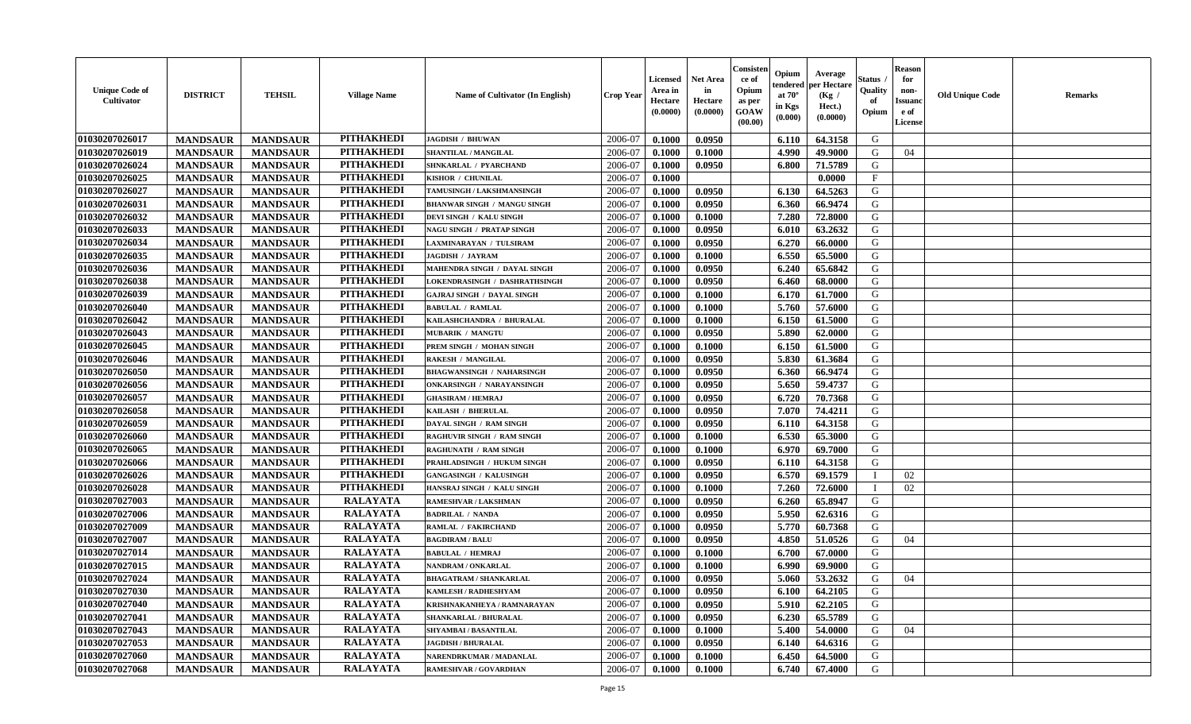| <b>Unique Code of</b><br>Cultivator | <b>DISTRICT</b> | <b>TEHSIL</b>   | <b>Village Name</b> | <b>Name of Cultivator (In English)</b> | <b>Crop Year</b> | <b>Licensed</b><br>Area in<br>Hectare<br>(0.0000) | <b>Net Area</b><br>in<br>Hectare<br>(0.0000) | Consister<br>ce of<br>Opium<br>as per<br><b>GOAW</b><br>(00.00) | Opium<br>tendered<br>at $70^\circ$<br>in Kgs<br>$(\mathbf{0.000})$ | Average<br>per Hectare<br>(Kg /<br>Hect.)<br>(0.0000) | Status .<br>Quality<br>of<br>Opium | <b>Reason</b><br>for<br>non-<br><b>Issuand</b><br>e of<br>License | <b>Old Unique Code</b> | <b>Remarks</b> |
|-------------------------------------|-----------------|-----------------|---------------------|----------------------------------------|------------------|---------------------------------------------------|----------------------------------------------|-----------------------------------------------------------------|--------------------------------------------------------------------|-------------------------------------------------------|------------------------------------|-------------------------------------------------------------------|------------------------|----------------|
| 01030207026017                      | <b>MANDSAUR</b> | <b>MANDSAUR</b> | <b>PITHAKHEDI</b>   | <b>JAGDISH / BHUWAN</b>                | 2006-07          | 0.1000                                            | 0.0950                                       |                                                                 | 6.110                                                              | 64.3158                                               | G                                  |                                                                   |                        |                |
| 01030207026019                      | <b>MANDSAUR</b> | <b>MANDSAUR</b> | <b>PITHAKHEDI</b>   | SHANTILAL / MANGILAL                   | 2006-07          | 0.1000                                            | 0.1000                                       |                                                                 | 4.990                                                              | 49.9000                                               | G                                  | 04                                                                |                        |                |
| 01030207026024                      | <b>MANDSAUR</b> | <b>MANDSAUR</b> | <b>PITHAKHEDI</b>   | SHNKARLAL / PYARCHAND                  | 2006-07          | 0.1000                                            | 0.0950                                       |                                                                 | 6.800                                                              | 71.5789                                               | G                                  |                                                                   |                        |                |
| 01030207026025                      | <b>MANDSAUR</b> | <b>MANDSAUR</b> | <b>PITHAKHEDI</b>   | KISHOR / CHUNILAL                      | 2006-07          | 0.1000                                            |                                              |                                                                 |                                                                    | 0.0000                                                | F                                  |                                                                   |                        |                |
| 01030207026027                      | <b>MANDSAUR</b> | <b>MANDSAUR</b> | <b>PITHAKHEDI</b>   | TAMUSINGH / LAKSHMANSINGH              | 2006-07          | 0.1000                                            | 0.0950                                       |                                                                 | 6.130                                                              | 64.5263                                               | G                                  |                                                                   |                        |                |
| 01030207026031                      | <b>MANDSAUR</b> | <b>MANDSAUR</b> | <b>PITHAKHEDI</b>   | <b>BHANWAR SINGH / MANGU SINGH</b>     | 2006-07          | 0.1000                                            | 0.0950                                       |                                                                 | 6.360                                                              | 66.9474                                               | G                                  |                                                                   |                        |                |
| 01030207026032                      | <b>MANDSAUR</b> | <b>MANDSAUR</b> | <b>PITHAKHEDI</b>   | DEVI SINGH / KALU SINGH                | 2006-07          | 0.1000                                            | 0.1000                                       |                                                                 | 7.280                                                              | 72.8000                                               | G                                  |                                                                   |                        |                |
| 01030207026033                      | <b>MANDSAUR</b> | <b>MANDSAUR</b> | <b>PITHAKHEDI</b>   | <b>NAGU SINGH / PRATAP SINGH</b>       | 2006-07          | 0.1000                                            | 0.0950                                       |                                                                 | 6.010                                                              | 63.2632                                               | G                                  |                                                                   |                        |                |
| 01030207026034                      | <b>MANDSAUR</b> | <b>MANDSAUR</b> | <b>PITHAKHEDI</b>   | LAXMINARAYAN / TULSIRAM                | 2006-07          | 0.1000                                            | 0.0950                                       |                                                                 | 6.270                                                              | 66.0000                                               | G                                  |                                                                   |                        |                |
| 01030207026035                      | <b>MANDSAUR</b> | <b>MANDSAUR</b> | <b>PITHAKHEDI</b>   | JAGDISH / JAYRAM                       | 2006-07          | 0.1000                                            | 0.1000                                       |                                                                 | 6.550                                                              | 65.5000                                               | G                                  |                                                                   |                        |                |
| 01030207026036                      | <b>MANDSAUR</b> | <b>MANDSAUR</b> | <b>PITHAKHEDI</b>   | MAHENDRA SINGH / DAYAL SINGH           | 2006-07          | 0.1000                                            | 0.0950                                       |                                                                 | 6.240                                                              | 65.6842                                               | G                                  |                                                                   |                        |                |
| 01030207026038                      | <b>MANDSAUR</b> | <b>MANDSAUR</b> | <b>PITHAKHEDI</b>   | <b>LOKENDRASINGH / DASHRATHSINGH</b>   | 2006-07          | 0.1000                                            | 0.0950                                       |                                                                 | 6.460                                                              | 68.0000                                               | G                                  |                                                                   |                        |                |
| 01030207026039                      | <b>MANDSAUR</b> | <b>MANDSAUR</b> | <b>PITHAKHEDI</b>   | <b>GAJRAJ SINGH / DAYAL SINGH</b>      | 2006-07          | 0.1000                                            | 0.1000                                       |                                                                 | 6.170                                                              | 61.7000                                               | G                                  |                                                                   |                        |                |
| 01030207026040                      | <b>MANDSAUR</b> | <b>MANDSAUR</b> | <b>PITHAKHEDI</b>   | <b>BABULAL / RAMLAL</b>                | 2006-07          | 0.1000                                            | 0.1000                                       |                                                                 | 5.760                                                              | 57.6000                                               | G                                  |                                                                   |                        |                |
| 01030207026042                      | <b>MANDSAUR</b> | <b>MANDSAUR</b> | <b>PITHAKHEDI</b>   | KAILASHCHANDRA / BHURALAL              | 2006-07          | 0.1000                                            | 0.1000                                       |                                                                 | 6.150                                                              | 61.5000                                               | G                                  |                                                                   |                        |                |
| 01030207026043                      | <b>MANDSAUR</b> | <b>MANDSAUR</b> | <b>PITHAKHEDI</b>   | <b>MUBARIK / MANGTU</b>                | 2006-07          | 0.1000                                            | 0.0950                                       |                                                                 | 5.890                                                              | 62.0000                                               | G                                  |                                                                   |                        |                |
| 01030207026045                      | <b>MANDSAUR</b> | <b>MANDSAUR</b> | <b>PITHAKHEDI</b>   | PREM SINGH / MOHAN SINGH               | 2006-07          | 0.1000                                            | 0.1000                                       |                                                                 | 6.150                                                              | 61.5000                                               | G                                  |                                                                   |                        |                |
| 01030207026046                      | <b>MANDSAUR</b> | <b>MANDSAUR</b> | <b>PITHAKHEDI</b>   | <b>RAKESH / MANGILAL</b>               | 2006-07          | 0.1000                                            | 0.0950                                       |                                                                 | 5.830                                                              | 61.3684                                               | G                                  |                                                                   |                        |                |
| 01030207026050                      | <b>MANDSAUR</b> | <b>MANDSAUR</b> | <b>PITHAKHEDI</b>   | <b>BHAGWANSINGH / NAHARSINGH</b>       | 2006-07          | 0.1000                                            | 0.0950                                       |                                                                 | 6.360                                                              | 66.9474                                               | G                                  |                                                                   |                        |                |
| 01030207026056                      | <b>MANDSAUR</b> | <b>MANDSAUR</b> | <b>PITHAKHEDI</b>   | <b>ONKARSINGH / NARAYANSINGH</b>       | 2006-07          | 0.1000                                            | 0.0950                                       |                                                                 | 5.650                                                              | 59,4737                                               | G                                  |                                                                   |                        |                |
| 01030207026057                      | <b>MANDSAUR</b> | <b>MANDSAUR</b> | <b>PITHAKHEDI</b>   | <b>GHASIRAM / HEMRAJ</b>               | 2006-07          | 0.1000                                            | 0.0950                                       |                                                                 | 6.720                                                              | 70.7368                                               | G                                  |                                                                   |                        |                |
| 01030207026058                      | <b>MANDSAUR</b> | <b>MANDSAUR</b> | <b>PITHAKHEDI</b>   | KAILASH / BHERULAL                     | 2006-07          | 0.1000                                            | 0.0950                                       |                                                                 | 7.070                                                              | 74.4211                                               | G                                  |                                                                   |                        |                |
| 01030207026059                      | <b>MANDSAUR</b> | <b>MANDSAUR</b> | <b>PITHAKHEDI</b>   | DAYAL SINGH / RAM SINGH                | 2006-07          | 0.1000                                            | 0.0950                                       |                                                                 | 6.110                                                              | 64.3158                                               | G                                  |                                                                   |                        |                |
| 01030207026060                      | <b>MANDSAUR</b> | <b>MANDSAUR</b> | <b>PITHAKHEDI</b>   | <b>RAGHUVIR SINGH / RAM SINGH</b>      | 2006-07          | 0.1000                                            | 0.1000                                       |                                                                 | 6.530                                                              | 65.3000                                               | G                                  |                                                                   |                        |                |
| 01030207026065                      | <b>MANDSAUR</b> | <b>MANDSAUR</b> | <b>PITHAKHEDI</b>   | <b>RAGHUNATH / RAM SINGH</b>           | 2006-07          | 0.1000                                            | 0.1000                                       |                                                                 | 6.970                                                              | 69.7000                                               | G                                  |                                                                   |                        |                |
| 01030207026066                      | <b>MANDSAUR</b> | <b>MANDSAUR</b> | <b>PITHAKHEDI</b>   | PRAHLADSINGH / HUKUM SINGH             | 2006-07          | 0.1000                                            | 0.0950                                       |                                                                 | 6.110                                                              | 64.3158                                               | G                                  |                                                                   |                        |                |
| 01030207026026                      | <b>MANDSAUR</b> | <b>MANDSAUR</b> | <b>PITHAKHEDI</b>   | <b>GANGASINGH / KALUSINGH</b>          | 2006-07          | 0.1000                                            | 0.0950                                       |                                                                 | 6.570                                                              | 69.1579                                               |                                    | 02                                                                |                        |                |
| 01030207026028                      | <b>MANDSAUR</b> | <b>MANDSAUR</b> | <b>PITHAKHEDI</b>   | HANSRAJ SINGH / KALU SINGH             | 2006-07          | 0.1000                                            | 0.1000                                       |                                                                 | 7.260                                                              | 72.6000                                               |                                    | 02                                                                |                        |                |
| 01030207027003                      | <b>MANDSAUR</b> | <b>MANDSAUR</b> | <b>RALAYATA</b>     | RAMESHVAR / LAKSHMAN                   | 2006-07          | 0.1000                                            | 0.0950                                       |                                                                 | 6.260                                                              | 65.8947                                               | G                                  |                                                                   |                        |                |
| 01030207027006                      | <b>MANDSAUR</b> | <b>MANDSAUR</b> | <b>RALAYATA</b>     | <b>BADRILAL / NANDA</b>                | 2006-07          | 0.1000                                            | 0.0950                                       |                                                                 | 5.950                                                              | 62.6316                                               | G                                  |                                                                   |                        |                |
| 01030207027009                      | <b>MANDSAUR</b> | <b>MANDSAUR</b> | <b>RALAYATA</b>     | RAMLAL / FAKIRCHAND                    | 2006-07          | 0.1000                                            | 0.0950                                       |                                                                 | 5.770                                                              | 60.7368                                               | G                                  |                                                                   |                        |                |
| 01030207027007                      | <b>MANDSAUR</b> | <b>MANDSAUR</b> | <b>RALAYATA</b>     | <b>BAGDIRAM / BALU</b>                 | 2006-07          | 0.1000                                            | 0.0950                                       |                                                                 | 4.850                                                              | 51.0526                                               | G                                  | 04                                                                |                        |                |
| 01030207027014                      | <b>MANDSAUR</b> | <b>MANDSAUR</b> | <b>RALAYATA</b>     | <b>BABULAL / HEMRAJ</b>                | 2006-07          | 0.1000                                            | 0.1000                                       |                                                                 | 6.700                                                              | 67.0000                                               | G                                  |                                                                   |                        |                |
| 01030207027015                      | <b>MANDSAUR</b> | <b>MANDSAUR</b> | <b>RALAYATA</b>     | NANDRAM / ONKARLAL                     | 2006-07          | 0.1000                                            | 0.1000                                       |                                                                 | 6.990                                                              | 69.9000                                               | G                                  |                                                                   |                        |                |
| 01030207027024                      | <b>MANDSAUR</b> | <b>MANDSAUR</b> | <b>RALAYATA</b>     | <b>BHAGATRAM / SHANKARLAL</b>          | 2006-07          | 0.1000                                            | 0.0950                                       |                                                                 | 5.060                                                              | 53.2632                                               | G                                  | 04                                                                |                        |                |
| 01030207027030                      | <b>MANDSAUR</b> | <b>MANDSAUR</b> | RALAYATA            | <b>KAMLESH / RADHESHYAM</b>            | 2006-07          | 0.1000                                            | 0.0950                                       |                                                                 | 6.100                                                              | 64.2105                                               | G                                  |                                                                   |                        |                |
| 01030207027040                      | <b>MANDSAUR</b> | <b>MANDSAUR</b> | <b>RALAYATA</b>     | KRISHNAKANHEYA / RAMNARAYAN            | 2006-07          | 0.1000                                            | 0.0950                                       |                                                                 | 5.910                                                              | 62.2105                                               | G                                  |                                                                   |                        |                |
| 01030207027041                      | <b>MANDSAUR</b> | <b>MANDSAUR</b> | <b>RALAYATA</b>     | <b>SHANKARLAL / BHURALAL</b>           | 2006-07          | 0.1000                                            | 0.0950                                       |                                                                 | 6.230                                                              | 65.5789                                               | G                                  |                                                                   |                        |                |
| 01030207027043                      | <b>MANDSAUR</b> | <b>MANDSAUR</b> | <b>RALAYATA</b>     | SHYAMBAI / BASANTILAL                  | 2006-07          | 0.1000                                            | 0.1000                                       |                                                                 | 5.400                                                              | 54.0000                                               | G                                  | 04                                                                |                        |                |
| 01030207027053                      | <b>MANDSAUR</b> | <b>MANDSAUR</b> | <b>RALAYATA</b>     | <b>JAGDISH / BHURALAL</b>              | 2006-07          | 0.1000                                            | 0.0950                                       |                                                                 | 6.140                                                              | 64.6316                                               | G                                  |                                                                   |                        |                |
| 01030207027060                      | <b>MANDSAUR</b> | <b>MANDSAUR</b> | <b>RALAYATA</b>     | NARENDRKUMAR / MADANLAL                | 2006-07          | 0.1000                                            | 0.1000                                       |                                                                 | 6.450                                                              | 64.5000                                               | G                                  |                                                                   |                        |                |
| 01030207027068                      | <b>MANDSAUR</b> | <b>MANDSAUR</b> | <b>RALAYATA</b>     | RAMESHVAR / GOVARDHAN                  | 2006-07          | 0.1000                                            | 0.1000                                       |                                                                 | 6.740                                                              | 67.4000                                               | G                                  |                                                                   |                        |                |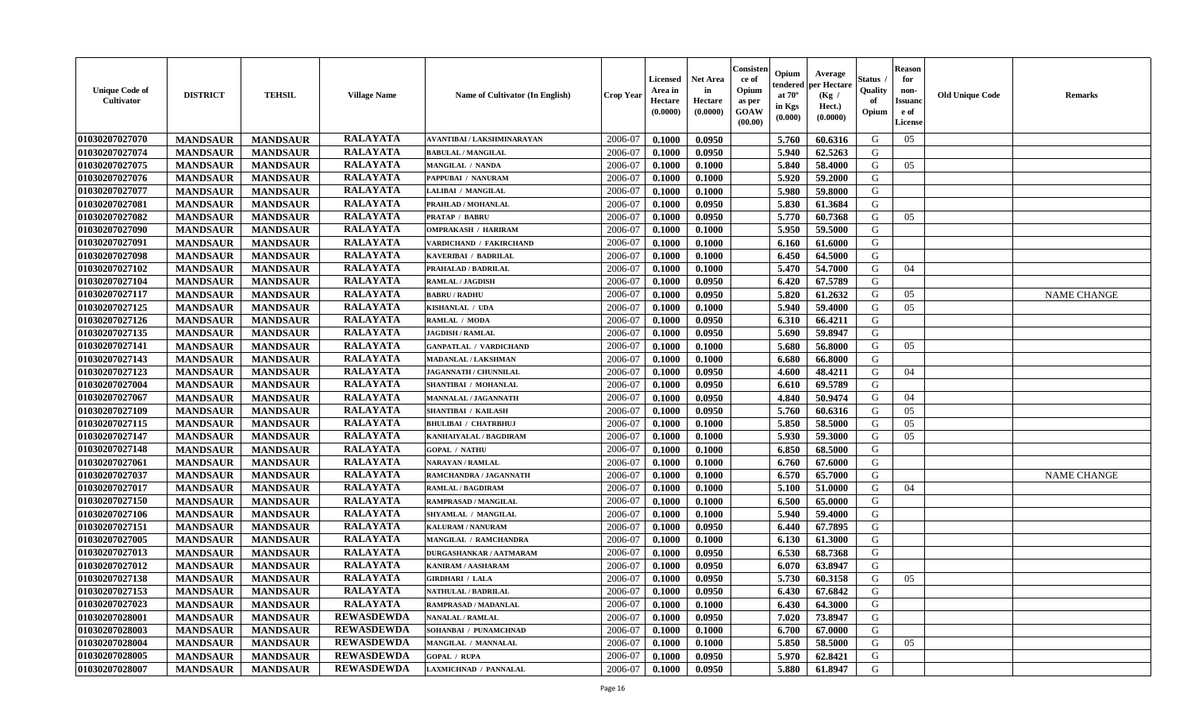| <b>Unique Code of</b><br><b>Cultivator</b> | <b>DISTRICT</b> | <b>TEHSIL</b>   | <b>Village Name</b> | Name of Cultivator (In English) | <b>Crop Year</b> | <b>Licensed</b><br>Area in<br>Hectare<br>(0.0000) | <b>Net Area</b><br>in<br>Hectare<br>(0.0000) | Consister<br>ce of<br>Opium<br>as per<br><b>GOAW</b><br>(00.00) | Opium<br>endered<br>at $70^{\circ}$<br>in Kgs<br>(0.000) | Average<br>per Hectare<br>(Kg /<br>Hect.)<br>(0.0000) | <b>Status</b><br>Quality<br>of<br>Opium | <b>Reason</b><br>for<br>non-<br><b>Issuand</b><br>e of<br>License | <b>Old Unique Code</b> | <b>Remarks</b>     |
|--------------------------------------------|-----------------|-----------------|---------------------|---------------------------------|------------------|---------------------------------------------------|----------------------------------------------|-----------------------------------------------------------------|----------------------------------------------------------|-------------------------------------------------------|-----------------------------------------|-------------------------------------------------------------------|------------------------|--------------------|
| 01030207027070                             | <b>MANDSAUR</b> | <b>MANDSAUR</b> | <b>RALAYATA</b>     | AVANTIBAI / LAKSHMINARAYAN      | 2006-07          | 0.1000                                            | 0.0950                                       |                                                                 | 5.760                                                    | 60.6316                                               | G                                       | 05                                                                |                        |                    |
| 01030207027074                             | <b>MANDSAUR</b> | <b>MANDSAUR</b> | <b>RALAYATA</b>     | <b>BABULAL / MANGILAL</b>       | 2006-07          | 0.1000                                            | 0.0950                                       |                                                                 | 5.940                                                    | 62.5263                                               | G                                       |                                                                   |                        |                    |
| 01030207027075                             | <b>MANDSAUR</b> | <b>MANDSAUR</b> | <b>RALAYATA</b>     | MANGILAL / NANDA                | 2006-07          | 0.1000                                            | 0.1000                                       |                                                                 | 5.840                                                    | 58.4000                                               | G                                       | 05                                                                |                        |                    |
| 01030207027076                             | <b>MANDSAUR</b> | <b>MANDSAUR</b> | <b>RALAYATA</b>     | PAPPUBAI / NANURAM              | 2006-07          | 0.1000                                            | 0.1000                                       |                                                                 | 5.920                                                    | 59.2000                                               | G                                       |                                                                   |                        |                    |
| 01030207027077                             | <b>MANDSAUR</b> | <b>MANDSAUR</b> | <b>RALAYATA</b>     | LALIBAI / MANGILAL              | 2006-07          | 0.1000                                            | 0.1000                                       |                                                                 | 5.980                                                    | 59.8000                                               | G                                       |                                                                   |                        |                    |
| 01030207027081                             | <b>MANDSAUR</b> | <b>MANDSAUR</b> | <b>RALAYATA</b>     | PRAHLAD / MOHANLAL              | 2006-07          | 0.1000                                            | 0.0950                                       |                                                                 | 5.830                                                    | 61.3684                                               | G                                       |                                                                   |                        |                    |
| 01030207027082                             | <b>MANDSAUR</b> | <b>MANDSAUR</b> | <b>RALAYATA</b>     | <b>PRATAP / BABRU</b>           | 2006-07          | 0.1000                                            | 0.0950                                       |                                                                 | 5.770                                                    | 60.7368                                               | G                                       | 05                                                                |                        |                    |
| 01030207027090                             | <b>MANDSAUR</b> | <b>MANDSAUR</b> | <b>RALAYATA</b>     | <b>OMPRAKASH / HARIRAM</b>      | 2006-07          | 0.1000                                            | 0.1000                                       |                                                                 | 5.950                                                    | 59.5000                                               | G                                       |                                                                   |                        |                    |
| 01030207027091                             | <b>MANDSAUR</b> | <b>MANDSAUR</b> | <b>RALAYATA</b>     | VARDICHAND / FAKIRCHAND         | 2006-07          | 0.1000                                            | 0.1000                                       |                                                                 | 6.160                                                    | 61.6000                                               | G                                       |                                                                   |                        |                    |
| 01030207027098                             | <b>MANDSAUR</b> | <b>MANDSAUR</b> | <b>RALAYATA</b>     | KAVERIBAI / BADRILAL            | 2006-07          | 0.1000                                            | 0.1000                                       |                                                                 | 6.450                                                    | 64.5000                                               | G                                       |                                                                   |                        |                    |
| 01030207027102                             | <b>MANDSAUR</b> | <b>MANDSAUR</b> | <b>RALAYATA</b>     | PRAHALAD / BADRILAL             | 2006-07          | 0.1000                                            | 0.1000                                       |                                                                 | 5.470                                                    | 54.7000                                               | G                                       | 04                                                                |                        |                    |
| 01030207027104                             | <b>MANDSAUR</b> | <b>MANDSAUR</b> | <b>RALAYATA</b>     | <b>RAMLAL / JAGDISH</b>         | 2006-07          | 0.1000                                            | 0.0950                                       |                                                                 | 6.420                                                    | 67.5789                                               | G                                       |                                                                   |                        |                    |
| 01030207027117                             | <b>MANDSAUR</b> | <b>MANDSAUR</b> | <b>RALAYATA</b>     | <b>BABRU / RADHU</b>            | 2006-07          | 0.1000                                            | 0.0950                                       |                                                                 | 5.820                                                    | 61.2632                                               | G                                       | 05                                                                |                        | <b>NAME CHANGE</b> |
| 01030207027125                             | <b>MANDSAUR</b> | <b>MANDSAUR</b> | <b>RALAYATA</b>     | KISHANLAL / UDA                 | 2006-07          | 0.1000                                            | 0.1000                                       |                                                                 | 5.940                                                    | 59.4000                                               | G                                       | 05                                                                |                        |                    |
| 01030207027126                             | <b>MANDSAUR</b> | <b>MANDSAUR</b> | <b>RALAYATA</b>     | RAMLAL / MODA                   | 2006-07          | 0.1000                                            | 0.0950                                       |                                                                 | 6.310                                                    | 66.4211                                               | G                                       |                                                                   |                        |                    |
| 01030207027135                             | <b>MANDSAUR</b> | <b>MANDSAUR</b> | <b>RALAYATA</b>     | <b>JAGDISH / RAMLAL</b>         | 2006-07          | 0.1000                                            | 0.0950                                       |                                                                 | 5.690                                                    | 59.8947                                               | G                                       |                                                                   |                        |                    |
| 01030207027141                             | <b>MANDSAUR</b> | <b>MANDSAUR</b> | <b>RALAYATA</b>     | <b>GANPATLAL / VARDICHAND</b>   | 2006-07          | 0.1000                                            | 0.1000                                       |                                                                 | 5.680                                                    | 56.8000                                               | G                                       | 05                                                                |                        |                    |
| 01030207027143                             | <b>MANDSAUR</b> | <b>MANDSAUR</b> | <b>RALAYATA</b>     | <b>MADANLAL / LAKSHMAN</b>      | 2006-07          | 0.1000                                            | 0.1000                                       |                                                                 | 6.680                                                    | 66.8000                                               | G                                       |                                                                   |                        |                    |
| 01030207027123                             | <b>MANDSAUR</b> | <b>MANDSAUR</b> | <b>RALAYATA</b>     | <b>JAGANNATH / CHUNNILAL</b>    | 2006-07          | 0.1000                                            | 0.0950                                       |                                                                 | 4.600                                                    | 48.4211                                               | G                                       | 04                                                                |                        |                    |
| 01030207027004                             | <b>MANDSAUR</b> | <b>MANDSAUR</b> | <b>RALAYATA</b>     | SHANTIBAI / MOHANLAL            | 2006-07          | 0.1000                                            | 0.0950                                       |                                                                 | 6.610                                                    | 69.5789                                               | G                                       |                                                                   |                        |                    |
| 01030207027067                             | <b>MANDSAUR</b> | <b>MANDSAUR</b> | <b>RALAYATA</b>     | MANNALAL / JAGANNATH            | 2006-07          | 0.1000                                            | 0.0950                                       |                                                                 | 4.840                                                    | 50.9474                                               | G                                       | 04                                                                |                        |                    |
| 01030207027109                             | <b>MANDSAUR</b> | <b>MANDSAUR</b> | <b>RALAYATA</b>     | <b>SHANTIBAI / KAILASH</b>      | 2006-07          | 0.1000                                            | 0.0950                                       |                                                                 | 5.760                                                    | 60.6316                                               | G                                       | 05                                                                |                        |                    |
| 01030207027115                             | <b>MANDSAUR</b> | <b>MANDSAUR</b> | <b>RALAYATA</b>     | <b>BHULIBAI / CHATRBHUJ</b>     | 2006-07          | 0.1000                                            | 0.1000                                       |                                                                 | 5.850                                                    | 58.5000                                               | G                                       | 05                                                                |                        |                    |
| 01030207027147                             | <b>MANDSAUR</b> | <b>MANDSAUR</b> | <b>RALAYATA</b>     | KANHAIYALAL / BAGDIRAM          | 2006-07          | 0.1000                                            | 0.1000                                       |                                                                 | 5.930                                                    | 59.3000                                               | G                                       | 05                                                                |                        |                    |
| 01030207027148                             | <b>MANDSAUR</b> | <b>MANDSAUR</b> | <b>RALAYATA</b>     | <b>GOPAL / NATHU</b>            | 2006-07          | 0.1000                                            | 0.1000                                       |                                                                 | 6.850                                                    | 68.5000                                               | G                                       |                                                                   |                        |                    |
| 01030207027061                             | <b>MANDSAUR</b> | <b>MANDSAUR</b> | <b>RALAYATA</b>     | <b>NARAYAN / RAMLAL</b>         | 2006-07          | 0.1000                                            | 0.1000                                       |                                                                 | 6.760                                                    | 67.6000                                               | G                                       |                                                                   |                        |                    |
| 01030207027037                             | <b>MANDSAUR</b> | <b>MANDSAUR</b> | <b>RALAYATA</b>     | RAMCHANDRA / JAGANNATH          | 2006-07          | 0.1000                                            | 0.1000                                       |                                                                 | 6.570                                                    | 65.7000                                               | G                                       |                                                                   |                        | <b>NAME CHANGE</b> |
| 01030207027017                             | <b>MANDSAUR</b> | <b>MANDSAUR</b> | <b>RALAYATA</b>     | <b>RAMLAL / BAGDIRAM</b>        | 2006-07          | 0.1000                                            | 0.1000                                       |                                                                 | 5.100                                                    | 51.0000                                               | G                                       | 04                                                                |                        |                    |
| 01030207027150                             | <b>MANDSAUR</b> | <b>MANDSAUR</b> | <b>RALAYATA</b>     | <b>RAMPRASAD / MANGILAL</b>     | 2006-07          | 0.1000                                            | 0.1000                                       |                                                                 | 6.500                                                    | 65.0000                                               | G                                       |                                                                   |                        |                    |
| 01030207027106                             | <b>MANDSAUR</b> | <b>MANDSAUR</b> | <b>RALAYATA</b>     | SHYAMLAL / MANGILAL             | 2006-07          | 0.1000                                            | 0.1000                                       |                                                                 | 5.940                                                    | 59.4000                                               | G                                       |                                                                   |                        |                    |
| 01030207027151                             | <b>MANDSAUR</b> | <b>MANDSAUR</b> | <b>RALAYATA</b>     | <b>KALURAM / NANURAM</b>        | 2006-07          | 0.1000                                            | 0.0950                                       |                                                                 | 6.440                                                    | 67.7895                                               | G                                       |                                                                   |                        |                    |
| 01030207027005                             | <b>MANDSAUR</b> | <b>MANDSAUR</b> | <b>RALAYATA</b>     | MANGILAL / RAMCHANDRA           | 2006-07          | 0.1000                                            | 0.1000                                       |                                                                 | 6.130                                                    | 61.3000                                               | G                                       |                                                                   |                        |                    |
| 01030207027013                             | <b>MANDSAUR</b> | <b>MANDSAUR</b> | <b>RALAYATA</b>     | DURGASHANKAR / AATMARAM         | 2006-07          | 0.1000                                            | 0.0950                                       |                                                                 | 6.530                                                    | 68.7368                                               | G                                       |                                                                   |                        |                    |
| 01030207027012                             | <b>MANDSAUR</b> | <b>MANDSAUR</b> | <b>RALAYATA</b>     | KANIRAM / AASHARAM              | 2006-07          | 0.1000                                            | 0.0950                                       |                                                                 | 6.070                                                    | 63.8947                                               | G                                       |                                                                   |                        |                    |
| 01030207027138                             | <b>MANDSAUR</b> | <b>MANDSAUR</b> | <b>RALAYATA</b>     | <b>GIRDHARI / LALA</b>          | 2006-07          | 0.1000                                            | 0.0950                                       |                                                                 | 5.730                                                    | 60.3158                                               | G                                       | 05                                                                |                        |                    |
| 01030207027153                             | <b>MANDSAUR</b> | MANDSAUR        | <b>RALAYATA</b>     | NATHULAL / BADRILAL             | 2006-07          | 0.1000                                            | 0.0950                                       |                                                                 |                                                          | 6.430 67.6842                                         | G                                       |                                                                   |                        |                    |
| 01030207027023                             | <b>MANDSAUR</b> | <b>MANDSAUR</b> | <b>RALAYATA</b>     | RAMPRASAD / MADANLAL            | 2006-07          | 0.1000                                            | 0.1000                                       |                                                                 | 6.430                                                    | 64.3000                                               | G                                       |                                                                   |                        |                    |
| 01030207028001                             | <b>MANDSAUR</b> | <b>MANDSAUR</b> | <b>REWASDEWDA</b>   | <b>NANALAL / RAMLAL</b>         | 2006-07          | 0.1000                                            | 0.0950                                       |                                                                 | 7.020                                                    | 73.8947                                               | G                                       |                                                                   |                        |                    |
| 01030207028003                             | <b>MANDSAUR</b> | <b>MANDSAUR</b> | <b>REWASDEWDA</b>   | SOHANBAI / PUNAMCHNAD           | 2006-07          | 0.1000                                            | 0.1000                                       |                                                                 | 6.700                                                    | 67.0000                                               | G                                       |                                                                   |                        |                    |
| 01030207028004                             | <b>MANDSAUR</b> | <b>MANDSAUR</b> | <b>REWASDEWDA</b>   | MANGILAL / MANNALAL             | 2006-07          | 0.1000                                            | 0.1000                                       |                                                                 | 5.850                                                    | 58.5000                                               | G                                       | 05                                                                |                        |                    |
| 01030207028005                             | <b>MANDSAUR</b> | <b>MANDSAUR</b> | <b>REWASDEWDA</b>   | <b>GOPAL / RUPA</b>             | 2006-07          | 0.1000                                            | 0.0950                                       |                                                                 | 5.970                                                    | 62.8421                                               | G                                       |                                                                   |                        |                    |
| 01030207028007                             | <b>MANDSAUR</b> | <b>MANDSAUR</b> | <b>REWASDEWDA</b>   | LAXMICHNAD / PANNALAL           | 2006-07          | 0.1000                                            | 0.0950                                       |                                                                 | 5.880                                                    | 61.8947                                               | G                                       |                                                                   |                        |                    |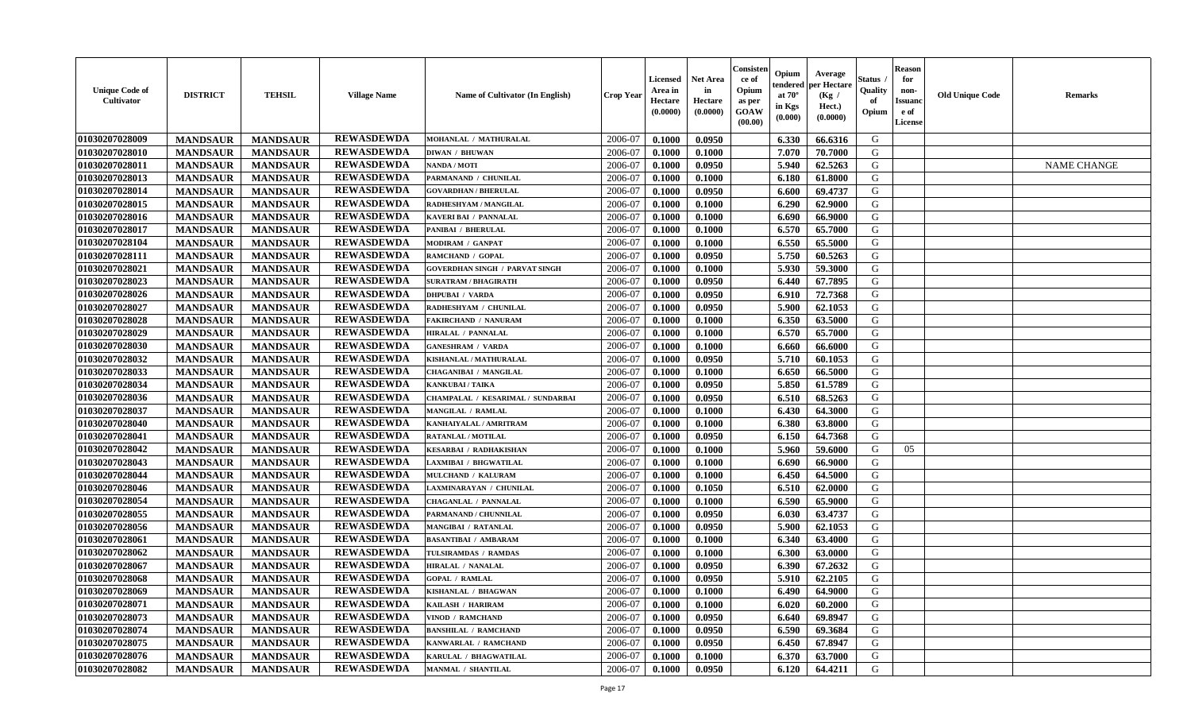| <b>Unique Code of</b><br><b>Cultivator</b> | <b>DISTRICT</b> | <b>TEHSIL</b>   | <b>Village Name</b> | Name of Cultivator (In English)       | <b>Crop Year</b> | <b>Licensed</b><br>Area in<br>Hectare<br>(0.0000) | <b>Net Area</b><br>in<br>Hectare<br>(0.0000) | Consister<br>ce of<br>Opium<br>as per<br><b>GOAW</b><br>(00.00) | Opium<br>endered<br>at $70^\circ$<br>in Kgs<br>$(\mathbf{0.000})$ | Average<br>per Hectare<br>(Kg)<br>Hect.)<br>(0.0000) | Status<br>Quality<br>of<br>Opium | <b>Reason</b><br>for<br>non-<br><b>Issuano</b><br>e of<br>License | <b>Old Unique Code</b> | <b>Remarks</b>     |
|--------------------------------------------|-----------------|-----------------|---------------------|---------------------------------------|------------------|---------------------------------------------------|----------------------------------------------|-----------------------------------------------------------------|-------------------------------------------------------------------|------------------------------------------------------|----------------------------------|-------------------------------------------------------------------|------------------------|--------------------|
| 01030207028009                             | <b>MANDSAUR</b> | <b>MANDSAUR</b> | <b>REWASDEWDA</b>   | MOHANLAL / MATHURALAL                 | 2006-07          | 0.1000                                            | 0.0950                                       |                                                                 | 6.330                                                             | 66.6316                                              | G                                |                                                                   |                        |                    |
| 01030207028010                             | <b>MANDSAUR</b> | <b>MANDSAUR</b> | <b>REWASDEWDA</b>   | <b>DIWAN / BHUWAN</b>                 | 2006-07          | 0.1000                                            | 0.1000                                       |                                                                 | 7.070                                                             | 70.7000                                              | G                                |                                                                   |                        |                    |
| 01030207028011                             | <b>MANDSAUR</b> | <b>MANDSAUR</b> | <b>REWASDEWDA</b>   | NANDA / MOTI                          | 2006-07          | 0.1000                                            | 0.0950                                       |                                                                 | 5.940                                                             | 62.5263                                              | G                                |                                                                   |                        | <b>NAME CHANGE</b> |
| 01030207028013                             | <b>MANDSAUR</b> | <b>MANDSAUR</b> | <b>REWASDEWDA</b>   | PARMANAND / CHUNILAL                  | 2006-07          | 0.1000                                            | 0.1000                                       |                                                                 | 6.180                                                             | 61.8000                                              | G                                |                                                                   |                        |                    |
| 01030207028014                             | <b>MANDSAUR</b> | <b>MANDSAUR</b> | <b>REWASDEWDA</b>   | <b>GOVARDHAN / BHERULAL</b>           | 2006-07          | 0.1000                                            | 0.0950                                       |                                                                 | 6.600                                                             | 69.4737                                              | G                                |                                                                   |                        |                    |
| 01030207028015                             | <b>MANDSAUR</b> | <b>MANDSAUR</b> | <b>REWASDEWDA</b>   | RADHESHYAM / MANGILAL                 | 2006-07          | 0.1000                                            | 0.1000                                       |                                                                 | 6.290                                                             | 62.9000                                              | G                                |                                                                   |                        |                    |
| 01030207028016                             | <b>MANDSAUR</b> | <b>MANDSAUR</b> | <b>REWASDEWDA</b>   | <b>KAVERI BAI / PANNALAL</b>          | 2006-07          | 0.1000                                            | 0.1000                                       |                                                                 | 6.690                                                             | 66.9000                                              | G                                |                                                                   |                        |                    |
| 01030207028017                             | <b>MANDSAUR</b> | <b>MANDSAUR</b> | <b>REWASDEWDA</b>   | PANIBAI / BHERULAL                    | 2006-07          | 0.1000                                            | 0.1000                                       |                                                                 | 6.570                                                             | 65.7000                                              | G                                |                                                                   |                        |                    |
| 01030207028104                             | <b>MANDSAUR</b> | <b>MANDSAUR</b> | <b>REWASDEWDA</b>   | MODIRAM / GANPAT                      | 2006-07          | 0.1000                                            | 0.1000                                       |                                                                 | 6.550                                                             | 65.5000                                              | G                                |                                                                   |                        |                    |
| 01030207028111                             | <b>MANDSAUR</b> | <b>MANDSAUR</b> | <b>REWASDEWDA</b>   | RAMCHAND / GOPAL                      | 2006-07          | 0.1000                                            | 0.0950                                       |                                                                 | 5.750                                                             | 60.5263                                              | G                                |                                                                   |                        |                    |
| 01030207028021                             | <b>MANDSAUR</b> | <b>MANDSAUR</b> | <b>REWASDEWDA</b>   | <b>GOVERDHAN SINGH / PARVAT SINGH</b> | 2006-07          | 0.1000                                            | 0.1000                                       |                                                                 | 5.930                                                             | 59.3000                                              | G                                |                                                                   |                        |                    |
| 01030207028023                             | <b>MANDSAUR</b> | <b>MANDSAUR</b> | <b>REWASDEWDA</b>   | <b>SURATRAM / BHAGIRATH</b>           | 2006-07          | 0.1000                                            | 0.0950                                       |                                                                 | 6.440                                                             | 67.7895                                              | G                                |                                                                   |                        |                    |
| 01030207028026                             | <b>MANDSAUR</b> | <b>MANDSAUR</b> | <b>REWASDEWDA</b>   | <b>DHPUBAI / VARDA</b>                | 2006-07          | 0.1000                                            | 0.0950                                       |                                                                 | 6.910                                                             | 72.7368                                              | G                                |                                                                   |                        |                    |
| 01030207028027                             | <b>MANDSAUR</b> | <b>MANDSAUR</b> | <b>REWASDEWDA</b>   | RADHESHYAM / CHUNILAL                 | 2006-07          | 0.1000                                            | 0.0950                                       |                                                                 | 5.900                                                             | 62.1053                                              | G                                |                                                                   |                        |                    |
| 01030207028028                             | <b>MANDSAUR</b> | <b>MANDSAUR</b> | <b>REWASDEWDA</b>   | <b>FAKIRCHAND / NANURAM</b>           | 2006-07          | 0.1000                                            | 0.1000                                       |                                                                 | 6.350                                                             | 63.5000                                              | G                                |                                                                   |                        |                    |
| 01030207028029                             | <b>MANDSAUR</b> | <b>MANDSAUR</b> | <b>REWASDEWDA</b>   | <b>HIRALAL / PANNALAL</b>             | 2006-07          | 0.1000                                            | 0.1000                                       |                                                                 | 6.570                                                             | 65.7000                                              | G                                |                                                                   |                        |                    |
| 01030207028030                             | <b>MANDSAUR</b> | <b>MANDSAUR</b> | <b>REWASDEWDA</b>   | <b>GANESHRAM / VARDA</b>              | 2006-07          | 0.1000                                            | 0.1000                                       |                                                                 | 6.660                                                             | 66.6000                                              | G                                |                                                                   |                        |                    |
| 01030207028032                             | <b>MANDSAUR</b> | <b>MANDSAUR</b> | <b>REWASDEWDA</b>   | KISHANLAL / MATHURALAL                | 2006-07          | 0.1000                                            | 0.0950                                       |                                                                 | 5.710                                                             | 60.1053                                              | G                                |                                                                   |                        |                    |
| 01030207028033                             | <b>MANDSAUR</b> | <b>MANDSAUR</b> | <b>REWASDEWDA</b>   | <b>CHAGANIBAI / MANGILAL</b>          | 2006-07          | 0.1000                                            | 0.1000                                       |                                                                 | 6.650                                                             | 66.5000                                              | G                                |                                                                   |                        |                    |
| 01030207028034                             | <b>MANDSAUR</b> | <b>MANDSAUR</b> | <b>REWASDEWDA</b>   | <b>KANKUBAI/TAIKA</b>                 | 2006-07          | 0.1000                                            | 0.0950                                       |                                                                 | 5.850                                                             | 61.5789                                              | G                                |                                                                   |                        |                    |
| 01030207028036                             | <b>MANDSAUR</b> | <b>MANDSAUR</b> | <b>REWASDEWDA</b>   | CHAMPALAL / KESARIMAL / SUNDARBAI     | 2006-07          | 0.1000                                            | 0.0950                                       |                                                                 | 6.510                                                             | 68.5263                                              | G                                |                                                                   |                        |                    |
| 01030207028037                             | <b>MANDSAUR</b> | <b>MANDSAUR</b> | <b>REWASDEWDA</b>   | MANGILAL / RAMLAL                     | 2006-07          | 0.1000                                            | 0.1000                                       |                                                                 | 6.430                                                             | 64.3000                                              | G                                |                                                                   |                        |                    |
| 01030207028040                             | <b>MANDSAUR</b> | <b>MANDSAUR</b> | <b>REWASDEWDA</b>   | KANHAIYALAL / AMRITRAM                | 2006-07          | 0.1000                                            | 0.1000                                       |                                                                 | 6.380                                                             | 63.8000                                              | G                                |                                                                   |                        |                    |
| 01030207028041                             | <b>MANDSAUR</b> | <b>MANDSAUR</b> | <b>REWASDEWDA</b>   | <b>RATANLAL / MOTILAL</b>             | 2006-07          | 0.1000                                            | 0.0950                                       |                                                                 | 6.150                                                             | 64.7368                                              | G                                |                                                                   |                        |                    |
| 01030207028042                             | <b>MANDSAUR</b> | <b>MANDSAUR</b> | <b>REWASDEWDA</b>   | <b>KESARBAI / RADHAKISHAN</b>         | 2006-07          | 0.1000                                            | 0.1000                                       |                                                                 | 5.960                                                             | 59.6000                                              | G                                | 05                                                                |                        |                    |
| 01030207028043                             | <b>MANDSAUR</b> | <b>MANDSAUR</b> | <b>REWASDEWDA</b>   | LAXMIBAI / BHGWATILAL                 | 2006-07          | 0.1000                                            | 0.1000                                       |                                                                 | 6.690                                                             | 66.9000                                              | G                                |                                                                   |                        |                    |
| 01030207028044                             | <b>MANDSAUR</b> | <b>MANDSAUR</b> | <b>REWASDEWDA</b>   | MULCHAND / KALURAM                    | 2006-07          | 0.1000                                            | 0.1000                                       |                                                                 | 6.450                                                             | 64.5000                                              | G                                |                                                                   |                        |                    |
| 01030207028046                             | <b>MANDSAUR</b> | <b>MANDSAUR</b> | <b>REWASDEWDA</b>   | LAXMINARAYAN / CHUNILAL               | 2006-07          | 0.1000                                            | 0.1050                                       |                                                                 | 6.510                                                             | 62.0000                                              | G                                |                                                                   |                        |                    |
| 01030207028054                             | <b>MANDSAUR</b> | <b>MANDSAUR</b> | <b>REWASDEWDA</b>   | <b>CHAGANLAL / PANNALAL</b>           | 2006-07          | 0.1000                                            | 0.1000                                       |                                                                 | 6.590                                                             | 65.9000                                              | G                                |                                                                   |                        |                    |
| 01030207028055                             | <b>MANDSAUR</b> | <b>MANDSAUR</b> | <b>REWASDEWDA</b>   | PARMANAND / CHUNNILAL                 | 2006-07          | 0.1000                                            | 0.0950                                       |                                                                 | 6.030                                                             | 63.4737                                              | G                                |                                                                   |                        |                    |
| 01030207028056                             | <b>MANDSAUR</b> | <b>MANDSAUR</b> | <b>REWASDEWDA</b>   | MANGIBAI / RATANLAL                   | 2006-07          | 0.1000                                            | 0.0950                                       |                                                                 | 5.900                                                             | 62.1053                                              | G                                |                                                                   |                        |                    |
| 01030207028061                             | <b>MANDSAUR</b> | <b>MANDSAUR</b> | <b>REWASDEWDA</b>   | <b>BASANTIBAI / AMBARAM</b>           | 2006-07          | 0.1000                                            | 0.1000                                       |                                                                 | 6.340                                                             | 63.4000                                              | G                                |                                                                   |                        |                    |
| 01030207028062                             | <b>MANDSAUR</b> | <b>MANDSAUR</b> | <b>REWASDEWDA</b>   | TULSIRAMDAS / RAMDAS                  | 2006-07          | 0.1000                                            | 0.1000                                       |                                                                 | 6.300                                                             | 63.0000                                              | G                                |                                                                   |                        |                    |
| 01030207028067                             | <b>MANDSAUR</b> | <b>MANDSAUR</b> | <b>REWASDEWDA</b>   | HIRALAL / NANALAL                     | 2006-07          | 0.1000                                            | 0.0950                                       |                                                                 | 6.390                                                             | 67.2632                                              | G                                |                                                                   |                        |                    |
| 01030207028068                             | <b>MANDSAUR</b> | <b>MANDSAUR</b> | <b>REWASDEWDA</b>   | <b>GOPAL / RAMLAL</b>                 | 2006-07          | 0.1000                                            | 0.0950                                       |                                                                 | 5.910                                                             | 62.2105                                              | G                                |                                                                   |                        |                    |
| 01030207028069                             | <b>MANDSAUR</b> | <b>MANDSAUR</b> | <b>REWASDEWDA</b>   | KISHANLAL / BHAGWAN                   | 2006-07          | 0.1000                                            | 0.1000                                       |                                                                 | 6.490                                                             | 64.9000                                              | G                                |                                                                   |                        |                    |
| 01030207028071                             | <b>MANDSAUR</b> | <b>MANDSAUR</b> | <b>REWASDEWDA</b>   | KAILASH / HARIRAM                     | 2006-07          | 0.1000                                            | 0.1000                                       |                                                                 | 6.020                                                             | 60.2000                                              | G                                |                                                                   |                        |                    |
| 01030207028073                             | <b>MANDSAUR</b> | <b>MANDSAUR</b> | <b>REWASDEWDA</b>   | VINOD / RAMCHAND                      | 2006-07          | 0.1000                                            | 0.0950                                       |                                                                 | 6.640                                                             | 69.8947                                              | G                                |                                                                   |                        |                    |
| 01030207028074                             | <b>MANDSAUR</b> | <b>MANDSAUR</b> | <b>REWASDEWDA</b>   | <b>BANSHILAL / RAMCHAND</b>           | 2006-07          | 0.1000                                            | 0.0950                                       |                                                                 | 6.590                                                             | 69.3684                                              | G                                |                                                                   |                        |                    |
| 01030207028075                             | <b>MANDSAUR</b> | <b>MANDSAUR</b> | <b>REWASDEWDA</b>   | KANWARLAL / RAMCHAND                  | 2006-07          | 0.1000                                            | 0.0950                                       |                                                                 | 6.450                                                             | 67.8947                                              | G                                |                                                                   |                        |                    |
| 01030207028076                             | <b>MANDSAUR</b> | <b>MANDSAUR</b> | <b>REWASDEWDA</b>   | KARULAL / BHAGWATILAL                 | 2006-07          | 0.1000                                            | 0.1000                                       |                                                                 | 6.370                                                             | 63.7000                                              | G                                |                                                                   |                        |                    |
| 01030207028082                             | <b>MANDSAUR</b> | <b>MANDSAUR</b> | <b>REWASDEWDA</b>   | <b>MANMAL / SHANTILAL</b>             | 2006-07          | 0.1000                                            | 0.0950                                       |                                                                 | 6.120                                                             | 64.4211                                              | G                                |                                                                   |                        |                    |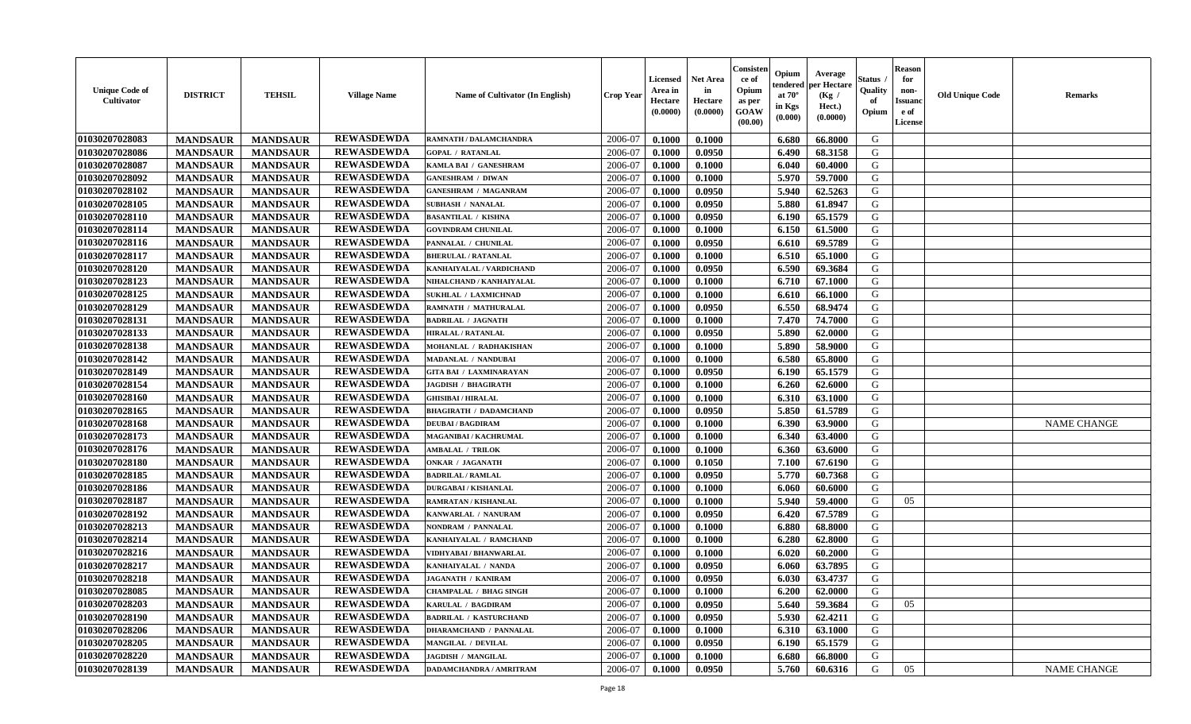| <b>Unique Code of</b><br><b>Cultivator</b> | <b>DISTRICT</b> | <b>TEHSIL</b>   | <b>Village Name</b> | <b>Name of Cultivator (In English)</b> | <b>Crop Year</b> | <b>Licensed</b><br>Area in<br>Hectare<br>(0.0000) | <b>Net Area</b><br>in<br>Hectare<br>(0.0000) | Consister<br>ce of<br>Opium<br>as per<br><b>GOAW</b><br>(00.00) | Opium<br>endered<br>at $70^{\circ}$<br>in Kgs<br>(0.000) | Average<br>per Hectare<br>(Kg /<br>Hect.)<br>(0.0000) | <b>Status</b><br>Quality<br>of<br>Opium | <b>Reason</b><br>for<br>non-<br><b>Issuanc</b><br>e of<br>License | <b>Old Unique Code</b> | <b>Remarks</b>     |
|--------------------------------------------|-----------------|-----------------|---------------------|----------------------------------------|------------------|---------------------------------------------------|----------------------------------------------|-----------------------------------------------------------------|----------------------------------------------------------|-------------------------------------------------------|-----------------------------------------|-------------------------------------------------------------------|------------------------|--------------------|
| 01030207028083                             | <b>MANDSAUR</b> | <b>MANDSAUR</b> | <b>REWASDEWDA</b>   | RAMNATH / DALAMCHANDRA                 | 2006-07          | 0.1000                                            | 0.1000                                       |                                                                 | 6.680                                                    | 66.8000                                               | G                                       |                                                                   |                        |                    |
| 01030207028086                             | <b>MANDSAUR</b> | <b>MANDSAUR</b> | <b>REWASDEWDA</b>   | <b>GOPAL / RATANLAL</b>                | 2006-07          | 0.1000                                            | 0.0950                                       |                                                                 | 6.490                                                    | 68.3158                                               | G                                       |                                                                   |                        |                    |
| 01030207028087                             | <b>MANDSAUR</b> | <b>MANDSAUR</b> | <b>REWASDEWDA</b>   | KAMLA BAI / GANESHRAM                  | 2006-07          | 0.1000                                            | 0.1000                                       |                                                                 | 6.040                                                    | 60.4000                                               | G                                       |                                                                   |                        |                    |
| 01030207028092                             | <b>MANDSAUR</b> | <b>MANDSAUR</b> | <b>REWASDEWDA</b>   | <b>GANESHRAM / DIWAN</b>               | 2006-07          | 0.1000                                            | 0.1000                                       |                                                                 | 5.970                                                    | 59.7000                                               | G                                       |                                                                   |                        |                    |
| 01030207028102                             | <b>MANDSAUR</b> | <b>MANDSAUR</b> | <b>REWASDEWDA</b>   | <b>GANESHRAM / MAGANRAM</b>            | 2006-07          | 0.1000                                            | 0.0950                                       |                                                                 | 5.940                                                    | 62.5263                                               | G                                       |                                                                   |                        |                    |
| 01030207028105                             | <b>MANDSAUR</b> | <b>MANDSAUR</b> | <b>REWASDEWDA</b>   | <b>SUBHASH / NANALAL</b>               | 2006-07          | 0.1000                                            | 0.0950                                       |                                                                 | 5.880                                                    | 61.8947                                               | G                                       |                                                                   |                        |                    |
| 01030207028110                             | <b>MANDSAUR</b> | <b>MANDSAUR</b> | <b>REWASDEWDA</b>   | <b>BASANTILAL / KISHNA</b>             | 2006-07          | 0.1000                                            | 0.0950                                       |                                                                 | 6.190                                                    | 65.1579                                               | G                                       |                                                                   |                        |                    |
| 01030207028114                             | <b>MANDSAUR</b> | <b>MANDSAUR</b> | <b>REWASDEWDA</b>   | <b>GOVINDRAM CHUNILAL</b>              | 2006-07          | 0.1000                                            | 0.1000                                       |                                                                 | 6.150                                                    | 61.5000                                               | G                                       |                                                                   |                        |                    |
| 01030207028116                             | <b>MANDSAUR</b> | <b>MANDSAUR</b> | <b>REWASDEWDA</b>   | PANNALAL / CHUNILAL                    | 2006-07          | 0.1000                                            | 0.0950                                       |                                                                 | 6.610                                                    | 69.5789                                               | G                                       |                                                                   |                        |                    |
| 01030207028117                             | <b>MANDSAUR</b> | <b>MANDSAUR</b> | <b>REWASDEWDA</b>   | <b>BHERULAL / RATANLAL</b>             | 2006-07          | 0.1000                                            | 0.1000                                       |                                                                 | 6.510                                                    | 65.1000                                               | G                                       |                                                                   |                        |                    |
| 01030207028120                             | <b>MANDSAUR</b> | <b>MANDSAUR</b> | <b>REWASDEWDA</b>   | KANHAIYALAL / VARDICHAND               | 2006-07          | 0.1000                                            | 0.0950                                       |                                                                 | 6.590                                                    | 69.3684                                               | G                                       |                                                                   |                        |                    |
| 01030207028123                             | <b>MANDSAUR</b> | <b>MANDSAUR</b> | <b>REWASDEWDA</b>   | NIHALCHAND / KANHAIYALAL               | 2006-07          | 0.1000                                            | 0.1000                                       |                                                                 | 6.710                                                    | 67.1000                                               | G                                       |                                                                   |                        |                    |
| 01030207028125                             | <b>MANDSAUR</b> | <b>MANDSAUR</b> | <b>REWASDEWDA</b>   | <b>SUKHLAL / LAXMICHNAD</b>            | 2006-07          | 0.1000                                            | 0.1000                                       |                                                                 | 6.610                                                    | 66.1000                                               | G                                       |                                                                   |                        |                    |
| 01030207028129                             | <b>MANDSAUR</b> | <b>MANDSAUR</b> | <b>REWASDEWDA</b>   | RAMNATH / MATHURALAL                   | 2006-07          | 0.1000                                            | 0.0950                                       |                                                                 | 6.550                                                    | 68.9474                                               | G                                       |                                                                   |                        |                    |
| 01030207028131                             | <b>MANDSAUR</b> | <b>MANDSAUR</b> | <b>REWASDEWDA</b>   | <b>BADRILAL / JAGNATH</b>              | 2006-07          | 0.1000                                            | 0.1000                                       |                                                                 | 7.470                                                    | 74.7000                                               | G                                       |                                                                   |                        |                    |
| 01030207028133                             | <b>MANDSAUR</b> | <b>MANDSAUR</b> | <b>REWASDEWDA</b>   | HIRALAL / RATANLAL                     | 2006-07          | 0.1000                                            | 0.0950                                       |                                                                 | 5.890                                                    | 62.0000                                               | G                                       |                                                                   |                        |                    |
| 01030207028138                             | <b>MANDSAUR</b> | <b>MANDSAUR</b> | <b>REWASDEWDA</b>   | MOHANLAL / RADHAKISHAN                 | 2006-07          | 0.1000                                            | 0.1000                                       |                                                                 | 5.890                                                    | 58.9000                                               | G                                       |                                                                   |                        |                    |
| 01030207028142                             | <b>MANDSAUR</b> | <b>MANDSAUR</b> | <b>REWASDEWDA</b>   | MADANLAL / NANDUBAI                    | 2006-07          | 0.1000                                            | 0.1000                                       |                                                                 | 6.580                                                    | 65.8000                                               | G                                       |                                                                   |                        |                    |
| 01030207028149                             | <b>MANDSAUR</b> | <b>MANDSAUR</b> | <b>REWASDEWDA</b>   | <b>GITA BAI / LAXMINARAYAN</b>         | 2006-07          | 0.1000                                            | 0.0950                                       |                                                                 | 6.190                                                    | 65.1579                                               | G                                       |                                                                   |                        |                    |
| 01030207028154                             | <b>MANDSAUR</b> | <b>MANDSAUR</b> | <b>REWASDEWDA</b>   | <b>JAGDISH / BHAGIRATH</b>             | 2006-07          | 0.1000                                            | 0.1000                                       |                                                                 | 6.260                                                    | 62.6000                                               | G                                       |                                                                   |                        |                    |
| 01030207028160                             | <b>MANDSAUR</b> | <b>MANDSAUR</b> | <b>REWASDEWDA</b>   | <b>GHISIBAI / HIRALAL</b>              | 2006-07          | 0.1000                                            | 0.1000                                       |                                                                 | 6.310                                                    | 63.1000                                               | G                                       |                                                                   |                        |                    |
| 01030207028165                             | <b>MANDSAUR</b> | <b>MANDSAUR</b> | <b>REWASDEWDA</b>   | <b>BHAGIRATH / DADAMCHAND</b>          | 2006-07          | 0.1000                                            | 0.0950                                       |                                                                 | 5.850                                                    | 61.5789                                               | G                                       |                                                                   |                        |                    |
| 01030207028168                             | <b>MANDSAUR</b> | <b>MANDSAUR</b> | <b>REWASDEWDA</b>   | <b>DEUBAI/BAGDIRAM</b>                 | 2006-07          | 0.1000                                            | 0.1000                                       |                                                                 | 6.390                                                    | 63.9000                                               | G                                       |                                                                   |                        | <b>NAME CHANGE</b> |
| 01030207028173                             | <b>MANDSAUR</b> | <b>MANDSAUR</b> | <b>REWASDEWDA</b>   | MAGANIBAI / KACHRUMAL                  | 2006-07          | 0.1000                                            | 0.1000                                       |                                                                 | 6.340                                                    | 63.4000                                               | G                                       |                                                                   |                        |                    |
| 01030207028176                             | <b>MANDSAUR</b> | <b>MANDSAUR</b> | <b>REWASDEWDA</b>   | <b>AMBALAL / TRILOK</b>                | 2006-07          | 0.1000                                            | 0.1000                                       |                                                                 | 6.360                                                    | 63.6000                                               | G                                       |                                                                   |                        |                    |
| 01030207028180                             | <b>MANDSAUR</b> | <b>MANDSAUR</b> | <b>REWASDEWDA</b>   | <b>ONKAR / JAGANATH</b>                | 2006-07          | 0.1000                                            | 0.1050                                       |                                                                 | 7.100                                                    | 67.6190                                               | G                                       |                                                                   |                        |                    |
| 01030207028185                             | <b>MANDSAUR</b> | <b>MANDSAUR</b> | <b>REWASDEWDA</b>   | <b>BADRILAL / RAMLAL</b>               | 2006-07          | 0.1000                                            | 0.0950                                       |                                                                 | 5.770                                                    | 60.7368                                               | G                                       |                                                                   |                        |                    |
| 01030207028186                             | <b>MANDSAUR</b> | <b>MANDSAUR</b> | <b>REWASDEWDA</b>   | <b>DURGABAI/KISHANLAL</b>              | 2006-07          | 0.1000                                            | 0.1000                                       |                                                                 | 6.060                                                    | 60.6000                                               | G                                       |                                                                   |                        |                    |
| 01030207028187                             | <b>MANDSAUR</b> | <b>MANDSAUR</b> | <b>REWASDEWDA</b>   | RAMRATAN / KISHANLAL                   | 2006-07          | 0.1000                                            | 0.1000                                       |                                                                 | 5.940                                                    | 59.4000                                               | G                                       | 05                                                                |                        |                    |
| 01030207028192                             | <b>MANDSAUR</b> | <b>MANDSAUR</b> | <b>REWASDEWDA</b>   | KANWARLAL / NANURAM                    | 2006-07          | 0.1000                                            | 0.0950                                       |                                                                 | 6.420                                                    | 67.5789                                               | G                                       |                                                                   |                        |                    |
| 01030207028213                             | <b>MANDSAUR</b> | <b>MANDSAUR</b> | <b>REWASDEWDA</b>   | NONDRAM / PANNALAL                     | 2006-07          | 0.1000                                            | 0.1000                                       |                                                                 | 6.880                                                    | 68.8000                                               | G                                       |                                                                   |                        |                    |
| 01030207028214                             | <b>MANDSAUR</b> | <b>MANDSAUR</b> | <b>REWASDEWDA</b>   | KANHAIYALAL / RAMCHAND                 | 2006-07          | 0.1000                                            | 0.1000                                       |                                                                 | 6.280                                                    | 62.8000                                               | G                                       |                                                                   |                        |                    |
| 01030207028216                             | <b>MANDSAUR</b> | <b>MANDSAUR</b> | <b>REWASDEWDA</b>   | VIDHYABAI / BHANWARLAL                 | 2006-07          | 0.1000                                            | 0.1000                                       |                                                                 | 6.020                                                    | 60.2000                                               | G                                       |                                                                   |                        |                    |
| 01030207028217                             | <b>MANDSAUR</b> | <b>MANDSAUR</b> | <b>REWASDEWDA</b>   | KANHAIYALAL / NANDA                    | 2006-07          | 0.1000                                            | 0.0950                                       |                                                                 | 6.060                                                    | 63.7895                                               | G                                       |                                                                   |                        |                    |
| 01030207028218                             | <b>MANDSAUR</b> | <b>MANDSAUR</b> | <b>REWASDEWDA</b>   | JAGANATH / KANIRAM                     | 2006-07          | 0.1000                                            | 0.0950                                       |                                                                 | 6.030                                                    | 63.4737                                               | G                                       |                                                                   |                        |                    |
| 01030207028085                             | <b>MANDSAUR</b> | MANDSAUR        | <b>REWASDEWDA</b>   | <b>CHAMPALAL / BHAG SINGH</b>          | 2006-07          | 0.1000                                            | 0.1000                                       |                                                                 | 6.200                                                    | 62.0000                                               | G                                       |                                                                   |                        |                    |
| 01030207028203                             | <b>MANDSAUR</b> | <b>MANDSAUR</b> | <b>REWASDEWDA</b>   | KARULAL / BAGDIRAM                     | 2006-07          | 0.1000                                            | 0.0950                                       |                                                                 | 5.640                                                    | 59.3684                                               | G                                       | 05                                                                |                        |                    |
| 01030207028190                             | <b>MANDSAUR</b> | <b>MANDSAUR</b> | <b>REWASDEWDA</b>   | <b>BADRILAL / KASTURCHAND</b>          | 2006-07          | 0.1000                                            | 0.0950                                       |                                                                 | 5.930                                                    | 62.4211                                               | G                                       |                                                                   |                        |                    |
| 01030207028206                             | <b>MANDSAUR</b> | <b>MANDSAUR</b> | <b>REWASDEWDA</b>   | <b>DHARAMCHAND / PANNALAL</b>          | 2006-07          | 0.1000                                            | 0.1000                                       |                                                                 | 6.310                                                    | 63.1000                                               | G                                       |                                                                   |                        |                    |
| 01030207028205                             | <b>MANDSAUR</b> | <b>MANDSAUR</b> | <b>REWASDEWDA</b>   | <b>MANGILAL / DEVILAL</b>              | 2006-07          | 0.1000                                            | 0.0950                                       |                                                                 | 6.190                                                    | 65.1579                                               | G                                       |                                                                   |                        |                    |
| 01030207028220                             | <b>MANDSAUR</b> | <b>MANDSAUR</b> | <b>REWASDEWDA</b>   | <b>JAGDISH / MANGILAL</b>              | 2006-07          | 0.1000                                            | 0.1000                                       |                                                                 | 6.680                                                    | 66.8000                                               | G                                       |                                                                   |                        |                    |
| 01030207028139                             | <b>MANDSAUR</b> | <b>MANDSAUR</b> | <b>REWASDEWDA</b>   | <b>DADAMCHANDRA / AMRITRAM</b>         | 2006-07          | 0.1000                                            | 0.0950                                       |                                                                 | 5.760                                                    | 60.6316                                               | G                                       | 05                                                                |                        | NAME CHANGE        |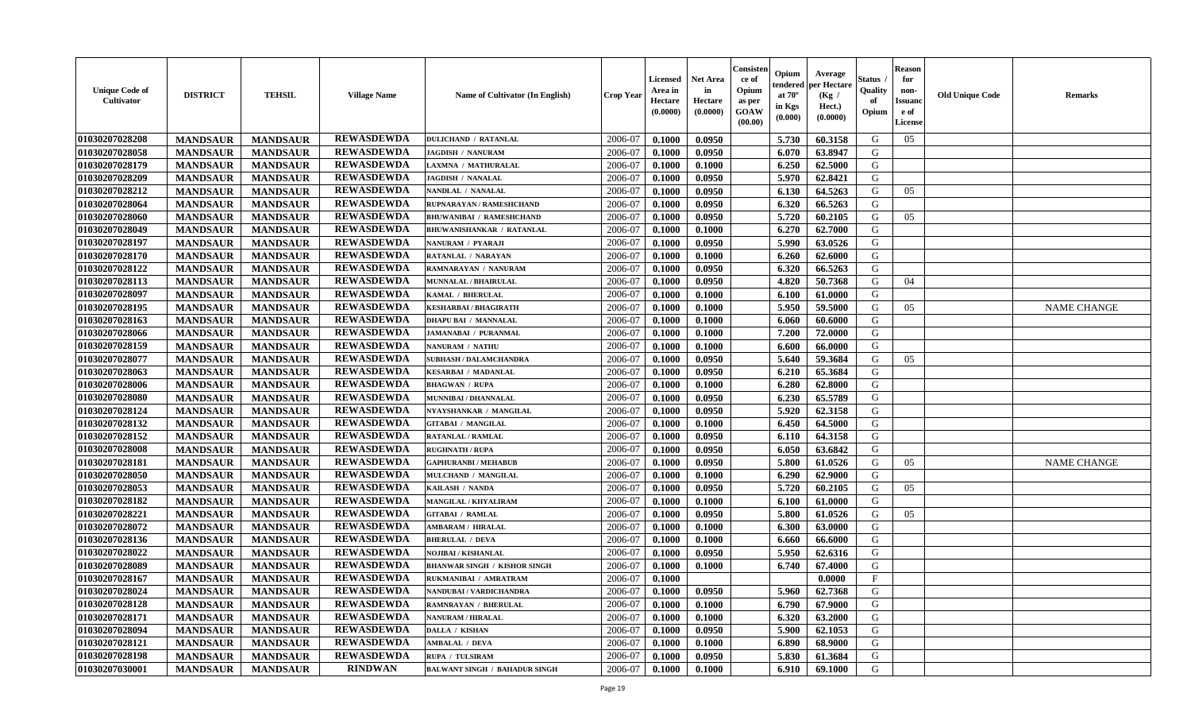| <b>Unique Code of</b><br><b>Cultivator</b> | <b>DISTRICT</b> | <b>TEHSIL</b>   | <b>Village Name</b> | Name of Cultivator (In English)      | <b>Crop Year</b> | <b>Licensed</b><br>Area in<br>Hectare<br>(0.0000) | <b>Net Area</b><br>in<br>Hectare<br>(0.0000) | Consister<br>ce of<br>Opium<br>as per<br><b>GOAW</b><br>(00.00) | Opium<br>endered<br>at $70^{\circ}$<br>in Kgs<br>$(\mathbf{0.000})$ | Average<br>per Hectare<br>(Kg /<br>Hect.)<br>(0.0000) | <b>Status</b><br>Quality<br>of<br>Opium | <b>Reason</b><br>for<br>non-<br><b>Issuanc</b><br>e of<br>License | <b>Old Unique Code</b> | <b>Remarks</b>     |
|--------------------------------------------|-----------------|-----------------|---------------------|--------------------------------------|------------------|---------------------------------------------------|----------------------------------------------|-----------------------------------------------------------------|---------------------------------------------------------------------|-------------------------------------------------------|-----------------------------------------|-------------------------------------------------------------------|------------------------|--------------------|
| 01030207028208                             | <b>MANDSAUR</b> | <b>MANDSAUR</b> | <b>REWASDEWDA</b>   | <b>DULICHAND / RATANLAL</b>          | 2006-07          | 0.1000                                            | 0.0950                                       |                                                                 | 5.730                                                               | 60.3158                                               | G                                       | 05                                                                |                        |                    |
| 01030207028058                             | <b>MANDSAUR</b> | <b>MANDSAUR</b> | <b>REWASDEWDA</b>   | <b>JAGDISH / NANURAM</b>             | 2006-07          | 0.1000                                            | 0.0950                                       |                                                                 | 6.070                                                               | 63.8947                                               | G                                       |                                                                   |                        |                    |
| 01030207028179                             | <b>MANDSAUR</b> | <b>MANDSAUR</b> | <b>REWASDEWDA</b>   | LAXMNA / MATHURALAL                  | 2006-07          | 0.1000                                            | 0.1000                                       |                                                                 | 6.250                                                               | 62.5000                                               | G                                       |                                                                   |                        |                    |
| 01030207028209                             | <b>MANDSAUR</b> | <b>MANDSAUR</b> | <b>REWASDEWDA</b>   | <b>JAGDISH / NANALAL</b>             | 2006-07          | 0.1000                                            | 0.0950                                       |                                                                 | 5.970                                                               | 62.8421                                               | G                                       |                                                                   |                        |                    |
| 01030207028212                             | <b>MANDSAUR</b> | <b>MANDSAUR</b> | <b>REWASDEWDA</b>   | NANDLAL / NANALAL                    | 2006-07          | 0.1000                                            | 0.0950                                       |                                                                 | 6.130                                                               | 64.5263                                               | G                                       | 05                                                                |                        |                    |
| 01030207028064                             | <b>MANDSAUR</b> | <b>MANDSAUR</b> | <b>REWASDEWDA</b>   | RUPNARAYAN / RAMESHCHAND             | 2006-07          | 0.1000                                            | 0.0950                                       |                                                                 | 6.320                                                               | 66.5263                                               | G                                       |                                                                   |                        |                    |
| 01030207028060                             | <b>MANDSAUR</b> | <b>MANDSAUR</b> | <b>REWASDEWDA</b>   | <b>BHUWANIBAI / RAMESHCHAND</b>      | 2006-07          | 0.1000                                            | 0.0950                                       |                                                                 | 5.720                                                               | 60.2105                                               | G                                       | 05                                                                |                        |                    |
| 01030207028049                             | <b>MANDSAUR</b> | <b>MANDSAUR</b> | <b>REWASDEWDA</b>   | <b>BHUWANISHANKAR / RATANLAL</b>     | 2006-07          | 0.1000                                            | 0.1000                                       |                                                                 | 6.270                                                               | 62.7000                                               | G                                       |                                                                   |                        |                    |
| 01030207028197                             | <b>MANDSAUR</b> | <b>MANDSAUR</b> | <b>REWASDEWDA</b>   | NANURAM / PYARAJI                    | 2006-07          | 0.1000                                            | 0.0950                                       |                                                                 | 5.990                                                               | 63.0526                                               | G                                       |                                                                   |                        |                    |
| 01030207028170                             | <b>MANDSAUR</b> | <b>MANDSAUR</b> | <b>REWASDEWDA</b>   | RATANLAL / NARAYAN                   | 2006-07          | 0.1000                                            | 0.1000                                       |                                                                 | 6.260                                                               | 62.6000                                               | G                                       |                                                                   |                        |                    |
| 01030207028122                             | <b>MANDSAUR</b> | <b>MANDSAUR</b> | <b>REWASDEWDA</b>   | RAMNARAYAN / NANURAM                 | 2006-07          | 0.1000                                            | 0.0950                                       |                                                                 | 6.320                                                               | 66.5263                                               | G                                       |                                                                   |                        |                    |
| 01030207028113                             | <b>MANDSAUR</b> | <b>MANDSAUR</b> | <b>REWASDEWDA</b>   | MUNNALAL / BHAIRULAL                 | 2006-07          | 0.1000                                            | 0.0950                                       |                                                                 | 4.820                                                               | 50.7368                                               | G                                       | 04                                                                |                        |                    |
| 01030207028097                             | <b>MANDSAUR</b> | <b>MANDSAUR</b> | <b>REWASDEWDA</b>   | KAMAL / BHERULAL                     | 2006-07          | 0.1000                                            | 0.1000                                       |                                                                 | 6.100                                                               | 61.0000                                               | G                                       |                                                                   |                        |                    |
| 01030207028195                             | <b>MANDSAUR</b> | <b>MANDSAUR</b> | <b>REWASDEWDA</b>   | <b>KESHARBAI / BHAGIRATH</b>         | 2006-07          | 0.1000                                            | 0.1000                                       |                                                                 | 5.950                                                               | 59.5000                                               | G                                       | 05                                                                |                        | <b>NAME CHANGE</b> |
| 01030207028163                             | <b>MANDSAUR</b> | <b>MANDSAUR</b> | <b>REWASDEWDA</b>   | <b>DHAPU BAI / MANNALAL</b>          | 2006-07          | 0.1000                                            | 0.1000                                       |                                                                 | 6.060                                                               | 60.6000                                               | G                                       |                                                                   |                        |                    |
| 01030207028066                             | <b>MANDSAUR</b> | <b>MANDSAUR</b> | <b>REWASDEWDA</b>   | <b>JAMANABAI / PURANMAL</b>          | 2006-07          | 0.1000                                            | 0.1000                                       |                                                                 | 7.200                                                               | 72.0000                                               | G                                       |                                                                   |                        |                    |
| 01030207028159                             | <b>MANDSAUR</b> | <b>MANDSAUR</b> | <b>REWASDEWDA</b>   | NANURAM / NATHU                      | 2006-07          | 0.1000                                            | 0.1000                                       |                                                                 | 6.600                                                               | 66.0000                                               | G                                       |                                                                   |                        |                    |
| 01030207028077                             | <b>MANDSAUR</b> | <b>MANDSAUR</b> | <b>REWASDEWDA</b>   | <b>SUBHASH / DALAMCHANDRA</b>        | 2006-07          | 0.1000                                            | 0.0950                                       |                                                                 | 5.640                                                               | 59.3684                                               | G                                       | 05                                                                |                        |                    |
| 01030207028063                             | <b>MANDSAUR</b> | <b>MANDSAUR</b> | <b>REWASDEWDA</b>   | <b>KESARBAI / MADANLAL</b>           | 2006-07          | 0.1000                                            | 0.0950                                       |                                                                 | 6.210                                                               | 65.3684                                               | G                                       |                                                                   |                        |                    |
| 01030207028006                             | <b>MANDSAUR</b> | <b>MANDSAUR</b> | <b>REWASDEWDA</b>   | <b>BHAGWAN / RUPA</b>                | 2006-07          | 0.1000                                            | 0.1000                                       |                                                                 | 6.280                                                               | 62.8000                                               | G                                       |                                                                   |                        |                    |
| 01030207028080                             | <b>MANDSAUR</b> | <b>MANDSAUR</b> | <b>REWASDEWDA</b>   | MUNNIBAI / DHANNALAL                 | 2006-07          | 0.1000                                            | 0.0950                                       |                                                                 | 6.230                                                               | 65.5789                                               | G                                       |                                                                   |                        |                    |
| 01030207028124                             | <b>MANDSAUR</b> | <b>MANDSAUR</b> | <b>REWASDEWDA</b>   | NYAYSHANKAR / MANGILAL               | 2006-07          | 0.1000                                            | 0.0950                                       |                                                                 | 5.920                                                               | 62.3158                                               | G                                       |                                                                   |                        |                    |
| 01030207028132                             | <b>MANDSAUR</b> | <b>MANDSAUR</b> | <b>REWASDEWDA</b>   | <b>GITABAI / MANGILAL</b>            | 2006-07          | 0.1000                                            | 0.1000                                       |                                                                 | 6.450                                                               | 64.5000                                               | G                                       |                                                                   |                        |                    |
| 01030207028152                             | <b>MANDSAUR</b> | <b>MANDSAUR</b> | <b>REWASDEWDA</b>   | RATANLAL / RAMLAL                    | 2006-07          | 0.1000                                            | 0.0950                                       |                                                                 | 6.110                                                               | 64.3158                                               | G                                       |                                                                   |                        |                    |
| 01030207028008                             | <b>MANDSAUR</b> | <b>MANDSAUR</b> | <b>REWASDEWDA</b>   | <b>RUGHNATH / RUPA</b>               | 2006-07          | 0.1000                                            | 0.0950                                       |                                                                 | 6.050                                                               | 63.6842                                               | G                                       |                                                                   |                        |                    |
| 01030207028181                             | <b>MANDSAUR</b> | <b>MANDSAUR</b> | <b>REWASDEWDA</b>   | <b>GAPHURANBI / MEHABUB</b>          | 2006-07          | 0.1000                                            | 0.0950                                       |                                                                 | 5.800                                                               | 61.0526                                               | G                                       | 05                                                                |                        | <b>NAME CHANGE</b> |
| 01030207028050                             | <b>MANDSAUR</b> | <b>MANDSAUR</b> | <b>REWASDEWDA</b>   | MULCHAND / MANGILAL                  | 2006-07          | 0.1000                                            | 0.1000                                       |                                                                 | 6.290                                                               | 62.9000                                               | G                                       |                                                                   |                        |                    |
| 01030207028053                             | <b>MANDSAUR</b> | <b>MANDSAUR</b> | <b>REWASDEWDA</b>   | KAILASH / NANDA                      | 2006-07          | 0.1000                                            | 0.0950                                       |                                                                 | 5.720                                                               | 60.2105                                               | G                                       | 05                                                                |                        |                    |
| 01030207028182                             | <b>MANDSAUR</b> | <b>MANDSAUR</b> | <b>REWASDEWDA</b>   | <b>MANGILAL / KHYALIRAM</b>          | 2006-07          | 0.1000                                            | 0.1000                                       |                                                                 | 6.100                                                               | 61.0000                                               | G                                       |                                                                   |                        |                    |
| 01030207028221                             | <b>MANDSAUR</b> | <b>MANDSAUR</b> | <b>REWASDEWDA</b>   | <b>GITABAI / RAMLAL</b>              | 2006-07          | 0.1000                                            | 0.0950                                       |                                                                 | 5.800                                                               | 61.0526                                               | G                                       | 05                                                                |                        |                    |
| 01030207028072                             | <b>MANDSAUR</b> | <b>MANDSAUR</b> | <b>REWASDEWDA</b>   | <b>AMBARAM / HIRALAL</b>             | 2006-07          | 0.1000                                            | 0.1000                                       |                                                                 | 6.300                                                               | 63.0000                                               | G                                       |                                                                   |                        |                    |
| 01030207028136                             | <b>MANDSAUR</b> | <b>MANDSAUR</b> | <b>REWASDEWDA</b>   | <b>BHERULAL / DEVA</b>               | 2006-07          | 0.1000                                            | 0.1000                                       |                                                                 | 6.660                                                               | 66.6000                                               | G                                       |                                                                   |                        |                    |
| 01030207028022                             | <b>MANDSAUR</b> | <b>MANDSAUR</b> | <b>REWASDEWDA</b>   | NOJIBAI / KISHANLAL                  | 2006-07          | 0.1000                                            | 0.0950                                       |                                                                 | 5.950                                                               | 62.6316                                               | G                                       |                                                                   |                        |                    |
| 01030207028089                             | <b>MANDSAUR</b> | <b>MANDSAUR</b> | <b>REWASDEWDA</b>   | <b>BHANWAR SINGH / KISHOR SINGH</b>  | 2006-07          | 0.1000                                            | 0.1000                                       |                                                                 | 6.740                                                               | 67.4000                                               | G                                       |                                                                   |                        |                    |
| 01030207028167                             | <b>MANDSAUR</b> | <b>MANDSAUR</b> | <b>REWASDEWDA</b>   | <b>RUKMANIBAI / AMRATRAM</b>         | 2006-07          | 0.1000                                            |                                              |                                                                 |                                                                     | 0.0000                                                | $\mathbf{F}$                            |                                                                   |                        |                    |
| 01030207028024                             | <b>MANDSAUR</b> | MANDSAUR        | <b>REWASDEWDA</b>   | NANDUBAI / VARDICHANDRA              | 2006-07          | 0.1000                                            | 0.0950                                       |                                                                 | <b>5.960</b>                                                        | 62.7368                                               | G                                       |                                                                   |                        |                    |
| 01030207028128                             | <b>MANDSAUR</b> | <b>MANDSAUR</b> | <b>REWASDEWDA</b>   | RAMNRAYAN / BHERULAL                 | 2006-07          | 0.1000                                            | 0.1000                                       |                                                                 | 6.790                                                               | 67.9000                                               | G                                       |                                                                   |                        |                    |
| 01030207028171                             | <b>MANDSAUR</b> | <b>MANDSAUR</b> | <b>REWASDEWDA</b>   | <b>NANURAM / HIRALAL</b>             | 2006-07          | 0.1000                                            | 0.1000                                       |                                                                 | 6.320                                                               | 63.2000                                               | G                                       |                                                                   |                        |                    |
| 01030207028094                             | <b>MANDSAUR</b> | <b>MANDSAUR</b> | <b>REWASDEWDA</b>   | <b>DALLA / KISHAN</b>                | 2006-07          | 0.1000                                            | 0.0950                                       |                                                                 | 5.900                                                               | 62.1053                                               | G                                       |                                                                   |                        |                    |
| 01030207028121                             | <b>MANDSAUR</b> | <b>MANDSAUR</b> | <b>REWASDEWDA</b>   | <b>AMBALAL / DEVA</b>                | 2006-07          | 0.1000                                            | 0.1000                                       |                                                                 | 6.890                                                               | 68.9000                                               | G                                       |                                                                   |                        |                    |
| 01030207028198                             | <b>MANDSAUR</b> | <b>MANDSAUR</b> | <b>REWASDEWDA</b>   | RUPA / TULSIRAM                      | 2006-07          | 0.1000                                            | 0.0950                                       |                                                                 | 5.830                                                               | 61.3684                                               | G                                       |                                                                   |                        |                    |
| 01030207030001                             | <b>MANDSAUR</b> | <b>MANDSAUR</b> | <b>RINDWAN</b>      | <b>BALWANT SINGH / BAHADUR SINGH</b> | 2006-07          | 0.1000                                            | 0.1000                                       |                                                                 | 6.910                                                               | 69.1000                                               | G                                       |                                                                   |                        |                    |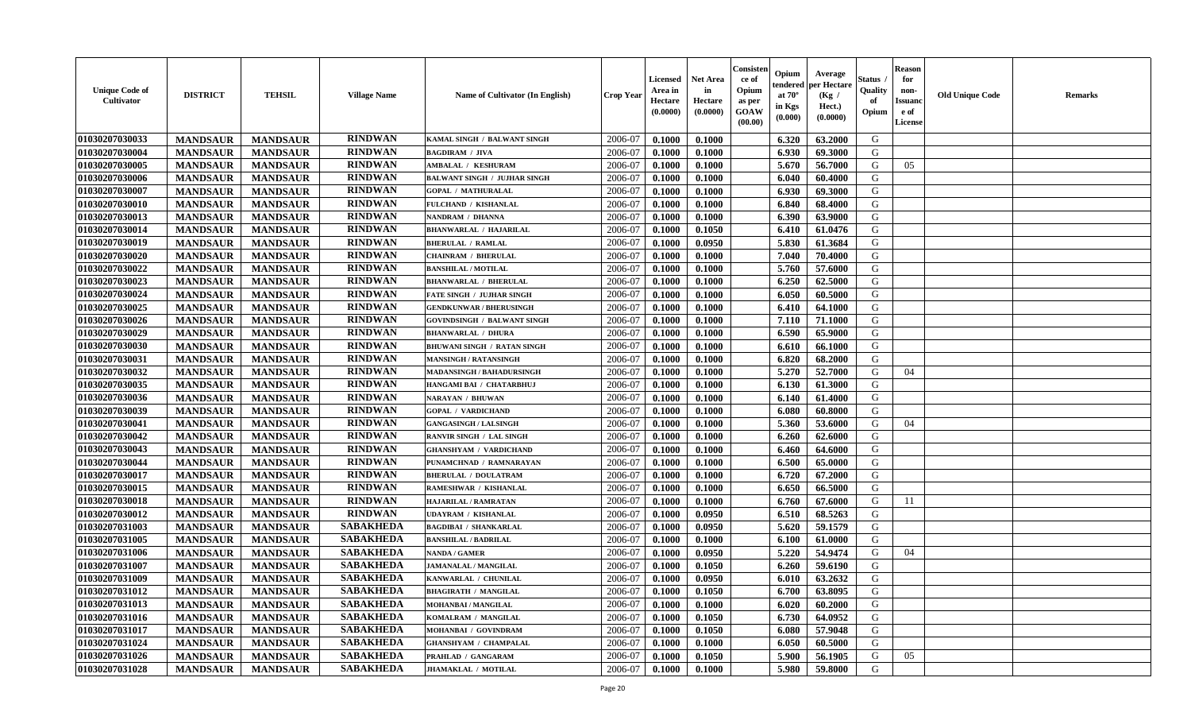| <b>Unique Code of</b><br>Cultivator | <b>DISTRICT</b> | <b>TEHSIL</b>   | <b>Village Name</b> | Name of Cultivator (In English)     | <b>Crop Year</b> | <b>Licensed</b><br>Area in<br>Hectare<br>(0.0000) | <b>Net Area</b><br>in<br>Hectare<br>(0.0000) | Consister<br>ce of<br>Opium<br>as per<br><b>GOAW</b><br>(00.00) | Opium<br>endered<br>at $70^{\circ}$<br>in Kgs<br>$(\mathbf{0.000})$ | Average<br>per Hectare<br>(Kg /<br>Hect.)<br>(0.0000) | Status<br>Quality<br>of<br>Opium | <b>Reason</b><br>for<br>non-<br><b>Issuanc</b><br>e of<br>License | <b>Old Unique Code</b> | <b>Remarks</b> |
|-------------------------------------|-----------------|-----------------|---------------------|-------------------------------------|------------------|---------------------------------------------------|----------------------------------------------|-----------------------------------------------------------------|---------------------------------------------------------------------|-------------------------------------------------------|----------------------------------|-------------------------------------------------------------------|------------------------|----------------|
| 01030207030033                      | <b>MANDSAUR</b> | <b>MANDSAUR</b> | <b>RINDWAN</b>      | KAMAL SINGH / BALWANT SINGH         | 2006-07          | 0.1000                                            | 0.1000                                       |                                                                 | 6.320                                                               | 63.2000                                               | G                                |                                                                   |                        |                |
| 01030207030004                      | <b>MANDSAUR</b> | <b>MANDSAUR</b> | <b>RINDWAN</b>      | <b>BAGDIRAM / JIVA</b>              | 2006-07          | 0.1000                                            | 0.1000                                       |                                                                 | 6.930                                                               | 69.3000                                               | G                                |                                                                   |                        |                |
| 01030207030005                      | <b>MANDSAUR</b> | <b>MANDSAUR</b> | <b>RINDWAN</b>      | AMBALAL / KESHURAM                  | 2006-07          | 0.1000                                            | 0.1000                                       |                                                                 | 5.670                                                               | 56.7000                                               | G                                | 05                                                                |                        |                |
| 01030207030006                      | <b>MANDSAUR</b> | <b>MANDSAUR</b> | <b>RINDWAN</b>      | <b>BALWANT SINGH / JUJHAR SINGH</b> | 2006-07          | 0.1000                                            | 0.1000                                       |                                                                 | 6.040                                                               | 60.4000                                               | G                                |                                                                   |                        |                |
| 01030207030007                      | <b>MANDSAUR</b> | <b>MANDSAUR</b> | <b>RINDWAN</b>      | <b>GOPAL / MATHURALAL</b>           | 2006-07          | 0.1000                                            | 0.1000                                       |                                                                 | 6.930                                                               | 69.3000                                               | G                                |                                                                   |                        |                |
| 01030207030010                      | <b>MANDSAUR</b> | <b>MANDSAUR</b> | <b>RINDWAN</b>      | FULCHAND / KISHANLAL                | 2006-07          | 0.1000                                            | 0.1000                                       |                                                                 | 6.840                                                               | 68.4000                                               | G                                |                                                                   |                        |                |
| 01030207030013                      | <b>MANDSAUR</b> | <b>MANDSAUR</b> | <b>RINDWAN</b>      | NANDRAM / DHANNA                    | 2006-07          | 0.1000                                            | 0.1000                                       |                                                                 | 6.390                                                               | 63.9000                                               | G                                |                                                                   |                        |                |
| 01030207030014                      | <b>MANDSAUR</b> | <b>MANDSAUR</b> | <b>RINDWAN</b>      | <b>BHANWARLAL / HAJARILAL</b>       | 2006-07          | 0.1000                                            | 0.1050                                       |                                                                 | 6.410                                                               | 61.0476                                               | G                                |                                                                   |                        |                |
| 01030207030019                      | <b>MANDSAUR</b> | <b>MANDSAUR</b> | <b>RINDWAN</b>      | <b>BHERULAL / RAMLAL</b>            | 2006-07          | 0.1000                                            | 0.0950                                       |                                                                 | 5.830                                                               | 61.3684                                               | G                                |                                                                   |                        |                |
| 01030207030020                      | <b>MANDSAUR</b> | <b>MANDSAUR</b> | <b>RINDWAN</b>      | <b>CHAINRAM / BHERULAL</b>          | 2006-07          | 0.1000                                            | 0.1000                                       |                                                                 | 7.040                                                               | 70.4000                                               | G                                |                                                                   |                        |                |
| 01030207030022                      | <b>MANDSAUR</b> | <b>MANDSAUR</b> | <b>RINDWAN</b>      | <b>BANSHILAL / MOTILAL</b>          | 2006-07          | 0.1000                                            | 0.1000                                       |                                                                 | 5.760                                                               | 57.6000                                               | G                                |                                                                   |                        |                |
| 01030207030023                      | <b>MANDSAUR</b> | <b>MANDSAUR</b> | <b>RINDWAN</b>      | <b>BHANWARLAL / BHERULAL</b>        | 2006-07          | 0.1000                                            | 0.1000                                       |                                                                 | 6.250                                                               | 62.5000                                               | G                                |                                                                   |                        |                |
| 01030207030024                      | <b>MANDSAUR</b> | <b>MANDSAUR</b> | <b>RINDWAN</b>      | FATE SINGH / JUJHAR SINGH           | 2006-07          | 0.1000                                            | 0.1000                                       |                                                                 | 6.050                                                               | 60.5000                                               | G                                |                                                                   |                        |                |
| 01030207030025                      | <b>MANDSAUR</b> | <b>MANDSAUR</b> | <b>RINDWAN</b>      | <b>GENDKUNWAR / BHERUSINGH</b>      | 2006-07          | 0.1000                                            | 0.1000                                       |                                                                 | 6.410                                                               | 64.1000                                               | G                                |                                                                   |                        |                |
| 01030207030026                      | <b>MANDSAUR</b> | <b>MANDSAUR</b> | <b>RINDWAN</b>      | <b>GOVINDSINGH / BALWANT SINGH</b>  | 2006-07          | 0.1000                                            | 0.1000                                       |                                                                 | 7.110                                                               | 71.1000                                               | G                                |                                                                   |                        |                |
| 01030207030029                      | <b>MANDSAUR</b> | <b>MANDSAUR</b> | <b>RINDWAN</b>      | <b>BHANWARLAL / DHURA</b>           | 2006-07          | 0.1000                                            | 0.1000                                       |                                                                 | 6.590                                                               | 65.9000                                               | G                                |                                                                   |                        |                |
| 01030207030030                      | <b>MANDSAUR</b> | <b>MANDSAUR</b> | <b>RINDWAN</b>      | <b>BHUWANI SINGH / RATAN SINGH</b>  | 2006-07          | 0.1000                                            | 0.1000                                       |                                                                 | 6.610                                                               | 66.1000                                               | G                                |                                                                   |                        |                |
| 01030207030031                      | <b>MANDSAUR</b> | <b>MANDSAUR</b> | <b>RINDWAN</b>      | <b>MANSINGH / RATANSINGH</b>        | 2006-07          | 0.1000                                            | 0.1000                                       |                                                                 | 6.820                                                               | 68.2000                                               | G                                |                                                                   |                        |                |
| 01030207030032                      | <b>MANDSAUR</b> | <b>MANDSAUR</b> | <b>RINDWAN</b>      | MADANSINGH / BAHADURSINGH           | 2006-07          | 0.1000                                            | 0.1000                                       |                                                                 | 5.270                                                               | 52.7000                                               | G                                | 04                                                                |                        |                |
| 01030207030035                      | <b>MANDSAUR</b> | <b>MANDSAUR</b> | <b>RINDWAN</b>      | HANGAMI BAI / CHATARBHUJ            | 2006-07          | 0.1000                                            | 0.1000                                       |                                                                 | 6.130                                                               | 61.3000                                               | G                                |                                                                   |                        |                |
| 01030207030036                      | <b>MANDSAUR</b> | <b>MANDSAUR</b> | <b>RINDWAN</b>      | <b>NARAYAN / BHUWAN</b>             | 2006-07          | 0.1000                                            | 0.1000                                       |                                                                 | 6.140                                                               | 61.4000                                               | G                                |                                                                   |                        |                |
| 01030207030039                      | <b>MANDSAUR</b> | <b>MANDSAUR</b> | <b>RINDWAN</b>      | <b>GOPAL / VARDICHAND</b>           | 2006-07          | 0.1000                                            | 0.1000                                       |                                                                 | 6.080                                                               | 60.8000                                               | G                                |                                                                   |                        |                |
| 01030207030041                      | <b>MANDSAUR</b> | <b>MANDSAUR</b> | <b>RINDWAN</b>      | <b>GANGASINGH / LALSINGH</b>        | 2006-07          | 0.1000                                            | 0.1000                                       |                                                                 | 5.360                                                               | 53.6000                                               | G                                | 04                                                                |                        |                |
| 01030207030042                      | <b>MANDSAUR</b> | <b>MANDSAUR</b> | <b>RINDWAN</b>      | RANVIR SINGH / LAL SINGH            | 2006-07          | 0.1000                                            | 0.1000                                       |                                                                 | 6.260                                                               | 62.6000                                               | G                                |                                                                   |                        |                |
| 01030207030043                      | <b>MANDSAUR</b> | <b>MANDSAUR</b> | <b>RINDWAN</b>      | <b>GHANSHYAM / VARDICHAND</b>       | 2006-07          | 0.1000                                            | 0.1000                                       |                                                                 | 6.460                                                               | 64.6000                                               | G                                |                                                                   |                        |                |
| 01030207030044                      | <b>MANDSAUR</b> | <b>MANDSAUR</b> | <b>RINDWAN</b>      | PUNAMCHNAD / RAMNARAYAN             | 2006-07          | 0.1000                                            | 0.1000                                       |                                                                 | 6.500                                                               | 65.0000                                               | G                                |                                                                   |                        |                |
| 01030207030017                      | <b>MANDSAUR</b> | <b>MANDSAUR</b> | <b>RINDWAN</b>      | <b>BHERULAL / DOULATRAM</b>         | 2006-07          | 0.1000                                            | 0.1000                                       |                                                                 | 6.720                                                               | 67.2000                                               | G                                |                                                                   |                        |                |
| 01030207030015                      | <b>MANDSAUR</b> | <b>MANDSAUR</b> | <b>RINDWAN</b>      | RAMESHWAR / KISHANLAL               | 2006-07          | 0.1000                                            | 0.1000                                       |                                                                 | 6.650                                                               | 66.5000                                               | G                                |                                                                   |                        |                |
| 01030207030018                      | <b>MANDSAUR</b> | <b>MANDSAUR</b> | <b>RINDWAN</b>      | HAJARILAL / RAMRATAN                | 2006-07          | 0.1000                                            | 0.1000                                       |                                                                 | 6.760                                                               | 67.6000                                               | G                                | 11                                                                |                        |                |
| 01030207030012                      | <b>MANDSAUR</b> | <b>MANDSAUR</b> | <b>RINDWAN</b>      | UDAYRAM / KISHANLAL                 | 2006-07          | 0.1000                                            | 0.0950                                       |                                                                 | 6.510                                                               | 68.5263                                               | G                                |                                                                   |                        |                |
| 01030207031003                      | <b>MANDSAUR</b> | <b>MANDSAUR</b> | <b>SABAKHEDA</b>    | <b>BAGDIBAI / SHANKARLAL</b>        | 2006-07          | 0.1000                                            | 0.0950                                       |                                                                 | 5.620                                                               | 59.1579                                               | G                                |                                                                   |                        |                |
| 01030207031005                      | <b>MANDSAUR</b> | <b>MANDSAUR</b> | <b>SABAKHEDA</b>    | <b>BANSHILAL / BADRILAL</b>         | 2006-07          | 0.1000                                            | 0.1000                                       |                                                                 | 6.100                                                               | 61.0000                                               | G                                |                                                                   |                        |                |
| 01030207031006                      | <b>MANDSAUR</b> | <b>MANDSAUR</b> | <b>SABAKHEDA</b>    | NANDA / GAMER                       | 2006-07          | 0.1000                                            | 0.0950                                       |                                                                 | 5.220                                                               | 54.9474                                               | G                                | 04                                                                |                        |                |
| 01030207031007                      | <b>MANDSAUR</b> | <b>MANDSAUR</b> | <b>SABAKHEDA</b>    | JAMANALAL / MANGILAL                | 2006-07          | 0.1000                                            | 0.1050                                       |                                                                 | 6.260                                                               | 59.6190                                               | G                                |                                                                   |                        |                |
| 01030207031009                      | <b>MANDSAUR</b> | <b>MANDSAUR</b> | <b>SABAKHEDA</b>    | KANWARLAL / CHUNILAL                | 2006-07          | 0.1000                                            | 0.0950                                       |                                                                 | 6.010                                                               | 63.2632                                               | G                                |                                                                   |                        |                |
| 01030207031012                      | <b>MANDSAUR</b> | MANDSAUR        | <b>SABAKHEDA</b>    | <b>BHAGIRATH / MANGILAL</b>         | 2006-07          | 0.1000                                            | 0.1050                                       |                                                                 | 6.700                                                               | 63.8095                                               | G                                |                                                                   |                        |                |
| 01030207031013                      | <b>MANDSAUR</b> | <b>MANDSAUR</b> | <b>SABAKHEDA</b>    | MOHANBAI / MANGILAL                 | 2006-07          | 0.1000                                            | 0.1000                                       |                                                                 | 6.020                                                               | 60.2000                                               | G                                |                                                                   |                        |                |
| 01030207031016                      | <b>MANDSAUR</b> | <b>MANDSAUR</b> | <b>SABAKHEDA</b>    | KOMALRAM / MANGILAL                 | 2006-07          | 0.1000                                            | 0.1050                                       |                                                                 | 6.730                                                               | 64.0952                                               | G                                |                                                                   |                        |                |
| 01030207031017                      | <b>MANDSAUR</b> | <b>MANDSAUR</b> | <b>SABAKHEDA</b>    | MOHANBAI / GOVINDRAM                | 2006-07          | 0.1000                                            | 0.1050                                       |                                                                 | 6.080                                                               | 57.9048                                               | G                                |                                                                   |                        |                |
| 01030207031024                      | <b>MANDSAUR</b> | <b>MANDSAUR</b> | <b>SABAKHEDA</b>    | <b>GHANSHYAM / CHAMPALAL</b>        | 2006-07          | 0.1000                                            | 0.1000                                       |                                                                 | 6.050                                                               | 60.5000                                               | G                                |                                                                   |                        |                |
| 01030207031026                      | <b>MANDSAUR</b> | <b>MANDSAUR</b> | <b>SABAKHEDA</b>    | PRAHLAD / GANGARAM                  | 2006-07          | 0.1000                                            | 0.1050                                       |                                                                 | 5.900                                                               | 56.1905                                               | G                                | 05                                                                |                        |                |
| 01030207031028                      | <b>MANDSAUR</b> | <b>MANDSAUR</b> | <b>SABAKHEDA</b>    | <b>JHAMAKLAL / MOTILAL</b>          | 2006-07          | 0.1000                                            | 0.1000                                       |                                                                 | 5.980                                                               | 59.8000                                               | G                                |                                                                   |                        |                |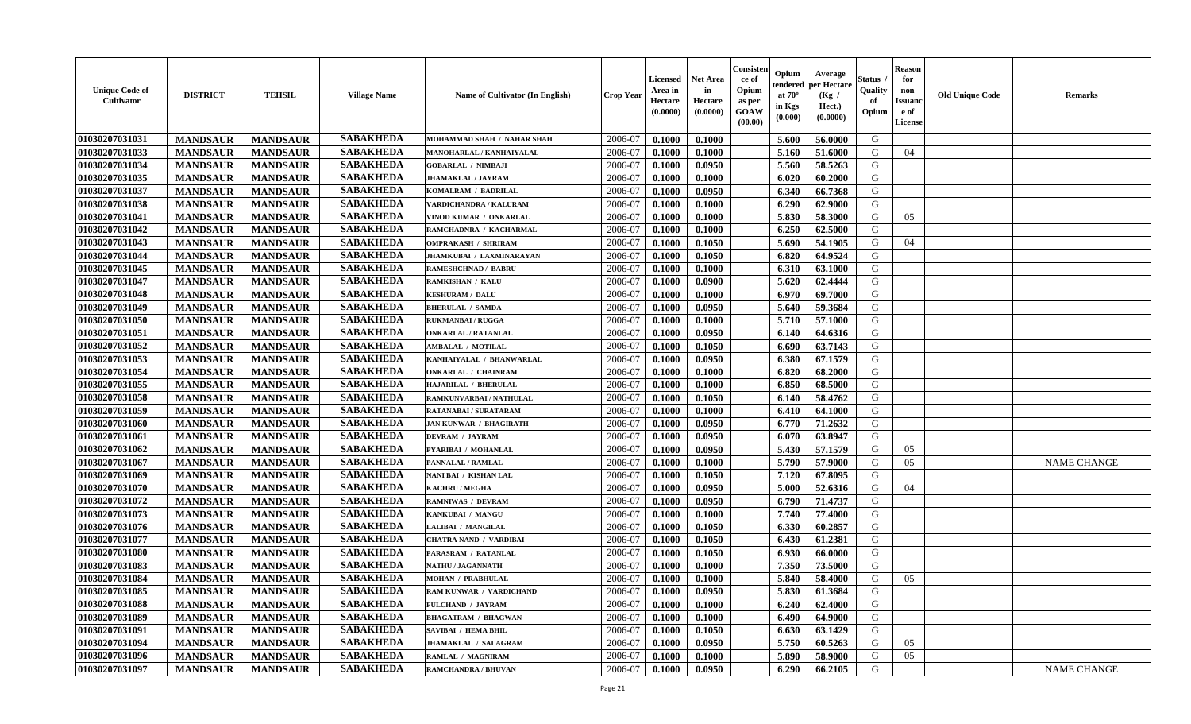| <b>Unique Code of</b><br><b>Cultivator</b> | <b>DISTRICT</b> | <b>TEHSIL</b>   | <b>Village Name</b> | <b>Name of Cultivator (In English)</b> | <b>Crop Year</b> | <b>Licensed</b><br>Area in<br>Hectare<br>(0.0000) | <b>Net Area</b><br>in<br>Hectare<br>(0.0000) | Consister<br>ce of<br>Opium<br>as per<br><b>GOAW</b><br>(00.00) | Opium<br>endered<br>at $70^{\circ}$<br>in Kgs<br>(0.000) | Average<br>per Hectare<br>(Kg /<br>Hect.)<br>(0.0000) | Status<br>Quality<br>of<br>Opium | <b>Reason</b><br>for<br>non-<br><b>Issuanc</b><br>e of<br>License | <b>Old Unique Code</b> | <b>Remarks</b>     |
|--------------------------------------------|-----------------|-----------------|---------------------|----------------------------------------|------------------|---------------------------------------------------|----------------------------------------------|-----------------------------------------------------------------|----------------------------------------------------------|-------------------------------------------------------|----------------------------------|-------------------------------------------------------------------|------------------------|--------------------|
| 01030207031031                             | <b>MANDSAUR</b> | <b>MANDSAUR</b> | <b>SABAKHEDA</b>    | MOHAMMAD SHAH / NAHAR SHAH             | 2006-07          | 0.1000                                            | 0.1000                                       |                                                                 | 5.600                                                    | 56.0000                                               | G                                |                                                                   |                        |                    |
| 01030207031033                             | <b>MANDSAUR</b> | <b>MANDSAUR</b> | <b>SABAKHEDA</b>    | MANOHARLAL / KANHAIYALAL               | 2006-07          | 0.1000                                            | 0.1000                                       |                                                                 | 5.160                                                    | 51.6000                                               | G                                | 04                                                                |                        |                    |
| 01030207031034                             | <b>MANDSAUR</b> | <b>MANDSAUR</b> | <b>SABAKHEDA</b>    | <b>GOBARLAL / NIMBAJI</b>              | 2006-07          | 0.1000                                            | 0.0950                                       |                                                                 | 5.560                                                    | 58.5263                                               | G                                |                                                                   |                        |                    |
| 01030207031035                             | <b>MANDSAUR</b> | <b>MANDSAUR</b> | <b>SABAKHEDA</b>    | <b>JHAMAKLAL / JAYRAM</b>              | 2006-07          | 0.1000                                            | 0.1000                                       |                                                                 | 6.020                                                    | 60.2000                                               | G                                |                                                                   |                        |                    |
| 01030207031037                             | <b>MANDSAUR</b> | <b>MANDSAUR</b> | <b>SABAKHEDA</b>    | KOMALRAM / BADRILAL                    | 2006-07          | 0.1000                                            | 0.0950                                       |                                                                 | 6.340                                                    | 66.7368                                               | G                                |                                                                   |                        |                    |
| 01030207031038                             | <b>MANDSAUR</b> | <b>MANDSAUR</b> | <b>SABAKHEDA</b>    | VARDICHANDRA / KALURAM                 | 2006-07          | 0.1000                                            | 0.1000                                       |                                                                 | 6.290                                                    | 62.9000                                               | G                                |                                                                   |                        |                    |
| 01030207031041                             | <b>MANDSAUR</b> | <b>MANDSAUR</b> | <b>SABAKHEDA</b>    | VINOD KUMAR / ONKARLAL                 | 2006-07          | 0.1000                                            | 0.1000                                       |                                                                 | 5.830                                                    | 58.3000                                               | G                                | 05                                                                |                        |                    |
| 01030207031042                             | <b>MANDSAUR</b> | <b>MANDSAUR</b> | <b>SABAKHEDA</b>    | RAMCHADNRA / KACHARMAL                 | 2006-07          | 0.1000                                            | 0.1000                                       |                                                                 | 6.250                                                    | 62.5000                                               | G                                |                                                                   |                        |                    |
| 01030207031043                             | <b>MANDSAUR</b> | <b>MANDSAUR</b> | <b>SABAKHEDA</b>    | <b>OMPRAKASH / SHRIRAM</b>             | 2006-07          | 0.1000                                            | 0.1050                                       |                                                                 | 5.690                                                    | 54.1905                                               | G                                | 04                                                                |                        |                    |
| 01030207031044                             | <b>MANDSAUR</b> | <b>MANDSAUR</b> | <b>SABAKHEDA</b>    | JHAMKUBAI / LAXMINARAYAN               | 2006-07          | 0.1000                                            | 0.1050                                       |                                                                 | 6.820                                                    | 64.9524                                               | G                                |                                                                   |                        |                    |
| 01030207031045                             | <b>MANDSAUR</b> | <b>MANDSAUR</b> | <b>SABAKHEDA</b>    | RAMESHCHNAD / BABRU                    | 2006-07          | 0.1000                                            | 0.1000                                       |                                                                 | 6.310                                                    | 63.1000                                               | G                                |                                                                   |                        |                    |
| 01030207031047                             | <b>MANDSAUR</b> | <b>MANDSAUR</b> | <b>SABAKHEDA</b>    | <b>RAMKISHAN / KALU</b>                | 2006-07          | 0.1000                                            | 0.0900                                       |                                                                 | 5.620                                                    | 62.4444                                               | G                                |                                                                   |                        |                    |
| 01030207031048                             | <b>MANDSAUR</b> | <b>MANDSAUR</b> | <b>SABAKHEDA</b>    | <b>KESHURAM / DALU</b>                 | 2006-07          | 0.1000                                            | 0.1000                                       |                                                                 | 6.970                                                    | 69.7000                                               | G                                |                                                                   |                        |                    |
| 01030207031049                             | <b>MANDSAUR</b> | <b>MANDSAUR</b> | <b>SABAKHEDA</b>    | <b>BHERULAL / SAMDA</b>                | 2006-07          | 0.1000                                            | 0.0950                                       |                                                                 | 5.640                                                    | 59.3684                                               | G                                |                                                                   |                        |                    |
| 01030207031050                             | <b>MANDSAUR</b> | <b>MANDSAUR</b> | <b>SABAKHEDA</b>    | <b>RUKMANBAI/RUGGA</b>                 | 2006-07          | 0.1000                                            | 0.1000                                       |                                                                 | 5.710                                                    | 57.1000                                               | G                                |                                                                   |                        |                    |
| 01030207031051                             | <b>MANDSAUR</b> | <b>MANDSAUR</b> | <b>SABAKHEDA</b>    | <b>ONKARLAL / RATANLAL</b>             | 2006-07          | 0.1000                                            | 0.0950                                       |                                                                 | 6.140                                                    | 64.6316                                               | G                                |                                                                   |                        |                    |
| 01030207031052                             | <b>MANDSAUR</b> | <b>MANDSAUR</b> | <b>SABAKHEDA</b>    | <b>AMBALAL / MOTILAL</b>               | 2006-07          | 0.1000                                            | 0.1050                                       |                                                                 | 6.690                                                    | 63.7143                                               | G                                |                                                                   |                        |                    |
| 01030207031053                             | <b>MANDSAUR</b> | <b>MANDSAUR</b> | <b>SABAKHEDA</b>    | KANHAIYALAL / BHANWARLAL               | 2006-07          | 0.1000                                            | 0.0950                                       |                                                                 | 6.380                                                    | 67.1579                                               | G                                |                                                                   |                        |                    |
| 01030207031054                             | <b>MANDSAUR</b> | <b>MANDSAUR</b> | <b>SABAKHEDA</b>    | <b>ONKARLAL / CHAINRAM</b>             | 2006-07          | 0.1000                                            | 0.1000                                       |                                                                 | 6.820                                                    | 68.2000                                               | G                                |                                                                   |                        |                    |
| 01030207031055                             | <b>MANDSAUR</b> | <b>MANDSAUR</b> | <b>SABAKHEDA</b>    | HAJARILAL / BHERULAL                   | 2006-07          | 0.1000                                            | 0.1000                                       |                                                                 | 6.850                                                    | 68.5000                                               | G                                |                                                                   |                        |                    |
| 01030207031058                             | <b>MANDSAUR</b> | <b>MANDSAUR</b> | <b>SABAKHEDA</b>    | RAMKUNVARBAI / NATHULAL                | 2006-07          | 0.1000                                            | 0.1050                                       |                                                                 | 6.140                                                    | 58.4762                                               | G                                |                                                                   |                        |                    |
| 01030207031059                             | <b>MANDSAUR</b> | <b>MANDSAUR</b> | <b>SABAKHEDA</b>    | RATANABAI / SURATARAM                  | 2006-07          | 0.1000                                            | 0.1000                                       |                                                                 | 6.410                                                    | 64.1000                                               | G                                |                                                                   |                        |                    |
| 01030207031060                             | <b>MANDSAUR</b> | <b>MANDSAUR</b> | <b>SABAKHEDA</b>    | <b>JAN KUNWAR / BHAGIRATH</b>          | 2006-07          | 0.1000                                            | 0.0950                                       |                                                                 | 6.770                                                    | 71.2632                                               | G                                |                                                                   |                        |                    |
| 01030207031061                             | <b>MANDSAUR</b> | <b>MANDSAUR</b> | <b>SABAKHEDA</b>    | DEVRAM / JAYRAM                        | 2006-07          | 0.1000                                            | 0.0950                                       |                                                                 | 6.070                                                    | 63.8947                                               | G                                |                                                                   |                        |                    |
| 01030207031062                             | <b>MANDSAUR</b> | <b>MANDSAUR</b> | <b>SABAKHEDA</b>    | PYARIBAI / MOHANLAL                    | 2006-07          | 0.1000                                            | 0.0950                                       |                                                                 | 5.430                                                    | 57.1579                                               | G                                | 05                                                                |                        |                    |
| 01030207031067                             | <b>MANDSAUR</b> | <b>MANDSAUR</b> | <b>SABAKHEDA</b>    | PANNALAL / RAMLAL                      | 2006-07          | 0.1000                                            | 0.1000                                       |                                                                 | 5.790                                                    | 57.9000                                               | G                                | 05                                                                |                        | <b>NAME CHANGE</b> |
| 01030207031069                             | <b>MANDSAUR</b> | <b>MANDSAUR</b> | <b>SABAKHEDA</b>    | NANI BAI / KISHAN LAL                  | 2006-07          | 0.1000                                            | 0.1050                                       |                                                                 | 7.120                                                    | 67.8095                                               | G                                |                                                                   |                        |                    |
| 01030207031070                             | <b>MANDSAUR</b> | <b>MANDSAUR</b> | <b>SABAKHEDA</b>    | <b>KACHRU / MEGHA</b>                  | 2006-07          | 0.1000                                            | 0.0950                                       |                                                                 | 5.000                                                    | 52.6316                                               | G                                | 04                                                                |                        |                    |
| 01030207031072                             | <b>MANDSAUR</b> | <b>MANDSAUR</b> | <b>SABAKHEDA</b>    | <b>RAMNIWAS / DEVRAM</b>               | 2006-07          | 0.1000                                            | 0.0950                                       |                                                                 | 6.790                                                    | 71,4737                                               | G                                |                                                                   |                        |                    |
| 01030207031073                             | <b>MANDSAUR</b> | <b>MANDSAUR</b> | <b>SABAKHEDA</b>    | KANKUBAI / MANGU                       | 2006-07          | 0.1000                                            | 0.1000                                       |                                                                 | 7.740                                                    | 77.4000                                               | G                                |                                                                   |                        |                    |
| 01030207031076                             | <b>MANDSAUR</b> | <b>MANDSAUR</b> | <b>SABAKHEDA</b>    | LALIBAI / MANGILAL                     | 2006-07          | 0.1000                                            | 0.1050                                       |                                                                 | 6.330                                                    | 60.2857                                               | G                                |                                                                   |                        |                    |
| 01030207031077                             | <b>MANDSAUR</b> | <b>MANDSAUR</b> | <b>SABAKHEDA</b>    | <b>CHATRA NAND / VARDIBAI</b>          | 2006-07          | 0.1000                                            | 0.1050                                       |                                                                 | 6.430                                                    | 61.2381                                               | G                                |                                                                   |                        |                    |
| 01030207031080                             | <b>MANDSAUR</b> | <b>MANDSAUR</b> | <b>SABAKHEDA</b>    | PARASRAM / RATANLAL                    | 2006-07          | 0.1000                                            | 0.1050                                       |                                                                 | 6.930                                                    | 66.0000                                               | G                                |                                                                   |                        |                    |
| 01030207031083                             | <b>MANDSAUR</b> | <b>MANDSAUR</b> | <b>SABAKHEDA</b>    | <b>NATHU / JAGANNATH</b>               | 2006-07          | 0.1000                                            | 0.1000                                       |                                                                 | 7.350                                                    | 73.5000                                               | G                                |                                                                   |                        |                    |
| 01030207031084                             | <b>MANDSAUR</b> | <b>MANDSAUR</b> | <b>SABAKHEDA</b>    | <b>MOHAN / PRABHULAL</b>               | 2006-07          | 0.1000                                            | 0.1000                                       |                                                                 | 5.840                                                    | 58.4000                                               | G                                | 05                                                                |                        |                    |
| 01030207031085                             | <b>MANDSAUR</b> | MANDSAUR        | <b>SABAKHEDA</b>    | <b>RAM KUNWAR / VARDICHAND</b>         | 2006-07          | 0.1000                                            | 0.0950                                       |                                                                 | 5.830                                                    | 61.3684                                               | G                                |                                                                   |                        |                    |
| 01030207031088                             | <b>MANDSAUR</b> | <b>MANDSAUR</b> | <b>SABAKHEDA</b>    | FULCHAND / JAYRAM                      | 2006-07          | 0.1000                                            | 0.1000                                       |                                                                 | 6.240                                                    | 62.4000                                               | G                                |                                                                   |                        |                    |
| 01030207031089                             | <b>MANDSAUR</b> | <b>MANDSAUR</b> | <b>SABAKHEDA</b>    | <b>BHAGATRAM / BHAGWAN</b>             | 2006-07          | 0.1000                                            | 0.1000                                       |                                                                 | 6.490                                                    | 64.9000                                               | G                                |                                                                   |                        |                    |
| 01030207031091                             | <b>MANDSAUR</b> | <b>MANDSAUR</b> | <b>SABAKHEDA</b>    | SAVIBAI / HEMA BHIL                    | 2006-07          | 0.1000                                            | 0.1050                                       |                                                                 | 6.630                                                    | 63.1429                                               | G                                |                                                                   |                        |                    |
| 01030207031094                             | <b>MANDSAUR</b> | <b>MANDSAUR</b> | <b>SABAKHEDA</b>    | <b>JHAMAKLAL / SALAGRAM</b>            | 2006-07          | 0.1000                                            | 0.0950                                       |                                                                 | 5.750                                                    | 60.5263                                               | G                                | 05                                                                |                        |                    |
| 01030207031096                             | <b>MANDSAUR</b> | <b>MANDSAUR</b> | <b>SABAKHEDA</b>    | RAMLAL / MAGNIRAM                      | 2006-07          | 0.1000                                            | 0.1000                                       |                                                                 | 5.890                                                    | 58.9000                                               | G                                | 05                                                                |                        |                    |
| 01030207031097                             | <b>MANDSAUR</b> | <b>MANDSAUR</b> | <b>SABAKHEDA</b>    | <b>RAMCHANDRA / BHUVAN</b>             | 2006-07          | 0.1000                                            | 0.0950                                       |                                                                 | 6.290                                                    | 66.2105                                               | G                                |                                                                   |                        | NAME CHANGE        |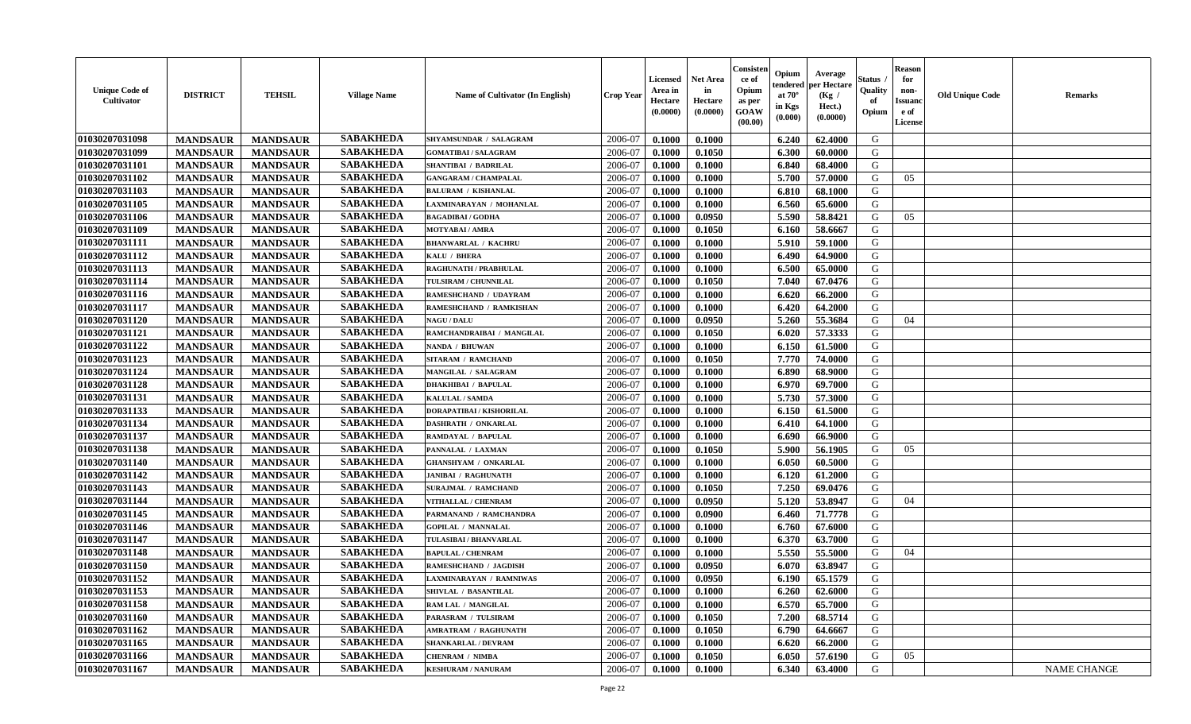| <b>Unique Code of</b><br>Cultivator | <b>DISTRICT</b> | <b>TEHSIL</b>   | <b>Village Name</b> | <b>Name of Cultivator (In English)</b> | <b>Crop Year</b> | <b>Licensed</b><br>Area in<br>Hectare<br>(0.0000) | <b>Net Area</b><br>in<br>Hectare<br>(0.0000) | Consister<br>ce of<br>Opium<br>as per<br><b>GOAW</b><br>(00.00) | Opium<br>endered<br>at $70^{\circ}$<br>in Kgs<br>$(\mathbf{0.000})$ | Average<br>per Hectare<br>(Kg /<br>Hect.)<br>(0.0000) | Status<br>Quality<br>of<br>Opium | <b>Reason</b><br>for<br>non-<br><b>Issuand</b><br>e of<br>License | <b>Old Unique Code</b> | <b>Remarks</b> |
|-------------------------------------|-----------------|-----------------|---------------------|----------------------------------------|------------------|---------------------------------------------------|----------------------------------------------|-----------------------------------------------------------------|---------------------------------------------------------------------|-------------------------------------------------------|----------------------------------|-------------------------------------------------------------------|------------------------|----------------|
| 01030207031098                      | <b>MANDSAUR</b> | <b>MANDSAUR</b> | <b>SABAKHEDA</b>    | SHYAMSUNDAR / SALAGRAM                 | 2006-07          | 0.1000                                            | 0.1000                                       |                                                                 | 6.240                                                               | 62.4000                                               | G                                |                                                                   |                        |                |
| 01030207031099                      | <b>MANDSAUR</b> | <b>MANDSAUR</b> | <b>SABAKHEDA</b>    | <b>GOMATIBAI / SALAGRAM</b>            | 2006-07          | 0.1000                                            | 0.1050                                       |                                                                 | 6.300                                                               | 60.0000                                               | G                                |                                                                   |                        |                |
| 01030207031101                      | <b>MANDSAUR</b> | <b>MANDSAUR</b> | <b>SABAKHEDA</b>    | SHANTIBAI / BADRILAL                   | 2006-07          | 0.1000                                            | 0.1000                                       |                                                                 | 6.840                                                               | 68.4000                                               | G                                |                                                                   |                        |                |
| 01030207031102                      | <b>MANDSAUR</b> | <b>MANDSAUR</b> | <b>SABAKHEDA</b>    | <b>GANGARAM / CHAMPALAL</b>            | 2006-07          | 0.1000                                            | 0.1000                                       |                                                                 | 5.700                                                               | 57.0000                                               | G                                | 05                                                                |                        |                |
| 01030207031103                      | <b>MANDSAUR</b> | <b>MANDSAUR</b> | <b>SABAKHEDA</b>    | <b>BALURAM / KISHANLAL</b>             | 2006-07          | 0.1000                                            | 0.1000                                       |                                                                 | 6.810                                                               | 68.1000                                               | G                                |                                                                   |                        |                |
| 01030207031105                      | <b>MANDSAUR</b> | <b>MANDSAUR</b> | <b>SABAKHEDA</b>    | LAXMINARAYAN / MOHANLAL                | 2006-07          | 0.1000                                            | 0.1000                                       |                                                                 | 6.560                                                               | 65.6000                                               | G                                |                                                                   |                        |                |
| 01030207031106                      | <b>MANDSAUR</b> | <b>MANDSAUR</b> | <b>SABAKHEDA</b>    | <b>BAGADIBAI/GODHA</b>                 | 2006-07          | 0.1000                                            | 0.0950                                       |                                                                 | 5.590                                                               | 58.8421                                               | G                                | 05                                                                |                        |                |
| 01030207031109                      | <b>MANDSAUR</b> | <b>MANDSAUR</b> | <b>SABAKHEDA</b>    | <b>MOTYABAI/AMRA</b>                   | 2006-07          | 0.1000                                            | 0.1050                                       |                                                                 | 6.160                                                               | 58.6667                                               | G                                |                                                                   |                        |                |
| 01030207031111                      | <b>MANDSAUR</b> | <b>MANDSAUR</b> | <b>SABAKHEDA</b>    | <b>BHANWARLAL / KACHRU</b>             | 2006-07          | 0.1000                                            | 0.1000                                       |                                                                 | 5.910                                                               | 59.1000                                               | G                                |                                                                   |                        |                |
| 01030207031112                      | <b>MANDSAUR</b> | <b>MANDSAUR</b> | <b>SABAKHEDA</b>    | KALU / BHERA                           | 2006-07          | 0.1000                                            | 0.1000                                       |                                                                 | 6.490                                                               | 64.9000                                               | G                                |                                                                   |                        |                |
| 01030207031113                      | <b>MANDSAUR</b> | <b>MANDSAUR</b> | <b>SABAKHEDA</b>    | RAGHUNATH / PRABHULAL                  | 2006-07          | 0.1000                                            | 0.1000                                       |                                                                 | 6.500                                                               | 65.0000                                               | G                                |                                                                   |                        |                |
| 01030207031114                      | <b>MANDSAUR</b> | <b>MANDSAUR</b> | <b>SABAKHEDA</b>    | TULSIRAM / CHUNNILAL                   | 2006-07          | 0.1000                                            | 0.1050                                       |                                                                 | 7.040                                                               | 67.0476                                               | G                                |                                                                   |                        |                |
| 01030207031116                      | <b>MANDSAUR</b> | <b>MANDSAUR</b> | <b>SABAKHEDA</b>    | RAMESHCHAND / UDAYRAM                  | 2006-07          | 0.1000                                            | 0.1000                                       |                                                                 | 6.620                                                               | 66.2000                                               | G                                |                                                                   |                        |                |
| 01030207031117                      | <b>MANDSAUR</b> | <b>MANDSAUR</b> | <b>SABAKHEDA</b>    | RAMESHCHAND / RAMKISHAN                | 2006-07          | 0.1000                                            | 0.1000                                       |                                                                 | 6.420                                                               | 64.2000                                               | G                                |                                                                   |                        |                |
| 01030207031120                      | <b>MANDSAUR</b> | <b>MANDSAUR</b> | <b>SABAKHEDA</b>    | <b>NAGU / DALU</b>                     | 2006-07          | 0.1000                                            | 0.0950                                       |                                                                 | 5.260                                                               | 55.3684                                               | G                                | 04                                                                |                        |                |
| 01030207031121                      | <b>MANDSAUR</b> | <b>MANDSAUR</b> | <b>SABAKHEDA</b>    | RAMCHANDRAIBAI / MANGILAL              | 2006-07          | 0.1000                                            | 0.1050                                       |                                                                 | 6.020                                                               | 57.3333                                               | G                                |                                                                   |                        |                |
| 01030207031122                      | <b>MANDSAUR</b> | <b>MANDSAUR</b> | <b>SABAKHEDA</b>    | NANDA / BHUWAN                         | 2006-07          | 0.1000                                            | 0.1000                                       |                                                                 | 6.150                                                               | 61.5000                                               | G                                |                                                                   |                        |                |
| 01030207031123                      | <b>MANDSAUR</b> | <b>MANDSAUR</b> | <b>SABAKHEDA</b>    | <b>SITARAM / RAMCHAND</b>              | 2006-07          | 0.1000                                            | 0.1050                                       |                                                                 | 7.770                                                               | 74.0000                                               | G                                |                                                                   |                        |                |
| 01030207031124                      | <b>MANDSAUR</b> | <b>MANDSAUR</b> | <b>SABAKHEDA</b>    | MANGILAL / SALAGRAM                    | 2006-07          | 0.1000                                            | 0.1000                                       |                                                                 | 6.890                                                               | 68.9000                                               | G                                |                                                                   |                        |                |
| 01030207031128                      | <b>MANDSAUR</b> | <b>MANDSAUR</b> | <b>SABAKHEDA</b>    | <b>DHAKHIBAI / BAPULAL</b>             | 2006-07          | 0.1000                                            | 0.1000                                       |                                                                 | 6.970                                                               | 69.7000                                               | G                                |                                                                   |                        |                |
| 01030207031131                      | <b>MANDSAUR</b> | <b>MANDSAUR</b> | <b>SABAKHEDA</b>    | <b>KALULAL / SAMDA</b>                 | 2006-07          | 0.1000                                            | 0.1000                                       |                                                                 | 5.730                                                               | 57.3000                                               | G                                |                                                                   |                        |                |
| 01030207031133                      | <b>MANDSAUR</b> | <b>MANDSAUR</b> | <b>SABAKHEDA</b>    | DORAPATIBAI / KISHORILAL               | 2006-07          | 0.1000                                            | 0.1000                                       |                                                                 | 6.150                                                               | 61.5000                                               | G                                |                                                                   |                        |                |
| 01030207031134                      | <b>MANDSAUR</b> | <b>MANDSAUR</b> | <b>SABAKHEDA</b>    | <b>DASHRATH / ONKARLAL</b>             | 2006-07          | 0.1000                                            | 0.1000                                       |                                                                 | 6.410                                                               | 64.1000                                               | G                                |                                                                   |                        |                |
| 01030207031137                      | <b>MANDSAUR</b> | <b>MANDSAUR</b> | <b>SABAKHEDA</b>    | RAMDAYAL / BAPULAL                     | 2006-07          | 0.1000                                            | 0.1000                                       |                                                                 | 6.690                                                               | 66.9000                                               | G                                |                                                                   |                        |                |
| 01030207031138                      | <b>MANDSAUR</b> | <b>MANDSAUR</b> | <b>SABAKHEDA</b>    | PANNALAL / LAXMAN                      | 2006-07          | 0.1000                                            | 0.1050                                       |                                                                 | 5.900                                                               | 56.1905                                               | G                                | 05                                                                |                        |                |
| 01030207031140                      | <b>MANDSAUR</b> | <b>MANDSAUR</b> | <b>SABAKHEDA</b>    | <b>GHANSHYAM / ONKARLAL</b>            | 2006-07          | 0.1000                                            | 0.1000                                       |                                                                 | 6.050                                                               | 60.5000                                               | G                                |                                                                   |                        |                |
| 01030207031142                      | <b>MANDSAUR</b> | <b>MANDSAUR</b> | <b>SABAKHEDA</b>    | <b>JANIBAI / RAGHUNATH</b>             | 2006-07          | 0.1000                                            | 0.1000                                       |                                                                 | 6.120                                                               | 61.2000                                               | G                                |                                                                   |                        |                |
| 01030207031143                      | <b>MANDSAUR</b> | <b>MANDSAUR</b> | <b>SABAKHEDA</b>    | <b>SURAJMAL / RAMCHAND</b>             | 2006-07          | 0.1000                                            | 0.1050                                       |                                                                 | 7.250                                                               | 69.0476                                               | G                                |                                                                   |                        |                |
| 01030207031144                      | <b>MANDSAUR</b> | <b>MANDSAUR</b> | <b>SABAKHEDA</b>    | VITHALLAL / CHENRAM                    | 2006-07          | 0.1000                                            | 0.0950                                       |                                                                 | 5.120                                                               | 53.8947                                               | G                                | 04                                                                |                        |                |
| 01030207031145                      | <b>MANDSAUR</b> | <b>MANDSAUR</b> | <b>SABAKHEDA</b>    | PARMANAND / RAMCHANDRA                 | 2006-07          | 0.1000                                            | 0.0900                                       |                                                                 | 6.460                                                               | 71.7778                                               | G                                |                                                                   |                        |                |
| 01030207031146                      | <b>MANDSAUR</b> | <b>MANDSAUR</b> | <b>SABAKHEDA</b>    | <b>GOPILAL / MANNALAL</b>              | 2006-07          | 0.1000                                            | 0.1000                                       |                                                                 | 6.760                                                               | 67.6000                                               | G                                |                                                                   |                        |                |
| 01030207031147                      | <b>MANDSAUR</b> | <b>MANDSAUR</b> | <b>SABAKHEDA</b>    | TULASIBAI / BHANVARLAL                 | 2006-07          | 0.1000                                            | 0.1000                                       |                                                                 | 6.370                                                               | 63.7000                                               | G                                |                                                                   |                        |                |
| 01030207031148                      | <b>MANDSAUR</b> | <b>MANDSAUR</b> | <b>SABAKHEDA</b>    | <b>BAPULAL / CHENRAM</b>               | 2006-07          | 0.1000                                            | 0.1000                                       |                                                                 | 5.550                                                               | 55.5000                                               | G                                | 04                                                                |                        |                |
| 01030207031150                      | <b>MANDSAUR</b> | <b>MANDSAUR</b> | <b>SABAKHEDA</b>    | <b>RAMESHCHAND / JAGDISH</b>           | 2006-07          | 0.1000                                            | 0.0950                                       |                                                                 | 6.070                                                               | 63.8947                                               | G                                |                                                                   |                        |                |
| 01030207031152                      | <b>MANDSAUR</b> | <b>MANDSAUR</b> | <b>SABAKHEDA</b>    | LAXMINARAYAN / RAMNIWAS                | 2006-07          | 0.1000                                            | 0.0950                                       |                                                                 | 6.190                                                               | 65.1579                                               | G                                |                                                                   |                        |                |
| 01030207031153                      | <b>MANDSAUR</b> | MANDSAUR        | SABAKHEDA           | SHIVLAL / BASANTILAL                   | 2006-07          | 0.1000                                            | 0.1000                                       |                                                                 | $6.260$                                                             | 62.6000                                               | G                                |                                                                   |                        |                |
| 01030207031158                      | <b>MANDSAUR</b> | <b>MANDSAUR</b> | <b>SABAKHEDA</b>    | RAM LAL / MANGILAL                     | 2006-07          | 0.1000                                            | 0.1000                                       |                                                                 | 6.570                                                               | 65.7000                                               | G                                |                                                                   |                        |                |
| 01030207031160                      | <b>MANDSAUR</b> | <b>MANDSAUR</b> | <b>SABAKHEDA</b>    | PARASRAM / TULSIRAM                    | 2006-07          | 0.1000                                            | 0.1050                                       |                                                                 | 7.200                                                               | 68.5714                                               | G                                |                                                                   |                        |                |
| 01030207031162                      | <b>MANDSAUR</b> | <b>MANDSAUR</b> | <b>SABAKHEDA</b>    | <b>AMRATRAM / RAGHUNATH</b>            | 2006-07          | 0.1000                                            | 0.1050                                       |                                                                 | 6.790                                                               | 64.6667                                               | G                                |                                                                   |                        |                |
| 01030207031165                      | <b>MANDSAUR</b> | <b>MANDSAUR</b> | <b>SABAKHEDA</b>    | <b>SHANKARLAL / DEVRAM</b>             | 2006-07          | 0.1000                                            | 0.1000                                       |                                                                 | 6.620                                                               | 66.2000                                               | G                                |                                                                   |                        |                |
| 01030207031166                      | <b>MANDSAUR</b> | <b>MANDSAUR</b> | <b>SABAKHEDA</b>    | <b>CHENRAM / NIMBA</b>                 | 2006-07          | 0.1000                                            | 0.1050                                       |                                                                 | 6.050                                                               | 57.6190                                               | G                                | 05                                                                |                        |                |
| 01030207031167                      | <b>MANDSAUR</b> | <b>MANDSAUR</b> | <b>SABAKHEDA</b>    | <b>KESHURAM / NANURAM</b>              | 2006-07          | 0.1000                                            | 0.1000                                       |                                                                 | 6.340                                                               | 63.4000                                               | G                                |                                                                   |                        | NAME CHANGE    |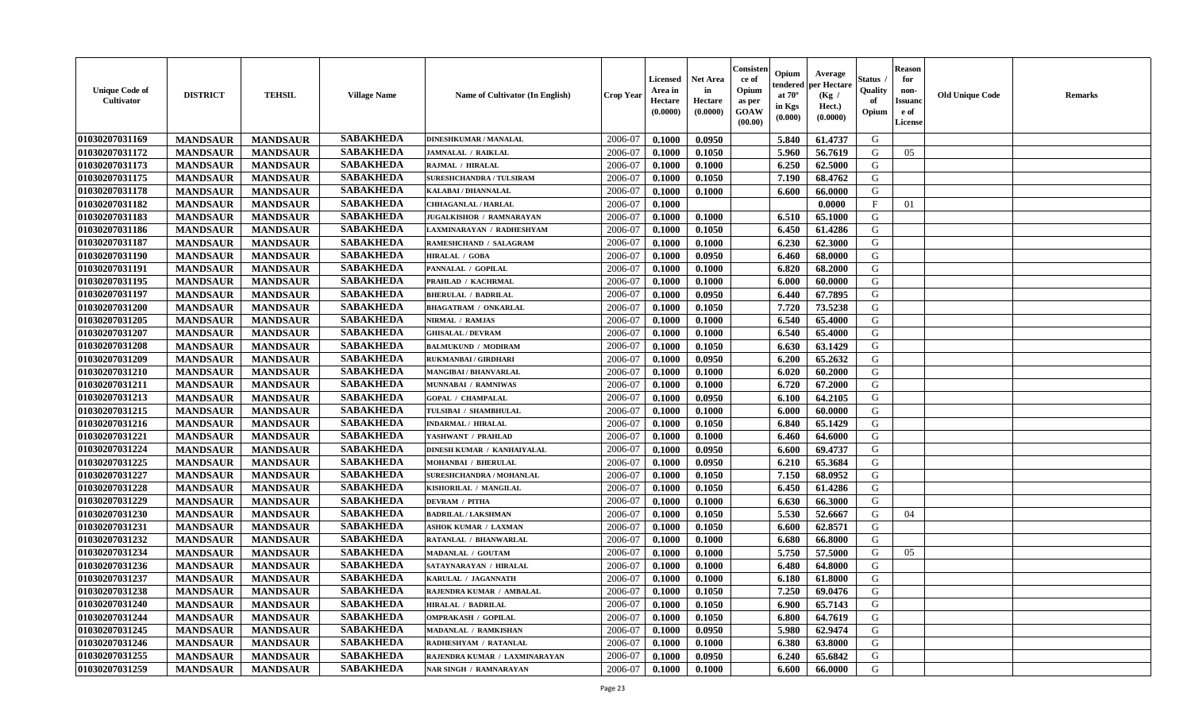| <b>Unique Code of</b><br><b>Cultivator</b> | <b>DISTRICT</b> | <b>TEHSIL</b>   | <b>Village Name</b> | Name of Cultivator (In English) | <b>Crop Year</b> | <b>Licensed</b><br>Area in<br>Hectare<br>(0.0000) | <b>Net Area</b><br>in<br>Hectare<br>(0.0000) | Consister<br>ce of<br>Opium<br>as per<br><b>GOAW</b><br>(00.00) | Opium<br>endered<br>at $70^{\circ}$<br>in Kgs<br>(0.000) | Average<br>per Hectare<br>(Kg /<br>Hect.)<br>(0.0000) | <b>Status</b><br>Quality<br>of<br>Opium | <b>Reason</b><br>for<br>non-<br><b>Issuand</b><br>e of<br>License | <b>Old Unique Code</b> | <b>Remarks</b> |
|--------------------------------------------|-----------------|-----------------|---------------------|---------------------------------|------------------|---------------------------------------------------|----------------------------------------------|-----------------------------------------------------------------|----------------------------------------------------------|-------------------------------------------------------|-----------------------------------------|-------------------------------------------------------------------|------------------------|----------------|
| 01030207031169                             | <b>MANDSAUR</b> | <b>MANDSAUR</b> | <b>SABAKHEDA</b>    | <b>DINESHKUMAR / MANALAL</b>    | 2006-07          | 0.1000                                            | 0.0950                                       |                                                                 | 5.840                                                    | 61.4737                                               | G                                       |                                                                   |                        |                |
| 01030207031172                             | <b>MANDSAUR</b> | <b>MANDSAUR</b> | <b>SABAKHEDA</b>    | <b>JAMNALAL / RAIKLAL</b>       | 2006-07          | 0.1000                                            | 0.1050                                       |                                                                 | 5.960                                                    | 56.7619                                               | G                                       | 05                                                                |                        |                |
| 01030207031173                             | <b>MANDSAUR</b> | <b>MANDSAUR</b> | <b>SABAKHEDA</b>    | RAJMAL / HIRALAL                | 2006-07          | 0.1000                                            | 0.1000                                       |                                                                 | 6.250                                                    | 62.5000                                               | G                                       |                                                                   |                        |                |
| 01030207031175                             | <b>MANDSAUR</b> | <b>MANDSAUR</b> | <b>SABAKHEDA</b>    | <b>SURESHCHANDRA / TULSIRAM</b> | 2006-07          | 0.1000                                            | 0.1050                                       |                                                                 | 7.190                                                    | 68.4762                                               | G                                       |                                                                   |                        |                |
| 01030207031178                             | <b>MANDSAUR</b> | <b>MANDSAUR</b> | <b>SABAKHEDA</b>    | KALABAI / DHANNALAL             | 2006-07          | 0.1000                                            | 0.1000                                       |                                                                 | 6.600                                                    | 66.0000                                               | G                                       |                                                                   |                        |                |
| 01030207031182                             | <b>MANDSAUR</b> | <b>MANDSAUR</b> | <b>SABAKHEDA</b>    | CHHAGANLAL / HARLAL             | 2006-07          | 0.1000                                            |                                              |                                                                 |                                                          | 0.0000                                                | $\mathbf{F}$                            | 01                                                                |                        |                |
| 01030207031183                             | <b>MANDSAUR</b> | <b>MANDSAUR</b> | <b>SABAKHEDA</b>    | <b>JUGALKISHOR / RAMNARAYAN</b> | 2006-07          | 0.1000                                            | 0.1000                                       |                                                                 | 6.510                                                    | 65.1000                                               | G                                       |                                                                   |                        |                |
| 01030207031186                             | <b>MANDSAUR</b> | <b>MANDSAUR</b> | <b>SABAKHEDA</b>    | LAXMINARAYAN / RADHESHYAM       | 2006-07          | 0.1000                                            | 0.1050                                       |                                                                 | 6.450                                                    | 61.4286                                               | G                                       |                                                                   |                        |                |
| 01030207031187                             | <b>MANDSAUR</b> | <b>MANDSAUR</b> | <b>SABAKHEDA</b>    | RAMESHCHAND / SALAGRAM          | 2006-07          | 0.1000                                            | 0.1000                                       |                                                                 | 6.230                                                    | 62.3000                                               | G                                       |                                                                   |                        |                |
| 01030207031190                             | <b>MANDSAUR</b> | <b>MANDSAUR</b> | <b>SABAKHEDA</b>    | <b>HIRALAL / GOBA</b>           | 2006-07          | 0.1000                                            | 0.0950                                       |                                                                 | 6.460                                                    | 68.0000                                               | G                                       |                                                                   |                        |                |
| 01030207031191                             | <b>MANDSAUR</b> | <b>MANDSAUR</b> | <b>SABAKHEDA</b>    | PANNALAL / GOPILAL              | 2006-07          | 0.1000                                            | 0.1000                                       |                                                                 | 6.820                                                    | 68.2000                                               | G                                       |                                                                   |                        |                |
| 01030207031195                             | <b>MANDSAUR</b> | <b>MANDSAUR</b> | <b>SABAKHEDA</b>    | PRAHLAD / KACHRMAL              | 2006-07          | 0.1000                                            | 0.1000                                       |                                                                 | 6.000                                                    | 60.0000                                               | G                                       |                                                                   |                        |                |
| 01030207031197                             | <b>MANDSAUR</b> | <b>MANDSAUR</b> | <b>SABAKHEDA</b>    | <b>BHERULAL / BADRILAL</b>      | 2006-07          | 0.1000                                            | 0.0950                                       |                                                                 | 6.440                                                    | 67.7895                                               | G                                       |                                                                   |                        |                |
| 01030207031200                             | <b>MANDSAUR</b> | <b>MANDSAUR</b> | <b>SABAKHEDA</b>    | <b>BHAGATRAM / ONKARLAL</b>     | 2006-07          | 0.1000                                            | 0.1050                                       |                                                                 | 7.720                                                    | 73.5238                                               | G                                       |                                                                   |                        |                |
| 01030207031205                             | <b>MANDSAUR</b> | <b>MANDSAUR</b> | <b>SABAKHEDA</b>    | NIRMAL / RAMJAS                 | 2006-07          | 0.1000                                            | 0.1000                                       |                                                                 | 6.540                                                    | 65.4000                                               | G                                       |                                                                   |                        |                |
| 01030207031207                             | <b>MANDSAUR</b> | <b>MANDSAUR</b> | <b>SABAKHEDA</b>    | <b>GHISALAL / DEVRAM</b>        | 2006-07          | 0.1000                                            | 0.1000                                       |                                                                 | 6.540                                                    | 65.4000                                               | G                                       |                                                                   |                        |                |
| 01030207031208                             | <b>MANDSAUR</b> | <b>MANDSAUR</b> | <b>SABAKHEDA</b>    | <b>BALMUKUND / MODIRAM</b>      | 2006-07          | 0.1000                                            | 0.1050                                       |                                                                 | 6.630                                                    | 63.1429                                               | G                                       |                                                                   |                        |                |
| 01030207031209                             | <b>MANDSAUR</b> | <b>MANDSAUR</b> | <b>SABAKHEDA</b>    | <b>RUKMANBAI / GIRDHARI</b>     | 2006-07          | 0.1000                                            | 0.0950                                       |                                                                 | 6.200                                                    | 65.2632                                               | G                                       |                                                                   |                        |                |
| 01030207031210                             | <b>MANDSAUR</b> | <b>MANDSAUR</b> | <b>SABAKHEDA</b>    | <b>MANGIBAI/BHANVARLAL</b>      | 2006-07          | 0.1000                                            | 0.1000                                       |                                                                 | 6.020                                                    | 60.2000                                               | G                                       |                                                                   |                        |                |
| 01030207031211                             | <b>MANDSAUR</b> | <b>MANDSAUR</b> | <b>SABAKHEDA</b>    | MUNNABAI / RAMNIWAS             | 2006-07          | 0.1000                                            | 0.1000                                       |                                                                 | 6.720                                                    | 67.2000                                               | G                                       |                                                                   |                        |                |
| 01030207031213                             | <b>MANDSAUR</b> | <b>MANDSAUR</b> | <b>SABAKHEDA</b>    | <b>GOPAL / CHAMPALAL</b>        | 2006-07          | 0.1000                                            | 0.0950                                       |                                                                 | 6.100                                                    | 64.2105                                               | G                                       |                                                                   |                        |                |
| 01030207031215                             | <b>MANDSAUR</b> | <b>MANDSAUR</b> | <b>SABAKHEDA</b>    | TULSIBAI / SHAMBHULAL           | 2006-07          | 0.1000                                            | 0.1000                                       |                                                                 | 6.000                                                    | 60.0000                                               | G                                       |                                                                   |                        |                |
| 01030207031216                             | <b>MANDSAUR</b> | <b>MANDSAUR</b> | <b>SABAKHEDA</b>    | <b>INDARMAL / HIRALAL</b>       | 2006-07          | 0.1000                                            | 0.1050                                       |                                                                 | 6.840                                                    | 65.1429                                               | G                                       |                                                                   |                        |                |
| 01030207031221                             | <b>MANDSAUR</b> | <b>MANDSAUR</b> | <b>SABAKHEDA</b>    | YASHWANT / PRAHLAD              | 2006-07          | 0.1000                                            | 0.1000                                       |                                                                 | 6.460                                                    | 64.6000                                               | G                                       |                                                                   |                        |                |
| 01030207031224                             | <b>MANDSAUR</b> | <b>MANDSAUR</b> | <b>SABAKHEDA</b>    | DINESH KUMAR / KANHAIYALAL      | 2006-07          | 0.1000                                            | 0.0950                                       |                                                                 | 6.600                                                    | 69.4737                                               | G                                       |                                                                   |                        |                |
| 01030207031225                             | <b>MANDSAUR</b> | <b>MANDSAUR</b> | <b>SABAKHEDA</b>    | <b>MOHANBAI / BHERULAL</b>      | 2006-07          | 0.1000                                            | 0.0950                                       |                                                                 | 6.210                                                    | 65.3684                                               | G                                       |                                                                   |                        |                |
| 01030207031227                             | <b>MANDSAUR</b> | <b>MANDSAUR</b> | <b>SABAKHEDA</b>    | SURESHCHANDRA / MOHANLAL        | 2006-07          | 0.1000                                            | 0.1050                                       |                                                                 | 7.150                                                    | 68.0952                                               | G                                       |                                                                   |                        |                |
| 01030207031228                             | <b>MANDSAUR</b> | <b>MANDSAUR</b> | <b>SABAKHEDA</b>    | KISHORILAL / MANGILAL           | 2006-07          | 0.1000                                            | 0.1050                                       |                                                                 | 6.450                                                    | 61.4286                                               | G                                       |                                                                   |                        |                |
| 01030207031229                             | <b>MANDSAUR</b> | <b>MANDSAUR</b> | <b>SABAKHEDA</b>    | <b>DEVRAM / PITHA</b>           | 2006-07          | 0.1000                                            | 0.1000                                       |                                                                 | 6.630                                                    | 66.3000                                               | G                                       |                                                                   |                        |                |
| 01030207031230                             | <b>MANDSAUR</b> | <b>MANDSAUR</b> | <b>SABAKHEDA</b>    | <b>BADRILAL / LAKSHMAN</b>      | 2006-07          | 0.1000                                            | 0.1050                                       |                                                                 | 5.530                                                    | 52.6667                                               | G                                       | 04                                                                |                        |                |
| 01030207031231                             | <b>MANDSAUR</b> | <b>MANDSAUR</b> | <b>SABAKHEDA</b>    | <b>ASHOK KUMAR / LAXMAN</b>     | 2006-07          | 0.1000                                            | 0.1050                                       |                                                                 | 6.600                                                    | 62.8571                                               | G                                       |                                                                   |                        |                |
| 01030207031232                             | <b>MANDSAUR</b> | <b>MANDSAUR</b> | <b>SABAKHEDA</b>    | RATANLAL / BHANWARLAL           | 2006-07          | 0.1000                                            | 0.1000                                       |                                                                 | 6.680                                                    | 66.8000                                               | G                                       |                                                                   |                        |                |
| 01030207031234                             | <b>MANDSAUR</b> | <b>MANDSAUR</b> | <b>SABAKHEDA</b>    | MADANLAL / GOUTAM               | 2006-07          | 0.1000                                            | 0.1000                                       |                                                                 | 5.750                                                    | 57.5000                                               | G                                       | 05                                                                |                        |                |
| 01030207031236                             | <b>MANDSAUR</b> | <b>MANDSAUR</b> | <b>SABAKHEDA</b>    | SATAYNARAYAN / HIRALAL          | 2006-07          | 0.1000                                            | 0.1000                                       |                                                                 | 6.480                                                    | 64.8000                                               | G                                       |                                                                   |                        |                |
| 01030207031237                             | <b>MANDSAUR</b> | <b>MANDSAUR</b> | <b>SABAKHEDA</b>    | KARULAL / JAGANNATH             | 2006-07          | 0.1000                                            | 0.1000                                       |                                                                 | 6.180                                                    | 61.8000                                               | G                                       |                                                                   |                        |                |
| 01030207031238                             | <b>MANDSAUR</b> | MANDSAUR        | <b>SABAKHEDA</b>    | RAJENDRA KUMAR / AMBALAL        | 2006-07          | 0.1000                                            | 0.1050                                       |                                                                 | 7.250                                                    | 69.0476                                               | G                                       |                                                                   |                        |                |
| 01030207031240                             | <b>MANDSAUR</b> | <b>MANDSAUR</b> | <b>SABAKHEDA</b>    | <b>HIRALAL / BADRILAL</b>       | 2006-07          | 0.1000                                            | 0.1050                                       |                                                                 | 6.900                                                    | 65.7143                                               | G                                       |                                                                   |                        |                |
| 01030207031244                             | <b>MANDSAUR</b> | <b>MANDSAUR</b> | <b>SABAKHEDA</b>    | <b>OMPRAKASH / GOPILAL</b>      | 2006-07          | 0.1000                                            | 0.1050                                       |                                                                 | 6.800                                                    | 64.7619                                               | G                                       |                                                                   |                        |                |
| 01030207031245                             | <b>MANDSAUR</b> | <b>MANDSAUR</b> | <b>SABAKHEDA</b>    | MADANLAL / RAMKISHAN            | 2006-07          | 0.1000                                            | 0.0950                                       |                                                                 | 5.980                                                    | 62.9474                                               | G                                       |                                                                   |                        |                |
| 01030207031246                             | <b>MANDSAUR</b> | <b>MANDSAUR</b> | <b>SABAKHEDA</b>    | RADHESHYAM / RATANLAL           | 2006-07          | 0.1000                                            | 0.1000                                       |                                                                 | 6.380                                                    | 63.8000                                               | G                                       |                                                                   |                        |                |
| 01030207031255                             | <b>MANDSAUR</b> | <b>MANDSAUR</b> | <b>SABAKHEDA</b>    | RAJENDRA KUMAR / LAXMINARAYAN   | 2006-07          | 0.1000                                            | 0.0950                                       |                                                                 | 6.240                                                    | 65.6842                                               | G                                       |                                                                   |                        |                |
| 01030207031259                             | <b>MANDSAUR</b> | <b>MANDSAUR</b> | <b>SABAKHEDA</b>    | <b>NAR SINGH / RAMNARAYAN</b>   | 2006-07          | 0.1000                                            | 0.1000                                       |                                                                 | 6.600                                                    | 66.0000                                               | G                                       |                                                                   |                        |                |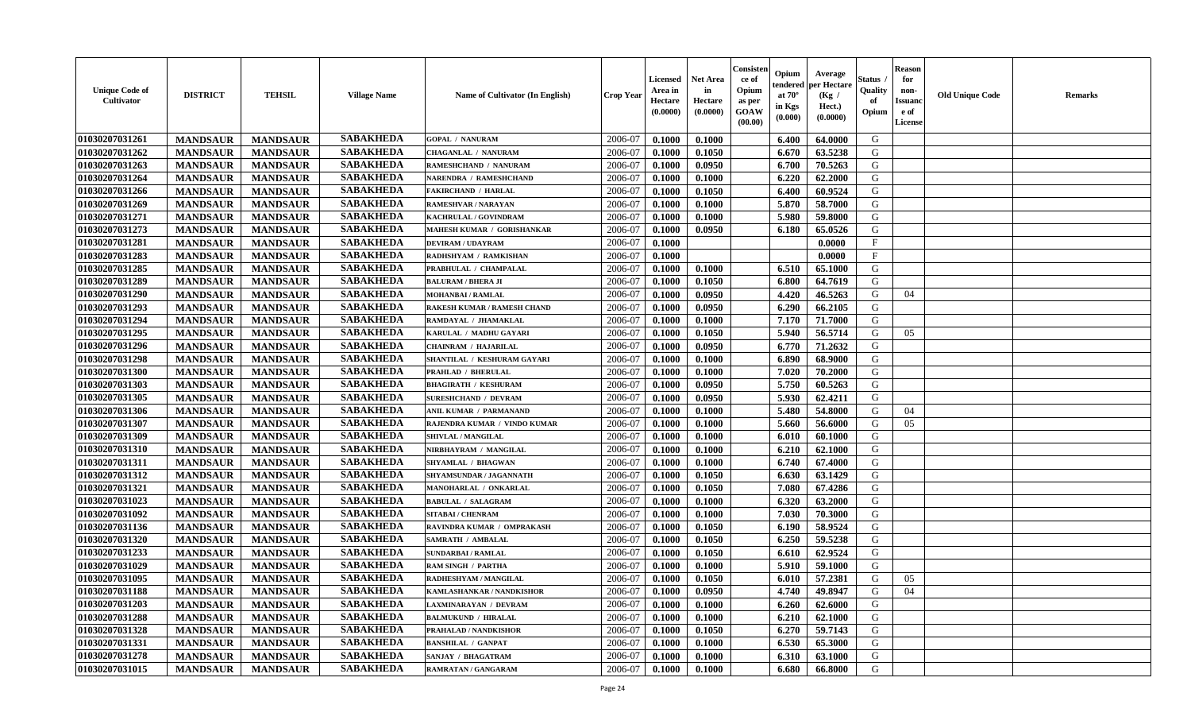| 01030207031261<br>2006-07<br>G<br>0.1000<br>0.1000<br>64.0000<br><b>MANDSAUR</b><br><b>MANDSAUR</b><br><b>GOPAL / NANURAM</b><br>6.400<br><b>SABAKHEDA</b><br>01030207031262<br><b>MANDSAUR</b><br>2006-07<br>63.5238<br>G<br><b>MANDSAUR</b><br>0.1000<br>0.1050<br>6.670<br><b>CHAGANLAL / NANURAM</b><br><b>SABAKHEDA</b><br>01030207031263<br><b>MANDSAUR</b><br><b>MANDSAUR</b><br>0.0950<br>6.700<br>70.5263<br>G<br>RAMESHCHAND / NANURAM<br>2006-07<br>0.1000<br><b>SABAKHEDA</b><br>01030207031264<br>G<br><b>MANDSAUR</b><br><b>MANDSAUR</b><br>2006-07<br>0.1000<br>0.1000<br>6.220<br>62.2000<br>NARENDRA / RAMESHCHAND<br><b>SABAKHEDA</b><br>01030207031266<br><b>MANDSAUR</b><br><b>MANDSAUR</b><br>2006-07<br>0.1000<br>0.1050<br>6.400<br>60.9524<br>G<br><b>FAKIRCHAND / HARLAL</b><br><b>SABAKHEDA</b><br>01030207031269<br><b>MANDSAUR</b><br><b>MANDSAUR</b><br>0.1000<br>5.870<br>58.7000<br>G<br><b>RAMESHVAR / NARAYAN</b><br>2006-07<br>0.1000<br><b>SABAKHEDA</b><br>01030207031271<br><b>MANDSAUR</b><br><b>MANDSAUR</b><br>0.1000<br>5.980<br>59.8000<br>G<br>KACHRULAL / GOVINDRAM<br>2006-07<br>0.1000<br><b>SABAKHEDA</b><br>01030207031273<br>G<br><b>MANDSAUR</b><br><b>MANDSAUR</b><br>2006-07<br>0.0950<br>MAHESH KUMAR / GORISHANKAR<br>0.1000<br>6.180<br>65.0526<br>01030207031281<br><b>SABAKHEDA</b><br><b>MANDSAUR</b><br><b>MANDSAUR</b><br>2006-07<br>F<br><b>DEVIRAM / UDAYRAM</b><br>0.1000<br>0.0000<br><b>SABAKHEDA</b><br>$\mathbf{F}$<br>01030207031283<br>2006-07<br><b>MANDSAUR</b><br>0.1000<br>0.0000<br><b>MANDSAUR</b><br>RADHSHYAM / RAMKISHAN<br><b>SABAKHEDA</b><br>01030207031285<br><b>MANDSAUR</b><br><b>MANDSAUR</b><br>6.510<br>G<br>2006-07<br>0.1000<br>0.1000<br>65.1000<br>PRABHULAL / CHAMPALAL<br><b>SABAKHEDA</b><br>01030207031289<br><b>MANDSAUR</b><br>0.1050<br>64.7619<br>G<br><b>MANDSAUR</b><br><b>BALURAM / BHERA JI</b><br>2006-07<br>0.1000<br>6.800<br><b>SABAKHEDA</b><br>01030207031290<br><b>MANDSAUR</b><br>4.420<br>46.5263<br><b>MANDSAUR</b><br><b>MOHANBAI/RAMLAL</b><br>2006-07<br>0.1000<br>0.0950<br>G<br>04<br><b>SABAKHEDA</b><br>01030207031293<br><b>MANDSAUR</b><br><b>MANDSAUR</b><br>0.0950<br>6.290<br>66.2105<br>G<br>RAKESH KUMAR / RAMESH CHAND<br>2006-07<br>0.1000<br><b>SABAKHEDA</b><br>01030207031294<br><b>MANDSAUR</b><br>7.170<br>G<br><b>MANDSAUR</b><br>RAMDAYAL / JHAMAKLAL<br>2006-07<br>0.1000<br>0.1000<br>71.7000<br><b>SABAKHEDA</b><br>5.940<br>56.5714<br>G<br>01030207031295<br><b>MANDSAUR</b><br><b>MANDSAUR</b><br>2006-07<br>0.1000<br>0.1050<br>05<br>KARULAL / MADHU GAYARI<br><b>SABAKHEDA</b><br>01030207031296<br><b>MANDSAUR</b><br>G<br><b>MANDSAUR</b><br>2006-07<br>0.0950<br>6.770<br>71.2632<br>CHAINRAM / HAJARILAL<br>0.1000<br>01030207031298<br><b>SABAKHEDA</b><br>G<br><b>MANDSAUR</b><br><b>MANDSAUR</b><br>2006-07<br>0.1000<br>0.1000<br>6.890<br>68.9000<br>SHANTILAL / KESHURAM GAYARI<br><b>SABAKHEDA</b><br>01030207031300<br><b>MANDSAUR</b><br>7.020<br>G<br><b>MANDSAUR</b><br><b>PRAHLAD / BHERULAL</b><br>2006-07<br>0.1000<br>0.1000<br>70.2000<br><b>SABAKHEDA</b><br>01030207031303<br><b>MANDSAUR</b><br><b>MANDSAUR</b><br>0.0950<br>5.750<br>60.5263<br><b>BHAGIRATH / KESHURAM</b><br>2006-07<br>0.1000<br>G<br><b>SABAKHEDA</b><br>01030207031305<br>0.0950<br>5.930<br>62.4211<br>G<br><b>MANDSAUR</b><br><b>MANDSAUR</b><br>2006-07<br>0.1000<br><b>SURESHCHAND / DEVRAM</b><br><b>SABAKHEDA</b><br><b>MANDSAUR</b><br><b>MANDSAUR</b><br>5.480<br>G<br>01030207031306<br>2006-07<br>0.1000<br>0.1000<br>54.8000<br>ANIL KUMAR / PARMANAND<br>04<br><b>SABAKHEDA</b><br>01030207031307<br><b>MANDSAUR</b><br><b>MANDSAUR</b><br>RAJENDRA KUMAR / VINDO KUMAR<br>2006-07<br>0.1000<br>0.1000<br>5.660<br>56.6000<br>G<br>05<br><b>SABAKHEDA</b><br>01030207031309<br><b>MANDSAUR</b><br>2006-07<br>G<br><b>MANDSAUR</b><br>0.1000<br>0.1000<br>60.1000<br>SHIVLAL / MANGILAL<br>6.010<br>01030207031310<br><b>SABAKHEDA</b><br>G<br><b>MANDSAUR</b><br><b>MANDSAUR</b><br>2006-07<br>6.210<br>NIRBHAYRAM / MANGILAL<br>0.1000<br>0.1000<br>62.1000<br>01030207031311<br><b>SABAKHEDA</b><br>G<br><b>MANDSAUR</b><br>2006-07<br>6.740<br><b>MANDSAUR</b><br><b>SHYAMLAL / BHAGWAN</b><br>0.1000<br>0.1000<br>67.4000<br><b>SABAKHEDA</b><br>01030207031312<br><b>MANDSAUR</b><br><b>MANDSAUR</b><br>2006-07<br>0.1000<br>0.1050<br>6.630<br>63.1429<br>G<br>SHYAMSUNDAR / JAGANNATH<br><b>SABAKHEDA</b><br>G<br>01030207031321<br><b>MANDSAUR</b><br><b>MANDSAUR</b><br>0.1050<br>7.080<br>67.4286<br>MANOHARLAL / ONKARLAL<br>2006-07<br>0.1000<br><b>SABAKHEDA</b><br>01030207031023<br><b>MANDSAUR</b><br><b>MANDSAUR</b><br>2006-07<br>0.1000<br>6.320<br>63.2000<br>G<br><b>BABULAL / SALAGRAM</b><br>0.1000<br><b>SABAKHEDA</b><br>01030207031092<br><b>MANDSAUR</b><br><b>MANDSAUR</b><br>7.030<br>G<br><b>SITABAI / CHENRAM</b><br>2006-07<br>0.1000<br>0.1000<br>70.3000<br><b>SABAKHEDA</b><br>01030207031136<br><b>MANDSAUR</b><br><b>MANDSAUR</b><br>58.9524<br>RAVINDRA KUMAR / OMPRAKASH<br>2006-07<br>0.1000<br>0.1050<br>6.190<br>G<br>01030207031320<br><b>SABAKHEDA</b><br>G<br>2006-07<br><b>MANDSAUR</b><br><b>MANDSAUR</b><br>0.1050<br>6.250<br>59.5238<br>SAMRATH / AMBALAL<br>0.1000<br><b>SABAKHEDA</b><br>01030207031233<br>G<br>2006-07<br><b>MANDSAUR</b><br><b>MANDSAUR</b><br>0.1000<br>0.1050<br>6.610<br>62.9524<br><b>SUNDARBAI/RAMLAL</b><br><b>SABAKHEDA</b><br>01030207031029<br><b>MANDSAUR</b><br>2006-07<br>0.1000<br>G<br><b>MANDSAUR</b><br>0.1000<br>5.910<br>59.1000<br><b>RAM SINGH / PARTHA</b><br><b>SABAKHEDA</b><br>01030207031095<br>0.1050<br>57.2381<br>G<br><b>MANDSAUR</b><br><b>MANDSAUR</b><br>2006-07<br>0.1000<br>05<br>RADHESHYAM / MANGILAL<br>6.010<br> 01030207031188<br><b>SABAKHEDA</b><br>0.0950<br><b>MANDSAUR</b><br><b>MANDSAUR</b><br>KAMLASHANKAR / NANDKISHOR<br>2006-07<br>0.1000<br>$4.740$  <br>49.8947<br>G<br>04<br><b>SABAKHEDA</b><br>01030207031203<br><b>MANDSAUR</b><br><b>MANDSAUR</b><br>2006-07<br>0.1000<br>0.1000<br>6.260<br>62.6000<br>G<br><b>LAXMINARAYAN / DEVRAM</b><br><b>SABAKHEDA</b><br>01030207031288<br><b>MANDSAUR</b><br><b>MANDSAUR</b><br><b>BALMUKUND / HIRALAL</b><br>2006-07<br>0.1000<br>0.1000<br>6.210<br>62.1000<br>G<br>01030207031328<br><b>SABAKHEDA</b><br><b>MANDSAUR</b><br><b>MANDSAUR</b><br>0.1050<br>6.270<br>G<br>2006-07<br>0.1000<br>59.7143<br>PRAHALAD / NANDKISHOR<br>01030207031331<br><b>SABAKHEDA</b><br>G<br><b>MANDSAUR</b><br><b>MANDSAUR</b><br>2006-07<br>0.1000<br>6.530<br>65.3000<br><b>BANSHILAL / GANPAT</b><br>0.1000<br>01030207031278<br><b>SABAKHEDA</b><br>2006-07<br>G<br><b>MANDSAUR</b><br><b>MANDSAUR</b><br>SANJAY / BHAGATRAM<br>0.1000<br>6.310<br>0.1000<br>63.1000<br>01030207031015<br><b>SABAKHEDA</b><br>G<br><b>MANDSAUR</b><br>2006-07<br><b>MANDSAUR</b><br>RAMRATAN / GANGARAM<br>0.1000<br>0.1000<br>6.680<br>66.8000 | <b>Unique Code of</b><br><b>Cultivator</b> | <b>DISTRICT</b> | <b>TEHSIL</b> | <b>Village Name</b> | Name of Cultivator (In English) | <b>Crop Year</b> | <b>Licensed</b><br>Area in<br>Hectare<br>(0.0000) | <b>Net Area</b><br>in<br>Hectare<br>(0.0000) | Consisteı<br>ce of<br>Opium<br>as per<br><b>GOAW</b><br>(00.00) | Opium<br>endered<br>at $70^\circ$<br>in Kgs<br>$(\mathbf{0.000})$ | Average<br>per Hectare<br>(Kg /<br>Hect.)<br>(0.0000) | Status<br>Quality<br>of<br>Opium | Reason<br>for<br>non-<br>Issuan<br>e of<br>License | <b>Old Unique Code</b> | <b>Remarks</b> |
|---------------------------------------------------------------------------------------------------------------------------------------------------------------------------------------------------------------------------------------------------------------------------------------------------------------------------------------------------------------------------------------------------------------------------------------------------------------------------------------------------------------------------------------------------------------------------------------------------------------------------------------------------------------------------------------------------------------------------------------------------------------------------------------------------------------------------------------------------------------------------------------------------------------------------------------------------------------------------------------------------------------------------------------------------------------------------------------------------------------------------------------------------------------------------------------------------------------------------------------------------------------------------------------------------------------------------------------------------------------------------------------------------------------------------------------------------------------------------------------------------------------------------------------------------------------------------------------------------------------------------------------------------------------------------------------------------------------------------------------------------------------------------------------------------------------------------------------------------------------------------------------------------------------------------------------------------------------------------------------------------------------------------------------------------------------------------------------------------------------------------------------------------------------------------------------------------------------------------------------------------------------------------------------------------------------------------------------------------------------------------------------------------------------------------------------------------------------------------------------------------------------------------------------------------------------------------------------------------------------------------------------------------------------------------------------------------------------------------------------------------------------------------------------------------------------------------------------------------------------------------------------------------------------------------------------------------------------------------------------------------------------------------------------------------------------------------------------------------------------------------------------------------------------------------------------------------------------------------------------------------------------------------------------------------------------------------------------------------------------------------------------------------------------------------------------------------------------------------------------------------------------------------------------------------------------------------------------------------------------------------------------------------------------------------------------------------------------------------------------------------------------------------------------------------------------------------------------------------------------------------------------------------------------------------------------------------------------------------------------------------------------------------------------------------------------------------------------------------------------------------------------------------------------------------------------------------------------------------------------------------------------------------------------------------------------------------------------------------------------------------------------------------------------------------------------------------------------------------------------------------------------------------------------------------------------------------------------------------------------------------------------------------------------------------------------------------------------------------------------------------------------------------------------------------------------------------------------------------------------------------------------------------------------------------------------------------------------------------------------------------------------------------------------------------------------------------------------------------------------------------------------------------------------------------------------------------------------------------------------------------------------------------------------------------------------------------------------------------------------------------------------------------------------------------------------------------------------------------------------------------------------------------------------------------------------------------------------------------------------------------------------------------------------------------------------------------------------------------------------------------------------------------------------------------------------------------------------------------------------------------------------------------------------------------------------------------------------------------------------------------------------------------------------------------------------------------------------------------------------------------------------------------------------------------------------------------------------------------------------------------------------------------------------------------------------------------------------------------------------------------------------------------------------------------------------------------------------------------------------------------------------------------------------------------------------------------------------------------------------------------------------------------------------------------------------------------------------------------------------------------------------------------------------------------------------------------------------------------------------------------------------------------------------------------------------------------------|--------------------------------------------|-----------------|---------------|---------------------|---------------------------------|------------------|---------------------------------------------------|----------------------------------------------|-----------------------------------------------------------------|-------------------------------------------------------------------|-------------------------------------------------------|----------------------------------|----------------------------------------------------|------------------------|----------------|
|                                                                                                                                                                                                                                                                                                                                                                                                                                                                                                                                                                                                                                                                                                                                                                                                                                                                                                                                                                                                                                                                                                                                                                                                                                                                                                                                                                                                                                                                                                                                                                                                                                                                                                                                                                                                                                                                                                                                                                                                                                                                                                                                                                                                                                                                                                                                                                                                                                                                                                                                                                                                                                                                                                                                                                                                                                                                                                                                                                                                                                                                                                                                                                                                                                                                                                                                                                                                                                                                                                                                                                                                                                                                                                                                                                                                                                                                                                                                                                                                                                                                                                                                                                                                                                                                                                                                                                                                                                                                                                                                                                                                                                                                                                                                                                                                                                                                                                                                                                                                                                                                                                                                                                                                                                                                                                                                                                                                                                                                                                                                                                                                                                                                                                                                                                                                                                                                                                                                                                                                                                                                                                                                                                                                                                                                                                                                                                                                                                                                                                                                                                                                                                                                                                                                                                                                                                                                                                                                                         |                                            |                 |               | <b>SABAKHEDA</b>    |                                 |                  |                                                   |                                              |                                                                 |                                                                   |                                                       |                                  |                                                    |                        |                |
|                                                                                                                                                                                                                                                                                                                                                                                                                                                                                                                                                                                                                                                                                                                                                                                                                                                                                                                                                                                                                                                                                                                                                                                                                                                                                                                                                                                                                                                                                                                                                                                                                                                                                                                                                                                                                                                                                                                                                                                                                                                                                                                                                                                                                                                                                                                                                                                                                                                                                                                                                                                                                                                                                                                                                                                                                                                                                                                                                                                                                                                                                                                                                                                                                                                                                                                                                                                                                                                                                                                                                                                                                                                                                                                                                                                                                                                                                                                                                                                                                                                                                                                                                                                                                                                                                                                                                                                                                                                                                                                                                                                                                                                                                                                                                                                                                                                                                                                                                                                                                                                                                                                                                                                                                                                                                                                                                                                                                                                                                                                                                                                                                                                                                                                                                                                                                                                                                                                                                                                                                                                                                                                                                                                                                                                                                                                                                                                                                                                                                                                                                                                                                                                                                                                                                                                                                                                                                                                                                         |                                            |                 |               |                     |                                 |                  |                                                   |                                              |                                                                 |                                                                   |                                                       |                                  |                                                    |                        |                |
|                                                                                                                                                                                                                                                                                                                                                                                                                                                                                                                                                                                                                                                                                                                                                                                                                                                                                                                                                                                                                                                                                                                                                                                                                                                                                                                                                                                                                                                                                                                                                                                                                                                                                                                                                                                                                                                                                                                                                                                                                                                                                                                                                                                                                                                                                                                                                                                                                                                                                                                                                                                                                                                                                                                                                                                                                                                                                                                                                                                                                                                                                                                                                                                                                                                                                                                                                                                                                                                                                                                                                                                                                                                                                                                                                                                                                                                                                                                                                                                                                                                                                                                                                                                                                                                                                                                                                                                                                                                                                                                                                                                                                                                                                                                                                                                                                                                                                                                                                                                                                                                                                                                                                                                                                                                                                                                                                                                                                                                                                                                                                                                                                                                                                                                                                                                                                                                                                                                                                                                                                                                                                                                                                                                                                                                                                                                                                                                                                                                                                                                                                                                                                                                                                                                                                                                                                                                                                                                                                         |                                            |                 |               |                     |                                 |                  |                                                   |                                              |                                                                 |                                                                   |                                                       |                                  |                                                    |                        |                |
|                                                                                                                                                                                                                                                                                                                                                                                                                                                                                                                                                                                                                                                                                                                                                                                                                                                                                                                                                                                                                                                                                                                                                                                                                                                                                                                                                                                                                                                                                                                                                                                                                                                                                                                                                                                                                                                                                                                                                                                                                                                                                                                                                                                                                                                                                                                                                                                                                                                                                                                                                                                                                                                                                                                                                                                                                                                                                                                                                                                                                                                                                                                                                                                                                                                                                                                                                                                                                                                                                                                                                                                                                                                                                                                                                                                                                                                                                                                                                                                                                                                                                                                                                                                                                                                                                                                                                                                                                                                                                                                                                                                                                                                                                                                                                                                                                                                                                                                                                                                                                                                                                                                                                                                                                                                                                                                                                                                                                                                                                                                                                                                                                                                                                                                                                                                                                                                                                                                                                                                                                                                                                                                                                                                                                                                                                                                                                                                                                                                                                                                                                                                                                                                                                                                                                                                                                                                                                                                                                         |                                            |                 |               |                     |                                 |                  |                                                   |                                              |                                                                 |                                                                   |                                                       |                                  |                                                    |                        |                |
|                                                                                                                                                                                                                                                                                                                                                                                                                                                                                                                                                                                                                                                                                                                                                                                                                                                                                                                                                                                                                                                                                                                                                                                                                                                                                                                                                                                                                                                                                                                                                                                                                                                                                                                                                                                                                                                                                                                                                                                                                                                                                                                                                                                                                                                                                                                                                                                                                                                                                                                                                                                                                                                                                                                                                                                                                                                                                                                                                                                                                                                                                                                                                                                                                                                                                                                                                                                                                                                                                                                                                                                                                                                                                                                                                                                                                                                                                                                                                                                                                                                                                                                                                                                                                                                                                                                                                                                                                                                                                                                                                                                                                                                                                                                                                                                                                                                                                                                                                                                                                                                                                                                                                                                                                                                                                                                                                                                                                                                                                                                                                                                                                                                                                                                                                                                                                                                                                                                                                                                                                                                                                                                                                                                                                                                                                                                                                                                                                                                                                                                                                                                                                                                                                                                                                                                                                                                                                                                                                         |                                            |                 |               |                     |                                 |                  |                                                   |                                              |                                                                 |                                                                   |                                                       |                                  |                                                    |                        |                |
|                                                                                                                                                                                                                                                                                                                                                                                                                                                                                                                                                                                                                                                                                                                                                                                                                                                                                                                                                                                                                                                                                                                                                                                                                                                                                                                                                                                                                                                                                                                                                                                                                                                                                                                                                                                                                                                                                                                                                                                                                                                                                                                                                                                                                                                                                                                                                                                                                                                                                                                                                                                                                                                                                                                                                                                                                                                                                                                                                                                                                                                                                                                                                                                                                                                                                                                                                                                                                                                                                                                                                                                                                                                                                                                                                                                                                                                                                                                                                                                                                                                                                                                                                                                                                                                                                                                                                                                                                                                                                                                                                                                                                                                                                                                                                                                                                                                                                                                                                                                                                                                                                                                                                                                                                                                                                                                                                                                                                                                                                                                                                                                                                                                                                                                                                                                                                                                                                                                                                                                                                                                                                                                                                                                                                                                                                                                                                                                                                                                                                                                                                                                                                                                                                                                                                                                                                                                                                                                                                         |                                            |                 |               |                     |                                 |                  |                                                   |                                              |                                                                 |                                                                   |                                                       |                                  |                                                    |                        |                |
|                                                                                                                                                                                                                                                                                                                                                                                                                                                                                                                                                                                                                                                                                                                                                                                                                                                                                                                                                                                                                                                                                                                                                                                                                                                                                                                                                                                                                                                                                                                                                                                                                                                                                                                                                                                                                                                                                                                                                                                                                                                                                                                                                                                                                                                                                                                                                                                                                                                                                                                                                                                                                                                                                                                                                                                                                                                                                                                                                                                                                                                                                                                                                                                                                                                                                                                                                                                                                                                                                                                                                                                                                                                                                                                                                                                                                                                                                                                                                                                                                                                                                                                                                                                                                                                                                                                                                                                                                                                                                                                                                                                                                                                                                                                                                                                                                                                                                                                                                                                                                                                                                                                                                                                                                                                                                                                                                                                                                                                                                                                                                                                                                                                                                                                                                                                                                                                                                                                                                                                                                                                                                                                                                                                                                                                                                                                                                                                                                                                                                                                                                                                                                                                                                                                                                                                                                                                                                                                                                         |                                            |                 |               |                     |                                 |                  |                                                   |                                              |                                                                 |                                                                   |                                                       |                                  |                                                    |                        |                |
|                                                                                                                                                                                                                                                                                                                                                                                                                                                                                                                                                                                                                                                                                                                                                                                                                                                                                                                                                                                                                                                                                                                                                                                                                                                                                                                                                                                                                                                                                                                                                                                                                                                                                                                                                                                                                                                                                                                                                                                                                                                                                                                                                                                                                                                                                                                                                                                                                                                                                                                                                                                                                                                                                                                                                                                                                                                                                                                                                                                                                                                                                                                                                                                                                                                                                                                                                                                                                                                                                                                                                                                                                                                                                                                                                                                                                                                                                                                                                                                                                                                                                                                                                                                                                                                                                                                                                                                                                                                                                                                                                                                                                                                                                                                                                                                                                                                                                                                                                                                                                                                                                                                                                                                                                                                                                                                                                                                                                                                                                                                                                                                                                                                                                                                                                                                                                                                                                                                                                                                                                                                                                                                                                                                                                                                                                                                                                                                                                                                                                                                                                                                                                                                                                                                                                                                                                                                                                                                                                         |                                            |                 |               |                     |                                 |                  |                                                   |                                              |                                                                 |                                                                   |                                                       |                                  |                                                    |                        |                |
|                                                                                                                                                                                                                                                                                                                                                                                                                                                                                                                                                                                                                                                                                                                                                                                                                                                                                                                                                                                                                                                                                                                                                                                                                                                                                                                                                                                                                                                                                                                                                                                                                                                                                                                                                                                                                                                                                                                                                                                                                                                                                                                                                                                                                                                                                                                                                                                                                                                                                                                                                                                                                                                                                                                                                                                                                                                                                                                                                                                                                                                                                                                                                                                                                                                                                                                                                                                                                                                                                                                                                                                                                                                                                                                                                                                                                                                                                                                                                                                                                                                                                                                                                                                                                                                                                                                                                                                                                                                                                                                                                                                                                                                                                                                                                                                                                                                                                                                                                                                                                                                                                                                                                                                                                                                                                                                                                                                                                                                                                                                                                                                                                                                                                                                                                                                                                                                                                                                                                                                                                                                                                                                                                                                                                                                                                                                                                                                                                                                                                                                                                                                                                                                                                                                                                                                                                                                                                                                                                         |                                            |                 |               |                     |                                 |                  |                                                   |                                              |                                                                 |                                                                   |                                                       |                                  |                                                    |                        |                |
|                                                                                                                                                                                                                                                                                                                                                                                                                                                                                                                                                                                                                                                                                                                                                                                                                                                                                                                                                                                                                                                                                                                                                                                                                                                                                                                                                                                                                                                                                                                                                                                                                                                                                                                                                                                                                                                                                                                                                                                                                                                                                                                                                                                                                                                                                                                                                                                                                                                                                                                                                                                                                                                                                                                                                                                                                                                                                                                                                                                                                                                                                                                                                                                                                                                                                                                                                                                                                                                                                                                                                                                                                                                                                                                                                                                                                                                                                                                                                                                                                                                                                                                                                                                                                                                                                                                                                                                                                                                                                                                                                                                                                                                                                                                                                                                                                                                                                                                                                                                                                                                                                                                                                                                                                                                                                                                                                                                                                                                                                                                                                                                                                                                                                                                                                                                                                                                                                                                                                                                                                                                                                                                                                                                                                                                                                                                                                                                                                                                                                                                                                                                                                                                                                                                                                                                                                                                                                                                                                         |                                            |                 |               |                     |                                 |                  |                                                   |                                              |                                                                 |                                                                   |                                                       |                                  |                                                    |                        |                |
|                                                                                                                                                                                                                                                                                                                                                                                                                                                                                                                                                                                                                                                                                                                                                                                                                                                                                                                                                                                                                                                                                                                                                                                                                                                                                                                                                                                                                                                                                                                                                                                                                                                                                                                                                                                                                                                                                                                                                                                                                                                                                                                                                                                                                                                                                                                                                                                                                                                                                                                                                                                                                                                                                                                                                                                                                                                                                                                                                                                                                                                                                                                                                                                                                                                                                                                                                                                                                                                                                                                                                                                                                                                                                                                                                                                                                                                                                                                                                                                                                                                                                                                                                                                                                                                                                                                                                                                                                                                                                                                                                                                                                                                                                                                                                                                                                                                                                                                                                                                                                                                                                                                                                                                                                                                                                                                                                                                                                                                                                                                                                                                                                                                                                                                                                                                                                                                                                                                                                                                                                                                                                                                                                                                                                                                                                                                                                                                                                                                                                                                                                                                                                                                                                                                                                                                                                                                                                                                                                         |                                            |                 |               |                     |                                 |                  |                                                   |                                              |                                                                 |                                                                   |                                                       |                                  |                                                    |                        |                |
|                                                                                                                                                                                                                                                                                                                                                                                                                                                                                                                                                                                                                                                                                                                                                                                                                                                                                                                                                                                                                                                                                                                                                                                                                                                                                                                                                                                                                                                                                                                                                                                                                                                                                                                                                                                                                                                                                                                                                                                                                                                                                                                                                                                                                                                                                                                                                                                                                                                                                                                                                                                                                                                                                                                                                                                                                                                                                                                                                                                                                                                                                                                                                                                                                                                                                                                                                                                                                                                                                                                                                                                                                                                                                                                                                                                                                                                                                                                                                                                                                                                                                                                                                                                                                                                                                                                                                                                                                                                                                                                                                                                                                                                                                                                                                                                                                                                                                                                                                                                                                                                                                                                                                                                                                                                                                                                                                                                                                                                                                                                                                                                                                                                                                                                                                                                                                                                                                                                                                                                                                                                                                                                                                                                                                                                                                                                                                                                                                                                                                                                                                                                                                                                                                                                                                                                                                                                                                                                                                         |                                            |                 |               |                     |                                 |                  |                                                   |                                              |                                                                 |                                                                   |                                                       |                                  |                                                    |                        |                |
|                                                                                                                                                                                                                                                                                                                                                                                                                                                                                                                                                                                                                                                                                                                                                                                                                                                                                                                                                                                                                                                                                                                                                                                                                                                                                                                                                                                                                                                                                                                                                                                                                                                                                                                                                                                                                                                                                                                                                                                                                                                                                                                                                                                                                                                                                                                                                                                                                                                                                                                                                                                                                                                                                                                                                                                                                                                                                                                                                                                                                                                                                                                                                                                                                                                                                                                                                                                                                                                                                                                                                                                                                                                                                                                                                                                                                                                                                                                                                                                                                                                                                                                                                                                                                                                                                                                                                                                                                                                                                                                                                                                                                                                                                                                                                                                                                                                                                                                                                                                                                                                                                                                                                                                                                                                                                                                                                                                                                                                                                                                                                                                                                                                                                                                                                                                                                                                                                                                                                                                                                                                                                                                                                                                                                                                                                                                                                                                                                                                                                                                                                                                                                                                                                                                                                                                                                                                                                                                                                         |                                            |                 |               |                     |                                 |                  |                                                   |                                              |                                                                 |                                                                   |                                                       |                                  |                                                    |                        |                |
|                                                                                                                                                                                                                                                                                                                                                                                                                                                                                                                                                                                                                                                                                                                                                                                                                                                                                                                                                                                                                                                                                                                                                                                                                                                                                                                                                                                                                                                                                                                                                                                                                                                                                                                                                                                                                                                                                                                                                                                                                                                                                                                                                                                                                                                                                                                                                                                                                                                                                                                                                                                                                                                                                                                                                                                                                                                                                                                                                                                                                                                                                                                                                                                                                                                                                                                                                                                                                                                                                                                                                                                                                                                                                                                                                                                                                                                                                                                                                                                                                                                                                                                                                                                                                                                                                                                                                                                                                                                                                                                                                                                                                                                                                                                                                                                                                                                                                                                                                                                                                                                                                                                                                                                                                                                                                                                                                                                                                                                                                                                                                                                                                                                                                                                                                                                                                                                                                                                                                                                                                                                                                                                                                                                                                                                                                                                                                                                                                                                                                                                                                                                                                                                                                                                                                                                                                                                                                                                                                         |                                            |                 |               |                     |                                 |                  |                                                   |                                              |                                                                 |                                                                   |                                                       |                                  |                                                    |                        |                |
|                                                                                                                                                                                                                                                                                                                                                                                                                                                                                                                                                                                                                                                                                                                                                                                                                                                                                                                                                                                                                                                                                                                                                                                                                                                                                                                                                                                                                                                                                                                                                                                                                                                                                                                                                                                                                                                                                                                                                                                                                                                                                                                                                                                                                                                                                                                                                                                                                                                                                                                                                                                                                                                                                                                                                                                                                                                                                                                                                                                                                                                                                                                                                                                                                                                                                                                                                                                                                                                                                                                                                                                                                                                                                                                                                                                                                                                                                                                                                                                                                                                                                                                                                                                                                                                                                                                                                                                                                                                                                                                                                                                                                                                                                                                                                                                                                                                                                                                                                                                                                                                                                                                                                                                                                                                                                                                                                                                                                                                                                                                                                                                                                                                                                                                                                                                                                                                                                                                                                                                                                                                                                                                                                                                                                                                                                                                                                                                                                                                                                                                                                                                                                                                                                                                                                                                                                                                                                                                                                         |                                            |                 |               |                     |                                 |                  |                                                   |                                              |                                                                 |                                                                   |                                                       |                                  |                                                    |                        |                |
|                                                                                                                                                                                                                                                                                                                                                                                                                                                                                                                                                                                                                                                                                                                                                                                                                                                                                                                                                                                                                                                                                                                                                                                                                                                                                                                                                                                                                                                                                                                                                                                                                                                                                                                                                                                                                                                                                                                                                                                                                                                                                                                                                                                                                                                                                                                                                                                                                                                                                                                                                                                                                                                                                                                                                                                                                                                                                                                                                                                                                                                                                                                                                                                                                                                                                                                                                                                                                                                                                                                                                                                                                                                                                                                                                                                                                                                                                                                                                                                                                                                                                                                                                                                                                                                                                                                                                                                                                                                                                                                                                                                                                                                                                                                                                                                                                                                                                                                                                                                                                                                                                                                                                                                                                                                                                                                                                                                                                                                                                                                                                                                                                                                                                                                                                                                                                                                                                                                                                                                                                                                                                                                                                                                                                                                                                                                                                                                                                                                                                                                                                                                                                                                                                                                                                                                                                                                                                                                                                         |                                            |                 |               |                     |                                 |                  |                                                   |                                              |                                                                 |                                                                   |                                                       |                                  |                                                    |                        |                |
|                                                                                                                                                                                                                                                                                                                                                                                                                                                                                                                                                                                                                                                                                                                                                                                                                                                                                                                                                                                                                                                                                                                                                                                                                                                                                                                                                                                                                                                                                                                                                                                                                                                                                                                                                                                                                                                                                                                                                                                                                                                                                                                                                                                                                                                                                                                                                                                                                                                                                                                                                                                                                                                                                                                                                                                                                                                                                                                                                                                                                                                                                                                                                                                                                                                                                                                                                                                                                                                                                                                                                                                                                                                                                                                                                                                                                                                                                                                                                                                                                                                                                                                                                                                                                                                                                                                                                                                                                                                                                                                                                                                                                                                                                                                                                                                                                                                                                                                                                                                                                                                                                                                                                                                                                                                                                                                                                                                                                                                                                                                                                                                                                                                                                                                                                                                                                                                                                                                                                                                                                                                                                                                                                                                                                                                                                                                                                                                                                                                                                                                                                                                                                                                                                                                                                                                                                                                                                                                                                         |                                            |                 |               |                     |                                 |                  |                                                   |                                              |                                                                 |                                                                   |                                                       |                                  |                                                    |                        |                |
|                                                                                                                                                                                                                                                                                                                                                                                                                                                                                                                                                                                                                                                                                                                                                                                                                                                                                                                                                                                                                                                                                                                                                                                                                                                                                                                                                                                                                                                                                                                                                                                                                                                                                                                                                                                                                                                                                                                                                                                                                                                                                                                                                                                                                                                                                                                                                                                                                                                                                                                                                                                                                                                                                                                                                                                                                                                                                                                                                                                                                                                                                                                                                                                                                                                                                                                                                                                                                                                                                                                                                                                                                                                                                                                                                                                                                                                                                                                                                                                                                                                                                                                                                                                                                                                                                                                                                                                                                                                                                                                                                                                                                                                                                                                                                                                                                                                                                                                                                                                                                                                                                                                                                                                                                                                                                                                                                                                                                                                                                                                                                                                                                                                                                                                                                                                                                                                                                                                                                                                                                                                                                                                                                                                                                                                                                                                                                                                                                                                                                                                                                                                                                                                                                                                                                                                                                                                                                                                                                         |                                            |                 |               |                     |                                 |                  |                                                   |                                              |                                                                 |                                                                   |                                                       |                                  |                                                    |                        |                |
|                                                                                                                                                                                                                                                                                                                                                                                                                                                                                                                                                                                                                                                                                                                                                                                                                                                                                                                                                                                                                                                                                                                                                                                                                                                                                                                                                                                                                                                                                                                                                                                                                                                                                                                                                                                                                                                                                                                                                                                                                                                                                                                                                                                                                                                                                                                                                                                                                                                                                                                                                                                                                                                                                                                                                                                                                                                                                                                                                                                                                                                                                                                                                                                                                                                                                                                                                                                                                                                                                                                                                                                                                                                                                                                                                                                                                                                                                                                                                                                                                                                                                                                                                                                                                                                                                                                                                                                                                                                                                                                                                                                                                                                                                                                                                                                                                                                                                                                                                                                                                                                                                                                                                                                                                                                                                                                                                                                                                                                                                                                                                                                                                                                                                                                                                                                                                                                                                                                                                                                                                                                                                                                                                                                                                                                                                                                                                                                                                                                                                                                                                                                                                                                                                                                                                                                                                                                                                                                                                         |                                            |                 |               |                     |                                 |                  |                                                   |                                              |                                                                 |                                                                   |                                                       |                                  |                                                    |                        |                |
|                                                                                                                                                                                                                                                                                                                                                                                                                                                                                                                                                                                                                                                                                                                                                                                                                                                                                                                                                                                                                                                                                                                                                                                                                                                                                                                                                                                                                                                                                                                                                                                                                                                                                                                                                                                                                                                                                                                                                                                                                                                                                                                                                                                                                                                                                                                                                                                                                                                                                                                                                                                                                                                                                                                                                                                                                                                                                                                                                                                                                                                                                                                                                                                                                                                                                                                                                                                                                                                                                                                                                                                                                                                                                                                                                                                                                                                                                                                                                                                                                                                                                                                                                                                                                                                                                                                                                                                                                                                                                                                                                                                                                                                                                                                                                                                                                                                                                                                                                                                                                                                                                                                                                                                                                                                                                                                                                                                                                                                                                                                                                                                                                                                                                                                                                                                                                                                                                                                                                                                                                                                                                                                                                                                                                                                                                                                                                                                                                                                                                                                                                                                                                                                                                                                                                                                                                                                                                                                                                         |                                            |                 |               |                     |                                 |                  |                                                   |                                              |                                                                 |                                                                   |                                                       |                                  |                                                    |                        |                |
|                                                                                                                                                                                                                                                                                                                                                                                                                                                                                                                                                                                                                                                                                                                                                                                                                                                                                                                                                                                                                                                                                                                                                                                                                                                                                                                                                                                                                                                                                                                                                                                                                                                                                                                                                                                                                                                                                                                                                                                                                                                                                                                                                                                                                                                                                                                                                                                                                                                                                                                                                                                                                                                                                                                                                                                                                                                                                                                                                                                                                                                                                                                                                                                                                                                                                                                                                                                                                                                                                                                                                                                                                                                                                                                                                                                                                                                                                                                                                                                                                                                                                                                                                                                                                                                                                                                                                                                                                                                                                                                                                                                                                                                                                                                                                                                                                                                                                                                                                                                                                                                                                                                                                                                                                                                                                                                                                                                                                                                                                                                                                                                                                                                                                                                                                                                                                                                                                                                                                                                                                                                                                                                                                                                                                                                                                                                                                                                                                                                                                                                                                                                                                                                                                                                                                                                                                                                                                                                                                         |                                            |                 |               |                     |                                 |                  |                                                   |                                              |                                                                 |                                                                   |                                                       |                                  |                                                    |                        |                |
|                                                                                                                                                                                                                                                                                                                                                                                                                                                                                                                                                                                                                                                                                                                                                                                                                                                                                                                                                                                                                                                                                                                                                                                                                                                                                                                                                                                                                                                                                                                                                                                                                                                                                                                                                                                                                                                                                                                                                                                                                                                                                                                                                                                                                                                                                                                                                                                                                                                                                                                                                                                                                                                                                                                                                                                                                                                                                                                                                                                                                                                                                                                                                                                                                                                                                                                                                                                                                                                                                                                                                                                                                                                                                                                                                                                                                                                                                                                                                                                                                                                                                                                                                                                                                                                                                                                                                                                                                                                                                                                                                                                                                                                                                                                                                                                                                                                                                                                                                                                                                                                                                                                                                                                                                                                                                                                                                                                                                                                                                                                                                                                                                                                                                                                                                                                                                                                                                                                                                                                                                                                                                                                                                                                                                                                                                                                                                                                                                                                                                                                                                                                                                                                                                                                                                                                                                                                                                                                                                         |                                            |                 |               |                     |                                 |                  |                                                   |                                              |                                                                 |                                                                   |                                                       |                                  |                                                    |                        |                |
|                                                                                                                                                                                                                                                                                                                                                                                                                                                                                                                                                                                                                                                                                                                                                                                                                                                                                                                                                                                                                                                                                                                                                                                                                                                                                                                                                                                                                                                                                                                                                                                                                                                                                                                                                                                                                                                                                                                                                                                                                                                                                                                                                                                                                                                                                                                                                                                                                                                                                                                                                                                                                                                                                                                                                                                                                                                                                                                                                                                                                                                                                                                                                                                                                                                                                                                                                                                                                                                                                                                                                                                                                                                                                                                                                                                                                                                                                                                                                                                                                                                                                                                                                                                                                                                                                                                                                                                                                                                                                                                                                                                                                                                                                                                                                                                                                                                                                                                                                                                                                                                                                                                                                                                                                                                                                                                                                                                                                                                                                                                                                                                                                                                                                                                                                                                                                                                                                                                                                                                                                                                                                                                                                                                                                                                                                                                                                                                                                                                                                                                                                                                                                                                                                                                                                                                                                                                                                                                                                         |                                            |                 |               |                     |                                 |                  |                                                   |                                              |                                                                 |                                                                   |                                                       |                                  |                                                    |                        |                |
|                                                                                                                                                                                                                                                                                                                                                                                                                                                                                                                                                                                                                                                                                                                                                                                                                                                                                                                                                                                                                                                                                                                                                                                                                                                                                                                                                                                                                                                                                                                                                                                                                                                                                                                                                                                                                                                                                                                                                                                                                                                                                                                                                                                                                                                                                                                                                                                                                                                                                                                                                                                                                                                                                                                                                                                                                                                                                                                                                                                                                                                                                                                                                                                                                                                                                                                                                                                                                                                                                                                                                                                                                                                                                                                                                                                                                                                                                                                                                                                                                                                                                                                                                                                                                                                                                                                                                                                                                                                                                                                                                                                                                                                                                                                                                                                                                                                                                                                                                                                                                                                                                                                                                                                                                                                                                                                                                                                                                                                                                                                                                                                                                                                                                                                                                                                                                                                                                                                                                                                                                                                                                                                                                                                                                                                                                                                                                                                                                                                                                                                                                                                                                                                                                                                                                                                                                                                                                                                                                         |                                            |                 |               |                     |                                 |                  |                                                   |                                              |                                                                 |                                                                   |                                                       |                                  |                                                    |                        |                |
|                                                                                                                                                                                                                                                                                                                                                                                                                                                                                                                                                                                                                                                                                                                                                                                                                                                                                                                                                                                                                                                                                                                                                                                                                                                                                                                                                                                                                                                                                                                                                                                                                                                                                                                                                                                                                                                                                                                                                                                                                                                                                                                                                                                                                                                                                                                                                                                                                                                                                                                                                                                                                                                                                                                                                                                                                                                                                                                                                                                                                                                                                                                                                                                                                                                                                                                                                                                                                                                                                                                                                                                                                                                                                                                                                                                                                                                                                                                                                                                                                                                                                                                                                                                                                                                                                                                                                                                                                                                                                                                                                                                                                                                                                                                                                                                                                                                                                                                                                                                                                                                                                                                                                                                                                                                                                                                                                                                                                                                                                                                                                                                                                                                                                                                                                                                                                                                                                                                                                                                                                                                                                                                                                                                                                                                                                                                                                                                                                                                                                                                                                                                                                                                                                                                                                                                                                                                                                                                                                         |                                            |                 |               |                     |                                 |                  |                                                   |                                              |                                                                 |                                                                   |                                                       |                                  |                                                    |                        |                |
|                                                                                                                                                                                                                                                                                                                                                                                                                                                                                                                                                                                                                                                                                                                                                                                                                                                                                                                                                                                                                                                                                                                                                                                                                                                                                                                                                                                                                                                                                                                                                                                                                                                                                                                                                                                                                                                                                                                                                                                                                                                                                                                                                                                                                                                                                                                                                                                                                                                                                                                                                                                                                                                                                                                                                                                                                                                                                                                                                                                                                                                                                                                                                                                                                                                                                                                                                                                                                                                                                                                                                                                                                                                                                                                                                                                                                                                                                                                                                                                                                                                                                                                                                                                                                                                                                                                                                                                                                                                                                                                                                                                                                                                                                                                                                                                                                                                                                                                                                                                                                                                                                                                                                                                                                                                                                                                                                                                                                                                                                                                                                                                                                                                                                                                                                                                                                                                                                                                                                                                                                                                                                                                                                                                                                                                                                                                                                                                                                                                                                                                                                                                                                                                                                                                                                                                                                                                                                                                                                         |                                            |                 |               |                     |                                 |                  |                                                   |                                              |                                                                 |                                                                   |                                                       |                                  |                                                    |                        |                |
|                                                                                                                                                                                                                                                                                                                                                                                                                                                                                                                                                                                                                                                                                                                                                                                                                                                                                                                                                                                                                                                                                                                                                                                                                                                                                                                                                                                                                                                                                                                                                                                                                                                                                                                                                                                                                                                                                                                                                                                                                                                                                                                                                                                                                                                                                                                                                                                                                                                                                                                                                                                                                                                                                                                                                                                                                                                                                                                                                                                                                                                                                                                                                                                                                                                                                                                                                                                                                                                                                                                                                                                                                                                                                                                                                                                                                                                                                                                                                                                                                                                                                                                                                                                                                                                                                                                                                                                                                                                                                                                                                                                                                                                                                                                                                                                                                                                                                                                                                                                                                                                                                                                                                                                                                                                                                                                                                                                                                                                                                                                                                                                                                                                                                                                                                                                                                                                                                                                                                                                                                                                                                                                                                                                                                                                                                                                                                                                                                                                                                                                                                                                                                                                                                                                                                                                                                                                                                                                                                         |                                            |                 |               |                     |                                 |                  |                                                   |                                              |                                                                 |                                                                   |                                                       |                                  |                                                    |                        |                |
|                                                                                                                                                                                                                                                                                                                                                                                                                                                                                                                                                                                                                                                                                                                                                                                                                                                                                                                                                                                                                                                                                                                                                                                                                                                                                                                                                                                                                                                                                                                                                                                                                                                                                                                                                                                                                                                                                                                                                                                                                                                                                                                                                                                                                                                                                                                                                                                                                                                                                                                                                                                                                                                                                                                                                                                                                                                                                                                                                                                                                                                                                                                                                                                                                                                                                                                                                                                                                                                                                                                                                                                                                                                                                                                                                                                                                                                                                                                                                                                                                                                                                                                                                                                                                                                                                                                                                                                                                                                                                                                                                                                                                                                                                                                                                                                                                                                                                                                                                                                                                                                                                                                                                                                                                                                                                                                                                                                                                                                                                                                                                                                                                                                                                                                                                                                                                                                                                                                                                                                                                                                                                                                                                                                                                                                                                                                                                                                                                                                                                                                                                                                                                                                                                                                                                                                                                                                                                                                                                         |                                            |                 |               |                     |                                 |                  |                                                   |                                              |                                                                 |                                                                   |                                                       |                                  |                                                    |                        |                |
|                                                                                                                                                                                                                                                                                                                                                                                                                                                                                                                                                                                                                                                                                                                                                                                                                                                                                                                                                                                                                                                                                                                                                                                                                                                                                                                                                                                                                                                                                                                                                                                                                                                                                                                                                                                                                                                                                                                                                                                                                                                                                                                                                                                                                                                                                                                                                                                                                                                                                                                                                                                                                                                                                                                                                                                                                                                                                                                                                                                                                                                                                                                                                                                                                                                                                                                                                                                                                                                                                                                                                                                                                                                                                                                                                                                                                                                                                                                                                                                                                                                                                                                                                                                                                                                                                                                                                                                                                                                                                                                                                                                                                                                                                                                                                                                                                                                                                                                                                                                                                                                                                                                                                                                                                                                                                                                                                                                                                                                                                                                                                                                                                                                                                                                                                                                                                                                                                                                                                                                                                                                                                                                                                                                                                                                                                                                                                                                                                                                                                                                                                                                                                                                                                                                                                                                                                                                                                                                                                         |                                            |                 |               |                     |                                 |                  |                                                   |                                              |                                                                 |                                                                   |                                                       |                                  |                                                    |                        |                |
|                                                                                                                                                                                                                                                                                                                                                                                                                                                                                                                                                                                                                                                                                                                                                                                                                                                                                                                                                                                                                                                                                                                                                                                                                                                                                                                                                                                                                                                                                                                                                                                                                                                                                                                                                                                                                                                                                                                                                                                                                                                                                                                                                                                                                                                                                                                                                                                                                                                                                                                                                                                                                                                                                                                                                                                                                                                                                                                                                                                                                                                                                                                                                                                                                                                                                                                                                                                                                                                                                                                                                                                                                                                                                                                                                                                                                                                                                                                                                                                                                                                                                                                                                                                                                                                                                                                                                                                                                                                                                                                                                                                                                                                                                                                                                                                                                                                                                                                                                                                                                                                                                                                                                                                                                                                                                                                                                                                                                                                                                                                                                                                                                                                                                                                                                                                                                                                                                                                                                                                                                                                                                                                                                                                                                                                                                                                                                                                                                                                                                                                                                                                                                                                                                                                                                                                                                                                                                                                                                         |                                            |                 |               |                     |                                 |                  |                                                   |                                              |                                                                 |                                                                   |                                                       |                                  |                                                    |                        |                |
|                                                                                                                                                                                                                                                                                                                                                                                                                                                                                                                                                                                                                                                                                                                                                                                                                                                                                                                                                                                                                                                                                                                                                                                                                                                                                                                                                                                                                                                                                                                                                                                                                                                                                                                                                                                                                                                                                                                                                                                                                                                                                                                                                                                                                                                                                                                                                                                                                                                                                                                                                                                                                                                                                                                                                                                                                                                                                                                                                                                                                                                                                                                                                                                                                                                                                                                                                                                                                                                                                                                                                                                                                                                                                                                                                                                                                                                                                                                                                                                                                                                                                                                                                                                                                                                                                                                                                                                                                                                                                                                                                                                                                                                                                                                                                                                                                                                                                                                                                                                                                                                                                                                                                                                                                                                                                                                                                                                                                                                                                                                                                                                                                                                                                                                                                                                                                                                                                                                                                                                                                                                                                                                                                                                                                                                                                                                                                                                                                                                                                                                                                                                                                                                                                                                                                                                                                                                                                                                                                         |                                            |                 |               |                     |                                 |                  |                                                   |                                              |                                                                 |                                                                   |                                                       |                                  |                                                    |                        |                |
|                                                                                                                                                                                                                                                                                                                                                                                                                                                                                                                                                                                                                                                                                                                                                                                                                                                                                                                                                                                                                                                                                                                                                                                                                                                                                                                                                                                                                                                                                                                                                                                                                                                                                                                                                                                                                                                                                                                                                                                                                                                                                                                                                                                                                                                                                                                                                                                                                                                                                                                                                                                                                                                                                                                                                                                                                                                                                                                                                                                                                                                                                                                                                                                                                                                                                                                                                                                                                                                                                                                                                                                                                                                                                                                                                                                                                                                                                                                                                                                                                                                                                                                                                                                                                                                                                                                                                                                                                                                                                                                                                                                                                                                                                                                                                                                                                                                                                                                                                                                                                                                                                                                                                                                                                                                                                                                                                                                                                                                                                                                                                                                                                                                                                                                                                                                                                                                                                                                                                                                                                                                                                                                                                                                                                                                                                                                                                                                                                                                                                                                                                                                                                                                                                                                                                                                                                                                                                                                                                         |                                            |                 |               |                     |                                 |                  |                                                   |                                              |                                                                 |                                                                   |                                                       |                                  |                                                    |                        |                |
|                                                                                                                                                                                                                                                                                                                                                                                                                                                                                                                                                                                                                                                                                                                                                                                                                                                                                                                                                                                                                                                                                                                                                                                                                                                                                                                                                                                                                                                                                                                                                                                                                                                                                                                                                                                                                                                                                                                                                                                                                                                                                                                                                                                                                                                                                                                                                                                                                                                                                                                                                                                                                                                                                                                                                                                                                                                                                                                                                                                                                                                                                                                                                                                                                                                                                                                                                                                                                                                                                                                                                                                                                                                                                                                                                                                                                                                                                                                                                                                                                                                                                                                                                                                                                                                                                                                                                                                                                                                                                                                                                                                                                                                                                                                                                                                                                                                                                                                                                                                                                                                                                                                                                                                                                                                                                                                                                                                                                                                                                                                                                                                                                                                                                                                                                                                                                                                                                                                                                                                                                                                                                                                                                                                                                                                                                                                                                                                                                                                                                                                                                                                                                                                                                                                                                                                                                                                                                                                                                         |                                            |                 |               |                     |                                 |                  |                                                   |                                              |                                                                 |                                                                   |                                                       |                                  |                                                    |                        |                |
|                                                                                                                                                                                                                                                                                                                                                                                                                                                                                                                                                                                                                                                                                                                                                                                                                                                                                                                                                                                                                                                                                                                                                                                                                                                                                                                                                                                                                                                                                                                                                                                                                                                                                                                                                                                                                                                                                                                                                                                                                                                                                                                                                                                                                                                                                                                                                                                                                                                                                                                                                                                                                                                                                                                                                                                                                                                                                                                                                                                                                                                                                                                                                                                                                                                                                                                                                                                                                                                                                                                                                                                                                                                                                                                                                                                                                                                                                                                                                                                                                                                                                                                                                                                                                                                                                                                                                                                                                                                                                                                                                                                                                                                                                                                                                                                                                                                                                                                                                                                                                                                                                                                                                                                                                                                                                                                                                                                                                                                                                                                                                                                                                                                                                                                                                                                                                                                                                                                                                                                                                                                                                                                                                                                                                                                                                                                                                                                                                                                                                                                                                                                                                                                                                                                                                                                                                                                                                                                                                         |                                            |                 |               |                     |                                 |                  |                                                   |                                              |                                                                 |                                                                   |                                                       |                                  |                                                    |                        |                |
|                                                                                                                                                                                                                                                                                                                                                                                                                                                                                                                                                                                                                                                                                                                                                                                                                                                                                                                                                                                                                                                                                                                                                                                                                                                                                                                                                                                                                                                                                                                                                                                                                                                                                                                                                                                                                                                                                                                                                                                                                                                                                                                                                                                                                                                                                                                                                                                                                                                                                                                                                                                                                                                                                                                                                                                                                                                                                                                                                                                                                                                                                                                                                                                                                                                                                                                                                                                                                                                                                                                                                                                                                                                                                                                                                                                                                                                                                                                                                                                                                                                                                                                                                                                                                                                                                                                                                                                                                                                                                                                                                                                                                                                                                                                                                                                                                                                                                                                                                                                                                                                                                                                                                                                                                                                                                                                                                                                                                                                                                                                                                                                                                                                                                                                                                                                                                                                                                                                                                                                                                                                                                                                                                                                                                                                                                                                                                                                                                                                                                                                                                                                                                                                                                                                                                                                                                                                                                                                                                         |                                            |                 |               |                     |                                 |                  |                                                   |                                              |                                                                 |                                                                   |                                                       |                                  |                                                    |                        |                |
|                                                                                                                                                                                                                                                                                                                                                                                                                                                                                                                                                                                                                                                                                                                                                                                                                                                                                                                                                                                                                                                                                                                                                                                                                                                                                                                                                                                                                                                                                                                                                                                                                                                                                                                                                                                                                                                                                                                                                                                                                                                                                                                                                                                                                                                                                                                                                                                                                                                                                                                                                                                                                                                                                                                                                                                                                                                                                                                                                                                                                                                                                                                                                                                                                                                                                                                                                                                                                                                                                                                                                                                                                                                                                                                                                                                                                                                                                                                                                                                                                                                                                                                                                                                                                                                                                                                                                                                                                                                                                                                                                                                                                                                                                                                                                                                                                                                                                                                                                                                                                                                                                                                                                                                                                                                                                                                                                                                                                                                                                                                                                                                                                                                                                                                                                                                                                                                                                                                                                                                                                                                                                                                                                                                                                                                                                                                                                                                                                                                                                                                                                                                                                                                                                                                                                                                                                                                                                                                                                         |                                            |                 |               |                     |                                 |                  |                                                   |                                              |                                                                 |                                                                   |                                                       |                                  |                                                    |                        |                |
|                                                                                                                                                                                                                                                                                                                                                                                                                                                                                                                                                                                                                                                                                                                                                                                                                                                                                                                                                                                                                                                                                                                                                                                                                                                                                                                                                                                                                                                                                                                                                                                                                                                                                                                                                                                                                                                                                                                                                                                                                                                                                                                                                                                                                                                                                                                                                                                                                                                                                                                                                                                                                                                                                                                                                                                                                                                                                                                                                                                                                                                                                                                                                                                                                                                                                                                                                                                                                                                                                                                                                                                                                                                                                                                                                                                                                                                                                                                                                                                                                                                                                                                                                                                                                                                                                                                                                                                                                                                                                                                                                                                                                                                                                                                                                                                                                                                                                                                                                                                                                                                                                                                                                                                                                                                                                                                                                                                                                                                                                                                                                                                                                                                                                                                                                                                                                                                                                                                                                                                                                                                                                                                                                                                                                                                                                                                                                                                                                                                                                                                                                                                                                                                                                                                                                                                                                                                                                                                                                         |                                            |                 |               |                     |                                 |                  |                                                   |                                              |                                                                 |                                                                   |                                                       |                                  |                                                    |                        |                |
|                                                                                                                                                                                                                                                                                                                                                                                                                                                                                                                                                                                                                                                                                                                                                                                                                                                                                                                                                                                                                                                                                                                                                                                                                                                                                                                                                                                                                                                                                                                                                                                                                                                                                                                                                                                                                                                                                                                                                                                                                                                                                                                                                                                                                                                                                                                                                                                                                                                                                                                                                                                                                                                                                                                                                                                                                                                                                                                                                                                                                                                                                                                                                                                                                                                                                                                                                                                                                                                                                                                                                                                                                                                                                                                                                                                                                                                                                                                                                                                                                                                                                                                                                                                                                                                                                                                                                                                                                                                                                                                                                                                                                                                                                                                                                                                                                                                                                                                                                                                                                                                                                                                                                                                                                                                                                                                                                                                                                                                                                                                                                                                                                                                                                                                                                                                                                                                                                                                                                                                                                                                                                                                                                                                                                                                                                                                                                                                                                                                                                                                                                                                                                                                                                                                                                                                                                                                                                                                                                         |                                            |                 |               |                     |                                 |                  |                                                   |                                              |                                                                 |                                                                   |                                                       |                                  |                                                    |                        |                |
|                                                                                                                                                                                                                                                                                                                                                                                                                                                                                                                                                                                                                                                                                                                                                                                                                                                                                                                                                                                                                                                                                                                                                                                                                                                                                                                                                                                                                                                                                                                                                                                                                                                                                                                                                                                                                                                                                                                                                                                                                                                                                                                                                                                                                                                                                                                                                                                                                                                                                                                                                                                                                                                                                                                                                                                                                                                                                                                                                                                                                                                                                                                                                                                                                                                                                                                                                                                                                                                                                                                                                                                                                                                                                                                                                                                                                                                                                                                                                                                                                                                                                                                                                                                                                                                                                                                                                                                                                                                                                                                                                                                                                                                                                                                                                                                                                                                                                                                                                                                                                                                                                                                                                                                                                                                                                                                                                                                                                                                                                                                                                                                                                                                                                                                                                                                                                                                                                                                                                                                                                                                                                                                                                                                                                                                                                                                                                                                                                                                                                                                                                                                                                                                                                                                                                                                                                                                                                                                                                         |                                            |                 |               |                     |                                 |                  |                                                   |                                              |                                                                 |                                                                   |                                                       |                                  |                                                    |                        |                |
|                                                                                                                                                                                                                                                                                                                                                                                                                                                                                                                                                                                                                                                                                                                                                                                                                                                                                                                                                                                                                                                                                                                                                                                                                                                                                                                                                                                                                                                                                                                                                                                                                                                                                                                                                                                                                                                                                                                                                                                                                                                                                                                                                                                                                                                                                                                                                                                                                                                                                                                                                                                                                                                                                                                                                                                                                                                                                                                                                                                                                                                                                                                                                                                                                                                                                                                                                                                                                                                                                                                                                                                                                                                                                                                                                                                                                                                                                                                                                                                                                                                                                                                                                                                                                                                                                                                                                                                                                                                                                                                                                                                                                                                                                                                                                                                                                                                                                                                                                                                                                                                                                                                                                                                                                                                                                                                                                                                                                                                                                                                                                                                                                                                                                                                                                                                                                                                                                                                                                                                                                                                                                                                                                                                                                                                                                                                                                                                                                                                                                                                                                                                                                                                                                                                                                                                                                                                                                                                                                         |                                            |                 |               |                     |                                 |                  |                                                   |                                              |                                                                 |                                                                   |                                                       |                                  |                                                    |                        |                |
|                                                                                                                                                                                                                                                                                                                                                                                                                                                                                                                                                                                                                                                                                                                                                                                                                                                                                                                                                                                                                                                                                                                                                                                                                                                                                                                                                                                                                                                                                                                                                                                                                                                                                                                                                                                                                                                                                                                                                                                                                                                                                                                                                                                                                                                                                                                                                                                                                                                                                                                                                                                                                                                                                                                                                                                                                                                                                                                                                                                                                                                                                                                                                                                                                                                                                                                                                                                                                                                                                                                                                                                                                                                                                                                                                                                                                                                                                                                                                                                                                                                                                                                                                                                                                                                                                                                                                                                                                                                                                                                                                                                                                                                                                                                                                                                                                                                                                                                                                                                                                                                                                                                                                                                                                                                                                                                                                                                                                                                                                                                                                                                                                                                                                                                                                                                                                                                                                                                                                                                                                                                                                                                                                                                                                                                                                                                                                                                                                                                                                                                                                                                                                                                                                                                                                                                                                                                                                                                                                         |                                            |                 |               |                     |                                 |                  |                                                   |                                              |                                                                 |                                                                   |                                                       |                                  |                                                    |                        |                |
|                                                                                                                                                                                                                                                                                                                                                                                                                                                                                                                                                                                                                                                                                                                                                                                                                                                                                                                                                                                                                                                                                                                                                                                                                                                                                                                                                                                                                                                                                                                                                                                                                                                                                                                                                                                                                                                                                                                                                                                                                                                                                                                                                                                                                                                                                                                                                                                                                                                                                                                                                                                                                                                                                                                                                                                                                                                                                                                                                                                                                                                                                                                                                                                                                                                                                                                                                                                                                                                                                                                                                                                                                                                                                                                                                                                                                                                                                                                                                                                                                                                                                                                                                                                                                                                                                                                                                                                                                                                                                                                                                                                                                                                                                                                                                                                                                                                                                                                                                                                                                                                                                                                                                                                                                                                                                                                                                                                                                                                                                                                                                                                                                                                                                                                                                                                                                                                                                                                                                                                                                                                                                                                                                                                                                                                                                                                                                                                                                                                                                                                                                                                                                                                                                                                                                                                                                                                                                                                                                         |                                            |                 |               |                     |                                 |                  |                                                   |                                              |                                                                 |                                                                   |                                                       |                                  |                                                    |                        |                |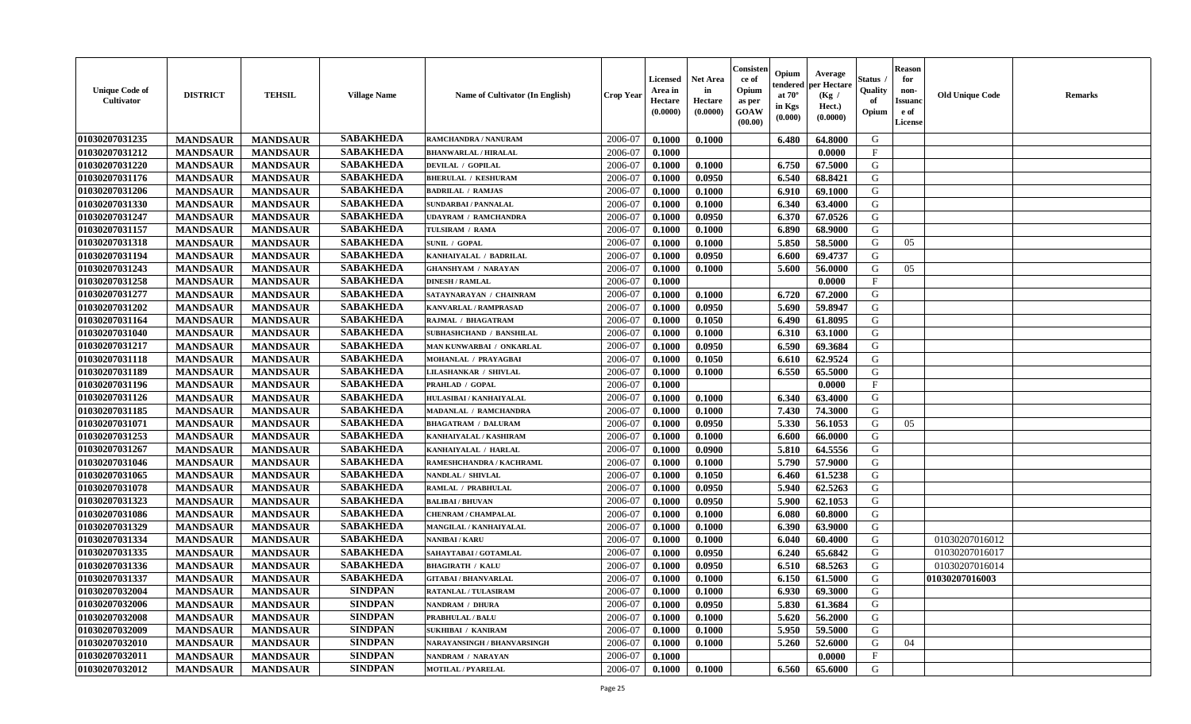| <b>Unique Code of</b><br>Cultivator | <b>DISTRICT</b> | <b>TEHSIL</b>   | <b>Village Name</b> | Name of Cultivator (In English)    | <b>Crop Year</b> | <b>Licensed</b><br>Area in<br>Hectare<br>(0.0000) | <b>Net Area</b><br>in<br>Hectare<br>(0.0000) | Consister<br>ce of<br>Opium<br>as per<br>GOAW<br>(00.00) | Opium<br>endered<br>at $70^\circ$<br>in Kgs<br>(0.000) | Average<br>per Hectare<br>(Kg /<br>Hect.)<br>(0.0000) | <b>Status</b> .<br>Quality<br>of<br>Opium | <b>Reason</b><br>for<br>non-<br><b>Issuand</b><br>e of<br>License | <b>Old Unique Code</b> | <b>Remarks</b> |
|-------------------------------------|-----------------|-----------------|---------------------|------------------------------------|------------------|---------------------------------------------------|----------------------------------------------|----------------------------------------------------------|--------------------------------------------------------|-------------------------------------------------------|-------------------------------------------|-------------------------------------------------------------------|------------------------|----------------|
| 01030207031235                      | <b>MANDSAUR</b> | <b>MANDSAUR</b> | <b>SABAKHEDA</b>    | RAMCHANDRA / NANURAM               | 2006-07          | 0.1000                                            | 0.1000                                       |                                                          | 6.480                                                  | 64.8000                                               | G                                         |                                                                   |                        |                |
| 01030207031212                      | <b>MANDSAUR</b> | <b>MANDSAUR</b> | <b>SABAKHEDA</b>    | <b>BHANWARLAL / HIRALAL</b>        | 2006-07          | 0.1000                                            |                                              |                                                          |                                                        | 0.0000                                                | $\mathbf{F}$                              |                                                                   |                        |                |
| 01030207031220                      | <b>MANDSAUR</b> | <b>MANDSAUR</b> | <b>SABAKHEDA</b>    | <b>DEVILAL / GOPILAL</b>           | 2006-07          | 0.1000                                            | 0.1000                                       |                                                          | 6.750                                                  | 67.5000                                               | G                                         |                                                                   |                        |                |
| 01030207031176                      | <b>MANDSAUR</b> | <b>MANDSAUR</b> | <b>SABAKHEDA</b>    | <b>BHERULAL / KESHURAM</b>         | 2006-07          | 0.1000                                            | 0.0950                                       |                                                          | 6.540                                                  | 68.8421                                               | G                                         |                                                                   |                        |                |
| 01030207031206                      | <b>MANDSAUR</b> | <b>MANDSAUR</b> | <b>SABAKHEDA</b>    | <b>BADRILAL / RAMJAS</b>           | 2006-07          | 0.1000                                            | 0.1000                                       |                                                          | 6.910                                                  | 69.1000                                               | G                                         |                                                                   |                        |                |
| 01030207031330                      | <b>MANDSAUR</b> | <b>MANDSAUR</b> | <b>SABAKHEDA</b>    | <b>SUNDARBAI / PANNALAL</b>        | 2006-07          | 0.1000                                            | 0.1000                                       |                                                          | 6.340                                                  | 63.4000                                               | G                                         |                                                                   |                        |                |
| 01030207031247                      | <b>MANDSAUR</b> | <b>MANDSAUR</b> | <b>SABAKHEDA</b>    | <b>UDAYRAM / RAMCHANDRA</b>        | 2006-07          | 0.1000                                            | 0.0950                                       |                                                          | 6.370                                                  | 67.0526                                               | G                                         |                                                                   |                        |                |
| 01030207031157                      | <b>MANDSAUR</b> | <b>MANDSAUR</b> | <b>SABAKHEDA</b>    | TULSIRAM / RAMA                    | 2006-07          | 0.1000                                            | 0.1000                                       |                                                          | 6.890                                                  | 68.9000                                               | G                                         |                                                                   |                        |                |
| 01030207031318                      | <b>MANDSAUR</b> | <b>MANDSAUR</b> | <b>SABAKHEDA</b>    | <b>SUNIL / GOPAL</b>               | 2006-07          | 0.1000                                            | 0.1000                                       |                                                          | 5.850                                                  | 58.5000                                               | G                                         | 05                                                                |                        |                |
| 01030207031194                      | <b>MANDSAUR</b> | <b>MANDSAUR</b> | <b>SABAKHEDA</b>    | KANHAIYALAL / BADRILAL             | 2006-07          | 0.1000                                            | 0.0950                                       |                                                          | 6.600                                                  | 69.4737                                               | G                                         |                                                                   |                        |                |
| 01030207031243                      | <b>MANDSAUR</b> | <b>MANDSAUR</b> | <b>SABAKHEDA</b>    | <b>GHANSHYAM / NARAYAN</b>         | 2006-07          | 0.1000                                            | 0.1000                                       |                                                          | 5.600                                                  | 56.0000                                               | G                                         | 05                                                                |                        |                |
| 01030207031258                      | <b>MANDSAUR</b> | <b>MANDSAUR</b> | <b>SABAKHEDA</b>    | <b>DINESH / RAMLAL</b>             | 2006-07          | 0.1000                                            |                                              |                                                          |                                                        | 0.0000                                                | $\mathbf F$                               |                                                                   |                        |                |
| 01030207031277                      | <b>MANDSAUR</b> | <b>MANDSAUR</b> | <b>SABAKHEDA</b>    | SATAYNARAYAN / CHAINRAM            | 2006-07          | 0.1000                                            | 0.1000                                       |                                                          | 6.720                                                  | 67.2000                                               | G                                         |                                                                   |                        |                |
| 01030207031202                      | <b>MANDSAUR</b> | <b>MANDSAUR</b> | <b>SABAKHEDA</b>    | <b>KANVARLAL / RAMPRASAD</b>       | 2006-07          | 0.1000                                            | 0.0950                                       |                                                          | 5.690                                                  | 59.8947                                               | G                                         |                                                                   |                        |                |
| 01030207031164                      | <b>MANDSAUR</b> | <b>MANDSAUR</b> | <b>SABAKHEDA</b>    | RAJMAL / BHAGATRAM                 | 2006-07          | 0.1000                                            | 0.1050                                       |                                                          | 6.490                                                  | 61.8095                                               | ${\bf G}$                                 |                                                                   |                        |                |
| 01030207031040                      | <b>MANDSAUR</b> | <b>MANDSAUR</b> | <b>SABAKHEDA</b>    | SUBHASHCHAND / BANSHILAL           | 2006-07          | 0.1000                                            | 0.1000                                       |                                                          | 6.310                                                  | 63.1000                                               | G                                         |                                                                   |                        |                |
| 01030207031217                      | <b>MANDSAUR</b> | <b>MANDSAUR</b> | <b>SABAKHEDA</b>    | MAN KUNWARBAI / ONKARLAL           | 2006-07          | 0.1000                                            | 0.0950                                       |                                                          | 6.590                                                  | 69.3684                                               | G                                         |                                                                   |                        |                |
| 01030207031118                      | <b>MANDSAUR</b> | <b>MANDSAUR</b> | <b>SABAKHEDA</b>    | <b>MOHANLAL / PRAYAGBAI</b>        | 2006-07          | 0.1000                                            | 0.1050                                       |                                                          | 6.610                                                  | 62.9524                                               | G                                         |                                                                   |                        |                |
| 01030207031189                      | <b>MANDSAUR</b> | <b>MANDSAUR</b> | <b>SABAKHEDA</b>    | <b>LILASHANKAR / SHIVLAL</b>       | 2006-07          | 0.1000                                            | 0.1000                                       |                                                          | 6.550                                                  | 65.5000                                               | G                                         |                                                                   |                        |                |
| 01030207031196                      | <b>MANDSAUR</b> | <b>MANDSAUR</b> | <b>SABAKHEDA</b>    | PRAHLAD / GOPAL                    | 2006-07          | 0.1000                                            |                                              |                                                          |                                                        | 0.0000                                                | $\mathbf{F}$                              |                                                                   |                        |                |
| 01030207031126                      | <b>MANDSAUR</b> | <b>MANDSAUR</b> | <b>SABAKHEDA</b>    | HULASIBAI / KANHAIYALAL            | 2006-07          | 0.1000                                            | 0.1000                                       |                                                          | 6.340                                                  | 63.4000                                               | G                                         |                                                                   |                        |                |
| 01030207031185                      | <b>MANDSAUR</b> | <b>MANDSAUR</b> | <b>SABAKHEDA</b>    | MADANLAL / RAMCHANDRA              | 2006-07          | 0.1000                                            | 0.1000                                       |                                                          | 7.430                                                  | 74.3000                                               | G                                         |                                                                   |                        |                |
| 01030207031071                      | <b>MANDSAUR</b> | <b>MANDSAUR</b> | <b>SABAKHEDA</b>    | <b>BHAGATRAM / DALURAM</b>         | 2006-07          | 0.1000                                            | 0.0950                                       |                                                          | 5.330                                                  | 56.1053                                               | G                                         | 05                                                                |                        |                |
| 01030207031253                      | <b>MANDSAUR</b> | <b>MANDSAUR</b> | <b>SABAKHEDA</b>    | KANHAIYALAL / KASHIRAM             | 2006-07          | 0.1000                                            | 0.1000                                       |                                                          | 6.600                                                  | 66.0000                                               | G                                         |                                                                   |                        |                |
| 01030207031267                      | <b>MANDSAUR</b> | <b>MANDSAUR</b> | <b>SABAKHEDA</b>    | KANHAIYALAL / HARLAL               | 2006-07          | 0.1000                                            | 0.0900                                       |                                                          | 5.810                                                  | 64.5556                                               | G                                         |                                                                   |                        |                |
| 01030207031046                      | <b>MANDSAUR</b> | <b>MANDSAUR</b> | <b>SABAKHEDA</b>    | RAMESHCHANDRA / KACHRAML           | 2006-07          | 0.1000                                            | 0.1000                                       |                                                          | 5.790                                                  | 57.9000                                               | G                                         |                                                                   |                        |                |
| 01030207031065                      | <b>MANDSAUR</b> | <b>MANDSAUR</b> | <b>SABAKHEDA</b>    | NANDLAL / SHIVLAL                  | 2006-07          | 0.1000                                            | 0.1050                                       |                                                          | 6.460                                                  | 61.5238                                               | G                                         |                                                                   |                        |                |
| 01030207031078                      | <b>MANDSAUR</b> | <b>MANDSAUR</b> | <b>SABAKHEDA</b>    | RAMLAL / PRABHULAL                 | 2006-07          | 0.1000                                            | 0.0950                                       |                                                          | 5.940                                                  | 62.5263                                               | G                                         |                                                                   |                        |                |
| 01030207031323                      | <b>MANDSAUR</b> | <b>MANDSAUR</b> | <b>SABAKHEDA</b>    | <b>BALIBAI/BHUVAN</b>              | 2006-07          | 0.1000                                            | 0.0950                                       |                                                          | 5.900                                                  | 62.1053                                               | G                                         |                                                                   |                        |                |
| 01030207031086                      | <b>MANDSAUR</b> | <b>MANDSAUR</b> | <b>SABAKHEDA</b>    | CHENRAM / CHAMPALAL                | 2006-07          | 0.1000                                            | 0.1000                                       |                                                          | 6.080                                                  | 60.8000                                               | G                                         |                                                                   |                        |                |
| 01030207031329                      | <b>MANDSAUR</b> | <b>MANDSAUR</b> | <b>SABAKHEDA</b>    | MANGILAL / KANHAIYALAL             | 2006-07          | 0.1000                                            | 0.1000                                       |                                                          | 6.390                                                  | 63.9000                                               | G                                         |                                                                   |                        |                |
| 01030207031334                      |                 |                 | <b>SABAKHEDA</b>    | <b>VANIBAI/KARU</b>                | 2006-07          |                                                   |                                              |                                                          | 6.040                                                  |                                                       | G                                         |                                                                   | 01030207016012         |                |
|                                     | <b>MANDSAUR</b> | <b>MANDSAUR</b> | <b>SABAKHEDA</b>    |                                    |                  | 0.1000                                            | 0.1000                                       |                                                          |                                                        | 60.4000                                               | G                                         |                                                                   |                        |                |
| 01030207031335                      | <b>MANDSAUR</b> | <b>MANDSAUR</b> | <b>SABAKHEDA</b>    | SAHAYTABAI / GOTAMLAL              | 2006-07          | 0.1000                                            | 0.0950                                       |                                                          | 6.240                                                  | 65.6842                                               |                                           |                                                                   | 01030207016017         |                |
| 01030207031336                      | <b>MANDSAUR</b> | <b>MANDSAUR</b> |                     | <b>BHAGIRATH / KALU</b>            | 2006-07          | 0.1000                                            | 0.0950                                       |                                                          | 6.510                                                  | 68.5263                                               | G                                         |                                                                   | 01030207016014         |                |
| 01030207031337                      | <b>MANDSAUR</b> | <b>MANDSAUR</b> | <b>SABAKHEDA</b>    | <b>GITABAI/BHANVARLAL</b>          | 2006-07          | 0.1000                                            | 0.1000                                       |                                                          | 6.150                                                  | 61.5000                                               | ${\bf G}$                                 |                                                                   | 01030207016003         |                |
| 01030207032004                      | <b>MANDSAUR</b> | <b>MANDSAUR</b> | <b>SINDPAN</b>      | RATANLAL / TULASIRAM               | 2006-07          | 0.1000                                            | 0.1000                                       |                                                          | 6.930                                                  | 69.3000                                               | G                                         |                                                                   |                        |                |
| 01030207032006                      | <b>MANDSAUR</b> | <b>MANDSAUR</b> | <b>SINDPAN</b>      | NANDRAM / DHURA                    | 2006-07          | 0.1000                                            | 0.0950                                       |                                                          | 5.830                                                  | 61.3684                                               | G                                         |                                                                   |                        |                |
| 01030207032008                      | <b>MANDSAUR</b> | <b>MANDSAUR</b> | <b>SINDPAN</b>      | <b>PRABHULAL / BALU</b>            | 2006-07          | 0.1000                                            | 0.1000                                       |                                                          | 5.620                                                  | 56.2000                                               | G                                         |                                                                   |                        |                |
| 01030207032009                      | <b>MANDSAUR</b> | <b>MANDSAUR</b> | <b>SINDPAN</b>      | <b>SUKHIBAI / KANIRAM</b>          | 2006-07          | 0.1000                                            | 0.1000                                       |                                                          | 5.950                                                  | 59.5000                                               | G                                         |                                                                   |                        |                |
| 01030207032010                      | <b>MANDSAUR</b> | <b>MANDSAUR</b> | <b>SINDPAN</b>      | <b>NARAYANSINGH / BHANVARSINGH</b> | 2006-07          | 0.1000                                            | 0.1000                                       |                                                          | 5.260                                                  | 52.6000                                               | G                                         | 04                                                                |                        |                |
| 01030207032011                      | <b>MANDSAUR</b> | <b>MANDSAUR</b> | <b>SINDPAN</b>      | NANDRAM / NARAYAN                  | 2006-07          | 0.1000                                            |                                              |                                                          |                                                        | 0.0000                                                | $\mathbf{F}$                              |                                                                   |                        |                |
| 01030207032012                      | <b>MANDSAUR</b> | <b>MANDSAUR</b> | <b>SINDPAN</b>      | <b>MOTILAL / PYARELAL</b>          | 2006-07          | 0.1000                                            | 0.1000                                       |                                                          | 6.560                                                  | 65.6000                                               | G                                         |                                                                   |                        |                |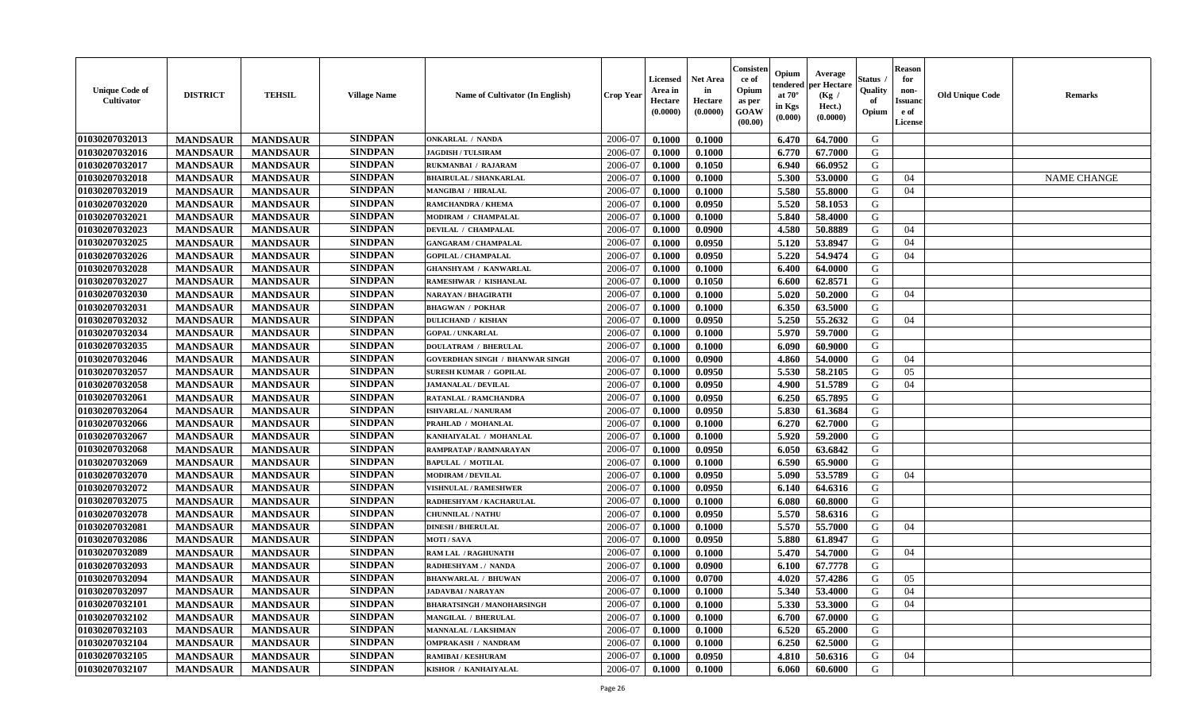| <b>Unique Code of</b><br><b>Cultivator</b> | <b>DISTRICT</b> | <b>TEHSIL</b>   | <b>Village Name</b> | <b>Name of Cultivator (In English)</b> | <b>Crop Year</b> | <b>Licensed</b><br>Area in<br>Hectare<br>(0.0000) | <b>Net Area</b><br>in<br>Hectare<br>(0.0000) | Consisteı<br>ce of<br>Opium<br>as per<br>GOAW<br>(00.00) | Opium<br>endered<br>at $70^{\circ}$<br>in Kgs<br>(0.000) | Average<br>er Hectare<br>(Kg /<br>Hect.)<br>(0.0000) | Status<br>Quality<br>of<br>Opium | <b>Reason</b><br>for<br>non-<br><b>Issuand</b><br>e of<br>License | <b>Old Unique Code</b> | Remarks            |
|--------------------------------------------|-----------------|-----------------|---------------------|----------------------------------------|------------------|---------------------------------------------------|----------------------------------------------|----------------------------------------------------------|----------------------------------------------------------|------------------------------------------------------|----------------------------------|-------------------------------------------------------------------|------------------------|--------------------|
| 01030207032013                             | <b>MANDSAUR</b> | <b>MANDSAUR</b> | <b>SINDPAN</b>      | <b>ONKARLAL / NANDA</b>                | 2006-07          | 0.1000                                            | 0.1000                                       |                                                          | 6.470                                                    | 64.7000                                              | G                                |                                                                   |                        |                    |
| 01030207032016                             | <b>MANDSAUR</b> | <b>MANDSAUR</b> | <b>SINDPAN</b>      | <b>JAGDISH / TULSIRAM</b>              | 2006-07          | 0.1000                                            | 0.1000                                       |                                                          | 6.770                                                    | 67.7000                                              | G                                |                                                                   |                        |                    |
| 01030207032017                             | <b>MANDSAUR</b> | <b>MANDSAUR</b> | <b>SINDPAN</b>      | RUKMANBAI / RAJARAM                    | 2006-07          | 0.1000                                            | 0.1050                                       |                                                          | 6.940                                                    | 66.0952                                              | G                                |                                                                   |                        |                    |
| 01030207032018                             | <b>MANDSAUR</b> | <b>MANDSAUR</b> | <b>SINDPAN</b>      | <b>BHAIRULAL / SHANKARLAL</b>          | 2006-07          | 0.1000                                            | 0.1000                                       |                                                          | 5.300                                                    | 53.0000                                              | G                                | 04                                                                |                        | <b>NAME CHANGE</b> |
| 01030207032019                             | <b>MANDSAUR</b> | <b>MANDSAUR</b> | <b>SINDPAN</b>      | MANGIBAI / HIRALAL                     | 2006-07          | 0.1000                                            | 0.1000                                       |                                                          | 5.580                                                    | 55.8000                                              | G                                | 04                                                                |                        |                    |
| 01030207032020                             | <b>MANDSAUR</b> | <b>MANDSAUR</b> | <b>SINDPAN</b>      | RAMCHANDRA / KHEMA                     | 2006-07          | 0.1000                                            | 0.0950                                       |                                                          | 5.520                                                    | 58.1053                                              | G                                |                                                                   |                        |                    |
| 01030207032021                             | <b>MANDSAUR</b> | <b>MANDSAUR</b> | <b>SINDPAN</b>      | <b>MODIRAM / CHAMPALAL</b>             | 2006-07          | 0.1000                                            | 0.1000                                       |                                                          | 5.840                                                    | 58.4000                                              | G                                |                                                                   |                        |                    |
| 01030207032023                             | <b>MANDSAUR</b> | <b>MANDSAUR</b> | <b>SINDPAN</b>      | DEVILAL / CHAMPALAL                    | 2006-07          | 0.1000                                            | 0.0900                                       |                                                          | 4.580                                                    | 50.8889                                              | G                                | 04                                                                |                        |                    |
| 01030207032025                             | <b>MANDSAUR</b> | <b>MANDSAUR</b> | <b>SINDPAN</b>      | <b>GANGARAM / CHAMPALAL</b>            | 2006-07          | 0.1000                                            | 0.0950                                       |                                                          | 5.120                                                    | 53.8947                                              | G                                | 04                                                                |                        |                    |
| 01030207032026                             | <b>MANDSAUR</b> | <b>MANDSAUR</b> | <b>SINDPAN</b>      | <b>GOPILAL / CHAMPALAL</b>             | 2006-07          | 0.1000                                            | 0.0950                                       |                                                          | 5.220                                                    | 54.9474                                              | G                                | 04                                                                |                        |                    |
| 01030207032028                             | <b>MANDSAUR</b> | <b>MANDSAUR</b> | <b>SINDPAN</b>      | <b>GHANSHYAM / KANWARLAL</b>           | 2006-07          | 0.1000                                            | 0.1000                                       |                                                          | 6.400                                                    | 64.0000                                              | G                                |                                                                   |                        |                    |
| 01030207032027                             | <b>MANDSAUR</b> | <b>MANDSAUR</b> | <b>SINDPAN</b>      | RAMESHWAR / KISHANLAL                  | 2006-07          | 0.1000                                            | 0.1050                                       |                                                          | 6.600                                                    | 62.8571                                              | G                                |                                                                   |                        |                    |
| 01030207032030                             | <b>MANDSAUR</b> | <b>MANDSAUR</b> | <b>SINDPAN</b>      | NARAYAN / BHAGIRATH                    | 2006-07          | 0.1000                                            | 0.1000                                       |                                                          | 5.020                                                    | 50.2000                                              | G                                | 04                                                                |                        |                    |
| 01030207032031                             | <b>MANDSAUR</b> | <b>MANDSAUR</b> | <b>SINDPAN</b>      | <b>BHAGWAN / POKHAR</b>                | 2006-07          | 0.1000                                            | 0.1000                                       |                                                          | 6.350                                                    | 63.5000                                              | G                                |                                                                   |                        |                    |
| 01030207032032                             | <b>MANDSAUR</b> | <b>MANDSAUR</b> | <b>SINDPAN</b>      | <b>DULICHAND / KISHAN</b>              | 2006-07          | 0.1000                                            | 0.0950                                       |                                                          | 5.250                                                    | 55.2632                                              | G                                | 04                                                                |                        |                    |
| 01030207032034                             | <b>MANDSAUR</b> | <b>MANDSAUR</b> | <b>SINDPAN</b>      | <b>GOPAL / UNKARLAL</b>                | 2006-07          | 0.1000                                            | 0.1000                                       |                                                          | 5.970                                                    | 59.7000                                              | G                                |                                                                   |                        |                    |
| 01030207032035                             | <b>MANDSAUR</b> | <b>MANDSAUR</b> | <b>SINDPAN</b>      | <b>DOULATRAM / BHERULAL</b>            | 2006-07          | 0.1000                                            | 0.1000                                       |                                                          | 6.090                                                    | 60.9000                                              | G                                |                                                                   |                        |                    |
| 01030207032046                             | <b>MANDSAUR</b> | <b>MANDSAUR</b> | <b>SINDPAN</b>      | <b>GOVERDHAN SINGH / BHANWAR SINGH</b> | 2006-07          | 0.1000                                            | 0.0900                                       |                                                          | 4.860                                                    | 54.0000                                              | G                                | 04                                                                |                        |                    |
| 01030207032057                             | <b>MANDSAUR</b> | <b>MANDSAUR</b> | <b>SINDPAN</b>      | <b>SURESH KUMAR / GOPILAL</b>          | 2006-07          | 0.1000                                            | 0.0950                                       |                                                          | 5.530                                                    | 58.2105                                              | G                                | 05                                                                |                        |                    |
| 01030207032058                             | <b>MANDSAUR</b> | <b>MANDSAUR</b> | <b>SINDPAN</b>      | <b>JAMANALAL / DEVILAL</b>             | 2006-07          | 0.1000                                            | 0.0950                                       |                                                          | 4.900                                                    | 51.5789                                              | G                                | 04                                                                |                        |                    |
| 01030207032061                             | <b>MANDSAUR</b> | <b>MANDSAUR</b> | <b>SINDPAN</b>      | RATANLAL / RAMCHANDRA                  | 2006-07          | 0.1000                                            | 0.0950                                       |                                                          | 6.250                                                    | 65.7895                                              | G                                |                                                                   |                        |                    |
| 01030207032064                             | <b>MANDSAUR</b> | <b>MANDSAUR</b> | <b>SINDPAN</b>      | <b>ISHVARLAL / NANURAM</b>             | 2006-07          | 0.1000                                            | 0.0950                                       |                                                          | 5.830                                                    | 61.3684                                              | G                                |                                                                   |                        |                    |
| 01030207032066                             | <b>MANDSAUR</b> | <b>MANDSAUR</b> | <b>SINDPAN</b>      | PRAHLAD / MOHANLAL                     | 2006-07          | 0.1000                                            | 0.1000                                       |                                                          | 6.270                                                    | 62.7000                                              | G                                |                                                                   |                        |                    |
| 01030207032067                             | <b>MANDSAUR</b> | <b>MANDSAUR</b> | <b>SINDPAN</b>      | KANHAIYALAL / MOHANLAL                 | 2006-07          | 0.1000                                            | 0.1000                                       |                                                          | 5.920                                                    | 59.2000                                              | G                                |                                                                   |                        |                    |
| 01030207032068                             | <b>MANDSAUR</b> | <b>MANDSAUR</b> | <b>SINDPAN</b>      | RAMPRATAP / RAMNARAYAN                 | 2006-07          | 0.1000                                            | 0.0950                                       |                                                          | 6.050                                                    | 63.6842                                              | G                                |                                                                   |                        |                    |
| 01030207032069                             | <b>MANDSAUR</b> | <b>MANDSAUR</b> | <b>SINDPAN</b>      | <b>BAPULAL / MOTILAL</b>               | 2006-07          | 0.1000                                            | 0.1000                                       |                                                          | 6.590                                                    | 65.9000                                              | G                                |                                                                   |                        |                    |
| 01030207032070                             | <b>MANDSAUR</b> | <b>MANDSAUR</b> | <b>SINDPAN</b>      | <b>MODIRAM / DEVILAL</b>               | 2006-07          | 0.1000                                            | 0.0950                                       |                                                          | 5.090                                                    | 53.5789                                              | G                                | 04                                                                |                        |                    |
| 01030207032072                             | <b>MANDSAUR</b> | <b>MANDSAUR</b> | <b>SINDPAN</b>      | <b>VISHNULAL / RAMESHWER</b>           | 2006-07          | 0.1000                                            | 0.0950                                       |                                                          | 6.140                                                    | 64.6316                                              | G                                |                                                                   |                        |                    |
| 01030207032075                             | <b>MANDSAUR</b> | <b>MANDSAUR</b> | <b>SINDPAN</b>      | RADHESHYAM / KACHARULAL                | 2006-07          | 0.1000                                            | 0.1000                                       |                                                          | 6.080                                                    | 60.8000                                              | G                                |                                                                   |                        |                    |
| 01030207032078                             | <b>MANDSAUR</b> | <b>MANDSAUR</b> | <b>SINDPAN</b>      | <b>CHUNNILAL / NATHU</b>               | 2006-07          | 0.1000                                            | 0.0950                                       |                                                          | 5.570                                                    | 58.6316                                              | G                                |                                                                   |                        |                    |
| 01030207032081                             | <b>MANDSAUR</b> | <b>MANDSAUR</b> | <b>SINDPAN</b>      | <b>DINESH / BHERULAL</b>               | 2006-07          | 0.1000                                            | 0.1000                                       |                                                          | 5.570                                                    | 55.7000                                              | G                                | 04                                                                |                        |                    |
| 01030207032086                             | <b>MANDSAUR</b> | <b>MANDSAUR</b> | <b>SINDPAN</b>      | <b>MOTI/SAVA</b>                       | 2006-07          | 0.1000                                            | 0.0950                                       |                                                          | 5.880                                                    | 61.8947                                              | G                                |                                                                   |                        |                    |
| 01030207032089                             | <b>MANDSAUR</b> | <b>MANDSAUR</b> | <b>SINDPAN</b>      | <b>RAM LAL / RAGHUNATH</b>             | 2006-07          | 0.1000                                            | 0.1000                                       |                                                          | 5.470                                                    | 54.7000                                              | G                                | 04                                                                |                        |                    |
| 01030207032093                             | <b>MANDSAUR</b> | <b>MANDSAUR</b> | <b>SINDPAN</b>      | RADHESHYAM./ NANDA                     | 2006-07          | 0.1000                                            | 0.0900                                       |                                                          | 6.100                                                    | 67.7778                                              | G                                |                                                                   |                        |                    |
| 01030207032094                             | <b>MANDSAUR</b> | <b>MANDSAUR</b> | <b>SINDPAN</b>      | <b>BHANWARLAL / BHUWAN</b>             | 2006-07          | 0.1000                                            | 0.0700                                       |                                                          | 4.020                                                    | 57.4286                                              | G                                | 05                                                                |                        |                    |
| 01030207032097                             | <b>MANDSAUR</b> | <b>MANDSAUR</b> | <b>SINDPAN</b>      | <b>JADAVBAI/NARAYAN</b>                | 2006-07          | 0.1000                                            | 0.1000                                       |                                                          | 5.340                                                    | 53.4000                                              | G                                | 04                                                                |                        |                    |
| 01030207032101                             | <b>MANDSAUR</b> | <b>MANDSAUR</b> | <b>SINDPAN</b>      | <b>BHARATSINGH / MANOHARSINGH</b>      | 2006-07          | 0.1000                                            | 0.1000                                       |                                                          | 5.330                                                    | 53.3000                                              | G                                | 04                                                                |                        |                    |
| 01030207032102                             | <b>MANDSAUR</b> | <b>MANDSAUR</b> | <b>SINDPAN</b>      | MANGILAL / BHERULAL                    | 2006-07          | 0.1000                                            | 0.1000                                       |                                                          | 6.700                                                    | 67.0000                                              | G                                |                                                                   |                        |                    |
| 01030207032103                             | <b>MANDSAUR</b> | <b>MANDSAUR</b> | <b>SINDPAN</b>      | <b>MANNALAL / LAKSHMAN</b>             | 2006-07          | 0.1000                                            | 0.1000                                       |                                                          | 6.520                                                    | 65.2000                                              | G                                |                                                                   |                        |                    |
| 01030207032104                             | <b>MANDSAUR</b> | <b>MANDSAUR</b> | <b>SINDPAN</b>      | <b>OMPRAKASH / NANDRAM</b>             | 2006-07          | 0.1000                                            | 0.1000                                       |                                                          | 6.250                                                    | 62.5000                                              | $\mathbf G$                      |                                                                   |                        |                    |
| 01030207032105                             | <b>MANDSAUR</b> | <b>MANDSAUR</b> | <b>SINDPAN</b>      | <b>RAMIBAI / KESHURAM</b>              | 2006-07          | 0.1000                                            | 0.0950                                       |                                                          | 4.810                                                    | 50.6316                                              | G                                | 04                                                                |                        |                    |
| 01030207032107                             | <b>MANDSAUR</b> | <b>MANDSAUR</b> | <b>SINDPAN</b>      | KISHOR / KANHAIYALAL                   | 2006-07          | 0.1000                                            | 0.1000                                       |                                                          | 6.060                                                    | 60.6000                                              | G                                |                                                                   |                        |                    |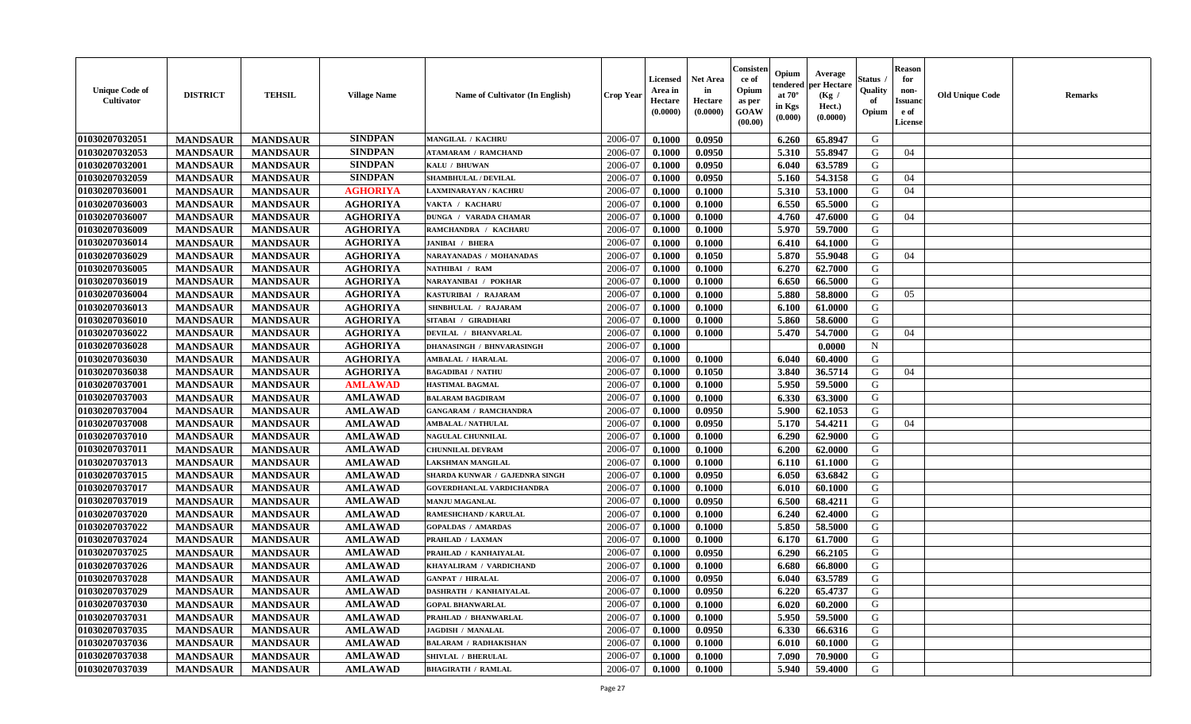| <b>Unique Code of</b><br><b>Cultivator</b> | <b>DISTRICT</b> | <b>TEHSIL</b>   | <b>Village Name</b> | <b>Name of Cultivator (In English)</b> | <b>Crop Year</b> | <b>Licensed</b><br>Area in<br>Hectare<br>(0.0000) | <b>Net Area</b><br>in<br>Hectare<br>(0.0000) | Consister<br>ce of<br>Opium<br>as per<br><b>GOAW</b><br>(00.00) | Opium<br>endered<br>at $70^\circ$<br>in Kgs<br>$(\mathbf{0.000})$ | Average<br>per Hectare<br>(Kg)<br>Hect.)<br>(0.0000) | Status<br>Quality<br>of<br>Opium | <b>Reason</b><br>for<br>non-<br><b>Issuano</b><br>e of<br>License | <b>Old Unique Code</b> | <b>Remarks</b> |
|--------------------------------------------|-----------------|-----------------|---------------------|----------------------------------------|------------------|---------------------------------------------------|----------------------------------------------|-----------------------------------------------------------------|-------------------------------------------------------------------|------------------------------------------------------|----------------------------------|-------------------------------------------------------------------|------------------------|----------------|
| 01030207032051                             | <b>MANDSAUR</b> | <b>MANDSAUR</b> | <b>SINDPAN</b>      | <b>MANGILAL / KACHRU</b>               | 2006-07          | 0.1000                                            | 0.0950                                       |                                                                 | 6.260                                                             | 65.8947                                              | G                                |                                                                   |                        |                |
| 01030207032053                             | <b>MANDSAUR</b> | <b>MANDSAUR</b> | <b>SINDPAN</b>      | <b>ATAMARAM / RAMCHAND</b>             | 2006-07          | 0.1000                                            | 0.0950                                       |                                                                 | 5.310                                                             | 55.8947                                              | G                                | 04                                                                |                        |                |
| 01030207032001                             | <b>MANDSAUR</b> | <b>MANDSAUR</b> | <b>SINDPAN</b>      | KALU / BHUWAN                          | 2006-07          | 0.1000                                            | 0.0950                                       |                                                                 | 6.040                                                             | 63.5789                                              | G                                |                                                                   |                        |                |
| 01030207032059                             | <b>MANDSAUR</b> | <b>MANDSAUR</b> | <b>SINDPAN</b>      | <b>SHAMBHULAL / DEVILAL</b>            | 2006-07          | 0.1000                                            | 0.0950                                       |                                                                 | 5.160                                                             | 54.3158                                              | G                                | 04                                                                |                        |                |
| 01030207036001                             | <b>MANDSAUR</b> | <b>MANDSAUR</b> | <b>AGHORIYA</b>     | <b>LAXMINARAYAN / KACHRU</b>           | 2006-07          | 0.1000                                            | 0.1000                                       |                                                                 | 5.310                                                             | 53.1000                                              | G                                | 04                                                                |                        |                |
| 01030207036003                             | <b>MANDSAUR</b> | <b>MANDSAUR</b> | <b>AGHORIYA</b>     | VAKTA / KACHARU                        | 2006-07          | 0.1000                                            | 0.1000                                       |                                                                 | 6.550                                                             | 65.5000                                              | G                                |                                                                   |                        |                |
| 01030207036007                             | <b>MANDSAUR</b> | <b>MANDSAUR</b> | <b>AGHORIYA</b>     | <b>DUNGA / VARADA CHAMAR</b>           | 2006-07          | 0.1000                                            | 0.1000                                       |                                                                 | 4.760                                                             | 47.6000                                              | G                                | 04                                                                |                        |                |
| 01030207036009                             | <b>MANDSAUR</b> | <b>MANDSAUR</b> | <b>AGHORIYA</b>     | RAMCHANDRA / KACHARU                   | 2006-07          | 0.1000                                            | 0.1000                                       |                                                                 | 5.970                                                             | 59.7000                                              | G                                |                                                                   |                        |                |
| 01030207036014                             | <b>MANDSAUR</b> | <b>MANDSAUR</b> | <b>AGHORIYA</b>     | <b>JANIBAI / BHERA</b>                 | 2006-07          | 0.1000                                            | 0.1000                                       |                                                                 | 6.410                                                             | 64.1000                                              | G                                |                                                                   |                        |                |
| 01030207036029                             | <b>MANDSAUR</b> | <b>MANDSAUR</b> | <b>AGHORIYA</b>     | NARAYANADAS / MOHANADAS                | 2006-07          | 0.1000                                            | 0.1050                                       |                                                                 | 5.870                                                             | 55.9048                                              | G                                | 04                                                                |                        |                |
| 01030207036005                             | <b>MANDSAUR</b> | <b>MANDSAUR</b> | <b>AGHORIYA</b>     | NATHIBAI / RAM                         | 2006-07          | 0.1000                                            | 0.1000                                       |                                                                 | 6.270                                                             | 62.7000                                              | G                                |                                                                   |                        |                |
| 01030207036019                             | <b>MANDSAUR</b> | <b>MANDSAUR</b> | <b>AGHORIYA</b>     | NARAYANIBAI / POKHAR                   | 2006-07          | 0.1000                                            | 0.1000                                       |                                                                 | 6.650                                                             | 66.5000                                              | G                                |                                                                   |                        |                |
| 01030207036004                             | <b>MANDSAUR</b> | <b>MANDSAUR</b> | <b>AGHORIYA</b>     | KASTURIBAI / RAJARAM                   | 2006-07          | 0.1000                                            | 0.1000                                       |                                                                 | 5.880                                                             | 58.8000                                              | G                                | 05                                                                |                        |                |
| 01030207036013                             | <b>MANDSAUR</b> | <b>MANDSAUR</b> | <b>AGHORIYA</b>     | SHNBHULAL / RAJARAM                    | 2006-07          | 0.1000                                            | 0.1000                                       |                                                                 | 6.100                                                             | 61.0000                                              | G                                |                                                                   |                        |                |
| 01030207036010                             | <b>MANDSAUR</b> | <b>MANDSAUR</b> | <b>AGHORIYA</b>     | SITABAI / GIRADHARI                    | 2006-07          | 0.1000                                            | 0.1000                                       |                                                                 | 5.860                                                             | 58.6000                                              | G                                |                                                                   |                        |                |
| 01030207036022                             | <b>MANDSAUR</b> | <b>MANDSAUR</b> | <b>AGHORIYA</b>     | DEVILAL / BHANVARLAL                   | 2006-07          | 0.1000                                            | 0.1000                                       |                                                                 | 5.470                                                             | 54.7000                                              | G                                | 04                                                                |                        |                |
| 01030207036028                             | <b>MANDSAUR</b> | <b>MANDSAUR</b> | <b>AGHORIYA</b>     | <b>DHANASINGH / BHNVARASINGH</b>       | 2006-07          | 0.1000                                            |                                              |                                                                 |                                                                   | 0.0000                                               | $\mathbf N$                      |                                                                   |                        |                |
| 01030207036030                             | <b>MANDSAUR</b> | <b>MANDSAUR</b> | <b>AGHORIYA</b>     | <b>AMBALAL / HARALAL</b>               | 2006-07          | 0.1000                                            | 0.1000                                       |                                                                 | 6.040                                                             | 60.4000                                              | G                                |                                                                   |                        |                |
| 01030207036038                             | <b>MANDSAUR</b> | <b>MANDSAUR</b> | <b>AGHORIYA</b>     | <b>BAGADIBAI / NATHU</b>               | 2006-07          | 0.1000                                            | 0.1050                                       |                                                                 | 3.840                                                             | 36.5714                                              | G                                | 04                                                                |                        |                |
| 01030207037001                             | <b>MANDSAUR</b> | <b>MANDSAUR</b> | <b>AMLAWAD</b>      | <b>HASTIMAL BAGMAL</b>                 | 2006-07          | 0.1000                                            | 0.1000                                       |                                                                 | 5.950                                                             | 59.5000                                              | G                                |                                                                   |                        |                |
| 01030207037003                             | <b>MANDSAUR</b> | <b>MANDSAUR</b> | <b>AMLAWAD</b>      | <b>BALARAM BAGDIRAM</b>                | 2006-07          | 0.1000                                            | 0.1000                                       |                                                                 | 6.330                                                             | 63.3000                                              | G                                |                                                                   |                        |                |
| 01030207037004                             | <b>MANDSAUR</b> | <b>MANDSAUR</b> | <b>AMLAWAD</b>      | <b>GANGARAM / RAMCHANDRA</b>           | 2006-07          | 0.1000                                            | 0.0950                                       |                                                                 | 5.900                                                             | 62.1053                                              | G                                |                                                                   |                        |                |
| 01030207037008                             | <b>MANDSAUR</b> | <b>MANDSAUR</b> | <b>AMLAWAD</b>      | <b>AMBALAL / NATHULAL</b>              | 2006-07          | 0.1000                                            | 0.0950                                       |                                                                 | 5.170                                                             | 54,4211                                              | G                                | 04                                                                |                        |                |
| 01030207037010                             | <b>MANDSAUR</b> | <b>MANDSAUR</b> | <b>AMLAWAD</b>      | NAGULAL CHUNNILAL                      | 2006-07          | 0.1000                                            | 0.1000                                       |                                                                 | 6.290                                                             | 62.9000                                              | G                                |                                                                   |                        |                |
| 01030207037011                             | <b>MANDSAUR</b> | <b>MANDSAUR</b> | <b>AMLAWAD</b>      | <b>CHUNNILAL DEVRAM</b>                | 2006-07          | 0.1000                                            | 0.1000                                       |                                                                 | 6.200                                                             | 62.0000                                              | G                                |                                                                   |                        |                |
| 01030207037013                             | <b>MANDSAUR</b> | <b>MANDSAUR</b> | <b>AMLAWAD</b>      | LAKSHMAN MANGILAL                      | 2006-07          | 0.1000                                            | 0.1000                                       |                                                                 | 6.110                                                             | 61.1000                                              | G                                |                                                                   |                        |                |
| 01030207037015                             | <b>MANDSAUR</b> | <b>MANDSAUR</b> | <b>AMLAWAD</b>      | SHARDA KUNWAR / GAJEDNRA SINGH         | 2006-07          | 0.1000                                            | 0.0950                                       |                                                                 | 6.050                                                             | 63.6842                                              | G                                |                                                                   |                        |                |
| 01030207037017                             | <b>MANDSAUR</b> | <b>MANDSAUR</b> | <b>AMLAWAD</b>      | GOVERDHANLAL VARDICHANDRA              | 2006-07          | 0.1000                                            | 0.1000                                       |                                                                 | 6.010                                                             | 60.1000                                              | G                                |                                                                   |                        |                |
| 01030207037019                             | <b>MANDSAUR</b> | <b>MANDSAUR</b> | <b>AMLAWAD</b>      | <b>MANJU MAGANLAL</b>                  | 2006-07          | 0.1000                                            | 0.0950                                       |                                                                 | 6.500                                                             | 68.4211                                              | G                                |                                                                   |                        |                |
| 01030207037020                             | <b>MANDSAUR</b> | <b>MANDSAUR</b> | <b>AMLAWAD</b>      | RAMESHCHAND / KARULAL                  | 2006-07          | 0.1000                                            | 0.1000                                       |                                                                 | 6.240                                                             | 62.4000                                              | G                                |                                                                   |                        |                |
| 01030207037022                             | <b>MANDSAUR</b> | <b>MANDSAUR</b> | <b>AMLAWAD</b>      | <b>GOPALDAS / AMARDAS</b>              | 2006-07          | 0.1000                                            | 0.1000                                       |                                                                 | 5.850                                                             | 58.5000                                              | G                                |                                                                   |                        |                |
| 01030207037024                             | <b>MANDSAUR</b> | <b>MANDSAUR</b> | <b>AMLAWAD</b>      | PRAHLAD / LAXMAN                       | 2006-07          | 0.1000                                            | 0.1000                                       |                                                                 | 6.170                                                             | 61.7000                                              | G                                |                                                                   |                        |                |
| 01030207037025                             | <b>MANDSAUR</b> | <b>MANDSAUR</b> | <b>AMLAWAD</b>      | PRAHLAD / KANHAIYALAL                  | 2006-07          | 0.1000                                            | 0.0950                                       |                                                                 | 6.290                                                             | 66.2105                                              | G                                |                                                                   |                        |                |
| 01030207037026                             | <b>MANDSAUR</b> | <b>MANDSAUR</b> | <b>AMLAWAD</b>      | KHAYALIRAM / VARDICHAND                | 2006-07          | 0.1000                                            | 0.1000                                       |                                                                 | 6.680                                                             | 66.8000                                              | G                                |                                                                   |                        |                |
| 01030207037028                             | <b>MANDSAUR</b> | <b>MANDSAUR</b> | <b>AMLAWAD</b>      | <b>GANPAT / HIRALAL</b>                | 2006-07          | 0.1000                                            | 0.0950                                       |                                                                 | 6.040                                                             | 63.5789                                              | G                                |                                                                   |                        |                |
| 01030207037029                             | <b>MANDSAUR</b> | <b>MANDSAUR</b> | <b>AMLAWAD</b>      | <b>DASHRATH / KANHAIYALAL</b>          | 2006-07          | 0.1000                                            | 0.0950                                       |                                                                 | 6.220                                                             | 65.4737                                              | G                                |                                                                   |                        |                |
| 01030207037030                             | <b>MANDSAUR</b> | <b>MANDSAUR</b> | <b>AMLAWAD</b>      | <b>GOPAL BHANWARLAL</b>                | 2006-07          | 0.1000                                            | 0.1000                                       |                                                                 | 6.020                                                             | 60.2000                                              | G                                |                                                                   |                        |                |
| <b>01030207037031</b>                      | <b>MANDSAUR</b> | <b>MANDSAUR</b> | <b>AMLAWAD</b>      | PRAHLAD / BHANWARLAL                   | 2006-07          | 0.1000                                            | 0.1000                                       |                                                                 | 5.950                                                             | 59.5000                                              | G                                |                                                                   |                        |                |
| 01030207037035                             | <b>MANDSAUR</b> | <b>MANDSAUR</b> | <b>AMLAWAD</b>      | <b>JAGDISH / MANALAL</b>               | 2006-07          | 0.1000                                            | 0.0950                                       |                                                                 | 6.330                                                             | 66.6316                                              | G                                |                                                                   |                        |                |
| 01030207037036                             | <b>MANDSAUR</b> | <b>MANDSAUR</b> | <b>AMLAWAD</b>      | <b>BALARAM / RADHAKISHAN</b>           | 2006-07          | 0.1000                                            | 0.1000                                       |                                                                 | 6.010                                                             | 60.1000                                              | G                                |                                                                   |                        |                |
| 01030207037038                             | <b>MANDSAUR</b> | <b>MANDSAUR</b> | <b>AMLAWAD</b>      | SHIVLAL / BHERULAL                     | 2006-07          | 0.1000                                            | 0.1000                                       |                                                                 | 7.090                                                             | 70.9000                                              | G                                |                                                                   |                        |                |
| 01030207037039                             | <b>MANDSAUR</b> | <b>MANDSAUR</b> | <b>AMLAWAD</b>      | <b>BHAGIRATH / RAMLAL</b>              | 2006-07          | 0.1000                                            | 0.1000                                       |                                                                 | 5.940                                                             | 59.4000                                              | G                                |                                                                   |                        |                |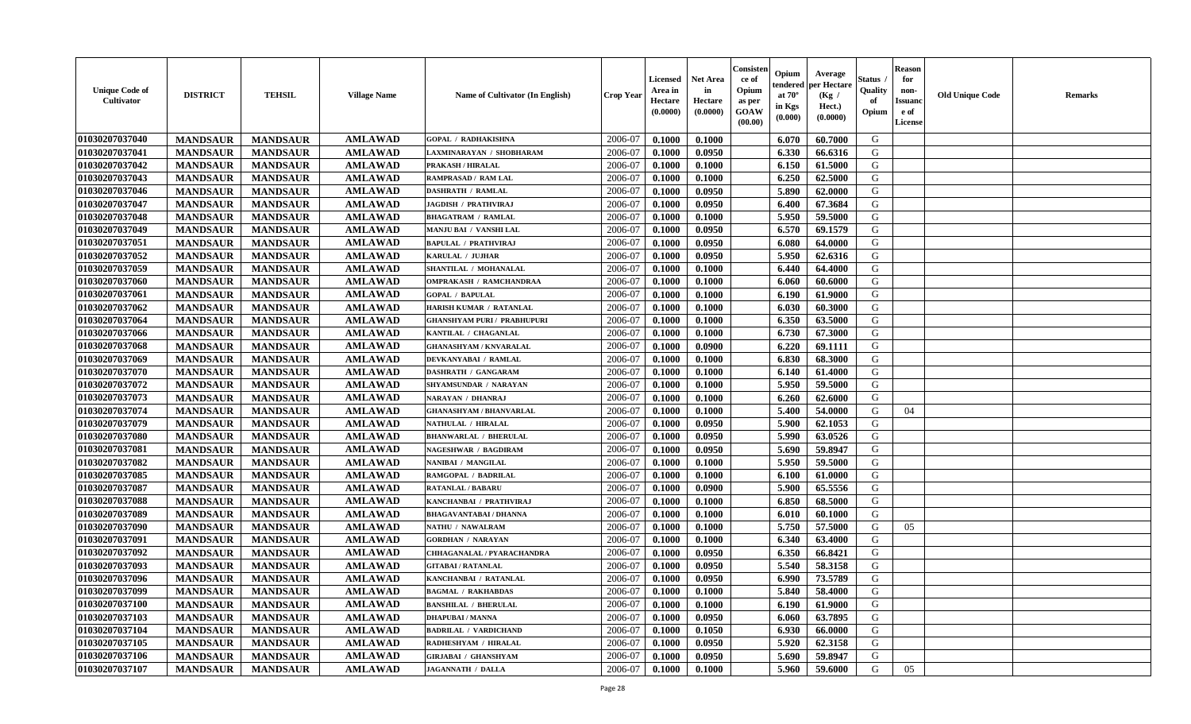| <b>Unique Code of</b><br><b>Cultivator</b> | <b>DISTRICT</b> | <b>TEHSIL</b>   | <b>Village Name</b> | <b>Name of Cultivator (In English)</b> | <b>Crop Year</b> | Licensed<br>Area in<br>Hectare<br>(0.0000) | <b>Net Area</b><br>in<br>Hectare<br>(0.0000) | Consister<br>ce of<br>Opium<br>as per<br>GOAW<br>(00.00) | Opium<br>endered<br>at $70^\circ$<br>in Kgs<br>(0.000) | Average<br>per Hectare<br>(Kg /<br>Hect.)<br>(0.0000) | <b>Status</b> .<br>Quality<br>of<br>Opium | <b>Reason</b><br>for<br>non-<br><b>Issuand</b><br>e of<br>License | <b>Old Unique Code</b> | <b>Remarks</b> |
|--------------------------------------------|-----------------|-----------------|---------------------|----------------------------------------|------------------|--------------------------------------------|----------------------------------------------|----------------------------------------------------------|--------------------------------------------------------|-------------------------------------------------------|-------------------------------------------|-------------------------------------------------------------------|------------------------|----------------|
| 01030207037040                             | <b>MANDSAUR</b> | <b>MANDSAUR</b> | <b>AMLAWAD</b>      | <b>GOPAL / RADHAKISHNA</b>             | 2006-07          | 0.1000                                     | 0.1000                                       |                                                          | 6.070                                                  | 60.7000                                               | G                                         |                                                                   |                        |                |
| 01030207037041                             | <b>MANDSAUR</b> | <b>MANDSAUR</b> | <b>AMLAWAD</b>      | LAXMINARAYAN / SHOBHARAM               | 2006-07          | 0.1000                                     | 0.0950                                       |                                                          | 6.330                                                  | 66.6316                                               | G                                         |                                                                   |                        |                |
| 01030207037042                             | <b>MANDSAUR</b> | <b>MANDSAUR</b> | <b>AMLAWAD</b>      | <b>PRAKASH / HIRALAL</b>               | 2006-07          | 0.1000                                     | 0.1000                                       |                                                          | 6.150                                                  | 61.5000                                               | G                                         |                                                                   |                        |                |
| 01030207037043                             | <b>MANDSAUR</b> | <b>MANDSAUR</b> | <b>AMLAWAD</b>      | RAMPRASAD / RAM LAL                    | 2006-07          | 0.1000                                     | 0.1000                                       |                                                          | 6.250                                                  | 62.5000                                               | G                                         |                                                                   |                        |                |
| 01030207037046                             | <b>MANDSAUR</b> | <b>MANDSAUR</b> | <b>AMLAWAD</b>      | <b>DASHRATH / RAMLAL</b>               | 2006-07          | 0.1000                                     | 0.0950                                       |                                                          | 5.890                                                  | 62.0000                                               | G                                         |                                                                   |                        |                |
| 01030207037047                             | <b>MANDSAUR</b> | <b>MANDSAUR</b> | <b>AMLAWAD</b>      | <b>JAGDISH / PRATHVIRAJ</b>            | 2006-07          | 0.1000                                     | 0.0950                                       |                                                          | 6.400                                                  | 67.3684                                               | G                                         |                                                                   |                        |                |
| 01030207037048                             | <b>MANDSAUR</b> | <b>MANDSAUR</b> | <b>AMLAWAD</b>      | <b>BHAGATRAM / RAMLAL</b>              | 2006-07          | 0.1000                                     | 0.1000                                       |                                                          | 5.950                                                  | 59.5000                                               | G                                         |                                                                   |                        |                |
| 01030207037049                             | <b>MANDSAUR</b> | <b>MANDSAUR</b> | <b>AMLAWAD</b>      | MANJU BAI / VANSHI LAL                 | 2006-07          | 0.1000                                     | 0.0950                                       |                                                          | 6.570                                                  | 69.1579                                               | G                                         |                                                                   |                        |                |
| 01030207037051                             | <b>MANDSAUR</b> | <b>MANDSAUR</b> | <b>AMLAWAD</b>      | <b>BAPULAL / PRATHVIRAJ</b>            | 2006-07          | 0.1000                                     | 0.0950                                       |                                                          | 6.080                                                  | 64.0000                                               | G                                         |                                                                   |                        |                |
| 01030207037052                             | <b>MANDSAUR</b> | <b>MANDSAUR</b> | <b>AMLAWAD</b>      | KARULAL / JUJHAR                       | 2006-07          | 0.1000                                     | 0.0950                                       |                                                          | 5.950                                                  | 62.6316                                               | G                                         |                                                                   |                        |                |
| 01030207037059                             | <b>MANDSAUR</b> | <b>MANDSAUR</b> | <b>AMLAWAD</b>      | SHANTILAL / MOHANALAL                  | 2006-07          | 0.1000                                     | 0.1000                                       |                                                          | 6.440                                                  | 64.4000                                               | G                                         |                                                                   |                        |                |
| 01030207037060                             | <b>MANDSAUR</b> | <b>MANDSAUR</b> | <b>AMLAWAD</b>      | OMPRAKASH / RAMCHANDRAA                | 2006-07          | 0.1000                                     | 0.1000                                       |                                                          | 6.060                                                  | 60.6000                                               | G                                         |                                                                   |                        |                |
| 01030207037061                             | <b>MANDSAUR</b> | <b>MANDSAUR</b> | <b>AMLAWAD</b>      | <b>GOPAL / BAPULAL</b>                 | 2006-07          | 0.1000                                     | 0.1000                                       |                                                          | 6.190                                                  | 61.9000                                               | G                                         |                                                                   |                        |                |
| 01030207037062                             | <b>MANDSAUR</b> | <b>MANDSAUR</b> | <b>AMLAWAD</b>      | HARISH KUMAR / RATANLAL                | 2006-07          | 0.1000                                     | 0.1000                                       |                                                          | 6.030                                                  | 60.3000                                               | G                                         |                                                                   |                        |                |
| 01030207037064                             | <b>MANDSAUR</b> | <b>MANDSAUR</b> | <b>AMLAWAD</b>      | <b>GHANSHYAM PURI / PRABHUPURI</b>     | 2006-07          | 0.1000                                     | 0.1000                                       |                                                          | 6.350                                                  | 63.5000                                               | ${\bf G}$                                 |                                                                   |                        |                |
| 01030207037066                             | <b>MANDSAUR</b> | <b>MANDSAUR</b> | <b>AMLAWAD</b>      | KANTILAL / CHAGANLAL                   | 2006-07          | 0.1000                                     | 0.1000                                       |                                                          | 6.730                                                  | 67.3000                                               | G                                         |                                                                   |                        |                |
| 01030207037068                             | <b>MANDSAUR</b> | <b>MANDSAUR</b> | <b>AMLAWAD</b>      | <b>GHANASHYAM / KNVARALAL</b>          | 2006-07          | 0.1000                                     | 0.0900                                       |                                                          | 6.220                                                  | 69.1111                                               | G                                         |                                                                   |                        |                |
| 01030207037069                             | <b>MANDSAUR</b> | <b>MANDSAUR</b> | <b>AMLAWAD</b>      | DEVKANYABAI / RAMLAL                   | 2006-07          | 0.1000                                     | 0.1000                                       |                                                          | 6.830                                                  | 68.3000                                               | G                                         |                                                                   |                        |                |
| 01030207037070                             | <b>MANDSAUR</b> | <b>MANDSAUR</b> | <b>AMLAWAD</b>      | DASHRATH / GANGARAM                    | 2006-07          | 0.1000                                     | 0.1000                                       |                                                          | 6.140                                                  | 61.4000                                               | G                                         |                                                                   |                        |                |
| 01030207037072                             | <b>MANDSAUR</b> | <b>MANDSAUR</b> | <b>AMLAWAD</b>      | SHYAMSUNDAR / NARAYAN                  | 2006-07          | 0.1000                                     | 0.1000                                       |                                                          | 5.950                                                  | 59.5000                                               | G                                         |                                                                   |                        |                |
| 01030207037073                             | <b>MANDSAUR</b> | <b>MANDSAUR</b> | <b>AMLAWAD</b>      | NARAYAN / DHANRAJ                      | 2006-07          | 0.1000                                     | 0.1000                                       |                                                          | 6.260                                                  | 62.6000                                               | G                                         |                                                                   |                        |                |
| 01030207037074                             | <b>MANDSAUR</b> | <b>MANDSAUR</b> | <b>AMLAWAD</b>      | <b>GHANASHYAM / BHANVARLAL</b>         | 2006-07          | 0.1000                                     | 0.1000                                       |                                                          | 5.400                                                  | 54.0000                                               | G                                         | 04                                                                |                        |                |
| 01030207037079                             | <b>MANDSAUR</b> | <b>MANDSAUR</b> | <b>AMLAWAD</b>      | <b>NATHULAL / HIRALAL</b>              | 2006-07          | 0.1000                                     | 0.0950                                       |                                                          | 5.900                                                  | 62.1053                                               | ${\bf G}$                                 |                                                                   |                        |                |
| 01030207037080                             | <b>MANDSAUR</b> | <b>MANDSAUR</b> | <b>AMLAWAD</b>      | <b>BHANWARLAL / BHERULAL</b>           | 2006-07          | 0.1000                                     | 0.0950                                       |                                                          | 5.990                                                  | 63.0526                                               | ${\bf G}$                                 |                                                                   |                        |                |
| 01030207037081                             | <b>MANDSAUR</b> | <b>MANDSAUR</b> | <b>AMLAWAD</b>      | <b>NAGESHWAR / BAGDIRAM</b>            | 2006-07          | 0.1000                                     | 0.0950                                       |                                                          | 5.690                                                  | 59.8947                                               | G                                         |                                                                   |                        |                |
| 01030207037082                             | <b>MANDSAUR</b> | <b>MANDSAUR</b> | <b>AMLAWAD</b>      | NANIBAI / MANGILAL                     | 2006-07          | 0.1000                                     | 0.1000                                       |                                                          | 5.950                                                  | 59.5000                                               | $\mathsf G$                               |                                                                   |                        |                |
| 01030207037085                             | <b>MANDSAUR</b> | <b>MANDSAUR</b> | <b>AMLAWAD</b>      | RAMGOPAL / BADRILAL                    | 2006-07          | 0.1000                                     | 0.1000                                       |                                                          | 6.100                                                  | 61.0000                                               | G                                         |                                                                   |                        |                |
| 01030207037087                             | <b>MANDSAUR</b> | <b>MANDSAUR</b> | <b>AMLAWAD</b>      | <b>RATANLAL / BABARU</b>               | 2006-07          | 0.1000                                     | 0.0900                                       |                                                          | 5.900                                                  | 65.5556                                               | G                                         |                                                                   |                        |                |
| 01030207037088                             | <b>MANDSAUR</b> | <b>MANDSAUR</b> | <b>AMLAWAD</b>      | KANCHANBAI / PRATHVIRAJ                | 2006-07          | 0.1000                                     | 0.1000                                       |                                                          | 6.850                                                  | 68.5000                                               | G                                         |                                                                   |                        |                |
| 01030207037089                             | <b>MANDSAUR</b> | <b>MANDSAUR</b> | <b>AMLAWAD</b>      | <b>BHAGAVANTABAI / DHANNA</b>          | 2006-07          | 0.1000                                     | 0.1000                                       |                                                          | 6.010                                                  | 60.1000                                               | G                                         |                                                                   |                        |                |
| 01030207037090                             | <b>MANDSAUR</b> | <b>MANDSAUR</b> | <b>AMLAWAD</b>      | NATHU / NAWALRAM                       | 2006-07          | 0.1000                                     | 0.1000                                       |                                                          | 5.750                                                  | 57.5000                                               | G                                         | 05                                                                |                        |                |
| 01030207037091                             | <b>MANDSAUR</b> | <b>MANDSAUR</b> | <b>AMLAWAD</b>      | <b>GORDHAN / NARAYAN</b>               | 2006-07          | 0.1000                                     | 0.1000                                       |                                                          | 6.340                                                  | 63.4000                                               | G                                         |                                                                   |                        |                |
| 01030207037092                             | <b>MANDSAUR</b> | <b>MANDSAUR</b> | <b>AMLAWAD</b>      | CHHAGANALAL / PYARACHANDRA             | 2006-07          | 0.1000                                     | 0.0950                                       |                                                          | 6.350                                                  | 66.8421                                               | G                                         |                                                                   |                        |                |
| 01030207037093                             | <b>MANDSAUR</b> | <b>MANDSAUR</b> | <b>AMLAWAD</b>      | <b>GITABAI/RATANLAL</b>                | 2006-07          | 0.1000                                     | 0.0950                                       |                                                          | 5.540                                                  | 58.3158                                               | G                                         |                                                                   |                        |                |
| 01030207037096                             | <b>MANDSAUR</b> | <b>MANDSAUR</b> | <b>AMLAWAD</b>      | KANCHANBAI / RATANLAL                  | 2006-07          | 0.1000                                     | 0.0950                                       |                                                          | 6.990                                                  | 73.5789                                               | G                                         |                                                                   |                        |                |
| 01030207037099                             | <b>MANDSAUR</b> | <b>MANDSAUR</b> | <b>AMLAWAD</b>      | <b>BAGMAL / RAKHABDAS</b>              | 2006-07          | 0.1000                                     | 0.1000                                       |                                                          | 5.840                                                  | 58.4000                                               | G                                         |                                                                   |                        |                |
| 01030207037100                             | <b>MANDSAUR</b> | <b>MANDSAUR</b> | <b>AMLAWAD</b>      | <b>BANSHILAL / BHERULAL</b>            | 2006-07          | 0.1000                                     | 0.1000                                       |                                                          | 6.190                                                  | 61.9000                                               | G                                         |                                                                   |                        |                |
| 01030207037103                             | <b>MANDSAUR</b> | <b>MANDSAUR</b> | <b>AMLAWAD</b>      | <b>DHAPUBAI/MANNA</b>                  | 2006-07          | 0.1000                                     | 0.0950                                       |                                                          | 6.060                                                  | 63.7895                                               | G                                         |                                                                   |                        |                |
| 01030207037104                             | <b>MANDSAUR</b> | <b>MANDSAUR</b> | <b>AMLAWAD</b>      | <b>BADRILAL / VARDICHAND</b>           | 2006-07          | 0.1000                                     | 0.1050                                       |                                                          | 6.930                                                  | 66.0000                                               | G                                         |                                                                   |                        |                |
| 01030207037105                             | <b>MANDSAUR</b> | <b>MANDSAUR</b> | <b>AMLAWAD</b>      | RADHESHYAM / HIRALAL                   | 2006-07          | 0.1000                                     | 0.0950                                       |                                                          | 5.920                                                  | 62.3158                                               | G                                         |                                                                   |                        |                |
| 01030207037106                             | <b>MANDSAUR</b> | <b>MANDSAUR</b> | <b>AMLAWAD</b>      | GIRJABAI / GHANSHYAM                   | 2006-07          | 0.1000                                     | 0.0950                                       |                                                          | 5.690                                                  | 59.8947                                               | G                                         |                                                                   |                        |                |
| 01030207037107                             | <b>MANDSAUR</b> | <b>MANDSAUR</b> | <b>AMLAWAD</b>      | <b>JAGANNATH / DALLA</b>               | 2006-07          | 0.1000                                     | 0.1000                                       |                                                          | 5.960                                                  | 59.6000                                               | G                                         | 05                                                                |                        |                |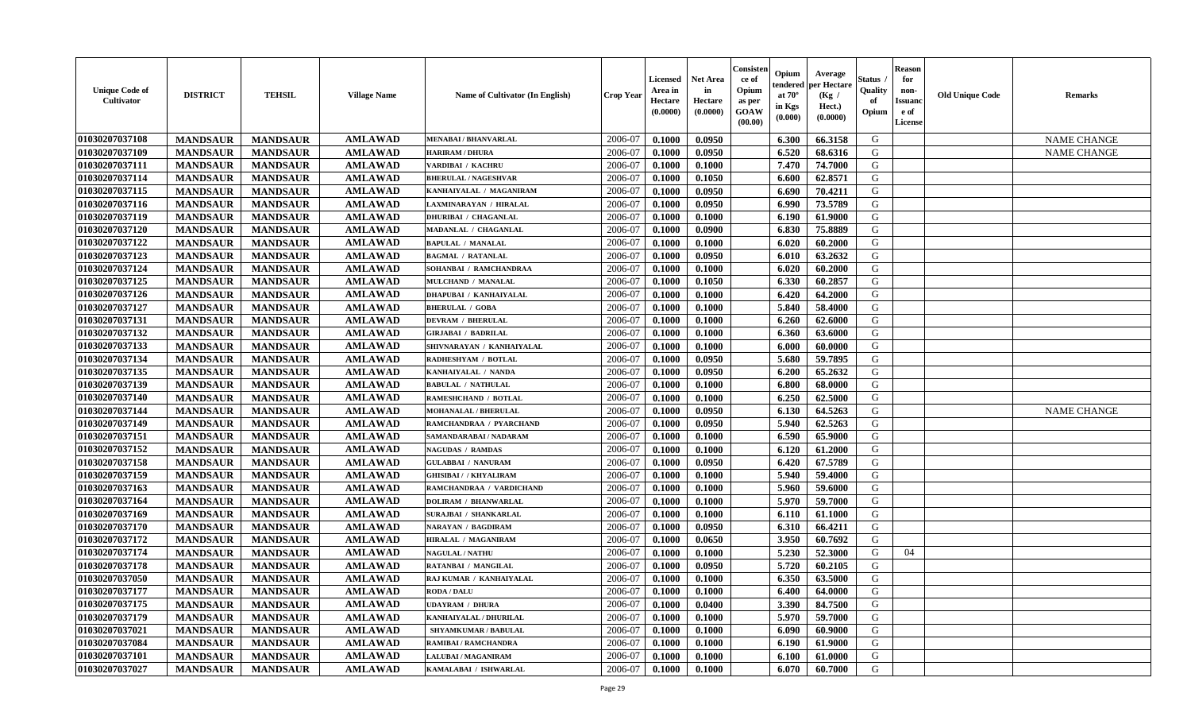| <b>Unique Code of</b><br>Cultivator | <b>DISTRICT</b> | <b>TEHSIL</b>   | <b>Village Name</b> | <b>Name of Cultivator (In English)</b> | <b>Crop Year</b> | Licensed<br>Area in<br>Hectare<br>(0.0000) | <b>Net Area</b><br>in<br>Hectare<br>(0.0000) | Consister<br>ce of<br>Opium<br>as per<br>GOAW<br>(00.00) | Opium<br>tendered<br>at $70^\circ$<br>in Kgs<br>(0.000) | Average<br>per Hectare<br>(Kg)<br>Hect.)<br>(0.0000) | Status<br>Quality<br>of<br>Opium | Reason<br>for<br>non-<br>Issuan<br>e of<br>License | <b>Old Unique Code</b> | <b>Remarks</b>     |
|-------------------------------------|-----------------|-----------------|---------------------|----------------------------------------|------------------|--------------------------------------------|----------------------------------------------|----------------------------------------------------------|---------------------------------------------------------|------------------------------------------------------|----------------------------------|----------------------------------------------------|------------------------|--------------------|
| 01030207037108                      | <b>MANDSAUR</b> | <b>MANDSAUR</b> | <b>AMLAWAD</b>      | <b>MENABAI/BHANVARLAL</b>              | 2006-07          | 0.1000                                     | 0.0950                                       |                                                          | 6.300                                                   | 66.3158                                              | G                                |                                                    |                        | <b>NAME CHANGE</b> |
| 01030207037109                      | <b>MANDSAUR</b> | <b>MANDSAUR</b> | <b>AMLAWAD</b>      | <b>HARIRAM / DHURA</b>                 | 2006-07          | 0.1000                                     | 0.0950                                       |                                                          | 6.520                                                   | 68.6316                                              | G                                |                                                    |                        | <b>NAME CHANGE</b> |
| 01030207037111                      | <b>MANDSAUR</b> | <b>MANDSAUR</b> | <b>AMLAWAD</b>      | VARDIBAI / KACHRU                      | 2006-07          | 0.1000                                     | 0.1000                                       |                                                          | 7.470                                                   | 74.7000                                              | G                                |                                                    |                        |                    |
| 01030207037114                      | <b>MANDSAUR</b> | <b>MANDSAUR</b> | <b>AMLAWAD</b>      | <b>BHERULAL / NAGESHVAR</b>            | 2006-07          | 0.1000                                     | 0.1050                                       |                                                          | 6.600                                                   | 62.8571                                              | G                                |                                                    |                        |                    |
| 01030207037115                      | <b>MANDSAUR</b> | <b>MANDSAUR</b> | <b>AMLAWAD</b>      | KANHAIYALAL / MAGANIRAM                | 2006-07          | 0.1000                                     | 0.0950                                       |                                                          | 6.690                                                   | 70.4211                                              | G                                |                                                    |                        |                    |
| 01030207037116                      | <b>MANDSAUR</b> | <b>MANDSAUR</b> | <b>AMLAWAD</b>      | <b>LAXMINARAYAN / HIRALAL</b>          | 2006-07          | 0.1000                                     | 0.0950                                       |                                                          | 6.990                                                   | 73.5789                                              | G                                |                                                    |                        |                    |
| 01030207037119                      | <b>MANDSAUR</b> | <b>MANDSAUR</b> | <b>AMLAWAD</b>      | <b>DHURIBAI / CHAGANLAL</b>            | 2006-07          | 0.1000                                     | 0.1000                                       |                                                          | 6.190                                                   | 61.9000                                              | G                                |                                                    |                        |                    |
| 01030207037120                      | <b>MANDSAUR</b> | <b>MANDSAUR</b> | <b>AMLAWAD</b>      | MADANLAL / CHAGANLAL                   | 2006-07          | 0.1000                                     | 0.0900                                       |                                                          | 6.830                                                   | 75.8889                                              | G                                |                                                    |                        |                    |
| 01030207037122                      | <b>MANDSAUR</b> | <b>MANDSAUR</b> | <b>AMLAWAD</b>      | <b>BAPULAL / MANALAL</b>               | 2006-07          | 0.1000                                     | 0.1000                                       |                                                          | 6.020                                                   | 60.2000                                              | G                                |                                                    |                        |                    |
| 01030207037123                      | <b>MANDSAUR</b> | <b>MANDSAUR</b> | <b>AMLAWAD</b>      | <b>BAGMAL / RATANLAL</b>               | 2006-07          | 0.1000                                     | 0.0950                                       |                                                          | 6.010                                                   | 63.2632                                              | G                                |                                                    |                        |                    |
| 01030207037124                      | <b>MANDSAUR</b> | <b>MANDSAUR</b> | <b>AMLAWAD</b>      | SOHANBAI / RAMCHANDRAA                 | 2006-07          | 0.1000                                     | 0.1000                                       |                                                          | 6.020                                                   | 60.2000                                              | G                                |                                                    |                        |                    |
| 01030207037125                      | <b>MANDSAUR</b> | <b>MANDSAUR</b> | <b>AMLAWAD</b>      | MULCHAND / MANALAL                     | 2006-07          | 0.1000                                     | 0.1050                                       |                                                          | 6.330                                                   | 60.2857                                              | G                                |                                                    |                        |                    |
| 01030207037126                      | <b>MANDSAUR</b> | <b>MANDSAUR</b> | <b>AMLAWAD</b>      | <b>DHAPUBAI / KANHAIYALAL</b>          | 2006-07          | 0.1000                                     | 0.1000                                       |                                                          | 6.420                                                   | 64.2000                                              | G                                |                                                    |                        |                    |
| 01030207037127                      | <b>MANDSAUR</b> | <b>MANDSAUR</b> | <b>AMLAWAD</b>      | <b>BHERULAL / GOBA</b>                 | 2006-07          | 0.1000                                     | 0.1000                                       |                                                          | 5.840                                                   | 58.4000                                              | G                                |                                                    |                        |                    |
| 01030207037131                      | <b>MANDSAUR</b> | <b>MANDSAUR</b> | <b>AMLAWAD</b>      | <b>DEVRAM / BHERULAL</b>               | 2006-07          | 0.1000                                     | 0.1000                                       |                                                          | 6.260                                                   | 62.6000                                              | G                                |                                                    |                        |                    |
| 01030207037132                      | <b>MANDSAUR</b> | <b>MANDSAUR</b> | <b>AMLAWAD</b>      | <b>GIRJABAI / BADRILAL</b>             | 2006-07          | 0.1000                                     | 0.1000                                       |                                                          | 6.360                                                   | 63.6000                                              | G                                |                                                    |                        |                    |
| 01030207037133                      | <b>MANDSAUR</b> | <b>MANDSAUR</b> | <b>AMLAWAD</b>      | SHIVNARAYAN / KANHAIYALAL              | 2006-07          | 0.1000                                     | 0.1000                                       |                                                          | 6.000                                                   | 60.0000                                              | G                                |                                                    |                        |                    |
| 01030207037134                      | <b>MANDSAUR</b> | <b>MANDSAUR</b> | <b>AMLAWAD</b>      | RADHESHYAM / BOTLAL                    | 2006-07          | 0.1000                                     | 0.0950                                       |                                                          | 5.680                                                   | 59.7895                                              | G                                |                                                    |                        |                    |
| 01030207037135                      | <b>MANDSAUR</b> | <b>MANDSAUR</b> | <b>AMLAWAD</b>      | KANHAIYALAL / NANDA                    | 2006-07          | 0.1000                                     | 0.0950                                       |                                                          | 6.200                                                   | 65.2632                                              | G                                |                                                    |                        |                    |
| 01030207037139                      | <b>MANDSAUR</b> | <b>MANDSAUR</b> | <b>AMLAWAD</b>      | <b>BABULAL / NATHULAL</b>              | 2006-07          | 0.1000                                     | 0.1000                                       |                                                          | 6.800                                                   | 68.0000                                              | G                                |                                                    |                        |                    |
| 01030207037140                      | <b>MANDSAUR</b> | <b>MANDSAUR</b> | <b>AMLAWAD</b>      | RAMESHCHAND / BOTLAL                   | 2006-07          | 0.1000                                     | 0.1000                                       |                                                          | 6.250                                                   | 62.5000                                              | G                                |                                                    |                        |                    |
| 01030207037144                      | <b>MANDSAUR</b> | <b>MANDSAUR</b> | <b>AMLAWAD</b>      | MOHANALAL / BHERULAL                   | 2006-07          | 0.1000                                     | 0.0950                                       |                                                          | 6.130                                                   | 64.5263                                              | G                                |                                                    |                        | <b>NAME CHANGE</b> |
| 01030207037149                      | <b>MANDSAUR</b> | <b>MANDSAUR</b> | <b>AMLAWAD</b>      | RAMCHANDRAA / PYARCHAND                | 2006-07          | 0.1000                                     | 0.0950                                       |                                                          | 5.940                                                   | 62.5263                                              | G                                |                                                    |                        |                    |
| 01030207037151                      | <b>MANDSAUR</b> | <b>MANDSAUR</b> | <b>AMLAWAD</b>      | SAMANDARABAI / NADARAM                 | 2006-07          | 0.1000                                     | 0.1000                                       |                                                          | 6.590                                                   | 65.9000                                              | G                                |                                                    |                        |                    |
| 01030207037152                      | <b>MANDSAUR</b> | <b>MANDSAUR</b> | <b>AMLAWAD</b>      | <b>NAGUDAS / RAMDAS</b>                | 2006-07          | 0.1000                                     | 0.1000                                       |                                                          | 6.120                                                   | 61.2000                                              | G                                |                                                    |                        |                    |
| 01030207037158                      | <b>MANDSAUR</b> | <b>MANDSAUR</b> | <b>AMLAWAD</b>      | <b>GULABBAI / NANURAM</b>              | 2006-07          | 0.1000                                     | 0.0950                                       |                                                          | 6.420                                                   | 67.5789                                              | G                                |                                                    |                        |                    |
| 01030207037159                      | <b>MANDSAUR</b> | <b>MANDSAUR</b> | <b>AMLAWAD</b>      | <b>GHISIBAI / / KHYALIRAM</b>          | 2006-07          | 0.1000                                     | 0.1000                                       |                                                          | 5.940                                                   | 59.4000                                              | G                                |                                                    |                        |                    |
| 01030207037163                      | <b>MANDSAUR</b> | <b>MANDSAUR</b> | <b>AMLAWAD</b>      | RAMCHANDRAA / VARDICHAND               | 2006-07          | 0.1000                                     | 0.1000                                       |                                                          | 5.960                                                   | 59.6000                                              | G                                |                                                    |                        |                    |
| 01030207037164                      | <b>MANDSAUR</b> | <b>MANDSAUR</b> | <b>AMLAWAD</b>      | <b>DOLIRAM / BHANWARLAL</b>            | 2006-07          | 0.1000                                     | 0.1000                                       |                                                          | 5.970                                                   | 59.7000                                              | G                                |                                                    |                        |                    |
| 01030207037169                      | <b>MANDSAUR</b> | <b>MANDSAUR</b> | <b>AMLAWAD</b>      | SURAJBAI / SHANKARLAL                  | 2006-07          | 0.1000                                     | 0.1000                                       |                                                          | 6.110                                                   | 61.1000                                              | G                                |                                                    |                        |                    |
| 01030207037170                      | <b>MANDSAUR</b> | <b>MANDSAUR</b> | <b>AMLAWAD</b>      | <b>NARAYAN / BAGDIRAM</b>              | 2006-07          | 0.1000                                     | 0.0950                                       |                                                          | 6.310                                                   | 66.4211                                              | G                                |                                                    |                        |                    |
| 01030207037172                      | <b>MANDSAUR</b> | <b>MANDSAUR</b> | <b>AMLAWAD</b>      | HIRALAL / MAGANIRAM                    | 2006-07          | 0.1000                                     | 0.0650                                       |                                                          | 3.950                                                   | 60.7692                                              | G                                |                                                    |                        |                    |
| 01030207037174                      | <b>MANDSAUR</b> | <b>MANDSAUR</b> | <b>AMLAWAD</b>      | <b>NAGULAL / NATHU</b>                 | 2006-07          | 0.1000                                     | 0.1000                                       |                                                          | 5.230                                                   | 52.3000                                              | G                                | 04                                                 |                        |                    |
| 01030207037178                      | <b>MANDSAUR</b> | <b>MANDSAUR</b> | <b>AMLAWAD</b>      | RATANBAI / MANGILAL                    | 2006-07          | 0.1000                                     | 0.0950                                       |                                                          | 5.720                                                   | 60.2105                                              | G                                |                                                    |                        |                    |
| 01030207037050                      | <b>MANDSAUR</b> | <b>MANDSAUR</b> | <b>AMLAWAD</b>      | RAJ KUMAR / KANHAIYALAL                | 2006-07          | 0.1000                                     | 0.1000                                       |                                                          | 6.350                                                   | 63.5000                                              | G                                |                                                    |                        |                    |
| 01030207037177                      | <b>MANDSAUR</b> | <b>MANDSAUR</b> | <b>AMLAWAD</b>      | <b>RODA / DALU</b>                     | $2006-07$        | 0.1000                                     | 0.1000                                       |                                                          | $6.400$                                                 | 64.0000                                              | G                                |                                                    |                        |                    |
| 01030207037175                      | <b>MANDSAUR</b> | <b>MANDSAUR</b> | <b>AMLAWAD</b>      | <b>UDAYRAM / DHURA</b>                 | 2006-07          | 0.1000                                     | 0.0400                                       |                                                          | 3.390                                                   | 84.7500                                              | G                                |                                                    |                        |                    |
| 01030207037179                      | <b>MANDSAUR</b> | <b>MANDSAUR</b> | <b>AMLAWAD</b>      | KANHAIYALAL / DHURILAL                 | 2006-07          | 0.1000                                     | 0.1000                                       |                                                          | 5.970                                                   | 59.7000                                              | G                                |                                                    |                        |                    |
| 01030207037021                      | <b>MANDSAUR</b> | <b>MANDSAUR</b> | <b>AMLAWAD</b>      | SHYAMKUMAR / BABULAL                   | 2006-07          | 0.1000                                     | 0.1000                                       |                                                          | 6.090                                                   | 60.9000                                              | G                                |                                                    |                        |                    |
| 01030207037084                      | <b>MANDSAUR</b> | <b>MANDSAUR</b> | <b>AMLAWAD</b>      | <b>RAMIBAI / RAMCHANDRA</b>            | 2006-07          | 0.1000                                     | 0.1000                                       |                                                          | 6.190                                                   | 61.9000                                              | G                                |                                                    |                        |                    |
| 01030207037101                      | <b>MANDSAUR</b> | <b>MANDSAUR</b> | <b>AMLAWAD</b>      | <b>LALUBAI / MAGANIRAM</b>             | 2006-07          | 0.1000                                     | 0.1000                                       |                                                          | 6.100                                                   | 61.0000                                              | G                                |                                                    |                        |                    |
| 01030207037027                      | <b>MANDSAUR</b> | <b>MANDSAUR</b> | <b>AMLAWAD</b>      | KAMALABAI / ISHWARLAL                  | 2006-07          | 0.1000                                     | 0.1000                                       |                                                          | 6.070                                                   | 60.7000                                              | G                                |                                                    |                        |                    |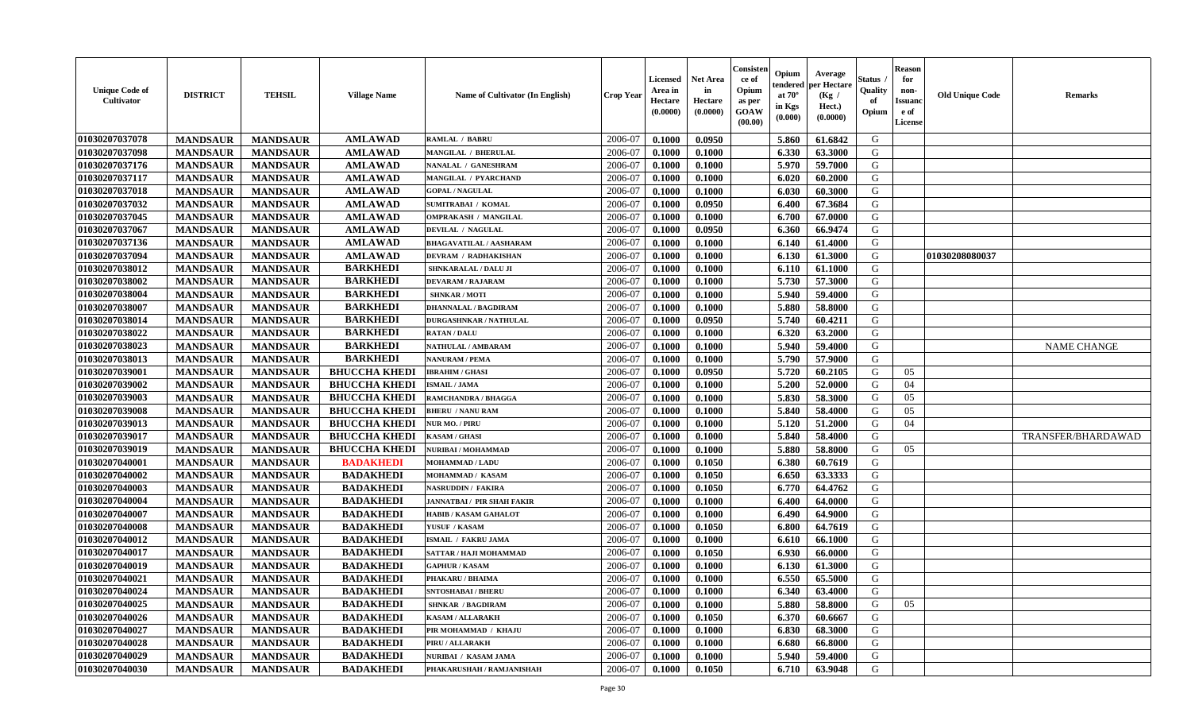| <b>Unique Code of</b><br>Cultivator | <b>DISTRICT</b> | <b>TEHSIL</b>   | <b>Village Name</b>  | Name of Cultivator (In English)   | <b>Crop Year</b> | <b>Licensed</b><br>Area in<br>Hectare<br>(0.0000) | <b>Net Area</b><br>in<br>Hectare<br>(0.0000) | Consisteı<br>ce of<br>Opium<br>as per<br>GOAW<br>(00.00) | Opium<br>endered<br>at $70^\circ$<br>in Kgs<br>$(\mathbf{0.000})$ | Average<br>oer Hectare<br>(Kg /<br>Hect.)<br>(0.0000) | Status<br>Quality<br>of<br>Opium | Reason<br>for<br>non-<br>Issuan<br>e of<br>License | <b>Old Unique Code</b> | <b>Remarks</b>     |
|-------------------------------------|-----------------|-----------------|----------------------|-----------------------------------|------------------|---------------------------------------------------|----------------------------------------------|----------------------------------------------------------|-------------------------------------------------------------------|-------------------------------------------------------|----------------------------------|----------------------------------------------------|------------------------|--------------------|
| 01030207037078                      | <b>MANDSAUR</b> | <b>MANDSAUR</b> | <b>AMLAWAD</b>       | RAMLAL / BABRU                    | 2006-07          | 0.1000                                            | 0.0950                                       |                                                          | 5.860                                                             | 61.6842                                               | G                                |                                                    |                        |                    |
| 01030207037098                      | <b>MANDSAUR</b> | <b>MANDSAUR</b> | <b>AMLAWAD</b>       | <b>MANGILAL / BHERULAL</b>        | 2006-07          | 0.1000                                            | 0.1000                                       |                                                          | 6.330                                                             | 63.3000                                               | G                                |                                                    |                        |                    |
| 01030207037176                      | <b>MANDSAUR</b> | <b>MANDSAUR</b> | <b>AMLAWAD</b>       | NANALAL / GANESHRAM               | 2006-07          | 0.1000                                            | 0.1000                                       |                                                          | 5.970                                                             | 59.7000                                               | G                                |                                                    |                        |                    |
| 01030207037117                      | <b>MANDSAUR</b> | <b>MANDSAUR</b> | <b>AMLAWAD</b>       | <b>MANGILAL / PYARCHAND</b>       | 2006-07          | 0.1000                                            | 0.1000                                       |                                                          | 6.020                                                             | 60.2000                                               | G                                |                                                    |                        |                    |
| 01030207037018                      | <b>MANDSAUR</b> | <b>MANDSAUR</b> | <b>AMLAWAD</b>       | <b>GOPAL / NAGULAL</b>            | 2006-07          | 0.1000                                            | 0.1000                                       |                                                          | 6.030                                                             | 60.3000                                               | G                                |                                                    |                        |                    |
| 01030207037032                      | <b>MANDSAUR</b> | <b>MANDSAUR</b> | <b>AMLAWAD</b>       | <b>SUMITRABAI / KOMAL</b>         | 2006-07          | 0.1000                                            | 0.0950                                       |                                                          | 6.400                                                             | 67.3684                                               | G                                |                                                    |                        |                    |
| 01030207037045                      | <b>MANDSAUR</b> | <b>MANDSAUR</b> | <b>AMLAWAD</b>       | <b>OMPRAKASH / MANGILAL</b>       | 2006-07          | 0.1000                                            | 0.1000                                       |                                                          | 6.700                                                             | 67.0000                                               | G                                |                                                    |                        |                    |
| 01030207037067                      | <b>MANDSAUR</b> | <b>MANDSAUR</b> | <b>AMLAWAD</b>       | DEVILAL / NAGULAL                 | 2006-07          | 0.1000                                            | 0.0950                                       |                                                          | 6.360                                                             | 66.9474                                               | G                                |                                                    |                        |                    |
| 01030207037136                      | <b>MANDSAUR</b> | <b>MANDSAUR</b> | <b>AMLAWAD</b>       | <b>BHAGAVATILAL / AASHARAM</b>    | 2006-07          | 0.1000                                            | 0.1000                                       |                                                          | 6.140                                                             | 61.4000                                               | G                                |                                                    |                        |                    |
| 01030207037094                      | <b>MANDSAUR</b> | <b>MANDSAUR</b> | <b>AMLAWAD</b>       | <b>DEVRAM / RADHAKISHAN</b>       | 2006-07          | 0.1000                                            | 0.1000                                       |                                                          | 6.130                                                             | 61.3000                                               | G                                |                                                    | 01030208080037         |                    |
| 01030207038012                      | <b>MANDSAUR</b> | <b>MANDSAUR</b> | <b>BARKHEDI</b>      | SHNKARALAL / DALU JI              | 2006-07          | 0.1000                                            | 0.1000                                       |                                                          | 6.110                                                             | 61.1000                                               | G                                |                                                    |                        |                    |
| 01030207038002                      | <b>MANDSAUR</b> | <b>MANDSAUR</b> | <b>BARKHEDI</b>      | <b>DEVARAM / RAJARAM</b>          | 2006-07          | 0.1000                                            | 0.1000                                       |                                                          | 5.730                                                             | 57.3000                                               | G                                |                                                    |                        |                    |
| 01030207038004                      | <b>MANDSAUR</b> | <b>MANDSAUR</b> | <b>BARKHEDI</b>      | <b>SHNKAR / MOTI</b>              | 2006-07          | 0.1000                                            | 0.1000                                       |                                                          | 5.940                                                             | 59.4000                                               | G                                |                                                    |                        |                    |
| 01030207038007                      | <b>MANDSAUR</b> | <b>MANDSAUR</b> | <b>BARKHEDI</b>      | <b>DHANNALAL / BAGDIRAM</b>       | 2006-07          | 0.1000                                            | 0.1000                                       |                                                          | 5.880                                                             | 58.8000                                               | G                                |                                                    |                        |                    |
| 01030207038014                      | <b>MANDSAUR</b> | <b>MANDSAUR</b> | <b>BARKHEDI</b>      | <b>DURGASHNKAR / NATHULAL</b>     | 2006-07          | 0.1000                                            | 0.0950                                       |                                                          | 5.740                                                             | 60.4211                                               | G                                |                                                    |                        |                    |
| 01030207038022                      | <b>MANDSAUR</b> | <b>MANDSAUR</b> | <b>BARKHEDI</b>      | <b>RATAN / DALU</b>               | 2006-07          | 0.1000                                            | 0.1000                                       |                                                          | 6.320                                                             | 63.2000                                               | G                                |                                                    |                        |                    |
| 01030207038023                      | <b>MANDSAUR</b> | <b>MANDSAUR</b> | <b>BARKHEDI</b>      | <b>NATHULAL / AMBARAM</b>         | 2006-07          | 0.1000                                            | 0.1000                                       |                                                          | 5.940                                                             | 59.4000                                               | G                                |                                                    |                        | <b>NAME CHANGE</b> |
| 01030207038013                      | <b>MANDSAUR</b> | <b>MANDSAUR</b> | <b>BARKHEDI</b>      | <b>NANURAM / PEMA</b>             | 2006-07          | 0.1000                                            | 0.1000                                       |                                                          | 5.790                                                             | 57.9000                                               | G                                |                                                    |                        |                    |
| 01030207039001                      | <b>MANDSAUR</b> | <b>MANDSAUR</b> | <b>BHUCCHA KHEDI</b> | <b>IBRAHIM / GHASI</b>            | 2006-07          | 0.1000                                            | 0.0950                                       |                                                          | 5.720                                                             | 60.2105                                               | G                                | 05                                                 |                        |                    |
| 01030207039002                      | <b>MANDSAUR</b> | <b>MANDSAUR</b> | <b>BHUCCHA KHEDI</b> | <b>ISMAIL / JAMA</b>              | 2006-07          | 0.1000                                            | 0.1000                                       |                                                          | 5.200                                                             | 52.0000                                               | G                                | 04                                                 |                        |                    |
| 01030207039003                      | <b>MANDSAUR</b> | <b>MANDSAUR</b> | <b>BHUCCHA KHEDI</b> | RAMCHANDRA / BHAGGA               | 2006-07          | 0.1000                                            | 0.1000                                       |                                                          | 5.830                                                             | 58.3000                                               | G                                | 05                                                 |                        |                    |
| 01030207039008                      | <b>MANDSAUR</b> | <b>MANDSAUR</b> | <b>BHUCCHA KHEDI</b> | <b>BHERU / NANU RAM</b>           | 2006-07          | 0.1000                                            | 0.1000                                       |                                                          | 5.840                                                             | 58.4000                                               | G                                | 05                                                 |                        |                    |
| 01030207039013                      | <b>MANDSAUR</b> | <b>MANDSAUR</b> | <b>BHUCCHA KHEDI</b> | <b>NUR MO. / PIRU</b>             | 2006-07          | 0.1000                                            | 0.1000                                       |                                                          | 5.120                                                             | 51.2000                                               | G                                | 04                                                 |                        |                    |
| 01030207039017                      | <b>MANDSAUR</b> | <b>MANDSAUR</b> | <b>BHUCCHA KHEDI</b> | <b>KASAM / GHASI</b>              | 2006-07          | 0.1000                                            | 0.1000                                       |                                                          | 5.840                                                             | 58.4000                                               | G                                |                                                    |                        | TRANSFER/BHARDAWAD |
| 01030207039019                      | <b>MANDSAUR</b> | <b>MANDSAUR</b> | <b>BHUCCHA KHEDI</b> | NURIBAI / MOHAMMAD                | 2006-07          | 0.1000                                            | 0.1000                                       |                                                          | 5.880                                                             | 58.8000                                               | G                                | 05                                                 |                        |                    |
| 01030207040001                      | <b>MANDSAUR</b> | <b>MANDSAUR</b> | <b>BADAKHEDI</b>     | <b>MOHAMMAD / LADU</b>            | 2006-07          | 0.1000                                            | 0.1050                                       |                                                          | 6.380                                                             | 60.7619                                               | G                                |                                                    |                        |                    |
| 01030207040002                      | <b>MANDSAUR</b> | <b>MANDSAUR</b> | <b>BADAKHEDI</b>     | MOHAMMAD / KASAM                  | 2006-07          | 0.1000                                            | 0.1050                                       |                                                          | 6.650                                                             | 63.3333                                               | G                                |                                                    |                        |                    |
| 01030207040003                      | <b>MANDSAUR</b> | <b>MANDSAUR</b> | <b>BADAKHEDI</b>     | NASRUDDIN / FAKIRA                | 2006-07          | 0.1000                                            | 0.1050                                       |                                                          | 6.770                                                             | 64.4762                                               | G                                |                                                    |                        |                    |
| 01030207040004                      | <b>MANDSAUR</b> | <b>MANDSAUR</b> | <b>BADAKHEDI</b>     | <b>JANNATBAI / PIR SHAH FAKIR</b> | 2006-07          | 0.1000                                            | 0.1000                                       |                                                          | 6.400                                                             | 64.0000                                               | G                                |                                                    |                        |                    |
| 01030207040007                      | <b>MANDSAUR</b> | <b>MANDSAUR</b> | <b>BADAKHEDI</b>     | <b>HABIB / KASAM GAHALOT</b>      | 2006-07          | 0.1000                                            | 0.1000                                       |                                                          | 6.490                                                             | 64.9000                                               | G                                |                                                    |                        |                    |
| 01030207040008                      | <b>MANDSAUR</b> | <b>MANDSAUR</b> | <b>BADAKHEDI</b>     | YUSUF / KASAM                     | 2006-07          | 0.1000                                            | 0.1050                                       |                                                          | 6.800                                                             | 64.7619                                               | G                                |                                                    |                        |                    |
| 01030207040012                      | <b>MANDSAUR</b> | <b>MANDSAUR</b> | <b>BADAKHEDI</b>     | <b>ISMAIL / FAKRU JAMA</b>        | 2006-07          | 0.1000                                            | 0.1000                                       |                                                          | 6.610                                                             | 66.1000                                               | G                                |                                                    |                        |                    |
| 01030207040017                      | <b>MANDSAUR</b> | <b>MANDSAUR</b> | <b>BADAKHEDI</b>     | SATTAR / HAJI MOHAMMAD            | 2006-07          | 0.1000                                            | 0.1050                                       |                                                          | 6.930                                                             | 66.0000                                               | G                                |                                                    |                        |                    |
| 01030207040019                      | <b>MANDSAUR</b> | <b>MANDSAUR</b> | <b>BADAKHEDI</b>     | <b>GAPHUR / KASAM</b>             | 2006-07          | 0.1000                                            | 0.1000                                       |                                                          | 6.130                                                             | 61.3000                                               | G                                |                                                    |                        |                    |
| 01030207040021                      | <b>MANDSAUR</b> | <b>MANDSAUR</b> | <b>BADAKHEDI</b>     | PHAKARU / BHAIMA                  | 2006-07          | 0.1000                                            | 0.1000                                       |                                                          | 6.550                                                             | 65.5000                                               | G                                |                                                    |                        |                    |
| 01030207040024                      | <b>MANDSAUR</b> | MANDSAUR        | <b>BADAKHEDI</b>     | <b>SNTOSHABAI / BHERU</b>         | 2006-07          | 0.1000                                            | 0.1000                                       |                                                          | 6.340                                                             | 63.4000                                               | G                                |                                                    |                        |                    |
| 01030207040025                      | <b>MANDSAUR</b> | <b>MANDSAUR</b> | <b>BADAKHEDI</b>     | <b>SHNKAR / BAGDIRAM</b>          | 2006-07          | 0.1000                                            | 0.1000                                       |                                                          | 5.880                                                             | 58.8000                                               | G                                | 05                                                 |                        |                    |
| 01030207040026                      | <b>MANDSAUR</b> | <b>MANDSAUR</b> | <b>BADAKHEDI</b>     | <b>KASAM / ALLARAKH</b>           | 2006-07          | 0.1000                                            | 0.1050                                       |                                                          | 6.370                                                             | 60.6667                                               | G                                |                                                    |                        |                    |
| 01030207040027                      | <b>MANDSAUR</b> | <b>MANDSAUR</b> | <b>BADAKHEDI</b>     | PIR MOHAMMAD / KHAJU              | 2006-07          | 0.1000                                            | 0.1000                                       |                                                          | 6.830                                                             | 68.3000                                               | G                                |                                                    |                        |                    |
| 01030207040028                      | <b>MANDSAUR</b> | <b>MANDSAUR</b> | <b>BADAKHEDI</b>     | PIRU / ALLARAKH                   | 2006-07          | 0.1000                                            | 0.1000                                       |                                                          | 6.680                                                             | 66.8000                                               | G                                |                                                    |                        |                    |
| 01030207040029                      | <b>MANDSAUR</b> | <b>MANDSAUR</b> | <b>BADAKHEDI</b>     | NURIBAI / KASAM JAMA              | 2006-07          | 0.1000                                            | 0.1000                                       |                                                          | 5.940                                                             | 59.4000                                               | G                                |                                                    |                        |                    |
| 01030207040030                      | <b>MANDSAUR</b> | <b>MANDSAUR</b> | <b>BADAKHEDI</b>     | PHAKARUSHAH / RAMJANISHAH         | 2006-07          | $\boldsymbol{0.1000}$                             | 0.1050                                       |                                                          | 6.710                                                             | 63.9048                                               | G                                |                                                    |                        |                    |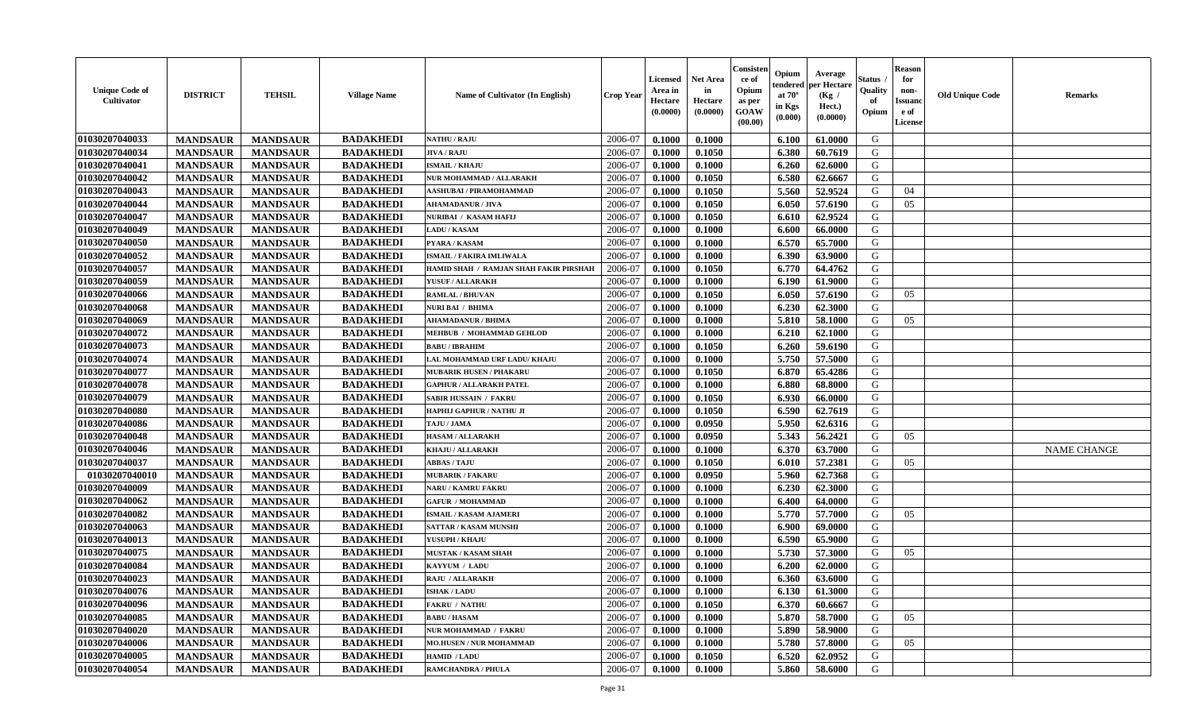| <b>Unique Code of</b><br><b>Cultivator</b> | <b>DISTRICT</b> | <b>TEHSIL</b>   | <b>Village Name</b> | <b>Name of Cultivator (In English)</b> | <b>Crop Year</b> | <b>Licensed</b><br>Area in<br>Hectare<br>(0.0000) | <b>Net Area</b><br>in<br>Hectare<br>(0.0000) | Consister<br>ce of<br>Opium<br>as per<br><b>GOAW</b><br>(00.00) | Opium<br>endered<br>at $70^{\circ}$<br>in Kgs<br>$(\mathbf{0.000})$ | Average<br>per Hectare<br>(Kg /<br>Hect.)<br>(0.0000) | Status<br>Quality<br>of<br>Opium | <b>Reason</b><br>for<br>non-<br><b>Issuand</b><br>e of<br>License | <b>Old Unique Code</b> | <b>Remarks</b>     |
|--------------------------------------------|-----------------|-----------------|---------------------|----------------------------------------|------------------|---------------------------------------------------|----------------------------------------------|-----------------------------------------------------------------|---------------------------------------------------------------------|-------------------------------------------------------|----------------------------------|-------------------------------------------------------------------|------------------------|--------------------|
| 01030207040033                             | <b>MANDSAUR</b> | <b>MANDSAUR</b> | <b>BADAKHEDI</b>    | <b>NATHU / RAJU</b>                    | 2006-07          | 0.1000                                            | 0.1000                                       |                                                                 | 6.100                                                               | 61.0000                                               | G                                |                                                                   |                        |                    |
| 01030207040034                             | <b>MANDSAUR</b> | <b>MANDSAUR</b> | <b>BADAKHEDI</b>    | <b>JIVA / RAJU</b>                     | 2006-07          | 0.1000                                            | 0.1050                                       |                                                                 | 6.380                                                               | 60.7619                                               | G                                |                                                                   |                        |                    |
| 01030207040041                             | <b>MANDSAUR</b> | <b>MANDSAUR</b> | <b>BADAKHEDI</b>    | <b>ISMAIL/KHAJU</b>                    | 2006-07          | 0.1000                                            | 0.1000                                       |                                                                 | 6.260                                                               | 62.6000                                               | G                                |                                                                   |                        |                    |
| 01030207040042                             | <b>MANDSAUR</b> | <b>MANDSAUR</b> | <b>BADAKHEDI</b>    | NUR MOHAMMAD / ALLARAKH                | 2006-07          | 0.1000                                            | 0.1050                                       |                                                                 | 6.580                                                               | 62.6667                                               | G                                |                                                                   |                        |                    |
| 01030207040043                             | <b>MANDSAUR</b> | <b>MANDSAUR</b> | <b>BADAKHEDI</b>    | AASHUBAI / PIRAMOHAMMAD                | 2006-07          | 0.1000                                            | 0.1050                                       |                                                                 | 5.560                                                               | 52.9524                                               | G                                | 04                                                                |                        |                    |
| 01030207040044                             | <b>MANDSAUR</b> | <b>MANDSAUR</b> | <b>BADAKHEDI</b>    | <b>AHAMADANUR / JIVA</b>               | 2006-07          | 0.1000                                            | 0.1050                                       |                                                                 | 6.050                                                               | 57.6190                                               | G                                | 05                                                                |                        |                    |
| 01030207040047                             | <b>MANDSAUR</b> | <b>MANDSAUR</b> | <b>BADAKHEDI</b>    | NURIBAI / KASAM HAFIJ                  | 2006-07          | 0.1000                                            | 0.1050                                       |                                                                 | 6.610                                                               | 62.9524                                               | G                                |                                                                   |                        |                    |
| 01030207040049                             | <b>MANDSAUR</b> | <b>MANDSAUR</b> | <b>BADAKHEDI</b>    | <b>LADU / KASAM</b>                    | 2006-07          | 0.1000                                            | 0.1000                                       |                                                                 | 6.600                                                               | 66.0000                                               | G                                |                                                                   |                        |                    |
| 01030207040050                             | <b>MANDSAUR</b> | <b>MANDSAUR</b> | <b>BADAKHEDI</b>    | PYARA / KASAM                          | 2006-07          | 0.1000                                            | 0.1000                                       |                                                                 | 6.570                                                               | 65.7000                                               | G                                |                                                                   |                        |                    |
| 01030207040052                             | <b>MANDSAUR</b> | <b>MANDSAUR</b> | <b>BADAKHEDI</b>    | ISMAIL / FAKIRA IMLIWALA               | 2006-07          | 0.1000                                            | 0.1000                                       |                                                                 | 6.390                                                               | 63.9000                                               | G                                |                                                                   |                        |                    |
| 01030207040057                             | <b>MANDSAUR</b> | <b>MANDSAUR</b> | <b>BADAKHEDI</b>    | HAMID SHAH / RAMJAN SHAH FAKIR PIRSHAH | 2006-07          | 0.1000                                            | 0.1050                                       |                                                                 | 6.770                                                               | 64.4762                                               | G                                |                                                                   |                        |                    |
| 01030207040059                             | <b>MANDSAUR</b> | <b>MANDSAUR</b> | <b>BADAKHEDI</b>    | YUSUF / ALLARAKH                       | 2006-07          | 0.1000                                            | 0.1000                                       |                                                                 | 6.190                                                               | 61.9000                                               | G                                |                                                                   |                        |                    |
| 01030207040066                             | <b>MANDSAUR</b> | <b>MANDSAUR</b> | <b>BADAKHEDI</b>    | <b>RAMLAL / BHUVAN</b>                 | 2006-07          | 0.1000                                            | 0.1050                                       |                                                                 | 6.050                                                               | 57.6190                                               | G                                | 05                                                                |                        |                    |
| 01030207040068                             | <b>MANDSAUR</b> | <b>MANDSAUR</b> | <b>BADAKHEDI</b>    | NURI BAI / BHIMA                       | 2006-07          | 0.1000                                            | 0.1000                                       |                                                                 | 6.230                                                               | 62.3000                                               | G                                |                                                                   |                        |                    |
| 01030207040069                             | <b>MANDSAUR</b> | <b>MANDSAUR</b> | <b>BADAKHEDI</b>    | <b>AHAMADANUR / BHIMA</b>              | 2006-07          | 0.1000                                            | 0.1000                                       |                                                                 | 5.810                                                               | 58.1000                                               | G                                | 05                                                                |                        |                    |
| 01030207040072                             | <b>MANDSAUR</b> | <b>MANDSAUR</b> | <b>BADAKHEDI</b>    | MEHBUB / MOHAMMAD GEHLOD               | 2006-07          | 0.1000                                            | 0.1000                                       |                                                                 | 6.210                                                               | 62.1000                                               | G                                |                                                                   |                        |                    |
| 01030207040073                             | <b>MANDSAUR</b> | <b>MANDSAUR</b> | <b>BADAKHEDI</b>    | <b>BABU / IBRAHIM</b>                  | 2006-07          | 0.1000                                            | 0.1050                                       |                                                                 | 6.260                                                               | 59.6190                                               | G                                |                                                                   |                        |                    |
| 01030207040074                             | <b>MANDSAUR</b> | <b>MANDSAUR</b> | <b>BADAKHEDI</b>    | LAL MOHAMMAD URF LADU/ KHAJU           | 2006-07          | 0.1000                                            | 0.1000                                       |                                                                 | 5.750                                                               | 57.5000                                               | G                                |                                                                   |                        |                    |
| 01030207040077                             | <b>MANDSAUR</b> | <b>MANDSAUR</b> | <b>BADAKHEDI</b>    | <b>MUBARIK HUSEN / PHAKARU</b>         | 2006-07          | 0.1000                                            | 0.1050                                       |                                                                 | 6.870                                                               | 65.4286                                               | G                                |                                                                   |                        |                    |
| 01030207040078                             | <b>MANDSAUR</b> | <b>MANDSAUR</b> | <b>BADAKHEDI</b>    | <b>GAPHUR / ALLARAKH PATEL</b>         | 2006-07          | 0.1000                                            | 0.1000                                       |                                                                 | 6.880                                                               | 68.8000                                               | G                                |                                                                   |                        |                    |
| 01030207040079                             | <b>MANDSAUR</b> | <b>MANDSAUR</b> | <b>BADAKHEDI</b>    | SABIR HUSSAIN / FAKRU                  | 2006-07          | 0.1000                                            | 0.1050                                       |                                                                 | 6.930                                                               | 66.0000                                               | G                                |                                                                   |                        |                    |
| 01030207040080                             | <b>MANDSAUR</b> | <b>MANDSAUR</b> | <b>BADAKHEDI</b>    | HAPHIJ GAPHUR / NATHU JI               | 2006-07          | 0.1000                                            | 0.1050                                       |                                                                 | 6.590                                                               | 62.7619                                               | G                                |                                                                   |                        |                    |
| 01030207040086                             | <b>MANDSAUR</b> | <b>MANDSAUR</b> | <b>BADAKHEDI</b>    | TAJU / JAMA                            | 2006-07          | 0.1000                                            | 0.0950                                       |                                                                 | 5.950                                                               | 62.6316                                               | G                                |                                                                   |                        |                    |
| 01030207040048                             | <b>MANDSAUR</b> | <b>MANDSAUR</b> | <b>BADAKHEDI</b>    | <b>HASAM / ALLARAKH</b>                | 2006-07          | 0.1000                                            | 0.0950                                       |                                                                 | 5.343                                                               | 56.2421                                               | G                                | 05                                                                |                        |                    |
| 01030207040046                             | <b>MANDSAUR</b> | <b>MANDSAUR</b> | <b>BADAKHEDI</b>    | KHAJU / ALLARAKH                       | 2006-07          | 0.1000                                            | 0.1000                                       |                                                                 | 6.370                                                               | 63.7000                                               | G                                |                                                                   |                        | <b>NAME CHANGE</b> |
| 01030207040037                             | <b>MANDSAUR</b> | <b>MANDSAUR</b> | <b>BADAKHEDI</b>    | <b>ABBAS / TAJU</b>                    | 2006-07          | 0.1000                                            | 0.1050                                       |                                                                 | 6.010                                                               | 57.2381                                               | G                                | 05                                                                |                        |                    |
| 01030207040010                             | <b>MANDSAUR</b> | <b>MANDSAUR</b> | <b>BADAKHEDI</b>    | <b>MUBARIK / FAKARU</b>                | 2006-07          | 0.1000                                            | 0.0950                                       |                                                                 | 5.960                                                               | 62.7368                                               | G                                |                                                                   |                        |                    |
| 01030207040009                             | <b>MANDSAUR</b> | <b>MANDSAUR</b> | <b>BADAKHEDI</b>    | NARU / KAMRU FAKRU                     | 2006-07          | 0.1000                                            | 0.1000                                       |                                                                 | 6.230                                                               | 62.3000                                               | G                                |                                                                   |                        |                    |
| 01030207040062                             | <b>MANDSAUR</b> | <b>MANDSAUR</b> | <b>BADAKHEDI</b>    | <b>GAFUR / MOHAMMAD</b>                | 2006-07          | 0.1000                                            | 0.1000                                       |                                                                 | 6.400                                                               | 64.0000                                               | G                                |                                                                   |                        |                    |
| 01030207040082                             | <b>MANDSAUR</b> | <b>MANDSAUR</b> | <b>BADAKHEDI</b>    | <b>ISMAIL / KASAM AJAMERI</b>          | 2006-07          | 0.1000                                            | 0.1000                                       |                                                                 | 5.770                                                               | 57.7000                                               | G                                | 05                                                                |                        |                    |
| 01030207040063                             | <b>MANDSAUR</b> | <b>MANDSAUR</b> | <b>BADAKHEDI</b>    | <b>SATTAR / KASAM MUNSHI</b>           | 2006-07          | 0.1000                                            | 0.1000                                       |                                                                 | 6.900                                                               | 69.0000                                               | G                                |                                                                   |                        |                    |
| 01030207040013                             | <b>MANDSAUR</b> | <b>MANDSAUR</b> | <b>BADAKHEDI</b>    | YUSUPH / KHAJU                         | 2006-07          | 0.1000                                            | 0.1000                                       |                                                                 | 6.590                                                               | 65.9000                                               | G                                |                                                                   |                        |                    |
| 01030207040075                             | <b>MANDSAUR</b> | <b>MANDSAUR</b> | <b>BADAKHEDI</b>    | <b>MUSTAK / KASAM SHAH</b>             | 2006-07          | 0.1000                                            | 0.1000                                       |                                                                 | 5.730                                                               | 57.3000                                               | G                                | 05                                                                |                        |                    |
| 01030207040084                             | <b>MANDSAUR</b> | <b>MANDSAUR</b> | <b>BADAKHEDI</b>    | KAYYUM / LADU                          | 2006-07          | 0.1000                                            | 0.1000                                       |                                                                 | 6.200                                                               | 62.0000                                               | G                                |                                                                   |                        |                    |
| 01030207040023                             | <b>MANDSAUR</b> | <b>MANDSAUR</b> | <b>BADAKHEDI</b>    | RAJU / ALLARAKH                        | 2006-07          | 0.1000                                            | 0.1000                                       |                                                                 | 6.360                                                               | 63.6000                                               | G                                |                                                                   |                        |                    |
| 01030207040076                             | <b>MANDSAUR</b> | MANDSAUR        | <b>BADAKHEDI</b>    | <b>ISHAK / LADU</b>                    | 2006-07          | 0.1000                                            | 0.1000                                       |                                                                 | 6.130                                                               | 61.3000                                               | G                                |                                                                   |                        |                    |
| 01030207040096                             | <b>MANDSAUR</b> | <b>MANDSAUR</b> | <b>BADAKHEDI</b>    | <b>FAKRU / NATHU</b>                   | 2006-07          | 0.1000                                            | 0.1050                                       |                                                                 | 6.370                                                               | 60.6667                                               | G                                |                                                                   |                        |                    |
| 01030207040085                             | <b>MANDSAUR</b> | <b>MANDSAUR</b> | <b>BADAKHEDI</b>    | <b>BABU / HASAM</b>                    | 2006-07          | 0.1000                                            | 0.1000                                       |                                                                 | 5.870                                                               | 58.7000                                               | G                                | 05                                                                |                        |                    |
| 01030207040020                             | <b>MANDSAUR</b> | <b>MANDSAUR</b> | <b>BADAKHEDI</b>    | NUR MOHAMMAD / FAKRU                   | 2006-07          | 0.1000                                            | 0.1000                                       |                                                                 | 5.890                                                               | 58.9000                                               | G                                |                                                                   |                        |                    |
| 01030207040006                             | <b>MANDSAUR</b> | <b>MANDSAUR</b> | <b>BADAKHEDI</b>    | <b>MO.HUSEN / NUR MOHAMMAD</b>         | 2006-07          | 0.1000                                            | 0.1000                                       |                                                                 | 5.780                                                               | 57.8000                                               | G                                | 05                                                                |                        |                    |
| 01030207040005                             | <b>MANDSAUR</b> | <b>MANDSAUR</b> | <b>BADAKHEDI</b>    | HAMID / LADU                           | 2006-07          | 0.1000                                            | 0.1050                                       |                                                                 | 6.520                                                               | 62.0952                                               | G                                |                                                                   |                        |                    |
| 01030207040054                             | <b>MANDSAUR</b> | <b>MANDSAUR</b> | <b>BADAKHEDI</b>    | <b>RAMCHANDRA / PHULA</b>              | 2006-07          | 0.1000                                            | 0.1000                                       |                                                                 | 5.860                                                               | 58.6000                                               | G                                |                                                                   |                        |                    |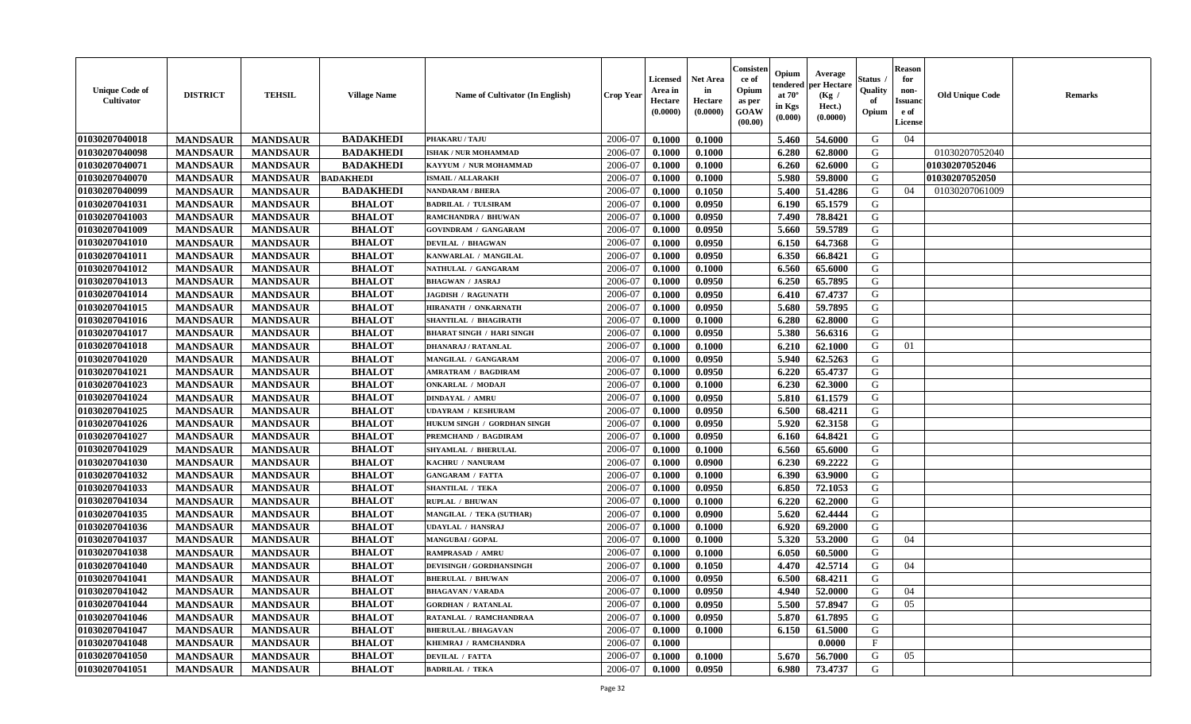| <b>Unique Code of</b><br><b>Cultivator</b> | <b>DISTRICT</b> | <b>TEHSIL</b>   | <b>Village Name</b> | <b>Name of Cultivator (In English)</b> | <b>Crop Year</b> | <b>Licensed</b><br>Area in<br>Hectare<br>(0.0000) | <b>Net Area</b><br>in<br>Hectare<br>(0.0000) | Consister<br>ce of<br>Opium<br>as per<br><b>GOAW</b><br>(00.00) | Opium<br>endered<br>at $70^\circ$<br>in Kgs<br>$(\mathbf{0.000})$ | Average<br>per Hectare<br>(Kg)<br>Hect.)<br>(0.0000) | Status<br>Quality<br>of<br>Opium | <b>Reason</b><br>for<br>non-<br><b>Issuano</b><br>e of<br>License | <b>Old Unique Code</b> | <b>Remarks</b> |
|--------------------------------------------|-----------------|-----------------|---------------------|----------------------------------------|------------------|---------------------------------------------------|----------------------------------------------|-----------------------------------------------------------------|-------------------------------------------------------------------|------------------------------------------------------|----------------------------------|-------------------------------------------------------------------|------------------------|----------------|
| 01030207040018                             | <b>MANDSAUR</b> | <b>MANDSAUR</b> | <b>BADAKHEDI</b>    | PHAKARU / TAJU                         | 2006-07          | 0.1000                                            | 0.1000                                       |                                                                 | 5.460                                                             | 54.6000                                              | G                                | 04                                                                |                        |                |
| 01030207040098                             | <b>MANDSAUR</b> | <b>MANDSAUR</b> | <b>BADAKHEDI</b>    | <b>ISHAK / NUR MOHAMMAD</b>            | 2006-07          | 0.1000                                            | 0.1000                                       |                                                                 | 6.280                                                             | 62.8000                                              | G                                |                                                                   | 01030207052040         |                |
| 01030207040071                             | <b>MANDSAUR</b> | <b>MANDSAUR</b> | <b>BADAKHEDI</b>    | KAYYUM / NUR MOHAMMAD                  | 2006-07          | 0.1000                                            | 0.1000                                       |                                                                 | 6.260                                                             | 62.6000                                              | G                                |                                                                   | 01030207052046         |                |
| 01030207040070                             | <b>MANDSAUR</b> | <b>MANDSAUR</b> | <b>BADAKHEDI</b>    | <b>ISMAIL / ALLARAKH</b>               | 2006-07          | 0.1000                                            | 0.1000                                       |                                                                 | 5.980                                                             | 59.8000                                              | G                                |                                                                   | 01030207052050         |                |
| 01030207040099                             | <b>MANDSAUR</b> | <b>MANDSAUR</b> | <b>BADAKHEDI</b>    | <b>NANDARAM / BHERA</b>                | 2006-07          | 0.1000                                            | 0.1050                                       |                                                                 | 5.400                                                             | 51.4286                                              | G                                | 04                                                                | 01030207061009         |                |
| 01030207041031                             | <b>MANDSAUR</b> | <b>MANDSAUR</b> | <b>BHALOT</b>       | <b>BADRILAL / TULSIRAM</b>             | 2006-07          | 0.1000                                            | 0.0950                                       |                                                                 | 6.190                                                             | 65.1579                                              | G                                |                                                                   |                        |                |
| 01030207041003                             | <b>MANDSAUR</b> | <b>MANDSAUR</b> | <b>BHALOT</b>       | RAMCHANDRA / BHUWAN                    | 2006-07          | 0.1000                                            | 0.0950                                       |                                                                 | 7.490                                                             | 78.8421                                              | G                                |                                                                   |                        |                |
| 01030207041009                             | <b>MANDSAUR</b> | <b>MANDSAUR</b> | <b>BHALOT</b>       | <b>GOVINDRAM / GANGARAM</b>            | 2006-07          | 0.1000                                            | 0.0950                                       |                                                                 | 5.660                                                             | 59.5789                                              | G                                |                                                                   |                        |                |
| 01030207041010                             | <b>MANDSAUR</b> | <b>MANDSAUR</b> | <b>BHALOT</b>       | <b>DEVILAL / BHAGWAN</b>               | 2006-07          | 0.1000                                            | 0.0950                                       |                                                                 | 6.150                                                             | 64.7368                                              | G                                |                                                                   |                        |                |
| 01030207041011                             | <b>MANDSAUR</b> | <b>MANDSAUR</b> | <b>BHALOT</b>       | KANWARLAL / MANGILAL                   | 2006-07          | 0.1000                                            | 0.0950                                       |                                                                 | 6.350                                                             | 66.8421                                              | G                                |                                                                   |                        |                |
| 01030207041012                             | <b>MANDSAUR</b> | <b>MANDSAUR</b> | <b>BHALOT</b>       | NATHULAL / GANGARAM                    | 2006-07          | 0.1000                                            | 0.1000                                       |                                                                 | 6.560                                                             | 65.6000                                              | G                                |                                                                   |                        |                |
| 01030207041013                             | <b>MANDSAUR</b> | <b>MANDSAUR</b> | <b>BHALOT</b>       | <b>BHAGWAN / JASRAJ</b>                | 2006-07          | 0.1000                                            | 0.0950                                       |                                                                 | 6.250                                                             | 65.7895                                              | G                                |                                                                   |                        |                |
| 01030207041014                             | <b>MANDSAUR</b> | <b>MANDSAUR</b> | <b>BHALOT</b>       | <b>JAGDISH / RAGUNATH</b>              | 2006-07          | 0.1000                                            | 0.0950                                       |                                                                 | 6.410                                                             | 67.4737                                              | G                                |                                                                   |                        |                |
| 01030207041015                             | <b>MANDSAUR</b> | <b>MANDSAUR</b> | <b>BHALOT</b>       | HIRANATH / ONKARNATH                   | 2006-07          | 0.1000                                            | 0.0950                                       |                                                                 | 5.680                                                             | 59.7895                                              | G                                |                                                                   |                        |                |
| 01030207041016                             | <b>MANDSAUR</b> | <b>MANDSAUR</b> | <b>BHALOT</b>       | SHANTILAL / BHAGIRATH                  | 2006-07          | 0.1000                                            | 0.1000                                       |                                                                 | 6.280                                                             | 62.8000                                              | G                                |                                                                   |                        |                |
| 01030207041017                             | <b>MANDSAUR</b> | <b>MANDSAUR</b> | <b>BHALOT</b>       | <b>BHARAT SINGH / HARI SINGH</b>       | 2006-07          | 0.1000                                            | 0.0950                                       |                                                                 | 5.380                                                             | 56.6316                                              | G                                |                                                                   |                        |                |
| 01030207041018                             | <b>MANDSAUR</b> | <b>MANDSAUR</b> | <b>BHALOT</b>       | <b>DHANARAJ / RATANLAL</b>             | 2006-07          | 0.1000                                            | 0.1000                                       |                                                                 | 6.210                                                             | 62.1000                                              | G                                | 01                                                                |                        |                |
| 01030207041020                             | <b>MANDSAUR</b> | <b>MANDSAUR</b> | <b>BHALOT</b>       | MANGILAL / GANGARAM                    | 2006-07          | 0.1000                                            | 0.0950                                       |                                                                 | 5.940                                                             | 62.5263                                              | G                                |                                                                   |                        |                |
| 01030207041021                             | <b>MANDSAUR</b> | <b>MANDSAUR</b> | <b>BHALOT</b>       | AMRATRAM / BAGDIRAM                    | 2006-07          | 0.1000                                            | 0.0950                                       |                                                                 | 6.220                                                             | 65.4737                                              | G                                |                                                                   |                        |                |
| 01030207041023                             | <b>MANDSAUR</b> | <b>MANDSAUR</b> | <b>BHALOT</b>       | <b>ONKARLAL / MODAJI</b>               | 2006-07          | 0.1000                                            | 0.1000                                       |                                                                 | 6.230                                                             | 62.3000                                              | G                                |                                                                   |                        |                |
| 01030207041024                             | <b>MANDSAUR</b> | <b>MANDSAUR</b> | <b>BHALOT</b>       | <b>DINDAYAL / AMRU</b>                 | 2006-07          | 0.1000                                            | 0.0950                                       |                                                                 | 5.810                                                             | 61.1579                                              | G                                |                                                                   |                        |                |
| 01030207041025                             | <b>MANDSAUR</b> | <b>MANDSAUR</b> | <b>BHALOT</b>       | <b>UDAYRAM / KESHURAM</b>              | 2006-07          | 0.1000                                            | 0.0950                                       |                                                                 | 6.500                                                             | 68.4211                                              | G                                |                                                                   |                        |                |
| 01030207041026                             | <b>MANDSAUR</b> | <b>MANDSAUR</b> | <b>BHALOT</b>       | HUKUM SINGH / GORDHAN SINGH            | 2006-07          | 0.1000                                            | 0.0950                                       |                                                                 | 5.920                                                             | 62.3158                                              | G                                |                                                                   |                        |                |
| 01030207041027                             | <b>MANDSAUR</b> | <b>MANDSAUR</b> | <b>BHALOT</b>       | PREMCHAND / BAGDIRAM                   | 2006-07          | 0.1000                                            | 0.0950                                       |                                                                 | 6.160                                                             | 64.8421                                              | G                                |                                                                   |                        |                |
| 01030207041029                             | <b>MANDSAUR</b> | <b>MANDSAUR</b> | <b>BHALOT</b>       | SHYAMLAL / BHERULAL                    | 2006-07          | 0.1000                                            | 0.1000                                       |                                                                 | 6.560                                                             | 65.6000                                              | G                                |                                                                   |                        |                |
| 01030207041030                             | <b>MANDSAUR</b> | <b>MANDSAUR</b> | <b>BHALOT</b>       | KACHRU / NANURAM                       | 2006-07          | 0.1000                                            | 0.0900                                       |                                                                 | 6.230                                                             | 69.2222                                              | G                                |                                                                   |                        |                |
| 01030207041032                             | <b>MANDSAUR</b> | <b>MANDSAUR</b> | <b>BHALOT</b>       | <b>GANGARAM / FATTA</b>                | 2006-07          | 0.1000                                            | 0.1000                                       |                                                                 | 6.390                                                             | 63.9000                                              | G                                |                                                                   |                        |                |
| 01030207041033                             | <b>MANDSAUR</b> | <b>MANDSAUR</b> | <b>BHALOT</b>       | SHANTILAL / TEKA                       | 2006-07          | 0.1000                                            | 0.0950                                       |                                                                 | 6.850                                                             | 72.1053                                              | G                                |                                                                   |                        |                |
| 01030207041034                             | <b>MANDSAUR</b> | <b>MANDSAUR</b> | <b>BHALOT</b>       | <b>RUPLAL / BHUWAN</b>                 | 2006-07          | 0.1000                                            | 0.1000                                       |                                                                 | 6.220                                                             | 62.2000                                              | G                                |                                                                   |                        |                |
| 01030207041035                             | <b>MANDSAUR</b> | <b>MANDSAUR</b> | <b>BHALOT</b>       | <b>MANGILAL / TEKA (SUTHAR)</b>        | 2006-07          | 0.1000                                            | 0.0900                                       |                                                                 | 5.620                                                             | 62.4444                                              | G                                |                                                                   |                        |                |
| 01030207041036                             | <b>MANDSAUR</b> | <b>MANDSAUR</b> | <b>BHALOT</b>       | <b>UDAYLAL / HANSRAJ</b>               | 2006-07          | 0.1000                                            | 0.1000                                       |                                                                 | 6.920                                                             | 69.2000                                              | G                                |                                                                   |                        |                |
| 01030207041037                             | <b>MANDSAUR</b> | <b>MANDSAUR</b> | <b>BHALOT</b>       | <b>MANGUBAI/GOPAL</b>                  | 2006-07          | 0.1000                                            | 0.1000                                       |                                                                 | 5.320                                                             | 53.2000                                              | G                                | 04                                                                |                        |                |
| 01030207041038                             | <b>MANDSAUR</b> | <b>MANDSAUR</b> | <b>BHALOT</b>       | RAMPRASAD / AMRU                       | 2006-07          | 0.1000                                            | 0.1000                                       |                                                                 | 6.050                                                             | 60.5000                                              | G                                |                                                                   |                        |                |
| 01030207041040                             | <b>MANDSAUR</b> | <b>MANDSAUR</b> | <b>BHALOT</b>       | DEVISINGH / GORDHANSINGH               | 2006-07          | 0.1000                                            | 0.1050                                       |                                                                 | 4.470                                                             | 42.5714                                              | G                                | 04                                                                |                        |                |
| 01030207041041                             | <b>MANDSAUR</b> | <b>MANDSAUR</b> | <b>BHALOT</b>       | <b>BHERULAL / BHUWAN</b>               | 2006-07          | 0.1000                                            | 0.0950                                       |                                                                 | 6.500                                                             | 68.4211                                              | G                                |                                                                   |                        |                |
| 01030207041042                             | <b>MANDSAUR</b> | <b>MANDSAUR</b> | <b>BHALOT</b>       | <b>BHAGAVAN / VARADA</b>               | 2006-07          | 0.1000                                            | 0.0950                                       |                                                                 |                                                                   | 4.940 52.0000                                        | G                                | 04                                                                |                        |                |
| 01030207041044                             | <b>MANDSAUR</b> | <b>MANDSAUR</b> | <b>BHALOT</b>       | <b>GORDHAN / RATANLAL</b>              | 2006-07          | 0.1000                                            | 0.0950                                       |                                                                 | 5.500                                                             | 57.8947                                              | G                                | 05                                                                |                        |                |
| 01030207041046                             | <b>MANDSAUR</b> | <b>MANDSAUR</b> | <b>BHALOT</b>       | RATANLAL / RAMCHANDRAA                 | 2006-07          | 0.1000                                            | 0.0950                                       |                                                                 | 5.870                                                             | 61.7895                                              | G                                |                                                                   |                        |                |
| 01030207041047                             | <b>MANDSAUR</b> | <b>MANDSAUR</b> | <b>BHALOT</b>       | <b>BHERULAL / BHAGAVAN</b>             | 2006-07          | 0.1000                                            | 0.1000                                       |                                                                 | 6.150                                                             | 61.5000                                              | G                                |                                                                   |                        |                |
| 01030207041048                             | <b>MANDSAUR</b> | <b>MANDSAUR</b> | <b>BHALOT</b>       | KHEMRAJ / RAMCHANDRA                   | 2006-07          | 0.1000                                            |                                              |                                                                 |                                                                   | 0.0000                                               | $\mathbf{F}$                     |                                                                   |                        |                |
| 01030207041050                             | <b>MANDSAUR</b> | <b>MANDSAUR</b> | <b>BHALOT</b>       | <b>DEVILAL / FATTA</b>                 | 2006-07          | 0.1000                                            | 0.1000                                       |                                                                 | 5.670                                                             | 56.7000                                              | G                                | 05                                                                |                        |                |
| 01030207041051                             | <b>MANDSAUR</b> | <b>MANDSAUR</b> | <b>BHALOT</b>       | <b>BADRILAL / TEKA</b>                 | 2006-07          | 0.1000                                            | 0.0950                                       |                                                                 | 6.980                                                             | 73.4737                                              | G                                |                                                                   |                        |                |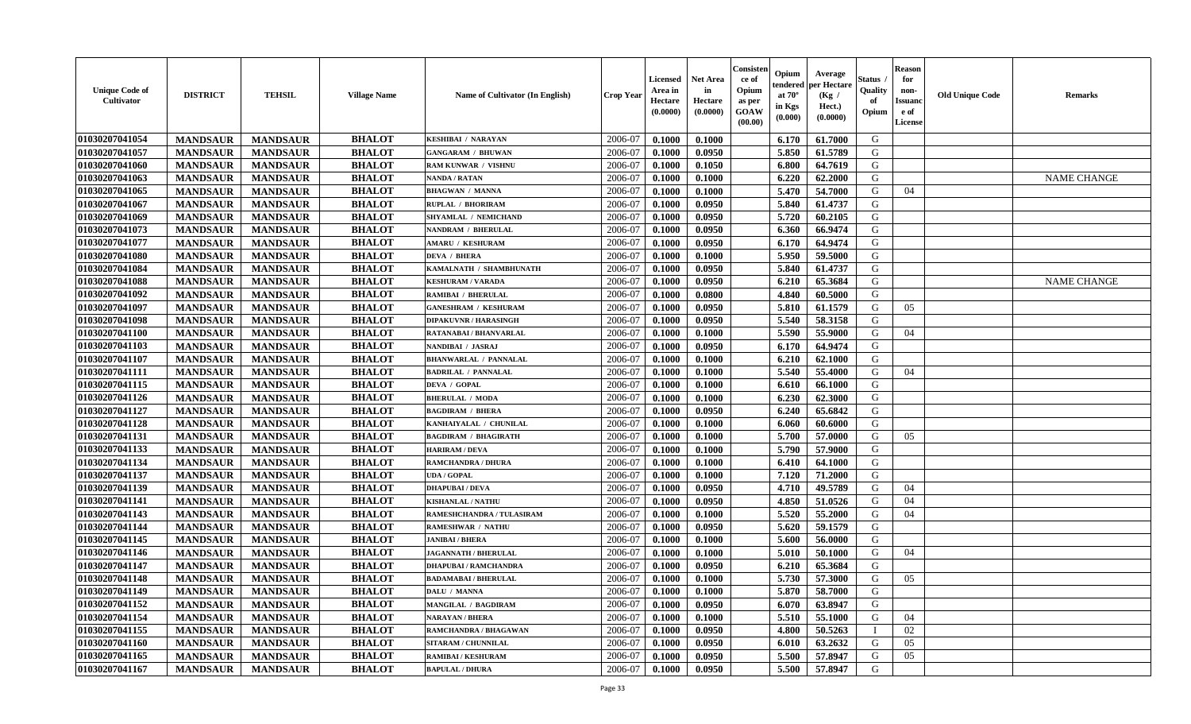| <b>Unique Code of</b><br>Cultivator | <b>DISTRICT</b> | <b>TEHSIL</b>   | <b>Village Name</b> | <b>Name of Cultivator (In English)</b> | Crop Year | Licensed<br>Area in<br>Hectare<br>(0.0000) | <b>Net Area</b><br>in<br>Hectare<br>(0.0000) | Consister<br>ce of<br>Opium<br>as per<br>GOAW<br>(00.00) | Opium<br>endered<br>at $70^\circ$<br>in Kgs<br>(0.000) | Average<br>per Hectare<br>(Kg /<br>Hect.)<br>(0.0000) | Status<br>Quality<br>of<br>Opium | <b>Reason</b><br>for<br>non-<br><b>Issuanc</b><br>e of<br><b>License</b> | <b>Old Unique Code</b> | <b>Remarks</b>     |
|-------------------------------------|-----------------|-----------------|---------------------|----------------------------------------|-----------|--------------------------------------------|----------------------------------------------|----------------------------------------------------------|--------------------------------------------------------|-------------------------------------------------------|----------------------------------|--------------------------------------------------------------------------|------------------------|--------------------|
| 01030207041054                      | <b>MANDSAUR</b> | <b>MANDSAUR</b> | <b>BHALOT</b>       | KESHIBAI / NARAYAN                     | 2006-07   | 0.1000                                     | 0.1000                                       |                                                          | 6.170                                                  | 61.7000                                               | G                                |                                                                          |                        |                    |
| 01030207041057                      | <b>MANDSAUR</b> | <b>MANDSAUR</b> | <b>BHALOT</b>       | <b>GANGARAM / BHUWAN</b>               | 2006-07   | 0.1000                                     | 0.0950                                       |                                                          | 5.850                                                  | 61.5789                                               | G                                |                                                                          |                        |                    |
| 01030207041060                      | <b>MANDSAUR</b> | <b>MANDSAUR</b> | <b>BHALOT</b>       | RAM KUNWAR / VISHNU                    | 2006-07   | 0.1000                                     | 0.1050                                       |                                                          | 6.800                                                  | 64.7619                                               | G                                |                                                                          |                        |                    |
| 01030207041063                      | <b>MANDSAUR</b> | <b>MANDSAUR</b> | <b>BHALOT</b>       | <b>NANDA / RATAN</b>                   | 2006-07   | 0.1000                                     | 0.1000                                       |                                                          | 6.220                                                  | 62.2000                                               | G                                |                                                                          |                        | <b>NAME CHANGE</b> |
| 01030207041065                      | <b>MANDSAUR</b> | <b>MANDSAUR</b> | <b>BHALOT</b>       | <b>BHAGWAN / MANNA</b>                 | 2006-07   | 0.1000                                     | 0.1000                                       |                                                          | 5.470                                                  | 54.7000                                               | G                                | 04                                                                       |                        |                    |
| 01030207041067                      | <b>MANDSAUR</b> | <b>MANDSAUR</b> | <b>BHALOT</b>       | <b>RUPLAL / BHORIRAM</b>               | 2006-07   | 0.1000                                     | 0.0950                                       |                                                          | 5.840                                                  | 61.4737                                               | G                                |                                                                          |                        |                    |
| 01030207041069                      | <b>MANDSAUR</b> | <b>MANDSAUR</b> | <b>BHALOT</b>       | <b>SHYAMLAL / NEMICHAND</b>            | 2006-07   | 0.1000                                     | 0.0950                                       |                                                          | 5.720                                                  | 60.2105                                               | G                                |                                                                          |                        |                    |
| 01030207041073                      | <b>MANDSAUR</b> | <b>MANDSAUR</b> | <b>BHALOT</b>       | NANDRAM / BHERULAL                     | 2006-07   | 0.1000                                     | 0.0950                                       |                                                          | 6.360                                                  | 66.9474                                               | G                                |                                                                          |                        |                    |
| 01030207041077                      | <b>MANDSAUR</b> | <b>MANDSAUR</b> | <b>BHALOT</b>       | <b>AMARU / KESHURAM</b>                | 2006-07   | 0.1000                                     | 0.0950                                       |                                                          | 6.170                                                  | 64.9474                                               | G                                |                                                                          |                        |                    |
| 01030207041080                      | <b>MANDSAUR</b> | <b>MANDSAUR</b> | <b>BHALOT</b>       | <b>DEVA / BHERA</b>                    | 2006-07   | 0.1000                                     | 0.1000                                       |                                                          | 5.950                                                  | 59.5000                                               | G                                |                                                                          |                        |                    |
| 01030207041084                      | <b>MANDSAUR</b> | <b>MANDSAUR</b> | <b>BHALOT</b>       | KAMALNATH / SHAMBHUNATH                | 2006-07   | 0.1000                                     | 0.0950                                       |                                                          | 5.840                                                  | 61.4737                                               | G                                |                                                                          |                        |                    |
| 01030207041088                      | <b>MANDSAUR</b> | <b>MANDSAUR</b> | <b>BHALOT</b>       | <b>KESHURAM / VARADA</b>               | 2006-07   | 0.1000                                     | 0.0950                                       |                                                          | 6.210                                                  | 65.3684                                               | G                                |                                                                          |                        | <b>NAME CHANGE</b> |
| 01030207041092                      | <b>MANDSAUR</b> | <b>MANDSAUR</b> | <b>BHALOT</b>       | <b>RAMIBAI / BHERULAL</b>              | 2006-07   | 0.1000                                     | 0.0800                                       |                                                          | 4.840                                                  | 60.5000                                               | G                                |                                                                          |                        |                    |
| 01030207041097                      | <b>MANDSAUR</b> | <b>MANDSAUR</b> | <b>BHALOT</b>       | <b>GANESHRAM / KESHURAM</b>            | 2006-07   | 0.1000                                     | 0.0950                                       |                                                          | 5.810                                                  | 61.1579                                               | G                                | 05                                                                       |                        |                    |
| 01030207041098                      | <b>MANDSAUR</b> | <b>MANDSAUR</b> | <b>BHALOT</b>       | <b>DIPAKUVNR / HARASINGH</b>           | 2006-07   | 0.1000                                     | 0.0950                                       |                                                          | 5.540                                                  | 58.3158                                               | G                                |                                                                          |                        |                    |
| 01030207041100                      | <b>MANDSAUR</b> | <b>MANDSAUR</b> | <b>BHALOT</b>       | RATANABAI / BHANVARLAL                 | 2006-07   | 0.1000                                     | 0.1000                                       |                                                          | 5.590                                                  | 55.9000                                               | G                                | 04                                                                       |                        |                    |
| 01030207041103                      | <b>MANDSAUR</b> | <b>MANDSAUR</b> | <b>BHALOT</b>       | NANDIBAI / JASRAJ                      | 2006-07   | 0.1000                                     | 0.0950                                       |                                                          | 6.170                                                  | 64.9474                                               | G                                |                                                                          |                        |                    |
| 01030207041107                      | <b>MANDSAUR</b> | <b>MANDSAUR</b> | <b>BHALOT</b>       | <b>BHANWARLAL / PANNALAL</b>           | 2006-07   | 0.1000                                     | 0.1000                                       |                                                          | 6.210                                                  | 62.1000                                               | G                                |                                                                          |                        |                    |
| 01030207041111                      | <b>MANDSAUR</b> | <b>MANDSAUR</b> | <b>BHALOT</b>       | <b>BADRILAL / PANNALAL</b>             | 2006-07   | 0.1000                                     | 0.1000                                       |                                                          | 5.540                                                  | 55.4000                                               | G                                | 04                                                                       |                        |                    |
| 01030207041115                      | <b>MANDSAUR</b> | <b>MANDSAUR</b> | <b>BHALOT</b>       | DEVA / GOPAL                           | 2006-07   | 0.1000                                     | 0.1000                                       |                                                          | 6.610                                                  | 66.1000                                               | G                                |                                                                          |                        |                    |
| 01030207041126                      | <b>MANDSAUR</b> | <b>MANDSAUR</b> | <b>BHALOT</b>       | <b>BHERULAL / MODA</b>                 | 2006-07   | 0.1000                                     | 0.1000                                       |                                                          | 6.230                                                  | 62.3000                                               | G                                |                                                                          |                        |                    |
| 01030207041127                      | <b>MANDSAUR</b> | <b>MANDSAUR</b> | <b>BHALOT</b>       | <b>BAGDIRAM / BHERA</b>                | 2006-07   | 0.1000                                     | 0.0950                                       |                                                          | 6.240                                                  | 65.6842                                               | G                                |                                                                          |                        |                    |
| 01030207041128                      | <b>MANDSAUR</b> | <b>MANDSAUR</b> | <b>BHALOT</b>       | KANHAIYALAL / CHUNILAL                 | 2006-07   | 0.1000                                     | 0.1000                                       |                                                          | 6.060                                                  | 60.6000                                               | G                                |                                                                          |                        |                    |
| 01030207041131                      | <b>MANDSAUR</b> | <b>MANDSAUR</b> | <b>BHALOT</b>       | <b>BAGDIRAM / BHAGIRATH</b>            | 2006-07   | 0.1000                                     | 0.1000                                       |                                                          | 5.700                                                  | 57.0000                                               | G                                | 05                                                                       |                        |                    |
| 01030207041133                      | <b>MANDSAUR</b> | <b>MANDSAUR</b> | <b>BHALOT</b>       | <b>HARIRAM / DEVA</b>                  | 2006-07   | 0.1000                                     | 0.1000                                       |                                                          | 5.790                                                  | 57.9000                                               | G                                |                                                                          |                        |                    |
| 01030207041134                      | <b>MANDSAUR</b> | <b>MANDSAUR</b> | <b>BHALOT</b>       | <b>RAMCHANDRA / DHURA</b>              | 2006-07   | 0.1000                                     | 0.1000                                       |                                                          | 6.410                                                  | 64.1000                                               | G                                |                                                                          |                        |                    |
| 01030207041137                      | <b>MANDSAUR</b> | <b>MANDSAUR</b> | <b>BHALOT</b>       | <b>UDA / GOPAL</b>                     | 2006-07   | 0.1000                                     | 0.1000                                       |                                                          | 7.120                                                  | 71.2000                                               | G                                |                                                                          |                        |                    |
| 01030207041139                      | <b>MANDSAUR</b> | <b>MANDSAUR</b> | <b>BHALOT</b>       | <b>DHAPUBAI/DEVA</b>                   | 2006-07   | 0.1000                                     | 0.0950                                       |                                                          | 4.710                                                  | 49.5789                                               | G                                | 04                                                                       |                        |                    |
| 01030207041141                      | <b>MANDSAUR</b> | <b>MANDSAUR</b> | <b>BHALOT</b>       | <b>KISHANLAL / NATHU</b>               | 2006-07   | 0.1000                                     | 0.0950                                       |                                                          | 4.850                                                  | 51.0526                                               | G                                | 04                                                                       |                        |                    |
| 01030207041143                      | <b>MANDSAUR</b> | <b>MANDSAUR</b> | <b>BHALOT</b>       | RAMESHCHANDRA / TULASIRAM              | 2006-07   | 0.1000                                     | 0.1000                                       |                                                          | 5.520                                                  | 55.2000                                               | G                                | 04                                                                       |                        |                    |
| 01030207041144                      | <b>MANDSAUR</b> | <b>MANDSAUR</b> | <b>BHALOT</b>       | <b>RAMESHWAR / NATHU</b>               | 2006-07   | 0.1000                                     | 0.0950                                       |                                                          | 5.620                                                  | 59.1579                                               | G                                |                                                                          |                        |                    |
| 01030207041145                      | <b>MANDSAUR</b> | <b>MANDSAUR</b> | <b>BHALOT</b>       | <b>JANIBAI / BHERA</b>                 | 2006-07   | 0.1000                                     | 0.1000                                       |                                                          | 5.600                                                  | 56.0000                                               | G                                |                                                                          |                        |                    |
| 01030207041146                      | <b>MANDSAUR</b> | <b>MANDSAUR</b> | <b>BHALOT</b>       | <b>JAGANNATH / BHERULAL</b>            | 2006-07   | 0.1000                                     | 0.1000                                       |                                                          | 5.010                                                  | 50.1000                                               | G                                | 04                                                                       |                        |                    |
| 01030207041147                      | <b>MANDSAUR</b> | <b>MANDSAUR</b> | <b>BHALOT</b>       | <b>DHAPUBAI/RAMCHANDRA</b>             | 2006-07   | 0.1000                                     | 0.0950                                       |                                                          | 6.210                                                  | 65.3684                                               | G                                |                                                                          |                        |                    |
| 01030207041148                      | <b>MANDSAUR</b> | <b>MANDSAUR</b> | <b>BHALOT</b>       | <b>BADAMABAI/BHERULAL</b>              | 2006-07   | 0.1000                                     | 0.1000                                       |                                                          | 5.730                                                  | 57.3000                                               | G                                | 0.5                                                                      |                        |                    |
| 01030207041149                      | <b>MANDSAUR</b> | <b>MANDSAUR</b> | <b>BHALOT</b>       | DALU / MANNA                           | 2006-07   | 0.1000                                     | 0.1000                                       |                                                          | 5.870                                                  | 58.7000                                               | G                                |                                                                          |                        |                    |
| 01030207041152                      | <b>MANDSAUR</b> | <b>MANDSAUR</b> | <b>BHALOT</b>       | <b>MANGILAL / BAGDIRAM</b>             | 2006-07   | 0.1000                                     | 0.0950                                       |                                                          | 6.070                                                  | 63.8947                                               | G                                |                                                                          |                        |                    |
| 01030207041154                      | <b>MANDSAUR</b> | <b>MANDSAUR</b> | <b>BHALOT</b>       | <b>NARAYAN / BHERA</b>                 | 2006-07   | 0.1000                                     | 0.1000                                       |                                                          | 5.510                                                  | 55.1000                                               | G                                | 04                                                                       |                        |                    |
| 01030207041155                      | <b>MANDSAUR</b> | <b>MANDSAUR</b> | <b>BHALOT</b>       | RAMCHANDRA / BHAGAWAN                  | 2006-07   | 0.1000                                     | 0.0950                                       |                                                          | 4.800                                                  | 50.5263                                               |                                  | 02                                                                       |                        |                    |
| 01030207041160                      | <b>MANDSAUR</b> | <b>MANDSAUR</b> | <b>BHALOT</b>       | <b>SITARAM / CHUNNILAL</b>             | 2006-07   | 0.1000                                     | 0.0950                                       |                                                          | 6.010                                                  | 63.2632                                               | G                                | 05                                                                       |                        |                    |
| 01030207041165                      | <b>MANDSAUR</b> | <b>MANDSAUR</b> | <b>BHALOT</b>       | <b>RAMIBAI / KESHURAM</b>              | 2006-07   | 0.1000                                     | 0.0950                                       |                                                          | 5.500                                                  | 57.8947                                               | G                                | 05                                                                       |                        |                    |
| 01030207041167                      | <b>MANDSAUR</b> | <b>MANDSAUR</b> | <b>BHALOT</b>       | <b>BAPULAL / DHURA</b>                 | 2006-07   | 0.1000                                     | 0.0950                                       |                                                          | 5.500                                                  | 57.8947                                               | G                                |                                                                          |                        |                    |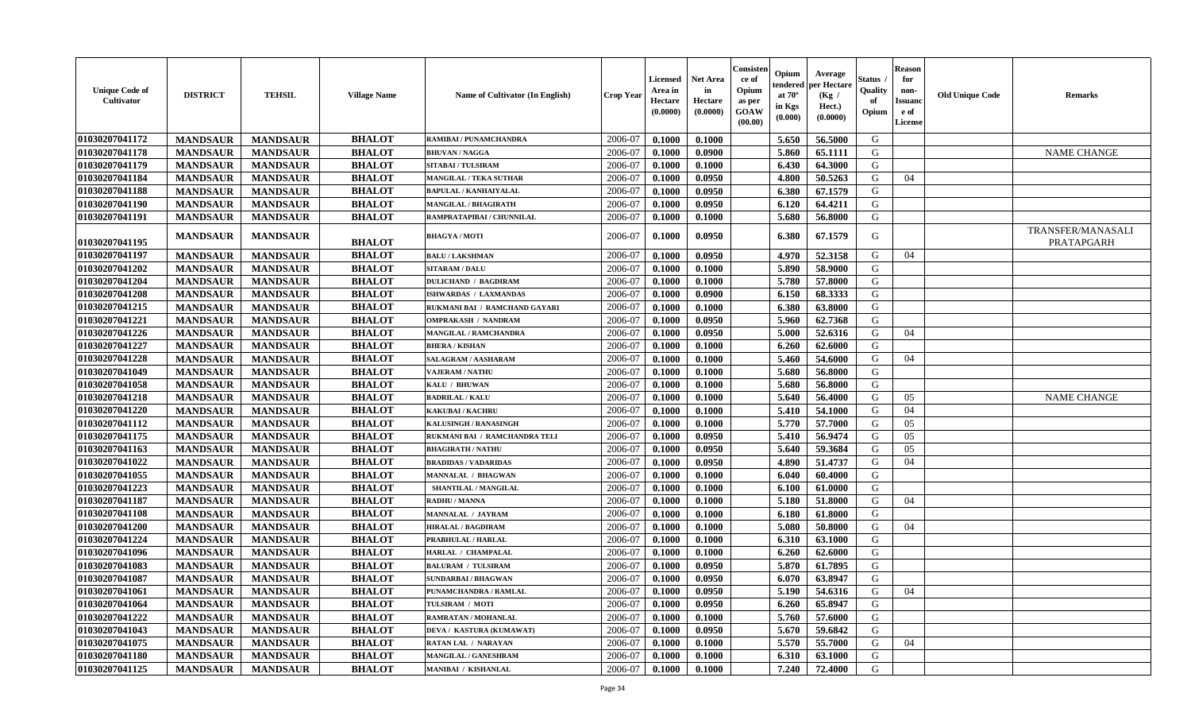| <b>Unique Code of</b><br><b>Cultivator</b> | <b>DISTRICT</b> | <b>TEHSIL</b>   | <b>Village Name</b> | <b>Name of Cultivator (In English)</b> | <b>Crop Year</b> | <b>Licensed</b><br>Area in<br><b>Hectare</b><br>(0.0000) | <b>Net Area</b><br>in<br>Hectare<br>(0.0000) | Consisten<br>ce of<br>Opium<br>as per<br>GOAW<br>(00.00) | Opium<br>tendered<br>at $70^\circ$<br>in Kgs<br>(0.000) | Average<br>per Hectare<br>(Kg)<br>Hect.)<br>(0.0000) | Status<br>Quality<br>of<br>Opium | Reason<br>for<br>non-<br>Issuano<br>e of<br>License | <b>Old Unique Code</b> | <b>Remarks</b>                  |
|--------------------------------------------|-----------------|-----------------|---------------------|----------------------------------------|------------------|----------------------------------------------------------|----------------------------------------------|----------------------------------------------------------|---------------------------------------------------------|------------------------------------------------------|----------------------------------|-----------------------------------------------------|------------------------|---------------------------------|
| 01030207041172                             | <b>MANDSAUR</b> | <b>MANDSAUR</b> | <b>BHALOT</b>       | RAMIBAI / PUNAMCHANDRA                 | 2006-07          | 0.1000                                                   | 0.1000                                       |                                                          | 5.650                                                   | 56.5000                                              | G                                |                                                     |                        |                                 |
| 01030207041178                             | <b>MANDSAUR</b> | <b>MANDSAUR</b> | <b>BHALOT</b>       | <b>BHUVAN / NAGGA</b>                  | 2006-07          | 0.1000                                                   | 0.0900                                       |                                                          | 5.860                                                   | 65.1111                                              | G                                |                                                     |                        | <b>NAME CHANGE</b>              |
| 01030207041179                             | <b>MANDSAUR</b> | <b>MANDSAUR</b> | <b>BHALOT</b>       | <b>SITABAI/TULSIRAM</b>                | 2006-07          | 0.1000                                                   | 0.1000                                       |                                                          | 6.430                                                   | 64.3000                                              | G                                |                                                     |                        |                                 |
| 01030207041184                             | <b>MANDSAUR</b> | <b>MANDSAUR</b> | <b>BHALOT</b>       | <b>MANGILAL / TEKA SUTHAR</b>          | 2006-07          | 0.1000                                                   | 0.0950                                       |                                                          | 4.800                                                   | 50.5263                                              | G                                | 04                                                  |                        |                                 |
| 01030207041188                             | <b>MANDSAUR</b> | <b>MANDSAUR</b> | <b>BHALOT</b>       | <b>BAPULAL / KANHAIYALAL</b>           | 2006-07          | 0.1000                                                   | 0.0950                                       |                                                          | 6.380                                                   | 67.1579                                              | G                                |                                                     |                        |                                 |
| 01030207041190                             | <b>MANDSAUR</b> | <b>MANDSAUR</b> | <b>BHALOT</b>       | <b>MANGILAL / BHAGIRATH</b>            | 2006-07          | 0.1000                                                   | 0.0950                                       |                                                          | 6.120                                                   | 64.4211                                              | G                                |                                                     |                        |                                 |
| 01030207041191                             | <b>MANDSAUR</b> | <b>MANDSAUR</b> | <b>BHALOT</b>       | RAMPRATAPIBAI / CHUNNILAL              | 2006-07          | 0.1000                                                   | 0.1000                                       |                                                          | 5.680                                                   | 56.8000                                              | G                                |                                                     |                        |                                 |
| 01030207041195                             | <b>MANDSAUR</b> | <b>MANDSAUR</b> | <b>BHALOT</b>       | <b>BHAGYA / MOTI</b>                   | 2006-07          | 0.1000                                                   | 0.0950                                       |                                                          | 6.380                                                   | 67.1579                                              | G                                |                                                     |                        | TRANSFER/MANASALI<br>PRATAPGARH |
| 01030207041197                             | <b>MANDSAUR</b> | <b>MANDSAUR</b> | <b>BHALOT</b>       | <b>BALU / LAKSHMAN</b>                 | 2006-07          | 0.1000                                                   | 0.0950                                       |                                                          | 4.970                                                   | 52.3158                                              | G                                | 04                                                  |                        |                                 |
| 01030207041202                             | <b>MANDSAUR</b> | <b>MANDSAUR</b> | <b>BHALOT</b>       | <b>SITARAM / DALU</b>                  | 2006-07          | 0.1000                                                   | 0.1000                                       |                                                          | 5.890                                                   | 58.9000                                              | G                                |                                                     |                        |                                 |
| 01030207041204                             | <b>MANDSAUR</b> | <b>MANDSAUR</b> | <b>BHALOT</b>       | <b>DULICHAND / BAGDIRAM</b>            | 2006-07          | 0.1000                                                   | 0.1000                                       |                                                          | 5.780                                                   | 57.8000                                              | G                                |                                                     |                        |                                 |
| 01030207041208                             | <b>MANDSAUR</b> | <b>MANDSAUR</b> | <b>BHALOT</b>       | ISHWARDAS / LAXMANDAS                  | 2006-07          | 0.1000                                                   | 0.0900                                       |                                                          | 6.150                                                   | 68.3333                                              | G                                |                                                     |                        |                                 |
| 01030207041215                             | <b>MANDSAUR</b> | <b>MANDSAUR</b> | <b>BHALOT</b>       | RUKMANI BAI / RAMCHAND GAYARI          | 2006-07          | 0.1000                                                   | 0.1000                                       |                                                          | 6.380                                                   | 63.8000                                              | G                                |                                                     |                        |                                 |
| 01030207041221                             | <b>MANDSAUR</b> | <b>MANDSAUR</b> | <b>BHALOT</b>       | <b>OMPRAKASH / NANDRAM</b>             | 2006-07          | 0.1000                                                   | 0.0950                                       |                                                          | 5.960                                                   | 62.7368                                              | G                                |                                                     |                        |                                 |
| 01030207041226                             | <b>MANDSAUR</b> | <b>MANDSAUR</b> | <b>BHALOT</b>       | <b>MANGILAL / RAMCHANDRA</b>           | 2006-07          | 0.1000                                                   | 0.0950                                       |                                                          | 5.000                                                   | 52.6316                                              | G                                | 04                                                  |                        |                                 |
| 01030207041227                             | <b>MANDSAUR</b> | <b>MANDSAUR</b> | <b>BHALOT</b>       | <b>BHERA / KISHAN</b>                  | 2006-07          | 0.1000                                                   | 0.1000                                       |                                                          | 6.260                                                   | 62.6000                                              | G                                |                                                     |                        |                                 |
| 01030207041228                             | <b>MANDSAUR</b> | <b>MANDSAUR</b> | <b>BHALOT</b>       | SALAGRAM / AASHARAM                    | 2006-07          | 0.1000                                                   | 0.1000                                       |                                                          | 5.460                                                   | 54.6000                                              | G                                | 04                                                  |                        |                                 |
| 01030207041049                             | <b>MANDSAUR</b> | <b>MANDSAUR</b> | <b>BHALOT</b>       | <b>VAJERAM / NATHU</b>                 | 2006-07          | 0.1000                                                   | 0.1000                                       |                                                          | 5.680                                                   | 56.8000                                              | G                                |                                                     |                        |                                 |
| 01030207041058                             | <b>MANDSAUR</b> | <b>MANDSAUR</b> | <b>BHALOT</b>       | KALU / BHUWAN                          | 2006-07          | 0.1000                                                   | 0.1000                                       |                                                          | 5.680                                                   | 56.8000                                              | G                                |                                                     |                        |                                 |
| 01030207041218                             | <b>MANDSAUR</b> | <b>MANDSAUR</b> | <b>BHALOT</b>       | <b>BADRILAL / KALU</b>                 | 2006-07          | 0.1000                                                   | 0.1000                                       |                                                          | 5.640                                                   | 56.4000                                              | G                                | 05                                                  |                        | <b>NAME CHANGE</b>              |
| 01030207041220                             | <b>MANDSAUR</b> | <b>MANDSAUR</b> | <b>BHALOT</b>       | <b>KAKUBAI/KACHRU</b>                  | 2006-07          | 0.1000                                                   | 0.1000                                       |                                                          | 5.410                                                   | 54.1000                                              | G                                | 04                                                  |                        |                                 |
| 01030207041112                             | <b>MANDSAUR</b> | <b>MANDSAUR</b> | <b>BHALOT</b>       | KALUSINGH / RANASINGH                  | 2006-07          | 0.1000                                                   | 0.1000                                       |                                                          | 5.770                                                   | 57.7000                                              | G                                | 05                                                  |                        |                                 |
| 01030207041175                             | <b>MANDSAUR</b> | <b>MANDSAUR</b> | <b>BHALOT</b>       | RUKMANI BAI / RAMCHANDRA TELI          | 2006-07          | 0.1000                                                   | 0.0950                                       |                                                          | 5.410                                                   | 56.9474                                              | G                                | 05                                                  |                        |                                 |
| 01030207041163                             | <b>MANDSAUR</b> | <b>MANDSAUR</b> | <b>BHALOT</b>       | <b>BHAGIRATH / NATHU</b>               | 2006-07          | 0.1000                                                   | 0.0950                                       |                                                          | 5.640                                                   | 59.3684                                              | G                                | 05                                                  |                        |                                 |
| 01030207041022                             | <b>MANDSAUR</b> | <b>MANDSAUR</b> | <b>BHALOT</b>       | <b>BRADIDAS / VADARIDAS</b>            | 2006-07          | 0.1000                                                   | 0.0950                                       |                                                          | 4.890                                                   | 51,4737                                              | G                                | 04                                                  |                        |                                 |
| 01030207041055                             | <b>MANDSAUR</b> | <b>MANDSAUR</b> | <b>BHALOT</b>       | MANNALAL / BHAGWAN                     | 2006-07          | 0.1000                                                   | 0.1000                                       |                                                          | 6.040                                                   | 60.4000                                              | G                                |                                                     |                        |                                 |
| 01030207041223                             | <b>MANDSAUR</b> | <b>MANDSAUR</b> | <b>BHALOT</b>       | SHANTILAL / MANGILAL                   | 2006-07          | 0.1000                                                   | 0.1000                                       |                                                          | 6.100                                                   | 61.0000                                              | G                                |                                                     |                        |                                 |
| 01030207041187                             | <b>MANDSAUR</b> | <b>MANDSAUR</b> | <b>BHALOT</b>       | <b>RADHU / MANNA</b>                   | 2006-07          | 0.1000                                                   | 0.1000                                       |                                                          | 5.180                                                   | 51.8000                                              | G                                | 04                                                  |                        |                                 |
| 01030207041108                             | <b>MANDSAUR</b> | <b>MANDSAUR</b> | <b>BHALOT</b>       | MANNALAL / JAYRAM                      | 2006-07          | 0.1000                                                   | 0.1000                                       |                                                          | 6.180                                                   | 61.8000                                              | G                                |                                                     |                        |                                 |
| 01030207041200                             | <b>MANDSAUR</b> | <b>MANDSAUR</b> | <b>BHALOT</b>       | <b>HIRALAL / BAGDIRAM</b>              | 2006-07          | 0.1000                                                   | 0.1000                                       |                                                          | 5.080                                                   | 50.8000                                              | G                                | 04                                                  |                        |                                 |
| 01030207041224                             | <b>MANDSAUR</b> | <b>MANDSAUR</b> | <b>BHALOT</b>       | PRABHULAL / HARLAL                     | 2006-07          | 0.1000                                                   | 0.1000                                       |                                                          | 6.310                                                   | 63.1000                                              | G                                |                                                     |                        |                                 |
| 01030207041096                             | <b>MANDSAUR</b> | <b>MANDSAUR</b> | <b>BHALOT</b>       | HARLAL / CHAMPALAL                     | 2006-07          | 0.1000                                                   | 0.1000                                       |                                                          | 6.260                                                   | 62.6000                                              | G                                |                                                     |                        |                                 |
| 01030207041083                             | <b>MANDSAUR</b> | <b>MANDSAUR</b> | <b>BHALOT</b>       | <b>BALURAM / TULSIRAM</b>              | 2006-07          | 0.1000                                                   | 0.0950                                       |                                                          | 5.870                                                   | 61.7895                                              | G                                |                                                     |                        |                                 |
| 01030207041087                             | <b>MANDSAUR</b> | <b>MANDSAUR</b> | <b>BHALOT</b>       | <b>SUNDARBAI/BHAGWAN</b>               | 2006-07          | 0.1000                                                   | 0.0950                                       |                                                          | 6.070                                                   | 63.8947                                              | G                                |                                                     |                        |                                 |
| 01030207041061                             | <b>MANDSAUR</b> | MANDSAUR        | <b>BHALOT</b>       | PUNAMCHANDRA / RAMLAL                  | $2006-07$        | 0.1000                                                   | 0.0950                                       |                                                          | 5.190                                                   | 54.6316                                              | G                                | 04                                                  |                        |                                 |
| 01030207041064                             | <b>MANDSAUR</b> | <b>MANDSAUR</b> | <b>BHALOT</b>       | TULSIRAM / MOTI                        | 2006-07          | 0.1000                                                   | 0.0950                                       |                                                          | 6.260                                                   | 65.8947                                              | G                                |                                                     |                        |                                 |
| 01030207041222                             | <b>MANDSAUR</b> | <b>MANDSAUR</b> | <b>BHALOT</b>       | RAMRATAN / MOHANLAL                    | 2006-07          | 0.1000                                                   | 0.1000                                       |                                                          | 5.760                                                   | 57.6000                                              | G                                |                                                     |                        |                                 |
| 01030207041043                             | <b>MANDSAUR</b> | <b>MANDSAUR</b> | <b>BHALOT</b>       | DEVA / KASTURA (KUMAWAT)               | 2006-07          | 0.1000                                                   | 0.0950                                       |                                                          | 5.670                                                   | 59.6842                                              | G                                |                                                     |                        |                                 |
| 01030207041075                             | <b>MANDSAUR</b> | <b>MANDSAUR</b> | <b>BHALOT</b>       | <b>RATAN LAL / NARAYAN</b>             | 2006-07          | 0.1000                                                   | 0.1000                                       |                                                          | 5.570                                                   | 55.7000                                              | G                                | 04                                                  |                        |                                 |
| 01030207041180                             | <b>MANDSAUR</b> | <b>MANDSAUR</b> | <b>BHALOT</b>       | MANGILAL / GANESHRAM                   | 2006-07          | 0.1000                                                   | 0.1000                                       |                                                          | 6.310                                                   | 63.1000                                              | G                                |                                                     |                        |                                 |
| 01030207041125                             | <b>MANDSAUR</b> | <b>MANDSAUR</b> | <b>BHALOT</b>       | <b>MANIBAI / KISHANLAL</b>             | 2006-07          | 0.1000                                                   | 0.1000                                       |                                                          | 7.240                                                   | 72.4000                                              | G                                |                                                     |                        |                                 |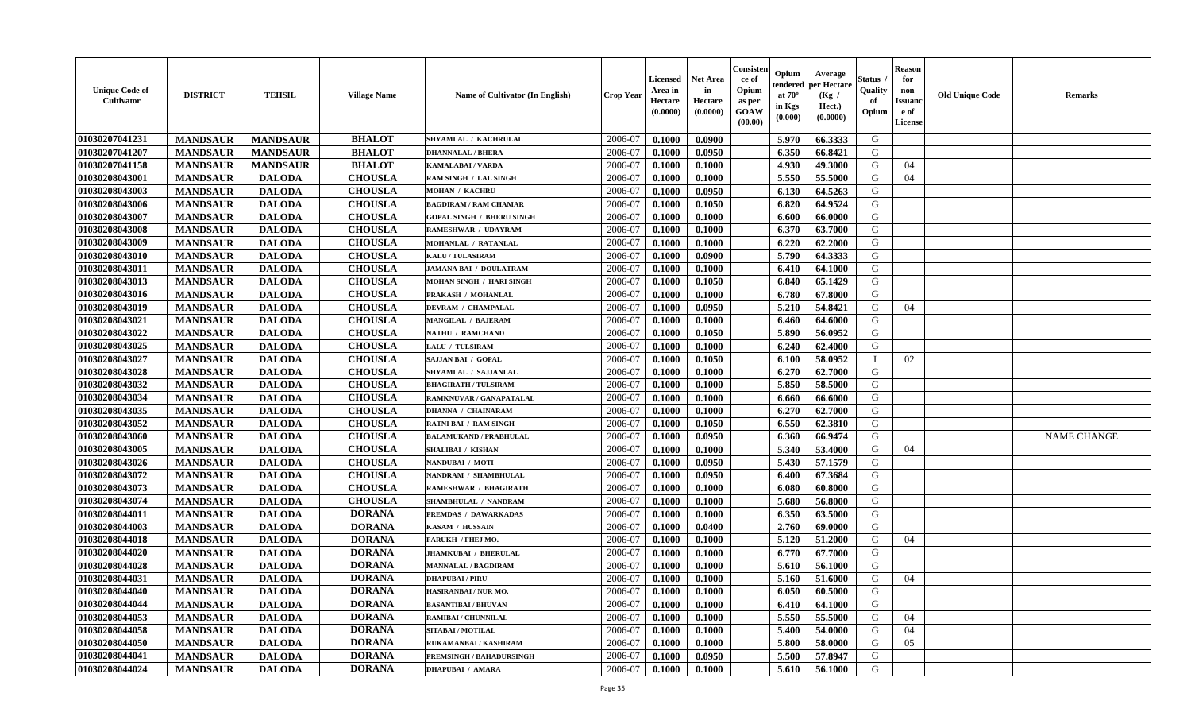| <b>Unique Code of</b><br><b>Cultivator</b> | <b>DISTRICT</b> | <b>TEHSIL</b>   | <b>Village Name</b> | <b>Name of Cultivator (In English)</b> | <b>Crop Year</b> | Licensed<br>Area in<br>Hectare<br>(0.0000) | Net Area<br>in<br>Hectare<br>(0.0000) | Consisteı<br>ce of<br>Opium<br>as per<br>GOAW<br>(00.00) | Opium<br>endered<br>at $70^\circ$<br>in Kgs<br>(0.000) | Average<br>per Hectare<br>(Kg /<br>Hect.)<br>(0.0000) | Status<br>Quality<br>of<br>Opium | <b>Reason</b><br>for<br>non-<br><b>Issuand</b><br>e of<br>License | <b>Old Unique Code</b> | Remarks            |
|--------------------------------------------|-----------------|-----------------|---------------------|----------------------------------------|------------------|--------------------------------------------|---------------------------------------|----------------------------------------------------------|--------------------------------------------------------|-------------------------------------------------------|----------------------------------|-------------------------------------------------------------------|------------------------|--------------------|
| 01030207041231                             | <b>MANDSAUR</b> | <b>MANDSAUR</b> | <b>BHALOT</b>       | SHYAMLAL / KACHRULAL                   | 2006-07          | 0.1000                                     | 0.0900                                |                                                          | 5.970                                                  | 66.3333                                               | G                                |                                                                   |                        |                    |
| 01030207041207                             | <b>MANDSAUR</b> | <b>MANDSAUR</b> | <b>BHALOT</b>       | <b>DHANNALAL / BHERA</b>               | 2006-07          | 0.1000                                     | 0.0950                                |                                                          | 6.350                                                  | 66.8421                                               | G                                |                                                                   |                        |                    |
| 01030207041158                             | <b>MANDSAUR</b> | <b>MANDSAUR</b> | <b>BHALOT</b>       | <b>KAMALABAI/VARDA</b>                 | 2006-07          | 0.1000                                     | 0.1000                                |                                                          | 4.930                                                  | 49.3000                                               | G                                | 04                                                                |                        |                    |
| 01030208043001                             | <b>MANDSAUR</b> | <b>DALODA</b>   | <b>CHOUSLA</b>      | RAM SINGH / LAL SINGH                  | 2006-07          | 0.1000                                     | 0.1000                                |                                                          | 5.550                                                  | 55.5000                                               | G                                | 04                                                                |                        |                    |
| 01030208043003                             | <b>MANDSAUR</b> | <b>DALODA</b>   | <b>CHOUSLA</b>      | <b>MOHAN / KACHRU</b>                  | 2006-07          | 0.1000                                     | 0.0950                                |                                                          | 6.130                                                  | 64.5263                                               | G                                |                                                                   |                        |                    |
| 01030208043006                             | <b>MANDSAUR</b> | <b>DALODA</b>   | <b>CHOUSLA</b>      | <b>BAGDIRAM / RAM CHAMAR</b>           | 2006-07          | 0.1000                                     | 0.1050                                |                                                          | 6.820                                                  | 64.9524                                               | G                                |                                                                   |                        |                    |
| 01030208043007                             | <b>MANDSAUR</b> | <b>DALODA</b>   | <b>CHOUSLA</b>      | <b>GOPAL SINGH / BHERU SINGH</b>       | 2006-07          | 0.1000                                     | 0.1000                                |                                                          | 6.600                                                  | 66.0000                                               | G                                |                                                                   |                        |                    |
| 01030208043008                             | <b>MANDSAUR</b> | <b>DALODA</b>   | <b>CHOUSLA</b>      | RAMESHWAR / UDAYRAM                    | 2006-07          | 0.1000                                     | 0.1000                                |                                                          | 6.370                                                  | 63.7000                                               | G                                |                                                                   |                        |                    |
| 01030208043009                             | <b>MANDSAUR</b> | <b>DALODA</b>   | <b>CHOUSLA</b>      | MOHANLAL / RATANLAL                    | 2006-07          | 0.1000                                     | 0.1000                                |                                                          | 6.220                                                  | 62.2000                                               | G                                |                                                                   |                        |                    |
| 01030208043010                             | <b>MANDSAUR</b> | <b>DALODA</b>   | <b>CHOUSLA</b>      | <b>KALU / TULASIRAM</b>                | 2006-07          | 0.1000                                     | 0.0900                                |                                                          | 5.790                                                  | 64.3333                                               | G                                |                                                                   |                        |                    |
| 01030208043011                             | <b>MANDSAUR</b> | <b>DALODA</b>   | <b>CHOUSLA</b>      | JAMANA BAI / DOULATRAM                 | 2006-07          | 0.1000                                     | 0.1000                                |                                                          | 6.410                                                  | 64.1000                                               | G                                |                                                                   |                        |                    |
| 01030208043013                             | <b>MANDSAUR</b> | <b>DALODA</b>   | <b>CHOUSLA</b>      | MOHAN SINGH / HARI SINGH               | 2006-07          | 0.1000                                     | 0.1050                                |                                                          | 6.840                                                  | 65.1429                                               | G                                |                                                                   |                        |                    |
| 01030208043016                             | <b>MANDSAUR</b> | <b>DALODA</b>   | <b>CHOUSLA</b>      | PRAKASH / MOHANLAL                     | 2006-07          | 0.1000                                     | 0.1000                                |                                                          | 6.780                                                  | 67.8000                                               | G                                |                                                                   |                        |                    |
| 01030208043019                             | <b>MANDSAUR</b> | <b>DALODA</b>   | <b>CHOUSLA</b>      | <b>DEVRAM / CHAMPALAL</b>              | 2006-07          | 0.1000                                     | 0.0950                                |                                                          | 5.210                                                  | 54.8421                                               | G                                | 04                                                                |                        |                    |
| 01030208043021                             | <b>MANDSAUR</b> | <b>DALODA</b>   | <b>CHOUSLA</b>      | MANGILAL / BAJERAM                     | 2006-07          | 0.1000                                     | 0.1000                                |                                                          | 6.460                                                  | 64.6000                                               | $\mathbf G$                      |                                                                   |                        |                    |
| 01030208043022                             | <b>MANDSAUR</b> | <b>DALODA</b>   | <b>CHOUSLA</b>      | <b>NATHU / RAMCHAND</b>                | 2006-07          | 0.1000                                     | 0.1050                                |                                                          | 5.890                                                  | 56.0952                                               | G                                |                                                                   |                        |                    |
| 01030208043025                             | <b>MANDSAUR</b> | <b>DALODA</b>   | <b>CHOUSLA</b>      | LALU / TULSIRAM                        | 2006-07          | 0.1000                                     | 0.1000                                |                                                          | 6.240                                                  | 62.4000                                               | G                                |                                                                   |                        |                    |
| 01030208043027                             | <b>MANDSAUR</b> | <b>DALODA</b>   | <b>CHOUSLA</b>      | SAJJAN BAI / GOPAL                     | 2006-07          | 0.1000                                     | 0.1050                                |                                                          | 6.100                                                  | 58.0952                                               | $\mathbf{I}$                     | 02                                                                |                        |                    |
| 01030208043028                             | <b>MANDSAUR</b> | <b>DALODA</b>   | <b>CHOUSLA</b>      | SHYAMLAL / SAJJANLAL                   | 2006-07          | 0.1000                                     | 0.1000                                |                                                          | 6.270                                                  | 62.7000                                               | G                                |                                                                   |                        |                    |
| 01030208043032                             | <b>MANDSAUR</b> | <b>DALODA</b>   | <b>CHOUSLA</b>      | <b>BHAGIRATH / TULSIRAM</b>            | 2006-07          | 0.1000                                     | 0.1000                                |                                                          | 5.850                                                  | 58.5000                                               | G                                |                                                                   |                        |                    |
| 01030208043034                             | <b>MANDSAUR</b> | <b>DALODA</b>   | <b>CHOUSLA</b>      | RAMKNUVAR / GANAPATALAL                | 2006-07          | 0.1000                                     | 0.1000                                |                                                          | 6.660                                                  | 66.6000                                               | G                                |                                                                   |                        |                    |
| 01030208043035                             | <b>MANDSAUR</b> | <b>DALODA</b>   | <b>CHOUSLA</b>      | <b>DHANNA / CHAINARAM</b>              | 2006-07          | 0.1000                                     | 0.1000                                |                                                          | 6.270                                                  | 62.7000                                               | G                                |                                                                   |                        |                    |
| 01030208043052                             | <b>MANDSAUR</b> | <b>DALODA</b>   | <b>CHOUSLA</b>      | <b>RATNI BAI / RAM SINGH</b>           | 2006-07          | 0.1000                                     | 0.1050                                |                                                          | 6.550                                                  | 62.3810                                               | G                                |                                                                   |                        |                    |
| 01030208043060                             | <b>MANDSAUR</b> | <b>DALODA</b>   | <b>CHOUSLA</b>      | <b>BALAMUKAND / PRABHULAL</b>          | 2006-07          | 0.1000                                     | 0.0950                                |                                                          | 6.360                                                  | 66.9474                                               | G                                |                                                                   |                        | <b>NAME CHANGE</b> |
| 01030208043005                             | <b>MANDSAUR</b> | <b>DALODA</b>   | <b>CHOUSLA</b>      | <b>SHALIBAI / KISHAN</b>               | 2006-07          | 0.1000                                     | 0.1000                                |                                                          | 5.340                                                  | 53.4000                                               | G                                | 04                                                                |                        |                    |
| 01030208043026                             | <b>MANDSAUR</b> | <b>DALODA</b>   | <b>CHOUSLA</b>      | NANDUBAI / MOTI                        | 2006-07          | 0.1000                                     | 0.0950                                |                                                          | 5.430                                                  | 57.1579                                               | G                                |                                                                   |                        |                    |
| 01030208043072                             | <b>MANDSAUR</b> | <b>DALODA</b>   | <b>CHOUSLA</b>      | NANDRAM / SHAMBHULAL                   | 2006-07          | 0.1000                                     | 0.0950                                |                                                          | 6.400                                                  | 67.3684                                               | G                                |                                                                   |                        |                    |
| 01030208043073                             | <b>MANDSAUR</b> | <b>DALODA</b>   | <b>CHOUSLA</b>      | <b>RAMESHWAR / BHAGIRATH</b>           | 2006-07          | 0.1000                                     | 0.1000                                |                                                          | 6.080                                                  | 60.8000                                               | G                                |                                                                   |                        |                    |
| 01030208043074                             | <b>MANDSAUR</b> | <b>DALODA</b>   | <b>CHOUSLA</b>      | SHAMBHULAL / NANDRAM                   | 2006-07          | 0.1000                                     | 0.1000                                |                                                          | 5.680                                                  | 56.8000                                               | G                                |                                                                   |                        |                    |
| 01030208044011                             | <b>MANDSAUR</b> | <b>DALODA</b>   | <b>DORANA</b>       | <b>PREMDAS / DAWARKADAS</b>            | 2006-07          | 0.1000                                     | 0.1000                                |                                                          | 6.350                                                  | 63.5000                                               | G                                |                                                                   |                        |                    |
| 01030208044003                             | <b>MANDSAUR</b> | <b>DALODA</b>   | <b>DORANA</b>       | KASAM / HUSSAIN                        | 2006-07          | 0.1000                                     | 0.0400                                |                                                          | 2.760                                                  | 69.0000                                               | G                                |                                                                   |                        |                    |
| 01030208044018                             | <b>MANDSAUR</b> | <b>DALODA</b>   | <b>DORANA</b>       | <b>FARUKH / FHEJ MO.</b>               | 2006-07          | 0.1000                                     | 0.1000                                |                                                          | 5.120                                                  | 51.2000                                               | G                                | 04                                                                |                        |                    |
| 01030208044020                             | <b>MANDSAUR</b> | <b>DALODA</b>   | <b>DORANA</b>       | <b>JHAMKUBAI / BHERULAL</b>            | 2006-07          | 0.1000                                     | 0.1000                                |                                                          | 6.770                                                  | 67.7000                                               | G                                |                                                                   |                        |                    |
| 01030208044028                             | <b>MANDSAUR</b> | <b>DALODA</b>   | <b>DORANA</b>       | <b>MANNALAL / BAGDIRAM</b>             | 2006-07          | 0.1000                                     | 0.1000                                |                                                          | 5.610                                                  | 56.1000                                               | G                                |                                                                   |                        |                    |
| 01030208044031                             | <b>MANDSAUR</b> | <b>DALODA</b>   | <b>DORANA</b>       | <b>DHAPUBAI/PIRU</b>                   | 2006-07          | 0.1000                                     | 0.1000                                |                                                          | 5.160                                                  | 51.6000                                               | G                                | 04                                                                |                        |                    |
| 01030208044040                             | <b>MANDSAUR</b> | <b>DALODA</b>   | <b>DORANA</b>       | HASIRANBAI / NUR MO.                   | 2006-07          | 0.1000                                     | 0.1000                                |                                                          | 6.050                                                  | 60.5000                                               | G                                |                                                                   |                        |                    |
| 01030208044044                             | <b>MANDSAUR</b> | <b>DALODA</b>   | <b>DORANA</b>       | <b>BASANTIBAI/BHUVAN</b>               | 2006-07          | 0.1000                                     | 0.1000                                |                                                          | 6.410                                                  | 64.1000                                               | G                                |                                                                   |                        |                    |
| 01030208044053                             | <b>MANDSAUR</b> | <b>DALODA</b>   | <b>DORANA</b>       | RAMIBAI / CHUNNILAL                    | 2006-07          | 0.1000                                     | 0.1000                                |                                                          | 5.550                                                  | 55.5000                                               | G                                | 04                                                                |                        |                    |
| 01030208044058                             | <b>MANDSAUR</b> | <b>DALODA</b>   | <b>DORANA</b>       | SITABAI / MOTILAL                      | 2006-07          | 0.1000                                     | 0.1000                                |                                                          | 5.400                                                  | 54.0000                                               | G                                | 04                                                                |                        |                    |
| 01030208044050                             | <b>MANDSAUR</b> | <b>DALODA</b>   | <b>DORANA</b>       | RUKAMANBAI / KASHIRAM                  | 2006-07          | 0.1000                                     | 0.1000                                |                                                          | 5.800                                                  | 58.0000                                               | G                                | 05                                                                |                        |                    |
| 01030208044041                             | <b>MANDSAUR</b> | <b>DALODA</b>   | <b>DORANA</b>       | PREMSINGH / BAHADURSINGH               | 2006-07          | 0.1000                                     | 0.0950                                |                                                          | 5.500                                                  | 57.8947                                               | G                                |                                                                   |                        |                    |
| 01030208044024                             | <b>MANDSAUR</b> | <b>DALODA</b>   | <b>DORANA</b>       | <b>DHAPUBAI / AMARA</b>                | 2006-07          | 0.1000                                     | 0.1000                                |                                                          | 5.610                                                  | 56.1000                                               | G                                |                                                                   |                        |                    |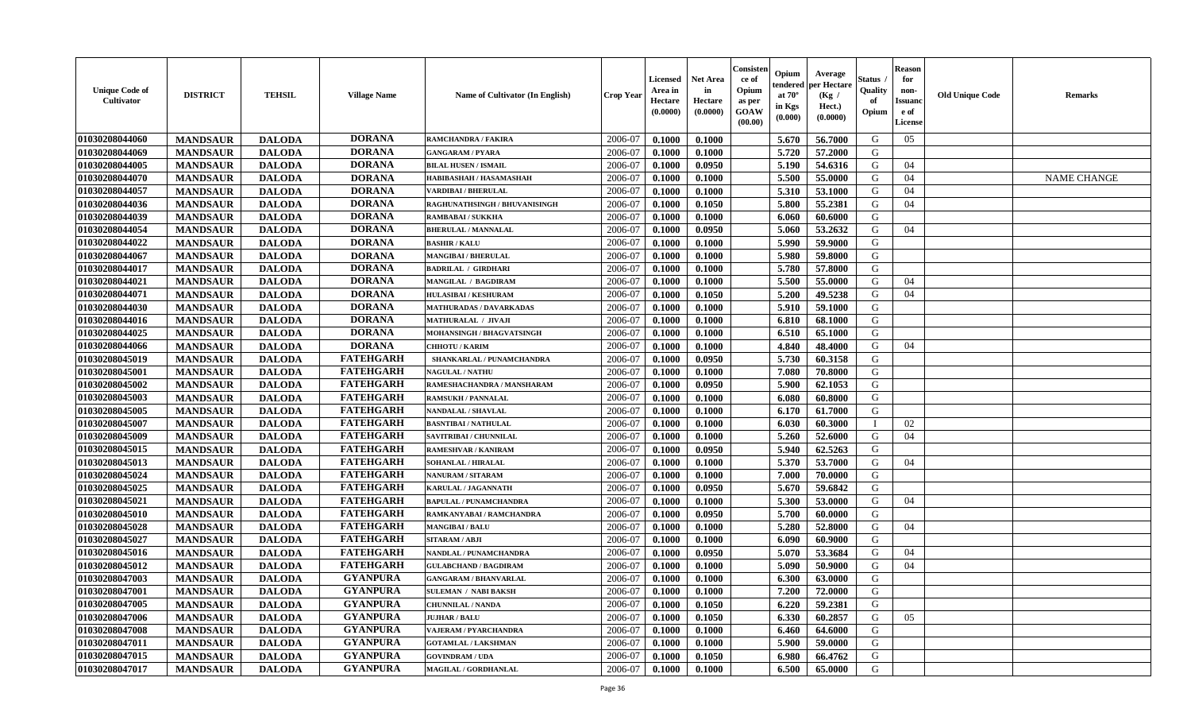| <b>Unique Code of</b><br>Cultivator | <b>DISTRICT</b> | <b>TEHSIL</b> | <b>Village Name</b> | <b>Name of Cultivator (In English)</b> | Crop Year | Licensed<br>Area in<br>Hectare<br>(0.0000) | <b>Net Area</b><br>in<br>Hectare<br>(0.0000) | Consister<br>ce of<br>Opium<br>as per<br>GOAW<br>(00.00) | Opium<br>endered<br>at $70^\circ$<br>in Kgs<br>(0.000) | Average<br>per Hectare<br>(Kg /<br>Hect.)<br>(0.0000) | Status<br>Quality<br>of<br>Opium | <b>Reason</b><br>for<br>non-<br><b>Issuanc</b><br>e of<br>License | <b>Old Unique Code</b> | Remarks            |
|-------------------------------------|-----------------|---------------|---------------------|----------------------------------------|-----------|--------------------------------------------|----------------------------------------------|----------------------------------------------------------|--------------------------------------------------------|-------------------------------------------------------|----------------------------------|-------------------------------------------------------------------|------------------------|--------------------|
| 01030208044060                      | <b>MANDSAUR</b> | <b>DALODA</b> | <b>DORANA</b>       | <b>RAMCHANDRA / FAKIRA</b>             | 2006-07   | 0.1000                                     | 0.1000                                       |                                                          | 5.670                                                  | 56.7000                                               | G                                | 05                                                                |                        |                    |
| 01030208044069                      | <b>MANDSAUR</b> | <b>DALODA</b> | <b>DORANA</b>       | <b>GANGARAM / PYARA</b>                | 2006-07   | 0.1000                                     | 0.1000                                       |                                                          | 5.720                                                  | 57.2000                                               | G                                |                                                                   |                        |                    |
| 01030208044005                      | <b>MANDSAUR</b> | <b>DALODA</b> | <b>DORANA</b>       | <b>BILAL HUSEN / ISMAIL</b>            | 2006-07   | 0.1000                                     | 0.0950                                       |                                                          | 5.190                                                  | 54.6316                                               | G                                | 04                                                                |                        |                    |
| 01030208044070                      | <b>MANDSAUR</b> | <b>DALODA</b> | <b>DORANA</b>       | HABIBASHAH / HASAMASHAH                | 2006-07   | 0.1000                                     | 0.1000                                       |                                                          | 5.500                                                  | 55.0000                                               | G                                | 04                                                                |                        | <b>NAME CHANGE</b> |
| 01030208044057                      | <b>MANDSAUR</b> | <b>DALODA</b> | <b>DORANA</b>       | <b>VARDIBAI / BHERULAL</b>             | 2006-07   | 0.1000                                     | 0.1000                                       |                                                          | 5.310                                                  | 53.1000                                               | G                                | 04                                                                |                        |                    |
| 01030208044036                      | <b>MANDSAUR</b> | <b>DALODA</b> | <b>DORANA</b>       | RAGHUNATHSINGH / BHUVANISINGH          | 2006-07   | 0.1000                                     | 0.1050                                       |                                                          | 5.800                                                  | 55.2381                                               | G                                | 04                                                                |                        |                    |
| 01030208044039                      | <b>MANDSAUR</b> | <b>DALODA</b> | <b>DORANA</b>       | <b>RAMBABAI/SUKKHA</b>                 | 2006-07   | 0.1000                                     | 0.1000                                       |                                                          | 6.060                                                  | 60.6000                                               | G                                |                                                                   |                        |                    |
| 01030208044054                      | <b>MANDSAUR</b> | <b>DALODA</b> | <b>DORANA</b>       | <b>BHERULAL / MANNALAL</b>             | 2006-07   | 0.1000                                     | 0.0950                                       |                                                          | 5.060                                                  | 53.2632                                               | G                                | 04                                                                |                        |                    |
| 01030208044022                      | <b>MANDSAUR</b> | <b>DALODA</b> | <b>DORANA</b>       | <b>BASHIR / KALU</b>                   | 2006-07   | 0.1000                                     | 0.1000                                       |                                                          | 5.990                                                  | 59.9000                                               | G                                |                                                                   |                        |                    |
| 01030208044067                      | <b>MANDSAUR</b> | <b>DALODA</b> | <b>DORANA</b>       | <b>MANGIBAI / BHERULAL</b>             | 2006-07   | 0.1000                                     | 0.1000                                       |                                                          | 5.980                                                  | 59.8000                                               | G                                |                                                                   |                        |                    |
| 01030208044017                      | <b>MANDSAUR</b> | <b>DALODA</b> | <b>DORANA</b>       | <b>BADRILAL / GIRDHARI</b>             | 2006-07   | 0.1000                                     | 0.1000                                       |                                                          | 5.780                                                  | 57.8000                                               | G                                |                                                                   |                        |                    |
| 01030208044021                      | <b>MANDSAUR</b> | <b>DALODA</b> | <b>DORANA</b>       | <b>MANGILAL / BAGDIRAM</b>             | 2006-07   | 0.1000                                     | 0.1000                                       |                                                          | 5.500                                                  | 55.0000                                               | G                                | 04                                                                |                        |                    |
| 01030208044071                      | <b>MANDSAUR</b> | <b>DALODA</b> | <b>DORANA</b>       | <b>HULASIBAI / KESHURAM</b>            | 2006-07   | 0.1000                                     | 0.1050                                       |                                                          | 5.200                                                  | 49.5238                                               | G                                | 04                                                                |                        |                    |
| 01030208044030                      | <b>MANDSAUR</b> | <b>DALODA</b> | <b>DORANA</b>       | <b>MATHURADAS / DAVARKADAS</b>         | 2006-07   | 0.1000                                     | 0.1000                                       |                                                          | 5.910                                                  | 59.1000                                               | G                                |                                                                   |                        |                    |
| 01030208044016                      | <b>MANDSAUR</b> | <b>DALODA</b> | <b>DORANA</b>       | <b>MATHURALAL / JIVAJI</b>             | 2006-07   | 0.1000                                     | 0.1000                                       |                                                          | 6.810                                                  | 68.1000                                               | G                                |                                                                   |                        |                    |
| 01030208044025                      | <b>MANDSAUR</b> | <b>DALODA</b> | <b>DORANA</b>       | MOHANSINGH / BHAGVATSINGH              | 2006-07   | 0.1000                                     | 0.1000                                       |                                                          | 6.510                                                  | 65.1000                                               | G                                |                                                                   |                        |                    |
| 01030208044066                      | <b>MANDSAUR</b> | <b>DALODA</b> | <b>DORANA</b>       | <b>CHHOTU / KARIM</b>                  | 2006-07   | 0.1000                                     | 0.1000                                       |                                                          | 4.840                                                  | 48.4000                                               | G                                | 04                                                                |                        |                    |
| 01030208045019                      | <b>MANDSAUR</b> | <b>DALODA</b> | <b>FATEHGARH</b>    | SHANKARLAL / PUNAMCHANDRA              | 2006-07   | 0.1000                                     | 0.0950                                       |                                                          | 5.730                                                  | 60.3158                                               | G                                |                                                                   |                        |                    |
| 01030208045001                      | <b>MANDSAUR</b> | <b>DALODA</b> | <b>FATEHGARH</b>    | <b>NAGULAL / NATHU</b>                 | 2006-07   | 0.1000                                     | 0.1000                                       |                                                          | 7.080                                                  | 70.8000                                               | G                                |                                                                   |                        |                    |
| 01030208045002                      | <b>MANDSAUR</b> | <b>DALODA</b> | <b>FATEHGARH</b>    | RAMESHACHANDRA / MANSHARAM             | 2006-07   | 0.1000                                     | 0.0950                                       |                                                          | 5.900                                                  | 62.1053                                               | G                                |                                                                   |                        |                    |
| 01030208045003                      | <b>MANDSAUR</b> | <b>DALODA</b> | <b>FATEHGARH</b>    | <b>RAMSUKH / PANNALAL</b>              | 2006-07   | 0.1000                                     | 0.1000                                       |                                                          | 6.080                                                  | 60.8000                                               | G                                |                                                                   |                        |                    |
| 01030208045005                      | <b>MANDSAUR</b> | <b>DALODA</b> | <b>FATEHGARH</b>    | <b>NANDALAL / SHAVLAL</b>              | 2006-07   | 0.1000                                     | 0.1000                                       |                                                          | 6.170                                                  | 61.7000                                               | G                                |                                                                   |                        |                    |
| 01030208045007                      | <b>MANDSAUR</b> | <b>DALODA</b> | <b>FATEHGARH</b>    | <b>BASNTIBAI / NATHULAL</b>            | 2006-07   | 0.1000                                     | 0.1000                                       |                                                          | 6.030                                                  | 60.3000                                               |                                  | 02                                                                |                        |                    |
| 01030208045009                      | <b>MANDSAUR</b> | <b>DALODA</b> | <b>FATEHGARH</b>    | SAVITRIBAI / CHUNNILAL                 | 2006-07   | 0.1000                                     | 0.1000                                       |                                                          | 5.260                                                  | 52.6000                                               | G                                | 04                                                                |                        |                    |
| 01030208045015                      | <b>MANDSAUR</b> | <b>DALODA</b> | <b>FATEHGARH</b>    | <b>RAMESHVAR / KANIRAM</b>             | 2006-07   | 0.1000                                     | 0.0950                                       |                                                          | 5.940                                                  | 62.5263                                               | G                                |                                                                   |                        |                    |
| 01030208045013                      | <b>MANDSAUR</b> | <b>DALODA</b> | <b>FATEHGARH</b>    | <b>SOHANLAL / HIRALAL</b>              | 2006-07   | 0.1000                                     | 0.1000                                       |                                                          | 5.370                                                  | 53.7000                                               | G                                | 04                                                                |                        |                    |
| 01030208045024                      | <b>MANDSAUR</b> | <b>DALODA</b> | <b>FATEHGARH</b>    | <b>NANURAM / SITARAM</b>               | 2006-07   | 0.1000                                     | 0.1000                                       |                                                          | 7.000                                                  | 70.0000                                               | G                                |                                                                   |                        |                    |
| 01030208045025                      | <b>MANDSAUR</b> | <b>DALODA</b> | <b>FATEHGARH</b>    | KARULAL / JAGANNATH                    | 2006-07   | 0.1000                                     | 0.0950                                       |                                                          | 5.670                                                  | 59.6842                                               | G                                |                                                                   |                        |                    |
| 01030208045021                      | <b>MANDSAUR</b> | <b>DALODA</b> | <b>FATEHGARH</b>    | <b>BAPULAL / PUNAMCHANDRA</b>          | 2006-07   | 0.1000                                     | 0.1000                                       |                                                          | 5.300                                                  | 53.0000                                               | G                                | 04                                                                |                        |                    |
| 01030208045010                      | <b>MANDSAUR</b> | <b>DALODA</b> | <b>FATEHGARH</b>    | RAMKANYABAI / RAMCHANDRA               | 2006-07   | 0.1000                                     | 0.0950                                       |                                                          | 5.700                                                  | 60.0000                                               | G                                |                                                                   |                        |                    |
| 01030208045028                      | <b>MANDSAUR</b> | <b>DALODA</b> | <b>FATEHGARH</b>    | <b>MANGIBAI/BALU</b>                   | 2006-07   | 0.1000                                     | 0.1000                                       |                                                          | 5.280                                                  | 52.8000                                               | G                                | 04                                                                |                        |                    |
| 01030208045027                      | <b>MANDSAUR</b> | <b>DALODA</b> | <b>FATEHGARH</b>    | <b>SITARAM / ABJI</b>                  | 2006-07   | 0.1000                                     | 0.1000                                       |                                                          | 6.090                                                  | 60.9000                                               | G                                |                                                                   |                        |                    |
| 01030208045016                      | <b>MANDSAUR</b> | <b>DALODA</b> | <b>FATEHGARH</b>    | NANDLAL / PUNAMCHANDRA                 | 2006-07   | 0.1000                                     | 0.0950                                       |                                                          | 5.070                                                  | 53.3684                                               | G                                | 04                                                                |                        |                    |
| 01030208045012                      | <b>MANDSAUR</b> | <b>DALODA</b> | <b>FATEHGARH</b>    | <b>GULABCHAND / BAGDIRAM</b>           | 2006-07   | 0.1000                                     | 0.1000                                       |                                                          | 5.090                                                  | 50.9000                                               | G                                | 04                                                                |                        |                    |
| 01030208047003                      | <b>MANDSAUR</b> | <b>DALODA</b> | <b>GYANPURA</b>     | <b>GANGARAM / BHANVARLAL</b>           | 2006-07   | 0.1000                                     | 0.1000                                       |                                                          | 6.300                                                  | 63.0000                                               | G                                |                                                                   |                        |                    |
| 01030208047001                      | <b>MANDSAUR</b> | <b>DALODA</b> | <b>GYANPURA</b>     | <b>SULEMAN / NABI BAKSH</b>            | 2006-07   | 0.1000                                     | 0.1000                                       |                                                          | 7.200                                                  | 72.0000                                               | G                                |                                                                   |                        |                    |
| 01030208047005                      | <b>MANDSAUR</b> | <b>DALODA</b> | <b>GYANPURA</b>     | <b>CHUNNILAL / NANDA</b>               | 2006-07   | 0.1000                                     | 0.1050                                       |                                                          | 6.220                                                  | 59.2381                                               | G                                |                                                                   |                        |                    |
| 01030208047006                      | <b>MANDSAUR</b> | <b>DALODA</b> | <b>GYANPURA</b>     | <b>JUJHAR / BALU</b>                   | 2006-07   | 0.1000                                     | 0.1050                                       |                                                          | 6.330                                                  | 60.2857                                               | G                                | 05                                                                |                        |                    |
| 01030208047008                      | <b>MANDSAUR</b> | <b>DALODA</b> | <b>GYANPURA</b>     | <b>VAJERAM / PYARCHANDRA</b>           | 2006-07   | 0.1000                                     | 0.1000                                       |                                                          | 6.460                                                  | 64.6000                                               | G                                |                                                                   |                        |                    |
| 01030208047011                      | <b>MANDSAUR</b> | <b>DALODA</b> | <b>GYANPURA</b>     | <b>GOTAMLAL / LAKSHMAN</b>             | 2006-07   | 0.1000                                     | 0.1000                                       |                                                          | 5.900                                                  | 59.0000                                               | G                                |                                                                   |                        |                    |
| 01030208047015                      | <b>MANDSAUR</b> | <b>DALODA</b> | <b>GYANPURA</b>     | <b>GOVINDRAM / UDA</b>                 | 2006-07   | 0.1000                                     | 0.1050                                       |                                                          | 6.980                                                  | 66.4762                                               | G                                |                                                                   |                        |                    |
| 01030208047017                      | <b>MANDSAUR</b> | <b>DALODA</b> | <b>GYANPURA</b>     | MAGILAL / GORDHANLAL                   | 2006-07   | 0.1000                                     | 0.1000                                       |                                                          | 6.500                                                  | 65.0000                                               | G                                |                                                                   |                        |                    |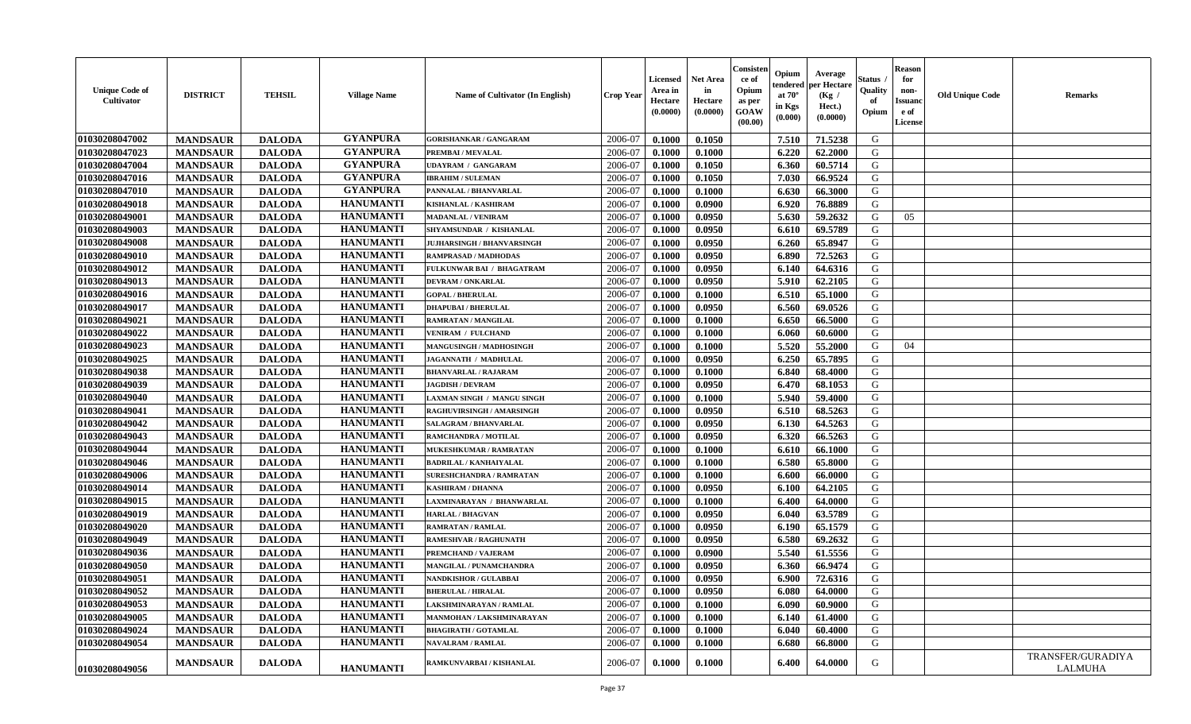| <b>Unique Code of</b><br><b>Cultivator</b> | <b>DISTRICT</b> | <b>TEHSIL</b> | <b>Village Name</b> | Name of Cultivator (In English)   | <b>Crop Year</b> | <b>Licensed</b><br>Area in<br>Hectare<br>(0.0000) | <b>Net Area</b><br>in<br>Hectare<br>(0.0000) | Consister<br>ce of<br>Opium<br>as per<br><b>GOAW</b><br>(00.00) | Opium<br>endered<br>at $70^\circ$<br>in Kgs<br>$(\mathbf{0.000})$ | Average<br>per Hectare<br>(Kg /<br>Hect.)<br>(0.0000) | Status<br>Quality<br>of<br>Opium | Reason<br>for<br>non-<br>Issuan<br>e of<br>License | <b>Old Unique Code</b> | <b>Remarks</b>               |
|--------------------------------------------|-----------------|---------------|---------------------|-----------------------------------|------------------|---------------------------------------------------|----------------------------------------------|-----------------------------------------------------------------|-------------------------------------------------------------------|-------------------------------------------------------|----------------------------------|----------------------------------------------------|------------------------|------------------------------|
| 01030208047002                             | <b>MANDSAUR</b> | <b>DALODA</b> | <b>GYANPURA</b>     | <b>GORISHANKAR / GANGARAM</b>     | 2006-07          | 0.1000                                            | 0.1050                                       |                                                                 | 7.510                                                             | 71.5238                                               | G                                |                                                    |                        |                              |
| 01030208047023                             | <b>MANDSAUR</b> | <b>DALODA</b> | <b>GYANPURA</b>     | PREMBAI / MEVALAL                 | 2006-07          | 0.1000                                            | 0.1000                                       |                                                                 | 6.220                                                             | 62.2000                                               | G                                |                                                    |                        |                              |
| 01030208047004                             | <b>MANDSAUR</b> | <b>DALODA</b> | <b>GYANPURA</b>     | <b>UDAYRAM / GANGARAM</b>         | 2006-07          | 0.1000                                            | 0.1050                                       |                                                                 | 6.360                                                             | 60.5714                                               | G                                |                                                    |                        |                              |
| 01030208047016                             | <b>MANDSAUR</b> | <b>DALODA</b> | <b>GYANPURA</b>     | <b>IBRAHIM / SULEMAN</b>          | 2006-07          | 0.1000                                            | 0.1050                                       |                                                                 | 7.030                                                             | 66.9524                                               | G                                |                                                    |                        |                              |
| 01030208047010                             | <b>MANDSAUR</b> | <b>DALODA</b> | <b>GYANPURA</b>     | PANNALAL / BHANVARLAL             | 2006-07          | 0.1000                                            | 0.1000                                       |                                                                 | 6.630                                                             | 66.3000                                               | G                                |                                                    |                        |                              |
| 01030208049018                             | <b>MANDSAUR</b> | <b>DALODA</b> | <b>HANUMANTI</b>    | <b>KISHANLAL / KASHIRAM</b>       | 2006-07          | 0.1000                                            | 0.0900                                       |                                                                 | 6.920                                                             | 76.8889                                               | G                                |                                                    |                        |                              |
| 01030208049001                             | <b>MANDSAUR</b> | <b>DALODA</b> | <b>HANUMANTI</b>    | <b>MADANLAL / VENIRAM</b>         | 2006-07          | 0.1000                                            | 0.0950                                       |                                                                 | 5.630                                                             | 59.2632                                               | G                                | 05                                                 |                        |                              |
| 01030208049003                             | <b>MANDSAUR</b> | <b>DALODA</b> | <b>HANUMANTI</b>    | SHYAMSUNDAR / KISHANLAL           | 2006-07          | 0.1000                                            | 0.0950                                       |                                                                 | 6.610                                                             | 69.5789                                               | G                                |                                                    |                        |                              |
| 01030208049008                             | <b>MANDSAUR</b> | <b>DALODA</b> | <b>HANUMANTI</b>    | <b>JUJHARSINGH / BHANVARSINGH</b> | 2006-07          | 0.1000                                            | 0.0950                                       |                                                                 | 6.260                                                             | 65.8947                                               | G                                |                                                    |                        |                              |
| 01030208049010                             | <b>MANDSAUR</b> | <b>DALODA</b> | <b>HANUMANTI</b>    | RAMPRASAD / MADHODAS              | 2006-07          | 0.1000                                            | 0.0950                                       |                                                                 | 6.890                                                             | 72.5263                                               | G                                |                                                    |                        |                              |
| 01030208049012                             | <b>MANDSAUR</b> | <b>DALODA</b> | <b>HANUMANTI</b>    | FULKUNWAR BAI / BHAGATRAM         | 2006-07          | 0.1000                                            | 0.0950                                       |                                                                 | 6.140                                                             | 64.6316                                               | G                                |                                                    |                        |                              |
| 01030208049013                             | <b>MANDSAUR</b> | <b>DALODA</b> | <b>HANUMANTI</b>    | <b>DEVRAM / ONKARLAL</b>          | 2006-07          | 0.1000                                            | 0.0950                                       |                                                                 | 5.910                                                             | 62.2105                                               | G                                |                                                    |                        |                              |
| 01030208049016                             | <b>MANDSAUR</b> | <b>DALODA</b> | <b>HANUMANTI</b>    | <b>GOPAL / BHERULAL</b>           | 2006-07          | 0.1000                                            | 0.1000                                       |                                                                 | 6.510                                                             | 65.1000                                               | G                                |                                                    |                        |                              |
| 01030208049017                             | <b>MANDSAUR</b> | <b>DALODA</b> | <b>HANUMANTI</b>    | <b>DHAPUBAI/BHERULAL</b>          | 2006-07          | 0.1000                                            | 0.0950                                       |                                                                 | 6.560                                                             | 69.0526                                               | G                                |                                                    |                        |                              |
| 01030208049021                             | <b>MANDSAUR</b> | <b>DALODA</b> | <b>HANUMANTI</b>    | <b>RAMRATAN / MANGILAL</b>        | 2006-07          | 0.1000                                            | 0.1000                                       |                                                                 | 6.650                                                             | 66.5000                                               | G                                |                                                    |                        |                              |
| 01030208049022                             | <b>MANDSAUR</b> | <b>DALODA</b> | <b>HANUMANTI</b>    | <b>VENIRAM / FULCHAND</b>         | 2006-07          | 0.1000                                            | 0.1000                                       |                                                                 | 6.060                                                             | 60.6000                                               | G                                |                                                    |                        |                              |
| 01030208049023                             | <b>MANDSAUR</b> | <b>DALODA</b> | <b>HANUMANTI</b>    | MANGUSINGH / MADHOSINGH           | 2006-07          | 0.1000                                            | 0.1000                                       |                                                                 | 5.520                                                             | 55.2000                                               | G                                | 04                                                 |                        |                              |
| 01030208049025                             | <b>MANDSAUR</b> | <b>DALODA</b> | <b>HANUMANTI</b>    | JAGANNATH / MADHULAL              | 2006-07          | 0.1000                                            | 0.0950                                       |                                                                 | 6.250                                                             | 65.7895                                               | G                                |                                                    |                        |                              |
| 01030208049038                             | <b>MANDSAUR</b> | <b>DALODA</b> | <b>HANUMANTI</b>    | <b>BHANVARLAL / RAJARAM</b>       | 2006-07          | 0.1000                                            | 0.1000                                       |                                                                 | 6.840                                                             | 68.4000                                               | G                                |                                                    |                        |                              |
| 01030208049039                             | <b>MANDSAUR</b> | <b>DALODA</b> | <b>HANUMANTI</b>    | <b>JAGDISH / DEVRAM</b>           | 2006-07          | 0.1000                                            | 0.0950                                       |                                                                 | 6.470                                                             | 68.1053                                               | G                                |                                                    |                        |                              |
| 01030208049040                             | <b>MANDSAUR</b> | <b>DALODA</b> | <b>HANUMANTI</b>    | LAXMAN SINGH / MANGU SINGH        | 2006-07          | 0.1000                                            | 0.1000                                       |                                                                 | 5.940                                                             | 59.4000                                               | G                                |                                                    |                        |                              |
| 01030208049041                             | <b>MANDSAUR</b> | <b>DALODA</b> | <b>HANUMANTI</b>    | RAGHUVIRSINGH / AMARSINGH         | 2006-07          | 0.1000                                            | 0.0950                                       |                                                                 | 6.510                                                             | 68.5263                                               | G                                |                                                    |                        |                              |
| 01030208049042                             | <b>MANDSAUR</b> | <b>DALODA</b> | <b>HANUMANTI</b>    | SALAGRAM / BHANVARLAL             | 2006-07          | 0.1000                                            | 0.0950                                       |                                                                 | 6.130                                                             | 64.5263                                               | G                                |                                                    |                        |                              |
| 01030208049043                             | <b>MANDSAUR</b> | <b>DALODA</b> | <b>HANUMANTI</b>    | RAMCHANDRA / MOTILAL              | 2006-07          | 0.1000                                            | 0.0950                                       |                                                                 | 6.320                                                             | 66.5263                                               | G                                |                                                    |                        |                              |
| 01030208049044                             | <b>MANDSAUR</b> | <b>DALODA</b> | <b>HANUMANTI</b>    | MUKESHKUMAR / RAMRATAN            | 2006-07          | 0.1000                                            | 0.1000                                       |                                                                 | 6.610                                                             | 66.1000                                               | G                                |                                                    |                        |                              |
| 01030208049046                             | <b>MANDSAUR</b> | <b>DALODA</b> | <b>HANUMANTI</b>    | <b>BADRILAL / KANHAIYALAL</b>     | 2006-07          | 0.1000                                            | 0.1000                                       |                                                                 | 6.580                                                             | 65.8000                                               | G                                |                                                    |                        |                              |
| 01030208049006                             | <b>MANDSAUR</b> | <b>DALODA</b> | <b>HANUMANTI</b>    | <b>SURESHCHANDRA / RAMRATAN</b>   | 2006-07          | 0.1000                                            | 0.1000                                       |                                                                 | 6.600                                                             | 66.0000                                               | G                                |                                                    |                        |                              |
| 01030208049014                             | <b>MANDSAUR</b> | <b>DALODA</b> | <b>HANUMANTI</b>    | <b>KASHIRAM / DHANNA</b>          | 2006-07          | 0.1000                                            | 0.0950                                       |                                                                 | 6.100                                                             | 64.2105                                               | G                                |                                                    |                        |                              |
| 01030208049015                             | <b>MANDSAUR</b> | <b>DALODA</b> | <b>HANUMANTI</b>    | LAXMINARAYAN / BHANWARLAL         | 2006-07          | 0.1000                                            | 0.1000                                       |                                                                 | 6.400                                                             | 64.0000                                               | G                                |                                                    |                        |                              |
| 01030208049019                             | <b>MANDSAUR</b> | <b>DALODA</b> | <b>HANUMANTI</b>    | <b>HARLAL / BHAGVAN</b>           | 2006-07          | 0.1000                                            | 0.0950                                       |                                                                 | 6.040                                                             | 63.5789                                               | G                                |                                                    |                        |                              |
| 01030208049020                             | <b>MANDSAUR</b> | <b>DALODA</b> | <b>HANUMANTI</b>    | <b>RAMRATAN / RAMLAL</b>          | 2006-07          | 0.1000                                            | 0.0950                                       |                                                                 | 6.190                                                             | 65.1579                                               | G                                |                                                    |                        |                              |
| 01030208049049                             | <b>MANDSAUR</b> | <b>DALODA</b> | <b>HANUMANTI</b>    | RAMESHVAR / RAGHUNATH             | 2006-07          | 0.1000                                            | 0.0950                                       |                                                                 | 6.580                                                             | 69.2632                                               | G                                |                                                    |                        |                              |
| 01030208049036                             | <b>MANDSAUR</b> | <b>DALODA</b> | <b>HANUMANTI</b>    | PREMCHAND / VAJERAM               | 2006-07          | 0.1000                                            | 0.0900                                       |                                                                 | 5.540                                                             | 61.5556                                               | G                                |                                                    |                        |                              |
| 01030208049050                             | <b>MANDSAUR</b> | <b>DALODA</b> | <b>HANUMANTI</b>    | MANGILAL / PUNAMCHANDRA           | 2006-07          | 0.1000                                            | 0.0950                                       |                                                                 | 6.360                                                             | 66.9474                                               | G                                |                                                    |                        |                              |
| 01030208049051                             | <b>MANDSAUR</b> | <b>DALODA</b> | <b>HANUMANTI</b>    | <b>NANDKISHOR / GULABBAI</b>      | 2006-07          | 0.1000                                            | 0.0950                                       |                                                                 | 6.900                                                             | 72.6316                                               | G                                |                                                    |                        |                              |
| 01030208049052                             | <b>MANDSAUR</b> | <b>DALODA</b> | <b>HANUMANTI</b>    | <b>BHERULAL / HIRALAL</b>         | 2006-07          | 0.1000                                            | 0.0950                                       |                                                                 | 6.080                                                             | 64.0000                                               | G                                |                                                    |                        |                              |
| 01030208049053                             | <b>MANDSAUR</b> | <b>DALODA</b> | <b>HANUMANTI</b>    | LAKSHMINARAYAN / RAMLAL           | 2006-07          | 0.1000                                            | 0.1000                                       |                                                                 | 6.090                                                             | 60.9000                                               | G                                |                                                    |                        |                              |
| 01030208049005                             | <b>MANDSAUR</b> | <b>DALODA</b> | <b>HANUMANTI</b>    | MANMOHAN / LAKSHMINARAYAN         | 2006-07          | 0.1000                                            | 0.1000                                       |                                                                 | 6.140                                                             | 61.4000                                               | G                                |                                                    |                        |                              |
| 01030208049024                             | <b>MANDSAUR</b> | <b>DALODA</b> | <b>HANUMANTI</b>    | <b>BHAGIRATH / GOTAMLAL</b>       | 2006-07          | 0.1000                                            | 0.1000                                       |                                                                 | 6.040                                                             | 60.4000                                               | G                                |                                                    |                        |                              |
| 01030208049054                             | <b>MANDSAUR</b> | <b>DALODA</b> | <b>HANUMANTI</b>    | <b>NAVALRAM / RAMLAL</b>          | 2006-07          | 0.1000                                            | 0.1000                                       |                                                                 | 6.680                                                             | 66.8000                                               | G                                |                                                    |                        |                              |
| 01030208049056                             | <b>MANDSAUR</b> | <b>DALODA</b> | <b>HANUMANTI</b>    | RAMKUNVARBAI / KISHANLAL          | 2006-07          | 0.1000                                            | 0.1000                                       |                                                                 | 6.400                                                             | 64.0000                                               | G                                |                                                    |                        | TRANSFER/GURADIYA<br>LALMUHA |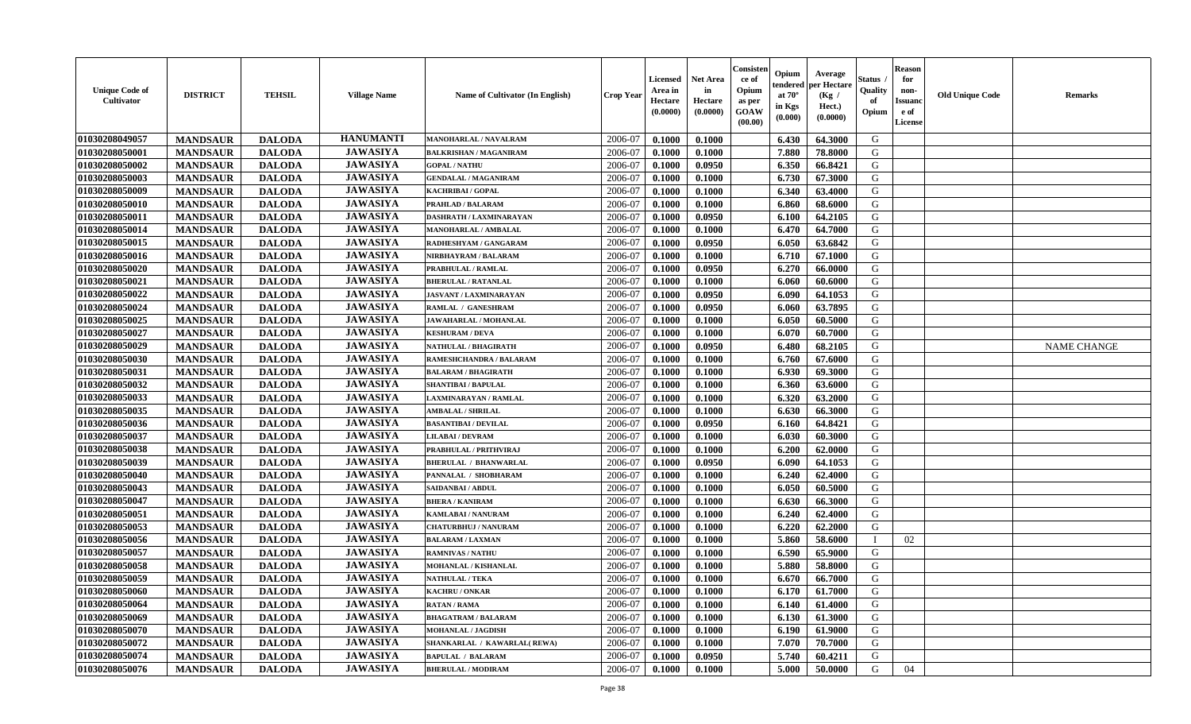| <b>Unique Code of</b><br><b>Cultivator</b> | <b>DISTRICT</b> | <b>TEHSIL</b> | <b>Village Name</b> | Name of Cultivator (In English) | <b>Crop Year</b> | <b>Licensed</b><br>Area in<br>Hectare<br>(0.0000) | Net Area<br>in<br>Hectare<br>(0.0000) | Consisteı<br>ce of<br>Opium<br>as per<br>GOAW<br>(00.00) | Opium<br>endered<br>at $70^\circ$<br>in Kgs<br>(0.000) | Average<br>per Hectare<br>(Kg /<br>Hect.)<br>(0.0000) | Status<br>Quality<br>of<br>Opium | <b>Reason</b><br>for<br>non-<br><b>Issuand</b><br>e of<br>License | <b>Old Unique Code</b> | Remarks            |
|--------------------------------------------|-----------------|---------------|---------------------|---------------------------------|------------------|---------------------------------------------------|---------------------------------------|----------------------------------------------------------|--------------------------------------------------------|-------------------------------------------------------|----------------------------------|-------------------------------------------------------------------|------------------------|--------------------|
| 01030208049057                             | <b>MANDSAUR</b> | <b>DALODA</b> | <b>HANUMANTI</b>    | MANOHARLAL / NAVALRAM           | 2006-07          | 0.1000                                            | 0.1000                                |                                                          | 6.430                                                  | 64.3000                                               | G                                |                                                                   |                        |                    |
| 01030208050001                             | <b>MANDSAUR</b> | <b>DALODA</b> | <b>JAWASIYA</b>     | <b>BALKRISHAN / MAGANIRAM</b>   | 2006-07          | 0.1000                                            | 0.1000                                |                                                          | 7.880                                                  | 78.8000                                               | G                                |                                                                   |                        |                    |
| 01030208050002                             | <b>MANDSAUR</b> | <b>DALODA</b> | <b>JAWASIYA</b>     | <b>GOPAL / NATHU</b>            | 2006-07          | 0.1000                                            | 0.0950                                |                                                          | 6.350                                                  | 66.8421                                               | G                                |                                                                   |                        |                    |
| 01030208050003                             | <b>MANDSAUR</b> | <b>DALODA</b> | <b>JAWASIYA</b>     | <b>GENDALAL / MAGANIRAM</b>     | 2006-07          | 0.1000                                            | 0.1000                                |                                                          | 6.730                                                  | 67.3000                                               | G                                |                                                                   |                        |                    |
| 01030208050009                             | <b>MANDSAUR</b> | <b>DALODA</b> | <b>JAWASIYA</b>     | <b>KACHRIBAI / GOPAL</b>        | 2006-07          | 0.1000                                            | 0.1000                                |                                                          | 6.340                                                  | 63.4000                                               | G                                |                                                                   |                        |                    |
| 01030208050010                             | <b>MANDSAUR</b> | <b>DALODA</b> | <b>JAWASIYA</b>     | PRAHLAD / BALARAM               | 2006-07          | 0.1000                                            | 0.1000                                |                                                          | 6.860                                                  | 68.6000                                               | G                                |                                                                   |                        |                    |
| 01030208050011                             | <b>MANDSAUR</b> | <b>DALODA</b> | <b>JAWASIYA</b>     | DASHRATH / LAXMINARAYAN         | 2006-07          | 0.1000                                            | 0.0950                                |                                                          | 6.100                                                  | 64.2105                                               | G                                |                                                                   |                        |                    |
| 01030208050014                             | <b>MANDSAUR</b> | <b>DALODA</b> | <b>JAWASIYA</b>     | <b>MANOHARLAL / AMBALAL</b>     | 2006-07          | 0.1000                                            | 0.1000                                |                                                          | 6.470                                                  | 64.7000                                               | G                                |                                                                   |                        |                    |
| 01030208050015                             | <b>MANDSAUR</b> | <b>DALODA</b> | <b>JAWASIYA</b>     | RADHESHYAM / GANGARAM           | 2006-07          | 0.1000                                            | 0.0950                                |                                                          | 6.050                                                  | 63.6842                                               | G                                |                                                                   |                        |                    |
| 01030208050016                             | <b>MANDSAUR</b> | <b>DALODA</b> | <b>JAWASIYA</b>     | NIRBHAYRAM / BALARAM            | 2006-07          | 0.1000                                            | 0.1000                                |                                                          | 6.710                                                  | 67.1000                                               | G                                |                                                                   |                        |                    |
| 01030208050020                             | <b>MANDSAUR</b> | <b>DALODA</b> | <b>JAWASIYA</b>     | PRABHULAL / RAMLAL              | 2006-07          | 0.1000                                            | 0.0950                                |                                                          | 6.270                                                  | 66.0000                                               | G                                |                                                                   |                        |                    |
| 01030208050021                             | <b>MANDSAUR</b> | <b>DALODA</b> | <b>JAWASIYA</b>     | <b>BHERULAL / RATANLAL</b>      | 2006-07          | 0.1000                                            | 0.1000                                |                                                          | 6.060                                                  | 60.6000                                               | G                                |                                                                   |                        |                    |
| 01030208050022                             | <b>MANDSAUR</b> | <b>DALODA</b> | <b>JAWASIYA</b>     | <b>JASVANT / LAXMINARAYAN</b>   | 2006-07          | 0.1000                                            | 0.0950                                |                                                          | 6.090                                                  | 64.1053                                               | G                                |                                                                   |                        |                    |
| 01030208050024                             | <b>MANDSAUR</b> | <b>DALODA</b> | <b>JAWASIYA</b>     | RAMLAL / GANESHRAM              | 2006-07          | 0.1000                                            | 0.0950                                |                                                          | 6.060                                                  | 63.7895                                               | G                                |                                                                   |                        |                    |
| 01030208050025                             | <b>MANDSAUR</b> | <b>DALODA</b> | <b>JAWASIYA</b>     | JAWAHARLAL / MOHANLAL           | 2006-07          | 0.1000                                            | 0.1000                                |                                                          | 6.050                                                  | 60.5000                                               | $\mathbf G$                      |                                                                   |                        |                    |
| 01030208050027                             | <b>MANDSAUR</b> | <b>DALODA</b> | <b>JAWASIYA</b>     | <b>KESHURAM / DEVA</b>          | 2006-07          | 0.1000                                            | 0.1000                                |                                                          | 6.070                                                  | 60.7000                                               | G                                |                                                                   |                        |                    |
| 01030208050029                             | <b>MANDSAUR</b> | <b>DALODA</b> | <b>JAWASIYA</b>     | NATHULAL / BHAGIRATH            | 2006-07          | 0.1000                                            | 0.0950                                |                                                          | 6.480                                                  | 68.2105                                               | G                                |                                                                   |                        | <b>NAME CHANGE</b> |
| 01030208050030                             | <b>MANDSAUR</b> | <b>DALODA</b> | <b>JAWASIYA</b>     | RAMESHCHANDRA / BALARAM         | 2006-07          | 0.1000                                            | 0.1000                                |                                                          | 6.760                                                  | 67.6000                                               | G                                |                                                                   |                        |                    |
| 01030208050031                             | <b>MANDSAUR</b> | <b>DALODA</b> | <b>JAWASIYA</b>     | <b>BALARAM / BHAGIRATH</b>      | 2006-07          | 0.1000                                            | 0.1000                                |                                                          | 6.930                                                  | 69.3000                                               | G                                |                                                                   |                        |                    |
| 01030208050032                             | <b>MANDSAUR</b> | <b>DALODA</b> | <b>JAWASIYA</b>     | <b>SHANTIBAI / BAPULAL</b>      | 2006-07          | 0.1000                                            | 0.1000                                |                                                          | 6.360                                                  | 63.6000                                               | G                                |                                                                   |                        |                    |
| 01030208050033                             | <b>MANDSAUR</b> | <b>DALODA</b> | <b>JAWASIYA</b>     | <b>LAXMINARAYAN / RAMLAL</b>    | 2006-07          | 0.1000                                            | 0.1000                                |                                                          | 6.320                                                  | 63.2000                                               | G                                |                                                                   |                        |                    |
| 01030208050035                             | <b>MANDSAUR</b> | <b>DALODA</b> | <b>JAWASIYA</b>     | <b>AMBALAL / SHRILAL</b>        | 2006-07          | 0.1000                                            | 0.1000                                |                                                          | 6.630                                                  | 66.3000                                               | G                                |                                                                   |                        |                    |
| 01030208050036                             | <b>MANDSAUR</b> | <b>DALODA</b> | <b>JAWASIYA</b>     | <b>BASANTIBAI/DEVILAL</b>       | 2006-07          | 0.1000                                            | 0.0950                                |                                                          | 6.160                                                  | 64.8421                                               | G                                |                                                                   |                        |                    |
| 01030208050037                             | <b>MANDSAUR</b> | <b>DALODA</b> | <b>JAWASIYA</b>     | <b>LILABAI/DEVRAM</b>           | 2006-07          | 0.1000                                            | 0.1000                                |                                                          | 6.030                                                  | 60.3000                                               | G                                |                                                                   |                        |                    |
| 01030208050038                             | <b>MANDSAUR</b> | <b>DALODA</b> | <b>JAWASIYA</b>     | PRABHULAL / PRITHVIRAJ          | 2006-07          | 0.1000                                            | 0.1000                                |                                                          | 6.200                                                  | 62.0000                                               | G                                |                                                                   |                        |                    |
| 01030208050039                             | <b>MANDSAUR</b> | <b>DALODA</b> | <b>JAWASIYA</b>     | <b>BHERULAL / BHANWARLAL</b>    | 2006-07          | 0.1000                                            | 0.0950                                |                                                          | 6.090                                                  | 64.1053                                               | G                                |                                                                   |                        |                    |
| 01030208050040                             | <b>MANDSAUR</b> | <b>DALODA</b> | <b>JAWASIYA</b>     | PANNALAL / SHOBHARAM            | 2006-07          | 0.1000                                            | 0.1000                                |                                                          | 6.240                                                  | 62.4000                                               | G                                |                                                                   |                        |                    |
| 01030208050043                             | <b>MANDSAUR</b> | <b>DALODA</b> | <b>JAWASIYA</b>     | SAIDANBAI / ABDUL               | 2006-07          | 0.1000                                            | 0.1000                                |                                                          | 6.050                                                  | 60.5000                                               | G                                |                                                                   |                        |                    |
| 01030208050047                             | <b>MANDSAUR</b> | <b>DALODA</b> | <b>JAWASIYA</b>     | <b>BHERA / KANIRAM</b>          | 2006-07          | 0.1000                                            | 0.1000                                |                                                          | 6.630                                                  | 66.3000                                               | G                                |                                                                   |                        |                    |
| 01030208050051                             | <b>MANDSAUR</b> | <b>DALODA</b> | <b>JAWASIYA</b>     | <b>KAMLABAI/NANURAM</b>         | 2006-07          | 0.1000                                            | 0.1000                                |                                                          | 6.240                                                  | 62.4000                                               | G                                |                                                                   |                        |                    |
| 01030208050053                             | <b>MANDSAUR</b> | <b>DALODA</b> | <b>JAWASIYA</b>     | <b>CHATURBHUJ / NANURAM</b>     | 2006-07          | 0.1000                                            | 0.1000                                |                                                          | 6.220                                                  | 62.2000                                               | G                                |                                                                   |                        |                    |
| 01030208050056                             | <b>MANDSAUR</b> | <b>DALODA</b> | <b>JAWASIYA</b>     | <b>BALARAM / LAXMAN</b>         | 2006-07          | 0.1000                                            | 0.1000                                |                                                          | 5.860                                                  | 58.6000                                               |                                  | 02                                                                |                        |                    |
| 01030208050057                             | <b>MANDSAUR</b> | <b>DALODA</b> | <b>JAWASIYA</b>     | <b>RAMNIVAS / NATHU</b>         | 2006-07          | 0.1000                                            | 0.1000                                |                                                          | 6.590                                                  | 65.9000                                               | G                                |                                                                   |                        |                    |
| 01030208050058                             | <b>MANDSAUR</b> | <b>DALODA</b> | <b>JAWASIYA</b>     | <b>MOHANLAL / KISHANLAL</b>     | 2006-07          | 0.1000                                            | 0.1000                                |                                                          | 5.880                                                  | 58.8000                                               | G                                |                                                                   |                        |                    |
| 01030208050059                             | <b>MANDSAUR</b> | <b>DALODA</b> | <b>JAWASIYA</b>     | <b>NATHULAL / TEKA</b>          | 2006-07          | 0.1000                                            | 0.1000                                |                                                          | 6.670                                                  | 66.7000                                               | G                                |                                                                   |                        |                    |
| 01030208050060                             | <b>MANDSAUR</b> | <b>DALODA</b> | <b>JAWASIYA</b>     | KACHRU / ONKAR                  | 2006-07          | 0.1000                                            | 0.1000                                |                                                          | 6.170                                                  | 61.7000                                               | G                                |                                                                   |                        |                    |
| 01030208050064                             | <b>MANDSAUR</b> | <b>DALODA</b> | <b>JAWASIYA</b>     | <b>RATAN / RAMA</b>             | 2006-07          | 0.1000                                            | 0.1000                                |                                                          | 6.140                                                  | 61.4000                                               | G                                |                                                                   |                        |                    |
| 01030208050069                             | <b>MANDSAUR</b> | <b>DALODA</b> | <b>JAWASIYA</b>     | <b>BHAGATRAM / BALARAM</b>      | 2006-07          | 0.1000                                            | 0.1000                                |                                                          | 6.130                                                  | 61.3000                                               | G                                |                                                                   |                        |                    |
| 01030208050070                             | <b>MANDSAUR</b> | <b>DALODA</b> | <b>JAWASIYA</b>     | <b>MOHANLAL / JAGDISH</b>       | 2006-07          | 0.1000                                            | 0.1000                                |                                                          | 6.190                                                  | 61.9000                                               | G                                |                                                                   |                        |                    |
| 01030208050072                             | <b>MANDSAUR</b> | <b>DALODA</b> | <b>JAWASIYA</b>     | SHANKARLAL / KAWARLAL (REWA)    | 2006-07          | 0.1000                                            | 0.1000                                |                                                          | 7.070                                                  | 70.7000                                               | G                                |                                                                   |                        |                    |
| 01030208050074                             | <b>MANDSAUR</b> | <b>DALODA</b> | <b>JAWASIYA</b>     | <b>BAPULAL / BALARAM</b>        | 2006-07          | 0.1000                                            | 0.0950                                |                                                          | 5.740                                                  | 60.4211                                               | G                                |                                                                   |                        |                    |
| 01030208050076                             | <b>MANDSAUR</b> | <b>DALODA</b> | <b>JAWASIYA</b>     | <b>BHERULAL / MODIRAM</b>       | 2006-07          | 0.1000                                            | 0.1000                                |                                                          | 5.000                                                  | 50.0000                                               | G                                | 04                                                                |                        |                    |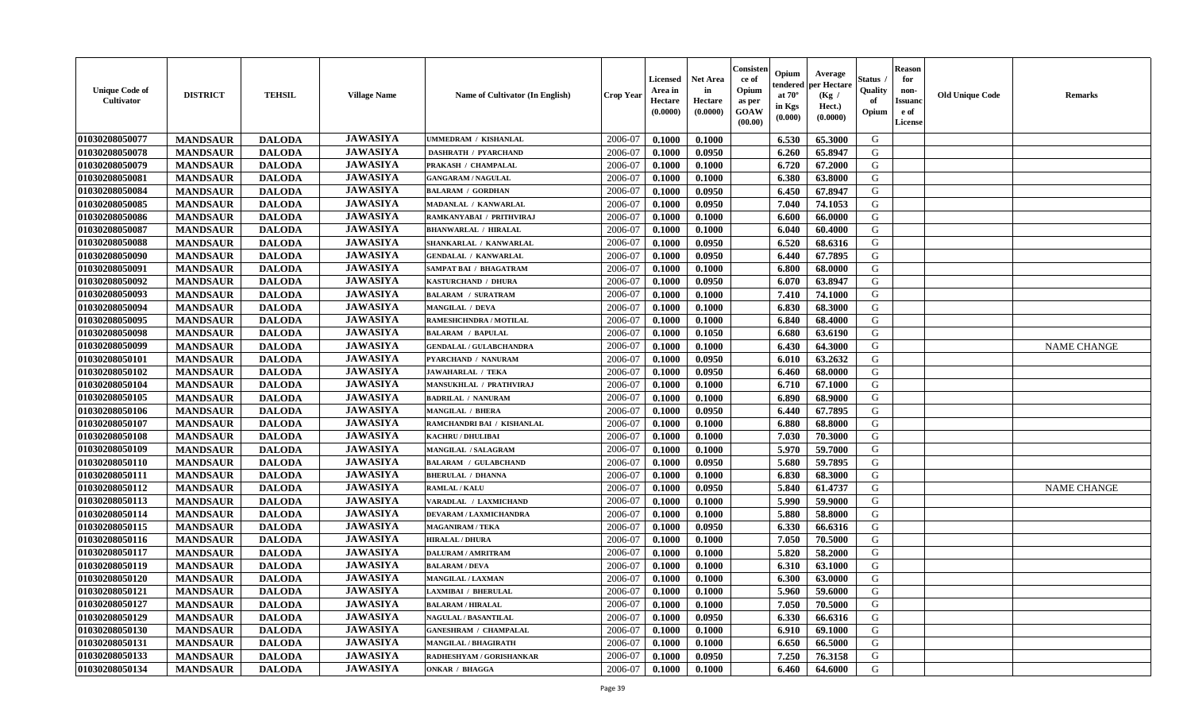| <b>Unique Code of</b><br>Cultivator | <b>DISTRICT</b> | <b>TEHSIL</b> | <b>Village Name</b> | Name of Cultivator (In English) | <b>Crop Year</b> | <b>Licensed</b><br>Area in<br>Hectare<br>(0.0000) | <b>Net Area</b><br>in<br>Hectare<br>(0.0000) | Consister<br>ce of<br>Opium<br>as per<br>GOAW<br>(00.00) | Opium<br>endered<br>at $70^\circ$<br>in Kgs<br>(0.000) | Average<br>per Hectare<br>(Kg /<br>Hect.)<br>(0.0000) | <b>Status</b> .<br>Quality<br>of<br>Opium | <b>Reason</b><br>for<br>non-<br><b>Issuanc</b><br>e of<br>License | <b>Old Unique Code</b> | <b>Remarks</b>     |
|-------------------------------------|-----------------|---------------|---------------------|---------------------------------|------------------|---------------------------------------------------|----------------------------------------------|----------------------------------------------------------|--------------------------------------------------------|-------------------------------------------------------|-------------------------------------------|-------------------------------------------------------------------|------------------------|--------------------|
| 01030208050077                      | <b>MANDSAUR</b> | <b>DALODA</b> | <b>JAWASIYA</b>     | <b>JMMEDRAM / KISHANLAL</b>     | 2006-07          | 0.1000                                            | 0.1000                                       |                                                          | 6.530                                                  | 65.3000                                               | G                                         |                                                                   |                        |                    |
| 01030208050078                      | <b>MANDSAUR</b> | <b>DALODA</b> | <b>JAWASIYA</b>     | <b>DASHRATH / PYARCHAND</b>     | 2006-07          | 0.1000                                            | 0.0950                                       |                                                          | 6.260                                                  | 65.8947                                               | G                                         |                                                                   |                        |                    |
| 01030208050079                      | <b>MANDSAUR</b> | <b>DALODA</b> | <b>JAWASIYA</b>     | PRAKASH / CHAMPALAL             | 2006-07          | 0.1000                                            | 0.1000                                       |                                                          | 6.720                                                  | 67.2000                                               | G                                         |                                                                   |                        |                    |
| 01030208050081                      | <b>MANDSAUR</b> | <b>DALODA</b> | <b>JAWASIYA</b>     | <b>GANGARAM / NAGULAL</b>       | 2006-07          | 0.1000                                            | 0.1000                                       |                                                          | 6.380                                                  | 63.8000                                               | G                                         |                                                                   |                        |                    |
| 01030208050084                      | <b>MANDSAUR</b> | <b>DALODA</b> | <b>JAWASIYA</b>     | <b>BALARAM / GORDHAN</b>        | 2006-07          | 0.1000                                            | 0.0950                                       |                                                          | 6.450                                                  | 67.8947                                               | G                                         |                                                                   |                        |                    |
| 01030208050085                      | <b>MANDSAUR</b> | <b>DALODA</b> | <b>JAWASIYA</b>     | MADANLAL / KANWARLAL            | 2006-07          | 0.1000                                            | 0.0950                                       |                                                          | 7.040                                                  | 74.1053                                               | G                                         |                                                                   |                        |                    |
| 01030208050086                      | <b>MANDSAUR</b> | <b>DALODA</b> | <b>JAWASIYA</b>     | RAMKANYABAI / PRITHVIRAJ        | 2006-07          | 0.1000                                            | 0.1000                                       |                                                          | 6.600                                                  | 66.0000                                               | G                                         |                                                                   |                        |                    |
| 01030208050087                      | <b>MANDSAUR</b> | <b>DALODA</b> | <b>JAWASIYA</b>     | <b>BHANWARLAL / HIRALAL</b>     | 2006-07          | 0.1000                                            | 0.1000                                       |                                                          | 6.040                                                  | 60.4000                                               | G                                         |                                                                   |                        |                    |
| 01030208050088                      | <b>MANDSAUR</b> | <b>DALODA</b> | <b>JAWASIYA</b>     | SHANKARLAL / KANWARLAL          | 2006-07          | 0.1000                                            | 0.0950                                       |                                                          | 6.520                                                  | 68.6316                                               | G                                         |                                                                   |                        |                    |
| 01030208050090                      | <b>MANDSAUR</b> | <b>DALODA</b> | <b>JAWASIYA</b>     | <b>GENDALAL / KANWARLAL</b>     | 2006-07          | 0.1000                                            | 0.0950                                       |                                                          | 6.440                                                  | 67.7895                                               | G                                         |                                                                   |                        |                    |
| 01030208050091                      | <b>MANDSAUR</b> | <b>DALODA</b> | <b>JAWASIYA</b>     | <b>SAMPAT BAI / BHAGATRAM</b>   | 2006-07          | 0.1000                                            | 0.1000                                       |                                                          | 6.800                                                  | 68.0000                                               | G                                         |                                                                   |                        |                    |
| 01030208050092                      | <b>MANDSAUR</b> | <b>DALODA</b> | <b>JAWASIYA</b>     | KASTURCHAND / DHURA             | 2006-07          | 0.1000                                            | 0.0950                                       |                                                          | 6.070                                                  | 63.8947                                               | G                                         |                                                                   |                        |                    |
| 01030208050093                      | <b>MANDSAUR</b> | <b>DALODA</b> | <b>JAWASIYA</b>     | <b>BALARAM / SURATRAM</b>       | 2006-07          | 0.1000                                            | 0.1000                                       |                                                          | 7.410                                                  | 74.1000                                               | G                                         |                                                                   |                        |                    |
| 01030208050094                      | <b>MANDSAUR</b> | <b>DALODA</b> | <b>JAWASIYA</b>     | <b>MANGILAL / DEVA</b>          | 2006-07          | 0.1000                                            | 0.1000                                       |                                                          | 6.830                                                  | 68.3000                                               | G                                         |                                                                   |                        |                    |
| 01030208050095                      | <b>MANDSAUR</b> | <b>DALODA</b> | <b>JAWASIYA</b>     | RAMESHCHNDRA / MOTILAL          | 2006-07          | 0.1000                                            | 0.1000                                       |                                                          | 6.840                                                  | 68.4000                                               | ${\bf G}$                                 |                                                                   |                        |                    |
| 01030208050098                      | <b>MANDSAUR</b> | <b>DALODA</b> | <b>JAWASIYA</b>     | <b>BALARAM / BAPULAL</b>        | 2006-07          | 0.1000                                            | 0.1050                                       |                                                          | 6.680                                                  | 63.6190                                               | G                                         |                                                                   |                        |                    |
| 01030208050099                      | <b>MANDSAUR</b> | <b>DALODA</b> | <b>JAWASIYA</b>     | <b>GENDALAL / GULABCHANDRA</b>  | 2006-07          | 0.1000                                            | 0.1000                                       |                                                          | 6.430                                                  | 64.3000                                               | G                                         |                                                                   |                        | <b>NAME CHANGE</b> |
| 01030208050101                      | <b>MANDSAUR</b> | <b>DALODA</b> | <b>JAWASIYA</b>     | PYARCHAND / NANURAM             | 2006-07          | 0.1000                                            | 0.0950                                       |                                                          | 6.010                                                  | 63.2632                                               | G                                         |                                                                   |                        |                    |
| 01030208050102                      | <b>MANDSAUR</b> | <b>DALODA</b> | <b>JAWASIYA</b>     | <b>JAWAHARLAL / TEKA</b>        | 2006-07          | 0.1000                                            | 0.0950                                       |                                                          | 6.460                                                  | 68.0000                                               | G                                         |                                                                   |                        |                    |
| 01030208050104                      | <b>MANDSAUR</b> | <b>DALODA</b> | <b>JAWASIYA</b>     | MANSUKHLAL / PRATHVIRAJ         | 2006-07          | 0.1000                                            | 0.1000                                       |                                                          | 6.710                                                  | 67.1000                                               | G                                         |                                                                   |                        |                    |
| 01030208050105                      | <b>MANDSAUR</b> | <b>DALODA</b> | <b>JAWASIYA</b>     | <b>BADRILAL / NANURAM</b>       | 2006-07          | 0.1000                                            | 0.1000                                       |                                                          | 6.890                                                  | 68.9000                                               | G                                         |                                                                   |                        |                    |
| 01030208050106                      | <b>MANDSAUR</b> | <b>DALODA</b> | <b>JAWASIYA</b>     | <b>MANGILAL / BHERA</b>         | 2006-07          | 0.1000                                            | 0.0950                                       |                                                          | 6.440                                                  | 67.7895                                               | G                                         |                                                                   |                        |                    |
| 01030208050107                      | <b>MANDSAUR</b> | <b>DALODA</b> | <b>JAWASIYA</b>     | RAMCHANDRI BAI / KISHANLAL      | 2006-07          | 0.1000                                            | 0.1000                                       |                                                          | 6.880                                                  | 68.8000                                               | G                                         |                                                                   |                        |                    |
| 01030208050108                      | <b>MANDSAUR</b> | <b>DALODA</b> | <b>JAWASIYA</b>     | KACHRU / DHULIBAI               | 2006-07          | 0.1000                                            | 0.1000                                       |                                                          | 7.030                                                  | 70.3000                                               | ${\bf G}$                                 |                                                                   |                        |                    |
| 01030208050109                      | <b>MANDSAUR</b> | <b>DALODA</b> | <b>JAWASIYA</b>     | <b>MANGILAL / SALAGRAM</b>      | 2006-07          | 0.1000                                            | 0.1000                                       |                                                          | 5.970                                                  | 59.7000                                               | G                                         |                                                                   |                        |                    |
| 01030208050110                      | <b>MANDSAUR</b> | <b>DALODA</b> | <b>JAWASIYA</b>     | <b>BALARAM / GULABCHAND</b>     | 2006-07          | 0.1000                                            | 0.0950                                       |                                                          | 5.680                                                  | 59.7895                                               | G                                         |                                                                   |                        |                    |
| 01030208050111                      | <b>MANDSAUR</b> | <b>DALODA</b> | <b>JAWASIYA</b>     | <b>BHERULAL / DHANNA</b>        | 2006-07          | 0.1000                                            | 0.1000                                       |                                                          | 6.830                                                  | 68.3000                                               | G                                         |                                                                   |                        |                    |
| 01030208050112                      | <b>MANDSAUR</b> | <b>DALODA</b> | <b>JAWASIYA</b>     | <b>RAMLAL / KALU</b>            | 2006-07          | 0.1000                                            | 0.0950                                       |                                                          | 5.840                                                  | 61.4737                                               | G                                         |                                                                   |                        | <b>NAME CHANGE</b> |
| 01030208050113                      | <b>MANDSAUR</b> | <b>DALODA</b> | <b>JAWASIYA</b>     | VARADLAL / LAXMICHAND           | 2006-07          | 0.1000                                            | 0.1000                                       |                                                          | 5.990                                                  | 59.9000                                               | G                                         |                                                                   |                        |                    |
| 01030208050114                      | <b>MANDSAUR</b> | <b>DALODA</b> | <b>JAWASIYA</b>     | <b>DEVARAM / LAXMICHANDRA</b>   | 2006-07          | 0.1000                                            | 0.1000                                       |                                                          | 5.880                                                  | 58.8000                                               | G                                         |                                                                   |                        |                    |
| 01030208050115                      | <b>MANDSAUR</b> | <b>DALODA</b> | <b>JAWASIYA</b>     | <b>MAGANIRAM / TEKA</b>         | 2006-07          | 0.1000                                            | 0.0950                                       |                                                          | 6.330                                                  | 66.6316                                               | G                                         |                                                                   |                        |                    |
| 01030208050116                      | <b>MANDSAUR</b> | <b>DALODA</b> | <b>JAWASIYA</b>     | <b>HIRALAL / DHURA</b>          | 2006-07          | 0.1000                                            | 0.1000                                       |                                                          | 7.050                                                  | 70.5000                                               | G                                         |                                                                   |                        |                    |
| 01030208050117                      | <b>MANDSAUR</b> | <b>DALODA</b> | <b>JAWASIYA</b>     | <b>DALURAM / AMRITRAM</b>       | 2006-07          | 0.1000                                            | 0.1000                                       |                                                          | 5.820                                                  | 58.2000                                               | G                                         |                                                                   |                        |                    |
| 01030208050119                      | <b>MANDSAUR</b> | <b>DALODA</b> | <b>JAWASIYA</b>     | <b>BALARAM / DEVA</b>           | 2006-07          | 0.1000                                            | 0.1000                                       |                                                          | 6.310                                                  | 63.1000                                               | G                                         |                                                                   |                        |                    |
| 01030208050120                      | <b>MANDSAUR</b> | <b>DALODA</b> | <b>JAWASIYA</b>     | <b>MANGILAL / LAXMAN</b>        | 2006-07          | 0.1000                                            | 0.1000                                       |                                                          | 6.300                                                  | 63.0000                                               | ${\bf G}$                                 |                                                                   |                        |                    |
| 01030208050121                      | <b>MANDSAUR</b> | <b>DALODA</b> | <b>JAWASIYA</b>     | LAXMIBAI / BHERULAL             | 2006-07          | 0.1000                                            | 0.1000                                       |                                                          | 5.960                                                  | 59.6000                                               | G                                         |                                                                   |                        |                    |
| 01030208050127                      | <b>MANDSAUR</b> | <b>DALODA</b> | <b>JAWASIYA</b>     | <b>BALARAM / HIRALAL</b>        | 2006-07          | 0.1000                                            | 0.1000                                       |                                                          | 7.050                                                  | 70.5000                                               | G                                         |                                                                   |                        |                    |
| 01030208050129                      | <b>MANDSAUR</b> | <b>DALODA</b> | <b>JAWASIYA</b>     | <b>NAGULAL / BASANTILAL</b>     | 2006-07          | 0.1000                                            | 0.0950                                       |                                                          | 6.330                                                  | 66.6316                                               | G                                         |                                                                   |                        |                    |
| 01030208050130                      | <b>MANDSAUR</b> | <b>DALODA</b> | <b>JAWASIYA</b>     | <b>GANESHRAM / CHAMPALAL</b>    | 2006-07          | 0.1000                                            | 0.1000                                       |                                                          | 6.910                                                  | 69.1000                                               | G                                         |                                                                   |                        |                    |
| 01030208050131                      | <b>MANDSAUR</b> | <b>DALODA</b> | <b>JAWASIYA</b>     | <b>MANGILAL / BHAGIRATH</b>     | 2006-07          | 0.1000                                            | 0.1000                                       |                                                          | 6.650                                                  | 66.5000                                               | ${\bf G}$                                 |                                                                   |                        |                    |
| 01030208050133                      | <b>MANDSAUR</b> | <b>DALODA</b> | <b>JAWASIYA</b>     | RADHESHYAM / GORISHANKAR        | 2006-07          | 0.1000                                            | 0.0950                                       |                                                          | 7.250                                                  | 76.3158                                               | G                                         |                                                                   |                        |                    |
| 01030208050134                      | <b>MANDSAUR</b> | <b>DALODA</b> | <b>JAWASIYA</b>     | <b>ONKAR / BHAGGA</b>           | 2006-07          | 0.1000                                            | 0.1000                                       |                                                          | 6.460                                                  | 64.6000                                               | G                                         |                                                                   |                        |                    |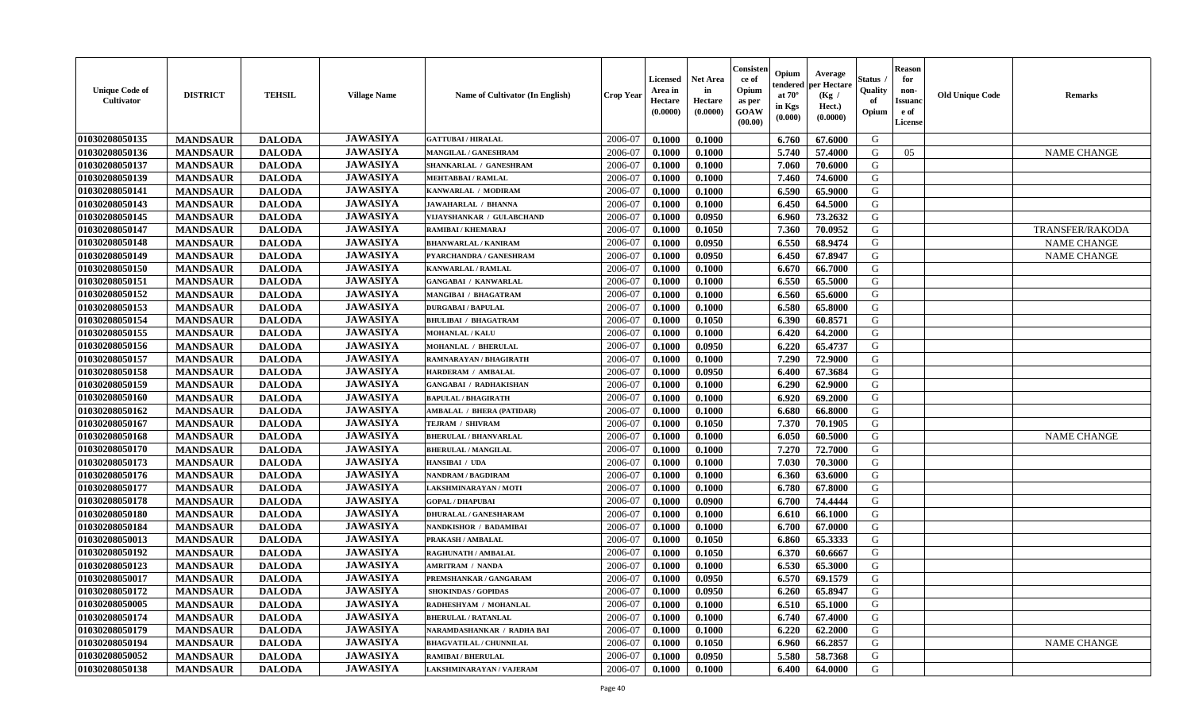| <b>Unique Code of</b><br>Cultivator | <b>DISTRICT</b> | <b>TEHSIL</b> | <b>Village Name</b> | Name of Cultivator (In English)  | <b>Crop Year</b> | <b>Licensed</b><br>Area in<br>Hectare<br>(0.0000) | <b>Net Area</b><br>in<br>Hectare<br>(0.0000) | Consister<br>ce of<br>Opium<br>as per<br><b>GOAW</b><br>(00.00) | Opium<br>endered<br>at $70^\circ$<br>in Kgs<br>(0.000) | Average<br>er Hectare<br>(Kg /<br>Hect.)<br>(0.0000) | Status<br>Quality<br>of<br>Opium | <b>Reason</b><br>for<br>non-<br><b>Issuand</b><br>e of<br>License | <b>Old Unique Code</b> | <b>Remarks</b>         |
|-------------------------------------|-----------------|---------------|---------------------|----------------------------------|------------------|---------------------------------------------------|----------------------------------------------|-----------------------------------------------------------------|--------------------------------------------------------|------------------------------------------------------|----------------------------------|-------------------------------------------------------------------|------------------------|------------------------|
| 01030208050135                      | <b>MANDSAUR</b> | <b>DALODA</b> | <b>JAWASIYA</b>     | <b>GATTUBAI/HIRALAL</b>          | 2006-07          | 0.1000                                            | 0.1000                                       |                                                                 | 6.760                                                  | 67.6000                                              | G                                |                                                                   |                        |                        |
| 01030208050136                      | <b>MANDSAUR</b> | <b>DALODA</b> | <b>JAWASIYA</b>     | <b>MANGILAL / GANESHRAM</b>      | 2006-07          | 0.1000                                            | 0.1000                                       |                                                                 | 5.740                                                  | 57.4000                                              | G                                | 05                                                                |                        | <b>NAME CHANGE</b>     |
| 01030208050137                      | <b>MANDSAUR</b> | <b>DALODA</b> | <b>JAWASIYA</b>     | SHANKARLAL / GANESHRAM           | 2006-07          | 0.1000                                            | 0.1000                                       |                                                                 | 7.060                                                  | 70.6000                                              | G                                |                                                                   |                        |                        |
| 01030208050139                      | <b>MANDSAUR</b> | <b>DALODA</b> | <b>JAWASIYA</b>     | <b>MEHTABBAI/RAMLAL</b>          | 2006-07          | 0.1000                                            | 0.1000                                       |                                                                 | 7.460                                                  | 74.6000                                              | G                                |                                                                   |                        |                        |
| 01030208050141                      | <b>MANDSAUR</b> | <b>DALODA</b> | <b>JAWASIYA</b>     | KANWARLAL / MODIRAM              | 2006-07          | 0.1000                                            | 0.1000                                       |                                                                 | 6.590                                                  | 65.9000                                              | G                                |                                                                   |                        |                        |
| 01030208050143                      | <b>MANDSAUR</b> | <b>DALODA</b> | <b>JAWASIYA</b>     | JAWAHARLAL / BHANNA              | 2006-07          | 0.1000                                            | 0.1000                                       |                                                                 | 6.450                                                  | 64.5000                                              | G                                |                                                                   |                        |                        |
| 01030208050145                      | <b>MANDSAUR</b> | <b>DALODA</b> | <b>JAWASIYA</b>     | VIJAYSHANKAR / GULABCHAND        | 2006-07          | 0.1000                                            | 0.0950                                       |                                                                 | 6.960                                                  | 73.2632                                              | G                                |                                                                   |                        |                        |
| 01030208050147                      | <b>MANDSAUR</b> | <b>DALODA</b> | <b>JAWASIYA</b>     | RAMIBAI / KHEMARAJ               | 2006-07          | 0.1000                                            | 0.1050                                       |                                                                 | 7.360                                                  | 70.0952                                              | G                                |                                                                   |                        | <b>TRANSFER/RAKODA</b> |
| 01030208050148                      | <b>MANDSAUR</b> | <b>DALODA</b> | <b>JAWASIYA</b>     | <b>BHANWARLAL / KANIRAM</b>      | 2006-07          | 0.1000                                            | 0.0950                                       |                                                                 | 6.550                                                  | 68.9474                                              | G                                |                                                                   |                        | <b>NAME CHANGE</b>     |
| 01030208050149                      | <b>MANDSAUR</b> | <b>DALODA</b> | <b>JAWASIYA</b>     | PYARCHANDRA / GANESHRAM          | 2006-07          | 0.1000                                            | 0.0950                                       |                                                                 | 6.450                                                  | 67.8947                                              | G                                |                                                                   |                        | <b>NAME CHANGE</b>     |
| 01030208050150                      | <b>MANDSAUR</b> | <b>DALODA</b> | <b>JAWASIYA</b>     | <b>KANWARLAL / RAMLAL</b>        | 2006-07          | 0.1000                                            | 0.1000                                       |                                                                 | 6.670                                                  | 66.7000                                              | G                                |                                                                   |                        |                        |
| 01030208050151                      | <b>MANDSAUR</b> | <b>DALODA</b> | <b>JAWASIYA</b>     | <b>GANGABAI / KANWARLAL</b>      | 2006-07          | 0.1000                                            | 0.1000                                       |                                                                 | 6.550                                                  | 65.5000                                              | G                                |                                                                   |                        |                        |
| 01030208050152                      | <b>MANDSAUR</b> | <b>DALODA</b> | <b>JAWASIYA</b>     | <b>MANGIBAI / BHAGATRAM</b>      | 2006-07          | 0.1000                                            | 0.1000                                       |                                                                 | 6.560                                                  | 65.6000                                              | G                                |                                                                   |                        |                        |
| 01030208050153                      | <b>MANDSAUR</b> | <b>DALODA</b> | <b>JAWASIYA</b>     | <b>DURGABAI/BAPULAL</b>          | 2006-07          | 0.1000                                            | 0.1000                                       |                                                                 | 6.580                                                  | 65.8000                                              | G                                |                                                                   |                        |                        |
| 01030208050154                      | <b>MANDSAUR</b> | <b>DALODA</b> | <b>JAWASIYA</b>     | <b>BHULIBAI / BHAGATRAM</b>      | 2006-07          | 0.1000                                            | 0.1050                                       |                                                                 | 6.390                                                  | 60.8571                                              | G                                |                                                                   |                        |                        |
| 01030208050155                      | <b>MANDSAUR</b> | <b>DALODA</b> | <b>JAWASIYA</b>     | <b>MOHANLAL / KALU</b>           | 2006-07          | 0.1000                                            | 0.1000                                       |                                                                 | 6.420                                                  | 64.2000                                              | G                                |                                                                   |                        |                        |
| 01030208050156                      | <b>MANDSAUR</b> | <b>DALODA</b> | <b>JAWASIYA</b>     | MOHANLAL / BHERULAL              | 2006-07          | 0.1000                                            | 0.0950                                       |                                                                 | 6.220                                                  | 65.4737                                              | G                                |                                                                   |                        |                        |
| 01030208050157                      | <b>MANDSAUR</b> | <b>DALODA</b> | <b>JAWASIYA</b>     | RAMNARAYAN / BHAGIRATH           | 2006-07          | 0.1000                                            | 0.1000                                       |                                                                 | 7.290                                                  | 72.9000                                              | G                                |                                                                   |                        |                        |
| 01030208050158                      | <b>MANDSAUR</b> | <b>DALODA</b> | <b>JAWASIYA</b>     | <b>HARDERAM / AMBALAI</b>        | 2006-07          | 0.1000                                            | 0.0950                                       |                                                                 | 6.400                                                  | 67.3684                                              | G                                |                                                                   |                        |                        |
| 01030208050159                      | <b>MANDSAUR</b> | <b>DALODA</b> | <b>JAWASIYA</b>     | <b>GANGABAI / RADHAKISHAN</b>    | 2006-07          | 0.1000                                            | 0.1000                                       |                                                                 | 6.290                                                  | 62.9000                                              | G                                |                                                                   |                        |                        |
| 01030208050160                      | <b>MANDSAUR</b> | <b>DALODA</b> | <b>JAWASIYA</b>     | <b>BAPULAL / BHAGIRATH</b>       | 2006-07          | 0.1000                                            | 0.1000                                       |                                                                 | 6.920                                                  | 69.2000                                              | G                                |                                                                   |                        |                        |
| 01030208050162                      | <b>MANDSAUR</b> | <b>DALODA</b> | <b>JAWASIYA</b>     | <b>AMBALAL / BHERA (PATIDAR)</b> | 2006-07          | 0.1000                                            | 0.1000                                       |                                                                 | 6.680                                                  | 66.8000                                              | G                                |                                                                   |                        |                        |
| 01030208050167                      | <b>MANDSAUR</b> | <b>DALODA</b> | <b>JAWASIYA</b>     | TEJRAM / SHIVRAM                 | 2006-07          | 0.1000                                            | 0.1050                                       |                                                                 | 7.370                                                  | 70.1905                                              | G                                |                                                                   |                        |                        |
| 01030208050168                      | <b>MANDSAUR</b> | <b>DALODA</b> | <b>JAWASIYA</b>     | <b>BHERULAL / BHANVARLAL</b>     | 2006-07          | 0.1000                                            | 0.1000                                       |                                                                 | 6.050                                                  | 60.5000                                              | G                                |                                                                   |                        | <b>NAME CHANGE</b>     |
| 01030208050170                      | <b>MANDSAUR</b> | <b>DALODA</b> | <b>JAWASIYA</b>     | <b>BHERULAL / MANGILAL</b>       | 2006-07          | 0.1000                                            | 0.1000                                       |                                                                 | 7.270                                                  | 72.7000                                              | G                                |                                                                   |                        |                        |
| 01030208050173                      | <b>MANDSAUR</b> | <b>DALODA</b> | <b>JAWASIYA</b>     | HANSIBAI / UDA                   | 2006-07          | 0.1000                                            | 0.1000                                       |                                                                 | 7.030                                                  | 70.3000                                              | G                                |                                                                   |                        |                        |
| 01030208050176                      | <b>MANDSAUR</b> | <b>DALODA</b> | <b>JAWASIYA</b>     | <b>NANDRAM / BAGDIRAM</b>        | 2006-07          | 0.1000                                            | 0.1000                                       |                                                                 | 6.360                                                  | 63.6000                                              | G                                |                                                                   |                        |                        |
| 01030208050177                      | <b>MANDSAUR</b> | <b>DALODA</b> | <b>JAWASIYA</b>     | LAKSHMINARAYAN / MOTI            | 2006-07          | 0.1000                                            | 0.1000                                       |                                                                 | 6.780                                                  | 67.8000                                              | G                                |                                                                   |                        |                        |
| 01030208050178                      | <b>MANDSAUR</b> | <b>DALODA</b> | <b>JAWASIYA</b>     | <b>GOPAL / DHAPUBAI</b>          | 2006-07          | 0.1000                                            | 0.0900                                       |                                                                 | 6.700                                                  | 74.4444                                              | G                                |                                                                   |                        |                        |
| 01030208050180                      | <b>MANDSAUR</b> | <b>DALODA</b> | <b>JAWASIYA</b>     | <b>DHURALAL / GANESHARAM</b>     | 2006-07          | 0.1000                                            | 0.1000                                       |                                                                 | 6.610                                                  | 66.1000                                              | G                                |                                                                   |                        |                        |
| 01030208050184                      | <b>MANDSAUR</b> | <b>DALODA</b> | <b>JAWASIYA</b>     | NANDKISHOR / BADAMIBAI           | 2006-07          | 0.1000                                            | 0.1000                                       |                                                                 | 6.700                                                  | 67.0000                                              | G                                |                                                                   |                        |                        |
| 01030208050013                      | <b>MANDSAUR</b> | <b>DALODA</b> | <b>JAWASIYA</b>     | PRAKASH / AMBALAL                | 2006-07          | 0.1000                                            | 0.1050                                       |                                                                 | 6.860                                                  | 65.3333                                              | G                                |                                                                   |                        |                        |
| 01030208050192                      | <b>MANDSAUR</b> | <b>DALODA</b> | <b>JAWASIYA</b>     | RAGHUNATH / AMBALAL              | 2006-07          | 0.1000                                            | 0.1050                                       |                                                                 | 6.370                                                  | 60.6667                                              | G                                |                                                                   |                        |                        |
| 01030208050123                      | <b>MANDSAUR</b> | <b>DALODA</b> | <b>JAWASIYA</b>     | <b>AMRITRAM / NANDA</b>          | 2006-07          | 0.1000                                            | 0.1000                                       |                                                                 | 6.530                                                  | 65.3000                                              | G                                |                                                                   |                        |                        |
| 01030208050017                      | <b>MANDSAUR</b> | <b>DALODA</b> | <b>JAWASIYA</b>     | PREMSHANKAR / GANGARAM           | 2006-07          | 0.1000                                            | 0.0950                                       |                                                                 | 6.570                                                  | 69.1579                                              | G                                |                                                                   |                        |                        |
| 01030208050172                      | <b>MANDSAUR</b> | <b>DALODA</b> | <b>JAWASIYA</b>     | <b>SHOKINDAS / GOPIDAS</b>       | 2006-07          | 0.1000                                            | 0.0950                                       |                                                                 | 6.260                                                  | 65.8947                                              | G                                |                                                                   |                        |                        |
| 01030208050005                      | <b>MANDSAUR</b> | <b>DALODA</b> | <b>JAWASIYA</b>     | RADHESHYAM / MOHANLAL            | 2006-07          | 0.1000                                            | 0.1000                                       |                                                                 | 6.510                                                  | 65.1000                                              | G                                |                                                                   |                        |                        |
| 01030208050174                      | <b>MANDSAUR</b> | <b>DALODA</b> | <b>JAWASIYA</b>     | <b>BHERULAL / RATANLAL</b>       | 2006-07          | 0.1000                                            | 0.1000                                       |                                                                 | 6.740                                                  | 67.4000                                              | G                                |                                                                   |                        |                        |
| 01030208050179                      | <b>MANDSAUR</b> | <b>DALODA</b> | <b>JAWASIYA</b>     | NARAMDASHANKAR / RADHA BAI       | 2006-07          | 0.1000                                            | 0.1000                                       |                                                                 | 6.220                                                  | 62.2000                                              | G                                |                                                                   |                        |                        |
| 01030208050194                      | <b>MANDSAUR</b> | <b>DALODA</b> | <b>JAWASIYA</b>     | <b>BHAGVATILAL / CHUNNILAL</b>   | 2006-07          | 0.1000                                            | 0.1050                                       |                                                                 | 6.960                                                  | 66.2857                                              | $\mathbf G$                      |                                                                   |                        | <b>NAME CHANGE</b>     |
| 01030208050052                      | <b>MANDSAUR</b> | <b>DALODA</b> | <b>JAWASIYA</b>     | <b>RAMIBAI / BHERULAL</b>        | 2006-07          | 0.1000                                            | 0.0950                                       |                                                                 | 5.580                                                  | 58.7368                                              | G                                |                                                                   |                        |                        |
| 01030208050138                      | <b>MANDSAUR</b> | <b>DALODA</b> | <b>JAWASIYA</b>     | LAKSHMINARAYAN / VAJERAM         | 2006-07          | 0.1000                                            | 0.1000                                       |                                                                 | 6.400                                                  | 64.0000                                              | G                                |                                                                   |                        |                        |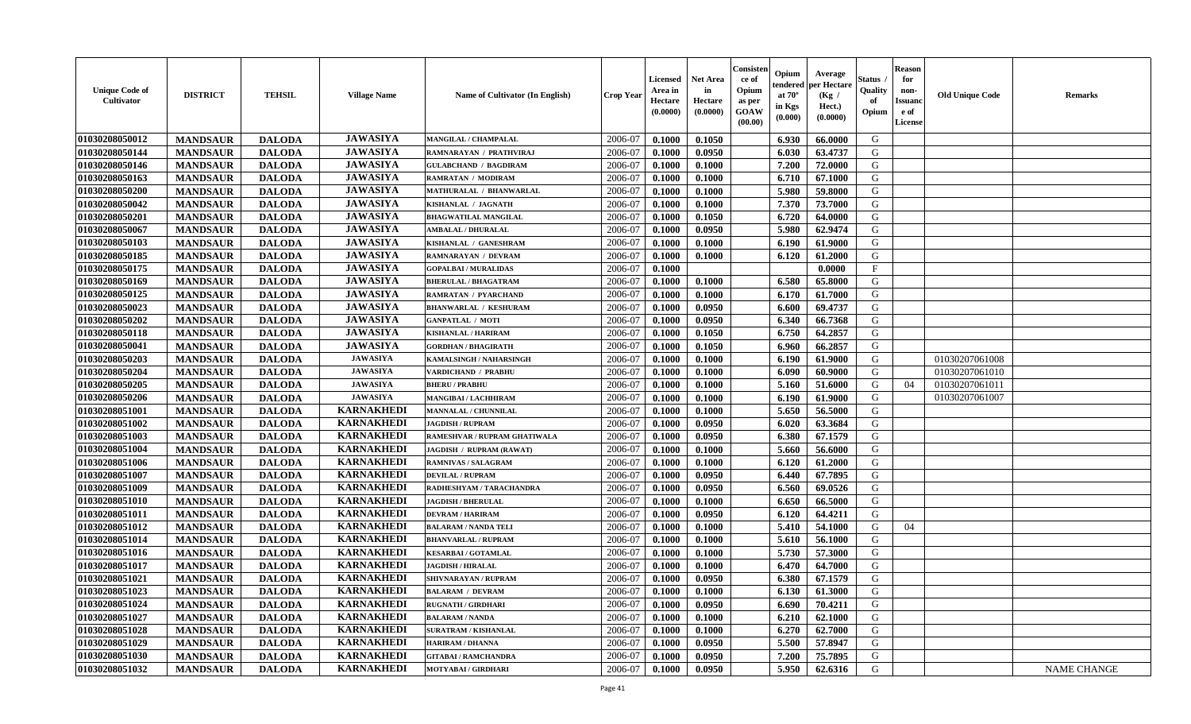| <b>Unique Code of</b><br><b>Cultivator</b> | <b>DISTRICT</b> | <b>TEHSIL</b> | <b>Village Name</b> | Name of Cultivator (In English) | <b>Crop Year</b> | <b>Licensed</b><br>Area in<br>Hectare<br>(0.0000) | <b>Net Area</b><br>in<br>Hectare<br>(0.0000) | Consisteı<br>ce of<br>Opium<br>as per<br><b>GOAW</b><br>(00.00) | Opium<br>endered<br>at $70^\circ$<br>in Kgs<br>$(\mathbf{0.000})$ | Average<br>per Hectare<br>(Kg /<br>Hect.)<br>(0.0000) | Status<br>Quality<br>of<br>Opium | Reason<br>for<br>non-<br>Issuan<br>e of<br>License | <b>Old Unique Code</b> | <b>Remarks</b>     |
|--------------------------------------------|-----------------|---------------|---------------------|---------------------------------|------------------|---------------------------------------------------|----------------------------------------------|-----------------------------------------------------------------|-------------------------------------------------------------------|-------------------------------------------------------|----------------------------------|----------------------------------------------------|------------------------|--------------------|
| 01030208050012                             | <b>MANDSAUR</b> | <b>DALODA</b> | <b>JAWASIYA</b>     | <b>MANGILAL / CHAMPALAL</b>     | 2006-07          | 0.1000                                            | 0.1050                                       |                                                                 | 6.930                                                             | 66.0000                                               | G                                |                                                    |                        |                    |
| 01030208050144                             | <b>MANDSAUR</b> | <b>DALODA</b> | <b>JAWASIYA</b>     | RAMNARAYAN / PRATHVIRAJ         | 2006-07          | 0.1000                                            | 0.0950                                       |                                                                 | 6.030                                                             | 63.4737                                               | G                                |                                                    |                        |                    |
| 01030208050146                             | <b>MANDSAUR</b> | <b>DALODA</b> | <b>JAWASIYA</b>     | <b>GULABCHAND / BAGDIRAM</b>    | 2006-07          | 0.1000                                            | 0.1000                                       |                                                                 | 7.200                                                             | 72.0000                                               | G                                |                                                    |                        |                    |
| 01030208050163                             | <b>MANDSAUR</b> | <b>DALODA</b> | <b>JAWASIYA</b>     | RAMRATAN / MODIRAM              | 2006-07          | 0.1000                                            | 0.1000                                       |                                                                 | 6.710                                                             | 67.1000                                               | G                                |                                                    |                        |                    |
| 01030208050200                             | <b>MANDSAUR</b> | <b>DALODA</b> | <b>JAWASIYA</b>     | MATHURALAL / BHANWARLAL         | 2006-07          | 0.1000                                            | 0.1000                                       |                                                                 | 5.980                                                             | 59.8000                                               | G                                |                                                    |                        |                    |
| 01030208050042                             | <b>MANDSAUR</b> | <b>DALODA</b> | <b>JAWASIYA</b>     | KISHANLAL / JAGNATH             | 2006-07          | 0.1000                                            | 0.1000                                       |                                                                 | 7.370                                                             | 73.7000                                               | G                                |                                                    |                        |                    |
| 01030208050201                             | <b>MANDSAUR</b> | <b>DALODA</b> | <b>JAWASIYA</b>     | <b>BHAGWATILAL MANGILAL</b>     | 2006-07          | 0.1000                                            | 0.1050                                       |                                                                 | 6.720                                                             | 64.0000                                               | G                                |                                                    |                        |                    |
| 01030208050067                             | <b>MANDSAUR</b> | <b>DALODA</b> | <b>JAWASIYA</b>     | <b>AMBALAL / DHURALAL</b>       | 2006-07          | 0.1000                                            | 0.0950                                       |                                                                 | 5.980                                                             | 62.9474                                               | G                                |                                                    |                        |                    |
| 01030208050103                             | <b>MANDSAUR</b> | <b>DALODA</b> | <b>JAWASIYA</b>     | KISHANLAL / GANESHRAM           | 2006-07          | 0.1000                                            | 0.1000                                       |                                                                 | 6.190                                                             | 61.9000                                               | G                                |                                                    |                        |                    |
| 01030208050185                             | <b>MANDSAUR</b> | <b>DALODA</b> | <b>JAWASIYA</b>     | RAMNARAYAN / DEVRAM             | 2006-07          | 0.1000                                            | 0.1000                                       |                                                                 | 6.120                                                             | 61.2000                                               | G                                |                                                    |                        |                    |
| 01030208050175                             | <b>MANDSAUR</b> | <b>DALODA</b> | <b>JAWASIYA</b>     | <b>GOPALBAI/MURALIDAS</b>       | 2006-07          | 0.1000                                            |                                              |                                                                 |                                                                   | 0.0000                                                | $\mathbf{F}$                     |                                                    |                        |                    |
| 01030208050169                             | <b>MANDSAUR</b> | <b>DALODA</b> | <b>JAWASIYA</b>     | <b>BHERULAL / BHAGATRAM</b>     | 2006-07          | 0.1000                                            | 0.1000                                       |                                                                 | 6.580                                                             | 65.8000                                               | G                                |                                                    |                        |                    |
| 01030208050125                             | <b>MANDSAUR</b> | <b>DALODA</b> | <b>JAWASIYA</b>     | <b>RAMRATAN / PYARCHAND</b>     | 2006-07          | 0.1000                                            | 0.1000                                       |                                                                 | 6.170                                                             | 61.7000                                               | G                                |                                                    |                        |                    |
| 01030208050023                             | <b>MANDSAUR</b> | <b>DALODA</b> | <b>JAWASIYA</b>     | <b>BHANWARLAL / KESHURAM</b>    | 2006-07          | 0.1000                                            | 0.0950                                       |                                                                 | 6.600                                                             | 69.4737                                               | G                                |                                                    |                        |                    |
| 01030208050202                             | <b>MANDSAUR</b> | <b>DALODA</b> | <b>JAWASIYA</b>     | <b>GANPATLAL / MOTI</b>         | 2006-07          | 0.1000                                            | 0.0950                                       |                                                                 | 6.340                                                             | 66.7368                                               | G                                |                                                    |                        |                    |
| 01030208050118                             | <b>MANDSAUR</b> | <b>DALODA</b> | <b>JAWASIYA</b>     | KISHANLAL / HARIRAM             | 2006-07          | 0.1000                                            | 0.1050                                       |                                                                 | 6.750                                                             | 64.2857                                               | G                                |                                                    |                        |                    |
| 01030208050041                             | <b>MANDSAUR</b> | <b>DALODA</b> | <b>JAWASIYA</b>     | <b>GORDHAN / BHAGIRATH</b>      | 2006-07          | 0.1000                                            | 0.1050                                       |                                                                 | 6.960                                                             | 66.2857                                               | G                                |                                                    |                        |                    |
| 01030208050203                             | <b>MANDSAUR</b> | <b>DALODA</b> | <b>JAWASIYA</b>     | KAMALSINGH / NAHARSINGH         | 2006-07          | 0.1000                                            | 0.1000                                       |                                                                 | 6.190                                                             | 61.9000                                               | G                                |                                                    | 01030207061008         |                    |
| 01030208050204                             | <b>MANDSAUR</b> | <b>DALODA</b> | <b>JAWASIYA</b>     | <b>VARDICHAND / PRABHU</b>      | 2006-07          | 0.1000                                            | 0.1000                                       |                                                                 | 6.090                                                             | 60.9000                                               | G                                |                                                    | 01030207061010         |                    |
| 01030208050205                             | <b>MANDSAUR</b> | <b>DALODA</b> | <b>JAWASIYA</b>     | <b>BHERU / PRABHU</b>           | 2006-07          | 0.1000                                            | 0.1000                                       |                                                                 | 5.160                                                             | 51.6000                                               | G                                | 04                                                 | 01030207061011         |                    |
| 01030208050206                             | <b>MANDSAUR</b> | <b>DALODA</b> | <b>JAWASIYA</b>     | MANGIBAI / LACHHIRAM            | 2006-07          | 0.1000                                            | 0.1000                                       |                                                                 | 6.190                                                             | 61.9000                                               | G                                |                                                    | 01030207061007         |                    |
| 01030208051001                             | <b>MANDSAUR</b> | <b>DALODA</b> | <b>KARNAKHEDI</b>   | <b>MANNALAL / CHUNNILAL</b>     | 2006-07          | 0.1000                                            | 0.1000                                       |                                                                 | 5.650                                                             | 56.5000                                               | G                                |                                                    |                        |                    |
| 01030208051002                             | <b>MANDSAUR</b> | <b>DALODA</b> | <b>KARNAKHEDI</b>   | <b>JAGDISH / RUPRAM</b>         | 2006-07          | 0.1000                                            | 0.0950                                       |                                                                 | 6.020                                                             | 63.3684                                               | G                                |                                                    |                        |                    |
| 01030208051003                             | <b>MANDSAUR</b> | <b>DALODA</b> | <b>KARNAKHEDI</b>   | RAMESHVAR / RUPRAM GHATIWALA    | 2006-07          | 0.1000                                            | 0.0950                                       |                                                                 | 6.380                                                             | 67.1579                                               | G                                |                                                    |                        |                    |
| 01030208051004                             | <b>MANDSAUR</b> | <b>DALODA</b> | <b>KARNAKHEDI</b>   | JAGDISH / RUPRAM (RAWAT)        | 2006-07          | 0.1000                                            | 0.1000                                       |                                                                 | 5.660                                                             | 56.6000                                               | G                                |                                                    |                        |                    |
| 01030208051006                             | <b>MANDSAUR</b> | <b>DALODA</b> | <b>KARNAKHEDI</b>   | <b>RAMNIVAS / SALAGRAM</b>      | 2006-07          | 0.1000                                            | 0.1000                                       |                                                                 | 6.120                                                             | 61.2000                                               | G                                |                                                    |                        |                    |
| 01030208051007                             | <b>MANDSAUR</b> | <b>DALODA</b> | <b>KARNAKHEDI</b>   | <b>DEVILAL / RUPRAM</b>         | 2006-07          | 0.1000                                            | 0.0950                                       |                                                                 | 6.440                                                             | 67.7895                                               | G                                |                                                    |                        |                    |
| 01030208051009                             | <b>MANDSAUR</b> | <b>DALODA</b> | <b>KARNAKHEDI</b>   | RADHESHYAM / TARACHANDRA        | 2006-07          | 0.1000                                            | 0.0950                                       |                                                                 | 6.560                                                             | 69.0526                                               | G                                |                                                    |                        |                    |
| 01030208051010                             | <b>MANDSAUR</b> | <b>DALODA</b> | <b>KARNAKHEDI</b>   | <b>JAGDISH / BHERULAL</b>       | 2006-07          | 0.1000                                            | 0.1000                                       |                                                                 | 6.650                                                             | 66.5000                                               | G                                |                                                    |                        |                    |
| 01030208051011                             | <b>MANDSAUR</b> | <b>DALODA</b> | <b>KARNAKHEDI</b>   | <b>DEVRAM / HARIRAM</b>         | 2006-07          | 0.1000                                            | 0.0950                                       |                                                                 | 6.120                                                             | 64.4211                                               | G                                |                                                    |                        |                    |
| 01030208051012                             | <b>MANDSAUR</b> | <b>DALODA</b> | <b>KARNAKHEDI</b>   | <b>BALARAM / NANDA TELI</b>     | 2006-07          | 0.1000                                            | 0.1000                                       |                                                                 | 5.410                                                             | 54.1000                                               | G                                | 04                                                 |                        |                    |
| 01030208051014                             | <b>MANDSAUR</b> | <b>DALODA</b> | <b>KARNAKHEDI</b>   | <b>BHANVARLAL / RUPRAM</b>      | 2006-07          | 0.1000                                            | 0.1000                                       |                                                                 | 5.610                                                             | 56.1000                                               | G                                |                                                    |                        |                    |
| 01030208051016                             | <b>MANDSAUR</b> | <b>DALODA</b> | <b>KARNAKHEDI</b>   | <b>KESARBAI/GOTAMLAL</b>        | 2006-07          | 0.1000                                            | 0.1000                                       |                                                                 | 5.730                                                             | 57.3000                                               | G                                |                                                    |                        |                    |
| 01030208051017                             | <b>MANDSAUR</b> | <b>DALODA</b> | <b>KARNAKHEDI</b>   | <b>JAGDISH / HIRALAL</b>        | 2006-07          | 0.1000                                            | 0.1000                                       |                                                                 | 6.470                                                             | 64.7000                                               | G                                |                                                    |                        |                    |
| 01030208051021                             | <b>MANDSAUR</b> | <b>DALODA</b> | <b>KARNAKHEDI</b>   | SHIVNARAYAN / RUPRAM            | 2006-07          | 0.1000                                            | 0.0950                                       |                                                                 | 6.380                                                             | 67.1579                                               | G                                |                                                    |                        |                    |
| 01030208051023                             | <b>MANDSAUR</b> | <b>DALODA</b> | <b>KARNAKHEDI</b>   | <b>BALARAM / DEVRAM</b>         | 2006-07          | 0.1000                                            | 0.1000                                       |                                                                 | 6.130                                                             | 61.3000                                               | G                                |                                                    |                        |                    |
| 01030208051024                             | <b>MANDSAUR</b> | <b>DALODA</b> | <b>KARNAKHEDI</b>   | <b>RUGNATH / GIRDHARI</b>       | 2006-07          | 0.1000                                            | 0.0950                                       |                                                                 | 6.690                                                             | 70.4211                                               | G                                |                                                    |                        |                    |
| 01030208051027                             | <b>MANDSAUR</b> | <b>DALODA</b> | <b>KARNAKHEDI</b>   | <b>BALARAM / NANDA</b>          | 2006-07          | 0.1000                                            | 0.1000                                       |                                                                 | 6.210                                                             | 62.1000                                               | G                                |                                                    |                        |                    |
| 01030208051028                             | <b>MANDSAUR</b> | <b>DALODA</b> | <b>KARNAKHEDI</b>   | <b>SURATRAM / KISHANLAL</b>     | 2006-07          | 0.1000                                            | 0.1000                                       |                                                                 | 6.270                                                             | 62.7000                                               | G                                |                                                    |                        |                    |
| 01030208051029                             | <b>MANDSAUR</b> | <b>DALODA</b> | <b>KARNAKHEDI</b>   | <b>HARIRAM / DHANNA</b>         | 2006-07          | 0.1000                                            | 0.0950                                       |                                                                 | 5.500                                                             | 57.8947                                               | G                                |                                                    |                        |                    |
| 01030208051030                             | <b>MANDSAUR</b> | <b>DALODA</b> | <b>KARNAKHEDI</b>   | <b>GITABAI/RAMCHANDRA</b>       | 2006-07          | 0.1000                                            | 0.0950                                       |                                                                 | 7.200                                                             | 75.7895                                               | G                                |                                                    |                        |                    |
| 01030208051032                             | <b>MANDSAUR</b> | <b>DALODA</b> | <b>KARNAKHEDI</b>   | MOTYABAI / GIRDHARI             | 2006-07          | 0.1000                                            | 0.0950                                       |                                                                 | 5.950                                                             | 62.6316                                               | G                                |                                                    |                        | <b>NAME CHANGE</b> |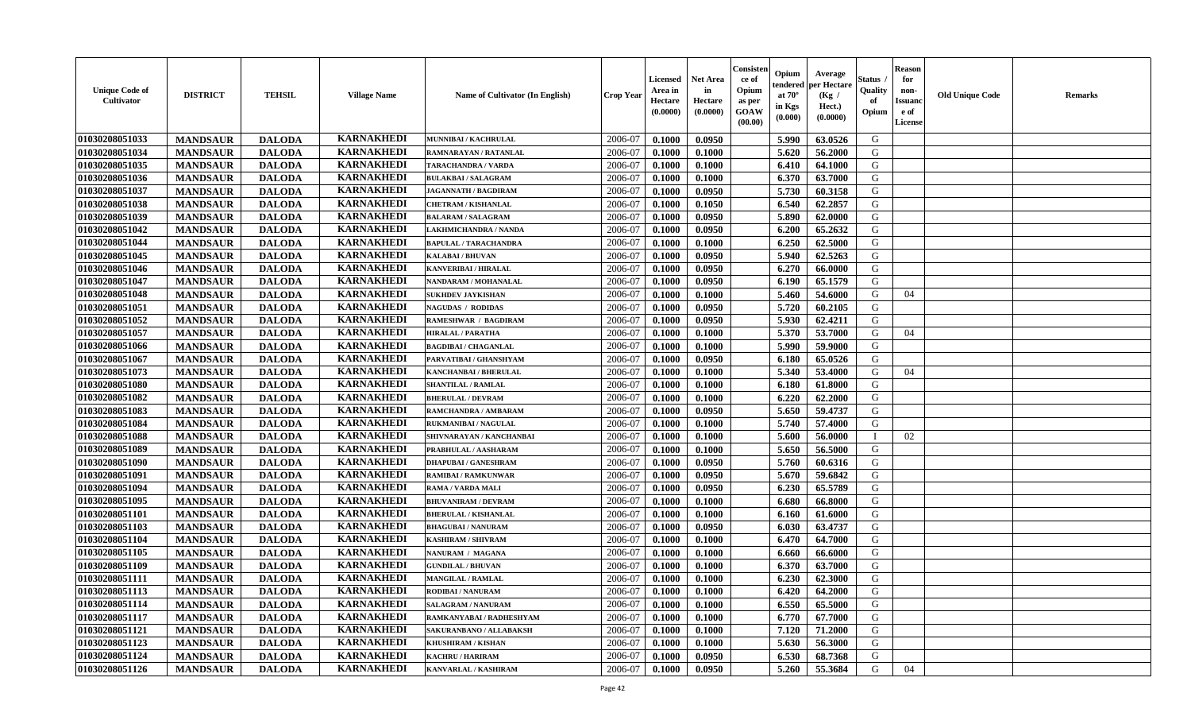| <b>Unique Code of</b><br><b>Cultivator</b> | <b>DISTRICT</b> | <b>TEHSIL</b> | <b>Village Name</b> | Name of Cultivator (In English)                     | <b>Crop Year</b> | <b>Licensed</b><br>Area in<br>Hectare<br>(0.0000) | Net Area<br>in<br>Hectare<br>(0.0000) | Consister<br>ce of<br>Opium<br>as per<br><b>GOAW</b><br>(00.00) | Opium<br>endered<br>at $70^\circ$<br>in Kgs<br>(0.000) | Average<br>per Hectare<br>(Kg /<br>Hect.)<br>(0.0000) | Status<br>Quality<br>of<br>Opium | <b>Reason</b><br>for<br>non-<br><b>Issuand</b><br>e of<br><b>License</b> | <b>Old Unique Code</b> | <b>Remarks</b> |
|--------------------------------------------|-----------------|---------------|---------------------|-----------------------------------------------------|------------------|---------------------------------------------------|---------------------------------------|-----------------------------------------------------------------|--------------------------------------------------------|-------------------------------------------------------|----------------------------------|--------------------------------------------------------------------------|------------------------|----------------|
| 01030208051033                             | <b>MANDSAUR</b> | <b>DALODA</b> | <b>KARNAKHEDI</b>   | MUNNIBAI / KACHRULAL                                | 2006-07          | 0.1000                                            | 0.0950                                |                                                                 | 5.990                                                  | 63.0526                                               | G                                |                                                                          |                        |                |
| 01030208051034                             | <b>MANDSAUR</b> | <b>DALODA</b> | <b>KARNAKHEDI</b>   | RAMNARAYAN / RATANLAL                               | 2006-07          | 0.1000                                            | 0.1000                                |                                                                 | 5.620                                                  | 56.2000                                               | G                                |                                                                          |                        |                |
| 01030208051035                             | <b>MANDSAUR</b> | <b>DALODA</b> | <b>KARNAKHEDI</b>   | <b>TARACHANDRA / VARDA</b>                          | 2006-07          | 0.1000                                            | 0.1000                                |                                                                 | 6.410                                                  | 64.1000                                               | G                                |                                                                          |                        |                |
| 01030208051036                             | <b>MANDSAUR</b> | <b>DALODA</b> | <b>KARNAKHEDI</b>   | <b>BULAKBAI/SALAGRAM</b>                            | 2006-07          | 0.1000                                            | 0.1000                                |                                                                 | 6.370                                                  | 63.7000                                               | G                                |                                                                          |                        |                |
| 01030208051037                             | <b>MANDSAUR</b> | <b>DALODA</b> | <b>KARNAKHEDI</b>   | <b>JAGANNATH / BAGDIRAM</b>                         | 2006-07          | 0.1000                                            | 0.0950                                |                                                                 | 5.730                                                  | 60.3158                                               | G                                |                                                                          |                        |                |
| 01030208051038                             | <b>MANDSAUR</b> | <b>DALODA</b> | <b>KARNAKHEDI</b>   | <b>CHETRAM / KISHANLAL</b>                          | 2006-07          | 0.1000                                            | 0.1050                                |                                                                 | 6.540                                                  | 62.2857                                               | G                                |                                                                          |                        |                |
| 01030208051039                             | <b>MANDSAUR</b> | <b>DALODA</b> | <b>KARNAKHEDI</b>   | <b>BALARAM / SALAGRAM</b>                           | 2006-07          | 0.1000                                            | 0.0950                                |                                                                 | 5.890                                                  | 62.0000                                               | G                                |                                                                          |                        |                |
| 01030208051042                             | <b>MANDSAUR</b> | <b>DALODA</b> | <b>KARNAKHEDI</b>   | LAKHMICHANDRA / NANDA                               | 2006-07          | 0.1000                                            | 0.0950                                |                                                                 | 6.200                                                  | 65.2632                                               | ${\bf G}$                        |                                                                          |                        |                |
| 01030208051044                             | <b>MANDSAUR</b> | <b>DALODA</b> | <b>KARNAKHEDI</b>   | <b>BAPULAL / TARACHANDRA</b>                        | 2006-07          | 0.1000                                            | 0.1000                                |                                                                 | 6.250                                                  | 62.5000                                               | G                                |                                                                          |                        |                |
| 01030208051045                             | <b>MANDSAUR</b> | <b>DALODA</b> | <b>KARNAKHEDI</b>   | KALABAI / BHUVAN                                    | 2006-07          | 0.1000                                            | 0.0950                                |                                                                 | 5.940                                                  | 62.5263                                               | G                                |                                                                          |                        |                |
| 01030208051046                             | <b>MANDSAUR</b> | <b>DALODA</b> | <b>KARNAKHEDI</b>   | <b>KANVERIBAI / HIRALAL</b>                         | 2006-07          | 0.1000                                            | 0.0950                                |                                                                 | 6.270                                                  | 66.0000                                               | G                                |                                                                          |                        |                |
| 01030208051047                             | <b>MANDSAUR</b> | <b>DALODA</b> | <b>KARNAKHEDI</b>   | NANDARAM / MOHANALAL                                | 2006-07          | 0.1000                                            | 0.0950                                |                                                                 | 6.190                                                  | 65.1579                                               | G                                |                                                                          |                        |                |
| 01030208051048                             | <b>MANDSAUR</b> | <b>DALODA</b> | <b>KARNAKHEDI</b>   | <b>SUKHDEV JAYKISHAN</b>                            | 2006-07          | 0.1000                                            | 0.1000                                |                                                                 | 5.460                                                  | 54.6000                                               | G                                | 04                                                                       |                        |                |
| 01030208051051                             | <b>MANDSAUR</b> | <b>DALODA</b> | <b>KARNAKHEDI</b>   | <b>NAGUDAS / RODIDAS</b>                            | 2006-07          | 0.1000                                            | 0.0950                                |                                                                 | 5.720                                                  | 60.2105                                               | G                                |                                                                          |                        |                |
| 01030208051052                             | <b>MANDSAUR</b> | <b>DALODA</b> | <b>KARNAKHEDI</b>   | <b>RAMESHWAR / BAGDIRAM</b>                         | 2006-07          | 0.1000                                            | 0.0950                                |                                                                 | 5.930                                                  | 62.4211                                               | G                                |                                                                          |                        |                |
| 01030208051057                             | <b>MANDSAUR</b> | <b>DALODA</b> | <b>KARNAKHEDI</b>   | <b>HIRALAL / PARATHA</b>                            | 2006-07          | 0.1000                                            | 0.1000                                |                                                                 | 5.370                                                  | 53.7000                                               | G                                | 04                                                                       |                        |                |
| 01030208051066                             | <b>MANDSAUR</b> | <b>DALODA</b> | <b>KARNAKHEDI</b>   | <b>BAGDIBAI / CHAGANLAL</b>                         | 2006-07          | 0.1000                                            | 0.1000                                |                                                                 | 5.990                                                  | 59.9000                                               | G                                |                                                                          |                        |                |
| 01030208051067                             | <b>MANDSAUR</b> | <b>DALODA</b> | <b>KARNAKHEDI</b>   | PARVATIBAI / GHANSHYAM                              | 2006-07          | 0.1000                                            | 0.0950                                |                                                                 | 6.180                                                  | 65.0526                                               | G                                |                                                                          |                        |                |
| 01030208051073                             | <b>MANDSAUR</b> | <b>DALODA</b> | <b>KARNAKHEDI</b>   | <b>KANCHANBAI / BHERULAL</b>                        | 2006-07          | 0.1000                                            | 0.1000                                |                                                                 | 5.340                                                  | 53.4000                                               | G                                | 04                                                                       |                        |                |
| 01030208051080                             | <b>MANDSAUR</b> | <b>DALODA</b> | <b>KARNAKHEDI</b>   | <b>SHANTILAL / RAMLAL</b>                           | 2006-07          | 0.1000                                            | 0.1000                                |                                                                 | 6.180                                                  | 61.8000                                               | G                                |                                                                          |                        |                |
| 01030208051082                             | <b>MANDSAUR</b> | <b>DALODA</b> | <b>KARNAKHEDI</b>   | <b>BHERULAL / DEVRAM</b>                            | 2006-07          | 0.1000                                            | 0.1000                                |                                                                 | 6.220                                                  | 62.2000                                               | G                                |                                                                          |                        |                |
| 01030208051083                             | <b>MANDSAUR</b> | <b>DALODA</b> | <b>KARNAKHEDI</b>   | <b>RAMCHANDRA / AMBARAM</b>                         | 2006-07          | 0.1000                                            | 0.0950                                |                                                                 | 5.650                                                  | 59.4737                                               | G                                |                                                                          |                        |                |
| 01030208051084                             | <b>MANDSAUR</b> | <b>DALODA</b> | <b>KARNAKHEDI</b>   | <b>RUKMANIBAI / NAGULAI</b>                         | 2006-07          | 0.1000                                            | 0.1000                                |                                                                 | 5.740                                                  | 57.4000                                               | G                                |                                                                          |                        |                |
| 01030208051088                             | <b>MANDSAUR</b> | <b>DALODA</b> | <b>KARNAKHEDI</b>   | SHIVNARAYAN / KANCHANBAI                            | 2006-07          | 0.1000                                            | 0.1000                                |                                                                 | 5.600                                                  | 56.0000                                               |                                  | 02                                                                       |                        |                |
| 01030208051089                             | <b>MANDSAUR</b> | <b>DALODA</b> | <b>KARNAKHEDI</b>   | PRABHULAL / AASHARAM                                | 2006-07          | 0.1000                                            | 0.1000                                |                                                                 | 5.650                                                  | 56.5000                                               | G                                |                                                                          |                        |                |
| 01030208051090                             | <b>MANDSAUR</b> | <b>DALODA</b> | <b>KARNAKHEDI</b>   | <b>DHAPUBAI/GANESHRAM</b>                           | 2006-07          | 0.1000                                            | 0.0950                                |                                                                 | 5.760                                                  | 60.6316                                               | G                                |                                                                          |                        |                |
| 01030208051091                             | <b>MANDSAUR</b> | <b>DALODA</b> | <b>KARNAKHEDI</b>   | <b>RAMIBAI / RAMKUNWAR</b>                          | 2006-07          | 0.1000                                            | 0.0950                                |                                                                 | 5.670                                                  | 59.6842                                               | G                                |                                                                          |                        |                |
| 01030208051094                             | <b>MANDSAUR</b> | <b>DALODA</b> | <b>KARNAKHEDI</b>   | <b>RAMA / VARDA MALI</b>                            | 2006-07          | 0.1000                                            | 0.0950                                |                                                                 | 6.230                                                  | 65.5789                                               | G                                |                                                                          |                        |                |
| 01030208051095                             | <b>MANDSAUR</b> | <b>DALODA</b> | <b>KARNAKHEDI</b>   | <b>BHUVANIRAM / DEVRAM</b>                          | 2006-07          | 0.1000                                            | 0.1000                                |                                                                 | 6.680                                                  | 66.8000                                               | G                                |                                                                          |                        |                |
| 01030208051101                             | <b>MANDSAUR</b> | <b>DALODA</b> | <b>KARNAKHEDI</b>   | <b>BHERULAL / KISHANLAL</b>                         | 2006-07          | 0.1000                                            | 0.1000                                |                                                                 | 6.160                                                  | 61.6000                                               | G                                |                                                                          |                        |                |
| 01030208051103                             | <b>MANDSAUR</b> | <b>DALODA</b> | <b>KARNAKHEDI</b>   | <b>BHAGUBAI/NANURAM</b>                             | 2006-07          | 0.1000                                            | 0.0950                                |                                                                 | 6.030                                                  | 63.4737                                               | G                                |                                                                          |                        |                |
| 01030208051104                             | <b>MANDSAUR</b> | <b>DALODA</b> | <b>KARNAKHEDI</b>   | <b>KASHIRAM / SHIVRAM</b>                           | 2006-07          | 0.1000                                            | 0.1000                                |                                                                 | 6.470                                                  | 64.7000                                               | ${\bf G}$                        |                                                                          |                        |                |
| 01030208051105                             | <b>MANDSAUR</b> | <b>DALODA</b> | <b>KARNAKHEDI</b>   | NANURAM / MAGANA                                    | 2006-07          | 0.1000                                            | 0.1000                                |                                                                 | 6.660                                                  | 66.6000                                               | G                                |                                                                          |                        |                |
| 01030208051109                             | <b>MANDSAUR</b> | <b>DALODA</b> | <b>KARNAKHEDI</b>   | $\operatorname{GUNDILAL}$ / $\operatorname{BHUVAN}$ | 2006-07          | 0.1000                                            | 0.1000                                |                                                                 | 6.370                                                  | 63.7000                                               | G                                |                                                                          |                        |                |
| 01030208051111                             | <b>MANDSAUR</b> | <b>DALODA</b> | <b>KARNAKHEDI</b>   | <b>MANGILAL / RAMLAL</b>                            | 2006-07          | 0.1000                                            | 0.1000                                |                                                                 | 6.230                                                  | 62.3000                                               | G                                |                                                                          |                        |                |
| 01030208051113                             | <b>MANDSAUR</b> | <b>DALODA</b> | <b>KARNAKHEDI</b>   | RODIBAI / NANURAM                                   | 2006-07          | 0.1000                                            | 0.1000                                |                                                                 | 6.420                                                  | 64.2000                                               | G                                |                                                                          |                        |                |
| 01030208051114                             | <b>MANDSAUR</b> | <b>DALODA</b> | <b>KARNAKHEDI</b>   | <b>SALAGRAM / NANURAM</b>                           | 2006-07          | 0.1000                                            | 0.1000                                |                                                                 | 6.550                                                  | 65.5000                                               | G                                |                                                                          |                        |                |
| 01030208051117                             | <b>MANDSAUR</b> | <b>DALODA</b> | <b>KARNAKHEDI</b>   | RAMKANYABAI / RADHESHYAM                            | 2006-07          | 0.1000                                            | 0.1000                                |                                                                 | 6.770                                                  | 67.7000                                               | G                                |                                                                          |                        |                |
| 01030208051121                             | <b>MANDSAUR</b> | <b>DALODA</b> | <b>KARNAKHEDI</b>   | SAKURANBANO / ALLABAKSH                             | 2006-07          | 0.1000                                            | 0.1000                                |                                                                 | 7.120                                                  | 71.2000                                               | G                                |                                                                          |                        |                |
| 01030208051123                             | <b>MANDSAUR</b> | <b>DALODA</b> | <b>KARNAKHEDI</b>   | <b>KHUSHIRAM / KISHAN</b>                           | 2006-07          | 0.1000                                            | 0.1000                                |                                                                 | 5.630                                                  | 56.3000                                               | G                                |                                                                          |                        |                |
| 01030208051124                             | <b>MANDSAUR</b> | <b>DALODA</b> | <b>KARNAKHEDI</b>   | <b>KACHRU / HARIRAM</b>                             | 2006-07          | 0.1000                                            | 0.0950                                |                                                                 | 6.530                                                  | 68.7368                                               | G                                |                                                                          |                        |                |
| 01030208051126                             | <b>MANDSAUR</b> | <b>DALODA</b> | <b>KARNAKHEDI</b>   | KANVARLAL / KASHIRAM                                | 2006-07          | 0.1000                                            | 0.0950                                |                                                                 | 5.260                                                  | 55.3684                                               | G                                | 04                                                                       |                        |                |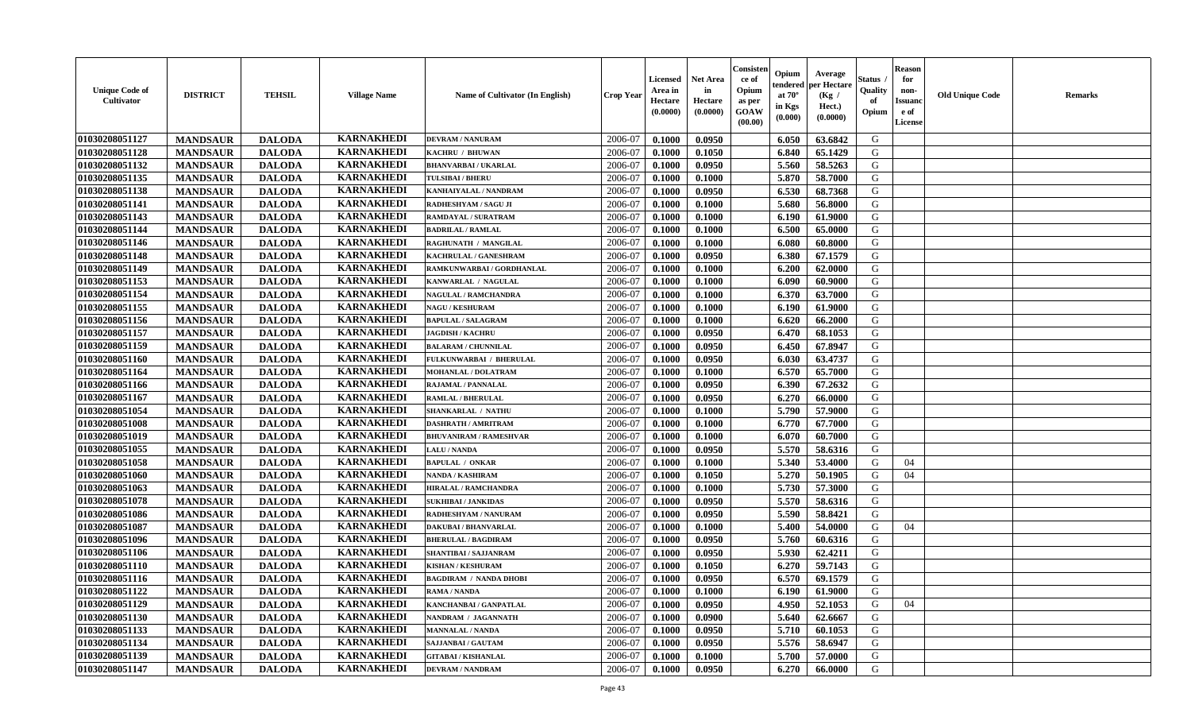| <b>Unique Code of</b><br><b>Cultivator</b> | <b>DISTRICT</b> | <b>TEHSIL</b> | <b>Village Name</b> | Name of Cultivator (In English) | <b>Crop Year</b> | <b>Licensed</b><br>Area in<br>Hectare<br>(0.0000) | Net Area<br>in<br>Hectare<br>(0.0000) | Consister<br>ce of<br>Opium<br>as per<br><b>GOAW</b><br>(00.00) | Opium<br>endered<br>at $70^\circ$<br>in Kgs<br>(0.000) | Average<br>per Hectare<br>(Kg /<br>Hect.)<br>(0.0000) | Status<br>Quality<br>of<br>Opium | <b>Reason</b><br>for<br>non-<br><b>Issuand</b><br>e of<br><b>License</b> | <b>Old Unique Code</b> | <b>Remarks</b> |
|--------------------------------------------|-----------------|---------------|---------------------|---------------------------------|------------------|---------------------------------------------------|---------------------------------------|-----------------------------------------------------------------|--------------------------------------------------------|-------------------------------------------------------|----------------------------------|--------------------------------------------------------------------------|------------------------|----------------|
| 01030208051127                             | <b>MANDSAUR</b> | <b>DALODA</b> | <b>KARNAKHEDI</b>   | <b>DEVRAM / NANURAM</b>         | 2006-07          | 0.1000                                            | 0.0950                                |                                                                 | 6.050                                                  | 63.6842                                               | G                                |                                                                          |                        |                |
| 01030208051128                             | <b>MANDSAUR</b> | <b>DALODA</b> | <b>KARNAKHEDI</b>   | KACHRU / BHUWAN                 | 2006-07          | 0.1000                                            | 0.1050                                |                                                                 | 6.840                                                  | 65.1429                                               | G                                |                                                                          |                        |                |
| 01030208051132                             | <b>MANDSAUR</b> | <b>DALODA</b> | <b>KARNAKHEDI</b>   | <b>BHANVARBAI/UKARLAL</b>       | 2006-07          | 0.1000                                            | 0.0950                                |                                                                 | 5.560                                                  | 58.5263                                               | G                                |                                                                          |                        |                |
| 01030208051135                             | <b>MANDSAUR</b> | <b>DALODA</b> | <b>KARNAKHEDI</b>   | <b>TULSIBAI / BHERU</b>         | 2006-07          | 0.1000                                            | 0.1000                                |                                                                 | 5.870                                                  | 58.7000                                               | G                                |                                                                          |                        |                |
| 01030208051138                             | <b>MANDSAUR</b> | <b>DALODA</b> | <b>KARNAKHEDI</b>   | KANHAIYALAL / NANDRAM           | 2006-07          | 0.1000                                            | 0.0950                                |                                                                 | 6.530                                                  | 68.7368                                               | G                                |                                                                          |                        |                |
| 01030208051141                             | <b>MANDSAUR</b> | <b>DALODA</b> | <b>KARNAKHEDI</b>   | RADHESHYAM / SAGU JI            | 2006-07          | 0.1000                                            | 0.1000                                |                                                                 | 5.680                                                  | 56.8000                                               | G                                |                                                                          |                        |                |
| 01030208051143                             | <b>MANDSAUR</b> | <b>DALODA</b> | <b>KARNAKHEDI</b>   | RAMDAYAL / SURATRAM             | 2006-07          | 0.1000                                            | 0.1000                                |                                                                 | 6.190                                                  | 61.9000                                               | G                                |                                                                          |                        |                |
| 01030208051144                             | <b>MANDSAUR</b> | <b>DALODA</b> | <b>KARNAKHEDI</b>   | <b>BADRILAL / RAMLAL</b>        | 2006-07          | 0.1000                                            | 0.1000                                |                                                                 | 6.500                                                  | 65.0000                                               | ${\bf G}$                        |                                                                          |                        |                |
| 01030208051146                             | <b>MANDSAUR</b> | <b>DALODA</b> | <b>KARNAKHEDI</b>   | RAGHUNATH / MANGILAL            | 2006-07          | 0.1000                                            | 0.1000                                |                                                                 | 6.080                                                  | 60.8000                                               | G                                |                                                                          |                        |                |
| 01030208051148                             | <b>MANDSAUR</b> | <b>DALODA</b> | <b>KARNAKHEDI</b>   | KACHRULAL / GANESHRAM           | 2006-07          | 0.1000                                            | 0.0950                                |                                                                 | 6.380                                                  | 67.1579                                               | G                                |                                                                          |                        |                |
| 01030208051149                             | <b>MANDSAUR</b> | <b>DALODA</b> | <b>KARNAKHEDI</b>   | RAMKUNWARBAI / GORDHANLAL       | 2006-07          | 0.1000                                            | 0.1000                                |                                                                 | 6.200                                                  | 62.0000                                               | G                                |                                                                          |                        |                |
| 01030208051153                             | <b>MANDSAUR</b> | <b>DALODA</b> | <b>KARNAKHEDI</b>   | KANWARLAL / NAGULAL             | 2006-07          | 0.1000                                            | 0.1000                                |                                                                 | 6.090                                                  | 60.9000                                               | G                                |                                                                          |                        |                |
| 01030208051154                             | <b>MANDSAUR</b> | <b>DALODA</b> | <b>KARNAKHEDI</b>   | <b>NAGULAL / RAMCHANDRA</b>     | 2006-07          | 0.1000                                            | 0.1000                                |                                                                 | 6.370                                                  | 63.7000                                               | G                                |                                                                          |                        |                |
| 01030208051155                             | <b>MANDSAUR</b> | <b>DALODA</b> | <b>KARNAKHEDI</b>   | <b>NAGU / KESHURAM</b>          | 2006-07          | 0.1000                                            | 0.1000                                |                                                                 | 6.190                                                  | 61.9000                                               | G                                |                                                                          |                        |                |
| 01030208051156                             | <b>MANDSAUR</b> | <b>DALODA</b> | <b>KARNAKHEDI</b>   | <b>BAPULAL / SALAGRAM</b>       | 2006-07          | 0.1000                                            | 0.1000                                |                                                                 | 6.620                                                  | 66.2000                                               | G                                |                                                                          |                        |                |
| 01030208051157                             | <b>MANDSAUR</b> | <b>DALODA</b> | <b>KARNAKHEDI</b>   | <b>JAGDISH / KACHRU</b>         | 2006-07          | 0.1000                                            | 0.0950                                |                                                                 | 6.470                                                  | 68.1053                                               | G                                |                                                                          |                        |                |
| 01030208051159                             | <b>MANDSAUR</b> | <b>DALODA</b> | <b>KARNAKHEDI</b>   | <b>BALARAM / CHUNNILAL</b>      | 2006-07          | 0.1000                                            | 0.0950                                |                                                                 | 6.450                                                  | 67.8947                                               | G                                |                                                                          |                        |                |
| 01030208051160                             | <b>MANDSAUR</b> | <b>DALODA</b> | <b>KARNAKHEDI</b>   | FULKUNWARBAI / BHERULAL         | 2006-07          | 0.1000                                            | 0.0950                                |                                                                 | 6.030                                                  | 63.4737                                               | G                                |                                                                          |                        |                |
| 01030208051164                             | <b>MANDSAUR</b> | <b>DALODA</b> | <b>KARNAKHEDI</b>   | <b>MOHANLAL / DOLATRAM</b>      | 2006-07          | 0.1000                                            | 0.1000                                |                                                                 | 6.570                                                  | 65.7000                                               | G                                |                                                                          |                        |                |
| 01030208051166                             | <b>MANDSAUR</b> | <b>DALODA</b> | <b>KARNAKHEDI</b>   | RAJAMAL / PANNALAL              | 2006-07          | 0.1000                                            | 0.0950                                |                                                                 | 6.390                                                  | 67.2632                                               | G                                |                                                                          |                        |                |
| 01030208051167                             | <b>MANDSAUR</b> | <b>DALODA</b> | <b>KARNAKHEDI</b>   | <b>RAMLAL / BHERULAL</b>        | 2006-07          | 0.1000                                            | 0.0950                                |                                                                 | 6.270                                                  | 66.0000                                               | G                                |                                                                          |                        |                |
| 01030208051054                             | <b>MANDSAUR</b> | <b>DALODA</b> | <b>KARNAKHEDI</b>   | <b>SHANKARLAL / NATHU</b>       | 2006-07          | 0.1000                                            | 0.1000                                |                                                                 | 5.790                                                  | 57.9000                                               | G                                |                                                                          |                        |                |
| 01030208051008                             | <b>MANDSAUR</b> | <b>DALODA</b> | <b>KARNAKHEDI</b>   | <b>DASHRATH / AMRITRAM</b>      | 2006-07          | 0.1000                                            | 0.1000                                |                                                                 | 6.770                                                  | 67.7000                                               | G                                |                                                                          |                        |                |
| 01030208051019                             | <b>MANDSAUR</b> | <b>DALODA</b> | <b>KARNAKHEDI</b>   | <b>BHUVANIRAM / RAMESHVAR</b>   | 2006-07          | 0.1000                                            | 0.1000                                |                                                                 | 6.070                                                  | 60.7000                                               | G                                |                                                                          |                        |                |
| 01030208051055                             | <b>MANDSAUR</b> | <b>DALODA</b> | <b>KARNAKHEDI</b>   | <b>LALU / NANDA</b>             | 2006-07          | 0.1000                                            | 0.0950                                |                                                                 | 5.570                                                  | 58.6316                                               | G                                |                                                                          |                        |                |
| 01030208051058                             | <b>MANDSAUR</b> | <b>DALODA</b> | <b>KARNAKHEDI</b>   | <b>BAPULAL / ONKAR</b>          | 2006-07          | 0.1000                                            | 0.1000                                |                                                                 | 5.340                                                  | 53.4000                                               | G                                | 04                                                                       |                        |                |
| 01030208051060                             | <b>MANDSAUR</b> | <b>DALODA</b> | <b>KARNAKHEDI</b>   | <b>NANDA / KASHIRAM</b>         | 2006-07          | 0.1000                                            | 0.1050                                |                                                                 | 5.270                                                  | 50.1905                                               | G                                | 04                                                                       |                        |                |
| 01030208051063                             | <b>MANDSAUR</b> | <b>DALODA</b> | <b>KARNAKHEDI</b>   | <b>HIRALAL / RAMCHANDRA</b>     | 2006-07          | 0.1000                                            | 0.1000                                |                                                                 | 5.730                                                  | 57.3000                                               | G                                |                                                                          |                        |                |
| 01030208051078                             | <b>MANDSAUR</b> | <b>DALODA</b> | <b>KARNAKHEDI</b>   | <b>SUKHIBAI / JANKIDAS</b>      | 2006-07          | 0.1000                                            | 0.0950                                |                                                                 | 5.570                                                  | 58.6316                                               | G                                |                                                                          |                        |                |
| 01030208051086                             | <b>MANDSAUR</b> | <b>DALODA</b> | <b>KARNAKHEDI</b>   | RADHESHYAM / NANURAM            | 2006-07          | 0.1000                                            | 0.0950                                |                                                                 | 5.590                                                  | 58.8421                                               | G                                |                                                                          |                        |                |
| 01030208051087                             | <b>MANDSAUR</b> | <b>DALODA</b> | <b>KARNAKHEDI</b>   | <b>DAKUBAI/BHANVARLAL</b>       | 2006-07          | 0.1000                                            | 0.1000                                |                                                                 | 5.400                                                  | 54.0000                                               | G                                | 04                                                                       |                        |                |
| 01030208051096                             | <b>MANDSAUR</b> | <b>DALODA</b> | <b>KARNAKHEDI</b>   | <b>BHERULAL / BAGDIRAM</b>      | 2006-07          | 0.1000                                            | 0.0950                                |                                                                 | 5.760                                                  | 60.6316                                               | ${\bf G}$                        |                                                                          |                        |                |
| 01030208051106                             | <b>MANDSAUR</b> | <b>DALODA</b> | <b>KARNAKHEDI</b>   | SHANTIBAI / SAJJANRAM           | 2006-07          | 0.1000                                            | 0.0950                                |                                                                 | 5.930                                                  | 62.4211                                               | G                                |                                                                          |                        |                |
| 01030208051110                             | <b>MANDSAUR</b> | <b>DALODA</b> | <b>KARNAKHEDI</b>   | <b>KISHAN / KESHURAM</b>        | 2006-07          | 0.1000                                            | 0.1050                                |                                                                 | 6.270                                                  | 59.7143                                               | G                                |                                                                          |                        |                |
| 01030208051116                             | <b>MANDSAUR</b> | <b>DALODA</b> | <b>KARNAKHEDI</b>   | <b>BAGDIRAM / NANDA DHOBI</b>   | 2006-07          | 0.1000                                            | 0.0950                                |                                                                 | 6.570                                                  | 69.1579                                               | G                                |                                                                          |                        |                |
| 01030208051122                             | <b>MANDSAUR</b> | <b>DALODA</b> | <b>KARNAKHEDI</b>   | RAMA / NANDA                    | 2006-07          | 0.1000                                            | 0.1000                                |                                                                 | 6.190                                                  | 61.9000                                               | G                                |                                                                          |                        |                |
| 01030208051129                             | <b>MANDSAUR</b> | <b>DALODA</b> | <b>KARNAKHEDI</b>   | KANCHANBAI / GANPATLAL          | 2006-07          | 0.1000                                            | 0.0950                                |                                                                 | 4.950                                                  | 52.1053                                               | G                                | 04                                                                       |                        |                |
| 01030208051130                             | <b>MANDSAUR</b> | <b>DALODA</b> | <b>KARNAKHEDI</b>   | NANDRAM / JAGANNATH             | 2006-07          | 0.1000                                            | 0.0900                                |                                                                 | 5.640                                                  | 62.6667                                               | G                                |                                                                          |                        |                |
| 01030208051133                             | <b>MANDSAUR</b> | <b>DALODA</b> | <b>KARNAKHEDI</b>   | <b>MANNALAL / NANDA</b>         | 2006-07          | 0.1000                                            | 0.0950                                |                                                                 | 5.710                                                  | 60.1053                                               | G                                |                                                                          |                        |                |
| 01030208051134                             | <b>MANDSAUR</b> | <b>DALODA</b> | <b>KARNAKHEDI</b>   | SAJJANBAI / GAUTAM              | 2006-07          | 0.1000                                            | 0.0950                                |                                                                 | 5.576                                                  | 58.6947                                               | ${\bf G}$                        |                                                                          |                        |                |
| 01030208051139                             | <b>MANDSAUR</b> | <b>DALODA</b> | <b>KARNAKHEDI</b>   | <b>GITABAI/KISHANLAL</b>        | 2006-07          | 0.1000                                            | 0.1000                                |                                                                 | 5.700                                                  | 57.0000                                               | G                                |                                                                          |                        |                |
| 01030208051147                             | <b>MANDSAUR</b> | <b>DALODA</b> | <b>KARNAKHEDI</b>   | <b>DEVRAM / NANDRAM</b>         | 2006-07          | 0.1000                                            | 0.0950                                |                                                                 | 6.270                                                  | 66.0000                                               | G                                |                                                                          |                        |                |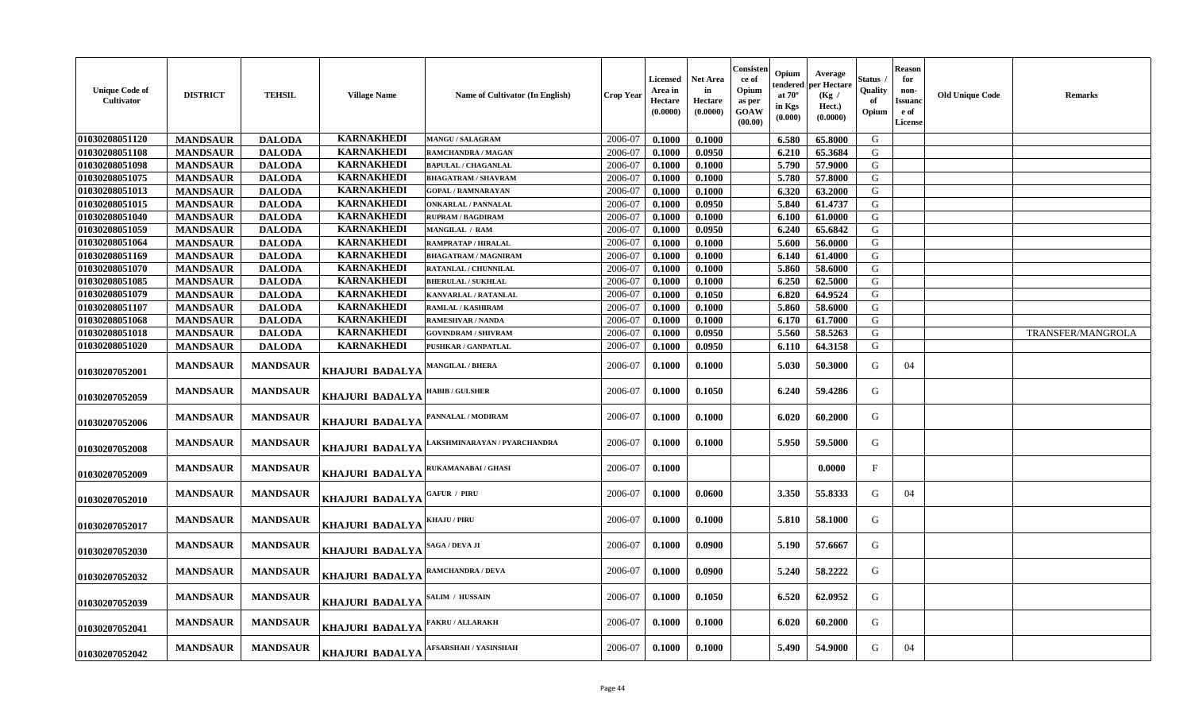| <b>Unique Code of</b><br>Cultivator | <b>DISTRICT</b> | <b>TEHSIL</b>   | <b>Village Name</b>    | <b>Name of Cultivator (In English)</b> | <b>Crop Year</b> | Licensed<br>Area in<br>Hectare<br>(0.0000) | Net Area<br>in<br>Hectare<br>(0.0000) | Consisten<br>-ce of<br>Opium<br>as per<br><b>GOAW</b><br>(00.00) | Opium<br>endered<br>at $70^\circ$<br>in Kgs<br>(0.000) | Average<br>per Hectare<br>(Kg /<br>Hect.)<br>(0.0000) | Status<br>Quality<br>Opium | ${\bf Reason}$<br>for<br>non-<br><b>Issuanc</b><br>e of<br>License | <b>Old Unique Code</b> | Remarks           |
|-------------------------------------|-----------------|-----------------|------------------------|----------------------------------------|------------------|--------------------------------------------|---------------------------------------|------------------------------------------------------------------|--------------------------------------------------------|-------------------------------------------------------|----------------------------|--------------------------------------------------------------------|------------------------|-------------------|
| 01030208051120                      | <b>MANDSAUR</b> | <b>DALODA</b>   | <b>KARNAKHEDI</b>      | <b>MANGU / SALAGRAM</b>                | 2006-07          | 0.1000                                     | 0.1000                                |                                                                  | 6.580                                                  | 65.8000                                               | G                          |                                                                    |                        |                   |
| 01030208051108                      | <b>MANDSAUR</b> | <b>DALODA</b>   | <b>KARNAKHEDI</b>      | RAMCHANDRA / MAGAN                     | 2006-07          | 0.1000                                     | 0.0950                                |                                                                  | 6.210                                                  | 65.3684                                               | G                          |                                                                    |                        |                   |
| 01030208051098                      | <b>MANDSAUR</b> | <b>DALODA</b>   | <b>KARNAKHEDI</b>      | <b>BAPULAL / CHAGANLAL</b>             | 2006-07          | 0.1000                                     | 0.1000                                |                                                                  | 5.790                                                  | 57.9000                                               | G                          |                                                                    |                        |                   |
| 01030208051075                      | <b>MANDSAUR</b> | <b>DALODA</b>   | <b>KARNAKHEDI</b>      | <b>BHAGATRAM / SHAVRAM</b>             | 2006-07          | 0.1000                                     | 0.1000                                |                                                                  | 5.780                                                  | 57.8000                                               | G                          |                                                                    |                        |                   |
| 01030208051013                      | <b>MANDSAUR</b> | <b>DALODA</b>   | <b>KARNAKHEDI</b>      | <b>GOPAL / RAMNARAYAN</b>              | 2006-07          | 0.1000                                     | 0.1000                                |                                                                  | 6.320                                                  | 63.2000                                               | G                          |                                                                    |                        |                   |
| 01030208051015                      | <b>MANDSAUR</b> | <b>DALODA</b>   | <b>KARNAKHEDI</b>      | <b>ONKARLAL / PANNALAL</b>             | 2006-07          | 0.1000                                     | 0.0950                                |                                                                  | 5.840                                                  | 61.4737                                               | G                          |                                                                    |                        |                   |
| 01030208051040                      | <b>MANDSAUR</b> | <b>DALODA</b>   | <b>KARNAKHEDI</b>      | <b>RUPRAM / BAGDIRAM</b>               | 2006-07          | 0.1000                                     | 0.1000                                |                                                                  | 6.100                                                  | 61.0000                                               | G                          |                                                                    |                        |                   |
| 01030208051059                      | <b>MANDSAUR</b> | <b>DALODA</b>   | <b>KARNAKHEDI</b>      | <b>MANGILAL / RAM</b>                  | 2006-07          | 0.1000                                     | 0.0950                                |                                                                  | 6.240                                                  | 65.6842                                               | G                          |                                                                    |                        |                   |
| 01030208051064                      | <b>MANDSAUR</b> | <b>DALODA</b>   | <b>KARNAKHEDI</b>      | RAMPRATAP / HIRALAL                    | 2006-07          | 0.1000                                     | 0.1000                                |                                                                  | 5.600                                                  | 56.0000                                               | G                          |                                                                    |                        |                   |
| 01030208051169                      | <b>MANDSAUR</b> | <b>DALODA</b>   | <b>KARNAKHEDI</b>      | <b>BHAGATRAM / MAGNIRAM</b>            | 2006-07          | 0.1000                                     | 0.1000                                |                                                                  | 6.140                                                  | 61.4000                                               | G                          |                                                                    |                        |                   |
| 01030208051070                      | <b>MANDSAUR</b> | <b>DALODA</b>   | <b>KARNAKHEDI</b>      | RATANLAL / CHUNNILAL                   | 2006-07          | 0.1000                                     | 0.1000                                |                                                                  | 5.860                                                  | 58.6000                                               | G                          |                                                                    |                        |                   |
| 01030208051085                      | <b>MANDSAUR</b> | <b>DALODA</b>   | <b>KARNAKHEDI</b>      | <b>BHERULAL / SUKHLAL</b>              | 2006-07          | 0.1000                                     | 0.1000                                |                                                                  | 6.250                                                  | 62.5000                                               | G                          |                                                                    |                        |                   |
| 01030208051079                      | <b>MANDSAUR</b> | <b>DALODA</b>   | <b>KARNAKHEDI</b>      | KANVARLAL / RATANLAL                   | 2006-07          | 0.1000                                     | 0.1050                                |                                                                  | 6.820                                                  | 64.9524                                               | G                          |                                                                    |                        |                   |
| 01030208051107                      | <b>MANDSAUR</b> | <b>DALODA</b>   | <b>KARNAKHEDI</b>      | <b>RAMLAL / KASHIRAM</b>               | 2006-07          | 0.1000                                     | 0.1000                                |                                                                  | 5.860                                                  | 58.6000                                               | G                          |                                                                    |                        |                   |
| 01030208051068                      | <b>MANDSAUR</b> | <b>DALODA</b>   | <b>KARNAKHEDI</b>      | RAMESHVAR / NANDA                      | 2006-07          | 0.1000                                     | 0.1000                                |                                                                  | 6.170                                                  | 61.7000                                               | G                          |                                                                    |                        |                   |
| 01030208051018                      | <b>MANDSAUR</b> | <b>DALODA</b>   | <b>KARNAKHEDI</b>      | GOVINDRAM / SHIVRAM                    | 2006-07          | 0.1000                                     | 0.0950                                |                                                                  | 5.560                                                  | 58.5263                                               | G                          |                                                                    |                        | TRANSFER/MANGROLA |
| 01030208051020                      | <b>MANDSAUR</b> | <b>DALODA</b>   | <b>KARNAKHEDI</b>      | PUSHKAR / GANPATLAL                    | 2006-07          | 0.1000                                     | 0.0950                                |                                                                  | 6.110                                                  | 64.3158                                               | G                          |                                                                    |                        |                   |
| 01030207052001                      | <b>MANDSAUR</b> | <b>MANDSAUR</b> | <b>KHAJURI BADALYA</b> | <b>MANGILAL / BHERA</b>                | 2006-07          | 0.1000                                     | 0.1000                                |                                                                  | 5.030                                                  | 50.3000                                               | G                          | 04                                                                 |                        |                   |
| 01030207052059                      | <b>MANDSAUR</b> | <b>MANDSAUR</b> | <b>KHAJURI BADALYA</b> | <b>HABIB / GULSHER</b>                 | 2006-07          | 0.1000                                     | 0.1050                                |                                                                  | 6.240                                                  | 59.4286                                               | G                          |                                                                    |                        |                   |
| 01030207052006                      | <b>MANDSAUR</b> | <b>MANDSAUR</b> | KHAJURI BADALYA        | PANNALAL / MODIRAM                     | 2006-07          | 0.1000                                     | 0.1000                                |                                                                  | 6.020                                                  | 60.2000                                               | G                          |                                                                    |                        |                   |
| 01030207052008                      | <b>MANDSAUR</b> | <b>MANDSAUR</b> | KHAJURI BADALYA        | AKSHMINARAYAN / PYARCHANDRA            | 2006-07          | 0.1000                                     | 0.1000                                |                                                                  | 5.950                                                  | 59.5000                                               | G                          |                                                                    |                        |                   |
| 01030207052009                      | <b>MANDSAUR</b> | <b>MANDSAUR</b> | KHAJURI BADALYA        | <b>RUKAMANABAI/GHASI</b>               | 2006-07          | 0.1000                                     |                                       |                                                                  |                                                        | 0.0000                                                | $\mathbf{F}$               |                                                                    |                        |                   |
| 01030207052010                      | <b>MANDSAUR</b> | <b>MANDSAUR</b> | <b>KHAJURI BADALYA</b> | <b>GAFUR / PIRU</b>                    | 2006-07          | 0.1000                                     | 0.0600                                |                                                                  | 3.350                                                  | 55.8333                                               | G                          | 04                                                                 |                        |                   |
| 01030207052017                      | <b>MANDSAUR</b> | <b>MANDSAUR</b> | <b>KHAJURI BADALYA</b> | <b>KHAJU / PIRU</b>                    | 2006-07          | 0.1000                                     | 0.1000                                |                                                                  | 5.810                                                  | 58.1000                                               | G                          |                                                                    |                        |                   |
| 01030207052030                      | <b>MANDSAUR</b> | <b>MANDSAUR</b> | KHAJURI BADALYA        | SAGA / DEVA JI                         | 2006-07          | 0.1000                                     | 0.0900                                |                                                                  | 5.190                                                  | 57.6667                                               | G                          |                                                                    |                        |                   |
| 01030207052032                      | <b>MANDSAUR</b> | <b>MANDSAUR</b> | KHAJURI BADALYA        | RAMCHANDRA / DEVA                      | 2006-07          | 0.1000                                     | 0.0900                                |                                                                  | 5.240                                                  | 58,2222                                               | G                          |                                                                    |                        |                   |
| 01030207052039                      | <b>MANDSAUR</b> | <b>MANDSAUR</b> | KHAJURI BADALYA        | SALIM / HUSSAIN                        | 2006-07          | 0.1000                                     | 0.1050                                |                                                                  | 6.520                                                  | 62.0952                                               | G                          |                                                                    |                        |                   |
| 01030207052041                      | <b>MANDSAUR</b> | <b>MANDSAUR</b> | KHAJURI BADALYA        | <b>AKRU / ALLARAKH</b>                 | 2006-07          | 0.1000                                     | 0.1000                                |                                                                  | 6.020                                                  | 60.2000                                               | G                          |                                                                    |                        |                   |
| 01030207052042                      | <b>MANDSAUR</b> | <b>MANDSAUR</b> | <b>KHAJURI BADALYA</b> | AFSARSHAH / YASINSHAH                  | 2006-07          | 0.1000                                     | 0.1000                                |                                                                  | 5.490                                                  | 54.9000                                               | G                          | 04                                                                 |                        |                   |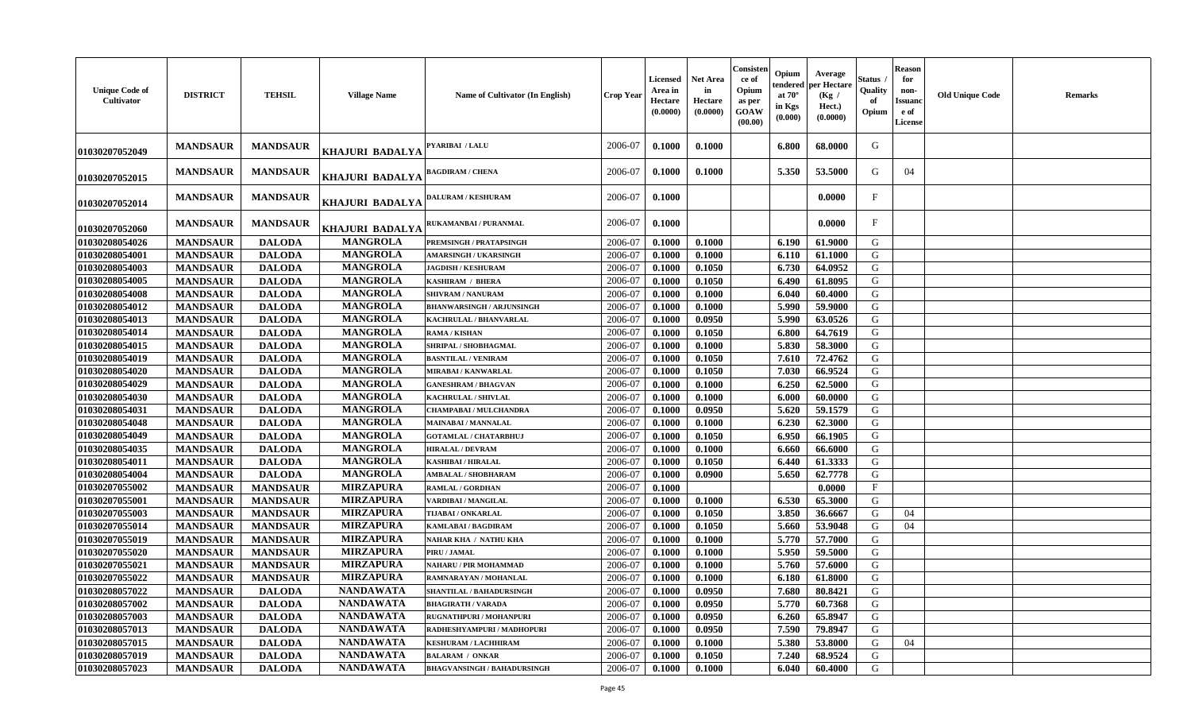| <b>MANDSAUR</b><br><b>MANDSAUR</b><br>2006-07<br>0.1000<br>0.1000<br>6.800<br>68.0000<br>G<br>PYARIBAI / LALU<br><b>KHAJURI BADALYA</b><br>01030207052049<br>53.5000<br><b>MANDSAUR</b><br><b>MANDSAUR</b><br>2006-07<br>0.1000<br>0.1000<br>5.350<br>G<br>04<br><b>BAGDIRAM / CHENA</b><br>KHAJURI BADALYA<br>01030207052015<br>F<br><b>MANDSAUR</b><br><b>MANDSAUR</b><br>2006-07<br>0.1000<br>0.0000<br><b>DALURAM / KESHURAM</b><br><b>KHAJURI BADALYA</b><br><b>01030207052014</b><br><b>MANDSAUR</b><br><b>MANDSAUR</b><br>0.1000<br>F<br>2006-07<br>0.0000<br>RUKAMANBAI / PURANMAL<br>KHAJURI BADALYA<br>01030207052060<br><b>MANGROLA</b><br>G<br>01030208054026<br><b>MANDSAUR</b><br><b>DALODA</b><br>2006-07<br>0.1000<br>0.1000<br>6.190<br>61.9000<br>PREMSINGH / PRATAPSINGH<br><b>MANGROLA</b><br><b>MANDSAUR</b><br><b>DALODA</b><br>G<br>01030208054001<br>0.1000<br>0.1000<br>6.110<br>61.1000<br>2006-07<br><b>AMARSINGH / UKARSINGH</b><br><b>MANGROLA</b><br>01030208054003<br><b>MANDSAUR</b><br><b>DALODA</b><br>2006-07<br>0.1050<br>6.730<br>64.0952<br>G<br>0.1000<br><b>JAGDISH / KESHURAM</b><br><b>MANGROLA</b><br>01030208054005<br><b>MANDSAUR</b><br><b>DALODA</b><br>2006-07<br>G<br>0.1050<br>6.490<br>61.8095<br>KASHIRAM / BHERA<br>0.1000<br><b>MANGROLA</b><br>01030208054008<br><b>MANDSAUR</b><br>G<br><b>DALODA</b><br>2006-07<br>0.1000<br>0.1000<br>6.040<br>60.4000<br><b>SHIVRAM / NANURAM</b><br><b>MANGROLA</b><br>5.990<br>G<br>01030208054012<br><b>MANDSAUR</b><br><b>DALODA</b><br>2006-07<br>0.1000<br>0.1000<br>59.9000<br><b>BHANWARSINGH / ARJUNSINGH</b><br><b>MANGROLA</b><br><b>DALODA</b><br>0.0950<br>5.990<br>G<br>01030208054013<br><b>MANDSAUR</b><br>2006-07<br>0.1000<br>63.0526<br>KACHRULAL / BHANVARLAL<br><b>MANGROLA</b><br>01030208054014<br><b>MANDSAUR</b><br><b>DALODA</b><br>0.1050<br>6.800<br>64.7619<br>G<br>RAMA / KISHAN<br>2006-07<br>0.1000<br><b>MANGROLA</b><br>01030208054015<br><b>MANDSAUR</b><br><b>DALODA</b><br>2006-07<br>G<br>SHRIPAL / SHOBHAGMAL<br>0.1000<br>0.1000<br>5.830<br>58.3000<br>01030208054019<br><b>DALODA</b><br><b>MANGROLA</b><br><b>MANDSAUR</b><br>2006-07<br>0.1050<br>7.610<br>72.4762<br>G<br>0.1000<br><b>BASNTILAL / VENIRAM</b><br><b>MANGROLA</b><br>01030208054020<br>G<br><b>MANDSAUR</b><br><b>DALODA</b><br>2006-07<br>0.1050<br>7.030<br>66.9524<br>0.1000<br><b>MIRABAI/KANWARLAL</b><br><b>MANGROLA</b><br>G<br>01030208054029<br>2006-07<br>6.250<br>62.5000<br><b>MANDSAUR</b><br><b>DALODA</b><br>0.1000<br>0.1000<br><b>GANESHRAM / BHAGVAN</b><br><b>MANGROLA</b><br><b>DALODA</b><br>6.000<br>G<br>01030208054030<br><b>MANDSAUR</b><br>2006-07<br>0.1000<br>0.1000<br>60.0000<br>KACHRULAL / SHIVLAL<br><b>MANGROLA</b><br>01030208054031<br><b>MANDSAUR</b><br><b>DALODA</b><br>0.0950<br>G<br>2006-07<br>0.1000<br>5.620<br>59.1579<br><b>CHAMPABAI/MULCHANDRA</b><br><b>MANGROLA</b><br>01030208054048<br><b>MANDSAUR</b><br><b>DALODA</b><br>2006-07<br>6.230<br>62.3000<br>G<br>0.1000<br>0.1000<br><b>MAINABAI/MANNALAL</b><br><b>MANGROLA</b><br>01030208054049<br><b>MANDSAUR</b><br><b>DALODA</b><br>G<br>2006-07<br>0.1000<br>0.1050<br>6.950<br>66.1905<br><b>GOTAMLAL / CHATARBHUJ</b><br><b>MANGROLA</b><br>01030208054035<br><b>DALODA</b><br><b>MANDSAUR</b><br><b>HIRALAL / DEVRAM</b><br>2006-07<br>0.1000<br>0.1000<br>6.660<br>66.6000<br>G<br><b>MANGROLA</b><br>G<br>01030208054011<br><b>MANDSAUR</b><br><b>DALODA</b><br>2006-07<br>0.1000<br>0.1050<br>6.440<br>61.3333<br><b>KASHIBAI / HIRALAL</b><br><b>MANGROLA</b><br>01030208054004<br>G<br><b>MANDSAUR</b><br><b>DALODA</b><br>2006-07<br>0.1000<br>0.0900<br>5.650<br>62.7778<br><b>AMBALAL / SHOBHARAM</b><br><b>MIRZAPURA</b><br>01030207055002<br>$\mathbf{F}$<br><b>MANDSAUR</b><br><b>MANDSAUR</b><br>2006-07<br>0.0000<br>RAMLAL / GORDHAN<br>0.1000<br><b>MIRZAPURA</b><br>01030207055001<br><b>MANDSAUR</b><br><b>MANDSAUR</b><br>6.530<br>65.3000<br>G<br>2006-07<br>0.1000<br>0.1000<br>VARDIBAI / MANGILAL<br><b>MIRZAPURA</b><br>01030207055003<br><b>MANDSAUR</b><br><b>MANDSAUR</b><br>0.1050<br>3.850<br>36.6667<br>G<br>TIJABAI / ONKARLAL<br>2006-07<br>0.1000<br>04<br><b>MIRZAPURA</b><br>01030207055014<br><b>MANDSAUR</b><br><b>MANDSAUR</b><br>2006-07<br>0.1050<br>5.660<br>53.9048<br>G<br>04<br>KAMLABAI / BAGDIRAM<br>0.1000<br><b>MIRZAPURA</b><br>5.770<br>01030207055019<br><b>MANDSAUR</b><br><b>MANDSAUR</b><br>2006-07<br>0.1000<br>57.7000<br>G<br>NAHAR KHA / NATHU KHA<br>0.1000<br><b>MIRZAPURA</b><br>01030207055020<br><b>MANDSAUR</b><br><b>MANDSAUR</b><br>5.950<br>59.5000<br>G<br>PIRU / JAMAL<br>2006-07<br>0.1000<br>0.1000<br><b>MIRZAPURA</b><br>01030207055021<br>G<br>5.760<br><b>MANDSAUR</b><br><b>MANDSAUR</b><br>2006-07<br>0.1000<br>57.6000<br>NAHARU / PIR MOHAMMAD<br>0.1000<br>01030207055022<br><b>MIRZAPURA</b><br>G<br>0.1000<br><b>MANDSAUR</b><br><b>MANDSAUR</b><br>2006-07<br>0.1000<br>6.180<br>61.8000<br>RAMNARAYAN / MOHANLAL<br>01030208057022<br><b>NANDAWATA</b><br>2006-07<br>0.1000<br>0.0950<br>7.680<br>80.8421<br>G<br><b>DALODA</b><br>SHANTILAL / BAHADURSINGH<br><b>MANDSAUR</b><br><b>NANDAWATA</b><br>0.0950<br>5.770<br>G<br>01030208057002<br><b>DALODA</b><br>2006-07<br>60.7368<br><b>MANDSAUR</b><br><b>BHAGIRATH / VARADA</b><br>0.1000<br><b>NANDAWATA</b><br>G<br>01030208057003<br><b>MANDSAUR</b><br><b>DALODA</b><br>2006-07<br>0.0950<br>6.260<br>65.8947<br>RUGNATHPURI / MOHANPURI<br>0.1000<br><b>NANDAWATA</b><br>0.0950<br>7.590<br>79.8947<br>G<br>01030208057013<br><b>MANDSAUR</b><br><b>DALODA</b><br>RADHESHYAMPURI / MADHOPURI<br>2006-07<br>0.1000<br><b>NANDAWATA</b><br>01030208057015<br>5.380<br>53.8000<br><b>MANDSAUR</b><br><b>DALODA</b><br><b>KESHURAM / LACHHIRAM</b><br>2006-07<br>0.1000<br>0.1000<br>G<br>04<br><b>NANDAWATA</b><br>01030208057019<br><b>MANDSAUR</b><br>7.240<br><b>DALODA</b><br><b>BALARAM / ONKAR</b><br>2006-07<br>0.1000<br>0.1050<br>68.9524<br>G | <b>Unique Code of</b><br>Cultivator | <b>DISTRICT</b> | <b>TEHSIL</b> | <b>Village Name</b> | Name of Cultivator (In English)    | <b>Crop Year</b> | Licensed<br>Area in<br>Hectare<br>(0.0000) | <b>Net Area</b><br>in<br>Hectare<br>(0.0000) | Consisten<br>ce of<br>Opium<br>as per<br>GOAW<br>(00.00) | Opium<br>endered<br>at $70^\circ$<br>in Kgs<br>$(\mathbf{0.000})$ | Average<br>per Hectare<br>(Kg /<br>Hect.)<br>(0.0000) | Status<br>Quality<br>of<br>Opium | <b>Reason</b><br>for<br>non-<br>Issuan<br>e of<br><b>License</b> | <b>Old Unique Code</b> | Remarks |
|----------------------------------------------------------------------------------------------------------------------------------------------------------------------------------------------------------------------------------------------------------------------------------------------------------------------------------------------------------------------------------------------------------------------------------------------------------------------------------------------------------------------------------------------------------------------------------------------------------------------------------------------------------------------------------------------------------------------------------------------------------------------------------------------------------------------------------------------------------------------------------------------------------------------------------------------------------------------------------------------------------------------------------------------------------------------------------------------------------------------------------------------------------------------------------------------------------------------------------------------------------------------------------------------------------------------------------------------------------------------------------------------------------------------------------------------------------------------------------------------------------------------------------------------------------------------------------------------------------------------------------------------------------------------------------------------------------------------------------------------------------------------------------------------------------------------------------------------------------------------------------------------------------------------------------------------------------------------------------------------------------------------------------------------------------------------------------------------------------------------------------------------------------------------------------------------------------------------------------------------------------------------------------------------------------------------------------------------------------------------------------------------------------------------------------------------------------------------------------------------------------------------------------------------------------------------------------------------------------------------------------------------------------------------------------------------------------------------------------------------------------------------------------------------------------------------------------------------------------------------------------------------------------------------------------------------------------------------------------------------------------------------------------------------------------------------------------------------------------------------------------------------------------------------------------------------------------------------------------------------------------------------------------------------------------------------------------------------------------------------------------------------------------------------------------------------------------------------------------------------------------------------------------------------------------------------------------------------------------------------------------------------------------------------------------------------------------------------------------------------------------------------------------------------------------------------------------------------------------------------------------------------------------------------------------------------------------------------------------------------------------------------------------------------------------------------------------------------------------------------------------------------------------------------------------------------------------------------------------------------------------------------------------------------------------------------------------------------------------------------------------------------------------------------------------------------------------------------------------------------------------------------------------------------------------------------------------------------------------------------------------------------------------------------------------------------------------------------------------------------------------------------------------------------------------------------------------------------------------------------------------------------------------------------------------------------------------------------------------------------------------------------------------------------------------------------------------------------------------------------------------------------------------------------------------------------------------------------------------------------------------------------------------------------------------------------------------------------------------------------------------------------------------------------------------------------------------------------------------------------------------------------------------------------------------------------------------------------------------------------------------------------------------------------------------------------------------------------------------------------------------------------------------------------------------------------------------------------------------------------------------------------------------------------------------------------------------------------------------------------------------------------|-------------------------------------|-----------------|---------------|---------------------|------------------------------------|------------------|--------------------------------------------|----------------------------------------------|----------------------------------------------------------|-------------------------------------------------------------------|-------------------------------------------------------|----------------------------------|------------------------------------------------------------------|------------------------|---------|
|                                                                                                                                                                                                                                                                                                                                                                                                                                                                                                                                                                                                                                                                                                                                                                                                                                                                                                                                                                                                                                                                                                                                                                                                                                                                                                                                                                                                                                                                                                                                                                                                                                                                                                                                                                                                                                                                                                                                                                                                                                                                                                                                                                                                                                                                                                                                                                                                                                                                                                                                                                                                                                                                                                                                                                                                                                                                                                                                                                                                                                                                                                                                                                                                                                                                                                                                                                                                                                                                                                                                                                                                                                                                                                                                                                                                                                                                                                                                                                                                                                                                                                                                                                                                                                                                                                                                                                                                                                                                                                                                                                                                                                                                                                                                                                                                                                                                                                                                                                                                                                                                                                                                                                                                                                                                                                                                                                                                                                                                                                                                                                                                                                                                                                                                                                                                                                                                                                                                                                                                                      |                                     |                 |               |                     |                                    |                  |                                            |                                              |                                                          |                                                                   |                                                       |                                  |                                                                  |                        |         |
|                                                                                                                                                                                                                                                                                                                                                                                                                                                                                                                                                                                                                                                                                                                                                                                                                                                                                                                                                                                                                                                                                                                                                                                                                                                                                                                                                                                                                                                                                                                                                                                                                                                                                                                                                                                                                                                                                                                                                                                                                                                                                                                                                                                                                                                                                                                                                                                                                                                                                                                                                                                                                                                                                                                                                                                                                                                                                                                                                                                                                                                                                                                                                                                                                                                                                                                                                                                                                                                                                                                                                                                                                                                                                                                                                                                                                                                                                                                                                                                                                                                                                                                                                                                                                                                                                                                                                                                                                                                                                                                                                                                                                                                                                                                                                                                                                                                                                                                                                                                                                                                                                                                                                                                                                                                                                                                                                                                                                                                                                                                                                                                                                                                                                                                                                                                                                                                                                                                                                                                                                      |                                     |                 |               |                     |                                    |                  |                                            |                                              |                                                          |                                                                   |                                                       |                                  |                                                                  |                        |         |
|                                                                                                                                                                                                                                                                                                                                                                                                                                                                                                                                                                                                                                                                                                                                                                                                                                                                                                                                                                                                                                                                                                                                                                                                                                                                                                                                                                                                                                                                                                                                                                                                                                                                                                                                                                                                                                                                                                                                                                                                                                                                                                                                                                                                                                                                                                                                                                                                                                                                                                                                                                                                                                                                                                                                                                                                                                                                                                                                                                                                                                                                                                                                                                                                                                                                                                                                                                                                                                                                                                                                                                                                                                                                                                                                                                                                                                                                                                                                                                                                                                                                                                                                                                                                                                                                                                                                                                                                                                                                                                                                                                                                                                                                                                                                                                                                                                                                                                                                                                                                                                                                                                                                                                                                                                                                                                                                                                                                                                                                                                                                                                                                                                                                                                                                                                                                                                                                                                                                                                                                                      |                                     |                 |               |                     |                                    |                  |                                            |                                              |                                                          |                                                                   |                                                       |                                  |                                                                  |                        |         |
|                                                                                                                                                                                                                                                                                                                                                                                                                                                                                                                                                                                                                                                                                                                                                                                                                                                                                                                                                                                                                                                                                                                                                                                                                                                                                                                                                                                                                                                                                                                                                                                                                                                                                                                                                                                                                                                                                                                                                                                                                                                                                                                                                                                                                                                                                                                                                                                                                                                                                                                                                                                                                                                                                                                                                                                                                                                                                                                                                                                                                                                                                                                                                                                                                                                                                                                                                                                                                                                                                                                                                                                                                                                                                                                                                                                                                                                                                                                                                                                                                                                                                                                                                                                                                                                                                                                                                                                                                                                                                                                                                                                                                                                                                                                                                                                                                                                                                                                                                                                                                                                                                                                                                                                                                                                                                                                                                                                                                                                                                                                                                                                                                                                                                                                                                                                                                                                                                                                                                                                                                      |                                     |                 |               |                     |                                    |                  |                                            |                                              |                                                          |                                                                   |                                                       |                                  |                                                                  |                        |         |
|                                                                                                                                                                                                                                                                                                                                                                                                                                                                                                                                                                                                                                                                                                                                                                                                                                                                                                                                                                                                                                                                                                                                                                                                                                                                                                                                                                                                                                                                                                                                                                                                                                                                                                                                                                                                                                                                                                                                                                                                                                                                                                                                                                                                                                                                                                                                                                                                                                                                                                                                                                                                                                                                                                                                                                                                                                                                                                                                                                                                                                                                                                                                                                                                                                                                                                                                                                                                                                                                                                                                                                                                                                                                                                                                                                                                                                                                                                                                                                                                                                                                                                                                                                                                                                                                                                                                                                                                                                                                                                                                                                                                                                                                                                                                                                                                                                                                                                                                                                                                                                                                                                                                                                                                                                                                                                                                                                                                                                                                                                                                                                                                                                                                                                                                                                                                                                                                                                                                                                                                                      |                                     |                 |               |                     |                                    |                  |                                            |                                              |                                                          |                                                                   |                                                       |                                  |                                                                  |                        |         |
|                                                                                                                                                                                                                                                                                                                                                                                                                                                                                                                                                                                                                                                                                                                                                                                                                                                                                                                                                                                                                                                                                                                                                                                                                                                                                                                                                                                                                                                                                                                                                                                                                                                                                                                                                                                                                                                                                                                                                                                                                                                                                                                                                                                                                                                                                                                                                                                                                                                                                                                                                                                                                                                                                                                                                                                                                                                                                                                                                                                                                                                                                                                                                                                                                                                                                                                                                                                                                                                                                                                                                                                                                                                                                                                                                                                                                                                                                                                                                                                                                                                                                                                                                                                                                                                                                                                                                                                                                                                                                                                                                                                                                                                                                                                                                                                                                                                                                                                                                                                                                                                                                                                                                                                                                                                                                                                                                                                                                                                                                                                                                                                                                                                                                                                                                                                                                                                                                                                                                                                                                      |                                     |                 |               |                     |                                    |                  |                                            |                                              |                                                          |                                                                   |                                                       |                                  |                                                                  |                        |         |
|                                                                                                                                                                                                                                                                                                                                                                                                                                                                                                                                                                                                                                                                                                                                                                                                                                                                                                                                                                                                                                                                                                                                                                                                                                                                                                                                                                                                                                                                                                                                                                                                                                                                                                                                                                                                                                                                                                                                                                                                                                                                                                                                                                                                                                                                                                                                                                                                                                                                                                                                                                                                                                                                                                                                                                                                                                                                                                                                                                                                                                                                                                                                                                                                                                                                                                                                                                                                                                                                                                                                                                                                                                                                                                                                                                                                                                                                                                                                                                                                                                                                                                                                                                                                                                                                                                                                                                                                                                                                                                                                                                                                                                                                                                                                                                                                                                                                                                                                                                                                                                                                                                                                                                                                                                                                                                                                                                                                                                                                                                                                                                                                                                                                                                                                                                                                                                                                                                                                                                                                                      |                                     |                 |               |                     |                                    |                  |                                            |                                              |                                                          |                                                                   |                                                       |                                  |                                                                  |                        |         |
|                                                                                                                                                                                                                                                                                                                                                                                                                                                                                                                                                                                                                                                                                                                                                                                                                                                                                                                                                                                                                                                                                                                                                                                                                                                                                                                                                                                                                                                                                                                                                                                                                                                                                                                                                                                                                                                                                                                                                                                                                                                                                                                                                                                                                                                                                                                                                                                                                                                                                                                                                                                                                                                                                                                                                                                                                                                                                                                                                                                                                                                                                                                                                                                                                                                                                                                                                                                                                                                                                                                                                                                                                                                                                                                                                                                                                                                                                                                                                                                                                                                                                                                                                                                                                                                                                                                                                                                                                                                                                                                                                                                                                                                                                                                                                                                                                                                                                                                                                                                                                                                                                                                                                                                                                                                                                                                                                                                                                                                                                                                                                                                                                                                                                                                                                                                                                                                                                                                                                                                                                      |                                     |                 |               |                     |                                    |                  |                                            |                                              |                                                          |                                                                   |                                                       |                                  |                                                                  |                        |         |
|                                                                                                                                                                                                                                                                                                                                                                                                                                                                                                                                                                                                                                                                                                                                                                                                                                                                                                                                                                                                                                                                                                                                                                                                                                                                                                                                                                                                                                                                                                                                                                                                                                                                                                                                                                                                                                                                                                                                                                                                                                                                                                                                                                                                                                                                                                                                                                                                                                                                                                                                                                                                                                                                                                                                                                                                                                                                                                                                                                                                                                                                                                                                                                                                                                                                                                                                                                                                                                                                                                                                                                                                                                                                                                                                                                                                                                                                                                                                                                                                                                                                                                                                                                                                                                                                                                                                                                                                                                                                                                                                                                                                                                                                                                                                                                                                                                                                                                                                                                                                                                                                                                                                                                                                                                                                                                                                                                                                                                                                                                                                                                                                                                                                                                                                                                                                                                                                                                                                                                                                                      |                                     |                 |               |                     |                                    |                  |                                            |                                              |                                                          |                                                                   |                                                       |                                  |                                                                  |                        |         |
|                                                                                                                                                                                                                                                                                                                                                                                                                                                                                                                                                                                                                                                                                                                                                                                                                                                                                                                                                                                                                                                                                                                                                                                                                                                                                                                                                                                                                                                                                                                                                                                                                                                                                                                                                                                                                                                                                                                                                                                                                                                                                                                                                                                                                                                                                                                                                                                                                                                                                                                                                                                                                                                                                                                                                                                                                                                                                                                                                                                                                                                                                                                                                                                                                                                                                                                                                                                                                                                                                                                                                                                                                                                                                                                                                                                                                                                                                                                                                                                                                                                                                                                                                                                                                                                                                                                                                                                                                                                                                                                                                                                                                                                                                                                                                                                                                                                                                                                                                                                                                                                                                                                                                                                                                                                                                                                                                                                                                                                                                                                                                                                                                                                                                                                                                                                                                                                                                                                                                                                                                      |                                     |                 |               |                     |                                    |                  |                                            |                                              |                                                          |                                                                   |                                                       |                                  |                                                                  |                        |         |
|                                                                                                                                                                                                                                                                                                                                                                                                                                                                                                                                                                                                                                                                                                                                                                                                                                                                                                                                                                                                                                                                                                                                                                                                                                                                                                                                                                                                                                                                                                                                                                                                                                                                                                                                                                                                                                                                                                                                                                                                                                                                                                                                                                                                                                                                                                                                                                                                                                                                                                                                                                                                                                                                                                                                                                                                                                                                                                                                                                                                                                                                                                                                                                                                                                                                                                                                                                                                                                                                                                                                                                                                                                                                                                                                                                                                                                                                                                                                                                                                                                                                                                                                                                                                                                                                                                                                                                                                                                                                                                                                                                                                                                                                                                                                                                                                                                                                                                                                                                                                                                                                                                                                                                                                                                                                                                                                                                                                                                                                                                                                                                                                                                                                                                                                                                                                                                                                                                                                                                                                                      |                                     |                 |               |                     |                                    |                  |                                            |                                              |                                                          |                                                                   |                                                       |                                  |                                                                  |                        |         |
|                                                                                                                                                                                                                                                                                                                                                                                                                                                                                                                                                                                                                                                                                                                                                                                                                                                                                                                                                                                                                                                                                                                                                                                                                                                                                                                                                                                                                                                                                                                                                                                                                                                                                                                                                                                                                                                                                                                                                                                                                                                                                                                                                                                                                                                                                                                                                                                                                                                                                                                                                                                                                                                                                                                                                                                                                                                                                                                                                                                                                                                                                                                                                                                                                                                                                                                                                                                                                                                                                                                                                                                                                                                                                                                                                                                                                                                                                                                                                                                                                                                                                                                                                                                                                                                                                                                                                                                                                                                                                                                                                                                                                                                                                                                                                                                                                                                                                                                                                                                                                                                                                                                                                                                                                                                                                                                                                                                                                                                                                                                                                                                                                                                                                                                                                                                                                                                                                                                                                                                                                      |                                     |                 |               |                     |                                    |                  |                                            |                                              |                                                          |                                                                   |                                                       |                                  |                                                                  |                        |         |
|                                                                                                                                                                                                                                                                                                                                                                                                                                                                                                                                                                                                                                                                                                                                                                                                                                                                                                                                                                                                                                                                                                                                                                                                                                                                                                                                                                                                                                                                                                                                                                                                                                                                                                                                                                                                                                                                                                                                                                                                                                                                                                                                                                                                                                                                                                                                                                                                                                                                                                                                                                                                                                                                                                                                                                                                                                                                                                                                                                                                                                                                                                                                                                                                                                                                                                                                                                                                                                                                                                                                                                                                                                                                                                                                                                                                                                                                                                                                                                                                                                                                                                                                                                                                                                                                                                                                                                                                                                                                                                                                                                                                                                                                                                                                                                                                                                                                                                                                                                                                                                                                                                                                                                                                                                                                                                                                                                                                                                                                                                                                                                                                                                                                                                                                                                                                                                                                                                                                                                                                                      |                                     |                 |               |                     |                                    |                  |                                            |                                              |                                                          |                                                                   |                                                       |                                  |                                                                  |                        |         |
|                                                                                                                                                                                                                                                                                                                                                                                                                                                                                                                                                                                                                                                                                                                                                                                                                                                                                                                                                                                                                                                                                                                                                                                                                                                                                                                                                                                                                                                                                                                                                                                                                                                                                                                                                                                                                                                                                                                                                                                                                                                                                                                                                                                                                                                                                                                                                                                                                                                                                                                                                                                                                                                                                                                                                                                                                                                                                                                                                                                                                                                                                                                                                                                                                                                                                                                                                                                                                                                                                                                                                                                                                                                                                                                                                                                                                                                                                                                                                                                                                                                                                                                                                                                                                                                                                                                                                                                                                                                                                                                                                                                                                                                                                                                                                                                                                                                                                                                                                                                                                                                                                                                                                                                                                                                                                                                                                                                                                                                                                                                                                                                                                                                                                                                                                                                                                                                                                                                                                                                                                      |                                     |                 |               |                     |                                    |                  |                                            |                                              |                                                          |                                                                   |                                                       |                                  |                                                                  |                        |         |
|                                                                                                                                                                                                                                                                                                                                                                                                                                                                                                                                                                                                                                                                                                                                                                                                                                                                                                                                                                                                                                                                                                                                                                                                                                                                                                                                                                                                                                                                                                                                                                                                                                                                                                                                                                                                                                                                                                                                                                                                                                                                                                                                                                                                                                                                                                                                                                                                                                                                                                                                                                                                                                                                                                                                                                                                                                                                                                                                                                                                                                                                                                                                                                                                                                                                                                                                                                                                                                                                                                                                                                                                                                                                                                                                                                                                                                                                                                                                                                                                                                                                                                                                                                                                                                                                                                                                                                                                                                                                                                                                                                                                                                                                                                                                                                                                                                                                                                                                                                                                                                                                                                                                                                                                                                                                                                                                                                                                                                                                                                                                                                                                                                                                                                                                                                                                                                                                                                                                                                                                                      |                                     |                 |               |                     |                                    |                  |                                            |                                              |                                                          |                                                                   |                                                       |                                  |                                                                  |                        |         |
|                                                                                                                                                                                                                                                                                                                                                                                                                                                                                                                                                                                                                                                                                                                                                                                                                                                                                                                                                                                                                                                                                                                                                                                                                                                                                                                                                                                                                                                                                                                                                                                                                                                                                                                                                                                                                                                                                                                                                                                                                                                                                                                                                                                                                                                                                                                                                                                                                                                                                                                                                                                                                                                                                                                                                                                                                                                                                                                                                                                                                                                                                                                                                                                                                                                                                                                                                                                                                                                                                                                                                                                                                                                                                                                                                                                                                                                                                                                                                                                                                                                                                                                                                                                                                                                                                                                                                                                                                                                                                                                                                                                                                                                                                                                                                                                                                                                                                                                                                                                                                                                                                                                                                                                                                                                                                                                                                                                                                                                                                                                                                                                                                                                                                                                                                                                                                                                                                                                                                                                                                      |                                     |                 |               |                     |                                    |                  |                                            |                                              |                                                          |                                                                   |                                                       |                                  |                                                                  |                        |         |
|                                                                                                                                                                                                                                                                                                                                                                                                                                                                                                                                                                                                                                                                                                                                                                                                                                                                                                                                                                                                                                                                                                                                                                                                                                                                                                                                                                                                                                                                                                                                                                                                                                                                                                                                                                                                                                                                                                                                                                                                                                                                                                                                                                                                                                                                                                                                                                                                                                                                                                                                                                                                                                                                                                                                                                                                                                                                                                                                                                                                                                                                                                                                                                                                                                                                                                                                                                                                                                                                                                                                                                                                                                                                                                                                                                                                                                                                                                                                                                                                                                                                                                                                                                                                                                                                                                                                                                                                                                                                                                                                                                                                                                                                                                                                                                                                                                                                                                                                                                                                                                                                                                                                                                                                                                                                                                                                                                                                                                                                                                                                                                                                                                                                                                                                                                                                                                                                                                                                                                                                                      |                                     |                 |               |                     |                                    |                  |                                            |                                              |                                                          |                                                                   |                                                       |                                  |                                                                  |                        |         |
|                                                                                                                                                                                                                                                                                                                                                                                                                                                                                                                                                                                                                                                                                                                                                                                                                                                                                                                                                                                                                                                                                                                                                                                                                                                                                                                                                                                                                                                                                                                                                                                                                                                                                                                                                                                                                                                                                                                                                                                                                                                                                                                                                                                                                                                                                                                                                                                                                                                                                                                                                                                                                                                                                                                                                                                                                                                                                                                                                                                                                                                                                                                                                                                                                                                                                                                                                                                                                                                                                                                                                                                                                                                                                                                                                                                                                                                                                                                                                                                                                                                                                                                                                                                                                                                                                                                                                                                                                                                                                                                                                                                                                                                                                                                                                                                                                                                                                                                                                                                                                                                                                                                                                                                                                                                                                                                                                                                                                                                                                                                                                                                                                                                                                                                                                                                                                                                                                                                                                                                                                      |                                     |                 |               |                     |                                    |                  |                                            |                                              |                                                          |                                                                   |                                                       |                                  |                                                                  |                        |         |
|                                                                                                                                                                                                                                                                                                                                                                                                                                                                                                                                                                                                                                                                                                                                                                                                                                                                                                                                                                                                                                                                                                                                                                                                                                                                                                                                                                                                                                                                                                                                                                                                                                                                                                                                                                                                                                                                                                                                                                                                                                                                                                                                                                                                                                                                                                                                                                                                                                                                                                                                                                                                                                                                                                                                                                                                                                                                                                                                                                                                                                                                                                                                                                                                                                                                                                                                                                                                                                                                                                                                                                                                                                                                                                                                                                                                                                                                                                                                                                                                                                                                                                                                                                                                                                                                                                                                                                                                                                                                                                                                                                                                                                                                                                                                                                                                                                                                                                                                                                                                                                                                                                                                                                                                                                                                                                                                                                                                                                                                                                                                                                                                                                                                                                                                                                                                                                                                                                                                                                                                                      |                                     |                 |               |                     |                                    |                  |                                            |                                              |                                                          |                                                                   |                                                       |                                  |                                                                  |                        |         |
|                                                                                                                                                                                                                                                                                                                                                                                                                                                                                                                                                                                                                                                                                                                                                                                                                                                                                                                                                                                                                                                                                                                                                                                                                                                                                                                                                                                                                                                                                                                                                                                                                                                                                                                                                                                                                                                                                                                                                                                                                                                                                                                                                                                                                                                                                                                                                                                                                                                                                                                                                                                                                                                                                                                                                                                                                                                                                                                                                                                                                                                                                                                                                                                                                                                                                                                                                                                                                                                                                                                                                                                                                                                                                                                                                                                                                                                                                                                                                                                                                                                                                                                                                                                                                                                                                                                                                                                                                                                                                                                                                                                                                                                                                                                                                                                                                                                                                                                                                                                                                                                                                                                                                                                                                                                                                                                                                                                                                                                                                                                                                                                                                                                                                                                                                                                                                                                                                                                                                                                                                      |                                     |                 |               |                     |                                    |                  |                                            |                                              |                                                          |                                                                   |                                                       |                                  |                                                                  |                        |         |
|                                                                                                                                                                                                                                                                                                                                                                                                                                                                                                                                                                                                                                                                                                                                                                                                                                                                                                                                                                                                                                                                                                                                                                                                                                                                                                                                                                                                                                                                                                                                                                                                                                                                                                                                                                                                                                                                                                                                                                                                                                                                                                                                                                                                                                                                                                                                                                                                                                                                                                                                                                                                                                                                                                                                                                                                                                                                                                                                                                                                                                                                                                                                                                                                                                                                                                                                                                                                                                                                                                                                                                                                                                                                                                                                                                                                                                                                                                                                                                                                                                                                                                                                                                                                                                                                                                                                                                                                                                                                                                                                                                                                                                                                                                                                                                                                                                                                                                                                                                                                                                                                                                                                                                                                                                                                                                                                                                                                                                                                                                                                                                                                                                                                                                                                                                                                                                                                                                                                                                                                                      |                                     |                 |               |                     |                                    |                  |                                            |                                              |                                                          |                                                                   |                                                       |                                  |                                                                  |                        |         |
|                                                                                                                                                                                                                                                                                                                                                                                                                                                                                                                                                                                                                                                                                                                                                                                                                                                                                                                                                                                                                                                                                                                                                                                                                                                                                                                                                                                                                                                                                                                                                                                                                                                                                                                                                                                                                                                                                                                                                                                                                                                                                                                                                                                                                                                                                                                                                                                                                                                                                                                                                                                                                                                                                                                                                                                                                                                                                                                                                                                                                                                                                                                                                                                                                                                                                                                                                                                                                                                                                                                                                                                                                                                                                                                                                                                                                                                                                                                                                                                                                                                                                                                                                                                                                                                                                                                                                                                                                                                                                                                                                                                                                                                                                                                                                                                                                                                                                                                                                                                                                                                                                                                                                                                                                                                                                                                                                                                                                                                                                                                                                                                                                                                                                                                                                                                                                                                                                                                                                                                                                      |                                     |                 |               |                     |                                    |                  |                                            |                                              |                                                          |                                                                   |                                                       |                                  |                                                                  |                        |         |
|                                                                                                                                                                                                                                                                                                                                                                                                                                                                                                                                                                                                                                                                                                                                                                                                                                                                                                                                                                                                                                                                                                                                                                                                                                                                                                                                                                                                                                                                                                                                                                                                                                                                                                                                                                                                                                                                                                                                                                                                                                                                                                                                                                                                                                                                                                                                                                                                                                                                                                                                                                                                                                                                                                                                                                                                                                                                                                                                                                                                                                                                                                                                                                                                                                                                                                                                                                                                                                                                                                                                                                                                                                                                                                                                                                                                                                                                                                                                                                                                                                                                                                                                                                                                                                                                                                                                                                                                                                                                                                                                                                                                                                                                                                                                                                                                                                                                                                                                                                                                                                                                                                                                                                                                                                                                                                                                                                                                                                                                                                                                                                                                                                                                                                                                                                                                                                                                                                                                                                                                                      |                                     |                 |               |                     |                                    |                  |                                            |                                              |                                                          |                                                                   |                                                       |                                  |                                                                  |                        |         |
|                                                                                                                                                                                                                                                                                                                                                                                                                                                                                                                                                                                                                                                                                                                                                                                                                                                                                                                                                                                                                                                                                                                                                                                                                                                                                                                                                                                                                                                                                                                                                                                                                                                                                                                                                                                                                                                                                                                                                                                                                                                                                                                                                                                                                                                                                                                                                                                                                                                                                                                                                                                                                                                                                                                                                                                                                                                                                                                                                                                                                                                                                                                                                                                                                                                                                                                                                                                                                                                                                                                                                                                                                                                                                                                                                                                                                                                                                                                                                                                                                                                                                                                                                                                                                                                                                                                                                                                                                                                                                                                                                                                                                                                                                                                                                                                                                                                                                                                                                                                                                                                                                                                                                                                                                                                                                                                                                                                                                                                                                                                                                                                                                                                                                                                                                                                                                                                                                                                                                                                                                      |                                     |                 |               |                     |                                    |                  |                                            |                                              |                                                          |                                                                   |                                                       |                                  |                                                                  |                        |         |
|                                                                                                                                                                                                                                                                                                                                                                                                                                                                                                                                                                                                                                                                                                                                                                                                                                                                                                                                                                                                                                                                                                                                                                                                                                                                                                                                                                                                                                                                                                                                                                                                                                                                                                                                                                                                                                                                                                                                                                                                                                                                                                                                                                                                                                                                                                                                                                                                                                                                                                                                                                                                                                                                                                                                                                                                                                                                                                                                                                                                                                                                                                                                                                                                                                                                                                                                                                                                                                                                                                                                                                                                                                                                                                                                                                                                                                                                                                                                                                                                                                                                                                                                                                                                                                                                                                                                                                                                                                                                                                                                                                                                                                                                                                                                                                                                                                                                                                                                                                                                                                                                                                                                                                                                                                                                                                                                                                                                                                                                                                                                                                                                                                                                                                                                                                                                                                                                                                                                                                                                                      |                                     |                 |               |                     |                                    |                  |                                            |                                              |                                                          |                                                                   |                                                       |                                  |                                                                  |                        |         |
|                                                                                                                                                                                                                                                                                                                                                                                                                                                                                                                                                                                                                                                                                                                                                                                                                                                                                                                                                                                                                                                                                                                                                                                                                                                                                                                                                                                                                                                                                                                                                                                                                                                                                                                                                                                                                                                                                                                                                                                                                                                                                                                                                                                                                                                                                                                                                                                                                                                                                                                                                                                                                                                                                                                                                                                                                                                                                                                                                                                                                                                                                                                                                                                                                                                                                                                                                                                                                                                                                                                                                                                                                                                                                                                                                                                                                                                                                                                                                                                                                                                                                                                                                                                                                                                                                                                                                                                                                                                                                                                                                                                                                                                                                                                                                                                                                                                                                                                                                                                                                                                                                                                                                                                                                                                                                                                                                                                                                                                                                                                                                                                                                                                                                                                                                                                                                                                                                                                                                                                                                      |                                     |                 |               |                     |                                    |                  |                                            |                                              |                                                          |                                                                   |                                                       |                                  |                                                                  |                        |         |
|                                                                                                                                                                                                                                                                                                                                                                                                                                                                                                                                                                                                                                                                                                                                                                                                                                                                                                                                                                                                                                                                                                                                                                                                                                                                                                                                                                                                                                                                                                                                                                                                                                                                                                                                                                                                                                                                                                                                                                                                                                                                                                                                                                                                                                                                                                                                                                                                                                                                                                                                                                                                                                                                                                                                                                                                                                                                                                                                                                                                                                                                                                                                                                                                                                                                                                                                                                                                                                                                                                                                                                                                                                                                                                                                                                                                                                                                                                                                                                                                                                                                                                                                                                                                                                                                                                                                                                                                                                                                                                                                                                                                                                                                                                                                                                                                                                                                                                                                                                                                                                                                                                                                                                                                                                                                                                                                                                                                                                                                                                                                                                                                                                                                                                                                                                                                                                                                                                                                                                                                                      |                                     |                 |               |                     |                                    |                  |                                            |                                              |                                                          |                                                                   |                                                       |                                  |                                                                  |                        |         |
|                                                                                                                                                                                                                                                                                                                                                                                                                                                                                                                                                                                                                                                                                                                                                                                                                                                                                                                                                                                                                                                                                                                                                                                                                                                                                                                                                                                                                                                                                                                                                                                                                                                                                                                                                                                                                                                                                                                                                                                                                                                                                                                                                                                                                                                                                                                                                                                                                                                                                                                                                                                                                                                                                                                                                                                                                                                                                                                                                                                                                                                                                                                                                                                                                                                                                                                                                                                                                                                                                                                                                                                                                                                                                                                                                                                                                                                                                                                                                                                                                                                                                                                                                                                                                                                                                                                                                                                                                                                                                                                                                                                                                                                                                                                                                                                                                                                                                                                                                                                                                                                                                                                                                                                                                                                                                                                                                                                                                                                                                                                                                                                                                                                                                                                                                                                                                                                                                                                                                                                                                      |                                     |                 |               |                     |                                    |                  |                                            |                                              |                                                          |                                                                   |                                                       |                                  |                                                                  |                        |         |
|                                                                                                                                                                                                                                                                                                                                                                                                                                                                                                                                                                                                                                                                                                                                                                                                                                                                                                                                                                                                                                                                                                                                                                                                                                                                                                                                                                                                                                                                                                                                                                                                                                                                                                                                                                                                                                                                                                                                                                                                                                                                                                                                                                                                                                                                                                                                                                                                                                                                                                                                                                                                                                                                                                                                                                                                                                                                                                                                                                                                                                                                                                                                                                                                                                                                                                                                                                                                                                                                                                                                                                                                                                                                                                                                                                                                                                                                                                                                                                                                                                                                                                                                                                                                                                                                                                                                                                                                                                                                                                                                                                                                                                                                                                                                                                                                                                                                                                                                                                                                                                                                                                                                                                                                                                                                                                                                                                                                                                                                                                                                                                                                                                                                                                                                                                                                                                                                                                                                                                                                                      |                                     |                 |               |                     |                                    |                  |                                            |                                              |                                                          |                                                                   |                                                       |                                  |                                                                  |                        |         |
|                                                                                                                                                                                                                                                                                                                                                                                                                                                                                                                                                                                                                                                                                                                                                                                                                                                                                                                                                                                                                                                                                                                                                                                                                                                                                                                                                                                                                                                                                                                                                                                                                                                                                                                                                                                                                                                                                                                                                                                                                                                                                                                                                                                                                                                                                                                                                                                                                                                                                                                                                                                                                                                                                                                                                                                                                                                                                                                                                                                                                                                                                                                                                                                                                                                                                                                                                                                                                                                                                                                                                                                                                                                                                                                                                                                                                                                                                                                                                                                                                                                                                                                                                                                                                                                                                                                                                                                                                                                                                                                                                                                                                                                                                                                                                                                                                                                                                                                                                                                                                                                                                                                                                                                                                                                                                                                                                                                                                                                                                                                                                                                                                                                                                                                                                                                                                                                                                                                                                                                                                      |                                     |                 |               |                     |                                    |                  |                                            |                                              |                                                          |                                                                   |                                                       |                                  |                                                                  |                        |         |
|                                                                                                                                                                                                                                                                                                                                                                                                                                                                                                                                                                                                                                                                                                                                                                                                                                                                                                                                                                                                                                                                                                                                                                                                                                                                                                                                                                                                                                                                                                                                                                                                                                                                                                                                                                                                                                                                                                                                                                                                                                                                                                                                                                                                                                                                                                                                                                                                                                                                                                                                                                                                                                                                                                                                                                                                                                                                                                                                                                                                                                                                                                                                                                                                                                                                                                                                                                                                                                                                                                                                                                                                                                                                                                                                                                                                                                                                                                                                                                                                                                                                                                                                                                                                                                                                                                                                                                                                                                                                                                                                                                                                                                                                                                                                                                                                                                                                                                                                                                                                                                                                                                                                                                                                                                                                                                                                                                                                                                                                                                                                                                                                                                                                                                                                                                                                                                                                                                                                                                                                                      |                                     |                 |               |                     |                                    |                  |                                            |                                              |                                                          |                                                                   |                                                       |                                  |                                                                  |                        |         |
|                                                                                                                                                                                                                                                                                                                                                                                                                                                                                                                                                                                                                                                                                                                                                                                                                                                                                                                                                                                                                                                                                                                                                                                                                                                                                                                                                                                                                                                                                                                                                                                                                                                                                                                                                                                                                                                                                                                                                                                                                                                                                                                                                                                                                                                                                                                                                                                                                                                                                                                                                                                                                                                                                                                                                                                                                                                                                                                                                                                                                                                                                                                                                                                                                                                                                                                                                                                                                                                                                                                                                                                                                                                                                                                                                                                                                                                                                                                                                                                                                                                                                                                                                                                                                                                                                                                                                                                                                                                                                                                                                                                                                                                                                                                                                                                                                                                                                                                                                                                                                                                                                                                                                                                                                                                                                                                                                                                                                                                                                                                                                                                                                                                                                                                                                                                                                                                                                                                                                                                                                      |                                     |                 |               |                     |                                    |                  |                                            |                                              |                                                          |                                                                   |                                                       |                                  |                                                                  |                        |         |
|                                                                                                                                                                                                                                                                                                                                                                                                                                                                                                                                                                                                                                                                                                                                                                                                                                                                                                                                                                                                                                                                                                                                                                                                                                                                                                                                                                                                                                                                                                                                                                                                                                                                                                                                                                                                                                                                                                                                                                                                                                                                                                                                                                                                                                                                                                                                                                                                                                                                                                                                                                                                                                                                                                                                                                                                                                                                                                                                                                                                                                                                                                                                                                                                                                                                                                                                                                                                                                                                                                                                                                                                                                                                                                                                                                                                                                                                                                                                                                                                                                                                                                                                                                                                                                                                                                                                                                                                                                                                                                                                                                                                                                                                                                                                                                                                                                                                                                                                                                                                                                                                                                                                                                                                                                                                                                                                                                                                                                                                                                                                                                                                                                                                                                                                                                                                                                                                                                                                                                                                                      |                                     |                 |               |                     |                                    |                  |                                            |                                              |                                                          |                                                                   |                                                       |                                  |                                                                  |                        |         |
|                                                                                                                                                                                                                                                                                                                                                                                                                                                                                                                                                                                                                                                                                                                                                                                                                                                                                                                                                                                                                                                                                                                                                                                                                                                                                                                                                                                                                                                                                                                                                                                                                                                                                                                                                                                                                                                                                                                                                                                                                                                                                                                                                                                                                                                                                                                                                                                                                                                                                                                                                                                                                                                                                                                                                                                                                                                                                                                                                                                                                                                                                                                                                                                                                                                                                                                                                                                                                                                                                                                                                                                                                                                                                                                                                                                                                                                                                                                                                                                                                                                                                                                                                                                                                                                                                                                                                                                                                                                                                                                                                                                                                                                                                                                                                                                                                                                                                                                                                                                                                                                                                                                                                                                                                                                                                                                                                                                                                                                                                                                                                                                                                                                                                                                                                                                                                                                                                                                                                                                                                      |                                     |                 |               |                     |                                    |                  |                                            |                                              |                                                          |                                                                   |                                                       |                                  |                                                                  |                        |         |
|                                                                                                                                                                                                                                                                                                                                                                                                                                                                                                                                                                                                                                                                                                                                                                                                                                                                                                                                                                                                                                                                                                                                                                                                                                                                                                                                                                                                                                                                                                                                                                                                                                                                                                                                                                                                                                                                                                                                                                                                                                                                                                                                                                                                                                                                                                                                                                                                                                                                                                                                                                                                                                                                                                                                                                                                                                                                                                                                                                                                                                                                                                                                                                                                                                                                                                                                                                                                                                                                                                                                                                                                                                                                                                                                                                                                                                                                                                                                                                                                                                                                                                                                                                                                                                                                                                                                                                                                                                                                                                                                                                                                                                                                                                                                                                                                                                                                                                                                                                                                                                                                                                                                                                                                                                                                                                                                                                                                                                                                                                                                                                                                                                                                                                                                                                                                                                                                                                                                                                                                                      |                                     |                 |               |                     |                                    |                  |                                            |                                              |                                                          |                                                                   |                                                       |                                  |                                                                  |                        |         |
|                                                                                                                                                                                                                                                                                                                                                                                                                                                                                                                                                                                                                                                                                                                                                                                                                                                                                                                                                                                                                                                                                                                                                                                                                                                                                                                                                                                                                                                                                                                                                                                                                                                                                                                                                                                                                                                                                                                                                                                                                                                                                                                                                                                                                                                                                                                                                                                                                                                                                                                                                                                                                                                                                                                                                                                                                                                                                                                                                                                                                                                                                                                                                                                                                                                                                                                                                                                                                                                                                                                                                                                                                                                                                                                                                                                                                                                                                                                                                                                                                                                                                                                                                                                                                                                                                                                                                                                                                                                                                                                                                                                                                                                                                                                                                                                                                                                                                                                                                                                                                                                                                                                                                                                                                                                                                                                                                                                                                                                                                                                                                                                                                                                                                                                                                                                                                                                                                                                                                                                                                      |                                     |                 |               |                     |                                    |                  |                                            |                                              |                                                          |                                                                   |                                                       |                                  |                                                                  |                        |         |
|                                                                                                                                                                                                                                                                                                                                                                                                                                                                                                                                                                                                                                                                                                                                                                                                                                                                                                                                                                                                                                                                                                                                                                                                                                                                                                                                                                                                                                                                                                                                                                                                                                                                                                                                                                                                                                                                                                                                                                                                                                                                                                                                                                                                                                                                                                                                                                                                                                                                                                                                                                                                                                                                                                                                                                                                                                                                                                                                                                                                                                                                                                                                                                                                                                                                                                                                                                                                                                                                                                                                                                                                                                                                                                                                                                                                                                                                                                                                                                                                                                                                                                                                                                                                                                                                                                                                                                                                                                                                                                                                                                                                                                                                                                                                                                                                                                                                                                                                                                                                                                                                                                                                                                                                                                                                                                                                                                                                                                                                                                                                                                                                                                                                                                                                                                                                                                                                                                                                                                                                                      |                                     |                 |               |                     |                                    |                  |                                            |                                              |                                                          |                                                                   |                                                       |                                  |                                                                  |                        |         |
|                                                                                                                                                                                                                                                                                                                                                                                                                                                                                                                                                                                                                                                                                                                                                                                                                                                                                                                                                                                                                                                                                                                                                                                                                                                                                                                                                                                                                                                                                                                                                                                                                                                                                                                                                                                                                                                                                                                                                                                                                                                                                                                                                                                                                                                                                                                                                                                                                                                                                                                                                                                                                                                                                                                                                                                                                                                                                                                                                                                                                                                                                                                                                                                                                                                                                                                                                                                                                                                                                                                                                                                                                                                                                                                                                                                                                                                                                                                                                                                                                                                                                                                                                                                                                                                                                                                                                                                                                                                                                                                                                                                                                                                                                                                                                                                                                                                                                                                                                                                                                                                                                                                                                                                                                                                                                                                                                                                                                                                                                                                                                                                                                                                                                                                                                                                                                                                                                                                                                                                                                      | 01030208057023                      | <b>MANDSAUR</b> | <b>DALODA</b> | <b>NANDAWATA</b>    | <b>BHAGVANSINGH / BAHADURSINGH</b> | 2006-07          | 0.1000                                     | 0.1000                                       |                                                          | 6.040                                                             | 60.4000                                               | G                                |                                                                  |                        |         |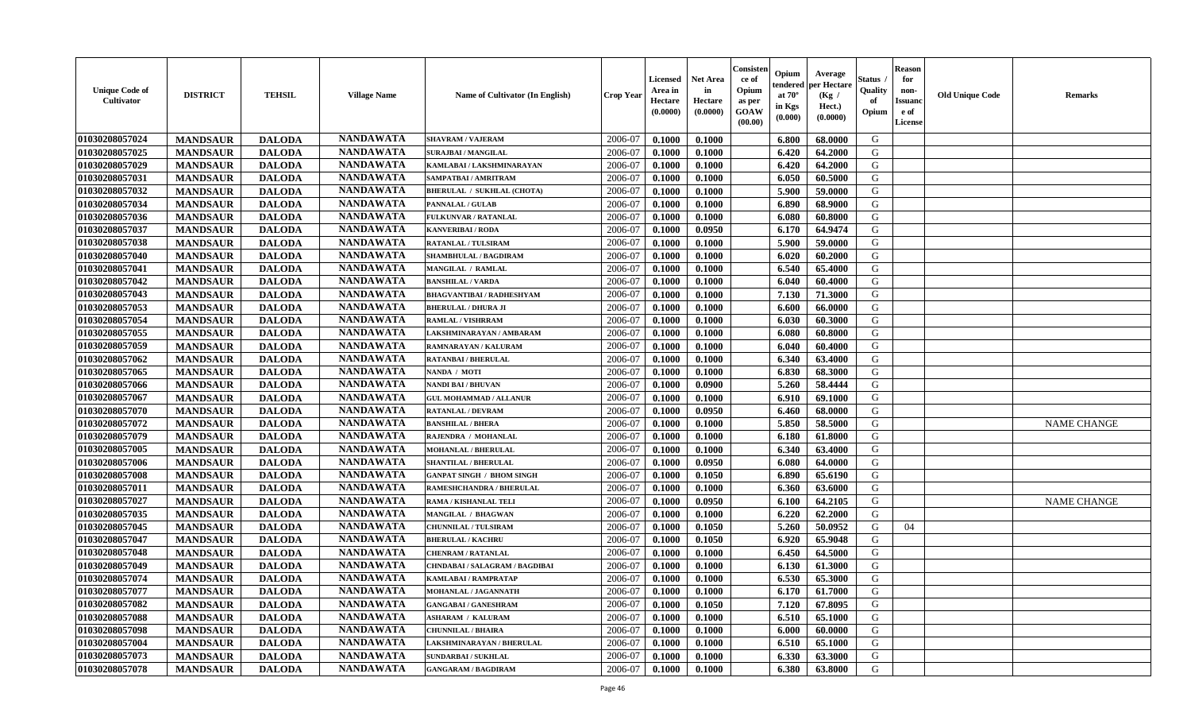| <b>Unique Code of</b><br><b>Cultivator</b> | <b>DISTRICT</b> | <b>TEHSIL</b> | <b>Village Name</b> | <b>Name of Cultivator (In English)</b> | <b>Crop Year</b> | <b>Licensed</b><br>Area in<br>Hectare<br>(0.0000) | <b>Net Area</b><br>in<br>Hectare<br>(0.0000) | Consister<br>ce of<br>Opium<br>as per<br><b>GOAW</b><br>(00.00) | Opium<br>endered<br>at $70^{\circ}$<br>in Kgs<br>(0.000) | Average<br>per Hectare<br>(Kg /<br>Hect.)<br>(0.0000) | <b>Status</b><br>Quality<br>of<br>Opium | <b>Reason</b><br>for<br>non-<br><b>Issuand</b><br>e of<br>License | <b>Old Unique Code</b> | <b>Remarks</b>     |
|--------------------------------------------|-----------------|---------------|---------------------|----------------------------------------|------------------|---------------------------------------------------|----------------------------------------------|-----------------------------------------------------------------|----------------------------------------------------------|-------------------------------------------------------|-----------------------------------------|-------------------------------------------------------------------|------------------------|--------------------|
| 01030208057024                             | <b>MANDSAUR</b> | <b>DALODA</b> | <b>NANDAWATA</b>    | <b>SHAVRAM / VAJERAM</b>               | 2006-07          | 0.1000                                            | 0.1000                                       |                                                                 | 6.800                                                    | 68.0000                                               | G                                       |                                                                   |                        |                    |
| 01030208057025                             | <b>MANDSAUR</b> | <b>DALODA</b> | <b>NANDAWATA</b>    | <b>SURAJBAI / MANGILAL</b>             | 2006-07          | 0.1000                                            | 0.1000                                       |                                                                 | 6.420                                                    | 64.2000                                               | G                                       |                                                                   |                        |                    |
| 01030208057029                             | <b>MANDSAUR</b> | <b>DALODA</b> | <b>NANDAWATA</b>    | KAMLABAI / LAKSHMINARAYAN              | 2006-07          | 0.1000                                            | 0.1000                                       |                                                                 | 6.420                                                    | 64.2000                                               | G                                       |                                                                   |                        |                    |
| 01030208057031                             | <b>MANDSAUR</b> | <b>DALODA</b> | <b>NANDAWATA</b>    | SAMPATBAI / AMRITRAM                   | 2006-07          | 0.1000                                            | 0.1000                                       |                                                                 | 6.050                                                    | 60.5000                                               | G                                       |                                                                   |                        |                    |
| 01030208057032                             | <b>MANDSAUR</b> | <b>DALODA</b> | <b>NANDAWATA</b>    | <b>BHERULAL / SUKHLAL (CHOTA)</b>      | 2006-07          | 0.1000                                            | 0.1000                                       |                                                                 | 5.900                                                    | 59.0000                                               | G                                       |                                                                   |                        |                    |
| 01030208057034                             | <b>MANDSAUR</b> | <b>DALODA</b> | <b>NANDAWATA</b>    | PANNALAL / GULAB                       | 2006-07          | 0.1000                                            | 0.1000                                       |                                                                 | 6.890                                                    | 68.9000                                               | G                                       |                                                                   |                        |                    |
| 01030208057036                             | <b>MANDSAUR</b> | <b>DALODA</b> | <b>NANDAWATA</b>    | FULKUNVAR / RATANLAL                   | 2006-07          | 0.1000                                            | 0.1000                                       |                                                                 | 6.080                                                    | 60.8000                                               | G                                       |                                                                   |                        |                    |
| 01030208057037                             | <b>MANDSAUR</b> | <b>DALODA</b> | <b>NANDAWATA</b>    | <b>KANVERIBAI / RODA</b>               | 2006-07          | 0.1000                                            | 0.0950                                       |                                                                 | 6.170                                                    | 64.9474                                               | G                                       |                                                                   |                        |                    |
| 01030208057038                             | <b>MANDSAUR</b> | <b>DALODA</b> | <b>NANDAWATA</b>    | <b>RATANLAL / TULSIRAM</b>             | 2006-07          | 0.1000                                            | 0.1000                                       |                                                                 | 5.900                                                    | 59.0000                                               | G                                       |                                                                   |                        |                    |
| 01030208057040                             | <b>MANDSAUR</b> | <b>DALODA</b> | <b>NANDAWATA</b>    | <b>SHAMBHULAL / BAGDIRAM</b>           | 2006-07          | 0.1000                                            | 0.1000                                       |                                                                 | 6.020                                                    | 60.2000                                               | G                                       |                                                                   |                        |                    |
| 01030208057041                             | <b>MANDSAUR</b> | <b>DALODA</b> | <b>NANDAWATA</b>    | MANGILAL / RAMLAL                      | 2006-07          | 0.1000                                            | 0.1000                                       |                                                                 | 6.540                                                    | 65.4000                                               | G                                       |                                                                   |                        |                    |
| 01030208057042                             | <b>MANDSAUR</b> | <b>DALODA</b> | <b>NANDAWATA</b>    | <b>BANSHILAL / VARDA</b>               | 2006-07          | 0.1000                                            | 0.1000                                       |                                                                 | 6.040                                                    | 60.4000                                               | G                                       |                                                                   |                        |                    |
| 01030208057043                             | <b>MANDSAUR</b> | <b>DALODA</b> | <b>NANDAWATA</b>    | <b>BHAGVANTIBAI / RADHESHYAM</b>       | 2006-07          | 0.1000                                            | 0.1000                                       |                                                                 | 7.130                                                    | 71.3000                                               | G                                       |                                                                   |                        |                    |
| 01030208057053                             | <b>MANDSAUR</b> | <b>DALODA</b> | <b>NANDAWATA</b>    | <b>BHERULAL / DHURA JI</b>             | 2006-07          | 0.1000                                            | 0.1000                                       |                                                                 | 6.600                                                    | 66.0000                                               | G                                       |                                                                   |                        |                    |
| 01030208057054                             | <b>MANDSAUR</b> | <b>DALODA</b> | <b>NANDAWATA</b>    | <b>RAMLAL / VISHRRAM</b>               | 2006-07          | 0.1000                                            | 0.1000                                       |                                                                 | 6.030                                                    | 60.3000                                               | G                                       |                                                                   |                        |                    |
| 01030208057055                             | <b>MANDSAUR</b> | <b>DALODA</b> | <b>NANDAWATA</b>    | LAKSHMINARAYAN / AMBARAM               | 2006-07          | 0.1000                                            | 0.1000                                       |                                                                 | 6.080                                                    | 60.8000                                               | G                                       |                                                                   |                        |                    |
| 01030208057059                             | <b>MANDSAUR</b> | <b>DALODA</b> | <b>NANDAWATA</b>    | RAMNARAYAN / KALURAM                   | 2006-07          | 0.1000                                            | 0.1000                                       |                                                                 | 6.040                                                    | 60.4000                                               | G                                       |                                                                   |                        |                    |
| 01030208057062                             | <b>MANDSAUR</b> | <b>DALODA</b> | <b>NANDAWATA</b>    | <b>RATANBAI/BHERULAL</b>               | 2006-07          | 0.1000                                            | 0.1000                                       |                                                                 | 6.340                                                    | 63.4000                                               | G                                       |                                                                   |                        |                    |
| 01030208057065                             | <b>MANDSAUR</b> | <b>DALODA</b> | <b>NANDAWATA</b>    | NANDA / MOTI                           | 2006-07          | 0.1000                                            | 0.1000                                       |                                                                 | 6.830                                                    | 68.3000                                               | G                                       |                                                                   |                        |                    |
| 01030208057066                             | <b>MANDSAUR</b> | <b>DALODA</b> | <b>NANDAWATA</b>    | NANDI BAI / BHUVAN                     | 2006-07          | 0.1000                                            | 0.0900                                       |                                                                 | 5.260                                                    | 58.4444                                               | G                                       |                                                                   |                        |                    |
| 01030208057067                             | <b>MANDSAUR</b> | <b>DALODA</b> | <b>NANDAWATA</b>    | <b>GUL MOHAMMAD / ALLANUR</b>          | 2006-07          | 0.1000                                            | 0.1000                                       |                                                                 | 6.910                                                    | 69.1000                                               | G                                       |                                                                   |                        |                    |
| 01030208057070                             | <b>MANDSAUR</b> | <b>DALODA</b> | <b>NANDAWATA</b>    | RATANLAL / DEVRAM                      | 2006-07          | 0.1000                                            | 0.0950                                       |                                                                 | 6.460                                                    | 68.0000                                               | G                                       |                                                                   |                        |                    |
| 01030208057072                             | <b>MANDSAUR</b> | <b>DALODA</b> | <b>NANDAWATA</b>    | <b>BANSHILAL / BHERA</b>               | 2006-07          | 0.1000                                            | 0.1000                                       |                                                                 | 5.850                                                    | 58.5000                                               | G                                       |                                                                   |                        | <b>NAME CHANGE</b> |
| 01030208057079                             | <b>MANDSAUR</b> | <b>DALODA</b> | <b>NANDAWATA</b>    | RAJENDRA / MOHANLAL                    | 2006-07          | 0.1000                                            | 0.1000                                       |                                                                 | 6.180                                                    | 61.8000                                               | G                                       |                                                                   |                        |                    |
| 01030208057005                             | <b>MANDSAUR</b> | <b>DALODA</b> | <b>NANDAWATA</b>    | <b>MOHANLAL / BHERULAL</b>             | 2006-07          | 0.1000                                            | 0.1000                                       |                                                                 | 6.340                                                    | 63.4000                                               | G                                       |                                                                   |                        |                    |
| 01030208057006                             | <b>MANDSAUR</b> | <b>DALODA</b> | <b>NANDAWATA</b>    | <b>SHANTILAL / BHERULAL</b>            | 2006-07          | 0.1000                                            | 0.0950                                       |                                                                 | 6.080                                                    | 64.0000                                               | G                                       |                                                                   |                        |                    |
| 01030208057008                             | <b>MANDSAUR</b> | <b>DALODA</b> | <b>NANDAWATA</b>    | <b>GANPAT SINGH / BHOM SINGH</b>       | 2006-07          | 0.1000                                            | 0.1050                                       |                                                                 | 6.890                                                    | 65.6190                                               | G                                       |                                                                   |                        |                    |
| 01030208057011                             | <b>MANDSAUR</b> | <b>DALODA</b> | <b>NANDAWATA</b>    | RAMESHCHANDRA / BHERULAL               | 2006-07          | 0.1000                                            | 0.1000                                       |                                                                 | 6.360                                                    | 63.6000                                               | G                                       |                                                                   |                        |                    |
| 01030208057027                             | <b>MANDSAUR</b> | <b>DALODA</b> | <b>NANDAWATA</b>    | <b>RAMA / KISHANLAL TELI</b>           | 2006-07          | 0.1000                                            | 0.0950                                       |                                                                 | 6.100                                                    | 64.2105                                               | G                                       |                                                                   |                        | <b>NAME CHANGE</b> |
| 01030208057035                             | <b>MANDSAUR</b> | <b>DALODA</b> | <b>NANDAWATA</b>    | MANGILAL / BHAGWAN                     | 2006-07          | 0.1000                                            | 0.1000                                       |                                                                 | 6.220                                                    | 62.2000                                               | G                                       |                                                                   |                        |                    |
| 01030208057045                             | <b>MANDSAUR</b> | <b>DALODA</b> | <b>NANDAWATA</b>    | <b>CHUNNILAL / TULSIRAM</b>            | 2006-07          | 0.1000                                            | 0.1050                                       |                                                                 | 5.260                                                    | 50.0952                                               | G                                       | 04                                                                |                        |                    |
| 01030208057047                             | <b>MANDSAUR</b> | <b>DALODA</b> | <b>NANDAWATA</b>    | <b>BHERULAL / KACHRU</b>               | 2006-07          | 0.1000                                            | 0.1050                                       |                                                                 | 6.920                                                    | 65.9048                                               | G                                       |                                                                   |                        |                    |
| 01030208057048                             | <b>MANDSAUR</b> | <b>DALODA</b> | <b>NANDAWATA</b>    | <b>CHENRAM / RATANLAL</b>              | 2006-07          | 0.1000                                            | 0.1000                                       |                                                                 | 6.450                                                    | 64.5000                                               | G                                       |                                                                   |                        |                    |
| 01030208057049                             | <b>MANDSAUR</b> | <b>DALODA</b> | <b>NANDAWATA</b>    | <b>CHNDABAI/SALAGRAM/BAGDIBAI</b>      | 2006-07          | 0.1000                                            | 0.1000                                       |                                                                 | 6.130                                                    | 61.3000                                               | G                                       |                                                                   |                        |                    |
| 01030208057074                             | <b>MANDSAUR</b> | <b>DALODA</b> | <b>NANDAWATA</b>    | <b>KAMLABAI/RAMPRATAP</b>              | 2006-07          | 0.1000                                            | 0.1000                                       |                                                                 | 6.530                                                    | 65.3000                                               | G                                       |                                                                   |                        |                    |
| 01030208057077                             | <b>MANDSAUR</b> | <b>DALODA</b> | <b>NANDAWATA</b>    | MOHANLAL / JAGANNATH                   | 2006-07          | 0.1000                                            | 0.1000                                       |                                                                 |                                                          | $6.170 \pm 61.7000$                                   | G                                       |                                                                   |                        |                    |
| 01030208057082                             | <b>MANDSAUR</b> | <b>DALODA</b> | <b>NANDAWATA</b>    | <b>GANGABAI/GANESHRAM</b>              | 2006-07          | 0.1000                                            | 0.1050                                       |                                                                 | 7.120                                                    | 67.8095                                               | G                                       |                                                                   |                        |                    |
| 01030208057088                             | <b>MANDSAUR</b> | <b>DALODA</b> | <b>NANDAWATA</b>    | <b>ASHARAM / KALURAM</b>               | 2006-07          | 0.1000                                            | 0.1000                                       |                                                                 | 6.510                                                    | 65.1000                                               | G                                       |                                                                   |                        |                    |
| 01030208057098                             | <b>MANDSAUR</b> | <b>DALODA</b> | <b>NANDAWATA</b>    | <b>CHUNNILAL / BHAIRA</b>              | 2006-07          | 0.1000                                            | 0.1000                                       |                                                                 | 6.000                                                    | 60.0000                                               | G                                       |                                                                   |                        |                    |
| 01030208057004                             | <b>MANDSAUR</b> | <b>DALODA</b> | <b>NANDAWATA</b>    | LAKSHMINARAYAN / BHERULAL              | 2006-07          | 0.1000                                            | 0.1000                                       |                                                                 | 6.510                                                    | 65.1000                                               | G                                       |                                                                   |                        |                    |
| 01030208057073                             | <b>MANDSAUR</b> | <b>DALODA</b> | <b>NANDAWATA</b>    | <b>SUNDARBAI/SUKHLAL</b>               | 2006-07          | 0.1000                                            | 0.1000                                       |                                                                 | 6.330                                                    | 63.3000                                               | G                                       |                                                                   |                        |                    |
| 01030208057078                             | <b>MANDSAUR</b> | <b>DALODA</b> | <b>NANDAWATA</b>    | <b>GANGARAM / BAGDIRAM</b>             | 2006-07          | 0.1000                                            | 0.1000                                       |                                                                 | 6.380                                                    | 63.8000                                               | G                                       |                                                                   |                        |                    |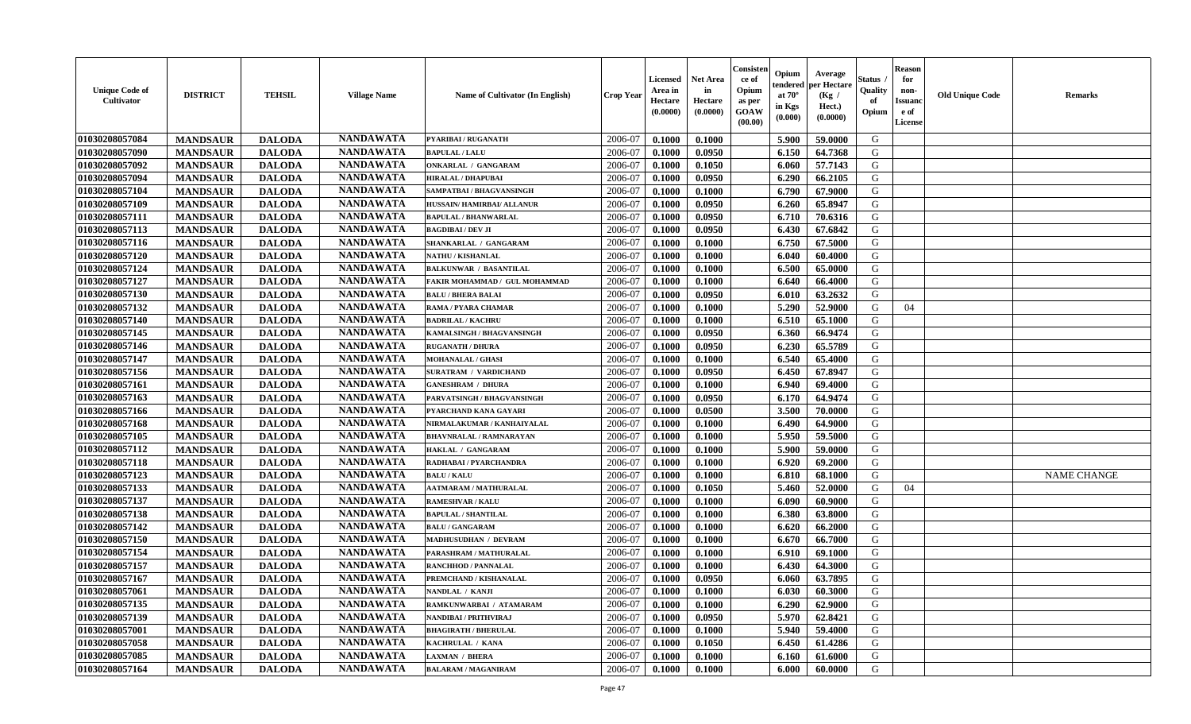| <b>NANDAWATA</b><br>01030208057084<br>2006-07<br><b>MANDSAUR</b><br>5.900<br>G<br><b>DALODA</b><br>PYARIBAI / RUGANATH<br>0.1000<br>0.1000<br>59.0000<br>01030208057090<br><b>NANDAWATA</b><br>G<br>2006-07<br>0.0950<br>6.150<br>64.7368<br><b>MANDSAUR</b><br><b>DALODA</b><br>0.1000<br><b>BAPULAL / LALU</b><br><b>NANDAWATA</b><br>01030208057092<br><b>MANDSAUR</b><br><b>DALODA</b><br>6.060<br>57.7143<br>G<br>2006-07<br>0.1000<br>0.1050<br><b>ONKARLAL / GANGARAM</b><br><b>NANDAWATA</b><br><b>MANDSAUR</b><br>G<br>01030208057094<br><b>DALODA</b><br><b>HIRALAL / DHAPUBAI</b><br>2006-07<br>0.1000<br>0.0950<br>6.290<br>66.2105<br><b>NANDAWATA</b><br>6.790<br>G<br>01030208057104<br><b>MANDSAUR</b><br><b>DALODA</b><br>2006-07<br>0.1000<br>0.1000<br>67.9000<br>SAMPATBAI / BHAGVANSINGH<br><b>NANDAWATA</b><br>01030208057109<br><b>MANDSAUR</b><br><b>DALODA</b><br>0.0950<br>G<br>2006-07<br>0.1000<br>6.260<br>65.8947<br>HUSSAIN/HAMIRBAI/ ALLANUR<br><b>NANDAWATA</b><br>01030208057111<br><b>MANDSAUR</b><br><b>DALODA</b><br>2006-07<br>0.0950<br>6.710<br>G<br>0.1000<br>70.6316<br><b>BAPULAL / BHANWARLAL</b><br><b>NANDAWATA</b><br>01030208057113<br>G<br><b>MANDSAUR</b><br><b>DALODA</b><br>2006-07<br>6.430<br>67.6842<br><b>BAGDIBAI / DEV JI</b><br>0.1000<br>0.0950<br>01030208057116<br><b>NANDAWATA</b><br><b>MANDSAUR</b><br><b>DALODA</b><br>2006-07<br>0.1000<br>6.750<br>67.5000<br>G<br>SHANKARLAL / GANGARAM<br>0.1000<br><b>NANDAWATA</b><br>G<br>01030208057120<br>2006-07<br><b>MANDSAUR</b><br><b>DALODA</b><br>0.1000<br>0.1000<br>6.040<br><b>NATHU / KISHANLAL</b><br>60.4000<br><b>NANDAWATA</b><br>G<br>6.500<br>01030208057124<br><b>MANDSAUR</b><br><b>DALODA</b><br>2006-07<br>0.1000<br>0.1000<br>65.0000<br><b>BALKUNWAR / BASANTILAL</b> | <b>Remarks</b> |
|---------------------------------------------------------------------------------------------------------------------------------------------------------------------------------------------------------------------------------------------------------------------------------------------------------------------------------------------------------------------------------------------------------------------------------------------------------------------------------------------------------------------------------------------------------------------------------------------------------------------------------------------------------------------------------------------------------------------------------------------------------------------------------------------------------------------------------------------------------------------------------------------------------------------------------------------------------------------------------------------------------------------------------------------------------------------------------------------------------------------------------------------------------------------------------------------------------------------------------------------------------------------------------------------------------------------------------------------------------------------------------------------------------------------------------------------------------------------------------------------------------------------------------------------------------------------------------------------------------------------------------------------------------------------------------------------------------------------------------------------------------------------------------------------------------|----------------|
|                                                                                                                                                                                                                                                                                                                                                                                                                                                                                                                                                                                                                                                                                                                                                                                                                                                                                                                                                                                                                                                                                                                                                                                                                                                                                                                                                                                                                                                                                                                                                                                                                                                                                                                                                                                                         |                |
|                                                                                                                                                                                                                                                                                                                                                                                                                                                                                                                                                                                                                                                                                                                                                                                                                                                                                                                                                                                                                                                                                                                                                                                                                                                                                                                                                                                                                                                                                                                                                                                                                                                                                                                                                                                                         |                |
|                                                                                                                                                                                                                                                                                                                                                                                                                                                                                                                                                                                                                                                                                                                                                                                                                                                                                                                                                                                                                                                                                                                                                                                                                                                                                                                                                                                                                                                                                                                                                                                                                                                                                                                                                                                                         |                |
|                                                                                                                                                                                                                                                                                                                                                                                                                                                                                                                                                                                                                                                                                                                                                                                                                                                                                                                                                                                                                                                                                                                                                                                                                                                                                                                                                                                                                                                                                                                                                                                                                                                                                                                                                                                                         |                |
|                                                                                                                                                                                                                                                                                                                                                                                                                                                                                                                                                                                                                                                                                                                                                                                                                                                                                                                                                                                                                                                                                                                                                                                                                                                                                                                                                                                                                                                                                                                                                                                                                                                                                                                                                                                                         |                |
|                                                                                                                                                                                                                                                                                                                                                                                                                                                                                                                                                                                                                                                                                                                                                                                                                                                                                                                                                                                                                                                                                                                                                                                                                                                                                                                                                                                                                                                                                                                                                                                                                                                                                                                                                                                                         |                |
|                                                                                                                                                                                                                                                                                                                                                                                                                                                                                                                                                                                                                                                                                                                                                                                                                                                                                                                                                                                                                                                                                                                                                                                                                                                                                                                                                                                                                                                                                                                                                                                                                                                                                                                                                                                                         |                |
|                                                                                                                                                                                                                                                                                                                                                                                                                                                                                                                                                                                                                                                                                                                                                                                                                                                                                                                                                                                                                                                                                                                                                                                                                                                                                                                                                                                                                                                                                                                                                                                                                                                                                                                                                                                                         |                |
|                                                                                                                                                                                                                                                                                                                                                                                                                                                                                                                                                                                                                                                                                                                                                                                                                                                                                                                                                                                                                                                                                                                                                                                                                                                                                                                                                                                                                                                                                                                                                                                                                                                                                                                                                                                                         |                |
|                                                                                                                                                                                                                                                                                                                                                                                                                                                                                                                                                                                                                                                                                                                                                                                                                                                                                                                                                                                                                                                                                                                                                                                                                                                                                                                                                                                                                                                                                                                                                                                                                                                                                                                                                                                                         |                |
|                                                                                                                                                                                                                                                                                                                                                                                                                                                                                                                                                                                                                                                                                                                                                                                                                                                                                                                                                                                                                                                                                                                                                                                                                                                                                                                                                                                                                                                                                                                                                                                                                                                                                                                                                                                                         |                |
| <b>NANDAWATA</b><br>01030208057127<br><b>MANDSAUR</b><br><b>DALODA</b><br>0.1000<br>G<br>2006-07<br>0.1000<br>6.640<br>66.4000<br>FAKIR MOHAMMAD / GUL MOHAMMAD                                                                                                                                                                                                                                                                                                                                                                                                                                                                                                                                                                                                                                                                                                                                                                                                                                                                                                                                                                                                                                                                                                                                                                                                                                                                                                                                                                                                                                                                                                                                                                                                                                         |                |
| <b>NANDAWATA</b><br>01030208057130<br><b>MANDSAUR</b><br><b>DALODA</b><br>0.0950<br>63.2632<br>G<br><b>BALU / BHERA BALAI</b><br>2006-07<br>0.1000<br>6.010                                                                                                                                                                                                                                                                                                                                                                                                                                                                                                                                                                                                                                                                                                                                                                                                                                                                                                                                                                                                                                                                                                                                                                                                                                                                                                                                                                                                                                                                                                                                                                                                                                             |                |
| <b>NANDAWATA</b><br>01030208057132<br><b>MANDSAUR</b><br><b>DALODA</b><br>5.290<br>52.9000<br>G<br>2006-07<br>0.1000<br>0.1000<br>04<br>RAMA / PYARA CHAMAR                                                                                                                                                                                                                                                                                                                                                                                                                                                                                                                                                                                                                                                                                                                                                                                                                                                                                                                                                                                                                                                                                                                                                                                                                                                                                                                                                                                                                                                                                                                                                                                                                                             |                |
| <b>NANDAWATA</b><br><b>MANDSAUR</b><br>01030208057140<br><b>DALODA</b><br><b>BADRILAL / KACHRU</b><br>2006-07<br>0.1000<br>0.1000<br>6.510<br>65.1000<br>G                                                                                                                                                                                                                                                                                                                                                                                                                                                                                                                                                                                                                                                                                                                                                                                                                                                                                                                                                                                                                                                                                                                                                                                                                                                                                                                                                                                                                                                                                                                                                                                                                                              |                |
| <b>NANDAWATA</b><br>G<br>01030208057145<br><b>MANDSAUR</b><br><b>DALODA</b><br>2006-07<br>0.1000<br>0.0950<br>6.360<br>66.9474<br>KAMALSINGH / BHAGVANSINGH                                                                                                                                                                                                                                                                                                                                                                                                                                                                                                                                                                                                                                                                                                                                                                                                                                                                                                                                                                                                                                                                                                                                                                                                                                                                                                                                                                                                                                                                                                                                                                                                                                             |                |
| <b>NANDAWATA</b><br>01030208057146<br><b>MANDSAUR</b><br>65.5789<br>G<br><b>DALODA</b><br>2006-07<br>6.230<br><b>RUGANATH / DHURA</b><br>0.1000<br>0.0950                                                                                                                                                                                                                                                                                                                                                                                                                                                                                                                                                                                                                                                                                                                                                                                                                                                                                                                                                                                                                                                                                                                                                                                                                                                                                                                                                                                                                                                                                                                                                                                                                                               |                |
| <b>NANDAWATA</b><br>G<br>01030208057147<br>2006-07<br><b>MANDSAUR</b><br><b>DALODA</b><br>6.540<br>65.4000<br><b>MOHANALAL / GHASI</b><br>0.1000<br>0.1000                                                                                                                                                                                                                                                                                                                                                                                                                                                                                                                                                                                                                                                                                                                                                                                                                                                                                                                                                                                                                                                                                                                                                                                                                                                                                                                                                                                                                                                                                                                                                                                                                                              |                |
| <b>NANDAWATA</b><br>01030208057156<br><b>MANDSAUR</b><br><b>DALODA</b><br>6.450<br>67.8947<br>G<br>2006-07<br>0.1000<br>0.0950<br>SURATRAM / VARDICHAND                                                                                                                                                                                                                                                                                                                                                                                                                                                                                                                                                                                                                                                                                                                                                                                                                                                                                                                                                                                                                                                                                                                                                                                                                                                                                                                                                                                                                                                                                                                                                                                                                                                 |                |
| <b>NANDAWATA</b><br>01030208057161<br><b>MANDSAUR</b><br><b>DALODA</b><br>6.940<br>G<br>2006-07<br>0.1000<br>0.1000<br>69.4000<br><b>GANESHRAM / DHURA</b>                                                                                                                                                                                                                                                                                                                                                                                                                                                                                                                                                                                                                                                                                                                                                                                                                                                                                                                                                                                                                                                                                                                                                                                                                                                                                                                                                                                                                                                                                                                                                                                                                                              |                |
| <b>NANDAWATA</b><br>G<br>01030208057163<br><b>MANDSAUR</b><br><b>DALODA</b><br>2006-07<br>0.1000<br>0.0950<br>6.170<br>64.9474<br>PARVATSINGH / BHAGVANSINGH                                                                                                                                                                                                                                                                                                                                                                                                                                                                                                                                                                                                                                                                                                                                                                                                                                                                                                                                                                                                                                                                                                                                                                                                                                                                                                                                                                                                                                                                                                                                                                                                                                            |                |
| <b>NANDAWATA</b><br>3.500<br>G<br>01030208057166<br><b>MANDSAUR</b><br><b>DALODA</b><br>2006-07<br>0.1000<br>0.0500<br>70.0000<br>PYARCHAND KANA GAYARI                                                                                                                                                                                                                                                                                                                                                                                                                                                                                                                                                                                                                                                                                                                                                                                                                                                                                                                                                                                                                                                                                                                                                                                                                                                                                                                                                                                                                                                                                                                                                                                                                                                 |                |
| <b>NANDAWATA</b><br><b>MANDSAUR</b><br>01030208057168<br><b>DALODA</b><br>0.1000<br>64.9000<br>G<br>NIRMALAKUMAR / KANHAIYALAL<br>2006-07<br>0.1000<br>6.490                                                                                                                                                                                                                                                                                                                                                                                                                                                                                                                                                                                                                                                                                                                                                                                                                                                                                                                                                                                                                                                                                                                                                                                                                                                                                                                                                                                                                                                                                                                                                                                                                                            |                |
| <b>NANDAWATA</b><br>01030208057105<br>G<br><b>MANDSAUR</b><br><b>DALODA</b><br>2006-07<br>5.950<br>59.5000<br>0.1000<br>0.1000<br><b>BHAVNRALAL / RAMNARAYAN</b>                                                                                                                                                                                                                                                                                                                                                                                                                                                                                                                                                                                                                                                                                                                                                                                                                                                                                                                                                                                                                                                                                                                                                                                                                                                                                                                                                                                                                                                                                                                                                                                                                                        |                |
| <b>NANDAWATA</b><br>01030208057112<br>5.900<br>G<br><b>MANDSAUR</b><br><b>DALODA</b><br>2006-07<br>59.0000<br>HAKLAL / GANGARAM<br>0.1000<br>0.1000                                                                                                                                                                                                                                                                                                                                                                                                                                                                                                                                                                                                                                                                                                                                                                                                                                                                                                                                                                                                                                                                                                                                                                                                                                                                                                                                                                                                                                                                                                                                                                                                                                                     |                |
| <b>NANDAWATA</b><br>01030208057118<br><b>MANDSAUR</b><br>2006-07<br>6.920<br>G<br><b>DALODA</b><br>RADHABAI / PYARCHANDRA<br>0.1000<br>0.1000<br>69.2000                                                                                                                                                                                                                                                                                                                                                                                                                                                                                                                                                                                                                                                                                                                                                                                                                                                                                                                                                                                                                                                                                                                                                                                                                                                                                                                                                                                                                                                                                                                                                                                                                                                |                |
| <b>NANDAWATA</b><br>G<br>01030208057123<br><b>MANDSAUR</b><br><b>DALODA</b><br>2006-07<br>0.1000<br>6.810<br>68.1000<br><b>NAME CHANGE</b><br><b>BALU / KALU</b><br>0.1000                                                                                                                                                                                                                                                                                                                                                                                                                                                                                                                                                                                                                                                                                                                                                                                                                                                                                                                                                                                                                                                                                                                                                                                                                                                                                                                                                                                                                                                                                                                                                                                                                              |                |
| <b>NANDAWATA</b><br>01030208057133<br><b>MANDSAUR</b><br><b>DALODA</b><br>5.460<br>52.0000<br>G<br>2006-07<br>0.1000<br>0.1050<br>04<br><b>AATMARAM / MATHURALAL</b>                                                                                                                                                                                                                                                                                                                                                                                                                                                                                                                                                                                                                                                                                                                                                                                                                                                                                                                                                                                                                                                                                                                                                                                                                                                                                                                                                                                                                                                                                                                                                                                                                                    |                |
| <b>NANDAWATA</b><br><b>MANDSAUR</b><br>01030208057137<br><b>DALODA</b><br>60.9000<br>G<br><b>RAMESHVAR / KALU</b><br>2006-07<br>0.1000<br>0.1000<br>6.090                                                                                                                                                                                                                                                                                                                                                                                                                                                                                                                                                                                                                                                                                                                                                                                                                                                                                                                                                                                                                                                                                                                                                                                                                                                                                                                                                                                                                                                                                                                                                                                                                                               |                |
| <b>NANDAWATA</b><br>01030208057138<br><b>MANDSAUR</b><br><b>DALODA</b><br>6.380<br>G<br><b>BAPULAL / SHANTILAL</b><br>2006-07<br>0.1000<br>0.1000<br>63.8000                                                                                                                                                                                                                                                                                                                                                                                                                                                                                                                                                                                                                                                                                                                                                                                                                                                                                                                                                                                                                                                                                                                                                                                                                                                                                                                                                                                                                                                                                                                                                                                                                                            |                |
| <b>NANDAWATA</b><br>01030208057142<br><b>MANDSAUR</b><br><b>DALODA</b><br>G<br><b>BALU / GANGARAM</b><br>2006-07<br>0.1000<br>0.1000<br>6.620<br>66.2000                                                                                                                                                                                                                                                                                                                                                                                                                                                                                                                                                                                                                                                                                                                                                                                                                                                                                                                                                                                                                                                                                                                                                                                                                                                                                                                                                                                                                                                                                                                                                                                                                                                |                |
| <b>NANDAWATA</b><br>G<br>01030208057150<br><b>MANDSAUR</b><br>2006-07<br><b>DALODA</b><br>0.1000<br>0.1000<br>6.670<br>66.7000<br>MADHUSUDHAN / DEVRAM                                                                                                                                                                                                                                                                                                                                                                                                                                                                                                                                                                                                                                                                                                                                                                                                                                                                                                                                                                                                                                                                                                                                                                                                                                                                                                                                                                                                                                                                                                                                                                                                                                                  |                |
| <b>NANDAWATA</b><br>G<br>01030208057154<br>2006-07<br><b>MANDSAUR</b><br><b>DALODA</b><br>0.1000<br>6.910<br>PARASHRAM / MATHURALAL<br>0.1000<br>69.1000                                                                                                                                                                                                                                                                                                                                                                                                                                                                                                                                                                                                                                                                                                                                                                                                                                                                                                                                                                                                                                                                                                                                                                                                                                                                                                                                                                                                                                                                                                                                                                                                                                                |                |
| <b>NANDAWATA</b><br>G<br>01030208057157<br><b>MANDSAUR</b><br>2006-07<br><b>DALODA</b><br>0.1000<br>0.1000<br>6.430<br>64.3000<br>RANCHHOD / PANNALAL                                                                                                                                                                                                                                                                                                                                                                                                                                                                                                                                                                                                                                                                                                                                                                                                                                                                                                                                                                                                                                                                                                                                                                                                                                                                                                                                                                                                                                                                                                                                                                                                                                                   |                |
| <b>NANDAWATA</b><br>0.0950<br>63.7895<br>G<br><b>MANDSAUR</b><br><b>DALODA</b><br>2006-07<br>0.1000<br>6.060<br>01030208057167<br>PREMCHAND / KISHANALAL                                                                                                                                                                                                                                                                                                                                                                                                                                                                                                                                                                                                                                                                                                                                                                                                                                                                                                                                                                                                                                                                                                                                                                                                                                                                                                                                                                                                                                                                                                                                                                                                                                                |                |
| <b>NANDAWATA</b><br>01030208057061<br><b>MANDSAUR</b><br><b>DALODA</b><br>2006-07<br>0.1000<br>0.1000<br>6.030<br>60.3000<br>G<br>NANDLAL / KANJI                                                                                                                                                                                                                                                                                                                                                                                                                                                                                                                                                                                                                                                                                                                                                                                                                                                                                                                                                                                                                                                                                                                                                                                                                                                                                                                                                                                                                                                                                                                                                                                                                                                       |                |
| <b>NANDAWATA</b><br>01030208057135<br>6.290<br>G<br><b>MANDSAUR</b><br><b>DALODA</b><br>RAMKUNWARBAI / ATAMARAM<br>2006-07<br>0.1000<br>0.1000<br>62.9000                                                                                                                                                                                                                                                                                                                                                                                                                                                                                                                                                                                                                                                                                                                                                                                                                                                                                                                                                                                                                                                                                                                                                                                                                                                                                                                                                                                                                                                                                                                                                                                                                                               |                |
| <b>NANDAWATA</b><br>0.0950<br>01030208057139<br><b>MANDSAUR</b><br><b>DALODA</b><br>2006-07<br>5.970<br>62.8421<br>G<br><b>NANDIBAI / PRITHVIRAJ</b><br>0.1000                                                                                                                                                                                                                                                                                                                                                                                                                                                                                                                                                                                                                                                                                                                                                                                                                                                                                                                                                                                                                                                                                                                                                                                                                                                                                                                                                                                                                                                                                                                                                                                                                                          |                |
| <b>NANDAWATA</b><br>01030208057001<br><b>MANDSAUR</b><br><b>DALODA</b><br>G<br>2006-07<br>0.1000<br>0.1000<br>5.940<br>59.4000<br><b>BHAGIRATH / BHERULAL</b>                                                                                                                                                                                                                                                                                                                                                                                                                                                                                                                                                                                                                                                                                                                                                                                                                                                                                                                                                                                                                                                                                                                                                                                                                                                                                                                                                                                                                                                                                                                                                                                                                                           |                |
| 01030208057058<br><b>MANDSAUR</b><br><b>NANDAWATA</b><br>G<br><b>DALODA</b><br>2006-07<br>0.1000<br>0.1050<br>6.450<br>61.4286<br>KACHRULAL / KANA                                                                                                                                                                                                                                                                                                                                                                                                                                                                                                                                                                                                                                                                                                                                                                                                                                                                                                                                                                                                                                                                                                                                                                                                                                                                                                                                                                                                                                                                                                                                                                                                                                                      |                |
| 01030208057085<br><b>NANDAWATA</b><br>G<br><b>MANDSAUR</b><br>2006-07<br><b>DALODA</b><br><b>LAXMAN / BHERA</b><br>0.1000<br>0.1000<br>61.6000<br>6.160                                                                                                                                                                                                                                                                                                                                                                                                                                                                                                                                                                                                                                                                                                                                                                                                                                                                                                                                                                                                                                                                                                                                                                                                                                                                                                                                                                                                                                                                                                                                                                                                                                                 |                |
| 01030208057164<br><b>NANDAWATA</b><br>G<br><b>MANDSAUR</b><br>2006-07<br><b>DALODA</b><br>0.1000<br>0.1000<br>6.000<br>60.0000<br><b>BALARAM / MAGANIRAM</b>                                                                                                                                                                                                                                                                                                                                                                                                                                                                                                                                                                                                                                                                                                                                                                                                                                                                                                                                                                                                                                                                                                                                                                                                                                                                                                                                                                                                                                                                                                                                                                                                                                            |                |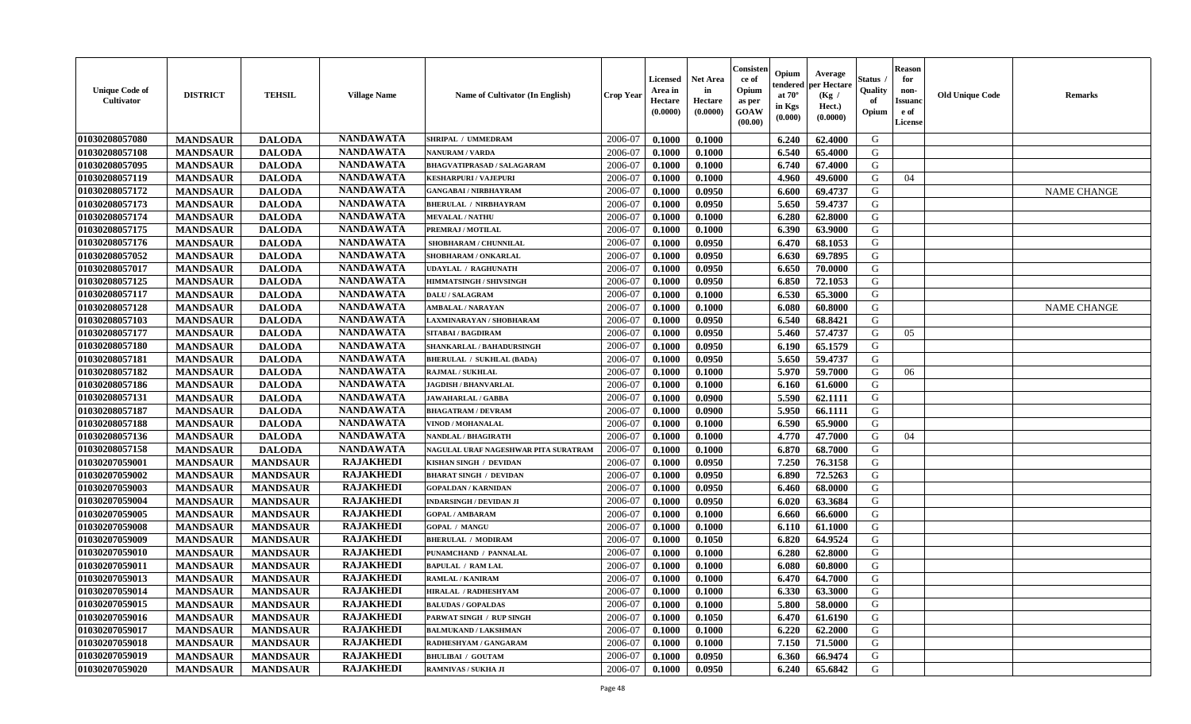| <b>Unique Code of</b><br><b>Cultivator</b> | <b>DISTRICT</b> | <b>TEHSIL</b>   | <b>Village Name</b> | Name of Cultivator (In English)      | <b>Crop Year</b> | <b>Licensed</b><br>Area in<br>Hectare<br>(0.0000) | Net Area<br>in<br>Hectare<br>(0.0000) | Consisteı<br>ce of<br>Opium<br>as per<br>GOAW<br>(00.00) | Opium<br>endered<br>at $70^\circ$<br>in Kgs<br>(0.000) | Average<br>oer Hectare<br>(Kg /<br>Hect.)<br>(0.0000) | Status<br>Quality<br>of<br>Opium | <b>Reason</b><br>for<br>non-<br>Issuano<br>e of<br>License | <b>Old Unique Code</b> | Remarks            |
|--------------------------------------------|-----------------|-----------------|---------------------|--------------------------------------|------------------|---------------------------------------------------|---------------------------------------|----------------------------------------------------------|--------------------------------------------------------|-------------------------------------------------------|----------------------------------|------------------------------------------------------------|------------------------|--------------------|
| 01030208057080                             | <b>MANDSAUR</b> | <b>DALODA</b>   | <b>NANDAWATA</b>    | SHRIPAL / UMMEDRAM                   | 2006-07          | 0.1000                                            | 0.1000                                |                                                          | 6.240                                                  | 62.4000                                               | G                                |                                                            |                        |                    |
| 01030208057108                             | <b>MANDSAUR</b> | <b>DALODA</b>   | <b>NANDAWATA</b>    | <b>NANURAM / VARDA</b>               | 2006-07          | 0.1000                                            | 0.1000                                |                                                          | 6.540                                                  | 65.4000                                               | G                                |                                                            |                        |                    |
| 01030208057095                             | <b>MANDSAUR</b> | <b>DALODA</b>   | <b>NANDAWATA</b>    | <b>BHAGVATIPRASAD / SALAGARAM</b>    | 2006-07          | 0.1000                                            | 0.1000                                |                                                          | 6.740                                                  | 67.4000                                               | G                                |                                                            |                        |                    |
| 01030208057119                             | <b>MANDSAUR</b> | <b>DALODA</b>   | <b>NANDAWATA</b>    | <b>KESHARPURI / VAJEPURI</b>         | 2006-07          | 0.1000                                            | 0.1000                                |                                                          | 4.960                                                  | 49.6000                                               | G                                | 04                                                         |                        |                    |
| 01030208057172                             | <b>MANDSAUR</b> | <b>DALODA</b>   | <b>NANDAWATA</b>    | <b>GANGABAI / NIRBHAYRAM</b>         | 2006-07          | 0.1000                                            | 0.0950                                |                                                          | 6.600                                                  | 69.4737                                               | G                                |                                                            |                        | <b>NAME CHANGE</b> |
| 01030208057173                             | <b>MANDSAUR</b> | <b>DALODA</b>   | <b>NANDAWATA</b>    | <b>BHERULAL / NIRBHAYRAM</b>         | 2006-07          | 0.1000                                            | 0.0950                                |                                                          | 5.650                                                  | 59.4737                                               | G                                |                                                            |                        |                    |
| 01030208057174                             | <b>MANDSAUR</b> | <b>DALODA</b>   | <b>NANDAWATA</b>    | <b>MEVALAL / NATHU</b>               | 2006-07          | 0.1000                                            | 0.1000                                |                                                          | 6.280                                                  | 62.8000                                               | G                                |                                                            |                        |                    |
| 01030208057175                             | <b>MANDSAUR</b> | <b>DALODA</b>   | <b>NANDAWATA</b>    | PREMRAJ / MOTILAL                    | 2006-07          | 0.1000                                            | 0.1000                                |                                                          | 6.390                                                  | 63.9000                                               | G                                |                                                            |                        |                    |
| 01030208057176                             | <b>MANDSAUR</b> | <b>DALODA</b>   | <b>NANDAWATA</b>    | SHOBHARAM / CHUNNILAL                | 2006-07          | 0.1000                                            | 0.0950                                |                                                          | 6.470                                                  | 68.1053                                               | G                                |                                                            |                        |                    |
| 01030208057052                             | <b>MANDSAUR</b> | <b>DALODA</b>   | <b>NANDAWATA</b>    | SHOBHARAM / ONKARLAL                 | 2006-07          | 0.1000                                            | 0.0950                                |                                                          | 6.630                                                  | 69.7895                                               | G                                |                                                            |                        |                    |
| 01030208057017                             | <b>MANDSAUR</b> | <b>DALODA</b>   | <b>NANDAWATA</b>    | <b>UDAYLAL / RAGHUNATH</b>           | 2006-07          | 0.1000                                            | 0.0950                                |                                                          | 6.650                                                  | 70.0000                                               | G                                |                                                            |                        |                    |
| 01030208057125                             | <b>MANDSAUR</b> | <b>DALODA</b>   | <b>NANDAWATA</b>    | <b>HIMMATSINGH / SHIVSINGH</b>       | 2006-07          | 0.1000                                            | 0.0950                                |                                                          | 6.850                                                  | 72.1053                                               | G                                |                                                            |                        |                    |
| 01030208057117                             | <b>MANDSAUR</b> | <b>DALODA</b>   | <b>NANDAWATA</b>    | <b>DALU / SALAGRAM</b>               | 2006-07          | 0.1000                                            | 0.1000                                |                                                          | 6.530                                                  | 65.3000                                               | G                                |                                                            |                        |                    |
| 01030208057128                             | <b>MANDSAUR</b> | <b>DALODA</b>   | <b>NANDAWATA</b>    | <b>AMBALAL / NARAYAN</b>             | 2006-07          | 0.1000                                            | 0.1000                                |                                                          | 6.080                                                  | 60.8000                                               | G                                |                                                            |                        | <b>NAME CHANGE</b> |
| 01030208057103                             | <b>MANDSAUR</b> | <b>DALODA</b>   | <b>NANDAWATA</b>    | AXMINARAYAN / SHOBHARAM              | 2006-07          | 0.1000                                            | 0.0950                                |                                                          | 6.540                                                  | 68.8421                                               | $\mathbf G$                      |                                                            |                        |                    |
| 01030208057177                             | <b>MANDSAUR</b> | <b>DALODA</b>   | <b>NANDAWATA</b>    | <b>SITABAI/BAGDIRAM</b>              | 2006-07          | 0.1000                                            | 0.0950                                |                                                          | 5.460                                                  | 57.4737                                               | G                                | 05                                                         |                        |                    |
| 01030208057180                             | <b>MANDSAUR</b> | <b>DALODA</b>   | <b>NANDAWATA</b>    | SHANKARLAL / BAHADURSINGH            | 2006-07          | 0.1000                                            | 0.0950                                |                                                          | 6.190                                                  | 65.1579                                               | G                                |                                                            |                        |                    |
| 01030208057181                             | <b>MANDSAUR</b> | <b>DALODA</b>   | <b>NANDAWATA</b>    | <b>BHERULAL / SUKHLAL (BADA)</b>     | 2006-07          | 0.1000                                            | 0.0950                                |                                                          | 5.650                                                  | 59.4737                                               | G                                |                                                            |                        |                    |
| 01030208057182                             | <b>MANDSAUR</b> | <b>DALODA</b>   | <b>NANDAWATA</b>    | <b>RAJMAL / SUKHLAL</b>              | 2006-07          | 0.1000                                            | 0.1000                                |                                                          | 5.970                                                  | 59.7000                                               | G                                | 06                                                         |                        |                    |
| 01030208057186                             | <b>MANDSAUR</b> | <b>DALODA</b>   | <b>NANDAWATA</b>    | <b>JAGDISH / BHANVARLAL</b>          | 2006-07          | 0.1000                                            | 0.1000                                |                                                          | 6.160                                                  | 61.6000                                               | G                                |                                                            |                        |                    |
| 01030208057131                             | <b>MANDSAUR</b> | <b>DALODA</b>   | <b>NANDAWATA</b>    | <b>JAWAHARLAL / GABBA</b>            | 2006-07          | 0.1000                                            | 0.0900                                |                                                          | 5.590                                                  | 62.1111                                               | G                                |                                                            |                        |                    |
| 01030208057187                             | <b>MANDSAUR</b> | <b>DALODA</b>   | <b>NANDAWATA</b>    | <b>BHAGATRAM / DEVRAM</b>            | 2006-07          | 0.1000                                            | 0.0900                                |                                                          | 5.950                                                  | 66.1111                                               | G                                |                                                            |                        |                    |
| 01030208057188                             | <b>MANDSAUR</b> | <b>DALODA</b>   | <b>NANDAWATA</b>    | <b>VINOD / MOHANALAL</b>             | 2006-07          | 0.1000                                            | 0.1000                                |                                                          | 6.590                                                  | 65.9000                                               | G                                |                                                            |                        |                    |
| 01030208057136                             | <b>MANDSAUR</b> | <b>DALODA</b>   | <b>NANDAWATA</b>    | NANDLAL / BHAGIRATH                  | 2006-07          | 0.1000                                            | 0.1000                                |                                                          | 4.770                                                  | 47.7000                                               | G                                | 04                                                         |                        |                    |
| 01030208057158                             | <b>MANDSAUR</b> | <b>DALODA</b>   | <b>NANDAWATA</b>    | NAGULAL URAF NAGESHWAR PITA SURATRAM | 2006-07          | 0.1000                                            | 0.1000                                |                                                          | 6.870                                                  | 68.7000                                               | G                                |                                                            |                        |                    |
| 01030207059001                             | <b>MANDSAUR</b> | <b>MANDSAUR</b> | <b>RAJAKHEDI</b>    | KISHAN SINGH / DEVIDAN               | 2006-07          | 0.1000                                            | 0.0950                                |                                                          | 7.250                                                  | 76.3158                                               | G                                |                                                            |                        |                    |
| 01030207059002                             | <b>MANDSAUR</b> | <b>MANDSAUR</b> | <b>RAJAKHEDI</b>    | <b>BHARAT SINGH / DEVIDAN</b>        | 2006-07          | 0.1000                                            | 0.0950                                |                                                          | 6.890                                                  | 72.5263                                               | G                                |                                                            |                        |                    |
| 01030207059003                             | <b>MANDSAUR</b> | <b>MANDSAUR</b> | <b>RAJAKHEDI</b>    | <b>GOPALDAN / KARNIDAN</b>           | 2006-07          | 0.1000                                            | 0.0950                                |                                                          | 6.460                                                  | 68.0000                                               | G                                |                                                            |                        |                    |
| 01030207059004                             | <b>MANDSAUR</b> | <b>MANDSAUR</b> | <b>RAJAKHEDI</b>    | <b>INDARSINGH / DEVIDAN JI</b>       | 2006-07          | 0.1000                                            | 0.0950                                |                                                          | 6.020                                                  | 63.3684                                               | G                                |                                                            |                        |                    |
| 01030207059005                             | <b>MANDSAUR</b> | <b>MANDSAUR</b> | <b>RAJAKHEDI</b>    | <b>GOPAL / AMBARAM</b>               | 2006-07          | 0.1000                                            | 0.1000                                |                                                          | 6.660                                                  | 66.6000                                               | G                                |                                                            |                        |                    |
| 01030207059008                             | <b>MANDSAUR</b> | <b>MANDSAUR</b> | <b>RAJAKHEDI</b>    | <b>GOPAL / MANGU</b>                 | 2006-07          | 0.1000                                            | 0.1000                                |                                                          | 6.110                                                  | 61.1000                                               | G                                |                                                            |                        |                    |
| 01030207059009                             | <b>MANDSAUR</b> | <b>MANDSAUR</b> | <b>RAJAKHEDI</b>    | <b>BHERULAL / MODIRAM</b>            | 2006-07          | 0.1000                                            | 0.1050                                |                                                          | 6.820                                                  | 64.9524                                               | G                                |                                                            |                        |                    |
| 01030207059010                             | <b>MANDSAUR</b> | <b>MANDSAUR</b> | <b>RAJAKHEDI</b>    | PUNAMCHAND / PANNALAL                | 2006-07          | 0.1000                                            | 0.1000                                |                                                          | 6.280                                                  | 62.8000                                               | G                                |                                                            |                        |                    |
| 01030207059011                             | <b>MANDSAUR</b> | <b>MANDSAUR</b> | <b>RAJAKHEDI</b>    | <b>BAPULAL / RAM LAL</b>             | 2006-07          | 0.1000                                            | 0.1000                                |                                                          | 6.080                                                  | 60.8000                                               | G                                |                                                            |                        |                    |
| 01030207059013                             | <b>MANDSAUR</b> | <b>MANDSAUR</b> | <b>RAJAKHEDI</b>    | RAMLAL / KANIRAM                     | 2006-07          | 0.1000                                            | 0.1000                                |                                                          | 6.470                                                  | 64.7000                                               | G                                |                                                            |                        |                    |
| 01030207059014                             | <b>MANDSAUR</b> | <b>MANDSAUR</b> | <b>RAJAKHEDI</b>    | HIRALAL / RADHESHYAM                 | 2006-07          | 0.1000                                            | 0.1000                                |                                                          | 6.330                                                  | 63.3000                                               | G                                |                                                            |                        |                    |
| 01030207059015                             | <b>MANDSAUR</b> | <b>MANDSAUR</b> | <b>RAJAKHEDI</b>    | <b>BALUDAS / GOPALDAS</b>            | 2006-07          | 0.1000                                            | 0.1000                                |                                                          | 5.800                                                  | 58.0000                                               | G                                |                                                            |                        |                    |
| 01030207059016                             | <b>MANDSAUR</b> | <b>MANDSAUR</b> | <b>RAJAKHEDI</b>    | PARWAT SINGH / RUP SINGH             | 2006-07          | 0.1000                                            | 0.1050                                |                                                          | 6.470                                                  | 61.6190                                               | G                                |                                                            |                        |                    |
| 01030207059017                             | <b>MANDSAUR</b> | <b>MANDSAUR</b> | <b>RAJAKHEDI</b>    | <b>BALMUKAND / LAKSHMAN</b>          | 2006-07          | 0.1000                                            | 0.1000                                |                                                          | 6.220                                                  | 62.2000                                               | G                                |                                                            |                        |                    |
| 01030207059018                             | <b>MANDSAUR</b> | <b>MANDSAUR</b> | <b>RAJAKHEDI</b>    | RADHESHYAM / GANGARAM                | 2006-07          | 0.1000                                            | 0.1000                                |                                                          | 7.150                                                  | 71.5000                                               | ${\bf G}$                        |                                                            |                        |                    |
| 01030207059019                             | <b>MANDSAUR</b> | <b>MANDSAUR</b> | <b>RAJAKHEDI</b>    | <b>BHULIBAI / GOUTAM</b>             | 2006-07          | 0.1000                                            | 0.0950                                |                                                          | 6.360                                                  | 66.9474                                               | G                                |                                                            |                        |                    |
| 01030207059020                             | <b>MANDSAUR</b> | <b>MANDSAUR</b> | <b>RAJAKHEDI</b>    | <b>RAMNIVAS / SUKHA JI</b>           | 2006-07          | 0.1000                                            | 0.0950                                |                                                          | 6.240                                                  | 65.6842                                               | G                                |                                                            |                        |                    |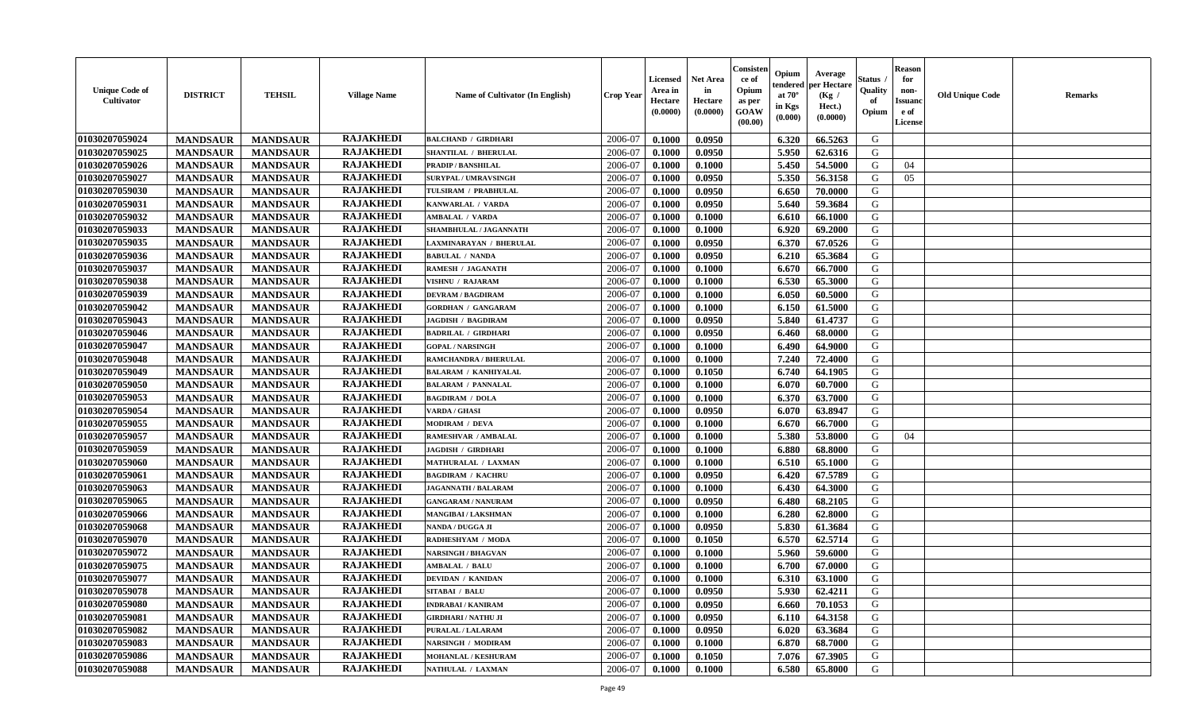| <b>Unique Code of</b><br><b>Cultivator</b> | <b>DISTRICT</b> | <b>TEHSIL</b>   | <b>Village Name</b> | Name of Cultivator (In English) | <b>Crop Year</b> | <b>Licensed</b><br>Area in<br>Hectare<br>(0.0000) | <b>Net Area</b><br>in<br>Hectare<br>(0.0000) | Consister<br>ce of<br>Opium<br>as per<br><b>GOAW</b><br>(00.00) | Opium<br>endered<br>at $70^{\circ}$<br>in Kgs<br>(0.000) | Average<br>per Hectare<br>(Kg /<br>Hect.)<br>(0.0000) | Status<br>Quality<br>of<br>Opium | <b>Reason</b><br>for<br>non-<br><b>Issuanc</b><br>e of<br>License | <b>Old Unique Code</b> | <b>Remarks</b> |
|--------------------------------------------|-----------------|-----------------|---------------------|---------------------------------|------------------|---------------------------------------------------|----------------------------------------------|-----------------------------------------------------------------|----------------------------------------------------------|-------------------------------------------------------|----------------------------------|-------------------------------------------------------------------|------------------------|----------------|
| 01030207059024                             | <b>MANDSAUR</b> | <b>MANDSAUR</b> | <b>RAJAKHEDI</b>    | <b>BALCHAND / GIRDHARI</b>      | 2006-07          | 0.1000                                            | 0.0950                                       |                                                                 | 6.320                                                    | 66.5263                                               | G                                |                                                                   |                        |                |
| 01030207059025                             | <b>MANDSAUR</b> | <b>MANDSAUR</b> | <b>RAJAKHEDI</b>    | SHANTILAL / BHERULAL            | 2006-07          | 0.1000                                            | 0.0950                                       |                                                                 | 5.950                                                    | 62.6316                                               | G                                |                                                                   |                        |                |
| 01030207059026                             | <b>MANDSAUR</b> | <b>MANDSAUR</b> | <b>RAJAKHEDI</b>    | <b>PRADIP / BANSHILAL</b>       | 2006-07          | 0.1000                                            | 0.1000                                       |                                                                 | 5.450                                                    | 54.5000                                               | G                                | 04                                                                |                        |                |
| 01030207059027                             | <b>MANDSAUR</b> | <b>MANDSAUR</b> | <b>RAJAKHEDI</b>    | SURYPAL / UMRAVSINGH            | 2006-07          | 0.1000                                            | 0.0950                                       |                                                                 | 5.350                                                    | 56.3158                                               | G                                | 05                                                                |                        |                |
| 01030207059030                             | <b>MANDSAUR</b> | <b>MANDSAUR</b> | <b>RAJAKHEDI</b>    | TULSIRAM / PRABHULAL            | 2006-07          | 0.1000                                            | 0.0950                                       |                                                                 | 6.650                                                    | 70.0000                                               | G                                |                                                                   |                        |                |
| 01030207059031                             | <b>MANDSAUR</b> | <b>MANDSAUR</b> | <b>RAJAKHEDI</b>    | KANWARLAL / VARDA               | 2006-07          | 0.1000                                            | 0.0950                                       |                                                                 | 5.640                                                    | 59.3684                                               | G                                |                                                                   |                        |                |
| 01030207059032                             | <b>MANDSAUR</b> | <b>MANDSAUR</b> | <b>RAJAKHEDI</b>    | <b>AMBALAL / VARDA</b>          | 2006-07          | 0.1000                                            | 0.1000                                       |                                                                 | 6.610                                                    | 66.1000                                               | G                                |                                                                   |                        |                |
| 01030207059033                             | <b>MANDSAUR</b> | <b>MANDSAUR</b> | <b>RAJAKHEDI</b>    | SHAMBHULAL / JAGANNATH          | 2006-07          | 0.1000                                            | 0.1000                                       |                                                                 | 6.920                                                    | 69.2000                                               | G                                |                                                                   |                        |                |
| 01030207059035                             | <b>MANDSAUR</b> | <b>MANDSAUR</b> | <b>RAJAKHEDI</b>    | LAXMINARAYAN / BHERULAL         | 2006-07          | 0.1000                                            | 0.0950                                       |                                                                 | 6.370                                                    | 67.0526                                               | G                                |                                                                   |                        |                |
| 01030207059036                             | <b>MANDSAUR</b> | <b>MANDSAUR</b> | <b>RAJAKHEDI</b>    | <b>BABULAL / NANDA</b>          | 2006-07          | 0.1000                                            | 0.0950                                       |                                                                 | 6.210                                                    | 65.3684                                               | G                                |                                                                   |                        |                |
| 01030207059037                             | <b>MANDSAUR</b> | <b>MANDSAUR</b> | <b>RAJAKHEDI</b>    | RAMESH / JAGANATH               | 2006-07          | 0.1000                                            | 0.1000                                       |                                                                 | 6.670                                                    | 66.7000                                               | G                                |                                                                   |                        |                |
| 01030207059038                             | <b>MANDSAUR</b> | <b>MANDSAUR</b> | <b>RAJAKHEDI</b>    | VISHNU / RAJARAM                | 2006-07          | 0.1000                                            | 0.1000                                       |                                                                 | 6.530                                                    | 65.3000                                               | G                                |                                                                   |                        |                |
| 01030207059039                             | <b>MANDSAUR</b> | <b>MANDSAUR</b> | <b>RAJAKHEDI</b>    | <b>DEVRAM / BAGDIRAM</b>        | 2006-07          | 0.1000                                            | 0.1000                                       |                                                                 | 6.050                                                    | 60.5000                                               | G                                |                                                                   |                        |                |
| 01030207059042                             | <b>MANDSAUR</b> | <b>MANDSAUR</b> | <b>RAJAKHEDI</b>    | <b>GORDHAN / GANGARAM</b>       | 2006-07          | 0.1000                                            | 0.1000                                       |                                                                 | 6.150                                                    | 61.5000                                               | G                                |                                                                   |                        |                |
| 01030207059043                             | <b>MANDSAUR</b> | <b>MANDSAUR</b> | <b>RAJAKHEDI</b>    | <b>JAGDISH / BAGDIRAM</b>       | 2006-07          | 0.1000                                            | 0.0950                                       |                                                                 | 5.840                                                    | 61.4737                                               | G                                |                                                                   |                        |                |
| 01030207059046                             | <b>MANDSAUR</b> | <b>MANDSAUR</b> | <b>RAJAKHEDI</b>    | <b>BADRILAL / GIRDHARI</b>      | 2006-07          | 0.1000                                            | 0.0950                                       |                                                                 | 6.460                                                    | 68.0000                                               | G                                |                                                                   |                        |                |
| 01030207059047                             | <b>MANDSAUR</b> | <b>MANDSAUR</b> | <b>RAJAKHEDI</b>    | <b>GOPAL / NARSINGH</b>         | 2006-07          | 0.1000                                            | 0.1000                                       |                                                                 | 6.490                                                    | 64.9000                                               | G                                |                                                                   |                        |                |
| 01030207059048                             | <b>MANDSAUR</b> | <b>MANDSAUR</b> | <b>RAJAKHEDI</b>    | RAMCHANDRA / BHERULAL           | 2006-07          | 0.1000                                            | 0.1000                                       |                                                                 | 7.240                                                    | 72.4000                                               | G                                |                                                                   |                        |                |
| 01030207059049                             | <b>MANDSAUR</b> | <b>MANDSAUR</b> | <b>RAJAKHEDI</b>    | <b>BALARAM / KANHIYALAL</b>     | 2006-07          | 0.1000                                            | 0.1050                                       |                                                                 | 6.740                                                    | 64.1905                                               | G                                |                                                                   |                        |                |
| 01030207059050                             | <b>MANDSAUR</b> | <b>MANDSAUR</b> | <b>RAJAKHEDI</b>    | <b>BALARAM / PANNALAL</b>       | 2006-07          | 0.1000                                            | 0.1000                                       |                                                                 | 6.070                                                    | 60.7000                                               | G                                |                                                                   |                        |                |
| 01030207059053                             | <b>MANDSAUR</b> | <b>MANDSAUR</b> | <b>RAJAKHEDI</b>    | <b>BAGDIRAM / DOLA</b>          | 2006-07          | 0.1000                                            | 0.1000                                       |                                                                 | 6.370                                                    | 63.7000                                               | G                                |                                                                   |                        |                |
| 01030207059054                             | <b>MANDSAUR</b> | <b>MANDSAUR</b> | <b>RAJAKHEDI</b>    | <b>VARDA / GHASI</b>            | 2006-07          | 0.1000                                            | 0.0950                                       |                                                                 | 6.070                                                    | 63.8947                                               | G                                |                                                                   |                        |                |
| 01030207059055                             | <b>MANDSAUR</b> | <b>MANDSAUR</b> | <b>RAJAKHEDI</b>    | MODIRAM / DEVA                  | 2006-07          | 0.1000                                            | 0.1000                                       |                                                                 | 6.670                                                    | 66.7000                                               | G                                |                                                                   |                        |                |
| 01030207059057                             | <b>MANDSAUR</b> | <b>MANDSAUR</b> | <b>RAJAKHEDI</b>    | RAMESHVAR / AMBALAL             | 2006-07          | 0.1000                                            | 0.1000                                       |                                                                 | 5.380                                                    | 53.8000                                               | G                                | 04                                                                |                        |                |
| 01030207059059                             | <b>MANDSAUR</b> | <b>MANDSAUR</b> | <b>RAJAKHEDI</b>    | <b>JAGDISH / GIRDHARI</b>       | 2006-07          | 0.1000                                            | 0.1000                                       |                                                                 | 6.880                                                    | 68.8000                                               | G                                |                                                                   |                        |                |
| 01030207059060                             | <b>MANDSAUR</b> | <b>MANDSAUR</b> | <b>RAJAKHEDI</b>    | MATHURALAL / LAXMAN             | 2006-07          | 0.1000                                            | 0.1000                                       |                                                                 | 6.510                                                    | 65.1000                                               | G                                |                                                                   |                        |                |
| 01030207059061                             | <b>MANDSAUR</b> | <b>MANDSAUR</b> | <b>RAJAKHEDI</b>    | <b>BAGDIRAM / KACHRU</b>        | 2006-07          | 0.1000                                            | 0.0950                                       |                                                                 | 6.420                                                    | 67.5789                                               | G                                |                                                                   |                        |                |
| 01030207059063                             | <b>MANDSAUR</b> | <b>MANDSAUR</b> | <b>RAJAKHEDI</b>    | <b>JAGANNATH / BALARAM</b>      | 2006-07          | 0.1000                                            | 0.1000                                       |                                                                 | 6.430                                                    | 64.3000                                               | G                                |                                                                   |                        |                |
| 01030207059065                             | <b>MANDSAUR</b> | <b>MANDSAUR</b> | <b>RAJAKHEDI</b>    | <b>GANGARAM / NANURAM</b>       | 2006-07          | 0.1000                                            | 0.0950                                       |                                                                 | 6.480                                                    | 68.2105                                               | G                                |                                                                   |                        |                |
| 01030207059066                             | <b>MANDSAUR</b> | <b>MANDSAUR</b> | <b>RAJAKHEDI</b>    | MANGIBAI / LAKSHMAN             | 2006-07          | 0.1000                                            | 0.1000                                       |                                                                 | 6.280                                                    | 62.8000                                               | G                                |                                                                   |                        |                |
| 01030207059068                             | <b>MANDSAUR</b> | <b>MANDSAUR</b> | <b>RAJAKHEDI</b>    | NANDA / DUGGA JI                | 2006-07          | 0.1000                                            | 0.0950                                       |                                                                 | 5.830                                                    | 61.3684                                               | G                                |                                                                   |                        |                |
| 01030207059070                             | <b>MANDSAUR</b> | <b>MANDSAUR</b> | <b>RAJAKHEDI</b>    | RADHESHYAM / MODA               | 2006-07          | 0.1000                                            | 0.1050                                       |                                                                 | 6.570                                                    | 62.5714                                               | G                                |                                                                   |                        |                |
| 01030207059072                             | <b>MANDSAUR</b> | <b>MANDSAUR</b> | <b>RAJAKHEDI</b>    | <b>NARSINGH / BHAGVAN</b>       | 2006-07          | 0.1000                                            | 0.1000                                       |                                                                 | 5.960                                                    | 59.6000                                               | G                                |                                                                   |                        |                |
| 01030207059075                             | <b>MANDSAUR</b> | <b>MANDSAUR</b> | <b>RAJAKHEDI</b>    | <b>AMBALAL / BALU</b>           | 2006-07          | 0.1000                                            | 0.1000                                       |                                                                 | 6.700                                                    | 67.0000                                               | G                                |                                                                   |                        |                |
| 01030207059077                             | <b>MANDSAUR</b> | <b>MANDSAUR</b> | <b>RAJAKHEDI</b>    | <b>DEVIDAN / KANIDAN</b>        | 2006-07          | 0.1000                                            | 0.1000                                       |                                                                 | 6.310                                                    | 63.1000                                               | G                                |                                                                   |                        |                |
| 01030207059078                             | <b>MANDSAUR</b> | MANDSAUR        | <b>RAJAKHEDI</b>    | <b>SITABAI / BALU</b>           | 2006-07          | 0.1000                                            | 0.0950                                       |                                                                 | $5.930$                                                  | 62.4211                                               | G                                |                                                                   |                        |                |
| 01030207059080                             | <b>MANDSAUR</b> | <b>MANDSAUR</b> | <b>RAJAKHEDI</b>    | <b>INDRABAI / KANIRAM</b>       | 2006-07          | 0.1000                                            | 0.0950                                       |                                                                 | 6.660                                                    | 70.1053                                               | G                                |                                                                   |                        |                |
| 01030207059081                             | <b>MANDSAUR</b> | <b>MANDSAUR</b> | <b>RAJAKHEDI</b>    | <b>GIRDHARI / NATHU JI</b>      | 2006-07          | 0.1000                                            | 0.0950                                       |                                                                 | 6.110                                                    | 64.3158                                               | G                                |                                                                   |                        |                |
| 01030207059082                             | <b>MANDSAUR</b> | <b>MANDSAUR</b> | <b>RAJAKHEDI</b>    | PURALAL / LALARAM               | 2006-07          | 0.1000                                            | 0.0950                                       |                                                                 | 6.020                                                    | 63.3684                                               | G                                |                                                                   |                        |                |
| 01030207059083                             | <b>MANDSAUR</b> | <b>MANDSAUR</b> | <b>RAJAKHEDI</b>    | <b>NARSINGH / MODIRAM</b>       | 2006-07          | 0.1000                                            | 0.1000                                       |                                                                 | 6.870                                                    | 68.7000                                               | G                                |                                                                   |                        |                |
| 01030207059086                             | <b>MANDSAUR</b> | <b>MANDSAUR</b> | <b>RAJAKHEDI</b>    | <b>MOHANLAL / KESHURAM</b>      | 2006-07          | 0.1000                                            | 0.1050                                       |                                                                 | 7.076                                                    | 67.3905                                               | G                                |                                                                   |                        |                |
| 01030207059088                             | <b>MANDSAUR</b> | <b>MANDSAUR</b> | <b>RAJAKHEDI</b>    | NATHULAL / LAXMAN               | 2006-07          | 0.1000                                            | 0.1000                                       |                                                                 | 6.580                                                    | 65.8000                                               | G                                |                                                                   |                        |                |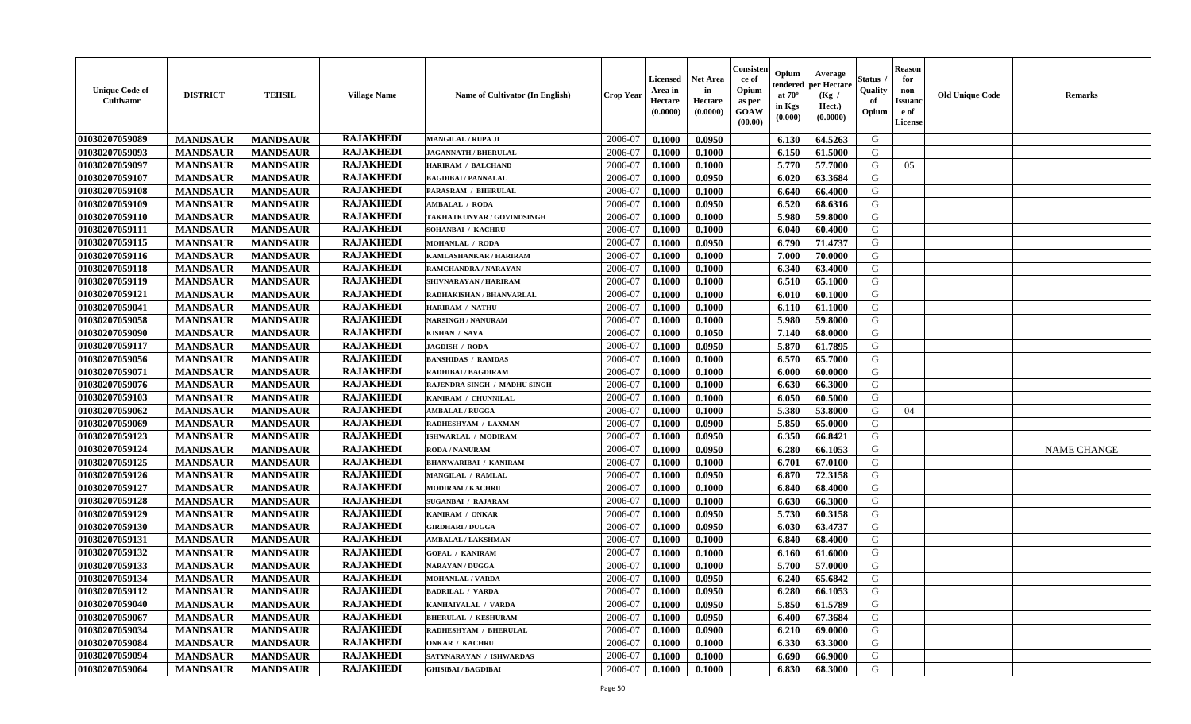| <b>Unique Code of</b><br><b>Cultivator</b> | <b>DISTRICT</b> | <b>TEHSIL</b>   | <b>Village Name</b> | <b>Name of Cultivator (In English)</b> | <b>Crop Year</b> | <b>Licensed</b><br>Area in<br>Hectare<br>(0.0000) | <b>Net Area</b><br>in<br>Hectare<br>(0.0000) | Consister<br>ce of<br>Opium<br>as per<br><b>GOAW</b><br>(00.00) | Opium<br>endered<br>at $70^{\circ}$<br>in Kgs<br>(0.000) | Average<br>per Hectare<br>(Kg /<br>Hect.)<br>(0.0000) | Status<br>Quality<br>of<br>Opium | <b>Reason</b><br>for<br>non-<br><b>Issuand</b><br>e of<br>License | <b>Old Unique Code</b> | <b>Remarks</b>     |
|--------------------------------------------|-----------------|-----------------|---------------------|----------------------------------------|------------------|---------------------------------------------------|----------------------------------------------|-----------------------------------------------------------------|----------------------------------------------------------|-------------------------------------------------------|----------------------------------|-------------------------------------------------------------------|------------------------|--------------------|
| 01030207059089                             | <b>MANDSAUR</b> | <b>MANDSAUR</b> | <b>RAJAKHEDI</b>    | <b>MANGILAL / RUPA JI</b>              | 2006-07          | 0.1000                                            | 0.0950                                       |                                                                 | 6.130                                                    | 64.5263                                               | G                                |                                                                   |                        |                    |
| 01030207059093                             | <b>MANDSAUR</b> | <b>MANDSAUR</b> | <b>RAJAKHEDI</b>    | <b>JAGANNATH / BHERULAL</b>            | 2006-07          | 0.1000                                            | 0.1000                                       |                                                                 | 6.150                                                    | 61.5000                                               | G                                |                                                                   |                        |                    |
| 01030207059097                             | <b>MANDSAUR</b> | <b>MANDSAUR</b> | <b>RAJAKHEDI</b>    | <b>HARIRAM / BALCHAND</b>              | 2006-07          | 0.1000                                            | 0.1000                                       |                                                                 | 5.770                                                    | 57.7000                                               | G                                | 05                                                                |                        |                    |
| 01030207059107                             | <b>MANDSAUR</b> | <b>MANDSAUR</b> | <b>RAJAKHEDI</b>    | <b>BAGDIBAI / PANNALAL</b>             | 2006-07          | 0.1000                                            | 0.0950                                       |                                                                 | 6.020                                                    | 63.3684                                               | G                                |                                                                   |                        |                    |
| 01030207059108                             | <b>MANDSAUR</b> | <b>MANDSAUR</b> | <b>RAJAKHEDI</b>    | PARASRAM / BHERULAL                    | 2006-07          | 0.1000                                            | 0.1000                                       |                                                                 | 6.640                                                    | 66.4000                                               | G                                |                                                                   |                        |                    |
| 01030207059109                             | <b>MANDSAUR</b> | <b>MANDSAUR</b> | <b>RAJAKHEDI</b>    | <b>AMBALAL / RODA</b>                  | 2006-07          | 0.1000                                            | 0.0950                                       |                                                                 | 6.520                                                    | 68.6316                                               | G                                |                                                                   |                        |                    |
| 01030207059110                             | <b>MANDSAUR</b> | <b>MANDSAUR</b> | <b>RAJAKHEDI</b>    | TAKHATKUNVAR / GOVINDSINGH             | 2006-07          | 0.1000                                            | 0.1000                                       |                                                                 | 5.980                                                    | 59.8000                                               | G                                |                                                                   |                        |                    |
| 01030207059111                             | <b>MANDSAUR</b> | <b>MANDSAUR</b> | <b>RAJAKHEDI</b>    | SOHANBAI / KACHRU                      | 2006-07          | 0.1000                                            | 0.1000                                       |                                                                 | 6.040                                                    | 60.4000                                               | G                                |                                                                   |                        |                    |
| 01030207059115                             | <b>MANDSAUR</b> | <b>MANDSAUR</b> | <b>RAJAKHEDI</b>    | <b>MOHANLAL / RODA</b>                 | 2006-07          | 0.1000                                            | 0.0950                                       |                                                                 | 6.790                                                    | 71.4737                                               | G                                |                                                                   |                        |                    |
| 01030207059116                             | <b>MANDSAUR</b> | <b>MANDSAUR</b> | <b>RAJAKHEDI</b>    | KAMLASHANKAR / HARIRAM                 | 2006-07          | 0.1000                                            | 0.1000                                       |                                                                 | 7.000                                                    | 70.0000                                               | G                                |                                                                   |                        |                    |
| 01030207059118                             | <b>MANDSAUR</b> | <b>MANDSAUR</b> | <b>RAJAKHEDI</b>    | RAMCHANDRA / NARAYAN                   | 2006-07          | 0.1000                                            | 0.1000                                       |                                                                 | 6.340                                                    | 63.4000                                               | G                                |                                                                   |                        |                    |
| 01030207059119                             | <b>MANDSAUR</b> | <b>MANDSAUR</b> | <b>RAJAKHEDI</b>    | SHIVNARAYAN / HARIRAM                  | 2006-07          | 0.1000                                            | 0.1000                                       |                                                                 | 6.510                                                    | 65.1000                                               | G                                |                                                                   |                        |                    |
| 01030207059121                             | <b>MANDSAUR</b> | <b>MANDSAUR</b> | <b>RAJAKHEDI</b>    | RADHAKISHAN / BHANVARLAL               | 2006-07          | 0.1000                                            | 0.1000                                       |                                                                 | 6.010                                                    | 60.1000                                               | G                                |                                                                   |                        |                    |
| 01030207059041                             | <b>MANDSAUR</b> | <b>MANDSAUR</b> | <b>RAJAKHEDI</b>    | <b>HARIRAM / NATHU</b>                 | 2006-07          | 0.1000                                            | 0.1000                                       |                                                                 | 6.110                                                    | 61.1000                                               | G                                |                                                                   |                        |                    |
| 01030207059058                             | <b>MANDSAUR</b> | <b>MANDSAUR</b> | <b>RAJAKHEDI</b>    | <b>NARSINGH / NANURAM</b>              | 2006-07          | 0.1000                                            | 0.1000                                       |                                                                 | 5.980                                                    | 59.8000                                               | G                                |                                                                   |                        |                    |
| 01030207059090                             | <b>MANDSAUR</b> | <b>MANDSAUR</b> | <b>RAJAKHEDI</b>    | KISHAN / SAVA                          | 2006-07          | 0.1000                                            | 0.1050                                       |                                                                 | 7.140                                                    | 68.0000                                               | G                                |                                                                   |                        |                    |
| 01030207059117                             | <b>MANDSAUR</b> | <b>MANDSAUR</b> | <b>RAJAKHEDI</b>    | <b>JAGDISH / RODA</b>                  | 2006-07          | 0.1000                                            | 0.0950                                       |                                                                 | 5.870                                                    | 61.7895                                               | G                                |                                                                   |                        |                    |
| 01030207059056                             | <b>MANDSAUR</b> | <b>MANDSAUR</b> | <b>RAJAKHEDI</b>    | <b>BANSHIDAS / RAMDAS</b>              | 2006-07          | 0.1000                                            | 0.1000                                       |                                                                 | 6.570                                                    | 65.7000                                               | G                                |                                                                   |                        |                    |
| 01030207059071                             | <b>MANDSAUR</b> | <b>MANDSAUR</b> | <b>RAJAKHEDI</b>    | RADHIBAI / BAGDIRAM                    | 2006-07          | 0.1000                                            | 0.1000                                       |                                                                 | 6.000                                                    | 60.0000                                               | G                                |                                                                   |                        |                    |
| 01030207059076                             | <b>MANDSAUR</b> | <b>MANDSAUR</b> | <b>RAJAKHEDI</b>    | RAJENDRA SINGH / MADHU SINGH           | 2006-07          | 0.1000                                            | 0.1000                                       |                                                                 | 6.630                                                    | 66.3000                                               | G                                |                                                                   |                        |                    |
| 01030207059103                             | <b>MANDSAUR</b> | <b>MANDSAUR</b> | <b>RAJAKHEDI</b>    | KANIRAM / CHUNNILAL                    | 2006-07          | 0.1000                                            | 0.1000                                       |                                                                 | 6.050                                                    | 60.5000                                               | G                                |                                                                   |                        |                    |
| 01030207059062                             | <b>MANDSAUR</b> | <b>MANDSAUR</b> | <b>RAJAKHEDI</b>    | <b>AMBALAL / RUGGA</b>                 | 2006-07          | 0.1000                                            | 0.1000                                       |                                                                 | 5.380                                                    | 53.8000                                               | G                                | 04                                                                |                        |                    |
| 01030207059069                             | <b>MANDSAUR</b> | <b>MANDSAUR</b> | <b>RAJAKHEDI</b>    | RADHESHYAM / LAXMAN                    | 2006-07          | 0.1000                                            | 0.0900                                       |                                                                 | 5.850                                                    | 65.0000                                               | G                                |                                                                   |                        |                    |
| 01030207059123                             | <b>MANDSAUR</b> | <b>MANDSAUR</b> | <b>RAJAKHEDI</b>    | ISHWARLAL / MODIRAM                    | 2006-07          | 0.1000                                            | 0.0950                                       |                                                                 | 6.350                                                    | 66.8421                                               | G                                |                                                                   |                        |                    |
| 01030207059124                             | <b>MANDSAUR</b> | <b>MANDSAUR</b> | <b>RAJAKHEDI</b>    | RODA / NANURAM                         | 2006-07          | 0.1000                                            | 0.0950                                       |                                                                 | 6.280                                                    | 66.1053                                               | G                                |                                                                   |                        | <b>NAME CHANGE</b> |
| 01030207059125                             | <b>MANDSAUR</b> | <b>MANDSAUR</b> | <b>RAJAKHEDI</b>    | <b>BHANWARIBAI / KANIRAM</b>           | 2006-07          | 0.1000                                            | 0.1000                                       |                                                                 | 6.701                                                    | 67.0100                                               | G                                |                                                                   |                        |                    |
| 01030207059126                             | <b>MANDSAUR</b> | <b>MANDSAUR</b> | <b>RAJAKHEDI</b>    | MANGILAL / RAMLAL                      | 2006-07          | 0.1000                                            | 0.0950                                       |                                                                 | 6.870                                                    | 72.3158                                               | G                                |                                                                   |                        |                    |
| 01030207059127                             | <b>MANDSAUR</b> | <b>MANDSAUR</b> | <b>RAJAKHEDI</b>    | <b>MODIRAM / KACHRU</b>                | 2006-07          | 0.1000                                            | 0.1000                                       |                                                                 | 6.840                                                    | 68.4000                                               | G                                |                                                                   |                        |                    |
| 01030207059128                             | <b>MANDSAUR</b> | <b>MANDSAUR</b> | <b>RAJAKHEDI</b>    | <b>SUGANBAI / RAJARAM</b>              | 2006-07          | 0.1000                                            | 0.1000                                       |                                                                 | 6.630                                                    | 66.3000                                               | G                                |                                                                   |                        |                    |
| 01030207059129                             | <b>MANDSAUR</b> | <b>MANDSAUR</b> | <b>RAJAKHEDI</b>    | KANIRAM / ONKAR                        | 2006-07          | 0.1000                                            | 0.0950                                       |                                                                 | 5.730                                                    | 60.3158                                               | G                                |                                                                   |                        |                    |
| 01030207059130                             | <b>MANDSAUR</b> | <b>MANDSAUR</b> | <b>RAJAKHEDI</b>    | <b>GIRDHARI / DUGGA</b>                | 2006-07          | 0.1000                                            | 0.0950                                       |                                                                 | 6.030                                                    | 63.4737                                               | G                                |                                                                   |                        |                    |
| 01030207059131                             | <b>MANDSAUR</b> | <b>MANDSAUR</b> | <b>RAJAKHEDI</b>    | <b>AMBALAL / LAKSHMAN</b>              | 2006-07          | 0.1000                                            | 0.1000                                       |                                                                 | 6.840                                                    | 68.4000                                               | G                                |                                                                   |                        |                    |
| 01030207059132                             | <b>MANDSAUR</b> | <b>MANDSAUR</b> | <b>RAJAKHEDI</b>    | <b>GOPAL / KANIRAM</b>                 | 2006-07          | 0.1000                                            | 0.1000                                       |                                                                 | 6.160                                                    | 61.6000                                               | G                                |                                                                   |                        |                    |
| 01030207059133                             | <b>MANDSAUR</b> | <b>MANDSAUR</b> | <b>RAJAKHEDI</b>    | NARAYAN / DUGGA                        | 2006-07          | 0.1000                                            | 0.1000                                       |                                                                 | 5.700                                                    | 57.0000                                               | G                                |                                                                   |                        |                    |
| 01030207059134                             | <b>MANDSAUR</b> | <b>MANDSAUR</b> | <b>RAJAKHEDI</b>    | <b>MOHANLAL / VARDA</b>                | 2006-07          | 0.1000                                            | 0.0950                                       |                                                                 | 6.240                                                    | 65.6842                                               | G                                |                                                                   |                        |                    |
| 01030207059112                             | <b>MANDSAUR</b> | MANDSAUR        | <b>RAJAKHEDI</b>    | <b>BADRILAL / VARDA</b>                | 2006-07          | 0.1000                                            | 0.0950                                       |                                                                 | 6.280                                                    | 66.1053                                               | G                                |                                                                   |                        |                    |
| 01030207059040                             | <b>MANDSAUR</b> | <b>MANDSAUR</b> | <b>RAJAKHEDI</b>    | KANHAIYALAL / VARDA                    | 2006-07          | 0.1000                                            | 0.0950                                       |                                                                 | 5.850                                                    | 61.5789                                               | G                                |                                                                   |                        |                    |
| 01030207059067                             | <b>MANDSAUR</b> | <b>MANDSAUR</b> | <b>RAJAKHEDI</b>    | <b>BHERULAL / KESHURAM</b>             | 2006-07          | 0.1000                                            | 0.0950                                       |                                                                 | 6.400                                                    | 67.3684                                               | G                                |                                                                   |                        |                    |
| 01030207059034                             | <b>MANDSAUR</b> | <b>MANDSAUR</b> | <b>RAJAKHEDI</b>    | RADHESHYAM / BHERULAL                  | 2006-07          | 0.1000                                            | 0.0900                                       |                                                                 | 6.210                                                    | 69.0000                                               | G                                |                                                                   |                        |                    |
| 01030207059084                             | <b>MANDSAUR</b> | <b>MANDSAUR</b> | <b>RAJAKHEDI</b>    | <b>ONKAR / KACHRU</b>                  | 2006-07          | 0.1000                                            | 0.1000                                       |                                                                 | 6.330                                                    | 63.3000                                               | G                                |                                                                   |                        |                    |
| 01030207059094                             | <b>MANDSAUR</b> | <b>MANDSAUR</b> | <b>RAJAKHEDI</b>    | SATYNARAYAN / ISHWARDAS                | 2006-07          | 0.1000                                            | 0.1000                                       |                                                                 | 6.690                                                    | 66.9000                                               | G                                |                                                                   |                        |                    |
| 01030207059064                             | <b>MANDSAUR</b> | <b>MANDSAUR</b> | <b>RAJAKHEDI</b>    | <b>GHISIBAI/BAGDIBAI</b>               | 2006-07          | 0.1000                                            | 0.1000                                       |                                                                 | 6.830                                                    | 68.3000                                               | G                                |                                                                   |                        |                    |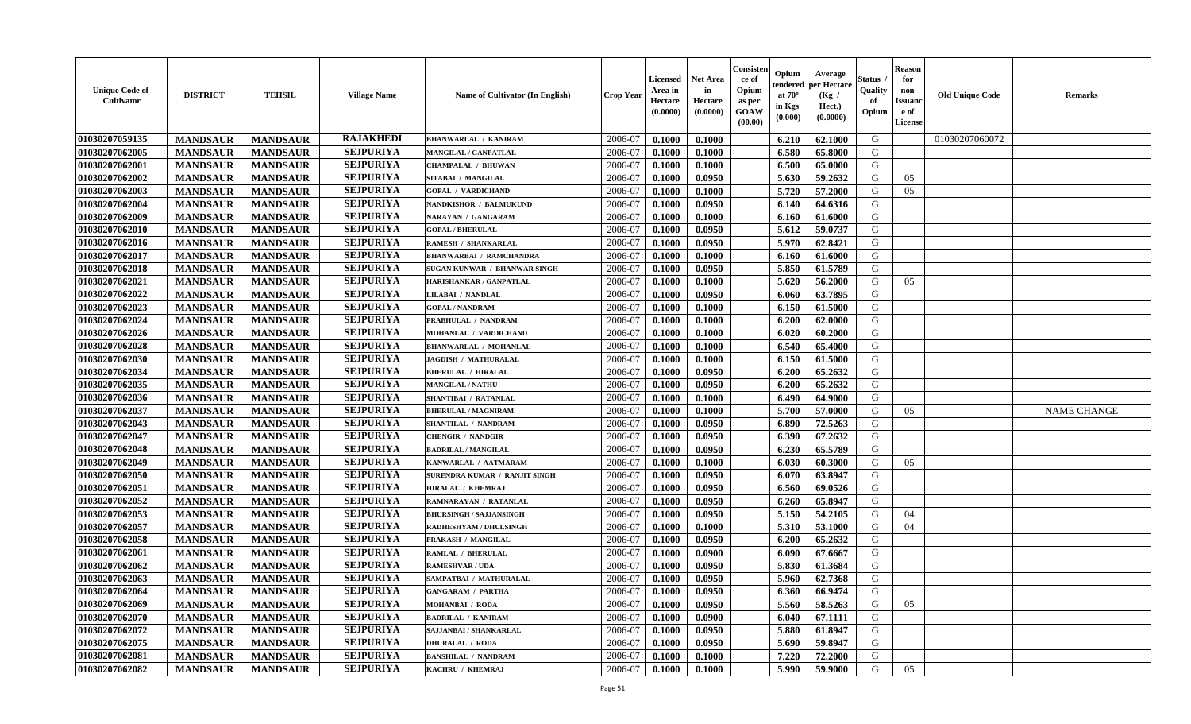| <b>Unique Code of</b><br>Cultivator | <b>DISTRICT</b> | <b>TEHSIL</b>   | <b>Village Name</b> | Name of Cultivator (In English) | <b>Crop Year</b> | <b>Licensed</b><br>Area in<br>Hectare<br>(0.0000) | <b>Net Area</b><br>in<br>Hectare<br>(0.0000) | Consister<br>ce of<br>Opium<br>as per<br><b>GOAW</b><br>(00.00) | Opium<br>endered<br>at $70^{\circ}$<br>in Kgs<br>(0.000) | Average<br>per Hectare<br>(Kg /<br>Hect.)<br>(0.0000) | Status<br>Quality<br>of<br>Opium | <b>Reason</b><br>for<br>non-<br><b>Issuanc</b><br>e of<br>License | <b>Old Unique Code</b> | <b>Remarks</b>     |
|-------------------------------------|-----------------|-----------------|---------------------|---------------------------------|------------------|---------------------------------------------------|----------------------------------------------|-----------------------------------------------------------------|----------------------------------------------------------|-------------------------------------------------------|----------------------------------|-------------------------------------------------------------------|------------------------|--------------------|
| 01030207059135                      | <b>MANDSAUR</b> | <b>MANDSAUR</b> | <b>RAJAKHEDI</b>    | <b>BHANWARLAL / KANIRAM</b>     | 2006-07          | 0.1000                                            | 0.1000                                       |                                                                 | 6.210                                                    | 62.1000                                               | G                                |                                                                   | 01030207060072         |                    |
| 01030207062005                      | <b>MANDSAUR</b> | <b>MANDSAUR</b> | <b>SEJPURIYA</b>    | MANGILAL / GANPATLAL            | 2006-07          | 0.1000                                            | 0.1000                                       |                                                                 | 6.580                                                    | 65.8000                                               | G                                |                                                                   |                        |                    |
| 01030207062001                      | <b>MANDSAUR</b> | <b>MANDSAUR</b> | <b>SEJPURIYA</b>    | <b>CHAMPALAL / BHUWAN</b>       | 2006-07          | 0.1000                                            | 0.1000                                       |                                                                 | 6.500                                                    | 65.0000                                               | G                                |                                                                   |                        |                    |
| 01030207062002                      | <b>MANDSAUR</b> | <b>MANDSAUR</b> | <b>SEJPURIYA</b>    | SITABAI / MANGILAL              | 2006-07          | 0.1000                                            | 0.0950                                       |                                                                 | 5.630                                                    | 59.2632                                               | G                                | 05                                                                |                        |                    |
| 01030207062003                      | <b>MANDSAUR</b> | <b>MANDSAUR</b> | <b>SEJPURIYA</b>    | <b>GOPAL / VARDICHAND</b>       | 2006-07          | 0.1000                                            | 0.1000                                       |                                                                 | 5.720                                                    | 57.2000                                               | G                                | 05                                                                |                        |                    |
| 01030207062004                      | <b>MANDSAUR</b> | <b>MANDSAUR</b> | <b>SEJPURIYA</b>    | NANDKISHOR / BALMUKUND          | 2006-07          | 0.1000                                            | 0.0950                                       |                                                                 | 6.140                                                    | 64.6316                                               | G                                |                                                                   |                        |                    |
| 01030207062009                      | <b>MANDSAUR</b> | <b>MANDSAUR</b> | <b>SEJPURIYA</b>    | NARAYAN / GANGARAM              | 2006-07          | 0.1000                                            | 0.1000                                       |                                                                 | 6.160                                                    | 61.6000                                               | G                                |                                                                   |                        |                    |
| 01030207062010                      | <b>MANDSAUR</b> | <b>MANDSAUR</b> | <b>SEJPURIYA</b>    | <b>GOPAL / BHERULAL</b>         | 2006-07          | 0.1000                                            | 0.0950                                       |                                                                 | 5.612                                                    | 59.0737                                               | G                                |                                                                   |                        |                    |
| 01030207062016                      | <b>MANDSAUR</b> | <b>MANDSAUR</b> | <b>SEJPURIYA</b>    | RAMESH / SHANKARLAL             | 2006-07          | 0.1000                                            | 0.0950                                       |                                                                 | 5.970                                                    | 62.8421                                               | G                                |                                                                   |                        |                    |
| 01030207062017                      | <b>MANDSAUR</b> | <b>MANDSAUR</b> | <b>SEJPURIYA</b>    | <b>BHANWARBAI / RAMCHANDRA</b>  | 2006-07          | 0.1000                                            | 0.1000                                       |                                                                 | 6.160                                                    | 61.6000                                               | G                                |                                                                   |                        |                    |
| 01030207062018                      | <b>MANDSAUR</b> | <b>MANDSAUR</b> | <b>SEJPURIYA</b>    | SUGAN KUNWAR / BHANWAR SINGH    | 2006-07          | 0.1000                                            | 0.0950                                       |                                                                 | 5.850                                                    | 61.5789                                               | G                                |                                                                   |                        |                    |
| 01030207062021                      | <b>MANDSAUR</b> | <b>MANDSAUR</b> | <b>SEJPURIYA</b>    | HARISHANKAR / GANPATLAL         | 2006-07          | 0.1000                                            | 0.1000                                       |                                                                 | 5.620                                                    | 56.2000                                               | G                                | 05                                                                |                        |                    |
| 01030207062022                      | <b>MANDSAUR</b> | <b>MANDSAUR</b> | <b>SEJPURIYA</b>    | LILABAI / NANDLAL               | 2006-07          | 0.1000                                            | 0.0950                                       |                                                                 | 6.060                                                    | 63.7895                                               | G                                |                                                                   |                        |                    |
| 01030207062023                      | <b>MANDSAUR</b> | <b>MANDSAUR</b> | <b>SEJPURIYA</b>    | <b>GOPAL / NANDRAM</b>          | 2006-07          | 0.1000                                            | 0.1000                                       |                                                                 | 6.150                                                    | 61.5000                                               | G                                |                                                                   |                        |                    |
| 01030207062024                      | <b>MANDSAUR</b> | <b>MANDSAUR</b> | <b>SEJPURIYA</b>    | PRABHULAL / NANDRAM             | 2006-07          | 0.1000                                            | 0.1000                                       |                                                                 | 6.200                                                    | 62.0000                                               | G                                |                                                                   |                        |                    |
| 01030207062026                      | <b>MANDSAUR</b> | <b>MANDSAUR</b> | <b>SEJPURIYA</b>    | MOHANLAL / VARDICHAND           | 2006-07          | 0.1000                                            | 0.1000                                       |                                                                 | 6.020                                                    | 60.2000                                               | G                                |                                                                   |                        |                    |
| 01030207062028                      | <b>MANDSAUR</b> | <b>MANDSAUR</b> | <b>SEJPURIYA</b>    | <b>BHANWARLAL / MOHANLAL</b>    | 2006-07          | 0.1000                                            | 0.1000                                       |                                                                 | 6.540                                                    | 65.4000                                               | G                                |                                                                   |                        |                    |
| 01030207062030                      | <b>MANDSAUR</b> | <b>MANDSAUR</b> | <b>SEJPURIYA</b>    | JAGDISH / MATHURALAL            | 2006-07          | 0.1000                                            | 0.1000                                       |                                                                 | 6.150                                                    | 61.5000                                               | G                                |                                                                   |                        |                    |
| 01030207062034                      | <b>MANDSAUR</b> | <b>MANDSAUR</b> | <b>SEJPURIYA</b>    | <b>BHERULAL / HIRALAL</b>       | 2006-07          | 0.1000                                            | 0.0950                                       |                                                                 | 6.200                                                    | 65.2632                                               | G                                |                                                                   |                        |                    |
| 01030207062035                      | <b>MANDSAUR</b> | <b>MANDSAUR</b> | <b>SEJPURIYA</b>    | <b>MANGILAL / NATHU</b>         | 2006-07          | 0.1000                                            | 0.0950                                       |                                                                 | 6.200                                                    | 65.2632                                               | G                                |                                                                   |                        |                    |
| 01030207062036                      | <b>MANDSAUR</b> | <b>MANDSAUR</b> | <b>SEJPURIYA</b>    | SHANTIBAI / RATANLAL            | 2006-07          | 0.1000                                            | 0.1000                                       |                                                                 | 6.490                                                    | 64.9000                                               | G                                |                                                                   |                        |                    |
| 01030207062037                      | <b>MANDSAUR</b> | <b>MANDSAUR</b> | <b>SEJPURIYA</b>    | <b>BHERULAL / MAGNIRAM</b>      | 2006-07          | 0.1000                                            | 0.1000                                       |                                                                 | 5.700                                                    | 57.0000                                               | G                                | 05                                                                |                        | <b>NAME CHANGE</b> |
| 01030207062043                      | <b>MANDSAUR</b> | <b>MANDSAUR</b> | <b>SEJPURIYA</b>    | SHANTILAL / NANDRAM             | 2006-07          | 0.1000                                            | 0.0950                                       |                                                                 | 6.890                                                    | 72.5263                                               | G                                |                                                                   |                        |                    |
| 01030207062047                      | <b>MANDSAUR</b> | <b>MANDSAUR</b> | <b>SEJPURIYA</b>    | <b>CHENGIR / NANDGIR</b>        | 2006-07          | 0.1000                                            | 0.0950                                       |                                                                 | 6.390                                                    | 67.2632                                               | G                                |                                                                   |                        |                    |
| 01030207062048                      | <b>MANDSAUR</b> | <b>MANDSAUR</b> | <b>SEJPURIYA</b>    | <b>BADRILAL / MANGILAL</b>      | 2006-07          | 0.1000                                            | 0.0950                                       |                                                                 | 6.230                                                    | 65.5789                                               | G                                |                                                                   |                        |                    |
| 01030207062049                      | <b>MANDSAUR</b> | <b>MANDSAUR</b> | <b>SEJPURIYA</b>    | KANWARLAL / AATMARAM            | 2006-07          | 0.1000                                            | 0.1000                                       |                                                                 | 6.030                                                    | 60.3000                                               | G                                | 05                                                                |                        |                    |
| 01030207062050                      | <b>MANDSAUR</b> | <b>MANDSAUR</b> | <b>SEJPURIYA</b>    | SURENDRA KUMAR / RANJIT SINGH   | 2006-07          | 0.1000                                            | 0.0950                                       |                                                                 | 6.070                                                    | 63.8947                                               | G                                |                                                                   |                        |                    |
| 01030207062051                      | <b>MANDSAUR</b> | <b>MANDSAUR</b> | <b>SEJPURIYA</b>    | <b>HIRALAL / KHEMRAJ</b>        | 2006-07          | 0.1000                                            | 0.0950                                       |                                                                 | 6.560                                                    | 69.0526                                               | G                                |                                                                   |                        |                    |
| 01030207062052                      | <b>MANDSAUR</b> | <b>MANDSAUR</b> | <b>SEJPURIYA</b>    | RAMNARAYAN / RATANLAL           | 2006-07          | 0.1000                                            | 0.0950                                       |                                                                 | 6.260                                                    | 65.8947                                               | G                                |                                                                   |                        |                    |
| 01030207062053                      | <b>MANDSAUR</b> | <b>MANDSAUR</b> | <b>SEJPURIYA</b>    | <b>BHURSINGH / SAJJANSINGH</b>  | 2006-07          | 0.1000                                            | 0.0950                                       |                                                                 | 5.150                                                    | 54.2105                                               | G                                | 04                                                                |                        |                    |
| 01030207062057                      | <b>MANDSAUR</b> | <b>MANDSAUR</b> | <b>SEJPURIYA</b>    | <b>RADHESHYAM / DHULSINGH</b>   | 2006-07          | 0.1000                                            | 0.1000                                       |                                                                 | 5.310                                                    | 53.1000                                               | G                                | 04                                                                |                        |                    |
| 01030207062058                      | <b>MANDSAUR</b> | <b>MANDSAUR</b> | <b>SEJPURIYA</b>    | PRAKASH / MANGILAL              | 2006-07          | 0.1000                                            | 0.0950                                       |                                                                 | 6.200                                                    | 65.2632                                               | G                                |                                                                   |                        |                    |
| 01030207062061                      | <b>MANDSAUR</b> | <b>MANDSAUR</b> | <b>SEJPURIYA</b>    | RAMLAL / BHERULAL               | 2006-07          | 0.1000                                            | 0.0900                                       |                                                                 | 6.090                                                    | 67.6667                                               | G                                |                                                                   |                        |                    |
| 01030207062062                      | <b>MANDSAUR</b> | <b>MANDSAUR</b> | <b>SEJPURIYA</b>    | <b>RAMESHVAR / UDA</b>          | 2006-07          | 0.1000                                            | 0.0950                                       |                                                                 | 5.830                                                    | 61.3684                                               | G                                |                                                                   |                        |                    |
| 01030207062063                      | <b>MANDSAUR</b> | <b>MANDSAUR</b> | <b>SEJPURIYA</b>    | SAMPATBAI / MATHURALAL          | 2006-07          | 0.1000                                            | 0.0950                                       |                                                                 | 5.960                                                    | 62.7368                                               | G                                |                                                                   |                        |                    |
| 01030207062064                      | <b>MANDSAUR</b> | MANDSAUR        | <b>SEJPURIYA</b>    | <b>GANGARAM / PARTHA</b>        | 2006-07          | 0.1000                                            | 0.0950                                       |                                                                 | 6.360                                                    | 66.9474                                               | G                                |                                                                   |                        |                    |
| 01030207062069                      | <b>MANDSAUR</b> | <b>MANDSAUR</b> | <b>SEJPURIYA</b>    | <b>MOHANBAI / RODA</b>          | 2006-07          | 0.1000                                            | 0.0950                                       |                                                                 | 5.560                                                    | 58.5263                                               | G                                | 05                                                                |                        |                    |
| 01030207062070                      | <b>MANDSAUR</b> | <b>MANDSAUR</b> | <b>SEJPURIYA</b>    | <b>BADRILAL / KANIRAM</b>       | 2006-07          | 0.1000                                            | 0.0900                                       |                                                                 | 6.040                                                    | 67.1111                                               | G                                |                                                                   |                        |                    |
| 01030207062072                      | <b>MANDSAUR</b> | <b>MANDSAUR</b> | <b>SEJPURIYA</b>    | SAJJANBAI / SHANKARLAL          | 2006-07          | 0.1000                                            | 0.0950                                       |                                                                 | 5.880                                                    | 61.8947                                               | G                                |                                                                   |                        |                    |
| 01030207062075                      | <b>MANDSAUR</b> | <b>MANDSAUR</b> | <b>SEJPURIYA</b>    | <b>DHURALAL / RODA</b>          | 2006-07          | 0.1000                                            | 0.0950                                       |                                                                 | 5.690                                                    | 59.8947                                               | G                                |                                                                   |                        |                    |
| 01030207062081                      | <b>MANDSAUR</b> | <b>MANDSAUR</b> | <b>SEJPURIYA</b>    | <b>BANSHILAL / NANDRAM</b>      | 2006-07          | 0.1000                                            | 0.1000                                       |                                                                 | 7.220                                                    | 72.2000                                               | G                                |                                                                   |                        |                    |
| 01030207062082                      | <b>MANDSAUR</b> | <b>MANDSAUR</b> | <b>SEJPURIYA</b>    | KACHRU / KHEMRAJ                | 2006-07          | 0.1000                                            | 0.1000                                       |                                                                 | 5.990                                                    | 59.9000                                               | G                                | 05                                                                |                        |                    |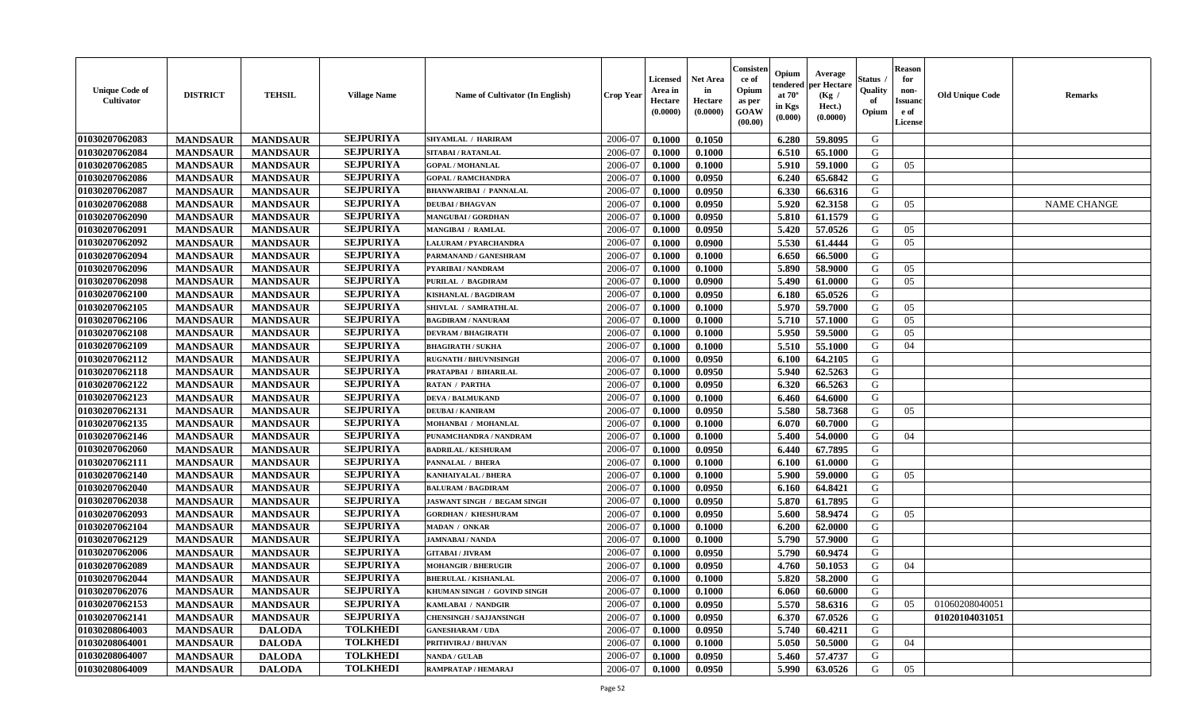| <b>Unique Code of</b><br><b>Cultivator</b> | <b>DISTRICT</b> | <b>TEHSIL</b>   | <b>Village Name</b> | Name of Cultivator (In English) | <b>Crop Year</b> | <b>Licensed</b><br>Area in<br>Hectare<br>(0.0000) | <b>Net Area</b><br>in<br>Hectare<br>(0.0000) | Consisteı<br>ce of<br>Opium<br>as per<br><b>GOAW</b><br>(00.00) | Opium<br>endered<br>at $70^\circ$<br>in Kgs<br>$(\mathbf{0.000})$ | Average<br>per Hectare<br>(Kg /<br>Hect.)<br>(0.0000) | Status<br>Quality<br>of<br>Opium | Reason<br>for<br>non-<br>Issuan<br>e of<br>License | <b>Old Unique Code</b> | <b>Remarks</b>     |
|--------------------------------------------|-----------------|-----------------|---------------------|---------------------------------|------------------|---------------------------------------------------|----------------------------------------------|-----------------------------------------------------------------|-------------------------------------------------------------------|-------------------------------------------------------|----------------------------------|----------------------------------------------------|------------------------|--------------------|
| 01030207062083                             | <b>MANDSAUR</b> | <b>MANDSAUR</b> | <b>SEJPURIYA</b>    | <b>SHYAMLAL / HARIRAM</b>       | 2006-07          | 0.1000                                            | 0.1050                                       |                                                                 | 6.280                                                             | 59.8095                                               | G                                |                                                    |                        |                    |
| 01030207062084                             | <b>MANDSAUR</b> | <b>MANDSAUR</b> | <b>SEJPURIYA</b>    | SITABAI / RATANLAL              | 2006-07          | 0.1000                                            | 0.1000                                       |                                                                 | 6.510                                                             | 65.1000                                               | G                                |                                                    |                        |                    |
| 01030207062085                             | <b>MANDSAUR</b> | <b>MANDSAUR</b> | <b>SEJPURIYA</b>    | <b>GOPAL / MOHANLAL</b>         | 2006-07          | 0.1000                                            | 0.1000                                       |                                                                 | 5.910                                                             | 59.1000                                               | G                                | 05                                                 |                        |                    |
| 01030207062086                             | <b>MANDSAUR</b> | <b>MANDSAUR</b> | <b>SEJPURIYA</b>    | <b>GOPAL / RAMCHANDRA</b>       | 2006-07          | 0.1000                                            | 0.0950                                       |                                                                 | 6.240                                                             | 65.6842                                               | G                                |                                                    |                        |                    |
| 01030207062087                             | <b>MANDSAUR</b> | <b>MANDSAUR</b> | <b>SEJPURIYA</b>    | <b>BHANWARIBAI / PANNALAL</b>   | 2006-07          | 0.1000                                            | 0.0950                                       |                                                                 | 6.330                                                             | 66.6316                                               | G                                |                                                    |                        |                    |
| 01030207062088                             | <b>MANDSAUR</b> | <b>MANDSAUR</b> | <b>SEJPURIYA</b>    | <b>DEUBAI/BHAGVAN</b>           | 2006-07          | 0.1000                                            | 0.0950                                       |                                                                 | 5.920                                                             | 62.3158                                               | G                                | 05                                                 |                        | <b>NAME CHANGE</b> |
| 01030207062090                             | <b>MANDSAUR</b> | <b>MANDSAUR</b> | <b>SEJPURIYA</b>    | <b>MANGUBAI/GORDHAN</b>         | 2006-07          | 0.1000                                            | 0.0950                                       |                                                                 | 5.810                                                             | 61.1579                                               | G                                |                                                    |                        |                    |
| 01030207062091                             | <b>MANDSAUR</b> | <b>MANDSAUR</b> | <b>SEJPURIYA</b>    | MANGIBAI / RAMLAL               | 2006-07          | 0.1000                                            | 0.0950                                       |                                                                 | 5.420                                                             | 57.0526                                               | G                                | 05                                                 |                        |                    |
| 01030207062092                             | <b>MANDSAUR</b> | <b>MANDSAUR</b> | <b>SEJPURIYA</b>    | <b>LALURAM / PYARCHANDRA</b>    | 2006-07          | 0.1000                                            | 0.0900                                       |                                                                 | 5.530                                                             | 61.4444                                               | G                                | 05                                                 |                        |                    |
| 01030207062094                             | <b>MANDSAUR</b> | <b>MANDSAUR</b> | <b>SEJPURIYA</b>    | PARMANAND / GANESHRAM           | 2006-07          | 0.1000                                            | 0.1000                                       |                                                                 | 6.650                                                             | 66.5000                                               | G                                |                                                    |                        |                    |
| 01030207062096                             | <b>MANDSAUR</b> | <b>MANDSAUR</b> | <b>SEJPURIYA</b>    | PYARIBAI / NANDRAM              | 2006-07          | 0.1000                                            | 0.1000                                       |                                                                 | 5.890                                                             | 58.9000                                               | G                                | 05                                                 |                        |                    |
| 01030207062098                             | <b>MANDSAUR</b> | <b>MANDSAUR</b> | <b>SEJPURIYA</b>    | PURILAL / BAGDIRAM              | 2006-07          | 0.1000                                            | 0.0900                                       |                                                                 | 5.490                                                             | 61.0000                                               | G                                | 05                                                 |                        |                    |
| 01030207062100                             | <b>MANDSAUR</b> | <b>MANDSAUR</b> | <b>SEJPURIYA</b>    | <b>KISHANLAL / BAGDIRAM</b>     | 2006-07          | 0.1000                                            | 0.0950                                       |                                                                 | 6.180                                                             | 65.0526                                               | G                                |                                                    |                        |                    |
| 01030207062105                             | <b>MANDSAUR</b> | <b>MANDSAUR</b> | <b>SEJPURIYA</b>    | SHIVLAL / SAMRATHLAL            | 2006-07          | 0.1000                                            | 0.1000                                       |                                                                 | 5.970                                                             | 59.7000                                               | G                                | 05                                                 |                        |                    |
| 01030207062106                             | <b>MANDSAUR</b> | <b>MANDSAUR</b> | <b>SEJPURIYA</b>    | <b>BAGDIRAM / NANURAM</b>       | 2006-07          | 0.1000                                            | 0.1000                                       |                                                                 | 5.710                                                             | 57.1000                                               | G                                | 05                                                 |                        |                    |
| 01030207062108                             | <b>MANDSAUR</b> | <b>MANDSAUR</b> | <b>SEJPURIYA</b>    | <b>DEVRAM / BHAGIRATH</b>       | 2006-07          | 0.1000                                            | 0.1000                                       |                                                                 | 5.950                                                             | 59.5000                                               | G                                | 05                                                 |                        |                    |
| 01030207062109                             | <b>MANDSAUR</b> | <b>MANDSAUR</b> | <b>SEJPURIYA</b>    | <b>BHAGIRATH / SUKHA</b>        | 2006-07          | 0.1000                                            | 0.1000                                       |                                                                 | 5.510                                                             | 55.1000                                               | G                                | 04                                                 |                        |                    |
| 01030207062112                             | <b>MANDSAUR</b> | <b>MANDSAUR</b> | <b>SEJPURIYA</b>    | <b>RUGNATH / BHUVNISINGH</b>    | 2006-07          | 0.1000                                            | 0.0950                                       |                                                                 | 6.100                                                             | 64.2105                                               | G                                |                                                    |                        |                    |
| 01030207062118                             | <b>MANDSAUR</b> | <b>MANDSAUR</b> | <b>SEJPURIYA</b>    | PRATAPBAI / BIHARILAL           | 2006-07          | 0.1000                                            | 0.0950                                       |                                                                 | 5.940                                                             | 62.5263                                               | G                                |                                                    |                        |                    |
| 01030207062122                             | <b>MANDSAUR</b> | <b>MANDSAUR</b> | <b>SEJPURIYA</b>    | <b>RATAN / PARTHA</b>           | 2006-07          | 0.1000                                            | 0.0950                                       |                                                                 | 6.320                                                             | 66.5263                                               | G                                |                                                    |                        |                    |
| 01030207062123                             | <b>MANDSAUR</b> | <b>MANDSAUR</b> | <b>SEJPURIYA</b>    | <b>DEVA / BALMUKAND</b>         | 2006-07          | 0.1000                                            | 0.1000                                       |                                                                 | 6.460                                                             | 64.6000                                               | G                                |                                                    |                        |                    |
| 01030207062131                             | <b>MANDSAUR</b> | <b>MANDSAUR</b> | <b>SEJPURIYA</b>    | <b>DEUBAI/KANIRAM</b>           | 2006-07          | 0.1000                                            | 0.0950                                       |                                                                 | 5.580                                                             | 58.7368                                               | G                                | 05                                                 |                        |                    |
| 01030207062135                             | <b>MANDSAUR</b> | <b>MANDSAUR</b> | <b>SEJPURIYA</b>    | MOHANBAI / MOHANLAL             | 2006-07          | 0.1000                                            | 0.1000                                       |                                                                 | 6.070                                                             | 60.7000                                               | G                                |                                                    |                        |                    |
| 01030207062146                             | <b>MANDSAUR</b> | <b>MANDSAUR</b> | <b>SEJPURIYA</b>    | PUNAMCHANDRA / NANDRAM          | 2006-07          | 0.1000                                            | 0.1000                                       |                                                                 | 5.400                                                             | 54.0000                                               | G                                | 04                                                 |                        |                    |
| 01030207062060                             | <b>MANDSAUR</b> | <b>MANDSAUR</b> | <b>SEJPURIYA</b>    | <b>BADRILAL / KESHURAM</b>      | 2006-07          | 0.1000                                            | 0.0950                                       |                                                                 | 6.440                                                             | 67.7895                                               | G                                |                                                    |                        |                    |
| 01030207062111                             | <b>MANDSAUR</b> | <b>MANDSAUR</b> | <b>SEJPURIYA</b>    | PANNALAL / BHERA                | 2006-07          | 0.1000                                            | 0.1000                                       |                                                                 | 6.100                                                             | 61.0000                                               | G                                |                                                    |                        |                    |
| 01030207062140                             | <b>MANDSAUR</b> | <b>MANDSAUR</b> | <b>SEJPURIYA</b>    | KANHAIYALAL / BHERA             | 2006-07          | 0.1000                                            | 0.1000                                       |                                                                 | 5.900                                                             | 59.0000                                               | G                                | 05                                                 |                        |                    |
| 01030207062040                             | <b>MANDSAUR</b> | <b>MANDSAUR</b> | <b>SEJPURIYA</b>    | <b>BALURAM / BAGDIRAM</b>       | 2006-07          | 0.1000                                            | 0.0950                                       |                                                                 | 6.160                                                             | 64.8421                                               | G                                |                                                    |                        |                    |
| 01030207062038                             | <b>MANDSAUR</b> | <b>MANDSAUR</b> | <b>SEJPURIYA</b>    | JASWANT SINGH / BEGAM SINGH     | 2006-07          | 0.1000                                            | 0.0950                                       |                                                                 | 5.870                                                             | 61.7895                                               | G                                |                                                    |                        |                    |
| 01030207062093                             | <b>MANDSAUR</b> | <b>MANDSAUR</b> | <b>SEJPURIYA</b>    | <b>GORDHAN / KHESHURAM</b>      | 2006-07          | 0.1000                                            | 0.0950                                       |                                                                 | 5.600                                                             | 58.9474                                               | G                                | 05                                                 |                        |                    |
| 01030207062104                             | <b>MANDSAUR</b> | <b>MANDSAUR</b> | <b>SEJPURIYA</b>    | <b>MADAN / ONKAR</b>            | 2006-07          | 0.1000                                            | 0.1000                                       |                                                                 | 6.200                                                             | 62.0000                                               | G                                |                                                    |                        |                    |
| 01030207062129                             | <b>MANDSAUR</b> | <b>MANDSAUR</b> | <b>SEJPURIYA</b>    | <b>JAMNABAI/NANDA</b>           | 2006-07          | 0.1000                                            | 0.1000                                       |                                                                 | 5.790                                                             | 57.9000                                               | G                                |                                                    |                        |                    |
| 01030207062006                             | <b>MANDSAUR</b> | <b>MANDSAUR</b> | <b>SEJPURIYA</b>    | <b>GITABAI / JIVRAM</b>         | 2006-07          | 0.1000                                            | 0.0950                                       |                                                                 | 5.790                                                             | 60.9474                                               | G                                |                                                    |                        |                    |
| 01030207062089                             | <b>MANDSAUR</b> | <b>MANDSAUR</b> | <b>SEJPURIYA</b>    | <b>MOHANGIR / BHERUGIR</b>      | 2006-07          | 0.1000                                            | 0.0950                                       |                                                                 | 4.760                                                             | 50.1053                                               | G                                | 04                                                 |                        |                    |
| 01030207062044                             | <b>MANDSAUR</b> | <b>MANDSAUR</b> | <b>SEJPURIYA</b>    | <b>BHERULAL / KISHANLAL</b>     | 2006-07          | 0.1000                                            | 0.1000                                       |                                                                 | 5.820                                                             | 58.2000                                               | G                                |                                                    |                        |                    |
| 01030207062076                             | <b>MANDSAUR</b> | <b>MANDSAUR</b> | <b>SEJPURIYA</b>    | KHUMAN SINGH / GOVIND SINGH     | 2006-07          | 0.1000                                            | 0.1000                                       |                                                                 | $6.060$                                                           | 60.6000                                               | G                                |                                                    |                        |                    |
| 01030207062153                             | <b>MANDSAUR</b> | <b>MANDSAUR</b> | <b>SEJPURIYA</b>    | <b>KAMLABAI / NANDGIR</b>       | 2006-07          | 0.1000                                            | 0.0950                                       |                                                                 | 5.570                                                             | 58.6316                                               | G                                | 05                                                 | 01060208040051         |                    |
| 01030207062141                             | <b>MANDSAUR</b> | <b>MANDSAUR</b> | <b>SEJPURIYA</b>    | <b>CHENSINGH / SAJJANSINGH</b>  | 2006-07          | 0.1000                                            | 0.0950                                       |                                                                 | 6.370                                                             | 67.0526                                               | G                                |                                                    | 01020104031051         |                    |
| 01030208064003                             | <b>MANDSAUR</b> | <b>DALODA</b>   | <b>TOLKHEDI</b>     | <b>GANESHARAM / UDA</b>         | 2006-07          | 0.1000                                            | 0.0950                                       |                                                                 | 5.740                                                             | 60.4211                                               | G                                |                                                    |                        |                    |
| 01030208064001                             | <b>MANDSAUR</b> | <b>DALODA</b>   | <b>TOLKHEDI</b>     | PRITHVIRAJ / BHUVAN             | 2006-07          | 0.1000                                            | 0.1000                                       |                                                                 | 5.050                                                             | 50.5000                                               | G                                | 04                                                 |                        |                    |
| 01030208064007                             | <b>MANDSAUR</b> | <b>DALODA</b>   | <b>TOLKHEDI</b>     | <b>NANDA / GULAB</b>            | 2006-07          | 0.1000                                            | 0.0950                                       |                                                                 | 5.460                                                             | 57.4737                                               | G                                |                                                    |                        |                    |
| 01030208064009                             | <b>MANDSAUR</b> | <b>DALODA</b>   | <b>TOLKHEDI</b>     | RAMPRATAP / HEMARAJ             | 2006-07          | 0.1000                                            | 0.0950                                       |                                                                 | 5.990                                                             | 63.0526                                               | G                                | 05                                                 |                        |                    |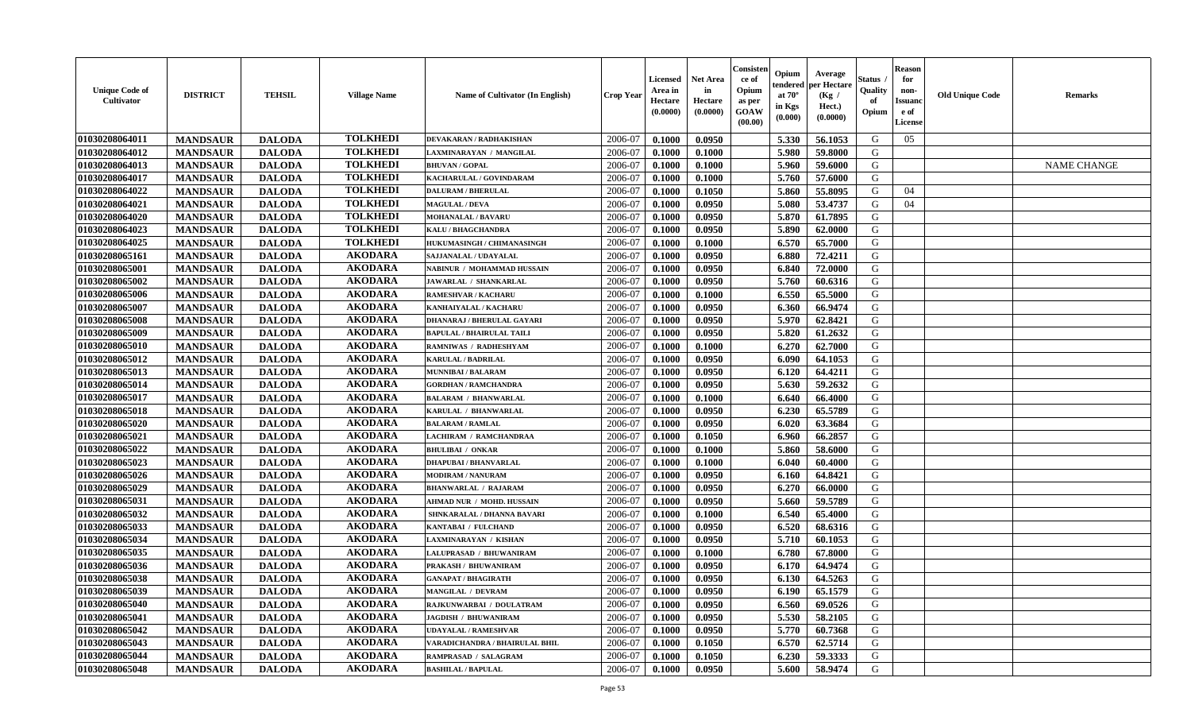| <b>Unique Code of</b><br><b>Cultivator</b> | <b>DISTRICT</b> | <b>TEHSIL</b> | <b>Village Name</b> | Name of Cultivator (In English)  | <b>Crop Year</b> | <b>Licensed</b><br>Area in<br>Hectare<br>(0.0000) | <b>Net Area</b><br>in<br>Hectare<br>(0.0000) | Consister<br>ce of<br>Opium<br>as per<br><b>GOAW</b><br>(00.00) | Opium<br>endered<br>at $70^\circ$<br>in Kgs<br>$(\mathbf{0.000})$ | Average<br>per Hectare<br>(Kg /<br>Hect.)<br>(0.0000) | Status<br>Quality<br>of<br>Opium | <b>Reason</b><br>for<br>non-<br><b>Issuano</b><br>e of<br>License | <b>Old Unique Code</b> | <b>Remarks</b>     |
|--------------------------------------------|-----------------|---------------|---------------------|----------------------------------|------------------|---------------------------------------------------|----------------------------------------------|-----------------------------------------------------------------|-------------------------------------------------------------------|-------------------------------------------------------|----------------------------------|-------------------------------------------------------------------|------------------------|--------------------|
| 01030208064011                             | <b>MANDSAUR</b> | <b>DALODA</b> | <b>TOLKHEDI</b>     | <b>DEVAKARAN / RADHAKISHAN</b>   | 2006-07          | 0.1000                                            | 0.0950                                       |                                                                 | 5.330                                                             | 56.1053                                               | G                                | 05                                                                |                        |                    |
| 01030208064012                             | <b>MANDSAUR</b> | <b>DALODA</b> | <b>TOLKHEDI</b>     | LAXMINARAYAN / MANGILAL          | 2006-07          | 0.1000                                            | 0.1000                                       |                                                                 | 5.980                                                             | 59.8000                                               | G                                |                                                                   |                        |                    |
| 01030208064013                             | <b>MANDSAUR</b> | <b>DALODA</b> | <b>TOLKHEDI</b>     | <b>BHUVAN / GOPAL</b>            | 2006-07          | 0.1000                                            | 0.1000                                       |                                                                 | 5.960                                                             | 59.6000                                               | G                                |                                                                   |                        | <b>NAME CHANGE</b> |
| 01030208064017                             | <b>MANDSAUR</b> | <b>DALODA</b> | <b>TOLKHEDI</b>     | KACHARULAL / GOVINDARAM          | 2006-07          | 0.1000                                            | 0.1000                                       |                                                                 | 5.760                                                             | 57.6000                                               | G                                |                                                                   |                        |                    |
| 01030208064022                             | <b>MANDSAUR</b> | <b>DALODA</b> | <b>TOLKHEDI</b>     | <b>DALURAM / BHERULAL</b>        | 2006-07          | 0.1000                                            | 0.1050                                       |                                                                 | 5.860                                                             | 55.8095                                               | G                                | 04                                                                |                        |                    |
| 01030208064021                             | <b>MANDSAUR</b> | <b>DALODA</b> | <b>TOLKHEDI</b>     | <b>MAGULAL / DEVA</b>            | 2006-07          | 0.1000                                            | 0.0950                                       |                                                                 | 5.080                                                             | 53.4737                                               | G                                | 04                                                                |                        |                    |
| 01030208064020                             | <b>MANDSAUR</b> | <b>DALODA</b> | <b>TOLKHEDI</b>     | <b>MOHANALAL / BAVARU</b>        | 2006-07          | 0.1000                                            | 0.0950                                       |                                                                 | 5.870                                                             | 61.7895                                               | G                                |                                                                   |                        |                    |
| 01030208064023                             | <b>MANDSAUR</b> | <b>DALODA</b> | <b>TOLKHEDI</b>     | KALU / BHAGCHANDRA               | 2006-07          | 0.1000                                            | 0.0950                                       |                                                                 | 5.890                                                             | 62.0000                                               | G                                |                                                                   |                        |                    |
| 01030208064025                             | <b>MANDSAUR</b> | <b>DALODA</b> | <b>TOLKHEDI</b>     | HUKUMASINGH / CHIMANASINGH       | 2006-07          | 0.1000                                            | 0.1000                                       |                                                                 | 6.570                                                             | 65.7000                                               | G                                |                                                                   |                        |                    |
| 01030208065161                             | <b>MANDSAUR</b> | <b>DALODA</b> | <b>AKODARA</b>      | SAJJANALAL / UDAYALAL            | 2006-07          | 0.1000                                            | 0.0950                                       |                                                                 | 6.880                                                             | 72.4211                                               | G                                |                                                                   |                        |                    |
| 01030208065001                             | <b>MANDSAUR</b> | <b>DALODA</b> | <b>AKODARA</b>      | NABINUR / MOHAMMAD HUSSAIN       | 2006-07          | 0.1000                                            | 0.0950                                       |                                                                 | 6.840                                                             | 72.0000                                               | G                                |                                                                   |                        |                    |
| 01030208065002                             | <b>MANDSAUR</b> | <b>DALODA</b> | <b>AKODARA</b>      | JAWARLAL / SHANKARLAL            | 2006-07          | 0.1000                                            | 0.0950                                       |                                                                 | 5.760                                                             | 60.6316                                               | G                                |                                                                   |                        |                    |
| 01030208065006                             | <b>MANDSAUR</b> | <b>DALODA</b> | <b>AKODARA</b>      | <b>RAMESHVAR / KACHARU</b>       | 2006-07          | 0.1000                                            | 0.1000                                       |                                                                 | 6.550                                                             | 65.5000                                               | G                                |                                                                   |                        |                    |
| 01030208065007                             | <b>MANDSAUR</b> | <b>DALODA</b> | <b>AKODARA</b>      | KANHAIYALAL / KACHARU            | 2006-07          | 0.1000                                            | 0.0950                                       |                                                                 | 6.360                                                             | 66.9474                                               | G                                |                                                                   |                        |                    |
| 01030208065008                             | <b>MANDSAUR</b> | <b>DALODA</b> | <b>AKODARA</b>      | DHANARAJ / BHERULAL GAYARI       | 2006-07          | 0.1000                                            | 0.0950                                       |                                                                 | 5.970                                                             | 62.8421                                               | G                                |                                                                   |                        |                    |
| 01030208065009                             | <b>MANDSAUR</b> | <b>DALODA</b> | <b>AKODARA</b>      | <b>BAPULAL / BHAIRULAL TAILI</b> | 2006-07          | 0.1000                                            | 0.0950                                       |                                                                 | 5.820                                                             | 61.2632                                               | G                                |                                                                   |                        |                    |
| 01030208065010                             | <b>MANDSAUR</b> | <b>DALODA</b> | <b>AKODARA</b>      | RAMNIWAS / RADHESHYAM            | 2006-07          | 0.1000                                            | 0.1000                                       |                                                                 | 6.270                                                             | 62.7000                                               | G                                |                                                                   |                        |                    |
| 01030208065012                             | <b>MANDSAUR</b> | <b>DALODA</b> | <b>AKODARA</b>      | <b>KARULAL / BADRILAL</b>        | 2006-07          | 0.1000                                            | 0.0950                                       |                                                                 | 6.090                                                             | 64.1053                                               | G                                |                                                                   |                        |                    |
| 01030208065013                             | <b>MANDSAUR</b> | <b>DALODA</b> | <b>AKODARA</b>      | <b>MUNNIBAI/BALARAM</b>          | 2006-07          | 0.1000                                            | 0.0950                                       |                                                                 | 6.120                                                             | 64.4211                                               | G                                |                                                                   |                        |                    |
| 01030208065014                             | <b>MANDSAUR</b> | <b>DALODA</b> | <b>AKODARA</b>      | <b>GORDHAN / RAMCHANDRA</b>      | 2006-07          | 0.1000                                            | 0.0950                                       |                                                                 | 5.630                                                             | 59.2632                                               | G                                |                                                                   |                        |                    |
| 01030208065017                             | <b>MANDSAUR</b> | <b>DALODA</b> | <b>AKODARA</b>      | <b>BALARAM / BHANWARLAL</b>      | 2006-07          | 0.1000                                            | 0.1000                                       |                                                                 | 6.640                                                             | 66.4000                                               | G                                |                                                                   |                        |                    |
| 01030208065018                             | <b>MANDSAUR</b> | <b>DALODA</b> | <b>AKODARA</b>      | KARULAL / BHANWARLAL             | 2006-07          | 0.1000                                            | 0.0950                                       |                                                                 | 6.230                                                             | 65.5789                                               | G                                |                                                                   |                        |                    |
| 01030208065020                             | <b>MANDSAUR</b> | <b>DALODA</b> | <b>AKODARA</b>      | <b>BALARAM / RAMLAL</b>          | 2006-07          | 0.1000                                            | 0.0950                                       |                                                                 | 6.020                                                             | 63.3684                                               | G                                |                                                                   |                        |                    |
| 01030208065021                             | <b>MANDSAUR</b> | <b>DALODA</b> | <b>AKODARA</b>      | LACHIRAM / RAMCHANDRAA           | 2006-07          | 0.1000                                            | 0.1050                                       |                                                                 | 6.960                                                             | 66.2857                                               | G                                |                                                                   |                        |                    |
| 01030208065022                             | <b>MANDSAUR</b> | <b>DALODA</b> | <b>AKODARA</b>      | <b>BHULIBAI / ONKAR</b>          | 2006-07          | 0.1000                                            | 0.1000                                       |                                                                 | 5.860                                                             | 58.6000                                               | G                                |                                                                   |                        |                    |
| 01030208065023                             | <b>MANDSAUR</b> | <b>DALODA</b> | <b>AKODARA</b>      | <b>DHAPUBAI/BHANVARLAL</b>       | 2006-07          | 0.1000                                            | 0.1000                                       |                                                                 | 6.040                                                             | 60.4000                                               | G                                |                                                                   |                        |                    |
| 01030208065026                             | <b>MANDSAUR</b> | <b>DALODA</b> | <b>AKODARA</b>      | <b>MODIRAM / NANURAM</b>         | 2006-07          | 0.1000                                            | 0.0950                                       |                                                                 | 6.160                                                             | 64.8421                                               | G                                |                                                                   |                        |                    |
| 01030208065029                             | <b>MANDSAUR</b> | <b>DALODA</b> | <b>AKODARA</b>      | <b>BHANWARLAL / RAJARAM</b>      | 2006-07          | 0.1000                                            | 0.0950                                       |                                                                 | 6.270                                                             | 66.0000                                               | G                                |                                                                   |                        |                    |
| 01030208065031                             | <b>MANDSAUR</b> | <b>DALODA</b> | <b>AKODARA</b>      | <b>AHMAD NUR / MOHD. HUSSAIN</b> | 2006-07          | 0.1000                                            | 0.0950                                       |                                                                 | 5.660                                                             | 59.5789                                               | G                                |                                                                   |                        |                    |
| 01030208065032                             | <b>MANDSAUR</b> | <b>DALODA</b> | <b>AKODARA</b>      | SHNKARALAL / DHANNA BAVARI       | 2006-07          | 0.1000                                            | 0.1000                                       |                                                                 | 6.540                                                             | 65.4000                                               | G                                |                                                                   |                        |                    |
| 01030208065033                             | <b>MANDSAUR</b> | <b>DALODA</b> | <b>AKODARA</b>      | KANTABAI / FULCHAND              | 2006-07          | 0.1000                                            | 0.0950                                       |                                                                 | 6.520                                                             | 68.6316                                               | G                                |                                                                   |                        |                    |
| 01030208065034                             | <b>MANDSAUR</b> | <b>DALODA</b> | <b>AKODARA</b>      | <b>LAXMINARAYAN / KISHAN</b>     | 2006-07          | 0.1000                                            | 0.0950                                       |                                                                 | 5.710                                                             | 60.1053                                               | G                                |                                                                   |                        |                    |
| 01030208065035                             | <b>MANDSAUR</b> | <b>DALODA</b> | <b>AKODARA</b>      | LALUPRASAD / BHUWANIRAM          | 2006-07          | 0.1000                                            | 0.1000                                       |                                                                 | 6.780                                                             | 67.8000                                               | G                                |                                                                   |                        |                    |
| 01030208065036                             | <b>MANDSAUR</b> | <b>DALODA</b> | <b>AKODARA</b>      | PRAKASH / BHUWANIRAM             | 2006-07          | 0.1000                                            | 0.0950                                       |                                                                 | 6.170                                                             | 64.9474                                               | G                                |                                                                   |                        |                    |
| 01030208065038                             | <b>MANDSAUR</b> | <b>DALODA</b> | <b>AKODARA</b>      | <b>GANAPAT / BHAGIRATH</b>       | 2006-07          | 0.1000                                            | 0.0950                                       |                                                                 | 6.130                                                             | 64.5263                                               | G                                |                                                                   |                        |                    |
| 01030208065039                             | <b>MANDSAUR</b> | <b>DALODA</b> | AKODARA             | <b>MANGILAL / DEVRAM</b>         | 2006-07          | 0.1000                                            | 0.0950                                       |                                                                 | 6.190                                                             | 65.1579                                               | G                                |                                                                   |                        |                    |
| 01030208065040                             | <b>MANDSAUR</b> | <b>DALODA</b> | <b>AKODARA</b>      | RAJKUNWARBAI / DOULATRAM         | 2006-07          | 0.1000                                            | 0.0950                                       |                                                                 | 6.560                                                             | 69.0526                                               | G                                |                                                                   |                        |                    |
| 01030208065041                             | <b>MANDSAUR</b> | <b>DALODA</b> | <b>AKODARA</b>      | <b>JAGDISH / BHUWANIRAM</b>      | 2006-07          | 0.1000                                            | 0.0950                                       |                                                                 | 5.530                                                             | 58.2105                                               | G                                |                                                                   |                        |                    |
| 01030208065042                             | <b>MANDSAUR</b> | <b>DALODA</b> | <b>AKODARA</b>      | <b>UDAYALAL / RAMESHVAR</b>      | 2006-07          | 0.1000                                            | 0.0950                                       |                                                                 | 5.770                                                             | 60.7368                                               | G                                |                                                                   |                        |                    |
| 01030208065043                             | <b>MANDSAUR</b> | <b>DALODA</b> | <b>AKODARA</b>      | VARADICHANDRA / BHAIRULAL BHIL   | 2006-07          | 0.1000                                            | 0.1050                                       |                                                                 | 6.570                                                             | 62.5714                                               | G                                |                                                                   |                        |                    |
| 01030208065044                             | <b>MANDSAUR</b> | <b>DALODA</b> | <b>AKODARA</b>      | RAMPRASAD / SALAGRAM             | 2006-07          | 0.1000                                            | 0.1050                                       |                                                                 | 6.230                                                             | 59.3333                                               | G                                |                                                                   |                        |                    |
| 01030208065048                             | <b>MANDSAUR</b> | <b>DALODA</b> | <b>AKODARA</b>      | <b>BASHILAL / BAPULAL</b>        | 2006-07          | 0.1000                                            | 0.0950                                       |                                                                 | 5.600                                                             | 58.9474                                               | G                                |                                                                   |                        |                    |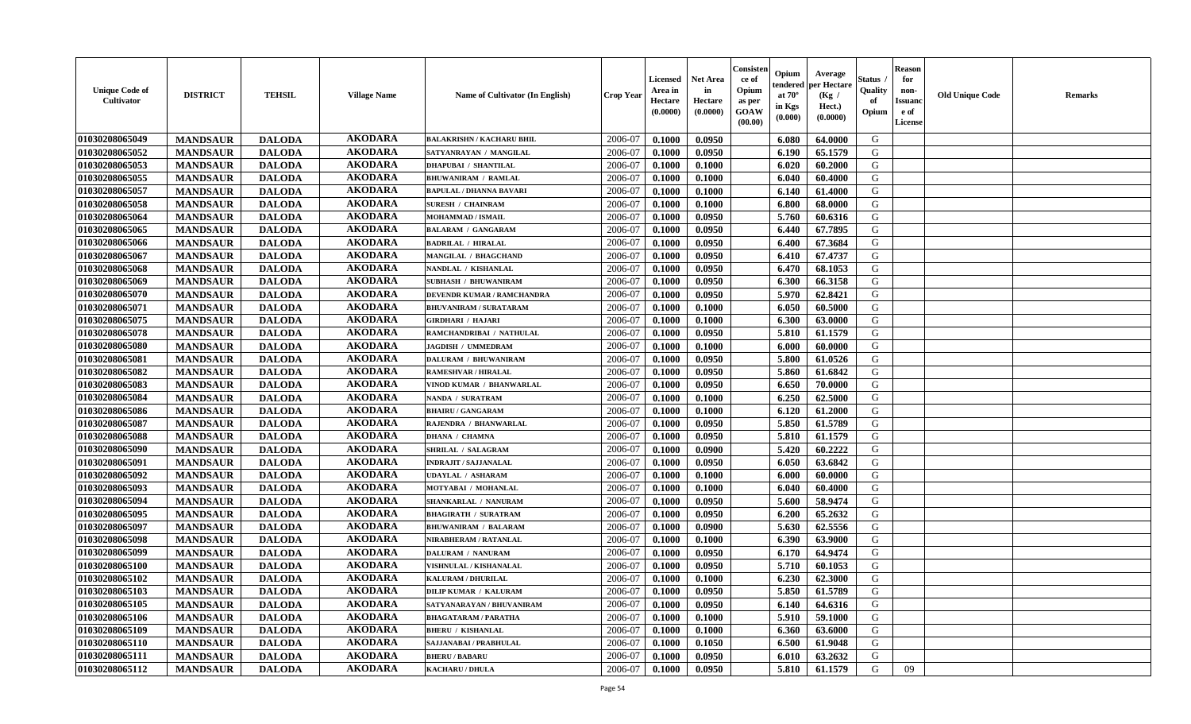| <b>Unique Code of</b><br><b>Cultivator</b> | <b>DISTRICT</b> | <b>TEHSIL</b> | <b>Village Name</b> | Name of Cultivator (In English)  | <b>Crop Year</b> | <b>Licensed</b><br>Area in<br>Hectare<br>(0.0000) | Net Area<br>in<br>Hectare<br>(0.0000) | Consisteı<br>ce of<br>Opium<br>as per<br>GOAW<br>(00.00) | Opium<br>endered<br>at $70^\circ$<br>in Kgs<br>(0.000) | Average<br>per Hectare<br>(Kg /<br>Hect.)<br>(0.0000) | Status<br>Quality<br>of<br>Opium | <b>Reason</b><br>for<br>non-<br><b>Issuand</b><br>e of<br>License | <b>Old Unique Code</b> | Remarks |
|--------------------------------------------|-----------------|---------------|---------------------|----------------------------------|------------------|---------------------------------------------------|---------------------------------------|----------------------------------------------------------|--------------------------------------------------------|-------------------------------------------------------|----------------------------------|-------------------------------------------------------------------|------------------------|---------|
| 01030208065049                             | <b>MANDSAUR</b> | <b>DALODA</b> | <b>AKODARA</b>      | <b>BALAKRISHN / KACHARU BHIL</b> | 2006-07          | 0.1000                                            | 0.0950                                |                                                          | 6.080                                                  | 64.0000                                               | G                                |                                                                   |                        |         |
| 01030208065052                             | <b>MANDSAUR</b> | <b>DALODA</b> | <b>AKODARA</b>      | SATYANRAYAN / MANGILAL           | 2006-07          | 0.1000                                            | 0.0950                                |                                                          | 6.190                                                  | 65.1579                                               | G                                |                                                                   |                        |         |
| 01030208065053                             | <b>MANDSAUR</b> | <b>DALODA</b> | <b>AKODARA</b>      | <b>DHAPUBAI / SHANTILAL</b>      | 2006-07          | 0.1000                                            | 0.1000                                |                                                          | 6.020                                                  | 60.2000                                               | G                                |                                                                   |                        |         |
| 01030208065055                             | <b>MANDSAUR</b> | <b>DALODA</b> | <b>AKODARA</b>      | <b>BHUWANIRAM / RAMLAL</b>       | 2006-07          | 0.1000                                            | 0.1000                                |                                                          | 6.040                                                  | 60.4000                                               | G                                |                                                                   |                        |         |
| 01030208065057                             | <b>MANDSAUR</b> | <b>DALODA</b> | <b>AKODARA</b>      | <b>BAPULAL / DHANNA BAVARI</b>   | 2006-07          | 0.1000                                            | 0.1000                                |                                                          | 6.140                                                  | 61.4000                                               | G                                |                                                                   |                        |         |
| 01030208065058                             | <b>MANDSAUR</b> | <b>DALODA</b> | <b>AKODARA</b>      | <b>SURESH / CHAINRAM</b>         | 2006-07          | 0.1000                                            | 0.1000                                |                                                          | 6.800                                                  | 68.0000                                               | G                                |                                                                   |                        |         |
| 01030208065064                             | <b>MANDSAUR</b> | <b>DALODA</b> | <b>AKODARA</b>      | MOHAMMAD / ISMAIL                | 2006-07          | 0.1000                                            | 0.0950                                |                                                          | 5.760                                                  | 60.6316                                               | G                                |                                                                   |                        |         |
| 01030208065065                             | <b>MANDSAUR</b> | <b>DALODA</b> | <b>AKODARA</b>      | <b>BALARAM / GANGARAM</b>        | 2006-07          | 0.1000                                            | 0.0950                                |                                                          | 6.440                                                  | 67.7895                                               | G                                |                                                                   |                        |         |
| 01030208065066                             | <b>MANDSAUR</b> | <b>DALODA</b> | <b>AKODARA</b>      | <b>BADRILAL / HIRALAL</b>        | 2006-07          | 0.1000                                            | 0.0950                                |                                                          | 6.400                                                  | 67.3684                                               | G                                |                                                                   |                        |         |
| 01030208065067                             | <b>MANDSAUR</b> | <b>DALODA</b> | <b>AKODARA</b>      | <b>MANGILAL / BHAGCHAND</b>      | 2006-07          | 0.1000                                            | 0.0950                                |                                                          | 6.410                                                  | 67.4737                                               | G                                |                                                                   |                        |         |
| 01030208065068                             | <b>MANDSAUR</b> | <b>DALODA</b> | <b>AKODARA</b>      | NANDLAL / KISHANLAL              | 2006-07          | 0.1000                                            | 0.0950                                |                                                          | 6.470                                                  | 68.1053                                               | G                                |                                                                   |                        |         |
| 01030208065069                             | <b>MANDSAUR</b> | <b>DALODA</b> | <b>AKODARA</b>      | <b>SUBHASH / BHUWANIRAM</b>      | 2006-07          | 0.1000                                            | 0.0950                                |                                                          | 6.300                                                  | 66.3158                                               | G                                |                                                                   |                        |         |
| 01030208065070                             | <b>MANDSAUR</b> | <b>DALODA</b> | <b>AKODARA</b>      | DEVENDR KUMAR / RAMCHANDRA       | 2006-07          | 0.1000                                            | 0.0950                                |                                                          | 5.970                                                  | 62.8421                                               | G                                |                                                                   |                        |         |
| 01030208065071                             | <b>MANDSAUR</b> | <b>DALODA</b> | <b>AKODARA</b>      | <b>BHUVANIRAM / SURATARAM</b>    | 2006-07          | 0.1000                                            | 0.1000                                |                                                          | 6.050                                                  | 60.5000                                               | G                                |                                                                   |                        |         |
| 01030208065075                             | <b>MANDSAUR</b> | <b>DALODA</b> | <b>AKODARA</b>      | GIRDHARI / HAJARI                | 2006-07          | 0.1000                                            | 0.1000                                |                                                          | 6.300                                                  | 63.0000                                               | $\mathbf G$                      |                                                                   |                        |         |
| 01030208065078                             | <b>MANDSAUR</b> | <b>DALODA</b> | <b>AKODARA</b>      | RAMCHANDRIBAI / NATHULAL         | 2006-07          | 0.1000                                            | 0.0950                                |                                                          | 5.810                                                  | 61.1579                                               | G                                |                                                                   |                        |         |
| 01030208065080                             | <b>MANDSAUR</b> | <b>DALODA</b> | <b>AKODARA</b>      | JAGDISH / UMMEDRAM               | 2006-07          | 0.1000                                            | 0.1000                                |                                                          | 6.000                                                  | 60.0000                                               | G                                |                                                                   |                        |         |
| 01030208065081                             | <b>MANDSAUR</b> | <b>DALODA</b> | <b>AKODARA</b>      | <b>DALURAM / BHUWANIRAM</b>      | 2006-07          | 0.1000                                            | 0.0950                                |                                                          | 5.800                                                  | 61.0526                                               | G                                |                                                                   |                        |         |
| 01030208065082                             | <b>MANDSAUR</b> | <b>DALODA</b> | <b>AKODARA</b>      | RAMESHVAR / HIRALAL              | 2006-07          | 0.1000                                            | 0.0950                                |                                                          | 5.860                                                  | 61.6842                                               | G                                |                                                                   |                        |         |
| 01030208065083                             | <b>MANDSAUR</b> | <b>DALODA</b> | <b>AKODARA</b>      | VINOD KUMAR / BHANWARLAL         | 2006-07          | 0.1000                                            | 0.0950                                |                                                          | 6.650                                                  | 70.0000                                               | G                                |                                                                   |                        |         |
| 01030208065084                             | <b>MANDSAUR</b> | <b>DALODA</b> | <b>AKODARA</b>      | NANDA / SURATRAM                 | 2006-07          | 0.1000                                            | 0.1000                                |                                                          | 6.250                                                  | 62.5000                                               | G                                |                                                                   |                        |         |
| 01030208065086                             | <b>MANDSAUR</b> | <b>DALODA</b> | <b>AKODARA</b>      | <b>BHAIRU / GANGARAM</b>         | 2006-07          | 0.1000                                            | 0.1000                                |                                                          | 6.120                                                  | 61.2000                                               | G                                |                                                                   |                        |         |
| 01030208065087                             | <b>MANDSAUR</b> | <b>DALODA</b> | <b>AKODARA</b>      | RAJENDRA / BHANWARLAL            | 2006-07          | 0.1000                                            | 0.0950                                |                                                          | 5.850                                                  | 61.5789                                               | G                                |                                                                   |                        |         |
| 01030208065088                             | <b>MANDSAUR</b> | <b>DALODA</b> | <b>AKODARA</b>      | <b>DHANA / CHAMNA</b>            | 2006-07          | 0.1000                                            | 0.0950                                |                                                          | 5.810                                                  | 61.1579                                               | G                                |                                                                   |                        |         |
| 01030208065090                             | <b>MANDSAUR</b> | <b>DALODA</b> | <b>AKODARA</b>      | <b>SHRILAL / SALAGRAM</b>        | 2006-07          | 0.1000                                            | 0.0900                                |                                                          | 5.420                                                  | 60.2222                                               | G                                |                                                                   |                        |         |
| 01030208065091                             | <b>MANDSAUR</b> | <b>DALODA</b> | <b>AKODARA</b>      | <b>INDRAJIT / SAJJANALAL</b>     | 2006-07          | 0.1000                                            | 0.0950                                |                                                          | 6.050                                                  | 63.6842                                               | G                                |                                                                   |                        |         |
| 01030208065092                             | <b>MANDSAUR</b> | <b>DALODA</b> | <b>AKODARA</b>      | <b>UDAYLAL / ASHARAM</b>         | 2006-07          | 0.1000                                            | 0.1000                                |                                                          | 6.000                                                  | 60.0000                                               | G                                |                                                                   |                        |         |
| 01030208065093                             | <b>MANDSAUR</b> | <b>DALODA</b> | <b>AKODARA</b>      | MOTYABAI / MOHANLAL              | 2006-07          | 0.1000                                            | 0.1000                                |                                                          | 6.040                                                  | 60.4000                                               | G                                |                                                                   |                        |         |
| 01030208065094                             | <b>MANDSAUR</b> | <b>DALODA</b> | <b>AKODARA</b>      | SHANKARLAL / NANURAM             | 2006-07          | 0.1000                                            | 0.0950                                |                                                          | 5.600                                                  | 58.9474                                               | G                                |                                                                   |                        |         |
| 01030208065095                             | <b>MANDSAUR</b> | <b>DALODA</b> | <b>AKODARA</b>      | <b>BHAGIRATH / SURATRAM</b>      | 2006-07          | 0.1000                                            | 0.0950                                |                                                          | 6.200                                                  | 65.2632                                               | G                                |                                                                   |                        |         |
| 01030208065097                             | <b>MANDSAUR</b> | <b>DALODA</b> | <b>AKODARA</b>      | <b>BHUWANIRAM / BALARAM</b>      | 2006-07          | 0.1000                                            | 0.0900                                |                                                          | 5.630                                                  | 62.5556                                               | G                                |                                                                   |                        |         |
| 01030208065098                             | <b>MANDSAUR</b> | <b>DALODA</b> | <b>AKODARA</b>      | NIRABHERAM / RATANLAL            | 2006-07          | 0.1000                                            | 0.1000                                |                                                          | 6.390                                                  | 63.9000                                               | G                                |                                                                   |                        |         |
| 01030208065099                             | <b>MANDSAUR</b> | <b>DALODA</b> | <b>AKODARA</b>      | DALURAM / NANURAM                | 2006-07          | 0.1000                                            | 0.0950                                |                                                          | 6.170                                                  | 64.9474                                               | G                                |                                                                   |                        |         |
| 01030208065100                             | <b>MANDSAUR</b> | <b>DALODA</b> | <b>AKODARA</b>      | VISHNULAL / KISHANALAL           | 2006-07          | 0.1000                                            | 0.0950                                |                                                          | 5.710                                                  | 60.1053                                               | G                                |                                                                   |                        |         |
| 01030208065102                             | <b>MANDSAUR</b> | <b>DALODA</b> | <b>AKODARA</b>      | <b>KALURAM / DHURILAL</b>        | 2006-07          | 0.1000                                            | 0.1000                                |                                                          | 6.230                                                  | 62.3000                                               | G                                |                                                                   |                        |         |
| 01030208065103                             | <b>MANDSAUR</b> | <b>DALODA</b> | <b>AKODARA</b>      | <b>DILIP KUMAR / KALURAM</b>     | 2006-07          | 0.1000                                            | 0.0950                                |                                                          | 5.850                                                  | 61.5789                                               | G                                |                                                                   |                        |         |
| 01030208065105                             | <b>MANDSAUR</b> | <b>DALODA</b> | <b>AKODARA</b>      | SATYANARAYAN / BHUVANIRAM        | 2006-07          | 0.1000                                            | 0.0950                                |                                                          | 6.140                                                  | 64.6316                                               | G                                |                                                                   |                        |         |
| 01030208065106                             | <b>MANDSAUR</b> | <b>DALODA</b> | <b>AKODARA</b>      | <b>BHAGATARAM / PARATHA</b>      | 2006-07          | 0.1000                                            | 0.1000                                |                                                          | 5.910                                                  | 59.1000                                               | G                                |                                                                   |                        |         |
| 01030208065109                             | <b>MANDSAUR</b> | <b>DALODA</b> | <b>AKODARA</b>      | <b>BHERU / KISHANLAL</b>         | 2006-07          | 0.1000                                            | 0.1000                                |                                                          | 6.360                                                  | 63.6000                                               | G                                |                                                                   |                        |         |
| 01030208065110                             | <b>MANDSAUR</b> | <b>DALODA</b> | <b>AKODARA</b>      | SAJJANABAI / PRABHULAL           | 2006-07          | 0.1000                                            | 0.1050                                |                                                          | 6.500                                                  | 61.9048                                               | G                                |                                                                   |                        |         |
| 01030208065111                             | <b>MANDSAUR</b> | <b>DALODA</b> | <b>AKODARA</b>      | <b>BHERU / BABARU</b>            | 2006-07          | 0.1000                                            | 0.0950                                |                                                          | 6.010                                                  | 63.2632                                               | G                                |                                                                   |                        |         |
| 01030208065112                             | <b>MANDSAUR</b> | <b>DALODA</b> | <b>AKODARA</b>      | <b>KACHARU / DHULA</b>           | 2006-07          | 0.1000                                            | 0.0950                                |                                                          | 5.810                                                  | 61.1579                                               | G                                | 09                                                                |                        |         |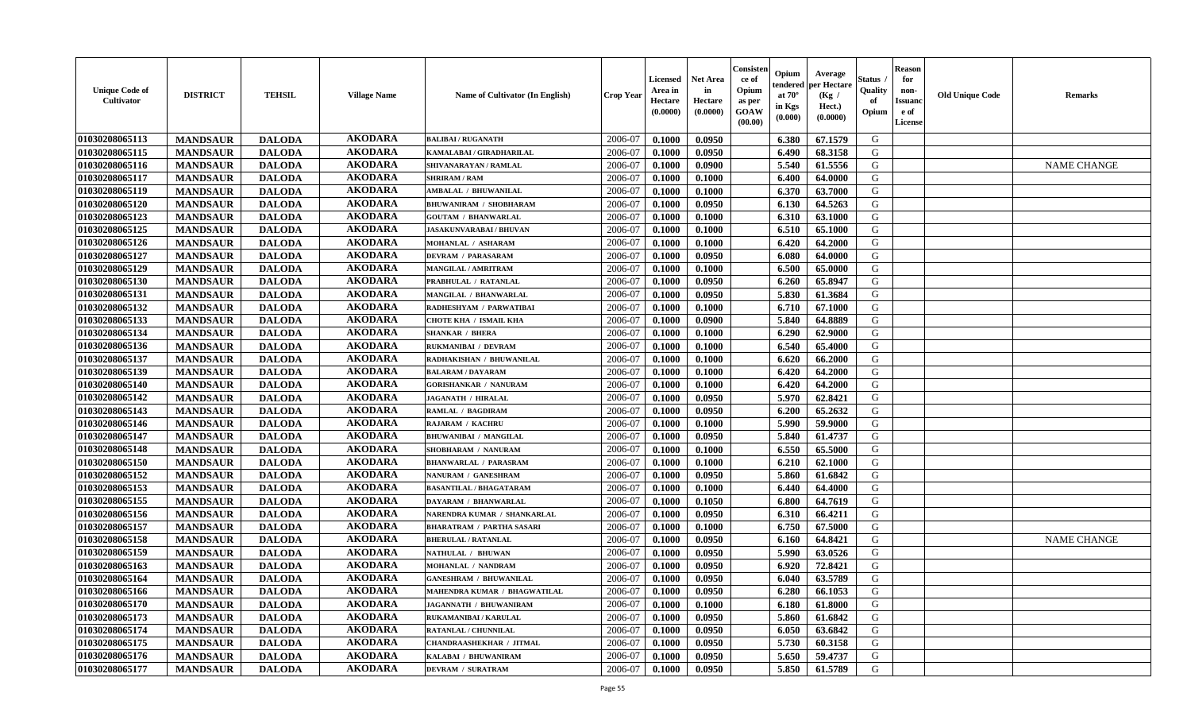| <b>Unique Code of</b><br><b>Cultivator</b> | <b>DISTRICT</b> | <b>TEHSIL</b> | <b>Village Name</b> | Name of Cultivator (In English)  | <b>Crop Year</b> | <b>Licensed</b><br>Area in<br>Hectare<br>(0.0000) | Net Area<br>in<br>Hectare<br>(0.0000) | Consisteı<br>ce of<br>Opium<br>as per<br>GOAW<br>(00.00) | Opium<br>endered<br>at $70^\circ$<br>in Kgs<br>(0.000) | Average<br>per Hectare<br>(Kg /<br>Hect.)<br>(0.0000) | Status<br>Quality<br>of<br>Opium | <b>Reason</b><br>for<br>non-<br><b>Issuand</b><br>e of<br>License | <b>Old Unique Code</b> | Remarks            |
|--------------------------------------------|-----------------|---------------|---------------------|----------------------------------|------------------|---------------------------------------------------|---------------------------------------|----------------------------------------------------------|--------------------------------------------------------|-------------------------------------------------------|----------------------------------|-------------------------------------------------------------------|------------------------|--------------------|
| 01030208065113                             | <b>MANDSAUR</b> | <b>DALODA</b> | <b>AKODARA</b>      | <b>BALIBAI/RUGANATH</b>          | 2006-07          | 0.1000                                            | 0.0950                                |                                                          | 6.380                                                  | 67.1579                                               | G                                |                                                                   |                        |                    |
| 01030208065115                             | <b>MANDSAUR</b> | <b>DALODA</b> | <b>AKODARA</b>      | KAMALABAI / GIRADHARILAL         | 2006-07          | 0.1000                                            | 0.0950                                |                                                          | 6.490                                                  | 68.3158                                               | G                                |                                                                   |                        |                    |
| 01030208065116                             | <b>MANDSAUR</b> | <b>DALODA</b> | <b>AKODARA</b>      | SHIVANARAYAN / RAMLAL            | 2006-07          | 0.1000                                            | 0.0900                                |                                                          | 5.540                                                  | 61.5556                                               | G                                |                                                                   |                        | <b>NAME CHANGE</b> |
| 01030208065117                             | <b>MANDSAUR</b> | <b>DALODA</b> | <b>AKODARA</b>      | <b>SHRIRAM / RAM</b>             | 2006-07          | 0.1000                                            | 0.1000                                |                                                          | 6.400                                                  | 64.0000                                               | G                                |                                                                   |                        |                    |
| 01030208065119                             | <b>MANDSAUR</b> | <b>DALODA</b> | <b>AKODARA</b>      | <b>AMBALAL / BHUWANILAL</b>      | 2006-07          | 0.1000                                            | 0.1000                                |                                                          | 6.370                                                  | 63.7000                                               | G                                |                                                                   |                        |                    |
| 01030208065120                             | <b>MANDSAUR</b> | <b>DALODA</b> | <b>AKODARA</b>      | <b>BHUWANIRAM / SHOBHARAM</b>    | 2006-07          | 0.1000                                            | 0.0950                                |                                                          | 6.130                                                  | 64.5263                                               | G                                |                                                                   |                        |                    |
| 01030208065123                             | <b>MANDSAUR</b> | <b>DALODA</b> | <b>AKODARA</b>      | <b>GOUTAM / BHANWARLAL</b>       | 2006-07          | 0.1000                                            | 0.1000                                |                                                          | 6.310                                                  | 63.1000                                               | G                                |                                                                   |                        |                    |
| 01030208065125                             | <b>MANDSAUR</b> | <b>DALODA</b> | <b>AKODARA</b>      | <b>JASAKUNVARABAI/BHUVAN</b>     | 2006-07          | 0.1000                                            | 0.1000                                |                                                          | 6.510                                                  | 65.1000                                               | G                                |                                                                   |                        |                    |
| 01030208065126                             | <b>MANDSAUR</b> | <b>DALODA</b> | <b>AKODARA</b>      | MOHANLAL / ASHARAM               | 2006-07          | 0.1000                                            | 0.1000                                |                                                          | 6.420                                                  | 64.2000                                               | G                                |                                                                   |                        |                    |
| 01030208065127                             | <b>MANDSAUR</b> | <b>DALODA</b> | <b>AKODARA</b>      | <b>DEVRAM / PARASARAM</b>        | 2006-07          | 0.1000                                            | 0.0950                                |                                                          | 6.080                                                  | 64.0000                                               | G                                |                                                                   |                        |                    |
| 01030208065129                             | <b>MANDSAUR</b> | <b>DALODA</b> | <b>AKODARA</b>      | <b>MANGILAL / AMRITRAM</b>       | 2006-07          | 0.1000                                            | 0.1000                                |                                                          | 6.500                                                  | 65.0000                                               | G                                |                                                                   |                        |                    |
| 01030208065130                             | <b>MANDSAUR</b> | <b>DALODA</b> | <b>AKODARA</b>      | PRABHULAL / RATANLAL             | 2006-07          | 0.1000                                            | 0.0950                                |                                                          | 6.260                                                  | 65.8947                                               | G                                |                                                                   |                        |                    |
| 01030208065131                             | <b>MANDSAUR</b> | <b>DALODA</b> | <b>AKODARA</b>      | <b>MANGILAL / BHANWARLAL</b>     | 2006-07          | 0.1000                                            | 0.0950                                |                                                          | 5.830                                                  | 61.3684                                               | G                                |                                                                   |                        |                    |
| 01030208065132                             | <b>MANDSAUR</b> | <b>DALODA</b> | <b>AKODARA</b>      | RADHESHYAM / PARWATIBAI          | 2006-07          | 0.1000                                            | 0.1000                                |                                                          | 6.710                                                  | 67.1000                                               | G                                |                                                                   |                        |                    |
| 01030208065133                             | <b>MANDSAUR</b> | <b>DALODA</b> | <b>AKODARA</b>      | CHOTE KHA / ISMAIL KHA           | 2006-07          | 0.1000                                            | 0.0900                                |                                                          | 5.840                                                  | 64.8889                                               | $\mathbf G$                      |                                                                   |                        |                    |
| 01030208065134                             | <b>MANDSAUR</b> | <b>DALODA</b> | <b>AKODARA</b>      | <b>SHANKAR / BHERA</b>           | 2006-07          | 0.1000                                            | 0.1000                                |                                                          | 6.290                                                  | 62.9000                                               | G                                |                                                                   |                        |                    |
| 01030208065136                             | <b>MANDSAUR</b> | <b>DALODA</b> | <b>AKODARA</b>      | RUKMANIBAI / DEVRAM              | 2006-07          | 0.1000                                            | 0.1000                                |                                                          | 6.540                                                  | 65.4000                                               | G                                |                                                                   |                        |                    |
| 01030208065137                             | <b>MANDSAUR</b> | <b>DALODA</b> | <b>AKODARA</b>      | RADHAKISHAN / BHUWANILAL         | 2006-07          | 0.1000                                            | 0.1000                                |                                                          | 6.620                                                  | 66.2000                                               | G                                |                                                                   |                        |                    |
| 01030208065139                             | <b>MANDSAUR</b> | <b>DALODA</b> | <b>AKODARA</b>      | <b>BALARAM / DAYARAM</b>         | 2006-07          | 0.1000                                            | 0.1000                                |                                                          | 6.420                                                  | 64.2000                                               | G                                |                                                                   |                        |                    |
| 01030208065140                             | <b>MANDSAUR</b> | <b>DALODA</b> | <b>AKODARA</b>      | <b>GORISHANKAR / NANURAM</b>     | 2006-07          | 0.1000                                            | 0.1000                                |                                                          | 6.420                                                  | 64.2000                                               | G                                |                                                                   |                        |                    |
| 01030208065142                             | <b>MANDSAUR</b> | <b>DALODA</b> | <b>AKODARA</b>      | <b>JAGANATH / HIRALAL</b>        | 2006-07          | 0.1000                                            | 0.0950                                |                                                          | 5.970                                                  | 62.8421                                               | G                                |                                                                   |                        |                    |
| 01030208065143                             | <b>MANDSAUR</b> | <b>DALODA</b> | <b>AKODARA</b>      | <b>RAMLAL / BAGDIRAM</b>         | 2006-07          | 0.1000                                            | 0.0950                                |                                                          | 6.200                                                  | 65.2632                                               | G                                |                                                                   |                        |                    |
| 01030208065146                             | <b>MANDSAUR</b> | <b>DALODA</b> | <b>AKODARA</b>      | <b>RAJARAM / KACHRU</b>          | 2006-07          | 0.1000                                            | 0.1000                                |                                                          | 5.990                                                  | 59.9000                                               | G                                |                                                                   |                        |                    |
| 01030208065147                             | <b>MANDSAUR</b> | <b>DALODA</b> | <b>AKODARA</b>      | <b>BHUWANIBAI / MANGILAL</b>     | 2006-07          | 0.1000                                            | 0.0950                                |                                                          | 5.840                                                  | 61.4737                                               | G                                |                                                                   |                        |                    |
| 01030208065148                             | <b>MANDSAUR</b> | <b>DALODA</b> | <b>AKODARA</b>      | SHOBHARAM / NANURAM              | 2006-07          | 0.1000                                            | 0.1000                                |                                                          | 6.550                                                  | 65.5000                                               | G                                |                                                                   |                        |                    |
| 01030208065150                             | <b>MANDSAUR</b> | <b>DALODA</b> | <b>AKODARA</b>      | <b>BHANWARLAL / PARASRAM</b>     | 2006-07          | 0.1000                                            | 0.1000                                |                                                          | 6.210                                                  | 62.1000                                               | G                                |                                                                   |                        |                    |
| 01030208065152                             | <b>MANDSAUR</b> | <b>DALODA</b> | <b>AKODARA</b>      | NANURAM / GANESHRAM              | 2006-07          | 0.1000                                            | 0.0950                                |                                                          | 5.860                                                  | 61.6842                                               | G                                |                                                                   |                        |                    |
| 01030208065153                             | <b>MANDSAUR</b> | <b>DALODA</b> | <b>AKODARA</b>      | <b>BASANTILAL / BHAGATARAM</b>   | 2006-07          | 0.1000                                            | 0.1000                                |                                                          | 6.440                                                  | 64.4000                                               | G                                |                                                                   |                        |                    |
| 01030208065155                             | <b>MANDSAUR</b> | <b>DALODA</b> | <b>AKODARA</b>      | DAYARAM / BHANWARLAL             | 2006-07          | 0.1000                                            | 0.1050                                |                                                          | 6.800                                                  | 64.7619                                               | G                                |                                                                   |                        |                    |
| 01030208065156                             | <b>MANDSAUR</b> | <b>DALODA</b> | <b>AKODARA</b>      | NARENDRA KUMAR / SHANKARLAL      | 2006-07          | 0.1000                                            | 0.0950                                |                                                          | 6.310                                                  | 66.4211                                               | G                                |                                                                   |                        |                    |
| 01030208065157                             | <b>MANDSAUR</b> | <b>DALODA</b> | <b>AKODARA</b>      | <b>BHARATRAM / PARTHA SASARI</b> | 2006-07          | 0.1000                                            | 0.1000                                |                                                          | 6.750                                                  | 67.5000                                               | G                                |                                                                   |                        |                    |
| 01030208065158                             | <b>MANDSAUR</b> | <b>DALODA</b> | <b>AKODARA</b>      | <b>BHERULAL / RATANLAL</b>       | 2006-07          | 0.1000                                            | 0.0950                                |                                                          | 6.160                                                  | 64.8421                                               | G                                |                                                                   |                        | <b>NAME CHANGE</b> |
| 01030208065159                             | <b>MANDSAUR</b> | <b>DALODA</b> | <b>AKODARA</b>      | NATHULAL / BHUWAN                | 2006-07          | 0.1000                                            | 0.0950                                |                                                          | 5.990                                                  | 63.0526                                               | G                                |                                                                   |                        |                    |
| 01030208065163                             | <b>MANDSAUR</b> | <b>DALODA</b> | <b>AKODARA</b>      | MOHANLAL / NANDRAM               | 2006-07          | 0.1000                                            | 0.0950                                |                                                          | 6.920                                                  | 72.8421                                               | G                                |                                                                   |                        |                    |
| 01030208065164                             | <b>MANDSAUR</b> | <b>DALODA</b> | <b>AKODARA</b>      | <b>GANESHRAM / BHUWANILAL</b>    | 2006-07          | 0.1000                                            | 0.0950                                |                                                          | 6.040                                                  | 63.5789                                               | G                                |                                                                   |                        |                    |
| 01030208065166                             | <b>MANDSAUR</b> | <b>DALODA</b> | <b>AKODARA</b>      | MAHENDRA KUMAR / BHAGWATILAL     | 2006-07          | 0.1000                                            | 0.0950                                |                                                          | 6.280                                                  | 66.1053                                               | G                                |                                                                   |                        |                    |
| 01030208065170                             | <b>MANDSAUR</b> | <b>DALODA</b> | <b>AKODARA</b>      | <b>JAGANNATH / BHUWANIRAM</b>    | 2006-07          | 0.1000                                            | 0.1000                                |                                                          | 6.180                                                  | 61.8000                                               | G                                |                                                                   |                        |                    |
| 01030208065173                             | <b>MANDSAUR</b> | <b>DALODA</b> | <b>AKODARA</b>      | RUKAMANIBAI / KARULAL            | 2006-07          | 0.1000                                            | 0.0950                                |                                                          | 5.860                                                  | 61.6842                                               | G                                |                                                                   |                        |                    |
| 01030208065174                             | <b>MANDSAUR</b> | <b>DALODA</b> | <b>AKODARA</b>      | <b>RATANLAL / CHUNNILAL</b>      | 2006-07          | 0.1000                                            | 0.0950                                |                                                          | 6.050                                                  | 63.6842                                               | G                                |                                                                   |                        |                    |
| 01030208065175                             | <b>MANDSAUR</b> | <b>DALODA</b> | <b>AKODARA</b>      | CHANDRAASHEKHAR / JITMAL         | 2006-07          | 0.1000                                            | 0.0950                                |                                                          | 5.730                                                  | 60.3158                                               | ${\bf G}$                        |                                                                   |                        |                    |
| 01030208065176                             | <b>MANDSAUR</b> | <b>DALODA</b> | <b>AKODARA</b>      | KALABAI / BHUWANIRAM             | 2006-07          | 0.1000                                            | 0.0950                                |                                                          | 5.650                                                  | 59.4737                                               | G                                |                                                                   |                        |                    |
| 01030208065177                             | <b>MANDSAUR</b> | <b>DALODA</b> | <b>AKODARA</b>      | <b>DEVRAM / SURATRAM</b>         | 2006-07          | 0.1000                                            | 0.0950                                |                                                          | 5.850                                                  | 61.5789                                               | G                                |                                                                   |                        |                    |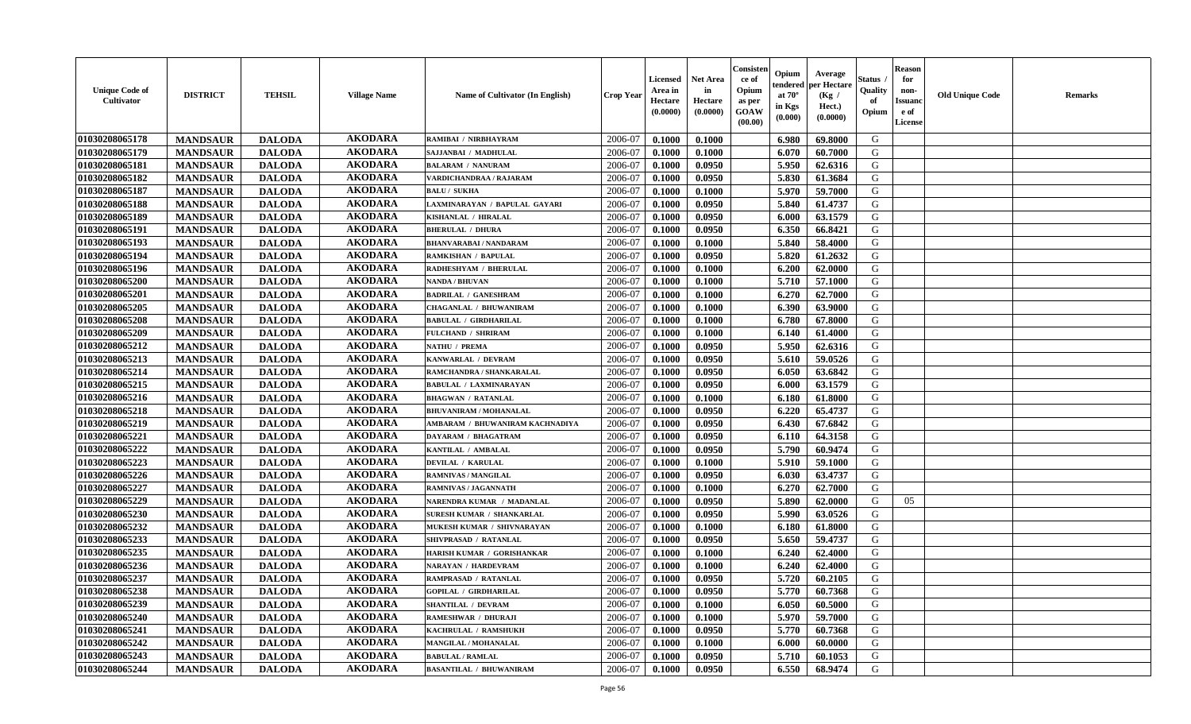| <b>Unique Code of</b><br><b>Cultivator</b> | <b>DISTRICT</b> | <b>TEHSIL</b> | <b>Village Name</b> | <b>Name of Cultivator (In English)</b> | <b>Crop Year</b> | <b>Licensed</b><br>Area in<br>Hectare<br>(0.0000) | Net Area<br>in<br>Hectare<br>(0.0000) | Consisteı<br>ce of<br>Opium<br>as per<br>GOAW<br>(00.00) | Opium<br>endered<br>at $70^\circ$<br>in Kgs<br>(0.000) | Average<br>per Hectare<br>(Kg /<br>Hect.)<br>(0.0000) | Status<br>Quality<br>of<br>Opium | <b>Reason</b><br>for<br>non-<br><b>Issuand</b><br>e of<br>License | <b>Old Unique Code</b> | Remarks |
|--------------------------------------------|-----------------|---------------|---------------------|----------------------------------------|------------------|---------------------------------------------------|---------------------------------------|----------------------------------------------------------|--------------------------------------------------------|-------------------------------------------------------|----------------------------------|-------------------------------------------------------------------|------------------------|---------|
| 01030208065178                             | <b>MANDSAUR</b> | <b>DALODA</b> | <b>AKODARA</b>      | RAMIBAI / NIRBHAYRAM                   | 2006-07          | 0.1000                                            | 0.1000                                |                                                          | 6.980                                                  | 69.8000                                               | G                                |                                                                   |                        |         |
| 01030208065179                             | <b>MANDSAUR</b> | <b>DALODA</b> | <b>AKODARA</b>      | SAJJANBAI / MADHULAL                   | 2006-07          | 0.1000                                            | 0.1000                                |                                                          | 6.070                                                  | 60.7000                                               | G                                |                                                                   |                        |         |
| 01030208065181                             | <b>MANDSAUR</b> | <b>DALODA</b> | <b>AKODARA</b>      | <b>BALARAM / NANURAM</b>               | 2006-07          | 0.1000                                            | 0.0950                                |                                                          | 5.950                                                  | 62.6316                                               | G                                |                                                                   |                        |         |
| 01030208065182                             | <b>MANDSAUR</b> | <b>DALODA</b> | <b>AKODARA</b>      | VARDICHANDRAA / RAJARAM                | 2006-07          | 0.1000                                            | 0.0950                                |                                                          | 5.830                                                  | 61.3684                                               | G                                |                                                                   |                        |         |
| 01030208065187                             | <b>MANDSAUR</b> | <b>DALODA</b> | <b>AKODARA</b>      | <b>BALU / SUKHA</b>                    | 2006-07          | 0.1000                                            | 0.1000                                |                                                          | 5.970                                                  | 59.7000                                               | G                                |                                                                   |                        |         |
| 01030208065188                             | <b>MANDSAUR</b> | <b>DALODA</b> | <b>AKODARA</b>      | LAXMINARAYAN / BAPULAL GAYARI          | 2006-07          | 0.1000                                            | 0.0950                                |                                                          | 5.840                                                  | 61.4737                                               | G                                |                                                                   |                        |         |
| 01030208065189                             | <b>MANDSAUR</b> | <b>DALODA</b> | <b>AKODARA</b>      | KISHANLAL / HIRALAL                    | 2006-07          | 0.1000                                            | 0.0950                                |                                                          | 6.000                                                  | 63.1579                                               | G                                |                                                                   |                        |         |
| 01030208065191                             | <b>MANDSAUR</b> | <b>DALODA</b> | <b>AKODARA</b>      | <b>BHERULAL / DHURA</b>                | 2006-07          | 0.1000                                            | 0.0950                                |                                                          | 6.350                                                  | 66.8421                                               | G                                |                                                                   |                        |         |
| 01030208065193                             | <b>MANDSAUR</b> | <b>DALODA</b> | <b>AKODARA</b>      | <b>BHANVARABAI/NANDARAM</b>            | 2006-07          | 0.1000                                            | 0.1000                                |                                                          | 5.840                                                  | 58.4000                                               | G                                |                                                                   |                        |         |
| 01030208065194                             | <b>MANDSAUR</b> | <b>DALODA</b> | <b>AKODARA</b>      | RAMKISHAN / BAPULAL                    | 2006-07          | 0.1000                                            | 0.0950                                |                                                          | 5.820                                                  | 61.2632                                               | G                                |                                                                   |                        |         |
| 01030208065196                             | <b>MANDSAUR</b> | <b>DALODA</b> | <b>AKODARA</b>      | RADHESHYAM / BHERULAL                  | 2006-07          | 0.1000                                            | 0.1000                                |                                                          | 6.200                                                  | 62.0000                                               | G                                |                                                                   |                        |         |
| 01030208065200                             | <b>MANDSAUR</b> | <b>DALODA</b> | <b>AKODARA</b>      | <b>NANDA / BHUVAN</b>                  | 2006-07          | 0.1000                                            | 0.1000                                |                                                          | 5.710                                                  | 57.1000                                               | G                                |                                                                   |                        |         |
| 01030208065201                             | <b>MANDSAUR</b> | <b>DALODA</b> | <b>AKODARA</b>      | <b>BADRILAL / GANESHRAM</b>            | 2006-07          | 0.1000                                            | 0.1000                                |                                                          | 6.270                                                  | 62.7000                                               | G                                |                                                                   |                        |         |
| 01030208065205                             | <b>MANDSAUR</b> | <b>DALODA</b> | <b>AKODARA</b>      | <b>CHAGANLAL / BHUWANIRAM</b>          | 2006-07          | 0.1000                                            | 0.1000                                |                                                          | 6.390                                                  | 63.9000                                               | G                                |                                                                   |                        |         |
| 01030208065208                             | <b>MANDSAUR</b> | <b>DALODA</b> | <b>AKODARA</b>      | <b>BABULAL / GIRDHARILAL</b>           | 2006-07          | 0.1000                                            | 0.1000                                |                                                          | 6.780                                                  | 67.8000                                               | $\mathbf G$                      |                                                                   |                        |         |
| 01030208065209                             | <b>MANDSAUR</b> | <b>DALODA</b> | <b>AKODARA</b>      | <b>FULCHAND / SHRIRAM</b>              | 2006-07          | 0.1000                                            | 0.1000                                |                                                          | 6.140                                                  | 61.4000                                               | G                                |                                                                   |                        |         |
| 01030208065212                             | <b>MANDSAUR</b> | <b>DALODA</b> | <b>AKODARA</b>      | NATHU / PREMA                          | 2006-07          | 0.1000                                            | 0.0950                                |                                                          | 5.950                                                  | 62.6316                                               | G                                |                                                                   |                        |         |
| 01030208065213                             | <b>MANDSAUR</b> | <b>DALODA</b> | <b>AKODARA</b>      | KANWARLAL / DEVRAM                     | 2006-07          | 0.1000                                            | 0.0950                                |                                                          | 5.610                                                  | 59.0526                                               | G                                |                                                                   |                        |         |
| 01030208065214                             | <b>MANDSAUR</b> | <b>DALODA</b> | <b>AKODARA</b>      | RAMCHANDRA / SHANKARALAL               | 2006-07          | 0.1000                                            | 0.0950                                |                                                          | 6.050                                                  | 63.6842                                               | G                                |                                                                   |                        |         |
| 01030208065215                             | <b>MANDSAUR</b> | <b>DALODA</b> | <b>AKODARA</b>      | <b>BABULAL / LAXMINARAYAN</b>          | 2006-07          | 0.1000                                            | 0.0950                                |                                                          | 6.000                                                  | 63.1579                                               | G                                |                                                                   |                        |         |
| 01030208065216                             | <b>MANDSAUR</b> | <b>DALODA</b> | <b>AKODARA</b>      | <b>BHAGWAN / RATANLAL</b>              | 2006-07          | 0.1000                                            | 0.1000                                |                                                          | 6.180                                                  | 61.8000                                               | G                                |                                                                   |                        |         |
| 01030208065218                             | <b>MANDSAUR</b> | <b>DALODA</b> | <b>AKODARA</b>      | <b>BHUVANIRAM / MOHANALAL</b>          | 2006-07          | 0.1000                                            | 0.0950                                |                                                          | 6.220                                                  | 65.4737                                               | G                                |                                                                   |                        |         |
| 01030208065219                             | <b>MANDSAUR</b> | <b>DALODA</b> | <b>AKODARA</b>      | AMBARAM / BHUWANIRAM KACHNADIYA        | 2006-07          | 0.1000                                            | 0.0950                                |                                                          | 6.430                                                  | 67.6842                                               | G                                |                                                                   |                        |         |
| 01030208065221                             | <b>MANDSAUR</b> | <b>DALODA</b> | <b>AKODARA</b>      | DAYARAM / BHAGATRAM                    | 2006-07          | 0.1000                                            | 0.0950                                |                                                          | 6.110                                                  | 64.3158                                               | G                                |                                                                   |                        |         |
| 01030208065222                             | <b>MANDSAUR</b> | <b>DALODA</b> | <b>AKODARA</b>      | KANTILAL / AMBALAL                     | 2006-07          | 0.1000                                            | 0.0950                                |                                                          | 5.790                                                  | 60.9474                                               | G                                |                                                                   |                        |         |
| 01030208065223                             | <b>MANDSAUR</b> | <b>DALODA</b> | <b>AKODARA</b>      | DEVILAL / KARULAL                      | 2006-07          | 0.1000                                            | 0.1000                                |                                                          | 5.910                                                  | 59.1000                                               | G                                |                                                                   |                        |         |
| 01030208065226                             | <b>MANDSAUR</b> | <b>DALODA</b> | <b>AKODARA</b>      | RAMNIVAS / MANGILAL                    | 2006-07          | 0.1000                                            | 0.0950                                |                                                          | 6.030                                                  | 63.4737                                               | G                                |                                                                   |                        |         |
| 01030208065227                             | <b>MANDSAUR</b> | <b>DALODA</b> | <b>AKODARA</b>      | RAMNIVAS / JAGANNATH                   | 2006-07          | 0.1000                                            | 0.1000                                |                                                          | 6.270                                                  | 62.7000                                               | G                                |                                                                   |                        |         |
| 01030208065229                             | <b>MANDSAUR</b> | <b>DALODA</b> | <b>AKODARA</b>      | NARENDRA KUMAR / MADANLAL              | 2006-07          | 0.1000                                            | 0.0950                                |                                                          | 5.890                                                  | 62.0000                                               | G                                | 05                                                                |                        |         |
| 01030208065230                             | <b>MANDSAUR</b> | <b>DALODA</b> | <b>AKODARA</b>      | <b>SURESH KUMAR / SHANKARLAL</b>       | 2006-07          | 0.1000                                            | 0.0950                                |                                                          | 5.990                                                  | 63.0526                                               | G                                |                                                                   |                        |         |
| 01030208065232                             | <b>MANDSAUR</b> | <b>DALODA</b> | <b>AKODARA</b>      | MUKESH KUMAR / SHIVNARAYAN             | 2006-07          | 0.1000                                            | 0.1000                                |                                                          | 6.180                                                  | 61.8000                                               | G                                |                                                                   |                        |         |
| 01030208065233                             | <b>MANDSAUR</b> | <b>DALODA</b> | <b>AKODARA</b>      | SHIVPRASAD / RATANLAL                  | 2006-07          | 0.1000                                            | 0.0950                                |                                                          | 5.650                                                  | 59.4737                                               | G                                |                                                                   |                        |         |
| 01030208065235                             | <b>MANDSAUR</b> | <b>DALODA</b> | <b>AKODARA</b>      | HARISH KUMAR / GORISHANKAR             | 2006-07          | 0.1000                                            | 0.1000                                |                                                          | 6.240                                                  | 62.4000                                               | G                                |                                                                   |                        |         |
| 01030208065236                             | <b>MANDSAUR</b> | <b>DALODA</b> | <b>AKODARA</b>      | <b>NARAYAN / HARDEVRAM</b>             | 2006-07          | 0.1000                                            | 0.1000                                |                                                          | 6.240                                                  | 62.4000                                               | G                                |                                                                   |                        |         |
| 01030208065237                             | <b>MANDSAUR</b> | <b>DALODA</b> | <b>AKODARA</b>      | RAMPRASAD / RATANLAL                   | 2006-07          | 0.1000                                            | 0.0950                                |                                                          | 5.720                                                  | 60.2105                                               | G                                |                                                                   |                        |         |
| 01030208065238                             | <b>MANDSAUR</b> | <b>DALODA</b> | <b>AKODARA</b>      | <b>GOPILAL / GIRDHARILAL</b>           | 2006-07          | 0.1000                                            | 0.0950                                |                                                          | 5.770                                                  | 60.7368                                               | G                                |                                                                   |                        |         |
| 01030208065239                             | <b>MANDSAUR</b> | <b>DALODA</b> | <b>AKODARA</b>      | <b>SHANTILAL / DEVRAM</b>              | 2006-07          | 0.1000                                            | 0.1000                                |                                                          | 6.050                                                  | 60.5000                                               | G                                |                                                                   |                        |         |
| 01030208065240                             | <b>MANDSAUR</b> | <b>DALODA</b> | <b>AKODARA</b>      | <b>RAMESHWAR / DHURAJI</b>             | 2006-07          | 0.1000                                            | 0.1000                                |                                                          | 5.970                                                  | 59.7000                                               | G                                |                                                                   |                        |         |
| 01030208065241                             | <b>MANDSAUR</b> | <b>DALODA</b> | <b>AKODARA</b>      | KACHRULAL / RAMSHUKE                   | 2006-07          | 0.1000                                            | 0.0950                                |                                                          | 5.770                                                  | 60.7368                                               | G                                |                                                                   |                        |         |
| 01030208065242                             | <b>MANDSAUR</b> | <b>DALODA</b> | <b>AKODARA</b>      | MANGILAL / MOHANALAL                   | 2006-07          | 0.1000                                            | 0.1000                                |                                                          | 6.000                                                  | 60.0000                                               | ${\bf G}$                        |                                                                   |                        |         |
| 01030208065243                             | <b>MANDSAUR</b> | <b>DALODA</b> | <b>AKODARA</b>      | <b>BABULAL / RAMLAL</b>                | 2006-07          | 0.1000                                            | 0.0950                                |                                                          | 5.710                                                  | 60.1053                                               | G                                |                                                                   |                        |         |
| 01030208065244                             | <b>MANDSAUR</b> | <b>DALODA</b> | <b>AKODARA</b>      | <b>BASANTILAL / BHUWANIRAM</b>         | 2006-07          | 0.1000                                            | 0.0950                                |                                                          | 6.550                                                  | 68.9474                                               | G                                |                                                                   |                        |         |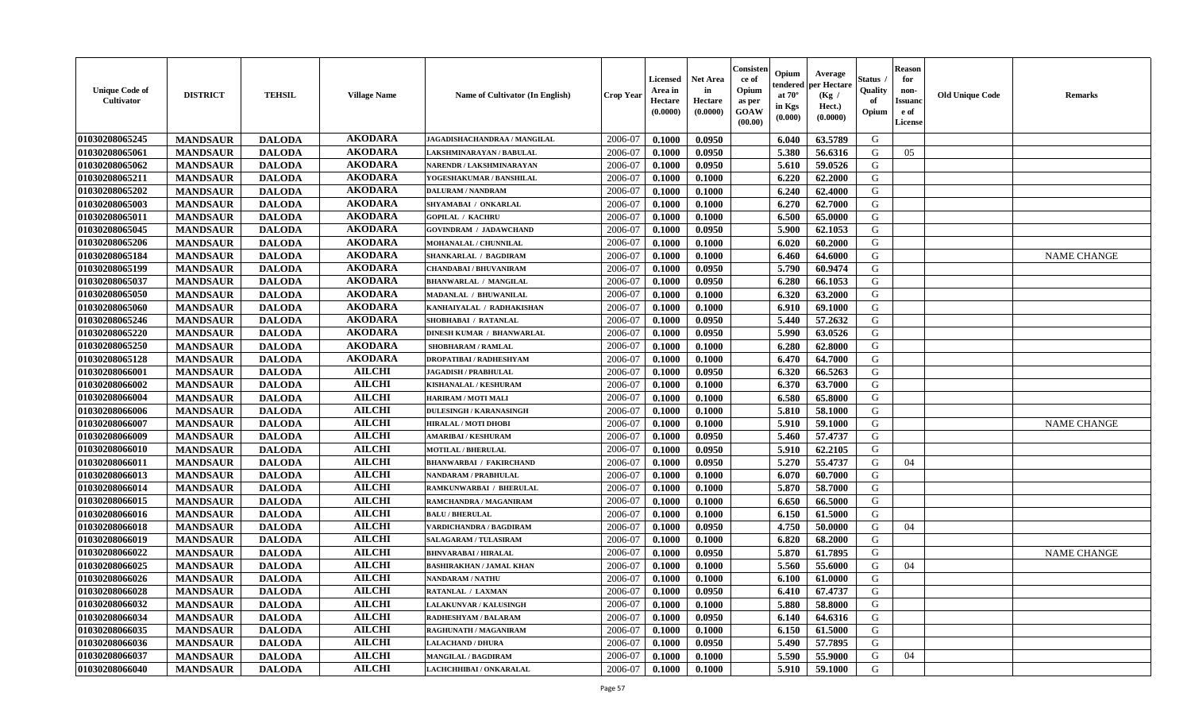| <b>Unique Code of</b><br><b>Cultivator</b> | <b>DISTRICT</b> | <b>TEHSIL</b> | <b>Village Name</b> | Name of Cultivator (In English)  | <b>Crop Year</b> | <b>Licensed</b><br>Area in<br>Hectare<br>(0.0000) | <b>Net Area</b><br>in<br>Hectare<br>(0.0000) | Consister<br>ce of<br>Opium<br>as per<br><b>GOAW</b><br>(00.00) | Opium<br>endered<br>at $70^{\circ}$<br>in Kgs<br>$(\mathbf{0.000})$ | Average<br>per Hectare<br>(Kg /<br>Hect.)<br>(0.0000) | Status<br>Quality<br>of<br>Opium | <b>Reason</b><br>for<br>non-<br><b>Issuano</b><br>e of<br>License | <b>Old Unique Code</b> | <b>Remarks</b>     |
|--------------------------------------------|-----------------|---------------|---------------------|----------------------------------|------------------|---------------------------------------------------|----------------------------------------------|-----------------------------------------------------------------|---------------------------------------------------------------------|-------------------------------------------------------|----------------------------------|-------------------------------------------------------------------|------------------------|--------------------|
| 01030208065245                             | <b>MANDSAUR</b> | <b>DALODA</b> | <b>AKODARA</b>      | JAGADISHACHANDRAA / MANGILAL     | 2006-07          | 0.1000                                            | 0.0950                                       |                                                                 | 6.040                                                               | 63.5789                                               | G                                |                                                                   |                        |                    |
| 01030208065061                             | <b>MANDSAUR</b> | <b>DALODA</b> | <b>AKODARA</b>      | LAKSHMINARAYAN / BABULAL         | 2006-07          | 0.1000                                            | 0.0950                                       |                                                                 | 5.380                                                               | 56.6316                                               | G                                | 05                                                                |                        |                    |
| 01030208065062                             | <b>MANDSAUR</b> | <b>DALODA</b> | <b>AKODARA</b>      | NARENDR / LAKSHMINARAYAN         | 2006-07          | 0.1000                                            | 0.0950                                       |                                                                 | 5.610                                                               | 59.0526                                               | G                                |                                                                   |                        |                    |
| 01030208065211                             | <b>MANDSAUR</b> | <b>DALODA</b> | <b>AKODARA</b>      | YOGESHAKUMAR / BANSHILAL         | 2006-07          | 0.1000                                            | 0.1000                                       |                                                                 | 6.220                                                               | 62.2000                                               | G                                |                                                                   |                        |                    |
| 01030208065202                             | <b>MANDSAUR</b> | <b>DALODA</b> | <b>AKODARA</b>      | <b>DALURAM / NANDRAM</b>         | 2006-07          | 0.1000                                            | 0.1000                                       |                                                                 | 6.240                                                               | 62.4000                                               | G                                |                                                                   |                        |                    |
| 01030208065003                             | <b>MANDSAUR</b> | <b>DALODA</b> | <b>AKODARA</b>      | SHYAMABAI / ONKARLAL             | 2006-07          | 0.1000                                            | 0.1000                                       |                                                                 | 6.270                                                               | 62.7000                                               | G                                |                                                                   |                        |                    |
| 01030208065011                             | <b>MANDSAUR</b> | <b>DALODA</b> | <b>AKODARA</b>      | <b>GOPILAL / KACHRU</b>          | 2006-07          | 0.1000                                            | 0.1000                                       |                                                                 | 6.500                                                               | 65.0000                                               | G                                |                                                                   |                        |                    |
| 01030208065045                             | <b>MANDSAUR</b> | <b>DALODA</b> | <b>AKODARA</b>      | <b>GOVINDRAM / JADAWCHAND</b>    | 2006-07          | 0.1000                                            | 0.0950                                       |                                                                 | 5.900                                                               | 62.1053                                               | G                                |                                                                   |                        |                    |
| 01030208065206                             | <b>MANDSAUR</b> | <b>DALODA</b> | <b>AKODARA</b>      | MOHANALAL / CHUNNILAL            | 2006-07          | 0.1000                                            | 0.1000                                       |                                                                 | 6.020                                                               | 60.2000                                               | G                                |                                                                   |                        |                    |
| 01030208065184                             | <b>MANDSAUR</b> | <b>DALODA</b> | <b>AKODARA</b>      | SHANKARLAL / BAGDIRAM            | 2006-07          | 0.1000                                            | 0.1000                                       |                                                                 | 6.460                                                               | 64.6000                                               | G                                |                                                                   |                        | <b>NAME CHANGE</b> |
| 01030208065199                             | <b>MANDSAUR</b> | <b>DALODA</b> | <b>AKODARA</b>      | CHANDABAI / BHUVANIRAM           | 2006-07          | 0.1000                                            | 0.0950                                       |                                                                 | 5.790                                                               | 60.9474                                               | G                                |                                                                   |                        |                    |
| 01030208065037                             | <b>MANDSAUR</b> | <b>DALODA</b> | <b>AKODARA</b>      | <b>BHANWARLAL / MANGILAL</b>     | 2006-07          | 0.1000                                            | 0.0950                                       |                                                                 | 6.280                                                               | 66.1053                                               | G                                |                                                                   |                        |                    |
| 01030208065050                             | <b>MANDSAUR</b> | <b>DALODA</b> | <b>AKODARA</b>      | <b>MADANLAL / BHUWANILAL</b>     | 2006-07          | 0.1000                                            | 0.1000                                       |                                                                 | 6.320                                                               | 63.2000                                               | G                                |                                                                   |                        |                    |
| 01030208065060                             | <b>MANDSAUR</b> | <b>DALODA</b> | <b>AKODARA</b>      | KANHAIYALAL / RADHAKISHAN        | 2006-07          | 0.1000                                            | 0.1000                                       |                                                                 | 6.910                                                               | 69.1000                                               | G                                |                                                                   |                        |                    |
| 01030208065246                             | <b>MANDSAUR</b> | <b>DALODA</b> | <b>AKODARA</b>      | SHOBHABAI / RATANLAL             | 2006-07          | 0.1000                                            | 0.0950                                       |                                                                 | 5.440                                                               | 57.2632                                               | G                                |                                                                   |                        |                    |
| 01030208065220                             | <b>MANDSAUR</b> | <b>DALODA</b> | <b>AKODARA</b>      | <b>DINESH KUMAR / BHANWARLAL</b> | 2006-07          | 0.1000                                            | 0.0950                                       |                                                                 | 5.990                                                               | 63.0526                                               | G                                |                                                                   |                        |                    |
| 01030208065250                             | <b>MANDSAUR</b> | <b>DALODA</b> | <b>AKODARA</b>      | <b>SHOBHARAM / RAMLAL</b>        | 2006-07          | 0.1000                                            | 0.1000                                       |                                                                 | 6.280                                                               | 62.8000                                               | G                                |                                                                   |                        |                    |
| 01030208065128                             | <b>MANDSAUR</b> | <b>DALODA</b> | <b>AKODARA</b>      | <b>DROPATIBAI/RADHESHYAM</b>     | 2006-07          | 0.1000                                            | 0.1000                                       |                                                                 | 6.470                                                               | 64.7000                                               | G                                |                                                                   |                        |                    |
| 01030208066001                             | <b>MANDSAUR</b> | <b>DALODA</b> | <b>AILCHI</b>       | <b>JAGADISH / PRABHULAL</b>      | 2006-07          | 0.1000                                            | 0.0950                                       |                                                                 | 6.320                                                               | 66.5263                                               | G                                |                                                                   |                        |                    |
| 01030208066002                             | <b>MANDSAUR</b> | <b>DALODA</b> | <b>AILCHI</b>       | KISHANALAL / KESHURAM            | 2006-07          | 0.1000                                            | 0.1000                                       |                                                                 | 6.370                                                               | 63.7000                                               | G                                |                                                                   |                        |                    |
| 01030208066004                             | <b>MANDSAUR</b> | <b>DALODA</b> | <b>AILCHI</b>       | <b>HARIRAM / MOTI MALI</b>       | 2006-07          | 0.1000                                            | 0.1000                                       |                                                                 | 6.580                                                               | 65.8000                                               | G                                |                                                                   |                        |                    |
| 01030208066006                             | <b>MANDSAUR</b> | <b>DALODA</b> | <b>AILCHI</b>       | <b>DULESINGH / KARANASINGH</b>   | 2006-07          | 0.1000                                            | 0.1000                                       |                                                                 | 5.810                                                               | 58.1000                                               | G                                |                                                                   |                        |                    |
| 01030208066007                             | <b>MANDSAUR</b> | <b>DALODA</b> | <b>AILCHI</b>       | <b>HIRALAL / MOTI DHOBI</b>      | 2006-07          | 0.1000                                            | 0.1000                                       |                                                                 | 5.910                                                               | 59.1000                                               | G                                |                                                                   |                        | <b>NAME CHANGE</b> |
| 01030208066009                             | <b>MANDSAUR</b> | <b>DALODA</b> | <b>AILCHI</b>       | <b>AMARIBAI/KESHURAM</b>         | 2006-07          | 0.1000                                            | 0.0950                                       |                                                                 | 5.460                                                               | 57,4737                                               | G                                |                                                                   |                        |                    |
| 01030208066010                             | <b>MANDSAUR</b> | <b>DALODA</b> | <b>AILCHI</b>       | <b>MOTILAL / BHERULAL</b>        | 2006-07          | 0.1000                                            | 0.0950                                       |                                                                 | 5.910                                                               | 62.2105                                               | G                                |                                                                   |                        |                    |
| 01030208066011                             | <b>MANDSAUR</b> | <b>DALODA</b> | <b>AILCHI</b>       | <b>BHANWARBAI / FAKIRCHAND</b>   | 2006-07          | 0.1000                                            | 0.0950                                       |                                                                 | 5.270                                                               | 55.4737                                               | G                                | 04                                                                |                        |                    |
| 01030208066013                             | <b>MANDSAUR</b> | <b>DALODA</b> | <b>AILCHI</b>       | NANDARAM / PRABHULAL             | 2006-07          | 0.1000                                            | 0.1000                                       |                                                                 | 6.070                                                               | 60.7000                                               | G                                |                                                                   |                        |                    |
| 01030208066014                             | <b>MANDSAUR</b> | <b>DALODA</b> | <b>AILCHI</b>       | RAMKUNWARBAI / BHERULAL          | 2006-07          | 0.1000                                            | 0.1000                                       |                                                                 | 5.870                                                               | 58.7000                                               | G                                |                                                                   |                        |                    |
| 01030208066015                             | <b>MANDSAUR</b> | <b>DALODA</b> | <b>AILCHI</b>       | RAMCHANDRA / MAGANIRAM           | 2006-07          | 0.1000                                            | 0.1000                                       |                                                                 | 6.650                                                               | 66.5000                                               | G                                |                                                                   |                        |                    |
| 01030208066016                             | <b>MANDSAUR</b> | <b>DALODA</b> | <b>AILCHI</b>       | <b>BALU / BHERULAL</b>           | 2006-07          | 0.1000                                            | 0.1000                                       |                                                                 | 6.150                                                               | 61.5000                                               | G                                |                                                                   |                        |                    |
| 01030208066018                             | <b>MANDSAUR</b> | <b>DALODA</b> | <b>AILCHI</b>       | <b>VARDICHANDRA / BAGDIRAM</b>   | 2006-07          | 0.1000                                            | 0.0950                                       |                                                                 | 4.750                                                               | 50.0000                                               | G                                | 04                                                                |                        |                    |
| 01030208066019                             | <b>MANDSAUR</b> | <b>DALODA</b> | <b>AILCHI</b>       | <b>SALAGARAM / TULASIRAM</b>     | 2006-07          | 0.1000                                            | 0.1000                                       |                                                                 | 6.820                                                               | 68.2000                                               | G                                |                                                                   |                        |                    |
| 01030208066022                             | <b>MANDSAUR</b> | <b>DALODA</b> | <b>AILCHI</b>       | <b>BHNVARABAI/HIRALAL</b>        | 2006-07          | 0.1000                                            | 0.0950                                       |                                                                 | 5.870                                                               | 61.7895                                               | G                                |                                                                   |                        | <b>NAME CHANGE</b> |
| 01030208066025                             | <b>MANDSAUR</b> | <b>DALODA</b> | <b>AILCHI</b>       | <b>BASHIRAKHAN / JAMAL KHAN</b>  | 2006-07          | 0.1000                                            | 0.1000                                       |                                                                 | 5.560                                                               | 55.6000                                               | G                                | 04                                                                |                        |                    |
| 01030208066026                             | <b>MANDSAUR</b> | <b>DALODA</b> | <b>AILCHI</b>       | <b>NANDARAM / NATHU</b>          | 2006-07          | 0.1000                                            | 0.1000                                       |                                                                 | 6.100                                                               | 61.0000                                               | G                                |                                                                   |                        |                    |
| 01030208066028                             | <b>MANDSAUR</b> | <b>DALODA</b> | <b>AILCHI</b>       | RATANLAL / LAXMAN                | 2006-07          | 0.1000                                            | 0.0950                                       |                                                                 | $6.410$                                                             | 67.4737                                               | G                                |                                                                   |                        |                    |
| 01030208066032                             | <b>MANDSAUR</b> | <b>DALODA</b> | <b>AILCHI</b>       | LALAKUNVAR / KALUSINGH           | 2006-07          | 0.1000                                            | 0.1000                                       |                                                                 | 5.880                                                               | 58.8000                                               | G                                |                                                                   |                        |                    |
| 01030208066034                             | <b>MANDSAUR</b> | <b>DALODA</b> | <b>AILCHI</b>       | <b>RADHESHYAM / BALARAM</b>      | 2006-07          | 0.1000                                            | 0.0950                                       |                                                                 | 6.140                                                               | 64.6316                                               | G                                |                                                                   |                        |                    |
| 01030208066035                             | <b>MANDSAUR</b> | <b>DALODA</b> | <b>AILCHI</b>       | RAGHUNATH / MAGANIRAM            | 2006-07          | 0.1000                                            | 0.1000                                       |                                                                 | 6.150                                                               | 61.5000                                               | G                                |                                                                   |                        |                    |
| 01030208066036                             | <b>MANDSAUR</b> | <b>DALODA</b> | <b>AILCHI</b>       | <b>LALACHAND / DHURA</b>         | 2006-07          | 0.1000                                            | 0.0950                                       |                                                                 | 5.490                                                               | 57.7895                                               | G                                |                                                                   |                        |                    |
| 01030208066037                             | <b>MANDSAUR</b> | <b>DALODA</b> | <b>AILCHI</b>       | <b>MANGILAL / BAGDIRAM</b>       | 2006-07          | 0.1000                                            | 0.1000                                       |                                                                 | 5.590                                                               | 55.9000                                               | G                                | 04                                                                |                        |                    |
| 01030208066040                             | <b>MANDSAUR</b> | <b>DALODA</b> | <b>AILCHI</b>       | LACHCHHIBAI / ONKARALAL          | 2006-07          | 0.1000                                            | 0.1000                                       |                                                                 | 5.910                                                               | 59.1000                                               | G                                |                                                                   |                        |                    |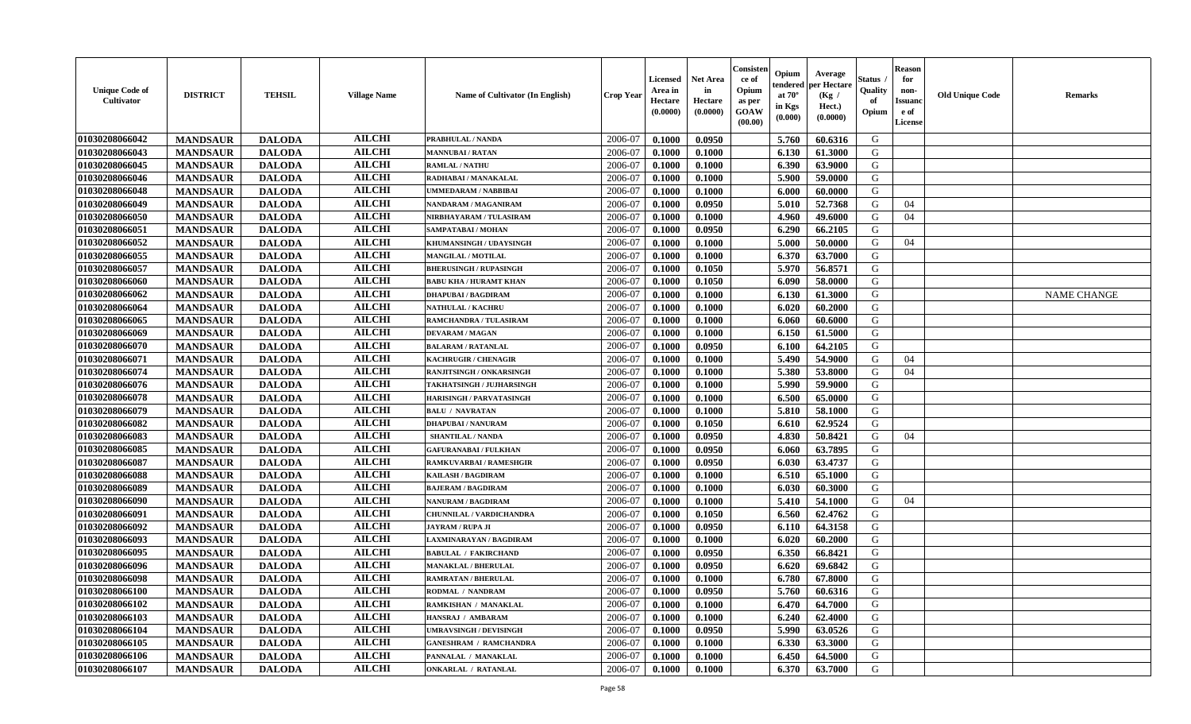| <b>Unique Code of</b><br>Cultivator | <b>DISTRICT</b> | <b>TEHSIL</b> | <b>Village Name</b> | Name of Cultivator (In English) | Crop Year | Licensed<br>Area in<br>Hectare<br>(0.0000) | <b>Net Area</b><br>in<br>Hectare<br>(0.0000) | Consister<br>ce of<br>Opium<br>as per<br>GOAW<br>(00.00) | Opium<br>endered<br>at $70^\circ$<br>in Kgs<br>(0.000) | Average<br>per Hectare<br>(Kg /<br>Hect.)<br>(0.0000) | Status<br>Quality<br>of<br>Opium | <b>Reason</b><br>for<br>non-<br><b>Issuanc</b><br>e of<br>License | <b>Old Unique Code</b> | Remarks            |
|-------------------------------------|-----------------|---------------|---------------------|---------------------------------|-----------|--------------------------------------------|----------------------------------------------|----------------------------------------------------------|--------------------------------------------------------|-------------------------------------------------------|----------------------------------|-------------------------------------------------------------------|------------------------|--------------------|
| 01030208066042                      | <b>MANDSAUR</b> | <b>DALODA</b> | <b>AILCHI</b>       | PRABHULAL / NANDA               | 2006-07   | 0.1000                                     | 0.0950                                       |                                                          | 5.760                                                  | 60.6316                                               | G                                |                                                                   |                        |                    |
| 01030208066043                      | <b>MANDSAUR</b> | <b>DALODA</b> | <b>AILCHI</b>       | <b>MANNUBAI/RATAN</b>           | 2006-07   | 0.1000                                     | 0.1000                                       |                                                          | 6.130                                                  | 61.3000                                               | G                                |                                                                   |                        |                    |
| 01030208066045                      | <b>MANDSAUR</b> | <b>DALODA</b> | <b>AILCHI</b>       | <b>RAMLAL / NATHU</b>           | 2006-07   | 0.1000                                     | 0.1000                                       |                                                          | 6.390                                                  | 63.9000                                               | G                                |                                                                   |                        |                    |
| 01030208066046                      | <b>MANDSAUR</b> | <b>DALODA</b> | <b>AILCHI</b>       | RADHABAI / MANAKALAL            | 2006-07   | 0.1000                                     | 0.1000                                       |                                                          | 5.900                                                  | 59.0000                                               | G                                |                                                                   |                        |                    |
| 01030208066048                      | <b>MANDSAUR</b> | <b>DALODA</b> | <b>AILCHI</b>       | <b>UMMEDARAM / NABBIBAI</b>     | 2006-07   | 0.1000                                     | 0.1000                                       |                                                          | 6.000                                                  | 60.0000                                               | G                                |                                                                   |                        |                    |
| 01030208066049                      | <b>MANDSAUR</b> | <b>DALODA</b> | <b>AILCHI</b>       | NANDARAM / MAGANIRAM            | 2006-07   | 0.1000                                     | 0.0950                                       |                                                          | 5.010                                                  | 52.7368                                               | G                                | 04                                                                |                        |                    |
| 01030208066050                      | <b>MANDSAUR</b> | <b>DALODA</b> | <b>AILCHI</b>       | NIRBHAYARAM / TULASIRAM         | 2006-07   | 0.1000                                     | 0.1000                                       |                                                          | 4.960                                                  | 49.6000                                               | G                                | 04                                                                |                        |                    |
| 01030208066051                      | <b>MANDSAUR</b> | <b>DALODA</b> | <b>AILCHI</b>       | SAMPATABAI / MOHAN              | 2006-07   | 0.1000                                     | 0.0950                                       |                                                          | 6.290                                                  | 66.2105                                               | G                                |                                                                   |                        |                    |
| 01030208066052                      | <b>MANDSAUR</b> | <b>DALODA</b> | <b>AILCHI</b>       | KHUMANSINGH / UDAYSINGH         | 2006-07   | 0.1000                                     | 0.1000                                       |                                                          | 5.000                                                  | 50.0000                                               | G                                | 04                                                                |                        |                    |
| 01030208066055                      | <b>MANDSAUR</b> | <b>DALODA</b> | <b>AILCHI</b>       | <b>MANGILAL / MOTILAL</b>       | 2006-07   | 0.1000                                     | 0.1000                                       |                                                          | 6.370                                                  | 63.7000                                               | G                                |                                                                   |                        |                    |
| 01030208066057                      | <b>MANDSAUR</b> | <b>DALODA</b> | <b>AILCHI</b>       | <b>BHERUSINGH / RUPASINGH</b>   | 2006-07   | 0.1000                                     | 0.1050                                       |                                                          | 5.970                                                  | 56.8571                                               | G                                |                                                                   |                        |                    |
| 01030208066060                      | <b>MANDSAUR</b> | <b>DALODA</b> | <b>AILCHI</b>       | <b>BABU KHA / HURAMT KHAN</b>   | 2006-07   | 0.1000                                     | 0.1050                                       |                                                          | 6.090                                                  | 58.0000                                               | G                                |                                                                   |                        |                    |
| 01030208066062                      | <b>MANDSAUR</b> | <b>DALODA</b> | <b>AILCHI</b>       | <b>DHAPUBAI/BAGDIRAM</b>        | 2006-07   | 0.1000                                     | 0.1000                                       |                                                          | 6.130                                                  | 61.3000                                               | G                                |                                                                   |                        | <b>NAME CHANGE</b> |
| 01030208066064                      | <b>MANDSAUR</b> | <b>DALODA</b> | <b>AILCHI</b>       | <b>NATHULAL / KACHRU</b>        | 2006-07   | 0.1000                                     | 0.1000                                       |                                                          | 6.020                                                  | 60.2000                                               | G                                |                                                                   |                        |                    |
| <b>01030208066065</b>               | <b>MANDSAUR</b> | <b>DALODA</b> | <b>AILCHI</b>       | RAMCHANDRA / TULASIRAM          | 2006-07   | 0.1000                                     | 0.1000                                       |                                                          | 6.060                                                  | 60.6000                                               | G                                |                                                                   |                        |                    |
| 01030208066069                      | <b>MANDSAUR</b> | <b>DALODA</b> | <b>AILCHI</b>       | <b>DEVARAM / MAGAN</b>          | 2006-07   | 0.1000                                     | 0.1000                                       |                                                          | 6.150                                                  | 61.5000                                               | G                                |                                                                   |                        |                    |
| 01030208066070                      | <b>MANDSAUR</b> | <b>DALODA</b> | <b>AILCHI</b>       | <b>BALARAM / RATANLAL</b>       | 2006-07   | 0.1000                                     | 0.0950                                       |                                                          | 6.100                                                  | 64.2105                                               | G                                |                                                                   |                        |                    |
| 01030208066071                      | <b>MANDSAUR</b> | <b>DALODA</b> | <b>AILCHI</b>       | <b>KACHRUGIR / CHENAGIR</b>     | 2006-07   | 0.1000                                     | 0.1000                                       |                                                          | 5.490                                                  | 54.9000                                               | G                                | 04                                                                |                        |                    |
| 01030208066074                      | <b>MANDSAUR</b> | <b>DALODA</b> | <b>AILCHI</b>       | RANJITSINGH / ONKARSINGH        | 2006-07   | 0.1000                                     | 0.1000                                       |                                                          | 5.380                                                  | 53.8000                                               | G                                | 04                                                                |                        |                    |
| 01030208066076                      | <b>MANDSAUR</b> | <b>DALODA</b> | <b>AILCHI</b>       | TAKHATSINGH / JUJHARSINGH       | 2006-07   | 0.1000                                     | 0.1000                                       |                                                          | 5.990                                                  | 59.9000                                               | G                                |                                                                   |                        |                    |
| 01030208066078                      | <b>MANDSAUR</b> | <b>DALODA</b> | <b>AILCHI</b>       | <b>HARISINGH / PARVATASINGH</b> | 2006-07   | 0.1000                                     | 0.1000                                       |                                                          | 6.500                                                  | 65.0000                                               | G                                |                                                                   |                        |                    |
| 01030208066079                      | <b>MANDSAUR</b> | <b>DALODA</b> | <b>AILCHI</b>       | <b>BALU / NAVRATAN</b>          | 2006-07   | 0.1000                                     | 0.1000                                       |                                                          | 5.810                                                  | 58.1000                                               | G                                |                                                                   |                        |                    |
| 01030208066082                      | <b>MANDSAUR</b> | <b>DALODA</b> | <b>AILCHI</b>       | <b>DHAPUBAI/NANURAM</b>         | 2006-07   | 0.1000                                     | 0.1050                                       |                                                          | 6.610                                                  | 62.9524                                               | G                                |                                                                   |                        |                    |
| <b>01030208066083</b>               | <b>MANDSAUR</b> | <b>DALODA</b> | <b>AILCHI</b>       | <b>SHANTILAL / NANDA</b>        | 2006-07   | 0.1000                                     | 0.0950                                       |                                                          | 4.830                                                  | 50.8421                                               | G                                | 04                                                                |                        |                    |
| 01030208066085                      | <b>MANDSAUR</b> | <b>DALODA</b> | <b>AILCHI</b>       | <b>GAFURANABAI / FULKHAN</b>    | 2006-07   | 0.1000                                     | 0.0950                                       |                                                          | 6.060                                                  | 63.7895                                               | G                                |                                                                   |                        |                    |
| 01030208066087                      | <b>MANDSAUR</b> | <b>DALODA</b> | <b>AILCHI</b>       | RAMKUVARBAI / RAMESHGIR         | 2006-07   | 0.1000                                     | 0.0950                                       |                                                          | 6.030                                                  | 63.4737                                               | G                                |                                                                   |                        |                    |
| 01030208066088                      | <b>MANDSAUR</b> | <b>DALODA</b> | <b>AILCHI</b>       | <b>KAILASH / BAGDIRAM</b>       | 2006-07   | 0.1000                                     | 0.1000                                       |                                                          | 6.510                                                  | 65.1000                                               | G                                |                                                                   |                        |                    |
| 01030208066089                      | <b>MANDSAUR</b> | <b>DALODA</b> | <b>AILCHI</b>       | <b>BAJERAM / BAGDIRAM</b>       | 2006-07   | 0.1000                                     | 0.1000                                       |                                                          | 6.030                                                  | 60.3000                                               | G                                |                                                                   |                        |                    |
| 01030208066090                      | <b>MANDSAUR</b> | <b>DALODA</b> | <b>AILCHI</b>       | <b>NANURAM / BAGDIRAM</b>       | 2006-07   | 0.1000                                     | 0.1000                                       |                                                          | 5.410                                                  | 54.1000                                               | G                                | 04                                                                |                        |                    |
| 01030208066091                      | <b>MANDSAUR</b> | <b>DALODA</b> | <b>AILCHI</b>       | CHUNNILAL / VARDICHANDRA        | 2006-07   | 0.1000                                     | 0.1050                                       |                                                          | 6.560                                                  | 62.4762                                               | G                                |                                                                   |                        |                    |
| 01030208066092                      | <b>MANDSAUR</b> | <b>DALODA</b> | <b>AILCHI</b>       | <b>JAYRAM / RUPA JI</b>         | 2006-07   | 0.1000                                     | 0.0950                                       |                                                          | 6.110                                                  | 64.3158                                               | G                                |                                                                   |                        |                    |
| 01030208066093                      | <b>MANDSAUR</b> | <b>DALODA</b> | <b>AILCHI</b>       | LAXMINARAYAN / BAGDIRAM         | 2006-07   | 0.1000                                     | 0.1000                                       |                                                          | 6.020                                                  | 60.2000                                               | G                                |                                                                   |                        |                    |
| 01030208066095                      | <b>MANDSAUR</b> | <b>DALODA</b> | <b>AILCHI</b>       | <b>BABULAL / FAKIRCHAND</b>     | 2006-07   | 0.1000                                     | 0.0950                                       |                                                          | 6.350                                                  | 66.8421                                               | G                                |                                                                   |                        |                    |
| 01030208066096                      | <b>MANDSAUR</b> | <b>DALODA</b> | <b>AILCHI</b>       | <b>MANAKLAL / BHERULAL</b>      | 2006-07   | 0.1000                                     | 0.0950                                       |                                                          | 6.620                                                  | 69.6842                                               | G                                |                                                                   |                        |                    |
| 01030208066098                      | <b>MANDSAUR</b> | <b>DALODA</b> | <b>AILCHI</b>       | <b>RAMRATAN / BHERULAL</b>      | 2006-07   | 0.1000                                     | 0.1000                                       |                                                          | 6.780                                                  | 67.8000                                               | G                                |                                                                   |                        |                    |
| 01030208066100                      | <b>MANDSAUR</b> | <b>DALODA</b> | <b>AILCHI</b>       | RODMAL / NANDRAM                | 2006-07   | 0.1000                                     | 0.0950                                       |                                                          | 5.760                                                  | 60.6316                                               | G                                |                                                                   |                        |                    |
| 01030208066102                      | <b>MANDSAUR</b> | <b>DALODA</b> | <b>AILCHI</b>       | RAMKISHAN / MANAKLAL            | 2006-07   | 0.1000                                     | 0.1000                                       |                                                          | 6.470                                                  | 64.7000                                               | G                                |                                                                   |                        |                    |
| 01030208066103                      | <b>MANDSAUR</b> | <b>DALODA</b> | <b>AILCHI</b>       | HANSRAJ / AMBARAM               | 2006-07   | 0.1000                                     | 0.1000                                       |                                                          | 6.240                                                  | 62.4000                                               | G                                |                                                                   |                        |                    |
| 01030208066104                      | <b>MANDSAUR</b> | <b>DALODA</b> | <b>AILCHI</b>       | <b>UMRAVSINGH / DEVISINGH</b>   | 2006-07   | 0.1000                                     | 0.0950                                       |                                                          | 5.990                                                  | 63.0526                                               | G                                |                                                                   |                        |                    |
| 01030208066105                      | <b>MANDSAUR</b> | <b>DALODA</b> | <b>AILCHI</b>       | <b>GANESHRAM / RAMCHANDRA</b>   | 2006-07   | 0.1000                                     | 0.1000                                       |                                                          | 6.330                                                  | 63.3000                                               | ${\bf G}$                        |                                                                   |                        |                    |
| 01030208066106                      | <b>MANDSAUR</b> | <b>DALODA</b> | <b>AILCHI</b>       | PANNALAL / MANAKLAL             | 2006-07   | 0.1000                                     | 0.1000                                       |                                                          | 6.450                                                  | 64.5000                                               | G                                |                                                                   |                        |                    |
| 01030208066107                      | <b>MANDSAUR</b> | <b>DALODA</b> | <b>AILCHI</b>       | <b>ONKARLAL / RATANLAL</b>      | 2006-07   | 0.1000                                     | 0.1000                                       |                                                          | 6.370                                                  | 63.7000                                               | G                                |                                                                   |                        |                    |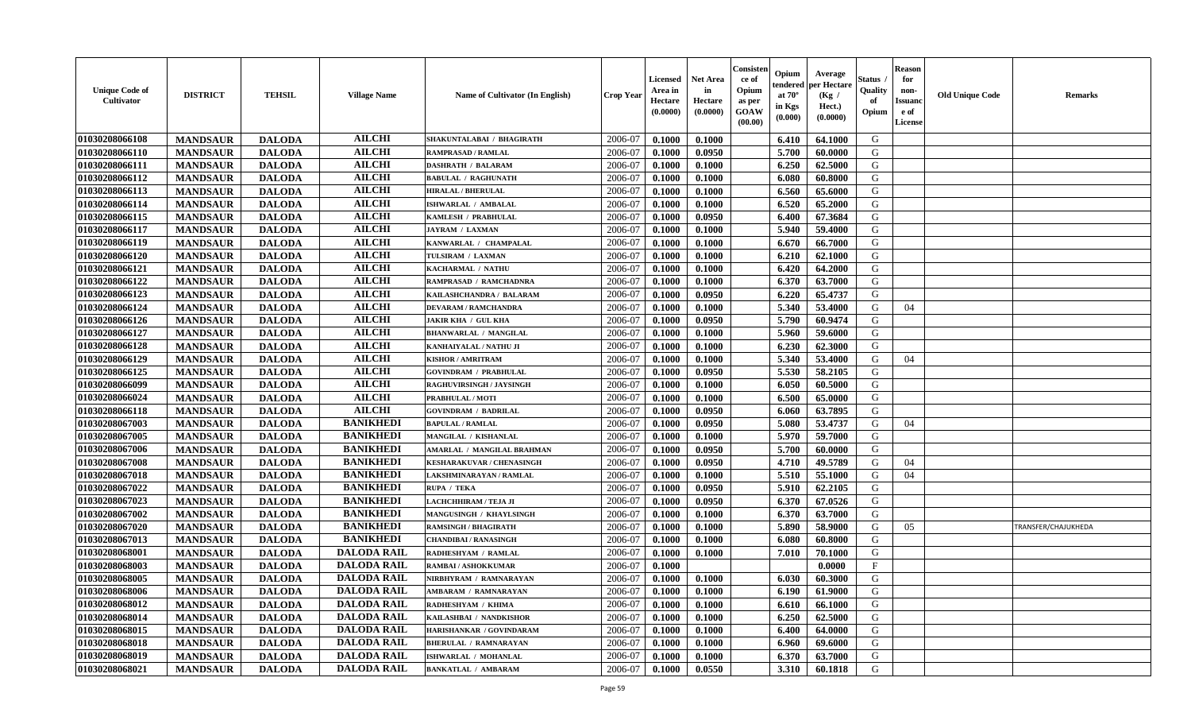| <b>Unique Code of</b><br><b>Cultivator</b> | <b>DISTRICT</b> | <b>TEHSIL</b> | <b>Village Name</b> | <b>Name of Cultivator (In English)</b> | <b>Crop Year</b> | Licensed<br>Area in<br>Hectare<br>(0.0000) | Net Area<br>in<br>Hectare<br>(0.0000) | Consisteı<br>ce of<br>Opium<br>as per<br>GOAW<br>(00.00) | Opium<br>endered<br>at $70^\circ$<br>in Kgs<br>(0.000) | Average<br>per Hectare<br>(Kg /<br>Hect.)<br>(0.0000) | Status<br>Quality<br>of<br>Opium | <b>Reason</b><br>for<br>non-<br><b>Issuand</b><br>e of<br>License | <b>Old Unique Code</b> | Remarks             |
|--------------------------------------------|-----------------|---------------|---------------------|----------------------------------------|------------------|--------------------------------------------|---------------------------------------|----------------------------------------------------------|--------------------------------------------------------|-------------------------------------------------------|----------------------------------|-------------------------------------------------------------------|------------------------|---------------------|
| 01030208066108                             | <b>MANDSAUR</b> | <b>DALODA</b> | <b>AILCHI</b>       | SHAKUNTALABAI / BHAGIRATH              | 2006-07          | 0.1000                                     | 0.1000                                |                                                          | 6.410                                                  | 64.1000                                               | G                                |                                                                   |                        |                     |
| 01030208066110                             | <b>MANDSAUR</b> | <b>DALODA</b> | <b>AILCHI</b>       | <b>RAMPRASAD / RAMLAL</b>              | 2006-07          | 0.1000                                     | 0.0950                                |                                                          | 5.700                                                  | 60.0000                                               | G                                |                                                                   |                        |                     |
| 01030208066111                             | <b>MANDSAUR</b> | <b>DALODA</b> | <b>AILCHI</b>       | <b>DASHRATH / BALARAM</b>              | 2006-07          | 0.1000                                     | 0.1000                                |                                                          | 6.250                                                  | 62.5000                                               | G                                |                                                                   |                        |                     |
| 01030208066112                             | <b>MANDSAUR</b> | <b>DALODA</b> | <b>AILCHI</b>       | <b>BABULAL / RAGHUNATH</b>             | 2006-07          | 0.1000                                     | 0.1000                                |                                                          | 6.080                                                  | 60.8000                                               | G                                |                                                                   |                        |                     |
| 01030208066113                             | <b>MANDSAUR</b> | <b>DALODA</b> | <b>AILCHI</b>       | <b>HIRALAL / BHERULAL</b>              | 2006-07          | 0.1000                                     | 0.1000                                |                                                          | 6.560                                                  | 65.6000                                               | G                                |                                                                   |                        |                     |
| 01030208066114                             | <b>MANDSAUR</b> | <b>DALODA</b> | <b>AILCHI</b>       | ISHWARLAL / AMBALAL                    | 2006-07          | 0.1000                                     | 0.1000                                |                                                          | 6.520                                                  | 65.2000                                               | G                                |                                                                   |                        |                     |
| 01030208066115                             | <b>MANDSAUR</b> | <b>DALODA</b> | <b>AILCHI</b>       | KAMLESH / PRABHULAL                    | 2006-07          | 0.1000                                     | 0.0950                                |                                                          | 6.400                                                  | 67.3684                                               | G                                |                                                                   |                        |                     |
| 01030208066117                             | <b>MANDSAUR</b> | <b>DALODA</b> | <b>AILCHI</b>       | <b>JAYRAM / LAXMAN</b>                 | 2006-07          | 0.1000                                     | 0.1000                                |                                                          | 5.940                                                  | 59.4000                                               | G                                |                                                                   |                        |                     |
| 01030208066119                             | <b>MANDSAUR</b> | <b>DALODA</b> | <b>AILCHI</b>       | KANWARLAL / CHAMPALAL                  | 2006-07          | 0.1000                                     | 0.1000                                |                                                          | 6.670                                                  | 66.7000                                               | G                                |                                                                   |                        |                     |
| 01030208066120                             | <b>MANDSAUR</b> | <b>DALODA</b> | <b>AILCHI</b>       | TULSIRAM / LAXMAN                      | 2006-07          | 0.1000                                     | 0.1000                                |                                                          | 6.210                                                  | 62.1000                                               | G                                |                                                                   |                        |                     |
| 01030208066121                             | <b>MANDSAUR</b> | <b>DALODA</b> | <b>AILCHI</b>       | KACHARMAL / NATHU                      | 2006-07          | 0.1000                                     | 0.1000                                |                                                          | 6.420                                                  | 64.2000                                               | G                                |                                                                   |                        |                     |
| 01030208066122                             | <b>MANDSAUR</b> | <b>DALODA</b> | <b>AILCHI</b>       | RAMPRASAD / RAMCHADNRA                 | 2006-07          | 0.1000                                     | 0.1000                                |                                                          | 6.370                                                  | 63.7000                                               | G                                |                                                                   |                        |                     |
| 01030208066123                             | <b>MANDSAUR</b> | <b>DALODA</b> | <b>AILCHI</b>       | KAILASHCHANDRA / BALARAM               | 2006-07          | 0.1000                                     | 0.0950                                |                                                          | 6.220                                                  | 65.4737                                               | G                                |                                                                   |                        |                     |
| 01030208066124                             | <b>MANDSAUR</b> | <b>DALODA</b> | <b>AILCHI</b>       | <b>DEVARAM / RAMCHANDRA</b>            | 2006-07          | 0.1000                                     | 0.1000                                |                                                          | 5.340                                                  | 53.4000                                               | G                                | 04                                                                |                        |                     |
| 01030208066126                             | <b>MANDSAUR</b> | <b>DALODA</b> | <b>AILCHI</b>       | JAKIR KHA / GUL KHA                    | 2006-07          | 0.1000                                     | 0.0950                                |                                                          | 5.790                                                  | 60.9474                                               | $\mathbf G$                      |                                                                   |                        |                     |
| 01030208066127                             | <b>MANDSAUR</b> | <b>DALODA</b> | <b>AILCHI</b>       | <b>BHANWARLAL / MANGILAL</b>           | 2006-07          | 0.1000                                     | 0.1000                                |                                                          | 5.960                                                  | 59.6000                                               | G                                |                                                                   |                        |                     |
| 01030208066128                             | <b>MANDSAUR</b> | <b>DALODA</b> | <b>AILCHI</b>       | KANHAIYALAL / NATHU JI                 | 2006-07          | 0.1000                                     | 0.1000                                |                                                          | 6.230                                                  | 62.3000                                               | G                                |                                                                   |                        |                     |
| 01030208066129                             | <b>MANDSAUR</b> | <b>DALODA</b> | <b>AILCHI</b>       | <b>KISHOR / AMRITRAM</b>               | 2006-07          | 0.1000                                     | 0.1000                                |                                                          | 5.340                                                  | 53.4000                                               | G                                | 04                                                                |                        |                     |
| 01030208066125                             | <b>MANDSAUR</b> | <b>DALODA</b> | <b>AILCHI</b>       | <b>GOVINDRAM / PRABHULAL</b>           | 2006-07          | 0.1000                                     | 0.0950                                |                                                          | 5.530                                                  | 58.2105                                               | G                                |                                                                   |                        |                     |
| 01030208066099                             | <b>MANDSAUR</b> | <b>DALODA</b> | <b>AILCHI</b>       | RAGHUVIRSINGH / JAYSINGH               | 2006-07          | 0.1000                                     | 0.1000                                |                                                          | 6.050                                                  | 60.5000                                               | G                                |                                                                   |                        |                     |
| 01030208066024                             | <b>MANDSAUR</b> | <b>DALODA</b> | <b>AILCHI</b>       | <b>PRABHULAL / MOTI</b>                | 2006-07          | 0.1000                                     | 0.1000                                |                                                          | 6.500                                                  | 65.0000                                               | G                                |                                                                   |                        |                     |
| 01030208066118                             | <b>MANDSAUR</b> | <b>DALODA</b> | <b>AILCHI</b>       | <b>GOVINDRAM / BADRILAL</b>            | 2006-07          | 0.1000                                     | 0.0950                                |                                                          | 6.060                                                  | 63.7895                                               | G                                |                                                                   |                        |                     |
| 01030208067003                             | <b>MANDSAUR</b> | <b>DALODA</b> | <b>BANIKHEDI</b>    | <b>BAPULAL / RAMLAL</b>                | 2006-07          | 0.1000                                     | 0.0950                                |                                                          | 5.080                                                  | 53.4737                                               | G                                | 04                                                                |                        |                     |
| 01030208067005                             | <b>MANDSAUR</b> | <b>DALODA</b> | <b>BANIKHEDI</b>    | MANGILAL / KISHANLAL                   | 2006-07          | 0.1000                                     | 0.1000                                |                                                          | 5.970                                                  | 59.7000                                               | G                                |                                                                   |                        |                     |
| 01030208067006                             | <b>MANDSAUR</b> | <b>DALODA</b> | <b>BANIKHEDI</b>    | <b>AMARLAL / MANGILAL BRAHMAN</b>      | 2006-07          | 0.1000                                     | 0.0950                                |                                                          | 5.700                                                  | 60.0000                                               | G                                |                                                                   |                        |                     |
| 01030208067008                             | <b>MANDSAUR</b> | <b>DALODA</b> | <b>BANIKHEDI</b>    | <b>KESHARAKUVAR / CHENASINGH</b>       | 2006-07          | 0.1000                                     | 0.0950                                |                                                          | 4.710                                                  | 49.5789                                               | G                                | 04                                                                |                        |                     |
| 01030208067018                             | <b>MANDSAUR</b> | <b>DALODA</b> | <b>BANIKHEDI</b>    | LAKSHMINARAYAN / RAMLAL                | 2006-07          | 0.1000                                     | 0.1000                                |                                                          | 5.510                                                  | 55.1000                                               | G                                | 04                                                                |                        |                     |
| 01030208067022                             | <b>MANDSAUR</b> | <b>DALODA</b> | <b>BANIKHEDI</b>    | RUPA / TEKA                            | 2006-07          | 0.1000                                     | 0.0950                                |                                                          | 5.910                                                  | 62.2105                                               | G                                |                                                                   |                        |                     |
| 01030208067023                             | <b>MANDSAUR</b> | <b>DALODA</b> | <b>BANIKHEDI</b>    | LACHCHHIRAM / TEJA JI                  | 2006-07          | 0.1000                                     | 0.0950                                |                                                          | 6.370                                                  | 67.0526                                               | G                                |                                                                   |                        |                     |
| 01030208067002                             | <b>MANDSAUR</b> | <b>DALODA</b> | <b>BANIKHEDI</b>    | MANGUSINGH / KHAYLSINGH                | 2006-07          | 0.1000                                     | 0.1000                                |                                                          | 6.370                                                  | 63.7000                                               | G                                |                                                                   |                        |                     |
| 01030208067020                             | <b>MANDSAUR</b> | <b>DALODA</b> | <b>BANIKHEDI</b>    | <b>RAMSINGH / BHAGIRATH</b>            | 2006-07          | 0.1000                                     | 0.1000                                |                                                          | 5.890                                                  | 58.9000                                               | G                                | 05                                                                |                        | TRANSFER/CHAJUKHEDA |
| 01030208067013                             | <b>MANDSAUR</b> | <b>DALODA</b> | <b>BANIKHEDI</b>    | <b>CHANDIBAI/RANASINGH</b>             | 2006-07          | 0.1000                                     | 0.1000                                |                                                          | 6.080                                                  | 60.8000                                               | G                                |                                                                   |                        |                     |
| 01030208068001                             | <b>MANDSAUR</b> | <b>DALODA</b> | <b>DALODA RAIL</b>  | RADHESHYAM / RAMLAL                    | 2006-07          | 0.1000                                     | 0.1000                                |                                                          | 7.010                                                  | 70.1000                                               | G                                |                                                                   |                        |                     |
| 01030208068003                             | <b>MANDSAUR</b> | <b>DALODA</b> | <b>DALODA RAIL</b>  | RAMBAI / ASHOKKUMAR                    | 2006-07          | 0.1000                                     |                                       |                                                          |                                                        | 0.0000                                                | $\mathbf{F}$                     |                                                                   |                        |                     |
| 01030208068005                             | <b>MANDSAUR</b> | <b>DALODA</b> | <b>DALODA RAIL</b>  | NIRBHYRAM / RAMNARAYAN                 | 2006-07          | 0.1000                                     | 0.1000                                |                                                          | 6.030                                                  | 60.3000                                               | G                                |                                                                   |                        |                     |
| 01030208068006                             | <b>MANDSAUR</b> | <b>DALODA</b> | <b>DALODA RAIL</b>  | AMBARAM / RAMNARAYAN                   | 2006-07          | 0.1000                                     | 0.1000                                |                                                          | 6.190                                                  | 61.9000                                               | G                                |                                                                   |                        |                     |
| 01030208068012                             | <b>MANDSAUR</b> | <b>DALODA</b> | <b>DALODA RAIL</b>  | RADHESHYAM / KHIMA                     | 2006-07          | 0.1000                                     | 0.1000                                |                                                          | 6.610                                                  | 66.1000                                               | G                                |                                                                   |                        |                     |
| 01030208068014                             | <b>MANDSAUR</b> | <b>DALODA</b> | <b>DALODA RAIL</b>  | KAILASHBAI / NANDKISHOR                | 2006-07          | 0.1000                                     | 0.1000                                |                                                          | 6.250                                                  | 62.5000                                               | G                                |                                                                   |                        |                     |
| 01030208068015                             | <b>MANDSAUR</b> | <b>DALODA</b> | <b>DALODA RAIL</b>  | HARISHANKAR / GOVINDARAM               | 2006-07          | 0.1000                                     | 0.1000                                |                                                          | 6.400                                                  | 64.0000                                               | G                                |                                                                   |                        |                     |
| 01030208068018                             | <b>MANDSAUR</b> | <b>DALODA</b> | <b>DALODA RAIL</b>  | <b>BHERULAL / RAMNARAYAN</b>           | 2006-07          | 0.1000                                     | 0.1000                                |                                                          | 6.960                                                  | 69.6000                                               | ${\bf G}$                        |                                                                   |                        |                     |
| 01030208068019                             | <b>MANDSAUR</b> | <b>DALODA</b> | <b>DALODA RAIL</b>  | <b>ISHWARLAL / MOHANLAL</b>            | 2006-07          | 0.1000                                     | 0.1000                                |                                                          | 6.370                                                  | 63.7000                                               | G                                |                                                                   |                        |                     |
| 01030208068021                             | <b>MANDSAUR</b> | <b>DALODA</b> | <b>DALODA RAIL</b>  | <b>BANKATLAL / AMBARAM</b>             | 2006-07          | 0.1000                                     | 0.0550                                |                                                          | 3.310                                                  | 60.1818                                               | G                                |                                                                   |                        |                     |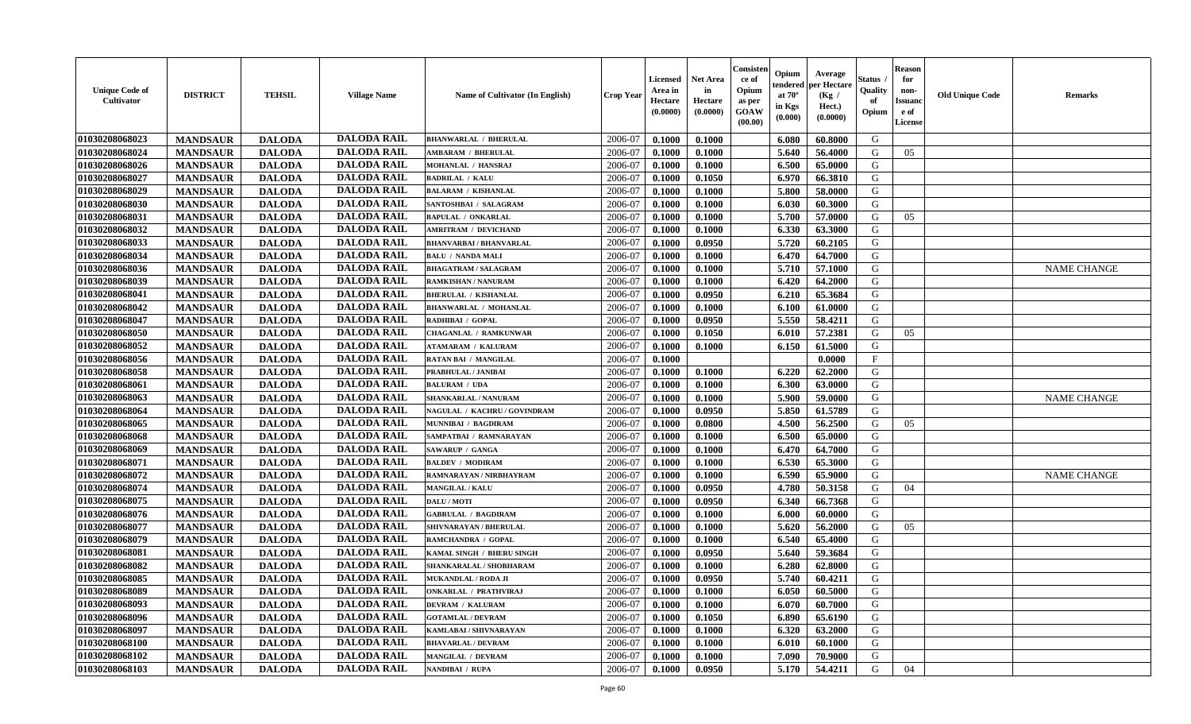| <b>Unique Code of</b><br><b>Cultivator</b> | <b>DISTRICT</b> | <b>TEHSIL</b> | <b>Village Name</b> | Name of Cultivator (In English) | <b>Crop Year</b> | <b>Licensed</b><br>Area in<br>Hectare<br>(0.0000) | Net Area<br>in<br>Hectare<br>(0.0000) | Consisteı<br>ce of<br>Opium<br>as per<br>GOAW<br>(00.00) | Opium<br>endered<br>at $70^\circ$<br>in Kgs<br>(0.000) | Average<br>per Hectare<br>(Kg /<br>Hect.)<br>(0.0000) | Status<br>Quality<br>of<br>Opium | <b>Reason</b><br>for<br>non-<br>Issuano<br>e of<br>License | <b>Old Unique Code</b> | Remarks            |
|--------------------------------------------|-----------------|---------------|---------------------|---------------------------------|------------------|---------------------------------------------------|---------------------------------------|----------------------------------------------------------|--------------------------------------------------------|-------------------------------------------------------|----------------------------------|------------------------------------------------------------|------------------------|--------------------|
| 01030208068023                             | <b>MANDSAUR</b> | <b>DALODA</b> | <b>DALODA RAIL</b>  | <b>BHANWARLAL / BHERULAL</b>    | 2006-07          | 0.1000                                            | 0.1000                                |                                                          | 6.080                                                  | 60.8000                                               | G                                |                                                            |                        |                    |
| 01030208068024                             | <b>MANDSAUR</b> | <b>DALODA</b> | <b>DALODA RAIL</b>  | <b>AMBARAM / BHERULAL</b>       | 2006-07          | 0.1000                                            | 0.1000                                |                                                          | 5.640                                                  | 56.4000                                               | G                                | 05                                                         |                        |                    |
| 01030208068026                             | <b>MANDSAUR</b> | <b>DALODA</b> | <b>DALODA RAIL</b>  | MOHANLAL / HANSRAJ              | 2006-07          | 0.1000                                            | 0.1000                                |                                                          | 6.500                                                  | 65.0000                                               | G                                |                                                            |                        |                    |
| 01030208068027                             | <b>MANDSAUR</b> | <b>DALODA</b> | <b>DALODA RAIL</b>  | <b>BADRILAL / KALU</b>          | 2006-07          | 0.1000                                            | 0.1050                                |                                                          | 6.970                                                  | 66.3810                                               | G                                |                                                            |                        |                    |
| 01030208068029                             | <b>MANDSAUR</b> | <b>DALODA</b> | <b>DALODA RAIL</b>  | <b>BALARAM / KISHANLAL</b>      | 2006-07          | 0.1000                                            | 0.1000                                |                                                          | 5.800                                                  | 58.0000                                               | G                                |                                                            |                        |                    |
| 01030208068030                             | <b>MANDSAUR</b> | <b>DALODA</b> | <b>DALODA RAIL</b>  | SANTOSHBAI / SALAGRAM           | 2006-07          | 0.1000                                            | 0.1000                                |                                                          | 6.030                                                  | 60.3000                                               | G                                |                                                            |                        |                    |
| 01030208068031                             | <b>MANDSAUR</b> | <b>DALODA</b> | <b>DALODA RAIL</b>  | <b>BAPULAL / ONKARLAL</b>       | 2006-07          | 0.1000                                            | 0.1000                                |                                                          | 5.700                                                  | 57.0000                                               | G                                | 05                                                         |                        |                    |
| 01030208068032                             | <b>MANDSAUR</b> | <b>DALODA</b> | <b>DALODA RAIL</b>  | <b>AMRITRAM / DEVICHAND</b>     | 2006-07          | 0.1000                                            | 0.1000                                |                                                          | 6.330                                                  | 63.3000                                               | G                                |                                                            |                        |                    |
| 01030208068033                             | <b>MANDSAUR</b> | <b>DALODA</b> | <b>DALODA RAIL</b>  | <b>BHANVARBAI/BHANVARLAL</b>    | 2006-07          | 0.1000                                            | 0.0950                                |                                                          | 5.720                                                  | 60.2105                                               | G                                |                                                            |                        |                    |
| 01030208068034                             | <b>MANDSAUR</b> | <b>DALODA</b> | <b>DALODA RAIL</b>  | <b>BALU / NANDA MALI</b>        | 2006-07          | 0.1000                                            | 0.1000                                |                                                          | 6.470                                                  | 64.7000                                               | G                                |                                                            |                        |                    |
| 01030208068036                             | <b>MANDSAUR</b> | <b>DALODA</b> | <b>DALODA RAIL</b>  | <b>BHAGATRAM / SALAGRAM</b>     | 2006-07          | 0.1000                                            | 0.1000                                |                                                          | 5.710                                                  | 57.1000                                               | G                                |                                                            |                        | <b>NAME CHANGE</b> |
| 01030208068039                             | <b>MANDSAUR</b> | <b>DALODA</b> | <b>DALODA RAIL</b>  | RAMKISHAN / NANURAM             | 2006-07          | 0.1000                                            | 0.1000                                |                                                          | 6.420                                                  | 64.2000                                               | G                                |                                                            |                        |                    |
| 01030208068041                             | <b>MANDSAUR</b> | <b>DALODA</b> | <b>DALODA RAIL</b>  | <b>BHERULAL / KISHANLAL</b>     | 2006-07          | 0.1000                                            | 0.0950                                |                                                          | 6.210                                                  | 65.3684                                               | G                                |                                                            |                        |                    |
| 01030208068042                             | <b>MANDSAUR</b> | <b>DALODA</b> | <b>DALODA RAIL</b>  | <b>BHANWARLAL / MOHANLAL</b>    | 2006-07          | 0.1000                                            | 0.1000                                |                                                          | 6.100                                                  | 61.0000                                               | G                                |                                                            |                        |                    |
| 01030208068047                             | <b>MANDSAUR</b> | <b>DALODA</b> | <b>DALODA RAIL</b>  | RADHIBAI / GOPAL                | 2006-07          | 0.1000                                            | 0.0950                                |                                                          | 5.550                                                  | 58.4211                                               | $\mathbf G$                      |                                                            |                        |                    |
| 01030208068050                             | <b>MANDSAUR</b> | <b>DALODA</b> | <b>DALODA RAIL</b>  | <b>CHAGANLAL / RAMKUNWAR</b>    | 2006-07          | 0.1000                                            | 0.1050                                |                                                          | 6.010                                                  | 57.2381                                               | G                                | 05                                                         |                        |                    |
| 01030208068052                             | <b>MANDSAUR</b> | <b>DALODA</b> | <b>DALODA RAIL</b>  | <b>ATAMARAM / KALURAM</b>       | 2006-07          | 0.1000                                            | 0.1000                                |                                                          | 6.150                                                  | 61.5000                                               | G                                |                                                            |                        |                    |
| 01030208068056                             | <b>MANDSAUR</b> | <b>DALODA</b> | <b>DALODA RAIL</b>  | <b>RATAN BAI / MANGILAL</b>     | 2006-07          | 0.1000                                            |                                       |                                                          |                                                        | 0.0000                                                | $_{\rm F}$                       |                                                            |                        |                    |
| 01030208068058                             | <b>MANDSAUR</b> | <b>DALODA</b> | <b>DALODA RAIL</b>  | PRABHULAL / JANIBAI             | 2006-07          | 0.1000                                            | 0.1000                                |                                                          | 6.220                                                  | 62.2000                                               | G                                |                                                            |                        |                    |
| 01030208068061                             | <b>MANDSAUR</b> | <b>DALODA</b> | <b>DALODA RAIL</b>  | <b>BALURAM / UDA</b>            | 2006-07          | 0.1000                                            | 0.1000                                |                                                          | 6.300                                                  | 63.0000                                               | G                                |                                                            |                        |                    |
| 01030208068063                             | <b>MANDSAUR</b> | <b>DALODA</b> | <b>DALODA RAIL</b>  | SHANKARLAL / NANURAM            | 2006-07          | 0.1000                                            | 0.1000                                |                                                          | 5.900                                                  | 59.0000                                               | G                                |                                                            |                        | <b>NAME CHANGE</b> |
| 01030208068064                             | <b>MANDSAUR</b> | <b>DALODA</b> | <b>DALODA RAIL</b>  | NAGULAL / KACHRU/GOVINDRAM      | 2006-07          | 0.1000                                            | 0.0950                                |                                                          | 5.850                                                  | 61.5789                                               | G                                |                                                            |                        |                    |
| 01030208068065                             | <b>MANDSAUR</b> | <b>DALODA</b> | <b>DALODA RAIL</b>  | MUNNIBAI / BAGDIRAM             | 2006-07          | 0.1000                                            | 0.0800                                |                                                          | 4.500                                                  | 56.2500                                               | G                                | 05                                                         |                        |                    |
| 01030208068068                             | <b>MANDSAUR</b> | <b>DALODA</b> | <b>DALODA RAIL</b>  | SAMPATBAI / RAMNARAYAN          | 2006-07          | 0.1000                                            | 0.1000                                |                                                          | 6.500                                                  | 65.0000                                               | G                                |                                                            |                        |                    |
| 01030208068069                             | <b>MANDSAUR</b> | <b>DALODA</b> | <b>DALODA RAIL</b>  | <b>SAWARUP / GANGA</b>          | 2006-07          | 0.1000                                            | 0.1000                                |                                                          | 6.470                                                  | 64.7000                                               | G                                |                                                            |                        |                    |
| 01030208068071                             | <b>MANDSAUR</b> | <b>DALODA</b> | <b>DALODA RAIL</b>  | <b>BALDEV / MODIRAM</b>         | 2006-07          | 0.1000                                            | 0.1000                                |                                                          | 6.530                                                  | 65.3000                                               | G                                |                                                            |                        |                    |
| 01030208068072                             | <b>MANDSAUR</b> | <b>DALODA</b> | <b>DALODA RAIL</b>  | RAMNARAYAN / NIRBHAYRAM         | 2006-07          | 0.1000                                            | 0.1000                                |                                                          | 6.590                                                  | 65.9000                                               | $\mathbf G$                      |                                                            |                        | <b>NAME CHANGE</b> |
| 01030208068074                             | <b>MANDSAUR</b> | <b>DALODA</b> | <b>DALODA RAIL</b>  | <b>MANGILAL / KALU</b>          | 2006-07          | 0.1000                                            | 0.0950                                |                                                          | 4.780                                                  | 50.3158                                               | G                                | 04                                                         |                        |                    |
| 01030208068075                             | <b>MANDSAUR</b> | <b>DALODA</b> | <b>DALODA RAIL</b>  | DALU / MOTI                     | 2006-07          | 0.1000                                            | 0.0950                                |                                                          | 6.340                                                  | 66.7368                                               | G                                |                                                            |                        |                    |
| 01030208068076                             | <b>MANDSAUR</b> | <b>DALODA</b> | <b>DALODA RAIL</b>  | <b>GABRULAL / BAGDIRAM</b>      | 2006-07          | 0.1000                                            | 0.1000                                |                                                          | 6.000                                                  | 60.0000                                               | G                                |                                                            |                        |                    |
| 01030208068077                             | <b>MANDSAUR</b> | <b>DALODA</b> | <b>DALODA RAIL</b>  | SHIVNARAYAN / BHERULAL          | 2006-07          | 0.1000                                            | 0.1000                                |                                                          | 5.620                                                  | 56.2000                                               | G                                | 05                                                         |                        |                    |
| 01030208068079                             | <b>MANDSAUR</b> | <b>DALODA</b> | <b>DALODA RAIL</b>  | RAMCHANDRA / GOPAL              | 2006-07          | 0.1000                                            | 0.1000                                |                                                          | 6.540                                                  | 65.4000                                               | G                                |                                                            |                        |                    |
| 01030208068081                             | <b>MANDSAUR</b> | <b>DALODA</b> | <b>DALODA RAIL</b>  | KAMAL SINGH / BHERU SINGH       | 2006-07          | 0.1000                                            | 0.0950                                |                                                          | 5.640                                                  | 59.3684                                               | G                                |                                                            |                        |                    |
| 01030208068082                             | <b>MANDSAUR</b> | <b>DALODA</b> | <b>DALODA RAIL</b>  | SHANKARALAL / SHOBHARAM         | 2006-07          | 0.1000                                            | 0.1000                                |                                                          | 6.280                                                  | 62.8000                                               | G                                |                                                            |                        |                    |
| 01030208068085                             | <b>MANDSAUR</b> | <b>DALODA</b> | <b>DALODA RAIL</b>  | <b>MUKANDLAL / RODA JI</b>      | 2006-07          | 0.1000                                            | 0.0950                                |                                                          | 5.740                                                  | 60.4211                                               | G                                |                                                            |                        |                    |
| 01030208068089                             | <b>MANDSAUR</b> | <b>DALODA</b> | <b>DALODA RAIL</b>  | <b>ONKARLAL / PRATHVIRAJ</b>    | 2006-07          | 0.1000                                            | 0.1000                                |                                                          | 6.050                                                  | 60.5000                                               | G                                |                                                            |                        |                    |
| 01030208068093                             | <b>MANDSAUR</b> | <b>DALODA</b> | <b>DALODA RAIL</b>  | <b>DEVRAM / KALURAM</b>         | 2006-07          | 0.1000                                            | 0.1000                                |                                                          | 6.070                                                  | 60.7000                                               | G                                |                                                            |                        |                    |
| 01030208068096                             | <b>MANDSAUR</b> | <b>DALODA</b> | <b>DALODA RAIL</b>  | <b>GOTAMLAL / DEVRAM</b>        | 2006-07          | 0.1000                                            | 0.1050                                |                                                          | 6.890                                                  | 65.6190                                               | G                                |                                                            |                        |                    |
| 01030208068097                             | <b>MANDSAUR</b> | <b>DALODA</b> | <b>DALODA RAIL</b>  | KAMLABAI / SHIVNARAYAN          | 2006-07          | 0.1000                                            | 0.1000                                |                                                          | 6.320                                                  | 63.2000                                               | G                                |                                                            |                        |                    |
| 01030208068100                             | <b>MANDSAUR</b> | <b>DALODA</b> | <b>DALODA RAIL</b>  | <b>BHAVARLAL / DEVRAM</b>       | 2006-07          | 0.1000                                            | 0.1000                                |                                                          | 6.010                                                  | 60.1000                                               | ${\bf G}$                        |                                                            |                        |                    |
| 01030208068102                             | <b>MANDSAUR</b> | <b>DALODA</b> | <b>DALODA RAIL</b>  | MANGILAL / DEVRAM               | 2006-07          | 0.1000                                            | 0.1000                                |                                                          | 7.090                                                  | 70.9000                                               | G                                |                                                            |                        |                    |
| 01030208068103                             | <b>MANDSAUR</b> | <b>DALODA</b> | <b>DALODA RAIL</b>  | NANDIBAI / RUPA                 | 2006-07          | 0.1000                                            | 0.0950                                |                                                          | 5.170                                                  | 54.4211                                               | G                                | 04                                                         |                        |                    |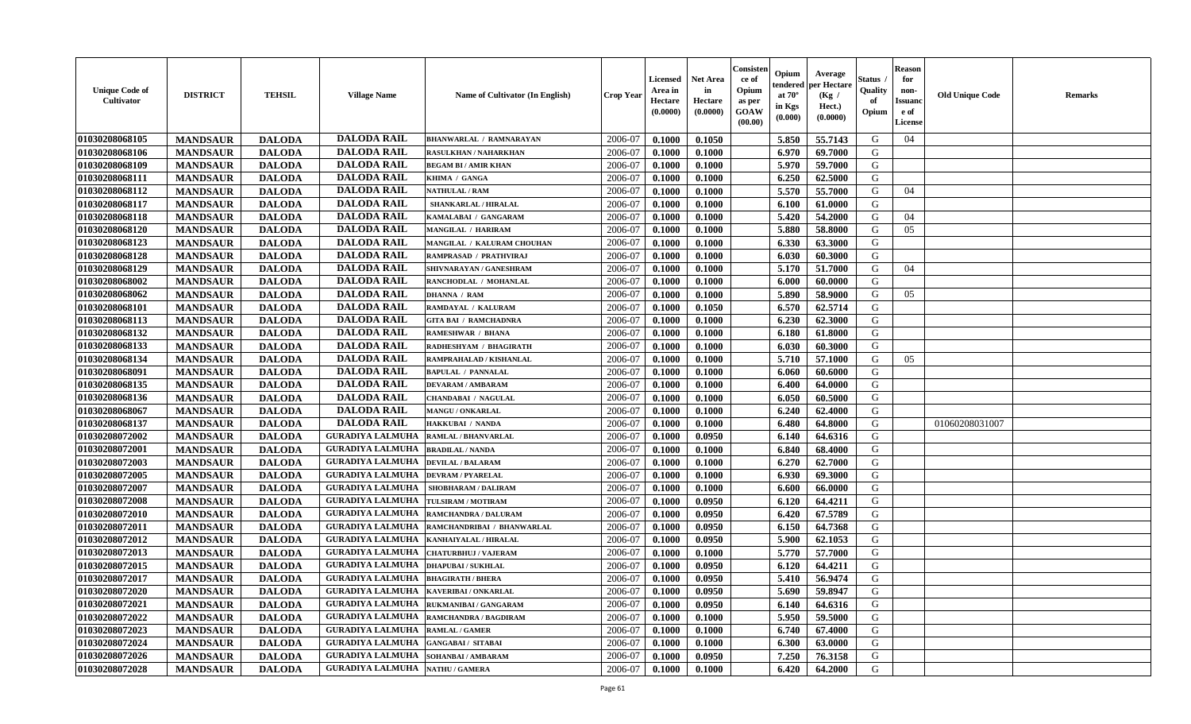| <b>Unique Code of</b><br><b>Cultivator</b> | <b>DISTRICT</b> | <b>TEHSIL</b> | <b>Village Name</b>                            | Name of Cultivator (In English) | <b>Crop Year</b> | <b>Licensed</b><br>Area in<br>Hectare<br>(0.0000) | <b>Net Area</b><br>in<br>Hectare<br>(0.0000) | Consister<br>ce of<br>Opium<br>as per<br><b>GOAW</b><br>(00.00) | Opium<br>endered<br>at $70^\circ$<br>in Kgs<br>(0.000) | Average<br>per Hectare<br>(Kg /<br>Hect.)<br>(0.0000) | Status<br>Quality<br>of<br>Opium | <b>Reason</b><br>for<br>non-<br><b>Issuano</b><br>e of<br>License | <b>Old Unique Code</b> | <b>Remarks</b> |
|--------------------------------------------|-----------------|---------------|------------------------------------------------|---------------------------------|------------------|---------------------------------------------------|----------------------------------------------|-----------------------------------------------------------------|--------------------------------------------------------|-------------------------------------------------------|----------------------------------|-------------------------------------------------------------------|------------------------|----------------|
| 01030208068105                             | <b>MANDSAUR</b> | <b>DALODA</b> | <b>DALODA RAIL</b>                             | <b>BHANWARLAL / RAMNARAYAN</b>  | 2006-07          | 0.1000                                            | 0.1050                                       |                                                                 | 5.850                                                  | 55.7143                                               | G                                | 04                                                                |                        |                |
| 01030208068106                             | <b>MANDSAUR</b> | <b>DALODA</b> | <b>DALODA RAIL</b>                             | RASULKHAN / NAHARKHAN           | 2006-07          | 0.1000                                            | 0.1000                                       |                                                                 | 6.970                                                  | 69.7000                                               | G                                |                                                                   |                        |                |
| 01030208068109                             | <b>MANDSAUR</b> | <b>DALODA</b> | <b>DALODA RAIL</b>                             | <b>BEGAM BI / AMIR KHAN</b>     | 2006-07          | 0.1000                                            | 0.1000                                       |                                                                 | 5.970                                                  | 59.7000                                               | G                                |                                                                   |                        |                |
| 01030208068111                             | <b>MANDSAUR</b> | <b>DALODA</b> | <b>DALODA RAIL</b>                             | KHIMA / GANGA                   | 2006-07          | 0.1000                                            | 0.1000                                       |                                                                 | 6.250                                                  | 62.5000                                               | G                                |                                                                   |                        |                |
| 01030208068112                             | <b>MANDSAUR</b> | <b>DALODA</b> | <b>DALODA RAIL</b>                             | <b>NATHULAL / RAM</b>           | 2006-07          | 0.1000                                            | 0.1000                                       |                                                                 | 5.570                                                  | 55.7000                                               | G                                | 04                                                                |                        |                |
| 01030208068117                             | <b>MANDSAUR</b> | <b>DALODA</b> | <b>DALODA RAIL</b>                             | SHANKARLAL / HIRALAL            | 2006-07          | 0.1000                                            | 0.1000                                       |                                                                 | 6.100                                                  | 61.0000                                               | G                                |                                                                   |                        |                |
| 01030208068118                             | <b>MANDSAUR</b> | <b>DALODA</b> | <b>DALODA RAIL</b>                             | KAMALABAI / GANGARAM            | 2006-07          | 0.1000                                            | 0.1000                                       |                                                                 | 5.420                                                  | 54.2000                                               | G                                | 04                                                                |                        |                |
| 01030208068120                             | <b>MANDSAUR</b> | <b>DALODA</b> | <b>DALODA RAIL</b>                             | MANGILAL / HARIRAM              | 2006-07          | 0.1000                                            | 0.1000                                       |                                                                 | 5.880                                                  | 58.8000                                               | G                                | 05                                                                |                        |                |
| 01030208068123                             | <b>MANDSAUR</b> | <b>DALODA</b> | <b>DALODA RAIL</b>                             | MANGILAL / KALURAM CHOUHAN      | 2006-07          | 0.1000                                            | 0.1000                                       |                                                                 | 6.330                                                  | 63.3000                                               | G                                |                                                                   |                        |                |
| 01030208068128                             | <b>MANDSAUR</b> | <b>DALODA</b> | <b>DALODA RAIL</b>                             | RAMPRASAD / PRATHVIRAJ          | 2006-07          | 0.1000                                            | 0.1000                                       |                                                                 | 6.030                                                  | 60.3000                                               | G                                |                                                                   |                        |                |
| 01030208068129                             | <b>MANDSAUR</b> | <b>DALODA</b> | <b>DALODA RAIL</b>                             | SHIVNARAYAN / GANESHRAM         | 2006-07          | 0.1000                                            | 0.1000                                       |                                                                 | 5.170                                                  | 51.7000                                               | G                                | 04                                                                |                        |                |
| 01030208068002                             | <b>MANDSAUR</b> | <b>DALODA</b> | <b>DALODA RAIL</b>                             | RANCHODLAL / MOHANLAL           | 2006-07          | 0.1000                                            | 0.1000                                       |                                                                 | 6.000                                                  | 60.0000                                               | G                                |                                                                   |                        |                |
| 01030208068062                             | <b>MANDSAUR</b> | <b>DALODA</b> | <b>DALODA RAIL</b>                             | <b>DHANNA / RAM</b>             | 2006-07          | 0.1000                                            | 0.1000                                       |                                                                 | 5.890                                                  | 58.9000                                               | G                                | 05                                                                |                        |                |
| 01030208068101                             | <b>MANDSAUR</b> | <b>DALODA</b> | <b>DALODA RAIL</b>                             | RAMDAYAL / KALURAM              | 2006-07          | 0.1000                                            | 0.1050                                       |                                                                 | 6.570                                                  | 62.5714                                               | G                                |                                                                   |                        |                |
| 01030208068113                             | <b>MANDSAUR</b> | <b>DALODA</b> | <b>DALODA RAIL</b>                             | <b>GITA BAI / RAMCHADNRA</b>    | 2006-07          | 0.1000                                            | 0.1000                                       |                                                                 | 6.230                                                  | 62.3000                                               | G                                |                                                                   |                        |                |
| 01030208068132                             | <b>MANDSAUR</b> | <b>DALODA</b> | <b>DALODA RAIL</b>                             | RAMESHWAR / BHANA               | 2006-07          | 0.1000                                            | 0.1000                                       |                                                                 | 6.180                                                  | 61.8000                                               | G                                |                                                                   |                        |                |
| 01030208068133                             | <b>MANDSAUR</b> | <b>DALODA</b> | <b>DALODA RAIL</b>                             | RADHESHYAM / BHAGIRATH          | 2006-07          | 0.1000                                            | 0.1000                                       |                                                                 | 6.030                                                  | 60.3000                                               | G                                |                                                                   |                        |                |
| 01030208068134                             | <b>MANDSAUR</b> | <b>DALODA</b> | <b>DALODA RAIL</b>                             | RAMPRAHALAD / KISHANLAL         | 2006-07          | 0.1000                                            | 0.1000                                       |                                                                 | 5.710                                                  | 57.1000                                               | G                                | 05                                                                |                        |                |
| 01030208068091                             | <b>MANDSAUR</b> | <b>DALODA</b> | <b>DALODA RAIL</b>                             | <b>BAPULAL / PANNALAL</b>       | 2006-07          | 0.1000                                            | 0.1000                                       |                                                                 | 6.060                                                  | 60.6000                                               | G                                |                                                                   |                        |                |
| 01030208068135                             | <b>MANDSAUR</b> | <b>DALODA</b> | <b>DALODA RAIL</b>                             | <b>DEVARAM / AMBARAM</b>        | 2006-07          | 0.1000                                            | 0.1000                                       |                                                                 | 6.400                                                  | 64.0000                                               | G                                |                                                                   |                        |                |
| 01030208068136                             | <b>MANDSAUR</b> | <b>DALODA</b> | <b>DALODA RAIL</b>                             | <b>CHANDABAI / NAGULAL</b>      | 2006-07          | 0.1000                                            | 0.1000                                       |                                                                 | 6.050                                                  | 60.5000                                               | G                                |                                                                   |                        |                |
| 01030208068067                             | <b>MANDSAUR</b> | <b>DALODA</b> | <b>DALODA RAIL</b>                             | MANGU / ONKARLAL                | 2006-07          | 0.1000                                            | 0.1000                                       |                                                                 | 6.240                                                  | 62.4000                                               | G                                |                                                                   |                        |                |
| 01030208068137                             | <b>MANDSAUR</b> | <b>DALODA</b> | <b>DALODA RAIL</b>                             | <b>HAKKUBAI / NANDA</b>         | 2006-07          | 0.1000                                            | 0.1000                                       |                                                                 | 6.480                                                  | 64.8000                                               | G                                |                                                                   | 01060208031007         |                |
| 01030208072002                             | <b>MANDSAUR</b> | <b>DALODA</b> | <b>GURADIYA LALMUHA</b>                        | <b>RAMLAL / BHANVARLAL</b>      | 2006-07          | 0.1000                                            | 0.0950                                       |                                                                 | 6.140                                                  | 64.6316                                               | G                                |                                                                   |                        |                |
| 01030208072001                             | <b>MANDSAUR</b> | <b>DALODA</b> | <b>GURADIYA LALMUHA</b>                        | <b>BRADILAL / NANDA</b>         | 2006-07          | 0.1000                                            | 0.1000                                       |                                                                 | 6.840                                                  | 68.4000                                               | G                                |                                                                   |                        |                |
| 01030208072003                             | <b>MANDSAUR</b> | <b>DALODA</b> | <b>GURADIYA LALMUHA</b>                        | <b>DEVILAL / BALARAM</b>        | 2006-07          | 0.1000                                            | 0.1000                                       |                                                                 | 6.270                                                  | 62.7000                                               | G                                |                                                                   |                        |                |
| 01030208072005                             | <b>MANDSAUR</b> | <b>DALODA</b> | <b>GURADIYA LALMUHA</b>                        | <b>DEVRAM / PYARELAL</b>        | 2006-07          | 0.1000                                            | 0.1000                                       |                                                                 | 6.930                                                  | 69.3000                                               | G                                |                                                                   |                        |                |
| 01030208072007                             | <b>MANDSAUR</b> | <b>DALODA</b> | <b>GURADIYA LALMUHA</b>                        | SHOBHARAM / DALIRAM             | 2006-07          | 0.1000                                            | 0.1000                                       |                                                                 | 6.600                                                  | 66.0000                                               | G                                |                                                                   |                        |                |
| 01030208072008                             | <b>MANDSAUR</b> | <b>DALODA</b> | <b>GURADIYA LALMUHA</b>                        | TULSIRAM / MOTIRAM              | 2006-07          | 0.1000                                            | 0.0950                                       |                                                                 | 6.120                                                  | 64.4211                                               | G                                |                                                                   |                        |                |
| 01030208072010                             | <b>MANDSAUR</b> | <b>DALODA</b> | <b>GURADIYA LALMUHA</b>                        | <b>RAMCHANDRA / DALURAM</b>     | 2006-07          | 0.1000                                            | 0.0950                                       |                                                                 | 6.420                                                  | 67.5789                                               | G                                |                                                                   |                        |                |
| 01030208072011                             | <b>MANDSAUR</b> | <b>DALODA</b> | <b>GURADIYA LALMUHA</b>                        | RAMCHANDRIBAI / BHANWARLAL      | 2006-07          | 0.1000                                            | 0.0950                                       |                                                                 | 6.150                                                  | 64.7368                                               | G                                |                                                                   |                        |                |
| 01030208072012                             | <b>MANDSAUR</b> | <b>DALODA</b> | <b>GURADIYA LALMUHA</b>                        | KANHAIYALAL / HIRALAL           | 2006-07          | 0.1000                                            | 0.0950                                       |                                                                 | 5.900                                                  | 62.1053                                               | G                                |                                                                   |                        |                |
| 01030208072013                             | <b>MANDSAUR</b> | <b>DALODA</b> | <b>GURADIYA LALMUHA</b>                        | <b>CHATURBHUJ / VAJERAM</b>     | 2006-07          | 0.1000                                            | 0.1000                                       |                                                                 | 5.770                                                  | 57.7000                                               | G                                |                                                                   |                        |                |
| 01030208072015                             | <b>MANDSAUR</b> | <b>DALODA</b> | <b>GURADIYA LALMUHA</b>                        | <b>DHAPUBAI/SUKHLAL</b>         | 2006-07          | 0.1000                                            | 0.0950                                       |                                                                 | 6.120                                                  | 64.4211                                               | G                                |                                                                   |                        |                |
| 01030208072017                             | <b>MANDSAUR</b> | <b>DALODA</b> | <b>GURADIYA LALMUHA</b>                        | <b>BHAGIRATH / BHERA</b>        | 2006-07          | 0.1000                                            | 0.0950                                       |                                                                 | 5.410                                                  | 56.9474                                               | G                                |                                                                   |                        |                |
| <b>01030208072020</b>                      | <b>MANDSAUR</b> | <b>DALODA</b> | <b>GURADIYA LALMUHA   KAVERIBAI / ONKARLAL</b> |                                 | 2006-07          | 0.1000                                            | 0.0950                                       |                                                                 | 5.690                                                  | 59.8947                                               | G                                |                                                                   |                        |                |
| 01030208072021                             | <b>MANDSAUR</b> | <b>DALODA</b> | <b>GURADIYA LALMUHA</b>                        | <b>RUKMANIBAI / GANGARAM</b>    | 2006-07          | 0.1000                                            | 0.0950                                       |                                                                 | 6.140                                                  | 64.6316                                               | G                                |                                                                   |                        |                |
| 01030208072022                             | <b>MANDSAUR</b> | <b>DALODA</b> | <b>GURADIYA LALMUHA</b>                        | RAMCHANDRA / BAGDIRAM           | 2006-07          | 0.1000                                            | 0.1000                                       |                                                                 | 5.950                                                  | 59.5000                                               | G                                |                                                                   |                        |                |
| 01030208072023                             | <b>MANDSAUR</b> | <b>DALODA</b> | <b>GURADIYA LALMUHA RAMLAL / GAMER</b>         |                                 | 2006-07          | 0.1000                                            | 0.1000                                       |                                                                 | 6.740                                                  | 67.4000                                               | G                                |                                                                   |                        |                |
| 01030208072024                             | <b>MANDSAUR</b> | <b>DALODA</b> | <b>GURADIYA LALMUHA</b>                        | <b>GANGABAI / SITABAI</b>       | 2006-07          | 0.1000                                            | 0.1000                                       |                                                                 | 6.300                                                  | 63.0000                                               | G                                |                                                                   |                        |                |
| 01030208072026                             | <b>MANDSAUR</b> | <b>DALODA</b> | <b>GURADIYA LALMUHA</b>                        | SOHANBAI / AMBARAM              | 2006-07          | 0.1000                                            | 0.0950                                       |                                                                 | 7.250                                                  | 76.3158                                               | G                                |                                                                   |                        |                |
| 01030208072028                             | <b>MANDSAUR</b> | <b>DALODA</b> | <b>GURADIYA LALMUHA   NATHU / GAMERA</b>       |                                 | 2006-07          | 0.1000                                            | 0.1000                                       |                                                                 | 6.420                                                  | 64.2000                                               | G                                |                                                                   |                        |                |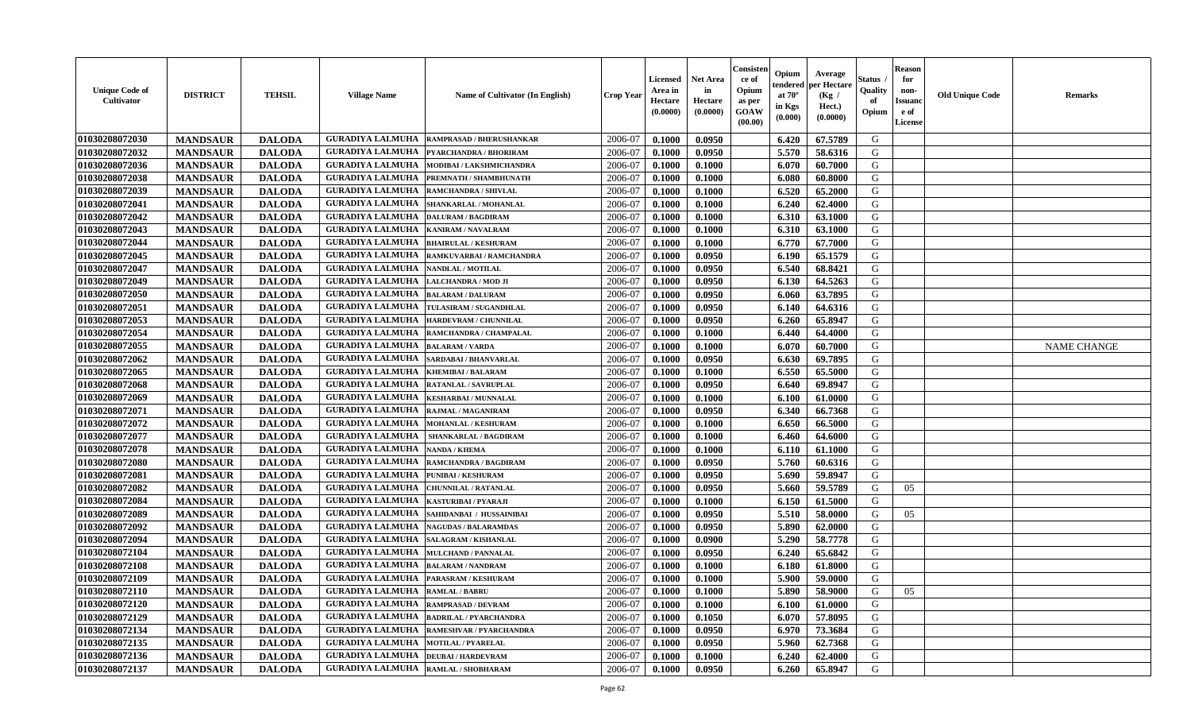| <b>Unique Code of</b><br>Cultivator | <b>DISTRICT</b> | <b>TEHSIL</b> | <b>Village Name</b>                        | <b>Name of Cultivator (In English)</b>          | <b>Crop Year</b> | Licensed<br>Area in<br>Hectare<br>(0.0000) | Net Area<br>in<br>Hectare<br>(0.0000) | Consister<br>ce of<br>Opium<br>as per<br><b>GOAW</b><br>(00.00) | Opium<br>endered<br>at $70^{\circ}$<br>in Kgs<br>(0.000) | Average<br>per Hectare<br>(Kg /<br>Hect.)<br>(0.0000) | Status<br>Quality<br>of<br>Opium | <b>Reason</b><br>for<br>non-<br><b>Issuano</b><br>e of<br>License | <b>Old Unique Code</b> | <b>Remarks</b>     |
|-------------------------------------|-----------------|---------------|--------------------------------------------|-------------------------------------------------|------------------|--------------------------------------------|---------------------------------------|-----------------------------------------------------------------|----------------------------------------------------------|-------------------------------------------------------|----------------------------------|-------------------------------------------------------------------|------------------------|--------------------|
| 01030208072030                      | <b>MANDSAUR</b> | <b>DALODA</b> | <b>GURADIYA LALMUHA</b>                    | <b>RAMPRASAD / BHERUSHANKAR</b>                 | 2006-07          | 0.1000                                     | 0.0950                                |                                                                 | 6.420                                                    | 67.5789                                               | G                                |                                                                   |                        |                    |
| 01030208072032                      | <b>MANDSAUR</b> | <b>DALODA</b> | <b>GURADIYA LALMUHA</b>                    | PYARCHANDRA / BHORIRAM                          | 2006-07          | 0.1000                                     | 0.0950                                |                                                                 | 5.570                                                    | 58.6316                                               | G                                |                                                                   |                        |                    |
| 01030208072036                      | <b>MANDSAUR</b> | <b>DALODA</b> | <b>GURADIYA LALMUHA</b>                    | MODIBAI / LAKSHMICHANDRA                        | 2006-07          | 0.1000                                     | 0.1000                                |                                                                 | 6.070                                                    | 60.7000                                               | G                                |                                                                   |                        |                    |
| 01030208072038                      | <b>MANDSAUR</b> | <b>DALODA</b> | <b>GURADIYA LALMUHA</b>                    | PREMNATH / SHAMBHUNATH                          | 2006-07          | 0.1000                                     | 0.1000                                |                                                                 | 6.080                                                    | 60.8000                                               | G                                |                                                                   |                        |                    |
| 01030208072039                      | <b>MANDSAUR</b> | <b>DALODA</b> | <b>GURADIYA LALMUHA</b>                    | <b>RAMCHANDRA / SHIVLAL</b>                     | 2006-07          | 0.1000                                     | 0.1000                                |                                                                 | 6.520                                                    | 65.2000                                               | G                                |                                                                   |                        |                    |
| 01030208072041                      | <b>MANDSAUR</b> | <b>DALODA</b> | <b>GURADIYA LALMUHA</b>                    | <b>SHANKARLAL / MOHANLAL</b>                    | 2006-07          | 0.1000                                     | 0.1000                                |                                                                 | 6.240                                                    | 62.4000                                               | G                                |                                                                   |                        |                    |
| 01030208072042                      | <b>MANDSAUR</b> | <b>DALODA</b> | <b>GURADIYA LALMUHA</b>                    | <b>DALURAM / BAGDIRAM</b>                       | 2006-07          | 0.1000                                     | 0.1000                                |                                                                 | 6.310                                                    | 63.1000                                               | G                                |                                                                   |                        |                    |
| 01030208072043                      | <b>MANDSAUR</b> | <b>DALODA</b> | <b>GURADIYA LALMUHA</b>                    | <b>KANIRAM / NAVALRAM</b>                       | 2006-07          | 0.1000                                     | 0.1000                                |                                                                 | 6.310                                                    | 63.1000                                               | G                                |                                                                   |                        |                    |
| 01030208072044                      | <b>MANDSAUR</b> | <b>DALODA</b> | <b>GURADIYA LALMUHA</b>                    | <b>BHAIRULAL / KESHURAM</b>                     | 2006-07          | 0.1000                                     | 0.1000                                |                                                                 | 6.770                                                    | 67.7000                                               | G                                |                                                                   |                        |                    |
| 01030208072045                      | <b>MANDSAUR</b> | <b>DALODA</b> | <b>GURADIYA LALMUHA</b>                    | RAMKUVARBAI / RAMCHANDRA                        | 2006-07          | 0.1000                                     | 0.0950                                |                                                                 | 6.190                                                    | 65.1579                                               | G                                |                                                                   |                        |                    |
| 01030208072047                      | <b>MANDSAUR</b> | <b>DALODA</b> | <b>GURADIYA LALMUHA</b>                    | NANDLAL / MOTILAL                               | 2006-07          | 0.1000                                     | 0.0950                                |                                                                 | 6.540                                                    | 68.8421                                               | G                                |                                                                   |                        |                    |
| 01030208072049                      | <b>MANDSAUR</b> | <b>DALODA</b> | <b>GURADIYA LALMUHA</b>                    | LALCHANDRA / MOD JI                             | 2006-07          | 0.1000                                     | 0.0950                                |                                                                 | 6.130                                                    | 64.5263                                               | G                                |                                                                   |                        |                    |
| 01030208072050                      | <b>MANDSAUR</b> | <b>DALODA</b> | <b>GURADIYA LALMUHA</b>                    | <b>BALARAM / DALURAM</b>                        | 2006-07          | 0.1000                                     | 0.0950                                |                                                                 | 6.060                                                    | 63.7895                                               | G                                |                                                                   |                        |                    |
| 01030208072051                      | <b>MANDSAUR</b> | <b>DALODA</b> | <b>GURADIYA LALMUHA</b>                    | TULASIRAM / SUGANDHLAL                          | 2006-07          | 0.1000                                     | 0.0950                                |                                                                 | 6.140                                                    | 64.6316                                               | G                                |                                                                   |                        |                    |
| 01030208072053                      | <b>MANDSAUR</b> | <b>DALODA</b> | <b>GURADIYA LALMUHA</b>                    | <b>HARDEVRAM / CHUNNILAL</b>                    | 2006-07          | 0.1000                                     | 0.0950                                |                                                                 | 6.260                                                    | 65.8947                                               | G                                |                                                                   |                        |                    |
| 01030208072054                      | <b>MANDSAUR</b> | <b>DALODA</b> | <b>GURADIYA LALMUHA</b>                    | RAMCHANDRA / CHAMPALAL                          | 2006-07          | 0.1000                                     | 0.1000                                |                                                                 | 6.440                                                    | 64.4000                                               | G                                |                                                                   |                        |                    |
| 01030208072055                      | <b>MANDSAUR</b> | <b>DALODA</b> | <b>GURADIYA LALMUHA</b>                    | <b>BALARAM / VARDA</b>                          | 2006-07          | 0.1000                                     | 0.1000                                |                                                                 | 6.070                                                    | 60.7000                                               | G                                |                                                                   |                        | <b>NAME CHANGE</b> |
| 01030208072062                      | <b>MANDSAUR</b> | <b>DALODA</b> | <b>GURADIYA LALMUHA</b>                    | SARDABAI / BHANVARLAL                           | 2006-07          | 0.1000                                     | 0.0950                                |                                                                 | 6.630                                                    | 69.7895                                               | G                                |                                                                   |                        |                    |
| 01030208072065                      | <b>MANDSAUR</b> | <b>DALODA</b> | <b>GURADIYA LALMUHA</b>                    | <b>KHEMIBAI/BALARAM</b>                         | 2006-07          | 0.1000                                     | 0.1000                                |                                                                 | 6.550                                                    | 65.5000                                               | G                                |                                                                   |                        |                    |
| 01030208072068                      | <b>MANDSAUR</b> | <b>DALODA</b> | <b>GURADIYA LALMUHA</b>                    | RATANLAL / SAVRUPLAL                            | 2006-07          | 0.1000                                     | 0.0950                                |                                                                 | 6.640                                                    | 69.8947                                               | G                                |                                                                   |                        |                    |
| 01030208072069                      | <b>MANDSAUR</b> | <b>DALODA</b> | <b>GURADIYA LALMUHA</b>                    | <b>KESHARBAI/MUNNALAL</b>                       | 2006-07          | 0.1000                                     | 0.1000                                |                                                                 | 6.100                                                    | 61.0000                                               | G                                |                                                                   |                        |                    |
| 01030208072071                      | <b>MANDSAUR</b> | <b>DALODA</b> | <b>GURADIYA LALMUHA</b>                    | RAJMAL / MAGANIRAM                              | 2006-07          | 0.1000                                     | 0.0950                                |                                                                 | 6.340                                                    | 66.7368                                               | G                                |                                                                   |                        |                    |
| 01030208072072                      | <b>MANDSAUR</b> | <b>DALODA</b> | <b>GURADIYA LALMUHA</b>                    | <b>MOHANLAL / KESHURAM</b>                      | 2006-07          | 0.1000                                     | 0.1000                                |                                                                 | 6.650                                                    | 66.5000                                               | G                                |                                                                   |                        |                    |
| 01030208072077                      | <b>MANDSAUR</b> | <b>DALODA</b> | <b>GURADIYA LALMUHA</b>                    | SHANKARLAL / BAGDIRAM                           | 2006-07          | 0.1000                                     | 0.1000                                |                                                                 | 6.460                                                    | 64.6000                                               | G                                |                                                                   |                        |                    |
| 01030208072078                      | <b>MANDSAUR</b> | <b>DALODA</b> | <b>GURADIYA LALMUHA</b>                    | <b>NANDA / KHEMA</b>                            | 2006-07          | 0.1000                                     | 0.1000                                |                                                                 | 6.110                                                    | 61.1000                                               | G                                |                                                                   |                        |                    |
| 01030208072080                      | <b>MANDSAUR</b> | <b>DALODA</b> | <b>GURADIYA LALMUHA</b>                    | RAMCHANDRA / BAGDIRAM                           | 2006-07          | 0.1000                                     | 0.0950                                |                                                                 | 5.760                                                    | 60.6316                                               | G                                |                                                                   |                        |                    |
| 01030208072081                      | <b>MANDSAUR</b> | <b>DALODA</b> | <b>GURADIYA LALMUHA</b>                    | PUNIBAI / KESHURAM                              | 2006-07          | 0.1000                                     | 0.0950                                |                                                                 | 5.690                                                    | 59.8947                                               | G                                |                                                                   |                        |                    |
| 01030208072082                      | <b>MANDSAUR</b> | <b>DALODA</b> | <b>GURADIYA LALMUHA</b>                    | <b>CHUNNILAL / RATANLAL</b>                     | 2006-07          | 0.1000                                     | 0.0950                                |                                                                 | 5.660                                                    | 59.5789                                               | G                                | 05                                                                |                        |                    |
| 01030208072084                      | <b>MANDSAUR</b> | <b>DALODA</b> | <b>GURADIYA LALMUHA</b>                    | <b>KASTURIBAI / PYARAJI</b>                     | 2006-07          | 0.1000                                     | 0.1000                                |                                                                 | 6.150                                                    | 61.5000                                               | G                                |                                                                   |                        |                    |
| 01030208072089                      | <b>MANDSAUR</b> | <b>DALODA</b> | <b>GURADIYA LALMUHA</b>                    | SAHIDANBAI / HUSSAINIBAI                        | 2006-07          | 0.1000                                     | 0.0950                                |                                                                 | 5.510                                                    | 58.0000                                               | G                                | 05                                                                |                        |                    |
| 01030208072092                      | <b>MANDSAUR</b> | <b>DALODA</b> | <b>GURADIYA LALMUHA</b>                    | <b>NAGUDAS / BALARAMDAS</b>                     | 2006-07          | 0.1000                                     | 0.0950                                |                                                                 | 5.890                                                    | 62.0000                                               | G                                |                                                                   |                        |                    |
| 01030208072094                      | <b>MANDSAUR</b> | <b>DALODA</b> | <b>GURADIYA LALMUHA</b>                    | SALAGRAM / KISHANLAL                            | 2006-07          | 0.1000                                     | 0.0900                                |                                                                 | 5.290                                                    | 58.7778                                               | G                                |                                                                   |                        |                    |
| 01030208072104                      | <b>MANDSAUR</b> | <b>DALODA</b> | <b>GURADIYA LALMUHA</b>                    | <b>MULCHAND / PANNALAL</b>                      | 2006-07          | 0.1000                                     | 0.0950                                |                                                                 | 6.240                                                    | 65.6842                                               | G                                |                                                                   |                        |                    |
| 01030208072108                      | <b>MANDSAUR</b> | <b>DALODA</b> | <b>GURADIYA LALMUHA</b>                    | <b>BALARAM / NANDRAM</b>                        | 2006-07          | 0.1000                                     | 0.1000                                |                                                                 | 6.180                                                    | 61.8000                                               | G                                |                                                                   |                        |                    |
| 01030208072109                      | <b>MANDSAUR</b> | <b>DALODA</b> | <b>GURADIYA LALMUHA</b>                    | <b>PARASRAM / KESHURAM</b>                      | 2006-07          | 0.1000                                     | 0.1000                                |                                                                 | 5.900                                                    | 59.0000                                               | G                                |                                                                   |                        |                    |
| 01030208072110                      | <b>MANDSAUR</b> | <b>DALODA</b> | <b>GURADIYA LALMUHA RAMLAL / BABRU</b>     |                                                 | 2006-07          | 0.1000                                     | 0.1000                                |                                                                 |                                                          | 5.890 58.9000                                         | G                                | 05                                                                |                        |                    |
| 01030208072120                      | <b>MANDSAUR</b> | <b>DALODA</b> | <b>GURADIYA LALMUHA</b>                    | <b>RAMPRASAD / DEVRAM</b>                       | 2006-07          | 0.1000                                     | 0.1000                                |                                                                 | 6.100                                                    | 61.0000                                               | G                                |                                                                   |                        |                    |
| 01030208072129                      | <b>MANDSAUR</b> | <b>DALODA</b> |                                            | <b>GURADIYA LALMUHA  BADRILAL / PYARCHANDRA</b> | 2006-07          | 0.1000                                     | 0.1050                                |                                                                 | 6.070                                                    | 57.8095                                               | G                                |                                                                   |                        |                    |
| 01030208072134                      | <b>MANDSAUR</b> | <b>DALODA</b> | <b>GURADIYA LALMUHA</b>                    | <b>RAMESHVAR / PYARCHANDRA</b>                  | 2006-07          | 0.1000                                     | 0.0950                                |                                                                 | 6.970                                                    | 73.3684                                               | G                                |                                                                   |                        |                    |
| 01030208072135                      | <b>MANDSAUR</b> | <b>DALODA</b> | <b>GURADIYA LALMUHA MOTILAL / PYARELAL</b> |                                                 | 2006-07          | 0.1000                                     | 0.0950                                |                                                                 | 5.960                                                    | 62.7368                                               | G                                |                                                                   |                        |                    |
| 01030208072136                      | <b>MANDSAUR</b> | <b>DALODA</b> | <b>GURADIYA LALMUHA</b>                    | <b>DEUBAI/HARDEVRAM</b>                         | 2006-07          | 0.1000                                     | 0.1000                                |                                                                 | 6.240                                                    | 62.4000                                               | G                                |                                                                   |                        |                    |
| 01030208072137                      | <b>MANDSAUR</b> | <b>DALODA</b> | <b>GURADIYA LALMUHA</b>                    | RAMLAL / SHOBHARAM                              | 2006-07          | 0.1000                                     | 0.0950                                |                                                                 | 6.260                                                    | 65.8947                                               | G                                |                                                                   |                        |                    |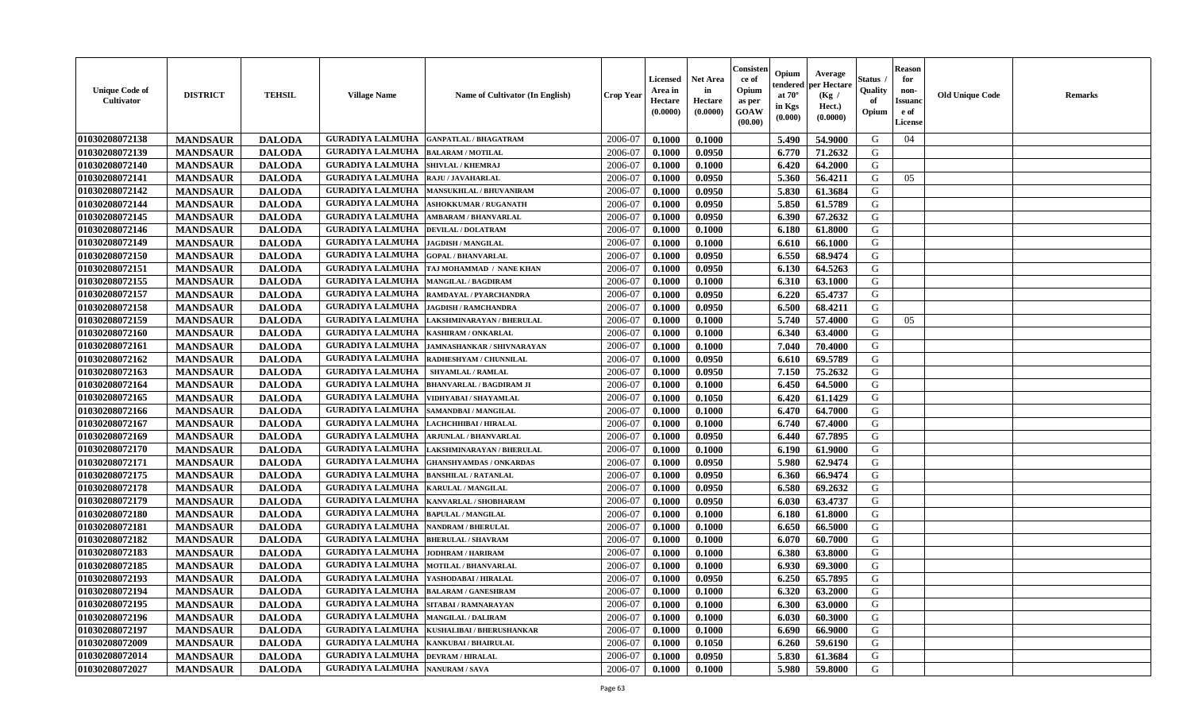| <b>Unique Code of</b><br><b>Cultivator</b> | <b>DISTRICT</b> | <b>TEHSIL</b> | <b>Village Name</b>                          | <b>Name of Cultivator (In English)</b>              | <b>Crop Year</b> | <b>Licensed</b><br>Area in<br>Hectare<br>(0.0000) | <b>Net Area</b><br>in<br>Hectare<br>(0.0000) | Consisteı<br>ce of<br>Opium<br>as per<br><b>GOAW</b><br>(00.00) | Opium<br>endered<br>at $70^\circ$<br>in Kgs<br>$(\mathbf{0.000})$ | Average<br>per Hectare<br>(Kg /<br>Hect.)<br>(0.0000) | Status<br>Quality<br>of<br>Opium | Reason<br>for<br>non-<br>Issuan<br>e of<br><b>License</b> | <b>Old Unique Code</b> | <b>Remarks</b> |
|--------------------------------------------|-----------------|---------------|----------------------------------------------|-----------------------------------------------------|------------------|---------------------------------------------------|----------------------------------------------|-----------------------------------------------------------------|-------------------------------------------------------------------|-------------------------------------------------------|----------------------------------|-----------------------------------------------------------|------------------------|----------------|
| 01030208072138                             | <b>MANDSAUR</b> | <b>DALODA</b> | <b>GURADIYA LALMUHA</b>                      | <b>GANPATLAL / BHAGATRAM</b>                        | 2006-07          | 0.1000                                            | 0.1000                                       |                                                                 | 5.490                                                             | 54.9000                                               | G                                | 04                                                        |                        |                |
| 01030208072139                             | <b>MANDSAUR</b> | <b>DALODA</b> | <b>GURADIYA LALMUHA</b>                      | <b>BALARAM / MOTILAL</b>                            | 2006-07          | 0.1000                                            | 0.0950                                       |                                                                 | 6.770                                                             | 71.2632                                               | G                                |                                                           |                        |                |
| 01030208072140                             | <b>MANDSAUR</b> | <b>DALODA</b> | <b>GURADIYA LALMUHA</b>                      | <b>SHIVLAL / KHEMRAJ</b>                            | 2006-07          | 0.1000                                            | 0.1000                                       |                                                                 | 6.420                                                             | 64.2000                                               | G                                |                                                           |                        |                |
| 01030208072141                             | <b>MANDSAUR</b> | <b>DALODA</b> | <b>GURADIYA LALMUHA</b>                      | RAJU / JAVAHARLAL                                   | 2006-07          | 0.1000                                            | 0.0950                                       |                                                                 | 5.360                                                             | 56.4211                                               | G                                | 05                                                        |                        |                |
| 01030208072142                             | <b>MANDSAUR</b> | <b>DALODA</b> | <b>GURADIYA LALMUHA</b>                      | <b>MANSUKHLAL / BHUVANIRAM</b>                      | 2006-07          | 0.1000                                            | 0.0950                                       |                                                                 | 5.830                                                             | 61.3684                                               | G                                |                                                           |                        |                |
| 01030208072144                             | <b>MANDSAUR</b> | <b>DALODA</b> | <b>GURADIYA LALMUHA</b>                      | <b>ASHOKKUMAR / RUGANATH</b>                        | 2006-07          | 0.1000                                            | 0.0950                                       |                                                                 | 5.850                                                             | 61.5789                                               | G                                |                                                           |                        |                |
| 01030208072145                             | <b>MANDSAUR</b> | <b>DALODA</b> | <b>GURADIYA LALMUHA</b>                      | <b>AMBARAM / BHANVARLAL</b>                         | 2006-07          | 0.1000                                            | 0.0950                                       |                                                                 | 6.390                                                             | 67.2632                                               | G                                |                                                           |                        |                |
| 01030208072146                             | <b>MANDSAUR</b> | <b>DALODA</b> | <b>GURADIYA LALMUHA</b>                      | <b>DEVILAL / DOLATRAM</b>                           | 2006-07          | 0.1000                                            | 0.1000                                       |                                                                 | 6.180                                                             | 61.8000                                               | G                                |                                                           |                        |                |
| 01030208072149                             | <b>MANDSAUR</b> | <b>DALODA</b> | <b>GURADIYA LALMUHA</b>                      | <b>JAGDISH / MANGILAL</b>                           | 2006-07          | 0.1000                                            | 0.1000                                       |                                                                 | 6.610                                                             | 66.1000                                               | G                                |                                                           |                        |                |
| 01030208072150                             | <b>MANDSAUR</b> | <b>DALODA</b> | <b>GURADIYA LALMUHA</b>                      | <b>GOPAL / BHANVARLAL</b>                           | 2006-07          | 0.1000                                            | 0.0950                                       |                                                                 | 6.550                                                             | 68.9474                                               | G                                |                                                           |                        |                |
| 01030208072151                             | <b>MANDSAUR</b> | <b>DALODA</b> | <b>GURADIYA LALMUHA</b>                      | TAJ MOHAMMAD / NANE KHAN                            | 2006-07          | 0.1000                                            | 0.0950                                       |                                                                 | 6.130                                                             | 64.5263                                               | G                                |                                                           |                        |                |
| 01030208072155                             | <b>MANDSAUR</b> | <b>DALODA</b> | <b>GURADIYA LALMUHA</b>                      | <b>MANGILAL / BAGDIRAM</b>                          | 2006-07          | 0.1000                                            | 0.1000                                       |                                                                 | 6.310                                                             | 63.1000                                               | G                                |                                                           |                        |                |
| 01030208072157                             | <b>MANDSAUR</b> | <b>DALODA</b> | <b>GURADIYA LALMUHA</b>                      | RAMDAYAL / PYARCHANDRA                              | 2006-07          | 0.1000                                            | 0.0950                                       |                                                                 | 6.220                                                             | 65.4737                                               | G                                |                                                           |                        |                |
| 01030208072158                             | <b>MANDSAUR</b> | <b>DALODA</b> | <b>GURADIYA LALMUHA</b>                      | <b>JAGDISH / RAMCHANDRA</b>                         | 2006-07          | 0.1000                                            | 0.0950                                       |                                                                 | 6.500                                                             | 68.4211                                               | G                                |                                                           |                        |                |
| 01030208072159                             | <b>MANDSAUR</b> | <b>DALODA</b> | <b>GURADIYA LALMUHA</b>                      | LAKSHMINARAYAN / BHERULAL                           | 2006-07          | 0.1000                                            | 0.1000                                       |                                                                 | 5.740                                                             | 57.4000                                               | G                                | 05                                                        |                        |                |
| 01030208072160                             | <b>MANDSAUR</b> | <b>DALODA</b> | <b>GURADIYA LALMUHA</b>                      | <b>KASHIRAM / ONKARLAL</b>                          | 2006-07          | 0.1000                                            | 0.1000                                       |                                                                 | 6.340                                                             | 63.4000                                               | G                                |                                                           |                        |                |
| 01030208072161                             | <b>MANDSAUR</b> | <b>DALODA</b> | <b>GURADIYA LALMUHA</b>                      | JAMNASHANKAR / SHIVNARAYAN                          | 2006-07          | 0.1000                                            | 0.1000                                       |                                                                 | 7.040                                                             | 70.4000                                               | G                                |                                                           |                        |                |
| 01030208072162                             | <b>MANDSAUR</b> | <b>DALODA</b> | <b>GURADIYA LALMUHA</b>                      | RADHESHYAM / CHUNNILAL                              | 2006-07          | 0.1000                                            | 0.0950                                       |                                                                 | 6.610                                                             | 69.5789                                               | G                                |                                                           |                        |                |
| 01030208072163                             | <b>MANDSAUR</b> | <b>DALODA</b> | <b>GURADIYA LALMUHA</b>                      | <b>SHYAMLAL / RAMLAL</b>                            | 2006-07          | 0.1000                                            | 0.0950                                       |                                                                 | 7.150                                                             | 75.2632                                               | G                                |                                                           |                        |                |
| 01030208072164                             | <b>MANDSAUR</b> | <b>DALODA</b> | <b>GURADIYA LALMUHA</b>                      | <b>BHANVARLAL / BAGDIRAM JI</b>                     | 2006-07          | 0.1000                                            | 0.1000                                       |                                                                 | 6.450                                                             | 64.5000                                               | G                                |                                                           |                        |                |
| 01030208072165                             | <b>MANDSAUR</b> | <b>DALODA</b> | <b>GURADIYA LALMUHA</b>                      | VIDHYABAI / SHAYAMLAL                               | 2006-07          | 0.1000                                            | 0.1050                                       |                                                                 | 6.420                                                             | 61.1429                                               | G                                |                                                           |                        |                |
| 01030208072166                             | <b>MANDSAUR</b> | <b>DALODA</b> | <b>GURADIYA LALMUHA</b>                      | SAMANDBAI / MANGILAL                                | 2006-07          | 0.1000                                            | 0.1000                                       |                                                                 | 6.470                                                             | 64.7000                                               | G                                |                                                           |                        |                |
| 01030208072167                             | <b>MANDSAUR</b> | <b>DALODA</b> | <b>GURADIYA LALMUHA</b>                      | LACHCHHIBAI / HIRALAL                               | 2006-07          | 0.1000                                            | 0.1000                                       |                                                                 | 6.740                                                             | 67.4000                                               | G                                |                                                           |                        |                |
| 01030208072169                             | <b>MANDSAUR</b> | <b>DALODA</b> | <b>GURADIYA LALMUHA</b>                      | <b>ARJUNLAL / BHANVARLAL</b>                        | 2006-07          | 0.1000                                            | 0.0950                                       |                                                                 | 6.440                                                             | 67.7895                                               | G                                |                                                           |                        |                |
| 01030208072170                             | <b>MANDSAUR</b> | <b>DALODA</b> | <b>GURADIYA LALMUHA</b>                      | LAKSHMINARAYAN / BHERULAL                           | 2006-07          | 0.1000                                            | 0.1000                                       |                                                                 | 6.190                                                             | 61.9000                                               | G                                |                                                           |                        |                |
| 01030208072171                             | <b>MANDSAUR</b> | <b>DALODA</b> | <b>GURADIYA LALMUHA</b>                      | <b>GHANSHYAMDAS / ONKARDAS</b>                      | 2006-07          | 0.1000                                            | 0.0950                                       |                                                                 | 5.980                                                             | 62.9474                                               | G                                |                                                           |                        |                |
| 01030208072175                             | <b>MANDSAUR</b> | <b>DALODA</b> | <b>GURADIYA LALMUHA</b>                      | <b>BANSHILAL / RATANLAL</b>                         | 2006-07          | 0.1000                                            | 0.0950                                       |                                                                 | 6.360                                                             | 66.9474                                               | G                                |                                                           |                        |                |
| 01030208072178                             | <b>MANDSAUR</b> | <b>DALODA</b> | <b>GURADIYA LALMUHA</b>                      | KARULAL / MANGILAL                                  | 2006-07          | 0.1000                                            | 0.0950                                       |                                                                 | 6.580                                                             | 69.2632                                               | G                                |                                                           |                        |                |
| 01030208072179                             | <b>MANDSAUR</b> | <b>DALODA</b> | <b>GURADIYA LALMUHA</b>                      | KANVARLAL / SHOBHARAM                               | 2006-07          | 0.1000                                            | 0.0950                                       |                                                                 | 6.030                                                             | 63.4737                                               | G                                |                                                           |                        |                |
| 01030208072180                             | <b>MANDSAUR</b> | <b>DALODA</b> | <b>GURADIYA LALMUHA</b>                      | <b>BAPULAL / MANGILAL</b>                           | 2006-07          | 0.1000                                            | 0.1000                                       |                                                                 | 6.180                                                             | 61.8000                                               | G                                |                                                           |                        |                |
| 01030208072181                             | <b>MANDSAUR</b> | <b>DALODA</b> | <b>GURADIYA LALMUHA</b>                      | <b>NANDRAM / BHERULAL</b>                           | 2006-07          | 0.1000                                            | 0.1000                                       |                                                                 | 6.650                                                             | 66.5000                                               | G                                |                                                           |                        |                |
| 01030208072182                             | <b>MANDSAUR</b> | <b>DALODA</b> | <b>GURADIYA LALMUHA</b>                      | <b>BHERULAL / SHAVRAM</b>                           | 2006-07          | 0.1000                                            | 0.1000                                       |                                                                 | 6.070                                                             | 60.7000                                               | G                                |                                                           |                        |                |
| 01030208072183                             | <b>MANDSAUR</b> | <b>DALODA</b> | <b>GURADIYA LALMUHA</b>                      | <b>JODHRAM / HARIRAM</b>                            | 2006-07          | 0.1000                                            | 0.1000                                       |                                                                 | 6.380                                                             | 63.8000                                               | G                                |                                                           |                        |                |
| 01030208072185                             | <b>MANDSAUR</b> | <b>DALODA</b> | <b>GURADIYA LALMUHA</b>                      | <b>MOTILAL / BHANVARLAL</b>                         | 2006-07          | 0.1000                                            | 0.1000                                       |                                                                 | 6.930                                                             | 69.3000                                               | G                                |                                                           |                        |                |
| 01030208072193                             | <b>MANDSAUR</b> | <b>DALODA</b> | <b>GURADIYA LALMUHA</b>                      | YASHODABAI/HIRALAL                                  | 2006-07          | 0.1000                                            | 0.0950                                       |                                                                 | 6.250                                                             | 65.7895                                               | G                                |                                                           |                        |                |
| <b>01030208072194</b>                      | <b>MANDSAUR</b> | <b>DALODA</b> | <b>GURADIYA LALMUHA  BALARAM / GANESHRAM</b> |                                                     | 2006-07          | 0.1000                                            | 0.1000                                       |                                                                 | 6.320                                                             | 63.2000                                               | G                                |                                                           |                        |                |
| 01030208072195                             | <b>MANDSAUR</b> | <b>DALODA</b> | <b>GURADIYA LALMUHA</b>                      | SITABAI / RAMNARAYAN                                | 2006-07          | 0.1000                                            | 0.1000                                       |                                                                 | 6.300                                                             | 63.0000                                               | G                                |                                                           |                        |                |
| 01030208072196                             | <b>MANDSAUR</b> | <b>DALODA</b> | <b>GURADIYA LALMUHA   MANGILAL / DALIRAM</b> |                                                     | 2006-07          | 0.1000                                            | 0.1000                                       |                                                                 | 6.030                                                             | 60.3000                                               | G                                |                                                           |                        |                |
| 01030208072197                             | <b>MANDSAUR</b> | <b>DALODA</b> |                                              | <b>GURADIYA LALMUHA   KUSHALIBAI / BHERUSHANKAR</b> | 2006-07          | 0.1000                                            | 0.1000                                       |                                                                 | 6.690                                                             | 66.9000                                               | G                                |                                                           |                        |                |
| 01030208072009                             | <b>MANDSAUR</b> | <b>DALODA</b> | <b>GURADIYA LALMUHA</b>                      | <b>KANKUBAI / BHAIRULAL</b>                         | 2006-07          | 0.1000                                            | 0.1050                                       |                                                                 | 6.260                                                             | 59.6190                                               | G                                |                                                           |                        |                |
| 01030208072014                             | <b>MANDSAUR</b> | <b>DALODA</b> | GURADIYA LALMUHA                             | <b>DEVRAM / HIRALAL</b>                             | 2006-07          | 0.1000                                            | 0.0950                                       |                                                                 | 5.830                                                             | 61.3684                                               | G                                |                                                           |                        |                |
| 01030208072027                             | <b>MANDSAUR</b> | <b>DALODA</b> | <b>GURADIYA LALMUHA</b> NANURAM / SAVA       |                                                     | 2006-07          | 0.1000                                            | 0.1000                                       |                                                                 | 5.980                                                             | 59.8000                                               | G                                |                                                           |                        |                |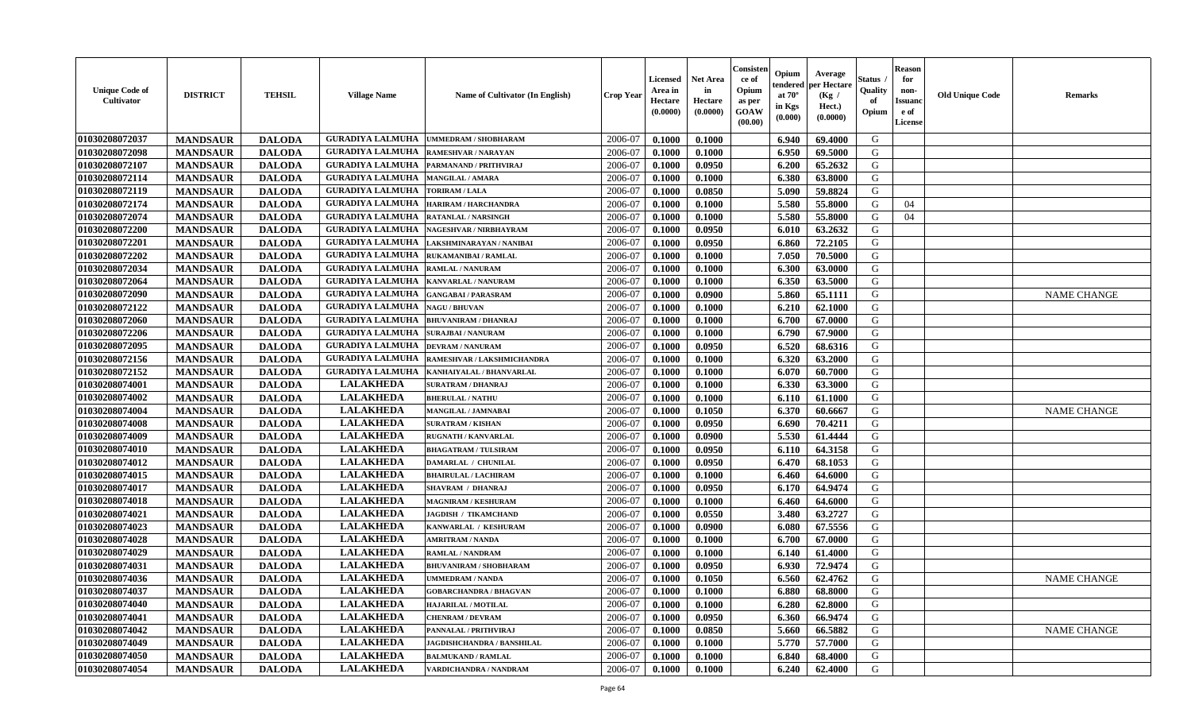| <b>Unique Code of</b><br>Cultivator | <b>DISTRICT</b> | <b>TEHSIL</b> | <b>Village Name</b>     | <b>Name of Cultivator (In English)</b> | <b>Crop Year</b> | <b>Licensed</b><br>Area in<br>Hectare<br>(0.0000) | <b>Net Area</b><br>in<br>Hectare<br>(0.0000) | Consister<br>ce of<br>Opium<br>as per<br><b>GOAW</b><br>(00.00) | Opium<br>tendered<br>at $70^{\circ}$<br>in Kgs<br>(0.000) | Average<br>per Hectare<br>(Kg /<br>Hect.)<br>(0.0000) | Status<br>Quality<br>of<br>Opium | <b>Reason</b><br>for<br>non-<br><b>Issuano</b><br>e of<br>License | <b>Old Unique Code</b> | <b>Remarks</b>     |
|-------------------------------------|-----------------|---------------|-------------------------|----------------------------------------|------------------|---------------------------------------------------|----------------------------------------------|-----------------------------------------------------------------|-----------------------------------------------------------|-------------------------------------------------------|----------------------------------|-------------------------------------------------------------------|------------------------|--------------------|
| 01030208072037                      | <b>MANDSAUR</b> | <b>DALODA</b> | <b>GURADIYA LALMUHA</b> | <b>UMMEDRAM / SHOBHARAM</b>            | 2006-07          | 0.1000                                            | 0.1000                                       |                                                                 | 6.940                                                     | 69.4000                                               | G                                |                                                                   |                        |                    |
| 01030208072098                      | <b>MANDSAUR</b> | <b>DALODA</b> | <b>GURADIYA LALMUHA</b> | <b>RAMESHVAR / NARAYAN</b>             | 2006-07          | 0.1000                                            | 0.1000                                       |                                                                 | 6.950                                                     | 69.5000                                               | G                                |                                                                   |                        |                    |
| 01030208072107                      | <b>MANDSAUR</b> | <b>DALODA</b> | <b>GURADIYA LALMUHA</b> | PARMANAND / PRITHVIRAJ                 | 2006-07          | 0.1000                                            | 0.0950                                       |                                                                 | 6.200                                                     | 65.2632                                               | G                                |                                                                   |                        |                    |
| 01030208072114                      | <b>MANDSAUR</b> | <b>DALODA</b> | <b>GURADIYA LALMUHA</b> | <b>MANGILAL / AMARA</b>                | 2006-07          | 0.1000                                            | 0.1000                                       |                                                                 | 6.380                                                     | 63.8000                                               | G                                |                                                                   |                        |                    |
| 01030208072119                      | <b>MANDSAUR</b> | <b>DALODA</b> | <b>GURADIYA LALMUHA</b> | TORIRAM / LALA                         | 2006-07          | 0.1000                                            | 0.0850                                       |                                                                 | 5.090                                                     | 59.8824                                               | G                                |                                                                   |                        |                    |
| 01030208072174                      | <b>MANDSAUR</b> | <b>DALODA</b> | <b>GURADIYA LALMUHA</b> | <b>HARIRAM / HARCHANDRA</b>            | 2006-07          | 0.1000                                            | 0.1000                                       |                                                                 | 5.580                                                     | 55.8000                                               | G                                | 04                                                                |                        |                    |
| 01030208072074                      | <b>MANDSAUR</b> | <b>DALODA</b> | <b>GURADIYA LALMUHA</b> | <b>RATANLAL / NARSINGH</b>             | 2006-07          | 0.1000                                            | 0.1000                                       |                                                                 | 5.580                                                     | 55.8000                                               | G                                | 04                                                                |                        |                    |
| 01030208072200                      | <b>MANDSAUR</b> | <b>DALODA</b> | <b>GURADIYA LALMUHA</b> | NAGESHVAR / NIRBHAYRAM                 | 2006-07          | 0.1000                                            | 0.0950                                       |                                                                 | 6.010                                                     | 63.2632                                               | G                                |                                                                   |                        |                    |
| 01030208072201                      | <b>MANDSAUR</b> | <b>DALODA</b> | <b>GURADIYA LALMUHA</b> | LAKSHMINARAYAN / NANIBAI               | 2006-07          | 0.1000                                            | 0.0950                                       |                                                                 | 6.860                                                     | 72.2105                                               | G                                |                                                                   |                        |                    |
| 01030208072202                      | <b>MANDSAUR</b> | <b>DALODA</b> | <b>GURADIYA LALMUHA</b> | RUKAMANIBAI / RAMLAL                   | 2006-07          | 0.1000                                            | 0.1000                                       |                                                                 | 7.050                                                     | 70.5000                                               | G                                |                                                                   |                        |                    |
| 01030208072034                      | <b>MANDSAUR</b> | <b>DALODA</b> | <b>GURADIYA LALMUHA</b> | <b>RAMLAL / NANURAM</b>                | 2006-07          | 0.1000                                            | 0.1000                                       |                                                                 | 6.300                                                     | 63.0000                                               | G                                |                                                                   |                        |                    |
| 01030208072064                      | <b>MANDSAUR</b> | <b>DALODA</b> | <b>GURADIYA LALMUHA</b> | <b>KANVARLAL / NANURAM</b>             | 2006-07          | 0.1000                                            | 0.1000                                       |                                                                 | 6.350                                                     | 63.5000                                               | G                                |                                                                   |                        |                    |
| 01030208072090                      | <b>MANDSAUR</b> | <b>DALODA</b> | <b>GURADIYA LALMUHA</b> | <b>GANGABAI/PARASRAM</b>               | 2006-07          | 0.1000                                            | 0.0900                                       |                                                                 | 5.860                                                     | 65.1111                                               | G                                |                                                                   |                        | <b>NAME CHANGE</b> |
| 01030208072122                      | <b>MANDSAUR</b> | <b>DALODA</b> | <b>GURADIYA LALMUHA</b> | <b>NAGU / BHUVAN</b>                   | 2006-07          | 0.1000                                            | 0.1000                                       |                                                                 | 6.210                                                     | 62.1000                                               | G                                |                                                                   |                        |                    |
| 01030208072060                      | <b>MANDSAUR</b> | <b>DALODA</b> | <b>GURADIYA LALMUHA</b> | <b>BHUVANIRAM / DHANRAJ</b>            | 2006-07          | 0.1000                                            | 0.1000                                       |                                                                 | 6.700                                                     | 67.0000                                               | G                                |                                                                   |                        |                    |
| 01030208072206                      | <b>MANDSAUR</b> | <b>DALODA</b> | <b>GURADIYA LALMUHA</b> | <b>SURAJBAI / NANURAM</b>              | 2006-07          | 0.1000                                            | 0.1000                                       |                                                                 | 6.790                                                     | 67.9000                                               | G                                |                                                                   |                        |                    |
| 01030208072095                      | <b>MANDSAUR</b> | <b>DALODA</b> | <b>GURADIYA LALMUHA</b> | <b>DEVRAM / NANURAM</b>                | 2006-07          | 0.1000                                            | 0.0950                                       |                                                                 | 6.520                                                     | 68.6316                                               | G                                |                                                                   |                        |                    |
| 01030208072156                      | <b>MANDSAUR</b> | <b>DALODA</b> | <b>GURADIYA LALMUHA</b> | RAMESHVAR / LAKSHMICHANDRA             | 2006-07          | 0.1000                                            | 0.1000                                       |                                                                 | 6.320                                                     | 63.2000                                               | G                                |                                                                   |                        |                    |
| 01030208072152                      | <b>MANDSAUR</b> | <b>DALODA</b> | <b>GURADIYA LALMUHA</b> | KANHAIYALAL / BHANVARLAL               | 2006-07          | 0.1000                                            | 0.1000                                       |                                                                 | 6.070                                                     | 60.7000                                               | G                                |                                                                   |                        |                    |
| 01030208074001                      | <b>MANDSAUR</b> | <b>DALODA</b> | <b>LALAKHEDA</b>        | <b>SURATRAM / DHANRAJ</b>              | 2006-07          | 0.1000                                            | 0.1000                                       |                                                                 | 6.330                                                     | 63.3000                                               | G                                |                                                                   |                        |                    |
| 01030208074002                      | <b>MANDSAUR</b> | <b>DALODA</b> | <b>LALAKHEDA</b>        | <b>BHERULAL / NATHU</b>                | 2006-07          | 0.1000                                            | 0.1000                                       |                                                                 | 6.110                                                     | 61.1000                                               | G                                |                                                                   |                        |                    |
| 01030208074004                      | <b>MANDSAUR</b> | <b>DALODA</b> | <b>LALAKHEDA</b>        | MANGILAL / JAMNABAI                    | 2006-07          | 0.1000                                            | 0.1050                                       |                                                                 | 6.370                                                     | 60.6667                                               | G                                |                                                                   |                        | <b>NAME CHANGE</b> |
| 01030208074008                      | <b>MANDSAUR</b> | <b>DALODA</b> | <b>LALAKHEDA</b>        | <b>SURATRAM / KISHAN</b>               | 2006-07          | 0.1000                                            | 0.0950                                       |                                                                 | 6.690                                                     | 70.4211                                               | G                                |                                                                   |                        |                    |
| 01030208074009                      | <b>MANDSAUR</b> | <b>DALODA</b> | <b>LALAKHEDA</b>        | <b>RUGNATH / KANVARLAL</b>             | 2006-07          | 0.1000                                            | 0.0900                                       |                                                                 | 5.530                                                     | 61.4444                                               | G                                |                                                                   |                        |                    |
| 01030208074010                      | <b>MANDSAUR</b> | <b>DALODA</b> | <b>LALAKHEDA</b>        | <b>BHAGATRAM / TULSIRAM</b>            | 2006-07          | 0.1000                                            | 0.0950                                       |                                                                 | 6.110                                                     | 64.3158                                               | G                                |                                                                   |                        |                    |
| 01030208074012                      | <b>MANDSAUR</b> | <b>DALODA</b> | <b>LALAKHEDA</b>        | <b>DAMARLAL / CHUNILAL</b>             | 2006-07          | 0.1000                                            | 0.0950                                       |                                                                 | 6.470                                                     | 68.1053                                               | G                                |                                                                   |                        |                    |
| 01030208074015                      | <b>MANDSAUR</b> | <b>DALODA</b> | <b>LALAKHEDA</b>        | <b>BHAIRULAL / LACHIRAM</b>            | 2006-07          | 0.1000                                            | 0.1000                                       |                                                                 | 6.460                                                     | 64.6000                                               | G                                |                                                                   |                        |                    |
| 01030208074017                      | <b>MANDSAUR</b> | <b>DALODA</b> | <b>LALAKHEDA</b>        | <b>SHAVRAM / DHANRAJ</b>               | 2006-07          | 0.1000                                            | 0.0950                                       |                                                                 | 6.170                                                     | 64.9474                                               | G                                |                                                                   |                        |                    |
| 01030208074018                      | <b>MANDSAUR</b> | <b>DALODA</b> | <b>LALAKHEDA</b>        | <b>MAGNIRAM / KESHURAM</b>             | 2006-07          | 0.1000                                            | 0.1000                                       |                                                                 | 6.460                                                     | 64.6000                                               | G                                |                                                                   |                        |                    |
| 01030208074021                      | <b>MANDSAUR</b> | <b>DALODA</b> | <b>LALAKHEDA</b>        | JAGDISH / TIKAMCHAND                   | 2006-07          | 0.1000                                            | 0.0550                                       |                                                                 | 3.480                                                     | 63,2727                                               | G                                |                                                                   |                        |                    |
| 01030208074023                      | <b>MANDSAUR</b> | <b>DALODA</b> | <b>LALAKHEDA</b>        | KANWARLAL / KESHURAM                   | 2006-07          | 0.1000                                            | 0.0900                                       |                                                                 | 6.080                                                     | 67.5556                                               | G                                |                                                                   |                        |                    |
| 01030208074028                      | <b>MANDSAUR</b> | <b>DALODA</b> | <b>LALAKHEDA</b>        | <b>AMRITRAM / NANDA</b>                | 2006-07          | 0.1000                                            | 0.1000                                       |                                                                 | 6.700                                                     | 67.0000                                               | G                                |                                                                   |                        |                    |
| 01030208074029                      | <b>MANDSAUR</b> | <b>DALODA</b> | <b>LALAKHEDA</b>        | RAMLAL / NANDRAM                       | 2006-07          | 0.1000                                            | 0.1000                                       |                                                                 | 6.140                                                     | 61.4000                                               | G                                |                                                                   |                        |                    |
| 01030208074031                      | <b>MANDSAUR</b> | <b>DALODA</b> | <b>LALAKHEDA</b>        | <b>BHUVANIRAM / SHOBHARAM</b>          | 2006-07          | 0.1000                                            | 0.0950                                       |                                                                 | 6.930                                                     | 72.9474                                               | G                                |                                                                   |                        |                    |
| 01030208074036                      | <b>MANDSAUR</b> | <b>DALODA</b> | <b>LALAKHEDA</b>        | <b>JMMEDRAM / NANDA</b>                | 2006-07          | 0.1000                                            | 0.1050                                       |                                                                 | 6.560                                                     | 62.4762                                               | G                                |                                                                   |                        | <b>NAME CHANGE</b> |
| 01030208074037                      | <b>MANDSAUR</b> | <b>DALODA</b> | <b>LALAKHEDA</b>        | <b>GOBARCHANDRA / BHAGVAN</b>          | 2006-07          | 0.1000                                            | 0.1000                                       |                                                                 | 6.880                                                     | 68.8000                                               | G                                |                                                                   |                        |                    |
| 01030208074040                      | <b>MANDSAUR</b> | <b>DALODA</b> | <b>LALAKHEDA</b>        | HAJARILAL / MOTILAL                    | 2006-07          | 0.1000                                            | 0.1000                                       |                                                                 | 6.280                                                     | 62.8000                                               | G                                |                                                                   |                        |                    |
| 01030208074041                      | <b>MANDSAUR</b> | <b>DALODA</b> | <b>LALAKHEDA</b>        | <b>CHENRAM / DEVRAM</b>                | 2006-07          | 0.1000                                            | 0.0950                                       |                                                                 | 6.360                                                     | 66.9474                                               | G                                |                                                                   |                        |                    |
| 01030208074042                      | <b>MANDSAUR</b> | <b>DALODA</b> | <b>LALAKHEDA</b>        | PANNALAL / PRITHVIRAJ                  | 2006-07          | 0.1000                                            | 0.0850                                       |                                                                 | 5.660                                                     | 66.5882                                               | G                                |                                                                   |                        | <b>NAME CHANGE</b> |
| 01030208074049                      | <b>MANDSAUR</b> | <b>DALODA</b> | <b>LALAKHEDA</b>        | JAGDISHCHANDRA / BANSHILAL             | 2006-07          | 0.1000                                            | 0.1000                                       |                                                                 | 5.770                                                     | 57.7000                                               | G                                |                                                                   |                        |                    |
| 01030208074050                      | <b>MANDSAUR</b> | <b>DALODA</b> | <b>LALAKHEDA</b>        | <b>BALMUKAND / RAMLAL</b>              | 2006-07          | 0.1000                                            | 0.1000                                       |                                                                 | 6.840                                                     | 68.4000                                               | G                                |                                                                   |                        |                    |
| 01030208074054                      | <b>MANDSAUR</b> | <b>DALODA</b> | <b>LALAKHEDA</b>        | VARDICHANDRA / NANDRAM                 | 2006-07          | 0.1000                                            | 0.1000                                       |                                                                 | 6.240                                                     | 62.4000                                               | G                                |                                                                   |                        |                    |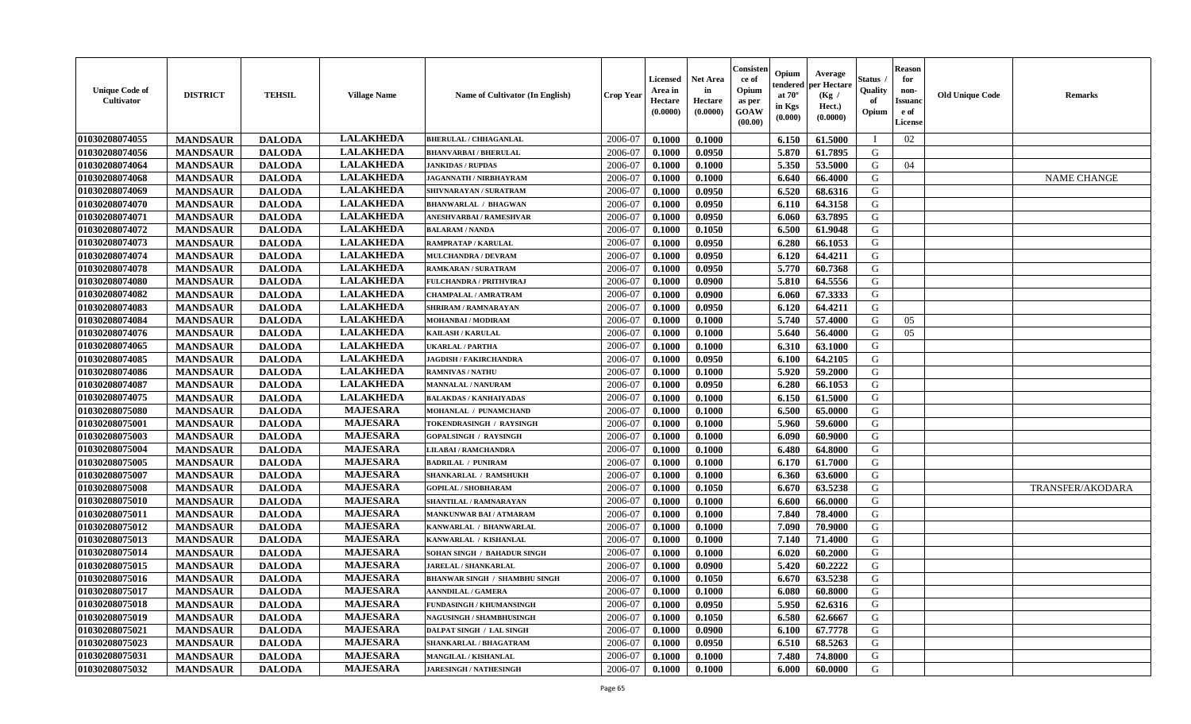| <b>Unique Code of</b><br><b>Cultivator</b> | <b>DISTRICT</b> | <b>TEHSIL</b> | <b>Village Name</b> | Name of Cultivator (In English)      | <b>Crop Year</b> | <b>Licensed</b><br>Area in<br>Hectare<br>(0.0000) | Net Area<br>in<br>Hectare<br>(0.0000) | Consisteı<br>ce of<br>Opium<br>as per<br>GOAW<br>(00.00) | Opium<br>endered<br>at $70^\circ$<br>in Kgs<br>(0.000) | Average<br>oer Hectare<br>(Kg /<br>Hect.)<br>(0.0000) | Status<br>Quality<br>of<br>Opium | <b>Reason</b><br>for<br>non-<br>Issuano<br>e of<br>License | <b>Old Unique Code</b> | Remarks                 |
|--------------------------------------------|-----------------|---------------|---------------------|--------------------------------------|------------------|---------------------------------------------------|---------------------------------------|----------------------------------------------------------|--------------------------------------------------------|-------------------------------------------------------|----------------------------------|------------------------------------------------------------|------------------------|-------------------------|
| 01030208074055                             | <b>MANDSAUR</b> | <b>DALODA</b> | <b>LALAKHEDA</b>    | <b>BHERULAL / CHHAGANLAL</b>         | 2006-07          | 0.1000                                            | 0.1000                                |                                                          | 6.150                                                  | 61.5000                                               | П                                | 02                                                         |                        |                         |
| 01030208074056                             | <b>MANDSAUR</b> | <b>DALODA</b> | <b>LALAKHEDA</b>    | <b>BHANVARBAI/BHERULAL</b>           | 2006-07          | 0.1000                                            | 0.0950                                |                                                          | 5.870                                                  | 61.7895                                               | G                                |                                                            |                        |                         |
| 01030208074064                             | <b>MANDSAUR</b> | <b>DALODA</b> | <b>LALAKHEDA</b>    | <b>JANKIDAS / RUPDAS</b>             | 2006-07          | 0.1000                                            | 0.1000                                |                                                          | 5.350                                                  | 53.5000                                               | G                                | 04                                                         |                        |                         |
| 01030208074068                             | <b>MANDSAUR</b> | <b>DALODA</b> | <b>LALAKHEDA</b>    | <b>JAGANNATH / NIRBHAYRAM</b>        | 2006-07          | 0.1000                                            | 0.1000                                |                                                          | 6.640                                                  | 66.4000                                               | G                                |                                                            |                        | <b>NAME CHANGE</b>      |
| 01030208074069                             | <b>MANDSAUR</b> | <b>DALODA</b> | <b>LALAKHEDA</b>    | SHIVNARAYAN / SURATRAM               | 2006-07          | 0.1000                                            | 0.0950                                |                                                          | 6.520                                                  | 68.6316                                               | G                                |                                                            |                        |                         |
| 01030208074070                             | <b>MANDSAUR</b> | <b>DALODA</b> | <b>LALAKHEDA</b>    | <b>BHANWARLAL / BHAGWAN</b>          | 2006-07          | 0.1000                                            | 0.0950                                |                                                          | 6.110                                                  | 64.3158                                               | G                                |                                                            |                        |                         |
| 01030208074071                             | <b>MANDSAUR</b> | <b>DALODA</b> | <b>LALAKHEDA</b>    | ANESHVARBAI / RAMESHVAR              | 2006-07          | 0.1000                                            | 0.0950                                |                                                          | 6.060                                                  | 63.7895                                               | G                                |                                                            |                        |                         |
| 01030208074072                             | <b>MANDSAUR</b> | <b>DALODA</b> | <b>LALAKHEDA</b>    | <b>BALARAM / NANDA</b>               | 2006-07          | 0.1000                                            | 0.1050                                |                                                          | 6.500                                                  | 61.9048                                               | G                                |                                                            |                        |                         |
| 01030208074073                             | <b>MANDSAUR</b> | <b>DALODA</b> | <b>LALAKHEDA</b>    | <b>RAMPRATAP / KARULAL</b>           | 2006-07          | 0.1000                                            | 0.0950                                |                                                          | 6.280                                                  | 66.1053                                               | G                                |                                                            |                        |                         |
| 01030208074074                             | <b>MANDSAUR</b> | <b>DALODA</b> | <b>LALAKHEDA</b>    | <b>MULCHANDRA / DEVRAM</b>           | 2006-07          | 0.1000                                            | 0.0950                                |                                                          | 6.120                                                  | 64.4211                                               | G                                |                                                            |                        |                         |
| 01030208074078                             | <b>MANDSAUR</b> | <b>DALODA</b> | <b>LALAKHEDA</b>    | <b>RAMKARAN / SURATRAM</b>           | 2006-07          | 0.1000                                            | 0.0950                                |                                                          | 5.770                                                  | 60.7368                                               | G                                |                                                            |                        |                         |
| 01030208074080                             | <b>MANDSAUR</b> | <b>DALODA</b> | <b>LALAKHEDA</b>    | <b>FULCHANDRA / PRITHVIRAJ</b>       | 2006-07          | 0.1000                                            | 0.0900                                |                                                          | 5.810                                                  | 64.5556                                               | G                                |                                                            |                        |                         |
| 01030208074082                             | <b>MANDSAUR</b> | <b>DALODA</b> | <b>LALAKHEDA</b>    | <b>CHAMPALAL / AMRATRAM</b>          | 2006-07          | 0.1000                                            | 0.0900                                |                                                          | 6.060                                                  | 67.3333                                               | G                                |                                                            |                        |                         |
| 01030208074083                             | <b>MANDSAUR</b> | <b>DALODA</b> | <b>LALAKHEDA</b>    | <b>SHRIRAM / RAMNARAYAN</b>          | 2006-07          | 0.1000                                            | 0.0950                                |                                                          | 6.120                                                  | 64.4211                                               | G                                |                                                            |                        |                         |
| 01030208074084                             | <b>MANDSAUR</b> | <b>DALODA</b> | <b>LALAKHEDA</b>    | <b>MOHANBAI/MODIRAM</b>              | 2006-07          | 0.1000                                            | 0.1000                                |                                                          | 5.740                                                  | 57.4000                                               | G                                | 05                                                         |                        |                         |
| 01030208074076                             | <b>MANDSAUR</b> | <b>DALODA</b> | <b>LALAKHEDA</b>    | <b>KAILASH / KARULAL</b>             | 2006-07          | 0.1000                                            | 0.1000                                |                                                          | 5.640                                                  | 56.4000                                               | G                                | 05                                                         |                        |                         |
| 01030208074065                             | <b>MANDSAUR</b> | <b>DALODA</b> | <b>LALAKHEDA</b>    | <b>UKARLAL / PARTHA</b>              | 2006-07          | 0.1000                                            | 0.1000                                |                                                          | 6.310                                                  | 63.1000                                               | G                                |                                                            |                        |                         |
| 01030208074085                             | <b>MANDSAUR</b> | <b>DALODA</b> | <b>LALAKHEDA</b>    | <b>JAGDISH / FAKIRCHANDRA</b>        | 2006-07          | 0.1000                                            | 0.0950                                |                                                          | 6.100                                                  | 64.2105                                               | G                                |                                                            |                        |                         |
| 01030208074086                             | <b>MANDSAUR</b> | <b>DALODA</b> | <b>LALAKHEDA</b>    | <b>RAMNIVAS / NATHU</b>              | 2006-07          | 0.1000                                            | 0.1000                                |                                                          | 5.920                                                  | 59.2000                                               | G                                |                                                            |                        |                         |
| 01030208074087                             | <b>MANDSAUR</b> | <b>DALODA</b> | <b>LALAKHEDA</b>    | <b>MANNALAL / NANURAM</b>            | 2006-07          | 0.1000                                            | 0.0950                                |                                                          | 6.280                                                  | 66.1053                                               | G                                |                                                            |                        |                         |
| 01030208074075                             | <b>MANDSAUR</b> | <b>DALODA</b> | <b>LALAKHEDA</b>    | <b>BALAKDAS / KANHAIYADAS</b>        | 2006-07          | 0.1000                                            | 0.1000                                |                                                          | 6.150                                                  | 61.5000                                               | G                                |                                                            |                        |                         |
| 01030208075080                             | <b>MANDSAUR</b> | <b>DALODA</b> | <b>MAJESARA</b>     | MOHANLAL / PUNAMCHAND                | 2006-07          | 0.1000                                            | 0.1000                                |                                                          | 6.500                                                  | 65.0000                                               | G                                |                                                            |                        |                         |
| 01030208075001                             | <b>MANDSAUR</b> | <b>DALODA</b> | <b>MAJESARA</b>     | TOKENDRASINGH / RAYSINGH             | 2006-07          | 0.1000                                            | 0.1000                                |                                                          | 5.960                                                  | 59.6000                                               | G                                |                                                            |                        |                         |
| 01030208075003                             | <b>MANDSAUR</b> | <b>DALODA</b> | <b>MAJESARA</b>     | <b>GOPALSINGH / RAYSINGH</b>         | 2006-07          | 0.1000                                            | 0.1000                                |                                                          | 6.090                                                  | 60.9000                                               | G                                |                                                            |                        |                         |
| 01030208075004                             | <b>MANDSAUR</b> | <b>DALODA</b> | <b>MAJESARA</b>     | <b>LILABAI/RAMCHANDRA</b>            | 2006-07          | 0.1000                                            | 0.1000                                |                                                          | 6.480                                                  | 64.8000                                               | G                                |                                                            |                        |                         |
| 01030208075005                             | <b>MANDSAUR</b> | <b>DALODA</b> | <b>MAJESARA</b>     | <b>BADRILAL / PUNIRAM</b>            | 2006-07          | 0.1000                                            | 0.1000                                |                                                          | 6.170                                                  | 61.7000                                               | G                                |                                                            |                        |                         |
| 01030208075007                             | <b>MANDSAUR</b> | <b>DALODA</b> | <b>MAJESARA</b>     | SHANKARLAL / RAMSHUKH                | 2006-07          | 0.1000                                            | 0.1000                                |                                                          | 6.360                                                  | 63.6000                                               | G                                |                                                            |                        |                         |
| 01030208075008                             | <b>MANDSAUR</b> | <b>DALODA</b> | <b>MAJESARA</b>     | <b>GOPILAL / SHOBHARAM</b>           | 2006-07          | 0.1000                                            | 0.1050                                |                                                          | 6.670                                                  | 63.5238                                               | G                                |                                                            |                        | <b>TRANSFER/AKODARA</b> |
| 01030208075010                             | <b>MANDSAUR</b> | <b>DALODA</b> | <b>MAJESARA</b>     | SHANTILAL / RAMNARAYAN               | 2006-07          | 0.1000                                            | 0.1000                                |                                                          | 6.600                                                  | 66.0000                                               | G                                |                                                            |                        |                         |
| 01030208075011                             | <b>MANDSAUR</b> | <b>DALODA</b> | <b>MAJESARA</b>     | <b>MANKUNWAR BAI/ATMARAM</b>         | 2006-07          | 0.1000                                            | 0.1000                                |                                                          | 7.840                                                  | 78.4000                                               | G                                |                                                            |                        |                         |
| 01030208075012                             | <b>MANDSAUR</b> | <b>DALODA</b> | <b>MAJESARA</b>     | KANWARLAL / BHANWARLAL               | 2006-07          | 0.1000                                            | 0.1000                                |                                                          | 7.090                                                  | 70.9000                                               | G                                |                                                            |                        |                         |
| 01030208075013                             | <b>MANDSAUR</b> | <b>DALODA</b> | <b>MAJESARA</b>     | KANWARLAL / KISHANLAL                | 2006-07          | 0.1000                                            | 0.1000                                |                                                          | 7.140                                                  | 71.4000                                               | G                                |                                                            |                        |                         |
| 01030208075014                             | <b>MANDSAUR</b> | <b>DALODA</b> | <b>MAJESARA</b>     | SOHAN SINGH / BAHADUR SINGH          | 2006-07          | 0.1000                                            | 0.1000                                |                                                          | 6.020                                                  | 60.2000                                               | G                                |                                                            |                        |                         |
| 01030208075015                             | <b>MANDSAUR</b> | <b>DALODA</b> | <b>MAJESARA</b>     | <b>JARELAL / SHANKARLAL</b>          | 2006-07          | 0.1000                                            | 0.0900                                |                                                          | 5.420                                                  | 60.2222                                               | G                                |                                                            |                        |                         |
| 01030208075016                             | <b>MANDSAUR</b> | <b>DALODA</b> | <b>MAJESARA</b>     | <b>BHANWAR SINGH / SHAMBHU SINGH</b> | 2006-07          | 0.1000                                            | 0.1050                                |                                                          | 6.670                                                  | 63.5238                                               | G                                |                                                            |                        |                         |
| 01030208075017                             | <b>MANDSAUR</b> | <b>DALODA</b> | <b>MAJESARA</b>     | <b>AANNDILAL / GAMERA</b>            | 2006-07          | 0.1000                                            | 0.1000                                |                                                          | 6.080                                                  | 60.8000                                               | G                                |                                                            |                        |                         |
| 01030208075018                             | <b>MANDSAUR</b> | <b>DALODA</b> | <b>MAJESARA</b>     | FUNDASINGH / KHUMANSINGH             | 2006-07          | 0.1000                                            | 0.0950                                |                                                          | 5.950                                                  | 62.6316                                               | G                                |                                                            |                        |                         |
| 01030208075019                             | <b>MANDSAUR</b> | <b>DALODA</b> | <b>MAJESARA</b>     | NAGUSINGH / SHAMBHUSINGH             | 2006-07          | 0.1000                                            | 0.1050                                |                                                          | 6.580                                                  | 62.6667                                               | G                                |                                                            |                        |                         |
| 01030208075021                             | <b>MANDSAUR</b> | <b>DALODA</b> | <b>MAJESARA</b>     | <b>DALPAT SINGH / LAL SINGH</b>      | 2006-07          | 0.1000                                            | 0.0900                                |                                                          | 6.100                                                  | 67.7778                                               | G                                |                                                            |                        |                         |
| 01030208075023                             | <b>MANDSAUR</b> | <b>DALODA</b> | <b>MAJESARA</b>     | SHANKARLAL / BHAGATRAM               | 2006-07          | 0.1000                                            | 0.0950                                |                                                          | 6.510                                                  | 68.5263                                               | ${\bf G}$                        |                                                            |                        |                         |
| 01030208075031                             | <b>MANDSAUR</b> | <b>DALODA</b> | <b>MAJESARA</b>     | MANGILAL / KISHANLAL                 | 2006-07          | 0.1000                                            | 0.1000                                |                                                          | 7.480                                                  | 74.8000                                               | G                                |                                                            |                        |                         |
| 01030208075032                             | <b>MANDSAUR</b> | <b>DALODA</b> | <b>MAJESARA</b>     | <b>JARESINGH / NATHESINGH</b>        | 2006-07          | 0.1000                                            | 0.1000                                |                                                          | 6.000                                                  | 60.0000                                               | G                                |                                                            |                        |                         |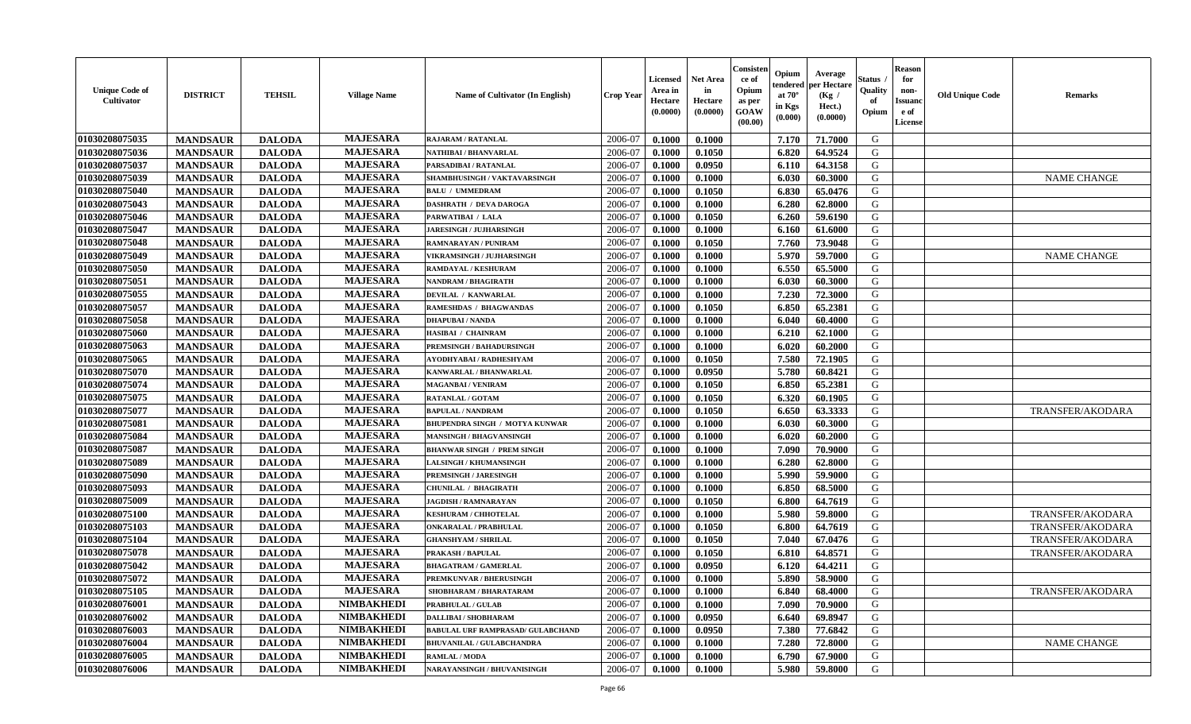| <b>Unique Code of</b><br>Cultivator | <b>DISTRICT</b> | <b>TEHSIL</b> | <b>Village Name</b> | <b>Name of Cultivator (In English)</b>   | <b>Crop Year</b> | <b>Licensed</b><br>Area in<br>Hectare<br>(0.0000) | <b>Net Area</b><br>in<br>Hectare<br>(0.0000) | Consisteı<br>ce of<br>Opium<br>as per<br>GOAW<br>(00.00) | Opium<br>endered<br>at $70^\circ$<br>in Kgs<br>(0.000) | Average<br>oer Hectare<br>(Kg /<br>Hect.)<br>(0.0000) | Status<br>Quality<br>of<br>Opium | Reason<br>for<br>non-<br><b>Issuan</b><br>e of<br>License | <b>Old Unique Code</b> | <b>Remarks</b>          |
|-------------------------------------|-----------------|---------------|---------------------|------------------------------------------|------------------|---------------------------------------------------|----------------------------------------------|----------------------------------------------------------|--------------------------------------------------------|-------------------------------------------------------|----------------------------------|-----------------------------------------------------------|------------------------|-------------------------|
| 01030208075035                      | <b>MANDSAUR</b> | <b>DALODA</b> | <b>MAJESARA</b>     | <b>RAJARAM / RATANLAL</b>                | 2006-07          | 0.1000                                            | 0.1000                                       |                                                          | 7.170                                                  | 71.7000                                               | G                                |                                                           |                        |                         |
| 01030208075036                      | <b>MANDSAUR</b> | <b>DALODA</b> | <b>MAJESARA</b>     | NATHIBAI / BHANVARLAL                    | 2006-07          | 0.1000                                            | 0.1050                                       |                                                          | 6.820                                                  | 64.9524                                               | G                                |                                                           |                        |                         |
| 01030208075037                      | <b>MANDSAUR</b> | <b>DALODA</b> | <b>MAJESARA</b>     | PARSADIBAI / RATANLAL                    | 2006-07          | 0.1000                                            | 0.0950                                       |                                                          | 6.110                                                  | 64.3158                                               | G                                |                                                           |                        |                         |
| 01030208075039                      | <b>MANDSAUR</b> | <b>DALODA</b> | <b>MAJESARA</b>     | SHAMBHUSINGH / VAKTAVARSINGH             | 2006-07          | 0.1000                                            | 0.1000                                       |                                                          | 6.030                                                  | 60.3000                                               | G                                |                                                           |                        | <b>NAME CHANGE</b>      |
| 01030208075040                      | <b>MANDSAUR</b> | <b>DALODA</b> | <b>MAJESARA</b>     | <b>BALU / UMMEDRAM</b>                   | 2006-07          | 0.1000                                            | 0.1050                                       |                                                          | 6.830                                                  | 65.0476                                               | G                                |                                                           |                        |                         |
| 01030208075043                      | <b>MANDSAUR</b> | <b>DALODA</b> | <b>MAJESARA</b>     | <b>DASHRATH / DEVA DAROGA</b>            | 2006-07          | 0.1000                                            | 0.1000                                       |                                                          | 6.280                                                  | 62.8000                                               | G                                |                                                           |                        |                         |
| 01030208075046                      | <b>MANDSAUR</b> | <b>DALODA</b> | <b>MAJESARA</b>     | PARWATIBAI / LALA                        | 2006-07          | 0.1000                                            | 0.1050                                       |                                                          | 6.260                                                  | 59.6190                                               | G                                |                                                           |                        |                         |
| 01030208075047                      | <b>MANDSAUR</b> | <b>DALODA</b> | <b>MAJESARA</b>     | <b>JARESINGH / JUJHARSINGH</b>           | 2006-07          | 0.1000                                            | 0.1000                                       |                                                          | 6.160                                                  | 61.6000                                               | G                                |                                                           |                        |                         |
| 01030208075048                      | <b>MANDSAUR</b> | <b>DALODA</b> | <b>MAJESARA</b>     | RAMNARAYAN / PUNIRAM                     | 2006-07          | 0.1000                                            | 0.1050                                       |                                                          | 7.760                                                  | 73.9048                                               | G                                |                                                           |                        |                         |
| 01030208075049                      | <b>MANDSAUR</b> | <b>DALODA</b> | <b>MAJESARA</b>     | <b>VIKRAMSINGH / JUJHARSINGH</b>         | 2006-07          | 0.1000                                            | 0.1000                                       |                                                          | 5.970                                                  | 59.7000                                               | G                                |                                                           |                        | <b>NAME CHANGE</b>      |
| 01030208075050                      | <b>MANDSAUR</b> | <b>DALODA</b> | <b>MAJESARA</b>     | <b>RAMDAYAL / KESHURAM</b>               | 2006-07          | 0.1000                                            | 0.1000                                       |                                                          | 6.550                                                  | 65.5000                                               | G                                |                                                           |                        |                         |
| 01030208075051                      | <b>MANDSAUR</b> | <b>DALODA</b> | <b>MAJESARA</b>     | NANDRAM / BHAGIRATH                      | 2006-07          | 0.1000                                            | 0.1000                                       |                                                          | 6.030                                                  | 60.3000                                               | G                                |                                                           |                        |                         |
| 01030208075055                      | <b>MANDSAUR</b> | <b>DALODA</b> | <b>MAJESARA</b>     | DEVILAL / KANWARLAL                      | 2006-07          | 0.1000                                            | 0.1000                                       |                                                          | 7.230                                                  | 72.3000                                               | G                                |                                                           |                        |                         |
| 01030208075057                      | <b>MANDSAUR</b> | <b>DALODA</b> | <b>MAJESARA</b>     | RAMESHDAS / BHAGWANDAS                   | 2006-07          | 0.1000                                            | 0.1050                                       |                                                          | 6.850                                                  | 65.2381                                               | G                                |                                                           |                        |                         |
| 01030208075058                      | <b>MANDSAUR</b> | <b>DALODA</b> | <b>MAJESARA</b>     | <b>DHAPUBAI/NANDA</b>                    | 2006-07          | 0.1000                                            | 0.1000                                       |                                                          | 6.040                                                  | 60.4000                                               | G                                |                                                           |                        |                         |
| 01030208075060                      | <b>MANDSAUR</b> | <b>DALODA</b> | <b>MAJESARA</b>     | HASIBAI / CHAINRAM                       | 2006-07          | 0.1000                                            | 0.1000                                       |                                                          | 6.210                                                  | 62.1000                                               | G                                |                                                           |                        |                         |
| 01030208075063                      | <b>MANDSAUR</b> | <b>DALODA</b> | <b>MAJESARA</b>     | PREMSINGH / BAHADURSINGH                 | 2006-07          | 0.1000                                            | 0.1000                                       |                                                          | 6.020                                                  | 60.2000                                               | G                                |                                                           |                        |                         |
| 01030208075065                      | <b>MANDSAUR</b> | <b>DALODA</b> | <b>MAJESARA</b>     | AYODHYABAI/RADHESHYAM                    | 2006-07          | 0.1000                                            | 0.1050                                       |                                                          | 7.580                                                  | 72.1905                                               | G                                |                                                           |                        |                         |
| 01030208075070                      | <b>MANDSAUR</b> | <b>DALODA</b> | <b>MAJESARA</b>     | KANWARLAL / BHANWARLAL                   | 2006-07          | 0.1000                                            | 0.0950                                       |                                                          | 5.780                                                  | 60.8421                                               | G                                |                                                           |                        |                         |
| 01030208075074                      | <b>MANDSAUR</b> | <b>DALODA</b> | <b>MAJESARA</b>     | <b>MAGANBAI/VENIRAM</b>                  | 2006-07          | 0.1000                                            | 0.1050                                       |                                                          | 6.850                                                  | 65.2381                                               | G                                |                                                           |                        |                         |
| 01030208075075                      | <b>MANDSAUR</b> | <b>DALODA</b> | <b>MAJESARA</b>     | RATANLAL / GOTAM                         | 2006-07          | 0.1000                                            | 0.1050                                       |                                                          | 6.320                                                  | 60.1905                                               | G                                |                                                           |                        |                         |
| 01030208075077                      | <b>MANDSAUR</b> | <b>DALODA</b> | <b>MAJESARA</b>     | <b>BAPULAL / NANDRAM</b>                 | 2006-07          | 0.1000                                            | 0.1050                                       |                                                          | 6.650                                                  | 63.3333                                               | G                                |                                                           |                        | <b>TRANSFER/AKODARA</b> |
| 01030208075081                      | <b>MANDSAUR</b> | <b>DALODA</b> | <b>MAJESARA</b>     | BHUPENDRA SINGH / MOTYA KUNWAR           | 2006-07          | 0.1000                                            | 0.1000                                       |                                                          | 6.030                                                  | 60.3000                                               | G                                |                                                           |                        |                         |
| 01030208075084                      | <b>MANDSAUR</b> | <b>DALODA</b> | <b>MAJESARA</b>     | <b>MANSINGH / BHAGVANSINGH</b>           | 2006-07          | 0.1000                                            | 0.1000                                       |                                                          | 6.020                                                  | 60.2000                                               | G                                |                                                           |                        |                         |
| 01030208075087                      | <b>MANDSAUR</b> | <b>DALODA</b> | <b>MAJESARA</b>     | <b>BHANWAR SINGH / PREM SINGH</b>        | 2006-07          | 0.1000                                            | 0.1000                                       |                                                          | 7.090                                                  | 70.9000                                               | G                                |                                                           |                        |                         |
| 01030208075089                      | <b>MANDSAUR</b> | <b>DALODA</b> | <b>MAJESARA</b>     | <b>LALSINGH / KHUMANSINGH</b>            | 2006-07          | 0.1000                                            | 0.1000                                       |                                                          | 6.280                                                  | 62.8000                                               | G                                |                                                           |                        |                         |
| 01030208075090                      | <b>MANDSAUR</b> | <b>DALODA</b> | <b>MAJESARA</b>     | PREMSINGH / JARESINGH                    | 2006-07          | 0.1000                                            | 0.1000                                       |                                                          | 5.990                                                  | 59.9000                                               | G                                |                                                           |                        |                         |
| 01030208075093                      | <b>MANDSAUR</b> | <b>DALODA</b> | <b>MAJESARA</b>     | <b>CHUNILAL / BHAGIRATH</b>              | 2006-07          | 0.1000                                            | 0.1000                                       |                                                          | 6.850                                                  | 68.5000                                               | G                                |                                                           |                        |                         |
| 01030208075009                      | <b>MANDSAUR</b> | <b>DALODA</b> | <b>MAJESARA</b>     | <b>JAGDISH / RAMNARAYAN</b>              | 2006-07          | 0.1000                                            | 0.1050                                       |                                                          | 6.800                                                  | 64.7619                                               | G                                |                                                           |                        |                         |
| 01030208075100                      | <b>MANDSAUR</b> | <b>DALODA</b> | <b>MAJESARA</b>     | <b>KESHURAM / CHHOTELAL</b>              | 2006-07          | 0.1000                                            | 0.1000                                       |                                                          | 5.980                                                  | 59.8000                                               | G                                |                                                           |                        | <b>TRANSFER/AKODARA</b> |
| 01030208075103                      | <b>MANDSAUR</b> | <b>DALODA</b> | <b>MAJESARA</b>     | <b>ONKARALAL / PRABHULAL</b>             | 2006-07          | 0.1000                                            | 0.1050                                       |                                                          | 6.800                                                  | 64.7619                                               | G                                |                                                           |                        | TRANSFER/AKODARA        |
| 01030208075104                      | <b>MANDSAUR</b> | <b>DALODA</b> | <b>MAJESARA</b>     | <b>GHANSHYAM / SHRILAL</b>               | 2006-07          | 0.1000                                            | 0.1050                                       |                                                          | 7.040                                                  | 67.0476                                               | G                                |                                                           |                        | <b>TRANSFER/AKODARA</b> |
| 01030208075078                      | <b>MANDSAUR</b> | <b>DALODA</b> | <b>MAJESARA</b>     | PRAKASH / BAPULAL                        | 2006-07          | 0.1000                                            | 0.1050                                       |                                                          | 6.810                                                  | 64.8571                                               | G                                |                                                           |                        | TRANSFER/AKODARA        |
| 01030208075042                      | <b>MANDSAUR</b> | <b>DALODA</b> | <b>MAJESARA</b>     | <b>BHAGATRAM / GAMERLAL</b>              | 2006-07          | 0.1000                                            | 0.0950                                       |                                                          | 6.120                                                  | 64.4211                                               | G                                |                                                           |                        |                         |
| 01030208075072                      | <b>MANDSAUR</b> | <b>DALODA</b> | <b>MAJESARA</b>     | PREMKUNVAR / BHERUSINGH                  | 2006-07          | 0.1000                                            | 0.1000                                       |                                                          | 5.890                                                  | 58.9000                                               | G                                |                                                           |                        |                         |
| 01030208075105                      | <b>MANDSAUR</b> | <b>DALODA</b> | MAJESARA            | SHOBHARAM / BHARATARAM                   | 2006-07          | 0.1000                                            | 0.1000                                       |                                                          | 6.840                                                  | 68.4000                                               | G                                |                                                           |                        | TRANSFER/AKODARA        |
| 01030208076001                      | <b>MANDSAUR</b> | <b>DALODA</b> | <b>NIMBAKHEDI</b>   | PRABHULAL / GULAB                        | 2006-07          | 0.1000                                            | 0.1000                                       |                                                          | 7.090                                                  | 70.9000                                               | G                                |                                                           |                        |                         |
| 01030208076002                      | <b>MANDSAUR</b> | <b>DALODA</b> | <b>NIMBAKHEDI</b>   | <b>DALLIBAI/SHOBHARAM</b>                | 2006-07          | 0.1000                                            | 0.0950                                       |                                                          | 6.640                                                  | 69.8947                                               | G                                |                                                           |                        |                         |
| 01030208076003                      | <b>MANDSAUR</b> | <b>DALODA</b> | <b>NIMBAKHEDI</b>   | <b>BABULAL URF RAMPRASAD/ GULABCHAND</b> | 2006-07          | 0.1000                                            | 0.0950                                       |                                                          | 7.380                                                  | 77.6842                                               | G                                |                                                           |                        |                         |
| 01030208076004                      | <b>MANDSAUR</b> | <b>DALODA</b> | <b>NIMBAKHEDI</b>   | <b>BHUVANILAL / GULABCHANDRA</b>         | 2006-07          | 0.1000                                            | 0.1000                                       |                                                          | 7.280                                                  | 72.8000                                               | G                                |                                                           |                        | <b>NAME CHANGE</b>      |
| 01030208076005                      | <b>MANDSAUR</b> | <b>DALODA</b> | <b>NIMBAKHEDI</b>   | RAMLAL / MODA                            | 2006-07          | 0.1000                                            | 0.1000                                       |                                                          | 6.790                                                  | 67.9000                                               | G                                |                                                           |                        |                         |
| 01030208076006                      | <b>MANDSAUR</b> | <b>DALODA</b> | <b>NIMBAKHEDI</b>   | NARAYANSINGH / BHUVANISINGH              | 2006-07          | 0.1000                                            | 0.1000                                       |                                                          | 5.980                                                  | 59.8000                                               | G                                |                                                           |                        |                         |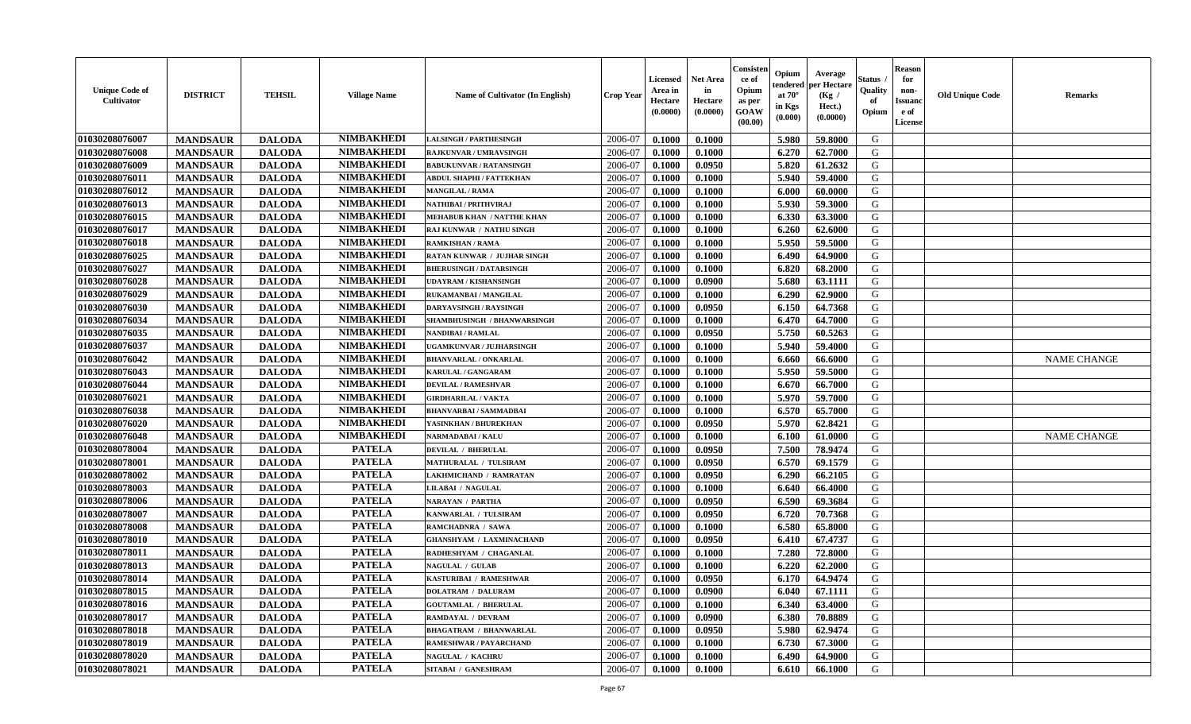| <b>Unique Code of</b><br><b>Cultivator</b> | <b>DISTRICT</b> | <b>TEHSIL</b> | <b>Village Name</b> | <b>Name of Cultivator (In English)</b> | <b>Crop Year</b> | <b>Licensed</b><br>Area in<br>Hectare<br>(0.0000) | <b>Net Area</b><br>in<br>Hectare<br>(0.0000) | Consisteı<br>ce of<br>Opium<br>as per<br><b>GOAW</b><br>(00.00) | Opium<br>endered<br>at $70^\circ$<br>in Kgs<br>$(\mathbf{0.000})$ | Average<br>per Hectare<br>(Kg /<br>Hect.)<br>(0.0000) | Status<br>Quality<br>of<br>Opium | Reason<br>for<br>non-<br>Issuan<br>e of<br>License | <b>Old Unique Code</b> | <b>Remarks</b>     |
|--------------------------------------------|-----------------|---------------|---------------------|----------------------------------------|------------------|---------------------------------------------------|----------------------------------------------|-----------------------------------------------------------------|-------------------------------------------------------------------|-------------------------------------------------------|----------------------------------|----------------------------------------------------|------------------------|--------------------|
| 01030208076007                             | <b>MANDSAUR</b> | <b>DALODA</b> | <b>NIMBAKHEDI</b>   | <b>LALSINGH / PARTHESINGH</b>          | 2006-07          | 0.1000                                            | 0.1000                                       |                                                                 | 5.980                                                             | 59.8000                                               | G                                |                                                    |                        |                    |
| 01030208076008                             | <b>MANDSAUR</b> | <b>DALODA</b> | <b>NIMBAKHEDI</b>   | RAJKUNVAR / UMRAVSINGH                 | 2006-07          | 0.1000                                            | 0.1000                                       |                                                                 | 6.270                                                             | 62.7000                                               | G                                |                                                    |                        |                    |
| 01030208076009                             | <b>MANDSAUR</b> | <b>DALODA</b> | <b>NIMBAKHEDI</b>   | <b>BABUKUNVAR / RATANSINGH</b>         | 2006-07          | 0.1000                                            | 0.0950                                       |                                                                 | 5.820                                                             | 61.2632                                               | G                                |                                                    |                        |                    |
| 01030208076011                             | <b>MANDSAUR</b> | <b>DALODA</b> | <b>NIMBAKHEDI</b>   | ABDUL SHAPHI / FATTEKHAN               | 2006-07          | 0.1000                                            | 0.1000                                       |                                                                 | 5.940                                                             | 59.4000                                               | G                                |                                                    |                        |                    |
| 01030208076012                             | <b>MANDSAUR</b> | <b>DALODA</b> | <b>NIMBAKHEDI</b>   | <b>MANGILAL / RAMA</b>                 | 2006-07          | 0.1000                                            | 0.1000                                       |                                                                 | 6.000                                                             | 60.0000                                               | G                                |                                                    |                        |                    |
| 01030208076013                             | <b>MANDSAUR</b> | <b>DALODA</b> | <b>NIMBAKHEDI</b>   | NATHIBAI / PRITHVIRAJ                  | 2006-07          | 0.1000                                            | 0.1000                                       |                                                                 | 5.930                                                             | 59.3000                                               | G                                |                                                    |                        |                    |
| 01030208076015                             | <b>MANDSAUR</b> | <b>DALODA</b> | <b>NIMBAKHEDI</b>   | <b>MEHABUB KHAN / NATTHE KHAN</b>      | 2006-07          | 0.1000                                            | 0.1000                                       |                                                                 | 6.330                                                             | 63.3000                                               | G                                |                                                    |                        |                    |
| 01030208076017                             | <b>MANDSAUR</b> | <b>DALODA</b> | <b>NIMBAKHEDI</b>   | RAJ KUNWAR / NATHU SINGH               | 2006-07          | 0.1000                                            | 0.1000                                       |                                                                 | 6.260                                                             | 62.6000                                               | G                                |                                                    |                        |                    |
| 01030208076018                             | <b>MANDSAUR</b> | <b>DALODA</b> | <b>NIMBAKHEDI</b>   | <b>RAMKISHAN / RAMA</b>                | 2006-07          | 0.1000                                            | 0.1000                                       |                                                                 | 5.950                                                             | 59.5000                                               | G                                |                                                    |                        |                    |
| 01030208076025                             | <b>MANDSAUR</b> | <b>DALODA</b> | <b>NIMBAKHEDI</b>   | RATAN KUNWAR / JUJHAR SINGH            | 2006-07          | 0.1000                                            | 0.1000                                       |                                                                 | 6.490                                                             | 64.9000                                               | G                                |                                                    |                        |                    |
| 01030208076027                             | <b>MANDSAUR</b> | <b>DALODA</b> | <b>NIMBAKHEDI</b>   | <b>BHERUSINGH / DATARSINGH</b>         | 2006-07          | 0.1000                                            | 0.1000                                       |                                                                 | 6.820                                                             | 68.2000                                               | G                                |                                                    |                        |                    |
| 01030208076028                             | <b>MANDSAUR</b> | <b>DALODA</b> | <b>NIMBAKHEDI</b>   | <b>UDAYRAM / KISHANSINGH</b>           | 2006-07          | 0.1000                                            | 0.0900                                       |                                                                 | 5.680                                                             | 63.1111                                               | G                                |                                                    |                        |                    |
| 01030208076029                             | <b>MANDSAUR</b> | <b>DALODA</b> | <b>NIMBAKHEDI</b>   | RUKAMANBAI / MANGILAL                  | 2006-07          | 0.1000                                            | 0.1000                                       |                                                                 | 6.290                                                             | 62.9000                                               | G                                |                                                    |                        |                    |
| 01030208076030                             | <b>MANDSAUR</b> | <b>DALODA</b> | <b>NIMBAKHEDI</b>   | DARYAVSINGH / RAYSINGH                 | 2006-07          | 0.1000                                            | 0.0950                                       |                                                                 | 6.150                                                             | 64.7368                                               | G                                |                                                    |                        |                    |
| 01030208076034                             | <b>MANDSAUR</b> | <b>DALODA</b> | <b>NIMBAKHEDI</b>   | SHAMBHUSINGH / BHANWARSINGH            | 2006-07          | 0.1000                                            | 0.1000                                       |                                                                 | 6.470                                                             | 64.7000                                               | G                                |                                                    |                        |                    |
| 01030208076035                             | <b>MANDSAUR</b> | <b>DALODA</b> | <b>NIMBAKHEDI</b>   | NANDIBAI / RAMLAL                      | 2006-07          | 0.1000                                            | 0.0950                                       |                                                                 | 5.750                                                             | 60.5263                                               | G                                |                                                    |                        |                    |
| 01030208076037                             | <b>MANDSAUR</b> | <b>DALODA</b> | <b>NIMBAKHEDI</b>   | UGAMKUNVAR / JUJHARSINGH               | 2006-07          | 0.1000                                            | 0.1000                                       |                                                                 | 5.940                                                             | 59.4000                                               | G                                |                                                    |                        |                    |
| 01030208076042                             | <b>MANDSAUR</b> | <b>DALODA</b> | <b>NIMBAKHEDI</b>   | <b>BHANVARLAL / ONKARLAL</b>           | 2006-07          | 0.1000                                            | 0.1000                                       |                                                                 | 6.660                                                             | 66.6000                                               | G                                |                                                    |                        | <b>NAME CHANGE</b> |
| 01030208076043                             | <b>MANDSAUR</b> | <b>DALODA</b> | <b>NIMBAKHEDI</b>   | KARULAL / GANGARAM                     | 2006-07          | 0.1000                                            | 0.1000                                       |                                                                 | 5.950                                                             | 59.5000                                               | G                                |                                                    |                        |                    |
| 01030208076044                             | <b>MANDSAUR</b> | <b>DALODA</b> | <b>NIMBAKHEDI</b>   | <b>DEVILAL / RAMESHVAR</b>             | 2006-07          | 0.1000                                            | 0.1000                                       |                                                                 | 6.670                                                             | 66.7000                                               | G                                |                                                    |                        |                    |
| 01030208076021                             | <b>MANDSAUR</b> | <b>DALODA</b> | <b>NIMBAKHEDI</b>   | <b>GIRDHARILAL / VAKTA</b>             | 2006-07          | 0.1000                                            | 0.1000                                       |                                                                 | 5.970                                                             | 59.7000                                               | G                                |                                                    |                        |                    |
| 01030208076038                             | <b>MANDSAUR</b> | <b>DALODA</b> | <b>NIMBAKHEDI</b>   | <b>BHANVARBAI/SAMMADBAI</b>            | 2006-07          | 0.1000                                            | 0.1000                                       |                                                                 | 6.570                                                             | 65.7000                                               | G                                |                                                    |                        |                    |
| 01030208076020                             | <b>MANDSAUR</b> | <b>DALODA</b> | <b>NIMBAKHEDI</b>   | YASINKHAN / BHUREKHAN                  | 2006-07          | 0.1000                                            | 0.0950                                       |                                                                 | 5.970                                                             | 62.8421                                               | G                                |                                                    |                        |                    |
| 01030208076048                             | <b>MANDSAUR</b> | <b>DALODA</b> | <b>NIMBAKHEDI</b>   | NARMADABAI / KALU                      | 2006-07          | 0.1000                                            | 0.1000                                       |                                                                 | 6.100                                                             | 61.0000                                               | G                                |                                                    |                        | <b>NAME CHANGE</b> |
| 01030208078004                             | <b>MANDSAUR</b> | <b>DALODA</b> | <b>PATELA</b>       | <b>DEVILAL / BHERULAL</b>              | 2006-07          | 0.1000                                            | 0.0950                                       |                                                                 | 7.500                                                             | 78.9474                                               | G                                |                                                    |                        |                    |
| 01030208078001                             | <b>MANDSAUR</b> | <b>DALODA</b> | <b>PATELA</b>       | MATHURALAL / TULSIRAM                  | 2006-07          | 0.1000                                            | 0.0950                                       |                                                                 | 6.570                                                             | 69.1579                                               | G                                |                                                    |                        |                    |
| 01030208078002                             | <b>MANDSAUR</b> | <b>DALODA</b> | <b>PATELA</b>       | LAKHMICHAND / RAMRATAN                 | 2006-07          | 0.1000                                            | 0.0950                                       |                                                                 | 6.290                                                             | 66.2105                                               | G                                |                                                    |                        |                    |
| 01030208078003                             | <b>MANDSAUR</b> | <b>DALODA</b> | <b>PATELA</b>       | <b>LILABAI / NAGULAL</b>               | 2006-07          | 0.1000                                            | 0.1000                                       |                                                                 | 6.640                                                             | 66.4000                                               | G                                |                                                    |                        |                    |
| 01030208078006                             | <b>MANDSAUR</b> | <b>DALODA</b> | <b>PATELA</b>       | <b>NARAYAN / PARTHA</b>                | 2006-07          | 0.1000                                            | 0.0950                                       |                                                                 | 6.590                                                             | 69.3684                                               | G                                |                                                    |                        |                    |
| 01030208078007                             | <b>MANDSAUR</b> | <b>DALODA</b> | <b>PATELA</b>       | KANWARLAL / TULSIRAM                   | 2006-07          | 0.1000                                            | 0.0950                                       |                                                                 | 6.720                                                             | 70.7368                                               | G                                |                                                    |                        |                    |
| 01030208078008                             | <b>MANDSAUR</b> | <b>DALODA</b> | <b>PATELA</b>       | RAMCHADNRA / SAWA                      | 2006-07          | 0.1000                                            | 0.1000                                       |                                                                 | 6.580                                                             | 65.8000                                               | G                                |                                                    |                        |                    |
| 01030208078010                             | <b>MANDSAUR</b> | <b>DALODA</b> | <b>PATELA</b>       | <b>GHANSHYAM / LAXMINACHAND</b>        | 2006-07          | 0.1000                                            | 0.0950                                       |                                                                 | 6.410                                                             | 67.4737                                               | G                                |                                                    |                        |                    |
| 01030208078011                             | <b>MANDSAUR</b> | <b>DALODA</b> | <b>PATELA</b>       | RADHESHYAM / CHAGANLAL                 | 2006-07          | 0.1000                                            | 0.1000                                       |                                                                 | 7.280                                                             | 72.8000                                               | G                                |                                                    |                        |                    |
| 01030208078013                             | <b>MANDSAUR</b> | <b>DALODA</b> | <b>PATELA</b>       | <b>NAGULAL / GULAB</b>                 | 2006-07          | 0.1000                                            | 0.1000                                       |                                                                 | 6.220                                                             | 62.2000                                               | G                                |                                                    |                        |                    |
| 01030208078014                             | <b>MANDSAUR</b> | <b>DALODA</b> | <b>PATELA</b>       | KASTURIBAI / RAMESHWAR                 | 2006-07          | 0.1000                                            | 0.0950                                       |                                                                 | 6.170                                                             | 64.9474                                               | G                                |                                                    |                        |                    |
| 01030208078015                             | <b>MANDSAUR</b> | <b>DALODA</b> | <b>PATELA</b>       | <b>DOLATRAM / DALURAM</b>              | 2006-07          | 0.1000                                            | 0.0900                                       |                                                                 | $6.040$                                                           | 67.1111                                               | G                                |                                                    |                        |                    |
| 01030208078016                             | <b>MANDSAUR</b> | <b>DALODA</b> | <b>PATELA</b>       | <b>GOUTAMLAL / BHERULAL</b>            | 2006-07          | 0.1000                                            | 0.1000                                       |                                                                 | 6.340                                                             | 63.4000                                               | G                                |                                                    |                        |                    |
| 01030208078017                             | <b>MANDSAUR</b> | <b>DALODA</b> | <b>PATELA</b>       | <b>RAMDAYAL / DEVRAM</b>               | 2006-07          | 0.1000                                            | 0.0900                                       |                                                                 | 6.380                                                             | 70.8889                                               | G                                |                                                    |                        |                    |
| 01030208078018                             | <b>MANDSAUR</b> | <b>DALODA</b> | <b>PATELA</b>       | <b>BHAGATRAM / BHANWARLAL</b>          | 2006-07          | 0.1000                                            | 0.0950                                       |                                                                 | 5.980                                                             | 62.9474                                               | G                                |                                                    |                        |                    |
| 01030208078019                             | <b>MANDSAUR</b> | <b>DALODA</b> | <b>PATELA</b>       | RAMESHWAR / PAYARCHAND                 | 2006-07          | 0.1000                                            | 0.1000                                       |                                                                 | 6.730                                                             | 67.3000                                               | G                                |                                                    |                        |                    |
| 01030208078020                             | <b>MANDSAUR</b> | <b>DALODA</b> | <b>PATELA</b>       | <b>NAGULAL / KACHRU</b>                | 2006-07          | 0.1000                                            | 0.1000                                       |                                                                 | 6.490                                                             | 64.9000                                               | G                                |                                                    |                        |                    |
| 01030208078021                             | <b>MANDSAUR</b> | <b>DALODA</b> | <b>PATELA</b>       | SITABAI / GANESHRAM                    | 2006-07          | 0.1000                                            | 0.1000                                       |                                                                 | 6.610                                                             | 66.1000                                               | G                                |                                                    |                        |                    |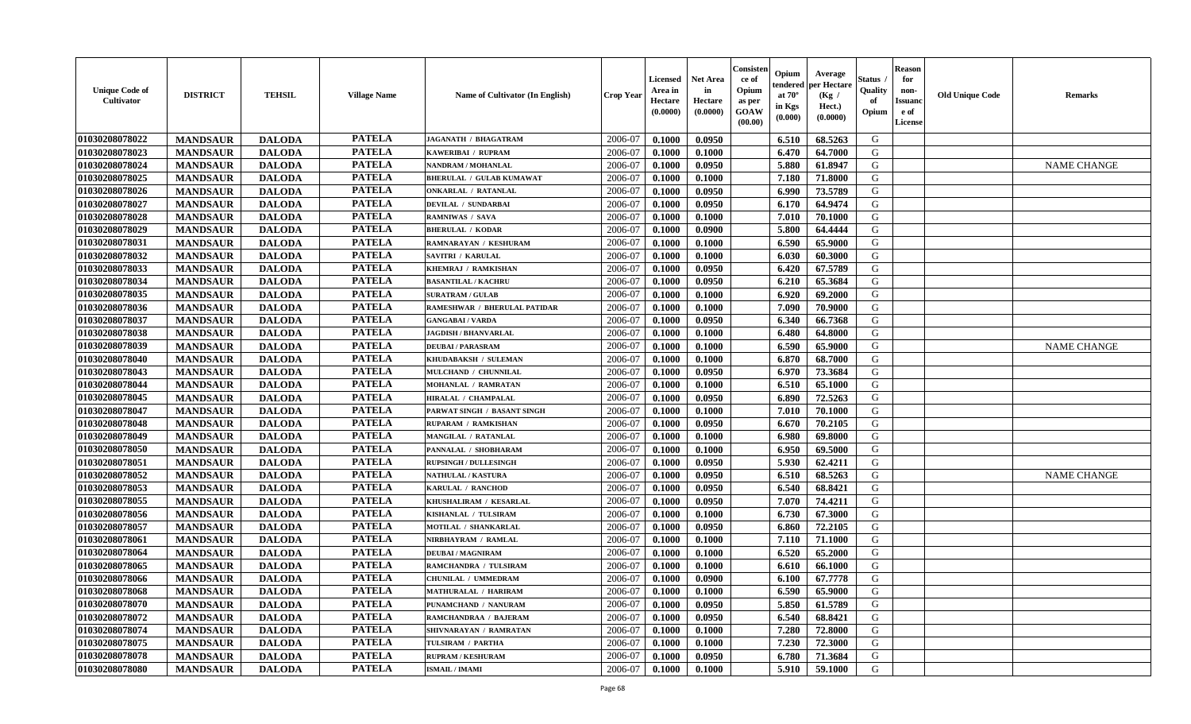| <b>Unique Code of</b><br><b>Cultivator</b> | <b>DISTRICT</b> | <b>TEHSIL</b> | <b>Village Name</b> | <b>Name of Cultivator (In English)</b> | <b>Crop Year</b> | Licensed<br>Area in<br>Hectare<br>(0.0000) | <b>Net Area</b><br>in<br>Hectare<br>(0.0000) | Consisteı<br>ce of<br>Opium<br>as per<br>GOAW<br>(00.00) | Opium<br>endered<br>at $70^\circ$<br>in Kgs<br>(0.000) | Average<br>per Hectare<br>(Kg /<br>Hect.)<br>(0.0000) | Status<br>Quality<br>of<br>Opium | <b>Reason</b><br>for<br>non-<br>Issuano<br>e of<br>License | <b>Old Unique Code</b> | <b>Remarks</b>     |
|--------------------------------------------|-----------------|---------------|---------------------|----------------------------------------|------------------|--------------------------------------------|----------------------------------------------|----------------------------------------------------------|--------------------------------------------------------|-------------------------------------------------------|----------------------------------|------------------------------------------------------------|------------------------|--------------------|
| 01030208078022                             | <b>MANDSAUR</b> | <b>DALODA</b> | <b>PATELA</b>       | JAGANATH / BHAGATRAM                   | 2006-07          | 0.1000                                     | 0.0950                                       |                                                          | 6.510                                                  | 68.5263                                               | G                                |                                                            |                        |                    |
| 01030208078023                             | <b>MANDSAUR</b> | <b>DALODA</b> | <b>PATELA</b>       | KAWERIBAI / RUPRAM                     | 2006-07          | 0.1000                                     | 0.1000                                       |                                                          | 6.470                                                  | 64.7000                                               | G                                |                                                            |                        |                    |
| 01030208078024                             | <b>MANDSAUR</b> | <b>DALODA</b> | <b>PATELA</b>       | NANDRAM / MOHANLAL                     | 2006-07          | 0.1000                                     | 0.0950                                       |                                                          | 5.880                                                  | 61.8947                                               | G                                |                                                            |                        | <b>NAME CHANGE</b> |
| 01030208078025                             | <b>MANDSAUR</b> | <b>DALODA</b> | <b>PATELA</b>       | <b>BHERULAL / GULAB KUMAWAT</b>        | 2006-07          | 0.1000                                     | 0.1000                                       |                                                          | 7.180                                                  | 71.8000                                               | G                                |                                                            |                        |                    |
| 01030208078026                             | <b>MANDSAUR</b> | <b>DALODA</b> | <b>PATELA</b>       | <b>ONKARLAL / RATANLAL</b>             | 2006-07          | 0.1000                                     | 0.0950                                       |                                                          | 6.990                                                  | 73.5789                                               | G                                |                                                            |                        |                    |
| 01030208078027                             | <b>MANDSAUR</b> | <b>DALODA</b> | <b>PATELA</b>       | <b>DEVILAL / SUNDARBAI</b>             | 2006-07          | 0.1000                                     | 0.0950                                       |                                                          | 6.170                                                  | 64.9474                                               | G                                |                                                            |                        |                    |
| 01030208078028                             | <b>MANDSAUR</b> | <b>DALODA</b> | <b>PATELA</b>       | <b>RAMNIWAS / SAVA</b>                 | 2006-07          | 0.1000                                     | 0.1000                                       |                                                          | 7.010                                                  | 70.1000                                               | G                                |                                                            |                        |                    |
| 01030208078029                             | <b>MANDSAUR</b> | <b>DALODA</b> | <b>PATELA</b>       | <b>BHERULAL / KODAR</b>                | 2006-07          | 0.1000                                     | 0.0900                                       |                                                          | 5.800                                                  | 64.4444                                               | G                                |                                                            |                        |                    |
| 01030208078031                             | <b>MANDSAUR</b> | <b>DALODA</b> | <b>PATELA</b>       | RAMNARAYAN / KESHURAM                  | 2006-07          | 0.1000                                     | 0.1000                                       |                                                          | 6.590                                                  | 65.9000                                               | G                                |                                                            |                        |                    |
| 01030208078032                             | <b>MANDSAUR</b> | <b>DALODA</b> | <b>PATELA</b>       | <b>SAVITRI / KARULAL</b>               | 2006-07          | 0.1000                                     | 0.1000                                       |                                                          | 6.030                                                  | 60.3000                                               | G                                |                                                            |                        |                    |
| 01030208078033                             | <b>MANDSAUR</b> | <b>DALODA</b> | <b>PATELA</b>       | KHEMRAJ / RAMKISHAN                    | 2006-07          | 0.1000                                     | 0.0950                                       |                                                          | 6.420                                                  | 67.5789                                               | $\mathbf G$                      |                                                            |                        |                    |
| 01030208078034                             | <b>MANDSAUR</b> | <b>DALODA</b> | <b>PATELA</b>       | <b>BASANTILAL / KACHRU</b>             | 2006-07          | 0.1000                                     | 0.0950                                       |                                                          | 6.210                                                  | 65.3684                                               | G                                |                                                            |                        |                    |
| 01030208078035                             | <b>MANDSAUR</b> | <b>DALODA</b> | <b>PATELA</b>       | <b>SURATRAM / GULAB</b>                | 2006-07          | 0.1000                                     | 0.1000                                       |                                                          | 6.920                                                  | 69.2000                                               | G                                |                                                            |                        |                    |
| 01030208078036                             | <b>MANDSAUR</b> | <b>DALODA</b> | <b>PATELA</b>       | RAMESHWAR / BHERULAL PATIDAR           | 2006-07          | 0.1000                                     | 0.1000                                       |                                                          | 7.090                                                  | 70.9000                                               | G                                |                                                            |                        |                    |
| 01030208078037                             | <b>MANDSAUR</b> | <b>DALODA</b> | <b>PATELA</b>       | <b>GANGABAI/VARDA</b>                  | 2006-07          | 0.1000                                     | 0.0950                                       |                                                          | 6.340                                                  | 66.7368                                               | G                                |                                                            |                        |                    |
| 01030208078038                             | <b>MANDSAUR</b> | <b>DALODA</b> | <b>PATELA</b>       | <b>JAGDISH / BHANVARLAL</b>            | 2006-07          | 0.1000                                     | 0.1000                                       |                                                          | 6.480                                                  | 64.8000                                               | G                                |                                                            |                        |                    |
| 01030208078039                             | <b>MANDSAUR</b> | <b>DALODA</b> | <b>PATELA</b>       | <b>DEUBAI/PARASRAM</b>                 | 2006-07          | 0.1000                                     | 0.1000                                       |                                                          | 6.590                                                  | 65.9000                                               | G                                |                                                            |                        | <b>NAME CHANGE</b> |
| 01030208078040                             | <b>MANDSAUR</b> | <b>DALODA</b> | <b>PATELA</b>       | KHUDABAKSH / SULEMAN                   | 2006-07          | 0.1000                                     | 0.1000                                       |                                                          | 6.870                                                  | 68.7000                                               | G                                |                                                            |                        |                    |
| 01030208078043                             | <b>MANDSAUR</b> | <b>DALODA</b> | <b>PATELA</b>       | MULCHAND / CHUNNILAL                   | 2006-07          | 0.1000                                     | 0.0950                                       |                                                          | 6.970                                                  | 73.3684                                               | G                                |                                                            |                        |                    |
| 01030208078044                             | <b>MANDSAUR</b> | <b>DALODA</b> | <b>PATELA</b>       | MOHANLAL / RAMRATAN                    | 2006-07          | 0.1000                                     | 0.1000                                       |                                                          | 6.510                                                  | 65.1000                                               | G                                |                                                            |                        |                    |
| 01030208078045                             | <b>MANDSAUR</b> | <b>DALODA</b> | <b>PATELA</b>       | HIRALAL / CHAMPALAL                    | 2006-07          | 0.1000                                     | 0.0950                                       |                                                          | 6.890                                                  | 72.5263                                               | G                                |                                                            |                        |                    |
| 01030208078047                             | <b>MANDSAUR</b> | <b>DALODA</b> | <b>PATELA</b>       | PARWAT SINGH / BASANT SINGH            | 2006-07          | 0.1000                                     | 0.1000                                       |                                                          | 7.010                                                  | 70.1000                                               | G                                |                                                            |                        |                    |
| 01030208078048                             | <b>MANDSAUR</b> | <b>DALODA</b> | <b>PATELA</b>       | RUPARAM / RAMKISHAN                    | 2006-07          | 0.1000                                     | 0.0950                                       |                                                          | 6.670                                                  | 70.2105                                               | G                                |                                                            |                        |                    |
| 01030208078049                             | <b>MANDSAUR</b> | <b>DALODA</b> | <b>PATELA</b>       | MANGILAL / RATANLAL                    | 2006-07          | 0.1000                                     | 0.1000                                       |                                                          | 6.980                                                  | 69.8000                                               | G                                |                                                            |                        |                    |
| 01030208078050                             | <b>MANDSAUR</b> | <b>DALODA</b> | <b>PATELA</b>       | PANNALAL / SHOBHARAM                   | 2006-07          | 0.1000                                     | 0.1000                                       |                                                          | 6.950                                                  | 69.5000                                               | G                                |                                                            |                        |                    |
| 01030208078051                             | <b>MANDSAUR</b> | <b>DALODA</b> | <b>PATELA</b>       | <b>RUPSINGH / DULLESINGH</b>           | 2006-07          | 0.1000                                     | 0.0950                                       |                                                          | 5.930                                                  | 62.4211                                               | G                                |                                                            |                        |                    |
| 01030208078052                             | <b>MANDSAUR</b> | <b>DALODA</b> | <b>PATELA</b>       | <b>NATHULAL / KASTURA</b>              | 2006-07          | 0.1000                                     | 0.0950                                       |                                                          | 6.510                                                  | 68.5263                                               | G                                |                                                            |                        | <b>NAME CHANGE</b> |
| 01030208078053                             | <b>MANDSAUR</b> | <b>DALODA</b> | <b>PATELA</b>       | <b>KARULAL / RANCHOD</b>               | 2006-07          | 0.1000                                     | 0.0950                                       |                                                          | 6.540                                                  | 68.8421                                               | G                                |                                                            |                        |                    |
| 01030208078055                             | <b>MANDSAUR</b> | <b>DALODA</b> | <b>PATELA</b>       | KHUSHALIRAM / KESARLAL                 | 2006-07          | 0.1000                                     | 0.0950                                       |                                                          | 7.070                                                  | 74.4211                                               | G                                |                                                            |                        |                    |
| 01030208078056                             | <b>MANDSAUR</b> | <b>DALODA</b> | <b>PATELA</b>       | KISHANLAL / TULSIRAM                   | 2006-07          | 0.1000                                     | 0.1000                                       |                                                          | 6.730                                                  | 67.3000                                               | G                                |                                                            |                        |                    |
| 01030208078057                             | <b>MANDSAUR</b> | <b>DALODA</b> | <b>PATELA</b>       | MOTILAL / SHANKARLAL                   | 2006-07          | 0.1000                                     | 0.0950                                       |                                                          | 6.860                                                  | 72.2105                                               | ${\bf G}$                        |                                                            |                        |                    |
| 01030208078061                             | <b>MANDSAUR</b> | <b>DALODA</b> | <b>PATELA</b>       | NIRBHAYRAM / RAMLAL                    | 2006-07          | 0.1000                                     | 0.1000                                       |                                                          | 7.110                                                  | 71.1000                                               | G                                |                                                            |                        |                    |
| 01030208078064                             | <b>MANDSAUR</b> | <b>DALODA</b> | <b>PATELA</b>       | <b>DEUBAI/MAGNIRAM</b>                 | 2006-07          | 0.1000                                     | 0.1000                                       |                                                          | 6.520                                                  | 65.2000                                               | G                                |                                                            |                        |                    |
| 01030208078065                             | <b>MANDSAUR</b> | <b>DALODA</b> | <b>PATELA</b>       | RAMCHANDRA / TULSIRAM                  | 2006-07          | 0.1000                                     | 0.1000                                       |                                                          | 6.610                                                  | 66.1000                                               | G                                |                                                            |                        |                    |
| 01030208078066                             | <b>MANDSAUR</b> | <b>DALODA</b> | <b>PATELA</b>       | CHUNILAL / UMMEDRAM                    | 2006-07          | 0.1000                                     | 0.0900                                       |                                                          | 6.100                                                  | 67.7778                                               | G                                |                                                            |                        |                    |
| 01030208078068                             | <b>MANDSAUR</b> | <b>DALODA</b> | <b>PATELA</b>       | <b>MATHURALAL / HARIRAM</b>            | 2006-07          | 0.1000                                     | 0.1000                                       |                                                          | 6.590                                                  | 65.9000                                               | G                                |                                                            |                        |                    |
| 01030208078070                             | <b>MANDSAUR</b> | <b>DALODA</b> | <b>PATELA</b>       | PUNAMCHAND / NANURAM                   | 2006-07          | 0.1000                                     | 0.0950                                       |                                                          | 5.850                                                  | 61.5789                                               | G                                |                                                            |                        |                    |
| 01030208078072                             | <b>MANDSAUR</b> | <b>DALODA</b> | <b>PATELA</b>       | RAMCHANDRAA / BAJERAM                  | 2006-07          | 0.1000                                     | 0.0950                                       |                                                          | 6.540                                                  | 68.8421                                               | G                                |                                                            |                        |                    |
| 01030208078074                             | <b>MANDSAUR</b> | <b>DALODA</b> | <b>PATELA</b>       | SHIVNARAYAN / RAMRATAN                 | 2006-07          | 0.1000                                     | 0.1000                                       |                                                          | 7.280                                                  | 72.8000                                               | G                                |                                                            |                        |                    |
| 01030208078075                             | <b>MANDSAUR</b> | <b>DALODA</b> | <b>PATELA</b>       | TULSIRAM / PARTHA                      | 2006-07          | 0.1000                                     | 0.1000                                       |                                                          | 7.230                                                  | 72.3000                                               | G                                |                                                            |                        |                    |
| 01030208078078                             | <b>MANDSAUR</b> | <b>DALODA</b> | <b>PATELA</b>       | <b>RUPRAM / KESHURAM</b>               | 2006-07          | 0.1000                                     | 0.0950                                       |                                                          | 6.780                                                  | 71.3684                                               | G                                |                                                            |                        |                    |
| 01030208078080                             | <b>MANDSAUR</b> | <b>DALODA</b> | <b>PATELA</b>       | <b>ISMAIL / IMAMI</b>                  | 2006-07          | 0.1000                                     | 0.1000                                       |                                                          | 5.910                                                  | 59.1000                                               | G                                |                                                            |                        |                    |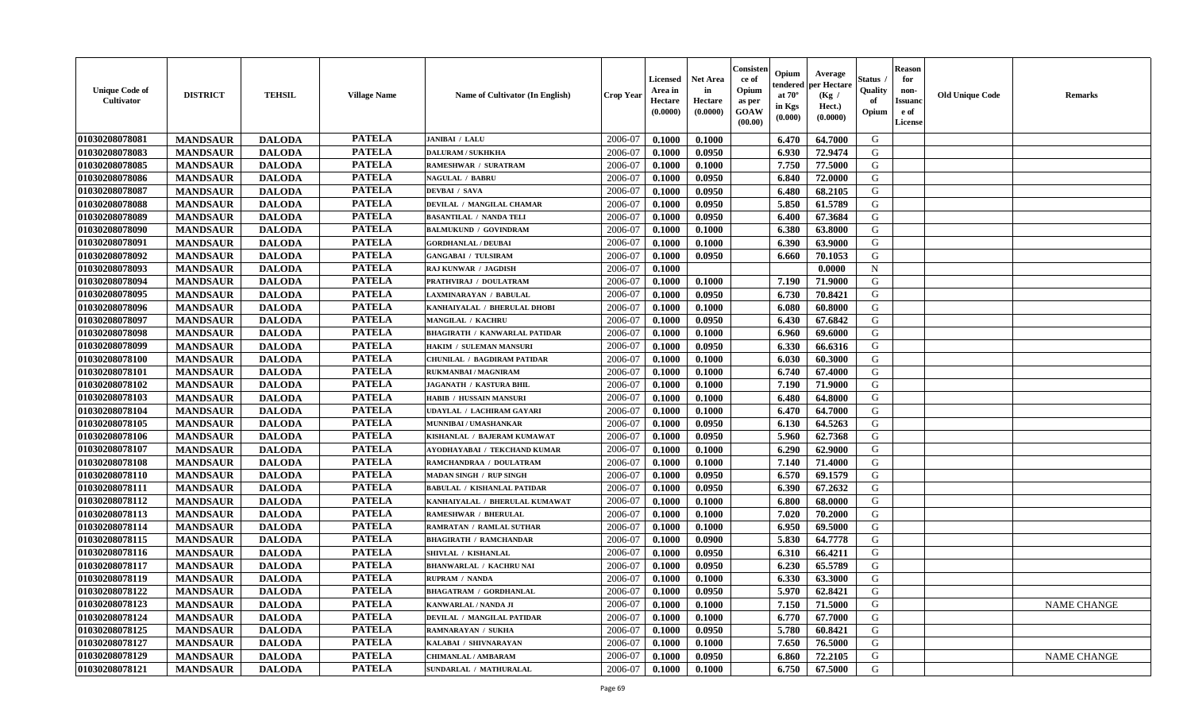| <b>Unique Code of</b><br><b>Cultivator</b> | <b>DISTRICT</b> | <b>TEHSIL</b> | <b>Village Name</b> | <b>Name of Cultivator (In English)</b> | <b>Crop Year</b> | Licensed<br>Area in<br>Hectare<br>(0.0000) | <b>Net Area</b><br>in<br>Hectare<br>(0.0000) | Consisteı<br>ce of<br>Opium<br>as per<br>GOAW<br>(00.00) | Opium<br>endered<br>at $70^\circ$<br>in Kgs<br>(0.000) | Average<br>per Hectare<br>(Kg /<br>Hect.)<br>(0.0000) | Status<br>Quality<br>of<br>Opium | <b>Reason</b><br>for<br>non-<br><b>Issuand</b><br>e of<br>License | <b>Old Unique Code</b> | <b>Remarks</b>     |
|--------------------------------------------|-----------------|---------------|---------------------|----------------------------------------|------------------|--------------------------------------------|----------------------------------------------|----------------------------------------------------------|--------------------------------------------------------|-------------------------------------------------------|----------------------------------|-------------------------------------------------------------------|------------------------|--------------------|
| 01030208078081                             | <b>MANDSAUR</b> | <b>DALODA</b> | <b>PATELA</b>       | JANIBAI / LALU                         | 2006-07          | 0.1000                                     | 0.1000                                       |                                                          | 6.470                                                  | 64.7000                                               | G                                |                                                                   |                        |                    |
| 01030208078083                             | <b>MANDSAUR</b> | <b>DALODA</b> | <b>PATELA</b>       | <b>DALURAM / SUKHKHA</b>               | 2006-07          | 0.1000                                     | 0.0950                                       |                                                          | 6.930                                                  | 72.9474                                               | G                                |                                                                   |                        |                    |
| 01030208078085                             | <b>MANDSAUR</b> | <b>DALODA</b> | <b>PATELA</b>       | RAMESHWAR / SURATRAM                   | 2006-07          | 0.1000                                     | 0.1000                                       |                                                          | 7.750                                                  | 77.5000                                               | G                                |                                                                   |                        |                    |
| 01030208078086                             | <b>MANDSAUR</b> | <b>DALODA</b> | <b>PATELA</b>       | <b>NAGULAL / BABRU</b>                 | 2006-07          | 0.1000                                     | 0.0950                                       |                                                          | 6.840                                                  | 72.0000                                               | G                                |                                                                   |                        |                    |
| 01030208078087                             | <b>MANDSAUR</b> | <b>DALODA</b> | <b>PATELA</b>       | <b>DEVBAI / SAVA</b>                   | 2006-07          | 0.1000                                     | 0.0950                                       |                                                          | 6.480                                                  | 68.2105                                               | G                                |                                                                   |                        |                    |
| 01030208078088                             | <b>MANDSAUR</b> | <b>DALODA</b> | <b>PATELA</b>       | DEVILAL / MANGILAL CHAMAR              | 2006-07          | 0.1000                                     | 0.0950                                       |                                                          | 5.850                                                  | 61.5789                                               | G                                |                                                                   |                        |                    |
| 01030208078089                             | <b>MANDSAUR</b> | <b>DALODA</b> | <b>PATELA</b>       | <b>BASANTILAL / NANDA TELI</b>         | 2006-07          | 0.1000                                     | 0.0950                                       |                                                          | 6.400                                                  | 67.3684                                               | G                                |                                                                   |                        |                    |
| 01030208078090                             | <b>MANDSAUR</b> | <b>DALODA</b> | <b>PATELA</b>       | <b>BALMUKUND / GOVINDRAM</b>           | 2006-07          | 0.1000                                     | 0.1000                                       |                                                          | 6.380                                                  | 63.8000                                               | G                                |                                                                   |                        |                    |
| 01030208078091                             | <b>MANDSAUR</b> | <b>DALODA</b> | <b>PATELA</b>       | <b>GORDHANLAL / DEUBAI</b>             | 2006-07          | 0.1000                                     | 0.1000                                       |                                                          | 6.390                                                  | 63.9000                                               | G                                |                                                                   |                        |                    |
| 01030208078092                             | <b>MANDSAUR</b> | <b>DALODA</b> | <b>PATELA</b>       | <b>GANGABAI / TULSIRAM</b>             | 2006-07          | 0.1000                                     | 0.0950                                       |                                                          | 6.660                                                  | 70.1053                                               | G                                |                                                                   |                        |                    |
| 01030208078093                             | <b>MANDSAUR</b> | <b>DALODA</b> | <b>PATELA</b>       | <b>RAJ KUNWAR / JAGDISH</b>            | 2006-07          | 0.1000                                     |                                              |                                                          |                                                        | 0.0000                                                | $\mathbf N$                      |                                                                   |                        |                    |
| 01030208078094                             | <b>MANDSAUR</b> | <b>DALODA</b> | <b>PATELA</b>       | PRATHVIRAJ / DOULATRAM                 | 2006-07          | 0.1000                                     | 0.1000                                       |                                                          | 7.190                                                  | 71.9000                                               | G                                |                                                                   |                        |                    |
| 01030208078095                             | <b>MANDSAUR</b> | <b>DALODA</b> | <b>PATELA</b>       | LAXMINARAYAN / BABULAL                 | 2006-07          | 0.1000                                     | 0.0950                                       |                                                          | 6.730                                                  | 70.8421                                               | G                                |                                                                   |                        |                    |
| 01030208078096                             | <b>MANDSAUR</b> | <b>DALODA</b> | <b>PATELA</b>       | KANHAIYALAL / BHERULAL DHOBI           | 2006-07          | 0.1000                                     | 0.1000                                       |                                                          | 6.080                                                  | 60.8000                                               | G                                |                                                                   |                        |                    |
| 01030208078097                             | <b>MANDSAUR</b> | <b>DALODA</b> | <b>PATELA</b>       | MANGILAL / KACHRU                      | 2006-07          | 0.1000                                     | 0.0950                                       |                                                          | 6.430                                                  | 67.6842                                               | G                                |                                                                   |                        |                    |
| 01030208078098                             | <b>MANDSAUR</b> | <b>DALODA</b> | <b>PATELA</b>       | <b>BHAGIRATH / KANWARLAL PATIDAR</b>   | 2006-07          | 0.1000                                     | 0.1000                                       |                                                          | 6.960                                                  | 69.6000                                               | G                                |                                                                   |                        |                    |
| 01030208078099                             | <b>MANDSAUR</b> | <b>DALODA</b> | <b>PATELA</b>       | HAKIM / SULEMAN MANSURI                | 2006-07          | 0.1000                                     | 0.0950                                       |                                                          | 6.330                                                  | 66.6316                                               | G                                |                                                                   |                        |                    |
| 01030208078100                             | <b>MANDSAUR</b> | <b>DALODA</b> | <b>PATELA</b>       | <b>CHUNILAL / BAGDIRAM PATIDAR</b>     | 2006-07          | 0.1000                                     | 0.1000                                       |                                                          | 6.030                                                  | 60.3000                                               | G                                |                                                                   |                        |                    |
| 01030208078101                             | <b>MANDSAUR</b> | <b>DALODA</b> | <b>PATELA</b>       | RUKMANBAI / MAGNIRAM                   | 2006-07          | 0.1000                                     | 0.1000                                       |                                                          | 6.740                                                  | 67.4000                                               | G                                |                                                                   |                        |                    |
| 01030208078102                             | <b>MANDSAUR</b> | <b>DALODA</b> | <b>PATELA</b>       | <b>JAGANATH / KASTURA BHIL</b>         | 2006-07          | 0.1000                                     | 0.1000                                       |                                                          | 7.190                                                  | 71.9000                                               | G                                |                                                                   |                        |                    |
| 01030208078103                             | <b>MANDSAUR</b> | <b>DALODA</b> | <b>PATELA</b>       | HABIB / HUSSAIN MANSURI                | 2006-07          | 0.1000                                     | 0.1000                                       |                                                          | 6.480                                                  | 64.8000                                               | G                                |                                                                   |                        |                    |
| 01030208078104                             | <b>MANDSAUR</b> | <b>DALODA</b> | <b>PATELA</b>       | <b>UDAYLAL / LACHIRAM GAYARI</b>       | 2006-07          | 0.1000                                     | 0.1000                                       |                                                          | 6.470                                                  | 64.7000                                               | G                                |                                                                   |                        |                    |
| 01030208078105                             | <b>MANDSAUR</b> | <b>DALODA</b> | <b>PATELA</b>       | MUNNIBAI / UMASHANKAR                  | 2006-07          | 0.1000                                     | 0.0950                                       |                                                          | 6.130                                                  | 64.5263                                               | G                                |                                                                   |                        |                    |
| 01030208078106                             | <b>MANDSAUR</b> | <b>DALODA</b> | <b>PATELA</b>       | KISHANLAL / BAJERAM KUMAWAT            | 2006-07          | 0.1000                                     | 0.0950                                       |                                                          | 5.960                                                  | 62.7368                                               | G                                |                                                                   |                        |                    |
| 01030208078107                             | <b>MANDSAUR</b> | <b>DALODA</b> | <b>PATELA</b>       | AYODHAYABAI / TEKCHAND KUMAR           | 2006-07          | 0.1000                                     | 0.1000                                       |                                                          | 6.290                                                  | 62.9000                                               | G                                |                                                                   |                        |                    |
| 01030208078108                             | <b>MANDSAUR</b> | <b>DALODA</b> | <b>PATELA</b>       | RAMCHANDRAA / DOULATRAM                | 2006-07          | 0.1000                                     | 0.1000                                       |                                                          | 7.140                                                  | 71.4000                                               | G                                |                                                                   |                        |                    |
| 01030208078110                             | <b>MANDSAUR</b> | <b>DALODA</b> | <b>PATELA</b>       | <b>MADAN SINGH / RUP SINGH</b>         | 2006-07          | 0.1000                                     | 0.0950                                       |                                                          | 6.570                                                  | 69.1579                                               | G                                |                                                                   |                        |                    |
| 01030208078111                             | <b>MANDSAUR</b> | <b>DALODA</b> | <b>PATELA</b>       | <b>BABULAL / KISHANLAL PATIDAR</b>     | 2006-07          | 0.1000                                     | 0.0950                                       |                                                          | 6.390                                                  | 67.2632                                               | G                                |                                                                   |                        |                    |
| 01030208078112                             | <b>MANDSAUR</b> | <b>DALODA</b> | <b>PATELA</b>       | KANHAIYALAL / BHERULAL KUMAWAT         | 2006-07          | 0.1000                                     | 0.1000                                       |                                                          | 6.800                                                  | 68.0000                                               | G                                |                                                                   |                        |                    |
| 01030208078113                             | <b>MANDSAUR</b> | <b>DALODA</b> | <b>PATELA</b>       | <b>RAMESHWAR / BHERULAL</b>            | 2006-07          | 0.1000                                     | 0.1000                                       |                                                          | 7.020                                                  | 70.2000                                               | G                                |                                                                   |                        |                    |
| 01030208078114                             | <b>MANDSAUR</b> | <b>DALODA</b> | <b>PATELA</b>       | <b>RAMRATAN / RAMLAL SUTHAR</b>        | 2006-07          | 0.1000                                     | 0.1000                                       |                                                          | 6.950                                                  | 69.5000                                               | ${\bf G}$                        |                                                                   |                        |                    |
| 01030208078115                             | <b>MANDSAUR</b> | <b>DALODA</b> | <b>PATELA</b>       | <b>BHAGIRATH / RAMCHANDAR</b>          | 2006-07          | 0.1000                                     | 0.0900                                       |                                                          | 5.830                                                  | 64.7778                                               | G                                |                                                                   |                        |                    |
| 01030208078116                             | <b>MANDSAUR</b> | <b>DALODA</b> | <b>PATELA</b>       | SHIVLAL / KISHANLAL                    | 2006-07          | 0.1000                                     | 0.0950                                       |                                                          | 6.310                                                  | 66.4211                                               | G                                |                                                                   |                        |                    |
| 01030208078117                             | <b>MANDSAUR</b> | <b>DALODA</b> | <b>PATELA</b>       | <b>BHANWARLAL / KACHRU NAI</b>         | 2006-07          | 0.1000                                     | 0.0950                                       |                                                          | 6.230                                                  | 65.5789                                               | G                                |                                                                   |                        |                    |
| 01030208078119                             | <b>MANDSAUR</b> | <b>DALODA</b> | <b>PATELA</b>       | <b>RUPRAM / NANDA</b>                  | 2006-07          | 0.1000                                     | 0.1000                                       |                                                          | 6.330                                                  | 63.3000                                               | G                                |                                                                   |                        |                    |
| 01030208078122                             | <b>MANDSAUR</b> | <b>DALODA</b> | <b>PATELA</b>       | <b>BHAGATRAM / GORDHANLAL</b>          | 2006-07          | 0.1000                                     | 0.0950                                       |                                                          | 5.970                                                  | 62.8421                                               | G                                |                                                                   |                        |                    |
| 01030208078123                             | <b>MANDSAUR</b> | <b>DALODA</b> | <b>PATELA</b>       | KANWARLAL / NANDA JI                   | 2006-07          | 0.1000                                     | 0.1000                                       |                                                          | 7.150                                                  | 71.5000                                               | G                                |                                                                   |                        | <b>NAME CHANGE</b> |
| 01030208078124                             | <b>MANDSAUR</b> | <b>DALODA</b> | <b>PATELA</b>       | DEVILAL / MANGILAL PATIDAR             | 2006-07          | 0.1000                                     | 0.1000                                       |                                                          | 6.770                                                  | 67.7000                                               | G                                |                                                                   |                        |                    |
| 01030208078125                             | <b>MANDSAUR</b> | <b>DALODA</b> | <b>PATELA</b>       | <b>RAMNARAYAN / SUKHA</b>              | 2006-07          | 0.1000                                     | 0.0950                                       |                                                          | 5.780                                                  | 60.8421                                               | G                                |                                                                   |                        |                    |
| 01030208078127                             | <b>MANDSAUR</b> | <b>DALODA</b> | <b>PATELA</b>       | KALABAI / SHIVNARAYAN                  | 2006-07          | 0.1000                                     | 0.1000                                       |                                                          | 7.650                                                  | 76.5000                                               | G                                |                                                                   |                        |                    |
| 01030208078129                             | <b>MANDSAUR</b> | <b>DALODA</b> | <b>PATELA</b>       | <b>CHIMANLAL / AMBARAM</b>             | 2006-07          | 0.1000                                     | 0.0950                                       |                                                          | 6.860                                                  | 72.2105                                               | G                                |                                                                   |                        | <b>NAME CHANGE</b> |
| 01030208078121                             | <b>MANDSAUR</b> | <b>DALODA</b> | <b>PATELA</b>       | SUNDARLAL / MATHURALAL                 | 2006-07          | 0.1000                                     | 0.1000                                       |                                                          | 6.750                                                  | 67.5000                                               | G                                |                                                                   |                        |                    |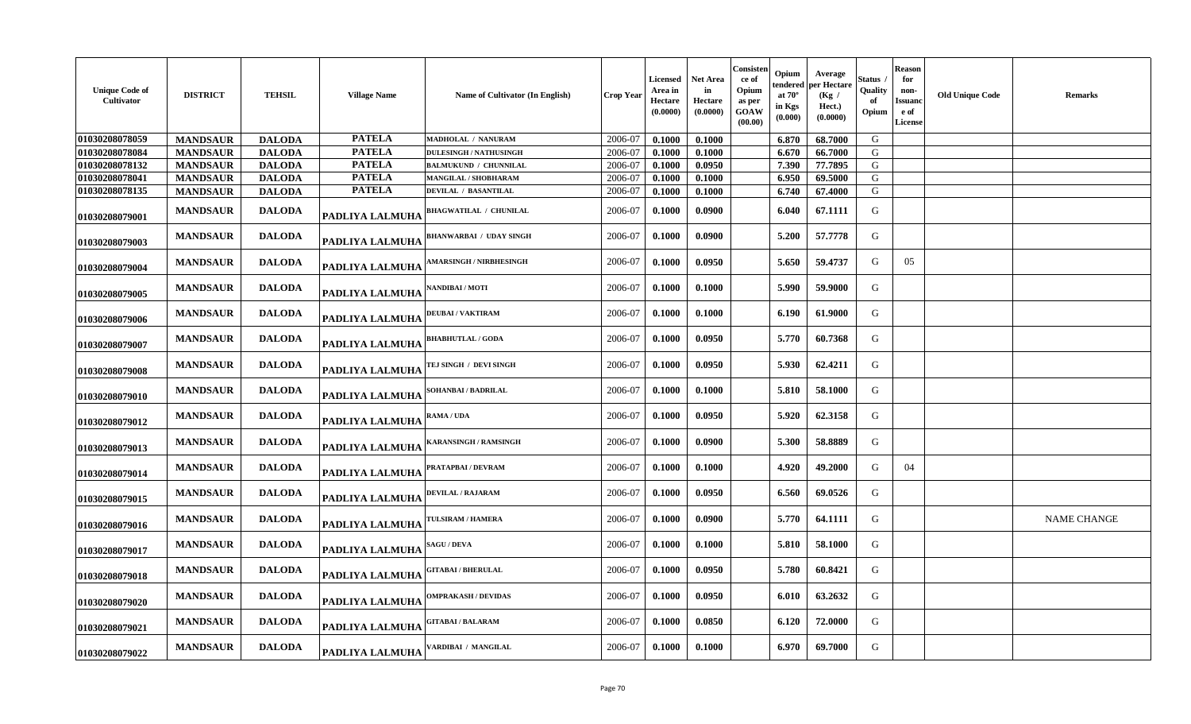| <b>Unique Code of</b><br>Cultivator | <b>DISTRICT</b> | <b>TEHSIL</b> | <b>Village Name</b> | <b>Name of Cultivator (In English)</b> | <b>Crop Year</b> | <b>Licensed</b><br>Area in<br>Hectare<br>(0.0000) | Net Area<br>in<br>Hectare<br>(0.0000) | Consisten<br>ce of<br>Opium<br>as per<br>GOAW<br>(00.00) | Opium<br>tendered<br>at $70^\circ$<br>in Kgs<br>(0.000) | Average<br>per Hectare<br>(Kg /<br>Hect.)<br>(0.0000) | Status<br>Quality<br>-of<br>Opium | <b>Reason</b><br>for<br>non-<br>Issuanc<br>e of<br><b>License</b> | <b>Old Unique Code</b> | <b>Remarks</b>     |
|-------------------------------------|-----------------|---------------|---------------------|----------------------------------------|------------------|---------------------------------------------------|---------------------------------------|----------------------------------------------------------|---------------------------------------------------------|-------------------------------------------------------|-----------------------------------|-------------------------------------------------------------------|------------------------|--------------------|
| 01030208078059                      | <b>MANDSAUR</b> | <b>DALODA</b> | <b>PATELA</b>       | MADHOLAL / NANURAM                     | 2006-07          | 0.1000                                            | 0.1000                                |                                                          | 6.870                                                   | 68.7000                                               | G                                 |                                                                   |                        |                    |
| 01030208078084                      | <b>MANDSAUR</b> | <b>DALODA</b> | <b>PATELA</b>       | <b>DULESINGH / NATHUSINGH</b>          | 2006-07          | 0.1000                                            | 0.1000                                |                                                          | 6.670                                                   | 66.7000                                               | G                                 |                                                                   |                        |                    |
| 01030208078132                      | <b>MANDSAUR</b> | <b>DALODA</b> | <b>PATELA</b>       | <b>BALMUKUND / CHUNNILAL</b>           | 2006-07          | 0.1000                                            | 0.0950                                |                                                          | 7.390                                                   | 77.7895                                               | G                                 |                                                                   |                        |                    |
| 01030208078041                      | <b>MANDSAUR</b> | <b>DALODA</b> | <b>PATELA</b>       | MANGILAL / SHOBHARAM                   | 2006-07          | 0.1000                                            | 0.1000                                |                                                          | 6.950                                                   | 69.5000                                               | G                                 |                                                                   |                        |                    |
| 01030208078135                      | <b>MANDSAUR</b> | <b>DALODA</b> | <b>PATELA</b>       | <b>DEVILAL / BASANTILAL</b>            | 2006-07          | 0.1000                                            | 0.1000                                |                                                          | 6.740                                                   | 67.4000                                               | G                                 |                                                                   |                        |                    |
| 01030208079001                      | <b>MANDSAUR</b> | <b>DALODA</b> | PADLIYA LALMUHA     | <b>BHAGWATILAL / CHUNILAL</b>          | 2006-07          | 0.1000                                            | 0.0900                                |                                                          | 6.040                                                   | 67.1111                                               | G                                 |                                                                   |                        |                    |
| 01030208079003                      | <b>MANDSAUR</b> | <b>DALODA</b> | PADLIYA LALMUHA     | <b>BHANWARBAI / UDAY SINGH</b>         | 2006-07          | 0.1000                                            | 0.0900                                |                                                          | 5.200                                                   | 57.7778                                               | G                                 |                                                                   |                        |                    |
| 01030208079004                      | <b>MANDSAUR</b> | <b>DALODA</b> | PADLIYA LALMUHA     | <b>AMARSINGH / NIRBHESINGH</b>         | 2006-07          | 0.1000                                            | 0.0950                                |                                                          | 5.650                                                   | 59.4737                                               | G                                 | 05                                                                |                        |                    |
| 01030208079005                      | <b>MANDSAUR</b> | <b>DALODA</b> | PADLIYA LALMUHA     | NANDIBAI / MOTI                        | 2006-07          | 0.1000                                            | 0.1000                                |                                                          | 5.990                                                   | 59.9000                                               | G                                 |                                                                   |                        |                    |
| 01030208079006                      | <b>MANDSAUR</b> | <b>DALODA</b> | PADLIYA LALMUHA     | <b>DEUBAI/VAKTIRAM</b>                 | 2006-07          | 0.1000                                            | 0.1000                                |                                                          | 6.190                                                   | 61.9000                                               | G                                 |                                                                   |                        |                    |
| 01030208079007                      | <b>MANDSAUR</b> | <b>DALODA</b> | PADLIYA LALMUHA     | <b>BHABHUTLAL / GODA</b>               | 2006-07          | 0.1000                                            | 0.0950                                |                                                          | 5.770                                                   | 60.7368                                               | G                                 |                                                                   |                        |                    |
| 01030208079008                      | <b>MANDSAUR</b> | <b>DALODA</b> | PADLIYA LALMUHA     | TEJ SINGH / DEVI SINGH                 | 2006-07          | 0.1000                                            | 0.0950                                |                                                          | 5.930                                                   | 62.4211                                               | G                                 |                                                                   |                        |                    |
| 01030208079010                      | <b>MANDSAUR</b> | <b>DALODA</b> | PADLIYA LALMUHA     | SOHANBAI / BADRILAL                    | 2006-07          | 0.1000                                            | 0.1000                                |                                                          | 5.810                                                   | 58.1000                                               | G                                 |                                                                   |                        |                    |
| 01030208079012                      | <b>MANDSAUR</b> | <b>DALODA</b> | PADLIYA LALMUHA     | $\mathbf{RAMA}$ / $\mathbf{UDA}$       | 2006-07          | 0.1000                                            | 0.0950                                |                                                          | 5.920                                                   | 62.3158                                               | G                                 |                                                                   |                        |                    |
| 01030208079013                      | <b>MANDSAUR</b> | <b>DALODA</b> | PADLIYA LALMUHA     | <b>KARANSINGH / RAMSINGH</b>           | 2006-07          | 0.1000                                            | 0.0900                                |                                                          | 5.300                                                   | 58.8889                                               | G                                 |                                                                   |                        |                    |
| 01030208079014                      | <b>MANDSAUR</b> | <b>DALODA</b> | PADLIYA LALMUHA     | PRATAPBAI / DEVRAM                     | 2006-07          | 0.1000                                            | 0.1000                                |                                                          | 4.920                                                   | 49.2000                                               | G                                 | 04                                                                |                        |                    |
| 01030208079015                      | <b>MANDSAUR</b> | <b>DALODA</b> | PADLIYA LALMUHA     | DEVILAL / RAJARAM                      | 2006-07          | 0.1000                                            | 0.0950                                |                                                          | 6.560                                                   | 69.0526                                               | G                                 |                                                                   |                        |                    |
| 01030208079016                      | <b>MANDSAUR</b> | <b>DALODA</b> | PADLIYA LALMUHA     | TULSIRAM / HAMERA                      | 2006-07          | 0.1000                                            | 0.0900                                |                                                          | 5.770                                                   | 64.1111                                               | G                                 |                                                                   |                        | <b>NAME CHANGE</b> |
| 01030208079017                      | <b>MANDSAUR</b> | <b>DALODA</b> | PADLIYA LALMUHA     | <b>SAGU / DEVA</b>                     | 2006-07          | 0.1000                                            | 0.1000                                |                                                          | 5.810                                                   | 58.1000                                               | G                                 |                                                                   |                        |                    |
| 01030208079018                      | <b>MANDSAUR</b> | <b>DALODA</b> | PADLIYA LALMUHA     | <b>GITABAI/BHERULAL</b>                | 2006-07          | 0.1000                                            | 0.0950                                |                                                          | 5.780                                                   | 60.8421                                               | G                                 |                                                                   |                        |                    |
| 01030208079020                      | <b>MANDSAUR</b> | <b>DALODA</b> | PADLIYA LALMUHA     | <b>OMPRAKASH / DEVIDAS</b>             | 2006-07          | 0.1000                                            | 0.0950                                |                                                          | 6.010                                                   | 63.2632                                               | G                                 |                                                                   |                        |                    |
| 01030208079021                      | <b>MANDSAUR</b> | <b>DALODA</b> | PADLIYA LALMUHA     | <b>GITABAI / BALARAM</b>               | 2006-07          | 0.1000                                            | 0.0850                                |                                                          | 6.120                                                   | 72.0000                                               | G                                 |                                                                   |                        |                    |
| 01030208079022                      | <b>MANDSAUR</b> | <b>DALODA</b> | PADLIYA LALMUHA     | VARDIBAI / MANGILAL                    | 2006-07          | 0.1000                                            | 0.1000                                |                                                          | 6.970                                                   | 69.7000                                               | G                                 |                                                                   |                        |                    |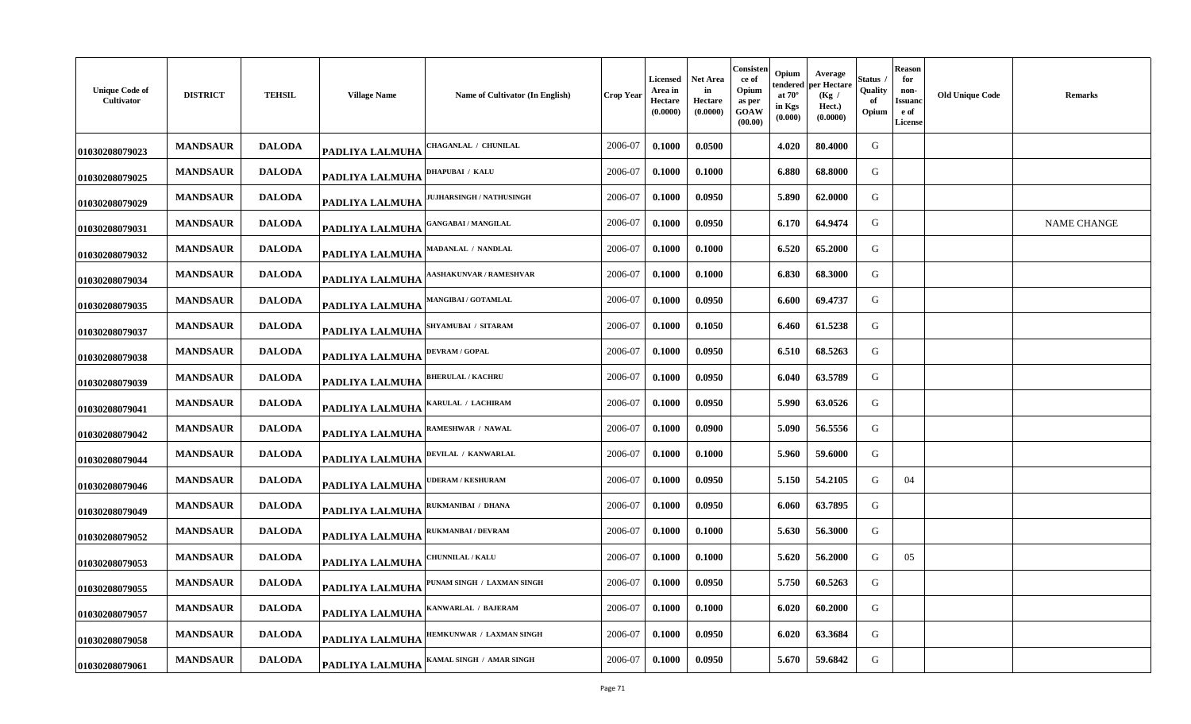| <b>Unique Code of</b><br>Cultivator | <b>DISTRICT</b> | <b>TEHSIL</b> | <b>Village Name</b> | Name of Cultivator (In English) | <b>Crop Year</b> | Licensed<br>Area in<br>Hectare<br>(0.0000) | Net Area<br>in<br>Hectare<br>(0.0000) | Consisten<br>ce of<br>Opium<br>as per<br>GOAW<br>(00.00) | Opium<br>endered<br>at $70^\circ$<br>in Kgs<br>(0.000) | Average<br>per Hectare<br>(Kg /<br>Hect.)<br>(0.0000) | štatus<br>Quality<br>of<br>Opium | Reason<br>for<br>non-<br><b>Issuanc</b><br>e of<br><b>License</b> | <b>Old Unique Code</b> | <b>Remarks</b>     |
|-------------------------------------|-----------------|---------------|---------------------|---------------------------------|------------------|--------------------------------------------|---------------------------------------|----------------------------------------------------------|--------------------------------------------------------|-------------------------------------------------------|----------------------------------|-------------------------------------------------------------------|------------------------|--------------------|
| 01030208079023                      | <b>MANDSAUR</b> | <b>DALODA</b> | PADLIYA LALMUHA     | <b>CHAGANLAL / CHUNILAL</b>     | 2006-07          | 0.1000                                     | 0.0500                                |                                                          | 4.020                                                  | 80.4000                                               | G                                |                                                                   |                        |                    |
| 01030208079025                      | <b>MANDSAUR</b> | <b>DALODA</b> | PADLIYA LALMUHA     | DHAPUBAI / KALU                 | 2006-07          | 0.1000                                     | 0.1000                                |                                                          | 6.880                                                  | 68.8000                                               | G                                |                                                                   |                        |                    |
| 01030208079029                      | <b>MANDSAUR</b> | <b>DALODA</b> | PADLIYA LALMUHA     | JUJHARSINGH / NATHUSINGH        | 2006-07          | 0.1000                                     | 0.0950                                |                                                          | 5.890                                                  | 62.0000                                               | G                                |                                                                   |                        |                    |
| 01030208079031                      | <b>MANDSAUR</b> | <b>DALODA</b> | PADLIYA LALMUHA     | <b>GANGABAI / MANGILAL</b>      | 2006-07          | 0.1000                                     | 0.0950                                |                                                          | 6.170                                                  | 64.9474                                               | G                                |                                                                   |                        | <b>NAME CHANGE</b> |
| 01030208079032                      | <b>MANDSAUR</b> | <b>DALODA</b> | PADLIYA LALMUHA     | MADANLAL / NANDLAL              | 2006-07          | 0.1000                                     | 0.1000                                |                                                          | 6.520                                                  | 65.2000                                               | G                                |                                                                   |                        |                    |
| 01030208079034                      | <b>MANDSAUR</b> | <b>DALODA</b> | PADLIYA LALMUHA     | <b>AASHAKUNVAR / RAMESHVAR</b>  | 2006-07          | 0.1000                                     | 0.1000                                |                                                          | 6.830                                                  | 68.3000                                               | G                                |                                                                   |                        |                    |
| 01030208079035                      | <b>MANDSAUR</b> | <b>DALODA</b> | PADLIYA LALMUHA     | <b>MANGIBAI / GOTAMLAL</b>      | 2006-07          | 0.1000                                     | 0.0950                                |                                                          | 6.600                                                  | 69.4737                                               | G                                |                                                                   |                        |                    |
| 01030208079037                      | <b>MANDSAUR</b> | <b>DALODA</b> | PADLIYA LALMUHA     | <b>SHYAMUBAI / SITARAM</b>      | 2006-07          | 0.1000                                     | 0.1050                                |                                                          | 6.460                                                  | 61.5238                                               | G                                |                                                                   |                        |                    |
| 01030208079038                      | <b>MANDSAUR</b> | <b>DALODA</b> | PADLIYA LALMUHA     | <b>DEVRAM / GOPAL</b>           | 2006-07          | 0.1000                                     | 0.0950                                |                                                          | 6.510                                                  | 68.5263                                               | G                                |                                                                   |                        |                    |
| 01030208079039                      | <b>MANDSAUR</b> | <b>DALODA</b> | PADLIYA LALMUHA     | <b>BHERULAL / KACHRU</b>        | 2006-07          | 0.1000                                     | 0.0950                                |                                                          | 6.040                                                  | 63.5789                                               | G                                |                                                                   |                        |                    |
| 01030208079041                      | <b>MANDSAUR</b> | <b>DALODA</b> | PADLIYA LALMUHA     | KARULAL / LACHIRAM              | 2006-07          | 0.1000                                     | 0.0950                                |                                                          | 5.990                                                  | 63.0526                                               | G                                |                                                                   |                        |                    |
| 01030208079042                      | <b>MANDSAUR</b> | <b>DALODA</b> | PADLIYA LALMUHA     | RAMESHWAR / NAWAL               | 2006-07          | 0.1000                                     | 0.0900                                |                                                          | 5.090                                                  | 56.5556                                               | G                                |                                                                   |                        |                    |
| 01030208079044                      | <b>MANDSAUR</b> | <b>DALODA</b> | PADLIYA LALMUHA     | DEVILAL / KANWARLAL             | 2006-07          | 0.1000                                     | 0.1000                                |                                                          | 5.960                                                  | 59.6000                                               | G                                |                                                                   |                        |                    |
| 01030208079046                      | <b>MANDSAUR</b> | <b>DALODA</b> | PADLIYA LALMUHA     | <b>JDERAM / KESHURAM</b>        | 2006-07          | 0.1000                                     | 0.0950                                |                                                          | 5.150                                                  | 54.2105                                               | G                                | 04                                                                |                        |                    |
| 01030208079049                      | <b>MANDSAUR</b> | <b>DALODA</b> | PADLIYA LALMUHA     | RUKMANIBAI / DHANA              | 2006-07          | 0.1000                                     | 0.0950                                |                                                          | 6.060                                                  | 63.7895                                               | G                                |                                                                   |                        |                    |
| 01030208079052                      | <b>MANDSAUR</b> | <b>DALODA</b> | PADLIYA LALMUHA     | RUKMANBAI / DEVRAM              | 2006-07          | 0.1000                                     | 0.1000                                |                                                          | 5.630                                                  | 56.3000                                               | G                                |                                                                   |                        |                    |
| 01030208079053                      | <b>MANDSAUR</b> | <b>DALODA</b> | PADLIYA LALMUHA     | <b>CHUNNILAL / KALU</b>         | 2006-07          | 0.1000                                     | 0.1000                                |                                                          | 5.620                                                  | 56.2000                                               | G                                | 05                                                                |                        |                    |
| 01030208079055                      | <b>MANDSAUR</b> | <b>DALODA</b> | PADLIYA LALMUHA     | PUNAM SINGH / LAXMAN SINGH      | 2006-07          | 0.1000                                     | 0.0950                                |                                                          | 5.750                                                  | 60.5263                                               | G                                |                                                                   |                        |                    |
| 01030208079057                      | <b>MANDSAUR</b> | <b>DALODA</b> | PADLIYA LALMUHA     | KANWARLAL / BAJERAM             | 2006-07          | 0.1000                                     | 0.1000                                |                                                          | 6.020                                                  | 60.2000                                               | G                                |                                                                   |                        |                    |
| 01030208079058                      | <b>MANDSAUR</b> | <b>DALODA</b> | PADLIYA LALMUHA     | HEMKUNWAR / LAXMAN SINGH        | 2006-07          | 0.1000                                     | 0.0950                                |                                                          | 6.020                                                  | 63.3684                                               | G                                |                                                                   |                        |                    |
| 01030208079061                      | <b>MANDSAUR</b> | <b>DALODA</b> | PADLIYA LALMUHA     | KAMAL SINGH / AMAR SINGH        | 2006-07          | 0.1000                                     | 0.0950                                |                                                          | 5.670                                                  | 59.6842                                               | G                                |                                                                   |                        |                    |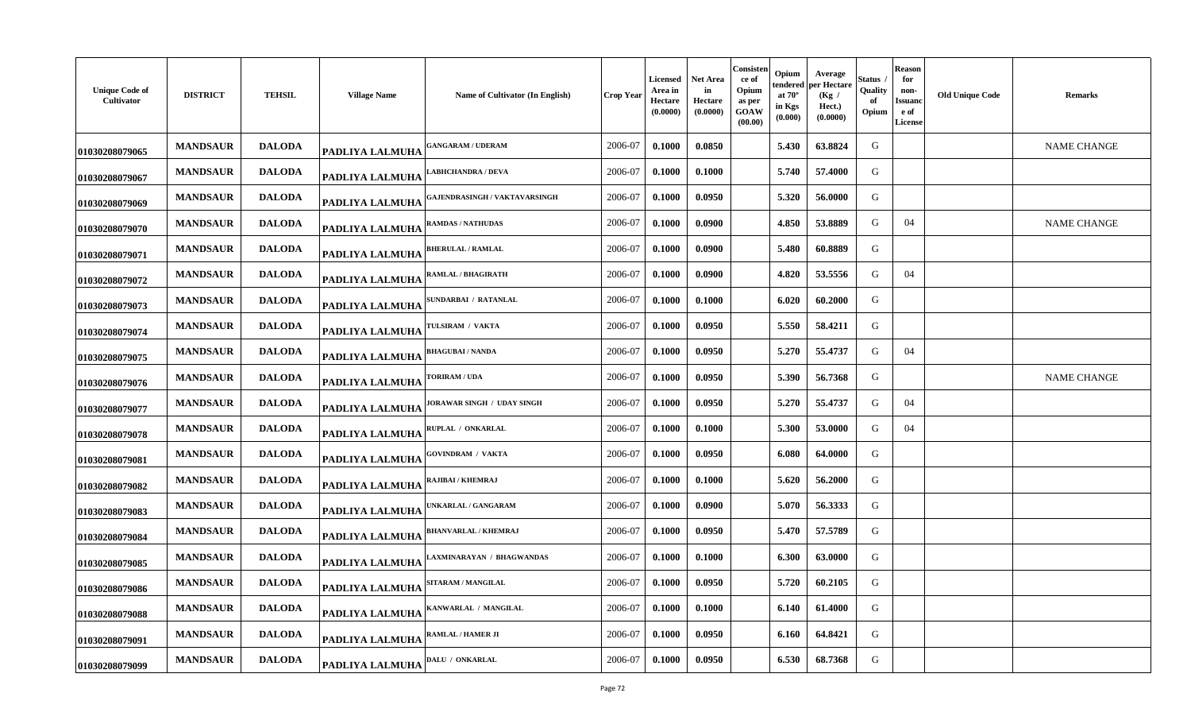| <b>Unique Code of</b><br>Cultivator | <b>DISTRICT</b> | <b>TEHSIL</b> | <b>Village Name</b> | Name of Cultivator (In English)      | Crop Year | <b>Licensed</b><br>Area in<br>Hectare<br>(0.0000) | <b>Net Area</b><br>in<br>Hectare<br>(0.0000) | Consisten<br>ce of<br>Opium<br>as per<br>GOAW<br>(00.00) | Opium<br>tendered<br>at $70^\circ$<br>in Kgs<br>(0.000) | Average<br>per Hectare<br>(Kg /<br>Hect.)<br>(0.0000) | štatus<br>Quality<br>of<br>Opium | <b>Reason</b><br>for<br>non-<br>Issuano<br>e of<br><b>License</b> | <b>Old Unique Code</b> | <b>Remarks</b>     |
|-------------------------------------|-----------------|---------------|---------------------|--------------------------------------|-----------|---------------------------------------------------|----------------------------------------------|----------------------------------------------------------|---------------------------------------------------------|-------------------------------------------------------|----------------------------------|-------------------------------------------------------------------|------------------------|--------------------|
| 01030208079065                      | <b>MANDSAUR</b> | <b>DALODA</b> | PADLIYA LALMUHA     | <b>GANGARAM / UDERAM</b>             | 2006-07   | 0.1000                                            | 0.0850                                       |                                                          | 5.430                                                   | 63.8824                                               | G                                |                                                                   |                        | <b>NAME CHANGE</b> |
| 01030208079067                      | <b>MANDSAUR</b> | <b>DALODA</b> | PADLIYA LALMUHA     | <b>ABHCHANDRA / DEVA</b>             | 2006-07   | 0.1000                                            | 0.1000                                       |                                                          | 5.740                                                   | 57.4000                                               | G                                |                                                                   |                        |                    |
| 01030208079069                      | <b>MANDSAUR</b> | <b>DALODA</b> | PADLIYA LALMUHA     | <b>GAJENDRASINGH / VAKTAVARSINGH</b> | 2006-07   | 0.1000                                            | 0.0950                                       |                                                          | 5.320                                                   | 56.0000                                               | G                                |                                                                   |                        |                    |
| 01030208079070                      | <b>MANDSAUR</b> | <b>DALODA</b> | PADLIYA LALMUHA     | <b>RAMDAS / NATHUDAS</b>             | 2006-07   | 0.1000                                            | 0.0900                                       |                                                          | 4.850                                                   | 53.8889                                               | G                                | 04                                                                |                        | <b>NAME CHANGE</b> |
| 01030208079071                      | <b>MANDSAUR</b> | <b>DALODA</b> | PADLIYA LALMUHA     | <b>HERULAL / RAMLAL</b>              | 2006-07   | 0.1000                                            | 0.0900                                       |                                                          | 5.480                                                   | 60.8889                                               | G                                |                                                                   |                        |                    |
| 01030208079072                      | <b>MANDSAUR</b> | <b>DALODA</b> | PADLIYA LALMUHA     | RAMLAL / BHAGIRATH                   | 2006-07   | 0.1000                                            | 0.0900                                       |                                                          | 4.820                                                   | 53.5556                                               | G                                | 04                                                                |                        |                    |
| 01030208079073                      | <b>MANDSAUR</b> | <b>DALODA</b> | PADLIYA LALMUHA     | <b>SUNDARBAI / RATANLAL</b>          | 2006-07   | 0.1000                                            | 0.1000                                       |                                                          | 6.020                                                   | 60.2000                                               | G                                |                                                                   |                        |                    |
| 01030208079074                      | <b>MANDSAUR</b> | <b>DALODA</b> | PADLIYA LALMUHA     | <b>TULSIRAM / VAKTA</b>              | 2006-07   | 0.1000                                            | 0.0950                                       |                                                          | 5.550                                                   | 58.4211                                               | G                                |                                                                   |                        |                    |
| 01030208079075                      | <b>MANDSAUR</b> | <b>DALODA</b> | PADLIYA LALMUHA     | <b>BHAGUBAI / NANDA</b>              | 2006-07   | 0.1000                                            | 0.0950                                       |                                                          | 5.270                                                   | 55.4737                                               | G                                | 04                                                                |                        |                    |
| 01030208079076                      | <b>MANDSAUR</b> | <b>DALODA</b> | PADLIYA LALMUHA     | <b>FORIRAM / UDA</b>                 | 2006-07   | 0.1000                                            | 0.0950                                       |                                                          | 5.390                                                   | 56.7368                                               | G                                |                                                                   |                        | <b>NAME CHANGE</b> |
| 01030208079077                      | <b>MANDSAUR</b> | <b>DALODA</b> | PADLIYA LALMUHA     | <b>JORAWAR SINGH / UDAY SINGH</b>    | 2006-07   | 0.1000                                            | 0.0950                                       |                                                          | 5.270                                                   | 55.4737                                               | G                                | 04                                                                |                        |                    |
| 01030208079078                      | <b>MANDSAUR</b> | <b>DALODA</b> | PADLIYA LALMUHA     | RUPLAL / ONKARLAL                    | 2006-07   | 0.1000                                            | 0.1000                                       |                                                          | 5.300                                                   | 53.0000                                               | G                                | 04                                                                |                        |                    |
| 01030208079081                      | <b>MANDSAUR</b> | <b>DALODA</b> | PADLIYA LALMUHA     | <b>GOVINDRAM / VAKTA</b>             | 2006-07   | 0.1000                                            | 0.0950                                       |                                                          | 6.080                                                   | 64.0000                                               | G                                |                                                                   |                        |                    |
| 01030208079082                      | <b>MANDSAUR</b> | <b>DALODA</b> | PADLIYA LALMUHA     | <b>AJIBAI / KHEMRAJ</b>              | 2006-07   | 0.1000                                            | 0.1000                                       |                                                          | 5.620                                                   | 56.2000                                               | G                                |                                                                   |                        |                    |
| 01030208079083                      | <b>MANDSAUR</b> | <b>DALODA</b> | PADLIYA LALMUHA     | JNKARLAL / GANGARAM                  | 2006-07   | 0.1000                                            | 0.0900                                       |                                                          | 5.070                                                   | 56.3333                                               | G                                |                                                                   |                        |                    |
| 01030208079084                      | <b>MANDSAUR</b> | <b>DALODA</b> | PADLIYA LALMUHA     | <b>BHANVARLAL / KHEMRAJ</b>          | 2006-07   | 0.1000                                            | 0.0950                                       |                                                          | 5.470                                                   | 57.5789                                               | G                                |                                                                   |                        |                    |
| 01030208079085                      | <b>MANDSAUR</b> | <b>DALODA</b> | PADLIYA LALMUHA     | AXMINARAYAN / BHAGWANDAS             | 2006-07   | 0.1000                                            | 0.1000                                       |                                                          | 6.300                                                   | 63.0000                                               | G                                |                                                                   |                        |                    |
| 01030208079086                      | <b>MANDSAUR</b> | <b>DALODA</b> | PADLIYA LALMUHA     | <b>SITARAM / MANGILAL</b>            | 2006-07   | 0.1000                                            | 0.0950                                       |                                                          | 5.720                                                   | 60.2105                                               | G                                |                                                                   |                        |                    |
| 01030208079088                      | <b>MANDSAUR</b> | <b>DALODA</b> | PADLIYA LALMUHA     | KANWARLAL / MANGILAL                 | 2006-07   | 0.1000                                            | 0.1000                                       |                                                          | 6.140                                                   | 61.4000                                               | G                                |                                                                   |                        |                    |
| 01030208079091                      | <b>MANDSAUR</b> | <b>DALODA</b> | PADLIYA LALMUHA     | RAMLAL / HAMER JI                    | 2006-07   | 0.1000                                            | 0.0950                                       |                                                          | 6.160                                                   | 64.8421                                               | G                                |                                                                   |                        |                    |
| 01030208079099                      | <b>MANDSAUR</b> | <b>DALODA</b> | PADLIYA LALMUHA     | <b>DALU / ONKARLAL</b>               | 2006-07   | 0.1000                                            | 0.0950                                       |                                                          | 6.530                                                   | 68.7368                                               | G                                |                                                                   |                        |                    |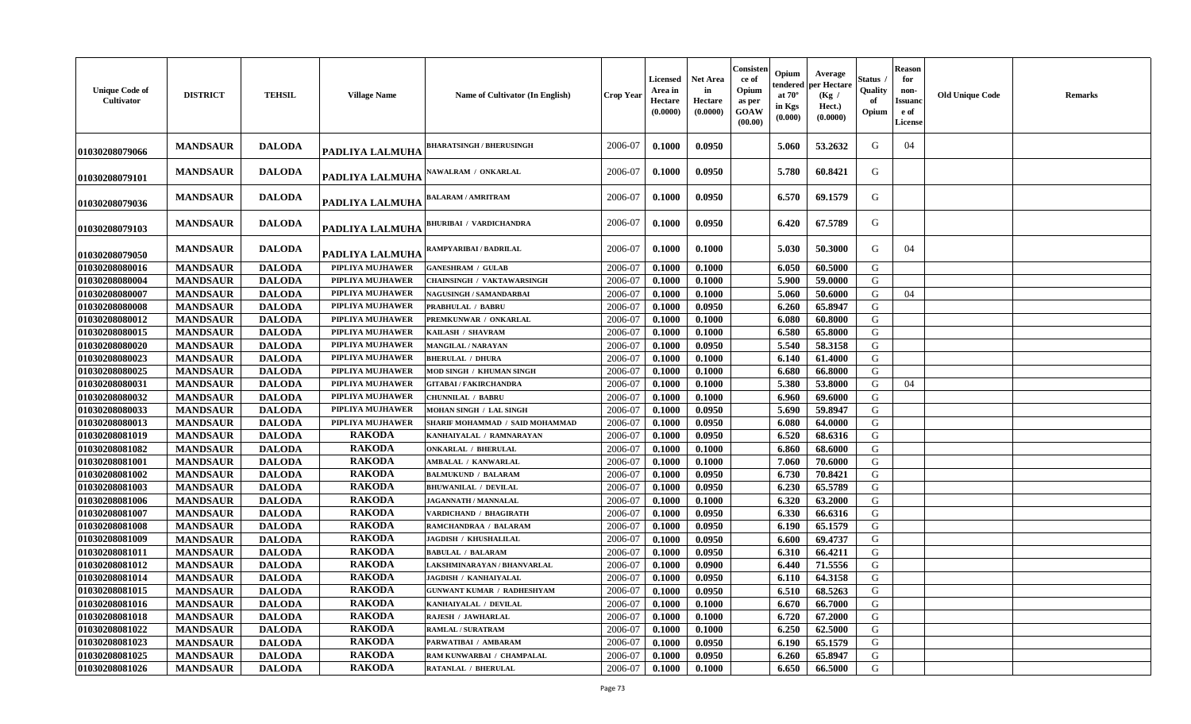| <b>Unique Code of</b><br>Cultivator | <b>DISTRICT</b> | <b>TEHSIL</b> | <b>Village Name</b>     | Name of Cultivator (In English)   | <b>Crop Year</b> | <b>Licensed</b><br>Area in<br>Hectare<br>(0.0000) | <b>Net Area</b><br>in<br>Hectare<br>(0.0000) | Consisten<br>ce of<br>Opium<br>as per<br><b>GOAW</b><br>(00.00) | Opium<br>endered<br>at $70^\circ$<br>in Kgs<br>(0.000) | Average<br>per Hectare<br>(Kg)<br>Hect.)<br>(0.0000) | Status ,<br>Quality<br>of<br>Opium | <b>Reason</b><br>for<br>non-<br><b>Issuanc</b><br>e of<br><b>License</b> | <b>Old Unique Code</b> | <b>Remarks</b> |
|-------------------------------------|-----------------|---------------|-------------------------|-----------------------------------|------------------|---------------------------------------------------|----------------------------------------------|-----------------------------------------------------------------|--------------------------------------------------------|------------------------------------------------------|------------------------------------|--------------------------------------------------------------------------|------------------------|----------------|
| 01030208079066                      | <b>MANDSAUR</b> | <b>DALODA</b> | PADLIYA LALMUHA         | <b>BHARATSINGH / BHERUSINGH</b>   | 2006-07          | 0.1000                                            | 0.0950                                       |                                                                 | 5.060                                                  | 53.2632                                              | G                                  | 04                                                                       |                        |                |
| 01030208079101                      | <b>MANDSAUR</b> | <b>DALODA</b> | PADLIYA LALMUHA         | <b>NAWALRAM / ONKARLAL</b>        | 2006-07          | 0.1000                                            | 0.0950                                       |                                                                 | 5.780                                                  | 60.8421                                              | G                                  |                                                                          |                        |                |
| 01030208079036                      | <b>MANDSAUR</b> | <b>DALODA</b> | PADLIYA LALMUHA         | <b>BALARAM / AMRITRAM</b>         | 2006-07          | 0.1000                                            | 0.0950                                       |                                                                 | 6.570                                                  | 69.1579                                              | G                                  |                                                                          |                        |                |
| 01030208079103                      | <b>MANDSAUR</b> | <b>DALODA</b> | <b>PADLIYA LALMUHA</b>  | BHURIBAI / VARDICHANDRA           | 2006-07          | 0.1000                                            | 0.0950                                       |                                                                 | 6.420                                                  | 67.5789                                              | G                                  |                                                                          |                        |                |
| 01030208079050                      | <b>MANDSAUR</b> | <b>DALODA</b> | PADLIYA LALMUHA         | RAMPYARIBAI / BADRILAL            | 2006-07          | 0.1000                                            | 0.1000                                       |                                                                 | 5.030                                                  | 50.3000                                              | G                                  | 04                                                                       |                        |                |
| 01030208080016                      | <b>MANDSAUR</b> | <b>DALODA</b> | PIPLIYA MUJHAWER        | <b>GANESHRAM / GULAB</b>          | 2006-07          | 0.1000                                            | 0.1000                                       |                                                                 | 6.050                                                  | 60.5000                                              | G                                  |                                                                          |                        |                |
| 01030208080004                      | <b>MANDSAUR</b> | <b>DALODA</b> | <b>PIPLIYA MUJHAWER</b> | CHAINSINGH / VAKTAWARSINGH        | 2006-07          | 0.1000                                            | 0.1000                                       |                                                                 | 5.900                                                  | 59.0000                                              | G                                  |                                                                          |                        |                |
| 01030208080007                      | <b>MANDSAUR</b> | <b>DALODA</b> | PIPLIYA MUJHAWER        | NAGUSINGH / SAMANDARBAI           | 2006-07          | 0.1000                                            | 0.1000                                       |                                                                 | 5.060                                                  | 50.6000                                              | G                                  | 04                                                                       |                        |                |
| 01030208080008                      | <b>MANDSAUR</b> | <b>DALODA</b> | PIPLIYA MUJHAWER        | PRABHULAL / BABRU                 | 2006-07          | 0.1000                                            | 0.0950                                       |                                                                 | 6.260                                                  | 65.8947                                              | G                                  |                                                                          |                        |                |
| 01030208080012                      | <b>MANDSAUR</b> | <b>DALODA</b> | PIPLIYA MUJHAWER        | PREMKUNWAR / ONKARLAL             | 2006-07          | 0.1000                                            | 0.1000                                       |                                                                 | 6.080                                                  | 60.8000                                              | G                                  |                                                                          |                        |                |
| 01030208080015                      | <b>MANDSAUR</b> | <b>DALODA</b> | PIPLIYA MUJHAWER        | KAILASH / SHAVRAM                 | 2006-07          | 0.1000                                            | 0.1000                                       |                                                                 | 6.580                                                  | 65.8000                                              | G                                  |                                                                          |                        |                |
| 01030208080020                      | <b>MANDSAUR</b> | <b>DALODA</b> | PIPLIYA MUJHAWER        | MANGILAL / NARAYAN                | 2006-07          | 0.1000                                            | 0.0950                                       |                                                                 | 5.540                                                  | 58.3158                                              | G                                  |                                                                          |                        |                |
| 01030208080023                      | <b>MANDSAUR</b> | <b>DALODA</b> | PIPLIYA MUJHAWER        | <b>BHERULAL / DHURA</b>           | 2006-07          | 0.1000                                            | 0.1000                                       |                                                                 | 6.140                                                  | 61.4000                                              | G                                  |                                                                          |                        |                |
| 01030208080025                      | <b>MANDSAUR</b> | <b>DALODA</b> | PIPLIYA MUJHAWER        | MOD SINGH / KHUMAN SINGH          | 2006-07          | 0.1000                                            | 0.1000                                       |                                                                 | 6.680                                                  | 66.8000                                              | G                                  |                                                                          |                        |                |
| 01030208080031                      | <b>MANDSAUR</b> | <b>DALODA</b> | PIPLIYA MUJHAWER        | <b>GITABAI/FAKIRCHANDRA</b>       | 2006-07          | 0.1000                                            | 0.1000                                       |                                                                 | 5.380                                                  | 53.8000                                              | G                                  | 04                                                                       |                        |                |
| 01030208080032                      | <b>MANDSAUR</b> | <b>DALODA</b> | PIPLIYA MUJHAWER        | <b>CHUNNILAL / BABRU</b>          | 2006-07          | 0.1000                                            | 0.1000                                       |                                                                 | 6.960                                                  | 69.6000                                              | G                                  |                                                                          |                        |                |
| 01030208080033                      | <b>MANDSAUR</b> | <b>DALODA</b> | PIPLIYA MUJHAWER        | MOHAN SINGH / LAL SINGH           | 2006-07          | 0.1000                                            | 0.0950                                       |                                                                 | 5.690                                                  | 59.8947                                              | G                                  |                                                                          |                        |                |
| 01030208080013                      | <b>MANDSAUR</b> | <b>DALODA</b> | PIPLIYA MUJHAWER        | SHARIF MOHAMMAD / SAID MOHAMMAD   | 2006-07          | 0.1000                                            | 0.0950                                       |                                                                 | 6.080                                                  | 64.0000                                              | G                                  |                                                                          |                        |                |
| 01030208081019                      | <b>MANDSAUR</b> | <b>DALODA</b> | <b>RAKODA</b>           | KANHAIYALAL / RAMNARAYAN          | 2006-07          | 0.1000                                            | 0.0950                                       |                                                                 | 6.520                                                  | 68.6316                                              | G                                  |                                                                          |                        |                |
| 01030208081082                      | <b>MANDSAUR</b> | <b>DALODA</b> | <b>RAKODA</b>           | <b>ONKARLAL / BHERULAL</b>        | 2006-07          | 0.1000                                            | 0.1000                                       |                                                                 | 6.860                                                  | 68.6000                                              | G                                  |                                                                          |                        |                |
| 01030208081001                      | <b>MANDSAUR</b> | <b>DALODA</b> | <b>RAKODA</b>           | AMBALAL / KANWARLAL               | 2006-07          | 0.1000                                            | 0.1000                                       |                                                                 | 7.060                                                  | 70.6000                                              | G                                  |                                                                          |                        |                |
| 01030208081002                      | <b>MANDSAUR</b> | <b>DALODA</b> | <b>RAKODA</b>           | <b>BALMUKUND / BALARAM</b>        | 2006-07          | 0.1000                                            | 0.0950                                       |                                                                 | 6.730                                                  | 70.8421                                              | G                                  |                                                                          |                        |                |
| 01030208081003                      | <b>MANDSAUR</b> | <b>DALODA</b> | <b>RAKODA</b>           | <b>BHUWANILAL / DEVILAL</b>       | 2006-07          | 0.1000                                            | 0.0950                                       |                                                                 | 6.230                                                  | 65.5789                                              | G                                  |                                                                          |                        |                |
| 01030208081006                      | <b>MANDSAUR</b> | <b>DALODA</b> | <b>RAKODA</b>           | JAGANNATH / MANNALAL              | 2006-07          | 0.1000                                            | 0.1000                                       |                                                                 | 6.320                                                  | 63.2000                                              | G                                  |                                                                          |                        |                |
| 01030208081007                      | <b>MANDSAUR</b> | <b>DALODA</b> | <b>RAKODA</b>           | VARDICHAND / BHAGIRATH            | 2006-07          | 0.1000                                            | 0.0950                                       |                                                                 | 6.330                                                  | 66.6316                                              | G                                  |                                                                          |                        |                |
| 01030208081008                      | <b>MANDSAUR</b> | <b>DALODA</b> | <b>RAKODA</b>           | RAMCHANDRAA / BALARAM             | 2006-07          | 0.1000                                            | 0.0950                                       |                                                                 | 6.190                                                  | 65.1579                                              | G                                  |                                                                          |                        |                |
| 01030208081009                      | <b>MANDSAUR</b> | <b>DALODA</b> | <b>RAKODA</b>           | <b>JAGDISH / KHUSHALILAL</b>      | 2006-07          | 0.1000                                            | 0.0950                                       |                                                                 | 6.600                                                  | 69.4737                                              | G                                  |                                                                          |                        |                |
| 01030208081011                      | <b>MANDSAUR</b> | <b>DALODA</b> | <b>RAKODA</b>           | <b>BABULAL / BALARAM</b>          | 2006-07          | 0.1000                                            | 0.0950                                       |                                                                 | 6.310                                                  | 66.4211                                              | G                                  |                                                                          |                        |                |
| 01030208081012                      | <b>MANDSAUR</b> | <b>DALODA</b> | <b>RAKODA</b>           | LAKSHMINARAYAN / BHANVARLAL       | 2006-07          | 0.1000                                            | 0.0900                                       |                                                                 | 6.440                                                  | 71.5556                                              | G                                  |                                                                          |                        |                |
| 01030208081014                      | <b>MANDSAUR</b> | <b>DALODA</b> | <b>RAKODA</b>           | <b>JAGDISH / KANHAIYALAL</b>      | 2006-07          | 0.1000                                            | 0.0950                                       |                                                                 | 6.110                                                  | 64.3158                                              | G                                  |                                                                          |                        |                |
| 01030208081015                      | <b>MANDSAUR</b> | <b>DALODA</b> | <b>RAKODA</b>           | <b>GUNWANT KUMAR / RADHESHYAM</b> | 2006-07          | 0.1000                                            | 0.0950                                       |                                                                 | 6.510                                                  | 68.5263                                              | G                                  |                                                                          |                        |                |
| 01030208081016                      | <b>MANDSAUR</b> | <b>DALODA</b> | <b>RAKODA</b>           | KANHAIYALAL / DEVILAL             | 2006-07          | 0.1000                                            | 0.1000                                       |                                                                 | 6.670                                                  | 66.7000                                              | G                                  |                                                                          |                        |                |
| 01030208081018                      | <b>MANDSAUR</b> | <b>DALODA</b> | <b>RAKODA</b>           | RAJESH / JAWHARLAL                | 2006-07          | 0.1000                                            | 0.1000                                       |                                                                 | 6.720                                                  | 67.2000                                              | G                                  |                                                                          |                        |                |
| 01030208081022                      | <b>MANDSAUR</b> | <b>DALODA</b> | <b>RAKODA</b>           | RAMLAL / SURATRAM                 | 2006-07          | 0.1000                                            | 0.1000                                       |                                                                 | 6.250                                                  | 62.5000                                              | G                                  |                                                                          |                        |                |
| 01030208081023                      | <b>MANDSAUR</b> | <b>DALODA</b> | <b>RAKODA</b>           | PARWATIBAI / AMBARAM              | 2006-07          | 0.1000                                            | 0.0950                                       |                                                                 | 6.190                                                  | 65.1579                                              | G                                  |                                                                          |                        |                |
| 01030208081025                      | <b>MANDSAUR</b> | <b>DALODA</b> | <b>RAKODA</b>           | RAM KUNWARBAI / CHAMPALAL         | 2006-07          | 0.1000                                            | 0.0950                                       |                                                                 | 6.260                                                  | 65.8947                                              | G                                  |                                                                          |                        |                |
| 01030208081026                      | <b>MANDSAUR</b> | <b>DALODA</b> | <b>RAKODA</b>           | <b>RATANLAL / BHERULAL</b>        | 2006-07          | 0.1000                                            | 0.1000                                       |                                                                 | 6.650                                                  | 66.5000                                              | G                                  |                                                                          |                        |                |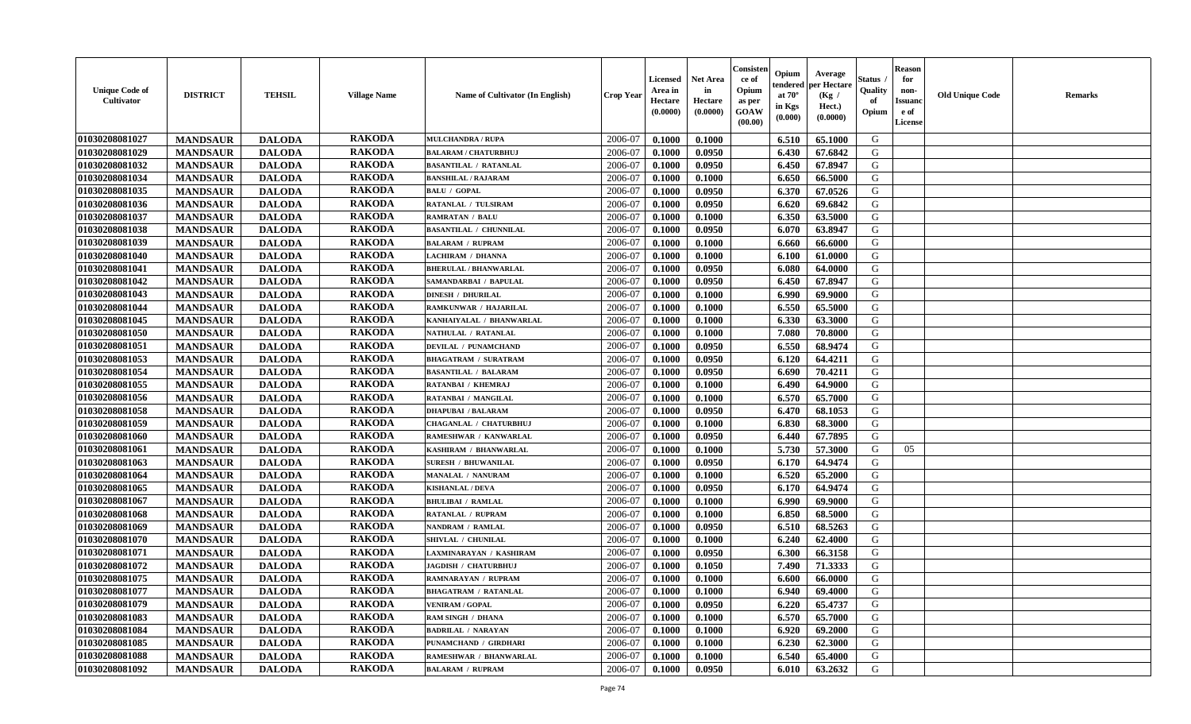| <b>Unique Code of</b><br>Cultivator | <b>DISTRICT</b> | <b>TEHSIL</b> | <b>Village Name</b> | Name of Cultivator (In English) | Crop Year | Licensed<br>Area in<br>Hectare<br>(0.0000) | <b>Net Area</b><br>in<br>Hectare<br>(0.0000) | Consister<br>ce of<br>Opium<br>as per<br>GOAW<br>(00.00) | Opium<br>endered<br>at $70^\circ$<br>in Kgs<br>(0.000) | Average<br>per Hectare<br>(Kg /<br>Hect.)<br>(0.0000) | Status<br>Quality<br>of<br>Opium | <b>Reason</b><br>for<br>non-<br><b>Issuanc</b><br>e of<br>License | <b>Old Unique Code</b> | Remarks |
|-------------------------------------|-----------------|---------------|---------------------|---------------------------------|-----------|--------------------------------------------|----------------------------------------------|----------------------------------------------------------|--------------------------------------------------------|-------------------------------------------------------|----------------------------------|-------------------------------------------------------------------|------------------------|---------|
| 01030208081027                      | <b>MANDSAUR</b> | <b>DALODA</b> | <b>RAKODA</b>       | <b>MULCHANDRA / RUPA</b>        | 2006-07   | 0.1000                                     | 0.1000                                       |                                                          | 6.510                                                  | 65.1000                                               | G                                |                                                                   |                        |         |
| 01030208081029                      | <b>MANDSAUR</b> | <b>DALODA</b> | <b>RAKODA</b>       | <b>BALARAM / CHATURBHUJ</b>     | 2006-07   | 0.1000                                     | 0.0950                                       |                                                          | 6.430                                                  | 67.6842                                               | G                                |                                                                   |                        |         |
| 01030208081032                      | <b>MANDSAUR</b> | <b>DALODA</b> | <b>RAKODA</b>       | <b>BASANTILAL / RATANLAL</b>    | 2006-07   | 0.1000                                     | 0.0950                                       |                                                          | 6.450                                                  | 67.8947                                               | G                                |                                                                   |                        |         |
| 01030208081034                      | <b>MANDSAUR</b> | <b>DALODA</b> | <b>RAKODA</b>       | <b>BANSHILAL / RAJARAM</b>      | 2006-07   | 0.1000                                     | 0.1000                                       |                                                          | 6.650                                                  | 66.5000                                               | G                                |                                                                   |                        |         |
| 01030208081035                      | <b>MANDSAUR</b> | <b>DALODA</b> | <b>RAKODA</b>       | <b>BALU / GOPAL</b>             | 2006-07   | 0.1000                                     | 0.0950                                       |                                                          | 6.370                                                  | 67.0526                                               | G                                |                                                                   |                        |         |
| 01030208081036                      | <b>MANDSAUR</b> | <b>DALODA</b> | <b>RAKODA</b>       | RATANLAL / TULSIRAM             | 2006-07   | 0.1000                                     | 0.0950                                       |                                                          | 6.620                                                  | 69.6842                                               | G                                |                                                                   |                        |         |
| 01030208081037                      | <b>MANDSAUR</b> | <b>DALODA</b> | <b>RAKODA</b>       | <b>RAMRATAN / BALU</b>          | 2006-07   | 0.1000                                     | 0.1000                                       |                                                          | 6.350                                                  | 63.5000                                               | G                                |                                                                   |                        |         |
| 01030208081038                      | <b>MANDSAUR</b> | <b>DALODA</b> | <b>RAKODA</b>       | <b>BASANTILAL / CHUNNILAL</b>   | 2006-07   | 0.1000                                     | 0.0950                                       |                                                          | 6.070                                                  | 63.8947                                               | G                                |                                                                   |                        |         |
| 01030208081039                      | <b>MANDSAUR</b> | <b>DALODA</b> | <b>RAKODA</b>       | <b>BALARAM / RUPRAM</b>         | 2006-07   | 0.1000                                     | 0.1000                                       |                                                          | 6.660                                                  | 66.6000                                               | G                                |                                                                   |                        |         |
| 01030208081040                      | <b>MANDSAUR</b> | <b>DALODA</b> | <b>RAKODA</b>       | LACHIRAM / DHANNA               | 2006-07   | 0.1000                                     | 0.1000                                       |                                                          | 6.100                                                  | 61.0000                                               | G                                |                                                                   |                        |         |
| 01030208081041                      | <b>MANDSAUR</b> | <b>DALODA</b> | <b>RAKODA</b>       | <b>BHERULAL / BHANWARLAL</b>    | 2006-07   | 0.1000                                     | 0.0950                                       |                                                          | 6.080                                                  | 64.0000                                               | G                                |                                                                   |                        |         |
| 01030208081042                      | <b>MANDSAUR</b> | <b>DALODA</b> | <b>RAKODA</b>       | SAMANDARBAI / BAPULAL           | 2006-07   | 0.1000                                     | 0.0950                                       |                                                          | 6.450                                                  | 67.8947                                               | G                                |                                                                   |                        |         |
| 01030208081043                      | <b>MANDSAUR</b> | <b>DALODA</b> | <b>RAKODA</b>       | <b>DINESH / DHURILAL</b>        | 2006-07   | 0.1000                                     | 0.1000                                       |                                                          | 6.990                                                  | 69.9000                                               | G                                |                                                                   |                        |         |
| 01030208081044                      | <b>MANDSAUR</b> | <b>DALODA</b> | <b>RAKODA</b>       | RAMKUNWAR / HAJARILAL           | 2006-07   | 0.1000                                     | 0.1000                                       |                                                          | 6.550                                                  | 65.5000                                               | G                                |                                                                   |                        |         |
| <b>01030208081045</b>               | <b>MANDSAUR</b> | <b>DALODA</b> | <b>RAKODA</b>       | KANHAIYALAL / BHANWARLAL        | 2006-07   | 0.1000                                     | 0.1000                                       |                                                          | 6.330                                                  | 63.3000                                               | G                                |                                                                   |                        |         |
| 01030208081050                      | <b>MANDSAUR</b> | <b>DALODA</b> | <b>RAKODA</b>       | NATHULAL / RATANLAL             | 2006-07   | 0.1000                                     | 0.1000                                       |                                                          | 7.080                                                  | 70.8000                                               | G                                |                                                                   |                        |         |
| 01030208081051                      | <b>MANDSAUR</b> | <b>DALODA</b> | <b>RAKODA</b>       | <b>DEVILAL / PUNAMCHAND</b>     | 2006-07   | 0.1000                                     | 0.0950                                       |                                                          | 6.550                                                  | 68.9474                                               | G                                |                                                                   |                        |         |
| 01030208081053                      | <b>MANDSAUR</b> | <b>DALODA</b> | <b>RAKODA</b>       | <b>BHAGATRAM / SURATRAM</b>     | 2006-07   | 0.1000                                     | 0.0950                                       |                                                          | 6.120                                                  | 64.4211                                               | G                                |                                                                   |                        |         |
| 01030208081054                      | <b>MANDSAUR</b> | <b>DALODA</b> | <b>RAKODA</b>       | <b>BASANTILAL / BALARAM</b>     | 2006-07   | 0.1000                                     | 0.0950                                       |                                                          | 6.690                                                  | 70.4211                                               | G                                |                                                                   |                        |         |
| 01030208081055                      | <b>MANDSAUR</b> | <b>DALODA</b> | <b>RAKODA</b>       | RATANBAI / KHEMRAJ              | 2006-07   | 0.1000                                     | 0.1000                                       |                                                          | 6.490                                                  | 64.9000                                               | G                                |                                                                   |                        |         |
| 01030208081056                      | <b>MANDSAUR</b> | <b>DALODA</b> | <b>RAKODA</b>       | RATANBAI / MANGILAL             | 2006-07   | 0.1000                                     | 0.1000                                       |                                                          | 6.570                                                  | 65.7000                                               | G                                |                                                                   |                        |         |
| 01030208081058                      | <b>MANDSAUR</b> | <b>DALODA</b> | <b>RAKODA</b>       | <b>DHAPUBAI / BALARAM</b>       | 2006-07   | 0.1000                                     | 0.0950                                       |                                                          | 6.470                                                  | 68.1053                                               | G                                |                                                                   |                        |         |
| 01030208081059                      | <b>MANDSAUR</b> | <b>DALODA</b> | <b>RAKODA</b>       | CHAGANLAL / CHATURBHUJ          | 2006-07   | 0.1000                                     | 0.1000                                       |                                                          | 6.830                                                  | 68.3000                                               | G                                |                                                                   |                        |         |
| 01030208081060                      | <b>MANDSAUR</b> | <b>DALODA</b> | <b>RAKODA</b>       | RAMESHWAR / KANWARLAL           | 2006-07   | 0.1000                                     | 0.0950                                       |                                                          | 6.440                                                  | 67.7895                                               | G                                |                                                                   |                        |         |
| 01030208081061                      | <b>MANDSAUR</b> | <b>DALODA</b> | <b>RAKODA</b>       | KASHIRAM / BHANWARLAL           | 2006-07   | 0.1000                                     | 0.1000                                       |                                                          | 5.730                                                  | 57.3000                                               | G                                | 05                                                                |                        |         |
| 01030208081063                      | <b>MANDSAUR</b> | <b>DALODA</b> | <b>RAKODA</b>       | <b>SURESH / BHUWANILAL</b>      | 2006-07   | 0.1000                                     | 0.0950                                       |                                                          | 6.170                                                  | 64.9474                                               | G                                |                                                                   |                        |         |
| 01030208081064                      | <b>MANDSAUR</b> | <b>DALODA</b> | <b>RAKODA</b>       | <b>MANALAL / NANURAM</b>        | 2006-07   | 0.1000                                     | 0.1000                                       |                                                          | 6.520                                                  | 65.2000                                               | G                                |                                                                   |                        |         |
| 01030208081065                      | <b>MANDSAUR</b> | <b>DALODA</b> | <b>RAKODA</b>       | <b>KISHANLAL / DEVA</b>         | 2006-07   | 0.1000                                     | 0.0950                                       |                                                          | 6.170                                                  | 64.9474                                               | G                                |                                                                   |                        |         |
| 01030208081067                      | <b>MANDSAUR</b> | <b>DALODA</b> | <b>RAKODA</b>       | <b>BHULIBAI / RAMLAL</b>        | 2006-07   | 0.1000                                     | 0.1000                                       |                                                          | 6.990                                                  | 69.9000                                               | G                                |                                                                   |                        |         |
| 01030208081068                      | <b>MANDSAUR</b> | <b>DALODA</b> | <b>RAKODA</b>       | <b>RATANLAL / RUPRAM</b>        | 2006-07   | 0.1000                                     | 0.1000                                       |                                                          | 6.850                                                  | 68.5000                                               | G                                |                                                                   |                        |         |
| 01030208081069                      | <b>MANDSAUR</b> | <b>DALODA</b> | <b>RAKODA</b>       | NANDRAM / RAMLAL                | 2006-07   | 0.1000                                     | 0.0950                                       |                                                          | 6.510                                                  | 68.5263                                               | G                                |                                                                   |                        |         |
| 01030208081070                      | <b>MANDSAUR</b> | <b>DALODA</b> | <b>RAKODA</b>       | SHIVLAL / CHUNILAL              | 2006-07   | 0.1000                                     | 0.1000                                       |                                                          | 6.240                                                  | 62.4000                                               | G                                |                                                                   |                        |         |
| 01030208081071                      | <b>MANDSAUR</b> | <b>DALODA</b> | <b>RAKODA</b>       | LAXMINARAYAN / KASHIRAM         | 2006-07   | 0.1000                                     | 0.0950                                       |                                                          | 6.300                                                  | 66.3158                                               | G                                |                                                                   |                        |         |
| 01030208081072                      | <b>MANDSAUR</b> | <b>DALODA</b> | <b>RAKODA</b>       | <b>JAGDISH / CHATURBHUJ</b>     | 2006-07   | 0.1000                                     | 0.1050                                       |                                                          | 7.490                                                  | 71.3333                                               | G                                |                                                                   |                        |         |
| 01030208081075                      | <b>MANDSAUR</b> | <b>DALODA</b> | <b>RAKODA</b>       | <b>RAMNARAYAN / RUPRAM</b>      | 2006-07   | 0.1000                                     | 0.1000                                       |                                                          | 6.600                                                  | 66.0000                                               | G                                |                                                                   |                        |         |
| 01030208081077                      | <b>MANDSAUR</b> | <b>DALODA</b> | <b>RAKODA</b>       | <b>BHAGATRAM / RATANLAL</b>     | 2006-07   | 0.1000                                     | 0.1000                                       |                                                          | 6.940                                                  | 69.4000                                               | G                                |                                                                   |                        |         |
| 01030208081079                      | <b>MANDSAUR</b> | <b>DALODA</b> | <b>RAKODA</b>       | <b>VENIRAM / GOPAL</b>          | 2006-07   | 0.1000                                     | 0.0950                                       |                                                          | 6.220                                                  | 65.4737                                               | G                                |                                                                   |                        |         |
| 01030208081083                      | <b>MANDSAUR</b> | <b>DALODA</b> | <b>RAKODA</b>       | RAM SINGH / DHANA               | 2006-07   | 0.1000                                     | 0.1000                                       |                                                          | 6.570                                                  | 65.7000                                               | G                                |                                                                   |                        |         |
| 01030208081084                      | <b>MANDSAUR</b> | <b>DALODA</b> | <b>RAKODA</b>       | <b>BADRILAL / NARAYAN</b>       | 2006-07   | 0.1000                                     | 0.1000                                       |                                                          | 6.920                                                  | 69.2000                                               | G                                |                                                                   |                        |         |
| 01030208081085                      | <b>MANDSAUR</b> | <b>DALODA</b> | <b>RAKODA</b>       | PUNAMCHAND / GIRDHARI           | 2006-07   | 0.1000                                     | 0.1000                                       |                                                          | 6.230                                                  | 62.3000                                               | ${\bf G}$                        |                                                                   |                        |         |
| 01030208081088                      | <b>MANDSAUR</b> | <b>DALODA</b> | <b>RAKODA</b>       | RAMESHWAR / BHANWARLAL          | 2006-07   | 0.1000                                     | 0.1000                                       |                                                          | 6.540                                                  | 65.4000                                               | G                                |                                                                   |                        |         |
| 01030208081092                      | <b>MANDSAUR</b> | <b>DALODA</b> | <b>RAKODA</b>       | <b>BALARAM / RUPRAM</b>         | 2006-07   | 0.1000                                     | 0.0950                                       |                                                          | 6.010                                                  | 63.2632                                               | G                                |                                                                   |                        |         |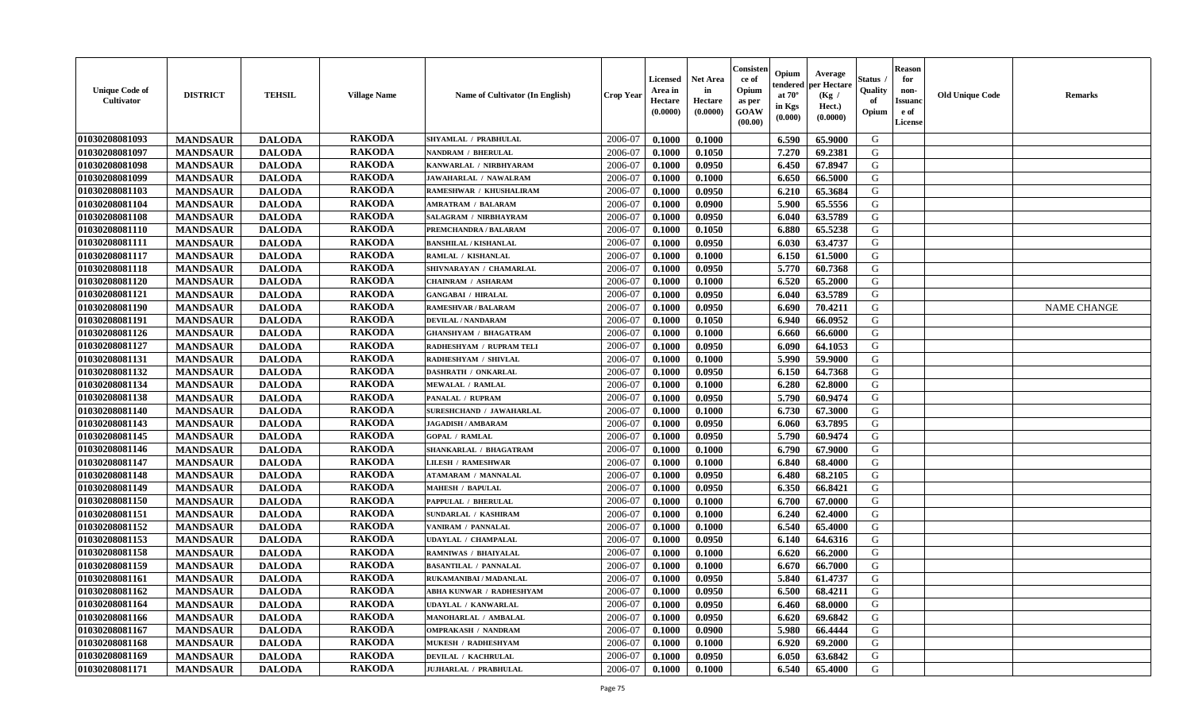| <b>Unique Code of</b><br><b>Cultivator</b> | <b>DISTRICT</b> | <b>TEHSIL</b> | <b>Village Name</b> | <b>Name of Cultivator (In English)</b> | <b>Crop Year</b> | Licensed<br>Area in<br>Hectare<br>(0.0000) | Net Area<br>in<br>Hectare<br>(0.0000) | Consisteı<br>ce of<br>Opium<br>as per<br>GOAW<br>(00.00) | Opium<br>endered<br>at $70^\circ$<br>in Kgs<br>(0.000) | Average<br>per Hectare<br>(Kg /<br>Hect.)<br>(0.0000) | Status<br>Quality<br>of<br>Opium | <b>Reason</b><br>for<br>non-<br><b>Issuand</b><br>e of<br>License | <b>Old Unique Code</b> | Remarks            |
|--------------------------------------------|-----------------|---------------|---------------------|----------------------------------------|------------------|--------------------------------------------|---------------------------------------|----------------------------------------------------------|--------------------------------------------------------|-------------------------------------------------------|----------------------------------|-------------------------------------------------------------------|------------------------|--------------------|
| 01030208081093                             | <b>MANDSAUR</b> | <b>DALODA</b> | <b>RAKODA</b>       | SHYAMLAL / PRABHULAL                   | 2006-07          | 0.1000                                     | 0.1000                                |                                                          | 6.590                                                  | 65.9000                                               | G                                |                                                                   |                        |                    |
| 01030208081097                             | <b>MANDSAUR</b> | <b>DALODA</b> | <b>RAKODA</b>       | <b>NANDRAM / BHERULAL</b>              | 2006-07          | 0.1000                                     | 0.1050                                |                                                          | 7.270                                                  | 69.2381                                               | G                                |                                                                   |                        |                    |
| 01030208081098                             | <b>MANDSAUR</b> | <b>DALODA</b> | <b>RAKODA</b>       | KANWARLAL / NIRBHYARAM                 | 2006-07          | 0.1000                                     | 0.0950                                |                                                          | 6.450                                                  | 67.8947                                               | G                                |                                                                   |                        |                    |
| 01030208081099                             | <b>MANDSAUR</b> | <b>DALODA</b> | <b>RAKODA</b>       | JAWAHARLAL / NAWALRAM                  | 2006-07          | 0.1000                                     | 0.1000                                |                                                          | 6.650                                                  | 66.5000                                               | G                                |                                                                   |                        |                    |
| 01030208081103                             | <b>MANDSAUR</b> | <b>DALODA</b> | <b>RAKODA</b>       | RAMESHWAR / KHUSHALIRAM                | 2006-07          | 0.1000                                     | 0.0950                                |                                                          | 6.210                                                  | 65.3684                                               | G                                |                                                                   |                        |                    |
| 01030208081104                             | <b>MANDSAUR</b> | <b>DALODA</b> | <b>RAKODA</b>       | <b>AMRATRAM / BALARAM</b>              | 2006-07          | 0.1000                                     | 0.0900                                |                                                          | 5.900                                                  | 65.5556                                               | G                                |                                                                   |                        |                    |
| 01030208081108                             | <b>MANDSAUR</b> | <b>DALODA</b> | <b>RAKODA</b>       | SALAGRAM / NIRBHAYRAM                  | 2006-07          | 0.1000                                     | 0.0950                                |                                                          | 6.040                                                  | 63.5789                                               | G                                |                                                                   |                        |                    |
| 01030208081110                             | <b>MANDSAUR</b> | <b>DALODA</b> | <b>RAKODA</b>       | PREMCHANDRA / BALARAM                  | 2006-07          | 0.1000                                     | 0.1050                                |                                                          | 6.880                                                  | 65.5238                                               | G                                |                                                                   |                        |                    |
| 01030208081111                             | <b>MANDSAUR</b> | <b>DALODA</b> | <b>RAKODA</b>       | <b>BANSHILAL / KISHANLAL</b>           | 2006-07          | 0.1000                                     | 0.0950                                |                                                          | 6.030                                                  | 63.4737                                               | G                                |                                                                   |                        |                    |
| 01030208081117                             | <b>MANDSAUR</b> | <b>DALODA</b> | <b>RAKODA</b>       | RAMLAL / KISHANLAL                     | 2006-07          | 0.1000                                     | 0.1000                                |                                                          | 6.150                                                  | 61.5000                                               | G                                |                                                                   |                        |                    |
| 01030208081118                             | <b>MANDSAUR</b> | <b>DALODA</b> | <b>RAKODA</b>       | SHIVNARAYAN / CHAMARLAL                | 2006-07          | 0.1000                                     | 0.0950                                |                                                          | 5.770                                                  | 60.7368                                               | G                                |                                                                   |                        |                    |
| 01030208081120                             | <b>MANDSAUR</b> | <b>DALODA</b> | <b>RAKODA</b>       | <b>CHAINRAM / ASHARAM</b>              | 2006-07          | 0.1000                                     | 0.1000                                |                                                          | 6.520                                                  | 65.2000                                               | G                                |                                                                   |                        |                    |
| 01030208081121                             | <b>MANDSAUR</b> | <b>DALODA</b> | <b>RAKODA</b>       | <b>GANGABAI / HIRALAL</b>              | 2006-07          | 0.1000                                     | 0.0950                                |                                                          | 6.040                                                  | 63.5789                                               | G                                |                                                                   |                        |                    |
| 01030208081190                             | <b>MANDSAUR</b> | <b>DALODA</b> | <b>RAKODA</b>       | <b>RAMESHVAR / BALARAM</b>             | 2006-07          | 0.1000                                     | 0.0950                                |                                                          | 6.690                                                  | 70.4211                                               | G                                |                                                                   |                        | <b>NAME CHANGE</b> |
| 01030208081191                             | <b>MANDSAUR</b> | <b>DALODA</b> | <b>RAKODA</b>       | <b>DEVILAL / NANDARAM</b>              | 2006-07          | 0.1000                                     | 0.1050                                |                                                          | 6.940                                                  | 66.0952                                               | $\mathbf G$                      |                                                                   |                        |                    |
| 01030208081126                             | <b>MANDSAUR</b> | <b>DALODA</b> | <b>RAKODA</b>       | <b>GHANSHYAM / BHAGATRAM</b>           | 2006-07          | 0.1000                                     | 0.1000                                |                                                          | 6.660                                                  | 66.6000                                               | G                                |                                                                   |                        |                    |
| 01030208081127                             | <b>MANDSAUR</b> | <b>DALODA</b> | <b>RAKODA</b>       | RADHESHYAM / RUPRAM TELI               | 2006-07          | 0.1000                                     | 0.0950                                |                                                          | 6.090                                                  | 64.1053                                               | G                                |                                                                   |                        |                    |
| 01030208081131                             | <b>MANDSAUR</b> | <b>DALODA</b> | <b>RAKODA</b>       | RADHESHYAM / SHIVLAL                   | 2006-07          | 0.1000                                     | 0.1000                                |                                                          | 5.990                                                  | 59.9000                                               | G                                |                                                                   |                        |                    |
| 01030208081132                             | <b>MANDSAUR</b> | <b>DALODA</b> | <b>RAKODA</b>       | DASHRATH / ONKARLAL                    | 2006-07          | 0.1000                                     | 0.0950                                |                                                          | 6.150                                                  | 64.7368                                               | G                                |                                                                   |                        |                    |
| 01030208081134                             | <b>MANDSAUR</b> | <b>DALODA</b> | <b>RAKODA</b>       | <b>MEWALAL / RAMLAL</b>                | 2006-07          | 0.1000                                     | 0.1000                                |                                                          | 6.280                                                  | 62.8000                                               | G                                |                                                                   |                        |                    |
| 01030208081138                             | <b>MANDSAUR</b> | <b>DALODA</b> | <b>RAKODA</b>       | PANALAL / RUPRAM                       | 2006-07          | 0.1000                                     | 0.0950                                |                                                          | 5.790                                                  | 60.9474                                               | G                                |                                                                   |                        |                    |
| 01030208081140                             | <b>MANDSAUR</b> | <b>DALODA</b> | <b>RAKODA</b>       | <b>SURESHCHAND / JAWAHARLAL</b>        | 2006-07          | 0.1000                                     | 0.1000                                |                                                          | 6.730                                                  | 67.3000                                               | G                                |                                                                   |                        |                    |
| 01030208081143                             | <b>MANDSAUR</b> | <b>DALODA</b> | <b>RAKODA</b>       | <b>JAGADISH / AMBARAM</b>              | 2006-07          | 0.1000                                     | 0.0950                                |                                                          | 6.060                                                  | 63.7895                                               | G                                |                                                                   |                        |                    |
| 01030208081145                             | <b>MANDSAUR</b> | <b>DALODA</b> | <b>RAKODA</b>       | <b>GOPAL / RAMLAL</b>                  | 2006-07          | 0.1000                                     | 0.0950                                |                                                          | 5.790                                                  | 60.9474                                               | G                                |                                                                   |                        |                    |
| 01030208081146                             | <b>MANDSAUR</b> | <b>DALODA</b> | <b>RAKODA</b>       | SHANKARLAL / BHAGATRAM                 | 2006-07          | 0.1000                                     | 0.1000                                |                                                          | 6.790                                                  | 67.9000                                               | G                                |                                                                   |                        |                    |
| 01030208081147                             | <b>MANDSAUR</b> | <b>DALODA</b> | <b>RAKODA</b>       | <b>LILESH / RAMESHWAR</b>              | 2006-07          | 0.1000                                     | 0.1000                                |                                                          | 6.840                                                  | 68.4000                                               | G                                |                                                                   |                        |                    |
| 01030208081148                             | <b>MANDSAUR</b> | <b>DALODA</b> | <b>RAKODA</b>       | <b>ATAMARAM / MANNALAL</b>             | 2006-07          | 0.1000                                     | 0.0950                                |                                                          | 6.480                                                  | 68.2105                                               | G                                |                                                                   |                        |                    |
| 01030208081149                             | <b>MANDSAUR</b> | <b>DALODA</b> | <b>RAKODA</b>       | <b>MAHESH / BAPULAL</b>                | 2006-07          | 0.1000                                     | 0.0950                                |                                                          | 6.350                                                  | 66.8421                                               | G                                |                                                                   |                        |                    |
| 01030208081150                             | <b>MANDSAUR</b> | <b>DALODA</b> | <b>RAKODA</b>       | PAPPULAL / BHERULAL                    | 2006-07          | 0.1000                                     | 0.1000                                |                                                          | 6.700                                                  | 67.0000                                               | G                                |                                                                   |                        |                    |
| 01030208081151                             | <b>MANDSAUR</b> | <b>DALODA</b> | <b>RAKODA</b>       | SUNDARLAL / KASHIRAM                   | 2006-07          | 0.1000                                     | 0.1000                                |                                                          | 6.240                                                  | 62.4000                                               | G                                |                                                                   |                        |                    |
| 01030208081152                             | <b>MANDSAUR</b> | <b>DALODA</b> | <b>RAKODA</b>       | VANIRAM / PANNALAL                     | 2006-07          | 0.1000                                     | 0.1000                                |                                                          | 6.540                                                  | 65.4000                                               | G                                |                                                                   |                        |                    |
| 01030208081153                             | <b>MANDSAUR</b> | <b>DALODA</b> | <b>RAKODA</b>       | <b>UDAYLAL / CHAMPALAL</b>             | 2006-07          | 0.1000                                     | 0.0950                                |                                                          | 6.140                                                  | 64.6316                                               | G                                |                                                                   |                        |                    |
| 01030208081158                             | <b>MANDSAUR</b> | <b>DALODA</b> | <b>RAKODA</b>       | RAMNIWAS / BHAIYALAL                   | 2006-07          | 0.1000                                     | 0.1000                                |                                                          | 6.620                                                  | 66.2000                                               | G                                |                                                                   |                        |                    |
| 01030208081159                             | <b>MANDSAUR</b> | <b>DALODA</b> | <b>RAKODA</b>       | <b>BASANTILAL / PANNALAL</b>           | 2006-07          | 0.1000                                     | 0.1000                                |                                                          | 6.670                                                  | 66.7000                                               | G                                |                                                                   |                        |                    |
| 01030208081161                             | <b>MANDSAUR</b> | <b>DALODA</b> | <b>RAKODA</b>       | RUKAMANIBAI / MADANLAL                 | 2006-07          | 0.1000                                     | 0.0950                                |                                                          | 5.840                                                  | 61.4737                                               | G                                |                                                                   |                        |                    |
| 01030208081162                             | <b>MANDSAUR</b> | <b>DALODA</b> | <b>RAKODA</b>       | ABHA KUNWAR / RADHESHYAM               | 2006-07          | 0.1000                                     | 0.0950                                |                                                          | 6.500                                                  | 68.4211                                               | G                                |                                                                   |                        |                    |
| 01030208081164                             | <b>MANDSAUR</b> | <b>DALODA</b> | <b>RAKODA</b>       | <b>UDAYLAL / KANWARLAL</b>             | 2006-07          | 0.1000                                     | 0.0950                                |                                                          | 6.460                                                  | 68.0000                                               | G                                |                                                                   |                        |                    |
| 01030208081166                             | <b>MANDSAUR</b> | <b>DALODA</b> | <b>RAKODA</b>       | <b>MANOHARLAL / AMBALAL</b>            | 2006-07          | 0.1000                                     | 0.0950                                |                                                          | 6.620                                                  | 69.6842                                               | G                                |                                                                   |                        |                    |
| 01030208081167                             | <b>MANDSAUR</b> | <b>DALODA</b> | <b>RAKODA</b>       | <b>OMPRAKASH / NANDRAM</b>             | 2006-07          | 0.1000                                     | 0.0900                                |                                                          | 5.980                                                  | 66.4444                                               | G                                |                                                                   |                        |                    |
| 01030208081168                             | <b>MANDSAUR</b> | <b>DALODA</b> | <b>RAKODA</b>       | <b>MUKESH / RADHESHYAM</b>             | 2006-07          | 0.1000                                     | 0.1000                                |                                                          | 6.920                                                  | 69.2000                                               | ${\bf G}$                        |                                                                   |                        |                    |
| 01030208081169                             | <b>MANDSAUR</b> | <b>DALODA</b> | <b>RAKODA</b>       | DEVILAL / KACHRULAL                    | 2006-07          | 0.1000                                     | 0.0950                                |                                                          | 6.050                                                  | 63.6842                                               | G                                |                                                                   |                        |                    |
| 01030208081171                             | <b>MANDSAUR</b> | <b>DALODA</b> | <b>RAKODA</b>       | <b>JUJHARLAL / PRABHULAL</b>           | 2006-07          | 0.1000                                     | 0.1000                                |                                                          | 6.540                                                  | 65.4000                                               | G                                |                                                                   |                        |                    |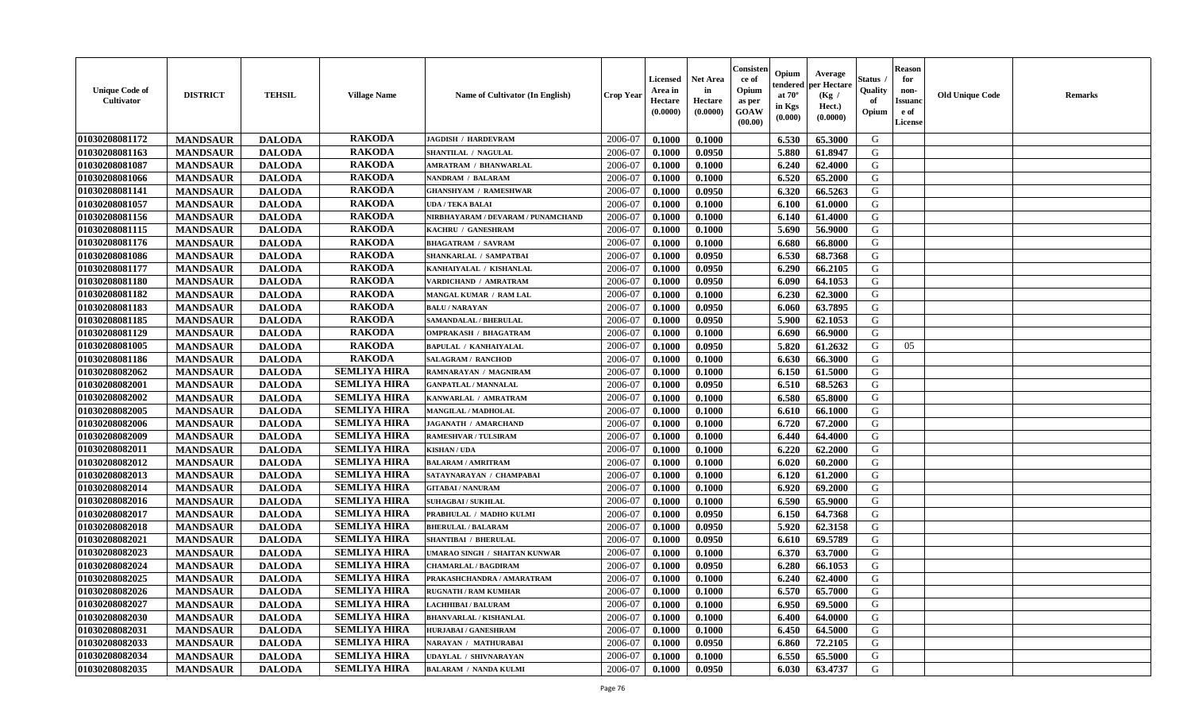| <b>Unique Code of</b><br>Cultivator | <b>DISTRICT</b> | <b>TEHSIL</b> | <b>Village Name</b> | <b>Name of Cultivator (In English)</b> | Crop Year | Licensed<br>Area in<br>Hectare<br>(0.0000) | <b>Net Area</b><br>in<br>Hectare<br>(0.0000) | Consister<br>ce of<br>Opium<br>as per<br>GOAW<br>(00.00) | Opium<br>endered<br>at $70^\circ$<br>in Kgs<br>(0.000) | Average<br>per Hectare<br>(Kg /<br>Hect.)<br>(0.0000) | Status<br>Quality<br>of<br>Opium | <b>Reason</b><br>for<br>non-<br><b>Issuanc</b><br>e of<br>License | <b>Old Unique Code</b> | Remarks |
|-------------------------------------|-----------------|---------------|---------------------|----------------------------------------|-----------|--------------------------------------------|----------------------------------------------|----------------------------------------------------------|--------------------------------------------------------|-------------------------------------------------------|----------------------------------|-------------------------------------------------------------------|------------------------|---------|
| 01030208081172                      | <b>MANDSAUR</b> | <b>DALODA</b> | <b>RAKODA</b>       | <b>JAGDISH / HARDEVRAM</b>             | 2006-07   | 0.1000                                     | 0.1000                                       |                                                          | 6.530                                                  | 65.3000                                               | G                                |                                                                   |                        |         |
| 01030208081163                      | <b>MANDSAUR</b> | <b>DALODA</b> | <b>RAKODA</b>       | SHANTILAL / NAGULAL                    | 2006-07   | 0.1000                                     | 0.0950                                       |                                                          | 5.880                                                  | 61.8947                                               | G                                |                                                                   |                        |         |
| 01030208081087                      | <b>MANDSAUR</b> | <b>DALODA</b> | <b>RAKODA</b>       | <b>AMRATRAM / BHANWARLAL</b>           | 2006-07   | 0.1000                                     | 0.1000                                       |                                                          | 6.240                                                  | 62.4000                                               | G                                |                                                                   |                        |         |
| 01030208081066                      | <b>MANDSAUR</b> | <b>DALODA</b> | <b>RAKODA</b>       | <b>NANDRAM / BALARAM</b>               | 2006-07   | 0.1000                                     | 0.1000                                       |                                                          | 6.520                                                  | 65.2000                                               | G                                |                                                                   |                        |         |
| 01030208081141                      | <b>MANDSAUR</b> | <b>DALODA</b> | <b>RAKODA</b>       | <b>GHANSHYAM / RAMESHWAR</b>           | 2006-07   | 0.1000                                     | 0.0950                                       |                                                          | 6.320                                                  | 66.5263                                               | G                                |                                                                   |                        |         |
| 01030208081057                      | <b>MANDSAUR</b> | <b>DALODA</b> | <b>RAKODA</b>       | UDA / TEKA BALAI                       | 2006-07   | 0.1000                                     | 0.1000                                       |                                                          | 6.100                                                  | 61.0000                                               | G                                |                                                                   |                        |         |
| 01030208081156                      | <b>MANDSAUR</b> | <b>DALODA</b> | <b>RAKODA</b>       | NIRBHAYARAM / DEVARAM / PUNAMCHAND     | 2006-07   | 0.1000                                     | 0.1000                                       |                                                          | 6.140                                                  | 61.4000                                               | G                                |                                                                   |                        |         |
| 01030208081115                      | <b>MANDSAUR</b> | <b>DALODA</b> | <b>RAKODA</b>       | KACHRU / GANESHRAM                     | 2006-07   | 0.1000                                     | 0.1000                                       |                                                          | 5.690                                                  | 56.9000                                               | G                                |                                                                   |                        |         |
| 01030208081176                      | <b>MANDSAUR</b> | <b>DALODA</b> | <b>RAKODA</b>       | <b>BHAGATRAM / SAVRAM</b>              | 2006-07   | 0.1000                                     | 0.1000                                       |                                                          | 6.680                                                  | 66.8000                                               | G                                |                                                                   |                        |         |
| 01030208081086                      | <b>MANDSAUR</b> | <b>DALODA</b> | <b>RAKODA</b>       | SHANKARLAL / SAMPATBAI                 | 2006-07   | 0.1000                                     | 0.0950                                       |                                                          | 6.530                                                  | 68.7368                                               | G                                |                                                                   |                        |         |
| 01030208081177                      | <b>MANDSAUR</b> | <b>DALODA</b> | <b>RAKODA</b>       | KANHAIYALAL / KISHANLAL                | 2006-07   | 0.1000                                     | 0.0950                                       |                                                          | 6.290                                                  | 66.2105                                               | G                                |                                                                   |                        |         |
| 01030208081180                      | <b>MANDSAUR</b> | <b>DALODA</b> | <b>RAKODA</b>       | VARDICHAND / AMRATRAM                  | 2006-07   | 0.1000                                     | 0.0950                                       |                                                          | 6.090                                                  | 64.1053                                               | G                                |                                                                   |                        |         |
| 01030208081182                      | <b>MANDSAUR</b> | <b>DALODA</b> | <b>RAKODA</b>       | MANGAL KUMAR / RAM LAL                 | 2006-07   | 0.1000                                     | 0.1000                                       |                                                          | 6.230                                                  | 62.3000                                               | G                                |                                                                   |                        |         |
| 01030208081183                      | <b>MANDSAUR</b> | <b>DALODA</b> | <b>RAKODA</b>       | <b>BALU / NARAYAN</b>                  | 2006-07   | 0.1000                                     | 0.0950                                       |                                                          | 6.060                                                  | 63.7895                                               | G                                |                                                                   |                        |         |
| 01030208081185                      | <b>MANDSAUR</b> | <b>DALODA</b> | <b>RAKODA</b>       | SAMANDALAL / BHERULAL                  | 2006-07   | 0.1000                                     | 0.0950                                       |                                                          | 5.900                                                  | 62.1053                                               | G                                |                                                                   |                        |         |
| 01030208081129                      | <b>MANDSAUR</b> | <b>DALODA</b> | <b>RAKODA</b>       | <b>OMPRAKASH / BHAGATRAM</b>           | 2006-07   | 0.1000                                     | 0.1000                                       |                                                          | 6.690                                                  | 66.9000                                               | G                                |                                                                   |                        |         |
| 01030208081005                      | <b>MANDSAUR</b> | <b>DALODA</b> | <b>RAKODA</b>       | <b>BAPULAL / KANHAIYALAL</b>           | 2006-07   | 0.1000                                     | 0.0950                                       |                                                          | 5.820                                                  | 61.2632                                               | G                                | 05                                                                |                        |         |
| 01030208081186                      | <b>MANDSAUR</b> | <b>DALODA</b> | <b>RAKODA</b>       | <b>SALAGRAM / RANCHOD</b>              | 2006-07   | 0.1000                                     | 0.1000                                       |                                                          | 6.630                                                  | 66.3000                                               | G                                |                                                                   |                        |         |
| 01030208082062                      | <b>MANDSAUR</b> | <b>DALODA</b> | <b>SEMLIYA HIRA</b> | RAMNARAYAN / MAGNIRAM                  | 2006-07   | 0.1000                                     | 0.1000                                       |                                                          | 6.150                                                  | 61.5000                                               | G                                |                                                                   |                        |         |
| 01030208082001                      | <b>MANDSAUR</b> | <b>DALODA</b> | <b>SEMLIYA HIRA</b> | <b>GANPATLAL / MANNALAL</b>            | 2006-07   | 0.1000                                     | 0.0950                                       |                                                          | 6.510                                                  | 68.5263                                               | G                                |                                                                   |                        |         |
| 01030208082002                      | <b>MANDSAUR</b> | <b>DALODA</b> | <b>SEMLIYA HIRA</b> | KANWARLAL / AMRATRAM                   | 2006-07   | 0.1000                                     | 0.1000                                       |                                                          | 6.580                                                  | 65.8000                                               | G                                |                                                                   |                        |         |
| 01030208082005                      | <b>MANDSAUR</b> | <b>DALODA</b> | <b>SEMLIYA HIRA</b> | <b>MANGILAL / MADHOLAL</b>             | 2006-07   | 0.1000                                     | 0.1000                                       |                                                          | 6.610                                                  | 66.1000                                               | G                                |                                                                   |                        |         |
| 01030208082006                      | <b>MANDSAUR</b> | <b>DALODA</b> | <b>SEMLIYA HIRA</b> | <b>JAGANATH / AMARCHAND</b>            | 2006-07   | 0.1000                                     | 0.1000                                       |                                                          | 6.720                                                  | 67.2000                                               | G                                |                                                                   |                        |         |
| 01030208082009                      | <b>MANDSAUR</b> | <b>DALODA</b> | <b>SEMLIYA HIRA</b> | <b>RAMESHVAR / TULSIRAM</b>            | 2006-07   | 0.1000                                     | 0.1000                                       |                                                          | 6.440                                                  | 64.4000                                               | G                                |                                                                   |                        |         |
| 01030208082011                      | <b>MANDSAUR</b> | <b>DALODA</b> | <b>SEMLIYA HIRA</b> | <b>KISHAN / UDA</b>                    | 2006-07   | 0.1000                                     | 0.1000                                       |                                                          | 6.220                                                  | 62.2000                                               | G                                |                                                                   |                        |         |
| 01030208082012                      | <b>MANDSAUR</b> | <b>DALODA</b> | <b>SEMLIYA HIRA</b> | <b>BALARAM / AMRITRAM</b>              | 2006-07   | 0.1000                                     | 0.1000                                       |                                                          | 6.020                                                  | 60.2000                                               | G                                |                                                                   |                        |         |
| 01030208082013                      | <b>MANDSAUR</b> | <b>DALODA</b> | <b>SEMLIYA HIRA</b> | SATAYNARAYAN / CHAMPABAI               | 2006-07   | 0.1000                                     | 0.1000                                       |                                                          | 6.120                                                  | 61.2000                                               | G                                |                                                                   |                        |         |
| 01030208082014                      | <b>MANDSAUR</b> | <b>DALODA</b> | <b>SEMLIYA HIRA</b> | <b>GITABAI/NANURAM</b>                 | 2006-07   | 0.1000                                     | 0.1000                                       |                                                          | 6.920                                                  | 69.2000                                               | G                                |                                                                   |                        |         |
| 01030208082016                      | <b>MANDSAUR</b> | <b>DALODA</b> | <b>SEMLIYA HIRA</b> | <b>SUHAGBAI/SUKHLAL</b>                | 2006-07   | 0.1000                                     | 0.1000                                       |                                                          | 6.590                                                  | 65.9000                                               | G                                |                                                                   |                        |         |
| 01030208082017                      | <b>MANDSAUR</b> | <b>DALODA</b> | <b>SEMLIYA HIRA</b> | PRABHULAL / MADHO KULMI                | 2006-07   | 0.1000                                     | 0.0950                                       |                                                          | 6.150                                                  | 64.7368                                               | G                                |                                                                   |                        |         |
| 01030208082018                      | <b>MANDSAUR</b> | <b>DALODA</b> | <b>SEMLIYA HIRA</b> | <b>BHERULAL / BALARAM</b>              | 2006-07   | 0.1000                                     | 0.0950                                       |                                                          | 5.920                                                  | 62.3158                                               | G                                |                                                                   |                        |         |
| 01030208082021                      | <b>MANDSAUR</b> | <b>DALODA</b> | <b>SEMLIYA HIRA</b> | <b>SHANTIBAI / BHERULAL</b>            | 2006-07   | 0.1000                                     | 0.0950                                       |                                                          | 6.610                                                  | 69.5789                                               | G                                |                                                                   |                        |         |
| 01030208082023                      | <b>MANDSAUR</b> | <b>DALODA</b> | <b>SEMLIYA HIRA</b> | UMARAO SINGH / SHAITAN KUNWAR          | 2006-07   | 0.1000                                     | 0.1000                                       |                                                          | 6.370                                                  | 63.7000                                               | G                                |                                                                   |                        |         |
| 01030208082024                      | <b>MANDSAUR</b> | <b>DALODA</b> | <b>SEMLIYA HIRA</b> | <b>CHAMARLAL / BAGDIRAM</b>            | 2006-07   | 0.1000                                     | 0.0950                                       |                                                          | 6.280                                                  | 66.1053                                               | G                                |                                                                   |                        |         |
| 01030208082025                      | <b>MANDSAUR</b> | <b>DALODA</b> | <b>SEMLIYA HIRA</b> | PRAKASHCHANDRA / AMARATRAM             | 2006-07   | 0.1000                                     | 0.1000                                       |                                                          | 6.240                                                  | 62.4000                                               | G                                |                                                                   |                        |         |
| 01030208082026                      | <b>MANDSAUR</b> | <b>DALODA</b> | <b>SEMLIYA HIRA</b> | <b>RUGNATH / RAM KUMHAR</b>            | 2006-07   | 0.1000                                     | 0.1000                                       |                                                          | 6.570                                                  | 65.7000                                               | G                                |                                                                   |                        |         |
| 01030208082027                      | <b>MANDSAUR</b> | <b>DALODA</b> | <b>SEMLIYA HIRA</b> | LACHHIBAI / BALURAM                    | 2006-07   | 0.1000                                     | 0.1000                                       |                                                          | 6.950                                                  | 69.5000                                               | G                                |                                                                   |                        |         |
| 01030208082030                      | <b>MANDSAUR</b> | <b>DALODA</b> | <b>SEMLIYA HIRA</b> | <b>BHANVARLAL / KISHANLAL</b>          | 2006-07   | 0.1000                                     | 0.1000                                       |                                                          | 6.400                                                  | 64.0000                                               | G                                |                                                                   |                        |         |
| 01030208082031                      | <b>MANDSAUR</b> | <b>DALODA</b> | <b>SEMLIYA HIRA</b> | <b>HURJABAI/GANESHRAM</b>              | 2006-07   | 0.1000                                     | 0.1000                                       |                                                          | 6.450                                                  | 64.5000                                               | G                                |                                                                   |                        |         |
| 01030208082033                      | <b>MANDSAUR</b> | <b>DALODA</b> | <b>SEMLIYA HIRA</b> | NARAYAN / MATHURABAI                   | 2006-07   | 0.1000                                     | 0.0950                                       |                                                          | 6.860                                                  | 72.2105                                               | ${\bf G}$                        |                                                                   |                        |         |
| 01030208082034                      | <b>MANDSAUR</b> | <b>DALODA</b> | <b>SEMLIYA HIRA</b> | UDAYLAL / SHIVNARAYAN                  | 2006-07   | 0.1000                                     | 0.1000                                       |                                                          | 6.550                                                  | 65.5000                                               | G                                |                                                                   |                        |         |
| 01030208082035                      | <b>MANDSAUR</b> | <b>DALODA</b> | <b>SEMLIYA HIRA</b> | <b>BALARAM / NANDA KULMI</b>           | 2006-07   | 0.1000                                     | 0.0950                                       |                                                          | 6.030                                                  | 63.4737                                               | G                                |                                                                   |                        |         |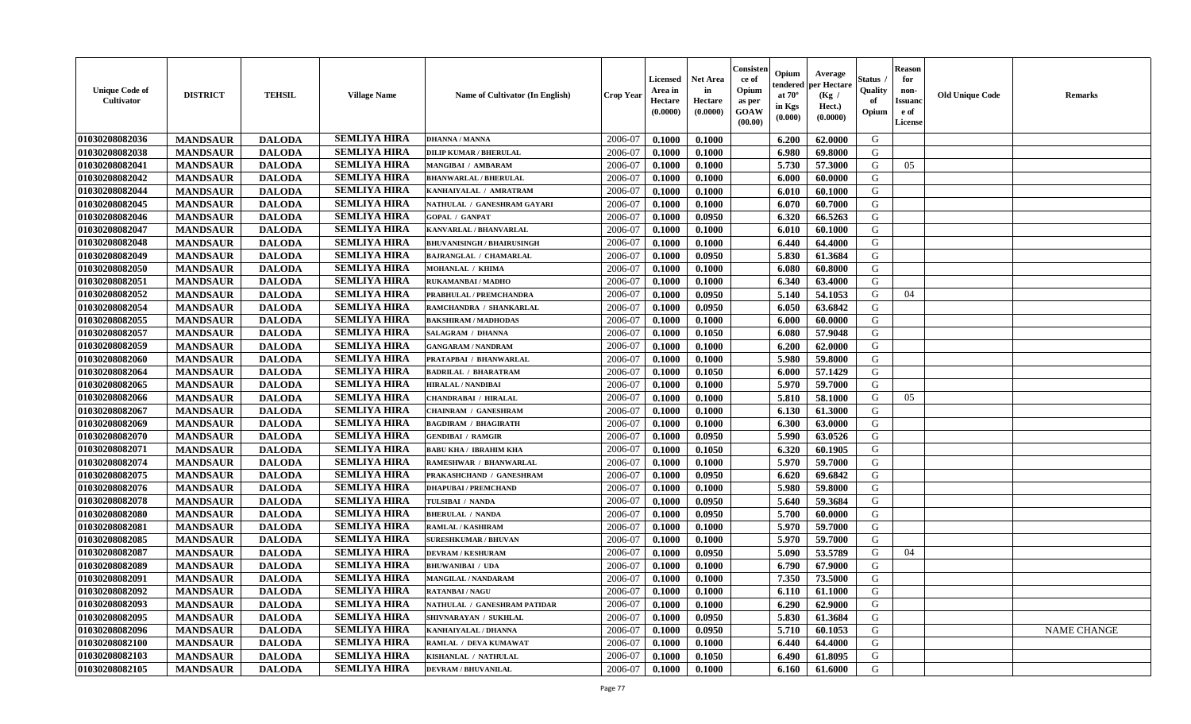| <b>Unique Code of</b><br><b>Cultivator</b> | <b>DISTRICT</b> | <b>TEHSIL</b> | <b>Village Name</b> | <b>Name of Cultivator (In English)</b> | <b>Crop Year</b> | <b>Licensed</b><br>Area in<br>Hectare<br>(0.0000) | <b>Net Area</b><br>in<br>Hectare<br>(0.0000) | Consisteı<br>ce of<br>Opium<br>as per<br><b>GOAW</b><br>(00.00) | Opium<br>endered<br>at $70^\circ$<br>in Kgs<br>$(\mathbf{0.000})$ | Average<br>per Hectare<br>(Kg /<br>Hect.)<br>(0.0000) | Status<br>Quality<br>of<br>Opium | Reason<br>for<br>non-<br>Issuan<br>e of<br>License | <b>Old Unique Code</b> | <b>Remarks</b>     |
|--------------------------------------------|-----------------|---------------|---------------------|----------------------------------------|------------------|---------------------------------------------------|----------------------------------------------|-----------------------------------------------------------------|-------------------------------------------------------------------|-------------------------------------------------------|----------------------------------|----------------------------------------------------|------------------------|--------------------|
| 01030208082036                             | <b>MANDSAUR</b> | <b>DALODA</b> | <b>SEMLIYA HIRA</b> | <b>DHANNA / MANNA</b>                  | 2006-07          | 0.1000                                            | 0.1000                                       |                                                                 | 6.200                                                             | 62.0000                                               | G                                |                                                    |                        |                    |
| 01030208082038                             | <b>MANDSAUR</b> | <b>DALODA</b> | <b>SEMLIYA HIRA</b> | <b>DILIP KUMAR / BHERULAL</b>          | 2006-07          | 0.1000                                            | 0.1000                                       |                                                                 | 6.980                                                             | 69.8000                                               | G                                |                                                    |                        |                    |
| 01030208082041                             | <b>MANDSAUR</b> | <b>DALODA</b> | <b>SEMLIYA HIRA</b> | MANGIBAI / AMBARAM                     | 2006-07          | 0.1000                                            | 0.1000                                       |                                                                 | 5.730                                                             | 57.3000                                               | G                                | 05                                                 |                        |                    |
| 01030208082042                             | <b>MANDSAUR</b> | <b>DALODA</b> | <b>SEMLIYA HIRA</b> | <b>BHANWARLAL / BHERULAL</b>           | 2006-07          | 0.1000                                            | 0.1000                                       |                                                                 | 6.000                                                             | 60.0000                                               | G                                |                                                    |                        |                    |
| 01030208082044                             | <b>MANDSAUR</b> | <b>DALODA</b> | <b>SEMLIYA HIRA</b> | KANHAIYALAL / AMRATRAM                 | 2006-07          | 0.1000                                            | 0.1000                                       |                                                                 | 6.010                                                             | 60.1000                                               | G                                |                                                    |                        |                    |
| 01030208082045                             | <b>MANDSAUR</b> | <b>DALODA</b> | <b>SEMLIYA HIRA</b> | NATHULAL / GANESHRAM GAYARI            | 2006-07          | 0.1000                                            | 0.1000                                       |                                                                 | 6.070                                                             | 60.7000                                               | G                                |                                                    |                        |                    |
| 01030208082046                             | <b>MANDSAUR</b> | <b>DALODA</b> | <b>SEMLIYA HIRA</b> | <b>GOPAL / GANPAT</b>                  | 2006-07          | 0.1000                                            | 0.0950                                       |                                                                 | 6.320                                                             | 66.5263                                               | G                                |                                                    |                        |                    |
| 01030208082047                             | <b>MANDSAUR</b> | <b>DALODA</b> | <b>SEMLIYA HIRA</b> | KANVARLAL / BHANVARLAL                 | 2006-07          | 0.1000                                            | 0.1000                                       |                                                                 | 6.010                                                             | 60.1000                                               | G                                |                                                    |                        |                    |
| 01030208082048                             | <b>MANDSAUR</b> | <b>DALODA</b> | <b>SEMLIYA HIRA</b> | <b>BHUVANISINGH / BHAIRUSINGH</b>      | 2006-07          | 0.1000                                            | 0.1000                                       |                                                                 | 6.440                                                             | 64.4000                                               | G                                |                                                    |                        |                    |
| 01030208082049                             | <b>MANDSAUR</b> | <b>DALODA</b> | <b>SEMLIYA HIRA</b> | <b>BAJRANGLAL / CHAMARLAL</b>          | 2006-07          | 0.1000                                            | 0.0950                                       |                                                                 | 5.830                                                             | 61.3684                                               | G                                |                                                    |                        |                    |
| 01030208082050                             | <b>MANDSAUR</b> | <b>DALODA</b> | <b>SEMLIYA HIRA</b> | MOHANLAL / KHIMA                       | 2006-07          | 0.1000                                            | 0.1000                                       |                                                                 | 6.080                                                             | 60.8000                                               | G                                |                                                    |                        |                    |
| 01030208082051                             | <b>MANDSAUR</b> | <b>DALODA</b> | <b>SEMLIYA HIRA</b> | RUKAMANBAI / MADHO                     | 2006-07          | 0.1000                                            | 0.1000                                       |                                                                 | 6.340                                                             | 63.4000                                               | G                                |                                                    |                        |                    |
| 01030208082052                             | <b>MANDSAUR</b> | <b>DALODA</b> | <b>SEMLIYA HIRA</b> | PRABHULAL / PREMCHANDRA                | 2006-07          | 0.1000                                            | 0.0950                                       |                                                                 | 5.140                                                             | 54.1053                                               | G                                | 04                                                 |                        |                    |
| 01030208082054                             | <b>MANDSAUR</b> | <b>DALODA</b> | <b>SEMLIYA HIRA</b> | RAMCHANDRA / SHANKARLAL                | 2006-07          | 0.1000                                            | 0.0950                                       |                                                                 | 6.050                                                             | 63.6842                                               | G                                |                                                    |                        |                    |
| 01030208082055                             | <b>MANDSAUR</b> | <b>DALODA</b> | <b>SEMLIYA HIRA</b> | <b>BAKSHIRAM / MADHODAS</b>            | 2006-07          | 0.1000                                            | 0.1000                                       |                                                                 | 6.000                                                             | 60.0000                                               | G                                |                                                    |                        |                    |
| 01030208082057                             | <b>MANDSAUR</b> | <b>DALODA</b> | <b>SEMLIYA HIRA</b> | SALAGRAM / DHANNA                      | 2006-07          | 0.1000                                            | 0.1050                                       |                                                                 | 6.080                                                             | 57.9048                                               | G                                |                                                    |                        |                    |
| 01030208082059                             | <b>MANDSAUR</b> | <b>DALODA</b> | <b>SEMLIYA HIRA</b> | <b>GANGARAM / NANDRAM</b>              | 2006-07          | 0.1000                                            | 0.1000                                       |                                                                 | 6.200                                                             | 62.0000                                               | G                                |                                                    |                        |                    |
| 01030208082060                             | <b>MANDSAUR</b> | <b>DALODA</b> | <b>SEMLIYA HIRA</b> | PRATAPBAI / BHANWARLAL                 | 2006-07          | 0.1000                                            | 0.1000                                       |                                                                 | 5.980                                                             | 59.8000                                               | G                                |                                                    |                        |                    |
| 01030208082064                             | <b>MANDSAUR</b> | <b>DALODA</b> | <b>SEMLIYA HIRA</b> | <b>BADRILAL / BHARATRAM</b>            | 2006-07          | 0.1000                                            | 0.1050                                       |                                                                 | 6.000                                                             | 57.1429                                               | G                                |                                                    |                        |                    |
| 01030208082065                             | <b>MANDSAUR</b> | <b>DALODA</b> | <b>SEMLIYA HIRA</b> | <b>HIRALAL / NANDIBAI</b>              | 2006-07          | 0.1000                                            | 0.1000                                       |                                                                 | 5.970                                                             | 59.7000                                               | G                                |                                                    |                        |                    |
| 01030208082066                             | <b>MANDSAUR</b> | <b>DALODA</b> | <b>SEMLIYA HIRA</b> | CHANDRABAI / HIRALAL                   | 2006-07          | 0.1000                                            | 0.1000                                       |                                                                 | 5.810                                                             | 58.1000                                               | G                                | 05                                                 |                        |                    |
| 01030208082067                             | <b>MANDSAUR</b> | <b>DALODA</b> | <b>SEMLIYA HIRA</b> | <b>CHAINRAM / GANESHRAM</b>            | 2006-07          | 0.1000                                            | 0.1000                                       |                                                                 | 6.130                                                             | 61.3000                                               | G                                |                                                    |                        |                    |
| 01030208082069                             | <b>MANDSAUR</b> | <b>DALODA</b> | <b>SEMLIYA HIRA</b> | <b>BAGDIRAM / BHAGIRATH</b>            | 2006-07          | 0.1000                                            | 0.1000                                       |                                                                 | 6.300                                                             | 63.0000                                               | G                                |                                                    |                        |                    |
| 01030208082070                             | <b>MANDSAUR</b> | <b>DALODA</b> | <b>SEMLIYA HIRA</b> | <b>GENDIBAI / RAMGIR</b>               | 2006-07          | 0.1000                                            | 0.0950                                       |                                                                 | 5.990                                                             | 63.0526                                               | G                                |                                                    |                        |                    |
| 01030208082071                             | <b>MANDSAUR</b> | <b>DALODA</b> | <b>SEMLIYA HIRA</b> | <b>BABU KHA / IBRAHIM KHA</b>          | 2006-07          | 0.1000                                            | 0.1050                                       |                                                                 | 6.320                                                             | 60.1905                                               | G                                |                                                    |                        |                    |
| 01030208082074                             | <b>MANDSAUR</b> | <b>DALODA</b> | <b>SEMLIYA HIRA</b> | RAMESHWAR / BHANWARLAL                 | 2006-07          | 0.1000                                            | 0.1000                                       |                                                                 | 5.970                                                             | 59.7000                                               | G                                |                                                    |                        |                    |
| 01030208082075                             | <b>MANDSAUR</b> | <b>DALODA</b> | <b>SEMLIYA HIRA</b> | PRAKASHCHAND / GANESHRAM               | 2006-07          | 0.1000                                            | 0.0950                                       |                                                                 | 6.620                                                             | 69.6842                                               | G                                |                                                    |                        |                    |
| 01030208082076                             | <b>MANDSAUR</b> | <b>DALODA</b> | <b>SEMLIYA HIRA</b> | <b>DHAPUBAI / PREMCHAND</b>            | 2006-07          | 0.1000                                            | 0.1000                                       |                                                                 | 5.980                                                             | 59.8000                                               | G                                |                                                    |                        |                    |
| 01030208082078                             | <b>MANDSAUR</b> | <b>DALODA</b> | <b>SEMLIYA HIRA</b> | TULSIBAI / NANDA                       | 2006-07          | 0.1000                                            | 0.0950                                       |                                                                 | 5.640                                                             | 59.3684                                               | G                                |                                                    |                        |                    |
| 01030208082080                             | <b>MANDSAUR</b> | <b>DALODA</b> | <b>SEMLIYA HIRA</b> | <b>BHERULAL / NANDA</b>                | 2006-07          | 0.1000                                            | 0.0950                                       |                                                                 | 5.700                                                             | 60.0000                                               | G                                |                                                    |                        |                    |
| 01030208082081                             | <b>MANDSAUR</b> | <b>DALODA</b> | <b>SEMLIYA HIRA</b> | <b>RAMLAL / KASHIRAM</b>               | 2006-07          | 0.1000                                            | 0.1000                                       |                                                                 | 5.970                                                             | 59.7000                                               | G                                |                                                    |                        |                    |
| 01030208082085                             | <b>MANDSAUR</b> | <b>DALODA</b> | <b>SEMLIYA HIRA</b> | <b>SURESHKUMAR / BHUVAN</b>            | 2006-07          | 0.1000                                            | 0.1000                                       |                                                                 | 5.970                                                             | 59.7000                                               | G                                |                                                    |                        |                    |
| 01030208082087                             | <b>MANDSAUR</b> | <b>DALODA</b> | <b>SEMLIYA HIRA</b> | <b>DEVRAM / KESHURAM</b>               | 2006-07          | 0.1000                                            | 0.0950                                       |                                                                 | 5.090                                                             | 53.5789                                               | G                                | 04                                                 |                        |                    |
| 01030208082089                             | <b>MANDSAUR</b> | <b>DALODA</b> | <b>SEMLIYA HIRA</b> | <b>BHUWANIBAI / UDA</b>                | 2006-07          | 0.1000                                            | 0.1000                                       |                                                                 | 6.790                                                             | 67.9000                                               | G                                |                                                    |                        |                    |
| 01030208082091                             | <b>MANDSAUR</b> | <b>DALODA</b> | <b>SEMLIYA HIRA</b> | MANGILAL / NANDARAM                    | 2006-07          | 0.1000                                            | 0.1000                                       |                                                                 | 7.350                                                             | 73.5000                                               | G                                |                                                    |                        |                    |
| 01030208082092                             | <b>MANDSAUR</b> | <b>DALODA</b> | <b>SEMLIYA HIRA</b> | <b>RATANBAI/NAGU</b>                   | 2006-07          | 0.1000                                            | 0.1000                                       |                                                                 |                                                                   | $6.110 \quad 61.1000$                                 | G                                |                                                    |                        |                    |
| 01030208082093                             | <b>MANDSAUR</b> | <b>DALODA</b> | <b>SEMLIYA HIRA</b> | NATHULAL / GANESHRAM PATIDAR           | 2006-07          | 0.1000                                            | 0.1000                                       |                                                                 | 6.290                                                             | 62.9000                                               | G                                |                                                    |                        |                    |
| 01030208082095                             | <b>MANDSAUR</b> | <b>DALODA</b> | <b>SEMLIYA HIRA</b> | SHIVNARAYAN / SUKHLAL                  | 2006-07          | 0.1000                                            | 0.0950                                       |                                                                 | 5.830                                                             | 61.3684                                               | G                                |                                                    |                        |                    |
| 01030208082096                             | <b>MANDSAUR</b> | <b>DALODA</b> | <b>SEMLIYA HIRA</b> | KANHAIYALAL / DHANNA                   | 2006-07          | 0.1000                                            | 0.0950                                       |                                                                 | 5.710                                                             | 60.1053                                               | G                                |                                                    |                        | <b>NAME CHANGE</b> |
| 01030208082100                             | <b>MANDSAUR</b> | <b>DALODA</b> | <b>SEMLIYA HIRA</b> | RAMLAL / DEVA KUMAWAT                  | 2006-07          | 0.1000                                            | 0.1000                                       |                                                                 | 6.440                                                             | 64.4000                                               | G                                |                                                    |                        |                    |
| 01030208082103                             | <b>MANDSAUR</b> | <b>DALODA</b> | <b>SEMLIYA HIRA</b> | KISHANLAL / NATHULAL                   | 2006-07          | 0.1000                                            | 0.1050                                       |                                                                 | 6.490                                                             | 61.8095                                               | G                                |                                                    |                        |                    |
| 01030208082105                             | <b>MANDSAUR</b> | <b>DALODA</b> | <b>SEMLIYA HIRA</b> | <b>DEVRAM / BHUVANILAL</b>             | 2006-07          | 0.1000                                            | 0.1000                                       |                                                                 | 6.160                                                             | 61.6000                                               | G                                |                                                    |                        |                    |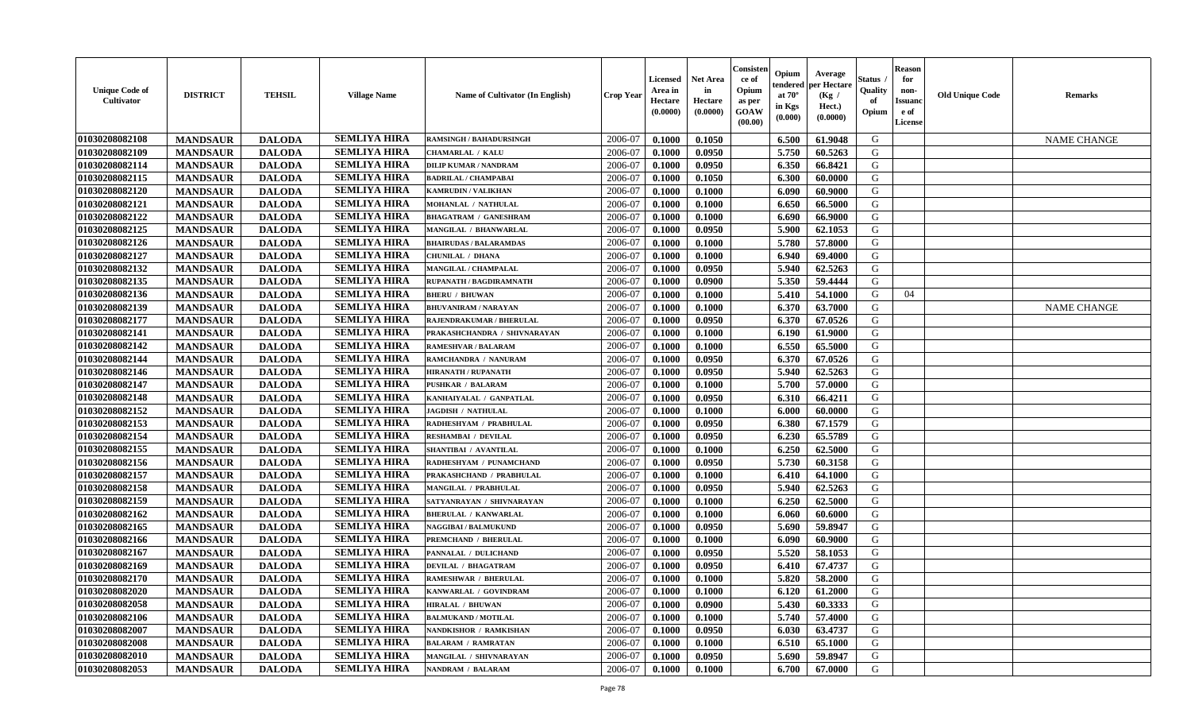| <b>Unique Code of</b><br>Cultivator | <b>DISTRICT</b> | <b>TEHSIL</b> | <b>Village Name</b> | Name of Cultivator (In English) | <b>Crop Year</b> | <b>Licensed</b><br>Area in<br>Hectare<br>(0.0000) | <b>Net Area</b><br>in<br>Hectare<br>(0.0000) | Consister<br>ce of<br>Opium<br>as per<br>GOAW<br>(00.00) | Opium<br>endered<br>at 70°<br>in Kgs<br>(0.000) | Average<br>er Hectare<br>(Kg /<br>Hect.)<br>(0.0000) | Status<br>Quality<br>of<br>Opium | <b>Reason</b><br>for<br>non-<br><b>Issuand</b><br>e of<br>License | <b>Old Unique Code</b> | <b>Remarks</b>     |
|-------------------------------------|-----------------|---------------|---------------------|---------------------------------|------------------|---------------------------------------------------|----------------------------------------------|----------------------------------------------------------|-------------------------------------------------|------------------------------------------------------|----------------------------------|-------------------------------------------------------------------|------------------------|--------------------|
| 01030208082108                      | <b>MANDSAUR</b> | <b>DALODA</b> | <b>SEMLIYA HIRA</b> | <b>RAMSINGH / BAHADURSINGH</b>  | 2006-07          | 0.1000                                            | 0.1050                                       |                                                          | 6.500                                           | 61.9048                                              | G                                |                                                                   |                        | <b>NAME CHANGE</b> |
| 01030208082109                      | <b>MANDSAUR</b> | <b>DALODA</b> | <b>SEMLIYA HIRA</b> | CHAMARLAL / KALU                | 2006-07          | 0.1000                                            | 0.0950                                       |                                                          | 5.750                                           | 60.5263                                              | G                                |                                                                   |                        |                    |
| 01030208082114                      | <b>MANDSAUR</b> | <b>DALODA</b> | <b>SEMLIYA HIRA</b> | <b>DILIP KUMAR / NANDRAM</b>    | 2006-07          | 0.1000                                            | 0.0950                                       |                                                          | 6.350                                           | 66.8421                                              | G                                |                                                                   |                        |                    |
| 01030208082115                      | <b>MANDSAUR</b> | <b>DALODA</b> | <b>SEMLIYA HIRA</b> | <b>BADRILAL / CHAMPABAI</b>     | 2006-07          | 0.1000                                            | 0.1050                                       |                                                          | 6.300                                           | 60.0000                                              | G                                |                                                                   |                        |                    |
| 01030208082120                      | <b>MANDSAUR</b> | <b>DALODA</b> | <b>SEMLIYA HIRA</b> | KAMRUDIN / VALIKHAN             | 2006-07          | 0.1000                                            | 0.1000                                       |                                                          | 6.090                                           | 60.9000                                              | G                                |                                                                   |                        |                    |
| 01030208082121                      | <b>MANDSAUR</b> | <b>DALODA</b> | <b>SEMLIYA HIRA</b> | MOHANLAL / NATHULAL             | 2006-07          | 0.1000                                            | 0.1000                                       |                                                          | 6.650                                           | 66.5000                                              | G                                |                                                                   |                        |                    |
| 01030208082122                      | <b>MANDSAUR</b> | <b>DALODA</b> | <b>SEMLIYA HIRA</b> | <b>BHAGATRAM / GANESHRAM</b>    | 2006-07          | 0.1000                                            | 0.1000                                       |                                                          | 6.690                                           | 66.9000                                              | G                                |                                                                   |                        |                    |
| 01030208082125                      | <b>MANDSAUR</b> | <b>DALODA</b> | <b>SEMLIYA HIRA</b> | MANGILAL / BHANWARLAL           | 2006-07          | 0.1000                                            | 0.0950                                       |                                                          | 5.900                                           | 62.1053                                              | G                                |                                                                   |                        |                    |
| 01030208082126                      | <b>MANDSAUR</b> | <b>DALODA</b> | <b>SEMLIYA HIRA</b> | <b>BHAIRUDAS / BALARAMDAS</b>   | 2006-07          | 0.1000                                            | 0.1000                                       |                                                          | 5.780                                           | 57.8000                                              | G                                |                                                                   |                        |                    |
| 01030208082127                      | <b>MANDSAUR</b> | <b>DALODA</b> | <b>SEMLIYA HIRA</b> | CHUNILAL / DHANA                | 2006-07          | 0.1000                                            | 0.1000                                       |                                                          | 6.940                                           | 69.4000                                              | G                                |                                                                   |                        |                    |
| 01030208082132                      | <b>MANDSAUR</b> | <b>DALODA</b> | <b>SEMLIYA HIRA</b> | MANGILAL / CHAMPALAL            | 2006-07          | 0.1000                                            | 0.0950                                       |                                                          | 5.940                                           | 62.5263                                              | G                                |                                                                   |                        |                    |
| 01030208082135                      | <b>MANDSAUR</b> | <b>DALODA</b> | <b>SEMLIYA HIRA</b> | RUPANATH / BAGDIRAMNATH         | 2006-07          | 0.1000                                            | 0.0900                                       |                                                          | 5.350                                           | 59.4444                                              | G                                |                                                                   |                        |                    |
| 01030208082136                      | <b>MANDSAUR</b> | <b>DALODA</b> | <b>SEMLIYA HIRA</b> | <b>BHERU / BHUWAN</b>           | 2006-07          | 0.1000                                            | 0.1000                                       |                                                          | 5.410                                           | 54.1000                                              | G                                | 04                                                                |                        |                    |
| 01030208082139                      | <b>MANDSAUR</b> | <b>DALODA</b> | <b>SEMLIYA HIRA</b> | <b>BHUVANIRAM / NARAYAN</b>     | 2006-07          | 0.1000                                            | 0.1000                                       |                                                          | 6.370                                           | 63.7000                                              | G                                |                                                                   |                        | <b>NAME CHANGE</b> |
| 01030208082177                      | <b>MANDSAUR</b> | <b>DALODA</b> | <b>SEMLIYA HIRA</b> | RAJENDRAKUMAR / BHERULAL        | 2006-07          | 0.1000                                            | 0.0950                                       |                                                          | 6.370                                           | 67.0526                                              | G                                |                                                                   |                        |                    |
| 01030208082141                      | <b>MANDSAUR</b> | <b>DALODA</b> | <b>SEMLIYA HIRA</b> | PRAKASHCHANDRA / SHIVNARAYAN    | 2006-07          | 0.1000                                            | 0.1000                                       |                                                          | 6.190                                           | 61.9000                                              | G                                |                                                                   |                        |                    |
| 01030208082142                      | <b>MANDSAUR</b> | <b>DALODA</b> | <b>SEMLIYA HIRA</b> | RAMESHVAR / BALARAM             | 2006-07          | 0.1000                                            | 0.1000                                       |                                                          | 6.550                                           | 65.5000                                              | G                                |                                                                   |                        |                    |
| 01030208082144                      | <b>MANDSAUR</b> | <b>DALODA</b> | <b>SEMLIYA HIRA</b> | RAMCHANDRA / NANURAM            | 2006-07          | 0.1000                                            | 0.0950                                       |                                                          | 6.370                                           | 67.0526                                              | G                                |                                                                   |                        |                    |
| 01030208082146                      | <b>MANDSAUR</b> | <b>DALODA</b> | <b>SEMLIYA HIRA</b> | <b>HIRANATH / RUPANATH</b>      | 2006-07          | 0.1000                                            | 0.0950                                       |                                                          | 5.940                                           | 62.5263                                              | G                                |                                                                   |                        |                    |
| 01030208082147                      | <b>MANDSAUR</b> | <b>DALODA</b> | <b>SEMLIYA HIRA</b> | <b>PUSHKAR / BALARAM</b>        | 2006-07          | 0.1000                                            | 0.1000                                       |                                                          | 5.700                                           | 57.0000                                              | G                                |                                                                   |                        |                    |
| 01030208082148                      | <b>MANDSAUR</b> | <b>DALODA</b> | <b>SEMLIYA HIRA</b> | KANHAIYALAL / GANPATLAL         | 2006-07          | 0.1000                                            | 0.0950                                       |                                                          | 6.310                                           | 66.4211                                              | G                                |                                                                   |                        |                    |
| 01030208082152                      | <b>MANDSAUR</b> | <b>DALODA</b> | <b>SEMLIYA HIRA</b> | JAGDISH / NATHULAL              | 2006-07          | 0.1000                                            | 0.1000                                       |                                                          | 6.000                                           | 60.0000                                              | G                                |                                                                   |                        |                    |
| 01030208082153                      | <b>MANDSAUR</b> | <b>DALODA</b> | <b>SEMLIYA HIRA</b> | RADHESHYAM / PRABHULAL          | 2006-07          | 0.1000                                            | 0.0950                                       |                                                          | 6.380                                           | 67.1579                                              | G                                |                                                                   |                        |                    |
| 01030208082154                      | <b>MANDSAUR</b> | <b>DALODA</b> | <b>SEMLIYA HIRA</b> | <b>RESHAMBAI / DEVILAL</b>      | 2006-07          | 0.1000                                            | 0.0950                                       |                                                          | 6.230                                           | 65.5789                                              | G                                |                                                                   |                        |                    |
| 01030208082155                      | <b>MANDSAUR</b> | <b>DALODA</b> | <b>SEMLIYA HIRA</b> | SHANTIBAI / AVANTILAL           | 2006-07          | 0.1000                                            | 0.1000                                       |                                                          | 6.250                                           | 62.5000                                              | G                                |                                                                   |                        |                    |
| 01030208082156                      | <b>MANDSAUR</b> | <b>DALODA</b> | <b>SEMLIYA HIRA</b> | RADHESHYAM / PUNAMCHAND         | 2006-07          | 0.1000                                            | 0.0950                                       |                                                          | 5.730                                           | 60.3158                                              | G                                |                                                                   |                        |                    |
| 01030208082157                      | <b>MANDSAUR</b> | <b>DALODA</b> | <b>SEMLIYA HIRA</b> | PRAKASHCHAND / PRABHULAL        | 2006-07          | 0.1000                                            | 0.1000                                       |                                                          | 6.410                                           | 64.1000                                              | G                                |                                                                   |                        |                    |
| 01030208082158                      | <b>MANDSAUR</b> | <b>DALODA</b> | <b>SEMLIYA HIRA</b> | MANGILAL / PRABHULAL            | 2006-07          | 0.1000                                            | 0.0950                                       |                                                          | 5.940                                           | 62.5263                                              | G                                |                                                                   |                        |                    |
| 01030208082159                      | <b>MANDSAUR</b> | <b>DALODA</b> | <b>SEMLIYA HIRA</b> | SATYANRAYAN / SHIVNARAYAN       | 2006-07          | 0.1000                                            | 0.1000                                       |                                                          | 6.250                                           | 62.5000                                              | G                                |                                                                   |                        |                    |
| 01030208082162                      | <b>MANDSAUR</b> | <b>DALODA</b> | <b>SEMLIYA HIRA</b> | <b>BHERULAL / KANWARLAI</b>     | 2006-07          | 0.1000                                            | 0.1000                                       |                                                          | 6.060                                           | 60.6000                                              | G                                |                                                                   |                        |                    |
| 01030208082165                      | <b>MANDSAUR</b> | <b>DALODA</b> | <b>SEMLIYA HIRA</b> | <b>NAGGIBAI/BALMUKUND</b>       | 2006-07          | 0.1000                                            | 0.0950                                       |                                                          | 5.690                                           | 59.8947                                              | G                                |                                                                   |                        |                    |
| 01030208082166                      | <b>MANDSAUR</b> | <b>DALODA</b> | <b>SEMLIYA HIRA</b> | <b>PREMCHAND / BHERULAL</b>     | 2006-07          | 0.1000                                            | 0.1000                                       |                                                          | 6.090                                           | 60.9000                                              | G                                |                                                                   |                        |                    |
| 01030208082167                      | <b>MANDSAUR</b> | <b>DALODA</b> | <b>SEMLIYA HIRA</b> | PANNALAL / DULICHAND            | 2006-07          | 0.1000                                            | 0.0950                                       |                                                          | 5.520                                           | 58.1053                                              | G                                |                                                                   |                        |                    |
| 01030208082169                      | <b>MANDSAUR</b> | <b>DALODA</b> | <b>SEMLIYA HIRA</b> | <b>DEVILAL / BHAGATRAM</b>      | 2006-07          | 0.1000                                            | 0.0950                                       |                                                          | 6.410                                           | 67.4737                                              | G                                |                                                                   |                        |                    |
| 01030208082170                      | <b>MANDSAUR</b> | <b>DALODA</b> | <b>SEMLIYA HIRA</b> | RAMESHWAR / BHERULAL            | 2006-07          | 0.1000                                            | 0.1000                                       |                                                          | 5.820                                           | 58.2000                                              | G                                |                                                                   |                        |                    |
| 01030208082020                      | <b>MANDSAUR</b> | <b>DALODA</b> | <b>SEMLIYA HIRA</b> | KANWARLAL / GOVINDRAM           | 2006-07          | 0.1000                                            | 0.1000                                       |                                                          | 6.120                                           | 61.2000                                              | G                                |                                                                   |                        |                    |
| 01030208082058                      | <b>MANDSAUR</b> | <b>DALODA</b> | <b>SEMLIYA HIRA</b> | <b>HIRALAL / BHUWAN</b>         | 2006-07          | 0.1000                                            | 0.0900                                       |                                                          | 5.430                                           | 60.3333                                              | G                                |                                                                   |                        |                    |
| 01030208082106                      | <b>MANDSAUR</b> | <b>DALODA</b> | <b>SEMLIYA HIRA</b> | <b>BALMUKAND / MOTILAL</b>      | 2006-07          | 0.1000                                            | 0.1000                                       |                                                          | 5.740                                           | 57.4000                                              | G                                |                                                                   |                        |                    |
| 01030208082007                      | <b>MANDSAUR</b> | <b>DALODA</b> | <b>SEMLIYA HIRA</b> | NANDKISHOR / RAMKISHAN          | 2006-07          | 0.1000                                            | 0.0950                                       |                                                          | 6.030                                           | 63.4737                                              | G                                |                                                                   |                        |                    |
| 01030208082008                      | <b>MANDSAUR</b> | <b>DALODA</b> | <b>SEMLIYA HIRA</b> | <b>BALARAM / RAMRATAN</b>       | 2006-07          | 0.1000                                            | 0.1000                                       |                                                          | 6.510                                           | 65.1000                                              | ${\bf G}$                        |                                                                   |                        |                    |
| 01030208082010                      | <b>MANDSAUR</b> | <b>DALODA</b> | <b>SEMLIYA HIRA</b> | MANGILAL / SHIVNARAYAN          | 2006-07          | 0.1000                                            | 0.0950                                       |                                                          | 5.690                                           | 59.8947                                              | G                                |                                                                   |                        |                    |
| 01030208082053                      | <b>MANDSAUR</b> | <b>DALODA</b> | <b>SEMLIYA HIRA</b> | NANDRAM / BALARAM               | 2006-07          | 0.1000                                            | 0.1000                                       |                                                          | 6.700                                           | 67.0000                                              | G                                |                                                                   |                        |                    |
|                                     |                 |               |                     |                                 |                  |                                                   |                                              |                                                          |                                                 |                                                      |                                  |                                                                   |                        |                    |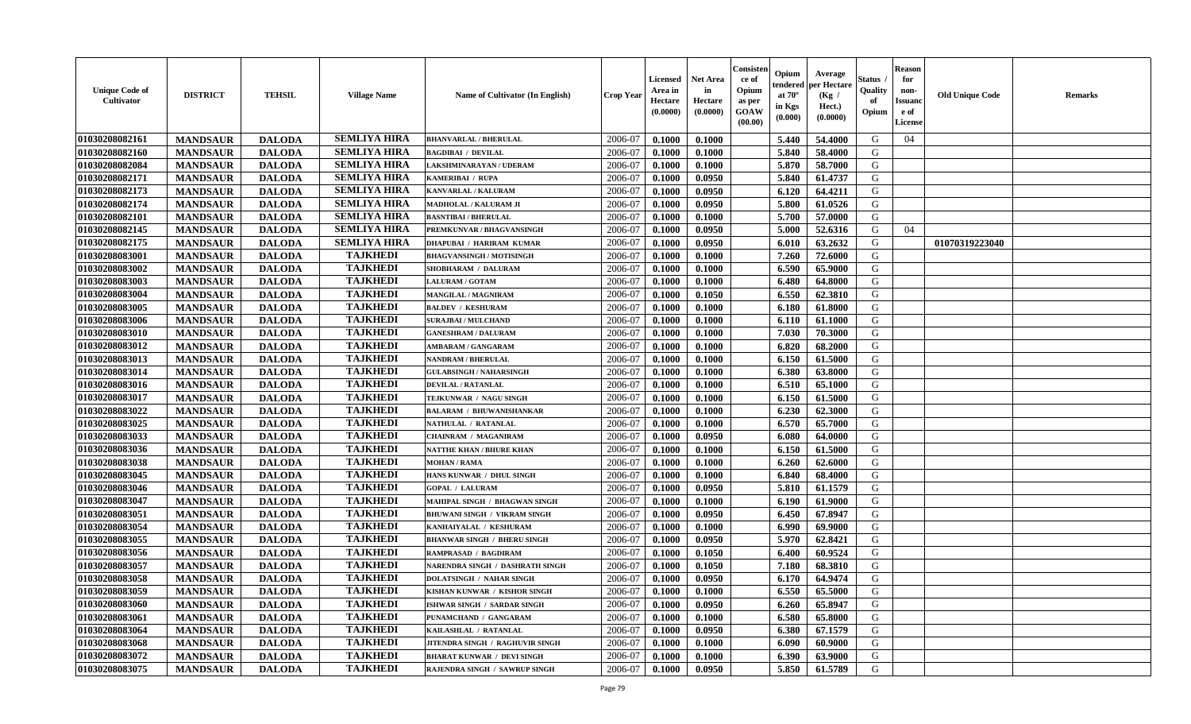| 01030208082161<br>2006-07<br>5.440<br>54.4000<br>G<br>04<br><b>MANDSAUR</b><br><b>DALODA</b><br>0.1000<br>0.1000<br><b>BHANVARLAL / BHERULAL</b><br>01030208082160<br><b>SEMLIYA HIRA</b><br>2006-07<br>G<br><b>MANDSAUR</b><br><b>DALODA</b><br>5.840<br>58.4000<br><b>BAGDIBAI / DEVILAL</b><br>0.1000<br>0.1000<br><b>SEMLIYA HIRA</b><br>01030208082084<br><b>MANDSAUR</b><br><b>DALODA</b><br>2006-07<br>0.1000<br>5.870<br>58.7000<br>LAKSHMINARAYAN / UDERAM<br>0.1000<br>G<br><b>SEMLIYA HIRA</b><br>01030208082171<br><b>MANDSAUR</b><br><b>DALODA</b><br>2006-07<br>0.0950<br>5.840<br>61.4737<br>G<br>KAMERIBAI / RUPA<br>0.1000<br>01030208082173<br><b>MANDSAUR</b><br><b>SEMLIYA HIRA</b><br><b>DALODA</b><br>2006-07<br>0.0950<br>6.120<br>64.4211<br>G<br>KANVARLAL / KALURAM<br>0.1000<br><b>SEMLIYA HIRA</b><br>01030208082174<br><b>MANDSAUR</b><br><b>DALODA</b><br>0.0950<br>5.800<br>61.0526<br>G<br>2006-07<br>0.1000<br>MADHOLAL / KALURAM JI<br><b>SEMLIYA HIRA</b><br>01030208082101<br><b>MANDSAUR</b><br><b>DALODA</b><br>5.700<br>57.0000<br>G<br>2006-07<br>0.1000<br><b>BASNTIBAI / BHERULAL</b><br>0.1000<br><b>SEMLIYA HIRA</b><br>01030208082145<br><b>MANDSAUR</b><br><b>DALODA</b><br>2006-07<br>5.000<br>52.6316<br>G<br>PREMKUNVAR / BHAGVANSINGH<br>0.1000<br>0.0950<br>04<br><b>SEMLIYA HIRA</b><br>01030208082175<br><b>MANDSAUR</b><br><b>DALODA</b><br>2006-07<br>0.1000<br>0.0950<br>63.2632<br>G<br>01070319223040<br><b>DHAPUBAI / HARIRAM KUMAR</b><br>6.010<br><b>TAJKHEDI</b><br>01030208083001<br>G<br><b>MANDSAUR</b><br><b>DALODA</b><br>2006-07<br>0.1000<br>7.260<br>72.6000<br><b>BHAGVANSINGH / MOTISINGH</b><br>0.1000<br><b>TAJKHEDI</b><br>01030208083002<br>G<br><b>MANDSAUR</b><br><b>DALODA</b><br>2006-07<br>0.1000<br>6.590<br>65.9000<br>SHOBHARAM / DALURAM<br>0.1000<br><b>TAJKHEDI</b><br>01030208083003<br><b>MANDSAUR</b><br><b>DALODA</b><br><b>LALURAM / GOTAM</b><br>2006-07<br>0.1000<br>0.1000<br>6.480<br>64.8000<br>G<br><b>TAJKHEDI</b><br>01030208083004<br><b>MANDSAUR</b><br><b>DALODA</b><br>6.550<br><b>MANGILAL / MAGNIRAM</b><br>2006-07<br>0.1000<br>0.1050<br>62.3810<br>G<br><b>TAJKHEDI</b><br>01030208083005<br><b>MANDSAUR</b><br><b>DALODA</b><br>6.180<br>G<br><b>BALDEV / KESHURAM</b><br>2006-07<br>0.1000<br>0.1000<br>61.8000<br><b>TAJKHEDI</b><br>$\mathbf G$<br>01030208083006<br><b>MANDSAUR</b><br><b>DALODA</b><br>0.1000<br>6.110<br>2006-07<br>0.1000<br>61.1000<br><b>SURAJBAI / MULCHAND</b><br><b>TAJKHEDI</b><br>7.030<br><b>DALODA</b><br>G<br>01030208083010<br><b>MANDSAUR</b><br>2006-07<br>0.1000<br>0.1000<br>70.3000<br><b>GANESHRAM / DALURAM</b> | <b>Reason</b><br>for<br>non-<br><b>Old Unique Code</b><br>Remarks<br><b>Issuand</b><br>e of<br>License | Status<br>Quality<br>of<br>Opium | Average<br>per Hectare<br>(Kg /<br>Hect.)<br>(0.0000) | Opium<br>endered<br>at $70^\circ$<br>in Kgs<br>(0.000) | Consisteı<br>ce of<br>Opium<br>as per<br>GOAW<br>(00.00) | Net Area<br>in<br>Hectare<br>(0.0000) | Licensed<br>Area in<br>Hectare<br>(0.0000) | <b>Crop Year</b> | <b>Name of Cultivator (In English)</b> | <b>Village Name</b> | <b>TEHSIL</b> | <b>DISTRICT</b> | <b>Unique Code of</b><br><b>Cultivator</b> |
|------------------------------------------------------------------------------------------------------------------------------------------------------------------------------------------------------------------------------------------------------------------------------------------------------------------------------------------------------------------------------------------------------------------------------------------------------------------------------------------------------------------------------------------------------------------------------------------------------------------------------------------------------------------------------------------------------------------------------------------------------------------------------------------------------------------------------------------------------------------------------------------------------------------------------------------------------------------------------------------------------------------------------------------------------------------------------------------------------------------------------------------------------------------------------------------------------------------------------------------------------------------------------------------------------------------------------------------------------------------------------------------------------------------------------------------------------------------------------------------------------------------------------------------------------------------------------------------------------------------------------------------------------------------------------------------------------------------------------------------------------------------------------------------------------------------------------------------------------------------------------------------------------------------------------------------------------------------------------------------------------------------------------------------------------------------------------------------------------------------------------------------------------------------------------------------------------------------------------------------------------------------------------------------------------------------------------------------------------------------------------------------------------------------------------------------------------------------------------------------------------------------------------------------------------------------------------------------------------------------------------------------------------------------------|--------------------------------------------------------------------------------------------------------|----------------------------------|-------------------------------------------------------|--------------------------------------------------------|----------------------------------------------------------|---------------------------------------|--------------------------------------------|------------------|----------------------------------------|---------------------|---------------|-----------------|--------------------------------------------|
|                                                                                                                                                                                                                                                                                                                                                                                                                                                                                                                                                                                                                                                                                                                                                                                                                                                                                                                                                                                                                                                                                                                                                                                                                                                                                                                                                                                                                                                                                                                                                                                                                                                                                                                                                                                                                                                                                                                                                                                                                                                                                                                                                                                                                                                                                                                                                                                                                                                                                                                                                                                                                                                                        |                                                                                                        |                                  |                                                       |                                                        |                                                          |                                       |                                            |                  |                                        | <b>SEMLIYA HIRA</b> |               |                 |                                            |
|                                                                                                                                                                                                                                                                                                                                                                                                                                                                                                                                                                                                                                                                                                                                                                                                                                                                                                                                                                                                                                                                                                                                                                                                                                                                                                                                                                                                                                                                                                                                                                                                                                                                                                                                                                                                                                                                                                                                                                                                                                                                                                                                                                                                                                                                                                                                                                                                                                                                                                                                                                                                                                                                        |                                                                                                        |                                  |                                                       |                                                        |                                                          |                                       |                                            |                  |                                        |                     |               |                 |                                            |
|                                                                                                                                                                                                                                                                                                                                                                                                                                                                                                                                                                                                                                                                                                                                                                                                                                                                                                                                                                                                                                                                                                                                                                                                                                                                                                                                                                                                                                                                                                                                                                                                                                                                                                                                                                                                                                                                                                                                                                                                                                                                                                                                                                                                                                                                                                                                                                                                                                                                                                                                                                                                                                                                        |                                                                                                        |                                  |                                                       |                                                        |                                                          |                                       |                                            |                  |                                        |                     |               |                 |                                            |
|                                                                                                                                                                                                                                                                                                                                                                                                                                                                                                                                                                                                                                                                                                                                                                                                                                                                                                                                                                                                                                                                                                                                                                                                                                                                                                                                                                                                                                                                                                                                                                                                                                                                                                                                                                                                                                                                                                                                                                                                                                                                                                                                                                                                                                                                                                                                                                                                                                                                                                                                                                                                                                                                        |                                                                                                        |                                  |                                                       |                                                        |                                                          |                                       |                                            |                  |                                        |                     |               |                 |                                            |
|                                                                                                                                                                                                                                                                                                                                                                                                                                                                                                                                                                                                                                                                                                                                                                                                                                                                                                                                                                                                                                                                                                                                                                                                                                                                                                                                                                                                                                                                                                                                                                                                                                                                                                                                                                                                                                                                                                                                                                                                                                                                                                                                                                                                                                                                                                                                                                                                                                                                                                                                                                                                                                                                        |                                                                                                        |                                  |                                                       |                                                        |                                                          |                                       |                                            |                  |                                        |                     |               |                 |                                            |
|                                                                                                                                                                                                                                                                                                                                                                                                                                                                                                                                                                                                                                                                                                                                                                                                                                                                                                                                                                                                                                                                                                                                                                                                                                                                                                                                                                                                                                                                                                                                                                                                                                                                                                                                                                                                                                                                                                                                                                                                                                                                                                                                                                                                                                                                                                                                                                                                                                                                                                                                                                                                                                                                        |                                                                                                        |                                  |                                                       |                                                        |                                                          |                                       |                                            |                  |                                        |                     |               |                 |                                            |
|                                                                                                                                                                                                                                                                                                                                                                                                                                                                                                                                                                                                                                                                                                                                                                                                                                                                                                                                                                                                                                                                                                                                                                                                                                                                                                                                                                                                                                                                                                                                                                                                                                                                                                                                                                                                                                                                                                                                                                                                                                                                                                                                                                                                                                                                                                                                                                                                                                                                                                                                                                                                                                                                        |                                                                                                        |                                  |                                                       |                                                        |                                                          |                                       |                                            |                  |                                        |                     |               |                 |                                            |
|                                                                                                                                                                                                                                                                                                                                                                                                                                                                                                                                                                                                                                                                                                                                                                                                                                                                                                                                                                                                                                                                                                                                                                                                                                                                                                                                                                                                                                                                                                                                                                                                                                                                                                                                                                                                                                                                                                                                                                                                                                                                                                                                                                                                                                                                                                                                                                                                                                                                                                                                                                                                                                                                        |                                                                                                        |                                  |                                                       |                                                        |                                                          |                                       |                                            |                  |                                        |                     |               |                 |                                            |
|                                                                                                                                                                                                                                                                                                                                                                                                                                                                                                                                                                                                                                                                                                                                                                                                                                                                                                                                                                                                                                                                                                                                                                                                                                                                                                                                                                                                                                                                                                                                                                                                                                                                                                                                                                                                                                                                                                                                                                                                                                                                                                                                                                                                                                                                                                                                                                                                                                                                                                                                                                                                                                                                        |                                                                                                        |                                  |                                                       |                                                        |                                                          |                                       |                                            |                  |                                        |                     |               |                 |                                            |
|                                                                                                                                                                                                                                                                                                                                                                                                                                                                                                                                                                                                                                                                                                                                                                                                                                                                                                                                                                                                                                                                                                                                                                                                                                                                                                                                                                                                                                                                                                                                                                                                                                                                                                                                                                                                                                                                                                                                                                                                                                                                                                                                                                                                                                                                                                                                                                                                                                                                                                                                                                                                                                                                        |                                                                                                        |                                  |                                                       |                                                        |                                                          |                                       |                                            |                  |                                        |                     |               |                 |                                            |
|                                                                                                                                                                                                                                                                                                                                                                                                                                                                                                                                                                                                                                                                                                                                                                                                                                                                                                                                                                                                                                                                                                                                                                                                                                                                                                                                                                                                                                                                                                                                                                                                                                                                                                                                                                                                                                                                                                                                                                                                                                                                                                                                                                                                                                                                                                                                                                                                                                                                                                                                                                                                                                                                        |                                                                                                        |                                  |                                                       |                                                        |                                                          |                                       |                                            |                  |                                        |                     |               |                 |                                            |
|                                                                                                                                                                                                                                                                                                                                                                                                                                                                                                                                                                                                                                                                                                                                                                                                                                                                                                                                                                                                                                                                                                                                                                                                                                                                                                                                                                                                                                                                                                                                                                                                                                                                                                                                                                                                                                                                                                                                                                                                                                                                                                                                                                                                                                                                                                                                                                                                                                                                                                                                                                                                                                                                        |                                                                                                        |                                  |                                                       |                                                        |                                                          |                                       |                                            |                  |                                        |                     |               |                 |                                            |
|                                                                                                                                                                                                                                                                                                                                                                                                                                                                                                                                                                                                                                                                                                                                                                                                                                                                                                                                                                                                                                                                                                                                                                                                                                                                                                                                                                                                                                                                                                                                                                                                                                                                                                                                                                                                                                                                                                                                                                                                                                                                                                                                                                                                                                                                                                                                                                                                                                                                                                                                                                                                                                                                        |                                                                                                        |                                  |                                                       |                                                        |                                                          |                                       |                                            |                  |                                        |                     |               |                 |                                            |
|                                                                                                                                                                                                                                                                                                                                                                                                                                                                                                                                                                                                                                                                                                                                                                                                                                                                                                                                                                                                                                                                                                                                                                                                                                                                                                                                                                                                                                                                                                                                                                                                                                                                                                                                                                                                                                                                                                                                                                                                                                                                                                                                                                                                                                                                                                                                                                                                                                                                                                                                                                                                                                                                        |                                                                                                        |                                  |                                                       |                                                        |                                                          |                                       |                                            |                  |                                        |                     |               |                 |                                            |
|                                                                                                                                                                                                                                                                                                                                                                                                                                                                                                                                                                                                                                                                                                                                                                                                                                                                                                                                                                                                                                                                                                                                                                                                                                                                                                                                                                                                                                                                                                                                                                                                                                                                                                                                                                                                                                                                                                                                                                                                                                                                                                                                                                                                                                                                                                                                                                                                                                                                                                                                                                                                                                                                        |                                                                                                        |                                  |                                                       |                                                        |                                                          |                                       |                                            |                  |                                        |                     |               |                 |                                            |
|                                                                                                                                                                                                                                                                                                                                                                                                                                                                                                                                                                                                                                                                                                                                                                                                                                                                                                                                                                                                                                                                                                                                                                                                                                                                                                                                                                                                                                                                                                                                                                                                                                                                                                                                                                                                                                                                                                                                                                                                                                                                                                                                                                                                                                                                                                                                                                                                                                                                                                                                                                                                                                                                        |                                                                                                        |                                  |                                                       |                                                        |                                                          |                                       |                                            |                  |                                        |                     |               |                 |                                            |
| <b>TAJKHEDI</b><br>01030208083012<br><b>DALODA</b><br>2006-07<br>G<br><b>MANDSAUR</b><br>0.1000<br>0.1000<br>6.820<br>68.2000<br>AMBARAM / GANGARAM                                                                                                                                                                                                                                                                                                                                                                                                                                                                                                                                                                                                                                                                                                                                                                                                                                                                                                                                                                                                                                                                                                                                                                                                                                                                                                                                                                                                                                                                                                                                                                                                                                                                                                                                                                                                                                                                                                                                                                                                                                                                                                                                                                                                                                                                                                                                                                                                                                                                                                                    |                                                                                                        |                                  |                                                       |                                                        |                                                          |                                       |                                            |                  |                                        |                     |               |                 |                                            |
| 01030208083013<br><b>TAJKHEDI</b><br><b>MANDSAUR</b><br><b>DALODA</b><br>2006-07<br>61.5000<br>G<br>0.1000<br>6.150<br><b>NANDRAM / BHERULAL</b><br>0.1000                                                                                                                                                                                                                                                                                                                                                                                                                                                                                                                                                                                                                                                                                                                                                                                                                                                                                                                                                                                                                                                                                                                                                                                                                                                                                                                                                                                                                                                                                                                                                                                                                                                                                                                                                                                                                                                                                                                                                                                                                                                                                                                                                                                                                                                                                                                                                                                                                                                                                                             |                                                                                                        |                                  |                                                       |                                                        |                                                          |                                       |                                            |                  |                                        |                     |               |                 |                                            |
| <b>TAJKHEDI</b><br>01030208083014<br>6.380<br><b>MANDSAUR</b><br><b>DALODA</b><br>2006-07<br>0.1000<br>0.1000<br>63.8000<br>G<br><b>GULABSINGH / NAHARSINGH</b>                                                                                                                                                                                                                                                                                                                                                                                                                                                                                                                                                                                                                                                                                                                                                                                                                                                                                                                                                                                                                                                                                                                                                                                                                                                                                                                                                                                                                                                                                                                                                                                                                                                                                                                                                                                                                                                                                                                                                                                                                                                                                                                                                                                                                                                                                                                                                                                                                                                                                                        |                                                                                                        |                                  |                                                       |                                                        |                                                          |                                       |                                            |                  |                                        |                     |               |                 |                                            |
| <b>TAJKHEDI</b><br><b>MANDSAUR</b><br>01030208083016<br><b>DALODA</b><br><b>DEVILAL / RATANLAL</b><br>2006-07<br>0.1000<br>0.1000<br>6.510<br>65.1000<br>G                                                                                                                                                                                                                                                                                                                                                                                                                                                                                                                                                                                                                                                                                                                                                                                                                                                                                                                                                                                                                                                                                                                                                                                                                                                                                                                                                                                                                                                                                                                                                                                                                                                                                                                                                                                                                                                                                                                                                                                                                                                                                                                                                                                                                                                                                                                                                                                                                                                                                                             |                                                                                                        |                                  |                                                       |                                                        |                                                          |                                       |                                            |                  |                                        |                     |               |                 |                                            |
| <b>TAJKHEDI</b><br>01030208083017<br><b>MANDSAUR</b><br><b>DALODA</b><br>2006-07<br>0.1000<br>6.150<br>61.5000<br>G<br>TEJKUNWAR / NAGU SINGH<br>0.1000                                                                                                                                                                                                                                                                                                                                                                                                                                                                                                                                                                                                                                                                                                                                                                                                                                                                                                                                                                                                                                                                                                                                                                                                                                                                                                                                                                                                                                                                                                                                                                                                                                                                                                                                                                                                                                                                                                                                                                                                                                                                                                                                                                                                                                                                                                                                                                                                                                                                                                                |                                                                                                        |                                  |                                                       |                                                        |                                                          |                                       |                                            |                  |                                        |                     |               |                 |                                            |
| <b>TAJKHEDI</b><br>01030208083022<br><b>MANDSAUR</b><br><b>DALODA</b><br>2006-07<br>0.1000<br>0.1000<br>6.230<br>62.3000<br>G<br><b>BALARAM / BHUWANISHANKAR</b>                                                                                                                                                                                                                                                                                                                                                                                                                                                                                                                                                                                                                                                                                                                                                                                                                                                                                                                                                                                                                                                                                                                                                                                                                                                                                                                                                                                                                                                                                                                                                                                                                                                                                                                                                                                                                                                                                                                                                                                                                                                                                                                                                                                                                                                                                                                                                                                                                                                                                                       |                                                                                                        |                                  |                                                       |                                                        |                                                          |                                       |                                            |                  |                                        |                     |               |                 |                                            |
| <b>TAJKHEDI</b><br>01030208083025<br><b>MANDSAUR</b><br>6.570<br>G<br><b>DALODA</b><br>2006-07<br>65.7000<br>NATHULAL / RATANLAL<br>0.1000<br>0.1000                                                                                                                                                                                                                                                                                                                                                                                                                                                                                                                                                                                                                                                                                                                                                                                                                                                                                                                                                                                                                                                                                                                                                                                                                                                                                                                                                                                                                                                                                                                                                                                                                                                                                                                                                                                                                                                                                                                                                                                                                                                                                                                                                                                                                                                                                                                                                                                                                                                                                                                   |                                                                                                        |                                  |                                                       |                                                        |                                                          |                                       |                                            |                  |                                        |                     |               |                 |                                            |
| <b>TAJKHEDI</b><br>G<br>01030208083033<br>2006-07<br><b>MANDSAUR</b><br><b>DALODA</b><br>0.1000<br>0.0950<br>6.080<br>64.0000<br><b>CHAINRAM / MAGANIRAM</b>                                                                                                                                                                                                                                                                                                                                                                                                                                                                                                                                                                                                                                                                                                                                                                                                                                                                                                                                                                                                                                                                                                                                                                                                                                                                                                                                                                                                                                                                                                                                                                                                                                                                                                                                                                                                                                                                                                                                                                                                                                                                                                                                                                                                                                                                                                                                                                                                                                                                                                           |                                                                                                        |                                  |                                                       |                                                        |                                                          |                                       |                                            |                  |                                        |                     |               |                 |                                            |
| <b>TAJKHEDI</b><br>01030208083036<br><b>MANDSAUR</b><br><b>DALODA</b><br>2006-07<br>G<br>NATTHE KHAN / BHURE KHAN<br>0.1000<br>0.1000<br>6.150<br>61.5000                                                                                                                                                                                                                                                                                                                                                                                                                                                                                                                                                                                                                                                                                                                                                                                                                                                                                                                                                                                                                                                                                                                                                                                                                                                                                                                                                                                                                                                                                                                                                                                                                                                                                                                                                                                                                                                                                                                                                                                                                                                                                                                                                                                                                                                                                                                                                                                                                                                                                                              |                                                                                                        |                                  |                                                       |                                                        |                                                          |                                       |                                            |                  |                                        |                     |               |                 |                                            |
| <b>TAJKHEDI</b><br>01030208083038<br><b>MANDSAUR</b><br><b>DALODA</b><br>2006-07<br>0.1000<br>G<br>0.1000<br>6.260<br>62.6000<br><b>MOHAN / RAMA</b>                                                                                                                                                                                                                                                                                                                                                                                                                                                                                                                                                                                                                                                                                                                                                                                                                                                                                                                                                                                                                                                                                                                                                                                                                                                                                                                                                                                                                                                                                                                                                                                                                                                                                                                                                                                                                                                                                                                                                                                                                                                                                                                                                                                                                                                                                                                                                                                                                                                                                                                   |                                                                                                        |                                  |                                                       |                                                        |                                                          |                                       |                                            |                  |                                        |                     |               |                 |                                            |
| <b>TAJKHEDI</b><br>01030208083045<br><b>MANDSAUR</b><br><b>DALODA</b><br>2006-07<br>6.840<br>68.4000<br>G<br>HANS KUNWAR / DHUL SINGH<br>0.1000<br>0.1000                                                                                                                                                                                                                                                                                                                                                                                                                                                                                                                                                                                                                                                                                                                                                                                                                                                                                                                                                                                                                                                                                                                                                                                                                                                                                                                                                                                                                                                                                                                                                                                                                                                                                                                                                                                                                                                                                                                                                                                                                                                                                                                                                                                                                                                                                                                                                                                                                                                                                                              |                                                                                                        |                                  |                                                       |                                                        |                                                          |                                       |                                            |                  |                                        |                     |               |                 |                                            |
| <b>TAJKHEDI</b><br>01030208083046<br><b>MANDSAUR</b><br><b>DALODA</b><br>2006-07<br>0.0950<br>5.810<br><b>GOPAL / LALURAM</b><br>0.1000<br>61.1579<br>G                                                                                                                                                                                                                                                                                                                                                                                                                                                                                                                                                                                                                                                                                                                                                                                                                                                                                                                                                                                                                                                                                                                                                                                                                                                                                                                                                                                                                                                                                                                                                                                                                                                                                                                                                                                                                                                                                                                                                                                                                                                                                                                                                                                                                                                                                                                                                                                                                                                                                                                |                                                                                                        |                                  |                                                       |                                                        |                                                          |                                       |                                            |                  |                                        |                     |               |                 |                                            |
| <b>TAJKHEDI</b><br>01030208083047<br><b>MANDSAUR</b><br><b>DALODA</b><br>2006-07<br>0.1000<br>0.1000<br>6.190<br>61.9000<br>G<br>MAHIPAL SINGH / BHAGWAN SINGH                                                                                                                                                                                                                                                                                                                                                                                                                                                                                                                                                                                                                                                                                                                                                                                                                                                                                                                                                                                                                                                                                                                                                                                                                                                                                                                                                                                                                                                                                                                                                                                                                                                                                                                                                                                                                                                                                                                                                                                                                                                                                                                                                                                                                                                                                                                                                                                                                                                                                                         |                                                                                                        |                                  |                                                       |                                                        |                                                          |                                       |                                            |                  |                                        |                     |               |                 |                                            |
| <b>TAJKHEDI</b><br>01030208083051<br><b>MANDSAUR</b><br><b>DALODA</b><br><b>BHUWANI SINGH / VIKRAM SINGH</b><br>2006-07<br>0.1000<br>0.0950<br>6.450<br>67.8947<br>G                                                                                                                                                                                                                                                                                                                                                                                                                                                                                                                                                                                                                                                                                                                                                                                                                                                                                                                                                                                                                                                                                                                                                                                                                                                                                                                                                                                                                                                                                                                                                                                                                                                                                                                                                                                                                                                                                                                                                                                                                                                                                                                                                                                                                                                                                                                                                                                                                                                                                                   |                                                                                                        |                                  |                                                       |                                                        |                                                          |                                       |                                            |                  |                                        |                     |               |                 |                                            |
| <b>TAJKHEDI</b><br>01030208083054<br><b>MANDSAUR</b><br><b>DALODA</b><br>6.990<br>69.9000<br>G<br>KANHAIYALAL / KESHURAM<br>2006-07<br>0.1000<br>0.1000                                                                                                                                                                                                                                                                                                                                                                                                                                                                                                                                                                                                                                                                                                                                                                                                                                                                                                                                                                                                                                                                                                                                                                                                                                                                                                                                                                                                                                                                                                                                                                                                                                                                                                                                                                                                                                                                                                                                                                                                                                                                                                                                                                                                                                                                                                                                                                                                                                                                                                                |                                                                                                        |                                  |                                                       |                                                        |                                                          |                                       |                                            |                  |                                        |                     |               |                 |                                            |
| <b>TAJKHEDI</b><br>01030208083055<br>G<br><b>MANDSAUR</b><br><b>DALODA</b><br>2006-07<br>5.970<br>62.8421<br><b>BHANWAR SINGH / BHERU SINGH</b><br>0.1000<br>0.0950                                                                                                                                                                                                                                                                                                                                                                                                                                                                                                                                                                                                                                                                                                                                                                                                                                                                                                                                                                                                                                                                                                                                                                                                                                                                                                                                                                                                                                                                                                                                                                                                                                                                                                                                                                                                                                                                                                                                                                                                                                                                                                                                                                                                                                                                                                                                                                                                                                                                                                    |                                                                                                        |                                  |                                                       |                                                        |                                                          |                                       |                                            |                  |                                        |                     |               |                 |                                            |
| <b>TAJKHEDI</b><br>G<br>01030208083056<br><b>MANDSAUR</b><br><b>DALODA</b><br>2006-07<br>60.9524<br>RAMPRASAD / BAGDIRAM<br>0.1000<br>0.1050<br>6.400                                                                                                                                                                                                                                                                                                                                                                                                                                                                                                                                                                                                                                                                                                                                                                                                                                                                                                                                                                                                                                                                                                                                                                                                                                                                                                                                                                                                                                                                                                                                                                                                                                                                                                                                                                                                                                                                                                                                                                                                                                                                                                                                                                                                                                                                                                                                                                                                                                                                                                                  |                                                                                                        |                                  |                                                       |                                                        |                                                          |                                       |                                            |                  |                                        |                     |               |                 |                                            |
| <b>TAJKHEDI</b><br>01030208083057<br><b>MANDSAUR</b><br><b>DALODA</b><br>2006-07<br>0.1000<br>0.1050<br>7.180<br>68.3810<br>G<br>NARENDRA SINGH / DASHRATH SINGH                                                                                                                                                                                                                                                                                                                                                                                                                                                                                                                                                                                                                                                                                                                                                                                                                                                                                                                                                                                                                                                                                                                                                                                                                                                                                                                                                                                                                                                                                                                                                                                                                                                                                                                                                                                                                                                                                                                                                                                                                                                                                                                                                                                                                                                                                                                                                                                                                                                                                                       |                                                                                                        |                                  |                                                       |                                                        |                                                          |                                       |                                            |                  |                                        |                     |               |                 |                                            |
| <b>TAJKHEDI</b><br>01030208083058<br><b>MANDSAUR</b><br><b>DALODA</b><br>2006-07<br>0.0950<br>6.170<br>64.9474<br>G<br><b>DOLATSINGH / NAHAR SINGH</b><br>0.1000                                                                                                                                                                                                                                                                                                                                                                                                                                                                                                                                                                                                                                                                                                                                                                                                                                                                                                                                                                                                                                                                                                                                                                                                                                                                                                                                                                                                                                                                                                                                                                                                                                                                                                                                                                                                                                                                                                                                                                                                                                                                                                                                                                                                                                                                                                                                                                                                                                                                                                       |                                                                                                        |                                  |                                                       |                                                        |                                                          |                                       |                                            |                  |                                        |                     |               |                 |                                            |
| <b>TAJKHEDI</b><br>01030208083059<br><b>MANDSAUR</b><br><b>DALODA</b><br>2006-07<br>0.1000<br>6.550<br>65.5000<br>G<br>KISHAN KUNWAR / KISHOR SINGH<br>0.1000                                                                                                                                                                                                                                                                                                                                                                                                                                                                                                                                                                                                                                                                                                                                                                                                                                                                                                                                                                                                                                                                                                                                                                                                                                                                                                                                                                                                                                                                                                                                                                                                                                                                                                                                                                                                                                                                                                                                                                                                                                                                                                                                                                                                                                                                                                                                                                                                                                                                                                          |                                                                                                        |                                  |                                                       |                                                        |                                                          |                                       |                                            |                  |                                        |                     |               |                 |                                            |
| <b>TAJKHEDI</b><br>01030208083060<br><b>MANDSAUR</b><br><b>DALODA</b><br>ISHWAR SINGH / SARDAR SINGH<br>2006-07<br>0.1000<br>0.0950<br>6.260<br>65.8947<br>G                                                                                                                                                                                                                                                                                                                                                                                                                                                                                                                                                                                                                                                                                                                                                                                                                                                                                                                                                                                                                                                                                                                                                                                                                                                                                                                                                                                                                                                                                                                                                                                                                                                                                                                                                                                                                                                                                                                                                                                                                                                                                                                                                                                                                                                                                                                                                                                                                                                                                                           |                                                                                                        |                                  |                                                       |                                                        |                                                          |                                       |                                            |                  |                                        |                     |               |                 |                                            |
| <b>TAJKHEDI</b><br><b>MANDSAUR</b><br><b>DALODA</b><br>01030208083061<br>PUNAMCHAND / GANGARAM<br>2006-07<br>0.1000<br>0.1000<br>6.580<br>65.8000<br>G                                                                                                                                                                                                                                                                                                                                                                                                                                                                                                                                                                                                                                                                                                                                                                                                                                                                                                                                                                                                                                                                                                                                                                                                                                                                                                                                                                                                                                                                                                                                                                                                                                                                                                                                                                                                                                                                                                                                                                                                                                                                                                                                                                                                                                                                                                                                                                                                                                                                                                                 |                                                                                                        |                                  |                                                       |                                                        |                                                          |                                       |                                            |                  |                                        |                     |               |                 |                                            |
| <b>TAJKHEDI</b><br>01030208083064<br><b>MANDSAUR</b><br><b>DALODA</b><br>6.380<br>G<br>KAILASHLAL / RATANLAL<br>2006-07<br>0.1000<br>0.0950<br>67.1579                                                                                                                                                                                                                                                                                                                                                                                                                                                                                                                                                                                                                                                                                                                                                                                                                                                                                                                                                                                                                                                                                                                                                                                                                                                                                                                                                                                                                                                                                                                                                                                                                                                                                                                                                                                                                                                                                                                                                                                                                                                                                                                                                                                                                                                                                                                                                                                                                                                                                                                 |                                                                                                        |                                  |                                                       |                                                        |                                                          |                                       |                                            |                  |                                        |                     |               |                 |                                            |
| <b>TAJKHEDI</b><br>${\bf G}$<br>01030208083068<br><b>MANDSAUR</b><br><b>DALODA</b><br>2006-07<br>0.1000<br>0.1000<br>6.090<br>60.9000<br>JITENDRA SINGH / RAGHUVIR SINGH                                                                                                                                                                                                                                                                                                                                                                                                                                                                                                                                                                                                                                                                                                                                                                                                                                                                                                                                                                                                                                                                                                                                                                                                                                                                                                                                                                                                                                                                                                                                                                                                                                                                                                                                                                                                                                                                                                                                                                                                                                                                                                                                                                                                                                                                                                                                                                                                                                                                                               |                                                                                                        |                                  |                                                       |                                                        |                                                          |                                       |                                            |                  |                                        |                     |               |                 |                                            |
| <b>TAJKHEDI</b><br>G<br>01030208083072<br><b>DALODA</b><br>2006-07<br>6.390<br>63.9000<br><b>MANDSAUR</b><br><b>BHARAT KUNWAR / DEVI SINGH</b><br>0.1000<br>0.1000                                                                                                                                                                                                                                                                                                                                                                                                                                                                                                                                                                                                                                                                                                                                                                                                                                                                                                                                                                                                                                                                                                                                                                                                                                                                                                                                                                                                                                                                                                                                                                                                                                                                                                                                                                                                                                                                                                                                                                                                                                                                                                                                                                                                                                                                                                                                                                                                                                                                                                     |                                                                                                        |                                  |                                                       |                                                        |                                                          |                                       |                                            |                  |                                        |                     |               |                 |                                            |
| <b>TAJKHEDI</b><br>01030208083075<br>2006-07<br>5.850<br>61.5789<br>G<br><b>MANDSAUR</b><br><b>DALODA</b><br>0.1000<br>0.0950<br>RAJENDRA SINGH / SAWRUP SINGH                                                                                                                                                                                                                                                                                                                                                                                                                                                                                                                                                                                                                                                                                                                                                                                                                                                                                                                                                                                                                                                                                                                                                                                                                                                                                                                                                                                                                                                                                                                                                                                                                                                                                                                                                                                                                                                                                                                                                                                                                                                                                                                                                                                                                                                                                                                                                                                                                                                                                                         |                                                                                                        |                                  |                                                       |                                                        |                                                          |                                       |                                            |                  |                                        |                     |               |                 |                                            |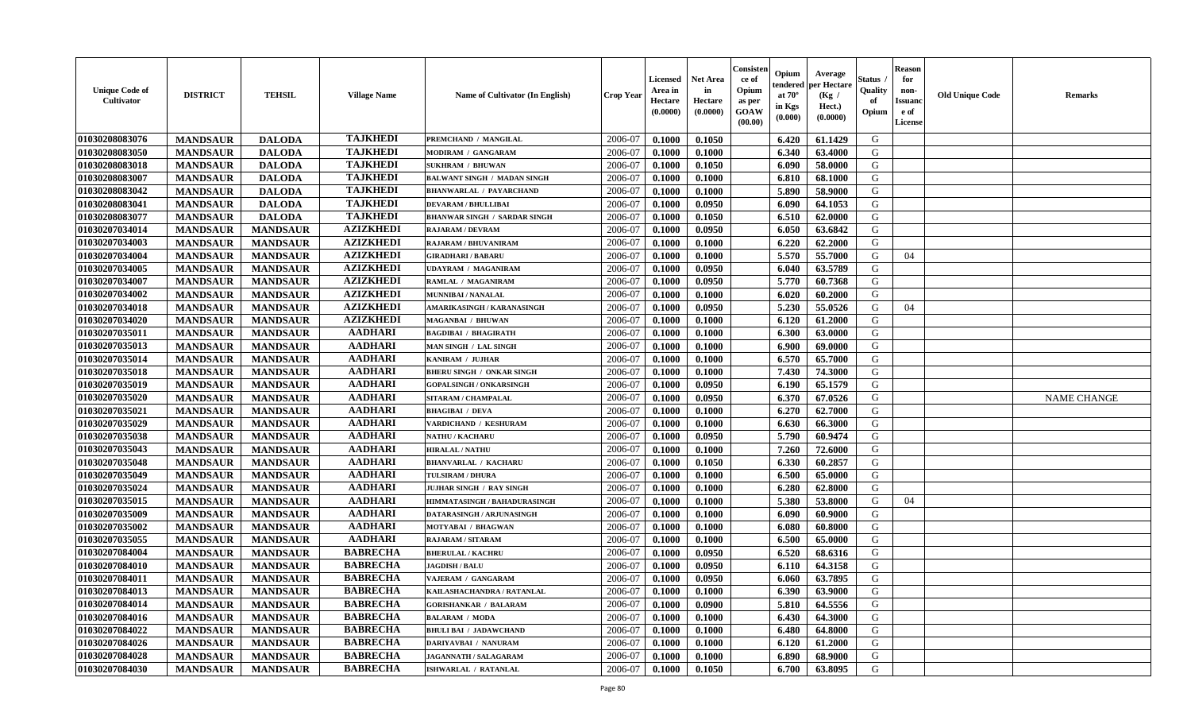| <b>Unique Code of</b><br>Cultivator | <b>DISTRICT</b> | <b>TEHSIL</b>   | <b>Village Name</b> | <b>Name of Cultivator (In English)</b> | <b>Crop Year</b> | <b>Licensed</b><br>Area in<br>Hectare<br>(0.0000) | <b>Net Area</b><br>in<br>Hectare<br>(0.0000) | Consister<br>ce of<br>Opium<br>as per<br><b>GOAW</b><br>(00.00) | Opium<br>endered<br>at $70^{\circ}$<br>in Kgs<br>$(\mathbf{0.000})$ | Average<br>per Hectare<br>(Kg /<br>Hect.)<br>(0.0000) | Status<br>Quality<br>of<br>Opium | <b>Reason</b><br>for<br>non-<br><b>Issuanc</b><br>e of<br>License | <b>Old Unique Code</b> | <b>Remarks</b>     |
|-------------------------------------|-----------------|-----------------|---------------------|----------------------------------------|------------------|---------------------------------------------------|----------------------------------------------|-----------------------------------------------------------------|---------------------------------------------------------------------|-------------------------------------------------------|----------------------------------|-------------------------------------------------------------------|------------------------|--------------------|
| 01030208083076                      | <b>MANDSAUR</b> | <b>DALODA</b>   | <b>TAJKHEDI</b>     | PREMCHAND / MANGILAL                   | 2006-07          | 0.1000                                            | 0.1050                                       |                                                                 | 6.420                                                               | 61.1429                                               | G                                |                                                                   |                        |                    |
| 01030208083050                      | <b>MANDSAUR</b> | <b>DALODA</b>   | <b>TAJKHEDI</b>     | MODIRAM / GANGARAM                     | 2006-07          | 0.1000                                            | 0.1000                                       |                                                                 | 6.340                                                               | 63.4000                                               | G                                |                                                                   |                        |                    |
| 01030208083018                      | <b>MANDSAUR</b> | <b>DALODA</b>   | <b>TAJKHEDI</b>     | <b>SUKHRAM / BHUWAN</b>                | 2006-07          | 0.1000                                            | 0.1050                                       |                                                                 | 6.090                                                               | 58.0000                                               | G                                |                                                                   |                        |                    |
| 01030208083007                      | <b>MANDSAUR</b> | <b>DALODA</b>   | <b>TAJKHEDI</b>     | <b>BALWANT SINGH / MADAN SINGH</b>     | 2006-07          | 0.1000                                            | 0.1000                                       |                                                                 | 6.810                                                               | 68.1000                                               | G                                |                                                                   |                        |                    |
| 01030208083042                      | <b>MANDSAUR</b> | <b>DALODA</b>   | <b>TAJKHEDI</b>     | <b>BHANWARLAL / PAYARCHAND</b>         | 2006-07          | 0.1000                                            | 0.1000                                       |                                                                 | 5.890                                                               | 58.9000                                               | G                                |                                                                   |                        |                    |
| 01030208083041                      | <b>MANDSAUR</b> | <b>DALODA</b>   | <b>TAJKHEDI</b>     | <b>DEVARAM / BHULLIBAI</b>             | 2006-07          | 0.1000                                            | 0.0950                                       |                                                                 | 6.090                                                               | 64.1053                                               | G                                |                                                                   |                        |                    |
| 01030208083077                      | <b>MANDSAUR</b> | <b>DALODA</b>   | <b>TAJKHEDI</b>     | <b>BHANWAR SINGH / SARDAR SINGH</b>    | 2006-07          | 0.1000                                            | 0.1050                                       |                                                                 | 6.510                                                               | 62.0000                                               | G                                |                                                                   |                        |                    |
| 01030207034014                      | <b>MANDSAUR</b> | <b>MANDSAUR</b> | <b>AZIZKHEDI</b>    | <b>RAJARAM / DEVRAM</b>                | 2006-07          | 0.1000                                            | 0.0950                                       |                                                                 | 6.050                                                               | 63.6842                                               | G                                |                                                                   |                        |                    |
| 01030207034003                      | <b>MANDSAUR</b> | <b>MANDSAUR</b> | <b>AZIZKHEDI</b>    | RAJARAM / BHUVANIRAM                   | 2006-07          | 0.1000                                            | 0.1000                                       |                                                                 | 6.220                                                               | 62.2000                                               | G                                |                                                                   |                        |                    |
| 01030207034004                      | <b>MANDSAUR</b> | <b>MANDSAUR</b> | <b>AZIZKHEDI</b>    | <b>GIRADHARI / BABARU</b>              | 2006-07          | 0.1000                                            | 0.1000                                       |                                                                 | 5.570                                                               | 55.7000                                               | G                                | 04                                                                |                        |                    |
| 01030207034005                      | <b>MANDSAUR</b> | <b>MANDSAUR</b> | <b>AZIZKHEDI</b>    | UDAYRAM / MAGANIRAM                    | 2006-07          | 0.1000                                            | 0.0950                                       |                                                                 | 6.040                                                               | 63.5789                                               | G                                |                                                                   |                        |                    |
| 01030207034007                      | <b>MANDSAUR</b> | <b>MANDSAUR</b> | <b>AZIZKHEDI</b>    | RAMLAL / MAGANIRAM                     | 2006-07          | 0.1000                                            | 0.0950                                       |                                                                 | 5.770                                                               | 60.7368                                               | G                                |                                                                   |                        |                    |
| 01030207034002                      | <b>MANDSAUR</b> | <b>MANDSAUR</b> | <b>AZIZKHEDI</b>    | <b>MUNNIBAI/NANALAL</b>                | 2006-07          | 0.1000                                            | 0.1000                                       |                                                                 | 6.020                                                               | 60.2000                                               | G                                |                                                                   |                        |                    |
| 01030207034018                      | <b>MANDSAUR</b> | <b>MANDSAUR</b> | <b>AZIZKHEDI</b>    | AMARIKASINGH / KARANASINGH             | 2006-07          | 0.1000                                            | 0.0950                                       |                                                                 | 5.230                                                               | 55.0526                                               | G                                | 04                                                                |                        |                    |
| 01030207034020                      | <b>MANDSAUR</b> | <b>MANDSAUR</b> | <b>AZIZKHEDI</b>    | MAGANBAI / BHUWAN                      | 2006-07          | 0.1000                                            | 0.1000                                       |                                                                 | 6.120                                                               | 61.2000                                               | G                                |                                                                   |                        |                    |
| 01030207035011                      | <b>MANDSAUR</b> | <b>MANDSAUR</b> | <b>AADHARI</b>      | <b>BAGDIBAI / BHAGIRATH</b>            | 2006-07          | 0.1000                                            | 0.1000                                       |                                                                 | 6.300                                                               | 63.0000                                               | G                                |                                                                   |                        |                    |
| 01030207035013                      | <b>MANDSAUR</b> | <b>MANDSAUR</b> | <b>AADHARI</b>      | MAN SINGH / LAL SINGH                  | 2006-07          | 0.1000                                            | 0.1000                                       |                                                                 | 6.900                                                               | 69.0000                                               | G                                |                                                                   |                        |                    |
| 01030207035014                      | <b>MANDSAUR</b> | <b>MANDSAUR</b> | <b>AADHARI</b>      | KANIRAM / JUJHAR                       | 2006-07          | 0.1000                                            | 0.1000                                       |                                                                 | 6.570                                                               | 65.7000                                               | G                                |                                                                   |                        |                    |
| 01030207035018                      | <b>MANDSAUR</b> | <b>MANDSAUR</b> | <b>AADHARI</b>      | <b>BHERU SINGH / ONKAR SINGH</b>       | 2006-07          | 0.1000                                            | 0.1000                                       |                                                                 | 7.430                                                               | 74.3000                                               | G                                |                                                                   |                        |                    |
| 01030207035019                      | <b>MANDSAUR</b> | <b>MANDSAUR</b> | <b>AADHARI</b>      | <b>GOPALSINGH / ONKARSINGH</b>         | 2006-07          | 0.1000                                            | 0.0950                                       |                                                                 | 6.190                                                               | 65.1579                                               | G                                |                                                                   |                        |                    |
| 01030207035020                      | <b>MANDSAUR</b> | <b>MANDSAUR</b> | <b>AADHARI</b>      | SITARAM / CHAMPALAL                    | 2006-07          | 0.1000                                            | 0.0950                                       |                                                                 | 6.370                                                               | 67.0526                                               | G                                |                                                                   |                        | <b>NAME CHANGE</b> |
| 01030207035021                      | <b>MANDSAUR</b> | <b>MANDSAUR</b> | <b>AADHARI</b>      | <b>BHAGIBAI / DEVA</b>                 | 2006-07          | 0.1000                                            | 0.1000                                       |                                                                 | 6.270                                                               | 62.7000                                               | G                                |                                                                   |                        |                    |
| 01030207035029                      | <b>MANDSAUR</b> | <b>MANDSAUR</b> | <b>AADHARI</b>      | VARDICHAND / KESHURAM                  | 2006-07          | 0.1000                                            | 0.1000                                       |                                                                 | 6.630                                                               | 66.3000                                               | G                                |                                                                   |                        |                    |
| 01030207035038                      | <b>MANDSAUR</b> | <b>MANDSAUR</b> | <b>AADHARI</b>      | NATHU / KACHARU                        | 2006-07          | 0.1000                                            | 0.0950                                       |                                                                 | 5.790                                                               | 60.9474                                               | G                                |                                                                   |                        |                    |
| 01030207035043                      | <b>MANDSAUR</b> | <b>MANDSAUR</b> | <b>AADHARI</b>      | <b>HIRALAL / NATHU</b>                 | 2006-07          | 0.1000                                            | 0.1000                                       |                                                                 | 7.260                                                               | 72.6000                                               | G                                |                                                                   |                        |                    |
| 01030207035048                      | <b>MANDSAUR</b> | <b>MANDSAUR</b> | <b>AADHARI</b>      | <b>BHANVARLAL / KACHARU</b>            | 2006-07          | 0.1000                                            | 0.1050                                       |                                                                 | 6.330                                                               | 60.2857                                               | G                                |                                                                   |                        |                    |
| 01030207035049                      | <b>MANDSAUR</b> | <b>MANDSAUR</b> | <b>AADHARI</b>      | TULSIRAM / DHURA                       | 2006-07          | 0.1000                                            | 0.1000                                       |                                                                 | 6.500                                                               | 65.0000                                               | G                                |                                                                   |                        |                    |
| 01030207035024                      | <b>MANDSAUR</b> | <b>MANDSAUR</b> | <b>AADHARI</b>      | JUJHAR SINGH / RAY SINGH               | 2006-07          | 0.1000                                            | 0.1000                                       |                                                                 | 6.280                                                               | 62.8000                                               | G                                |                                                                   |                        |                    |
| 01030207035015                      | <b>MANDSAUR</b> | <b>MANDSAUR</b> | <b>AADHARI</b>      | HIMMATASINGH / BAHADURASINGH           | 2006-07          | 0.1000                                            | 0.1000                                       |                                                                 | 5.380                                                               | 53.8000                                               | G                                | 04                                                                |                        |                    |
| 01030207035009                      | <b>MANDSAUR</b> | <b>MANDSAUR</b> | <b>AADHARI</b>      | DATARASINGH / ARJUNASINGH              | 2006-07          | 0.1000                                            | 0.1000                                       |                                                                 | 6.090                                                               | 60.9000                                               | G                                |                                                                   |                        |                    |
| 01030207035002                      | <b>MANDSAUR</b> | <b>MANDSAUR</b> | <b>AADHARI</b>      | MOTYABAI / BHAGWAN                     | 2006-07          | 0.1000                                            | 0.1000                                       |                                                                 | 6.080                                                               | 60.8000                                               | G                                |                                                                   |                        |                    |
| 01030207035055                      | <b>MANDSAUR</b> | <b>MANDSAUR</b> | <b>AADHARI</b>      | RAJARAM / SITARAM                      | 2006-07          | 0.1000                                            | 0.1000                                       |                                                                 | 6.500                                                               | 65.0000                                               | G                                |                                                                   |                        |                    |
| 01030207084004                      | <b>MANDSAUR</b> | <b>MANDSAUR</b> | <b>BABRECHA</b>     | <b>BHERULAL / KACHRU</b>               | 2006-07          | 0.1000                                            | 0.0950                                       |                                                                 | 6.520                                                               | 68.6316                                               | G                                |                                                                   |                        |                    |
| 01030207084010                      | <b>MANDSAUR</b> | <b>MANDSAUR</b> | <b>BABRECHA</b>     | <b>JAGDISH / BALU</b>                  | 2006-07          | 0.1000                                            | 0.0950                                       |                                                                 | 6.110                                                               | 64.3158                                               | G                                |                                                                   |                        |                    |
| 01030207084011                      | <b>MANDSAUR</b> | <b>MANDSAUR</b> | <b>BABRECHA</b>     | VAJERAM / GANGARAM                     | 2006-07          | 0.1000                                            | 0.0950                                       |                                                                 | 6.060                                                               | 63.7895                                               | G                                |                                                                   |                        |                    |
| 01030207084013                      | <b>MANDSAUR</b> | MANDSAUR        | <b>BABRECHA</b>     | KAILASHACHANDRA / RATANLAL             | 2006-07          | 0.1000                                            | 0.1000                                       |                                                                 | 6.390                                                               | 63.9000                                               | G                                |                                                                   |                        |                    |
| 01030207084014                      | <b>MANDSAUR</b> | <b>MANDSAUR</b> | <b>BABRECHA</b>     | <b>GORISHANKAR / BALARAM</b>           | 2006-07          | 0.1000                                            | 0.0900                                       |                                                                 | 5.810                                                               | 64.5556                                               | G                                |                                                                   |                        |                    |
| 01030207084016                      | <b>MANDSAUR</b> | <b>MANDSAUR</b> | <b>BABRECHA</b>     | <b>BALARAM / MODA</b>                  | 2006-07          | 0.1000                                            | 0.1000                                       |                                                                 | 6.430                                                               | 64.3000                                               | G                                |                                                                   |                        |                    |
| 01030207084022                      | <b>MANDSAUR</b> | <b>MANDSAUR</b> | <b>BABRECHA</b>     | <b>BHULI BAI / JADAWCHAND</b>          | 2006-07          | 0.1000                                            | 0.1000                                       |                                                                 | 6.480                                                               | 64.8000                                               | G                                |                                                                   |                        |                    |
| 01030207084026                      | <b>MANDSAUR</b> | <b>MANDSAUR</b> | <b>BABRECHA</b>     | DARIYAVBAI / NANURAM                   | 2006-07          | 0.1000                                            | 0.1000                                       |                                                                 | 6.120                                                               | 61.2000                                               | G                                |                                                                   |                        |                    |
| 01030207084028                      | <b>MANDSAUR</b> | <b>MANDSAUR</b> | <b>BABRECHA</b>     | JAGANNATH / SALAGARAM                  | 2006-07          | 0.1000                                            | 0.1000                                       |                                                                 | 6.890                                                               | 68.9000                                               | G                                |                                                                   |                        |                    |
| 01030207084030                      | <b>MANDSAUR</b> | <b>MANDSAUR</b> | <b>BABRECHA</b>     | ISHWARLAL / RATANLAL                   | 2006-07          | 0.1000                                            | 0.1050                                       |                                                                 | 6.700                                                               | 63.8095                                               | G                                |                                                                   |                        |                    |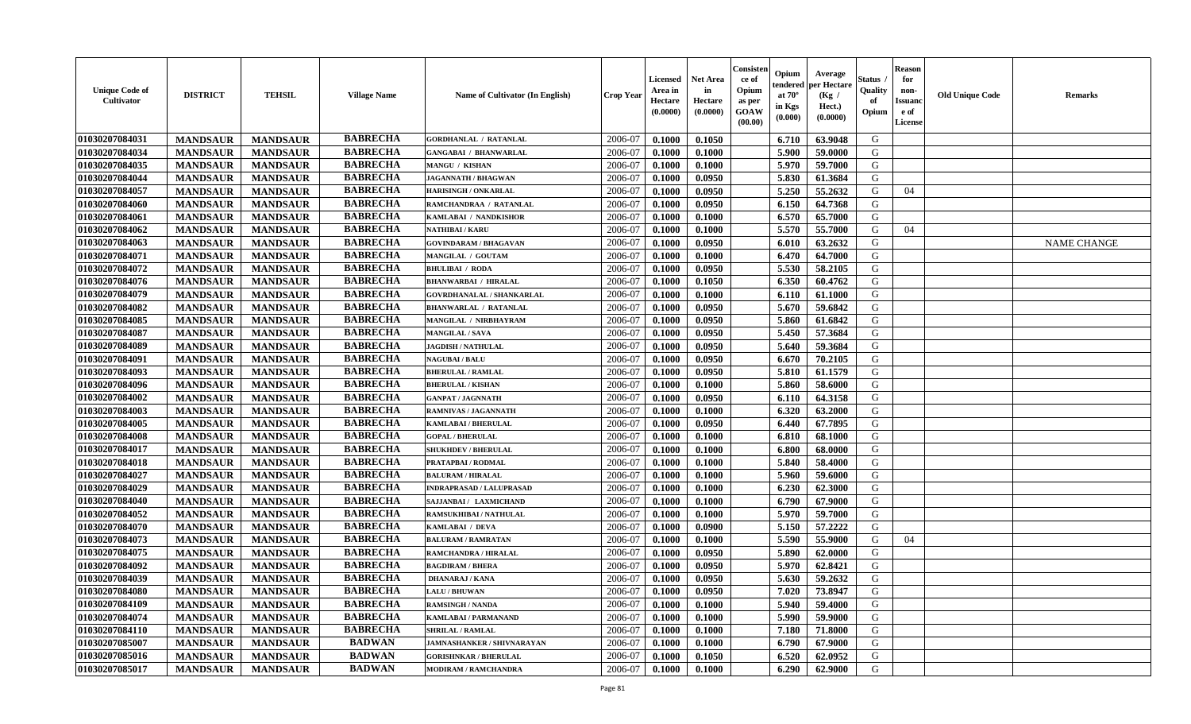| <b>Unique Code of</b><br><b>Cultivator</b> | <b>DISTRICT</b> | <b>TEHSIL</b>   | <b>Village Name</b> | Name of Cultivator (In English)   | <b>Crop Year</b> | <b>Licensed</b><br>Area in<br>Hectare<br>(0.0000) | Net Area<br>in<br>Hectare<br>(0.0000) | Consister<br>ce of<br>Opium<br>as per<br>GOAW<br>(00.00) | Opium<br>endered<br>at $70^\circ$<br>in Kgs<br>(0.000) | Average<br>oer Hectare<br>(Kg /<br>Hect.)<br>(0.0000) | Status<br>Quality<br>of<br>Opium | <b>Reason</b><br>for<br>non-<br>Issuano<br>e of<br>License | <b>Old Unique Code</b> | Remarks            |
|--------------------------------------------|-----------------|-----------------|---------------------|-----------------------------------|------------------|---------------------------------------------------|---------------------------------------|----------------------------------------------------------|--------------------------------------------------------|-------------------------------------------------------|----------------------------------|------------------------------------------------------------|------------------------|--------------------|
| 01030207084031                             | <b>MANDSAUR</b> | <b>MANDSAUR</b> | <b>BABRECHA</b>     | <b>GORDHANLAL / RATANLAL</b>      | 2006-07          | 0.1000                                            | 0.1050                                |                                                          | 6.710                                                  | 63.9048                                               | G                                |                                                            |                        |                    |
| 01030207084034                             | <b>MANDSAUR</b> | <b>MANDSAUR</b> | <b>BABRECHA</b>     | <b>GANGABAI / BHANWARLAL</b>      | 2006-07          | 0.1000                                            | 0.1000                                |                                                          | 5.900                                                  | 59.0000                                               | G                                |                                                            |                        |                    |
| 01030207084035                             | <b>MANDSAUR</b> | <b>MANDSAUR</b> | <b>BABRECHA</b>     | <b>MANGU / KISHAN</b>             | 2006-07          | 0.1000                                            | 0.1000                                |                                                          | 5.970                                                  | 59.7000                                               | G                                |                                                            |                        |                    |
| 01030207084044                             | <b>MANDSAUR</b> | <b>MANDSAUR</b> | <b>BABRECHA</b>     | <b>JAGANNATH / BHAGWAN</b>        | 2006-07          | 0.1000                                            | 0.0950                                |                                                          | 5.830                                                  | 61.3684                                               | G                                |                                                            |                        |                    |
| 01030207084057                             | <b>MANDSAUR</b> | <b>MANDSAUR</b> | <b>BABRECHA</b>     | <b>HARISINGH / ONKARLAL</b>       | 2006-07          | 0.1000                                            | 0.0950                                |                                                          | 5.250                                                  | 55.2632                                               | G                                | 04                                                         |                        |                    |
| 01030207084060                             | <b>MANDSAUR</b> | <b>MANDSAUR</b> | <b>BABRECHA</b>     | RAMCHANDRAA / RATANLAL            | 2006-07          | 0.1000                                            | 0.0950                                |                                                          | 6.150                                                  | 64.7368                                               | G                                |                                                            |                        |                    |
| 01030207084061                             | <b>MANDSAUR</b> | <b>MANDSAUR</b> | <b>BABRECHA</b>     | KAMLABAI / NANDKISHOR             | 2006-07          | 0.1000                                            | 0.1000                                |                                                          | 6.570                                                  | 65.7000                                               | G                                |                                                            |                        |                    |
| 01030207084062                             | <b>MANDSAUR</b> | <b>MANDSAUR</b> | <b>BABRECHA</b>     | <b>NATHIBAI / KARU</b>            | 2006-07          | 0.1000                                            | 0.1000                                |                                                          | 5.570                                                  | 55.7000                                               | G                                | 04                                                         |                        |                    |
| 01030207084063                             | <b>MANDSAUR</b> | <b>MANDSAUR</b> | <b>BABRECHA</b>     | <b>GOVINDARAM / BHAGAVAN</b>      | 2006-07          | 0.1000                                            | 0.0950                                |                                                          | 6.010                                                  | 63.2632                                               | G                                |                                                            |                        | <b>NAME CHANGE</b> |
| 01030207084071                             | <b>MANDSAUR</b> | <b>MANDSAUR</b> | <b>BABRECHA</b>     | MANGILAL / GOUTAM                 | 2006-07          | 0.1000                                            | 0.1000                                |                                                          | 6.470                                                  | 64.7000                                               | G                                |                                                            |                        |                    |
| 01030207084072                             | <b>MANDSAUR</b> | <b>MANDSAUR</b> | <b>BABRECHA</b>     | <b>BHULIBAI / RODA</b>            | 2006-07          | 0.1000                                            | 0.0950                                |                                                          | 5.530                                                  | 58.2105                                               | G                                |                                                            |                        |                    |
| 01030207084076                             | <b>MANDSAUR</b> | <b>MANDSAUR</b> | <b>BABRECHA</b>     | <b>BHANWARBAI / HIRALAL</b>       | 2006-07          | 0.1000                                            | 0.1050                                |                                                          | 6.350                                                  | 60.4762                                               | G                                |                                                            |                        |                    |
| 01030207084079                             | <b>MANDSAUR</b> | <b>MANDSAUR</b> | <b>BABRECHA</b>     | <b>GOVRDHANALAL / SHANKARLAL</b>  | 2006-07          | 0.1000                                            | 0.1000                                |                                                          | 6.110                                                  | 61.1000                                               | G                                |                                                            |                        |                    |
| 01030207084082                             | <b>MANDSAUR</b> | <b>MANDSAUR</b> | <b>BABRECHA</b>     | <b>BHANWARLAL / RATANLAL</b>      | 2006-07          | 0.1000                                            | 0.0950                                |                                                          | 5.670                                                  | 59.6842                                               | G                                |                                                            |                        |                    |
| 01030207084085                             | <b>MANDSAUR</b> | <b>MANDSAUR</b> | <b>BABRECHA</b>     | MANGILAL / NIRBHAYRAM             | 2006-07          | 0.1000                                            | 0.0950                                |                                                          | 5.860                                                  | 61.6842                                               | $\mathbf G$                      |                                                            |                        |                    |
| 01030207084087                             | <b>MANDSAUR</b> | <b>MANDSAUR</b> | <b>BABRECHA</b>     | <b>MANGILAL / SAVA</b>            | 2006-07          | 0.1000                                            | 0.0950                                |                                                          | 5.450                                                  | 57.3684                                               | G                                |                                                            |                        |                    |
| 01030207084089                             | <b>MANDSAUR</b> | <b>MANDSAUR</b> | <b>BABRECHA</b>     | <b>JAGDISH / NATHULAL</b>         | 2006-07          | 0.1000                                            | 0.0950                                |                                                          | 5.640                                                  | 59.3684                                               | G                                |                                                            |                        |                    |
| 01030207084091                             | <b>MANDSAUR</b> | <b>MANDSAUR</b> | <b>BABRECHA</b>     | <b>NAGUBAI/BALU</b>               | 2006-07          | 0.1000                                            | 0.0950                                |                                                          | 6.670                                                  | 70.2105                                               | G                                |                                                            |                        |                    |
| 01030207084093                             | <b>MANDSAUR</b> | <b>MANDSAUR</b> | <b>BABRECHA</b>     | <b>BHERULAL / RAMLAL</b>          | 2006-07          | 0.1000                                            | 0.0950                                |                                                          | 5.810                                                  | 61.1579                                               | G                                |                                                            |                        |                    |
| 01030207084096                             | <b>MANDSAUR</b> | <b>MANDSAUR</b> | <b>BABRECHA</b>     | <b>BHERULAL / KISHAN</b>          | 2006-07          | 0.1000                                            | 0.1000                                |                                                          | 5.860                                                  | 58.6000                                               | G                                |                                                            |                        |                    |
| 01030207084002                             | <b>MANDSAUR</b> | <b>MANDSAUR</b> | <b>BABRECHA</b>     | <b>GANPAT / JAGNNATH</b>          | 2006-07          | 0.1000                                            | 0.0950                                |                                                          | 6.110                                                  | 64.3158                                               | G                                |                                                            |                        |                    |
| 01030207084003                             | <b>MANDSAUR</b> | <b>MANDSAUR</b> | <b>BABRECHA</b>     | <b>RAMNIVAS / JAGANNATH</b>       | 2006-07          | 0.1000                                            | 0.1000                                |                                                          | 6.320                                                  | 63.2000                                               | G                                |                                                            |                        |                    |
| 01030207084005                             | <b>MANDSAUR</b> | <b>MANDSAUR</b> | <b>BABRECHA</b>     | KAMLABAI / BHERULAL               | 2006-07          | 0.1000                                            | 0.0950                                |                                                          | 6.440                                                  | 67.7895                                               | G                                |                                                            |                        |                    |
| 01030207084008                             | <b>MANDSAUR</b> | <b>MANDSAUR</b> | <b>BABRECHA</b>     | <b>GOPAL / BHERULAL</b>           | 2006-07          | 0.1000                                            | 0.1000                                |                                                          | 6.810                                                  | 68.1000                                               | G                                |                                                            |                        |                    |
| 01030207084017                             | <b>MANDSAUR</b> | <b>MANDSAUR</b> | <b>BABRECHA</b>     | <b>SHUKHDEV / BHERULAL</b>        | 2006-07          | 0.1000                                            | 0.1000                                |                                                          | 6.800                                                  | 68.0000                                               | G                                |                                                            |                        |                    |
| 01030207084018                             | <b>MANDSAUR</b> | <b>MANDSAUR</b> | <b>BABRECHA</b>     | PRATAPBAI / RODMAL                | 2006-07          | 0.1000                                            | 0.1000                                |                                                          | 5.840                                                  | 58.4000                                               | G                                |                                                            |                        |                    |
| 01030207084027                             | <b>MANDSAUR</b> | <b>MANDSAUR</b> | <b>BABRECHA</b>     | <b>BALURAM / HIRALAL</b>          | 2006-07          | 0.1000                                            | 0.1000                                |                                                          | 5.960                                                  | 59.6000                                               | G                                |                                                            |                        |                    |
| 01030207084029                             | <b>MANDSAUR</b> | <b>MANDSAUR</b> | <b>BABRECHA</b>     | <b>INDRAPRASAD / LALUPRASAD</b>   | 2006-07          | 0.1000                                            | 0.1000                                |                                                          | 6.230                                                  | 62.3000                                               | G                                |                                                            |                        |                    |
| 01030207084040                             | <b>MANDSAUR</b> | <b>MANDSAUR</b> | <b>BABRECHA</b>     | SAJJANBAI / LAXMICHAND            | 2006-07          | 0.1000                                            | 0.1000                                |                                                          | 6.790                                                  | 67.9000                                               | G                                |                                                            |                        |                    |
| 01030207084052                             | <b>MANDSAUR</b> | <b>MANDSAUR</b> | <b>BABRECHA</b>     | RAMSUKHIBAI / NATHULAL            | 2006-07          | 0.1000                                            | 0.1000                                |                                                          | 5.970                                                  | 59.7000                                               | G                                |                                                            |                        |                    |
| 01030207084070                             | <b>MANDSAUR</b> | <b>MANDSAUR</b> | <b>BABRECHA</b>     | KAMLABAI / DEVA                   | 2006-07          | 0.1000                                            | 0.0900                                |                                                          | 5.150                                                  | 57.2222                                               | G                                |                                                            |                        |                    |
| 01030207084073                             | <b>MANDSAUR</b> | <b>MANDSAUR</b> | <b>BABRECHA</b>     | <b>BALURAM / RAMRATAN</b>         | 2006-07          | 0.1000                                            | 0.1000                                |                                                          | 5.590                                                  | 55.9000                                               | G                                | 04                                                         |                        |                    |
| 01030207084075                             | <b>MANDSAUR</b> | <b>MANDSAUR</b> | <b>BABRECHA</b>     | RAMCHANDRA / HIRALAL              | 2006-07          | 0.1000                                            | 0.0950                                |                                                          | 5.890                                                  | 62.0000                                               | G                                |                                                            |                        |                    |
| 01030207084092                             | <b>MANDSAUR</b> | <b>MANDSAUR</b> | <b>BABRECHA</b>     | <b>BAGDIRAM / BHERA</b>           | 2006-07          | 0.1000                                            | 0.0950                                |                                                          | 5.970                                                  | 62.8421                                               | G                                |                                                            |                        |                    |
| 01030207084039                             | <b>MANDSAUR</b> | <b>MANDSAUR</b> | <b>BABRECHA</b>     | <b>DHANARAJ / KANA</b>            | 2006-07          | 0.1000                                            | 0.0950                                |                                                          | 5.630                                                  | 59.2632                                               | G                                |                                                            |                        |                    |
| 01030207084080                             | <b>MANDSAUR</b> | <b>MANDSAUR</b> | <b>BABRECHA</b>     | <b>LALU/BHUWAN</b>                | 2006-07          | 0.1000                                            | 0.0950                                |                                                          | 7.020                                                  | 73.8947                                               | G                                |                                                            |                        |                    |
| 01030207084109                             | <b>MANDSAUR</b> | <b>MANDSAUR</b> | <b>BABRECHA</b>     | <b>RAMSINGH / NANDA</b>           | 2006-07          | 0.1000                                            | 0.1000                                |                                                          | 5.940                                                  | 59.4000                                               | G                                |                                                            |                        |                    |
| 01030207084074                             | <b>MANDSAUR</b> | <b>MANDSAUR</b> | <b>BABRECHA</b>     | KAMLABAI / PARMANAND              | 2006-07          | 0.1000                                            | 0.1000                                |                                                          | 5.990                                                  | 59.9000                                               | G                                |                                                            |                        |                    |
| 01030207084110                             | <b>MANDSAUR</b> | <b>MANDSAUR</b> | <b>BABRECHA</b>     | <b>SHRILAL / RAMLAL</b>           | 2006-07          | 0.1000                                            | 0.1000                                |                                                          | 7.180                                                  | 71.8000                                               | G                                |                                                            |                        |                    |
| 01030207085007                             | <b>MANDSAUR</b> | <b>MANDSAUR</b> | <b>BADWAN</b>       | <b>JAMNASHANKER / SHIVNARAYAN</b> | 2006-07          | 0.1000                                            | 0.1000                                |                                                          | 6.790                                                  | 67.9000                                               | ${\bf G}$                        |                                                            |                        |                    |
| 01030207085016                             | <b>MANDSAUR</b> | <b>MANDSAUR</b> | <b>BADWAN</b>       | <b>GORISHNKAR / BHERULAL</b>      | 2006-07          | 0.1000                                            | 0.1050                                |                                                          | 6.520                                                  | 62.0952                                               | G                                |                                                            |                        |                    |
| 01030207085017                             | <b>MANDSAUR</b> | <b>MANDSAUR</b> | <b>BADWAN</b>       | <b>MODIRAM / RAMCHANDRA</b>       | 2006-07          | 0.1000                                            | 0.1000                                |                                                          | 6.290                                                  | 62.9000                                               | G                                |                                                            |                        |                    |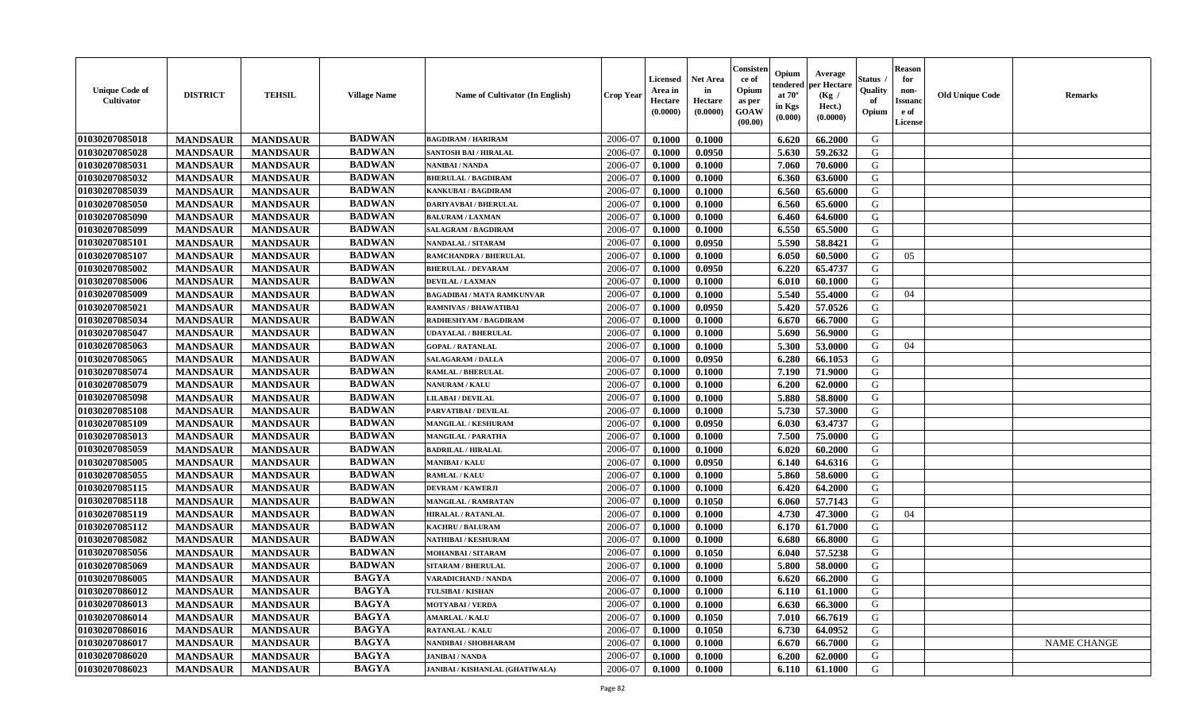| <b>Unique Code of</b><br>Cultivator | <b>DISTRICT</b> | <b>TEHSIL</b>   | <b>Village Name</b> | <b>Name of Cultivator (In English)</b> | <b>Crop Year</b> | <b>Licensed</b><br>Area in<br>Hectare<br>(0.0000) | <b>Net Area</b><br>in<br>Hectare<br>(0.0000) | Consister<br>ce of<br>Opium<br>as per<br><b>GOAW</b><br>(00.00) | Opium<br>endered<br>at $70^{\circ}$<br>in Kgs<br>(0.000) | Average<br>per Hectare<br>(Kg /<br>Hect.)<br>(0.0000) | Status<br>Quality<br>of<br>Opium | <b>Reason</b><br>for<br>non-<br><b>Issuanc</b><br>e of<br>License | <b>Old Unique Code</b> | <b>Remarks</b>     |
|-------------------------------------|-----------------|-----------------|---------------------|----------------------------------------|------------------|---------------------------------------------------|----------------------------------------------|-----------------------------------------------------------------|----------------------------------------------------------|-------------------------------------------------------|----------------------------------|-------------------------------------------------------------------|------------------------|--------------------|
| 01030207085018                      | <b>MANDSAUR</b> | <b>MANDSAUR</b> | <b>BADWAN</b>       | <b>BAGDIRAM / HARIRAM</b>              | 2006-07          | 0.1000                                            | 0.1000                                       |                                                                 | 6.620                                                    | 66.2000                                               | G                                |                                                                   |                        |                    |
| 01030207085028                      | <b>MANDSAUR</b> | <b>MANDSAUR</b> | <b>BADWAN</b>       | <b>SANTOSH BAI / HIRALAL</b>           | 2006-07          | 0.1000                                            | 0.0950                                       |                                                                 | 5.630                                                    | 59.2632                                               | G                                |                                                                   |                        |                    |
| 01030207085031                      | <b>MANDSAUR</b> | <b>MANDSAUR</b> | <b>BADWAN</b>       | NANIBAI / NANDA                        | 2006-07          | 0.1000                                            | 0.1000                                       |                                                                 | 7.060                                                    | 70.6000                                               | G                                |                                                                   |                        |                    |
| 01030207085032                      | <b>MANDSAUR</b> | <b>MANDSAUR</b> | <b>BADWAN</b>       | <b>BHERULAL / BAGDIRAM</b>             | 2006-07          | 0.1000                                            | 0.1000                                       |                                                                 | 6.360                                                    | 63.6000                                               | G                                |                                                                   |                        |                    |
| 01030207085039                      | <b>MANDSAUR</b> | <b>MANDSAUR</b> | <b>BADWAN</b>       | KANKUBAI / BAGDIRAM                    | 2006-07          | 0.1000                                            | 0.1000                                       |                                                                 | 6.560                                                    | 65.6000                                               | G                                |                                                                   |                        |                    |
| 01030207085050                      | <b>MANDSAUR</b> | <b>MANDSAUR</b> | <b>BADWAN</b>       | <b>DARIYAVBAI / BHERULAL</b>           | 2006-07          | 0.1000                                            | 0.1000                                       |                                                                 | 6.560                                                    | 65.6000                                               | G                                |                                                                   |                        |                    |
| 01030207085090                      | <b>MANDSAUR</b> | <b>MANDSAUR</b> | <b>BADWAN</b>       | <b>BALURAM / LAXMAN</b>                | 2006-07          | 0.1000                                            | 0.1000                                       |                                                                 | 6.460                                                    | 64.6000                                               | G                                |                                                                   |                        |                    |
| 01030207085099                      | <b>MANDSAUR</b> | <b>MANDSAUR</b> | <b>BADWAN</b>       | <b>SALAGRAM / BAGDIRAM</b>             | 2006-07          | 0.1000                                            | 0.1000                                       |                                                                 | 6.550                                                    | 65.5000                                               | G                                |                                                                   |                        |                    |
| 01030207085101                      | <b>MANDSAUR</b> | <b>MANDSAUR</b> | <b>BADWAN</b>       | NANDALAL / SITARAM                     | 2006-07          | 0.1000                                            | 0.0950                                       |                                                                 | 5.590                                                    | 58.8421                                               | G                                |                                                                   |                        |                    |
| 01030207085107                      | <b>MANDSAUR</b> | <b>MANDSAUR</b> | <b>BADWAN</b>       | RAMCHANDRA / BHERULAL                  | 2006-07          | 0.1000                                            | 0.1000                                       |                                                                 | 6.050                                                    | 60.5000                                               | G                                | 05                                                                |                        |                    |
| 01030207085002                      | <b>MANDSAUR</b> | <b>MANDSAUR</b> | <b>BADWAN</b>       | <b>BHERULAL / DEVARAM</b>              | 2006-07          | 0.1000                                            | 0.0950                                       |                                                                 | 6.220                                                    | 65,4737                                               | G                                |                                                                   |                        |                    |
| 01030207085006                      | <b>MANDSAUR</b> | <b>MANDSAUR</b> | <b>BADWAN</b>       | <b>DEVILAL / LAXMAN</b>                | 2006-07          | 0.1000                                            | 0.1000                                       |                                                                 | 6.010                                                    | 60.1000                                               | G                                |                                                                   |                        |                    |
| 01030207085009                      | <b>MANDSAUR</b> | <b>MANDSAUR</b> | <b>BADWAN</b>       | <b>BAGADIBAI / MATA RAMKUNVAR</b>      | 2006-07          | 0.1000                                            | 0.1000                                       |                                                                 | 5.540                                                    | 55.4000                                               | G                                | 04                                                                |                        |                    |
| 01030207085021                      | <b>MANDSAUR</b> | <b>MANDSAUR</b> | <b>BADWAN</b>       | <b>RAMNIVAS / BHAWATIBAI</b>           | 2006-07          | 0.1000                                            | 0.0950                                       |                                                                 | 5.420                                                    | 57.0526                                               | G                                |                                                                   |                        |                    |
| 01030207085034                      | <b>MANDSAUR</b> | <b>MANDSAUR</b> | <b>BADWAN</b>       | RADHESHYAM / BAGDIRAM                  | 2006-07          | 0.1000                                            | 0.1000                                       |                                                                 | 6.670                                                    | 66.7000                                               | G                                |                                                                   |                        |                    |
| 01030207085047                      | <b>MANDSAUR</b> | <b>MANDSAUR</b> | <b>BADWAN</b>       | <b>UDAYALAL / BHERULAL</b>             | 2006-07          | 0.1000                                            | 0.1000                                       |                                                                 | 5.690                                                    | 56.9000                                               | G                                |                                                                   |                        |                    |
| 01030207085063                      | <b>MANDSAUR</b> | <b>MANDSAUR</b> | <b>BADWAN</b>       | <b>GOPAL / RATANLAL</b>                | 2006-07          | 0.1000                                            | 0.1000                                       |                                                                 | 5.300                                                    | 53.0000                                               | G                                | 04                                                                |                        |                    |
| 01030207085065                      | <b>MANDSAUR</b> | <b>MANDSAUR</b> | <b>BADWAN</b>       | <b>SALAGARAM / DALLA</b>               | 2006-07          | 0.1000                                            | 0.0950                                       |                                                                 | 6.280                                                    | 66.1053                                               | G                                |                                                                   |                        |                    |
| 01030207085074                      | <b>MANDSAUR</b> | <b>MANDSAUR</b> | <b>BADWAN</b>       | <b>RAMLAL / BHERULAL</b>               | 2006-07          | 0.1000                                            | 0.1000                                       |                                                                 | 7.190                                                    | 71.9000                                               | G                                |                                                                   |                        |                    |
| 01030207085079                      | <b>MANDSAUR</b> | <b>MANDSAUR</b> | <b>BADWAN</b>       | <b>NANURAM / KALU</b>                  | 2006-07          | 0.1000                                            | 0.1000                                       |                                                                 | 6.200                                                    | 62.0000                                               | G                                |                                                                   |                        |                    |
| 01030207085098                      | <b>MANDSAUR</b> | <b>MANDSAUR</b> | <b>BADWAN</b>       | <b>LILABAI / DEVILAL</b>               | 2006-07          | 0.1000                                            | 0.1000                                       |                                                                 | 5.880                                                    | 58.8000                                               | G                                |                                                                   |                        |                    |
| 01030207085108                      | <b>MANDSAUR</b> | <b>MANDSAUR</b> | <b>BADWAN</b>       | PARVATIBAI / DEVILAL                   | 2006-07          | 0.1000                                            | 0.1000                                       |                                                                 | 5.730                                                    | 57.3000                                               | G                                |                                                                   |                        |                    |
| 01030207085109                      | <b>MANDSAUR</b> | <b>MANDSAUR</b> | <b>BADWAN</b>       | <b>MANGILAL / KESHURAM</b>             | 2006-07          | 0.1000                                            | 0.0950                                       |                                                                 | 6.030                                                    | 63.4737                                               | G                                |                                                                   |                        |                    |
| 01030207085013                      | <b>MANDSAUR</b> | <b>MANDSAUR</b> | <b>BADWAN</b>       | MANGILAL / PARATHA                     | 2006-07          | 0.1000                                            | 0.1000                                       |                                                                 | 7.500                                                    | 75.0000                                               | G                                |                                                                   |                        |                    |
| 01030207085059                      | <b>MANDSAUR</b> | <b>MANDSAUR</b> | <b>BADWAN</b>       | <b>BADRILAL / HIRALAL</b>              | 2006-07          | 0.1000                                            | 0.1000                                       |                                                                 | 6.020                                                    | 60.2000                                               | G                                |                                                                   |                        |                    |
| 01030207085005                      | <b>MANDSAUR</b> | <b>MANDSAUR</b> | <b>BADWAN</b>       | <b>MANIBAI/KALU</b>                    | 2006-07          | 0.1000                                            | 0.0950                                       |                                                                 | 6.140                                                    | 64.6316                                               | G                                |                                                                   |                        |                    |
| 01030207085055                      | <b>MANDSAUR</b> | <b>MANDSAUR</b> | <b>BADWAN</b>       | RAMLAL / KALU                          | 2006-07          | 0.1000                                            | 0.1000                                       |                                                                 | 5.860                                                    | 58.6000                                               | G                                |                                                                   |                        |                    |
| 01030207085115                      | <b>MANDSAUR</b> | <b>MANDSAUR</b> | <b>BADWAN</b>       | <b>DEVRAM / KAWERJI</b>                | 2006-07          | 0.1000                                            | 0.1000                                       |                                                                 | 6.420                                                    | 64.2000                                               | G                                |                                                                   |                        |                    |
| 01030207085118                      | <b>MANDSAUR</b> | <b>MANDSAUR</b> | <b>BADWAN</b>       | <b>MANGILAL / RAMRATAN</b>             | 2006-07          | 0.1000                                            | 0.1050                                       |                                                                 | 6.060                                                    | 57.7143                                               | G                                |                                                                   |                        |                    |
| 01030207085119                      | <b>MANDSAUR</b> | <b>MANDSAUR</b> | <b>BADWAN</b>       | <b>HIRALAL / RATANLAL</b>              | 2006-07          | 0.1000                                            | 0.1000                                       |                                                                 | 4.730                                                    | 47.3000                                               | G                                | 04                                                                |                        |                    |
| 01030207085112                      | <b>MANDSAUR</b> | <b>MANDSAUR</b> | <b>BADWAN</b>       | <b>KACHRU / BALURAM</b>                | 2006-07          | 0.1000                                            | 0.1000                                       |                                                                 | 6.170                                                    | 61.7000                                               | G                                |                                                                   |                        |                    |
| 01030207085082                      | <b>MANDSAUR</b> | <b>MANDSAUR</b> | <b>BADWAN</b>       | NATHIBAI / KESHURAM                    | 2006-07          | 0.1000                                            | 0.1000                                       |                                                                 | 6.680                                                    | 66.8000                                               | G                                |                                                                   |                        |                    |
| 01030207085056                      | <b>MANDSAUR</b> | <b>MANDSAUR</b> | <b>BADWAN</b>       | MOHANBAI / SITARAM                     | 2006-07          | 0.1000                                            | 0.1050                                       |                                                                 | 6.040                                                    | 57.5238                                               | G                                |                                                                   |                        |                    |
| 01030207085069                      | <b>MANDSAUR</b> | <b>MANDSAUR</b> | <b>BADWAN</b>       | <b>SITARAM / BHERULAL</b>              | 2006-07          | 0.1000                                            | 0.1000                                       |                                                                 | 5.800                                                    | 58.0000                                               | G                                |                                                                   |                        |                    |
| 01030207086005                      | <b>MANDSAUR</b> | <b>MANDSAUR</b> | <b>BAGYA</b>        | <b>VARADICHAND / NANDA</b>             | 2006-07          | 0.1000                                            | 0.1000                                       |                                                                 | 6.620                                                    | 66.2000                                               | G                                |                                                                   |                        |                    |
| 01030207086012                      | <b>MANDSAUR</b> | MANDSAUR        | BAGYA               | TULSIBAI / KISHAN                      | 2006-07          | 0.1000                                            | 0.1000                                       |                                                                 | $6.110$                                                  | 61.1000                                               | G                                |                                                                   |                        |                    |
| 01030207086013                      | <b>MANDSAUR</b> | <b>MANDSAUR</b> | <b>BAGYA</b>        | <b>MOTYABAI/VERDA</b>                  | 2006-07          | 0.1000                                            | 0.1000                                       |                                                                 | 6.630                                                    | 66.3000                                               | G                                |                                                                   |                        |                    |
| 01030207086014                      | <b>MANDSAUR</b> | <b>MANDSAUR</b> | <b>BAGYA</b>        | <b>AMARLAL / KALU</b>                  | 2006-07          | 0.1000                                            | 0.1050                                       |                                                                 | 7.010                                                    | 66.7619                                               | G                                |                                                                   |                        |                    |
| 01030207086016                      | <b>MANDSAUR</b> | <b>MANDSAUR</b> | <b>BAGYA</b>        | <b>RATANLAL / KALU</b>                 | 2006-07          | 0.1000                                            | 0.1050                                       |                                                                 | 6.730                                                    | 64.0952                                               | G                                |                                                                   |                        |                    |
| 01030207086017                      | <b>MANDSAUR</b> | <b>MANDSAUR</b> | <b>BAGYA</b>        | NANDIBAI / SHOBHARAM                   | 2006-07          | 0.1000                                            | 0.1000                                       |                                                                 | 6.670                                                    | 66.7000                                               | G                                |                                                                   |                        | <b>NAME CHANGE</b> |
| 01030207086020                      | <b>MANDSAUR</b> | <b>MANDSAUR</b> | <b>BAGYA</b>        | <b>JANIBAI / NANDA</b>                 | 2006-07          | 0.1000                                            | 0.1000                                       |                                                                 | 6.200                                                    | 62.0000                                               | G                                |                                                                   |                        |                    |
| 01030207086023                      | <b>MANDSAUR</b> | <b>MANDSAUR</b> | <b>BAGYA</b>        | JANIBAI / KISHANLAL (GHATIWALA)        | 2006-07          | 0.1000                                            | 0.1000                                       |                                                                 | 6.110                                                    | 61.1000                                               | G                                |                                                                   |                        |                    |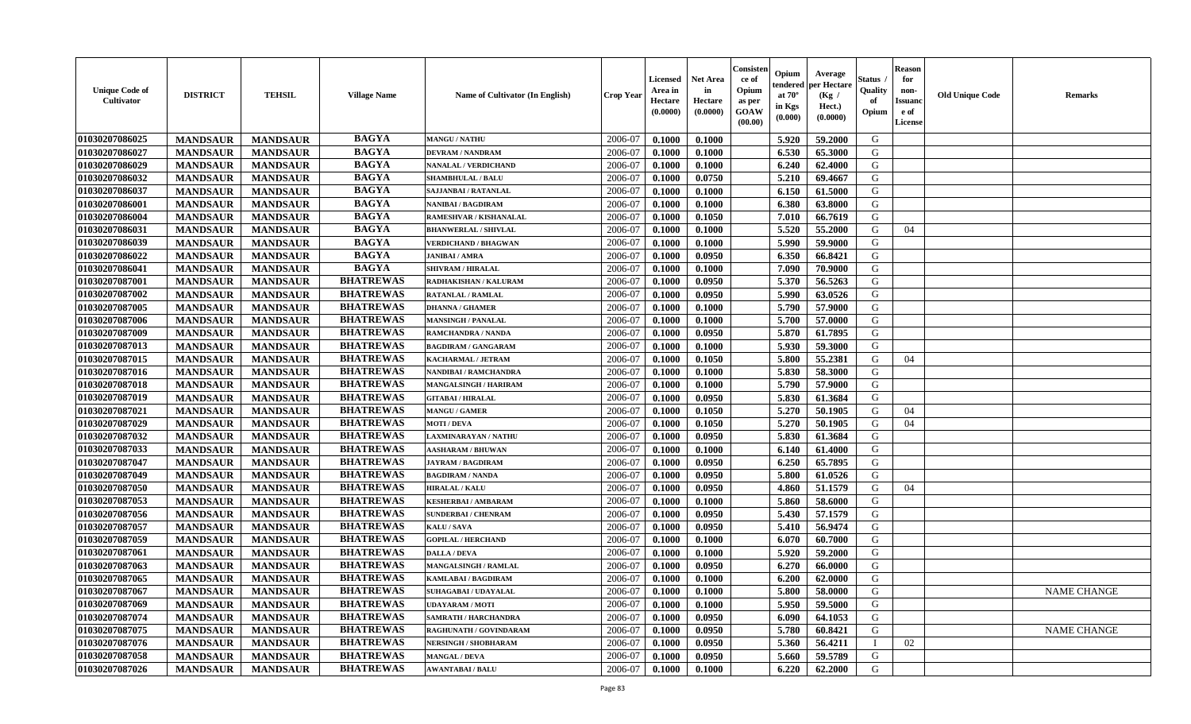| <b>Unique Code of</b><br><b>Cultivator</b> | <b>DISTRICT</b> | <b>TEHSIL</b>   | <b>Village Name</b> | <b>Name of Cultivator (In English)</b> | <b>Crop Year</b> | <b>Licensed</b><br>Area in<br>Hectare<br>(0.0000) | <b>Net Area</b><br>in<br>Hectare<br>(0.0000) | Consister<br>ce of<br>Opium<br>as per<br><b>GOAW</b><br>(00.00) | Opium<br>endered<br>at $70^\circ$<br>in Kgs<br>$(\mathbf{0.000})$ | Average<br>per Hectare<br>(Kg /<br>Hect.)<br>(0.0000) | Status<br>Quality<br>of<br>Opium | Reason<br>for<br>non-<br>Issuan<br>e of<br>License | <b>Old Unique Code</b> | <b>Remarks</b>     |
|--------------------------------------------|-----------------|-----------------|---------------------|----------------------------------------|------------------|---------------------------------------------------|----------------------------------------------|-----------------------------------------------------------------|-------------------------------------------------------------------|-------------------------------------------------------|----------------------------------|----------------------------------------------------|------------------------|--------------------|
| 01030207086025                             | <b>MANDSAUR</b> | <b>MANDSAUR</b> | <b>BAGYA</b>        | <b>MANGU / NATHU</b>                   | 2006-07          | 0.1000                                            | 0.1000                                       |                                                                 | 5.920                                                             | 59.2000                                               | G                                |                                                    |                        |                    |
| 01030207086027                             | <b>MANDSAUR</b> | <b>MANDSAUR</b> | <b>BAGYA</b>        | <b>DEVRAM / NANDRAM</b>                | 2006-07          | 0.1000                                            | 0.1000                                       |                                                                 | 6.530                                                             | 65.3000                                               | G                                |                                                    |                        |                    |
| 01030207086029                             | <b>MANDSAUR</b> | <b>MANDSAUR</b> | <b>BAGYA</b>        | <b>NANALAL / VERDICHAND</b>            | 2006-07          | 0.1000                                            | 0.1000                                       |                                                                 | 6.240                                                             | 62.4000                                               | G                                |                                                    |                        |                    |
| 01030207086032                             | <b>MANDSAUR</b> | <b>MANDSAUR</b> | <b>BAGYA</b>        | <b>SHAMBHULAL / BALU</b>               | 2006-07          | 0.1000                                            | 0.0750                                       |                                                                 | 5.210                                                             | 69.4667                                               | G                                |                                                    |                        |                    |
| 01030207086037                             | <b>MANDSAUR</b> | <b>MANDSAUR</b> | <b>BAGYA</b>        | SAJJANBAI / RATANLAL                   | 2006-07          | 0.1000                                            | 0.1000                                       |                                                                 | 6.150                                                             | 61.5000                                               | G                                |                                                    |                        |                    |
| 01030207086001                             | <b>MANDSAUR</b> | <b>MANDSAUR</b> | <b>BAGYA</b>        | <b>NANIBAI/BAGDIRAM</b>                | 2006-07          | 0.1000                                            | 0.1000                                       |                                                                 | 6.380                                                             | 63.8000                                               | G                                |                                                    |                        |                    |
| 01030207086004                             | <b>MANDSAUR</b> | <b>MANDSAUR</b> | <b>BAGYA</b>        | RAMESHVAR / KISHANALAL                 | 2006-07          | 0.1000                                            | 0.1050                                       |                                                                 | 7.010                                                             | 66.7619                                               | G                                |                                                    |                        |                    |
| 01030207086031                             | <b>MANDSAUR</b> | <b>MANDSAUR</b> | <b>BAGYA</b>        | <b>BHANWERLAL / SHIVLAL</b>            | 2006-07          | 0.1000                                            | 0.1000                                       |                                                                 | 5.520                                                             | 55.2000                                               | G                                | 04                                                 |                        |                    |
| 01030207086039                             | <b>MANDSAUR</b> | <b>MANDSAUR</b> | <b>BAGYA</b>        | <b>VERDICHAND / BHAGWAN</b>            | 2006-07          | 0.1000                                            | 0.1000                                       |                                                                 | 5.990                                                             | 59.9000                                               | G                                |                                                    |                        |                    |
| 01030207086022                             | <b>MANDSAUR</b> | <b>MANDSAUR</b> | <b>BAGYA</b>        | <b>JANIBAI / AMRA</b>                  | 2006-07          | 0.1000                                            | 0.0950                                       |                                                                 | 6.350                                                             | 66.8421                                               | G                                |                                                    |                        |                    |
| 01030207086041                             | <b>MANDSAUR</b> | <b>MANDSAUR</b> | <b>BAGYA</b>        | <b>SHIVRAM / HIRALAL</b>               | 2006-07          | 0.1000                                            | 0.1000                                       |                                                                 | 7.090                                                             | 70.9000                                               | G                                |                                                    |                        |                    |
| 01030207087001                             | <b>MANDSAUR</b> | <b>MANDSAUR</b> | <b>BHATREWAS</b>    | <b>RADHAKISHAN / KALURAM</b>           | 2006-07          | 0.1000                                            | 0.0950                                       |                                                                 | 5.370                                                             | 56.5263                                               | G                                |                                                    |                        |                    |
| 01030207087002                             | <b>MANDSAUR</b> | <b>MANDSAUR</b> | <b>BHATREWAS</b>    | <b>RATANLAL / RAMLAL</b>               | 2006-07          | 0.1000                                            | 0.0950                                       |                                                                 | 5.990                                                             | 63.0526                                               | G                                |                                                    |                        |                    |
| 01030207087005                             | <b>MANDSAUR</b> | <b>MANDSAUR</b> | <b>BHATREWAS</b>    | <b>DHANNA / GHAMER</b>                 | 2006-07          | 0.1000                                            | 0.1000                                       |                                                                 | 5.790                                                             | 57.9000                                               | G                                |                                                    |                        |                    |
| 01030207087006                             | <b>MANDSAUR</b> | <b>MANDSAUR</b> | <b>BHATREWAS</b>    | <b>MANSINGH / PANALAL</b>              | 2006-07          | 0.1000                                            | 0.1000                                       |                                                                 | 5.700                                                             | 57.0000                                               | G                                |                                                    |                        |                    |
| 01030207087009                             | <b>MANDSAUR</b> | <b>MANDSAUR</b> | <b>BHATREWAS</b>    | RAMCHANDRA / NANDA                     | 2006-07          | 0.1000                                            | 0.0950                                       |                                                                 | 5.870                                                             | 61.7895                                               | G                                |                                                    |                        |                    |
| 01030207087013                             | <b>MANDSAUR</b> | <b>MANDSAUR</b> | <b>BHATREWAS</b>    | <b>BAGDIRAM / GANGARAM</b>             | 2006-07          | 0.1000                                            | 0.1000                                       |                                                                 | 5.930                                                             | 59.3000                                               | G                                |                                                    |                        |                    |
| 01030207087015                             | <b>MANDSAUR</b> | <b>MANDSAUR</b> | <b>BHATREWAS</b>    | <b>KACHARMAL / JETRAM</b>              | 2006-07          | 0.1000                                            | 0.1050                                       |                                                                 | 5.800                                                             | 55.2381                                               | G                                | 04                                                 |                        |                    |
| 01030207087016                             | <b>MANDSAUR</b> | <b>MANDSAUR</b> | <b>BHATREWAS</b>    | NANDIBAI / RAMCHANDRA                  | 2006-07          | 0.1000                                            | 0.1000                                       |                                                                 | 5.830                                                             | 58.3000                                               | G                                |                                                    |                        |                    |
| 01030207087018                             | <b>MANDSAUR</b> | <b>MANDSAUR</b> | <b>BHATREWAS</b>    | <b>MANGALSINGH / HARIRAM</b>           | 2006-07          | 0.1000                                            | 0.1000                                       |                                                                 | 5.790                                                             | 57.9000                                               | G                                |                                                    |                        |                    |
| 01030207087019                             | <b>MANDSAUR</b> | <b>MANDSAUR</b> | <b>BHATREWAS</b>    | <b>GITABAI/HIRALAL</b>                 | 2006-07          | 0.1000                                            | 0.0950                                       |                                                                 | 5.830                                                             | 61.3684                                               | G                                |                                                    |                        |                    |
| 01030207087021                             | <b>MANDSAUR</b> | <b>MANDSAUR</b> | <b>BHATREWAS</b>    | <b>MANGU / GAMER</b>                   | 2006-07          | 0.1000                                            | 0.1050                                       |                                                                 | 5.270                                                             | 50.1905                                               | G                                | 04                                                 |                        |                    |
| 01030207087029                             | <b>MANDSAUR</b> | <b>MANDSAUR</b> | <b>BHATREWAS</b>    | <b>MOTI / DEVA</b>                     | 2006-07          | 0.1000                                            | 0.1050                                       |                                                                 | 5.270                                                             | 50.1905                                               | G                                | 04                                                 |                        |                    |
| 01030207087032                             | <b>MANDSAUR</b> | <b>MANDSAUR</b> | <b>BHATREWAS</b>    | LAXMINARAYAN / NATHU                   | 2006-07          | 0.1000                                            | 0.0950                                       |                                                                 | 5.830                                                             | 61.3684                                               | G                                |                                                    |                        |                    |
| 01030207087033                             | <b>MANDSAUR</b> | <b>MANDSAUR</b> | <b>BHATREWAS</b>    | <b>AASHARAM / BHUWAN</b>               | 2006-07          | 0.1000                                            | 0.1000                                       |                                                                 | 6.140                                                             | 61.4000                                               | G                                |                                                    |                        |                    |
| 01030207087047                             | <b>MANDSAUR</b> | <b>MANDSAUR</b> | <b>BHATREWAS</b>    | <b>JAYRAM / BAGDIRAM</b>               | 2006-07          | 0.1000                                            | 0.0950                                       |                                                                 | 6.250                                                             | 65.7895                                               | G                                |                                                    |                        |                    |
| 01030207087049                             | <b>MANDSAUR</b> | <b>MANDSAUR</b> | <b>BHATREWAS</b>    | <b>BAGDIRAM / NANDA</b>                | 2006-07          | 0.1000                                            | 0.0950                                       |                                                                 | 5.800                                                             | 61.0526                                               | G                                |                                                    |                        |                    |
| 01030207087050                             | <b>MANDSAUR</b> | <b>MANDSAUR</b> | <b>BHATREWAS</b>    | <b>HIRALAL / KALU</b>                  | 2006-07          | 0.1000                                            | 0.0950                                       |                                                                 | 4.860                                                             | 51.1579                                               | G                                | 04                                                 |                        |                    |
| 01030207087053                             | <b>MANDSAUR</b> | <b>MANDSAUR</b> | <b>BHATREWAS</b>    | <b>KESHERBAI/AMBARAM</b>               | 2006-07          | 0.1000                                            | 0.1000                                       |                                                                 | 5.860                                                             | 58.6000                                               | G                                |                                                    |                        |                    |
| 01030207087056                             | <b>MANDSAUR</b> | <b>MANDSAUR</b> | <b>BHATREWAS</b>    | <b>SUNDERBAI/ CHENRAM</b>              | 2006-07          | 0.1000                                            | 0.0950                                       |                                                                 | 5.430                                                             | 57.1579                                               | G                                |                                                    |                        |                    |
| 01030207087057                             | <b>MANDSAUR</b> | <b>MANDSAUR</b> | <b>BHATREWAS</b>    | KALU / SAVA                            | 2006-07          | 0.1000                                            | 0.0950                                       |                                                                 | 5.410                                                             | 56.9474                                               | G                                |                                                    |                        |                    |
| 01030207087059                             | <b>MANDSAUR</b> | <b>MANDSAUR</b> | <b>BHATREWAS</b>    | <b>GOPILAL / HERCHAND</b>              | 2006-07          | 0.1000                                            | 0.1000                                       |                                                                 | 6.070                                                             | 60.7000                                               | G                                |                                                    |                        |                    |
| 01030207087061                             | <b>MANDSAUR</b> | <b>MANDSAUR</b> | <b>BHATREWAS</b>    | <b>DALLA / DEVA</b>                    | 2006-07          | 0.1000                                            | 0.1000                                       |                                                                 | 5.920                                                             | 59.2000                                               | G                                |                                                    |                        |                    |
| 01030207087063                             | <b>MANDSAUR</b> | <b>MANDSAUR</b> | <b>BHATREWAS</b>    | <b>MANGALSINGH / RAMLAL</b>            | 2006-07          | 0.1000                                            | 0.0950                                       |                                                                 | 6.270                                                             | 66.0000                                               | G                                |                                                    |                        |                    |
| 01030207087065                             | <b>MANDSAUR</b> | <b>MANDSAUR</b> | <b>BHATREWAS</b>    | <b>KAMLABAI/BAGDIRAM</b>               | 2006-07          | 0.1000                                            | 0.1000                                       |                                                                 | 6.200                                                             | 62.0000                                               | G                                |                                                    |                        |                    |
| 01030207087067                             | <b>MANDSAUR</b> | <b>MANDSAUR</b> | <b>BHATREWAS</b>    | <b>SUHAGABAI / UDAYALAL</b>            | 2006-07          | 0.1000                                            | 0.1000                                       |                                                                 |                                                                   | 5.800 58.0000                                         | G                                |                                                    |                        | <b>NAME CHANGE</b> |
| 01030207087069                             | <b>MANDSAUR</b> | <b>MANDSAUR</b> | <b>BHATREWAS</b>    | <b>UDAYARAM / MOTI</b>                 | 2006-07          | 0.1000                                            | 0.1000                                       |                                                                 | 5.950                                                             | 59.5000                                               | G                                |                                                    |                        |                    |
| 01030207087074                             | <b>MANDSAUR</b> | <b>MANDSAUR</b> | <b>BHATREWAS</b>    | <b>SAMRATH / HARCHANDRA</b>            | 2006-07          | 0.1000                                            | 0.0950                                       |                                                                 | 6.090                                                             | 64.1053                                               | G                                |                                                    |                        |                    |
| 01030207087075                             | <b>MANDSAUR</b> | <b>MANDSAUR</b> | <b>BHATREWAS</b>    | RAGHUNATH / GOVINDARAM                 | 2006-07          | 0.1000                                            | 0.0950                                       |                                                                 | 5.780                                                             | 60.8421                                               | G                                |                                                    |                        | <b>NAME CHANGE</b> |
| 01030207087076                             | <b>MANDSAUR</b> | <b>MANDSAUR</b> | <b>BHATREWAS</b>    | <b>NERSINGH / SHOBHARAM</b>            | 2006-07          | 0.1000                                            | 0.0950                                       |                                                                 | 5.360                                                             | 56.4211                                               | $\blacksquare$                   | 02                                                 |                        |                    |
| 01030207087058                             | <b>MANDSAUR</b> | <b>MANDSAUR</b> | <b>BHATREWAS</b>    | <b>MANGAL / DEVA</b>                   | 2006-07          | 0.1000                                            | 0.0950                                       |                                                                 | 5.660                                                             | 59.5789                                               | G                                |                                                    |                        |                    |
| 01030207087026                             | <b>MANDSAUR</b> | <b>MANDSAUR</b> | <b>BHATREWAS</b>    | <b>AWANTABAI/BALU</b>                  | 2006-07          | 0.1000                                            | 0.1000                                       |                                                                 | 6.220                                                             | 62.2000                                               | G                                |                                                    |                        |                    |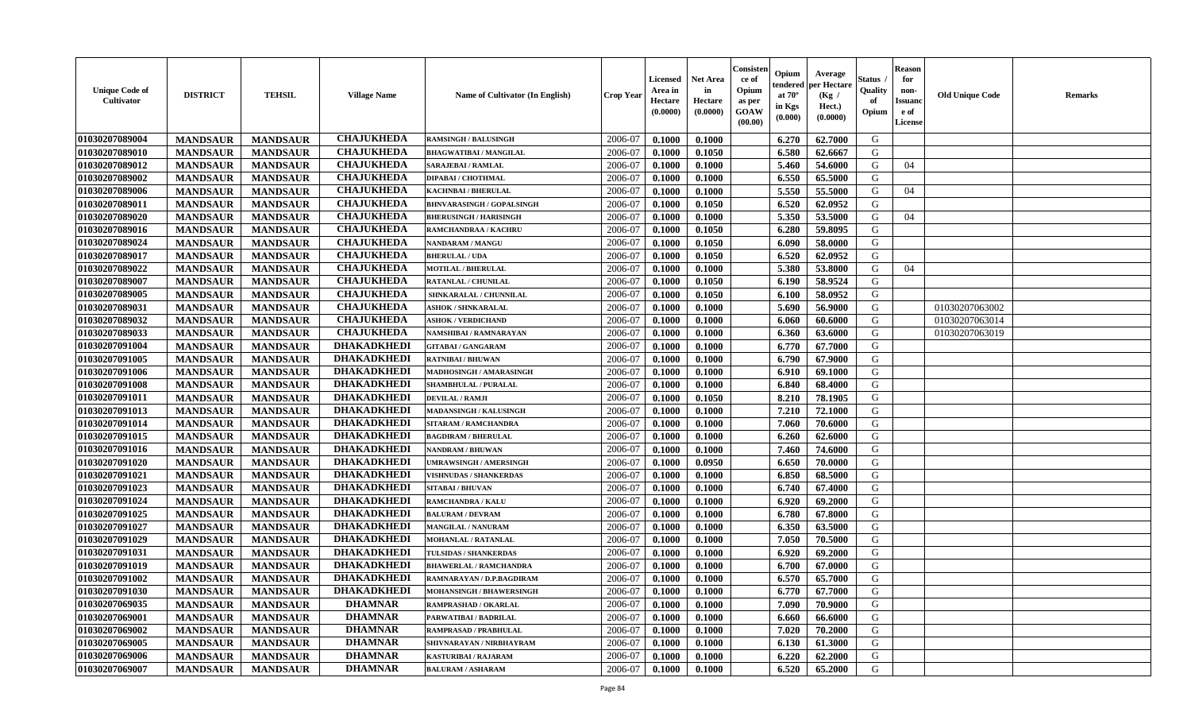| <b>Unique Code of</b><br><b>Cultivator</b> | <b>DISTRICT</b> | <b>TEHSIL</b>   | <b>Village Name</b> | <b>Name of Cultivator (In English)</b> | <b>Crop Year</b> | Licensed<br>Area in<br>Hectare<br>(0.0000) | Net Area<br>in<br>Hectare<br>(0.0000) | Consisteı<br>ce of<br>Opium<br>as per<br>GOAW<br>(00.00) | Opium<br>endered<br>at $70^\circ$<br>in Kgs<br>(0.000) | Average<br>per Hectare<br>(Kg /<br>Hect.)<br>(0.0000) | Status<br>Quality<br>of<br>Opium | <b>Reason</b><br>for<br>non-<br>Issuano<br>e of<br>License | <b>Old Unique Code</b> | Remarks |
|--------------------------------------------|-----------------|-----------------|---------------------|----------------------------------------|------------------|--------------------------------------------|---------------------------------------|----------------------------------------------------------|--------------------------------------------------------|-------------------------------------------------------|----------------------------------|------------------------------------------------------------|------------------------|---------|
| 01030207089004                             | <b>MANDSAUR</b> | <b>MANDSAUR</b> | <b>CHAJUKHEDA</b>   | <b>RAMSINGH / BALUSINGH</b>            | 2006-07          | 0.1000                                     | 0.1000                                |                                                          | 6.270                                                  | 62.7000                                               | G                                |                                                            |                        |         |
| 01030207089010                             | <b>MANDSAUR</b> | <b>MANDSAUR</b> | <b>CHAJUKHEDA</b>   | <b>BHAGWATIBAI / MANGILAL</b>          | 2006-07          | 0.1000                                     | 0.1050                                |                                                          | 6.580                                                  | 62.6667                                               | G                                |                                                            |                        |         |
| 01030207089012                             | <b>MANDSAUR</b> | <b>MANDSAUR</b> | <b>CHAJUKHEDA</b>   | <b>SARAJEBAI / RAMLAL</b>              | 2006-07          | 0.1000                                     | 0.1000                                |                                                          | 5.460                                                  | 54.6000                                               | G                                | 04                                                         |                        |         |
| 01030207089002                             | <b>MANDSAUR</b> | <b>MANDSAUR</b> | <b>CHAJUKHEDA</b>   | DIPABAI / CHOTHMAL                     | 2006-07          | 0.1000                                     | 0.1000                                |                                                          | 6.550                                                  | 65.5000                                               | G                                |                                                            |                        |         |
| 01030207089006                             | <b>MANDSAUR</b> | <b>MANDSAUR</b> | <b>CHAJUKHEDA</b>   | <b>KACHNBAI/BHERULAL</b>               | 2006-07          | 0.1000                                     | 0.1000                                |                                                          | 5.550                                                  | 55.5000                                               | G                                | 04                                                         |                        |         |
| 01030207089011                             | <b>MANDSAUR</b> | <b>MANDSAUR</b> | <b>CHAJUKHEDA</b>   | <b>BHNVARASINGH / GOPALSINGH</b>       | 2006-07          | 0.1000                                     | 0.1050                                |                                                          | 6.520                                                  | 62.0952                                               | G                                |                                                            |                        |         |
| 01030207089020                             | <b>MANDSAUR</b> | <b>MANDSAUR</b> | <b>CHAJUKHEDA</b>   | <b>BHERUSINGH / HARISINGH</b>          | 2006-07          | 0.1000                                     | 0.1000                                |                                                          | 5.350                                                  | 53.5000                                               | G                                | 04                                                         |                        |         |
| 01030207089016                             | <b>MANDSAUR</b> | <b>MANDSAUR</b> | <b>CHAJUKHEDA</b>   | RAMCHANDRAA / KACHRU                   | 2006-07          | 0.1000                                     | 0.1050                                |                                                          | 6.280                                                  | 59.8095                                               | G                                |                                                            |                        |         |
| 01030207089024                             | <b>MANDSAUR</b> | <b>MANDSAUR</b> | <b>CHAJUKHEDA</b>   | <b>NANDARAM / MANGU</b>                | 2006-07          | 0.1000                                     | 0.1050                                |                                                          | 6.090                                                  | 58.0000                                               | G                                |                                                            |                        |         |
| 01030207089017                             | <b>MANDSAUR</b> | <b>MANDSAUR</b> | <b>CHAJUKHEDA</b>   | <b>BHERULAL / UDA</b>                  | 2006-07          | 0.1000                                     | 0.1050                                |                                                          | 6.520                                                  | 62.0952                                               | G                                |                                                            |                        |         |
| 01030207089022                             | <b>MANDSAUR</b> | <b>MANDSAUR</b> | <b>CHAJUKHEDA</b>   | <b>MOTILAL / BHERULAL</b>              | 2006-07          | 0.1000                                     | 0.1000                                |                                                          | 5.380                                                  | 53.8000                                               | G                                | 04                                                         |                        |         |
| 01030207089007                             | <b>MANDSAUR</b> | <b>MANDSAUR</b> | <b>CHAJUKHEDA</b>   | RATANLAL / CHUNILAL                    | 2006-07          | 0.1000                                     | 0.1050                                |                                                          | 6.190                                                  | 58.9524                                               | G                                |                                                            |                        |         |
| 01030207089005                             | <b>MANDSAUR</b> | <b>MANDSAUR</b> | <b>CHAJUKHEDA</b>   | SHNKARALAL / CHUNNILAL                 | 2006-07          | 0.1000                                     | 0.1050                                |                                                          | 6.100                                                  | 58.0952                                               | G                                |                                                            |                        |         |
| 01030207089031                             | <b>MANDSAUR</b> | <b>MANDSAUR</b> | <b>CHAJUKHEDA</b>   | <b>ASHOK / SHNKARALAL</b>              | 2006-07          | 0.1000                                     | 0.1000                                |                                                          | 5.690                                                  | 56.9000                                               | G                                |                                                            | 01030207063002         |         |
| 01030207089032                             | <b>MANDSAUR</b> | <b>MANDSAUR</b> | <b>CHAJUKHEDA</b>   | <b>ASHOK / VERDICHAND</b>              | 2006-07          | 0.1000                                     | 0.1000                                |                                                          | 6.060                                                  | 60.6000                                               | G                                |                                                            | 01030207063014         |         |
| 01030207089033                             | <b>MANDSAUR</b> | <b>MANDSAUR</b> | <b>CHAJUKHEDA</b>   | NAMSHIBAI / RAMNARAYAN                 | 2006-07          | 0.1000                                     | 0.1000                                |                                                          | 6.360                                                  | 63.6000                                               | G                                |                                                            | 01030207063019         |         |
| 01030207091004                             | <b>MANDSAUR</b> | <b>MANDSAUR</b> | <b>DHAKADKHEDI</b>  | <b>GITABAI/ GANGARAM</b>               | 2006-07          | 0.1000                                     | 0.1000                                |                                                          | 6.770                                                  | 67.7000                                               | G                                |                                                            |                        |         |
| 01030207091005                             | <b>MANDSAUR</b> | <b>MANDSAUR</b> | <b>DHAKADKHEDI</b>  | <b>RATNIBAI / BHUWAN</b>               | 2006-07          | 0.1000                                     | 0.1000                                |                                                          | 6.790                                                  | 67.9000                                               | G                                |                                                            |                        |         |
| 01030207091006                             | <b>MANDSAUR</b> | <b>MANDSAUR</b> | <b>DHAKADKHEDI</b>  | MADHOSINGH / AMARASINGH                | 2006-07          | 0.1000                                     | 0.1000                                |                                                          | 6.910                                                  | 69.1000                                               | G                                |                                                            |                        |         |
| 01030207091008                             | <b>MANDSAUR</b> | <b>MANDSAUR</b> | <b>DHAKADKHEDI</b>  | <b>SHAMBHULAL / PURALAL</b>            | 2006-07          | 0.1000                                     | 0.1000                                |                                                          | 6.840                                                  | 68.4000                                               | G                                |                                                            |                        |         |
| 01030207091011                             | <b>MANDSAUR</b> | <b>MANDSAUR</b> | <b>DHAKADKHEDI</b>  | <b>DEVILAL / RAMJI</b>                 | 2006-07          | 0.1000                                     | 0.1050                                |                                                          | 8.210                                                  | 78.1905                                               | G                                |                                                            |                        |         |
| 01030207091013                             | <b>MANDSAUR</b> | <b>MANDSAUR</b> | <b>DHAKADKHEDI</b>  | <b>MADANSINGH / KALUSINGH</b>          | 2006-07          | 0.1000                                     | 0.1000                                |                                                          | 7.210                                                  | 72.1000                                               | G                                |                                                            |                        |         |
| 01030207091014                             | <b>MANDSAUR</b> | <b>MANDSAUR</b> | <b>DHAKADKHEDI</b>  | SITARAM / RAMCHANDRA                   | 2006-07          | 0.1000                                     | 0.1000                                |                                                          | 7.060                                                  | 70.6000                                               | G                                |                                                            |                        |         |
| 01030207091015                             | <b>MANDSAUR</b> | <b>MANDSAUR</b> | <b>DHAKADKHEDI</b>  | <b>BAGDIRAM / BHERULAL</b>             | 2006-07          | 0.1000                                     | 0.1000                                |                                                          | 6.260                                                  | 62.6000                                               | G                                |                                                            |                        |         |
| 01030207091016                             | <b>MANDSAUR</b> | <b>MANDSAUR</b> | <b>DHAKADKHEDI</b>  | <b>NANDRAM / BHUWAN</b>                | 2006-07          | 0.1000                                     | 0.1000                                |                                                          | 7.460                                                  | 74.6000                                               | G                                |                                                            |                        |         |
| 01030207091020                             | <b>MANDSAUR</b> | <b>MANDSAUR</b> | <b>DHAKADKHEDI</b>  | <b>UMRAWSINGH / AMERSINGH</b>          | 2006-07          | 0.1000                                     | 0.0950                                |                                                          | 6.650                                                  | 70.0000                                               | G                                |                                                            |                        |         |
| 01030207091021                             | <b>MANDSAUR</b> | <b>MANDSAUR</b> | <b>DHAKADKHEDI</b>  | <b>VISHNUDAS / SHANKERDAS</b>          | 2006-07          | 0.1000                                     | 0.1000                                |                                                          | 6.850                                                  | 68.5000                                               | G                                |                                                            |                        |         |
| 01030207091023                             | <b>MANDSAUR</b> | <b>MANDSAUR</b> | <b>DHAKADKHEDI</b>  | <b>SITABAI/BHUVAN</b>                  | 2006-07          | 0.1000                                     | 0.1000                                |                                                          | 6.740                                                  | 67.4000                                               | G                                |                                                            |                        |         |
| 01030207091024                             | <b>MANDSAUR</b> | <b>MANDSAUR</b> | <b>DHAKADKHEDI</b>  | <b>RAMCHANDRA / KALU</b>               | 2006-07          | 0.1000                                     | 0.1000                                |                                                          | 6.920                                                  | 69.2000                                               | G                                |                                                            |                        |         |
| 01030207091025                             | <b>MANDSAUR</b> | <b>MANDSAUR</b> | <b>DHAKADKHEDI</b>  | <b>BALURAM / DEVRAM</b>                | 2006-07          | 0.1000                                     | 0.1000                                |                                                          | 6.780                                                  | 67.8000                                               | G                                |                                                            |                        |         |
| 01030207091027                             | <b>MANDSAUR</b> | <b>MANDSAUR</b> | <b>DHAKADKHEDI</b>  | <b>MANGILAL / NANURAM</b>              | 2006-07          | 0.1000                                     | 0.1000                                |                                                          | 6.350                                                  | 63.5000                                               | G                                |                                                            |                        |         |
| 01030207091029                             | <b>MANDSAUR</b> | <b>MANDSAUR</b> | <b>DHAKADKHEDI</b>  | <b>MOHANLAL / RATANLAL</b>             | 2006-07          | 0.1000                                     | 0.1000                                |                                                          | 7.050                                                  | 70.5000                                               | G                                |                                                            |                        |         |
| 01030207091031                             | <b>MANDSAUR</b> | <b>MANDSAUR</b> | <b>DHAKADKHEDI</b>  | TULSIDAS / SHANKERDAS                  | 2006-07          | 0.1000                                     | 0.1000                                |                                                          | 6.920                                                  | 69.2000                                               | G                                |                                                            |                        |         |
| 01030207091019                             | <b>MANDSAUR</b> | <b>MANDSAUR</b> | <b>DHAKADKHEDI</b>  | <b>BHAWERLAL / RAMCHANDRA</b>          | 2006-07          | 0.1000                                     | 0.1000                                |                                                          | 6.700                                                  | 67.0000                                               | G                                |                                                            |                        |         |
| 01030207091002                             | <b>MANDSAUR</b> | <b>MANDSAUR</b> | <b>DHAKADKHEDI</b>  | RAMNARAYAN / D.P.BAGDIRAM              | 2006-07          | 0.1000                                     | 0.1000                                |                                                          | 6.570                                                  | 65.7000                                               | G                                |                                                            |                        |         |
| 01030207091030                             | <b>MANDSAUR</b> | <b>MANDSAUR</b> | <b>DHAKADKHEDI</b>  | <b>MOHANSINGH / BHAWERSINGH</b>        | 2006-07          | 0.1000                                     | 0.1000                                |                                                          | 6.770                                                  | 67.7000                                               | G                                |                                                            |                        |         |
| 01030207069035                             | <b>MANDSAUR</b> | <b>MANDSAUR</b> | <b>DHAMNAR</b>      | RAMPRASHAD / OKARLAL                   | 2006-07          | 0.1000                                     | 0.1000                                |                                                          | 7.090                                                  | 70.9000                                               | G                                |                                                            |                        |         |
| 01030207069001                             | <b>MANDSAUR</b> | <b>MANDSAUR</b> | <b>DHAMNAR</b>      | PARWATIBAI / BADRILAL                  | 2006-07          | 0.1000                                     | 0.1000                                |                                                          | 6.660                                                  | 66.6000                                               | G                                |                                                            |                        |         |
| 01030207069002                             | <b>MANDSAUR</b> | <b>MANDSAUR</b> | <b>DHAMNAR</b>      | RAMPRASAD / PRABHULAL                  | 2006-07          | 0.1000                                     | 0.1000                                |                                                          | 7.020                                                  | 70.2000                                               | G                                |                                                            |                        |         |
| 01030207069005                             | <b>MANDSAUR</b> | <b>MANDSAUR</b> | <b>DHAMNAR</b>      | SHIVNARAYAN / NIRBHAYRAM               | 2006-07          | 0.1000                                     | 0.1000                                |                                                          | 6.130                                                  | 61.3000                                               | ${\bf G}$                        |                                                            |                        |         |
| 01030207069006                             | <b>MANDSAUR</b> | <b>MANDSAUR</b> | <b>DHAMNAR</b>      | KASTURIBAI / RAJARAM                   | 2006-07          | 0.1000                                     | 0.1000                                |                                                          | 6.220                                                  | 62.2000                                               | G                                |                                                            |                        |         |
| 01030207069007                             | <b>MANDSAUR</b> | <b>MANDSAUR</b> | <b>DHAMNAR</b>      | <b>BALURAM / ASHARAM</b>               | 2006-07          | 0.1000                                     | 0.1000                                |                                                          | 6.520                                                  | 65.2000                                               | G                                |                                                            |                        |         |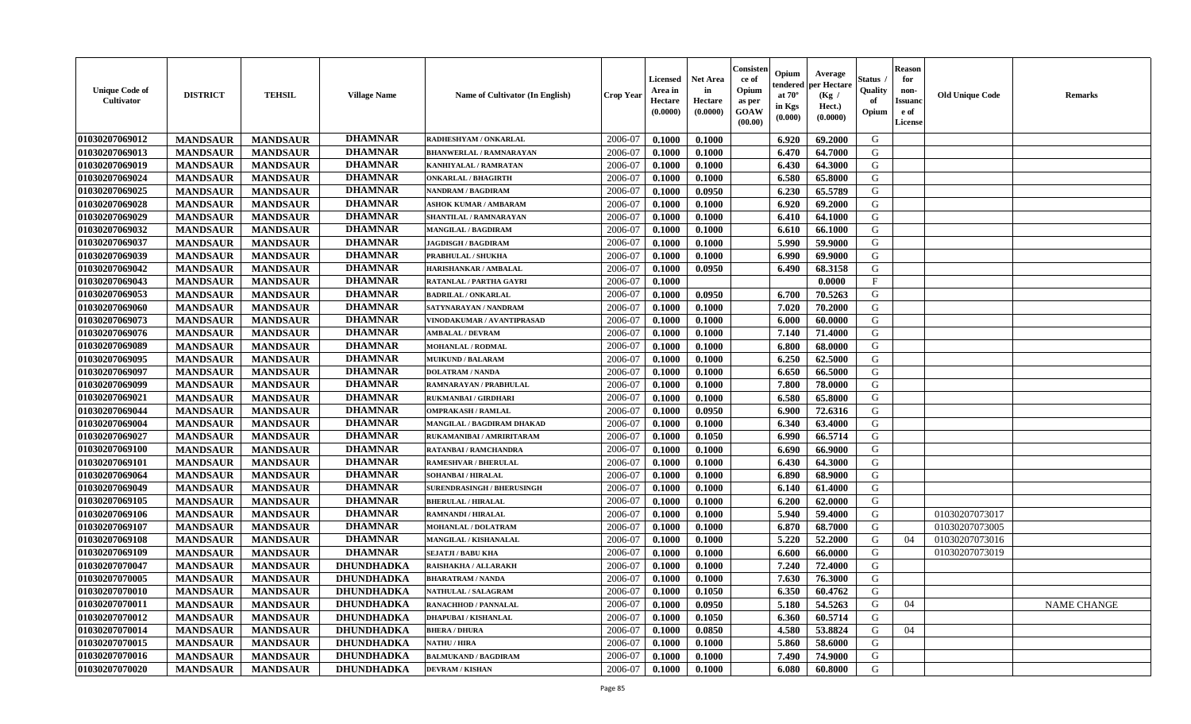| <b>Unique Code of</b><br>Cultivator | <b>DISTRICT</b> | <b>TEHSIL</b>   | <b>Village Name</b> | <b>Name of Cultivator (In English)</b> | <b>Crop Year</b> | <b>Licensed</b><br>Area in<br>Hectare<br>(0.0000) | <b>Net Area</b><br>in<br>Hectare<br>(0.0000) | Consisten<br>ce of<br>Opium<br>as per<br><b>GOAW</b><br>(00.00) | Opium<br>tendered<br>at $70^\circ$<br>in Kgs<br>(0.000) | Average<br>per Hectare<br>(Kg /<br>Hect.)<br>(0.0000) | Status .<br>Quality<br>of<br>Opium | <b>Reason</b><br>for<br>non-<br><b>Issuanc</b><br>e of<br>License | <b>Old Unique Code</b> | <b>Remarks</b> |
|-------------------------------------|-----------------|-----------------|---------------------|----------------------------------------|------------------|---------------------------------------------------|----------------------------------------------|-----------------------------------------------------------------|---------------------------------------------------------|-------------------------------------------------------|------------------------------------|-------------------------------------------------------------------|------------------------|----------------|
| 01030207069012                      | <b>MANDSAUR</b> | <b>MANDSAUR</b> | <b>DHAMNAR</b>      | RADHESHYAM / ONKARLAL                  | 2006-07          | 0.1000                                            | 0.1000                                       |                                                                 | 6.920                                                   | 69.2000                                               | G                                  |                                                                   |                        |                |
| 01030207069013                      | <b>MANDSAUR</b> | <b>MANDSAUR</b> | <b>DHAMNAR</b>      | <b>BHANWERLAL / RAMNARAYAN</b>         | 2006-07          | 0.1000                                            | 0.1000                                       |                                                                 | 6.470                                                   | 64.7000                                               | G                                  |                                                                   |                        |                |
| 01030207069019                      | <b>MANDSAUR</b> | <b>MANDSAUR</b> | <b>DHAMNAR</b>      | KANHIYALAL / RAMRATAN                  | 2006-07          | 0.1000                                            | 0.1000                                       |                                                                 | 6.430                                                   | 64.3000                                               | G                                  |                                                                   |                        |                |
| 01030207069024                      | <b>MANDSAUR</b> | <b>MANDSAUR</b> | <b>DHAMNAR</b>      | <b>ONKARLAL / BHAGIRTH</b>             | 2006-07          | 0.1000                                            | 0.1000                                       |                                                                 | 6.580                                                   | 65.8000                                               | G                                  |                                                                   |                        |                |
| 01030207069025                      | <b>MANDSAUR</b> | <b>MANDSAUR</b> | <b>DHAMNAR</b>      | NANDRAM / BAGDIRAM                     | 2006-07          | 0.1000                                            | 0.0950                                       |                                                                 | 6.230                                                   | 65.5789                                               | G                                  |                                                                   |                        |                |
| 01030207069028                      | <b>MANDSAUR</b> | <b>MANDSAUR</b> | <b>DHAMNAR</b>      | <b>ASHOK KUMAR / AMBARAM</b>           | 2006-07          | 0.1000                                            | 0.1000                                       |                                                                 | 6.920                                                   | 69.2000                                               | G                                  |                                                                   |                        |                |
| 01030207069029                      | <b>MANDSAUR</b> | <b>MANDSAUR</b> | <b>DHAMNAR</b>      | SHANTILAL / RAMNARAYAN                 | 2006-07          | 0.1000                                            | 0.1000                                       |                                                                 | 6.410                                                   | 64.1000                                               | G                                  |                                                                   |                        |                |
| 01030207069032                      | <b>MANDSAUR</b> | <b>MANDSAUR</b> | <b>DHAMNAR</b>      | MANGILAL / BAGDIRAM                    | 2006-07          | 0.1000                                            | 0.1000                                       |                                                                 | 6.610                                                   | 66.1000                                               | G                                  |                                                                   |                        |                |
| 01030207069037                      | <b>MANDSAUR</b> | <b>MANDSAUR</b> | <b>DHAMNAR</b>      | <b>JAGDISGH / BAGDIRAM</b>             | 2006-07          | 0.1000                                            | 0.1000                                       |                                                                 | 5.990                                                   | 59.9000                                               | G                                  |                                                                   |                        |                |
| 01030207069039                      | <b>MANDSAUR</b> | <b>MANDSAUR</b> | <b>DHAMNAR</b>      | PRABHULAL / SHUKHA                     | 2006-07          | 0.1000                                            | 0.1000                                       |                                                                 | 6.990                                                   | 69.9000                                               | G                                  |                                                                   |                        |                |
| 01030207069042                      | <b>MANDSAUR</b> | <b>MANDSAUR</b> | <b>DHAMNAR</b>      | HARISHANKAR / AMBALAL                  | 2006-07          | 0.1000                                            | 0.0950                                       |                                                                 | 6.490                                                   | 68.3158                                               | G                                  |                                                                   |                        |                |
| 01030207069043                      | <b>MANDSAUR</b> | <b>MANDSAUR</b> | <b>DHAMNAR</b>      | RATANLAL / PARTHA GAYRI                | 2006-07          | 0.1000                                            |                                              |                                                                 |                                                         | 0.0000                                                | $\mathbf{F}$                       |                                                                   |                        |                |
| 01030207069053                      | <b>MANDSAUR</b> | <b>MANDSAUR</b> | <b>DHAMNAR</b>      | <b>BADRILAL / ONKARLAL</b>             | 2006-07          | 0.1000                                            | 0.0950                                       |                                                                 | 6.700                                                   | 70.5263                                               | G                                  |                                                                   |                        |                |
| 01030207069060                      | <b>MANDSAUR</b> | <b>MANDSAUR</b> | <b>DHAMNAR</b>      | SATYNARAYAN / NANDRAM                  | 2006-07          | 0.1000                                            | 0.1000                                       |                                                                 | 7.020                                                   | 70.2000                                               | G                                  |                                                                   |                        |                |
| 01030207069073                      | <b>MANDSAUR</b> | <b>MANDSAUR</b> | <b>DHAMNAR</b>      | VINODAKUMAR / AVANTIPRASAD             | 2006-07          | 0.1000                                            | 0.1000                                       |                                                                 | 6.000                                                   | 60.0000                                               | G                                  |                                                                   |                        |                |
| 01030207069076                      | <b>MANDSAUR</b> | <b>MANDSAUR</b> | <b>DHAMNAR</b>      | <b>AMBALAL / DEVRAM</b>                | 2006-07          | 0.1000                                            | 0.1000                                       |                                                                 | 7.140                                                   | 71.4000                                               | G                                  |                                                                   |                        |                |
| 01030207069089                      | <b>MANDSAUR</b> | <b>MANDSAUR</b> | <b>DHAMNAR</b>      | <b>MOHANLAL / RODMAL</b>               | 2006-07          | 0.1000                                            | 0.1000                                       |                                                                 | 6.800                                                   | 68.0000                                               | G                                  |                                                                   |                        |                |
| 01030207069095                      | <b>MANDSAUR</b> | <b>MANDSAUR</b> | <b>DHAMNAR</b>      | <b>MUIKUND / BALARAM</b>               | 2006-07          | 0.1000                                            | 0.1000                                       |                                                                 | 6.250                                                   | 62.5000                                               | G                                  |                                                                   |                        |                |
| 01030207069097                      | <b>MANDSAUR</b> | <b>MANDSAUR</b> | <b>DHAMNAR</b>      | <b>DOLATRAM / NANDA</b>                | 2006-07          | 0.1000                                            | 0.1000                                       |                                                                 | 6.650                                                   | 66.5000                                               | G                                  |                                                                   |                        |                |
| 01030207069099                      | <b>MANDSAUR</b> | <b>MANDSAUR</b> | <b>DHAMNAR</b>      | RAMNARAYAN / PRABHULAL                 | 2006-07          | 0.1000                                            | 0.1000                                       |                                                                 | 7.800                                                   | 78.0000                                               | G                                  |                                                                   |                        |                |
| 01030207069021                      | <b>MANDSAUR</b> | <b>MANDSAUR</b> | <b>DHAMNAR</b>      | RUKMANBAI / GIRDHARI                   | 2006-07          | 0.1000                                            | 0.1000                                       |                                                                 | 6.580                                                   | 65.8000                                               | G                                  |                                                                   |                        |                |
| 01030207069044                      | <b>MANDSAUR</b> | <b>MANDSAUR</b> | <b>DHAMNAR</b>      | <b>OMPRAKASH / RAMLAL</b>              | 2006-07          | 0.1000                                            | 0.0950                                       |                                                                 | 6.900                                                   | 72.6316                                               | G                                  |                                                                   |                        |                |
| 01030207069004                      | <b>MANDSAUR</b> | <b>MANDSAUR</b> | <b>DHAMNAR</b>      | MANGILAL / BAGDIRAM DHAKAD             | 2006-07          | 0.1000                                            | 0.1000                                       |                                                                 | 6.340                                                   | 63.4000                                               | G                                  |                                                                   |                        |                |
| 01030207069027                      | <b>MANDSAUR</b> | <b>MANDSAUR</b> | <b>DHAMNAR</b>      | RUKAMANIBAI / AMRIRITARAM              | 2006-07          | 0.1000                                            | 0.1050                                       |                                                                 | 6.990                                                   | 66.5714                                               | G                                  |                                                                   |                        |                |
| 01030207069100                      | <b>MANDSAUR</b> | <b>MANDSAUR</b> | <b>DHAMNAR</b>      | RATANBAI / RAMCHANDRA                  | 2006-07          | 0.1000                                            | 0.1000                                       |                                                                 | 6.690                                                   | 66.9000                                               | G                                  |                                                                   |                        |                |
| 01030207069101                      | <b>MANDSAUR</b> | <b>MANDSAUR</b> | <b>DHAMNAR</b>      | <b>RAMESHVAR / BHERULAL</b>            | 2006-07          | 0.1000                                            | 0.1000                                       |                                                                 | 6.430                                                   | 64.3000                                               | G                                  |                                                                   |                        |                |
| 01030207069064                      | <b>MANDSAUR</b> | <b>MANDSAUR</b> | <b>DHAMNAR</b>      | SOHANBAI / HIRALAL                     | 2006-07          | 0.1000                                            | 0.1000                                       |                                                                 | 6.890                                                   | 68.9000                                               | G                                  |                                                                   |                        |                |
| 01030207069049                      | <b>MANDSAUR</b> | <b>MANDSAUR</b> | <b>DHAMNAR</b>      | <b>SURENDRASINGH / BHERUSINGH</b>      | 2006-07          | 0.1000                                            | 0.1000                                       |                                                                 | 6.140                                                   | 61.4000                                               | G                                  |                                                                   |                        |                |
| 01030207069105                      | <b>MANDSAUR</b> | <b>MANDSAUR</b> | <b>DHAMNAR</b>      | <b>BHERULAL / HIRALAL</b>              | 2006-07          | 0.1000                                            | 0.1000                                       |                                                                 | 6.200                                                   | 62.0000                                               | G                                  |                                                                   |                        |                |
| 01030207069106                      | <b>MANDSAUR</b> | <b>MANDSAUR</b> | <b>DHAMNAR</b>      | <b>RAMNANDI / HIRALAL</b>              | 2006-07          | 0.1000                                            | 0.1000                                       |                                                                 | 5.940                                                   | 59.4000                                               | G                                  |                                                                   | 01030207073017         |                |
| 01030207069107                      | <b>MANDSAUR</b> | <b>MANDSAUR</b> | <b>DHAMNAR</b>      | MOHANLAL / DOLATRAM                    | 2006-07          | 0.1000                                            | 0.1000                                       |                                                                 | 6.870                                                   | 68.7000                                               | G                                  |                                                                   | 01030207073005         |                |
| 01030207069108                      | <b>MANDSAUR</b> | <b>MANDSAUR</b> | <b>DHAMNAR</b>      | MANGILAL / KISHANALAL                  | 2006-07          | 0.1000                                            | 0.1000                                       |                                                                 | 5.220                                                   | 52.2000                                               | G                                  | 04                                                                | 01030207073016         |                |
| 01030207069109                      | <b>MANDSAUR</b> | <b>MANDSAUR</b> | <b>DHAMNAR</b>      | <b>SEJATJI / BABU KHA</b>              | 2006-07          | 0.1000                                            | 0.1000                                       |                                                                 | 6.600                                                   | 66.0000                                               | G                                  |                                                                   | 01030207073019         |                |
| 01030207070047                      | <b>MANDSAUR</b> | <b>MANDSAUR</b> | <b>DHUNDHADKA</b>   | RAISHAKHA / ALLARAKH                   | 2006-07          | 0.1000                                            | 0.1000                                       |                                                                 | 7.240                                                   | 72.4000                                               | G                                  |                                                                   |                        |                |
| 01030207070005                      | <b>MANDSAUR</b> | <b>MANDSAUR</b> | <b>DHUNDHADKA</b>   | <b>BHARATRAM / NANDA</b>               | 2006-07          | 0.1000                                            | 0.1000                                       |                                                                 | 7.630                                                   | 76.3000                                               | G                                  |                                                                   |                        |                |
| 01030207070010                      | <b>MANDSAUR</b> | <b>MANDSAUR</b> | <b>DHUNDHADKA</b>   | <b>NATHULAL / SALAGRAM</b>             | 2006-07          | 0.1000                                            | 0.1050                                       |                                                                 | 6.350                                                   | 60.4762                                               | G                                  |                                                                   |                        |                |
| 01030207070011                      | <b>MANDSAUR</b> | <b>MANDSAUR</b> | <b>DHUNDHADKA</b>   | <b>RANACHHOD / PANNALAL</b>            | 2006-07          | 0.1000                                            | 0.0950                                       |                                                                 | 5.180                                                   | 54.5263                                               | G                                  | 04                                                                |                        | NAME CHANGE    |
| 01030207070012                      | <b>MANDSAUR</b> | <b>MANDSAUR</b> | <b>DHUNDHADKA</b>   | <b>DHAPUBAI/KISHANLAL</b>              | 2006-07          | 0.1000                                            | 0.1050                                       |                                                                 | 6.360                                                   | 60.5714                                               | G                                  |                                                                   |                        |                |
| 01030207070014                      | <b>MANDSAUR</b> | <b>MANDSAUR</b> | <b>DHUNDHADKA</b>   | <b>BHERA / DHURA</b>                   | 2006-07          | 0.1000                                            | 0.0850                                       |                                                                 | 4.580                                                   | 53.8824                                               | G                                  | 04                                                                |                        |                |
| 01030207070015                      | <b>MANDSAUR</b> | <b>MANDSAUR</b> | <b>DHUNDHADKA</b>   | <b>NATHU / HIRA</b>                    | 2006-07          | 0.1000                                            | 0.1000                                       |                                                                 | 5.860                                                   | 58.6000                                               | G                                  |                                                                   |                        |                |
| 01030207070016                      | <b>MANDSAUR</b> | <b>MANDSAUR</b> | <b>DHUNDHADKA</b>   | <b>BALMUKAND / BAGDIRAM</b>            | 2006-07          | 0.1000                                            | 0.1000                                       |                                                                 | 7.490                                                   | 74.9000                                               | G                                  |                                                                   |                        |                |
| 01030207070020                      | <b>MANDSAUR</b> | <b>MANDSAUR</b> | <b>DHUNDHADKA</b>   | <b>DEVRAM / KISHAN</b>                 | 2006-07          | 0.1000                                            | 0.1000                                       |                                                                 | 6.080                                                   | 60.8000                                               | G                                  |                                                                   |                        |                |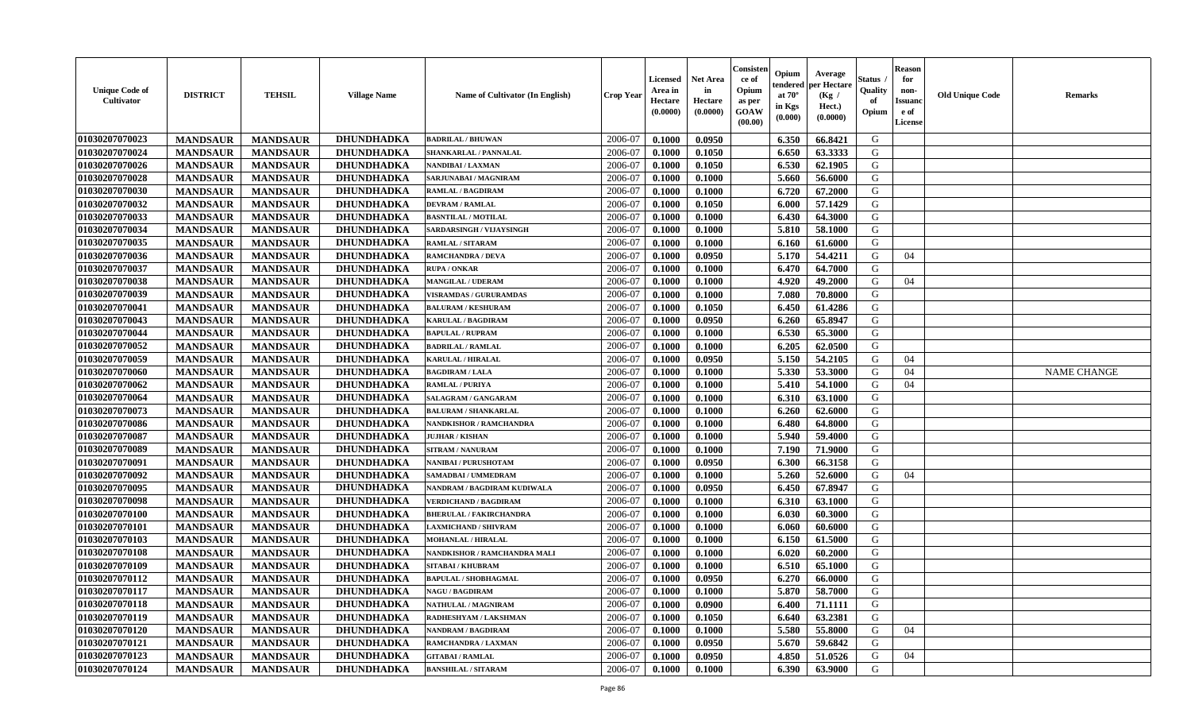| <b>Unique Code of</b><br><b>Cultivator</b> | <b>DISTRICT</b> | <b>TEHSIL</b>   | <b>Village Name</b> | <b>Name of Cultivator (In English)</b> | <b>Crop Year</b> | <b>Licensed</b><br>Area in<br>Hectare<br>(0.0000) | <b>Net Area</b><br>in<br>Hectare<br>(0.0000) | Consisteı<br>ce of<br>Opium<br>as per<br><b>GOAW</b><br>(00.00) | Opium<br>endered<br>at $70^\circ$<br>in Kgs<br>$(\mathbf{0.000})$ | Average<br>per Hectare<br>(Kg /<br>Hect.)<br>(0.0000) | Status<br>Quality<br>of<br>Opium | Reason<br>for<br>non-<br>Issuan<br>e of<br>License | <b>Old Unique Code</b> | <b>Remarks</b>     |
|--------------------------------------------|-----------------|-----------------|---------------------|----------------------------------------|------------------|---------------------------------------------------|----------------------------------------------|-----------------------------------------------------------------|-------------------------------------------------------------------|-------------------------------------------------------|----------------------------------|----------------------------------------------------|------------------------|--------------------|
| 01030207070023                             | <b>MANDSAUR</b> | <b>MANDSAUR</b> | DHUNDHADKA          | <b>BADRILAL / BHUWAN</b>               | 2006-07          | 0.1000                                            | 0.0950                                       |                                                                 | 6.350                                                             | 66.8421                                               | G                                |                                                    |                        |                    |
| 01030207070024                             | <b>MANDSAUR</b> | <b>MANDSAUR</b> | DHUNDHADKA          | SHANKARLAL / PANNALAL                  | 2006-07          | 0.1000                                            | 0.1050                                       |                                                                 | 6.650                                                             | 63.3333                                               | G                                |                                                    |                        |                    |
| 01030207070026                             | <b>MANDSAUR</b> | <b>MANDSAUR</b> | <b>DHUNDHADKA</b>   | NANDIBAI / LAXMAN                      | 2006-07          | 0.1000                                            | 0.1050                                       |                                                                 | 6.530                                                             | 62.1905                                               | G                                |                                                    |                        |                    |
| 01030207070028                             | <b>MANDSAUR</b> | <b>MANDSAUR</b> | <b>DHUNDHADKA</b>   | SARJUNABAI / MAGNIRAM                  | 2006-07          | 0.1000                                            | 0.1000                                       |                                                                 | 5.660                                                             | 56.6000                                               | G                                |                                                    |                        |                    |
| 01030207070030                             | <b>MANDSAUR</b> | <b>MANDSAUR</b> | <b>DHUNDHADKA</b>   | RAMLAL / BAGDIRAM                      | 2006-07          | 0.1000                                            | 0.1000                                       |                                                                 | 6.720                                                             | 67.2000                                               | G                                |                                                    |                        |                    |
| 01030207070032                             | <b>MANDSAUR</b> | <b>MANDSAUR</b> | DHUNDHADKA          | <b>DEVRAM / RAMLAL</b>                 | 2006-07          | 0.1000                                            | 0.1050                                       |                                                                 | 6.000                                                             | 57.1429                                               | G                                |                                                    |                        |                    |
| 01030207070033                             | <b>MANDSAUR</b> | <b>MANDSAUR</b> | <b>DHUNDHADKA</b>   | <b>BASNTILAL / MOTILAL</b>             | 2006-07          | 0.1000                                            | 0.1000                                       |                                                                 | 6.430                                                             | 64.3000                                               | G                                |                                                    |                        |                    |
| 01030207070034                             | <b>MANDSAUR</b> | <b>MANDSAUR</b> | <b>DHUNDHADKA</b>   | SARDARSINGH / VIJAYSINGH               | 2006-07          | 0.1000                                            | 0.1000                                       |                                                                 | 5.810                                                             | 58.1000                                               | G                                |                                                    |                        |                    |
| 01030207070035                             | <b>MANDSAUR</b> | <b>MANDSAUR</b> | <b>DHUNDHADKA</b>   | RAMLAL / SITARAM                       | 2006-07          | 0.1000                                            | 0.1000                                       |                                                                 | 6.160                                                             | 61.6000                                               | G                                |                                                    |                        |                    |
| 01030207070036                             | <b>MANDSAUR</b> | <b>MANDSAUR</b> | <b>DHUNDHADKA</b>   | <b>RAMCHANDRA / DEVA</b>               | 2006-07          | 0.1000                                            | 0.0950                                       |                                                                 | 5.170                                                             | 54.4211                                               | G                                | 04                                                 |                        |                    |
| 01030207070037                             | <b>MANDSAUR</b> | <b>MANDSAUR</b> | <b>DHUNDHADKA</b>   | <b>RUPA / ONKAR</b>                    | 2006-07          | 0.1000                                            | 0.1000                                       |                                                                 | 6.470                                                             | 64.7000                                               | G                                |                                                    |                        |                    |
| 01030207070038                             | <b>MANDSAUR</b> | <b>MANDSAUR</b> | <b>DHUNDHADKA</b>   | <b>MANGILAL / UDERAM</b>               | 2006-07          | 0.1000                                            | 0.1000                                       |                                                                 | 4.920                                                             | 49.2000                                               | G                                | 04                                                 |                        |                    |
| 01030207070039                             | <b>MANDSAUR</b> | <b>MANDSAUR</b> | <b>DHUNDHADKA</b>   | <b>VISRAMDAS / GURURAMDAS</b>          | 2006-07          | 0.1000                                            | 0.1000                                       |                                                                 | 7.080                                                             | 70.8000                                               | G                                |                                                    |                        |                    |
| 01030207070041                             | <b>MANDSAUR</b> | <b>MANDSAUR</b> | <b>DHUNDHADKA</b>   | <b>BALURAM / KESHURAM</b>              | 2006-07          | 0.1000                                            | 0.1050                                       |                                                                 | 6.450                                                             | 61.4286                                               | G                                |                                                    |                        |                    |
| 01030207070043                             | <b>MANDSAUR</b> | <b>MANDSAUR</b> | <b>DHUNDHADKA</b>   | <b>KARULAL / BAGDIRAM</b>              | 2006-07          | 0.1000                                            | 0.0950                                       |                                                                 | 6.260                                                             | 65.8947                                               | G                                |                                                    |                        |                    |
| 01030207070044                             | <b>MANDSAUR</b> | <b>MANDSAUR</b> | DHUNDHADKA          | <b>BAPULAL / RUPRAM</b>                | 2006-07          | 0.1000                                            | 0.1000                                       |                                                                 | 6.530                                                             | 65.3000                                               | G                                |                                                    |                        |                    |
| 01030207070052                             | <b>MANDSAUR</b> | <b>MANDSAUR</b> | <b>DHUNDHADKA</b>   | <b>BADRILAL / RAMLAL</b>               | 2006-07          | 0.1000                                            | 0.1000                                       |                                                                 | 6.205                                                             | 62.0500                                               | G                                |                                                    |                        |                    |
| 01030207070059                             | <b>MANDSAUR</b> | <b>MANDSAUR</b> | <b>DHUNDHADKA</b>   | <b>KARULAL / HIRALAL</b>               | 2006-07          | 0.1000                                            | 0.0950                                       |                                                                 | 5.150                                                             | 54.2105                                               | G                                | 04                                                 |                        |                    |
| 01030207070060                             | <b>MANDSAUR</b> | <b>MANDSAUR</b> | <b>DHUNDHADKA</b>   | <b>BAGDIRAM / LALA</b>                 | 2006-07          | 0.1000                                            | 0.1000                                       |                                                                 | 5.330                                                             | 53.3000                                               | G                                | 04                                                 |                        | <b>NAME CHANGE</b> |
| 01030207070062                             | <b>MANDSAUR</b> | <b>MANDSAUR</b> | <b>DHUNDHADKA</b>   | <b>RAMLAL / PURIYA</b>                 | 2006-07          | 0.1000                                            | 0.1000                                       |                                                                 | 5.410                                                             | 54.1000                                               | G                                | 04                                                 |                        |                    |
| 01030207070064                             | <b>MANDSAUR</b> | <b>MANDSAUR</b> | <b>DHUNDHADKA</b>   | SALAGRAM / GANGARAM                    | 2006-07          | 0.1000                                            | 0.1000                                       |                                                                 | 6.310                                                             | 63.1000                                               | G                                |                                                    |                        |                    |
| 01030207070073                             | <b>MANDSAUR</b> | <b>MANDSAUR</b> | <b>DHUNDHADKA</b>   | <b>BALURAM / SHANKARLAL</b>            | 2006-07          | 0.1000                                            | 0.1000                                       |                                                                 | 6.260                                                             | 62.6000                                               | G                                |                                                    |                        |                    |
| 01030207070086                             | <b>MANDSAUR</b> | <b>MANDSAUR</b> | <b>DHUNDHADKA</b>   | NANDKISHOR / RAMCHANDRA                | 2006-07          | 0.1000                                            | 0.1000                                       |                                                                 | 6.480                                                             | 64.8000                                               | G                                |                                                    |                        |                    |
| 01030207070087                             | <b>MANDSAUR</b> | <b>MANDSAUR</b> | DHUNDHADKA          | <b>JUJHAR / KISHAN</b>                 | 2006-07          | 0.1000                                            | 0.1000                                       |                                                                 | 5.940                                                             | 59.4000                                               | G                                |                                                    |                        |                    |
| 01030207070089                             | <b>MANDSAUR</b> | <b>MANDSAUR</b> | <b>DHUNDHADKA</b>   | <b>SITRAM / NANURAM</b>                | 2006-07          | 0.1000                                            | 0.1000                                       |                                                                 | 7.190                                                             | 71.9000                                               | G                                |                                                    |                        |                    |
| 01030207070091                             | <b>MANDSAUR</b> | <b>MANDSAUR</b> | <b>DHUNDHADKA</b>   | NANIBAI / PURUSHOTAM                   | 2006-07          | 0.1000                                            | 0.0950                                       |                                                                 | 6.300                                                             | 66.3158                                               | G                                |                                                    |                        |                    |
| 01030207070092                             | <b>MANDSAUR</b> | <b>MANDSAUR</b> | <b>DHUNDHADKA</b>   | SAMADBAI / UMMEDRAM                    | 2006-07          | 0.1000                                            | 0.1000                                       |                                                                 | 5.260                                                             | 52.6000                                               | G                                | 04                                                 |                        |                    |
| 01030207070095                             | <b>MANDSAUR</b> | <b>MANDSAUR</b> | <b>DHUNDHADKA</b>   | NANDRAM / BAGDIRAM KUDIWALA            | 2006-07          | 0.1000                                            | 0.0950                                       |                                                                 | 6.450                                                             | 67.8947                                               | G                                |                                                    |                        |                    |
| 01030207070098                             | <b>MANDSAUR</b> | <b>MANDSAUR</b> | DHUNDHADKA          | <b>VERDICHAND / BAGDIRAM</b>           | 2006-07          | 0.1000                                            | 0.1000                                       |                                                                 | 6.310                                                             | 63.1000                                               | G                                |                                                    |                        |                    |
| 01030207070100                             | <b>MANDSAUR</b> | <b>MANDSAUR</b> | <b>DHUNDHADKA</b>   | <b>BHERULAL / FAKIRCHANDRA</b>         | 2006-07          | 0.1000                                            | 0.1000                                       |                                                                 | 6.030                                                             | 60.3000                                               | G                                |                                                    |                        |                    |
| 01030207070101                             | <b>MANDSAUR</b> | <b>MANDSAUR</b> | <b>DHUNDHADKA</b>   | <b>LAXMICHAND / SHIVRAM</b>            | 2006-07          | 0.1000                                            | 0.1000                                       |                                                                 | 6.060                                                             | 60.6000                                               | G                                |                                                    |                        |                    |
| 01030207070103                             | <b>MANDSAUR</b> | <b>MANDSAUR</b> | <b>DHUNDHADKA</b>   | MOHANLAL / HIRALAL                     | 2006-07          | 0.1000                                            | 0.1000                                       |                                                                 | 6.150                                                             | 61.5000                                               | G                                |                                                    |                        |                    |
| 01030207070108                             | <b>MANDSAUR</b> | <b>MANDSAUR</b> | <b>DHUNDHADKA</b>   | NANDKISHOR / RAMCHANDRA MALI           | 2006-07          | 0.1000                                            | 0.1000                                       |                                                                 | 6.020                                                             | 60.2000                                               | G                                |                                                    |                        |                    |
| 01030207070109                             | <b>MANDSAUR</b> | <b>MANDSAUR</b> | <b>DHUNDHADKA</b>   | <b>SITABAI / KHUBRAM</b>               | 2006-07          | 0.1000                                            | 0.1000                                       |                                                                 | 6.510                                                             | 65.1000                                               | G                                |                                                    |                        |                    |
| 01030207070112                             | <b>MANDSAUR</b> | <b>MANDSAUR</b> | DHUNDHADKA          | <b>BAPULAL / SHOBHAGMAL</b>            | 2006-07          | 0.1000                                            | 0.0950                                       |                                                                 | 6.270                                                             | 66.0000                                               | G                                |                                                    |                        |                    |
| <b>01030207070117</b>                      | <b>MANDSAUR</b> | MANDSAUR        | <b>DHUNDHADKA</b>   | <b>NAGU / BAGDIRAM</b>                 | 2006-07          | 0.1000                                            | 0.1000                                       |                                                                 |                                                                   | 5.870   58.7000                                       | G                                |                                                    |                        |                    |
| 01030207070118                             | <b>MANDSAUR</b> | <b>MANDSAUR</b> | DHUNDHADKA          | NATHULAL / MAGNIRAM                    | 2006-07          | 0.1000                                            | 0.0900                                       |                                                                 | 6.400                                                             | 71.1111                                               | G                                |                                                    |                        |                    |
| 01030207070119                             | <b>MANDSAUR</b> | <b>MANDSAUR</b> | <b>DHUNDHADKA</b>   | RADHESHYAM / LAKSHMAN                  | 2006-07          | 0.1000                                            | 0.1050                                       |                                                                 | 6.640                                                             | 63.2381                                               | G                                |                                                    |                        |                    |
| 01030207070120                             | <b>MANDSAUR</b> | <b>MANDSAUR</b> | <b>DHUNDHADKA</b>   | <b>NANDRAM / BAGDIRAM</b>              | 2006-07          | 0.1000                                            | 0.1000                                       |                                                                 | 5.580                                                             | 55.8000                                               | G                                | 04                                                 |                        |                    |
| 01030207070121                             | <b>MANDSAUR</b> | <b>MANDSAUR</b> | DHUNDHADKA          | RAMCHANDRA / LAXMAN                    | 2006-07          | 0.1000                                            | 0.0950                                       |                                                                 | 5.670                                                             | 59.6842                                               | G                                |                                                    |                        |                    |
| 01030207070123                             | <b>MANDSAUR</b> | <b>MANDSAUR</b> | <b>DHUNDHADKA</b>   | <b>GITABAI/RAMLAL</b>                  | 2006-07          | 0.1000                                            | 0.0950                                       |                                                                 | 4.850                                                             | 51.0526                                               | G                                | 04                                                 |                        |                    |
| 01030207070124                             | <b>MANDSAUR</b> | <b>MANDSAUR</b> | <b>DHUNDHADKA</b>   | <b>BANSHILAL / SITARAM</b>             | 2006-07          | 0.1000                                            | 0.1000                                       |                                                                 | 6.390                                                             | 63.9000                                               | G                                |                                                    |                        |                    |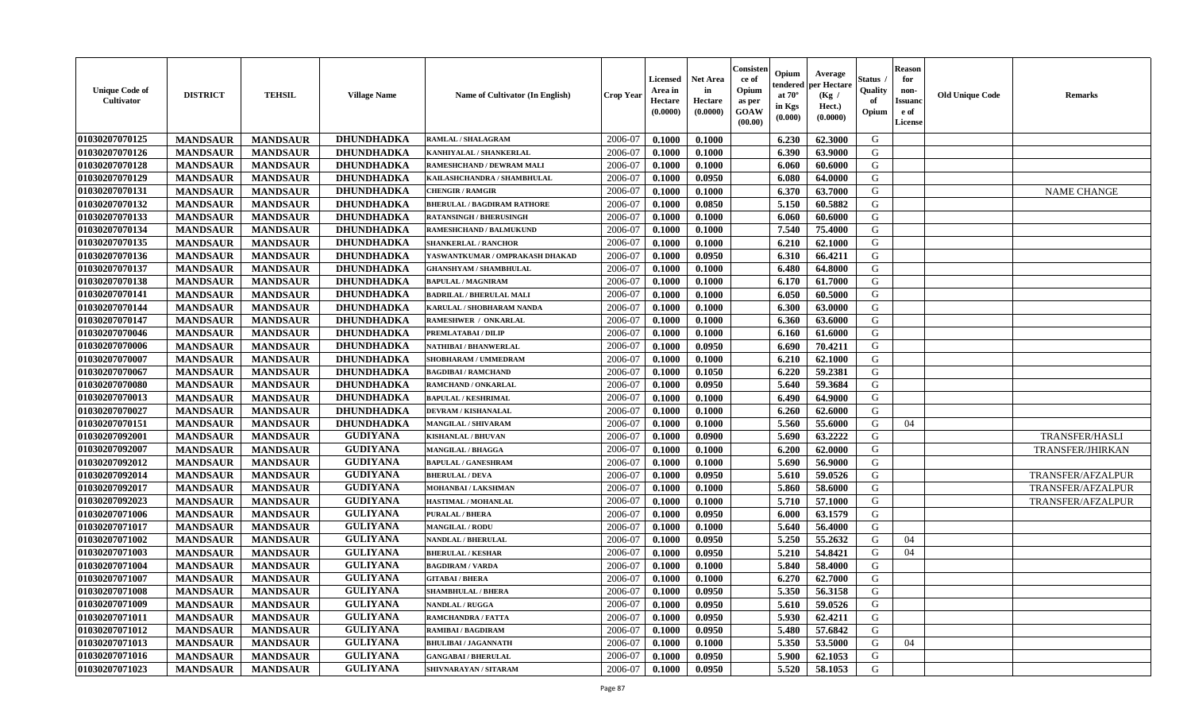| <b>Unique Code of</b><br><b>Cultivator</b> | <b>DISTRICT</b> | <b>TEHSIL</b>   | <b>Village Name</b> | <b>Name of Cultivator (In English)</b> | <b>Crop Year</b> | <b>Licensed</b><br>Area in<br>Hectare<br>(0.0000) | <b>Net Area</b><br>in<br>Hectare<br>(0.0000) | Consister<br>ce of<br>Opium<br>as per<br><b>GOAW</b><br>(00.00) | Opium<br>endered<br>at $70^{\circ}$<br>in Kgs<br>$(\mathbf{0.000})$ | Average<br>per Hectare<br>(Kg /<br>Hect.)<br>(0.0000) | Status<br>Quality<br>of<br>Opium | <b>Reason</b><br>for<br>non-<br><b>Issuand</b><br>e of<br>License | <b>Old Unique Code</b> | <b>Remarks</b>           |
|--------------------------------------------|-----------------|-----------------|---------------------|----------------------------------------|------------------|---------------------------------------------------|----------------------------------------------|-----------------------------------------------------------------|---------------------------------------------------------------------|-------------------------------------------------------|----------------------------------|-------------------------------------------------------------------|------------------------|--------------------------|
| 01030207070125                             | <b>MANDSAUR</b> | <b>MANDSAUR</b> | <b>DHUNDHADKA</b>   | <b>RAMLAL / SHALAGRAM</b>              | 2006-07          | 0.1000                                            | 0.1000                                       |                                                                 | 6.230                                                               | 62.3000                                               | G                                |                                                                   |                        |                          |
| 01030207070126                             | <b>MANDSAUR</b> | <b>MANDSAUR</b> | <b>DHUNDHADKA</b>   | KANHIYALAL / SHANKERLAL                | 2006-07          | 0.1000                                            | 0.1000                                       |                                                                 | 6.390                                                               | 63.9000                                               | G                                |                                                                   |                        |                          |
| 01030207070128                             | <b>MANDSAUR</b> | <b>MANDSAUR</b> | <b>DHUNDHADKA</b>   | RAMESHCHAND / DEWRAM MALI              | 2006-07          | 0.1000                                            | 0.1000                                       |                                                                 | 6.060                                                               | 60.6000                                               | G                                |                                                                   |                        |                          |
| 01030207070129                             | <b>MANDSAUR</b> | <b>MANDSAUR</b> | <b>DHUNDHADKA</b>   | KAILASHCHANDRA / SHAMBHULAL            | 2006-07          | 0.1000                                            | 0.0950                                       |                                                                 | 6.080                                                               | 64.0000                                               | G                                |                                                                   |                        |                          |
| 01030207070131                             | <b>MANDSAUR</b> | <b>MANDSAUR</b> | <b>DHUNDHADKA</b>   | <b>CHENGIR / RAMGIR</b>                | 2006-07          | 0.1000                                            | 0.1000                                       |                                                                 | 6.370                                                               | 63.7000                                               | G                                |                                                                   |                        | <b>NAME CHANGE</b>       |
| 01030207070132                             | <b>MANDSAUR</b> | <b>MANDSAUR</b> | <b>DHUNDHADKA</b>   | <b>BHERULAL / BAGDIRAM RATHORE</b>     | 2006-07          | 0.1000                                            | 0.0850                                       |                                                                 | 5.150                                                               | 60.5882                                               | G                                |                                                                   |                        |                          |
| 01030207070133                             | <b>MANDSAUR</b> | <b>MANDSAUR</b> | <b>DHUNDHADKA</b>   | <b>RATANSINGH / BHERUSINGH</b>         | 2006-07          | 0.1000                                            | 0.1000                                       |                                                                 | 6.060                                                               | 60.6000                                               | G                                |                                                                   |                        |                          |
| 01030207070134                             | <b>MANDSAUR</b> | <b>MANDSAUR</b> | <b>DHUNDHADKA</b>   | RAMESHCHAND / BALMUKUND                | 2006-07          | 0.1000                                            | 0.1000                                       |                                                                 | 7.540                                                               | 75.4000                                               | G                                |                                                                   |                        |                          |
| 01030207070135                             | <b>MANDSAUR</b> | <b>MANDSAUR</b> | <b>DHUNDHADKA</b>   | <b>SHANKERLAL / RANCHOR</b>            | 2006-07          | 0.1000                                            | 0.1000                                       |                                                                 | 6.210                                                               | 62.1000                                               | G                                |                                                                   |                        |                          |
| 01030207070136                             | <b>MANDSAUR</b> | <b>MANDSAUR</b> | <b>DHUNDHADKA</b>   | YASWANTKUMAR / OMPRAKASH DHAKAD        | 2006-07          | 0.1000                                            | 0.0950                                       |                                                                 | 6.310                                                               | 66.4211                                               | G                                |                                                                   |                        |                          |
| 01030207070137                             | <b>MANDSAUR</b> | <b>MANDSAUR</b> | <b>DHUNDHADKA</b>   | <b>GHANSHYAM / SHAMBHULAL</b>          | 2006-07          | 0.1000                                            | 0.1000                                       |                                                                 | 6.480                                                               | 64.8000                                               | G                                |                                                                   |                        |                          |
| 01030207070138                             | <b>MANDSAUR</b> | <b>MANDSAUR</b> | <b>DHUNDHADKA</b>   | <b>BAPULAL / MAGNIRAM</b>              | 2006-07          | 0.1000                                            | 0.1000                                       |                                                                 | 6.170                                                               | 61.7000                                               | G                                |                                                                   |                        |                          |
| 01030207070141                             | <b>MANDSAUR</b> | <b>MANDSAUR</b> | DHUNDHADKA          | <b>BADRILAL / BHERULAL MALI</b>        | 2006-07          | 0.1000                                            | 0.1000                                       |                                                                 | 6.050                                                               | 60.5000                                               | G                                |                                                                   |                        |                          |
| 01030207070144                             | <b>MANDSAUR</b> | <b>MANDSAUR</b> | <b>DHUNDHADKA</b>   | KARULAL / SHOBHARAM NANDA              | 2006-07          | 0.1000                                            | 0.1000                                       |                                                                 | 6.300                                                               | 63.0000                                               | G                                |                                                                   |                        |                          |
| 01030207070147                             | <b>MANDSAUR</b> | <b>MANDSAUR</b> | <b>DHUNDHADKA</b>   | RAMESHWER / ONKARLAL                   | 2006-07          | 0.1000                                            | 0.1000                                       |                                                                 | 6.360                                                               | 63.6000                                               | G                                |                                                                   |                        |                          |
| 01030207070046                             | <b>MANDSAUR</b> | <b>MANDSAUR</b> | DHUNDHADKA          | PREMLATABAI / DILIP                    | 2006-07          | 0.1000                                            | 0.1000                                       |                                                                 | 6.160                                                               | 61.6000                                               | G                                |                                                                   |                        |                          |
| 01030207070006                             | <b>MANDSAUR</b> | <b>MANDSAUR</b> | <b>DHUNDHADKA</b>   | NATHIBAI / BHANWERLAL                  | 2006-07          | 0.1000                                            | 0.0950                                       |                                                                 | 6.690                                                               | 70.4211                                               | G                                |                                                                   |                        |                          |
| 01030207070007                             | <b>MANDSAUR</b> | <b>MANDSAUR</b> | <b>DHUNDHADKA</b>   | SHOBHARAM / UMMEDRAM                   | 2006-07          | 0.1000                                            | 0.1000                                       |                                                                 | 6.210                                                               | 62.1000                                               | G                                |                                                                   |                        |                          |
| 01030207070067                             | <b>MANDSAUR</b> | <b>MANDSAUR</b> | <b>DHUNDHADKA</b>   | <b>BAGDIBAI / RAMCHAND</b>             | 2006-07          | 0.1000                                            | 0.1050                                       |                                                                 | 6.220                                                               | 59.2381                                               | G                                |                                                                   |                        |                          |
| 01030207070080                             | <b>MANDSAUR</b> | <b>MANDSAUR</b> | <b>DHUNDHADKA</b>   | RAMCHAND / ONKARLAL                    | 2006-07          | 0.1000                                            | 0.0950                                       |                                                                 | 5.640                                                               | 59.3684                                               | G                                |                                                                   |                        |                          |
| 01030207070013                             | <b>MANDSAUR</b> | <b>MANDSAUR</b> | DHUNDHADKA          | <b>BAPULAL / KESHRIMAL</b>             | 2006-07          | 0.1000                                            | 0.1000                                       |                                                                 | 6.490                                                               | 64.9000                                               | G                                |                                                                   |                        |                          |
| 01030207070027                             | <b>MANDSAUR</b> | <b>MANDSAUR</b> | <b>DHUNDHADKA</b>   | DEVRAM / KISHANALAL                    | 2006-07          | 0.1000                                            | 0.1000                                       |                                                                 | 6.260                                                               | 62.6000                                               | G                                |                                                                   |                        |                          |
| 01030207070151                             | <b>MANDSAUR</b> | <b>MANDSAUR</b> | DHUNDHADKA          | MANGILAL / SHIVARAM                    | 2006-07          | 0.1000                                            | 0.1000                                       |                                                                 | 5.560                                                               | 55.6000                                               | G                                | 04                                                                |                        |                          |
| 01030207092001                             | <b>MANDSAUR</b> | <b>MANDSAUR</b> | <b>GUDIYANA</b>     | <b>KISHANLAL / BHUVAN</b>              | 2006-07          | 0.1000                                            | 0.0900                                       |                                                                 | 5.690                                                               | 63.2222                                               | G                                |                                                                   |                        | TRANSFER/HASLI           |
| 01030207092007                             | <b>MANDSAUR</b> | <b>MANDSAUR</b> | <b>GUDIYANA</b>     | MANGILAL / BHAGGA                      | 2006-07          | 0.1000                                            | 0.1000                                       |                                                                 | 6.200                                                               | 62.0000                                               | G                                |                                                                   |                        | TRANSFER/JHIRKAN         |
| 01030207092012                             | <b>MANDSAUR</b> | <b>MANDSAUR</b> | <b>GUDIYANA</b>     | <b>BAPULAL / GANESHRAM</b>             | 2006-07          | 0.1000                                            | 0.1000                                       |                                                                 | 5.690                                                               | 56.9000                                               | G                                |                                                                   |                        |                          |
| 01030207092014                             | <b>MANDSAUR</b> | <b>MANDSAUR</b> | <b>GUDIYANA</b>     | <b>BHERULAL / DEVA</b>                 | 2006-07          | 0.1000                                            | 0.0950                                       |                                                                 | 5.610                                                               | 59.0526                                               | G                                |                                                                   |                        | TRANSFER/AFZALPUR        |
| 01030207092017                             | <b>MANDSAUR</b> | <b>MANDSAUR</b> | <b>GUDIYANA</b>     | MOHANBAI / LAKSHMAN                    | 2006-07          | 0.1000                                            | 0.1000                                       |                                                                 | 5.860                                                               | 58.6000                                               | G                                |                                                                   |                        | TRANSFER/AFZALPUR        |
| 01030207092023                             | <b>MANDSAUR</b> | <b>MANDSAUR</b> | <b>GUDIYANA</b>     | HASTIMAL / MOHANLAL                    | 2006-07          | 0.1000                                            | 0.1000                                       |                                                                 | 5.710                                                               | 57.1000                                               | G                                |                                                                   |                        | <b>TRANSFER/AFZALPUR</b> |
| 01030207071006                             | <b>MANDSAUR</b> | <b>MANDSAUR</b> | <b>GULIYANA</b>     | <b>PURALAL / BHERA</b>                 | 2006-07          | 0.1000                                            | 0.0950                                       |                                                                 | 6.000                                                               | 63.1579                                               | G                                |                                                                   |                        |                          |
| 01030207071017                             | <b>MANDSAUR</b> | <b>MANDSAUR</b> | <b>GULIYANA</b>     | <b>MANGILAL / RODU</b>                 | 2006-07          | 0.1000                                            | 0.1000                                       |                                                                 | 5.640                                                               | 56.4000                                               | G                                |                                                                   |                        |                          |
| 01030207071002                             | <b>MANDSAUR</b> | <b>MANDSAUR</b> | <b>GULIYANA</b>     | <b>NANDLAL / BHERULAL</b>              | 2006-07          | 0.1000                                            | 0.0950                                       |                                                                 | 5.250                                                               | 55,2632                                               | G                                | 04                                                                |                        |                          |
| 01030207071003                             | <b>MANDSAUR</b> | <b>MANDSAUR</b> | <b>GULIYANA</b>     | <b>BHERULAL / KESHAR</b>               | 2006-07          | 0.1000                                            | 0.0950                                       |                                                                 | 5.210                                                               | 54.8421                                               | G                                | 04                                                                |                        |                          |
| 01030207071004                             | <b>MANDSAUR</b> | <b>MANDSAUR</b> | <b>GULIYANA</b>     | <b>BAGDIRAM / VARDA</b>                | 2006-07          | 0.1000                                            | 0.1000                                       |                                                                 | 5.840                                                               | 58.4000                                               | G                                |                                                                   |                        |                          |
| 01030207071007                             | <b>MANDSAUR</b> | <b>MANDSAUR</b> | <b>GULIYANA</b>     | <b>GITABAI/BHERA</b>                   | 2006-07          | 0.1000                                            | 0.1000                                       |                                                                 | 6.270                                                               | 62.7000                                               | G                                |                                                                   |                        |                          |
| 01030207071008                             | <b>MANDSAUR</b> | MANDSAUR        | <b>GULIYANA</b>     | <b>SHAMBHULAL / BHERA</b>              | 2006-07          | 0.1000                                            | 0.0950                                       |                                                                 | 5.350                                                               | 56.3158                                               | G                                |                                                                   |                        |                          |
| 01030207071009                             | <b>MANDSAUR</b> | <b>MANDSAUR</b> | <b>GULIYANA</b>     | <b>NANDLAL / RUGGA</b>                 | 2006-07          | 0.1000                                            | 0.0950                                       |                                                                 | 5.610                                                               | 59.0526                                               | G                                |                                                                   |                        |                          |
| 01030207071011                             | <b>MANDSAUR</b> | <b>MANDSAUR</b> | <b>GULIYANA</b>     | RAMCHANDRA / FATTA                     | 2006-07          | 0.1000                                            | 0.0950                                       |                                                                 | 5.930                                                               | 62.4211                                               | G                                |                                                                   |                        |                          |
| 01030207071012                             | <b>MANDSAUR</b> | <b>MANDSAUR</b> | <b>GULIYANA</b>     | <b>RAMIBAI/BAGDIRAM</b>                | 2006-07          | 0.1000                                            | 0.0950                                       |                                                                 | 5.480                                                               | 57.6842                                               | G                                |                                                                   |                        |                          |
| 01030207071013                             | <b>MANDSAUR</b> | <b>MANDSAUR</b> | <b>GULIYANA</b>     | <b>BHULIBAI / JAGANNATH</b>            | 2006-07          | 0.1000                                            | 0.1000                                       |                                                                 | 5.350                                                               | 53.5000                                               | G                                | 04                                                                |                        |                          |
| 01030207071016                             | <b>MANDSAUR</b> | <b>MANDSAUR</b> | <b>GULIYANA</b>     | <b>GANGABAI / BHERULAL</b>             | 2006-07          | 0.1000                                            | 0.0950                                       |                                                                 | 5.900                                                               | 62.1053                                               | G                                |                                                                   |                        |                          |
| 01030207071023                             | <b>MANDSAUR</b> | <b>MANDSAUR</b> | <b>GULIYANA</b>     | SHIVNARAYAN / SITARAM                  | 2006-07          | 0.1000                                            | 0.0950                                       |                                                                 | 5.520                                                               | 58.1053                                               | G                                |                                                                   |                        |                          |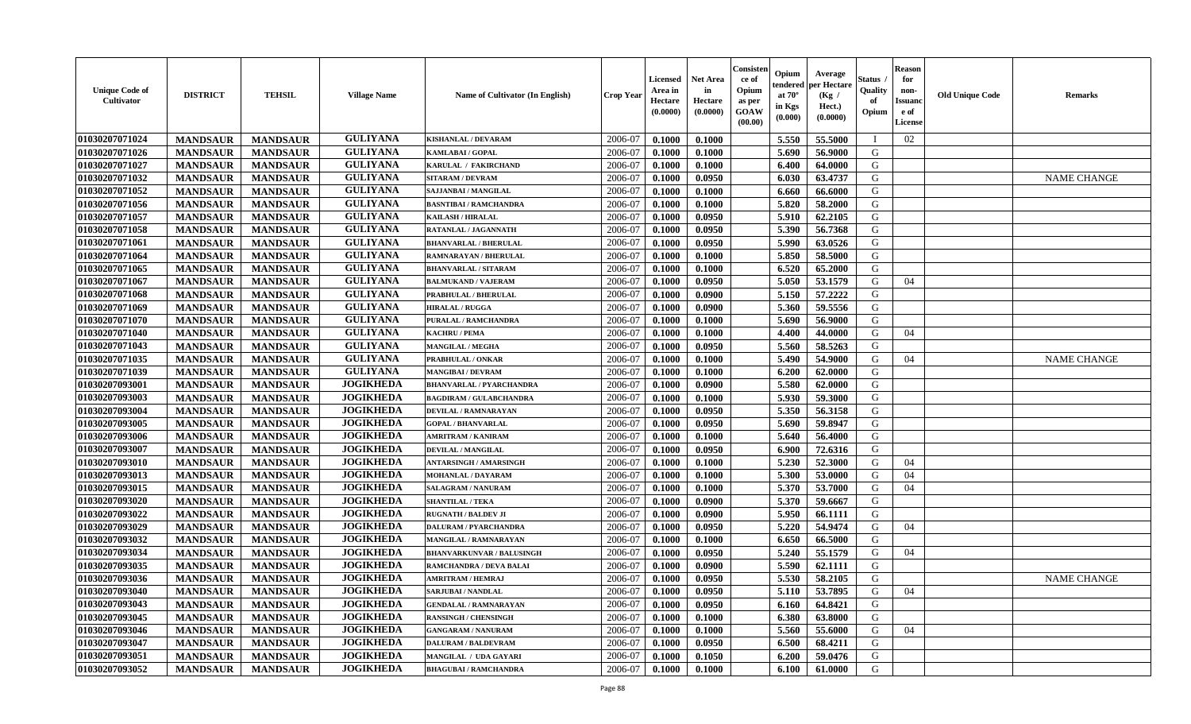| <b>Unique Code of</b><br><b>Cultivator</b> | <b>DISTRICT</b> | <b>TEHSIL</b>   | <b>Village Name</b> | Name of Cultivator (In English)  | <b>Crop Year</b> | <b>Licensed</b><br>Area in<br>Hectare<br>(0.0000) | Net Area<br>in<br>Hectare<br>(0.0000) | Consisteı<br>ce of<br>Opium<br>as per<br>GOAW<br>(00.00) | Opium<br>endered<br>at $70^\circ$<br>in Kgs<br>(0.000) | Average<br>oer Hectare<br>(Kg /<br>Hect.)<br>(0.0000) | Status<br>Quality<br>of<br>Opium | <b>Reason</b><br>for<br>non-<br>Issuano<br>e of<br>License | <b>Old Unique Code</b> | Remarks            |
|--------------------------------------------|-----------------|-----------------|---------------------|----------------------------------|------------------|---------------------------------------------------|---------------------------------------|----------------------------------------------------------|--------------------------------------------------------|-------------------------------------------------------|----------------------------------|------------------------------------------------------------|------------------------|--------------------|
| 01030207071024                             | <b>MANDSAUR</b> | <b>MANDSAUR</b> | <b>GULIYANA</b>     | KISHANLAL / DEVARAM              | 2006-07          | 0.1000                                            | 0.1000                                |                                                          | 5.550                                                  | 55.5000                                               | $\blacksquare$                   | 02                                                         |                        |                    |
| 01030207071026                             | <b>MANDSAUR</b> | <b>MANDSAUR</b> | <b>GULIYANA</b>     | <b>KAMLABAI/GOPAL</b>            | 2006-07          | 0.1000                                            | 0.1000                                |                                                          | 5.690                                                  | 56.9000                                               | G                                |                                                            |                        |                    |
| 01030207071027                             | <b>MANDSAUR</b> | <b>MANDSAUR</b> | <b>GULIYANA</b>     | KARULAL / FAKIRCHAND             | 2006-07          | 0.1000                                            | 0.1000                                |                                                          | 6.400                                                  | 64.0000                                               | G                                |                                                            |                        |                    |
| 01030207071032                             | <b>MANDSAUR</b> | <b>MANDSAUR</b> | <b>GULIYANA</b>     | <b>SITARAM / DEVRAM</b>          | 2006-07          | 0.1000                                            | 0.0950                                |                                                          | 6.030                                                  | 63.4737                                               | G                                |                                                            |                        | <b>NAME CHANGE</b> |
| 01030207071052                             | <b>MANDSAUR</b> | <b>MANDSAUR</b> | <b>GULIYANA</b>     | <b>SAJJANBAI / MANGILAL</b>      | 2006-07          | 0.1000                                            | 0.1000                                |                                                          | 6.660                                                  | 66.6000                                               | G                                |                                                            |                        |                    |
| 01030207071056                             | <b>MANDSAUR</b> | <b>MANDSAUR</b> | <b>GULIYANA</b>     | <b>BASNTIBAI / RAMCHANDRA</b>    | 2006-07          | 0.1000                                            | 0.1000                                |                                                          | 5.820                                                  | 58.2000                                               | G                                |                                                            |                        |                    |
| 01030207071057                             | <b>MANDSAUR</b> | <b>MANDSAUR</b> | <b>GULIYANA</b>     | KAILASH / HIRALAL                | 2006-07          | 0.1000                                            | 0.0950                                |                                                          | 5.910                                                  | 62.2105                                               | G                                |                                                            |                        |                    |
| 01030207071058                             | <b>MANDSAUR</b> | <b>MANDSAUR</b> | <b>GULIYANA</b>     | RATANLAL / JAGANNATH             | 2006-07          | 0.1000                                            | 0.0950                                |                                                          | 5.390                                                  | 56.7368                                               | G                                |                                                            |                        |                    |
| 01030207071061                             | <b>MANDSAUR</b> | <b>MANDSAUR</b> | <b>GULIYANA</b>     | <b>BHANVARLAL / BHERULAL</b>     | 2006-07          | 0.1000                                            | 0.0950                                |                                                          | 5.990                                                  | 63.0526                                               | G                                |                                                            |                        |                    |
| 01030207071064                             | <b>MANDSAUR</b> | <b>MANDSAUR</b> | <b>GULIYANA</b>     | RAMNARAYAN / BHERULAL            | 2006-07          | 0.1000                                            | 0.1000                                |                                                          | 5.850                                                  | 58.5000                                               | G                                |                                                            |                        |                    |
| 01030207071065                             | <b>MANDSAUR</b> | <b>MANDSAUR</b> | <b>GULIYANA</b>     | <b>BHANVARLAL / SITARAM</b>      | 2006-07          | 0.1000                                            | 0.1000                                |                                                          | 6.520                                                  | 65.2000                                               | G                                |                                                            |                        |                    |
| 01030207071067                             | <b>MANDSAUR</b> | <b>MANDSAUR</b> | <b>GULIYANA</b>     | <b>BALMUKAND / VAJERAM</b>       | 2006-07          | 0.1000                                            | 0.0950                                |                                                          | 5.050                                                  | 53.1579                                               | G                                | 04                                                         |                        |                    |
| 01030207071068                             | <b>MANDSAUR</b> | <b>MANDSAUR</b> | <b>GULIYANA</b>     | PRABHULAL / BHERULAL             | 2006-07          | 0.1000                                            | 0.0900                                |                                                          | 5.150                                                  | 57.2222                                               | G                                |                                                            |                        |                    |
| 01030207071069                             | <b>MANDSAUR</b> | <b>MANDSAUR</b> | <b>GULIYANA</b>     | <b>HIRALAL / RUGGA</b>           | 2006-07          | 0.1000                                            | 0.0900                                |                                                          | 5.360                                                  | 59.5556                                               | G                                |                                                            |                        |                    |
| 01030207071070                             | <b>MANDSAUR</b> | <b>MANDSAUR</b> | <b>GULIYANA</b>     | PURALAL / RAMCHANDRA             | 2006-07          | 0.1000                                            | 0.1000                                |                                                          | 5.690                                                  | 56.9000                                               | $\mathbf G$                      |                                                            |                        |                    |
| 01030207071040                             | <b>MANDSAUR</b> | <b>MANDSAUR</b> | <b>GULIYANA</b>     | <b>KACHRU / PEMA</b>             | 2006-07          | 0.1000                                            | 0.1000                                |                                                          | 4.400                                                  | 44.0000                                               | G                                | 04                                                         |                        |                    |
| 01030207071043                             | <b>MANDSAUR</b> | <b>MANDSAUR</b> | <b>GULIYANA</b>     | <b>MANGILAL / MEGHA</b>          | 2006-07          | 0.1000                                            | 0.0950                                |                                                          | 5.560                                                  | 58.5263                                               | G                                |                                                            |                        |                    |
| 01030207071035                             | <b>MANDSAUR</b> | <b>MANDSAUR</b> | <b>GULIYANA</b>     | PRABHULAL / ONKAR                | 2006-07          | 0.1000                                            | 0.1000                                |                                                          | 5.490                                                  | 54.9000                                               | G                                | 04                                                         |                        | <b>NAME CHANGE</b> |
| 01030207071039                             | <b>MANDSAUR</b> | <b>MANDSAUR</b> | <b>GULIYANA</b>     | <b>MANGIBAI/DEVRAM</b>           | 2006-07          | 0.1000                                            | 0.1000                                |                                                          | 6.200                                                  | 62.0000                                               | G                                |                                                            |                        |                    |
| 01030207093001                             | <b>MANDSAUR</b> | <b>MANDSAUR</b> | <b>JOGIKHEDA</b>    | <b>BHANVARLAL / PYARCHANDRA</b>  | 2006-07          | 0.1000                                            | 0.0900                                |                                                          | 5.580                                                  | 62.0000                                               | G                                |                                                            |                        |                    |
| 01030207093003                             | <b>MANDSAUR</b> | <b>MANDSAUR</b> | <b>JOGIKHEDA</b>    | <b>BAGDIRAM / GULABCHANDRA</b>   | 2006-07          | 0.1000                                            | 0.1000                                |                                                          | 5.930                                                  | 59.3000                                               | G                                |                                                            |                        |                    |
| 01030207093004                             | <b>MANDSAUR</b> | <b>MANDSAUR</b> | <b>JOGIKHEDA</b>    | DEVILAL / RAMNARAYAN             | 2006-07          | 0.1000                                            | 0.0950                                |                                                          | 5.350                                                  | 56.3158                                               | G                                |                                                            |                        |                    |
| 01030207093005                             | <b>MANDSAUR</b> | <b>MANDSAUR</b> | <b>JOGIKHEDA</b>    | <b>GOPAL / BHANVARLAL</b>        | 2006-07          | 0.1000                                            | 0.0950                                |                                                          | 5.690                                                  | 59.8947                                               | G                                |                                                            |                        |                    |
| 01030207093006                             | <b>MANDSAUR</b> | <b>MANDSAUR</b> | <b>JOGIKHEDA</b>    | <b>AMRITRAM / KANIRAM</b>        | 2006-07          | 0.1000                                            | 0.1000                                |                                                          | 5.640                                                  | 56.4000                                               | G                                |                                                            |                        |                    |
| 01030207093007                             | <b>MANDSAUR</b> | <b>MANDSAUR</b> | <b>JOGIKHEDA</b>    | DEVILAL / MANGILAL               | 2006-07          | 0.1000                                            | 0.0950                                |                                                          | 6.900                                                  | 72.6316                                               | G                                |                                                            |                        |                    |
| 01030207093010                             | <b>MANDSAUR</b> | <b>MANDSAUR</b> | <b>JOGIKHEDA</b>    | <b>ANTARSINGH / AMARSINGH</b>    | 2006-07          | 0.1000                                            | 0.1000                                |                                                          | 5.230                                                  | 52.3000                                               | G                                | 04                                                         |                        |                    |
| 01030207093013                             | <b>MANDSAUR</b> | <b>MANDSAUR</b> | <b>JOGIKHEDA</b>    | MOHANLAL / DAYARAM               | 2006-07          | 0.1000                                            | 0.1000                                |                                                          | 5.300                                                  | 53.0000                                               | G                                | 04                                                         |                        |                    |
| 01030207093015                             | <b>MANDSAUR</b> | <b>MANDSAUR</b> | <b>JOGIKHEDA</b>    | <b>SALAGRAM / NANURAM</b>        | 2006-07          | 0.1000                                            | 0.1000                                |                                                          | 5.370                                                  | 53.7000                                               | G                                | 04                                                         |                        |                    |
| 01030207093020                             | <b>MANDSAUR</b> | <b>MANDSAUR</b> | <b>JOGIKHEDA</b>    | <b>SHANTILAL / TEKA</b>          | 2006-07          | 0.1000                                            | 0.0900                                |                                                          | 5.370                                                  | 59.6667                                               | G                                |                                                            |                        |                    |
| 01030207093022                             | <b>MANDSAUR</b> | <b>MANDSAUR</b> | <b>JOGIKHEDA</b>    | <b>RUGNATH / BALDEV JI</b>       | 2006-07          | 0.1000                                            | 0.0900                                |                                                          | 5.950                                                  | 66.1111                                               | G                                |                                                            |                        |                    |
| 01030207093029                             | <b>MANDSAUR</b> | <b>MANDSAUR</b> | <b>JOGIKHEDA</b>    | <b>DALURAM / PYARCHANDRA</b>     | 2006-07          | 0.1000                                            | 0.0950                                |                                                          | 5.220                                                  | 54.9474                                               | G                                | 04                                                         |                        |                    |
| 01030207093032                             | <b>MANDSAUR</b> | <b>MANDSAUR</b> | <b>JOGIKHEDA</b>    | MANGILAL / RAMNARAYAN            | 2006-07          | 0.1000                                            | 0.1000                                |                                                          | 6.650                                                  | 66.5000                                               | G                                |                                                            |                        |                    |
| 01030207093034                             | <b>MANDSAUR</b> | <b>MANDSAUR</b> | <b>JOGIKHEDA</b>    | <b>BHANVARKUNVAR / BALUSINGH</b> | 2006-07          | 0.1000                                            | 0.0950                                |                                                          | 5.240                                                  | 55.1579                                               | G                                | 04                                                         |                        |                    |
| 01030207093035                             | <b>MANDSAUR</b> | <b>MANDSAUR</b> | <b>JOGIKHEDA</b>    | RAMCHANDRA / DEVA BALAI          | 2006-07          | 0.1000                                            | 0.0900                                |                                                          | 5.590                                                  | 62.1111                                               | G                                |                                                            |                        |                    |
| 01030207093036                             | <b>MANDSAUR</b> | <b>MANDSAUR</b> | <b>JOGIKHEDA</b>    | <b>AMRITRAM / HEMRAJ</b>         | 2006-07          | 0.1000                                            | 0.0950                                |                                                          | 5.530                                                  | 58.2105                                               | G                                |                                                            |                        | <b>NAME CHANGE</b> |
| 01030207093040                             | <b>MANDSAUR</b> | <b>MANDSAUR</b> | <b>JOGIKHEDA</b>    | <b>SARJUBAI / NANDLAL</b>        | 2006-07          | 0.1000                                            | 0.0950                                |                                                          | 5.110                                                  | 53.7895                                               | G                                | 04                                                         |                        |                    |
| 01030207093043                             | <b>MANDSAUR</b> | <b>MANDSAUR</b> | <b>JOGIKHEDA</b>    | <b>GENDALAL / RAMNARAYAN</b>     | 2006-07          | 0.1000                                            | 0.0950                                |                                                          | 6.160                                                  | 64.8421                                               | G                                |                                                            |                        |                    |
| 01030207093045                             | <b>MANDSAUR</b> | <b>MANDSAUR</b> | <b>JOGIKHEDA</b>    | <b>RANSINGH / CHENSINGH</b>      | 2006-07          | 0.1000                                            | 0.1000                                |                                                          | 6.380                                                  | 63.8000                                               | G                                |                                                            |                        |                    |
| 01030207093046                             | <b>MANDSAUR</b> | <b>MANDSAUR</b> | <b>JOGIKHEDA</b>    | <b>GANGARAM / NANURAM</b>        | 2006-07          | 0.1000                                            | 0.1000                                |                                                          | 5.560                                                  | 55.6000                                               | G                                | 04                                                         |                        |                    |
| 01030207093047                             | <b>MANDSAUR</b> | <b>MANDSAUR</b> | <b>JOGIKHEDA</b>    | <b>DALURAM / BALDEVRAM</b>       | 2006-07          | 0.1000                                            | 0.0950                                |                                                          | 6.500                                                  | 68.4211                                               | ${\bf G}$                        |                                                            |                        |                    |
| 01030207093051                             | <b>MANDSAUR</b> | <b>MANDSAUR</b> | <b>JOGIKHEDA</b>    | MANGILAL / UDA GAYARI            | 2006-07          | 0.1000                                            | 0.1050                                |                                                          | 6.200                                                  | 59.0476                                               | G                                |                                                            |                        |                    |
| 01030207093052                             | <b>MANDSAUR</b> | <b>MANDSAUR</b> | <b>JOGIKHEDA</b>    | <b>BHAGUBAI / RAMCHANDRA</b>     | 2006-07          | 0.1000                                            | 0.1000                                |                                                          | 6.100                                                  | 61.0000                                               | G                                |                                                            |                        |                    |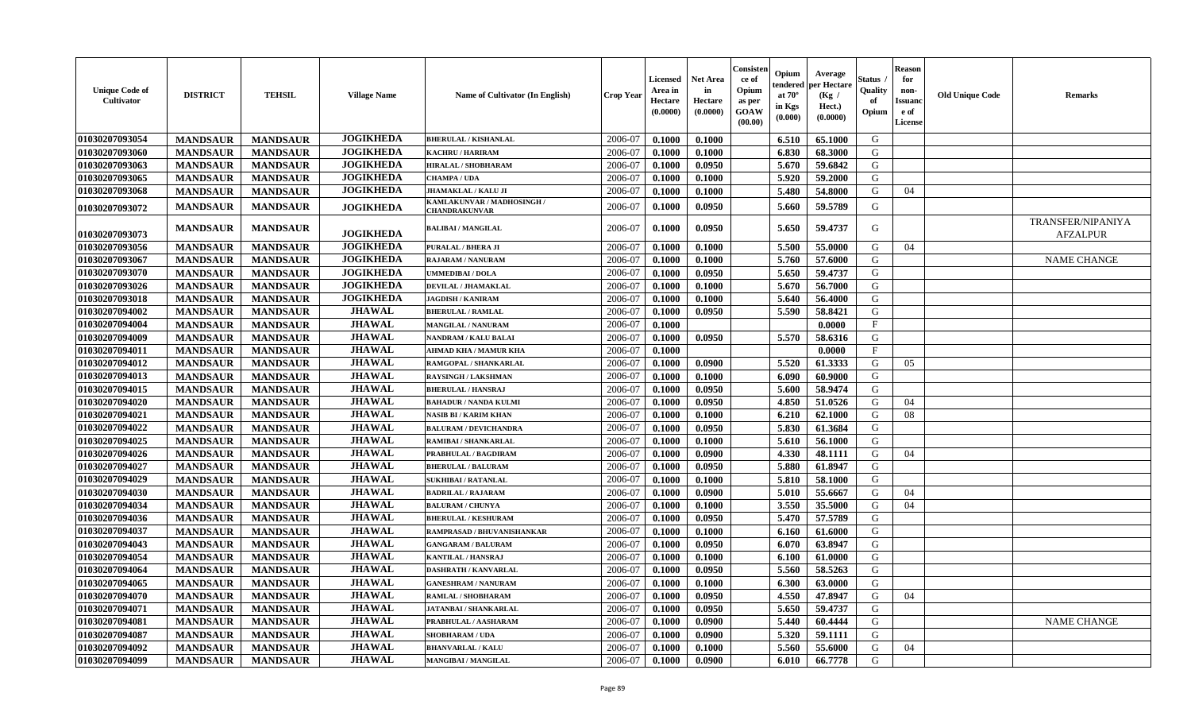| <b>Unique Code of</b><br>Cultivator | <b>DISTRICT</b> | <b>TEHSIL</b>   | <b>Village Name</b> | Name of Cultivator (In English)                    | <b>Crop Year</b> | Licensed<br>Area in<br><b>Hectare</b><br>(0.0000) | <b>Net Area</b><br>in<br>Hectare<br>(0.0000) | Consisten<br>ce of<br>Opium<br>as per<br>GOAW<br>(00.00) | Opium<br>tendered<br>at $70^\circ$<br>in Kgs<br>(0.000) | Average<br>per Hectare<br>(Kg /<br>Hect.)<br>(0.0000) | Status<br>Quality<br>of<br>Opium | <b>Reason</b><br>for<br>non-<br><b>Issuanc</b><br>e of<br><b>License</b> | <b>Old Unique Code</b> | <b>Remarks</b>                              |
|-------------------------------------|-----------------|-----------------|---------------------|----------------------------------------------------|------------------|---------------------------------------------------|----------------------------------------------|----------------------------------------------------------|---------------------------------------------------------|-------------------------------------------------------|----------------------------------|--------------------------------------------------------------------------|------------------------|---------------------------------------------|
| 01030207093054                      | <b>MANDSAUR</b> | <b>MANDSAUR</b> | <b>JOGIKHEDA</b>    | <b>BHERULAL / KISHANLAL</b>                        | 2006-07          | 0.1000                                            | 0.1000                                       |                                                          | 6.510                                                   | 65.1000                                               | G                                |                                                                          |                        |                                             |
| 01030207093060                      | <b>MANDSAUR</b> | <b>MANDSAUR</b> | <b>JOGIKHEDA</b>    | <b>KACHRU / HARIRAM</b>                            | 2006-07          | 0.1000                                            | 0.1000                                       |                                                          | 6.830                                                   | 68.3000                                               | G                                |                                                                          |                        |                                             |
| 01030207093063                      | <b>MANDSAUR</b> | <b>MANDSAUR</b> | <b>JOGIKHEDA</b>    | HIRALAL / SHOBHARAM                                | 2006-07          | 0.1000                                            | 0.0950                                       |                                                          | 5.670                                                   | 59.6842                                               | G                                |                                                                          |                        |                                             |
| 01030207093065                      | <b>MANDSAUR</b> | <b>MANDSAUR</b> | <b>JOGIKHEDA</b>    | <b>CHAMPA / UDA</b>                                | 2006-07          | 0.1000                                            | 0.1000                                       |                                                          | 5.920                                                   | 59.2000                                               | G                                |                                                                          |                        |                                             |
| 01030207093068                      | <b>MANDSAUR</b> | <b>MANDSAUR</b> | <b>JOGIKHEDA</b>    | <b>JHAMAKLAL / KALU JI</b>                         | 2006-07          | 0.1000                                            | 0.1000                                       |                                                          | 5.480                                                   | 54.8000                                               | G                                | 04                                                                       |                        |                                             |
| 01030207093072                      | <b>MANDSAUR</b> | <b>MANDSAUR</b> | <b>JOGIKHEDA</b>    | KAMLAKUNVAR / MADHOSINGH /<br><b>CHANDRAKUNVAR</b> | 2006-07          | 0.1000                                            | 0.0950                                       |                                                          | 5.660                                                   | 59.5789                                               | G                                |                                                                          |                        |                                             |
| 01030207093073                      | <b>MANDSAUR</b> | <b>MANDSAUR</b> | <b>JOGIKHEDA</b>    | <b>BALIBAI/MANGILAL</b>                            | 2006-07          | 0.1000                                            | 0.0950                                       |                                                          | 5.650                                                   | 59.4737                                               | G                                |                                                                          |                        | <b>TRANSFER/NIPANIYA</b><br><b>AFZALPUR</b> |
| 01030207093056                      | <b>MANDSAUR</b> | <b>MANDSAUR</b> | <b>JOGIKHEDA</b>    | <b>PURALAL / BHERA JI</b>                          | 2006-07          | 0.1000                                            | 0.1000                                       |                                                          | 5.500                                                   | 55,0000                                               | G                                | 04                                                                       |                        |                                             |
| 01030207093067                      | <b>MANDSAUR</b> | <b>MANDSAUR</b> | <b>JOGIKHEDA</b>    | <b>RAJARAM / NANURAM</b>                           | 2006-07          | 0.1000                                            | 0.1000                                       |                                                          | 5.760                                                   | 57.6000                                               | G                                |                                                                          |                        | <b>NAME CHANGE</b>                          |
| 01030207093070                      | <b>MANDSAUR</b> | <b>MANDSAUR</b> | <b>JOGIKHEDA</b>    | <b>UMMEDIBAI/DOLA</b>                              | 2006-07          | 0.1000                                            | 0.0950                                       |                                                          | 5.650                                                   | 59.4737                                               | G                                |                                                                          |                        |                                             |
| 01030207093026                      | <b>MANDSAUR</b> | <b>MANDSAUR</b> | <b>JOGIKHEDA</b>    | DEVILAL / JHAMAKLAL                                | 2006-07          | 0.1000                                            | 0.1000                                       |                                                          | 5.670                                                   | 56.7000                                               | G                                |                                                                          |                        |                                             |
| 01030207093018                      | <b>MANDSAUR</b> | <b>MANDSAUR</b> | <b>JOGIKHEDA</b>    | <b>JAGDISH / KANIRAM</b>                           | 2006-07          | 0.1000                                            | 0.1000                                       |                                                          | 5.640                                                   | 56.4000                                               | G                                |                                                                          |                        |                                             |
| 01030207094002                      | <b>MANDSAUR</b> | <b>MANDSAUR</b> | <b>JHAWAL</b>       | <b>BHERULAL / RAMLAL</b>                           | 2006-07          | 0.1000                                            | 0.0950                                       |                                                          | 5.590                                                   | 58.8421                                               | G                                |                                                                          |                        |                                             |
| 01030207094004                      | <b>MANDSAUR</b> | <b>MANDSAUR</b> | <b>JHAWAL</b>       | <b>MANGILAL / NANURAM</b>                          | 2006-07          | 0.1000                                            |                                              |                                                          |                                                         | 0.0000                                                | $_{\rm F}$                       |                                                                          |                        |                                             |
| 01030207094009                      | <b>MANDSAUR</b> | <b>MANDSAUR</b> | <b>JHAWAL</b>       | <b>NANDRAM / KALU BALAI</b>                        | 2006-07          | 0.1000                                            | 0.0950                                       |                                                          | 5.570                                                   | 58.6316                                               | G                                |                                                                          |                        |                                             |
| 01030207094011                      | <b>MANDSAUR</b> | <b>MANDSAUR</b> | <b>JHAWAL</b>       | <b>AHMAD KHA / MAMUR KHA</b>                       | 2006-07          | 0.1000                                            |                                              |                                                          |                                                         | 0.0000                                                | $\mathbf{F}$                     |                                                                          |                        |                                             |
| 01030207094012                      | <b>MANDSAUR</b> | <b>MANDSAUR</b> | <b>JHAWAL</b>       | RAMGOPAL / SHANKARLAL                              | 2006-07          | 0.1000                                            | 0.0900                                       |                                                          | 5.520                                                   | 61.3333                                               | G                                | 05                                                                       |                        |                                             |
| 01030207094013                      | <b>MANDSAUR</b> | <b>MANDSAUR</b> | <b>JHAWAL</b>       | <b>RAYSINGH / LAKSHMAN</b>                         | 2006-07          | 0.1000                                            | 0.1000                                       |                                                          | 6.090                                                   | 60.9000                                               | G                                |                                                                          |                        |                                             |
| 01030207094015                      | <b>MANDSAUR</b> | <b>MANDSAUR</b> | <b>JHAWAL</b>       | <b>BHERULAL / HANSRAJ</b>                          | 2006-07          | 0.1000                                            | 0.0950                                       |                                                          | 5.600                                                   | 58.9474                                               | G                                |                                                                          |                        |                                             |
| 01030207094020                      | <b>MANDSAUR</b> | <b>MANDSAUR</b> | <b>JHAWAL</b>       | <b>BAHADUR / NANDA KULMI</b>                       | 2006-07          | 0.1000                                            | 0.0950                                       |                                                          | 4.850                                                   | 51.0526                                               | G                                | 04                                                                       |                        |                                             |
| 01030207094021                      | <b>MANDSAUR</b> | <b>MANDSAUR</b> | <b>JHAWAL</b>       | <b>NASIB BI / KARIM KHAN</b>                       | 2006-07          | 0.1000                                            | 0.1000                                       |                                                          | 6.210                                                   | 62.1000                                               | G                                | 08                                                                       |                        |                                             |
| 01030207094022                      | <b>MANDSAUR</b> | <b>MANDSAUR</b> | <b>JHAWAL</b>       | <b>BALURAM / DEVICHANDRA</b>                       | 2006-07          | 0.1000                                            | 0.0950                                       |                                                          | 5.830                                                   | 61.3684                                               | G                                |                                                                          |                        |                                             |
| 01030207094025                      | <b>MANDSAUR</b> | <b>MANDSAUR</b> | <b>JHAWAL</b>       | <b>RAMIBAI / SHANKARLAL</b>                        | 2006-07          | 0.1000                                            | 0.1000                                       |                                                          | 5.610                                                   | 56.1000                                               | G                                |                                                                          |                        |                                             |
| 01030207094026                      | <b>MANDSAUR</b> | <b>MANDSAUR</b> | <b>JHAWAL</b>       | PRABHULAL / BAGDIRAM                               | 2006-07          | 0.1000                                            | 0.0900                                       |                                                          | 4.330                                                   | 48.1111                                               | G                                | 04                                                                       |                        |                                             |
| 01030207094027                      | <b>MANDSAUR</b> | <b>MANDSAUR</b> | <b>JHAWAL</b>       | <b>BHERULAL / BALURAM</b>                          | 2006-07          | 0.1000                                            | 0.0950                                       |                                                          | 5.880                                                   | 61.8947                                               | G                                |                                                                          |                        |                                             |
| 01030207094029                      | <b>MANDSAUR</b> | <b>MANDSAUR</b> | <b>JHAWAL</b>       | <b>SUKHIBAI / RATANLAL</b>                         | 2006-07          | 0.1000                                            | 0.1000                                       |                                                          | 5.810                                                   | 58.1000                                               | G                                |                                                                          |                        |                                             |
| 01030207094030                      | <b>MANDSAUR</b> | <b>MANDSAUR</b> | <b>JHAWAL</b>       | <b>BADRILAL / RAJARAM</b>                          | 2006-07          | 0.1000                                            | 0.0900                                       |                                                          | 5.010                                                   | 55.6667                                               | G                                | 04                                                                       |                        |                                             |
| 01030207094034                      | <b>MANDSAUR</b> | <b>MANDSAUR</b> | <b>JHAWAL</b>       | <b>BALURAM / CHUNYA</b>                            | 2006-07          | 0.1000                                            | 0.1000                                       |                                                          | 3.550                                                   | 35.5000                                               | G                                | 04                                                                       |                        |                                             |
| 01030207094036                      | <b>MANDSAUR</b> | <b>MANDSAUR</b> | <b>JHAWAL</b>       | <b>BHERULAL / KESHURAM</b>                         | 2006-07          | 0.1000                                            | 0.0950                                       |                                                          | 5.470                                                   | 57.5789                                               | G                                |                                                                          |                        |                                             |
| 01030207094037                      | <b>MANDSAUR</b> | <b>MANDSAUR</b> | <b>JHAWAL</b>       | RAMPRASAD / BHUVANISHANKAR                         | 2006-07          | 0.1000                                            | 0.1000                                       |                                                          | 6.160                                                   | 61.6000                                               | G                                |                                                                          |                        |                                             |
| 01030207094043                      | <b>MANDSAUR</b> | <b>MANDSAUR</b> | <b>JHAWAL</b>       | <b>GANGARAM / BALURAM</b>                          | 2006-07          | 0.1000                                            | 0.0950                                       |                                                          | 6.070                                                   | 63.8947                                               | G                                |                                                                          |                        |                                             |
| 01030207094054                      | <b>MANDSAUR</b> | <b>MANDSAUR</b> | <b>JHAWAL</b>       | <b>KANTILAL / HANSRAJ</b>                          | 2006-07          | 0.1000                                            | 0.1000                                       |                                                          | 6.100                                                   | 61.0000                                               | G                                |                                                                          |                        |                                             |
| 01030207094064                      | <b>MANDSAUR</b> | <b>MANDSAUR</b> | <b>JHAWAL</b>       | <b>DASHRATH / KANVARLAL</b>                        | 2006-07          | 0.1000                                            | 0.0950                                       |                                                          | 5.560                                                   | 58.5263                                               | G                                |                                                                          |                        |                                             |
| 01030207094065                      | <b>MANDSAUR</b> | <b>MANDSAUR</b> | <b>JHAWAL</b>       | <b>GANESHRAM / NANURAM</b>                         | 2006-07          | 0.1000                                            | 0.1000                                       |                                                          | 6.300                                                   | 63.0000                                               | G                                |                                                                          |                        |                                             |
| 01030207094070                      | <b>MANDSAUR</b> | <b>MANDSAUR</b> | <b>JHAWAL</b>       | RAMLAL / SHOBHARAM                                 | 2006-07          | 0.1000                                            | 0.0950                                       |                                                          | 4.550                                                   | 47.8947                                               | G                                | 04                                                                       |                        |                                             |
| 01030207094071                      | <b>MANDSAUR</b> | <b>MANDSAUR</b> | <b>JHAWAL</b>       | <b>JATANBAI / SHANKARLAL</b>                       | 2006-07          | 0.1000                                            | 0.0950                                       |                                                          | 5.650                                                   | 59.4737                                               | G                                |                                                                          |                        |                                             |
| 01030207094081                      | <b>MANDSAUR</b> | <b>MANDSAUR</b> | <b>JHAWAL</b>       | PRABHULAL / AASHARAM                               | 2006-07          | 0.1000                                            | 0.0900                                       |                                                          | 5.440                                                   | 60.4444                                               | G                                |                                                                          |                        | <b>NAME CHANGE</b>                          |
| 01030207094087                      | <b>MANDSAUR</b> | <b>MANDSAUR</b> | <b>JHAWAL</b>       | <b>SHOBHARAM / UDA</b>                             | 2006-07          | 0.1000                                            | 0.0900                                       |                                                          | 5.320                                                   | 59.1111                                               | G                                |                                                                          |                        |                                             |
| 01030207094092                      | <b>MANDSAUR</b> | <b>MANDSAUR</b> | <b>JHAWAL</b>       | <b>BHANVARLAL / KALU</b>                           | 2006-07          | 0.1000                                            | 0.1000                                       |                                                          | 5.560                                                   | 55.6000                                               | G                                | 04                                                                       |                        |                                             |
| 01030207094099                      | <b>MANDSAUR</b> | <b>MANDSAUR</b> | <b>JHAWAL</b>       | <b>MANGIBAI/MANGILAL</b>                           | 2006-07          | 0.1000                                            | 0.0900                                       |                                                          | 6.010                                                   | 66.7778                                               | G                                |                                                                          |                        |                                             |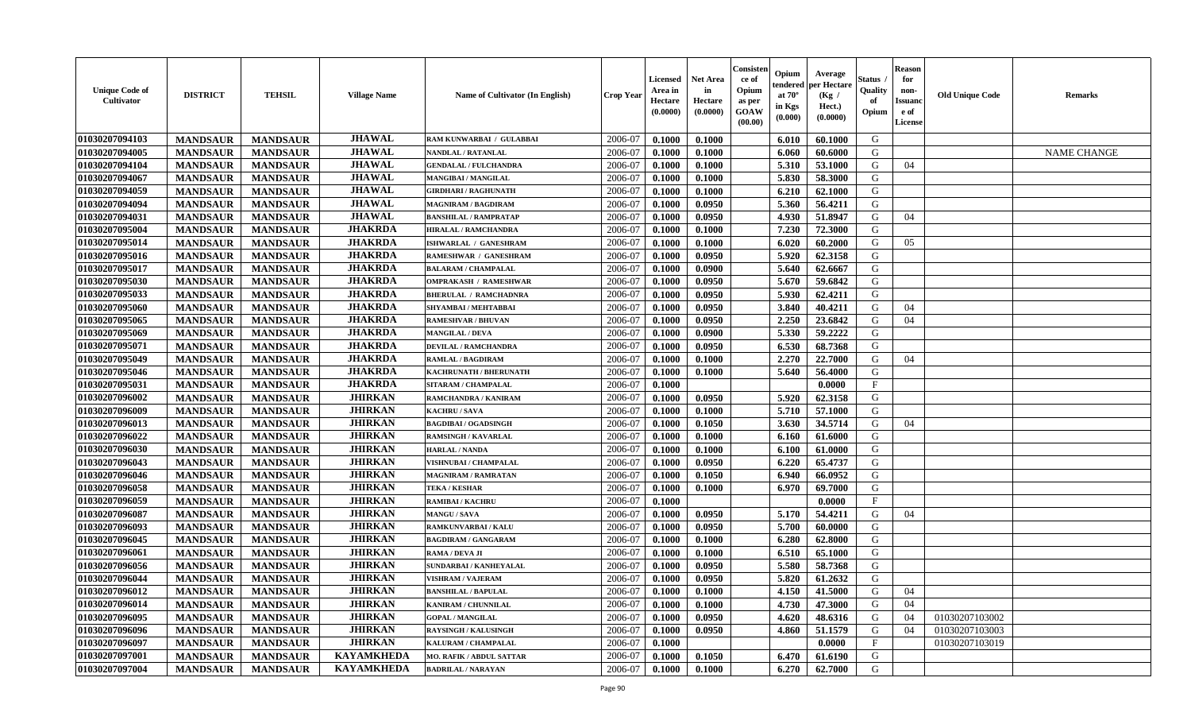| <b>Unique Code of</b><br><b>Cultivator</b> | <b>DISTRICT</b> | <b>TEHSIL</b>   | <b>Village Name</b> | <b>Name of Cultivator (In English)</b> | <b>Crop Year</b> | <b>Licensed</b><br>Area in<br>Hectare<br>(0.0000) | <b>Net Area</b><br>in<br>Hectare<br>(0.0000) | Consisteı<br>ce of<br>Opium<br>as per<br><b>GOAW</b><br>(00.00) | Opium<br>endered<br>at $70^\circ$<br>in Kgs<br>$(\mathbf{0.000})$ | Average<br>per Hectare<br>(Kg /<br>Hect.)<br>(0.0000) | Status<br>Quality<br>of<br>Opium | Reason<br>for<br>non-<br>Issuan<br>e of<br>License | <b>Old Unique Code</b> | <b>Remarks</b>     |
|--------------------------------------------|-----------------|-----------------|---------------------|----------------------------------------|------------------|---------------------------------------------------|----------------------------------------------|-----------------------------------------------------------------|-------------------------------------------------------------------|-------------------------------------------------------|----------------------------------|----------------------------------------------------|------------------------|--------------------|
| 01030207094103                             | <b>MANDSAUR</b> | <b>MANDSAUR</b> | <b>JHAWAL</b>       | RAM KUNWARBAI / GULABBAI               | 2006-07          | 0.1000                                            | 0.1000                                       |                                                                 | 6.010                                                             | 60.1000                                               | G                                |                                                    |                        |                    |
| 01030207094005                             | <b>MANDSAUR</b> | <b>MANDSAUR</b> | <b>JHAWAL</b>       | <b>NANDLAL / RATANLAL</b>              | 2006-07          | 0.1000                                            | 0.1000                                       |                                                                 | 6.060                                                             | 60.6000                                               | G                                |                                                    |                        | <b>NAME CHANGE</b> |
| 01030207094104                             | <b>MANDSAUR</b> | <b>MANDSAUR</b> | <b>JHAWAL</b>       | <b>GENDALAL / FULCHANDRA</b>           | 2006-07          | 0.1000                                            | 0.1000                                       |                                                                 | 5.310                                                             | 53.1000                                               | G                                | 04                                                 |                        |                    |
| 01030207094067                             | <b>MANDSAUR</b> | <b>MANDSAUR</b> | <b>JHAWAL</b>       | MANGIBAI / MANGILAL                    | 2006-07          | 0.1000                                            | 0.1000                                       |                                                                 | 5.830                                                             | 58.3000                                               | G                                |                                                    |                        |                    |
| 01030207094059                             | <b>MANDSAUR</b> | <b>MANDSAUR</b> | <b>JHAWAL</b>       | <b>GIRDHARI / RAGHUNATH</b>            | 2006-07          | 0.1000                                            | 0.1000                                       |                                                                 | 6.210                                                             | 62.1000                                               | G                                |                                                    |                        |                    |
| 01030207094094                             | <b>MANDSAUR</b> | <b>MANDSAUR</b> | <b>JHAWAL</b>       | <b>MAGNIRAM / BAGDIRAM</b>             | 2006-07          | 0.1000                                            | 0.0950                                       |                                                                 | 5.360                                                             | 56.4211                                               | G                                |                                                    |                        |                    |
| 01030207094031                             | <b>MANDSAUR</b> | <b>MANDSAUR</b> | <b>JHAWAL</b>       | <b>BANSHILAL / RAMPRATAP</b>           | 2006-07          | 0.1000                                            | 0.0950                                       |                                                                 | 4.930                                                             | 51.8947                                               | G                                | 04                                                 |                        |                    |
| 01030207095004                             | <b>MANDSAUR</b> | <b>MANDSAUR</b> | <b>JHAKRDA</b>      | <b>HIRALAL / RAMCHANDRA</b>            | 2006-07          | 0.1000                                            | 0.1000                                       |                                                                 | 7.230                                                             | 72.3000                                               | G                                |                                                    |                        |                    |
| 01030207095014                             | <b>MANDSAUR</b> | <b>MANDSAUR</b> | <b>JHAKRDA</b>      | ISHWARLAL / GANESHRAM                  | 2006-07          | 0.1000                                            | 0.1000                                       |                                                                 | 6.020                                                             | 60.2000                                               | G                                | 05                                                 |                        |                    |
| 01030207095016                             | <b>MANDSAUR</b> | <b>MANDSAUR</b> | <b>JHAKRDA</b>      | RAMESHWAR / GANESHRAM                  | 2006-07          | 0.1000                                            | 0.0950                                       |                                                                 | 5.920                                                             | 62.3158                                               | G                                |                                                    |                        |                    |
| 01030207095017                             | <b>MANDSAUR</b> | <b>MANDSAUR</b> | <b>JHAKRDA</b>      | <b>BALARAM / CHAMPALAL</b>             | 2006-07          | 0.1000                                            | 0.0900                                       |                                                                 | 5.640                                                             | 62.6667                                               | G                                |                                                    |                        |                    |
| 01030207095030                             | <b>MANDSAUR</b> | <b>MANDSAUR</b> | <b>JHAKRDA</b>      | <b>OMPRAKASH / RAMESHWAR</b>           | 2006-07          | 0.1000                                            | 0.0950                                       |                                                                 | 5.670                                                             | 59.6842                                               | G                                |                                                    |                        |                    |
| 01030207095033                             | <b>MANDSAUR</b> | <b>MANDSAUR</b> | <b>JHAKRDA</b>      | <b>BHERULAL / RAMCHADNRA</b>           | 2006-07          | 0.1000                                            | 0.0950                                       |                                                                 | 5.930                                                             | 62.4211                                               | G                                |                                                    |                        |                    |
| 01030207095060                             | <b>MANDSAUR</b> | <b>MANDSAUR</b> | <b>JHAKRDA</b>      | SHYAMBAI / MEHTABBAI                   | 2006-07          | 0.1000                                            | 0.0950                                       |                                                                 | 3.840                                                             | 40.4211                                               | G                                | 04                                                 |                        |                    |
| 01030207095065                             | <b>MANDSAUR</b> | <b>MANDSAUR</b> | <b>JHAKRDA</b>      | <b>RAMESHVAR / BHUVAN</b>              | 2006-07          | 0.1000                                            | 0.0950                                       |                                                                 | 2.250                                                             | 23.6842                                               | G                                | 04                                                 |                        |                    |
| 01030207095069                             | <b>MANDSAUR</b> | <b>MANDSAUR</b> | <b>JHAKRDA</b>      | <b>MANGILAL / DEVA</b>                 | 2006-07          | 0.1000                                            | 0.0900                                       |                                                                 | 5.330                                                             | 59,2222                                               | G                                |                                                    |                        |                    |
| 01030207095071                             | <b>MANDSAUR</b> | <b>MANDSAUR</b> | <b>JHAKRDA</b>      | <b>DEVILAL / RAMCHANDRA</b>            | 2006-07          | 0.1000                                            | 0.0950                                       |                                                                 | 6.530                                                             | 68.7368                                               | G                                |                                                    |                        |                    |
| 01030207095049                             | <b>MANDSAUR</b> | <b>MANDSAUR</b> | <b>JHAKRDA</b>      | <b>RAMLAL / BAGDIRAM</b>               | 2006-07          | 0.1000                                            | 0.1000                                       |                                                                 | 2.270                                                             | 22.7000                                               | G                                | 04                                                 |                        |                    |
| 01030207095046                             | <b>MANDSAUR</b> | <b>MANDSAUR</b> | <b>JHAKRDA</b>      | KACHRUNATH / BHERUNATH                 | 2006-07          | 0.1000                                            | 0.1000                                       |                                                                 | 5.640                                                             | 56.4000                                               | G                                |                                                    |                        |                    |
| 01030207095031                             | <b>MANDSAUR</b> | <b>MANDSAUR</b> | <b>JHAKRDA</b>      | SITARAM / CHAMPALAL                    | 2006-07          | 0.1000                                            |                                              |                                                                 |                                                                   | 0.0000                                                | F                                |                                                    |                        |                    |
| 01030207096002                             | <b>MANDSAUR</b> | <b>MANDSAUR</b> | <b>JHIRKAN</b>      | RAMCHANDRA / KANIRAM                   | 2006-07          | 0.1000                                            | 0.0950                                       |                                                                 | 5.920                                                             | 62.3158                                               | G                                |                                                    |                        |                    |
| 01030207096009                             | <b>MANDSAUR</b> | <b>MANDSAUR</b> | <b>JHIRKAN</b>      | <b>KACHRU / SAVA</b>                   | 2006-07          | 0.1000                                            | 0.1000                                       |                                                                 | 5.710                                                             | 57.1000                                               | G                                |                                                    |                        |                    |
| 01030207096013                             | <b>MANDSAUR</b> | <b>MANDSAUR</b> | <b>JHIRKAN</b>      | <b>BAGDIBAI / OGADSINGH</b>            | 2006-07          | 0.1000                                            | 0.1050                                       |                                                                 | 3.630                                                             | 34.5714                                               | G                                | 04                                                 |                        |                    |
| 01030207096022                             | <b>MANDSAUR</b> | <b>MANDSAUR</b> | <b>JHIRKAN</b>      | <b>RAMSINGH / KAVARLAL</b>             | 2006-07          | 0.1000                                            | 0.1000                                       |                                                                 | 6.160                                                             | 61.6000                                               | G                                |                                                    |                        |                    |
| 01030207096030                             | <b>MANDSAUR</b> | <b>MANDSAUR</b> | <b>JHIRKAN</b>      | <b>HARLAL / NANDA</b>                  | 2006-07          | 0.1000                                            | 0.1000                                       |                                                                 | 6.100                                                             | 61.0000                                               | G                                |                                                    |                        |                    |
| 01030207096043                             | <b>MANDSAUR</b> | <b>MANDSAUR</b> | <b>JHIRKAN</b>      | VISHNUBAI / CHAMPALAL                  | 2006-07          | 0.1000                                            | 0.0950                                       |                                                                 | 6.220                                                             | 65.4737                                               | G                                |                                                    |                        |                    |
| 01030207096046                             | <b>MANDSAUR</b> | <b>MANDSAUR</b> | <b>JHIRKAN</b>      | <b>MAGNIRAM / RAMRATAN</b>             | 2006-07          | 0.1000                                            | 0.1050                                       |                                                                 | 6.940                                                             | 66.0952                                               | G                                |                                                    |                        |                    |
| 01030207096058                             | <b>MANDSAUR</b> | <b>MANDSAUR</b> | <b>JHIRKAN</b>      | <b>TEKA / KESHAR</b>                   | 2006-07          | 0.1000                                            | 0.1000                                       |                                                                 | 6.970                                                             | 69.7000                                               | G                                |                                                    |                        |                    |
| 01030207096059                             | <b>MANDSAUR</b> | <b>MANDSAUR</b> | <b>JHIRKAN</b>      | RAMIBAI / KACHRU                       | 2006-07          | 0.1000                                            |                                              |                                                                 |                                                                   | 0.0000                                                | $\mathbf{F}$                     |                                                    |                        |                    |
| 01030207096087                             | <b>MANDSAUR</b> | <b>MANDSAUR</b> | <b>JHIRKAN</b>      | <b>MANGU / SAVA</b>                    | 2006-07          | 0.1000                                            | 0.0950                                       |                                                                 | 5.170                                                             | 54,4211                                               | G                                | 04                                                 |                        |                    |
| 01030207096093                             | <b>MANDSAUR</b> | <b>MANDSAUR</b> | <b>JHIRKAN</b>      | RAMKUNVARBAI / KALU                    | 2006-07          | 0.1000                                            | 0.0950                                       |                                                                 | 5.700                                                             | 60.0000                                               | G                                |                                                    |                        |                    |
| 01030207096045                             | <b>MANDSAUR</b> | <b>MANDSAUR</b> | <b>JHIRKAN</b>      | <b>BAGDIRAM / GANGARAM</b>             | 2006-07          | 0.1000                                            | 0.1000                                       |                                                                 | 6.280                                                             | 62.8000                                               | G                                |                                                    |                        |                    |
| 01030207096061                             | <b>MANDSAUR</b> | <b>MANDSAUR</b> | <b>JHIRKAN</b>      | RAMA / DEVA JI                         | 2006-07          | 0.1000                                            | 0.1000                                       |                                                                 | 6.510                                                             | 65.1000                                               | G                                |                                                    |                        |                    |
| 01030207096056                             | <b>MANDSAUR</b> | <b>MANDSAUR</b> | <b>JHIRKAN</b>      | SUNDARBAI / KANHEYALAL                 | 2006-07          | 0.1000                                            | 0.0950                                       |                                                                 | 5.580                                                             | 58.7368                                               | G                                |                                                    |                        |                    |
| 01030207096044                             | <b>MANDSAUR</b> | <b>MANDSAUR</b> | <b>JHIRKAN</b>      | <b>VISHRAM / VAJERAM</b>               | 2006-07          | 0.1000                                            | 0.0950                                       |                                                                 | 5.820                                                             | 61.2632                                               | G                                |                                                    |                        |                    |
| 01030207096012                             | <b>MANDSAUR</b> | <b>MANDSAUR</b> | <b>JHIRKAN</b>      | <b>BANSHILAL / BAPULAL</b>             | 2006-07          | 0.1000                                            | 0.1000                                       |                                                                 |                                                                   | 4.150 41.5000                                         | G                                | 04                                                 |                        |                    |
| 01030207096014                             | <b>MANDSAUR</b> | <b>MANDSAUR</b> | <b>JHIRKAN</b>      | <b>KANIRAM / CHUNNILAL</b>             | 2006-07          | 0.1000                                            | 0.1000                                       |                                                                 | 4.730                                                             | 47.3000                                               | G                                | 04                                                 |                        |                    |
| 01030207096095                             | <b>MANDSAUR</b> | <b>MANDSAUR</b> | <b>JHIRKAN</b>      | <b>GOPAL / MANGILAL</b>                | 2006-07          | 0.1000                                            | 0.0950                                       |                                                                 | 4.620                                                             | 48.6316                                               | G                                | 04                                                 | 01030207103002         |                    |
| 01030207096096                             | <b>MANDSAUR</b> | <b>MANDSAUR</b> | <b>JHIRKAN</b>      | <b>RAYSINGH / KALUSINGH</b>            | 2006-07          | 0.1000                                            | 0.0950                                       |                                                                 | 4.860                                                             | 51.1579                                               | G                                | 04                                                 | 01030207103003         |                    |
| 01030207096097                             | <b>MANDSAUR</b> | <b>MANDSAUR</b> | <b>JHIRKAN</b>      | KALURAM / CHAMPALAL                    | 2006-07          | 0.1000                                            |                                              |                                                                 |                                                                   | 0.0000                                                | $\mathbf{F}$                     |                                                    | 01030207103019         |                    |
| 01030207097001                             | <b>MANDSAUR</b> | <b>MANDSAUR</b> | <b>KAYAMKHEDA</b>   | <b>MO. RAFIK / ABDUL SATTAR</b>        | 2006-07          | 0.1000                                            | 0.1050                                       |                                                                 | 6.470                                                             | 61.6190                                               | G                                |                                                    |                        |                    |
| 01030207097004                             | <b>MANDSAUR</b> | <b>MANDSAUR</b> | <b>KAYAMKHEDA</b>   | <b>BADRILAL / NARAYAN</b>              | 2006-07          | 0.1000                                            | 0.1000                                       |                                                                 | 6.270                                                             | 62.7000                                               | G                                |                                                    |                        |                    |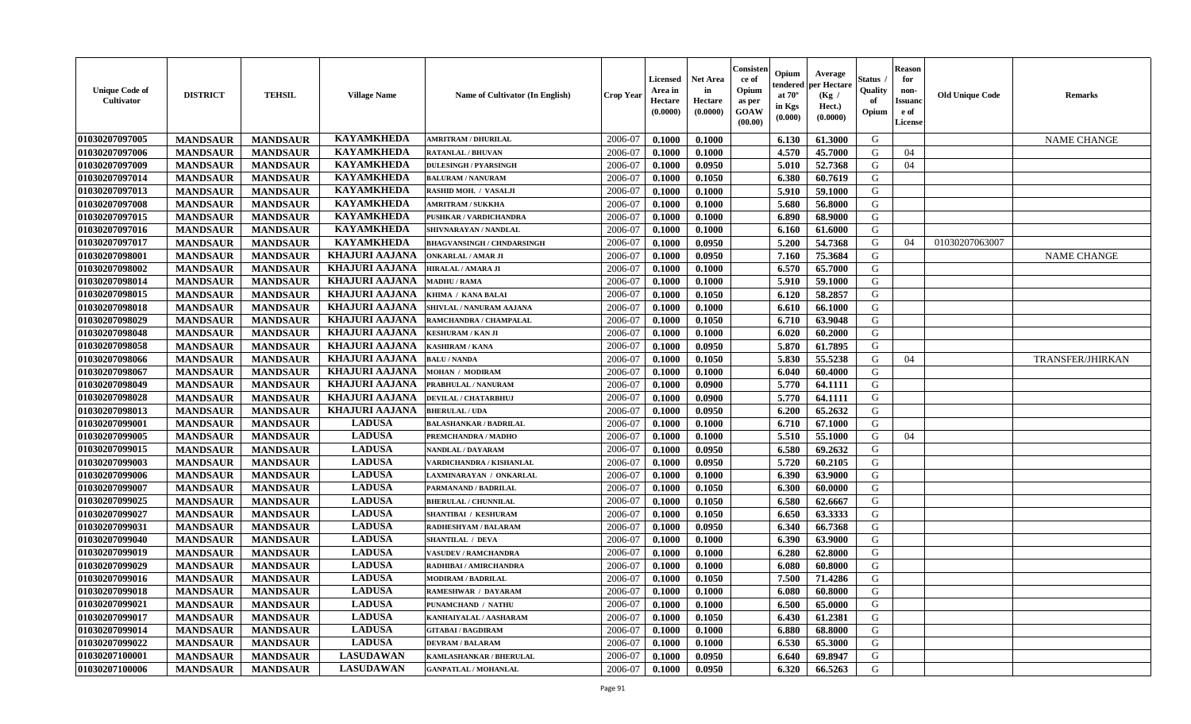| <b>Unique Code of</b><br><b>Cultivator</b> | <b>DISTRICT</b> | <b>TEHSIL</b>   | <b>Village Name</b>   | <b>Name of Cultivator (In English)</b> | <b>Crop Year</b> | <b>Licensed</b><br>Area in<br>Hectare<br>(0.0000) | <b>Net Area</b><br>in<br>Hectare<br>(0.0000) | Consisten<br>ce of<br>Opium<br>as per<br>GOAW<br>(00.00) | Opium<br>tendered<br>at $70^\circ$<br>in Kgs<br>(0.000) | Average<br>per Hectare<br>(Kg)<br>Hect.)<br>(0.0000) | Status<br>Quality<br>of<br>Opium | Reason<br>for<br>non-<br>Issuanc<br>e of<br>License | <b>Old Unique Code</b> | <b>Remarks</b>          |
|--------------------------------------------|-----------------|-----------------|-----------------------|----------------------------------------|------------------|---------------------------------------------------|----------------------------------------------|----------------------------------------------------------|---------------------------------------------------------|------------------------------------------------------|----------------------------------|-----------------------------------------------------|------------------------|-------------------------|
| 01030207097005                             | <b>MANDSAUR</b> | <b>MANDSAUR</b> | <b>KAYAMKHEDA</b>     | <b>AMRITRAM / DHURILAL</b>             | 2006-07          | 0.1000                                            | 0.1000                                       |                                                          | 6.130                                                   | 61.3000                                              | G                                |                                                     |                        | <b>NAME CHANGE</b>      |
| 01030207097006                             | <b>MANDSAUR</b> | <b>MANDSAUR</b> | <b>KAYAMKHEDA</b>     | <b>RATANLAL / BHUVAN</b>               | 2006-07          | 0.1000                                            | 0.1000                                       |                                                          | 4.570                                                   | 45.7000                                              | G                                | 04                                                  |                        |                         |
| 01030207097009                             | <b>MANDSAUR</b> | <b>MANDSAUR</b> | <b>KAYAMKHEDA</b>     | <b>DULESINGH / PYARSINGH</b>           | 2006-07          | 0.1000                                            | 0.0950                                       |                                                          | 5.010                                                   | 52.7368                                              | G                                | 04                                                  |                        |                         |
| 01030207097014                             | <b>MANDSAUR</b> | <b>MANDSAUR</b> | <b>KAYAMKHEDA</b>     | <b>BALURAM / NANURAM</b>               | 2006-07          | 0.1000                                            | 0.1050                                       |                                                          | 6.380                                                   | 60.7619                                              | G                                |                                                     |                        |                         |
| 01030207097013                             | <b>MANDSAUR</b> | <b>MANDSAUR</b> | <b>KAYAMKHEDA</b>     | RASHID MOH. / VASALJI                  | 2006-07          | 0.1000                                            | 0.1000                                       |                                                          | 5.910                                                   | 59.1000                                              | G                                |                                                     |                        |                         |
| 01030207097008                             | <b>MANDSAUR</b> | <b>MANDSAUR</b> | <b>KAYAMKHEDA</b>     | <b>AMRITRAM / SUKKHA</b>               | 2006-07          | 0.1000                                            | 0.1000                                       |                                                          | 5.680                                                   | 56.8000                                              | G                                |                                                     |                        |                         |
| 01030207097015                             | <b>MANDSAUR</b> | <b>MANDSAUR</b> | <b>KAYAMKHEDA</b>     | PUSHKAR / VARDICHANDRA                 | 2006-07          | 0.1000                                            | 0.1000                                       |                                                          | 6.890                                                   | 68.9000                                              | G                                |                                                     |                        |                         |
| 01030207097016                             | <b>MANDSAUR</b> | <b>MANDSAUR</b> | <b>KAYAMKHEDA</b>     | SHIVNARAYAN / NANDLAL                  | 2006-07          | 0.1000                                            | 0.1000                                       |                                                          | 6.160                                                   | 61.6000                                              | G                                |                                                     |                        |                         |
| 01030207097017                             | <b>MANDSAUR</b> | <b>MANDSAUR</b> | <b>KAYAMKHEDA</b>     | <b>BHAGVANSINGH / CHNDARSINGH</b>      | 2006-07          | 0.1000                                            | 0.0950                                       |                                                          | 5.200                                                   | 54.7368                                              | G                                | 04                                                  | 01030207063007         |                         |
| 01030207098001                             | <b>MANDSAUR</b> | <b>MANDSAUR</b> | <b>KHAJURI AAJANA</b> | <b>ONKARLAL / AMAR JI</b>              | 2006-07          | 0.1000                                            | 0.0950                                       |                                                          | 7.160                                                   | 75.3684                                              | G                                |                                                     |                        | <b>NAME CHANGE</b>      |
| 01030207098002                             | <b>MANDSAUR</b> | <b>MANDSAUR</b> | <b>KHAJURI AAJANA</b> | <b>HIRALAL / AMARA JI</b>              | 2006-07          | 0.1000                                            | 0.1000                                       |                                                          | 6.570                                                   | 65.7000                                              | G                                |                                                     |                        |                         |
| 01030207098014                             | <b>MANDSAUR</b> | <b>MANDSAUR</b> | <b>KHAJURI AAJANA</b> | <b>MADHU / RAMA</b>                    | 2006-07          | 0.1000                                            | 0.1000                                       |                                                          | 5.910                                                   | 59.1000                                              | G                                |                                                     |                        |                         |
| 01030207098015                             | <b>MANDSAUR</b> | <b>MANDSAUR</b> | <b>KHAJURI AAJANA</b> | KHIMA / KANA BALAI                     | 2006-07          | 0.1000                                            | 0.1050                                       |                                                          | 6.120                                                   | 58.2857                                              | G                                |                                                     |                        |                         |
| 01030207098018                             | <b>MANDSAUR</b> | <b>MANDSAUR</b> | <b>KHAJURI AAJANA</b> | SHIVLAL / NANURAM AAJANA               | 2006-07          | 0.1000                                            | 0.1000                                       |                                                          | 6.610                                                   | 66.1000                                              | G                                |                                                     |                        |                         |
| 01030207098029                             | <b>MANDSAUR</b> | <b>MANDSAUR</b> | <b>KHAJURI AAJANA</b> | RAMCHANDRA / CHAMPALAL                 | 2006-07          | 0.1000                                            | 0.1050                                       |                                                          | 6.710                                                   | 63.9048                                              | G                                |                                                     |                        |                         |
| 01030207098048                             | <b>MANDSAUR</b> | <b>MANDSAUR</b> | <b>KHAJURI AAJANA</b> | <b>KESHURAM / KAN JI</b>               | 2006-07          | 0.1000                                            | 0.1000                                       |                                                          | 6.020                                                   | 60.2000                                              | G                                |                                                     |                        |                         |
| 01030207098058                             | <b>MANDSAUR</b> | <b>MANDSAUR</b> | <b>KHAJURI AAJANA</b> | <b>KASHIRAM / KANA</b>                 | 2006-07          | 0.1000                                            | 0.0950                                       |                                                          | 5.870                                                   | 61.7895                                              | G                                |                                                     |                        |                         |
| 01030207098066                             | <b>MANDSAUR</b> | <b>MANDSAUR</b> | <b>KHAJURI AAJANA</b> | <b>BALU / NANDA</b>                    | 2006-07          | 0.1000                                            | 0.1050                                       |                                                          | 5.830                                                   | 55.5238                                              | G                                | 04                                                  |                        | <b>TRANSFER/JHIRKAN</b> |
| 01030207098067                             | <b>MANDSAUR</b> | <b>MANDSAUR</b> | <b>KHAJURI AAJANA</b> | <b>MOHAN / MODIRAM</b>                 | 2006-07          | 0.1000                                            | 0.1000                                       |                                                          | 6.040                                                   | 60.4000                                              | G                                |                                                     |                        |                         |
| 01030207098049                             | <b>MANDSAUR</b> | <b>MANDSAUR</b> | <b>KHAJURI AAJANA</b> | PRABHULAL / NANURAM                    | 2006-07          | 0.1000                                            | 0.0900                                       |                                                          | 5.770                                                   | 64.1111                                              | G                                |                                                     |                        |                         |
| 01030207098028                             | <b>MANDSAUR</b> | <b>MANDSAUR</b> | <b>KHAJURI AAJANA</b> | <b>DEVILAL / CHATARBHUJ</b>            | 2006-07          | 0.1000                                            | 0.0900                                       |                                                          | 5.770                                                   | 64.1111                                              | G                                |                                                     |                        |                         |
| 01030207098013                             | <b>MANDSAUR</b> | <b>MANDSAUR</b> | <b>KHAJURI AAJANA</b> | <b>BHERULAL / UDA</b>                  | 2006-07          | 0.1000                                            | 0.0950                                       |                                                          | 6.200                                                   | 65.2632                                              | G                                |                                                     |                        |                         |
| 01030207099001                             | <b>MANDSAUR</b> | <b>MANDSAUR</b> | <b>LADUSA</b>         | <b>BALASHANKAR / BADRILAL</b>          | 2006-07          | 0.1000                                            | 0.1000                                       |                                                          | 6.710                                                   | 67.1000                                              | G                                |                                                     |                        |                         |
| 01030207099005                             | <b>MANDSAUR</b> | <b>MANDSAUR</b> | <b>LADUSA</b>         | PREMCHANDRA / MADHO                    | 2006-07          | 0.1000                                            | 0.1000                                       |                                                          | 5.510                                                   | 55.1000                                              | G                                | 04                                                  |                        |                         |
| 01030207099015                             | <b>MANDSAUR</b> | <b>MANDSAUR</b> | <b>LADUSA</b>         | <b>NANDLAL / DAYARAM</b>               | 2006-07          | 0.1000                                            | 0.0950                                       |                                                          | 6.580                                                   | 69.2632                                              | G                                |                                                     |                        |                         |
| 01030207099003                             | <b>MANDSAUR</b> | <b>MANDSAUR</b> | <b>LADUSA</b>         | VARDICHANDRA / KISHANLAL               | 2006-07          | 0.1000                                            | 0.0950                                       |                                                          | 5.720                                                   | 60.2105                                              | G                                |                                                     |                        |                         |
| 01030207099006                             | <b>MANDSAUR</b> | <b>MANDSAUR</b> | <b>LADUSA</b>         | LAXMINARAYAN / ONKARLAL                | 2006-07          | 0.1000                                            | 0.1000                                       |                                                          | 6.390                                                   | 63.9000                                              | G                                |                                                     |                        |                         |
| 01030207099007                             | <b>MANDSAUR</b> | <b>MANDSAUR</b> | <b>LADUSA</b>         | PARMANAND / BADRILAL                   | 2006-07          | 0.1000                                            | 0.1050                                       |                                                          | 6.300                                                   | 60.0000                                              | G                                |                                                     |                        |                         |
| 01030207099025                             | <b>MANDSAUR</b> | <b>MANDSAUR</b> | <b>LADUSA</b>         | <b>BHERULAL / CHUNNILAL</b>            | 2006-07          | 0.1000                                            | 0.1050                                       |                                                          | 6.580                                                   | 62.6667                                              | G                                |                                                     |                        |                         |
| 01030207099027                             | <b>MANDSAUR</b> | <b>MANDSAUR</b> | <b>LADUSA</b>         | <b>SHANTIBAI / KESHURAM</b>            | 2006-07          | 0.1000                                            | 0.1050                                       |                                                          | 6.650                                                   | 63.3333                                              | G                                |                                                     |                        |                         |
| 01030207099031                             | <b>MANDSAUR</b> | <b>MANDSAUR</b> | <b>LADUSA</b>         | RADHESHYAM / BALARAM                   | 2006-07          | 0.1000                                            | 0.0950                                       |                                                          | 6.340                                                   | 66.7368                                              | G                                |                                                     |                        |                         |
| 01030207099040                             | <b>MANDSAUR</b> | <b>MANDSAUR</b> | <b>LADUSA</b>         | <b>SHANTILAL / DEVA</b>                | 2006-07          | 0.1000                                            | 0.1000                                       |                                                          | 6.390                                                   | 63.9000                                              | G                                |                                                     |                        |                         |
| 01030207099019                             | <b>MANDSAUR</b> | <b>MANDSAUR</b> | <b>LADUSA</b>         | <b>VASUDEV / RAMCHANDRA</b>            | 2006-07          | 0.1000                                            | 0.1000                                       |                                                          | 6.280                                                   | 62.8000                                              | G                                |                                                     |                        |                         |
| 01030207099029                             | <b>MANDSAUR</b> | <b>MANDSAUR</b> | <b>LADUSA</b>         | RADHIBAI / AMIRCHANDRA                 | 2006-07          | 0.1000                                            | 0.1000                                       |                                                          | 6.080                                                   | 60.8000                                              | G                                |                                                     |                        |                         |
| 01030207099016                             | <b>MANDSAUR</b> | <b>MANDSAUR</b> | <b>LADUSA</b>         | <b>MODIRAM / BADRILAL</b>              | 2006-07          | 0.1000                                            | 0.1050                                       |                                                          | 7.500                                                   | 71.4286                                              | G                                |                                                     |                        |                         |
| 01030207099018                             | <b>MANDSAUR</b> | MANDSAUR        | <b>LADUSA</b>         | <b>RAMESHWAR / DAYARAM</b>             | 2006-07          | 0.1000                                            | 0.1000                                       |                                                          | 6.080                                                   | 60.8000                                              | G                                |                                                     |                        |                         |
| 01030207099021                             | <b>MANDSAUR</b> | <b>MANDSAUR</b> | <b>LADUSA</b>         | PUNAMCHAND / NATHU                     | 2006-07          | 0.1000                                            | 0.1000                                       |                                                          | 6.500                                                   | 65.0000                                              | G                                |                                                     |                        |                         |
| 01030207099017                             | <b>MANDSAUR</b> | <b>MANDSAUR</b> | <b>LADUSA</b>         | KANHAIYALAL / AASHARAM                 | 2006-07          | 0.1000                                            | 0.1050                                       |                                                          | 6.430                                                   | 61.2381                                              | G                                |                                                     |                        |                         |
| 01030207099014                             | <b>MANDSAUR</b> | <b>MANDSAUR</b> | <b>LADUSA</b>         | <b>GITABAI/BAGDIRAM</b>                | 2006-07          | 0.1000                                            | 0.1000                                       |                                                          | 6.880                                                   | 68.8000                                              | G                                |                                                     |                        |                         |
| 01030207099022                             | <b>MANDSAUR</b> | <b>MANDSAUR</b> | <b>LADUSA</b>         | <b>DEVRAM / BALARAM</b>                | 2006-07          | 0.1000                                            | 0.1000                                       |                                                          | 6.530                                                   | 65.3000                                              | G                                |                                                     |                        |                         |
| 01030207100001                             | <b>MANDSAUR</b> | <b>MANDSAUR</b> | <b>LASUDAWAN</b>      | <b>KAMLASHANKAR / BHERULAL</b>         | 2006-07          | 0.1000                                            | 0.0950                                       |                                                          | 6.640                                                   | 69.8947                                              | G                                |                                                     |                        |                         |
| 01030207100006                             | <b>MANDSAUR</b> | <b>MANDSAUR</b> | <b>LASUDAWAN</b>      | <b>GANPATLAL / MOHANLAL</b>            | 2006-07          | $\bf{0.1000}$                                     | 0.0950                                       |                                                          | 6.320                                                   | 66.5263                                              | G                                |                                                     |                        |                         |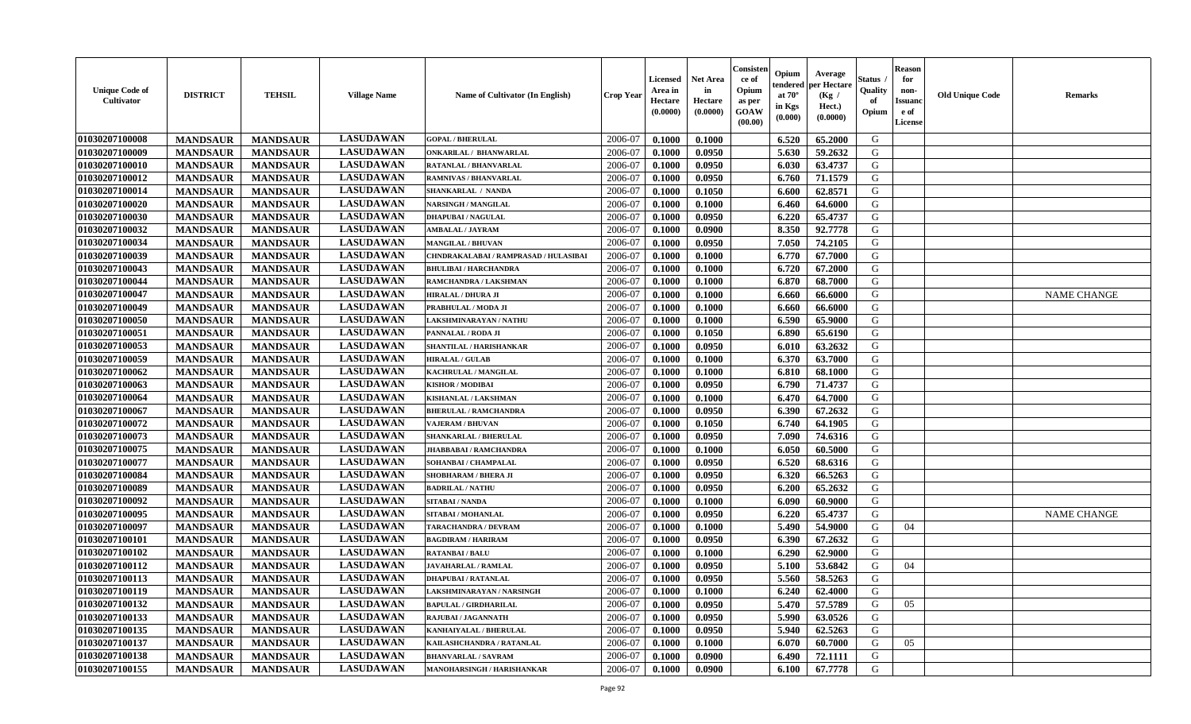| <b>Unique Code of</b><br>Cultivator | <b>DISTRICT</b> | <b>TEHSIL</b>   | <b>Village Name</b> | <b>Name of Cultivator (In English)</b> | <b>Crop Year</b> | <b>Licensed</b><br>Area in<br>Hectare<br>(0.0000) | <b>Net Area</b><br>in<br>Hectare<br>(0.0000) | Consister<br>ce of<br>Opium<br>as per<br><b>GOAW</b><br>(00.00) | Opium<br>endered<br>at $70^{\circ}$<br>in Kgs<br>(0.000) | Average<br>per Hectare<br>(Kg /<br>Hect.)<br>(0.0000) | <b>Status</b><br>Quality<br>of<br>Opium | <b>Reason</b><br>for<br>non-<br><b>Issuand</b><br>e of<br>License | <b>Old Unique Code</b> | <b>Remarks</b>     |
|-------------------------------------|-----------------|-----------------|---------------------|----------------------------------------|------------------|---------------------------------------------------|----------------------------------------------|-----------------------------------------------------------------|----------------------------------------------------------|-------------------------------------------------------|-----------------------------------------|-------------------------------------------------------------------|------------------------|--------------------|
| 01030207100008                      | <b>MANDSAUR</b> | <b>MANDSAUR</b> | <b>LASUDAWAN</b>    | <b>GOPAL / BHERULAL</b>                | 2006-07          | 0.1000                                            | 0.1000                                       |                                                                 | 6.520                                                    | 65.2000                                               | G                                       |                                                                   |                        |                    |
| 01030207100009                      | <b>MANDSAUR</b> | <b>MANDSAUR</b> | <b>LASUDAWAN</b>    | ONKARILAL / BHANWARLAL                 | 2006-07          | 0.1000                                            | 0.0950                                       |                                                                 | 5.630                                                    | 59.2632                                               | G                                       |                                                                   |                        |                    |
| 01030207100010                      | <b>MANDSAUR</b> | <b>MANDSAUR</b> | <b>LASUDAWAN</b>    | RATANLAL / BHANVARLAL                  | 2006-07          | 0.1000                                            | 0.0950                                       |                                                                 | 6.030                                                    | 63.4737                                               | G                                       |                                                                   |                        |                    |
| 01030207100012                      | <b>MANDSAUR</b> | <b>MANDSAUR</b> | <b>LASUDAWAN</b>    | RAMNIVAS / BHANVARLAL                  | 2006-07          | 0.1000                                            | 0.0950                                       |                                                                 | 6.760                                                    | 71.1579                                               | G                                       |                                                                   |                        |                    |
| 01030207100014                      | <b>MANDSAUR</b> | <b>MANDSAUR</b> | <b>LASUDAWAN</b>    | SHANKARLAL / NANDA                     | 2006-07          | 0.1000                                            | 0.1050                                       |                                                                 | 6.600                                                    | 62.8571                                               | G                                       |                                                                   |                        |                    |
| 01030207100020                      | <b>MANDSAUR</b> | <b>MANDSAUR</b> | <b>LASUDAWAN</b>    | NARSINGH / MANGILAL                    | 2006-07          | 0.1000                                            | 0.1000                                       |                                                                 | 6.460                                                    | 64.6000                                               | G                                       |                                                                   |                        |                    |
| 01030207100030                      | <b>MANDSAUR</b> | <b>MANDSAUR</b> | <b>LASUDAWAN</b>    | <b>DHAPUBAI/NAGULAL</b>                | 2006-07          | 0.1000                                            | 0.0950                                       |                                                                 | 6.220                                                    | 65.4737                                               | G                                       |                                                                   |                        |                    |
| 01030207100032                      | <b>MANDSAUR</b> | <b>MANDSAUR</b> | <b>LASUDAWAN</b>    | <b>AMBALAL / JAYRAM</b>                | 2006-07          | 0.1000                                            | 0.0900                                       |                                                                 | 8.350                                                    | 92.7778                                               | G                                       |                                                                   |                        |                    |
| 01030207100034                      | <b>MANDSAUR</b> | <b>MANDSAUR</b> | <b>LASUDAWAN</b>    | <b>MANGILAL / BHUVAN</b>               | 2006-07          | 0.1000                                            | 0.0950                                       |                                                                 | 7.050                                                    | 74.2105                                               | G                                       |                                                                   |                        |                    |
| 01030207100039                      | <b>MANDSAUR</b> | <b>MANDSAUR</b> | <b>LASUDAWAN</b>    | CHNDRAKALABAI / RAMPRASAD / HULASIBAI  | 2006-07          | 0.1000                                            | 0.1000                                       |                                                                 | 6.770                                                    | 67.7000                                               | G                                       |                                                                   |                        |                    |
| 01030207100043                      | <b>MANDSAUR</b> | <b>MANDSAUR</b> | <b>LASUDAWAN</b>    | <b>BHULIBAI / HARCHANDRA</b>           | 2006-07          | 0.1000                                            | 0.1000                                       |                                                                 | 6.720                                                    | 67.2000                                               | G                                       |                                                                   |                        |                    |
| 01030207100044                      | <b>MANDSAUR</b> | <b>MANDSAUR</b> | <b>LASUDAWAN</b>    | RAMCHANDRA / LAKSHMAN                  | 2006-07          | 0.1000                                            | 0.1000                                       |                                                                 | 6.870                                                    | 68.7000                                               | G                                       |                                                                   |                        |                    |
| 01030207100047                      | <b>MANDSAUR</b> | <b>MANDSAUR</b> | <b>LASUDAWAN</b>    | <b>HIRALAL / DHURA JI</b>              | 2006-07          | 0.1000                                            | 0.1000                                       |                                                                 | 6.660                                                    | 66.6000                                               | G                                       |                                                                   |                        | <b>NAME CHANGE</b> |
| 01030207100049                      | <b>MANDSAUR</b> | <b>MANDSAUR</b> | <b>LASUDAWAN</b>    | PRABHULAL / MODA JI                    | 2006-07          | 0.1000                                            | 0.1000                                       |                                                                 | 6.660                                                    | 66.6000                                               | G                                       |                                                                   |                        |                    |
| 01030207100050                      | <b>MANDSAUR</b> | <b>MANDSAUR</b> | <b>LASUDAWAN</b>    | LAKSHMINARAYAN / NATHU                 | 2006-07          | 0.1000                                            | 0.1000                                       |                                                                 | 6.590                                                    | 65.9000                                               | G                                       |                                                                   |                        |                    |
| 01030207100051                      | <b>MANDSAUR</b> | <b>MANDSAUR</b> | <b>LASUDAWAN</b>    | PANNALAL / RODA JI                     | 2006-07          | 0.1000                                            | 0.1050                                       |                                                                 | 6.890                                                    | 65.6190                                               | G                                       |                                                                   |                        |                    |
| 01030207100053                      | <b>MANDSAUR</b> | <b>MANDSAUR</b> | <b>LASUDAWAN</b>    | SHANTILAL / HARISHANKAR                | 2006-07          | 0.1000                                            | 0.0950                                       |                                                                 | 6.010                                                    | 63.2632                                               | G                                       |                                                                   |                        |                    |
| 01030207100059                      | <b>MANDSAUR</b> | <b>MANDSAUR</b> | <b>LASUDAWAN</b>    | <b>HIRALAL / GULAB</b>                 | 2006-07          | 0.1000                                            | 0.1000                                       |                                                                 | 6.370                                                    | 63.7000                                               | G                                       |                                                                   |                        |                    |
| 01030207100062                      | <b>MANDSAUR</b> | <b>MANDSAUR</b> | <b>LASUDAWAN</b>    | <b>KACHRULAL / MANGILAL</b>            | 2006-07          | 0.1000                                            | 0.1000                                       |                                                                 | 6.810                                                    | 68.1000                                               | G                                       |                                                                   |                        |                    |
| 01030207100063                      | <b>MANDSAUR</b> | <b>MANDSAUR</b> | <b>LASUDAWAN</b>    | <b>KISHOR / MODIBAI</b>                | 2006-07          | 0.1000                                            | 0.0950                                       |                                                                 | 6.790                                                    | 71.4737                                               | G                                       |                                                                   |                        |                    |
| 01030207100064                      | <b>MANDSAUR</b> | <b>MANDSAUR</b> | <b>LASUDAWAN</b>    | KISHANLAL / LAKSHMAN                   | 2006-07          | 0.1000                                            | 0.1000                                       |                                                                 | 6.470                                                    | 64.7000                                               | G                                       |                                                                   |                        |                    |
| 01030207100067                      | <b>MANDSAUR</b> | <b>MANDSAUR</b> | <b>LASUDAWAN</b>    | <b>BHERULAL / RAMCHANDRA</b>           | 2006-07          | 0.1000                                            | 0.0950                                       |                                                                 | 6.390                                                    | 67.2632                                               | G                                       |                                                                   |                        |                    |
| 01030207100072                      | <b>MANDSAUR</b> | <b>MANDSAUR</b> | <b>LASUDAWAN</b>    | <b>VAJERAM / BHUVAN</b>                | 2006-07          | 0.1000                                            | 0.1050                                       |                                                                 | 6.740                                                    | 64.1905                                               | G                                       |                                                                   |                        |                    |
| 01030207100073                      | <b>MANDSAUR</b> | <b>MANDSAUR</b> | <b>LASUDAWAN</b>    | SHANKARLAL / BHERULAL                  | 2006-07          | 0.1000                                            | 0.0950                                       |                                                                 | 7.090                                                    | 74.6316                                               | G                                       |                                                                   |                        |                    |
| 01030207100075                      | <b>MANDSAUR</b> | <b>MANDSAUR</b> | <b>LASUDAWAN</b>    | JHABBABAI / RAMCHANDRA                 | 2006-07          | 0.1000                                            | 0.1000                                       |                                                                 | 6.050                                                    | 60.5000                                               | G                                       |                                                                   |                        |                    |
| 01030207100077                      | <b>MANDSAUR</b> | <b>MANDSAUR</b> | <b>LASUDAWAN</b>    | SOHANBAI / CHAMPALAL                   | 2006-07          | 0.1000                                            | 0.0950                                       |                                                                 | 6.520                                                    | 68.6316                                               | G                                       |                                                                   |                        |                    |
| 01030207100084                      | <b>MANDSAUR</b> | <b>MANDSAUR</b> | <b>LASUDAWAN</b>    | SHOBHARAM / BHERA JI                   | 2006-07          | 0.1000                                            | 0.0950                                       |                                                                 | 6.320                                                    | 66.5263                                               | G                                       |                                                                   |                        |                    |
| 01030207100089                      | <b>MANDSAUR</b> | <b>MANDSAUR</b> | <b>LASUDAWAN</b>    | <b>BADRILAL / NATHU</b>                | 2006-07          | 0.1000                                            | 0.0950                                       |                                                                 | 6.200                                                    | 65.2632                                               | G                                       |                                                                   |                        |                    |
| 01030207100092                      | <b>MANDSAUR</b> | <b>MANDSAUR</b> | <b>LASUDAWAN</b>    | <b>SITABAI/NANDA</b>                   | 2006-07          | 0.1000                                            | 0.1000                                       |                                                                 | 6.090                                                    | 60.9000                                               | G                                       |                                                                   |                        |                    |
| 01030207100095                      | <b>MANDSAUR</b> | <b>MANDSAUR</b> | <b>LASUDAWAN</b>    | SITABAI / MOHANLAL                     | 2006-07          | 0.1000                                            | 0.0950                                       |                                                                 | 6.220                                                    | 65,4737                                               | G                                       |                                                                   |                        | <b>NAME CHANGE</b> |
| 01030207100097                      | <b>MANDSAUR</b> | <b>MANDSAUR</b> | <b>LASUDAWAN</b>    | <b>TARACHANDRA / DEVRAM</b>            | 2006-07          | 0.1000                                            | 0.1000                                       |                                                                 | 5.490                                                    | 54.9000                                               | G                                       | 04                                                                |                        |                    |
| 01030207100101                      | <b>MANDSAUR</b> | <b>MANDSAUR</b> | <b>LASUDAWAN</b>    | <b>BAGDIRAM / HARIRAM</b>              | 2006-07          | 0.1000                                            | 0.0950                                       |                                                                 | 6.390                                                    | 67.2632                                               | G                                       |                                                                   |                        |                    |
| 01030207100102                      | <b>MANDSAUR</b> | <b>MANDSAUR</b> | <b>LASUDAWAN</b>    | <b>RATANBAI/BALU</b>                   | 2006-07          | 0.1000                                            | 0.1000                                       |                                                                 | 6.290                                                    | 62.9000                                               | G                                       |                                                                   |                        |                    |
| 01030207100112                      | <b>MANDSAUR</b> | <b>MANDSAUR</b> | <b>LASUDAWAN</b>    | JAVAHARLAL / RAMLAL                    | 2006-07          | 0.1000                                            | 0.0950                                       |                                                                 | 5.100                                                    | 53.6842                                               | G                                       | 04                                                                |                        |                    |
| 01030207100113                      | <b>MANDSAUR</b> | <b>MANDSAUR</b> | <b>LASUDAWAN</b>    | DHAPUBAI / RATANLAL                    | 2006-07          | 0.1000                                            | 0.0950                                       |                                                                 | 5.560                                                    | 58.5263                                               | G                                       |                                                                   |                        |                    |
| 01030207100119                      | <b>MANDSAUR</b> | MANDSAUR        | <b>LASUDAWAN</b>    | LAKSHMINARAYAN / NARSINGH              | 2006-07          | 0.1000                                            | 0.1000                                       |                                                                 | $6.240$                                                  | 62.4000                                               | G                                       |                                                                   |                        |                    |
| 01030207100132                      | <b>MANDSAUR</b> | <b>MANDSAUR</b> | <b>LASUDAWAN</b>    | <b>BAPULAL / GIRDHARILAL</b>           | 2006-07          | 0.1000                                            | 0.0950                                       |                                                                 | 5.470                                                    | 57.5789                                               | G                                       | 05                                                                |                        |                    |
| 01030207100133                      | <b>MANDSAUR</b> | <b>MANDSAUR</b> | <b>LASUDAWAN</b>    | <b>RAJUBAI / JAGANNATH</b>             | 2006-07          | 0.1000                                            | 0.0950                                       |                                                                 | 5.990                                                    | 63.0526                                               | G                                       |                                                                   |                        |                    |
| 01030207100135                      | <b>MANDSAUR</b> | <b>MANDSAUR</b> | <b>LASUDAWAN</b>    | KANHAIYALAL / BHERULAL                 | 2006-07          | 0.1000                                            | 0.0950                                       |                                                                 | 5.940                                                    | 62.5263                                               | G                                       |                                                                   |                        |                    |
| 01030207100137                      | <b>MANDSAUR</b> | <b>MANDSAUR</b> | <b>LASUDAWAN</b>    | KAILASHCHANDRA / RATANLAL              | 2006-07          | 0.1000                                            | 0.1000                                       |                                                                 | 6.070                                                    | 60.7000                                               | G                                       | 05                                                                |                        |                    |
| 01030207100138                      | <b>MANDSAUR</b> | <b>MANDSAUR</b> | <b>LASUDAWAN</b>    | <b>BHANVARLAL / SAVRAM</b>             | 2006-07          | 0.1000                                            | 0.0900                                       |                                                                 | 6.490                                                    | 72.1111                                               | G                                       |                                                                   |                        |                    |
| 01030207100155                      | <b>MANDSAUR</b> | <b>MANDSAUR</b> | <b>LASUDAWAN</b>    | MANOHARSINGH / HARISHANKAR             | 2006-07          | 0.1000                                            | 0.0900                                       |                                                                 | 6.100                                                    | 67.7778                                               | G                                       |                                                                   |                        |                    |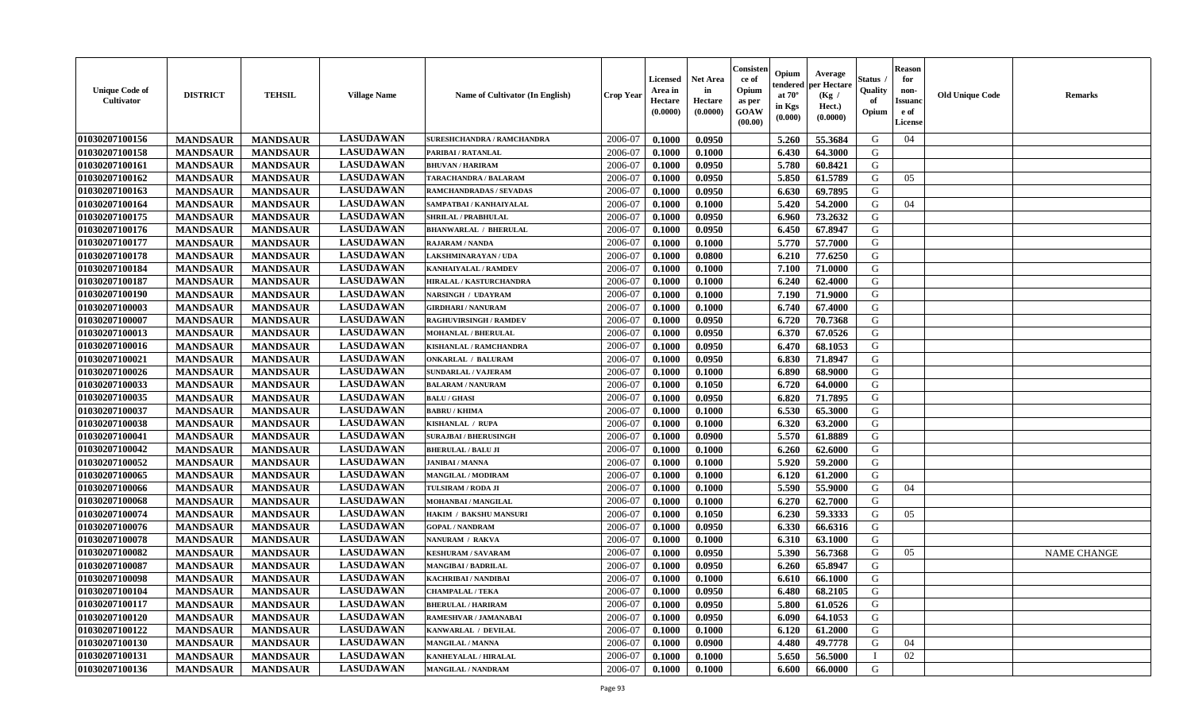| <b>Unique Code of</b><br><b>Cultivator</b> | <b>DISTRICT</b> | <b>TEHSIL</b>   | <b>Village Name</b> | <b>Name of Cultivator (In English)</b> | <b>Crop Year</b> | <b>Licensed</b><br>Area in<br>Hectare<br>(0.0000) | <b>Net Area</b><br>in<br>Hectare<br>(0.0000) | Consister<br>ce of<br>Opium<br>as per<br><b>GOAW</b><br>(00.00) | Opium<br>endered<br>at $70^{\circ}$<br>in Kgs<br>(0.000) | Average<br>per Hectare<br>(Kg /<br>Hect.)<br>(0.0000) | <b>Status</b><br>Quality<br>of<br>Opium | <b>Reason</b><br>for<br>non-<br><b>Issuand</b><br>e of<br>License | <b>Old Unique Code</b> | <b>Remarks</b>     |
|--------------------------------------------|-----------------|-----------------|---------------------|----------------------------------------|------------------|---------------------------------------------------|----------------------------------------------|-----------------------------------------------------------------|----------------------------------------------------------|-------------------------------------------------------|-----------------------------------------|-------------------------------------------------------------------|------------------------|--------------------|
| 01030207100156                             | <b>MANDSAUR</b> | <b>MANDSAUR</b> | <b>LASUDAWAN</b>    | <b>SURESHCHANDRA / RAMCHANDRA</b>      | 2006-07          | 0.1000                                            | 0.0950                                       |                                                                 | 5.260                                                    | 55.3684                                               | G                                       | 04                                                                |                        |                    |
| 01030207100158                             | <b>MANDSAUR</b> | <b>MANDSAUR</b> | <b>LASUDAWAN</b>    | PARIBAI / RATANLAL                     | 2006-07          | 0.1000                                            | 0.1000                                       |                                                                 | 6.430                                                    | 64.3000                                               | G                                       |                                                                   |                        |                    |
| 01030207100161                             | <b>MANDSAUR</b> | <b>MANDSAUR</b> | <b>LASUDAWAN</b>    | <b>BHUVAN / HARIRAM</b>                | 2006-07          | 0.1000                                            | 0.0950                                       |                                                                 | 5.780                                                    | 60.8421                                               | G                                       |                                                                   |                        |                    |
| 01030207100162                             | <b>MANDSAUR</b> | <b>MANDSAUR</b> | <b>LASUDAWAN</b>    | TARACHANDRA / BALARAM                  | 2006-07          | 0.1000                                            | 0.0950                                       |                                                                 | 5.850                                                    | 61.5789                                               | G                                       | 05                                                                |                        |                    |
| 01030207100163                             | <b>MANDSAUR</b> | <b>MANDSAUR</b> | <b>LASUDAWAN</b>    | RAMCHANDRADAS / SEVADAS                | 2006-07          | 0.1000                                            | 0.0950                                       |                                                                 | 6.630                                                    | 69.7895                                               | G                                       |                                                                   |                        |                    |
| 01030207100164                             | <b>MANDSAUR</b> | <b>MANDSAUR</b> | <b>LASUDAWAN</b>    | SAMPATBAI / KANHAIYALAL                | 2006-07          | 0.1000                                            | 0.1000                                       |                                                                 | 5.420                                                    | 54.2000                                               | G                                       | 04                                                                |                        |                    |
| 01030207100175                             | <b>MANDSAUR</b> | <b>MANDSAUR</b> | <b>LASUDAWAN</b>    | <b>SHRILAL / PRABHULAL</b>             | 2006-07          | 0.1000                                            | 0.0950                                       |                                                                 | 6.960                                                    | 73.2632                                               | G                                       |                                                                   |                        |                    |
| 01030207100176                             | <b>MANDSAUR</b> | <b>MANDSAUR</b> | <b>LASUDAWAN</b>    | <b>BHANWARLAL / BHERULAL</b>           | 2006-07          | 0.1000                                            | 0.0950                                       |                                                                 | 6.450                                                    | 67.8947                                               | G                                       |                                                                   |                        |                    |
| 01030207100177                             | <b>MANDSAUR</b> | <b>MANDSAUR</b> | <b>LASUDAWAN</b>    | <b>RAJARAM / NANDA</b>                 | 2006-07          | 0.1000                                            | 0.1000                                       |                                                                 | 5.770                                                    | 57.7000                                               | G                                       |                                                                   |                        |                    |
| 01030207100178                             | <b>MANDSAUR</b> | <b>MANDSAUR</b> | <b>LASUDAWAN</b>    | LAKSHMINARAYAN / UDA                   | 2006-07          | 0.1000                                            | 0.0800                                       |                                                                 | 6.210                                                    | 77.6250                                               | G                                       |                                                                   |                        |                    |
| 01030207100184                             | <b>MANDSAUR</b> | <b>MANDSAUR</b> | <b>LASUDAWAN</b>    | KANHAIYALAL / RAMDEV                   | 2006-07          | 0.1000                                            | 0.1000                                       |                                                                 | 7.100                                                    | 71.0000                                               | G                                       |                                                                   |                        |                    |
| 01030207100187                             | <b>MANDSAUR</b> | <b>MANDSAUR</b> | <b>LASUDAWAN</b>    | HIRALAL / KASTURCHANDRA                | 2006-07          | 0.1000                                            | 0.1000                                       |                                                                 | 6.240                                                    | 62.4000                                               | G                                       |                                                                   |                        |                    |
| 01030207100190                             | <b>MANDSAUR</b> | <b>MANDSAUR</b> | <b>LASUDAWAN</b>    | NARSINGH / UDAYRAM                     | 2006-07          | 0.1000                                            | 0.1000                                       |                                                                 | 7.190                                                    | 71.9000                                               | G                                       |                                                                   |                        |                    |
| 01030207100003                             | <b>MANDSAUR</b> | <b>MANDSAUR</b> | <b>LASUDAWAN</b>    | <b>GIRDHARI / NANURAM</b>              | 2006-07          | 0.1000                                            | 0.1000                                       |                                                                 | 6.740                                                    | 67.4000                                               | G                                       |                                                                   |                        |                    |
| 01030207100007                             | <b>MANDSAUR</b> | <b>MANDSAUR</b> | <b>LASUDAWAN</b>    | <b>RAGHUVIRSINGH / RAMDEV</b>          | 2006-07          | 0.1000                                            | 0.0950                                       |                                                                 | 6.720                                                    | 70.7368                                               | G                                       |                                                                   |                        |                    |
| 01030207100013                             | <b>MANDSAUR</b> | <b>MANDSAUR</b> | <b>LASUDAWAN</b>    | <b>MOHANLAL / BHERULAL</b>             | 2006-07          | 0.1000                                            | 0.0950                                       |                                                                 | 6.370                                                    | 67.0526                                               | G                                       |                                                                   |                        |                    |
| 01030207100016                             | <b>MANDSAUR</b> | <b>MANDSAUR</b> | <b>LASUDAWAN</b>    | KISHANLAL / RAMCHANDRA                 | 2006-07          | 0.1000                                            | 0.0950                                       |                                                                 | 6.470                                                    | 68.1053                                               | G                                       |                                                                   |                        |                    |
| 01030207100021                             | <b>MANDSAUR</b> | <b>MANDSAUR</b> | <b>LASUDAWAN</b>    | <b>ONKARLAL / BALURAM</b>              | 2006-07          | 0.1000                                            | 0.0950                                       |                                                                 | 6.830                                                    | 71.8947                                               | G                                       |                                                                   |                        |                    |
| 01030207100026                             | <b>MANDSAUR</b> | <b>MANDSAUR</b> | <b>LASUDAWAN</b>    | <b>SUNDARLAL / VAJERAM</b>             | 2006-07          | 0.1000                                            | 0.1000                                       |                                                                 | 6.890                                                    | 68.9000                                               | G                                       |                                                                   |                        |                    |
| 01030207100033                             | <b>MANDSAUR</b> | <b>MANDSAUR</b> | <b>LASUDAWAN</b>    | <b>BALARAM / NANURAM</b>               | 2006-07          | 0.1000                                            | 0.1050                                       |                                                                 | 6.720                                                    | 64.0000                                               | G                                       |                                                                   |                        |                    |
| 01030207100035                             | <b>MANDSAUR</b> | <b>MANDSAUR</b> | <b>LASUDAWAN</b>    | <b>BALU / GHASI</b>                    | 2006-07          | 0.1000                                            | 0.0950                                       |                                                                 | 6.820                                                    | 71.7895                                               | G                                       |                                                                   |                        |                    |
| 01030207100037                             | <b>MANDSAUR</b> | <b>MANDSAUR</b> | <b>LASUDAWAN</b>    | <b>BABRU / KHIMA</b>                   | 2006-07          | 0.1000                                            | 0.1000                                       |                                                                 | 6.530                                                    | 65.3000                                               | G                                       |                                                                   |                        |                    |
| 01030207100038                             | <b>MANDSAUR</b> | <b>MANDSAUR</b> | <b>LASUDAWAN</b>    | KISHANLAL / RUPA                       | 2006-07          | 0.1000                                            | 0.1000                                       |                                                                 | 6.320                                                    | 63.2000                                               | G                                       |                                                                   |                        |                    |
| 01030207100041                             | <b>MANDSAUR</b> | <b>MANDSAUR</b> | <b>LASUDAWAN</b>    | <b>SURAJBAI / BHERUSINGH</b>           | 2006-07          | 0.1000                                            | 0.0900                                       |                                                                 | 5.570                                                    | 61.8889                                               | G                                       |                                                                   |                        |                    |
| 01030207100042                             | <b>MANDSAUR</b> | <b>MANDSAUR</b> | <b>LASUDAWAN</b>    | <b>BHERULAL / BALU JI</b>              | 2006-07          | 0.1000                                            | 0.1000                                       |                                                                 | 6.260                                                    | 62.6000                                               | G                                       |                                                                   |                        |                    |
| 01030207100052                             | <b>MANDSAUR</b> | <b>MANDSAUR</b> | <b>LASUDAWAN</b>    | <b>JANIBAI / MANNA</b>                 | 2006-07          | 0.1000                                            | 0.1000                                       |                                                                 | 5.920                                                    | 59.2000                                               | G                                       |                                                                   |                        |                    |
| 01030207100065                             | <b>MANDSAUR</b> | <b>MANDSAUR</b> | <b>LASUDAWAN</b>    | MANGILAL / MODIRAM                     | 2006-07          | 0.1000                                            | 0.1000                                       |                                                                 | 6.120                                                    | 61.2000                                               | G                                       |                                                                   |                        |                    |
| 01030207100066                             | <b>MANDSAUR</b> | <b>MANDSAUR</b> | <b>LASUDAWAN</b>    | <b>TULSIRAM / RODA JI</b>              | 2006-07          | 0.1000                                            | 0.1000                                       |                                                                 | 5.590                                                    | 55.9000                                               | G                                       | 04                                                                |                        |                    |
| 01030207100068                             | <b>MANDSAUR</b> | <b>MANDSAUR</b> | <b>LASUDAWAN</b>    | <b>MOHANBAI/MANGILAL</b>               | 2006-07          | 0.1000                                            | 0.1000                                       |                                                                 | 6.270                                                    | 62.7000                                               | G                                       |                                                                   |                        |                    |
| 01030207100074                             | <b>MANDSAUR</b> | <b>MANDSAUR</b> | <b>LASUDAWAN</b>    | <b>HAKIM / BAKSHU MANSURI</b>          | 2006-07          | 0.1000                                            | 0.1050                                       |                                                                 | 6.230                                                    | 59.3333                                               | G                                       | 05                                                                |                        |                    |
| 01030207100076                             | <b>MANDSAUR</b> | <b>MANDSAUR</b> | <b>LASUDAWAN</b>    | <b>GOPAL / NANDRAM</b>                 | 2006-07          | 0.1000                                            | 0.0950                                       |                                                                 | 6.330                                                    | 66.6316                                               | G                                       |                                                                   |                        |                    |
| 01030207100078                             | <b>MANDSAUR</b> | <b>MANDSAUR</b> | <b>LASUDAWAN</b>    | NANURAM / RAKVA                        | 2006-07          | 0.1000                                            | 0.1000                                       |                                                                 | 6.310                                                    | 63.1000                                               | G                                       |                                                                   |                        |                    |
| 01030207100082                             | <b>MANDSAUR</b> | <b>MANDSAUR</b> | <b>LASUDAWAN</b>    | <b>KESHURAM / SAVARAM</b>              | 2006-07          | 0.1000                                            | 0.0950                                       |                                                                 | 5.390                                                    | 56.7368                                               | G                                       | 05                                                                |                        | <b>NAME CHANGE</b> |
| 01030207100087                             | <b>MANDSAUR</b> | <b>MANDSAUR</b> | <b>LASUDAWAN</b>    | <b>MANGIBAI/BADRILAL</b>               | 2006-07          | 0.1000                                            | 0.0950                                       |                                                                 | 6.260                                                    | 65.8947                                               | G                                       |                                                                   |                        |                    |
| 01030207100098                             | <b>MANDSAUR</b> | <b>MANDSAUR</b> | <b>LASUDAWAN</b>    | <b>KACHRIBAI / NANDIBAI</b>            | 2006-07          | 0.1000                                            | 0.1000                                       |                                                                 | 6.610                                                    | 66.1000                                               | G                                       |                                                                   |                        |                    |
| 01030207100104                             | <b>MANDSAUR</b> | MANDSAUR        | <b>LASUDAWAN</b>    | <b>CHAMPALAL / TEKA</b>                | 2006-07          | 0.1000                                            | 0.0950                                       |                                                                 | 6.480                                                    | 68.2105                                               | G                                       |                                                                   |                        |                    |
| 01030207100117                             | <b>MANDSAUR</b> | <b>MANDSAUR</b> | <b>LASUDAWAN</b>    | <b>BHERULAL / HARIRAM</b>              | 2006-07          | 0.1000                                            | 0.0950                                       |                                                                 | 5.800                                                    | 61.0526                                               | G                                       |                                                                   |                        |                    |
| 01030207100120                             | <b>MANDSAUR</b> | <b>MANDSAUR</b> | <b>LASUDAWAN</b>    | RAMESHVAR / JAMANABAI                  | 2006-07          | 0.1000                                            | 0.0950                                       |                                                                 | 6.090                                                    | 64.1053                                               | G                                       |                                                                   |                        |                    |
| 01030207100122                             | <b>MANDSAUR</b> | <b>MANDSAUR</b> | <b>LASUDAWAN</b>    | KANWARLAL / DEVILAL                    | 2006-07          | 0.1000                                            | 0.1000                                       |                                                                 | 6.120                                                    | 61.2000                                               | G                                       |                                                                   |                        |                    |
| 01030207100130                             | <b>MANDSAUR</b> | <b>MANDSAUR</b> | <b>LASUDAWAN</b>    | <b>MANGILAL / MANNA</b>                | 2006-07          | 0.1000                                            | 0.0900                                       |                                                                 | 4.480                                                    | 49.7778                                               | G                                       | 04                                                                |                        |                    |
| 01030207100131                             | <b>MANDSAUR</b> | <b>MANDSAUR</b> | <b>LASUDAWAN</b>    | KANHEYALAL / HIRALAL                   | 2006-07          | 0.1000                                            | 0.1000                                       |                                                                 | 5.650                                                    | 56.5000                                               |                                         | 02                                                                |                        |                    |
| 01030207100136                             | <b>MANDSAUR</b> | <b>MANDSAUR</b> | <b>LASUDAWAN</b>    | <b>MANGILAL / NANDRAM</b>              | 2006-07          | 0.1000                                            | 0.1000                                       |                                                                 | 6.600                                                    | 66.0000                                               | G                                       |                                                                   |                        |                    |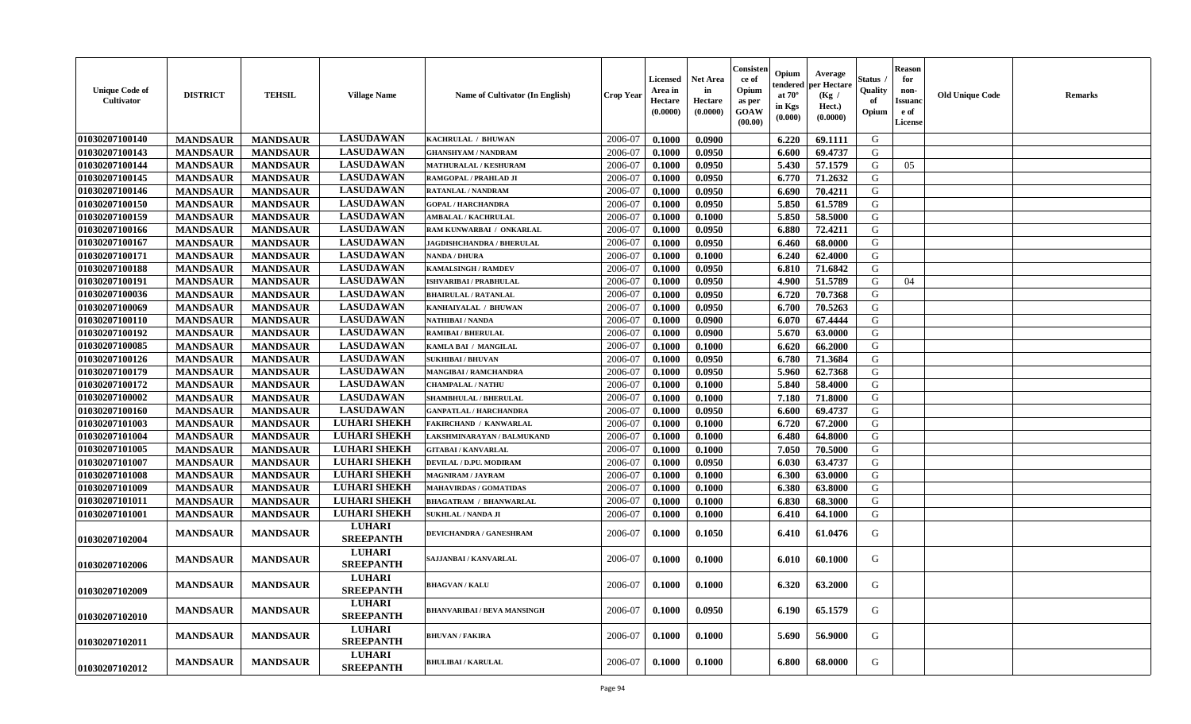| <b>Unique Code of</b><br>Cultivator | <b>DISTRICT</b> | <b>TEHSIL</b>   | <b>Village Name</b>               | <b>Name of Cultivator (In English)</b> | <b>Crop Year</b> | <b>Licensed</b><br>Area in<br>Hectare<br>(0.0000) | <b>Net Area</b><br>in<br>Hectare<br>(0.0000) | Consisteı<br>-ce of<br>Opium<br>as per<br><b>GOAW</b><br>(00.00) | Opium<br>endered<br>at $70^\circ$<br>in Kgs<br>(0.000) | Average<br>per Hectare<br>(Kg /<br>Hect.)<br>(0.0000) | Status<br>Quality<br>of<br>Opium | <b>Reason</b><br>for<br>non-<br>Issuanc<br>e of<br><b>License</b> | <b>Old Unique Code</b> | <b>Remarks</b> |
|-------------------------------------|-----------------|-----------------|-----------------------------------|----------------------------------------|------------------|---------------------------------------------------|----------------------------------------------|------------------------------------------------------------------|--------------------------------------------------------|-------------------------------------------------------|----------------------------------|-------------------------------------------------------------------|------------------------|----------------|
| 01030207100140                      | <b>MANDSAUR</b> | <b>MANDSAUR</b> | <b>LASUDAWAN</b>                  | KACHRULAL / BHUWAN                     | 2006-07          | 0.1000                                            | 0.0900                                       |                                                                  | 6.220                                                  | 69.1111                                               | G                                |                                                                   |                        |                |
| 01030207100143                      | <b>MANDSAUR</b> | <b>MANDSAUR</b> | <b>LASUDAWAN</b>                  | <b>GHANSHYAM / NANDRAM</b>             | 2006-07          | 0.1000                                            | 0.0950                                       |                                                                  | 6.600                                                  | 69.4737                                               | G                                |                                                                   |                        |                |
| 01030207100144                      | <b>MANDSAUR</b> | <b>MANDSAUR</b> | <b>LASUDAWAN</b>                  | <b>MATHURALAL / KESHURAM</b>           | 2006-07          | 0.1000                                            | 0.0950                                       |                                                                  | 5.430                                                  | 57.1579                                               | G                                | 05                                                                |                        |                |
| 01030207100145                      | <b>MANDSAUR</b> | <b>MANDSAUR</b> | <b>LASUDAWAN</b>                  | RAMGOPAL / PRAHLAD JI                  | 2006-07          | 0.1000                                            | 0.0950                                       |                                                                  | 6.770                                                  | 71.2632                                               | G                                |                                                                   |                        |                |
| 01030207100146                      | <b>MANDSAUR</b> | <b>MANDSAUR</b> | <b>LASUDAWAN</b>                  | RATANLAL / NANDRAM                     | 2006-07          | 0.1000                                            | 0.0950                                       |                                                                  | 6.690                                                  | 70.4211                                               | G                                |                                                                   |                        |                |
| 01030207100150                      | <b>MANDSAUR</b> | <b>MANDSAUR</b> | <b>LASUDAWAN</b>                  | <b>GOPAL / HARCHANDRA</b>              | 2006-07          | 0.1000                                            | 0.0950                                       |                                                                  | 5.850                                                  | 61.5789                                               | G                                |                                                                   |                        |                |
| 01030207100159                      | <b>MANDSAUR</b> | <b>MANDSAUR</b> | <b>LASUDAWAN</b>                  | <b>AMBALAL / KACHRULAL</b>             | 2006-07          | 0.1000                                            | 0.1000                                       |                                                                  | 5.850                                                  | 58.5000                                               | G                                |                                                                   |                        |                |
| 01030207100166                      | <b>MANDSAUR</b> | <b>MANDSAUR</b> | <b>LASUDAWAN</b>                  | RAM KUNWARBAI / ONKARLAL               | 2006-07          | 0.1000                                            | 0.0950                                       |                                                                  | 6.880                                                  | 72.4211                                               | G                                |                                                                   |                        |                |
| 01030207100167                      | <b>MANDSAUR</b> | <b>MANDSAUR</b> | <b>LASUDAWAN</b>                  | JAGDISHCHANDRA / BHERULAL              | 2006-07          | 0.1000                                            | 0.0950                                       |                                                                  | 6.460                                                  | 68.0000                                               | G                                |                                                                   |                        |                |
| 01030207100171                      | <b>MANDSAUR</b> | <b>MANDSAUR</b> | <b>LASUDAWAN</b>                  | <b>NANDA / DHURA</b>                   | 2006-07          | 0.1000                                            | 0.1000                                       |                                                                  | 6.240                                                  | 62.4000                                               | G                                |                                                                   |                        |                |
| 01030207100188                      | <b>MANDSAUR</b> | <b>MANDSAUR</b> | <b>LASUDAWAN</b>                  | <b>KAMALSINGH / RAMDEV</b>             | 2006-07          | 0.1000                                            | 0.0950                                       |                                                                  | 6.810                                                  | 71.6842                                               | G                                |                                                                   |                        |                |
| 01030207100191                      | <b>MANDSAUR</b> | <b>MANDSAUR</b> | <b>LASUDAWAN</b>                  | <b>ISHVARIBAI / PRABHULAL</b>          | 2006-07          | 0.1000                                            | 0.0950                                       |                                                                  | 4.900                                                  | 51.5789                                               | G                                | 04                                                                |                        |                |
| 01030207100036                      | <b>MANDSAUR</b> | <b>MANDSAUR</b> | <b>LASUDAWAN</b>                  | <b>BHAIRULAL / RATANLAL</b>            | 2006-07          | 0.1000                                            | 0.0950                                       |                                                                  | 6.720                                                  | 70.7368                                               | G                                |                                                                   |                        |                |
| 01030207100069                      | <b>MANDSAUR</b> | <b>MANDSAUR</b> | <b>LASUDAWAN</b>                  | KANHAIYALAL / BHUWAN                   | 2006-07          | 0.1000                                            | 0.0950                                       |                                                                  | 6.700                                                  | 70.5263                                               | ${\bf G}$                        |                                                                   |                        |                |
| 01030207100110                      | <b>MANDSAUR</b> | <b>MANDSAUR</b> | <b>LASUDAWAN</b>                  | <b>NATHIBAI / NANDA</b>                | 2006-07          | 0.1000                                            | 0.0900                                       |                                                                  | 6.070                                                  | 67.4444                                               | G                                |                                                                   |                        |                |
| 01030207100192                      | <b>MANDSAUR</b> | <b>MANDSAUR</b> | <b>LASUDAWAN</b>                  | <b>RAMIBAI / BHERULAL</b>              | 2006-07          | 0.1000                                            | 0.0900                                       |                                                                  | 5.670                                                  | 63.0000                                               | G                                |                                                                   |                        |                |
| 01030207100085                      | <b>MANDSAUR</b> | <b>MANDSAUR</b> | <b>LASUDAWAN</b>                  | KAMLA BAI / MANGILAL                   | 2006-07          | 0.1000                                            | 0.1000                                       |                                                                  | 6.620                                                  | 66.2000                                               | G                                |                                                                   |                        |                |
| 01030207100126                      | <b>MANDSAUR</b> | <b>MANDSAUR</b> | <b>LASUDAWAN</b>                  | <b>SUKHIBAI / BHUVAN</b>               | 2006-07          | 0.1000                                            | 0.0950                                       |                                                                  | 6.780                                                  | 71.3684                                               | G                                |                                                                   |                        |                |
| 01030207100179                      | <b>MANDSAUR</b> | <b>MANDSAUR</b> | <b>LASUDAWAN</b>                  | <b>MANGIBAI/RAMCHANDRA</b>             | 2006-07          | 0.1000                                            | 0.0950                                       |                                                                  | 5.960                                                  | 62.7368                                               | G                                |                                                                   |                        |                |
| 01030207100172                      | <b>MANDSAUR</b> | <b>MANDSAUR</b> | <b>LASUDAWAN</b>                  | <b>CHAMPALAL / NATHU</b>               | 2006-07          | 0.1000                                            | 0.1000                                       |                                                                  | 5.840                                                  | 58.4000                                               | G                                |                                                                   |                        |                |
| 01030207100002                      | <b>MANDSAUR</b> | <b>MANDSAUR</b> | <b>LASUDAWAN</b>                  | <b>SHAMBHULAL / BHERULAL</b>           | 2006-07          | 0.1000                                            | 0.1000                                       |                                                                  | 7.180                                                  | 71.8000                                               | G                                |                                                                   |                        |                |
| 01030207100160                      | <b>MANDSAUR</b> | <b>MANDSAUR</b> | <b>LASUDAWAN</b>                  | <b>GANPATLAL / HARCHANDRA</b>          | 2006-07          | 0.1000                                            | 0.0950                                       |                                                                  | 6.600                                                  | 69.4737                                               | ${\bf G}$                        |                                                                   |                        |                |
| 01030207101003                      | <b>MANDSAUR</b> | <b>MANDSAUR</b> | <b>LUHARI SHEKH</b>               | FAKIRCHAND / KANWARLAL                 | 2006-07          | 0.1000                                            | 0.1000                                       |                                                                  | 6.720                                                  | 67.2000                                               | G                                |                                                                   |                        |                |
| 01030207101004                      | <b>MANDSAUR</b> | <b>MANDSAUR</b> | <b>LUHARI SHEKH</b>               | LAKSHMINARAYAN / BALMUKAND             | 2006-07          | 0.1000                                            | 0.1000                                       |                                                                  | 6.480                                                  | 64.8000                                               | G                                |                                                                   |                        |                |
| 01030207101005                      | <b>MANDSAUR</b> | <b>MANDSAUR</b> | <b>LUHARI SHEKH</b>               | <b>GITABAI/KANVARLAL</b>               | 2006-07          | 0.1000                                            | 0.1000                                       |                                                                  | 7.050                                                  | 70.5000                                               | G                                |                                                                   |                        |                |
| 01030207101007                      | <b>MANDSAUR</b> | <b>MANDSAUR</b> | <b>LUHARI SHEKH</b>               | DEVILAL / D.PU. MODIRAM                | 2006-07          | 0.1000                                            | 0.0950                                       |                                                                  | 6.030                                                  | 63.4737                                               | G                                |                                                                   |                        |                |
| 01030207101008                      | <b>MANDSAUR</b> | <b>MANDSAUR</b> | <b>LUHARI SHEKH</b>               | <b>MAGNIRAM / JAYRAM</b>               | 2006-07          | 0.1000                                            | 0.1000                                       |                                                                  | 6.300                                                  | 63.0000                                               | G                                |                                                                   |                        |                |
| 01030207101009                      | <b>MANDSAUR</b> | <b>MANDSAUR</b> | <b>LUHARI SHEKH</b>               | <b>MAHAVIRDAS / GOMATIDAS</b>          | 2006-07          | 0.1000                                            | 0.1000                                       |                                                                  | 6.380                                                  | 63.8000                                               | G                                |                                                                   |                        |                |
| 01030207101011                      | <b>MANDSAUR</b> | <b>MANDSAUR</b> | <b>LUHARI SHEKH</b>               | <b>BHAGATRAM / BHANWARLAL</b>          | 2006-07          | 0.1000                                            | 0.1000                                       |                                                                  | 6.830                                                  | 68.3000                                               | G                                |                                                                   |                        |                |
| 01030207101001                      | <b>MANDSAUR</b> | <b>MANDSAUR</b> | <b>LUHARI SHEKH</b>               | <b>SUKHLAL / NANDA JI</b>              | 2006-07          | 0.1000                                            | 0.1000                                       |                                                                  | 6.410                                                  | 64.1000                                               | G                                |                                                                   |                        |                |
| 01030207102004                      | <b>MANDSAUR</b> | <b>MANDSAUR</b> | <b>LUHARI</b><br><b>SREEPANTH</b> | DEVICHANDRA / GANESHRAM                | 2006-07          | 0.1000                                            | 0.1050                                       |                                                                  | 6.410                                                  | 61.0476                                               | G                                |                                                                   |                        |                |
| 01030207102006                      | <b>MANDSAUR</b> | <b>MANDSAUR</b> | <b>LUHARI</b><br><b>SREEPANTH</b> | SAJJANBAI / KANVARLAL                  | 2006-07          | 0.1000                                            | 0.1000                                       |                                                                  | 6.010                                                  | 60.1000                                               | G                                |                                                                   |                        |                |
| 01030207102009                      | <b>MANDSAUR</b> | <b>MANDSAUR</b> | <b>LUHARI</b><br><b>SREEPANTH</b> | <b>BHAGVAN / KALU</b>                  | 2006-07          | 0.1000                                            | 0.1000                                       |                                                                  | 6.320                                                  | 63.2000                                               | G                                |                                                                   |                        |                |
| 01030207102010                      | <b>MANDSAUR</b> | <b>MANDSAUR</b> | <b>LUHARI</b><br><b>SREEPANTH</b> | BHANVARIBAI / BEVA MANSINGH            | 2006-07          | 0.1000                                            | 0.0950                                       |                                                                  | 6.190                                                  | 65.1579                                               | G                                |                                                                   |                        |                |
| 01030207102011                      | <b>MANDSAUR</b> | <b>MANDSAUR</b> | <b>LUHARI</b><br><b>SREEPANTH</b> | <b>BHUVAN / FAKIRA</b>                 | 2006-07          | 0.1000                                            | 0.1000                                       |                                                                  | 5.690                                                  | 56.9000                                               | G                                |                                                                   |                        |                |
| 01030207102012                      | <b>MANDSAUR</b> | <b>MANDSAUR</b> | <b>LUHARI</b><br><b>SREEPANTH</b> | <b>BHULIBAI / KARULAL</b>              | 2006-07          | 0.1000                                            | 0.1000                                       |                                                                  | 6.800                                                  | 68.0000                                               | G                                |                                                                   |                        |                |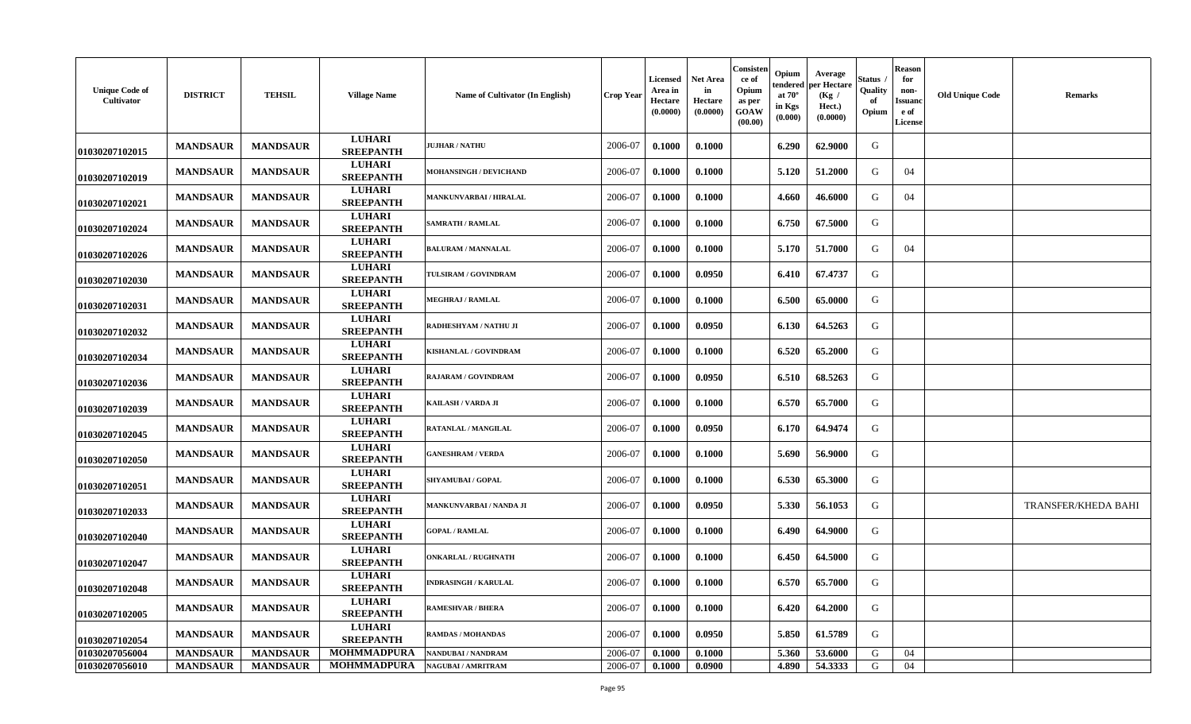| <b>Unique Code of</b><br>Cultivator | <b>DISTRICT</b> | <b>TEHSIL</b>   | <b>Village Name</b>               | <b>Name of Cultivator (In English)</b> | <b>Crop Year</b> | Licensed<br>Area in<br>Hectare<br>(0.0000) | <b>Net Area</b><br>in<br>Hectare<br>(0.0000) | Consisten<br>ce of<br>Opium<br>as per<br>GOAW<br>(00.00) | Opium<br>tendered<br>at $70^\circ$<br>in Kgs<br>(0.000) | Average<br>per Hectare<br>(Kg /<br>Hect.)<br>(0.0000) | štatus<br>Quality<br>of<br>Opium | <b>Reason</b><br>for<br>non-<br>Issuand<br>e of<br><b>License</b> | <b>Old Unique Code</b> | <b>Remarks</b>      |
|-------------------------------------|-----------------|-----------------|-----------------------------------|----------------------------------------|------------------|--------------------------------------------|----------------------------------------------|----------------------------------------------------------|---------------------------------------------------------|-------------------------------------------------------|----------------------------------|-------------------------------------------------------------------|------------------------|---------------------|
| 01030207102015                      | <b>MANDSAUR</b> | <b>MANDSAUR</b> | <b>LUHARI</b><br><b>SREEPANTH</b> | <b>JUJHAR / NATHU</b>                  | 2006-07          | 0.1000                                     | 0.1000                                       |                                                          | 6.290                                                   | 62.9000                                               | G                                |                                                                   |                        |                     |
| 01030207102019                      | <b>MANDSAUR</b> | <b>MANDSAUR</b> | <b>LUHARI</b><br><b>SREEPANTH</b> | <b>MOHANSINGH / DEVICHAND</b>          | 2006-07          | 0.1000                                     | 0.1000                                       |                                                          | 5.120                                                   | 51.2000                                               | G                                | 04                                                                |                        |                     |
| 01030207102021                      | <b>MANDSAUR</b> | <b>MANDSAUR</b> | <b>LUHARI</b><br><b>SREEPANTH</b> | <b>MANKUNVARBAI / HIRALAL</b>          | 2006-07          | 0.1000                                     | 0.1000                                       |                                                          | 4.660                                                   | 46.6000                                               | G                                | 04                                                                |                        |                     |
| 01030207102024                      | <b>MANDSAUR</b> | <b>MANDSAUR</b> | <b>LUHARI</b><br><b>SREEPANTH</b> | <b>SAMRATH / RAMLAL</b>                | 2006-07          | 0.1000                                     | 0.1000                                       |                                                          | 6.750                                                   | 67.5000                                               | G                                |                                                                   |                        |                     |
| 01030207102026                      | <b>MANDSAUR</b> | <b>MANDSAUR</b> | <b>LUHARI</b><br><b>SREEPANTH</b> | <b>BALURAM / MANNALAL</b>              | 2006-07          | 0.1000                                     | 0.1000                                       |                                                          | 5.170                                                   | 51.7000                                               | G                                | 04                                                                |                        |                     |
| 01030207102030                      | <b>MANDSAUR</b> | <b>MANDSAUR</b> | <b>LUHARI</b><br><b>SREEPANTH</b> | TULSIRAM / GOVINDRAM                   | 2006-07          | 0.1000                                     | 0.0950                                       |                                                          | 6.410                                                   | 67.4737                                               | G                                |                                                                   |                        |                     |
| 01030207102031                      | <b>MANDSAUR</b> | <b>MANDSAUR</b> | <b>LUHARI</b><br><b>SREEPANTH</b> | <b>MEGHRAJ / RAMLAL</b>                | 2006-07          | 0.1000                                     | 0.1000                                       |                                                          | 6.500                                                   | 65.0000                                               | G                                |                                                                   |                        |                     |
| 01030207102032                      | <b>MANDSAUR</b> | <b>MANDSAUR</b> | <b>LUHARI</b><br><b>SREEPANTH</b> | RADHESHYAM / NATHU JI                  | 2006-07          | 0.1000                                     | 0.0950                                       |                                                          | 6.130                                                   | 64.5263                                               | G                                |                                                                   |                        |                     |
| 01030207102034                      | <b>MANDSAUR</b> | <b>MANDSAUR</b> | <b>LUHARI</b><br><b>SREEPANTH</b> | KISHANLAL / GOVINDRAM                  | 2006-07          | 0.1000                                     | 0.1000                                       |                                                          | 6.520                                                   | 65.2000                                               | G                                |                                                                   |                        |                     |
| 01030207102036                      | <b>MANDSAUR</b> | <b>MANDSAUR</b> | <b>LUHARI</b><br><b>SREEPANTH</b> | RAJARAM / GOVINDRAM                    | 2006-07          | 0.1000                                     | 0.0950                                       |                                                          | 6.510                                                   | 68.5263                                               | G                                |                                                                   |                        |                     |
| 01030207102039                      | <b>MANDSAUR</b> | <b>MANDSAUR</b> | <b>LUHARI</b><br><b>SREEPANTH</b> | KAILASH / VARDA JI                     | 2006-07          | 0.1000                                     | 0.1000                                       |                                                          | 6.570                                                   | 65.7000                                               | G                                |                                                                   |                        |                     |
| 01030207102045                      | <b>MANDSAUR</b> | <b>MANDSAUR</b> | <b>LUHARI</b><br><b>SREEPANTH</b> | RATANLAL / MANGILAL                    | 2006-07          | 0.1000                                     | 0.0950                                       |                                                          | 6.170                                                   | 64.9474                                               | G                                |                                                                   |                        |                     |
| 01030207102050                      | <b>MANDSAUR</b> | <b>MANDSAUR</b> | <b>LUHARI</b><br><b>SREEPANTH</b> | <b>GANESHRAM / VERDA</b>               | 2006-07          | 0.1000                                     | 0.1000                                       |                                                          | 5.690                                                   | 56.9000                                               | G                                |                                                                   |                        |                     |
| 01030207102051                      | <b>MANDSAUR</b> | <b>MANDSAUR</b> | <b>LUHARI</b><br><b>SREEPANTH</b> | <b>SHYAMUBAI / GOPAL</b>               | 2006-07          | 0.1000                                     | 0.1000                                       |                                                          | 6.530                                                   | 65.3000                                               | G                                |                                                                   |                        |                     |
| 01030207102033                      | <b>MANDSAUR</b> | <b>MANDSAUR</b> | <b>LUHARI</b><br><b>SREEPANTH</b> | MANKUNVARBAI / NANDA JI                | 2006-07          | 0.1000                                     | 0.0950                                       |                                                          | 5.330                                                   | 56.1053                                               | G                                |                                                                   |                        | TRANSFER/KHEDA BAHI |
| 01030207102040                      | <b>MANDSAUR</b> | <b>MANDSAUR</b> | <b>LUHARI</b><br><b>SREEPANTH</b> | <b>GOPAL / RAMLAL</b>                  | 2006-07          | 0.1000                                     | 0.1000                                       |                                                          | 6.490                                                   | 64.9000                                               | G                                |                                                                   |                        |                     |
| 01030207102047                      | <b>MANDSAUR</b> | <b>MANDSAUR</b> | <b>LUHARI</b><br><b>SREEPANTH</b> | <b>ONKARLAL / RUGHNATH</b>             | 2006-07          | 0.1000                                     | 0.1000                                       |                                                          | 6.450                                                   | 64.5000                                               | G                                |                                                                   |                        |                     |
| 01030207102048                      | <b>MANDSAUR</b> | <b>MANDSAUR</b> | <b>LUHARI</b><br><b>SREEPANTH</b> | <b>INDRASINGH / KARULAL</b>            | 2006-07          | 0.1000                                     | 0.1000                                       |                                                          | 6.570                                                   | 65.7000                                               | G                                |                                                                   |                        |                     |
| 01030207102005                      | <b>MANDSAUR</b> | <b>MANDSAUR</b> | <b>LUHARI</b><br><b>SREEPANTH</b> | <b>RAMESHVAR / BHERA</b>               | 2006-07          | 0.1000                                     | 0.1000                                       |                                                          | 6.420                                                   | 64.2000                                               | G                                |                                                                   |                        |                     |
| 01030207102054                      | <b>MANDSAUR</b> | <b>MANDSAUR</b> | <b>LUHARI</b><br><b>SREEPANTH</b> | <b>RAMDAS / MOHANDAS</b>               | 2006-07          | 0.1000                                     | 0.0950                                       |                                                          | 5.850                                                   | 61.5789                                               | G                                |                                                                   |                        |                     |
| 01030207056004                      | <b>MANDSAUR</b> | <b>MANDSAUR</b> | <b>MOHMMADPURA</b>                | NANDUBAI / NANDRAM                     | 2006-07          | 0.1000                                     | 0.1000                                       |                                                          | 5.360                                                   | 53.6000                                               | G                                | 04                                                                |                        |                     |
| <b>01030207056010</b>               | <b>MANDSAUR</b> | <b>MANDSAUR</b> | <b>MOHMMADPURA</b>                | <b>NAGUBAI/AMRITRAM</b>                | 2006-07          | 0.1000                                     | 0.0900                                       |                                                          | 4.890                                                   | 54.3333                                               | G                                | 04                                                                |                        |                     |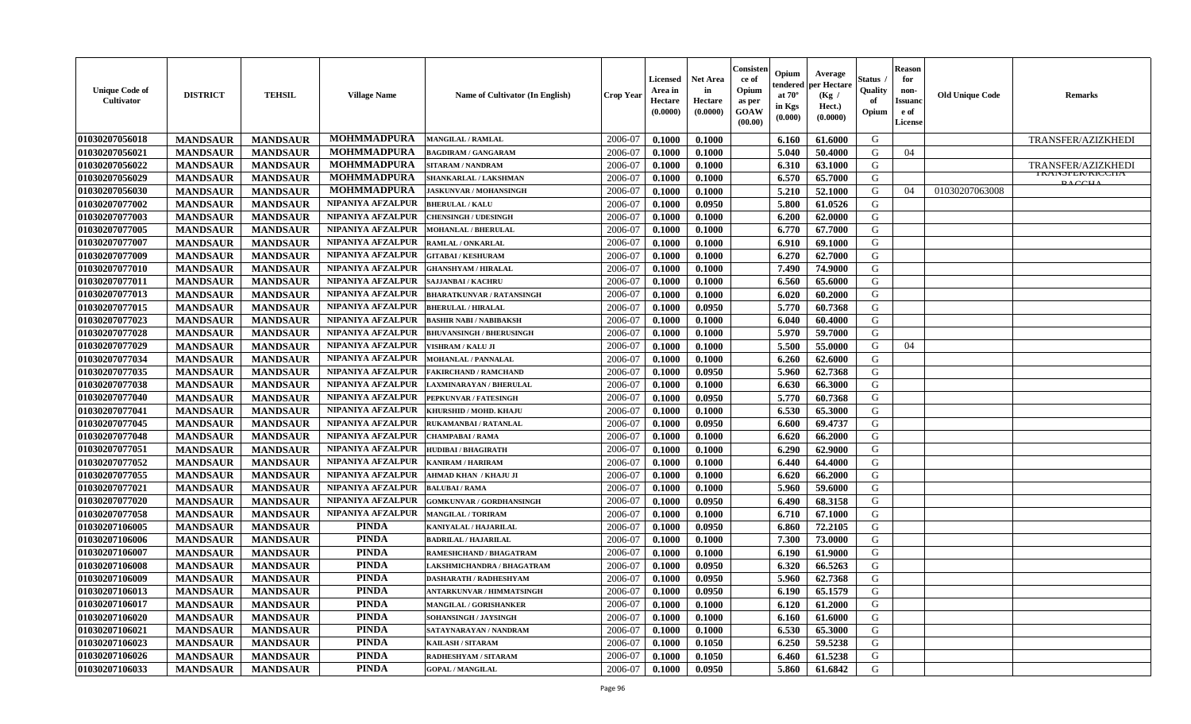| <b>Unique Code of</b><br><b>Cultivator</b> | <b>DISTRICT</b> | <b>TEHSIL</b>   | <b>Village Name</b>      | <b>Name of Cultivator (In English)</b> | <b>Crop Year</b> | <b>Licensed</b><br>Area in<br>Hectare<br>(0.0000) | Net Area<br>in<br>Hectare<br>(0.0000) | Consisteı<br>ce of<br>Opium<br>as per<br>GOAW<br>(00.00) | Opium<br>endered<br>at $70^\circ$<br>in Kgs<br>(0.000) | Average<br>per Hectare<br>(Kg /<br>Hect.)<br>(0.0000) | Status<br>Quality<br>of<br>Opium | <b>Reason</b><br>for<br>non-<br>Issuano<br>e of<br>License | <b>Old Unique Code</b> | <b>Remarks</b>                        |
|--------------------------------------------|-----------------|-----------------|--------------------------|----------------------------------------|------------------|---------------------------------------------------|---------------------------------------|----------------------------------------------------------|--------------------------------------------------------|-------------------------------------------------------|----------------------------------|------------------------------------------------------------|------------------------|---------------------------------------|
| 01030207056018                             | <b>MANDSAUR</b> | <b>MANDSAUR</b> | <b>MOHMMADPURA</b>       | <b>MANGILAL / RAMLAL</b>               | 2006-07          | 0.1000                                            | 0.1000                                |                                                          | 6.160                                                  | 61.6000                                               | G                                |                                                            |                        | TRANSFER/AZIZKHEDI                    |
| 01030207056021                             | <b>MANDSAUR</b> | <b>MANDSAUR</b> | <b>MOHMMADPURA</b>       | <b>BAGDIRAM / GANGARAM</b>             | 2006-07          | 0.1000                                            | 0.1000                                |                                                          | 5.040                                                  | 50.4000                                               | G                                | 04                                                         |                        |                                       |
| 01030207056022                             | <b>MANDSAUR</b> | <b>MANDSAUR</b> | <b>MOHMMADPURA</b>       | <b>SITARAM / NANDRAM</b>               | 2006-07          | 0.1000                                            | 0.1000                                |                                                          | 6.310                                                  | 63.1000                                               | G                                |                                                            |                        | <b>TRANSFER/AZIZKHEDI</b>             |
| 01030207056029                             | <b>MANDSAUR</b> | <b>MANDSAUR</b> | <b>MOHMMADPURA</b>       | SHANKARLAL / LAKSHMAN                  | 2006-07          | 0.1000                                            | 0.1000                                |                                                          | 6.570                                                  | 65.7000                                               | G                                |                                                            |                        | <b>I NAINSFEN/NIUUNA</b><br>D A C C T |
| 01030207056030                             | <b>MANDSAUR</b> | <b>MANDSAUR</b> | <b>MOHMMADPURA</b>       | <b>JASKUNVAR / MOHANSINGH</b>          | 2006-07          | 0.1000                                            | 0.1000                                |                                                          | 5.210                                                  | 52.1000                                               | G                                | 04                                                         | 01030207063008         |                                       |
| 01030207077002                             | <b>MANDSAUR</b> | <b>MANDSAUR</b> | NIPANIYA AFZALPUR        | <b>BHERULAL/KALU</b>                   | 2006-07          | 0.1000                                            | 0.0950                                |                                                          | 5.800                                                  | 61.0526                                               | G                                |                                                            |                        |                                       |
| 01030207077003                             | <b>MANDSAUR</b> | <b>MANDSAUR</b> | NIPANIYA AFZALPUR        | <b>CHENSINGH / UDESINGH</b>            | 2006-07          | 0.1000                                            | 0.1000                                |                                                          | 6.200                                                  | 62.0000                                               | G                                |                                                            |                        |                                       |
| 01030207077005                             | <b>MANDSAUR</b> | <b>MANDSAUR</b> | NIPANIYA AFZALPUR        | <b>MOHANLAL / BHERULAL</b>             | 2006-07          | 0.1000                                            | 0.1000                                |                                                          | 6.770                                                  | 67.7000                                               | G                                |                                                            |                        |                                       |
| 01030207077007                             | <b>MANDSAUR</b> | <b>MANDSAUR</b> | NIPANIYA AFZALPUR        | RAMLAL / ONKARLAL                      | 2006-07          | 0.1000                                            | 0.1000                                |                                                          | 6.910                                                  | 69.1000                                               | G                                |                                                            |                        |                                       |
| 01030207077009                             | <b>MANDSAUR</b> | <b>MANDSAUR</b> | NIPANIYA AFZALPUR        | <b>GITABAI/KESHURAM</b>                | 2006-07          | 0.1000                                            | 0.1000                                |                                                          | 6.270                                                  | 62.7000                                               | G                                |                                                            |                        |                                       |
| 01030207077010                             | <b>MANDSAUR</b> | <b>MANDSAUR</b> | NIPANIYA AFZALPUR        | <b>GHANSHYAM / HIRALAL</b>             | 2006-07          | 0.1000                                            | 0.1000                                |                                                          | 7.490                                                  | 74.9000                                               | G                                |                                                            |                        |                                       |
| 01030207077011                             | <b>MANDSAUR</b> | <b>MANDSAUR</b> | NIPANIYA AFZALPUR        | <b>SAJJANBAI / KACHRU</b>              | 2006-07          | 0.1000                                            | 0.1000                                |                                                          | 6.560                                                  | 65.6000                                               | G                                |                                                            |                        |                                       |
| 01030207077013                             | <b>MANDSAUR</b> | <b>MANDSAUR</b> | NIPANIYA AFZALPUR        | <b>BHARATKUNVAR / RATANSINGH</b>       | 2006-07          | 0.1000                                            | 0.1000                                |                                                          | 6.020                                                  | 60.2000                                               | G                                |                                                            |                        |                                       |
| 01030207077015                             | <b>MANDSAUR</b> | <b>MANDSAUR</b> | NIPANIYA AFZALPUR        | <b>BHERULAL / HIRALAL</b>              | 2006-07          | 0.1000                                            | 0.0950                                |                                                          | 5.770                                                  | 60.7368                                               | G                                |                                                            |                        |                                       |
| 01030207077023                             | <b>MANDSAUR</b> | <b>MANDSAUR</b> | NIPANIYA AFZALPUR        | <b>BASHIR NABI / NABIBAKSH</b>         | 2006-07          | 0.1000                                            | 0.1000                                |                                                          | 6.040                                                  | 60.4000                                               | $\mathbf G$                      |                                                            |                        |                                       |
| 01030207077028                             | <b>MANDSAUR</b> | <b>MANDSAUR</b> | NIPANIYA AFZALPUR        | <b>BHUVANSINGH / BHERUSINGH</b>        | 2006-07          | 0.1000                                            | 0.1000                                |                                                          | 5.970                                                  | 59.7000                                               | G                                |                                                            |                        |                                       |
| 01030207077029                             | <b>MANDSAUR</b> | <b>MANDSAUR</b> | NIPANIYA AFZALPUR        | VISHRAM / KALU JI                      | 2006-07          | 0.1000                                            | 0.1000                                |                                                          | 5.500                                                  | 55.0000                                               | G                                | 04                                                         |                        |                                       |
| 01030207077034                             | <b>MANDSAUR</b> | <b>MANDSAUR</b> | NIPANIYA AFZALPUR        | MOHANLAL / PANNALAL                    | 2006-07          | 0.1000                                            | 0.1000                                |                                                          | 6.260                                                  | 62.6000                                               | G                                |                                                            |                        |                                       |
| 01030207077035                             | <b>MANDSAUR</b> | <b>MANDSAUR</b> | NIPANIYA AFZALPUR        | <b>FAKIRCHAND / RAMCHAND</b>           | 2006-07          | 0.1000                                            | 0.0950                                |                                                          | 5.960                                                  | 62.7368                                               | G                                |                                                            |                        |                                       |
| 01030207077038                             |                 |                 | NIPANIYA AFZALPUR        | LAXMINARAYAN / BHERULAL                | 2006-07          | 0.1000                                            | 0.1000                                |                                                          | 6.630                                                  | 66.3000                                               | G                                |                                                            |                        |                                       |
| 01030207077040                             | <b>MANDSAUR</b> | <b>MANDSAUR</b> | NIPANIYA AFZALPUR        |                                        |                  |                                                   |                                       |                                                          |                                                        |                                                       | G                                |                                                            |                        |                                       |
|                                            | <b>MANDSAUR</b> | <b>MANDSAUR</b> |                          | PEPKUNVAR / FATESINGH                  | 2006-07          | 0.1000                                            | 0.0950                                |                                                          | 5.770                                                  | 60.7368                                               |                                  |                                                            |                        |                                       |
| 01030207077041                             | <b>MANDSAUR</b> | <b>MANDSAUR</b> | NIPANIYA AFZALPUR        | KHURSHID / MOHD. KHAJU                 | 2006-07          | 0.1000                                            | 0.1000                                |                                                          | 6.530                                                  | 65.3000                                               | G                                |                                                            |                        |                                       |
| 01030207077045                             | <b>MANDSAUR</b> | <b>MANDSAUR</b> | <b>NIPANIYA AFZALPUR</b> | RUKAMANBAI / RATANLAL                  | 2006-07          | 0.1000                                            | 0.0950                                |                                                          | 6.600                                                  | 69.4737                                               | G                                |                                                            |                        |                                       |
| 01030207077048                             | <b>MANDSAUR</b> | <b>MANDSAUR</b> | <b>NIPANIYA AFZALPUR</b> | CHAMPABAI / RAMA                       | 2006-07          | 0.1000                                            | 0.1000                                |                                                          | 6.620                                                  | 66.2000                                               | G                                |                                                            |                        |                                       |
| 01030207077051                             | <b>MANDSAUR</b> | <b>MANDSAUR</b> | NIPANIYA AFZALPUR        | <b>HUDIBAI/BHAGIRATH</b>               | 2006-07          | 0.1000                                            | 0.1000                                |                                                          | 6.290                                                  | 62.9000                                               | G                                |                                                            |                        |                                       |
| 01030207077052                             | <b>MANDSAUR</b> | <b>MANDSAUR</b> | NIPANIYA AFZALPUR        | <b>KANIRAM / HARIRAM</b>               | 2006-07          | 0.1000                                            | 0.1000                                |                                                          | 6.440                                                  | 64.4000                                               | G                                |                                                            |                        |                                       |
| 01030207077055                             | <b>MANDSAUR</b> | <b>MANDSAUR</b> | NIPANIYA AFZALPUR        | AHMAD KHAN / KHAJU JI                  | 2006-07          | 0.1000                                            | 0.1000                                |                                                          | 6.620                                                  | 66.2000                                               | G                                |                                                            |                        |                                       |
| 01030207077021                             | <b>MANDSAUR</b> | <b>MANDSAUR</b> | NIPANIYA AFZALPUR        | <b>BALUBAI/RAMA</b>                    | 2006-07          | 0.1000                                            | 0.1000                                |                                                          | 5.960                                                  | 59.6000                                               | G                                |                                                            |                        |                                       |
| 01030207077020                             | <b>MANDSAUR</b> | <b>MANDSAUR</b> | NIPANIYA AFZALPUR        | <b>GOMKUNVAR / GORDHANSINGH</b>        | 2006-07          | 0.1000                                            | 0.0950                                |                                                          | 6.490                                                  | 68.3158                                               | G                                |                                                            |                        |                                       |
| 01030207077058                             | <b>MANDSAUR</b> | <b>MANDSAUR</b> | NIPANIYA AFZALPUR        | <b>MANGILAL / TORIRAM</b>              | 2006-07          | 0.1000                                            | 0.1000                                |                                                          | 6.710                                                  | 67.1000                                               | G                                |                                                            |                        |                                       |
| 01030207106005                             | <b>MANDSAUR</b> | <b>MANDSAUR</b> | <b>PINDA</b>             | KANIYALAL / HAJARILAL                  | 2006-07          | 0.1000                                            | 0.0950                                |                                                          | 6.860                                                  | 72.2105                                               | G                                |                                                            |                        |                                       |
| 01030207106006                             | <b>MANDSAUR</b> | <b>MANDSAUR</b> | <b>PINDA</b>             | <b>BADRILAL / HAJARILAL</b>            | 2006-07          | 0.1000                                            | 0.1000                                |                                                          | 7.300                                                  | 73.0000                                               | G                                |                                                            |                        |                                       |
| 01030207106007                             | <b>MANDSAUR</b> | <b>MANDSAUR</b> | <b>PINDA</b>             | RAMESHCHAND / BHAGATRAM                | 2006-07          | 0.1000                                            | 0.1000                                |                                                          | 6.190                                                  | 61.9000                                               | G                                |                                                            |                        |                                       |
| 01030207106008                             | <b>MANDSAUR</b> | <b>MANDSAUR</b> | <b>PINDA</b>             | LAKSHMICHANDRA / BHAGATRAM             | 2006-07          | 0.1000                                            | 0.0950                                |                                                          | 6.320                                                  | 66.5263                                               | G                                |                                                            |                        |                                       |
| 01030207106009                             | <b>MANDSAUR</b> | <b>MANDSAUR</b> | <b>PINDA</b>             | DASHARATH / RADHESHYAM                 | 2006-07          | 0.1000                                            | 0.0950                                |                                                          | 5.960                                                  | 62.7368                                               | G                                |                                                            |                        |                                       |
| 01030207106013                             | <b>MANDSAUR</b> | <b>MANDSAUR</b> | <b>PINDA</b>             | <b>ANTARKUNVAR / HIMMATSINGH</b>       | 2006-07          | 0.1000                                            | 0.0950                                |                                                          | 6.190                                                  | 65.1579                                               | G                                |                                                            |                        |                                       |
| 01030207106017                             | <b>MANDSAUR</b> | <b>MANDSAUR</b> | <b>PINDA</b>             | <b>MANGILAL / GORISHANKER</b>          | 2006-07          | 0.1000                                            | 0.1000                                |                                                          | 6.120                                                  | 61.2000                                               | G                                |                                                            |                        |                                       |
| 01030207106020                             | <b>MANDSAUR</b> | <b>MANDSAUR</b> | <b>PINDA</b>             | SOHANSINGH / JAYSINGH                  | 2006-07          | 0.1000                                            | 0.1000                                |                                                          | 6.160                                                  | 61.6000                                               | G                                |                                                            |                        |                                       |
| 01030207106021                             | <b>MANDSAUR</b> | <b>MANDSAUR</b> | <b>PINDA</b>             | SATAYNARAYAN / NANDRAM                 | 2006-07          | 0.1000                                            | 0.1000                                |                                                          | 6.530                                                  | 65.3000                                               | G                                |                                                            |                        |                                       |
| 01030207106023                             | <b>MANDSAUR</b> | <b>MANDSAUR</b> | <b>PINDA</b>             | KAILASH / SITARAM                      | 2006-07          | 0.1000                                            | 0.1050                                |                                                          | 6.250                                                  | 59.5238                                               | G                                |                                                            |                        |                                       |
| 01030207106026                             | <b>MANDSAUR</b> | <b>MANDSAUR</b> | <b>PINDA</b>             | RADHESHYAM / SITARAM                   | 2006-07          | 0.1000                                            | 0.1050                                |                                                          | 6.460                                                  | 61.5238                                               | G                                |                                                            |                        |                                       |
| 01030207106033                             | <b>MANDSAUR</b> | <b>MANDSAUR</b> | <b>PINDA</b>             | <b>GOPAL / MANGILAL</b>                | 2006-07          | 0.1000                                            | 0.0950                                |                                                          | 5.860                                                  | 61.6842                                               | G                                |                                                            |                        |                                       |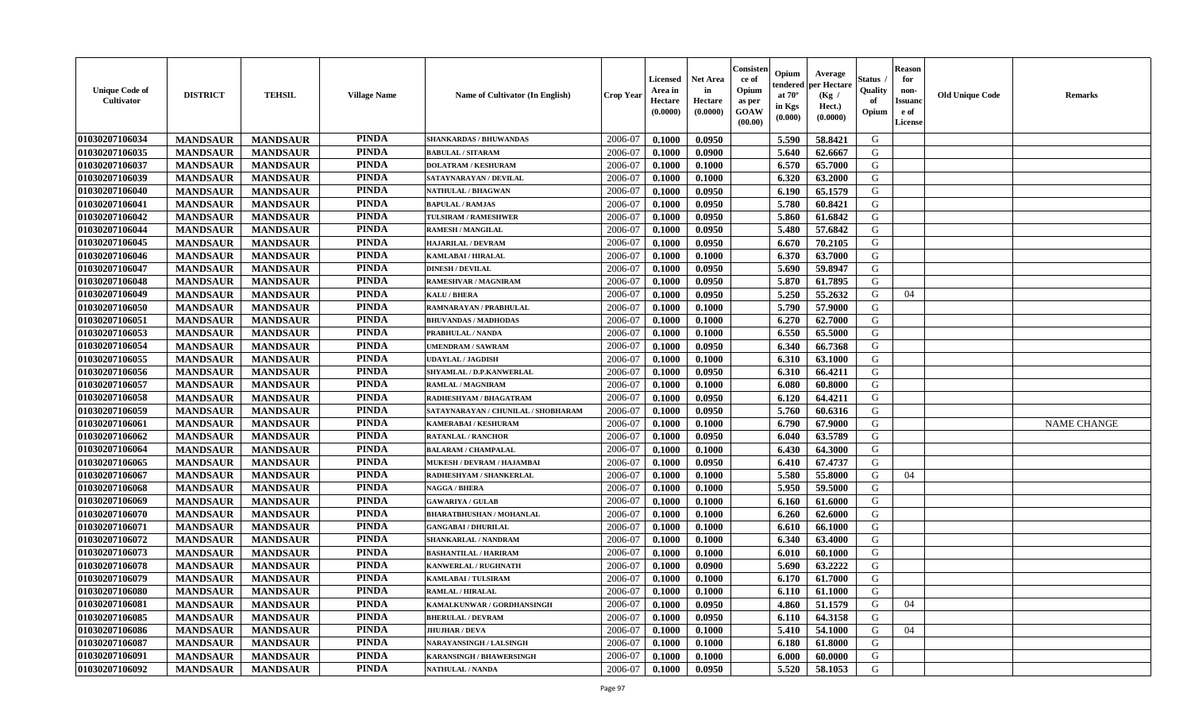| <b>Unique Code of</b><br><b>Cultivator</b> | <b>DISTRICT</b> | <b>TEHSIL</b>   | <b>Village Name</b> | Name of Cultivator (In English)     | <b>Crop Year</b> | <b>Licensed</b><br>Area in<br>Hectare<br>(0.0000) | <b>Net Area</b><br>in<br>Hectare<br>(0.0000) | Consister<br>ce of<br>Opium<br>as per<br><b>GOAW</b><br>(00.00) | Opium<br>endered<br>at $70^\circ$<br>in Kgs<br>(0.000) | Average<br>per Hectare<br>(Kg)<br>Hect.)<br>(0.0000) | Status<br>Quality<br>of<br>Opium | <b>Reason</b><br>for<br>non-<br><b>Issuand</b><br>e of<br><b>License</b> | <b>Old Unique Code</b> | <b>Remarks</b>     |
|--------------------------------------------|-----------------|-----------------|---------------------|-------------------------------------|------------------|---------------------------------------------------|----------------------------------------------|-----------------------------------------------------------------|--------------------------------------------------------|------------------------------------------------------|----------------------------------|--------------------------------------------------------------------------|------------------------|--------------------|
| 01030207106034                             | <b>MANDSAUR</b> | <b>MANDSAUR</b> | <b>PINDA</b>        | <b>SHANKARDAS / BHUWANDAS</b>       | 2006-07          | 0.1000                                            | 0.0950                                       |                                                                 | 5.590                                                  | 58.8421                                              | G                                |                                                                          |                        |                    |
| 01030207106035                             | <b>MANDSAUR</b> | <b>MANDSAUR</b> | <b>PINDA</b>        | <b>BABULAL / SITARAM</b>            | 2006-07          | 0.1000                                            | 0.0900                                       |                                                                 | 5.640                                                  | 62.6667                                              | G                                |                                                                          |                        |                    |
| 01030207106037                             | <b>MANDSAUR</b> | <b>MANDSAUR</b> | <b>PINDA</b>        | <b>DOLATRAM / KESHURAM</b>          | 2006-07          | 0.1000                                            | 0.1000                                       |                                                                 | 6.570                                                  | 65.7000                                              | G                                |                                                                          |                        |                    |
| 01030207106039                             | <b>MANDSAUR</b> | <b>MANDSAUR</b> | <b>PINDA</b>        | SATAYNARAYAN / DEVILAL              | 2006-07          | 0.1000                                            | 0.1000                                       |                                                                 | 6.320                                                  | 63.2000                                              | G                                |                                                                          |                        |                    |
| 01030207106040                             | <b>MANDSAUR</b> | <b>MANDSAUR</b> | <b>PINDA</b>        | <b>NATHULAL / BHAGWAN</b>           | 2006-07          | 0.1000                                            | 0.0950                                       |                                                                 | 6.190                                                  | 65.1579                                              | G                                |                                                                          |                        |                    |
| 01030207106041                             | <b>MANDSAUR</b> | <b>MANDSAUR</b> | <b>PINDA</b>        | <b>BAPULAL / RAMJAS</b>             | 2006-07          | 0.1000                                            | 0.0950                                       |                                                                 | 5.780                                                  | 60.8421                                              | G                                |                                                                          |                        |                    |
| 01030207106042                             | <b>MANDSAUR</b> | <b>MANDSAUR</b> | <b>PINDA</b>        | <b>TULSIRAM / RAMESHWER</b>         | 2006-07          | 0.1000                                            | 0.0950                                       |                                                                 | 5.860                                                  | 61.6842                                              | G                                |                                                                          |                        |                    |
| 01030207106044                             | <b>MANDSAUR</b> | <b>MANDSAUR</b> | <b>PINDA</b>        | <b>RAMESH / MANGILAL</b>            | 2006-07          | 0.1000                                            | 0.0950                                       |                                                                 | 5.480                                                  | 57.6842                                              | ${\bf G}$                        |                                                                          |                        |                    |
| 01030207106045                             | <b>MANDSAUR</b> | <b>MANDSAUR</b> | <b>PINDA</b>        | <b>HAJARILAL / DEVRAM</b>           | 2006-07          | 0.1000                                            | 0.0950                                       |                                                                 | 6.670                                                  | 70.2105                                              | G                                |                                                                          |                        |                    |
| 01030207106046                             | <b>MANDSAUR</b> | <b>MANDSAUR</b> | <b>PINDA</b>        | KAMLABAI / HIRALAL                  | 2006-07          | 0.1000                                            | 0.1000                                       |                                                                 | 6.370                                                  | 63.7000                                              | G                                |                                                                          |                        |                    |
| 01030207106047                             | <b>MANDSAUR</b> | <b>MANDSAUR</b> | <b>PINDA</b>        | <b>DINESH / DEVILAL</b>             | 2006-07          | 0.1000                                            | 0.0950                                       |                                                                 | 5.690                                                  | 59.8947                                              | G                                |                                                                          |                        |                    |
| 01030207106048                             | <b>MANDSAUR</b> | <b>MANDSAUR</b> | <b>PINDA</b>        | <b>RAMESHVAR / MAGNIRAM</b>         | 2006-07          | 0.1000                                            | 0.0950                                       |                                                                 | 5.870                                                  | 61.7895                                              | G                                |                                                                          |                        |                    |
| 01030207106049                             | <b>MANDSAUR</b> | <b>MANDSAUR</b> | <b>PINDA</b>        | <b>KALU / BHERA</b>                 | 2006-07          | 0.1000                                            | 0.0950                                       |                                                                 | 5.250                                                  | 55.2632                                              | G                                | 04                                                                       |                        |                    |
| 01030207106050                             | <b>MANDSAUR</b> | <b>MANDSAUR</b> | <b>PINDA</b>        | RAMNARAYAN / PRABHULAL              | 2006-07          | 0.1000                                            | 0.1000                                       |                                                                 | 5.790                                                  | 57.9000                                              | G                                |                                                                          |                        |                    |
| 01030207106051                             | <b>MANDSAUR</b> | <b>MANDSAUR</b> | <b>PINDA</b>        | <b>BHUVANDAS / MADHODAS</b>         | 2006-07          | 0.1000                                            | 0.1000                                       |                                                                 | 6.270                                                  | 62.7000                                              | G                                |                                                                          |                        |                    |
| 01030207106053                             | <b>MANDSAUR</b> | <b>MANDSAUR</b> | <b>PINDA</b>        | PRABHULAL / NANDA                   | 2006-07          | 0.1000                                            | 0.1000                                       |                                                                 | 6.550                                                  | 65.5000                                              | G                                |                                                                          |                        |                    |
| 01030207106054                             | <b>MANDSAUR</b> | <b>MANDSAUR</b> | <b>PINDA</b>        | <b>UMENDRAM / SAWRAM</b>            | 2006-07          | 0.1000                                            | 0.0950                                       |                                                                 | 6.340                                                  | 66.7368                                              | G                                |                                                                          |                        |                    |
| 01030207106055                             | <b>MANDSAUR</b> | <b>MANDSAUR</b> | <b>PINDA</b>        | <b>UDAYLAL / JAGDISH</b>            | 2006-07          | 0.1000                                            | 0.1000                                       |                                                                 | 6.310                                                  | 63.1000                                              | G                                |                                                                          |                        |                    |
| 01030207106056                             | <b>MANDSAUR</b> | <b>MANDSAUR</b> | <b>PINDA</b>        | SHYAMLAL / D.P.KANWERLAL            | 2006-07          | 0.1000                                            | 0.0950                                       |                                                                 | 6.310                                                  | 66.4211                                              | G                                |                                                                          |                        |                    |
| 01030207106057                             | <b>MANDSAUR</b> | <b>MANDSAUR</b> | <b>PINDA</b>        | <b>RAMLAL / MAGNIRAM</b>            | 2006-07          | 0.1000                                            | 0.1000                                       |                                                                 | 6.080                                                  | 60.8000                                              | G                                |                                                                          |                        |                    |
| 01030207106058                             | <b>MANDSAUR</b> | <b>MANDSAUR</b> | <b>PINDA</b>        | RADHESHYAM / BHAGATRAM              | 2006-07          | 0.1000                                            | 0.0950                                       |                                                                 | 6.120                                                  | 64.4211                                              | G                                |                                                                          |                        |                    |
| 01030207106059                             | <b>MANDSAUR</b> | <b>MANDSAUR</b> | <b>PINDA</b>        | SATAYNARAYAN / CHUNILAL / SHOBHARAM | 2006-07          | 0.1000                                            | 0.0950                                       |                                                                 | 5.760                                                  | 60.6316                                              | G                                |                                                                          |                        |                    |
| 01030207106061                             | <b>MANDSAUR</b> | <b>MANDSAUR</b> | <b>PINDA</b>        | KAMERABAI / KESHURAM                | 2006-07          | 0.1000                                            | 0.1000                                       |                                                                 | 6.790                                                  | 67.9000                                              | G                                |                                                                          |                        | <b>NAME CHANGE</b> |
| 01030207106062                             | <b>MANDSAUR</b> | <b>MANDSAUR</b> | <b>PINDA</b>        | <b>RATANLAL / RANCHOR</b>           | 2006-07          | 0.1000                                            | 0.0950                                       |                                                                 | 6.040                                                  | 63.5789                                              | G                                |                                                                          |                        |                    |
| 01030207106064                             | <b>MANDSAUR</b> | <b>MANDSAUR</b> | <b>PINDA</b>        | <b>BALARAM / CHAMPALAL</b>          | 2006-07          | 0.1000                                            | 0.1000                                       |                                                                 | 6.430                                                  | 64.3000                                              | G                                |                                                                          |                        |                    |
| 01030207106065                             | <b>MANDSAUR</b> | <b>MANDSAUR</b> | <b>PINDA</b>        | MUKESH / DEVRAM / HAJAMBAI          | 2006-07          | 0.1000                                            | 0.0950                                       |                                                                 | 6.410                                                  | 67.4737                                              | G                                |                                                                          |                        |                    |
| 01030207106067                             | <b>MANDSAUR</b> | <b>MANDSAUR</b> | <b>PINDA</b>        | RADHESHYAM / SHANKERLAL             | 2006-07          | 0.1000                                            | 0.1000                                       |                                                                 | 5.580                                                  | 55.8000                                              | G                                | 04                                                                       |                        |                    |
| 01030207106068                             | <b>MANDSAUR</b> | <b>MANDSAUR</b> | <b>PINDA</b>        | <b>NAGGA / BHERA</b>                | 2006-07          | 0.1000                                            | 0.1000                                       |                                                                 | 5.950                                                  | 59.5000                                              | G                                |                                                                          |                        |                    |
| 01030207106069                             | <b>MANDSAUR</b> | <b>MANDSAUR</b> | <b>PINDA</b>        | <b>GAWARIYA / GULAB</b>             | 2006-07          | 0.1000                                            | 0.1000                                       |                                                                 | 6.160                                                  | 61.6000                                              | G                                |                                                                          |                        |                    |
| 01030207106070                             | <b>MANDSAUR</b> | <b>MANDSAUR</b> | <b>PINDA</b>        | <b>BHARATBHUSHAN / MOHANLAL</b>     | 2006-07          | 0.1000                                            | 0.1000                                       |                                                                 | 6.260                                                  | 62.6000                                              | G                                |                                                                          |                        |                    |
| 01030207106071                             | <b>MANDSAUR</b> | <b>MANDSAUR</b> | <b>PINDA</b>        | <b>GANGABAI / DHURILAL</b>          | 2006-07          | 0.1000                                            | 0.1000                                       |                                                                 | 6.610                                                  | 66.1000                                              | G                                |                                                                          |                        |                    |
| 01030207106072                             | <b>MANDSAUR</b> | <b>MANDSAUR</b> | <b>PINDA</b>        | SHANKARLAL / NANDRAM                | 2006-07          | 0.1000                                            | 0.1000                                       |                                                                 | 6.340                                                  | 63.4000                                              | G                                |                                                                          |                        |                    |
| 01030207106073                             | <b>MANDSAUR</b> | <b>MANDSAUR</b> | <b>PINDA</b>        | <b>BASHANTILAL / HARIRAM</b>        | 2006-07          | 0.1000                                            | 0.1000                                       |                                                                 | 6.010                                                  | 60.1000                                              | G                                |                                                                          |                        |                    |
| 01030207106078                             | <b>MANDSAUR</b> | <b>MANDSAUR</b> | <b>PINDA</b>        | <b>KANWERLAL / RUGHNATH</b>         | 2006-07          | 0.1000                                            | 0.0900                                       |                                                                 | 5.690                                                  | 63.2222                                              | G                                |                                                                          |                        |                    |
| 01030207106079                             | <b>MANDSAUR</b> | <b>MANDSAUR</b> | <b>PINDA</b>        | <b>KAMLABAI/TULSIRAM</b>            | 2006-07          | 0.1000                                            | 0.1000                                       |                                                                 | 6.170                                                  | 61.7000                                              | G                                |                                                                          |                        |                    |
| 01030207106080                             | <b>MANDSAUR</b> | <b>MANDSAUR</b> | <b>PINDA</b>        | <b>RAMLAL / HIRALAL</b>             | 2006-07          | 0.1000                                            | 0.1000                                       |                                                                 | 6.110                                                  | 61.1000                                              | G                                |                                                                          |                        |                    |
| 01030207106081                             | <b>MANDSAUR</b> | <b>MANDSAUR</b> | <b>PINDA</b>        | KAMALKUNWAR / GORDHANSINGH          | 2006-07          | 0.1000                                            | 0.0950                                       |                                                                 | 4.860                                                  | 51.1579                                              | G                                | 04                                                                       |                        |                    |
| 01030207106085                             | <b>MANDSAUR</b> | <b>MANDSAUR</b> | <b>PINDA</b>        | <b>BHERULAL / DEVRAM</b>            | 2006-07          | 0.1000                                            | 0.0950                                       |                                                                 | 6.110                                                  | 64.3158                                              | G                                |                                                                          |                        |                    |
| 01030207106086                             | <b>MANDSAUR</b> | <b>MANDSAUR</b> | <b>PINDA</b>        | <b>JHUJHAR / DEVA</b>               | 2006-07          | 0.1000                                            | 0.1000                                       |                                                                 | 5.410                                                  | 54.1000                                              | G                                | 04                                                                       |                        |                    |
| 01030207106087                             | <b>MANDSAUR</b> | <b>MANDSAUR</b> | <b>PINDA</b>        | NARAYANSINGH / LALSINGH             | 2006-07          | 0.1000                                            | 0.1000                                       |                                                                 | 6.180                                                  | 61.8000                                              | G                                |                                                                          |                        |                    |
| 01030207106091                             | <b>MANDSAUR</b> | <b>MANDSAUR</b> | <b>PINDA</b>        | <b>KARANSINGH / BHAWERSINGH</b>     | 2006-07          | 0.1000                                            | 0.1000                                       |                                                                 | 6.000                                                  | 60.0000                                              | G                                |                                                                          |                        |                    |
| 01030207106092                             | <b>MANDSAUR</b> | <b>MANDSAUR</b> | <b>PINDA</b>        | <b>NATHULAL / NANDA</b>             | 2006-07          | 0.1000                                            | 0.0950                                       |                                                                 | 5.520                                                  | 58.1053                                              | G                                |                                                                          |                        |                    |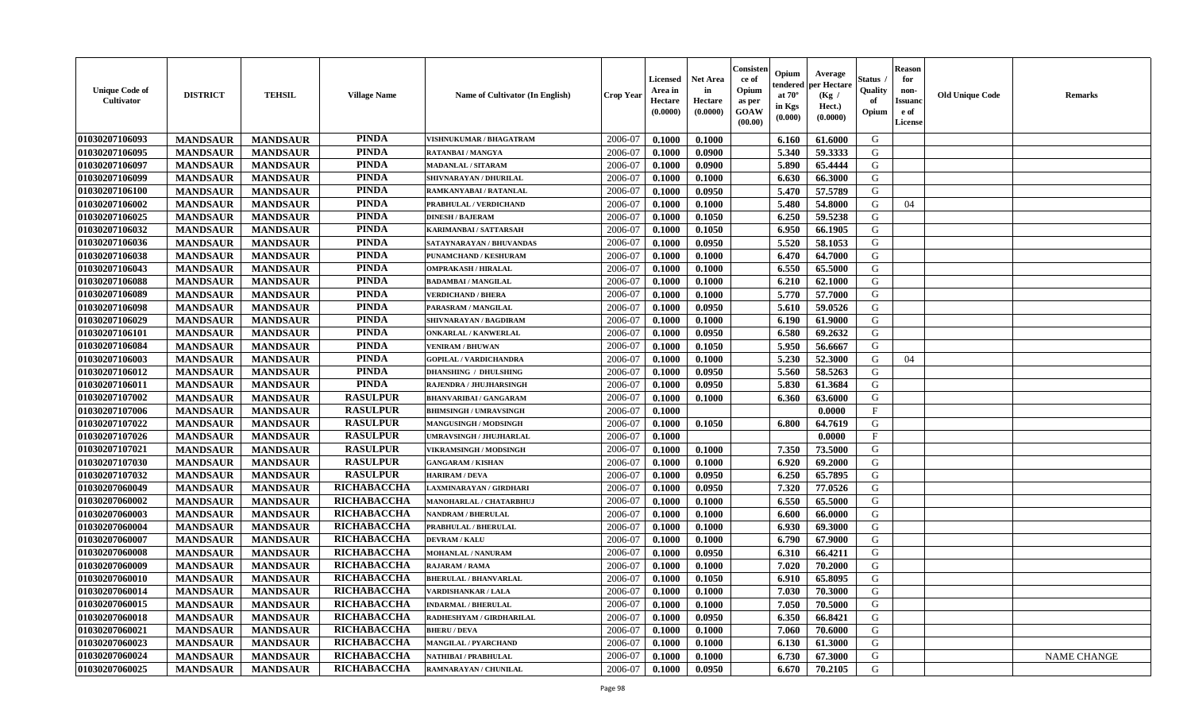| <b>Unique Code of</b><br><b>Cultivator</b> | <b>DISTRICT</b> | <b>TEHSIL</b>   | <b>Village Name</b> | <b>Name of Cultivator (In English)</b> | <b>Crop Year</b> | <b>Licensed</b><br>Area in<br>Hectare<br>(0.0000) | <b>Net Area</b><br>in<br>Hectare<br>(0.0000) | Consister<br>ce of<br>Opium<br>as per<br><b>GOAW</b><br>(00.00) | Opium<br>endered<br>at $70^\circ$<br>in Kgs<br>(0.000) | Average<br>per Hectare<br>(Kg /<br>Hect.)<br>(0.0000) | Status<br>Quality<br>of<br>Opium | <b>Reason</b><br>for<br>non-<br><b>Issuand</b><br>e of<br>License | <b>Old Unique Code</b> | <b>Remarks</b>     |
|--------------------------------------------|-----------------|-----------------|---------------------|----------------------------------------|------------------|---------------------------------------------------|----------------------------------------------|-----------------------------------------------------------------|--------------------------------------------------------|-------------------------------------------------------|----------------------------------|-------------------------------------------------------------------|------------------------|--------------------|
| 01030207106093                             | <b>MANDSAUR</b> | <b>MANDSAUR</b> | <b>PINDA</b>        | VISHNUKUMAR / BHAGATRAM                | 2006-07          | 0.1000                                            | 0.1000                                       |                                                                 | 6.160                                                  | 61.6000                                               | G                                |                                                                   |                        |                    |
| 01030207106095                             | <b>MANDSAUR</b> | <b>MANDSAUR</b> | <b>PINDA</b>        | <b>RATANBAI/MANGYA</b>                 | 2006-07          | 0.1000                                            | 0.0900                                       |                                                                 | 5.340                                                  | 59.3333                                               | G                                |                                                                   |                        |                    |
| 01030207106097                             | <b>MANDSAUR</b> | <b>MANDSAUR</b> | <b>PINDA</b>        | <b>MADANLAL / SITARAM</b>              | 2006-07          | 0.1000                                            | 0.0900                                       |                                                                 | 5.890                                                  | 65.4444                                               | G                                |                                                                   |                        |                    |
| 01030207106099                             | <b>MANDSAUR</b> | <b>MANDSAUR</b> | <b>PINDA</b>        | SHIVNARAYAN / DHURILAL                 | 2006-07          | 0.1000                                            | 0.1000                                       |                                                                 | 6.630                                                  | 66.3000                                               | G                                |                                                                   |                        |                    |
| 01030207106100                             | <b>MANDSAUR</b> | <b>MANDSAUR</b> | <b>PINDA</b>        | RAMKANYABAI / RATANLAL                 | 2006-07          | 0.1000                                            | 0.0950                                       |                                                                 | 5.470                                                  | 57.5789                                               | G                                |                                                                   |                        |                    |
| 01030207106002                             | <b>MANDSAUR</b> | <b>MANDSAUR</b> | <b>PINDA</b>        | PRABHULAL / VERDICHAND                 | 2006-07          | 0.1000                                            | 0.1000                                       |                                                                 | 5.480                                                  | 54.8000                                               | G                                | 04                                                                |                        |                    |
| 01030207106025                             | <b>MANDSAUR</b> | <b>MANDSAUR</b> | <b>PINDA</b>        | <b>DINESH / BAJERAM</b>                | 2006-07          | 0.1000                                            | 0.1050                                       |                                                                 | 6.250                                                  | 59.5238                                               | G                                |                                                                   |                        |                    |
| 01030207106032                             | <b>MANDSAUR</b> | <b>MANDSAUR</b> | <b>PINDA</b>        | KARIMANBAI / SATTARSAH                 | 2006-07          | 0.1000                                            | 0.1050                                       |                                                                 | 6.950                                                  | 66.1905                                               | G                                |                                                                   |                        |                    |
| 01030207106036                             | <b>MANDSAUR</b> | <b>MANDSAUR</b> | <b>PINDA</b>        | SATAYNARAYAN / BHUVANDAS               | 2006-07          | 0.1000                                            | 0.0950                                       |                                                                 | 5.520                                                  | 58.1053                                               | G                                |                                                                   |                        |                    |
| 01030207106038                             | <b>MANDSAUR</b> | <b>MANDSAUR</b> | <b>PINDA</b>        | PUNAMCHAND / KESHURAM                  | 2006-07          | 0.1000                                            | 0.1000                                       |                                                                 | 6.470                                                  | 64.7000                                               | G                                |                                                                   |                        |                    |
| 01030207106043                             | <b>MANDSAUR</b> | <b>MANDSAUR</b> | <b>PINDA</b>        | <b>OMPRAKASH / HIRALAL</b>             | 2006-07          | 0.1000                                            | 0.1000                                       |                                                                 | 6.550                                                  | 65.5000                                               | G                                |                                                                   |                        |                    |
| 01030207106088                             | <b>MANDSAUR</b> | <b>MANDSAUR</b> | <b>PINDA</b>        | <b>BADAMBAI/MANGILAL</b>               | 2006-07          | 0.1000                                            | 0.1000                                       |                                                                 | 6.210                                                  | 62.1000                                               | G                                |                                                                   |                        |                    |
| 01030207106089                             | <b>MANDSAUR</b> | <b>MANDSAUR</b> | <b>PINDA</b>        | <b>VERDICHAND / BHERA</b>              | 2006-07          | 0.1000                                            | 0.1000                                       |                                                                 | 5.770                                                  | 57.7000                                               | G                                |                                                                   |                        |                    |
| 01030207106098                             | <b>MANDSAUR</b> | <b>MANDSAUR</b> | <b>PINDA</b>        | PARASRAM / MANGILAL                    | 2006-07          | 0.1000                                            | 0.0950                                       |                                                                 | 5.610                                                  | 59.0526                                               | G                                |                                                                   |                        |                    |
| 01030207106029                             | <b>MANDSAUR</b> | <b>MANDSAUR</b> | <b>PINDA</b>        | SHIVNARAYAN / BAGDIRAM                 | 2006-07          | 0.1000                                            | 0.1000                                       |                                                                 | 6.190                                                  | 61.9000                                               | G                                |                                                                   |                        |                    |
| 01030207106101                             | <b>MANDSAUR</b> | <b>MANDSAUR</b> | <b>PINDA</b>        | <b>ONKARLAL / KANWERLAL</b>            | 2006-07          | 0.1000                                            | 0.0950                                       |                                                                 | 6.580                                                  | 69.2632                                               | G                                |                                                                   |                        |                    |
| 01030207106084                             | <b>MANDSAUR</b> | <b>MANDSAUR</b> | <b>PINDA</b>        | <b>VENIRAM / BHUWAN</b>                | 2006-07          | 0.1000                                            | 0.1050                                       |                                                                 | 5.950                                                  | 56.6667                                               | G                                |                                                                   |                        |                    |
| 01030207106003                             | <b>MANDSAUR</b> | <b>MANDSAUR</b> | <b>PINDA</b>        | <b>GOPILAL / VARDICHANDRA</b>          | 2006-07          | 0.1000                                            | 0.1000                                       |                                                                 | 5.230                                                  | 52.3000                                               | G                                | 04                                                                |                        |                    |
| 01030207106012                             | <b>MANDSAUR</b> | <b>MANDSAUR</b> | <b>PINDA</b>        | <b>DHANSHING / DHULSHING</b>           | 2006-07          | 0.1000                                            | 0.0950                                       |                                                                 | 5.560                                                  | 58.5263                                               | G                                |                                                                   |                        |                    |
| 01030207106011                             | <b>MANDSAUR</b> | <b>MANDSAUR</b> | <b>PINDA</b>        | RAJENDRA / JHUJHARSINGH                | 2006-07          | 0.1000                                            | 0.0950                                       |                                                                 | 5.830                                                  | 61.3684                                               | G                                |                                                                   |                        |                    |
| 01030207107002                             | <b>MANDSAUR</b> | <b>MANDSAUR</b> | <b>RASULPUR</b>     | <b>BHANVARIBAI / GANGARAM</b>          | 2006-07          | 0.1000                                            | 0.1000                                       |                                                                 | 6.360                                                  | 63.6000                                               | G                                |                                                                   |                        |                    |
| 01030207107006                             | <b>MANDSAUR</b> | <b>MANDSAUR</b> | <b>RASULPUR</b>     | <b>BHIMSINGH / UMRAVSINGH</b>          | 2006-07          | 0.1000                                            |                                              |                                                                 |                                                        | 0.0000                                                | $_{\rm F}$                       |                                                                   |                        |                    |
| 01030207107022                             | <b>MANDSAUR</b> | <b>MANDSAUR</b> | <b>RASULPUR</b>     | <b>MANGUSINGH / MODSINGH</b>           | 2006-07          | 0.1000                                            | 0.1050                                       |                                                                 | 6.800                                                  | 64.7619                                               | G                                |                                                                   |                        |                    |
| 01030207107026                             | <b>MANDSAUR</b> | <b>MANDSAUR</b> | <b>RASULPUR</b>     | UMRAVSINGH / JHUJHARLAL                | 2006-07          | 0.1000                                            |                                              |                                                                 |                                                        | 0.0000                                                | $\mathbf{F}$                     |                                                                   |                        |                    |
| 01030207107021                             | <b>MANDSAUR</b> | <b>MANDSAUR</b> | <b>RASULPUR</b>     | VIKRAMSINGH / MODSINGH                 | 2006-07          | 0.1000                                            | 0.1000                                       |                                                                 | 7.350                                                  | 73.5000                                               | G                                |                                                                   |                        |                    |
| 01030207107030                             | <b>MANDSAUR</b> | <b>MANDSAUR</b> | <b>RASULPUR</b>     | <b>GANGARAM / KISHAN</b>               | 2006-07          | 0.1000                                            | 0.1000                                       |                                                                 | 6.920                                                  | 69.2000                                               | G                                |                                                                   |                        |                    |
| 01030207107032                             | <b>MANDSAUR</b> | <b>MANDSAUR</b> | <b>RASULPUR</b>     | <b>HARIRAM / DEVA</b>                  | 2006-07          | 0.1000                                            | 0.0950                                       |                                                                 | 6.250                                                  | 65.7895                                               | G                                |                                                                   |                        |                    |
| 01030207060049                             | <b>MANDSAUR</b> | <b>MANDSAUR</b> | RICHABACCHA         | LAXMINARAYAN / GIRDHARI                | 2006-07          | 0.1000                                            | 0.0950                                       |                                                                 | 7.320                                                  | 77.0526                                               | G                                |                                                                   |                        |                    |
| 01030207060002                             | <b>MANDSAUR</b> | <b>MANDSAUR</b> | RICHABACCHA         | MANOHARLAL / CHATARBHUJ                | 2006-07          | 0.1000                                            | 0.1000                                       |                                                                 | 6.550                                                  | 65.5000                                               | G                                |                                                                   |                        |                    |
| 01030207060003                             | <b>MANDSAUR</b> | <b>MANDSAUR</b> | RICHABACCHA         | <b>NANDRAM / BHERULAL</b>              | 2006-07          | 0.1000                                            | 0.1000                                       |                                                                 | 6.600                                                  | 66.0000                                               | G                                |                                                                   |                        |                    |
| 01030207060004                             | <b>MANDSAUR</b> | <b>MANDSAUR</b> | RICHABACCHA         | PRABHULAL / BHERULAL                   | 2006-07          | 0.1000                                            | 0.1000                                       |                                                                 | 6.930                                                  | 69.3000                                               | G                                |                                                                   |                        |                    |
| 01030207060007                             | <b>MANDSAUR</b> | <b>MANDSAUR</b> | RICHABACCHA         | <b>DEVRAM / KALU</b>                   | 2006-07          | 0.1000                                            | 0.1000                                       |                                                                 | 6.790                                                  | 67.9000                                               | ${\bf G}$                        |                                                                   |                        |                    |
| 01030207060008                             | <b>MANDSAUR</b> | <b>MANDSAUR</b> | RICHABACCHA         | MOHANLAL / NANURAM                     | 2006-07          | 0.1000                                            | 0.0950                                       |                                                                 | 6.310                                                  | 66.4211                                               | G                                |                                                                   |                        |                    |
| 01030207060009                             | <b>MANDSAUR</b> | <b>MANDSAUR</b> | RICHABACCHA         | <b>RAJARAM / RAMA</b>                  | 2006-07          | 0.1000                                            | 0.1000                                       |                                                                 | 7.020                                                  | 70.2000                                               | G                                |                                                                   |                        |                    |
| 01030207060010                             | <b>MANDSAUR</b> | <b>MANDSAUR</b> | RICHABACCHA         | <b>BHERULAL / BHANVARLAL</b>           | 2006-07          | 0.1000                                            | 0.1050                                       |                                                                 | 6.910                                                  | 65.8095                                               | G                                |                                                                   |                        |                    |
| 01030207060014                             | <b>MANDSAUR</b> | <b>MANDSAUR</b> | <b>RICHABACCHA</b>  | VARDISHANKAR / LALA                    | 2006-07          | 0.1000                                            | 0.1000                                       |                                                                 | 7.030                                                  | 70.3000                                               | G                                |                                                                   |                        |                    |
| 01030207060015                             | <b>MANDSAUR</b> | <b>MANDSAUR</b> | RICHABACCHA         | <b>INDARMAL / BHERULAL</b>             | 2006-07          | 0.1000                                            | 0.1000                                       |                                                                 | 7.050                                                  | 70.5000                                               | G                                |                                                                   |                        |                    |
| 01030207060018                             | <b>MANDSAUR</b> | <b>MANDSAUR</b> | RICHABACCHA         | RADHESHYAM / GIRDHARILAL               | 2006-07          | 0.1000                                            | 0.0950                                       |                                                                 | 6.350                                                  | 66.8421                                               | G                                |                                                                   |                        |                    |
| 01030207060021                             | <b>MANDSAUR</b> | <b>MANDSAUR</b> | RICHABACCHA         | <b>BHERU / DEVA</b>                    | 2006-07          | 0.1000                                            | 0.1000                                       |                                                                 | 7.060                                                  | 70.6000                                               | G                                |                                                                   |                        |                    |
| 01030207060023                             | <b>MANDSAUR</b> | <b>MANDSAUR</b> | RICHABACCHA         | <b>MANGILAL / PYARCHAND</b>            | 2006-07          | 0.1000                                            | 0.1000                                       |                                                                 | 6.130                                                  | 61.3000                                               | G                                |                                                                   |                        |                    |
| 01030207060024                             | <b>MANDSAUR</b> | <b>MANDSAUR</b> | RICHABACCHA         | NATHIBAI / PRABHULAL                   | 2006-07          | 0.1000                                            | 0.1000                                       |                                                                 | 6.730                                                  | 67.3000                                               | G                                |                                                                   |                        | <b>NAME CHANGE</b> |
| 01030207060025                             | <b>MANDSAUR</b> | <b>MANDSAUR</b> | <b>RICHABACCHA</b>  | <b>RAMNARAYAN / CHUNILAL</b>           | 2006-07          | 0.1000                                            | 0.0950                                       |                                                                 | 6.670                                                  | 70.2105                                               | G                                |                                                                   |                        |                    |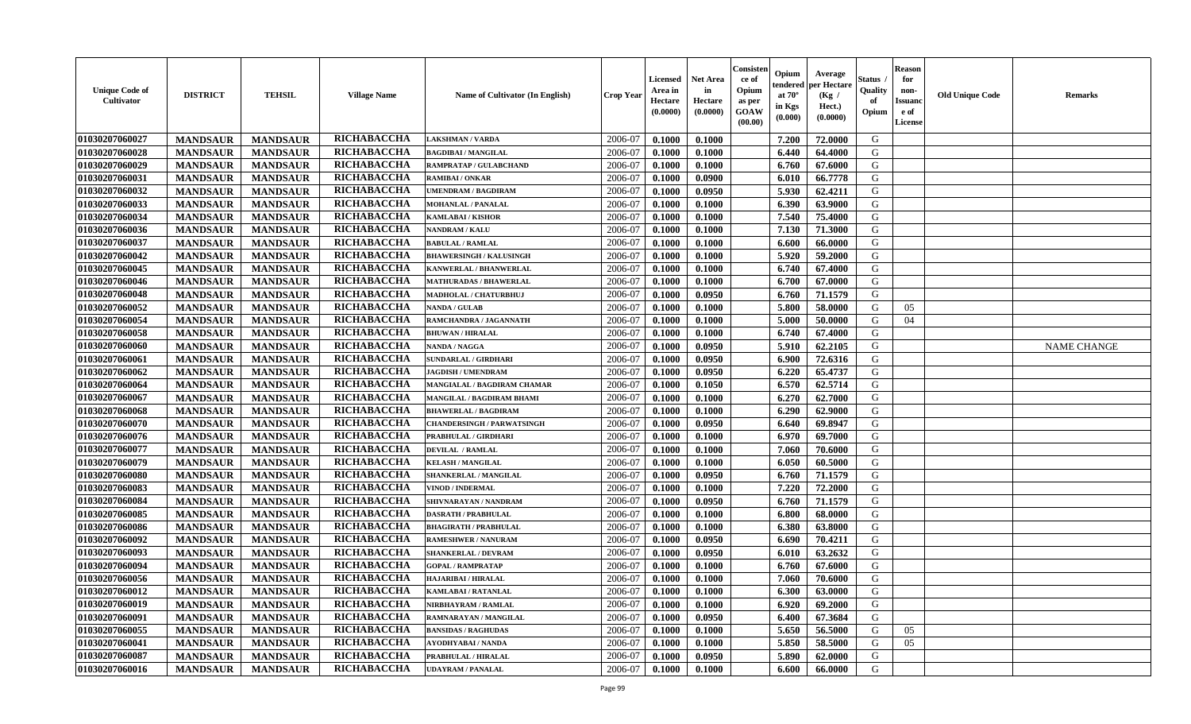| <b>Unique Code of</b><br><b>Cultivator</b> | <b>DISTRICT</b> | <b>TEHSIL</b>   | <b>Village Name</b> | Name of Cultivator (In English)   | <b>Crop Year</b> | <b>Licensed</b><br>Area in<br>Hectare<br>(0.0000) | Net Area<br>in<br>Hectare<br>(0.0000) | Consisteı<br>ce of<br>Opium<br>as per<br>GOAW<br>(00.00) | Opium<br>endered<br>at $70^\circ$<br>in Kgs<br>(0.000) | Average<br>oer Hectare<br>(Kg /<br>Hect.)<br>(0.0000) | Status<br>Quality<br>of<br>Opium | <b>Reason</b><br>for<br>non-<br><b>Issuand</b><br>e of<br>License | <b>Old Unique Code</b> | Remarks            |
|--------------------------------------------|-----------------|-----------------|---------------------|-----------------------------------|------------------|---------------------------------------------------|---------------------------------------|----------------------------------------------------------|--------------------------------------------------------|-------------------------------------------------------|----------------------------------|-------------------------------------------------------------------|------------------------|--------------------|
| 01030207060027                             | <b>MANDSAUR</b> | <b>MANDSAUR</b> | RICHABACCHA         | <b>LAKSHMAN / VARDA</b>           | 2006-07          | 0.1000                                            | 0.1000                                |                                                          | 7.200                                                  | 72.0000                                               | G                                |                                                                   |                        |                    |
| 01030207060028                             | <b>MANDSAUR</b> | <b>MANDSAUR</b> | <b>RICHABACCHA</b>  | <b>BAGDIBAI / MANGILAL</b>        | 2006-07          | 0.1000                                            | 0.1000                                |                                                          | 6.440                                                  | 64.4000                                               | G                                |                                                                   |                        |                    |
| 01030207060029                             | <b>MANDSAUR</b> | <b>MANDSAUR</b> | RICHABACCHA         | RAMPRATAP / GULABCHAND            | 2006-07          | 0.1000                                            | 0.1000                                |                                                          | 6.760                                                  | 67.6000                                               | G                                |                                                                   |                        |                    |
| 01030207060031                             | <b>MANDSAUR</b> | <b>MANDSAUR</b> | RICHABACCHA         | <b>RAMIBAI/ONKAR</b>              | 2006-07          | 0.1000                                            | 0.0900                                |                                                          | 6.010                                                  | 66.7778                                               | G                                |                                                                   |                        |                    |
| 01030207060032                             | <b>MANDSAUR</b> | <b>MANDSAUR</b> | RICHABACCHA         | <b>UMENDRAM / BAGDIRAM</b>        | 2006-07          | 0.1000                                            | 0.0950                                |                                                          | 5.930                                                  | 62.4211                                               | G                                |                                                                   |                        |                    |
| 01030207060033                             | <b>MANDSAUR</b> | <b>MANDSAUR</b> | RICHABACCHA         | <b>MOHANLAL / PANALAL</b>         | 2006-07          | 0.1000                                            | 0.1000                                |                                                          | 6.390                                                  | 63.9000                                               | G                                |                                                                   |                        |                    |
| 01030207060034                             | <b>MANDSAUR</b> | <b>MANDSAUR</b> | RICHABACCHA         | KAMLABAI / KISHOR                 | 2006-07          | 0.1000                                            | 0.1000                                |                                                          | 7.540                                                  | 75.4000                                               | G                                |                                                                   |                        |                    |
| 01030207060036                             | <b>MANDSAUR</b> | <b>MANDSAUR</b> | RICHABACCHA         | NANDRAM / KALU                    | 2006-07          | 0.1000                                            | 0.1000                                |                                                          | 7.130                                                  | 71.3000                                               | G                                |                                                                   |                        |                    |
| 01030207060037                             | <b>MANDSAUR</b> | <b>MANDSAUR</b> | RICHABACCHA         | <b>BABULAL / RAMLAL</b>           | 2006-07          | 0.1000                                            | 0.1000                                |                                                          | 6.600                                                  | 66.0000                                               | G                                |                                                                   |                        |                    |
| 01030207060042                             | <b>MANDSAUR</b> | <b>MANDSAUR</b> | RICHABACCHA         | <b>BHAWERSINGH / KALUSINGH</b>    | 2006-07          | 0.1000                                            | 0.1000                                |                                                          | 5.920                                                  | 59.2000                                               | G                                |                                                                   |                        |                    |
| 01030207060045                             | <b>MANDSAUR</b> | <b>MANDSAUR</b> | <b>RICHABACCHA</b>  | <b>KANWERLAL / BHANWERLAL</b>     | 2006-07          | 0.1000                                            | 0.1000                                |                                                          | 6.740                                                  | 67.4000                                               | G                                |                                                                   |                        |                    |
| 01030207060046                             | <b>MANDSAUR</b> | <b>MANDSAUR</b> | RICHABACCHA         | <b>MATHURADAS / BHAWERLAL</b>     | 2006-07          | 0.1000                                            | 0.1000                                |                                                          | 6.700                                                  | 67.0000                                               | G                                |                                                                   |                        |                    |
| 01030207060048                             | <b>MANDSAUR</b> | <b>MANDSAUR</b> | RICHABACCHA         | MADHOLAL / CHATURBHUJ             | 2006-07          | 0.1000                                            | 0.0950                                |                                                          | 6.760                                                  | 71.1579                                               | G                                |                                                                   |                        |                    |
| 01030207060052                             | <b>MANDSAUR</b> | <b>MANDSAUR</b> | RICHABACCHA         | <b>NANDA / GULAB</b>              | 2006-07          | 0.1000                                            | 0.1000                                |                                                          | 5.800                                                  | 58.0000                                               | G                                | 05                                                                |                        |                    |
| 01030207060054                             | <b>MANDSAUR</b> | <b>MANDSAUR</b> | <b>RICHABACCHA</b>  | RAMCHANDRA / JAGANNATH            | 2006-07          | 0.1000                                            | 0.1000                                |                                                          | 5.000                                                  | 50.0000                                               | $\mathbf G$                      | 04                                                                |                        |                    |
| 01030207060058                             | <b>MANDSAUR</b> | <b>MANDSAUR</b> | RICHABACCHA         | <b>BHUWAN / HIRALAL</b>           | 2006-07          | 0.1000                                            | 0.1000                                |                                                          | 6.740                                                  | 67.4000                                               | G                                |                                                                   |                        |                    |
| 01030207060060                             | <b>MANDSAUR</b> | <b>MANDSAUR</b> | RICHABACCHA         | <b>NANDA / NAGGA</b>              | 2006-07          | 0.1000                                            | 0.0950                                |                                                          | 5.910                                                  | 62.2105                                               | G                                |                                                                   |                        | <b>NAME CHANGE</b> |
| 01030207060061                             | <b>MANDSAUR</b> | <b>MANDSAUR</b> | RICHABACCHA         | SUNDARLAL / GIRDHARI              | 2006-07          | 0.1000                                            | 0.0950                                |                                                          | 6.900                                                  | 72.6316                                               | G                                |                                                                   |                        |                    |
| 01030207060062                             | <b>MANDSAUR</b> | <b>MANDSAUR</b> | RICHABACCHA         | <b>JAGDISH / UMENDRAM</b>         | 2006-07          | 0.1000                                            | 0.0950                                |                                                          | 6.220                                                  | 65.4737                                               | G                                |                                                                   |                        |                    |
| 01030207060064                             | <b>MANDSAUR</b> | <b>MANDSAUR</b> | RICHABACCHA         | MANGIALAL / BAGDIRAM CHAMAR       | 2006-07          | 0.1000                                            | 0.1050                                |                                                          | 6.570                                                  | 62.5714                                               | G                                |                                                                   |                        |                    |
| 01030207060067                             | <b>MANDSAUR</b> | <b>MANDSAUR</b> | RICHABACCHA         | MANGILAL / BAGDIRAM BHAMI         | 2006-07          | 0.1000                                            | 0.1000                                |                                                          | 6.270                                                  | 62.7000                                               | G                                |                                                                   |                        |                    |
| 01030207060068                             | <b>MANDSAUR</b> | <b>MANDSAUR</b> | RICHABACCHA         | <b>BHAWERLAL / BAGDIRAM</b>       | 2006-07          | 0.1000                                            | 0.1000                                |                                                          | 6.290                                                  | 62.9000                                               | G                                |                                                                   |                        |                    |
| 01030207060070                             | <b>MANDSAUR</b> | <b>MANDSAUR</b> | <b>RICHABACCHA</b>  | <b>CHANDERSINGH / PARWATSINGH</b> | 2006-07          | 0.1000                                            | 0.0950                                |                                                          | 6.640                                                  | 69.8947                                               | G                                |                                                                   |                        |                    |
| 01030207060076                             | <b>MANDSAUR</b> | <b>MANDSAUR</b> | RICHABACCHA         | PRABHULAL / GIRDHARI              | 2006-07          | 0.1000                                            | 0.1000                                |                                                          | 6.970                                                  | 69.7000                                               | G                                |                                                                   |                        |                    |
| 01030207060077                             | <b>MANDSAUR</b> | <b>MANDSAUR</b> | RICHABACCHA         | <b>DEVILAL / RAMLAL</b>           | 2006-07          | 0.1000                                            | 0.1000                                |                                                          | 7.060                                                  | 70.6000                                               | G                                |                                                                   |                        |                    |
| 01030207060079                             | <b>MANDSAUR</b> | <b>MANDSAUR</b> | RICHABACCHA         | <b>KELASH / MANGILAL</b>          | 2006-07          | 0.1000                                            | 0.1000                                |                                                          | 6.050                                                  | 60.5000                                               | G                                |                                                                   |                        |                    |
| 01030207060080                             | <b>MANDSAUR</b> | <b>MANDSAUR</b> | RICHABACCHA         | SHANKERLAL / MANGILAL             | 2006-07          | 0.1000                                            | 0.0950                                |                                                          | 6.760                                                  | 71.1579                                               | G                                |                                                                   |                        |                    |
| 01030207060083                             | <b>MANDSAUR</b> | <b>MANDSAUR</b> | RICHABACCHA         | <b>VINOD / INDERMAL</b>           | 2006-07          | 0.1000                                            | 0.1000                                |                                                          | 7.220                                                  | 72.2000                                               | G                                |                                                                   |                        |                    |
| 01030207060084                             | <b>MANDSAUR</b> | <b>MANDSAUR</b> | RICHABACCHA         | SHIVNARAYAN / NANDRAM             | 2006-07          | 0.1000                                            | 0.0950                                |                                                          | 6.760                                                  | 71.1579                                               | G                                |                                                                   |                        |                    |
| 01030207060085                             | <b>MANDSAUR</b> | <b>MANDSAUR</b> | RICHABACCHA         | <b>DASRATH / PRABHULAL</b>        | 2006-07          | 0.1000                                            | 0.1000                                |                                                          | 6.800                                                  | 68.0000                                               | G                                |                                                                   |                        |                    |
| 01030207060086                             | <b>MANDSAUR</b> | <b>MANDSAUR</b> | RICHABACCHA         | <b>BHAGIRATH / PRABHULAL</b>      | 2006-07          | 0.1000                                            | 0.1000                                |                                                          | 6.380                                                  | 63.8000                                               | G                                |                                                                   |                        |                    |
| 01030207060092                             | <b>MANDSAUR</b> | <b>MANDSAUR</b> | RICHABACCHA         | <b>RAMESHWER / NANURAM</b>        | 2006-07          | 0.1000                                            | 0.0950                                |                                                          | 6.690                                                  | 70.4211                                               | G                                |                                                                   |                        |                    |
| 01030207060093                             | <b>MANDSAUR</b> | <b>MANDSAUR</b> | RICHABACCHA         | <b>SHANKERLAL / DEVRAM</b>        | 2006-07          | 0.1000                                            | 0.0950                                |                                                          | 6.010                                                  | 63.2632                                               | G                                |                                                                   |                        |                    |
| 01030207060094                             | <b>MANDSAUR</b> | <b>MANDSAUR</b> | RICHABACCHA         | <b>GOPAL / RAMPRATAP</b>          | 2006-07          | 0.1000                                            | 0.1000                                |                                                          | 6.760                                                  | 67.6000                                               | G                                |                                                                   |                        |                    |
| 01030207060056                             | <b>MANDSAUR</b> | <b>MANDSAUR</b> | RICHABACCHA         | <b>HAJARIBAI / HIRALAL</b>        | 2006-07          | 0.1000                                            | 0.1000                                |                                                          | 7.060                                                  | 70.6000                                               | G                                |                                                                   |                        |                    |
| 01030207060012                             | <b>MANDSAUR</b> | <b>MANDSAUR</b> | <b>RICHABACCHA</b>  | <b>KAMLABAI/RATANLAL</b>          | 2006-07          | 0.1000                                            | 0.1000                                |                                                          | 6.300                                                  | 63.0000                                               | G                                |                                                                   |                        |                    |
| 01030207060019                             | <b>MANDSAUR</b> | <b>MANDSAUR</b> | RICHABACCHA         | NIRBHAYRAM / RAMLAL               | 2006-07          | 0.1000                                            | 0.1000                                |                                                          | 6.920                                                  | 69.2000                                               | G                                |                                                                   |                        |                    |
| 01030207060091                             | <b>MANDSAUR</b> | <b>MANDSAUR</b> | RICHABACCHA         | RAMNARAYAN / MANGILAL             | 2006-07          | 0.1000                                            | 0.0950                                |                                                          | 6.400                                                  | 67.3684                                               | G                                |                                                                   |                        |                    |
| 01030207060055                             | <b>MANDSAUR</b> | <b>MANDSAUR</b> | RICHABACCHA         | <b>BANSIDAS / RAGHUDAS</b>        | 2006-07          | 0.1000                                            | 0.1000                                |                                                          | 5.650                                                  | 56.5000                                               | G                                | 05                                                                |                        |                    |
| 01030207060041                             | <b>MANDSAUR</b> | <b>MANDSAUR</b> | RICHABACCHA         | <b>AYODHYABAI/NANDA</b>           | 2006-07          | 0.1000                                            | 0.1000                                |                                                          | 5.850                                                  | 58.5000                                               | G                                | 05                                                                |                        |                    |
| 01030207060087                             | <b>MANDSAUR</b> | <b>MANDSAUR</b> | RICHABACCHA         | PRABHULAL / HIRALAL               | 2006-07          | 0.1000                                            | 0.0950                                |                                                          | 5.890                                                  | 62.0000                                               | G                                |                                                                   |                        |                    |
| 01030207060016                             | <b>MANDSAUR</b> | <b>MANDSAUR</b> | <b>RICHABACCHA</b>  | <b>UDAYRAM / PANALAL</b>          | 2006-07          | 0.1000                                            | 0.1000                                |                                                          | 6.600                                                  | 66.0000                                               | G                                |                                                                   |                        |                    |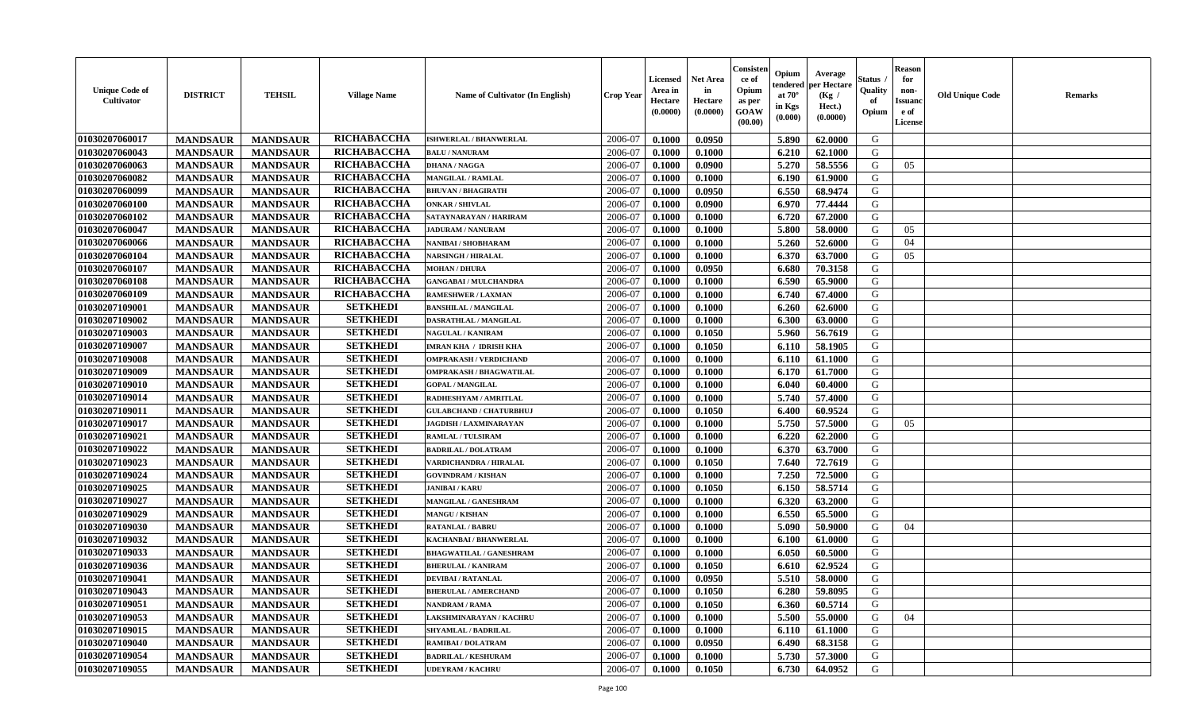| <b>Unique Code of</b><br><b>Cultivator</b> | <b>DISTRICT</b> | <b>TEHSIL</b>   | <b>Village Name</b> | Name of Cultivator (In English) | <b>Crop Year</b> | Licensed<br>Area in<br>Hectare<br>(0.0000) | Net Area<br>in<br>Hectare<br>(0.0000) | Consisteı<br>ce of<br>Opium<br>as per<br>GOAW<br>(00.00) | Opium<br>endered<br>at $70^\circ$<br>in Kgs<br>(0.000) | Average<br>per Hectare<br>(Kg /<br>Hect.)<br>(0.0000) | Status<br>Quality<br>of<br>Opium | <b>Reason</b><br>for<br>non-<br><b>Issuand</b><br>e of<br>License | <b>Old Unique Code</b> | Remarks |
|--------------------------------------------|-----------------|-----------------|---------------------|---------------------------------|------------------|--------------------------------------------|---------------------------------------|----------------------------------------------------------|--------------------------------------------------------|-------------------------------------------------------|----------------------------------|-------------------------------------------------------------------|------------------------|---------|
| 01030207060017                             | <b>MANDSAUR</b> | <b>MANDSAUR</b> | RICHABACCHA         | ISHWERLAL / BHANWERLAL          | 2006-07          | 0.1000                                     | 0.0950                                |                                                          | 5.890                                                  | 62.0000                                               | G                                |                                                                   |                        |         |
| 01030207060043                             | <b>MANDSAUR</b> | <b>MANDSAUR</b> | RICHABACCHA         | <b>BALU / NANURAM</b>           | 2006-07          | 0.1000                                     | 0.1000                                |                                                          | 6.210                                                  | 62.1000                                               | G                                |                                                                   |                        |         |
| 01030207060063                             | <b>MANDSAUR</b> | <b>MANDSAUR</b> | RICHABACCHA         | <b>DHANA / NAGGA</b>            | 2006-07          | 0.1000                                     | 0.0900                                |                                                          | 5.270                                                  | 58.5556                                               | G                                | 05                                                                |                        |         |
| 01030207060082                             | <b>MANDSAUR</b> | <b>MANDSAUR</b> | RICHABACCHA         | <b>MANGILAL / RAMLAL</b>        | 2006-07          | 0.1000                                     | 0.1000                                |                                                          | 6.190                                                  | 61.9000                                               | G                                |                                                                   |                        |         |
| 01030207060099                             | <b>MANDSAUR</b> | <b>MANDSAUR</b> | RICHABACCHA         | <b>BHUVAN / BHAGIRATH</b>       | 2006-07          | 0.1000                                     | 0.0950                                |                                                          | 6.550                                                  | 68.9474                                               | G                                |                                                                   |                        |         |
| 01030207060100                             | <b>MANDSAUR</b> | <b>MANDSAUR</b> | RICHABACCHA         | <b>ONKAR / SHIVLAL</b>          | 2006-07          | 0.1000                                     | 0.0900                                |                                                          | 6.970                                                  | 77.4444                                               | G                                |                                                                   |                        |         |
| 01030207060102                             | <b>MANDSAUR</b> | <b>MANDSAUR</b> | RICHABACCHA         | SATAYNARAYAN / HARIRAM          | 2006-07          | 0.1000                                     | 0.1000                                |                                                          | 6.720                                                  | 67.2000                                               | G                                |                                                                   |                        |         |
| 01030207060047                             | <b>MANDSAUR</b> | <b>MANDSAUR</b> | RICHABACCHA         | <b>JADURAM / NANURAM</b>        | 2006-07          | 0.1000                                     | 0.1000                                |                                                          | 5.800                                                  | 58.0000                                               | G                                | 05                                                                |                        |         |
| 01030207060066                             | <b>MANDSAUR</b> | <b>MANDSAUR</b> | RICHABACCHA         | NANIBAI / SHOBHARAM             | 2006-07          | 0.1000                                     | 0.1000                                |                                                          | 5.260                                                  | 52.6000                                               | G                                | 04                                                                |                        |         |
| 01030207060104                             | <b>MANDSAUR</b> | <b>MANDSAUR</b> | RICHABACCHA         | <b>NARSINGH / HIRALAL</b>       | 2006-07          | 0.1000                                     | 0.1000                                |                                                          | 6.370                                                  | 63.7000                                               | G                                | 05                                                                |                        |         |
| 01030207060107                             | <b>MANDSAUR</b> | <b>MANDSAUR</b> | <b>RICHABACCHA</b>  | <b>MOHAN / DHURA</b>            | 2006-07          | 0.1000                                     | 0.0950                                |                                                          | 6.680                                                  | 70.3158                                               | G                                |                                                                   |                        |         |
| 01030207060108                             | <b>MANDSAUR</b> | <b>MANDSAUR</b> | RICHABACCHA         | <b>GANGABAI / MULCHANDRA</b>    | 2006-07          | 0.1000                                     | 0.1000                                |                                                          | 6.590                                                  | 65.9000                                               | G                                |                                                                   |                        |         |
| 01030207060109                             | <b>MANDSAUR</b> | <b>MANDSAUR</b> | RICHABACCHA         | <b>RAMESHWER / LAXMAN</b>       | 2006-07          | 0.1000                                     | 0.1000                                |                                                          | 6.740                                                  | 67.4000                                               | G                                |                                                                   |                        |         |
| 01030207109001                             | <b>MANDSAUR</b> | <b>MANDSAUR</b> | <b>SETKHEDI</b>     | <b>BANSHILAL / MANGILAL</b>     | 2006-07          | 0.1000                                     | 0.1000                                |                                                          | 6.260                                                  | 62.6000                                               | G                                |                                                                   |                        |         |
| 01030207109002                             | <b>MANDSAUR</b> | <b>MANDSAUR</b> | <b>SETKHEDI</b>     | DASRATHLAL / MANGILAL           | 2006-07          | 0.1000                                     | 0.1000                                |                                                          | 6.300                                                  | 63.0000                                               | $\mathbf G$                      |                                                                   |                        |         |
| 01030207109003                             | <b>MANDSAUR</b> | <b>MANDSAUR</b> | <b>SETKHEDI</b>     | <b>NAGULAL / KANIRAM</b>        | 2006-07          | 0.1000                                     | 0.1050                                |                                                          | 5.960                                                  | 56.7619                                               | G                                |                                                                   |                        |         |
| 01030207109007                             | <b>MANDSAUR</b> | <b>MANDSAUR</b> | <b>SETKHEDI</b>     | <b>IMRAN KHA / IDRISH KHA</b>   | 2006-07          | 0.1000                                     | 0.1050                                |                                                          | 6.110                                                  | 58.1905                                               | G                                |                                                                   |                        |         |
| 01030207109008                             | <b>MANDSAUR</b> | <b>MANDSAUR</b> | <b>SETKHEDI</b>     | <b>OMPRAKASH / VERDICHAND</b>   | 2006-07          | 0.1000                                     | 0.1000                                |                                                          | 6.110                                                  | 61.1000                                               | G                                |                                                                   |                        |         |
| 01030207109009                             | <b>MANDSAUR</b> | <b>MANDSAUR</b> | <b>SETKHEDI</b>     | <b>OMPRAKASH / BHAGWATILAL</b>  | 2006-07          | 0.1000                                     | 0.1000                                |                                                          | 6.170                                                  | 61.7000                                               | G                                |                                                                   |                        |         |
| 01030207109010                             | <b>MANDSAUR</b> | <b>MANDSAUR</b> | <b>SETKHEDI</b>     | <b>GOPAL / MANGILAL</b>         | 2006-07          | 0.1000                                     | 0.1000                                |                                                          | 6.040                                                  | 60.4000                                               | G                                |                                                                   |                        |         |
| 01030207109014                             | <b>MANDSAUR</b> | <b>MANDSAUR</b> | <b>SETKHEDI</b>     | RADHESHYAM / AMRITLAL           | 2006-07          | 0.1000                                     | 0.1000                                |                                                          | 5.740                                                  | 57.4000                                               | G                                |                                                                   |                        |         |
| 01030207109011                             | <b>MANDSAUR</b> | <b>MANDSAUR</b> | <b>SETKHEDI</b>     | <b>GULABCHAND / CHATURBHUJ</b>  | 2006-07          | 0.1000                                     | 0.1050                                |                                                          | 6.400                                                  | 60.9524                                               | G                                |                                                                   |                        |         |
| 01030207109017                             | <b>MANDSAUR</b> | <b>MANDSAUR</b> | <b>SETKHEDI</b>     | <b>JAGDISH / LAXMINARAYAN</b>   | 2006-07          | 0.1000                                     | 0.1000                                |                                                          | 5.750                                                  | 57.5000                                               | G                                | 05                                                                |                        |         |
| 01030207109021                             | <b>MANDSAUR</b> | <b>MANDSAUR</b> | <b>SETKHEDI</b>     | RAMLAL / TULSIRAM               | 2006-07          | 0.1000                                     | 0.1000                                |                                                          | 6.220                                                  | 62.2000                                               | G                                |                                                                   |                        |         |
| 01030207109022                             | <b>MANDSAUR</b> | <b>MANDSAUR</b> | <b>SETKHEDI</b>     | <b>BADRILAL / DOLATRAM</b>      | 2006-07          | 0.1000                                     | 0.1000                                |                                                          | 6.370                                                  | 63.7000                                               | G                                |                                                                   |                        |         |
| 01030207109023                             | <b>MANDSAUR</b> | <b>MANDSAUR</b> | <b>SETKHEDI</b>     | VARDICHANDRA / HIRALAL          | 2006-07          | 0.1000                                     | 0.1050                                |                                                          | 7.640                                                  | 72.7619                                               | G                                |                                                                   |                        |         |
| 01030207109024                             | <b>MANDSAUR</b> | <b>MANDSAUR</b> | <b>SETKHEDI</b>     | <b>GOVINDRAM / KISHAN</b>       | 2006-07          | 0.1000                                     | 0.1000                                |                                                          | 7.250                                                  | 72.5000                                               | G                                |                                                                   |                        |         |
| 01030207109025                             | <b>MANDSAUR</b> | <b>MANDSAUR</b> | <b>SETKHEDI</b>     | <b>JANIBAI/KARU</b>             | 2006-07          | 0.1000                                     | 0.1050                                |                                                          | 6.150                                                  | 58.5714                                               | G                                |                                                                   |                        |         |
| 01030207109027                             | <b>MANDSAUR</b> | <b>MANDSAUR</b> | <b>SETKHEDI</b>     | <b>MANGILAL / GANESHRAM</b>     | 2006-07          | 0.1000                                     | 0.1000                                |                                                          | 6.320                                                  | 63.2000                                               | G                                |                                                                   |                        |         |
| 01030207109029                             | <b>MANDSAUR</b> | <b>MANDSAUR</b> | <b>SETKHEDI</b>     | <b>MANGU / KISHAN</b>           | 2006-07          | 0.1000                                     | 0.1000                                |                                                          | 6.550                                                  | 65.5000                                               | G                                |                                                                   |                        |         |
| 01030207109030                             | <b>MANDSAUR</b> | <b>MANDSAUR</b> | <b>SETKHEDI</b>     | <b>RATANLAL / BABRU</b>         | 2006-07          | 0.1000                                     | 0.1000                                |                                                          | 5.090                                                  | 50.9000                                               | G                                | 04                                                                |                        |         |
| 01030207109032                             | <b>MANDSAUR</b> | <b>MANDSAUR</b> | <b>SETKHEDI</b>     | KACHANBAI / BHANWERLAL          | 2006-07          | 0.1000                                     | 0.1000                                |                                                          | 6.100                                                  | 61.0000                                               | G                                |                                                                   |                        |         |
| 01030207109033                             | <b>MANDSAUR</b> | <b>MANDSAUR</b> | <b>SETKHEDI</b>     | <b>BHAGWATILAL / GANESHRAM</b>  | 2006-07          | 0.1000                                     | 0.1000                                |                                                          | 6.050                                                  | 60.5000                                               | G                                |                                                                   |                        |         |
| 01030207109036                             | <b>MANDSAUR</b> | <b>MANDSAUR</b> | <b>SETKHEDI</b>     | <b>BHERULAL / KANIRAM</b>       | 2006-07          | 0.1000                                     | 0.1050                                |                                                          | 6.610                                                  | 62.9524                                               | G                                |                                                                   |                        |         |
| 01030207109041                             | <b>MANDSAUR</b> | <b>MANDSAUR</b> | <b>SETKHEDI</b>     | <b>DEVIBAI/RATANLAL</b>         | 2006-07          | 0.1000                                     | 0.0950                                |                                                          | 5.510                                                  | 58.0000                                               | G                                |                                                                   |                        |         |
| 01030207109043                             | <b>MANDSAUR</b> | <b>MANDSAUR</b> | <b>SETKHEDI</b>     | <b>BHERULAL / AMERCHAND</b>     | 2006-07          | 0.1000                                     | 0.1050                                |                                                          | 6.280                                                  | 59.8095                                               | G                                |                                                                   |                        |         |
| 01030207109051                             | <b>MANDSAUR</b> | <b>MANDSAUR</b> | <b>SETKHEDI</b>     | <b>NANDRAM / RAMA</b>           | 2006-07          | 0.1000                                     | 0.1050                                |                                                          | 6.360                                                  | 60.5714                                               | G                                |                                                                   |                        |         |
| 01030207109053                             | <b>MANDSAUR</b> | <b>MANDSAUR</b> | <b>SETKHEDI</b>     | LAKSHMINARAYAN / KACHRU         | 2006-07          | 0.1000                                     | 0.1000                                |                                                          | 5.500                                                  | 55.0000                                               | G                                | 04                                                                |                        |         |
| 01030207109015                             | <b>MANDSAUR</b> | <b>MANDSAUR</b> | <b>SETKHEDI</b>     | <b>SHYAMLAL / BADRILAL</b>      | 2006-07          | 0.1000                                     | 0.1000                                |                                                          | 6.110                                                  | 61.1000                                               | G                                |                                                                   |                        |         |
| 01030207109040                             | <b>MANDSAUR</b> | <b>MANDSAUR</b> | <b>SETKHEDI</b>     | <b>RAMIBAI / DOLATRAM</b>       | 2006-07          | 0.1000                                     | 0.0950                                |                                                          | 6.490                                                  | 68.3158                                               | ${\bf G}$                        |                                                                   |                        |         |
| 01030207109054                             | <b>MANDSAUR</b> | <b>MANDSAUR</b> | <b>SETKHEDI</b>     | <b>BADRILAL / KESHURAM</b>      | 2006-07          | 0.1000                                     | 0.1000                                |                                                          | 5.730                                                  | 57.3000                                               | G                                |                                                                   |                        |         |
| 01030207109055                             | <b>MANDSAUR</b> | <b>MANDSAUR</b> | <b>SETKHEDI</b>     | <b>UDEYRAM / KACHRU</b>         | 2006-07          | 0.1000                                     | 0.1050                                |                                                          | 6.730                                                  | 64.0952                                               | G                                |                                                                   |                        |         |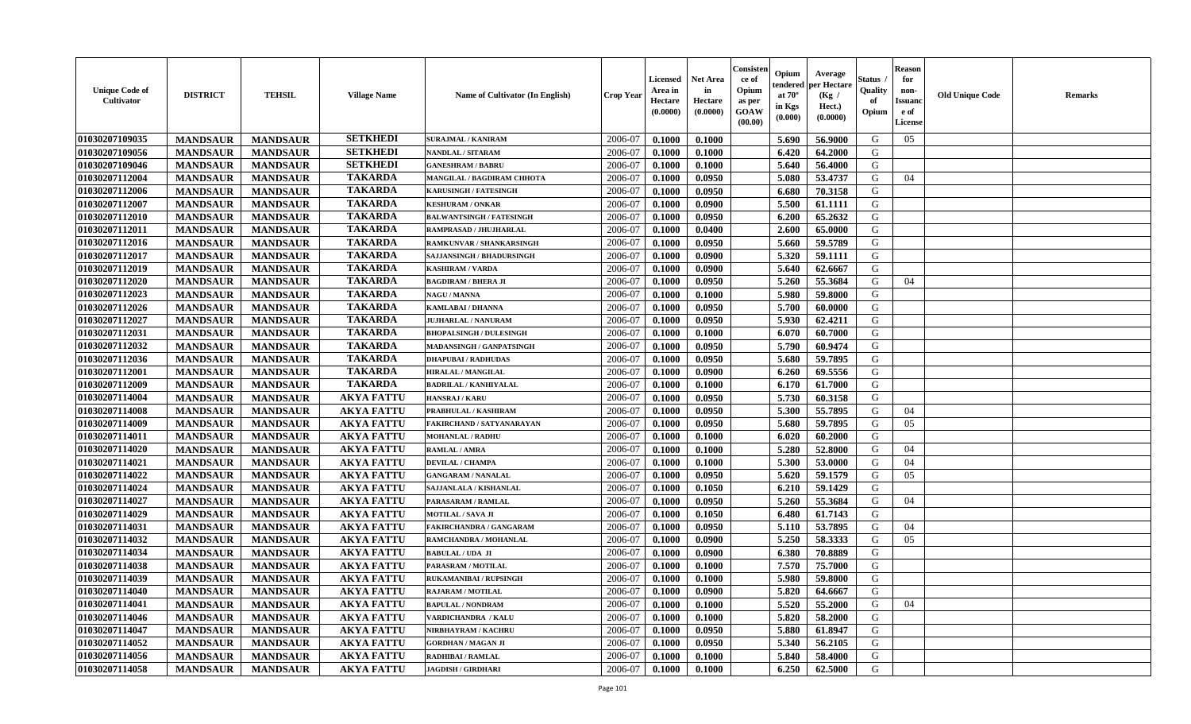| <b>Unique Code of</b><br>Cultivator | <b>DISTRICT</b> | <b>TEHSIL</b>   | <b>Village Name</b> | Name of Cultivator (In English)   | Crop Year | Licensed<br>Area in<br>Hectare<br>(0.0000) | <b>Net Area</b><br>in<br>Hectare<br>(0.0000) | Consisten<br>ce of<br>Opium<br>as per<br><b>GOAW</b><br>(00.00) | Opium<br>tendered<br>at $70^\circ$<br>in Kgs<br>(0.000) | Average<br>per Hectare<br>(Kg /<br>Hect.)<br>(0.0000) | Status<br>Quality<br>of<br>Opium | <b>Reason</b><br>for<br>non-<br><b>Issuand</b><br>e of<br>License | <b>Old Unique Code</b> | <b>Remarks</b> |
|-------------------------------------|-----------------|-----------------|---------------------|-----------------------------------|-----------|--------------------------------------------|----------------------------------------------|-----------------------------------------------------------------|---------------------------------------------------------|-------------------------------------------------------|----------------------------------|-------------------------------------------------------------------|------------------------|----------------|
| 01030207109035                      | <b>MANDSAUR</b> | <b>MANDSAUR</b> | <b>SETKHEDI</b>     | <b>SURAJMAL / KANIRAM</b>         | 2006-07   | 0.1000                                     | 0.1000                                       |                                                                 | 5.690                                                   | 56.9000                                               | G                                | 05                                                                |                        |                |
| 01030207109056                      | <b>MANDSAUR</b> | <b>MANDSAUR</b> | <b>SETKHEDI</b>     | NANDLAL / SITARAM                 | 2006-07   | 0.1000                                     | 0.1000                                       |                                                                 | 6.420                                                   | 64.2000                                               | G                                |                                                                   |                        |                |
| 01030207109046                      | <b>MANDSAUR</b> | <b>MANDSAUR</b> | <b>SETKHEDI</b>     | <b>GANESHRAM / BABRU</b>          | 2006-07   | 0.1000                                     | 0.1000                                       |                                                                 | 5.640                                                   | 56.4000                                               | G                                |                                                                   |                        |                |
| 01030207112004                      | <b>MANDSAUR</b> | <b>MANDSAUR</b> | <b>TAKARDA</b>      | <b>MANGILAL / BAGDIRAM CHHOTA</b> | 2006-07   | 0.1000                                     | 0.0950                                       |                                                                 | 5.080                                                   | 53,4737                                               | G                                | 04                                                                |                        |                |
| 01030207112006                      | <b>MANDSAUR</b> | <b>MANDSAUR</b> | <b>TAKARDA</b>      | <b>KARUSINGH / FATESINGH</b>      | 2006-07   | 0.1000                                     | 0.0950                                       |                                                                 | 6.680                                                   | 70.3158                                               | G                                |                                                                   |                        |                |
| 01030207112007                      | <b>MANDSAUR</b> | <b>MANDSAUR</b> | <b>TAKARDA</b>      | <b>KESHURAM / ONKAR</b>           | 2006-07   | 0.1000                                     | 0.0900                                       |                                                                 | 5.500                                                   | 61.1111                                               | G                                |                                                                   |                        |                |
| 01030207112010                      | <b>MANDSAUR</b> | <b>MANDSAUR</b> | <b>TAKARDA</b>      | <b>BALWANTSINGH / FATESINGH</b>   | 2006-07   | 0.1000                                     | 0.0950                                       |                                                                 | 6.200                                                   | 65.2632                                               | G                                |                                                                   |                        |                |
| 01030207112011                      | <b>MANDSAUR</b> | <b>MANDSAUR</b> | <b>TAKARDA</b>      | RAMPRASAD / JHUJHARLAL            | 2006-07   | 0.1000                                     | 0.0400                                       |                                                                 | 2.600                                                   | 65.0000                                               | G                                |                                                                   |                        |                |
| 01030207112016                      | <b>MANDSAUR</b> | <b>MANDSAUR</b> | <b>TAKARDA</b>      | RAMKUNVAR / SHANKARSINGH          | 2006-07   | 0.1000                                     | 0.0950                                       |                                                                 | 5.660                                                   | 59.5789                                               | G                                |                                                                   |                        |                |
| 01030207112017                      | <b>MANDSAUR</b> | <b>MANDSAUR</b> | <b>TAKARDA</b>      | <b>SAJJANSINGH / BHADURSINGH</b>  | 2006-07   | 0.1000                                     | 0.0900                                       |                                                                 | 5.320                                                   | 59.1111                                               | G                                |                                                                   |                        |                |
| 01030207112019                      | <b>MANDSAUR</b> | <b>MANDSAUR</b> | <b>TAKARDA</b>      | <b>KASHIRAM / VARDA</b>           | 2006-07   | 0.1000                                     | 0.0900                                       |                                                                 | 5.640                                                   | 62.6667                                               | G                                |                                                                   |                        |                |
| 01030207112020                      | <b>MANDSAUR</b> | <b>MANDSAUR</b> | <b>TAKARDA</b>      | <b>BAGDIRAM / BHERA JI</b>        | 2006-07   | 0.1000                                     | 0.0950                                       |                                                                 | 5.260                                                   | 55.3684                                               | G                                | 04                                                                |                        |                |
| 01030207112023                      | <b>MANDSAUR</b> | <b>MANDSAUR</b> | <b>TAKARDA</b>      | <b>NAGU / MANNA</b>               | 2006-07   | 0.1000                                     | 0.1000                                       |                                                                 | 5.980                                                   | 59.8000                                               | G                                |                                                                   |                        |                |
| 01030207112026                      | <b>MANDSAUR</b> | <b>MANDSAUR</b> | <b>TAKARDA</b>      | <b>KAMLABAI/DHANNA</b>            | 2006-07   | 0.1000                                     | 0.0950                                       |                                                                 | 5.700                                                   | 60.0000                                               | G                                |                                                                   |                        |                |
| 01030207112027                      | <b>MANDSAUR</b> | <b>MANDSAUR</b> | <b>TAKARDA</b>      | <b>JUJHARLAL / NANURAM</b>        | 2006-07   | 0.1000                                     | 0.0950                                       |                                                                 | 5.930                                                   | 62.4211                                               | G                                |                                                                   |                        |                |
| 01030207112031                      | <b>MANDSAUR</b> | <b>MANDSAUR</b> | <b>TAKARDA</b>      | <b>BHOPALSINGH / DULESINGH</b>    | 2006-07   | 0.1000                                     | 0.1000                                       |                                                                 | 6.070                                                   | 60.7000                                               | G                                |                                                                   |                        |                |
| 01030207112032                      | <b>MANDSAUR</b> | <b>MANDSAUR</b> | <b>TAKARDA</b>      | <b>MADANSINGH / GANPATSINGH</b>   | 2006-07   | 0.1000                                     | 0.0950                                       |                                                                 | 5.790                                                   | 60.9474                                               | G                                |                                                                   |                        |                |
| 01030207112036                      | <b>MANDSAUR</b> | <b>MANDSAUR</b> | <b>TAKARDA</b>      | <b>DHAPUBAI/RADHUDAS</b>          | 2006-07   | 0.1000                                     | 0.0950                                       |                                                                 | 5.680                                                   | 59.7895                                               | G                                |                                                                   |                        |                |
| 01030207112001                      | <b>MANDSAUR</b> | <b>MANDSAUR</b> | <b>TAKARDA</b>      | <b>HIRALAL / MANGILAL</b>         | 2006-07   | 0.1000                                     | 0.0900                                       |                                                                 | 6.260                                                   | 69.5556                                               | G                                |                                                                   |                        |                |
| 01030207112009                      | <b>MANDSAUR</b> | <b>MANDSAUR</b> | <b>TAKARDA</b>      | <b>BADRILAL / KANHIYALAL</b>      | 2006-07   | 0.1000                                     | 0.1000                                       |                                                                 | 6.170                                                   | 61.7000                                               | G                                |                                                                   |                        |                |
| 01030207114004                      | <b>MANDSAUR</b> | <b>MANDSAUR</b> | <b>AKYA FATTU</b>   | HANSRAJ / KARU                    | 2006-07   | 0.1000                                     | 0.0950                                       |                                                                 | 5.730                                                   | 60.3158                                               | G                                |                                                                   |                        |                |
| 01030207114008                      | <b>MANDSAUR</b> | <b>MANDSAUR</b> | <b>AKYA FATTU</b>   | PRABHULAL / KASHIRAM              | 2006-07   | 0.1000                                     | 0.0950                                       |                                                                 | 5.300                                                   | 55.7895                                               | G                                | 04                                                                |                        |                |
| 01030207114009                      | <b>MANDSAUR</b> | <b>MANDSAUR</b> | <b>AKYA FATTU</b>   | FAKIRCHAND / SATYANARAYAN         | 2006-07   | 0.1000                                     | 0.0950                                       |                                                                 | 5.680                                                   | 59.7895                                               | G                                | 05                                                                |                        |                |
| 01030207114011                      | <b>MANDSAUR</b> | <b>MANDSAUR</b> | <b>AKYA FATTU</b>   | <b>MOHANLAL / RADHU</b>           | 2006-07   | 0.1000                                     | 0.1000                                       |                                                                 | 6.020                                                   | 60.2000                                               | G                                |                                                                   |                        |                |
| 01030207114020                      | <b>MANDSAUR</b> | <b>MANDSAUR</b> | <b>AKYA FATTU</b>   | RAMLAL / AMRA                     | 2006-07   | 0.1000                                     | 0.1000                                       |                                                                 | 5.280                                                   | 52.8000                                               | G                                | 04                                                                |                        |                |
| 01030207114021                      | <b>MANDSAUR</b> | <b>MANDSAUR</b> | <b>AKYA FATTU</b>   | <b>DEVILAL / CHAMPA</b>           | 2006-07   | 0.1000                                     | 0.1000                                       |                                                                 | 5.300                                                   | 53.0000                                               | G                                | 04                                                                |                        |                |
| 01030207114022                      | <b>MANDSAUR</b> | <b>MANDSAUR</b> | <b>AKYA FATTU</b>   | <b>GANGARAM / NANALAL</b>         | 2006-07   | 0.1000                                     | 0.0950                                       |                                                                 | 5.620                                                   | 59.1579                                               | G                                | 05                                                                |                        |                |
| 01030207114024                      | <b>MANDSAUR</b> | <b>MANDSAUR</b> | <b>AKYA FATTU</b>   | SAJJANLALA / KISHANLAL            | 2006-07   | 0.1000                                     | 0.1050                                       |                                                                 | 6.210                                                   | 59.1429                                               | G                                |                                                                   |                        |                |
| 01030207114027                      | <b>MANDSAUR</b> | <b>MANDSAUR</b> | <b>AKYA FATTU</b>   | PARASARAM / RAMLAL                | 2006-07   | 0.1000                                     | 0.0950                                       |                                                                 | 5.260                                                   | 55.3684                                               | G                                | 04                                                                |                        |                |
| 01030207114029                      | <b>MANDSAUR</b> | <b>MANDSAUR</b> | <b>AKYA FATTU</b>   | <b>MOTILAL / SAVA JI</b>          | 2006-07   | 0.1000                                     | 0.1050                                       |                                                                 | 6.480                                                   | 61.7143                                               | G                                |                                                                   |                        |                |
| 01030207114031                      | <b>MANDSAUR</b> | <b>MANDSAUR</b> | <b>AKYA FATTU</b>   | <b>FAKIRCHANDRA / GANGARAM</b>    | 2006-07   | 0.1000                                     | 0.0950                                       |                                                                 | 5.110                                                   | 53.7895                                               | G                                | 04                                                                |                        |                |
| 01030207114032                      | <b>MANDSAUR</b> | <b>MANDSAUR</b> | <b>AKYA FATTU</b>   | RAMCHANDRA / MOHANLAL             | 2006-07   | 0.1000                                     | 0.0900                                       |                                                                 | 5.250                                                   | 58.3333                                               | G                                | 05                                                                |                        |                |
| 01030207114034                      | <b>MANDSAUR</b> | <b>MANDSAUR</b> | <b>AKYA FATTU</b>   | <b>BABULAL / UDA JI</b>           | 2006-07   | 0.1000                                     | 0.0900                                       |                                                                 | 6.380                                                   | 70.8889                                               | G                                |                                                                   |                        |                |
| 01030207114038                      | <b>MANDSAUR</b> | <b>MANDSAUR</b> | <b>AKYA FATTU</b>   | PARASRAM / MOTILAL                | 2006-07   | 0.1000                                     | 0.1000                                       |                                                                 | 7.570                                                   | 75.7000                                               | G                                |                                                                   |                        |                |
| 01030207114039                      | <b>MANDSAUR</b> | <b>MANDSAUR</b> | <b>AKYA FATTU</b>   | <b>RUKAMANIBAI / RUPSINGH</b>     | 2006-07   | 0.1000                                     | 0.1000                                       |                                                                 | 5.980                                                   | 59.8000                                               | G                                |                                                                   |                        |                |
| 01030207114040                      | <b>MANDSAUR</b> | <b>MANDSAUR</b> | <b>AKYA FATTU</b>   | <b>RAJARAM / MOTILAL</b>          | 2006-07   | 0.1000                                     | 0.0900                                       |                                                                 | 5.820                                                   | 64.6667                                               | G                                |                                                                   |                        |                |
| 01030207114041                      | <b>MANDSAUR</b> | <b>MANDSAUR</b> | <b>AKYA FATTU</b>   | <b>BAPULAL / NONDRAM</b>          | 2006-07   | 0.1000                                     | 0.1000                                       |                                                                 | 5.520                                                   | 55.2000                                               | G                                | 04                                                                |                        |                |
| 01030207114046                      | <b>MANDSAUR</b> | <b>MANDSAUR</b> | <b>AKYA FATTU</b>   | VARDICHANDRA / KALU               | 2006-07   | 0.1000                                     | 0.1000                                       |                                                                 | 5.820                                                   | 58.2000                                               | G                                |                                                                   |                        |                |
| 01030207114047                      | <b>MANDSAUR</b> | <b>MANDSAUR</b> | <b>AKYA FATTU</b>   | NIRBHAYRAM / KACHRU               | 2006-07   | 0.1000                                     | 0.0950                                       |                                                                 | 5.880                                                   | 61.8947                                               | G                                |                                                                   |                        |                |
| 01030207114052                      | <b>MANDSAUR</b> | <b>MANDSAUR</b> | <b>AKYA FATTU</b>   | <b>GORDHAN / MAGAN JI</b>         | 2006-07   | 0.1000                                     | 0.0950                                       |                                                                 | 5.340                                                   | 56.2105                                               | G                                |                                                                   |                        |                |
| 01030207114056                      | <b>MANDSAUR</b> | <b>MANDSAUR</b> | <b>AKYA FATTU</b>   | RADHIBAI / RAMLAL                 | 2006-07   | 0.1000                                     | 0.1000                                       |                                                                 | 5.840                                                   | 58.4000                                               | G                                |                                                                   |                        |                |
| 01030207114058                      | <b>MANDSAUR</b> | <b>MANDSAUR</b> | <b>AKYA FATTU</b>   | <b>JAGDISH / GIRDHARI</b>         | 2006-07   | 0.1000                                     | 0.1000                                       |                                                                 | 6.250                                                   | 62.5000                                               | G                                |                                                                   |                        |                |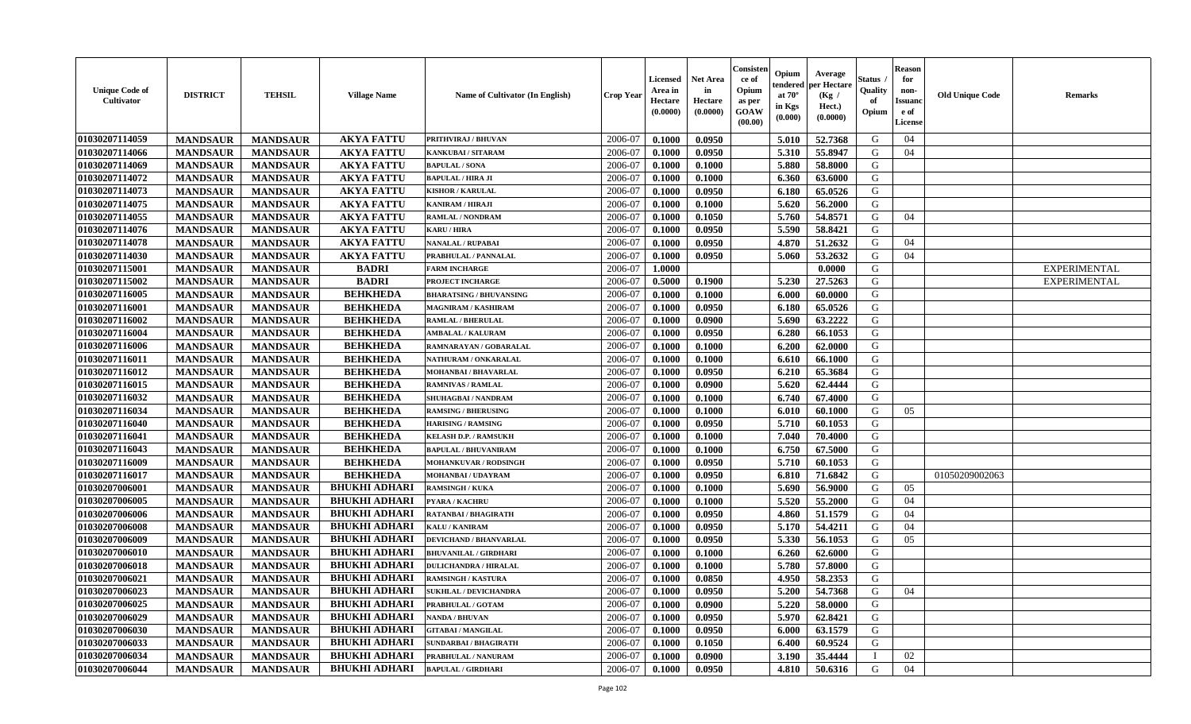| <b>Unique Code of</b><br><b>Cultivator</b> | <b>DISTRICT</b> | <b>TEHSIL</b>   | <b>Village Name</b>  | <b>Name of Cultivator (In English)</b> | <b>Crop Year</b> | Licensed<br>Area in<br>Hectare<br>(0.0000) | <b>Net Area</b><br>in<br>Hectare<br>(0.0000) | Consister<br>ce of<br>Opium<br>as per<br><b>GOAW</b><br>(00.00) | Opium<br>endered<br>at $70^{\circ}$<br>in Kgs<br>(0.000) | Average<br>per Hectare<br>(Kg /<br>Hect.)<br>(0.0000) | Status<br>Quality<br>of<br>Opium | <b>Reason</b><br>for<br>non-<br><b>Issuano</b><br>e of<br><b>License</b> | <b>Old Unique Code</b> | <b>Remarks</b>      |
|--------------------------------------------|-----------------|-----------------|----------------------|----------------------------------------|------------------|--------------------------------------------|----------------------------------------------|-----------------------------------------------------------------|----------------------------------------------------------|-------------------------------------------------------|----------------------------------|--------------------------------------------------------------------------|------------------------|---------------------|
| 01030207114059                             | <b>MANDSAUR</b> | <b>MANDSAUR</b> | <b>AKYA FATTU</b>    | PRITHVIRAJ / BHUVAN                    | 2006-07          | 0.1000                                     | 0.0950                                       |                                                                 | 5.010                                                    | 52.7368                                               | G                                | 04                                                                       |                        |                     |
| 01030207114066                             | <b>MANDSAUR</b> | <b>MANDSAUR</b> | <b>AKYA FATTU</b>    | <b>KANKUBAI / SITARAM</b>              | 2006-07          | 0.1000                                     | 0.0950                                       |                                                                 | 5.310                                                    | 55.8947                                               | G                                | 04                                                                       |                        |                     |
| 01030207114069                             | <b>MANDSAUR</b> | <b>MANDSAUR</b> | <b>AKYA FATTU</b>    | <b>BAPULAL / SONA</b>                  | 2006-07          | 0.1000                                     | 0.1000                                       |                                                                 | 5.880                                                    | 58.8000                                               | G                                |                                                                          |                        |                     |
| 01030207114072                             | <b>MANDSAUR</b> | <b>MANDSAUR</b> | <b>AKYA FATTU</b>    | <b>BAPULAL / HIRA JI</b>               | 2006-07          | 0.1000                                     | 0.1000                                       |                                                                 | 6.360                                                    | 63.6000                                               | G                                |                                                                          |                        |                     |
| 01030207114073                             | <b>MANDSAUR</b> | <b>MANDSAUR</b> | <b>AKYA FATTU</b>    | <b>KISHOR / KARULAL</b>                | 2006-07          | 0.1000                                     | 0.0950                                       |                                                                 | 6.180                                                    | 65.0526                                               | G                                |                                                                          |                        |                     |
| 01030207114075                             | <b>MANDSAUR</b> | <b>MANDSAUR</b> | <b>AKYA FATTU</b>    | <b>KANIRAM / HIRAJI</b>                | 2006-07          | 0.1000                                     | 0.1000                                       |                                                                 | 5.620                                                    | 56.2000                                               | G                                |                                                                          |                        |                     |
| 01030207114055                             | <b>MANDSAUR</b> | <b>MANDSAUR</b> | <b>AKYA FATTU</b>    | <b>RAMLAL / NONDRAM</b>                | 2006-07          | 0.1000                                     | 0.1050                                       |                                                                 | 5.760                                                    | 54.8571                                               | G                                | 04                                                                       |                        |                     |
| 01030207114076                             | <b>MANDSAUR</b> | <b>MANDSAUR</b> | <b>AKYA FATTU</b>    | <b>KARU / HIRA</b>                     | 2006-07          | 0.1000                                     | 0.0950                                       |                                                                 | 5.590                                                    | 58.8421                                               | G                                |                                                                          |                        |                     |
| 01030207114078                             | <b>MANDSAUR</b> | <b>MANDSAUR</b> | <b>AKYA FATTU</b>    | <b>NANALAL / RUPABAI</b>               | 2006-07          | 0.1000                                     | 0.0950                                       |                                                                 | 4.870                                                    | 51.2632                                               | G                                | 04                                                                       |                        |                     |
| 01030207114030                             | <b>MANDSAUR</b> | <b>MANDSAUR</b> | <b>AKYA FATTU</b>    | PRABHULAL / PANNALAL                   | 2006-07          | 0.1000                                     | 0.0950                                       |                                                                 | 5.060                                                    | 53.2632                                               | G                                | 04                                                                       |                        |                     |
| 01030207115001                             | <b>MANDSAUR</b> | <b>MANDSAUR</b> | <b>BADRI</b>         | <b>FARM INCHARGE</b>                   | 2006-07          | 1.0000                                     |                                              |                                                                 |                                                          | 0.0000                                                | G                                |                                                                          |                        | <b>EXPERIMENTAL</b> |
| 01030207115002                             | <b>MANDSAUR</b> | <b>MANDSAUR</b> | <b>BADRI</b>         | PROJECT INCHARGE                       | 2006-07          | 0.5000                                     | 0.1900                                       |                                                                 | 5.230                                                    | 27.5263                                               | G                                |                                                                          |                        | <b>EXPERIMENTAL</b> |
| 01030207116005                             | <b>MANDSAUR</b> | <b>MANDSAUR</b> | <b>BEHKHEDA</b>      | <b>BHARATSING / BHUVANSING</b>         | 2006-07          | 0.1000                                     | 0.1000                                       |                                                                 | 6.000                                                    | 60.0000                                               | G                                |                                                                          |                        |                     |
| 01030207116001                             | <b>MANDSAUR</b> | <b>MANDSAUR</b> | <b>BEHKHEDA</b>      | <b>MAGNIRAM / KASHIRAM</b>             | 2006-07          | 0.1000                                     | 0.0950                                       |                                                                 | 6.180                                                    | 65.0526                                               | G                                |                                                                          |                        |                     |
| 01030207116002                             | <b>MANDSAUR</b> | <b>MANDSAUR</b> | <b>BEHKHEDA</b>      | <b>RAMLAL / BHERULAL</b>               | 2006-07          | 0.1000                                     | 0.0900                                       |                                                                 | 5.690                                                    | 63.2222                                               | G                                |                                                                          |                        |                     |
| 01030207116004                             | <b>MANDSAUR</b> | <b>MANDSAUR</b> | <b>BEHKHEDA</b>      | <b>AMBALAL / KALURAM</b>               | 2006-07          | 0.1000                                     | 0.0950                                       |                                                                 | 6.280                                                    | 66.1053                                               | G                                |                                                                          |                        |                     |
| 01030207116006                             | <b>MANDSAUR</b> | <b>MANDSAUR</b> | <b>BEHKHEDA</b>      | RAMNARAYAN / GOBARALAL                 | 2006-07          | 0.1000                                     | 0.1000                                       |                                                                 | 6.200                                                    | 62.0000                                               | G                                |                                                                          |                        |                     |
| 01030207116011                             | <b>MANDSAUR</b> | <b>MANDSAUR</b> | <b>BEHKHEDA</b>      | NATHURAM / ONKARALAL                   | 2006-07          | 0.1000                                     | 0.1000                                       |                                                                 | 6.610                                                    | 66.1000                                               | G                                |                                                                          |                        |                     |
| 01030207116012                             | <b>MANDSAUR</b> | <b>MANDSAUR</b> | <b>BEHKHEDA</b>      | <b>MOHANBAI/BHAVARLAL</b>              | 2006-07          | 0.1000                                     | 0.0950                                       |                                                                 | 6.210                                                    | 65.3684                                               | G                                |                                                                          |                        |                     |
| 01030207116015                             | <b>MANDSAUR</b> | <b>MANDSAUR</b> | <b>BEHKHEDA</b>      | <b>RAMNIVAS / RAMLAL</b>               | 2006-07          | 0.1000                                     | 0.0900                                       |                                                                 | 5.620                                                    | 62.4444                                               | G                                |                                                                          |                        |                     |
| 01030207116032                             | <b>MANDSAUR</b> | <b>MANDSAUR</b> | <b>BEHKHEDA</b>      | <b>SHUHAGBAI/NANDRAM</b>               | 2006-07          | 0.1000                                     | 0.1000                                       |                                                                 | 6.740                                                    | 67.4000                                               | G                                |                                                                          |                        |                     |
| 01030207116034                             | <b>MANDSAUR</b> | <b>MANDSAUR</b> | <b>BEHKHEDA</b>      | <b>RAMSING / BHERUSING</b>             | 2006-07          | 0.1000                                     | 0.1000                                       |                                                                 | 6.010                                                    | 60.1000                                               | G                                | 05                                                                       |                        |                     |
| 01030207116040                             | <b>MANDSAUR</b> | <b>MANDSAUR</b> | <b>BEHKHEDA</b>      | <b>HARISING / RAMSING</b>              | 2006-07          | 0.1000                                     | 0.0950                                       |                                                                 | 5.710                                                    | 60.1053                                               | G                                |                                                                          |                        |                     |
| 01030207116041                             | <b>MANDSAUR</b> | <b>MANDSAUR</b> | <b>BEHKHEDA</b>      | <b>KELASH D.P. / RAMSUKH</b>           | 2006-07          | 0.1000                                     | 0.1000                                       |                                                                 | 7.040                                                    | 70.4000                                               | G                                |                                                                          |                        |                     |
| 01030207116043                             | <b>MANDSAUR</b> | <b>MANDSAUR</b> | <b>BEHKHEDA</b>      | <b>BAPULAL / BHUVANIRAM</b>            | 2006-07          | 0.1000                                     | 0.1000                                       |                                                                 | 6.750                                                    | 67.5000                                               | G                                |                                                                          |                        |                     |
| 01030207116009                             | <b>MANDSAUR</b> | <b>MANDSAUR</b> | <b>BEHKHEDA</b>      | <b>MOHANKUVAR / RODSINGH</b>           | 2006-07          | 0.1000                                     | 0.0950                                       |                                                                 | 5.710                                                    | 60.1053                                               | G                                |                                                                          |                        |                     |
| 01030207116017                             | <b>MANDSAUR</b> | <b>MANDSAUR</b> | <b>BEHKHEDA</b>      | MOHANBAI / UDAYRAM                     | 2006-07          | 0.1000                                     | 0.0950                                       |                                                                 | 6.810                                                    | 71.6842                                               | G                                |                                                                          | 01050209002063         |                     |
| 01030207006001                             | <b>MANDSAUR</b> | <b>MANDSAUR</b> | <b>BHUKHI ADHARI</b> | <b>RAMSINGH / KUKA</b>                 | 2006-07          | 0.1000                                     | 0.1000                                       |                                                                 | 5.690                                                    | 56.9000                                               | G                                | 05                                                                       |                        |                     |
| 01030207006005                             | <b>MANDSAUR</b> | <b>MANDSAUR</b> | <b>BHUKHI ADHARI</b> | PYARA / KACHRU                         | 2006-07          | 0.1000                                     | 0.1000                                       |                                                                 | 5.520                                                    | 55,2000                                               | G                                | 04                                                                       |                        |                     |
| 01030207006006                             | <b>MANDSAUR</b> | <b>MANDSAUR</b> | <b>BHUKHI ADHARI</b> | RATANBAI / BHAGIRATH                   | 2006-07          | 0.1000                                     | 0.0950                                       |                                                                 | 4.860                                                    | 51.1579                                               | G                                | 04                                                                       |                        |                     |
| 01030207006008                             | <b>MANDSAUR</b> | <b>MANDSAUR</b> | <b>BHUKHI ADHARI</b> | KALU / KANIRAM                         | 2006-07          | 0.1000                                     | 0.0950                                       |                                                                 | 5.170                                                    | 54.4211                                               | G                                | 04                                                                       |                        |                     |
| 01030207006009                             | <b>MANDSAUR</b> | <b>MANDSAUR</b> | <b>BHUKHI ADHARI</b> | DEVICHAND / BHANVARLAL                 | 2006-07          | 0.1000                                     | 0.0950                                       |                                                                 | 5.330                                                    | 56.1053                                               | G                                | 05                                                                       |                        |                     |
| 01030207006010                             | <b>MANDSAUR</b> | <b>MANDSAUR</b> | <b>BHUKHI ADHARI</b> | <b>BHUVANILAL / GIRDHARI</b>           | 2006-07          | 0.1000                                     | 0.1000                                       |                                                                 | 6.260                                                    | 62.6000                                               | G                                |                                                                          |                        |                     |
| 01030207006018                             | <b>MANDSAUR</b> | <b>MANDSAUR</b> | <b>BHUKHI ADHARI</b> | <b>DULICHANDRA / HIRALAL</b>           | 2006-07          | 0.1000                                     | 0.1000                                       |                                                                 | 5.780                                                    | 57.8000                                               | G                                |                                                                          |                        |                     |
| 01030207006021                             | <b>MANDSAUR</b> | <b>MANDSAUR</b> | <b>BHUKHI ADHARI</b> | <b>RAMSINGH / KASTURA</b>              | 2006-07          | 0.1000                                     | 0.0850                                       |                                                                 | 4.950                                                    | 58.2353                                               | G                                |                                                                          |                        |                     |
| 01030207006023                             | <b>MANDSAUR</b> | <b>MANDSAUR</b> | BHUKHI ADHARI        | <b>SUKHLAL / DEVICHANDRA</b>           | 2006-07          | 0.1000                                     | 0.0950                                       |                                                                 |                                                          | $5.200$   54.7368                                     | G                                | 04                                                                       |                        |                     |
| 01030207006025                             | <b>MANDSAUR</b> | <b>MANDSAUR</b> | <b>BHUKHI ADHARI</b> | PRABHULAL / GOTAM                      | 2006-07          | 0.1000                                     | 0.0900                                       |                                                                 | 5.220                                                    | 58.0000                                               | G                                |                                                                          |                        |                     |
| 01030207006029                             | <b>MANDSAUR</b> | <b>MANDSAUR</b> | <b>BHUKHI ADHARI</b> | <b>NANDA / BHUVAN</b>                  | 2006-07          | 0.1000                                     | 0.0950                                       |                                                                 | 5.970                                                    | 62.8421                                               | G                                |                                                                          |                        |                     |
| 01030207006030                             | <b>MANDSAUR</b> | <b>MANDSAUR</b> | <b>BHUKHI ADHARI</b> | <b>GITABAI/MANGILAL</b>                | 2006-07          | 0.1000                                     | 0.0950                                       |                                                                 | 6.000                                                    | 63.1579                                               | G                                |                                                                          |                        |                     |
| 01030207006033                             | <b>MANDSAUR</b> | <b>MANDSAUR</b> | <b>BHUKHI ADHARI</b> | <b>SUNDARBAI / BHAGIRATH</b>           | 2006-07          | 0.1000                                     | 0.1050                                       |                                                                 | 6.400                                                    | 60.9524                                               | G                                |                                                                          |                        |                     |
| 01030207006034                             | <b>MANDSAUR</b> | <b>MANDSAUR</b> | <b>BHUKHI ADHARI</b> | PRABHULAL / NANURAM                    | 2006-07          | 0.1000                                     | 0.0900                                       |                                                                 | 3.190                                                    | 35.4444                                               |                                  | 02                                                                       |                        |                     |
| 01030207006044                             | <b>MANDSAUR</b> | <b>MANDSAUR</b> | <b>BHUKHI ADHARI</b> | <b>BAPULAL / GIRDHARI</b>              | 2006-07          | 0.1000                                     | 0.0950                                       |                                                                 | 4.810                                                    | 50.6316                                               | G                                | 04                                                                       |                        |                     |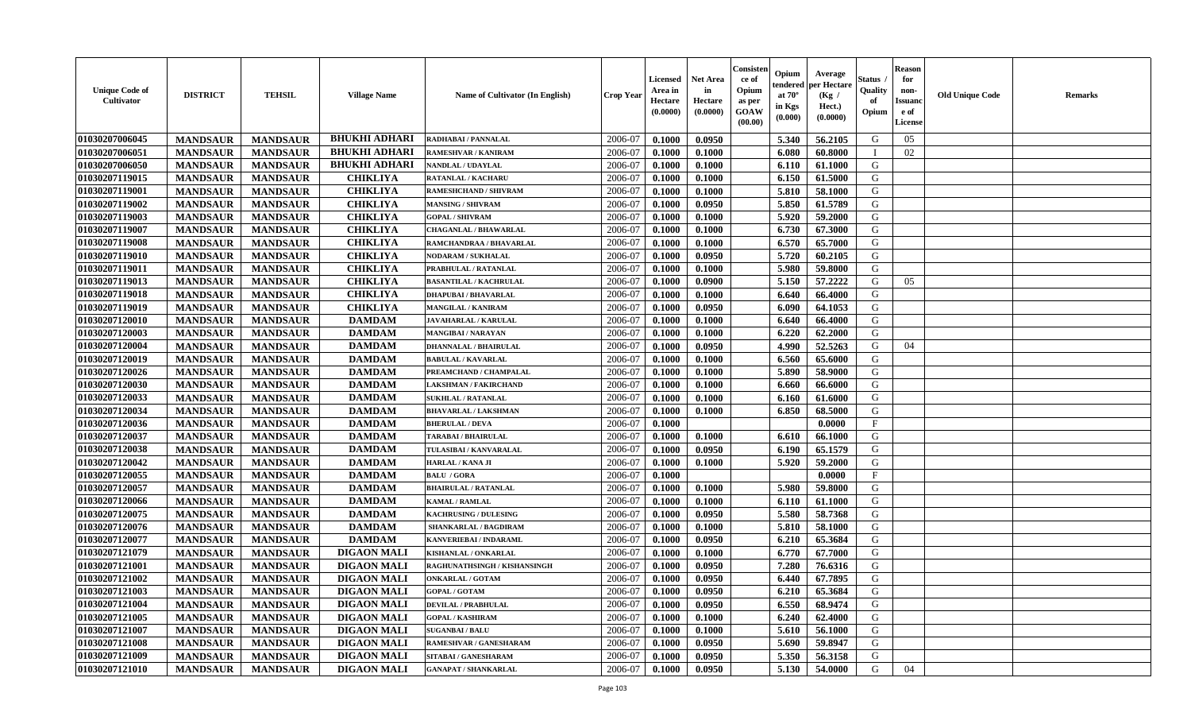| <b>Unique Code of</b><br><b>Cultivator</b> | <b>DISTRICT</b> | <b>TEHSIL</b>   | <b>Village Name</b>  | Name of Cultivator (In English) | <b>Crop Year</b> | <b>Licensed</b><br>Area in<br>Hectare<br>(0.0000) | <b>Net Area</b><br>in<br>Hectare<br>(0.0000) | Consisteı<br>ce of<br>Opium<br>as per<br><b>GOAW</b><br>(00.00) | Opium<br>endered<br>at $70^\circ$<br>in Kgs<br>$(\mathbf{0.000})$ | Average<br>per Hectare<br>(Kg /<br>Hect.)<br>(0.0000) | Status<br>Quality<br>of<br>Opium | Reason<br>for<br>non-<br>Issuan<br>e of<br>License | <b>Old Unique Code</b> | <b>Remarks</b> |
|--------------------------------------------|-----------------|-----------------|----------------------|---------------------------------|------------------|---------------------------------------------------|----------------------------------------------|-----------------------------------------------------------------|-------------------------------------------------------------------|-------------------------------------------------------|----------------------------------|----------------------------------------------------|------------------------|----------------|
| 01030207006045                             | <b>MANDSAUR</b> | <b>MANDSAUR</b> | <b>BHUKHI ADHARI</b> | RADHABAI / PANNALAL             | 2006-07          | 0.1000                                            | 0.0950                                       |                                                                 | 5.340                                                             | 56.2105                                               | G                                | 05                                                 |                        |                |
| 01030207006051                             | <b>MANDSAUR</b> | <b>MANDSAUR</b> | <b>BHUKHI ADHARI</b> | RAMESHVAR / KANIRAM             | 2006-07          | 0.1000                                            | 0.1000                                       |                                                                 | 6.080                                                             | 60.8000                                               |                                  | 02                                                 |                        |                |
| 01030207006050                             | <b>MANDSAUR</b> | <b>MANDSAUR</b> | <b>BHUKHI ADHARI</b> | NANDLAL / UDAYLAL               | 2006-07          | 0.1000                                            | 0.1000                                       |                                                                 | 6.110                                                             | 61.1000                                               | G                                |                                                    |                        |                |
| 01030207119015                             | <b>MANDSAUR</b> | <b>MANDSAUR</b> | <b>CHIKLIYA</b>      | RATANLAL / KACHARU              | 2006-07          | 0.1000                                            | 0.1000                                       |                                                                 | 6.150                                                             | 61.5000                                               | G                                |                                                    |                        |                |
| 01030207119001                             | <b>MANDSAUR</b> | <b>MANDSAUR</b> | <b>CHIKLIYA</b>      | RAMESHCHAND / SHIVRAM           | 2006-07          | 0.1000                                            | 0.1000                                       |                                                                 | 5.810                                                             | 58.1000                                               | G                                |                                                    |                        |                |
| 01030207119002                             | <b>MANDSAUR</b> | <b>MANDSAUR</b> | <b>CHIKLIYA</b>      | <b>MANSING / SHIVRAM</b>        | 2006-07          | 0.1000                                            | 0.0950                                       |                                                                 | 5.850                                                             | 61.5789                                               | G                                |                                                    |                        |                |
| 01030207119003                             | <b>MANDSAUR</b> | <b>MANDSAUR</b> | <b>CHIKLIYA</b>      | <b>GOPAL / SHIVRAM</b>          | 2006-07          | 0.1000                                            | 0.1000                                       |                                                                 | 5.920                                                             | 59.2000                                               | G                                |                                                    |                        |                |
| 01030207119007                             | <b>MANDSAUR</b> | <b>MANDSAUR</b> | <b>CHIKLIYA</b>      | <b>CHAGANLAL / BHAWARLAL</b>    | 2006-07          | 0.1000                                            | 0.1000                                       |                                                                 | 6.730                                                             | 67.3000                                               | G                                |                                                    |                        |                |
| 01030207119008                             | <b>MANDSAUR</b> | <b>MANDSAUR</b> | <b>CHIKLIYA</b>      | RAMCHANDRAA / BHAVARLAL         | 2006-07          | 0.1000                                            | 0.1000                                       |                                                                 | 6.570                                                             | 65.7000                                               | G                                |                                                    |                        |                |
| 01030207119010                             | <b>MANDSAUR</b> | <b>MANDSAUR</b> | <b>CHIKLIYA</b>      | <b>NODARAM / SUKHALAL</b>       | 2006-07          | 0.1000                                            | 0.0950                                       |                                                                 | 5.720                                                             | 60.2105                                               | G                                |                                                    |                        |                |
| 01030207119011                             | <b>MANDSAUR</b> | <b>MANDSAUR</b> | <b>CHIKLIYA</b>      | PRABHULAL / RATANLAL            | 2006-07          | 0.1000                                            | 0.1000                                       |                                                                 | 5.980                                                             | 59.8000                                               | G                                |                                                    |                        |                |
| 01030207119013                             | <b>MANDSAUR</b> | <b>MANDSAUR</b> | <b>CHIKLIYA</b>      | <b>BASANTILAL / KACHRULAL</b>   | 2006-07          | 0.1000                                            | 0.0900                                       |                                                                 | 5.150                                                             | 57,2222                                               | G                                | 05                                                 |                        |                |
| 01030207119018                             | <b>MANDSAUR</b> | <b>MANDSAUR</b> | <b>CHIKLIYA</b>      | <b>DHAPUBAI/BHAVARLAL</b>       | 2006-07          | 0.1000                                            | 0.1000                                       |                                                                 | 6.640                                                             | 66.4000                                               | G                                |                                                    |                        |                |
| 01030207119019                             | <b>MANDSAUR</b> | <b>MANDSAUR</b> | <b>CHIKLIYA</b>      | <b>MANGILAL / KANIRAM</b>       | 2006-07          | 0.1000                                            | 0.0950                                       |                                                                 | 6.090                                                             | 64.1053                                               | G                                |                                                    |                        |                |
| 01030207120010                             | <b>MANDSAUR</b> | <b>MANDSAUR</b> | <b>DAMDAM</b>        | <b>JAVAHARLAL / KARULAL</b>     | 2006-07          | 0.1000                                            | 0.1000                                       |                                                                 | 6.640                                                             | 66.4000                                               | G                                |                                                    |                        |                |
| 01030207120003                             | <b>MANDSAUR</b> | <b>MANDSAUR</b> | <b>DAMDAM</b>        | <b>MANGIBAI/NARAYAN</b>         | 2006-07          | 0.1000                                            | 0.1000                                       |                                                                 | 6.220                                                             | 62.2000                                               | G                                |                                                    |                        |                |
| 01030207120004                             | <b>MANDSAUR</b> | <b>MANDSAUR</b> | <b>DAMDAM</b>        | <b>DHANNALAL / BHAIRULAL</b>    | 2006-07          | 0.1000                                            | 0.0950                                       |                                                                 | 4.990                                                             | 52.5263                                               | G                                | 04                                                 |                        |                |
| 01030207120019                             | <b>MANDSAUR</b> | <b>MANDSAUR</b> | <b>DAMDAM</b>        | <b>BABULAL / KAVARLAL</b>       | 2006-07          | 0.1000                                            | 0.1000                                       |                                                                 | 6.560                                                             | 65.6000                                               | G                                |                                                    |                        |                |
| 01030207120026                             | <b>MANDSAUR</b> | <b>MANDSAUR</b> | <b>DAMDAM</b>        | PREAMCHAND / CHAMPALAL          | 2006-07          | 0.1000                                            | 0.1000                                       |                                                                 | 5.890                                                             | 58.9000                                               | G                                |                                                    |                        |                |
| 01030207120030                             | <b>MANDSAUR</b> | <b>MANDSAUR</b> | <b>DAMDAM</b>        | <b>LAKSHMAN / FAKIRCHAND</b>    | 2006-07          | 0.1000                                            | 0.1000                                       |                                                                 | 6.660                                                             | 66.6000                                               | G                                |                                                    |                        |                |
| 01030207120033                             | <b>MANDSAUR</b> | <b>MANDSAUR</b> | <b>DAMDAM</b>        | <b>SUKHLAL / RATANLAL</b>       | 2006-07          | 0.1000                                            | 0.1000                                       |                                                                 | 6.160                                                             | 61.6000                                               | G                                |                                                    |                        |                |
| 01030207120034                             | <b>MANDSAUR</b> | <b>MANDSAUR</b> | <b>DAMDAM</b>        | <b>BHAVARLAL / LAKSHMAN</b>     | 2006-07          | 0.1000                                            | 0.1000                                       |                                                                 | 6.850                                                             | 68.5000                                               | G                                |                                                    |                        |                |
| 01030207120036                             | <b>MANDSAUR</b> | <b>MANDSAUR</b> | <b>DAMDAM</b>        | <b>BHERULAL / DEVA</b>          | 2006-07          | 0.1000                                            |                                              |                                                                 |                                                                   | 0.0000                                                | $\mathbf{F}$                     |                                                    |                        |                |
| 01030207120037                             | <b>MANDSAUR</b> | <b>MANDSAUR</b> | <b>DAMDAM</b>        | TARABAI / BHAIRULAL             | 2006-07          | 0.1000                                            | 0.1000                                       |                                                                 | 6.610                                                             | 66.1000                                               | G                                |                                                    |                        |                |
| 01030207120038                             | <b>MANDSAUR</b> | <b>MANDSAUR</b> | <b>DAMDAM</b>        | TULASIBAI / KANVARALAL          | 2006-07          | 0.1000                                            | 0.0950                                       |                                                                 | 6.190                                                             | 65.1579                                               | G                                |                                                    |                        |                |
| 01030207120042                             | <b>MANDSAUR</b> | <b>MANDSAUR</b> | <b>DAMDAM</b>        | HARLAL / KANA JI                | 2006-07          | 0.1000                                            | 0.1000                                       |                                                                 | 5.920                                                             | 59.2000                                               | G                                |                                                    |                        |                |
| 01030207120055                             | <b>MANDSAUR</b> | <b>MANDSAUR</b> | <b>DAMDAM</b>        | <b>BALU / GORA</b>              | 2006-07          | 0.1000                                            |                                              |                                                                 |                                                                   | 0.0000                                                | $_{\rm F}$                       |                                                    |                        |                |
| 01030207120057                             | <b>MANDSAUR</b> | <b>MANDSAUR</b> | <b>DAMDAM</b>        | <b>BHAIRULAL / RATANLAL</b>     | 2006-07          | 0.1000                                            | 0.1000                                       |                                                                 | 5.980                                                             | 59.8000                                               | G                                |                                                    |                        |                |
| 01030207120066                             | <b>MANDSAUR</b> | <b>MANDSAUR</b> | <b>DAMDAM</b>        | <b>KAMAL / RAMLAL</b>           | 2006-07          | 0.1000                                            | 0.1000                                       |                                                                 | 6.110                                                             | 61.1000                                               | G                                |                                                    |                        |                |
| 01030207120075                             | <b>MANDSAUR</b> | <b>MANDSAUR</b> | <b>DAMDAM</b>        | <b>KACHRUSING / DULESING</b>    | 2006-07          | 0.1000                                            | 0.0950                                       |                                                                 | 5.580                                                             | 58.7368                                               | G                                |                                                    |                        |                |
| 01030207120076                             | <b>MANDSAUR</b> | <b>MANDSAUR</b> | <b>DAMDAM</b>        | <b>SHANKARLAL / BAGDIRAM</b>    | 2006-07          | 0.1000                                            | 0.1000                                       |                                                                 | 5.810                                                             | 58.1000                                               | G                                |                                                    |                        |                |
| 01030207120077                             | <b>MANDSAUR</b> | <b>MANDSAUR</b> | <b>DAMDAM</b>        | KANVERIEBAI / INDARAML          | 2006-07          | 0.1000                                            | 0.0950                                       |                                                                 | 6.210                                                             | 65.3684                                               | G                                |                                                    |                        |                |
| 01030207121079                             | <b>MANDSAUR</b> | <b>MANDSAUR</b> | <b>DIGAON MALI</b>   | KISHANLAL / ONKARLAL            | 2006-07          | 0.1000                                            | 0.1000                                       |                                                                 | 6.770                                                             | 67.7000                                               | G                                |                                                    |                        |                |
| 01030207121001                             | <b>MANDSAUR</b> | <b>MANDSAUR</b> | <b>DIGAON MALI</b>   | RAGHUNATHSINGH / KISHANSINGH    | 2006-07          | 0.1000                                            | 0.0950                                       |                                                                 | 7.280                                                             | 76.6316                                               | G                                |                                                    |                        |                |
| 01030207121002                             | <b>MANDSAUR</b> | <b>MANDSAUR</b> | <b>DIGAON MALI</b>   | <b>ONKARLAL / GOTAM</b>         | 2006-07          | 0.1000                                            | 0.0950                                       |                                                                 | 6.440                                                             | 67.7895                                               | G                                |                                                    |                        |                |
| 01030207121003                             | <b>MANDSAUR</b> | MANDSAUR        | <b>DIGAON MALI</b>   | <b>GOPAL / GOTAM</b>            | 2006-07          | 0.1000                                            | 0.0950                                       |                                                                 | 6.210                                                             | 65.3684                                               | G                                |                                                    |                        |                |
| 01030207121004                             | <b>MANDSAUR</b> | <b>MANDSAUR</b> | <b>DIGAON MALI</b>   | <b>DEVILAL / PRABHULAL</b>      | 2006-07          | 0.1000                                            | 0.0950                                       |                                                                 | 6.550                                                             | 68.9474                                               | G                                |                                                    |                        |                |
| 01030207121005                             | <b>MANDSAUR</b> | <b>MANDSAUR</b> | <b>DIGAON MALI</b>   | <b>GOPAL / KASHIRAM</b>         | 2006-07          | 0.1000                                            | 0.1000                                       |                                                                 | 6.240                                                             | 62.4000                                               | G                                |                                                    |                        |                |
| 01030207121007                             | <b>MANDSAUR</b> | <b>MANDSAUR</b> | <b>DIGAON MALI</b>   | <b>SUGANBAI/BALU</b>            | 2006-07          | 0.1000                                            | 0.1000                                       |                                                                 | 5.610                                                             | 56.1000                                               | G                                |                                                    |                        |                |
| 01030207121008                             | <b>MANDSAUR</b> | <b>MANDSAUR</b> | <b>DIGAON MALI</b>   | RAMESHVAR / GANESHARAM          | 2006-07          | 0.1000                                            | 0.0950                                       |                                                                 | 5.690                                                             | 59.8947                                               | G                                |                                                    |                        |                |
| 01030207121009                             | <b>MANDSAUR</b> | <b>MANDSAUR</b> | <b>DIGAON MALI</b>   | SITABAI / GANESHARAM            | 2006-07          | 0.1000                                            | 0.0950                                       |                                                                 | 5.350                                                             | 56.3158                                               | G                                |                                                    |                        |                |
| 01030207121010                             | <b>MANDSAUR</b> | <b>MANDSAUR</b> | <b>DIGAON MALI</b>   | <b>GANAPAT / SHANKARLAL</b>     | 2006-07          | 0.1000                                            | 0.0950                                       |                                                                 | 5.130                                                             | 54.0000                                               | G                                | 04                                                 |                        |                |
|                                            |                 |                 |                      |                                 |                  |                                                   |                                              |                                                                 |                                                                   |                                                       |                                  |                                                    |                        |                |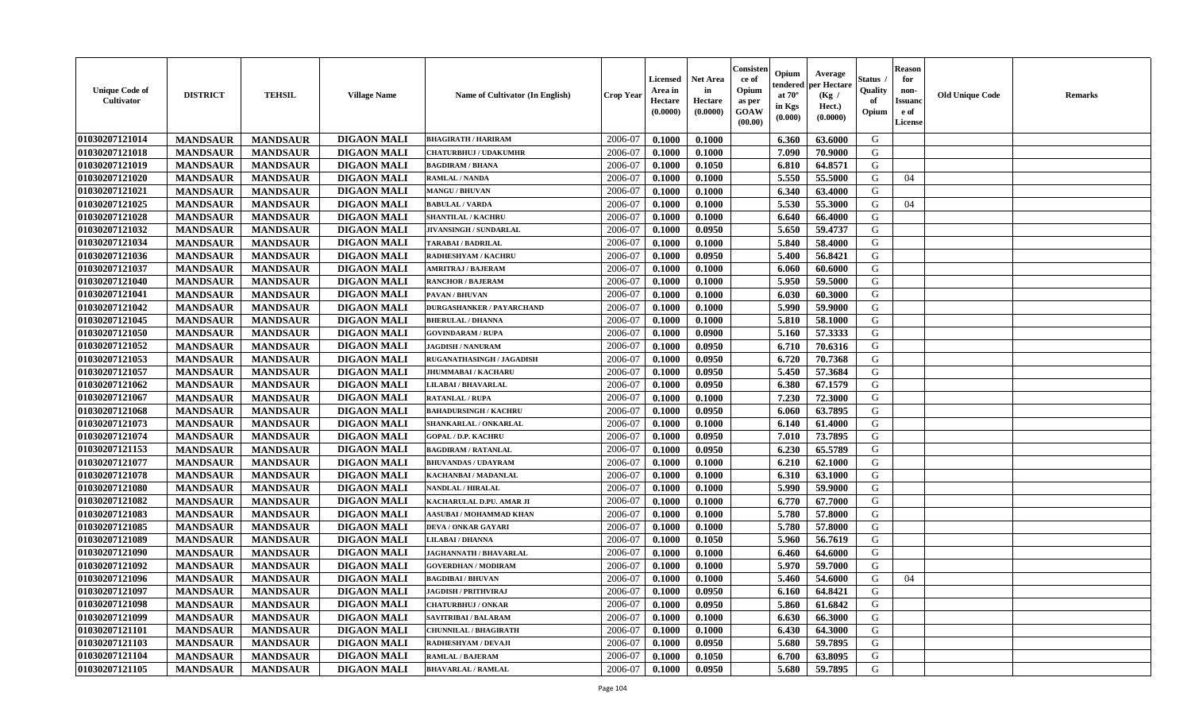| <b>Unique Code of</b><br><b>Cultivator</b> | <b>DISTRICT</b> | <b>TEHSIL</b>   | <b>Village Name</b> | Name of Cultivator (In English)  | <b>Crop Year</b> | <b>Licensed</b><br>Area in<br>Hectare<br>(0.0000) | <b>Net Area</b><br>in<br>Hectare<br>(0.0000) | Consister<br>ce of<br>Opium<br>as per<br><b>GOAW</b><br>(00.00) | Opium<br>endered<br>at $70^\circ$<br>in Kgs<br>$(\mathbf{0.000})$ | Average<br>per Hectare<br>(Kg /<br>Hect.)<br>(0.0000) | Status<br>Quality<br>of<br>Opium | Reason<br>for<br>non-<br>Issuan<br>e of<br>License | <b>Old Unique Code</b> | <b>Remarks</b> |
|--------------------------------------------|-----------------|-----------------|---------------------|----------------------------------|------------------|---------------------------------------------------|----------------------------------------------|-----------------------------------------------------------------|-------------------------------------------------------------------|-------------------------------------------------------|----------------------------------|----------------------------------------------------|------------------------|----------------|
| 01030207121014                             | <b>MANDSAUR</b> | <b>MANDSAUR</b> | <b>DIGAON MALI</b>  | <b>BHAGIRATH / HARIRAM</b>       | 2006-07          | 0.1000                                            | 0.1000                                       |                                                                 | 6.360                                                             | 63.6000                                               | G                                |                                                    |                        |                |
| 01030207121018                             | <b>MANDSAUR</b> | <b>MANDSAUR</b> | <b>DIGAON MALI</b>  | <b>CHATURBHUJ / UDAKUMHR</b>     | 2006-07          | 0.1000                                            | 0.1000                                       |                                                                 | 7.090                                                             | 70.9000                                               | G                                |                                                    |                        |                |
| 01030207121019                             | <b>MANDSAUR</b> | <b>MANDSAUR</b> | <b>DIGAON MALI</b>  | <b>BAGDIRAM / BHANA</b>          | 2006-07          | 0.1000                                            | 0.1050                                       |                                                                 | 6.810                                                             | 64.8571                                               | G                                |                                                    |                        |                |
| 01030207121020                             | <b>MANDSAUR</b> | <b>MANDSAUR</b> | <b>DIGAON MALI</b>  | RAMLAL / NANDA                   | 2006-07          | 0.1000                                            | 0.1000                                       |                                                                 | 5.550                                                             | 55.5000                                               | G                                | 04                                                 |                        |                |
| 01030207121021                             | <b>MANDSAUR</b> | <b>MANDSAUR</b> | <b>DIGAON MALI</b>  | <b>MANGU / BHUVAN</b>            | 2006-07          | 0.1000                                            | 0.1000                                       |                                                                 | 6.340                                                             | 63.4000                                               | G                                |                                                    |                        |                |
| 01030207121025                             | <b>MANDSAUR</b> | <b>MANDSAUR</b> | <b>DIGAON MALI</b>  | <b>BABULAL / VARDA</b>           | 2006-07          | 0.1000                                            | 0.1000                                       |                                                                 | 5.530                                                             | 55.3000                                               | G                                | 04                                                 |                        |                |
| 01030207121028                             | <b>MANDSAUR</b> | <b>MANDSAUR</b> | <b>DIGAON MALI</b>  | <b>SHANTILAL / KACHRU</b>        | 2006-07          | 0.1000                                            | 0.1000                                       |                                                                 | 6.640                                                             | 66.4000                                               | G                                |                                                    |                        |                |
| 01030207121032                             | <b>MANDSAUR</b> | <b>MANDSAUR</b> | <b>DIGAON MALI</b>  | JIVANSINGH / SUNDARLAL           | 2006-07          | 0.1000                                            | 0.0950                                       |                                                                 | 5.650                                                             | 59,4737                                               | G                                |                                                    |                        |                |
| 01030207121034                             | <b>MANDSAUR</b> | <b>MANDSAUR</b> | <b>DIGAON MALI</b>  | <b>TARABAI/BADRILAL</b>          | 2006-07          | 0.1000                                            | 0.1000                                       |                                                                 | 5.840                                                             | 58.4000                                               | G                                |                                                    |                        |                |
| 01030207121036                             | <b>MANDSAUR</b> | <b>MANDSAUR</b> | <b>DIGAON MALI</b>  | RADHESHYAM / KACHRU              | 2006-07          | 0.1000                                            | 0.0950                                       |                                                                 | 5.400                                                             | 56.8421                                               | G                                |                                                    |                        |                |
| 01030207121037                             | <b>MANDSAUR</b> | <b>MANDSAUR</b> | <b>DIGAON MALI</b>  | <b>AMRITRAJ / BAJERAM</b>        | 2006-07          | 0.1000                                            | 0.1000                                       |                                                                 | 6.060                                                             | 60.6000                                               | G                                |                                                    |                        |                |
| 01030207121040                             | <b>MANDSAUR</b> | <b>MANDSAUR</b> | <b>DIGAON MALI</b>  | <b>RANCHOR / BAJERAM</b>         | 2006-07          | 0.1000                                            | 0.1000                                       |                                                                 | 5.950                                                             | 59.5000                                               | G                                |                                                    |                        |                |
| 01030207121041                             | <b>MANDSAUR</b> | <b>MANDSAUR</b> | <b>DIGAON MALI</b>  | PAVAN / BHUVAN                   | 2006-07          | 0.1000                                            | 0.1000                                       |                                                                 | 6.030                                                             | 60.3000                                               | G                                |                                                    |                        |                |
| 01030207121042                             | <b>MANDSAUR</b> | <b>MANDSAUR</b> | <b>DIGAON MALI</b>  | <b>DURGASHANKER / PAYARCHAND</b> | 2006-07          | 0.1000                                            | 0.1000                                       |                                                                 | 5.990                                                             | 59.9000                                               | G                                |                                                    |                        |                |
| 01030207121045                             | <b>MANDSAUR</b> | <b>MANDSAUR</b> | <b>DIGAON MALI</b>  | <b>BHERULAL / DHANNA</b>         | 2006-07          | 0.1000                                            | 0.1000                                       |                                                                 | 5.810                                                             | 58.1000                                               | G                                |                                                    |                        |                |
| 01030207121050                             | <b>MANDSAUR</b> | <b>MANDSAUR</b> | <b>DIGAON MALI</b>  | <b>GOVINDARAM / RUPA</b>         | 2006-07          | 0.1000                                            | 0.0900                                       |                                                                 | 5.160                                                             | 57.3333                                               | G                                |                                                    |                        |                |
| 01030207121052                             | <b>MANDSAUR</b> | <b>MANDSAUR</b> | <b>DIGAON MALI</b>  | <b>JAGDISH / NANURAM</b>         | 2006-07          | 0.1000                                            | 0.0950                                       |                                                                 | 6.710                                                             | 70.6316                                               | G                                |                                                    |                        |                |
| 01030207121053                             | <b>MANDSAUR</b> | <b>MANDSAUR</b> | <b>DIGAON MALI</b>  | RUGANATHASINGH / JAGADISH        | 2006-07          | 0.1000                                            | 0.0950                                       |                                                                 | 6.720                                                             | 70.7368                                               | G                                |                                                    |                        |                |
| 01030207121057                             | <b>MANDSAUR</b> | <b>MANDSAUR</b> | <b>DIGAON MALI</b>  | <b>JHUMMABAI / KACHARU</b>       | 2006-07          | 0.1000                                            | 0.0950                                       |                                                                 | 5.450                                                             | 57.3684                                               | G                                |                                                    |                        |                |
| 01030207121062                             | <b>MANDSAUR</b> | <b>MANDSAUR</b> | <b>DIGAON MALI</b>  | <b>LILABAI / BHAVARLAL</b>       | 2006-07          | 0.1000                                            | 0.0950                                       |                                                                 | 6.380                                                             | 67.1579                                               | G                                |                                                    |                        |                |
| 01030207121067                             | <b>MANDSAUR</b> | <b>MANDSAUR</b> | <b>DIGAON MALI</b>  | <b>RATANLAL / RUPA</b>           | 2006-07          | 0.1000                                            | 0.1000                                       |                                                                 | 7.230                                                             | 72.3000                                               | G                                |                                                    |                        |                |
| 01030207121068                             | <b>MANDSAUR</b> | <b>MANDSAUR</b> | <b>DIGAON MALI</b>  | <b>BAHADURSINGH / KACHRU</b>     | 2006-07          | 0.1000                                            | 0.0950                                       |                                                                 | 6.060                                                             | 63.7895                                               | G                                |                                                    |                        |                |
| 01030207121073                             | <b>MANDSAUR</b> | <b>MANDSAUR</b> | <b>DIGAON MALI</b>  | SHANKARLAL / ONKARLAL            | 2006-07          | 0.1000                                            | 0.1000                                       |                                                                 | 6.140                                                             | 61.4000                                               | G                                |                                                    |                        |                |
| 01030207121074                             | <b>MANDSAUR</b> | <b>MANDSAUR</b> | <b>DIGAON MALI</b>  | <b>GOPAL / D.P. KACHRU</b>       | 2006-07          | 0.1000                                            | 0.0950                                       |                                                                 | 7.010                                                             | 73.7895                                               | G                                |                                                    |                        |                |
| 01030207121153                             | <b>MANDSAUR</b> | <b>MANDSAUR</b> | <b>DIGAON MALI</b>  | <b>BAGDIRAM / RATANLAL</b>       | 2006-07          | 0.1000                                            | 0.0950                                       |                                                                 | 6.230                                                             | 65.5789                                               | G                                |                                                    |                        |                |
| 01030207121077                             | <b>MANDSAUR</b> | <b>MANDSAUR</b> | <b>DIGAON MALI</b>  | <b>BHUVANDAS / UDAYRAM</b>       | 2006-07          | 0.1000                                            | 0.1000                                       |                                                                 | 6.210                                                             | 62.1000                                               | G                                |                                                    |                        |                |
| 01030207121078                             | <b>MANDSAUR</b> | <b>MANDSAUR</b> | <b>DIGAON MALI</b>  | KACHANBAI / MADANLAL             | 2006-07          | 0.1000                                            | 0.1000                                       |                                                                 | 6.310                                                             | 63.1000                                               | G                                |                                                    |                        |                |
| 01030207121080                             | <b>MANDSAUR</b> | <b>MANDSAUR</b> | <b>DIGAON MALI</b>  | NANDLAL / HIRALAL                | 2006-07          | 0.1000                                            | 0.1000                                       |                                                                 | 5.990                                                             | 59.9000                                               | G                                |                                                    |                        |                |
| 01030207121082                             | <b>MANDSAUR</b> | <b>MANDSAUR</b> | <b>DIGAON MALI</b>  | KACHARULAL D.PU. AMAR JI         | 2006-07          | 0.1000                                            | 0.1000                                       |                                                                 | 6.770                                                             | 67.7000                                               | G                                |                                                    |                        |                |
| 01030207121083                             | <b>MANDSAUR</b> | <b>MANDSAUR</b> | <b>DIGAON MALI</b>  | AASUBAI / MOHAMMAD KHAN          | 2006-07          | 0.1000                                            | 0.1000                                       |                                                                 | 5.780                                                             | 57.8000                                               | G                                |                                                    |                        |                |
| 01030207121085                             | <b>MANDSAUR</b> | <b>MANDSAUR</b> | <b>DIGAON MALI</b>  | <b>DEVA / ONKAR GAYARI</b>       | 2006-07          | 0.1000                                            | 0.1000                                       |                                                                 | 5.780                                                             | 57.8000                                               | G                                |                                                    |                        |                |
| 01030207121089                             | <b>MANDSAUR</b> | <b>MANDSAUR</b> | <b>DIGAON MALI</b>  | <b>LILABAI / DHANNA</b>          | 2006-07          | 0.1000                                            | 0.1050                                       |                                                                 | 5.960                                                             | 56.7619                                               | G                                |                                                    |                        |                |
| 01030207121090                             | <b>MANDSAUR</b> | <b>MANDSAUR</b> | <b>DIGAON MALI</b>  | <b>JAGHANNATH / BHAVARLAL</b>    | 2006-07          | 0.1000                                            | 0.1000                                       |                                                                 | 6.460                                                             | 64.6000                                               | G                                |                                                    |                        |                |
| 01030207121092                             | <b>MANDSAUR</b> | <b>MANDSAUR</b> | <b>DIGAON MALI</b>  | <b>GOVERDHAN / MODIRAM</b>       | 2006-07          | 0.1000                                            | 0.1000                                       |                                                                 | 5.970                                                             | 59.7000                                               | G                                |                                                    |                        |                |
| 01030207121096                             | <b>MANDSAUR</b> | <b>MANDSAUR</b> | <b>DIGAON MALI</b>  | <b>BAGDIBAI / BHUVAN</b>         | 2006-07          | 0.1000                                            | 0.1000                                       |                                                                 | 5.460                                                             | 54.6000                                               | G                                | 04                                                 |                        |                |
| <b>01030207121097</b>                      | <b>MANDSAUR</b> | <b>MANDSAUR</b> | <b>DIGAON MALI</b>  | <b>JAGDISH / PRITHVIRAJ</b>      | 2006-07          | 0.1000                                            | 0.0950                                       |                                                                 | $6.160$                                                           | 64.8421                                               | G                                |                                                    |                        |                |
| 01030207121098                             | <b>MANDSAUR</b> | <b>MANDSAUR</b> | <b>DIGAON MALI</b>  | <b>CHATURBHUJ / ONKAR</b>        | 2006-07          | 0.1000                                            | 0.0950                                       |                                                                 | 5.860                                                             | 61.6842                                               | G                                |                                                    |                        |                |
| 01030207121099                             | <b>MANDSAUR</b> | <b>MANDSAUR</b> | <b>DIGAON MALI</b>  | SAVITRIBAI / BALARAM             | 2006-07          | 0.1000                                            | 0.1000                                       |                                                                 | 6.630                                                             | 66.3000                                               | G                                |                                                    |                        |                |
| 01030207121101                             | <b>MANDSAUR</b> | <b>MANDSAUR</b> | <b>DIGAON MALI</b>  | <b>CHUNNILAL / BHAGIRATH</b>     | 2006-07          | 0.1000                                            | 0.1000                                       |                                                                 | 6.430                                                             | 64.3000                                               | G                                |                                                    |                        |                |
| 01030207121103                             | <b>MANDSAUR</b> | <b>MANDSAUR</b> | <b>DIGAON MALI</b>  | RADHESHYAM / DEVAJI              | 2006-07          | 0.1000                                            | 0.0950                                       |                                                                 | 5.680                                                             | 59.7895                                               | G                                |                                                    |                        |                |
| 01030207121104                             | <b>MANDSAUR</b> | <b>MANDSAUR</b> | <b>DIGAON MALI</b>  | <b>RAMLAL / BAJERAM</b>          | 2006-07          | 0.1000                                            | 0.1050                                       |                                                                 | 6.700                                                             | 63.8095                                               | G                                |                                                    |                        |                |
| 01030207121105                             | <b>MANDSAUR</b> | <b>MANDSAUR</b> | <b>DIGAON MALI</b>  | <b>BHAVARLAL / RAMLAL</b>        | 2006-07          | 0.1000                                            | 0.0950                                       |                                                                 | 5.680                                                             | 59.7895                                               | G                                |                                                    |                        |                |
|                                            |                 |                 |                     |                                  |                  |                                                   |                                              |                                                                 |                                                                   |                                                       |                                  |                                                    |                        |                |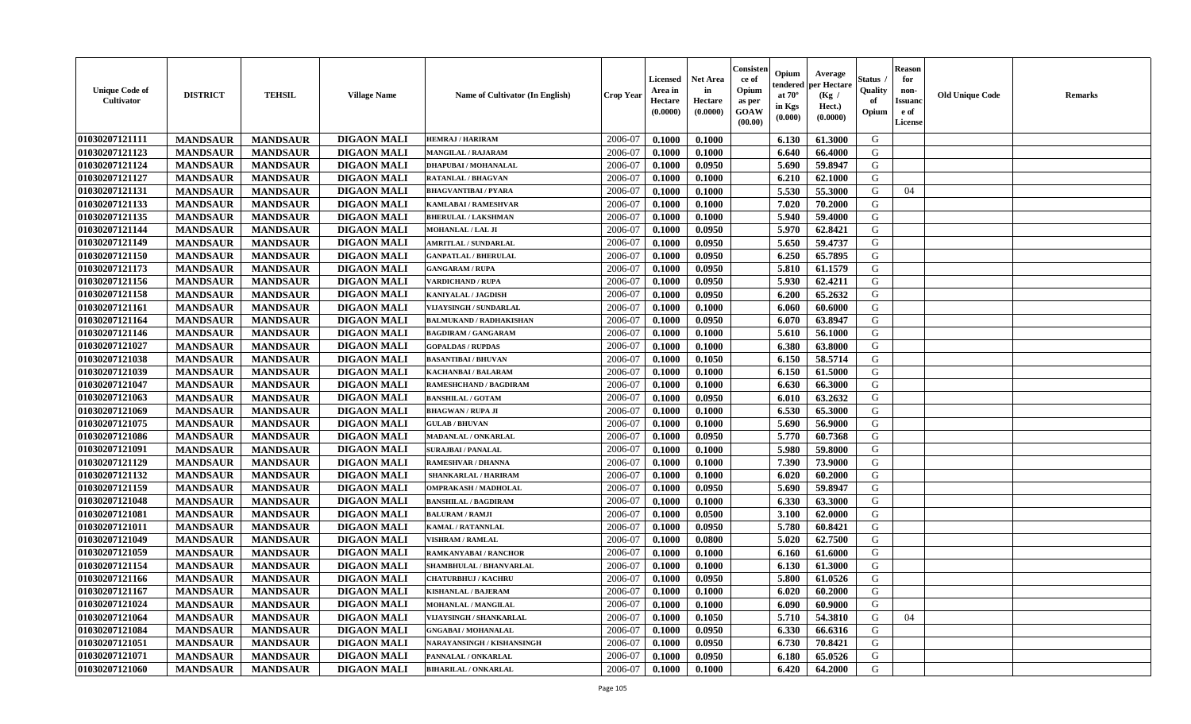| 01030207121111<br><b>DIGAON MALI</b><br>2006-07<br>G<br>0.1000<br>0.1000<br><b>MANDSAUR</b><br><b>MANDSAUR</b><br><b>HEMRAJ / HARIRAM</b><br>6.130<br>61.3000<br>01030207121123<br><b>DIGAON MALI</b><br><b>MANDSAUR</b><br>2006-07<br>G<br><b>MANDSAUR</b><br>0.1000<br>0.1000<br>6.640<br>66.4000<br>MANGILAL / RAJARAM<br>01030207121124<br><b>MANDSAUR</b><br><b>MANDSAUR</b><br><b>DIGAON MALI</b><br>0.0950<br>5.690<br>59.8947<br>G<br><b>DHAPUBAI/MOHANALAL</b><br>2006-07<br>0.1000<br>01030207121127<br><b>MANDSAUR</b><br>G<br><b>MANDSAUR</b><br><b>DIGAON MALI</b><br>2006-07<br>0.1000<br>0.1000<br>6.210<br>62.1000<br><b>RATANLAL / BHAGVAN</b><br>01030207121131<br><b>DIGAON MALI</b><br>5.530<br>55.3000<br><b>MANDSAUR</b><br><b>MANDSAUR</b><br>2006-07<br>0.1000<br>0.1000<br>G<br><b>BHAGVANTIBAI / PYARA</b><br>04<br>01030207121133<br><b>MANDSAUR</b><br><b>MANDSAUR</b><br><b>DIGAON MALI</b><br>0.1000<br>7.020<br>70.2000<br>G<br><b>KAMLABAI/RAMESHVAR</b><br>2006-07<br>0.1000<br>01030207121135<br><b>MANDSAUR</b><br><b>MANDSAUR</b><br><b>DIGAON MALI</b><br>0.1000<br>5.940<br>59.4000<br>G<br>2006-07<br>0.1000<br><b>BHERULAL / LAKSHMAN</b><br>01030207121144<br><b>DIGAON MALI</b><br>5.970<br>G<br><b>MANDSAUR</b><br><b>MANDSAUR</b><br>2006-07<br>0.1000<br>62.8421<br>MOHANLAL / LAL JI<br>0.0950<br>01030207121149<br><b>DIGAON MALI</b><br><b>MANDSAUR</b><br><b>MANDSAUR</b><br>2006-07<br>0.0950<br>5.650<br>59.4737<br>G<br><b>AMRITLAL / SUNDARLAL</b><br>0.1000<br>01030207121150<br><b>DIGAON MALI</b><br>G<br>2006-07<br>0.0950<br>6.250<br>65.7895<br><b>MANDSAUR</b><br>0.1000<br><b>MANDSAUR</b><br><b>GANPATLAL / BHERULAL</b><br>G<br>01030207121173<br><b>MANDSAUR</b><br><b>MANDSAUR</b><br><b>DIGAON MALI</b><br>0.0950<br>5.810<br>61.1579<br>2006-07<br>0.1000<br><b>GANGARAM / RUPA</b><br>01030207121156<br><b>MANDSAUR</b><br><b>MANDSAUR</b><br><b>DIGAON MALI</b><br>0.0950<br>5.930<br>62.4211<br>G<br><b>VARDICHAND / RUPA</b><br>2006-07<br>0.1000 | <b>Unique Code of</b><br><b>Cultivator</b> | <b>DISTRICT</b> | <b>TEHSIL</b>   | <b>Village Name</b> | Name of Cultivator (In English) | <b>Crop Year</b> | <b>Licensed</b><br>Area in<br>Hectare<br>(0.0000) | <b>Net Area</b><br>in<br>Hectare<br>(0.0000) | Consisteı<br>ce of<br>Opium<br>as per<br><b>GOAW</b><br>(00.00) | Opium<br>endered<br>at $70^\circ$<br>in Kgs<br>$(\mathbf{0.000})$ | Average<br>per Hectare<br>(Kg /<br>Hect.)<br>(0.0000) | Status<br>Quality<br>of<br>Opium | Reason<br>for<br>non-<br>Issuan<br>e of<br>License | <b>Old Unique Code</b> | <b>Remarks</b> |
|--------------------------------------------------------------------------------------------------------------------------------------------------------------------------------------------------------------------------------------------------------------------------------------------------------------------------------------------------------------------------------------------------------------------------------------------------------------------------------------------------------------------------------------------------------------------------------------------------------------------------------------------------------------------------------------------------------------------------------------------------------------------------------------------------------------------------------------------------------------------------------------------------------------------------------------------------------------------------------------------------------------------------------------------------------------------------------------------------------------------------------------------------------------------------------------------------------------------------------------------------------------------------------------------------------------------------------------------------------------------------------------------------------------------------------------------------------------------------------------------------------------------------------------------------------------------------------------------------------------------------------------------------------------------------------------------------------------------------------------------------------------------------------------------------------------------------------------------------------------------------------------------------------------------------------------------------------------------------------------------------------------------------|--------------------------------------------|-----------------|-----------------|---------------------|---------------------------------|------------------|---------------------------------------------------|----------------------------------------------|-----------------------------------------------------------------|-------------------------------------------------------------------|-------------------------------------------------------|----------------------------------|----------------------------------------------------|------------------------|----------------|
|                                                                                                                                                                                                                                                                                                                                                                                                                                                                                                                                                                                                                                                                                                                                                                                                                                                                                                                                                                                                                                                                                                                                                                                                                                                                                                                                                                                                                                                                                                                                                                                                                                                                                                                                                                                                                                                                                                                                                                                                                          |                                            |                 |                 |                     |                                 |                  |                                                   |                                              |                                                                 |                                                                   |                                                       |                                  |                                                    |                        |                |
|                                                                                                                                                                                                                                                                                                                                                                                                                                                                                                                                                                                                                                                                                                                                                                                                                                                                                                                                                                                                                                                                                                                                                                                                                                                                                                                                                                                                                                                                                                                                                                                                                                                                                                                                                                                                                                                                                                                                                                                                                          |                                            |                 |                 |                     |                                 |                  |                                                   |                                              |                                                                 |                                                                   |                                                       |                                  |                                                    |                        |                |
|                                                                                                                                                                                                                                                                                                                                                                                                                                                                                                                                                                                                                                                                                                                                                                                                                                                                                                                                                                                                                                                                                                                                                                                                                                                                                                                                                                                                                                                                                                                                                                                                                                                                                                                                                                                                                                                                                                                                                                                                                          |                                            |                 |                 |                     |                                 |                  |                                                   |                                              |                                                                 |                                                                   |                                                       |                                  |                                                    |                        |                |
|                                                                                                                                                                                                                                                                                                                                                                                                                                                                                                                                                                                                                                                                                                                                                                                                                                                                                                                                                                                                                                                                                                                                                                                                                                                                                                                                                                                                                                                                                                                                                                                                                                                                                                                                                                                                                                                                                                                                                                                                                          |                                            |                 |                 |                     |                                 |                  |                                                   |                                              |                                                                 |                                                                   |                                                       |                                  |                                                    |                        |                |
|                                                                                                                                                                                                                                                                                                                                                                                                                                                                                                                                                                                                                                                                                                                                                                                                                                                                                                                                                                                                                                                                                                                                                                                                                                                                                                                                                                                                                                                                                                                                                                                                                                                                                                                                                                                                                                                                                                                                                                                                                          |                                            |                 |                 |                     |                                 |                  |                                                   |                                              |                                                                 |                                                                   |                                                       |                                  |                                                    |                        |                |
|                                                                                                                                                                                                                                                                                                                                                                                                                                                                                                                                                                                                                                                                                                                                                                                                                                                                                                                                                                                                                                                                                                                                                                                                                                                                                                                                                                                                                                                                                                                                                                                                                                                                                                                                                                                                                                                                                                                                                                                                                          |                                            |                 |                 |                     |                                 |                  |                                                   |                                              |                                                                 |                                                                   |                                                       |                                  |                                                    |                        |                |
|                                                                                                                                                                                                                                                                                                                                                                                                                                                                                                                                                                                                                                                                                                                                                                                                                                                                                                                                                                                                                                                                                                                                                                                                                                                                                                                                                                                                                                                                                                                                                                                                                                                                                                                                                                                                                                                                                                                                                                                                                          |                                            |                 |                 |                     |                                 |                  |                                                   |                                              |                                                                 |                                                                   |                                                       |                                  |                                                    |                        |                |
|                                                                                                                                                                                                                                                                                                                                                                                                                                                                                                                                                                                                                                                                                                                                                                                                                                                                                                                                                                                                                                                                                                                                                                                                                                                                                                                                                                                                                                                                                                                                                                                                                                                                                                                                                                                                                                                                                                                                                                                                                          |                                            |                 |                 |                     |                                 |                  |                                                   |                                              |                                                                 |                                                                   |                                                       |                                  |                                                    |                        |                |
|                                                                                                                                                                                                                                                                                                                                                                                                                                                                                                                                                                                                                                                                                                                                                                                                                                                                                                                                                                                                                                                                                                                                                                                                                                                                                                                                                                                                                                                                                                                                                                                                                                                                                                                                                                                                                                                                                                                                                                                                                          |                                            |                 |                 |                     |                                 |                  |                                                   |                                              |                                                                 |                                                                   |                                                       |                                  |                                                    |                        |                |
|                                                                                                                                                                                                                                                                                                                                                                                                                                                                                                                                                                                                                                                                                                                                                                                                                                                                                                                                                                                                                                                                                                                                                                                                                                                                                                                                                                                                                                                                                                                                                                                                                                                                                                                                                                                                                                                                                                                                                                                                                          |                                            |                 |                 |                     |                                 |                  |                                                   |                                              |                                                                 |                                                                   |                                                       |                                  |                                                    |                        |                |
|                                                                                                                                                                                                                                                                                                                                                                                                                                                                                                                                                                                                                                                                                                                                                                                                                                                                                                                                                                                                                                                                                                                                                                                                                                                                                                                                                                                                                                                                                                                                                                                                                                                                                                                                                                                                                                                                                                                                                                                                                          |                                            |                 |                 |                     |                                 |                  |                                                   |                                              |                                                                 |                                                                   |                                                       |                                  |                                                    |                        |                |
|                                                                                                                                                                                                                                                                                                                                                                                                                                                                                                                                                                                                                                                                                                                                                                                                                                                                                                                                                                                                                                                                                                                                                                                                                                                                                                                                                                                                                                                                                                                                                                                                                                                                                                                                                                                                                                                                                                                                                                                                                          |                                            |                 |                 |                     |                                 |                  |                                                   |                                              |                                                                 |                                                                   |                                                       |                                  |                                                    |                        |                |
| 01030207121158                                                                                                                                                                                                                                                                                                                                                                                                                                                                                                                                                                                                                                                                                                                                                                                                                                                                                                                                                                                                                                                                                                                                                                                                                                                                                                                                                                                                                                                                                                                                                                                                                                                                                                                                                                                                                                                                                                                                                                                                           |                                            | <b>MANDSAUR</b> | <b>MANDSAUR</b> | <b>DIGAON MALI</b>  | KANIYALAL / JAGDISH             | 2006-07          | 0.1000                                            | 0.0950                                       |                                                                 | 6.200                                                             | 65.2632                                               | G                                |                                                    |                        |                |
| 01030207121161<br><b>MANDSAUR</b><br><b>MANDSAUR</b><br><b>DIGAON MALI</b><br>G<br>2006-07<br>0.1000<br>0.1000<br>6.060<br>60.6000<br><b>VIJAYSINGH / SUNDARLAL</b>                                                                                                                                                                                                                                                                                                                                                                                                                                                                                                                                                                                                                                                                                                                                                                                                                                                                                                                                                                                                                                                                                                                                                                                                                                                                                                                                                                                                                                                                                                                                                                                                                                                                                                                                                                                                                                                      |                                            |                 |                 |                     |                                 |                  |                                                   |                                              |                                                                 |                                                                   |                                                       |                                  |                                                    |                        |                |
| 01030207121164<br><b>MANDSAUR</b><br><b>DIGAON MALI</b><br>G<br><b>MANDSAUR</b><br>2006-07<br>0.1000<br>0.0950<br>6.070<br>63.8947<br><b>BALMUKAND / RADHAKISHAN</b>                                                                                                                                                                                                                                                                                                                                                                                                                                                                                                                                                                                                                                                                                                                                                                                                                                                                                                                                                                                                                                                                                                                                                                                                                                                                                                                                                                                                                                                                                                                                                                                                                                                                                                                                                                                                                                                     |                                            |                 |                 |                     |                                 |                  |                                                   |                                              |                                                                 |                                                                   |                                                       |                                  |                                                    |                        |                |
| <b>DIGAON MALI</b><br>G<br>01030207121146<br><b>MANDSAUR</b><br><b>MANDSAUR</b><br>2006-07<br>0.1000<br>0.1000<br>5.610<br>56.1000<br><b>BAGDIRAM / GANGARAM</b>                                                                                                                                                                                                                                                                                                                                                                                                                                                                                                                                                                                                                                                                                                                                                                                                                                                                                                                                                                                                                                                                                                                                                                                                                                                                                                                                                                                                                                                                                                                                                                                                                                                                                                                                                                                                                                                         |                                            |                 |                 |                     |                                 |                  |                                                   |                                              |                                                                 |                                                                   |                                                       |                                  |                                                    |                        |                |
| 01030207121027<br><b>MANDSAUR</b><br><b>DIGAON MALI</b><br>G<br><b>MANDSAUR</b><br>2006-07<br>0.1000<br>6.380<br>63.8000<br><b>GOPALDAS / RUPDAS</b><br>0.1000                                                                                                                                                                                                                                                                                                                                                                                                                                                                                                                                                                                                                                                                                                                                                                                                                                                                                                                                                                                                                                                                                                                                                                                                                                                                                                                                                                                                                                                                                                                                                                                                                                                                                                                                                                                                                                                           |                                            |                 |                 |                     |                                 |                  |                                                   |                                              |                                                                 |                                                                   |                                                       |                                  |                                                    |                        |                |
| 01030207121038<br><b>DIGAON MALI</b><br>G<br><b>MANDSAUR</b><br><b>MANDSAUR</b><br>2006-07<br>58.5714<br>0.1000<br>0.1050<br>6.150<br><b>BASANTIBAI / BHUVAN</b>                                                                                                                                                                                                                                                                                                                                                                                                                                                                                                                                                                                                                                                                                                                                                                                                                                                                                                                                                                                                                                                                                                                                                                                                                                                                                                                                                                                                                                                                                                                                                                                                                                                                                                                                                                                                                                                         |                                            |                 |                 |                     |                                 |                  |                                                   |                                              |                                                                 |                                                                   |                                                       |                                  |                                                    |                        |                |
| 01030207121039<br><b>MANDSAUR</b><br><b>DIGAON MALI</b><br>6.150<br>61.5000<br>G<br><b>MANDSAUR</b><br>2006-07<br>0.1000<br>0.1000<br>KACHANBAI / BALARAM                                                                                                                                                                                                                                                                                                                                                                                                                                                                                                                                                                                                                                                                                                                                                                                                                                                                                                                                                                                                                                                                                                                                                                                                                                                                                                                                                                                                                                                                                                                                                                                                                                                                                                                                                                                                                                                                |                                            |                 |                 |                     |                                 |                  |                                                   |                                              |                                                                 |                                                                   |                                                       |                                  |                                                    |                        |                |
| 01030207121047<br><b>MANDSAUR</b><br><b>MANDSAUR</b><br><b>DIGAON MALI</b><br>RAMESHCHAND / BAGDIRAM<br>2006-07<br>0.1000<br>0.1000<br>6.630<br>66.3000<br>G                                                                                                                                                                                                                                                                                                                                                                                                                                                                                                                                                                                                                                                                                                                                                                                                                                                                                                                                                                                                                                                                                                                                                                                                                                                                                                                                                                                                                                                                                                                                                                                                                                                                                                                                                                                                                                                             |                                            |                 |                 |                     |                                 |                  |                                                   |                                              |                                                                 |                                                                   |                                                       |                                  |                                                    |                        |                |
| 01030207121063<br>0.0950<br>G<br><b>MANDSAUR</b><br><b>MANDSAUR</b><br><b>DIGAON MALI</b><br>2006-07<br>0.1000<br>6.010<br>63.2632<br><b>BANSHILAL / GOTAM</b>                                                                                                                                                                                                                                                                                                                                                                                                                                                                                                                                                                                                                                                                                                                                                                                                                                                                                                                                                                                                                                                                                                                                                                                                                                                                                                                                                                                                                                                                                                                                                                                                                                                                                                                                                                                                                                                           |                                            |                 |                 |                     |                                 |                  |                                                   |                                              |                                                                 |                                                                   |                                                       |                                  |                                                    |                        |                |
| G<br><b>MANDSAUR</b><br><b>MANDSAUR</b><br><b>DIGAON MALI</b><br>6.530<br>01030207121069<br>2006-07<br>0.1000<br>0.1000<br>65.3000<br><b>BHAGWAN / RUPA JI</b>                                                                                                                                                                                                                                                                                                                                                                                                                                                                                                                                                                                                                                                                                                                                                                                                                                                                                                                                                                                                                                                                                                                                                                                                                                                                                                                                                                                                                                                                                                                                                                                                                                                                                                                                                                                                                                                           |                                            |                 |                 |                     |                                 |                  |                                                   |                                              |                                                                 |                                                                   |                                                       |                                  |                                                    |                        |                |
| 01030207121075<br><b>MANDSAUR</b><br><b>DIGAON MALI</b><br>G<br><b>MANDSAUR</b><br>2006-07<br>0.1000<br>0.1000<br>5.690<br>56.9000<br><b>GULAB / BHUVAN</b>                                                                                                                                                                                                                                                                                                                                                                                                                                                                                                                                                                                                                                                                                                                                                                                                                                                                                                                                                                                                                                                                                                                                                                                                                                                                                                                                                                                                                                                                                                                                                                                                                                                                                                                                                                                                                                                              |                                            |                 |                 |                     |                                 |                  |                                                   |                                              |                                                                 |                                                                   |                                                       |                                  |                                                    |                        |                |
| 01030207121086<br><b>DIGAON MALI</b><br>G<br><b>MANDSAUR</b><br>2006-07<br>0.0950<br>5.770<br>60.7368<br><b>MANDSAUR</b><br>0.1000<br>MADANLAL / ONKARLAL                                                                                                                                                                                                                                                                                                                                                                                                                                                                                                                                                                                                                                                                                                                                                                                                                                                                                                                                                                                                                                                                                                                                                                                                                                                                                                                                                                                                                                                                                                                                                                                                                                                                                                                                                                                                                                                                |                                            |                 |                 |                     |                                 |                  |                                                   |                                              |                                                                 |                                                                   |                                                       |                                  |                                                    |                        |                |
| 01030207121091<br><b>MANDSAUR</b><br><b>DIGAON MALI</b><br>G<br><b>MANDSAUR</b><br>2006-07<br>5.980<br><b>SURAJBAI / PANALAL</b><br>0.1000<br>0.1000<br>59.8000                                                                                                                                                                                                                                                                                                                                                                                                                                                                                                                                                                                                                                                                                                                                                                                                                                                                                                                                                                                                                                                                                                                                                                                                                                                                                                                                                                                                                                                                                                                                                                                                                                                                                                                                                                                                                                                          |                                            |                 |                 |                     |                                 |                  |                                                   |                                              |                                                                 |                                                                   |                                                       |                                  |                                                    |                        |                |
| 01030207121129<br><b>DIGAON MALI</b><br>G<br><b>MANDSAUR</b><br>2006-07<br>7.390<br>73.9000<br><b>MANDSAUR</b><br><b>RAMESHVAR / DHANNA</b><br>0.1000<br>0.1000                                                                                                                                                                                                                                                                                                                                                                                                                                                                                                                                                                                                                                                                                                                                                                                                                                                                                                                                                                                                                                                                                                                                                                                                                                                                                                                                                                                                                                                                                                                                                                                                                                                                                                                                                                                                                                                          |                                            |                 |                 |                     |                                 |                  |                                                   |                                              |                                                                 |                                                                   |                                                       |                                  |                                                    |                        |                |
| 01030207121132<br><b>MANDSAUR</b><br><b>MANDSAUR</b><br><b>DIGAON MALI</b><br>2006-07<br>0.1000<br>0.1000<br>6.020<br>60.2000<br>G<br>SHANKARLAL / HARIRAM                                                                                                                                                                                                                                                                                                                                                                                                                                                                                                                                                                                                                                                                                                                                                                                                                                                                                                                                                                                                                                                                                                                                                                                                                                                                                                                                                                                                                                                                                                                                                                                                                                                                                                                                                                                                                                                               |                                            |                 |                 |                     |                                 |                  |                                                   |                                              |                                                                 |                                                                   |                                                       |                                  |                                                    |                        |                |
| G<br>01030207121159<br><b>MANDSAUR</b><br><b>MANDSAUR</b><br><b>DIGAON MALI</b><br>0.0950<br>5.690<br>59.8947<br>2006-07<br>0.1000<br>OMPRAKASH / MADHOLAL                                                                                                                                                                                                                                                                                                                                                                                                                                                                                                                                                                                                                                                                                                                                                                                                                                                                                                                                                                                                                                                                                                                                                                                                                                                                                                                                                                                                                                                                                                                                                                                                                                                                                                                                                                                                                                                               |                                            |                 |                 |                     |                                 |                  |                                                   |                                              |                                                                 |                                                                   |                                                       |                                  |                                                    |                        |                |
| 01030207121048<br><b>MANDSAUR</b><br><b>MANDSAUR</b><br><b>DIGAON MALI</b><br>2006-07<br>6.330<br>63.3000<br>G<br>0.1000<br>0.1000<br><b>BANSHILAL / BAGDIRAM</b>                                                                                                                                                                                                                                                                                                                                                                                                                                                                                                                                                                                                                                                                                                                                                                                                                                                                                                                                                                                                                                                                                                                                                                                                                                                                                                                                                                                                                                                                                                                                                                                                                                                                                                                                                                                                                                                        |                                            |                 |                 |                     |                                 |                  |                                                   |                                              |                                                                 |                                                                   |                                                       |                                  |                                                    |                        |                |
| 01030207121081<br><b>MANDSAUR</b><br><b>MANDSAUR</b><br><b>DIGAON MALI</b><br>3.100<br>G<br>2006-07<br>0.1000<br>0.0500<br>62.0000<br><b>BALURAM / RAMJI</b>                                                                                                                                                                                                                                                                                                                                                                                                                                                                                                                                                                                                                                                                                                                                                                                                                                                                                                                                                                                                                                                                                                                                                                                                                                                                                                                                                                                                                                                                                                                                                                                                                                                                                                                                                                                                                                                             |                                            |                 |                 |                     |                                 |                  |                                                   |                                              |                                                                 |                                                                   |                                                       |                                  |                                                    |                        |                |
| 01030207121011<br><b>MANDSAUR</b><br><b>MANDSAUR</b><br><b>DIGAON MALI</b><br>0.0950<br>5.780<br>60.8421<br><b>KAMAL / RATANNLAL</b><br>2006-07<br>0.1000<br>G                                                                                                                                                                                                                                                                                                                                                                                                                                                                                                                                                                                                                                                                                                                                                                                                                                                                                                                                                                                                                                                                                                                                                                                                                                                                                                                                                                                                                                                                                                                                                                                                                                                                                                                                                                                                                                                           |                                            |                 |                 |                     |                                 |                  |                                                   |                                              |                                                                 |                                                                   |                                                       |                                  |                                                    |                        |                |
| 01030207121049<br><b>DIGAON MALI</b><br>G<br>2006-07<br>62.7500<br><b>MANDSAUR</b><br><b>MANDSAUR</b><br>0.0800<br>5.020<br><b>VISHRAM / RAMLAL</b><br>0.1000                                                                                                                                                                                                                                                                                                                                                                                                                                                                                                                                                                                                                                                                                                                                                                                                                                                                                                                                                                                                                                                                                                                                                                                                                                                                                                                                                                                                                                                                                                                                                                                                                                                                                                                                                                                                                                                            |                                            |                 |                 |                     |                                 |                  |                                                   |                                              |                                                                 |                                                                   |                                                       |                                  |                                                    |                        |                |
| 01030207121059<br><b>DIGAON MALI</b><br>G<br>2006-07<br><b>MANDSAUR</b><br><b>MANDSAUR</b><br>0.1000<br>0.1000<br>6.160<br>61.6000<br>RAMKANYABAI / RANCHOR                                                                                                                                                                                                                                                                                                                                                                                                                                                                                                                                                                                                                                                                                                                                                                                                                                                                                                                                                                                                                                                                                                                                                                                                                                                                                                                                                                                                                                                                                                                                                                                                                                                                                                                                                                                                                                                              |                                            |                 |                 |                     |                                 |                  |                                                   |                                              |                                                                 |                                                                   |                                                       |                                  |                                                    |                        |                |
| 01030207121154<br><b>MANDSAUR</b><br><b>DIGAON MALI</b><br>2006-07<br>61.3000<br>G<br><b>MANDSAUR</b><br>SHAMBHULAL / BHANVARLAL<br>0.1000<br>0.1000<br>6.130                                                                                                                                                                                                                                                                                                                                                                                                                                                                                                                                                                                                                                                                                                                                                                                                                                                                                                                                                                                                                                                                                                                                                                                                                                                                                                                                                                                                                                                                                                                                                                                                                                                                                                                                                                                                                                                            |                                            |                 |                 |                     |                                 |                  |                                                   |                                              |                                                                 |                                                                   |                                                       |                                  |                                                    |                        |                |
| 01030207121166<br>0.0950<br>5.800<br>G<br><b>MANDSAUR</b><br><b>MANDSAUR</b><br><b>DIGAON MALI</b><br>2006-07<br>0.1000<br>61.0526<br><b>CHATURBHUJ / KACHRU</b>                                                                                                                                                                                                                                                                                                                                                                                                                                                                                                                                                                                                                                                                                                                                                                                                                                                                                                                                                                                                                                                                                                                                                                                                                                                                                                                                                                                                                                                                                                                                                                                                                                                                                                                                                                                                                                                         |                                            |                 |                 |                     |                                 |                  |                                                   |                                              |                                                                 |                                                                   |                                                       |                                  |                                                    |                        |                |
| <b>01030207121167</b><br><b>DIGAON MALI</b><br>0.1000<br>60.2000<br>G<br><b>MANDSAUR</b><br><b>MANDSAUR</b><br><b>KISHANLAL / BAJERAM</b><br>2006-07<br>0.1000<br>$6.020$                                                                                                                                                                                                                                                                                                                                                                                                                                                                                                                                                                                                                                                                                                                                                                                                                                                                                                                                                                                                                                                                                                                                                                                                                                                                                                                                                                                                                                                                                                                                                                                                                                                                                                                                                                                                                                                |                                            |                 |                 |                     |                                 |                  |                                                   |                                              |                                                                 |                                                                   |                                                       |                                  |                                                    |                        |                |
| 01030207121024<br><b>MANDSAUR</b><br><b>DIGAON MALI</b><br>2006-07<br>0.1000<br>0.1000<br>6.090<br>60.9000<br>G<br><b>MANDSAUR</b><br>MOHANLAL / MANGILAL                                                                                                                                                                                                                                                                                                                                                                                                                                                                                                                                                                                                                                                                                                                                                                                                                                                                                                                                                                                                                                                                                                                                                                                                                                                                                                                                                                                                                                                                                                                                                                                                                                                                                                                                                                                                                                                                |                                            |                 |                 |                     |                                 |                  |                                                   |                                              |                                                                 |                                                                   |                                                       |                                  |                                                    |                        |                |
| 0.1050<br>01030207121064<br><b>MANDSAUR</b><br><b>MANDSAUR</b><br><b>DIGAON MALI</b><br>2006-07<br>5.710<br>54.3810<br>G<br>04<br>VIJAYSINGH / SHANKARLAL<br>0.1000                                                                                                                                                                                                                                                                                                                                                                                                                                                                                                                                                                                                                                                                                                                                                                                                                                                                                                                                                                                                                                                                                                                                                                                                                                                                                                                                                                                                                                                                                                                                                                                                                                                                                                                                                                                                                                                      |                                            |                 |                 |                     |                                 |                  |                                                   |                                              |                                                                 |                                                                   |                                                       |                                  |                                                    |                        |                |
| 01030207121084<br><b>MANDSAUR</b><br><b>MANDSAUR</b><br><b>DIGAON MALI</b><br>0.0950<br>G<br>2006-07<br>0.1000<br>6.330<br>66.6316<br><b>GNGABAI/MOHANALAL</b>                                                                                                                                                                                                                                                                                                                                                                                                                                                                                                                                                                                                                                                                                                                                                                                                                                                                                                                                                                                                                                                                                                                                                                                                                                                                                                                                                                                                                                                                                                                                                                                                                                                                                                                                                                                                                                                           |                                            |                 |                 |                     |                                 |                  |                                                   |                                              |                                                                 |                                                                   |                                                       |                                  |                                                    |                        |                |
| 01030207121051<br>G<br><b>MANDSAUR</b><br><b>MANDSAUR</b><br><b>DIGAON MALI</b><br>2006-07<br>0.0950<br>6.730<br>70.8421<br>NARAYANSINGH / KISHANSINGH<br>0.1000                                                                                                                                                                                                                                                                                                                                                                                                                                                                                                                                                                                                                                                                                                                                                                                                                                                                                                                                                                                                                                                                                                                                                                                                                                                                                                                                                                                                                                                                                                                                                                                                                                                                                                                                                                                                                                                         |                                            |                 |                 |                     |                                 |                  |                                                   |                                              |                                                                 |                                                                   |                                                       |                                  |                                                    |                        |                |
| 01030207121071<br><b>DIGAON MALI</b><br>2006-07<br>G<br><b>MANDSAUR</b><br><b>MANDSAUR</b><br>PANNALAL / ONKARLAL<br>0.0950<br>6.180<br>65.0526<br>0.1000                                                                                                                                                                                                                                                                                                                                                                                                                                                                                                                                                                                                                                                                                                                                                                                                                                                                                                                                                                                                                                                                                                                                                                                                                                                                                                                                                                                                                                                                                                                                                                                                                                                                                                                                                                                                                                                                |                                            |                 |                 |                     |                                 |                  |                                                   |                                              |                                                                 |                                                                   |                                                       |                                  |                                                    |                        |                |
| 01030207121060<br><b>DIGAON MALI</b><br>G<br><b>MANDSAUR</b><br><b>BIHARILAL / ONKARLAL</b><br>2006-07<br>64.2000<br><b>MANDSAUR</b><br>0.1000<br>0.1000<br>6.420                                                                                                                                                                                                                                                                                                                                                                                                                                                                                                                                                                                                                                                                                                                                                                                                                                                                                                                                                                                                                                                                                                                                                                                                                                                                                                                                                                                                                                                                                                                                                                                                                                                                                                                                                                                                                                                        |                                            |                 |                 |                     |                                 |                  |                                                   |                                              |                                                                 |                                                                   |                                                       |                                  |                                                    |                        |                |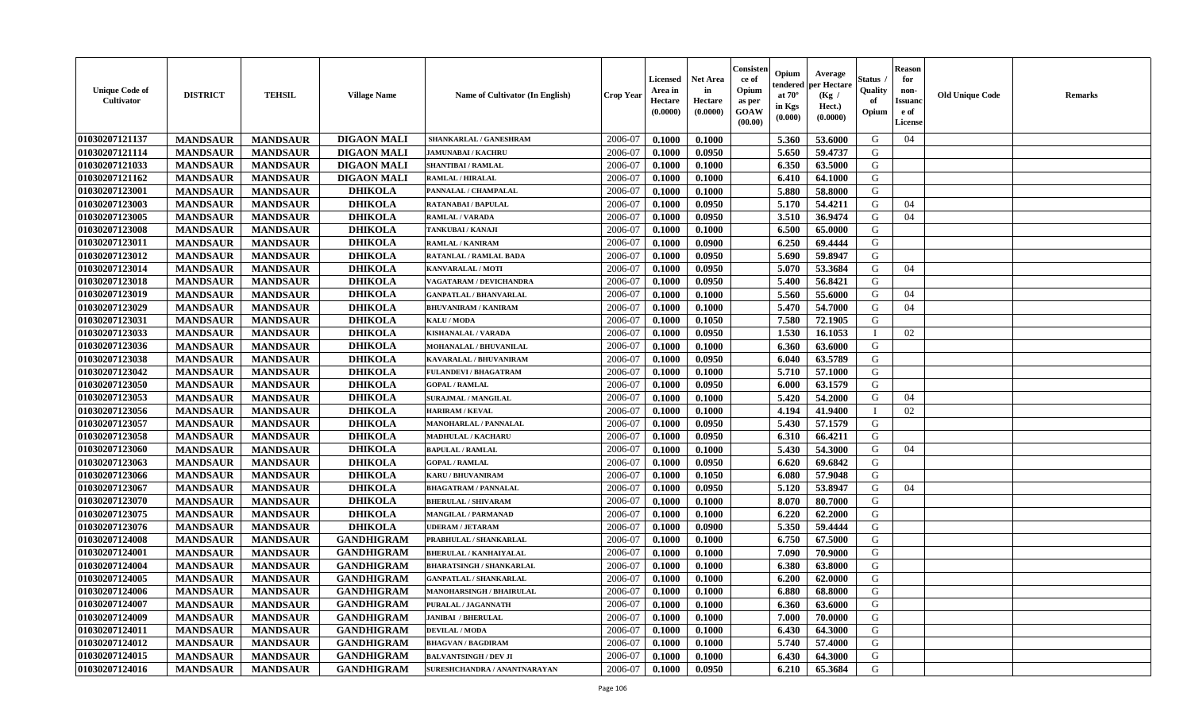| <b>Unique Code of</b><br><b>Cultivator</b> | <b>DISTRICT</b> | <b>TEHSIL</b>   | <b>Village Name</b> | <b>Name of Cultivator (In English)</b> | <b>Crop Year</b> | <b>Licensed</b><br>Area in<br>Hectare<br>(0.0000) | <b>Net Area</b><br>in<br>Hectare<br>(0.0000) | Consister<br>ce of<br>Opium<br>as per<br><b>GOAW</b><br>(00.00) | Opium<br>endered<br>at $70^\circ$<br>in Kgs<br>$(\mathbf{0.000})$ | Average<br>per Hectare<br>(Kg /<br>Hect.)<br>(0.0000) | Status<br>Quality<br>of<br>Opium | <b>Reason</b><br>for<br>non-<br><b>Issuano</b><br>e of<br>License | <b>Old Unique Code</b> | <b>Remarks</b> |
|--------------------------------------------|-----------------|-----------------|---------------------|----------------------------------------|------------------|---------------------------------------------------|----------------------------------------------|-----------------------------------------------------------------|-------------------------------------------------------------------|-------------------------------------------------------|----------------------------------|-------------------------------------------------------------------|------------------------|----------------|
| 01030207121137                             | <b>MANDSAUR</b> | <b>MANDSAUR</b> | <b>DIGAON MALI</b>  | SHANKARLAL / GANESHRAM                 | 2006-07          | 0.1000                                            | 0.1000                                       |                                                                 | 5.360                                                             | 53.6000                                               | G                                | 04                                                                |                        |                |
| 01030207121114                             | <b>MANDSAUR</b> | <b>MANDSAUR</b> | <b>DIGAON MALI</b>  | <b>JAMUNABAI / KACHRU</b>              | 2006-07          | 0.1000                                            | 0.0950                                       |                                                                 | 5.650                                                             | 59,4737                                               | G                                |                                                                   |                        |                |
| 01030207121033                             | <b>MANDSAUR</b> | <b>MANDSAUR</b> | <b>DIGAON MALI</b>  | <b>SHANTIBAI / RAMLAL</b>              | 2006-07          | 0.1000                                            | 0.1000                                       |                                                                 | 6.350                                                             | 63.5000                                               | G                                |                                                                   |                        |                |
| 01030207121162                             | <b>MANDSAUR</b> | <b>MANDSAUR</b> | <b>DIGAON MALI</b>  | <b>RAMLAL / HIRALAL</b>                | 2006-07          | 0.1000                                            | 0.1000                                       |                                                                 | 6.410                                                             | 64.1000                                               | G                                |                                                                   |                        |                |
| 01030207123001                             | <b>MANDSAUR</b> | <b>MANDSAUR</b> | <b>DHIKOLA</b>      | PANNALAL / CHAMPALAL                   | 2006-07          | 0.1000                                            | 0.1000                                       |                                                                 | 5.880                                                             | 58.8000                                               | G                                |                                                                   |                        |                |
| 01030207123003                             | <b>MANDSAUR</b> | <b>MANDSAUR</b> | <b>DHIKOLA</b>      | <b>RATANABAI/BAPULAL</b>               | 2006-07          | 0.1000                                            | 0.0950                                       |                                                                 | 5.170                                                             | 54,4211                                               | G                                | 04                                                                |                        |                |
| 01030207123005                             | <b>MANDSAUR</b> | <b>MANDSAUR</b> | <b>DHIKOLA</b>      | <b>RAMLAL / VARADA</b>                 | 2006-07          | 0.1000                                            | 0.0950                                       |                                                                 | 3.510                                                             | 36.9474                                               | G                                | 04                                                                |                        |                |
| 01030207123008                             | <b>MANDSAUR</b> | <b>MANDSAUR</b> | <b>DHIKOLA</b>      | TANKUBAI / KANAJI                      | 2006-07          | 0.1000                                            | 0.1000                                       |                                                                 | 6.500                                                             | 65.0000                                               | G                                |                                                                   |                        |                |
| 01030207123011                             | <b>MANDSAUR</b> | <b>MANDSAUR</b> | <b>DHIKOLA</b>      | <b>RAMLAL / KANIRAM</b>                | 2006-07          | 0.1000                                            | 0.0900                                       |                                                                 | 6.250                                                             | 69.4444                                               | G                                |                                                                   |                        |                |
| 01030207123012                             | <b>MANDSAUR</b> | <b>MANDSAUR</b> | <b>DHIKOLA</b>      | RATANLAL / RAMLAL BADA                 | 2006-07          | 0.1000                                            | 0.0950                                       |                                                                 | 5.690                                                             | 59.8947                                               | G                                |                                                                   |                        |                |
| 01030207123014                             | <b>MANDSAUR</b> | <b>MANDSAUR</b> | <b>DHIKOLA</b>      | KANVARALAL / MOTI                      | 2006-07          | 0.1000                                            | 0.0950                                       |                                                                 | 5.070                                                             | 53.3684                                               | G                                | 04                                                                |                        |                |
| 01030207123018                             | <b>MANDSAUR</b> | <b>MANDSAUR</b> | <b>DHIKOLA</b>      | VAGATARAM / DEVICHANDRA                | 2006-07          | 0.1000                                            | 0.0950                                       |                                                                 | 5.400                                                             | 56.8421                                               | G                                |                                                                   |                        |                |
| 01030207123019                             | <b>MANDSAUR</b> | <b>MANDSAUR</b> | <b>DHIKOLA</b>      | <b>GANPATLAL / BHANVARLAL</b>          | 2006-07          | 0.1000                                            | 0.1000                                       |                                                                 | 5.560                                                             | 55.6000                                               | G                                | 04                                                                |                        |                |
| 01030207123029                             | <b>MANDSAUR</b> | <b>MANDSAUR</b> | <b>DHIKOLA</b>      | <b>BHUVANIRAM / KANIRAM</b>            | 2006-07          | 0.1000                                            | 0.1000                                       |                                                                 | 5.470                                                             | 54.7000                                               | G                                | 04                                                                |                        |                |
| 01030207123031                             | <b>MANDSAUR</b> | <b>MANDSAUR</b> | <b>DHIKOLA</b>      | KALU / MODA                            | 2006-07          | 0.1000                                            | 0.1050                                       |                                                                 | 7.580                                                             | 72.1905                                               | G                                |                                                                   |                        |                |
| 01030207123033                             | <b>MANDSAUR</b> | <b>MANDSAUR</b> | <b>DHIKOLA</b>      | KISHANALAL / VARADA                    | 2006-07          | 0.1000                                            | 0.0950                                       |                                                                 | 1.530                                                             | 16.1053                                               | П                                | 02                                                                |                        |                |
| 01030207123036                             | <b>MANDSAUR</b> | <b>MANDSAUR</b> | <b>DHIKOLA</b>      | MOHANALAL / BHUVANILAL                 | 2006-07          | 0.1000                                            | 0.1000                                       |                                                                 | 6.360                                                             | 63.6000                                               | G                                |                                                                   |                        |                |
| 01030207123038                             | <b>MANDSAUR</b> | <b>MANDSAUR</b> | <b>DHIKOLA</b>      | <b>KAVARALAL / BHUVANIRAM</b>          | 2006-07          | 0.1000                                            | 0.0950                                       |                                                                 | 6.040                                                             | 63.5789                                               | G                                |                                                                   |                        |                |
| 01030207123042                             | <b>MANDSAUR</b> | <b>MANDSAUR</b> | <b>DHIKOLA</b>      | <b>FULANDEVI / BHAGATRAM</b>           | 2006-07          | 0.1000                                            | 0.1000                                       |                                                                 | 5.710                                                             | 57.1000                                               | G                                |                                                                   |                        |                |
| 01030207123050                             | <b>MANDSAUR</b> | <b>MANDSAUR</b> | <b>DHIKOLA</b>      | <b>GOPAL / RAMLAL</b>                  | 2006-07          | 0.1000                                            | 0.0950                                       |                                                                 | 6.000                                                             | 63.1579                                               | G                                |                                                                   |                        |                |
| 01030207123053                             | <b>MANDSAUR</b> | <b>MANDSAUR</b> | <b>DHIKOLA</b>      | SURAJMAL / MANGILAL                    | 2006-07          | 0.1000                                            | 0.1000                                       |                                                                 | 5.420                                                             | 54.2000                                               | G                                | 04                                                                |                        |                |
| 01030207123056                             | <b>MANDSAUR</b> | <b>MANDSAUR</b> | <b>DHIKOLA</b>      | <b>HARIRAM / KEVAL</b>                 | 2006-07          | 0.1000                                            | 0.1000                                       |                                                                 | 4.194                                                             | 41.9400                                               |                                  | 02                                                                |                        |                |
| 01030207123057                             | <b>MANDSAUR</b> | <b>MANDSAUR</b> | <b>DHIKOLA</b>      | <b>MANOHARLAL / PANNALAL</b>           | 2006-07          | 0.1000                                            | 0.0950                                       |                                                                 | 5.430                                                             | 57.1579                                               | G                                |                                                                   |                        |                |
| 01030207123058                             | <b>MANDSAUR</b> | <b>MANDSAUR</b> | <b>DHIKOLA</b>      | <b>MADHULAL / KACHARU</b>              | 2006-07          | 0.1000                                            | 0.0950                                       |                                                                 | 6.310                                                             | 66.4211                                               | G                                |                                                                   |                        |                |
| 01030207123060                             | <b>MANDSAUR</b> | <b>MANDSAUR</b> | <b>DHIKOLA</b>      | <b>BAPULAL / RAMLAL</b>                | 2006-07          | 0.1000                                            | 0.1000                                       |                                                                 | 5.430                                                             | 54.3000                                               | G                                | 04                                                                |                        |                |
| 01030207123063                             | <b>MANDSAUR</b> | <b>MANDSAUR</b> | <b>DHIKOLA</b>      | <b>GOPAL / RAMLAL</b>                  | 2006-07          | 0.1000                                            | 0.0950                                       |                                                                 | 6.620                                                             | 69.6842                                               | G                                |                                                                   |                        |                |
| 01030207123066                             | <b>MANDSAUR</b> | <b>MANDSAUR</b> | <b>DHIKOLA</b>      | KARU / BHUVANIRAM                      | 2006-07          | 0.1000                                            | 0.1050                                       |                                                                 | 6.080                                                             | 57.9048                                               | G                                |                                                                   |                        |                |
| 01030207123067                             | <b>MANDSAUR</b> | <b>MANDSAUR</b> | <b>DHIKOLA</b>      | <b>BHAGATRAM / PANNALAL</b>            | 2006-07          | 0.1000                                            | 0.0950                                       |                                                                 | 5.120                                                             | 53.8947                                               | G                                | 04                                                                |                        |                |
| 01030207123070                             | <b>MANDSAUR</b> | <b>MANDSAUR</b> | <b>DHIKOLA</b>      | <b>BHERULAL / SHIVARAM</b>             | 2006-07          | 0.1000                                            | 0.1000                                       |                                                                 | 8.070                                                             | 80.7000                                               | G                                |                                                                   |                        |                |
| 01030207123075                             | <b>MANDSAUR</b> | <b>MANDSAUR</b> | <b>DHIKOLA</b>      | <b>MANGILAL / PARMANAD</b>             | 2006-07          | 0.1000                                            | 0.1000                                       |                                                                 | 6.220                                                             | 62.2000                                               | G                                |                                                                   |                        |                |
| 01030207123076                             | <b>MANDSAUR</b> | <b>MANDSAUR</b> | <b>DHIKOLA</b>      | <b>UDERAM / JETARAM</b>                | 2006-07          | 0.1000                                            | 0.0900                                       |                                                                 | 5.350                                                             | 59.4444                                               | G                                |                                                                   |                        |                |
| 01030207124008                             | <b>MANDSAUR</b> | <b>MANDSAUR</b> | <b>GANDHIGRAM</b>   | PRABHULAL / SHANKARLAL                 | 2006-07          | 0.1000                                            | 0.1000                                       |                                                                 | 6.750                                                             | 67.5000                                               | G                                |                                                                   |                        |                |
| 01030207124001                             | <b>MANDSAUR</b> | <b>MANDSAUR</b> | <b>GANDHIGRAM</b>   | BHERULAL / KANHAIYALAL                 | 2006-07          | 0.1000                                            | 0.1000                                       |                                                                 | 7.090                                                             | 70.9000                                               | G                                |                                                                   |                        |                |
| 01030207124004                             | <b>MANDSAUR</b> | <b>MANDSAUR</b> | <b>GANDHIGRAM</b>   | <b>BHARATSINGH / SHANKARLAL</b>        | 2006-07          | 0.1000                                            | 0.1000                                       |                                                                 | 6.380                                                             | 63.8000                                               | G                                |                                                                   |                        |                |
| 01030207124005                             | <b>MANDSAUR</b> | <b>MANDSAUR</b> | <b>GANDHIGRAM</b>   | <b>GANPATLAL / SHANKARLAL</b>          | 2006-07          | 0.1000                                            | 0.1000                                       |                                                                 | 6.200                                                             | 62.0000                                               | G                                |                                                                   |                        |                |
| 01030207124006                             | <b>MANDSAUR</b> | <b>MANDSAUR</b> | <b>GANDHIGRAM</b>   | <b>MANOHARSINGH / BHAIRULAL</b>        | 2006-07          | 0.1000                                            | 0.1000                                       |                                                                 | 6.880                                                             | 68.8000                                               | G                                |                                                                   |                        |                |
| 01030207124007                             | <b>MANDSAUR</b> | <b>MANDSAUR</b> | <b>GANDHIGRAM</b>   | PURALAL / JAGANNATH                    | 2006-07          | 0.1000                                            | 0.1000                                       |                                                                 | 6.360                                                             | 63.6000                                               | G                                |                                                                   |                        |                |
| 01030207124009                             | <b>MANDSAUR</b> | <b>MANDSAUR</b> | <b>GANDHIGRAM</b>   | <b>JANIBAI / BHERULAL</b>              | 2006-07          | 0.1000                                            | 0.1000                                       |                                                                 | 7.000                                                             | 70.0000                                               | G                                |                                                                   |                        |                |
| 01030207124011                             | <b>MANDSAUR</b> | <b>MANDSAUR</b> | <b>GANDHIGRAM</b>   | <b>DEVILAL / MODA</b>                  | 2006-07          | 0.1000                                            | 0.1000                                       |                                                                 | 6.430                                                             | 64.3000                                               | G                                |                                                                   |                        |                |
| 01030207124012                             | <b>MANDSAUR</b> | <b>MANDSAUR</b> | <b>GANDHIGRAM</b>   | <b>BHAGVAN / BAGDIRAM</b>              | 2006-07          | 0.1000                                            | 0.1000                                       |                                                                 | 5.740                                                             | 57.4000                                               | G                                |                                                                   |                        |                |
| 01030207124015                             | <b>MANDSAUR</b> | <b>MANDSAUR</b> | <b>GANDHIGRAM</b>   | <b>BALVANTSINGH / DEV JI</b>           | 2006-07          | 0.1000                                            | 0.1000                                       |                                                                 | 6.430                                                             | 64.3000                                               | G                                |                                                                   |                        |                |
| 01030207124016                             | <b>MANDSAUR</b> | <b>MANDSAUR</b> | <b>GANDHIGRAM</b>   | SURESHCHANDRA / ANANTNARAYAN           | 2006-07          | 0.1000                                            | 0.0950                                       |                                                                 | 6.210                                                             | 65.3684                                               | G                                |                                                                   |                        |                |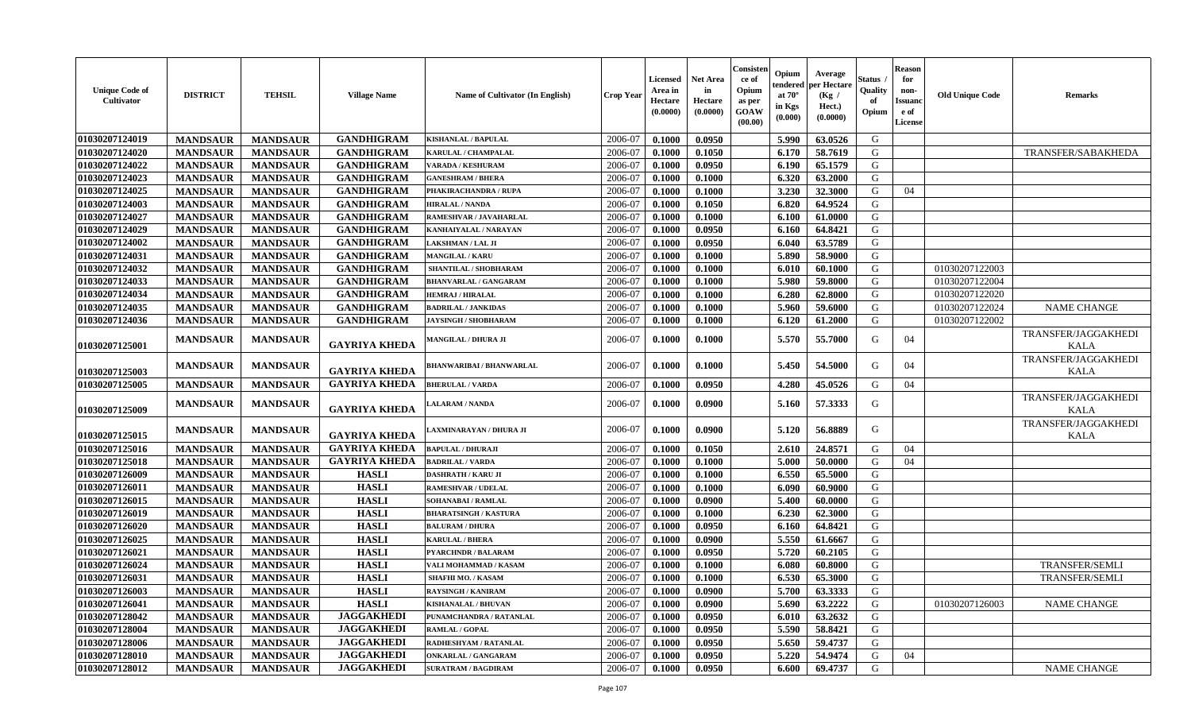| <b>Unique Code of</b><br><b>Cultivator</b> | <b>DISTRICT</b> | <b>TEHSIL</b>   | <b>Village Name</b>  | Name of Cultivator (In English) | <b>Crop Year</b> | <b>Licensed</b><br>Area in<br>Hectare<br>(0.0000) | <b>Net Area</b><br>in<br>Hectare<br>(0.0000) | Consisteı<br>ce of<br>Opium<br>as per<br><b>GOAW</b><br>(00.00) | Opium<br>endered<br>at $70^\circ$<br>in Kgs<br>(0.000) | Average<br>per Hectare<br>(Kg /<br>Hect.)<br>(0.0000) | Status<br>Quality<br>of<br>Opium | <b>Reason</b><br>for<br>non-<br>Issuan<br>e of<br>License | <b>Old Unique Code</b> | <b>Remarks</b>                     |
|--------------------------------------------|-----------------|-----------------|----------------------|---------------------------------|------------------|---------------------------------------------------|----------------------------------------------|-----------------------------------------------------------------|--------------------------------------------------------|-------------------------------------------------------|----------------------------------|-----------------------------------------------------------|------------------------|------------------------------------|
| 01030207124019                             | <b>MANDSAUR</b> | <b>MANDSAUR</b> | <b>GANDHIGRAM</b>    | <b>KISHANLAL / BAPULAL</b>      | 2006-07          | 0.1000                                            | 0.0950                                       |                                                                 | 5.990                                                  | 63.0526                                               | G                                |                                                           |                        |                                    |
| 01030207124020                             | <b>MANDSAUR</b> | <b>MANDSAUR</b> | <b>GANDHIGRAM</b>    | KARULAL / CHAMPALAL             | 2006-07          | 0.1000                                            | 0.1050                                       |                                                                 | 6.170                                                  | 58.7619                                               | G                                |                                                           |                        | TRANSFER/SABAKHEDA                 |
| 01030207124022                             | <b>MANDSAUR</b> | <b>MANDSAUR</b> | <b>GANDHIGRAM</b>    | VARADA / KESHURAM               | 2006-07          | 0.1000                                            | 0.0950                                       |                                                                 | 6.190                                                  | 65.1579                                               | G                                |                                                           |                        |                                    |
| 01030207124023                             | <b>MANDSAUR</b> | <b>MANDSAUR</b> | <b>GANDHIGRAM</b>    | <b>GANESHRAM / BHERA</b>        | 2006-07          | 0.1000                                            | 0.1000                                       |                                                                 | 6.320                                                  | 63.2000                                               | G                                |                                                           |                        |                                    |
| 01030207124025                             | <b>MANDSAUR</b> | <b>MANDSAUR</b> | <b>GANDHIGRAM</b>    | PHAKIRACHANDRA / RUPA           | 2006-07          | 0.1000                                            | 0.1000                                       |                                                                 | 3.230                                                  | 32.3000                                               | G                                | 04                                                        |                        |                                    |
| 01030207124003                             | <b>MANDSAUR</b> | <b>MANDSAUR</b> | <b>GANDHIGRAM</b>    | <b>HIRALAL / NANDA</b>          | 2006-07          | 0.1000                                            | 0.1050                                       |                                                                 | 6.820                                                  | 64.9524                                               | G                                |                                                           |                        |                                    |
| 01030207124027                             | <b>MANDSAUR</b> | <b>MANDSAUR</b> | <b>GANDHIGRAM</b>    | <b>RAMESHVAR / JAVAHARLAL</b>   | 2006-07          | 0.1000                                            | 0.1000                                       |                                                                 | 6.100                                                  | 61.0000                                               | G                                |                                                           |                        |                                    |
| 01030207124029                             | <b>MANDSAUR</b> | <b>MANDSAUR</b> | <b>GANDHIGRAM</b>    | KANHAIYALAL / NARAYAN           | 2006-07          | 0.1000                                            | 0.0950                                       |                                                                 | 6.160                                                  | 64.8421                                               | G                                |                                                           |                        |                                    |
| 01030207124002                             | <b>MANDSAUR</b> | <b>MANDSAUR</b> | <b>GANDHIGRAM</b>    | LAKSHMAN / LAL JI               | 2006-07          | 0.1000                                            | 0.0950                                       |                                                                 | 6.040                                                  | 63.5789                                               | G                                |                                                           |                        |                                    |
| 01030207124031                             | <b>MANDSAUR</b> | <b>MANDSAUR</b> | <b>GANDHIGRAM</b>    | <b>MANGILAL / KARU</b>          | 2006-07          | 0.1000                                            | 0.1000                                       |                                                                 | 5.890                                                  | 58.9000                                               | G                                |                                                           |                        |                                    |
| 01030207124032                             | <b>MANDSAUR</b> | <b>MANDSAUR</b> | <b>GANDHIGRAM</b>    | SHANTILAL / SHOBHARAM           | 2006-07          | 0.1000                                            | 0.1000                                       |                                                                 | 6.010                                                  | 60.1000                                               | G                                |                                                           | 01030207122003         |                                    |
| 01030207124033                             | <b>MANDSAUR</b> | <b>MANDSAUR</b> | <b>GANDHIGRAM</b>    | <b>BHANVARLAL / GANGARAM</b>    | 2006-07          | 0.1000                                            | 0.1000                                       |                                                                 | 5.980                                                  | 59.8000                                               | G                                |                                                           | 01030207122004         |                                    |
| 01030207124034                             | <b>MANDSAUR</b> | <b>MANDSAUR</b> | <b>GANDHIGRAM</b>    | <b>HEMRAJ / HIRALAL</b>         | 2006-07          | 0.1000                                            | 0.1000                                       |                                                                 | 6.280                                                  | 62.8000                                               | G                                |                                                           | 01030207122020         |                                    |
| 01030207124035                             | <b>MANDSAUR</b> | <b>MANDSAUR</b> | <b>GANDHIGRAM</b>    | <b>BADRILAL / JANKIDAS</b>      | 2006-07          | 0.1000                                            | 0.1000                                       |                                                                 | 5.960                                                  | 59.6000                                               | G                                |                                                           | 01030207122024         | <b>NAME CHANGE</b>                 |
| 01030207124036                             | <b>MANDSAUR</b> | <b>MANDSAUR</b> | <b>GANDHIGRAM</b>    | <b>JAYSINGH / SHOBHARAM</b>     | 2006-07          | 0.1000                                            | 0.1000                                       |                                                                 | 6.120                                                  | 61.2000                                               | G                                |                                                           | 01030207122002         |                                    |
| 01030207125001                             | <b>MANDSAUR</b> | <b>MANDSAUR</b> | <b>GAYRIYA KHEDA</b> | MANGILAL / DHURA JI             | 2006-07          | 0.1000                                            | 0.1000                                       |                                                                 | 5.570                                                  | 55.7000                                               | G                                | 04                                                        |                        | TRANSFER/JAGGAKHEDI<br><b>KALA</b> |
| 01030207125003                             | <b>MANDSAUR</b> | <b>MANDSAUR</b> | <b>GAYRIYA KHEDA</b> | <b>BHANWARIBAI / BHANWARLAL</b> | 2006-07          | 0.1000                                            | 0.1000                                       |                                                                 | 5.450                                                  | 54.5000                                               | G                                | 04                                                        |                        | TRANSFER/JAGGAKHEDI<br><b>KALA</b> |
| 01030207125005                             | <b>MANDSAUR</b> | <b>MANDSAUR</b> | <b>GAYRIYA KHEDA</b> | <b>BHERULAL / VARDA</b>         | 2006-07          | 0.1000                                            | 0.0950                                       |                                                                 | 4.280                                                  | 45.0526                                               | G                                | 04                                                        |                        |                                    |
| 01030207125009                             | <b>MANDSAUR</b> | <b>MANDSAUR</b> | <b>GAYRIYA KHEDA</b> | ALARAM / NANDA                  | 2006-07          | 0.1000                                            | 0.0900                                       |                                                                 | 5.160                                                  | 57.3333                                               | G                                |                                                           |                        | TRANSFER/JAGGAKHEDI<br><b>KALA</b> |
| 01030207125015                             | <b>MANDSAUR</b> | <b>MANDSAUR</b> | <b>GAYRIYA KHEDA</b> | LAXMINARAYAN / DHURA JI         | 2006-07          | 0.1000                                            | 0.0900                                       |                                                                 | 5.120                                                  | 56.8889                                               | G                                |                                                           |                        | TRANSFER/JAGGAKHEDI<br><b>KALA</b> |
| 01030207125016                             | <b>MANDSAUR</b> | <b>MANDSAUR</b> | <b>GAYRIYA KHEDA</b> | <b>BAPULAL / DHURAJI</b>        | 2006-07          | 0.1000                                            | 0.1050                                       |                                                                 | 2.610                                                  | 24.8571                                               | G                                | 04                                                        |                        |                                    |
| 01030207125018                             | <b>MANDSAUR</b> | <b>MANDSAUR</b> | <b>GAYRIYA KHEDA</b> | <b>BADRILAL / VARDA</b>         | 2006-07          | 0.1000                                            | 0.1000                                       |                                                                 | 5.000                                                  | 50.0000                                               | G                                | 04                                                        |                        |                                    |
| 01030207126009                             | <b>MANDSAUR</b> | <b>MANDSAUR</b> | <b>HASLI</b>         | <b>DASHRATH / KARU JI</b>       | 2006-07          | 0.1000                                            | 0.1000                                       |                                                                 | 6.550                                                  | 65.5000                                               | G                                |                                                           |                        |                                    |
| 01030207126011                             | <b>MANDSAUR</b> | <b>MANDSAUR</b> | <b>HASLI</b>         | <b>RAMESHVAR / UDELAL</b>       | 2006-07          | 0.1000                                            | 0.1000                                       |                                                                 | 6.090                                                  | 60.9000                                               | G                                |                                                           |                        |                                    |
| 01030207126015                             | <b>MANDSAUR</b> | <b>MANDSAUR</b> | <b>HASLI</b>         | <b>SOHANABAI/RAMLAL</b>         | 2006-07          | 0.1000                                            | 0.0900                                       |                                                                 | 5.400                                                  | 60.0000                                               | G                                |                                                           |                        |                                    |
| 01030207126019                             | <b>MANDSAUR</b> | <b>MANDSAUR</b> | <b>HASLI</b>         | <b>BHARATSINGH / KASTURA</b>    | 2006-07          | 0.1000                                            | 0.1000                                       |                                                                 | 6.230                                                  | 62.3000                                               | G                                |                                                           |                        |                                    |
| 01030207126020                             | <b>MANDSAUR</b> | <b>MANDSAUR</b> | <b>HASLI</b>         | <b>BALURAM / DHURA</b>          | 2006-07          | 0.1000                                            | 0.0950                                       |                                                                 | 6.160                                                  | 64.8421                                               | G                                |                                                           |                        |                                    |
| 01030207126025                             | <b>MANDSAUR</b> | <b>MANDSAUR</b> | <b>HASLI</b>         | KARULAL / BHERA                 | 2006-07          | 0.1000                                            | 0.0900                                       |                                                                 | 5.550                                                  | 61.6667                                               | G                                |                                                           |                        |                                    |
| 01030207126021                             | <b>MANDSAUR</b> | <b>MANDSAUR</b> | <b>HASLI</b>         | PYARCHNDR / BALARAM             | 2006-07          | 0.1000                                            | 0.0950                                       |                                                                 | 5.720                                                  | 60.2105                                               | G                                |                                                           |                        |                                    |
| 01030207126024                             | <b>MANDSAUR</b> | <b>MANDSAUR</b> | <b>HASLI</b>         | VALI MOHAMMAD / KASAM           | 2006-07          | 0.1000                                            | 0.1000                                       |                                                                 | 6.080                                                  | 60.8000                                               | G                                |                                                           |                        | <b>TRANSFER/SEMLI</b>              |
| 01030207126031                             | <b>MANDSAUR</b> | <b>MANDSAUR</b> | <b>HASLI</b>         | <b>SHAFHI MO. / KASAM</b>       | 2006-07          | 0.1000                                            | 0.1000                                       |                                                                 | 6.530                                                  | 65.3000                                               | G                                |                                                           |                        | <b>TRANSFER/SEMLI</b>              |
| 01030207126003                             | MANDSAUR        | MANDSAUR        | <b>HASLI</b>         | <b>RAYSINGH / KANIRAM</b>       | 2006-07          | 0.1000                                            | 0.0900                                       |                                                                 | $5.700$                                                | 63.3333                                               | G                                |                                                           |                        |                                    |
| <b>01030207126041</b>                      | <b>MANDSAUR</b> | <b>MANDSAUR</b> | <b>HASLI</b>         | <b>KISHANALAL / BHUVAN</b>      | 2006-07          | 0.1000                                            | 0.0900                                       |                                                                 | 5.690                                                  | 63.2222                                               | G                                |                                                           | 01030207126003         | <b>NAME CHANGE</b>                 |
| 01030207128042                             | <b>MANDSAUR</b> | <b>MANDSAUR</b> | <b>JAGGAKHEDI</b>    | PUNAMCHANDRA / RATANLAL         | 2006-07          | 0.1000                                            | 0.0950                                       |                                                                 | 6.010                                                  | 63.2632                                               | G                                |                                                           |                        |                                    |
| 01030207128004                             | <b>MANDSAUR</b> | <b>MANDSAUR</b> | <b>JAGGAKHEDI</b>    | RAMLAL / GOPAL                  | 2006-07          | 0.1000                                            | 0.0950                                       |                                                                 | 5.590                                                  | 58.8421                                               | G                                |                                                           |                        |                                    |
| 01030207128006                             | <b>MANDSAUR</b> | <b>MANDSAUR</b> | <b>JAGGAKHEDI</b>    | RADHESHYAM / RATANLAL           | 2006-07          | $\, 0.1000 \,$                                    | 0.0950                                       |                                                                 | 5.650                                                  | 59.4737                                               | G                                |                                                           |                        |                                    |
| 01030207128010                             | <b>MANDSAUR</b> | <b>MANDSAUR</b> | <b>JAGGAKHEDI</b>    | <b>ONKARLAL / GANGARAM</b>      | 2006-07          | 0.1000                                            | 0.0950                                       |                                                                 | 5.220                                                  | 54.9474                                               | G                                | 04                                                        |                        |                                    |
| 01030207128012                             | <b>MANDSAUR</b> | <b>MANDSAUR</b> | <b>JAGGAKHEDI</b>    | <b>SURATRAM / BAGDIRAM</b>      | 2006-07          | 0.1000                                            | 0.0950                                       |                                                                 | 6.600                                                  | 69.4737                                               | G                                |                                                           |                        | <b>NAME CHANGE</b>                 |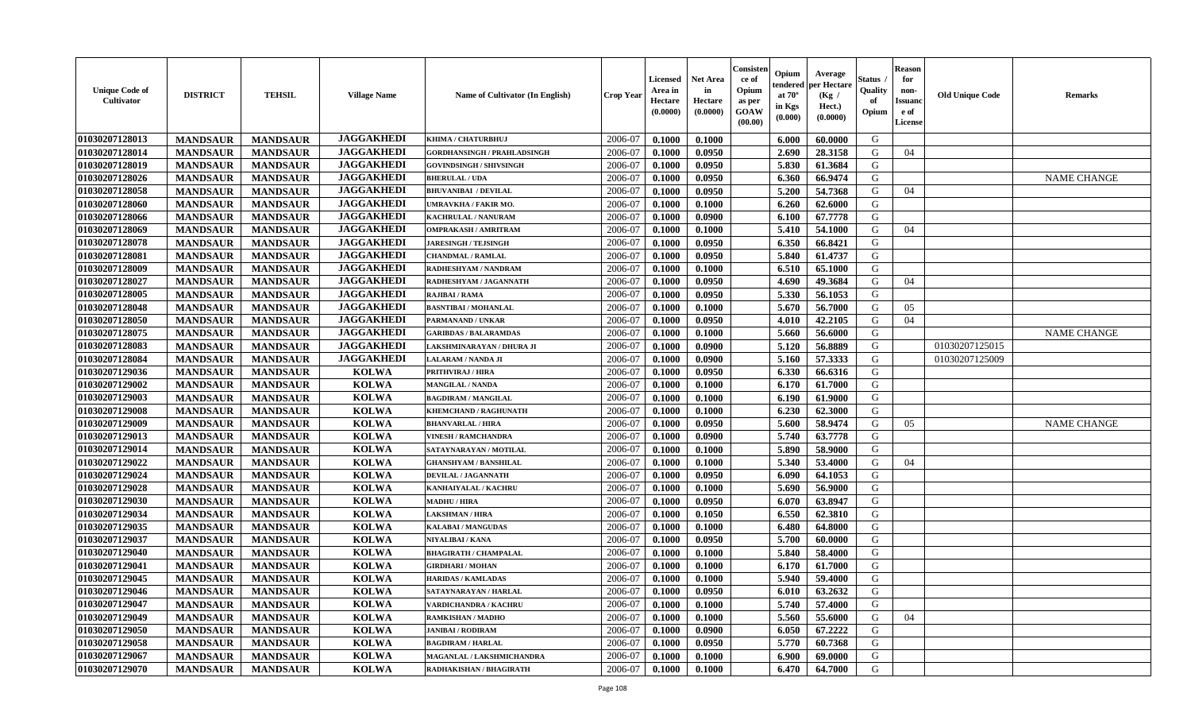| <b>Unique Code of</b><br>Cultivator | <b>DISTRICT</b> | <b>TEHSIL</b>   | <b>Village Name</b> | Name of Cultivator (In English)    | <b>Crop Year</b> | <b>Licensed</b><br>Area in<br>Hectare<br>(0.0000) | <b>Net Area</b><br>in<br>Hectare<br>(0.0000) | Consister<br>ce of<br>Opium<br>as per<br>GOAW<br>(00.00) | Opium<br>endered<br>at $70^\circ$<br>in Kgs<br>$({\bf 0.000})$ | Average<br>oer Hectare<br>(Kg /<br>Hect.)<br>(0.0000) | Status<br>Quality<br>of<br>Opium | Reason<br>for<br>non-<br>Issuan<br>e of<br>License | <b>Old Unique Code</b> | <b>Remarks</b>     |
|-------------------------------------|-----------------|-----------------|---------------------|------------------------------------|------------------|---------------------------------------------------|----------------------------------------------|----------------------------------------------------------|----------------------------------------------------------------|-------------------------------------------------------|----------------------------------|----------------------------------------------------|------------------------|--------------------|
| 01030207128013                      | <b>MANDSAUR</b> | <b>MANDSAUR</b> | <b>JAGGAKHEDI</b>   | KHIMA / CHATURBHUJ                 | 2006-07          | 0.1000                                            | 0.1000                                       |                                                          | 6.000                                                          | 60.0000                                               | G                                |                                                    |                        |                    |
| 01030207128014                      | <b>MANDSAUR</b> | <b>MANDSAUR</b> | <b>JAGGAKHEDI</b>   | <b>GORDHANSINGH / PRAHLADSINGH</b> | 2006-07          | 0.1000                                            | 0.0950                                       |                                                          | 2.690                                                          | 28.3158                                               | G                                | 04                                                 |                        |                    |
| 01030207128019                      | <b>MANDSAUR</b> | <b>MANDSAUR</b> | <b>JAGGAKHEDI</b>   | GOVINDSINGH / SHIVSINGH            | 2006-07          | 0.1000                                            | 0.0950                                       |                                                          | 5.830                                                          | 61.3684                                               | G                                |                                                    |                        |                    |
| 01030207128026                      | <b>MANDSAUR</b> | <b>MANDSAUR</b> | <b>JAGGAKHEDI</b>   | <b>BHERULAL / UDA</b>              | 2006-07          | 0.1000                                            | 0.0950                                       |                                                          | 6.360                                                          | 66.9474                                               | G                                |                                                    |                        | <b>NAME CHANGE</b> |
| 01030207128058                      | <b>MANDSAUR</b> | <b>MANDSAUR</b> | <b>JAGGAKHEDI</b>   | <b>BHUVANIBAI / DEVILAL</b>        | 2006-07          | 0.1000                                            | 0.0950                                       |                                                          | 5.200                                                          | 54.7368                                               | G                                | 04                                                 |                        |                    |
| 01030207128060                      | <b>MANDSAUR</b> | <b>MANDSAUR</b> | <b>JAGGAKHEDI</b>   | UMRAVKHA / FAKIR MO.               | 2006-07          | 0.1000                                            | 0.1000                                       |                                                          | 6.260                                                          | 62.6000                                               | G                                |                                                    |                        |                    |
| 01030207128066                      | <b>MANDSAUR</b> | <b>MANDSAUR</b> | <b>JAGGAKHEDI</b>   | KACHRULAL / NANURAM                | 2006-07          | 0.1000                                            | 0.0900                                       |                                                          | 6.100                                                          | 67.7778                                               | G                                |                                                    |                        |                    |
| 01030207128069                      | <b>MANDSAUR</b> | <b>MANDSAUR</b> | <b>JAGGAKHEDI</b>   | <b>OMPRAKASH / AMRITRAM</b>        | 2006-07          | 0.1000                                            | 0.1000                                       |                                                          | 5.410                                                          | 54.1000                                               | G                                | 04                                                 |                        |                    |
| 01030207128078                      | <b>MANDSAUR</b> | <b>MANDSAUR</b> | <b>JAGGAKHEDI</b>   | <b>JARESINGH / TEJSINGH</b>        | 2006-07          | 0.1000                                            | 0.0950                                       |                                                          | 6.350                                                          | 66.8421                                               | G                                |                                                    |                        |                    |
| 01030207128081                      | <b>MANDSAUR</b> | <b>MANDSAUR</b> | <b>JAGGAKHEDI</b>   | <b>CHANDMAL / RAMLAL</b>           | 2006-07          | 0.1000                                            | 0.0950                                       |                                                          | 5.840                                                          | 61.4737                                               | G                                |                                                    |                        |                    |
| 01030207128009                      | <b>MANDSAUR</b> | <b>MANDSAUR</b> | <b>JAGGAKHEDI</b>   | RADHESHYAM / NANDRAM               | 2006-07          | 0.1000                                            | 0.1000                                       |                                                          | 6.510                                                          | 65.1000                                               | G                                |                                                    |                        |                    |
| 01030207128027                      | <b>MANDSAUR</b> | <b>MANDSAUR</b> | <b>JAGGAKHEDI</b>   | RADHESHYAM / JAGANNATH             | 2006-07          | 0.1000                                            | 0.0950                                       |                                                          | 4.690                                                          | 49.3684                                               | G                                | 04                                                 |                        |                    |
| 01030207128005                      | <b>MANDSAUR</b> | <b>MANDSAUR</b> | <b>JAGGAKHEDI</b>   | RAJIBAI / RAMA                     | 2006-07          | 0.1000                                            | 0.0950                                       |                                                          | 5.330                                                          | 56.1053                                               | G                                |                                                    |                        |                    |
| 01030207128048                      | <b>MANDSAUR</b> | <b>MANDSAUR</b> | <b>JAGGAKHEDI</b>   | <b>BASNTIBAI / MOHANLAL</b>        | 2006-07          | 0.1000                                            | 0.1000                                       |                                                          | 5.670                                                          | 56.7000                                               | G                                | 05                                                 |                        |                    |
| 01030207128050                      | <b>MANDSAUR</b> | <b>MANDSAUR</b> | <b>JAGGAKHEDI</b>   | PARMANAND / UNKAR                  | 2006-07          | 0.1000                                            | 0.0950                                       |                                                          | 4.010                                                          | 42.2105                                               | G                                | 04                                                 |                        |                    |
| 01030207128075                      | <b>MANDSAUR</b> | <b>MANDSAUR</b> | <b>JAGGAKHEDI</b>   | <b>GARIBDAS / BALARAMDAS</b>       | 2006-07          | 0.1000                                            | 0.1000                                       |                                                          | 5.660                                                          | 56.6000                                               | G                                |                                                    |                        | <b>NAME CHANGE</b> |
| 01030207128083                      | <b>MANDSAUR</b> | <b>MANDSAUR</b> | <b>JAGGAKHEDI</b>   | AKSHMINARAYAN / DHURA JI           | 2006-07          | 0.1000                                            | 0.0900                                       |                                                          | 5.120                                                          | 56.8889                                               | G                                |                                                    | 01030207125015         |                    |
| 01030207128084                      | <b>MANDSAUR</b> | <b>MANDSAUR</b> | <b>JAGGAKHEDI</b>   | <b>LALARAM / NANDA JI</b>          | 2006-07          | 0.1000                                            | 0.0900                                       |                                                          | 5.160                                                          | 57.3333                                               | G                                |                                                    | 01030207125009         |                    |
| 01030207129036                      | <b>MANDSAUR</b> | <b>MANDSAUR</b> | <b>KOLWA</b>        | PRITHVIRAJ / HIRA                  | 2006-07          | 0.1000                                            | 0.0950                                       |                                                          | 6.330                                                          | 66.6316                                               | G                                |                                                    |                        |                    |
| 01030207129002                      | <b>MANDSAUR</b> | <b>MANDSAUR</b> | <b>KOLWA</b>        | <b>MANGILAL / NANDA</b>            | 2006-07          | 0.1000                                            | 0.1000                                       |                                                          | 6.170                                                          | 61.7000                                               | G                                |                                                    |                        |                    |
| 01030207129003                      | <b>MANDSAUR</b> | <b>MANDSAUR</b> | <b>KOLWA</b>        | <b>BAGDIRAM / MANGILAL</b>         | 2006-07          | 0.1000                                            | 0.1000                                       |                                                          | 6.190                                                          | 61.9000                                               | G                                |                                                    |                        |                    |
| 01030207129008                      | <b>MANDSAUR</b> | <b>MANDSAUR</b> | <b>KOLWA</b>        | <b>KHEMCHAND / RAGHUNATH</b>       | 2006-07          | 0.1000                                            | 0.1000                                       |                                                          | 6.230                                                          | 62.3000                                               | G                                |                                                    |                        |                    |
| 01030207129009                      | <b>MANDSAUR</b> | <b>MANDSAUR</b> | <b>KOLWA</b>        | <b>BHANVARLAL / HIRA</b>           | 2006-07          | 0.1000                                            | 0.0950                                       |                                                          | 5.600                                                          | 58.9474                                               | G                                | 05                                                 |                        | <b>NAME CHANGE</b> |
| 01030207129013                      | <b>MANDSAUR</b> | <b>MANDSAUR</b> | <b>KOLWA</b>        | <b>VINESH / RAMCHANDRA</b>         | 2006-07          | 0.1000                                            | 0.0900                                       |                                                          | 5.740                                                          | 63.7778                                               | G                                |                                                    |                        |                    |
| 01030207129014                      | <b>MANDSAUR</b> | <b>MANDSAUR</b> | <b>KOLWA</b>        | SATAYNARAYAN / MOTILAL             | 2006-07          | 0.1000                                            | 0.1000                                       |                                                          | 5.890                                                          | 58.9000                                               | G                                |                                                    |                        |                    |
| 01030207129022                      | <b>MANDSAUR</b> | <b>MANDSAUR</b> | <b>KOLWA</b>        | <b>GHANSHYAM / BANSHILAL</b>       | 2006-07          | 0.1000                                            | 0.1000                                       |                                                          | 5.340                                                          | 53.4000                                               | G                                | 04                                                 |                        |                    |
| 01030207129024                      | <b>MANDSAUR</b> | <b>MANDSAUR</b> | <b>KOLWA</b>        | <b>DEVILAL / JAGANNATH</b>         | 2006-07          | 0.1000                                            | 0.0950                                       |                                                          | 6.090                                                          | 64.1053                                               | G                                |                                                    |                        |                    |
| 01030207129028                      | <b>MANDSAUR</b> | <b>MANDSAUR</b> | <b>KOLWA</b>        | KANHAIYALAL / KACHRU               | 2006-07          | 0.1000                                            | 0.1000                                       |                                                          | 5.690                                                          | 56.9000                                               | G                                |                                                    |                        |                    |
| 01030207129030                      | <b>MANDSAUR</b> | <b>MANDSAUR</b> | <b>KOLWA</b>        | <b>MADHU / HIRA</b>                | 2006-07          | 0.1000                                            | 0.0950                                       |                                                          | 6.070                                                          | 63.8947                                               | G                                |                                                    |                        |                    |
| 01030207129034                      | <b>MANDSAUR</b> | <b>MANDSAUR</b> | <b>KOLWA</b>        | <b>LAKSHMAN / HIRA</b>             | 2006-07          | 0.1000                                            | 0.1050                                       |                                                          | 6.550                                                          | 62.3810                                               | G                                |                                                    |                        |                    |
| 01030207129035                      | <b>MANDSAUR</b> | <b>MANDSAUR</b> | <b>KOLWA</b>        | <b>KALABAI/MANGUDAS</b>            | 2006-07          | 0.1000                                            | 0.1000                                       |                                                          | 6.480                                                          | 64.8000                                               | G                                |                                                    |                        |                    |
| 01030207129037                      | <b>MANDSAUR</b> | <b>MANDSAUR</b> | <b>KOLWA</b>        | NIYALIBAI / KANA                   | 2006-07          | 0.1000                                            | 0.0950                                       |                                                          | 5.700                                                          | 60.0000                                               | G                                |                                                    |                        |                    |
| 01030207129040                      | <b>MANDSAUR</b> | <b>MANDSAUR</b> | <b>KOLWA</b>        | <b>BHAGIRATH / CHAMPALAL</b>       | 2006-07          | 0.1000                                            | 0.1000                                       |                                                          | 5.840                                                          | 58.4000                                               | G                                |                                                    |                        |                    |
| 01030207129041                      | <b>MANDSAUR</b> | <b>MANDSAUR</b> | <b>KOLWA</b>        | <b>GIRDHARI / MOHAN</b>            | 2006-07          | 0.1000                                            | 0.1000                                       |                                                          | 6.170                                                          | 61.7000                                               | G                                |                                                    |                        |                    |
| 01030207129045                      | <b>MANDSAUR</b> | <b>MANDSAUR</b> | <b>KOLWA</b>        | <b>HARIDAS / KAMLADAS</b>          | 2006-07          | 0.1000                                            | 0.1000                                       |                                                          | 5.940                                                          | 59.4000                                               | G                                |                                                    |                        |                    |
| 01030207129046                      | <b>MANDSAUR</b> | MANDSAUR        | <b>KOLWA</b>        | SATAYNARAYAN / HARLAL              | 2006-07          | 0.1000                                            | 0.0950                                       |                                                          | $6.010$                                                        | 63.2632                                               | G                                |                                                    |                        |                    |
| 01030207129047                      | <b>MANDSAUR</b> | <b>MANDSAUR</b> | <b>KOLWA</b>        | VARDICHANDRA / KACHRU              | 2006-07          | 0.1000                                            | 0.1000                                       |                                                          | 5.740                                                          | 57.4000                                               | G                                |                                                    |                        |                    |
| 01030207129049                      | <b>MANDSAUR</b> | <b>MANDSAUR</b> | <b>KOLWA</b>        | RAMKISHAN / MADHO                  | 2006-07          | 0.1000                                            | 0.1000                                       |                                                          | 5.560                                                          | 55.6000                                               | G                                | 04                                                 |                        |                    |
| 01030207129050                      | <b>MANDSAUR</b> | <b>MANDSAUR</b> | <b>KOLWA</b>        | <b>JANIBAI / RODIRAM</b>           | 2006-07          | 0.1000                                            | 0.0900                                       |                                                          | 6.050                                                          | 67.2222                                               | G                                |                                                    |                        |                    |
| 01030207129058                      | <b>MANDSAUR</b> | <b>MANDSAUR</b> | <b>KOLWA</b>        | <b>BAGDIRAM / HARLAL</b>           | 2006-07          | 0.1000                                            | 0.0950                                       |                                                          | 5.770                                                          | 60.7368                                               | G                                |                                                    |                        |                    |
| 01030207129067                      | <b>MANDSAUR</b> | <b>MANDSAUR</b> | <b>KOLWA</b>        | MAGANLAL / LAKSHMICHANDRA          | 2006-07          | 0.1000                                            | 0.1000                                       |                                                          | 6.900                                                          | 69.0000                                               | G                                |                                                    |                        |                    |
| 01030207129070                      | <b>MANDSAUR</b> | <b>MANDSAUR</b> | <b>KOLWA</b>        | RADHAKISHAN / BHAGIRATH            | 2006-07          | $\boldsymbol{0.1000}$                             | 0.1000                                       |                                                          | 6.470                                                          | 64.7000                                               | G                                |                                                    |                        |                    |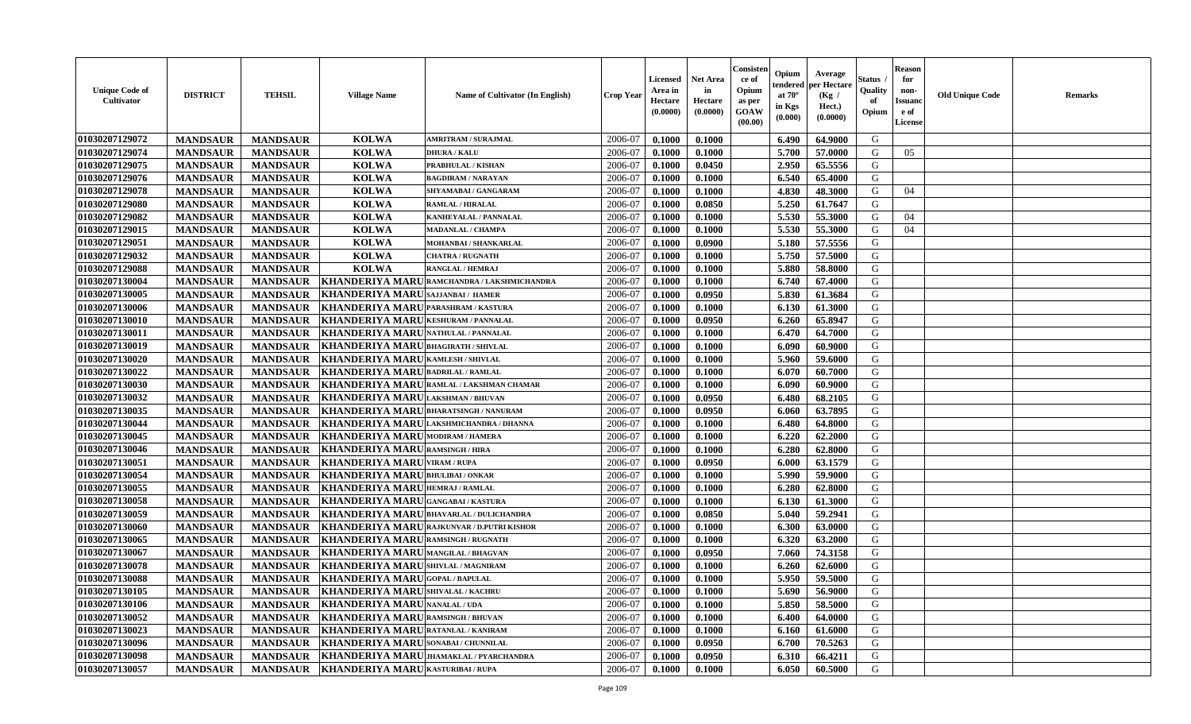| <b>Unique Code of</b><br>Cultivator | <b>DISTRICT</b> | <b>TEHSIL</b>   | <b>Village Name</b>                          | <b>Name of Cultivator (In English)</b>      | <b>Crop Year</b> | Licensed<br>Area in<br>Hectare<br>(0.0000) | <b>Net Area</b><br>in<br>Hectare<br>(0.0000) | Consister<br>ce of<br>Opium<br>as per<br><b>GOAW</b><br>(00.00) | Opium<br>endered<br>at $70^\circ$<br>in Kgs<br>$(\mathbf{0.000})$ | Average<br>per Hectare<br>(Kg /<br>Hect.)<br>(0.0000) | Status<br>Quality<br>of<br>Opium | <b>Reason</b><br>for<br>non-<br><b>Issuano</b><br>e of<br>License | <b>Old Unique Code</b> | <b>Remarks</b> |
|-------------------------------------|-----------------|-----------------|----------------------------------------------|---------------------------------------------|------------------|--------------------------------------------|----------------------------------------------|-----------------------------------------------------------------|-------------------------------------------------------------------|-------------------------------------------------------|----------------------------------|-------------------------------------------------------------------|------------------------|----------------|
| 01030207129072                      | <b>MANDSAUR</b> | <b>MANDSAUR</b> | <b>KOLWA</b>                                 | <b>AMRITRAM / SURAJMAL</b>                  | 2006-07          | 0.1000                                     | 0.1000                                       |                                                                 | 6.490                                                             | 64.9000                                               | G                                |                                                                   |                        |                |
| 01030207129074                      | <b>MANDSAUR</b> | <b>MANDSAUR</b> | <b>KOLWA</b>                                 | <b>DHURA / KALU</b>                         | 2006-07          | 0.1000                                     | 0.1000                                       |                                                                 | 5.700                                                             | 57.0000                                               | G                                | 05                                                                |                        |                |
| 01030207129075                      | <b>MANDSAUR</b> | <b>MANDSAUR</b> | <b>KOLWA</b>                                 | PRABHULAL / KISHAN                          | 2006-07          | 0.1000                                     | 0.0450                                       |                                                                 | 2.950                                                             | 65.5556                                               | G                                |                                                                   |                        |                |
| 01030207129076                      | <b>MANDSAUR</b> | <b>MANDSAUR</b> | <b>KOLWA</b>                                 | <b>BAGDIRAM / NARAYAN</b>                   | 2006-07          | 0.1000                                     | 0.1000                                       |                                                                 | 6.540                                                             | 65.4000                                               | G                                |                                                                   |                        |                |
| 01030207129078                      | <b>MANDSAUR</b> | <b>MANDSAUR</b> | <b>KOLWA</b>                                 | SHYAMABAI / GANGARAM                        | 2006-07          | 0.1000                                     | 0.1000                                       |                                                                 | 4.830                                                             | 48.3000                                               | G                                | 04                                                                |                        |                |
| 01030207129080                      | <b>MANDSAUR</b> | <b>MANDSAUR</b> | <b>KOLWA</b>                                 | <b>RAMLAL / HIRALAL</b>                     | 2006-07          | 0.1000                                     | 0.0850                                       |                                                                 | 5.250                                                             | 61.7647                                               | G                                |                                                                   |                        |                |
| 01030207129082                      | <b>MANDSAUR</b> | <b>MANDSAUR</b> | <b>KOLWA</b>                                 | KANHEYALAL / PANNALAL                       | 2006-07          | 0.1000                                     | 0.1000                                       |                                                                 | 5.530                                                             | 55.3000                                               | G                                | 04                                                                |                        |                |
| 01030207129015                      | <b>MANDSAUR</b> | <b>MANDSAUR</b> | <b>KOLWA</b>                                 | <b>MADANLAL / CHAMPA</b>                    | 2006-07          | 0.1000                                     | 0.1000                                       |                                                                 | 5.530                                                             | 55.3000                                               | G                                | 04                                                                |                        |                |
| 01030207129051                      | <b>MANDSAUR</b> | <b>MANDSAUR</b> | <b>KOLWA</b>                                 | MOHANBAI / SHANKARLAL                       | 2006-07          | 0.1000                                     | 0.0900                                       |                                                                 | 5.180                                                             | 57.5556                                               | G                                |                                                                   |                        |                |
| 01030207129032                      | <b>MANDSAUR</b> | <b>MANDSAUR</b> | <b>KOLWA</b>                                 | <b>CHATRA / RUGNATH</b>                     | 2006-07          | 0.1000                                     | 0.1000                                       |                                                                 | 5.750                                                             | 57.5000                                               | G                                |                                                                   |                        |                |
| 01030207129088                      | <b>MANDSAUR</b> | <b>MANDSAUR</b> | <b>KOLWA</b>                                 | <b>RANGLAL / HEMRAJ</b>                     | 2006-07          | 0.1000                                     | 0.1000                                       |                                                                 | 5.880                                                             | 58.8000                                               | G                                |                                                                   |                        |                |
| 01030207130004                      | <b>MANDSAUR</b> | <b>MANDSAUR</b> |                                              | KHANDERIYA MARU RAMCHANDRA / LAKSHMICHANDRA | 2006-07          | 0.1000                                     | 0.1000                                       |                                                                 | 6.740                                                             | 67.4000                                               | G                                |                                                                   |                        |                |
| 01030207130005                      | <b>MANDSAUR</b> | <b>MANDSAUR</b> | <b>KHANDERIYA MARU</b>                       | <b>SAJJANBAI / HAMER</b>                    | 2006-07          | 0.1000                                     | 0.0950                                       |                                                                 | 5.830                                                             | 61.3684                                               | G                                |                                                                   |                        |                |
| 01030207130006                      | <b>MANDSAUR</b> | <b>MANDSAUR</b> | <b>KHANDERIYA MARU</b>                       | <b>PARASHRAM / KASTURA</b>                  | 2006-07          | 0.1000                                     | 0.1000                                       |                                                                 | 6.130                                                             | 61.3000                                               | G                                |                                                                   |                        |                |
| 01030207130010                      | <b>MANDSAUR</b> | <b>MANDSAUR</b> | <b>KHANDERIYA MARU</b>                       | <b>KESHURAM / PANNALAL</b>                  | 2006-07          | 0.1000                                     | 0.0950                                       |                                                                 | 6.260                                                             | 65.8947                                               | G                                |                                                                   |                        |                |
| 01030207130011                      | <b>MANDSAUR</b> | <b>MANDSAUR</b> | KHANDERIYA MARU NATHULAL / PANNALAL          |                                             | 2006-07          | 0.1000                                     | 0.1000                                       |                                                                 | 6.470                                                             | 64.7000                                               | G                                |                                                                   |                        |                |
| 01030207130019                      | <b>MANDSAUR</b> | <b>MANDSAUR</b> | <b>KHANDERIYA MARUBHAGIRATH / SHIVLAL</b>    |                                             | 2006-07          | 0.1000                                     | 0.1000                                       |                                                                 | 6.090                                                             | 60.9000                                               | G                                |                                                                   |                        |                |
| 01030207130020                      | <b>MANDSAUR</b> | <b>MANDSAUR</b> | KHANDERIYA MARU KAMLESH / SHIVLAL            |                                             | 2006-07          | 0.1000                                     | 0.1000                                       |                                                                 | 5.960                                                             | 59.6000                                               | G                                |                                                                   |                        |                |
| 01030207130022                      | <b>MANDSAUR</b> | <b>MANDSAUR</b> | <b>KHANDERIYA MARU</b>                       | <b>BADRILAL / RAMLAL</b>                    | 2006-07          | 0.1000                                     | 0.1000                                       |                                                                 | 6.070                                                             | 60.7000                                               | G                                |                                                                   |                        |                |
| 01030207130030                      | <b>MANDSAUR</b> | <b>MANDSAUR</b> | <b>KHANDERIYA MARU</b>                       | RAMLAL / LAKSHMAN CHAMAR                    | 2006-07          | 0.1000                                     | 0.1000                                       |                                                                 | 6.090                                                             | 60.9000                                               | G                                |                                                                   |                        |                |
| 01030207130032                      | <b>MANDSAUR</b> | <b>MANDSAUR</b> | <b>KHANDERIYA MARU</b>                       | <b>LAKSHMAN / BHUVAN</b>                    | 2006-07          | 0.1000                                     | 0.0950                                       |                                                                 | 6.480                                                             | 68.2105                                               | G                                |                                                                   |                        |                |
| 01030207130035                      | <b>MANDSAUR</b> | <b>MANDSAUR</b> | KHANDERIYA MARUBHARATSINGH / NANURAM         |                                             | 2006-07          | 0.1000                                     | 0.0950                                       |                                                                 | 6.060                                                             | 63.7895                                               | G                                |                                                                   |                        |                |
| 01030207130044                      | <b>MANDSAUR</b> | <b>MANDSAUR</b> |                                              | KHANDERIYA MARU LAKSHMICHANDRA / DHANNA     | 2006-07          | 0.1000                                     | 0.1000                                       |                                                                 | 6.480                                                             | 64.8000                                               | G                                |                                                                   |                        |                |
| 01030207130045                      | <b>MANDSAUR</b> | <b>MANDSAUR</b> | KHANDERIYA MARU MODIRAM / HAMERA             |                                             | 2006-07          | 0.1000                                     | 0.1000                                       |                                                                 | 6.220                                                             | 62.2000                                               | G                                |                                                                   |                        |                |
| 01030207130046                      | <b>MANDSAUR</b> | <b>MANDSAUR</b> | KHANDERIYA MARU RAMSINGH / HIRA              |                                             | 2006-07          | 0.1000                                     | 0.1000                                       |                                                                 | 6.280                                                             | 62.8000                                               | G                                |                                                                   |                        |                |
| 01030207130051                      | <b>MANDSAUR</b> | <b>MANDSAUR</b> | <b>KHANDERIYA MARU</b>                       | <b>VIRAM / RUPA</b>                         | 2006-07          | 0.1000                                     | 0.0950                                       |                                                                 | 6.000                                                             | 63.1579                                               | G                                |                                                                   |                        |                |
| 01030207130054                      | <b>MANDSAUR</b> | <b>MANDSAUR</b> | KHANDERIYA MARUBHULIBAI/ONKAR                |                                             | 2006-07          | 0.1000                                     | 0.1000                                       |                                                                 | 5.990                                                             | 59.9000                                               | G                                |                                                                   |                        |                |
| 01030207130055                      | <b>MANDSAUR</b> | <b>MANDSAUR</b> | KHANDERIYA MARU HEMRAJ / RAMLAL              |                                             | 2006-07          | 0.1000                                     | 0.1000                                       |                                                                 | 6.280                                                             | 62.8000                                               | G                                |                                                                   |                        |                |
| 01030207130058                      | <b>MANDSAUR</b> | <b>MANDSAUR</b> | KHANDERIYA MARU GANGABAI / KASTURA           |                                             | 2006-07          | 0.1000                                     | 0.1000                                       |                                                                 | 6.130                                                             | 61.3000                                               | G                                |                                                                   |                        |                |
| 01030207130059                      | <b>MANDSAUR</b> | <b>MANDSAUR</b> |                                              | KHANDERIYA MARUBHAVARLAL / DULICHANDRA      | 2006-07          | 0.1000                                     | 0.0850                                       |                                                                 | 5.040                                                             | 59.2941                                               | G                                |                                                                   |                        |                |
| 01030207130060                      | <b>MANDSAUR</b> | <b>MANDSAUR</b> | <b>KHANDERIYA MARU</b>                       | <b>RAJKUNVAR / D.PUTRI KISHOR</b>           | 2006-07          | 0.1000                                     | 0.1000                                       |                                                                 | 6.300                                                             | 63.0000                                               | G                                |                                                                   |                        |                |
| 01030207130065                      | <b>MANDSAUR</b> | <b>MANDSAUR</b> | <b>KHANDERIYA MARU</b>                       | <b>RAMSINGH / RUGNATH</b>                   | 2006-07          | 0.1000                                     | 0.1000                                       |                                                                 | 6.320                                                             | 63.2000                                               | G                                |                                                                   |                        |                |
| 01030207130067                      | <b>MANDSAUR</b> | <b>MANDSAUR</b> | KHANDERIYA MARUMANGILAL / BHAGVAN            |                                             | 2006-07          | 0.1000                                     | 0.0950                                       |                                                                 | 7.060                                                             | 74.3158                                               | G                                |                                                                   |                        |                |
| 01030207130078                      | <b>MANDSAUR</b> | <b>MANDSAUR</b> | KHANDERIYA MARU SHIVLAL / MAGNIRAM           |                                             | 2006-07          | 0.1000                                     | 0.1000                                       |                                                                 | 6.260                                                             | 62.6000                                               | G                                |                                                                   |                        |                |
| 01030207130088                      | <b>MANDSAUR</b> | <b>MANDSAUR</b> | KHANDERIYA MARUGOPAL/BAPULAL                 |                                             | 2006-07          | 0.1000                                     | 0.1000                                       |                                                                 | 5.950                                                             | 59.5000                                               | G                                |                                                                   |                        |                |
| 01030207130105                      | <b>MANDSAUR</b> |                 | MANDSAUR   KHANDERIYA MARU SHIVALAL / KACHRU |                                             | 2006-07          | 0.1000                                     | 0.1000                                       |                                                                 |                                                                   | $5.690 \pm 56.9000$                                   | G                                |                                                                   |                        |                |
| 01030207130106                      | <b>MANDSAUR</b> | <b>MANDSAUR</b> | KHANDERIYA MARU NANALAL / UDA                |                                             | 2006-07          | 0.1000                                     | 0.1000                                       |                                                                 | 5.850                                                             | 58.5000                                               | G                                |                                                                   |                        |                |
| 01030207130052                      | <b>MANDSAUR</b> | <b>MANDSAUR</b> | KHANDERIYA MARU RAMSINGH / BHUVAN            |                                             | 2006-07          | 0.1000                                     | 0.1000                                       |                                                                 | 6.400                                                             | 64.0000                                               | G                                |                                                                   |                        |                |
| 01030207130023                      | <b>MANDSAUR</b> | <b>MANDSAUR</b> | KHANDERIYA MARURATANLAL / KANIRAM            |                                             | 2006-07          | 0.1000                                     | 0.1000                                       |                                                                 | 6.160                                                             | 61.6000                                               | G                                |                                                                   |                        |                |
| 01030207130096                      | <b>MANDSAUR</b> | <b>MANDSAUR</b> | <b>KHANDERIYA MARU</b> SONABAI / CHUNNILAL   |                                             | 2006-07          | 0.1000                                     | 0.0950                                       |                                                                 | 6.700                                                             | 70.5263                                               | G                                |                                                                   |                        |                |
| 01030207130098                      | <b>MANDSAUR</b> | <b>MANDSAUR</b> |                                              | KHANDERIYA MARUJHAMAKLAL/PYARCHANDRA        | 2006-07          | 0.1000                                     | 0.0950                                       |                                                                 | 6.310                                                             | 66.4211                                               | G                                |                                                                   |                        |                |
| 01030207130057                      | <b>MANDSAUR</b> |                 | MANDSAUR   KHANDERIYA MARU KASTURIBAI/RUPA   |                                             | 2006-07          | 0.1000                                     | 0.1000                                       |                                                                 | 6.050                                                             | 60.5000                                               | G                                |                                                                   |                        |                |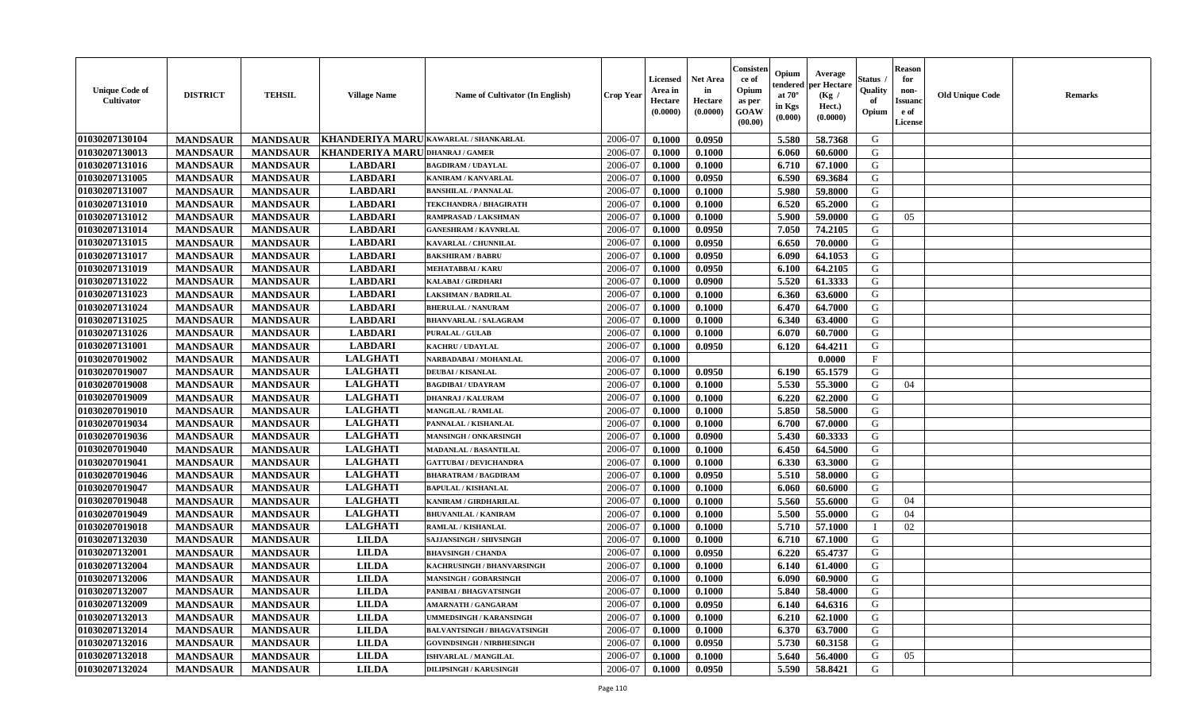| <b>Unique Code of</b><br><b>Cultivator</b> | <b>DISTRICT</b>                    | <b>TEHSIL</b>                      | <b>Village Name</b>                   | Name of Cultivator (In English)    | <b>Crop Year</b>   | <b>Licensed</b><br>Area in<br>Hectare<br>(0.0000) | <b>Net Area</b><br>in<br>Hectare<br>(0.0000) | Consisteı<br>ce of<br>Opium<br>as per<br><b>GOAW</b><br>(00.00) | Opium<br>endered<br>at $70^\circ$<br>in Kgs<br>$(\mathbf{0.000})$ | Average<br>per Hectare<br>(Kg /<br>Hect.)<br>(0.0000) | Status<br>Quality<br>of<br>Opium | Reason<br>for<br>non-<br>Issuan<br>e of<br>License | <b>Old Unique Code</b> | <b>Remarks</b> |
|--------------------------------------------|------------------------------------|------------------------------------|---------------------------------------|------------------------------------|--------------------|---------------------------------------------------|----------------------------------------------|-----------------------------------------------------------------|-------------------------------------------------------------------|-------------------------------------------------------|----------------------------------|----------------------------------------------------|------------------------|----------------|
| 01030207130104                             | <b>MANDSAUR</b>                    | <b>MANDSAUR</b>                    | KHANDERIYA MARU KAWARLAL / SHANKARLAL |                                    | 2006-07            | 0.1000                                            | 0.0950                                       |                                                                 | 5.580                                                             | 58.7368                                               | G                                |                                                    |                        |                |
| 01030207130013                             | <b>MANDSAUR</b>                    | <b>MANDSAUR</b>                    | KHANDERIYA MARU                       | <b>DHANRAJ / GAMER</b>             | 2006-07            | 0.1000                                            | 0.1000                                       |                                                                 | 6.060                                                             | 60.6000                                               | G                                |                                                    |                        |                |
| 01030207131016                             | <b>MANDSAUR</b>                    | <b>MANDSAUR</b>                    | <b>LABDARI</b>                        | <b>BAGDIRAM / UDAYLAL</b>          | 2006-07            | 0.1000                                            | 0.1000                                       |                                                                 | 6.710                                                             | 67.1000                                               | G                                |                                                    |                        |                |
| 01030207131005                             | <b>MANDSAUR</b>                    | <b>MANDSAUR</b>                    | <b>LABDARI</b>                        | KANIRAM / KANVARLAL                | 2006-07            | 0.1000                                            | 0.0950                                       |                                                                 | 6.590                                                             | 69.3684                                               | G                                |                                                    |                        |                |
| 01030207131007                             | <b>MANDSAUR</b>                    | <b>MANDSAUR</b>                    | <b>LABDARI</b>                        | <b>BANSHILAL / PANNALAL</b>        | 2006-07            | 0.1000                                            | 0.1000                                       |                                                                 | 5.980                                                             | 59.8000                                               | G                                |                                                    |                        |                |
| 01030207131010                             | <b>MANDSAUR</b>                    | <b>MANDSAUR</b>                    | <b>LABDARI</b>                        | <b>TEKCHANDRA / BHAGIRATH</b>      | 2006-07            | 0.1000                                            | 0.1000                                       |                                                                 | 6.520                                                             | 65.2000                                               | G                                |                                                    |                        |                |
| 01030207131012                             | <b>MANDSAUR</b>                    | <b>MANDSAUR</b>                    | <b>LABDARI</b>                        | RAMPRASAD / LAKSHMAN               | 2006-07            | 0.1000                                            | 0.1000                                       |                                                                 | 5.900                                                             | 59.0000                                               | G                                | 05                                                 |                        |                |
| 01030207131014                             | <b>MANDSAUR</b>                    | <b>MANDSAUR</b>                    | <b>LABDARI</b>                        | <b>GANESHRAM / KAVNRLAL</b>        | 2006-07            | 0.1000                                            | 0.0950                                       |                                                                 | 7.050                                                             | 74.2105                                               | G                                |                                                    |                        |                |
| 01030207131015                             | <b>MANDSAUR</b>                    | <b>MANDSAUR</b>                    | <b>LABDARI</b>                        | KAVARLAL / CHUNNILAL               | 2006-07            | 0.1000                                            | 0.0950                                       |                                                                 | 6.650                                                             | 70.0000                                               | G                                |                                                    |                        |                |
| 01030207131017                             | <b>MANDSAUR</b>                    | <b>MANDSAUR</b>                    | <b>LABDARI</b>                        | <b>BAKSHIRAM / BABRU</b>           | 2006-07            | 0.1000                                            | 0.0950                                       |                                                                 | 6.090                                                             | 64.1053                                               | G                                |                                                    |                        |                |
| 01030207131019                             | <b>MANDSAUR</b>                    | <b>MANDSAUR</b>                    | <b>LABDARI</b>                        | <b>MEHATABBAI/KARU</b>             | 2006-07            | 0.1000                                            | 0.0950                                       |                                                                 | 6.100                                                             | 64.2105                                               | G                                |                                                    |                        |                |
| 01030207131022                             | <b>MANDSAUR</b>                    | <b>MANDSAUR</b>                    | <b>LABDARI</b>                        | <b>KALABAI/GIRDHARI</b>            | 2006-07            | 0.1000                                            | 0.0900                                       |                                                                 | 5.520                                                             | 61.3333                                               | G                                |                                                    |                        |                |
| 01030207131023                             | <b>MANDSAUR</b>                    | <b>MANDSAUR</b>                    | <b>LABDARI</b>                        | LAKSHMAN / BADRILAL                | 2006-07            | 0.1000                                            | 0.1000                                       |                                                                 | 6.360                                                             | 63.6000                                               | G                                |                                                    |                        |                |
| 01030207131024                             | <b>MANDSAUR</b>                    | <b>MANDSAUR</b>                    | <b>LABDARI</b>                        | <b>BHERULAL / NANURAM</b>          | 2006-07            | 0.1000                                            | 0.1000                                       |                                                                 | 6.470                                                             | 64.7000                                               | G                                |                                                    |                        |                |
| 01030207131025                             | <b>MANDSAUR</b>                    | <b>MANDSAUR</b>                    | <b>LABDARI</b>                        | <b>BHANVARLAL / SALAGRAM</b>       | 2006-07            | 0.1000                                            | 0.1000                                       |                                                                 | 6.340                                                             | 63.4000                                               | G                                |                                                    |                        |                |
| 01030207131026                             | <b>MANDSAUR</b>                    | <b>MANDSAUR</b>                    | <b>LABDARI</b>                        | <b>PURALAL / GULAB</b>             | 2006-07            | 0.1000                                            | 0.1000                                       |                                                                 | 6.070                                                             | 60.7000                                               | G                                |                                                    |                        |                |
| 01030207131001                             | <b>MANDSAUR</b>                    | <b>MANDSAUR</b>                    | <b>LABDARI</b>                        | <b>KACHRU / UDAYLAL</b>            | 2006-07            | 0.1000                                            | 0.0950                                       |                                                                 | 6.120                                                             | 64.4211                                               | G                                |                                                    |                        |                |
| 01030207019002                             | <b>MANDSAUR</b>                    | <b>MANDSAUR</b>                    | <b>LALGHATI</b>                       | NARBADABAI / MOHANLAL              | 2006-07            | 0.1000                                            |                                              |                                                                 |                                                                   | 0.0000                                                | $\mathbf F$                      |                                                    |                        |                |
| 01030207019007                             | <b>MANDSAUR</b>                    | <b>MANDSAUR</b>                    | <b>LALGHATI</b>                       | <b>DEUBAI/KISANLAL</b>             | 2006-07            | 0.1000                                            | 0.0950                                       |                                                                 | 6.190                                                             | 65.1579                                               | G                                |                                                    |                        |                |
| 01030207019008                             | <b>MANDSAUR</b>                    | <b>MANDSAUR</b>                    | <b>LALGHATI</b>                       | <b>BAGDIBAI / UDAYRAM</b>          | 2006-07            | 0.1000                                            | 0.1000                                       |                                                                 | 5.530                                                             | 55.3000                                               | G                                | 04                                                 |                        |                |
| 01030207019009                             | <b>MANDSAUR</b>                    | <b>MANDSAUR</b>                    | <b>LALGHATI</b>                       | <b>DHANRAJ / KALURAM</b>           | 2006-07            | 0.1000                                            | 0.1000                                       |                                                                 | 6.220                                                             | 62.2000                                               | G                                |                                                    |                        |                |
| 01030207019010                             | <b>MANDSAUR</b>                    | <b>MANDSAUR</b>                    | <b>LALGHATI</b>                       | MANGILAL / RAMLAL                  | 2006-07            | 0.1000                                            | 0.1000                                       |                                                                 | 5.850                                                             | 58.5000                                               | G                                |                                                    |                        |                |
| 01030207019034                             | <b>MANDSAUR</b>                    | <b>MANDSAUR</b>                    | <b>LALGHATI</b>                       | PANNALAL / KISHANLAL               | 2006-07            | 0.1000                                            | 0.1000                                       |                                                                 | 6.700                                                             | 67.0000                                               | G                                |                                                    |                        |                |
| 01030207019036                             | <b>MANDSAUR</b>                    | <b>MANDSAUR</b>                    | <b>LALGHATI</b>                       | <b>MANSINGH / ONKARSINGH</b>       | 2006-07            | 0.1000                                            | 0.0900                                       |                                                                 | 5.430                                                             | 60.3333                                               | G                                |                                                    |                        |                |
| 01030207019040                             | <b>MANDSAUR</b>                    | <b>MANDSAUR</b>                    | <b>LALGHATI</b>                       | MADANLAL / BASANTILAL              | 2006-07            | 0.1000                                            | 0.1000                                       |                                                                 | 6.450                                                             | 64.5000                                               | G                                |                                                    |                        |                |
| 01030207019041                             | <b>MANDSAUR</b>                    | <b>MANDSAUR</b>                    | <b>LALGHATI</b>                       | <b>GATTUBAI/DEVICHANDRA</b>        | 2006-07            | 0.1000                                            | 0.1000                                       |                                                                 | 6.330                                                             | 63.3000                                               | G                                |                                                    |                        |                |
| 01030207019046                             | <b>MANDSAUR</b>                    | <b>MANDSAUR</b>                    | <b>LALGHATI</b>                       | <b>BHARATRAM / BAGDIRAM</b>        | 2006-07            | 0.1000                                            | 0.0950                                       |                                                                 | 5.510                                                             | 58.0000                                               | G                                |                                                    |                        |                |
| 01030207019047                             | <b>MANDSAUR</b>                    | <b>MANDSAUR</b>                    | <b>LALGHATI</b>                       | <b>BAPULAL / KISHANLAL</b>         | 2006-07            | 0.1000                                            | 0.1000                                       |                                                                 | 6.060                                                             | 60.6000                                               | G                                |                                                    |                        |                |
| 01030207019048                             | <b>MANDSAUR</b>                    | <b>MANDSAUR</b>                    | <b>LALGHATI</b>                       | KANIRAM / GIRDHARILAL              | 2006-07            | 0.1000                                            | 0.1000                                       |                                                                 | 5.560                                                             | 55.6000                                               | G                                | 04                                                 |                        |                |
| 01030207019049                             | <b>MANDSAUR</b>                    | <b>MANDSAUR</b>                    | <b>LALGHATI</b>                       | <b>BHUVANILAL / KANIRAM</b>        | 2006-07            | 0.1000                                            | 0.1000                                       |                                                                 | 5.500                                                             | 55.0000                                               | G                                | 04                                                 |                        |                |
| 01030207019018                             | <b>MANDSAUR</b>                    | <b>MANDSAUR</b>                    | <b>LALGHATI</b>                       | RAMLAL / KISHANLAL                 | 2006-07            | 0.1000                                            | 0.1000                                       |                                                                 | 5.710                                                             | 57.1000                                               |                                  | 02                                                 |                        |                |
| 01030207132030                             | <b>MANDSAUR</b>                    | <b>MANDSAUR</b>                    | <b>LILDA</b>                          | <b>SAJJANSINGH / SHIVSINGH</b>     | 2006-07            | 0.1000                                            | 0.1000                                       |                                                                 | 6.710                                                             | 67.1000                                               | G                                |                                                    |                        |                |
| 01030207132001                             | <b>MANDSAUR</b>                    | <b>MANDSAUR</b>                    | <b>LILDA</b>                          | <b>BHAVSINGH / CHANDA</b>          | 2006-07            | 0.1000                                            | 0.0950                                       |                                                                 | 6.220                                                             | 65.4737                                               | G                                |                                                    |                        |                |
| 01030207132004                             | <b>MANDSAUR</b>                    | <b>MANDSAUR</b>                    | <b>LILDA</b>                          | KACHRUSINGH / BHANVARSINGH         | 2006-07            | 0.1000                                            | 0.1000                                       |                                                                 | 6.140                                                             | 61.4000                                               | G                                |                                                    |                        |                |
| 01030207132006                             | <b>MANDSAUR</b>                    | <b>MANDSAUR</b>                    | <b>LILDA</b>                          | <b>MANSINGH / GOBARSINGH</b>       | 2006-07            | 0.1000                                            | 0.1000                                       |                                                                 | 6.090                                                             | 60.9000                                               | G                                |                                                    |                        |                |
| 01030207132007                             |                                    |                                    | <b>LILDA</b>                          | PANIBAI / BHAGVATSINGH             |                    | 0.1000                                            | 0.1000                                       |                                                                 |                                                                   |                                                       | G                                |                                                    |                        |                |
| 01030207132009                             | <b>MANDSAUR</b><br><b>MANDSAUR</b> | <b>MANDSAUR</b>                    | <b>LILDA</b>                          | AMARNATH / GANGARAM                | 2006-07<br>2006-07 | 0.1000                                            | 0.0950                                       |                                                                 | 5.840<br>6.140                                                    | 58.4000<br>64.6316                                    | G                                |                                                    |                        |                |
| 01030207132013                             | <b>MANDSAUR</b>                    | <b>MANDSAUR</b><br><b>MANDSAUR</b> | <b>LILDA</b>                          | UMMEDSINGH / KARANSINGH            | 2006-07            | 0.1000                                            | 0.1000                                       |                                                                 | 6.210                                                             | 62.1000                                               | G                                |                                                    |                        |                |
| 01030207132014                             | <b>MANDSAUR</b>                    | <b>MANDSAUR</b>                    | <b>LILDA</b>                          | <b>BALVANTSINGH / BHAGVATSINGH</b> | 2006-07            | 0.1000                                            | 0.1000                                       |                                                                 | 6.370                                                             | 63.7000                                               | G                                |                                                    |                        |                |
| 01030207132016                             | <b>MANDSAUR</b>                    | <b>MANDSAUR</b>                    | <b>LILDA</b>                          |                                    | 2006-07            | 0.1000                                            | 0.0950                                       |                                                                 | 5.730                                                             | 60.3158                                               | G                                |                                                    |                        |                |
| 01030207132018                             |                                    |                                    |                                       | <b>GOVINDSINGH / NIRBHESINGH</b>   |                    |                                                   |                                              |                                                                 |                                                                   |                                                       |                                  |                                                    |                        |                |
|                                            | <b>MANDSAUR</b>                    | <b>MANDSAUR</b>                    | <b>LILDA</b>                          | <b>ISHVARLAL / MANGILAL</b>        | 2006-07            | 0.1000                                            | 0.1000                                       |                                                                 | 5.640                                                             | 56.4000                                               | G                                | 05                                                 |                        |                |
| 01030207132024                             | <b>MANDSAUR</b>                    | <b>MANDSAUR</b>                    | <b>LILDA</b>                          | <b>DILIPSINGH / KARUSINGH</b>      | 2006-07            | 0.1000                                            | 0.0950                                       |                                                                 | 5.590                                                             | 58.8421                                               | G                                |                                                    |                        |                |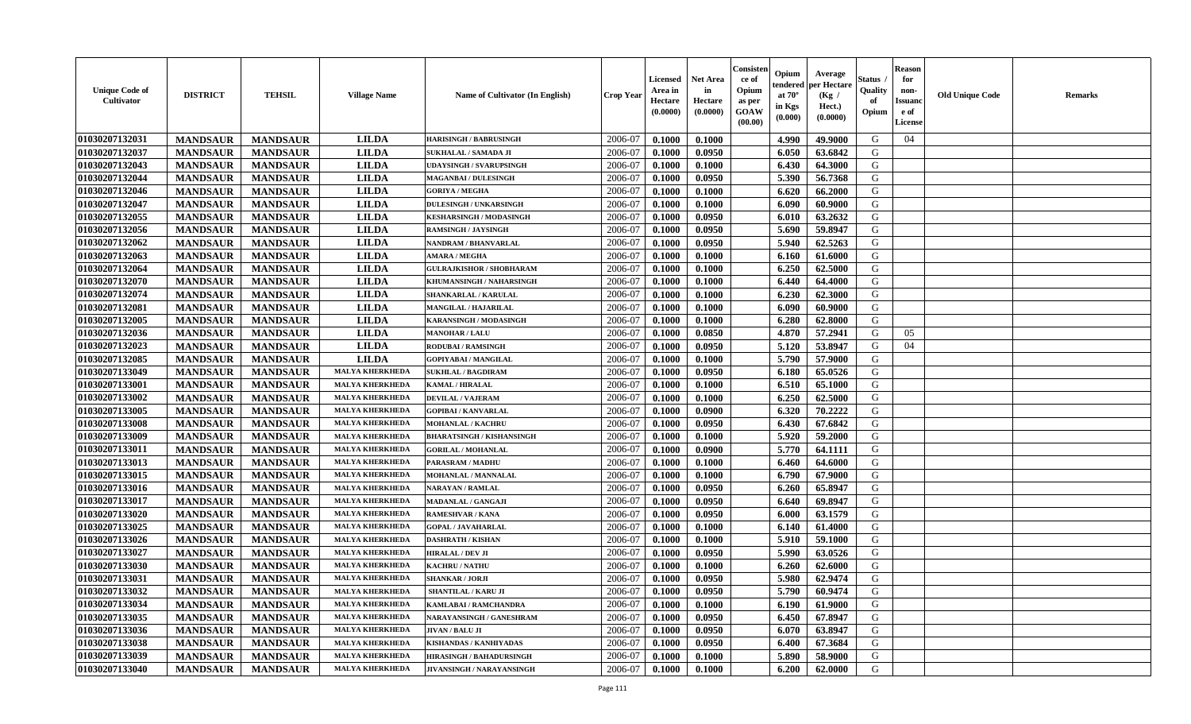| <b>Unique Code of</b><br><b>Cultivator</b> | <b>DISTRICT</b> | <b>TEHSIL</b>   | <b>Village Name</b>    | Name of Cultivator (In English)  | <b>Crop Year</b> | <b>Licensed</b><br>Area in<br>Hectare<br>(0.0000) | <b>Net Area</b><br>in<br>Hectare<br>(0.0000) | Consister<br>ce of<br>Opium<br>as per<br><b>GOAW</b><br>(00.00) | Opium<br>endered<br>at $70^\circ$<br>in Kgs<br>$(\mathbf{0.000})$ | Average<br>per Hectare<br>(Kg /<br>Hect.)<br>(0.0000) | Status<br>Quality<br>of<br>Opium | Reason<br>for<br>non-<br>Issuan<br>e of<br><b>License</b> | <b>Old Unique Code</b> | <b>Remarks</b> |
|--------------------------------------------|-----------------|-----------------|------------------------|----------------------------------|------------------|---------------------------------------------------|----------------------------------------------|-----------------------------------------------------------------|-------------------------------------------------------------------|-------------------------------------------------------|----------------------------------|-----------------------------------------------------------|------------------------|----------------|
| 01030207132031                             | <b>MANDSAUR</b> | <b>MANDSAUR</b> | <b>LILDA</b>           | <b>HARISINGH / BABRUSINGH</b>    | 2006-07          | 0.1000                                            | 0.1000                                       |                                                                 | 4.990                                                             | 49.9000                                               | G                                | 04                                                        |                        |                |
| 01030207132037                             | <b>MANDSAUR</b> | <b>MANDSAUR</b> | <b>LILDA</b>           | SUKHALAL / SAMADA JI             | 2006-07          | 0.1000                                            | 0.0950                                       |                                                                 | 6.050                                                             | 63.6842                                               | G                                |                                                           |                        |                |
| 01030207132043                             | <b>MANDSAUR</b> | <b>MANDSAUR</b> | <b>LILDA</b>           | <b>UDAYSINGH / SVARUPSINGH</b>   | 2006-07          | 0.1000                                            | 0.1000                                       |                                                                 | 6.430                                                             | 64.3000                                               | G                                |                                                           |                        |                |
| 01030207132044                             | <b>MANDSAUR</b> | <b>MANDSAUR</b> | <b>LILDA</b>           | <b>MAGANBAI / DULESINGH</b>      | 2006-07          | 0.1000                                            | 0.0950                                       |                                                                 | 5.390                                                             | 56.7368                                               | G                                |                                                           |                        |                |
| 01030207132046                             | <b>MANDSAUR</b> | <b>MANDSAUR</b> | <b>LILDA</b>           | <b>GORIYA / MEGHA</b>            | 2006-07          | 0.1000                                            | 0.1000                                       |                                                                 | 6.620                                                             | 66.2000                                               | G                                |                                                           |                        |                |
| 01030207132047                             | <b>MANDSAUR</b> | <b>MANDSAUR</b> | <b>LILDA</b>           | <b>DULESINGH / UNKARSINGH</b>    | 2006-07          | 0.1000                                            | 0.1000                                       |                                                                 | 6.090                                                             | 60.9000                                               | G                                |                                                           |                        |                |
| 01030207132055                             | <b>MANDSAUR</b> | <b>MANDSAUR</b> | <b>LILDA</b>           | <b>KESHARSINGH / MODASINGH</b>   | 2006-07          | 0.1000                                            | 0.0950                                       |                                                                 | 6.010                                                             | 63.2632                                               | G                                |                                                           |                        |                |
| 01030207132056                             | <b>MANDSAUR</b> | <b>MANDSAUR</b> | <b>LILDA</b>           | <b>RAMSINGH / JAYSINGH</b>       | 2006-07          | 0.1000                                            | 0.0950                                       |                                                                 | 5.690                                                             | 59.8947                                               | G                                |                                                           |                        |                |
| 01030207132062                             | <b>MANDSAUR</b> | <b>MANDSAUR</b> | <b>LILDA</b>           | NANDRAM / BHANVARLAL             | 2006-07          | 0.1000                                            | 0.0950                                       |                                                                 | 5.940                                                             | 62.5263                                               | G                                |                                                           |                        |                |
| 01030207132063                             | <b>MANDSAUR</b> | <b>MANDSAUR</b> | <b>LILDA</b>           | <b>AMARA / MEGHA</b>             | 2006-07          | 0.1000                                            | 0.1000                                       |                                                                 | 6.160                                                             | 61.6000                                               | G                                |                                                           |                        |                |
| 01030207132064                             | <b>MANDSAUR</b> | <b>MANDSAUR</b> | <b>LILDA</b>           | <b>GULRAJKISHOR / SHOBHARAM</b>  | 2006-07          | 0.1000                                            | 0.1000                                       |                                                                 | 6.250                                                             | 62.5000                                               | G                                |                                                           |                        |                |
| 01030207132070                             | <b>MANDSAUR</b> | <b>MANDSAUR</b> | <b>LILDA</b>           | KHUMANSINGH / NAHARSINGH         | 2006-07          | 0.1000                                            | 0.1000                                       |                                                                 | 6.440                                                             | 64.4000                                               | G                                |                                                           |                        |                |
| 01030207132074                             | <b>MANDSAUR</b> | <b>MANDSAUR</b> | <b>LILDA</b>           | SHANKARLAL / KARULAL             | 2006-07          | 0.1000                                            | 0.1000                                       |                                                                 | 6.230                                                             | 62.3000                                               | G                                |                                                           |                        |                |
| 01030207132081                             | <b>MANDSAUR</b> | <b>MANDSAUR</b> | <b>LILDA</b>           | MANGILAL / HAJARILAL             | 2006-07          | 0.1000                                            | 0.1000                                       |                                                                 | 6.090                                                             | 60.9000                                               | G                                |                                                           |                        |                |
| 01030207132005                             | <b>MANDSAUR</b> | <b>MANDSAUR</b> | <b>LILDA</b>           | KARANSINGH / MODASINGH           | 2006-07          | 0.1000                                            | 0.1000                                       |                                                                 | 6.280                                                             | 62.8000                                               | G                                |                                                           |                        |                |
| 01030207132036                             | <b>MANDSAUR</b> | <b>MANDSAUR</b> | <b>LILDA</b>           | <b>MANOHAR / LALU</b>            | 2006-07          | 0.1000                                            | 0.0850                                       |                                                                 | 4.870                                                             | 57.2941                                               | G                                | 05                                                        |                        |                |
| 01030207132023                             | <b>MANDSAUR</b> | <b>MANDSAUR</b> | <b>LILDA</b>           | <b>RODUBAI/RAMSINGH</b>          | 2006-07          | 0.1000                                            | 0.0950                                       |                                                                 | 5.120                                                             | 53.8947                                               | G                                | 04                                                        |                        |                |
| 01030207132085                             | <b>MANDSAUR</b> | <b>MANDSAUR</b> | <b>LILDA</b>           | <b>GOPIYABAI/MANGILAL</b>        | 2006-07          | 0.1000                                            | 0.1000                                       |                                                                 | 5.790                                                             | 57.9000                                               | G                                |                                                           |                        |                |
| 01030207133049                             | <b>MANDSAUR</b> | <b>MANDSAUR</b> | <b>MALYA KHERKHEDA</b> | <b>SUKHLAL / BAGDIRAM</b>        | 2006-07          | 0.1000                                            | 0.0950                                       |                                                                 | 6.180                                                             | 65.0526                                               | G                                |                                                           |                        |                |
| 01030207133001                             | <b>MANDSAUR</b> | <b>MANDSAUR</b> | <b>MALYA KHERKHED</b>  | KAMAL / HIRALAL                  | 2006-07          | 0.1000                                            | 0.1000                                       |                                                                 | 6.510                                                             | 65.1000                                               | G                                |                                                           |                        |                |
| 01030207133002                             | <b>MANDSAUR</b> | <b>MANDSAUR</b> | <b>MALYA KHERKHEDA</b> | <b>DEVILAL / VAJERAM</b>         | 2006-07          | 0.1000                                            | 0.1000                                       |                                                                 | 6.250                                                             | 62.5000                                               | G                                |                                                           |                        |                |
| 01030207133005                             | <b>MANDSAUR</b> | <b>MANDSAUR</b> | <b>MALYA KHERKHEDA</b> | <b>GOPIBAI/KANVARLAL</b>         | 2006-07          | 0.1000                                            | 0.0900                                       |                                                                 | 6.320                                                             | 70.2222                                               | G                                |                                                           |                        |                |
| 01030207133008                             | <b>MANDSAUR</b> | <b>MANDSAUR</b> | <b>MALYA KHERKHEDA</b> | <b>MOHANLAL / KACHRU</b>         | 2006-07          | 0.1000                                            | 0.0950                                       |                                                                 | 6.430                                                             | 67.6842                                               | G                                |                                                           |                        |                |
| 01030207133009                             | <b>MANDSAUR</b> | <b>MANDSAUR</b> | <b>MALYA KHERKHEDA</b> | <b>BHARATSINGH / KISHANSINGH</b> | 2006-07          | 0.1000                                            | 0.1000                                       |                                                                 | 5.920                                                             | 59.2000                                               | G                                |                                                           |                        |                |
| 01030207133011                             | <b>MANDSAUR</b> | <b>MANDSAUR</b> | <b>MALYA KHERKHEDA</b> | <b>GORILAL / MOHANLAL</b>        | 2006-07          | 0.1000                                            | 0.0900                                       |                                                                 | 5.770                                                             | 64.1111                                               | G                                |                                                           |                        |                |
| 01030207133013                             | <b>MANDSAUR</b> | <b>MANDSAUR</b> | <b>MALYA KHERKHEDA</b> | PARASRAM / MADHU                 | 2006-07          | 0.1000                                            | 0.1000                                       |                                                                 | 6.460                                                             | 64.6000                                               | G                                |                                                           |                        |                |
| 01030207133015                             | <b>MANDSAUR</b> | <b>MANDSAUR</b> | <b>MALYA KHERKHEDA</b> | MOHANLAL / MANNALAL              | 2006-07          | 0.1000                                            | 0.1000                                       |                                                                 | 6.790                                                             | 67.9000                                               | G                                |                                                           |                        |                |
| 01030207133016                             | <b>MANDSAUR</b> | <b>MANDSAUR</b> | <b>MALYA KHERKHEDA</b> | NARAYAN / RAMLAL                 | 2006-07          | 0.1000                                            | 0.0950                                       |                                                                 | 6.260                                                             | 65.8947                                               | G                                |                                                           |                        |                |
| 01030207133017                             | <b>MANDSAUR</b> | <b>MANDSAUR</b> | <b>MALYA KHERKHEDA</b> | <b>MADANLAL / GANGAJI</b>        | 2006-07          | 0.1000                                            | 0.0950                                       |                                                                 | 6.640                                                             | 69.8947                                               | G                                |                                                           |                        |                |
| 01030207133020                             | <b>MANDSAUR</b> | <b>MANDSAUR</b> | <b>MALYA KHERKHEDA</b> | RAMESHVAR / KANA                 | 2006-07          | 0.1000                                            | 0.0950                                       |                                                                 | 6.000                                                             | 63.1579                                               | G                                |                                                           |                        |                |
| 01030207133025                             | <b>MANDSAUR</b> | <b>MANDSAUR</b> | <b>MALYA KHERKHEDA</b> | <b>GOPAL / JAVAHARLAL</b>        | 2006-07          | 0.1000                                            | 0.1000                                       |                                                                 | 6.140                                                             | 61.4000                                               | G                                |                                                           |                        |                |
| 01030207133026                             | <b>MANDSAUR</b> | <b>MANDSAUR</b> | <b>MALYA KHERKHEDA</b> | <b>DASHRATH / KISHAN</b>         | 2006-07          | 0.1000                                            | 0.1000                                       |                                                                 | 5.910                                                             | 59.1000                                               | G                                |                                                           |                        |                |
| 01030207133027                             | <b>MANDSAUR</b> | <b>MANDSAUR</b> | <b>MALYA KHERKHEDA</b> | <b>HIRALAL / DEV JI</b>          | 2006-07          | 0.1000                                            | 0.0950                                       |                                                                 | 5.990                                                             | 63.0526                                               | G                                |                                                           |                        |                |
| 01030207133030                             | <b>MANDSAUR</b> | <b>MANDSAUR</b> | <b>MALYA KHERKHEDA</b> | <b>KACHRU / NATHU</b>            | 2006-07          | 0.1000                                            | 0.1000                                       |                                                                 | 6.260                                                             | 62.6000                                               | G                                |                                                           |                        |                |
| 01030207133031                             | <b>MANDSAUR</b> | <b>MANDSAUR</b> | <b>MALYA KHERKHEDA</b> | <b>SHANKAR / JORJI</b>           | 2006-07          | 0.1000                                            | 0.0950                                       |                                                                 | 5.980                                                             | 62.9474                                               | G                                |                                                           |                        |                |
| 01030207133032                             | <b>MANDSAUR</b> | <b>MANDSAUR</b> | <b>MALYA KHERKHEDA</b> | <b>SHANTILAL / KARU JI</b>       | 2006-07          | 0.1000                                            | 0.0950                                       |                                                                 | 5.790                                                             | 60.9474                                               | G                                |                                                           |                        |                |
| 01030207133034                             | <b>MANDSAUR</b> | <b>MANDSAUR</b> | <b>MALYA KHERKHEDA</b> | KAMLABAI / RAMCHANDRA            | 2006-07          | 0.1000                                            | 0.1000                                       |                                                                 | 6.190                                                             | 61.9000                                               | G                                |                                                           |                        |                |
| 01030207133035                             | <b>MANDSAUR</b> | <b>MANDSAUR</b> | <b>MALYA KHERKHEDA</b> | NARAYANSINGH / GANESHRAM         | 2006-07          | 0.1000                                            | 0.0950                                       |                                                                 | 6.450                                                             | 67.8947                                               | G                                |                                                           |                        |                |
| 01030207133036                             | <b>MANDSAUR</b> | <b>MANDSAUR</b> | <b>MALYA KHERKHEDA</b> | JIVAN / BALU JI                  | 2006-07          | 0.1000                                            | 0.0950                                       |                                                                 | 6.070                                                             | 63.8947                                               | G                                |                                                           |                        |                |
| 01030207133038                             | <b>MANDSAUR</b> | <b>MANDSAUR</b> | <b>MALYA KHERKHEDA</b> | <b>KISHANDAS / KANHIYADAS</b>    | 2006-07          | 0.1000                                            | 0.0950                                       |                                                                 | 6.400                                                             | 67.3684                                               | G                                |                                                           |                        |                |
| 01030207133039                             | <b>MANDSAUR</b> | <b>MANDSAUR</b> | <b>MALYA KHERKHEDA</b> | <b>HIRASINGH / BAHADURSINGH</b>  | 2006-07          | 0.1000                                            | 0.1000                                       |                                                                 | 5.890                                                             | 58.9000                                               | G                                |                                                           |                        |                |
| 01030207133040                             | <b>MANDSAUR</b> | <b>MANDSAUR</b> | <b>MALYA KHERKHEDA</b> | <b>JIVANSINGH / NARAYANSINGH</b> | 2006-07          | 0.1000                                            | 0.1000                                       |                                                                 | 6.200                                                             | 62.0000                                               | G                                |                                                           |                        |                |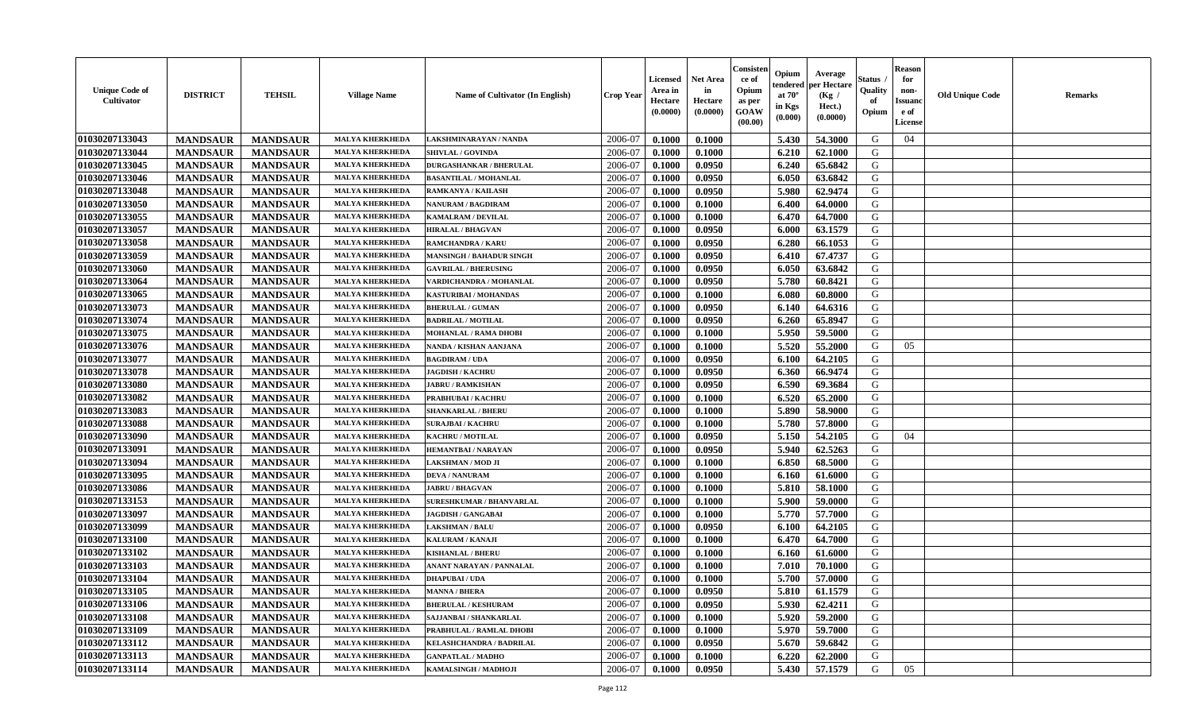| <b>Unique Code of</b><br><b>Cultivator</b> | <b>DISTRICT</b> | <b>TEHSIL</b>   | <b>Village Name</b>    | <b>Name of Cultivator (In English)</b> | <b>Crop Year</b> | <b>Licensed</b><br>Area in<br>Hectare<br>(0.0000) | Net Area<br>in<br>Hectare<br>(0.0000) | Consisteı<br>ce of<br>Opium<br>as per<br><b>GOAW</b><br>(00.00) | Opium<br>endered<br>at $70^\circ$<br>in Kgs<br>$(\mathbf{0.000})$ | Average<br>per Hectare<br>(Kg)<br>Hect.)<br>(0.0000) | Status<br>Quality<br>of<br>Opium | Reason<br>for<br>non-<br>Issuan<br>e of<br><b>License</b> | <b>Old Unique Code</b> | <b>Remarks</b> |
|--------------------------------------------|-----------------|-----------------|------------------------|----------------------------------------|------------------|---------------------------------------------------|---------------------------------------|-----------------------------------------------------------------|-------------------------------------------------------------------|------------------------------------------------------|----------------------------------|-----------------------------------------------------------|------------------------|----------------|
| 01030207133043                             | <b>MANDSAUR</b> | <b>MANDSAUR</b> | <b>MALYA KHERKHEDA</b> | LAKSHMINARAYAN / NANDA                 | 2006-07          | 0.1000                                            | 0.1000                                |                                                                 | 5.430                                                             | 54.3000                                              | G                                | 04                                                        |                        |                |
| 01030207133044                             | <b>MANDSAUR</b> | <b>MANDSAUR</b> | <b>MALYA KHERKHEDA</b> | <b>SHIVLAL / GOVINDA</b>               | 2006-07          | 0.1000                                            | 0.1000                                |                                                                 | 6.210                                                             | 62.1000                                              | G                                |                                                           |                        |                |
| 01030207133045                             | <b>MANDSAUR</b> | <b>MANDSAUR</b> | <b>MALYA KHERKHEDA</b> | <b>DURGASHANKAR / BHERULAL</b>         | 2006-07          | 0.1000                                            | 0.0950                                |                                                                 | 6.240                                                             | 65.6842                                              | G                                |                                                           |                        |                |
| 01030207133046                             | <b>MANDSAUR</b> | <b>MANDSAUR</b> | <b>MALYA KHERKHEDA</b> | <b>BASANTILAL / MOHANLAL</b>           | 2006-07          | 0.1000                                            | 0.0950                                |                                                                 | 6.050                                                             | 63.6842                                              | G                                |                                                           |                        |                |
| 01030207133048                             | <b>MANDSAUR</b> | <b>MANDSAUR</b> | <b>MALYA KHERKHEDA</b> | RAMKANYA / KAILASH                     | 2006-07          | 0.1000                                            | 0.0950                                |                                                                 | 5.980                                                             | 62.9474                                              | G                                |                                                           |                        |                |
| 01030207133050                             | <b>MANDSAUR</b> | <b>MANDSAUR</b> | <b>MALYA KHERKHEDA</b> | <b>NANURAM / BAGDIRAM</b>              | 2006-07          | 0.1000                                            | 0.1000                                |                                                                 | 6.400                                                             | 64.0000                                              | G                                |                                                           |                        |                |
| 01030207133055                             | <b>MANDSAUR</b> | <b>MANDSAUR</b> | <b>MALYA KHERKHEDA</b> | <b>KAMALRAM / DEVILAL</b>              | 2006-07          | 0.1000                                            | 0.1000                                |                                                                 | 6.470                                                             | 64.7000                                              | G                                |                                                           |                        |                |
| 01030207133057                             | <b>MANDSAUR</b> | <b>MANDSAUR</b> | <b>MALYA KHERKHEDA</b> | <b>HIRALAL / BHAGVAN</b>               | 2006-07          | 0.1000                                            | 0.0950                                |                                                                 | 6.000                                                             | 63.1579                                              | G                                |                                                           |                        |                |
| 01030207133058                             | <b>MANDSAUR</b> | <b>MANDSAUR</b> | <b>MALYA KHERKHEDA</b> | RAMCHANDRA / KARU                      | 2006-07          | 0.1000                                            | 0.0950                                |                                                                 | 6.280                                                             | 66.1053                                              | G                                |                                                           |                        |                |
| 01030207133059                             | <b>MANDSAUR</b> | <b>MANDSAUR</b> | <b>MALYA KHERKHEDA</b> | <b>MANSINGH / BAHADUR SINGH</b>        | 2006-07          | 0.1000                                            | 0.0950                                |                                                                 | 6.410                                                             | 67.4737                                              | G                                |                                                           |                        |                |
| 01030207133060                             | <b>MANDSAUR</b> | <b>MANDSAUR</b> | <b>MALYA KHERKHEDA</b> | <b>GAVRILAL / BHERUSING</b>            | 2006-07          | 0.1000                                            | 0.0950                                |                                                                 | 6.050                                                             | 63.6842                                              | G                                |                                                           |                        |                |
| 01030207133064                             | <b>MANDSAUR</b> | <b>MANDSAUR</b> | <b>MALYA KHERKHEDA</b> | VARDICHANDRA / MOHANLAL                | 2006-07          | 0.1000                                            | 0.0950                                |                                                                 | 5.780                                                             | 60.8421                                              | G                                |                                                           |                        |                |
| 01030207133065                             | <b>MANDSAUR</b> | <b>MANDSAUR</b> | <b>MALYA KHERKHEDA</b> | KASTURIBAI / MOHANDAS                  | 2006-07          | 0.1000                                            | 0.1000                                |                                                                 | 6.080                                                             | 60.8000                                              | G                                |                                                           |                        |                |
| 01030207133073                             | <b>MANDSAUR</b> | <b>MANDSAUR</b> | <b>MALYA KHERKHEDA</b> | <b>BHERULAL / GUMAN</b>                | 2006-07          | 0.1000                                            | 0.0950                                |                                                                 | 6.140                                                             | 64.6316                                              | G                                |                                                           |                        |                |
| 01030207133074                             | <b>MANDSAUR</b> | <b>MANDSAUR</b> | <b>MALYA KHERKHEDA</b> | <b>BADRILAL / MOTILAL</b>              | 2006-07          | 0.1000                                            | 0.0950                                |                                                                 | 6.260                                                             | 65.8947                                              | G                                |                                                           |                        |                |
| 01030207133075                             | <b>MANDSAUR</b> | <b>MANDSAUR</b> | <b>MALYA KHERKHEDA</b> | MOHANLAL / RAMA DHOBI                  | 2006-07          | 0.1000                                            | 0.1000                                |                                                                 | 5.950                                                             | 59.5000                                              | G                                |                                                           |                        |                |
| 01030207133076                             | <b>MANDSAUR</b> | <b>MANDSAUR</b> | <b>MALYA KHERKHEDA</b> | NANDA / KISHAN AANJANA                 | 2006-07          | 0.1000                                            | 0.1000                                |                                                                 | 5.520                                                             | 55.2000                                              | G                                | 05                                                        |                        |                |
| 01030207133077                             | <b>MANDSAUR</b> | <b>MANDSAUR</b> | <b>MALYA KHERKHEDA</b> | <b>BAGDIRAM / UDA</b>                  | 2006-07          | 0.1000                                            | 0.0950                                |                                                                 | 6.100                                                             | 64.2105                                              | G                                |                                                           |                        |                |
| 01030207133078                             | <b>MANDSAUR</b> | <b>MANDSAUR</b> | <b>MALYA KHERKHEDA</b> | <b>JAGDISH / KACHRU</b>                | 2006-07          | 0.1000                                            | 0.0950                                |                                                                 | 6.360                                                             | 66.9474                                              | G                                |                                                           |                        |                |
| 01030207133080                             | <b>MANDSAUR</b> | <b>MANDSAUR</b> | <b>MALYA KHERKHED</b>  | <b>JABRU / RAMKISHAN</b>               | 2006-07          | 0.1000                                            | 0.0950                                |                                                                 | 6.590                                                             | 69.3684                                              | G                                |                                                           |                        |                |
| 01030207133082                             | <b>MANDSAUR</b> | <b>MANDSAUR</b> | <b>MALYA KHERKHEDA</b> | PRABHUBAI / KACHRU                     | 2006-07          | 0.1000                                            | 0.1000                                |                                                                 | 6.520                                                             | 65.2000                                              | G                                |                                                           |                        |                |
| 01030207133083                             | <b>MANDSAUR</b> | <b>MANDSAUR</b> | <b>MALYA KHERKHEDA</b> | <b>SHANKARLAL / BHERU</b>              | 2006-07          | 0.1000                                            | 0.1000                                |                                                                 | 5.890                                                             | 58.9000                                              | G                                |                                                           |                        |                |
| 01030207133088                             | <b>MANDSAUR</b> | <b>MANDSAUR</b> | <b>MALYA KHERKHEDA</b> | <b>SURAJBAI / KACHRU</b>               | 2006-07          | 0.1000                                            | 0.1000                                |                                                                 | 5.780                                                             | 57.8000                                              | G                                |                                                           |                        |                |
| 01030207133090                             | <b>MANDSAUR</b> | <b>MANDSAUR</b> | <b>MALYA KHERKHEDA</b> | KACHRU / MOTILAL                       | 2006-07          | 0.1000                                            | 0.0950                                |                                                                 | 5.150                                                             | 54.2105                                              | G                                | 04                                                        |                        |                |
| 01030207133091                             | <b>MANDSAUR</b> | <b>MANDSAUR</b> | <b>MALYA KHERKHEDA</b> | <b>HEMANTBAI/NARAYAN</b>               | 2006-07          | 0.1000                                            | 0.0950                                |                                                                 | 5.940                                                             | 62.5263                                              | G                                |                                                           |                        |                |
| 01030207133094                             | <b>MANDSAUR</b> | <b>MANDSAUR</b> | <b>MALYA KHERKHEDA</b> | LAKSHMAN / MOD JI                      | 2006-07          | 0.1000                                            | 0.1000                                |                                                                 | 6.850                                                             | 68.5000                                              | G                                |                                                           |                        |                |
| 01030207133095                             | <b>MANDSAUR</b> | <b>MANDSAUR</b> | <b>MALYA KHERKHEDA</b> | <b>DEVA / NANURAM</b>                  | 2006-07          | 0.1000                                            | 0.1000                                |                                                                 | 6.160                                                             | 61.6000                                              | G                                |                                                           |                        |                |
| 01030207133086                             | <b>MANDSAUR</b> | <b>MANDSAUR</b> | <b>MALYA KHERKHEDA</b> | <b>JABRU / BHAGVAN</b>                 | 2006-07          | 0.1000                                            | 0.1000                                |                                                                 | 5.810                                                             | 58.1000                                              | G                                |                                                           |                        |                |
| 01030207133153                             | <b>MANDSAUR</b> | <b>MANDSAUR</b> | <b>MALYA KHERKHEDA</b> | <b>SURESHKUMAR / BHANVARLAL</b>        | 2006-07          | 0.1000                                            | 0.1000                                |                                                                 | 5.900                                                             | 59.0000                                              | G                                |                                                           |                        |                |
| 01030207133097                             | <b>MANDSAUR</b> | <b>MANDSAUR</b> | <b>MALYA KHERKHEDA</b> | JAGDISH / GANGABAI                     | 2006-07          | 0.1000                                            | 0.1000                                |                                                                 | 5.770                                                             | 57.7000                                              | G                                |                                                           |                        |                |
| 01030207133099                             | <b>MANDSAUR</b> | <b>MANDSAUR</b> | <b>MALYA KHERKHED</b>  | <b>LAKSHMAN / BALU</b>                 | 2006-07          | 0.1000                                            | 0.0950                                |                                                                 | 6.100                                                             | 64.2105                                              | G                                |                                                           |                        |                |
| 01030207133100                             | <b>MANDSAUR</b> | <b>MANDSAUR</b> | <b>MALYA KHERKHEDA</b> | KALURAM / KANAJI                       | 2006-07          | 0.1000                                            | 0.1000                                |                                                                 | 6.470                                                             | 64.7000                                              | G                                |                                                           |                        |                |
| 01030207133102                             | <b>MANDSAUR</b> | <b>MANDSAUR</b> | <b>MALYA KHERKHEDA</b> | <b>KISHANLAL / BHERU</b>               | 2006-07          | 0.1000                                            | 0.1000                                |                                                                 | 6.160                                                             | 61.6000                                              | G                                |                                                           |                        |                |
| 01030207133103                             | <b>MANDSAUR</b> | <b>MANDSAUR</b> | <b>MALYA KHERKHED</b>  | ANANT NARAYAN / PANNALAL               | 2006-07          | 0.1000                                            | 0.1000                                |                                                                 | 7.010                                                             | 70.1000                                              | G                                |                                                           |                        |                |
| 01030207133104                             | <b>MANDSAUR</b> | <b>MANDSAUR</b> | <b>MALYA KHERKHEDA</b> | <b>DHAPUBAI/UDA</b>                    | 2006-07          | 0.1000                                            | 0.1000                                |                                                                 | 5.700                                                             | 57.0000                                              | G                                |                                                           |                        |                |
| 01030207133105                             | <b>MANDSAUR</b> | <b>MANDSAUR</b> | <b>MALYA KHERKHEDA</b> | <b>MANNA / BHERA</b>                   | 2006-07          | 0.1000                                            | 0.0950                                |                                                                 | 5.810                                                             | 61.1579                                              | G                                |                                                           |                        |                |
| 01030207133106                             | <b>MANDSAUR</b> | <b>MANDSAUR</b> | <b>MALYA KHERKHEDA</b> | <b>BHERULAL / KESHURAM</b>             | 2006-07          | 0.1000                                            | 0.0950                                |                                                                 | 5.930                                                             | 62.4211                                              | G                                |                                                           |                        |                |
| 01030207133108                             | <b>MANDSAUR</b> | <b>MANDSAUR</b> | <b>MALYA KHERKHEDA</b> | SAJJANBAI / SHANKARLAL                 | 2006-07          | 0.1000                                            | 0.1000                                |                                                                 | 5.920                                                             | 59.2000                                              | G                                |                                                           |                        |                |
| 01030207133109                             | <b>MANDSAUR</b> | <b>MANDSAUR</b> | <b>MALYA KHERKHEDA</b> | PRABHULAL / RAMLAL DHOBI               | 2006-07          | 0.1000                                            | 0.1000                                |                                                                 | 5.970                                                             | 59.7000                                              | G                                |                                                           |                        |                |
| 01030207133112                             | <b>MANDSAUR</b> | <b>MANDSAUR</b> | <b>MALYA KHERKHEDA</b> | KELASHCHANDRA / BADRILAL               | 2006-07          | 0.1000                                            | 0.0950                                |                                                                 | 5.670                                                             | 59.6842                                              | G                                |                                                           |                        |                |
| 01030207133113                             | <b>MANDSAUR</b> | <b>MANDSAUR</b> | <b>MALYA KHERKHEDA</b> | <b>GANPATLAL / MADHO</b>               | 2006-07          | 0.1000                                            | 0.1000                                |                                                                 | 6.220                                                             | 62.2000                                              | G                                |                                                           |                        |                |
| 01030207133114                             | <b>MANDSAUR</b> | <b>MANDSAUR</b> | <b>MALYA KHERKHEDA</b> | KAMALSINGH / MADHOJI                   | 2006-07          | 0.1000                                            | 0.0950                                |                                                                 | 5.430                                                             | 57.1579                                              | G                                | 05                                                        |                        |                |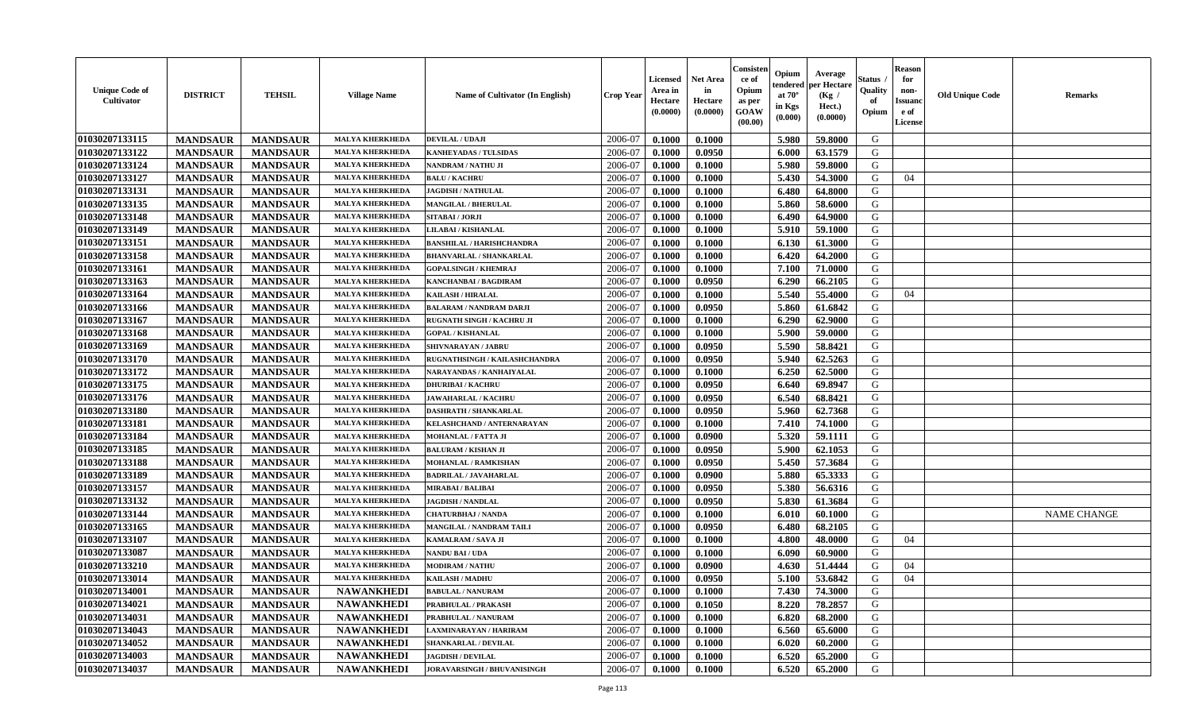| <b>Unique Code of</b><br>Cultivator | <b>DISTRICT</b> | <b>TEHSIL</b>   | <b>Village Name</b>    | Name of Cultivator (In English)    | <b>Crop Year</b> | <b>Licensed</b><br>Area in<br>Hectare<br>(0.0000) | Net Area<br>in<br>Hectare<br>(0.0000) | Consister<br>ce of<br>Opium<br>as per<br>GOAW<br>(00.00) | Opium<br>endered<br>at $70^{\circ}$<br>in Kgs<br>$(\mathbf{0.000})$ | Average<br>per Hectare<br>(Kg /<br>Hect.)<br>(0.0000) | Status<br>Quality<br>of<br>Opium | <b>Reason</b><br>for<br>non-<br><b>Issuanc</b><br>e of<br>License | <b>Old Unique Code</b> | <b>Remarks</b>     |
|-------------------------------------|-----------------|-----------------|------------------------|------------------------------------|------------------|---------------------------------------------------|---------------------------------------|----------------------------------------------------------|---------------------------------------------------------------------|-------------------------------------------------------|----------------------------------|-------------------------------------------------------------------|------------------------|--------------------|
| 01030207133115                      | <b>MANDSAUR</b> | <b>MANDSAUR</b> | <b>MALYA KHERKHEDA</b> | <b>DEVILAL / UDAJI</b>             | 2006-07          | 0.1000                                            | 0.1000                                |                                                          | 5.980                                                               | 59.8000                                               | G                                |                                                                   |                        |                    |
| 01030207133122                      | <b>MANDSAUR</b> | <b>MANDSAUR</b> | <b>MALYA KHERKHEDA</b> | <b>KANHEYADAS / TULSIDAS</b>       | 2006-07          | 0.1000                                            | 0.0950                                |                                                          | 6.000                                                               | 63.1579                                               | G                                |                                                                   |                        |                    |
| 01030207133124                      | <b>MANDSAUR</b> | <b>MANDSAUR</b> | <b>MALYA KHERKHEDA</b> | NANDRAM / NATHU JI                 | 2006-07          | 0.1000                                            | 0.1000                                |                                                          | 5.980                                                               | 59.8000                                               | G                                |                                                                   |                        |                    |
| 01030207133127                      | <b>MANDSAUR</b> | <b>MANDSAUR</b> | <b>MALYA KHERKHEDA</b> | <b>BALU / KACHRU</b>               | 2006-07          | 0.1000                                            | 0.1000                                |                                                          | 5.430                                                               | 54.3000                                               | G                                | 04                                                                |                        |                    |
| 01030207133131                      | <b>MANDSAUR</b> | <b>MANDSAUR</b> | <b>MALYA KHERKHEDA</b> | <b>JAGDISH / NATHULAL</b>          | 2006-07          | 0.1000                                            | 0.1000                                |                                                          | 6.480                                                               | 64.8000                                               | G                                |                                                                   |                        |                    |
| 01030207133135                      | <b>MANDSAUR</b> | <b>MANDSAUR</b> | <b>MALYA KHERKHEDA</b> | <b>MANGILAL / BHERULAL</b>         | 2006-07          | 0.1000                                            | 0.1000                                |                                                          | 5.860                                                               | 58.6000                                               | G                                |                                                                   |                        |                    |
| 01030207133148                      | <b>MANDSAUR</b> | <b>MANDSAUR</b> | <b>MALYA KHERKHEDA</b> | SITABAI / JORJI                    | 2006-07          | 0.1000                                            | 0.1000                                |                                                          | 6.490                                                               | 64.9000                                               | G                                |                                                                   |                        |                    |
| 01030207133149                      | <b>MANDSAUR</b> | <b>MANDSAUR</b> | <b>MALYA KHERKHEDA</b> | LILABAI / KISHANLAL                | 2006-07          | 0.1000                                            | 0.1000                                |                                                          | 5.910                                                               | 59.1000                                               | G                                |                                                                   |                        |                    |
| 01030207133151                      | <b>MANDSAUR</b> | <b>MANDSAUR</b> | <b>MALYA KHERKHEDA</b> | <b>BANSHILAL / HARISHCHANDRA</b>   | 2006-07          | 0.1000                                            | 0.1000                                |                                                          | 6.130                                                               | 61.3000                                               | G                                |                                                                   |                        |                    |
| 01030207133158                      | <b>MANDSAUR</b> | <b>MANDSAUR</b> | <b>MALYA KHERKHEDA</b> | <b>BHANVARLAL / SHANKARLAL</b>     | 2006-07          | 0.1000                                            | 0.1000                                |                                                          | 6.420                                                               | 64.2000                                               | G                                |                                                                   |                        |                    |
| 01030207133161                      | <b>MANDSAUR</b> | <b>MANDSAUR</b> | <b>MALYA KHERKHEDA</b> | <b>GOPALSINGH / KHEMRAJ</b>        | 2006-07          | 0.1000                                            | 0.1000                                |                                                          | 7.100                                                               | 71.0000                                               | G                                |                                                                   |                        |                    |
| 01030207133163                      | <b>MANDSAUR</b> | <b>MANDSAUR</b> | <b>MALYA KHERKHEDA</b> | KANCHANBAI / BAGDIRAM              | 2006-07          | 0.1000                                            | 0.0950                                |                                                          | 6.290                                                               | 66.2105                                               | G                                |                                                                   |                        |                    |
| 01030207133164                      | <b>MANDSAUR</b> | <b>MANDSAUR</b> | <b>MALYA KHERKHEDA</b> | KAILASH / HIRALAL                  | 2006-07          | 0.1000                                            | 0.1000                                |                                                          | 5.540                                                               | 55.4000                                               | G                                | 04                                                                |                        |                    |
| 01030207133166                      | <b>MANDSAUR</b> | <b>MANDSAUR</b> | <b>MALYA KHERKHEDA</b> | <b>BALARAM / NANDRAM DARJI</b>     | 2006-07          | 0.1000                                            | 0.0950                                |                                                          | 5.860                                                               | 61.6842                                               | G                                |                                                                   |                        |                    |
| 01030207133167                      | <b>MANDSAUR</b> | <b>MANDSAUR</b> | <b>MALYA KHERKHEDA</b> | <b>RUGNATH SINGH / KACHRU JI</b>   | 2006-07          | 0.1000                                            | 0.1000                                |                                                          | 6.290                                                               | 62.9000                                               | G                                |                                                                   |                        |                    |
| 01030207133168                      | <b>MANDSAUR</b> | <b>MANDSAUR</b> | <b>MALYA KHERKHEDA</b> | <b>GOPAL / KISHANLAL</b>           | 2006-07          | 0.1000                                            | 0.1000                                |                                                          | 5.900                                                               | 59.0000                                               | G                                |                                                                   |                        |                    |
| 01030207133169                      | <b>MANDSAUR</b> | <b>MANDSAUR</b> | <b>MALYA KHERKHEDA</b> | <b>SHIVNARAYAN / JABRU</b>         | 2006-07          | 0.1000                                            | 0.0950                                |                                                          | 5.590                                                               | 58.8421                                               | G                                |                                                                   |                        |                    |
| 01030207133170                      | <b>MANDSAUR</b> | <b>MANDSAUR</b> | <b>MALYA KHERKHEDA</b> | RUGNATHSINGH / KAILASHCHANDRA      | 2006-07          | 0.1000                                            | 0.0950                                |                                                          | 5.940                                                               | 62.5263                                               | G                                |                                                                   |                        |                    |
| 01030207133172                      | <b>MANDSAUR</b> | <b>MANDSAUR</b> | <b>MALYA KHERKHEDA</b> | NARAYANDAS / KANHAIYALAL           | 2006-07          | 0.1000                                            | 0.1000                                |                                                          | 6.250                                                               | 62.5000                                               | G                                |                                                                   |                        |                    |
| 01030207133175                      | <b>MANDSAUR</b> | <b>MANDSAUR</b> | <b>MALYA KHERKHEDA</b> | <b>DHURIBAI / KACHRU</b>           | 2006-07          | 0.1000                                            | 0.0950                                |                                                          | 6.640                                                               | 69.8947                                               | G                                |                                                                   |                        |                    |
| 01030207133176                      | <b>MANDSAUR</b> | <b>MANDSAUR</b> | <b>MALYA KHERKHEDA</b> | <b>JAWAHARLAL / KACHRU</b>         | 2006-07          | 0.1000                                            | 0.0950                                |                                                          | 6.540                                                               | 68.8421                                               | G                                |                                                                   |                        |                    |
| 01030207133180                      | <b>MANDSAUR</b> | <b>MANDSAUR</b> | <b>MALYA KHERKHEDA</b> | DASHRATH / SHANKARLAL              | 2006-07          | 0.1000                                            | 0.0950                                |                                                          | 5.960                                                               | 62.7368                                               | G                                |                                                                   |                        |                    |
| 01030207133181                      | <b>MANDSAUR</b> | <b>MANDSAUR</b> | <b>MALYA KHERKHEDA</b> | KELASHCHAND / ANTERNARAYAN         | 2006-07          | 0.1000                                            | 0.1000                                |                                                          | 7.410                                                               | 74.1000                                               | G                                |                                                                   |                        |                    |
| 01030207133184                      | <b>MANDSAUR</b> | <b>MANDSAUR</b> | <b>MALYA KHERKHEDA</b> | MOHANLAL / FATTA JI                | 2006-07          | 0.1000                                            | 0.0900                                |                                                          | 5.320                                                               | 59.1111                                               | G                                |                                                                   |                        |                    |
| 01030207133185                      | <b>MANDSAUR</b> | <b>MANDSAUR</b> | <b>MALYA KHERKHEDA</b> | <b>BALURAM / KISHAN JI</b>         | 2006-07          | 0.1000                                            | 0.0950                                |                                                          | 5.900                                                               | 62.1053                                               | G                                |                                                                   |                        |                    |
| 01030207133188                      | <b>MANDSAUR</b> | <b>MANDSAUR</b> | <b>MALYA KHERKHEDA</b> | MOHANLAL / RAMKISHAN               | 2006-07          | 0.1000                                            | 0.0950                                |                                                          | 5.450                                                               | 57.3684                                               | G                                |                                                                   |                        |                    |
| 01030207133189                      | <b>MANDSAUR</b> | <b>MANDSAUR</b> | <b>MALYA KHERKHEDA</b> | BADRILAL / JAVAHARLAL              | 2006-07          | 0.1000                                            | 0.0900                                |                                                          | 5.880                                                               | 65.3333                                               | G                                |                                                                   |                        |                    |
| 01030207133157                      | <b>MANDSAUR</b> | <b>MANDSAUR</b> | <b>MALYA KHERKHEDA</b> | <b>MIRABAI / BALIBAI</b>           | 2006-07          | 0.1000                                            | 0.0950                                |                                                          | 5.380                                                               | 56.6316                                               | G                                |                                                                   |                        |                    |
| 01030207133132                      | <b>MANDSAUR</b> | <b>MANDSAUR</b> | <b>MALYA KHERKHEDA</b> | <b>JAGDISH / NANDLAL</b>           | 2006-07          | 0.1000                                            | 0.0950                                |                                                          | 5.830                                                               | 61.3684                                               | G                                |                                                                   |                        |                    |
| 01030207133144                      | <b>MANDSAUR</b> | <b>MANDSAUR</b> | <b>MALYA KHERKHEDA</b> | <b>CHATURBHAJ / NANDA</b>          | 2006-07          | 0.1000                                            | 0.1000                                |                                                          | 6.010                                                               | 60.1000                                               | G                                |                                                                   |                        | <b>NAME CHANGE</b> |
| 01030207133165                      | <b>MANDSAUR</b> | <b>MANDSAUR</b> | <b>MALYA KHERKHEDA</b> | MANGILAL / NANDRAM TAILI           | 2006-07          | 0.1000                                            | 0.0950                                |                                                          | 6.480                                                               | 68.2105                                               | G                                |                                                                   |                        |                    |
| 01030207133107                      | <b>MANDSAUR</b> | <b>MANDSAUR</b> | <b>MALYA KHERKHEDA</b> | KAMALRAM / SAVA JI                 | 2006-07          | 0.1000                                            | 0.1000                                |                                                          | 4.800                                                               | 48.0000                                               | G                                | 04                                                                |                        |                    |
| 01030207133087                      | <b>MANDSAUR</b> | <b>MANDSAUR</b> | <b>MALYA KHERKHEDA</b> | NANDU BAI / UDA                    | 2006-07          | 0.1000                                            | 0.1000                                |                                                          | 6.090                                                               | 60.9000                                               | G                                |                                                                   |                        |                    |
| 01030207133210                      | <b>MANDSAUR</b> | <b>MANDSAUR</b> | <b>MALYA KHERKHEDA</b> | <b>MODIRAM / NATHU</b>             | 2006-07          | 0.1000                                            | 0.0900                                |                                                          | 4.630                                                               | 51.4444                                               | G                                | 04                                                                |                        |                    |
| 01030207133014                      | <b>MANDSAUR</b> | <b>MANDSAUR</b> | <b>MALYA KHERKHEDA</b> | KAILASH / MADHU                    | 2006-07          | 0.1000                                            | 0.0950                                |                                                          | 5.100                                                               | 53.6842                                               | G                                | 04                                                                |                        |                    |
| 01030207134001                      | <b>MANDSAUR</b> | MANDSAUR        | <b>NAWANKHEDI</b>      | <b>BABULAL / NANURAM</b>           | 2006-07          | 0.1000                                            | 0.1000                                |                                                          |                                                                     | 7.430 74.3000                                         | G                                |                                                                   |                        |                    |
| 01030207134021                      | <b>MANDSAUR</b> | <b>MANDSAUR</b> | <b>NAWANKHEDI</b>      | PRABHULAL / PRAKASH                | 2006-07          | 0.1000                                            | 0.1050                                |                                                          | 8.220                                                               | 78.2857                                               | G                                |                                                                   |                        |                    |
| 01030207134031                      | <b>MANDSAUR</b> | <b>MANDSAUR</b> | <b>NAWANKHEDI</b>      | PRABHULAL / NANURAM                | 2006-07          | 0.1000                                            | 0.1000                                |                                                          | 6.820                                                               | 68.2000                                               | G                                |                                                                   |                        |                    |
| 01030207134043                      | <b>MANDSAUR</b> | <b>MANDSAUR</b> | <b>NAWANKHEDI</b>      | LAXMINARAYAN / HARIRAM             | 2006-07          | 0.1000                                            | 0.1000                                |                                                          | 6.560                                                               | 65.6000                                               | G                                |                                                                   |                        |                    |
| 01030207134052                      | <b>MANDSAUR</b> | <b>MANDSAUR</b> | <b>NAWANKHEDI</b>      | SHANKARLAL / DEVILAL               | 2006-07          | 0.1000                                            | 0.1000                                |                                                          | 6.020                                                               | 60.2000                                               | G                                |                                                                   |                        |                    |
| 01030207134003                      | <b>MANDSAUR</b> | <b>MANDSAUR</b> | <b>NAWANKHEDI</b>      | <b>JAGDISH / DEVILAL</b>           | 2006-07          | 0.1000                                            | 0.1000                                |                                                          | 6.520                                                               | 65.2000                                               | G                                |                                                                   |                        |                    |
| 01030207134037                      | <b>MANDSAUR</b> | <b>MANDSAUR</b> | <b>NAWANKHEDI</b>      | <b>JORAVARSINGH / BHUVANISINGH</b> | 2006-07          | 0.1000                                            | 0.1000                                |                                                          | 6.520                                                               | 65.2000                                               | G                                |                                                                   |                        |                    |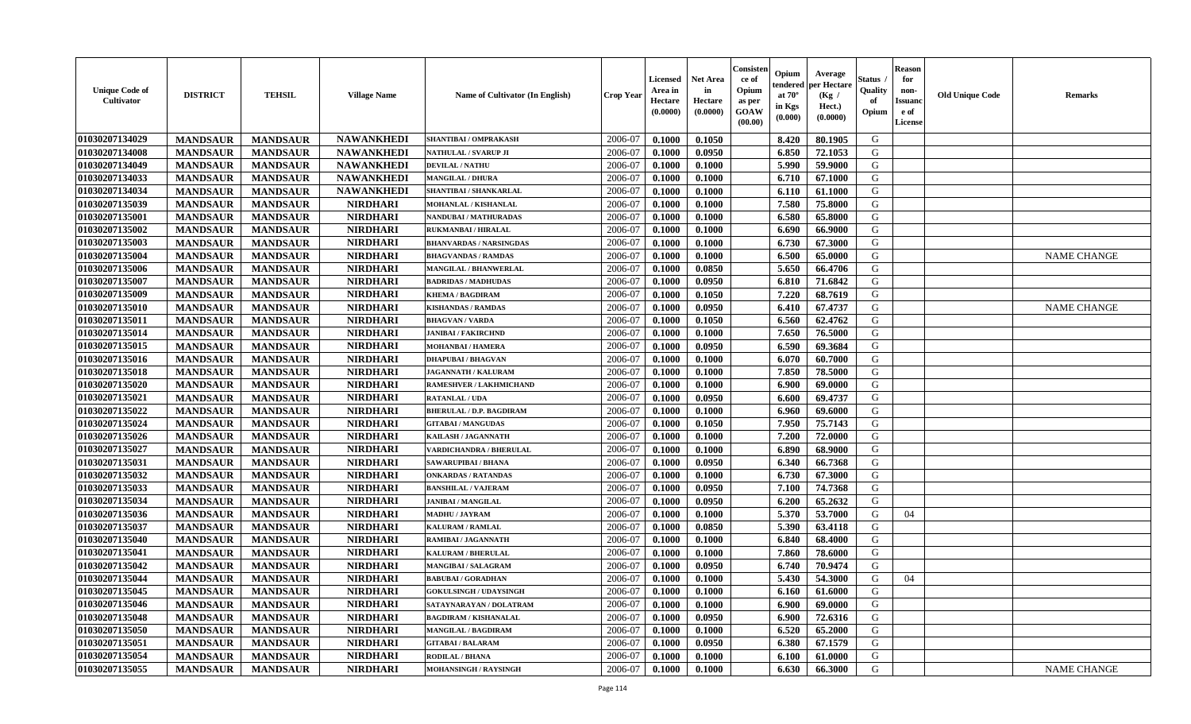| <b>Unique Code of</b><br>Cultivator | <b>DISTRICT</b> | <b>TEHSIL</b>   | <b>Village Name</b> | Name of Cultivator (In English) | <b>Crop Year</b> | <b>Licensed</b><br>Area in<br>Hectare<br>(0.0000) | <b>Net Area</b><br>in<br>Hectare<br>(0.0000) | Consister<br>ce of<br>Opium<br>as per<br>GOAW<br>(00.00) | Opium<br>endered<br>at $70^\circ$<br>in Kgs<br>(0.000) | Average<br>per Hectare<br>(Kg /<br>Hect.)<br>(0.0000) | <b>Status</b> .<br>Quality<br>of<br>Opium | <b>Reason</b><br>for<br>non-<br><b>Issuanc</b><br>e of<br>License | <b>Old Unique Code</b> | <b>Remarks</b>     |
|-------------------------------------|-----------------|-----------------|---------------------|---------------------------------|------------------|---------------------------------------------------|----------------------------------------------|----------------------------------------------------------|--------------------------------------------------------|-------------------------------------------------------|-------------------------------------------|-------------------------------------------------------------------|------------------------|--------------------|
| 01030207134029                      | <b>MANDSAUR</b> | <b>MANDSAUR</b> | <b>NAWANKHEDI</b>   | SHANTIBAI / OMPRAKASH           | 2006-07          | 0.1000                                            | 0.1050                                       |                                                          | 8.420                                                  | 80.1905                                               | G                                         |                                                                   |                        |                    |
| 01030207134008                      | <b>MANDSAUR</b> | <b>MANDSAUR</b> | <b>NAWANKHEDI</b>   | NATHULAL / SVARUP JI            | 2006-07          | 0.1000                                            | 0.0950                                       |                                                          | 6.850                                                  | 72.1053                                               | G                                         |                                                                   |                        |                    |
| 01030207134049                      | <b>MANDSAUR</b> | <b>MANDSAUR</b> | <b>NAWANKHEDI</b>   | <b>DEVILAL / NATHU</b>          | 2006-07          | 0.1000                                            | 0.1000                                       |                                                          | 5.990                                                  | 59.9000                                               | G                                         |                                                                   |                        |                    |
| 01030207134033                      | <b>MANDSAUR</b> | <b>MANDSAUR</b> | <b>NAWANKHEDI</b>   | <b>MANGILAL / DHURA</b>         | 2006-07          | 0.1000                                            | 0.1000                                       |                                                          | 6.710                                                  | 67.1000                                               | G                                         |                                                                   |                        |                    |
| 01030207134034                      | <b>MANDSAUR</b> | <b>MANDSAUR</b> | <b>NAWANKHEDI</b>   | SHANTIBAI / SHANKARLAL          | 2006-07          | 0.1000                                            | 0.1000                                       |                                                          | 6.110                                                  | 61.1000                                               | G                                         |                                                                   |                        |                    |
| 01030207135039                      | <b>MANDSAUR</b> | <b>MANDSAUR</b> | <b>NIRDHARI</b>     | MOHANLAL / KISHANLAL            | 2006-07          | 0.1000                                            | 0.1000                                       |                                                          | 7.580                                                  | 75.8000                                               | G                                         |                                                                   |                        |                    |
| 01030207135001                      | <b>MANDSAUR</b> | <b>MANDSAUR</b> | <b>NIRDHARI</b>     | <b>NANDUBAI/MATHURADAS</b>      | 2006-07          | 0.1000                                            | 0.1000                                       |                                                          | 6.580                                                  | 65.8000                                               | G                                         |                                                                   |                        |                    |
| 01030207135002                      | <b>MANDSAUR</b> | <b>MANDSAUR</b> | <b>NIRDHARI</b>     | <b>RUKMANBAI / HIRALAL</b>      | 2006-07          | 0.1000                                            | 0.1000                                       |                                                          | 6.690                                                  | 66.9000                                               | G                                         |                                                                   |                        |                    |
| 01030207135003                      | <b>MANDSAUR</b> | <b>MANDSAUR</b> | <b>NIRDHARI</b>     | <b>BHANVARDAS / NARSINGDAS</b>  | 2006-07          | 0.1000                                            | 0.1000                                       |                                                          | 6.730                                                  | 67.3000                                               | G                                         |                                                                   |                        |                    |
| 01030207135004                      | <b>MANDSAUR</b> | <b>MANDSAUR</b> | <b>NIRDHARI</b>     | <b>BHAGVANDAS / RAMDAS</b>      | 2006-07          | 0.1000                                            | 0.1000                                       |                                                          | 6.500                                                  | 65.0000                                               | G                                         |                                                                   |                        | <b>NAME CHANGE</b> |
| 01030207135006                      | <b>MANDSAUR</b> | <b>MANDSAUR</b> | <b>NIRDHARI</b>     | <b>MANGILAL / BHANWERLAL</b>    | 2006-07          | 0.1000                                            | 0.0850                                       |                                                          | 5.650                                                  | 66.4706                                               | G                                         |                                                                   |                        |                    |
| 01030207135007                      | <b>MANDSAUR</b> | <b>MANDSAUR</b> | <b>NIRDHARI</b>     | <b>BADRIDAS / MADHUDAS</b>      | 2006-07          | 0.1000                                            | 0.0950                                       |                                                          | 6.810                                                  | 71.6842                                               | G                                         |                                                                   |                        |                    |
| 01030207135009                      | <b>MANDSAUR</b> | <b>MANDSAUR</b> | <b>NIRDHARI</b>     | <b>KHEMA / BAGDIRAM</b>         | 2006-07          | 0.1000                                            | 0.1050                                       |                                                          | 7.220                                                  | 68.7619                                               | G                                         |                                                                   |                        |                    |
| 01030207135010                      | <b>MANDSAUR</b> | <b>MANDSAUR</b> | <b>NIRDHARI</b>     | <b>KISHANDAS / RAMDAS</b>       | 2006-07          | 0.1000                                            | 0.0950                                       |                                                          | 6.410                                                  | 67.4737                                               | G                                         |                                                                   |                        | <b>NAME CHANGE</b> |
| 01030207135011                      | <b>MANDSAUR</b> | <b>MANDSAUR</b> | <b>NIRDHARI</b>     | <b>BHAGVAN / VARDA</b>          | 2006-07          | 0.1000                                            | 0.1050                                       |                                                          | 6.560                                                  | 62.4762                                               | ${\bf G}$                                 |                                                                   |                        |                    |
| 01030207135014                      | <b>MANDSAUR</b> | <b>MANDSAUR</b> | <b>NIRDHARI</b>     | <b>JANIBAI / FAKIRCHND</b>      | 2006-07          | 0.1000                                            | 0.1000                                       |                                                          | 7.650                                                  | 76.5000                                               | G                                         |                                                                   |                        |                    |
| 01030207135015                      | <b>MANDSAUR</b> | <b>MANDSAUR</b> | <b>NIRDHARI</b>     | <b>MOHANBAI/HAMERA</b>          | 2006-07          | 0.1000                                            | 0.0950                                       |                                                          | 6.590                                                  | 69.3684                                               | G                                         |                                                                   |                        |                    |
| 01030207135016                      | <b>MANDSAUR</b> | <b>MANDSAUR</b> | <b>NIRDHARI</b>     | <b>DHAPUBAI/BHAGVAN</b>         | 2006-07          | 0.1000                                            | 0.1000                                       |                                                          | 6.070                                                  | 60.7000                                               | G                                         |                                                                   |                        |                    |
| 01030207135018                      | <b>MANDSAUR</b> | <b>MANDSAUR</b> | <b>NIRDHARI</b>     | <b>JAGANNATH / KALURAM</b>      | 2006-07          | 0.1000                                            | 0.1000                                       |                                                          | 7.850                                                  | 78.5000                                               | G                                         |                                                                   |                        |                    |
| 01030207135020                      | <b>MANDSAUR</b> | <b>MANDSAUR</b> | <b>NIRDHARI</b>     | RAMESHVER / LAKHMICHAND         | 2006-07          | 0.1000                                            | 0.1000                                       |                                                          | 6.900                                                  | 69.0000                                               | G                                         |                                                                   |                        |                    |
| 01030207135021                      | <b>MANDSAUR</b> | <b>MANDSAUR</b> | <b>NIRDHARI</b>     | <b>RATANLAL / UDA</b>           | 2006-07          | 0.1000                                            | 0.0950                                       |                                                          | 6.600                                                  | 69.4737                                               | G                                         |                                                                   |                        |                    |
| 01030207135022                      | <b>MANDSAUR</b> | <b>MANDSAUR</b> | <b>NIRDHARI</b>     | <b>BHERULAL / D.P. BAGDIRAM</b> | 2006-07          | 0.1000                                            | 0.1000                                       |                                                          | 6.960                                                  | 69.6000                                               | G                                         |                                                                   |                        |                    |
|                                     |                 |                 |                     | <b>GITABAI/MANGUDAS</b>         |                  |                                                   |                                              |                                                          |                                                        |                                                       | G                                         |                                                                   |                        |                    |
| 01030207135024                      | <b>MANDSAUR</b> | <b>MANDSAUR</b> | <b>NIRDHARI</b>     |                                 | 2006-07          | 0.1000                                            | 0.1050                                       |                                                          | 7.950                                                  | 75.7143                                               |                                           |                                                                   |                        |                    |
| 01030207135026                      | <b>MANDSAUR</b> | <b>MANDSAUR</b> | <b>NIRDHARI</b>     | KAILASH / JAGANNATH             | 2006-07          | 0.1000                                            | 0.1000                                       |                                                          | 7.200                                                  | 72.0000                                               | G                                         |                                                                   |                        |                    |
| 01030207135027                      | <b>MANDSAUR</b> | <b>MANDSAUR</b> | <b>NIRDHARI</b>     | <b>VARDICHANDRA / BHERULAL</b>  | 2006-07          | 0.1000                                            | 0.1000                                       |                                                          | 6.890                                                  | 68.9000                                               | G                                         |                                                                   |                        |                    |
| 01030207135031                      | <b>MANDSAUR</b> | <b>MANDSAUR</b> | <b>NIRDHARI</b>     | SAWARUPIBAI / BHANA             | 2006-07          | 0.1000                                            | 0.0950                                       |                                                          | 6.340                                                  | 66.7368                                               | G                                         |                                                                   |                        |                    |
| 01030207135032                      | <b>MANDSAUR</b> | <b>MANDSAUR</b> | <b>NIRDHARI</b>     | <b>ONKARDAS / RATANDAS</b>      | 2006-07          | 0.1000                                            | 0.1000                                       |                                                          | 6.730                                                  | 67.3000                                               | G                                         |                                                                   |                        |                    |
| 01030207135033                      | <b>MANDSAUR</b> | <b>MANDSAUR</b> | <b>NIRDHARI</b>     | <b>BANSHILAL / VAJERAM</b>      | 2006-07          | 0.1000                                            | 0.0950                                       |                                                          | 7.100                                                  | 74.7368                                               | G                                         |                                                                   |                        |                    |
| 01030207135034                      | <b>MANDSAUR</b> | <b>MANDSAUR</b> | <b>NIRDHARI</b>     | <b>JANIBAI / MANGILAL</b>       | 2006-07          | 0.1000                                            | 0.0950                                       |                                                          | 6.200                                                  | 65.2632                                               | G                                         |                                                                   |                        |                    |
| 01030207135036                      | <b>MANDSAUR</b> | <b>MANDSAUR</b> | <b>NIRDHARI</b>     | MADHU / JAYRAM                  | 2006-07          | 0.1000                                            | 0.1000                                       |                                                          | 5.370                                                  | 53.7000                                               | G                                         | 04                                                                |                        |                    |
| 01030207135037                      | <b>MANDSAUR</b> | <b>MANDSAUR</b> | <b>NIRDHARI</b>     | <b>KALURAM / RAMLAL</b>         | 2006-07          | 0.1000                                            | 0.0850                                       |                                                          | 5.390                                                  | 63.4118                                               | G                                         |                                                                   |                        |                    |
| 01030207135040                      | <b>MANDSAUR</b> | <b>MANDSAUR</b> | <b>NIRDHARI</b>     | RAMIBAI / JAGANNATH             | 2006-07          | 0.1000                                            | 0.1000                                       |                                                          | 6.840                                                  | 68.4000                                               | G                                         |                                                                   |                        |                    |
| 01030207135041                      | <b>MANDSAUR</b> | <b>MANDSAUR</b> | <b>NIRDHARI</b>     | KALURAM / BHERULAL              | 2006-07          | 0.1000                                            | 0.1000                                       |                                                          | 7.860                                                  | 78.6000                                               | G                                         |                                                                   |                        |                    |
| 01030207135042                      | <b>MANDSAUR</b> | <b>MANDSAUR</b> | <b>NIRDHARI</b>     | <b>MANGIBAI/SALAGRAM</b>        | 2006-07          | 0.1000                                            | 0.0950                                       |                                                          | 6.740                                                  | 70.9474                                               | G                                         |                                                                   |                        |                    |
| 01030207135044                      | <b>MANDSAUR</b> | <b>MANDSAUR</b> | <b>NIRDHARI</b>     | <b>BABUBAI / GORADHAN</b>       | 2006-07          | 0.1000                                            | 0.1000                                       |                                                          | 5.430                                                  | 54.3000                                               | G                                         | 04                                                                |                        |                    |
| 01030207135045                      | <b>MANDSAUR</b> | <b>MANDSAUR</b> | <b>NIRDHARI</b>     | <b>GOKULSINGH / UDAYSINGH</b>   | 2006-07          | 0.1000                                            | 0.1000                                       |                                                          | 6.160                                                  | 61.6000                                               | G                                         |                                                                   |                        |                    |
| 01030207135046                      | <b>MANDSAUR</b> | <b>MANDSAUR</b> | <b>NIRDHARI</b>     | SATAYNARAYAN / DOLATRAM         | 2006-07          | 0.1000                                            | 0.1000                                       |                                                          | 6.900                                                  | 69.0000                                               | G                                         |                                                                   |                        |                    |
| 01030207135048                      | <b>MANDSAUR</b> | <b>MANDSAUR</b> | <b>NIRDHARI</b>     | <b>BAGDIRAM / KISHANALAL</b>    | 2006-07          | 0.1000                                            | 0.0950                                       |                                                          | 6.900                                                  | 72.6316                                               | G                                         |                                                                   |                        |                    |
| 01030207135050                      | <b>MANDSAUR</b> | <b>MANDSAUR</b> | <b>NIRDHARI</b>     | <b>MANGILAL / BAGDIRAM</b>      | 2006-07          | 0.1000                                            | 0.1000                                       |                                                          | 6.520                                                  | 65.2000                                               | G                                         |                                                                   |                        |                    |
| 01030207135051                      | <b>MANDSAUR</b> | <b>MANDSAUR</b> | <b>NIRDHARI</b>     | <b>GITABAI/BALARAM</b>          | 2006-07          | 0.1000                                            | 0.0950                                       |                                                          | 6.380                                                  | 67.1579                                               | ${\bf G}$                                 |                                                                   |                        |                    |
| 01030207135054                      | <b>MANDSAUR</b> | <b>MANDSAUR</b> | <b>NIRDHARI</b>     | RODILAL / BHANA                 | 2006-07          | 0.1000                                            | 0.1000                                       |                                                          | 6.100                                                  | 61.0000                                               | G                                         |                                                                   |                        |                    |
| 01030207135055                      | <b>MANDSAUR</b> | <b>MANDSAUR</b> | <b>NIRDHARI</b>     | <b>MOHANSINGH / RAYSINGH</b>    | 2006-07          | 0.1000                                            | 0.1000                                       |                                                          | 6.630                                                  | 66.3000                                               | G                                         |                                                                   |                        | <b>NAME CHANGE</b> |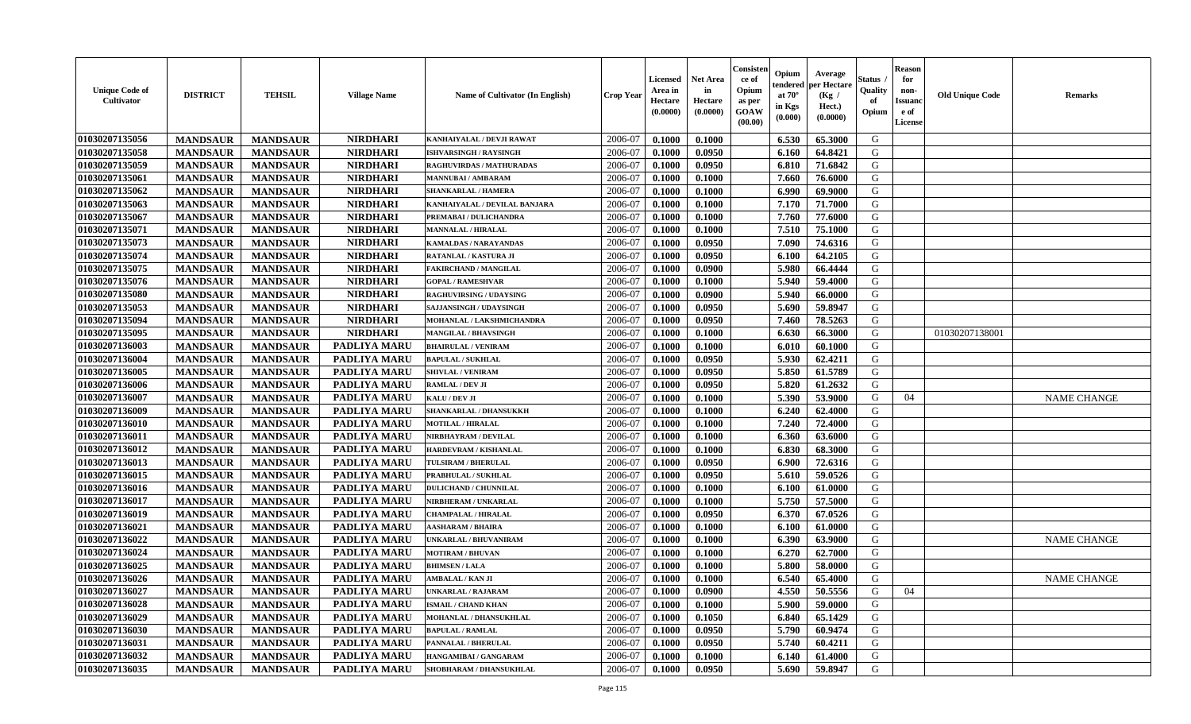| <b>Unique Code of</b><br>Cultivator | <b>DISTRICT</b> | <b>TEHSIL</b>   | <b>Village Name</b> | Name of Cultivator (In English) | <b>Crop Year</b> | <b>Licensed</b><br>Area in<br>Hectare<br>(0.0000) | <b>Net Area</b><br>in<br>Hectare<br>(0.0000) | Consister<br>ce of<br>Opium<br>as per<br><b>GOAW</b><br>(00.00) | Opium<br>endered<br>at $70^{\circ}$<br>in Kgs<br>(0.000) | Average<br>per Hectare<br>(Kg /<br>Hect.)<br>(0.0000) | <b>Status</b><br>Quality<br>of<br>Opium | <b>Reason</b><br>for<br>non-<br><b>Issuand</b><br>e of<br>License | <b>Old Unique Code</b> | <b>Remarks</b>     |
|-------------------------------------|-----------------|-----------------|---------------------|---------------------------------|------------------|---------------------------------------------------|----------------------------------------------|-----------------------------------------------------------------|----------------------------------------------------------|-------------------------------------------------------|-----------------------------------------|-------------------------------------------------------------------|------------------------|--------------------|
| 01030207135056                      | <b>MANDSAUR</b> | <b>MANDSAUR</b> | <b>NIRDHARI</b>     | KANHAIYALAL / DEVJI RAWAT       | 2006-07          | 0.1000                                            | 0.1000                                       |                                                                 | 6.530                                                    | 65.3000                                               | G                                       |                                                                   |                        |                    |
| 01030207135058                      | <b>MANDSAUR</b> | <b>MANDSAUR</b> | <b>NIRDHARI</b>     | <b>ISHVARSINGH / RAYSINGH</b>   | 2006-07          | 0.1000                                            | 0.0950                                       |                                                                 | 6.160                                                    | 64.8421                                               | G                                       |                                                                   |                        |                    |
| 01030207135059                      | <b>MANDSAUR</b> | <b>MANDSAUR</b> | <b>NIRDHARI</b>     | RAGHUVIRDAS / MATHURADAS        | 2006-07          | 0.1000                                            | 0.0950                                       |                                                                 | 6.810                                                    | 71.6842                                               | G                                       |                                                                   |                        |                    |
| 01030207135061                      | <b>MANDSAUR</b> | <b>MANDSAUR</b> | <b>NIRDHARI</b>     | MANNUBAI / AMBARAM              | 2006-07          | 0.1000                                            | 0.1000                                       |                                                                 | 7.660                                                    | 76.6000                                               | G                                       |                                                                   |                        |                    |
| 01030207135062                      | <b>MANDSAUR</b> | <b>MANDSAUR</b> | <b>NIRDHARI</b>     | SHANKARLAL / HAMERA             | 2006-07          | 0.1000                                            | 0.1000                                       |                                                                 | 6.990                                                    | 69.9000                                               | G                                       |                                                                   |                        |                    |
| 01030207135063                      | <b>MANDSAUR</b> | <b>MANDSAUR</b> | <b>NIRDHARI</b>     | KANHAIYALAL / DEVILAL BANJARA   | 2006-07          | 0.1000                                            | 0.1000                                       |                                                                 | 7.170                                                    | 71.7000                                               | G                                       |                                                                   |                        |                    |
| 01030207135067                      | <b>MANDSAUR</b> | <b>MANDSAUR</b> | <b>NIRDHARI</b>     | PREMABAI / DULICHANDRA          | 2006-07          | 0.1000                                            | 0.1000                                       |                                                                 | 7.760                                                    | 77.6000                                               | G                                       |                                                                   |                        |                    |
| 01030207135071                      | <b>MANDSAUR</b> | <b>MANDSAUR</b> | <b>NIRDHARI</b>     | <b>MANNALAL / HIRALAL</b>       | 2006-07          | 0.1000                                            | 0.1000                                       |                                                                 | 7.510                                                    | 75.1000                                               | G                                       |                                                                   |                        |                    |
| 01030207135073                      | <b>MANDSAUR</b> | <b>MANDSAUR</b> | <b>NIRDHARI</b>     | <b>KAMALDAS / NARAYANDAS</b>    | 2006-07          | 0.1000                                            | 0.0950                                       |                                                                 | 7.090                                                    | 74.6316                                               | G                                       |                                                                   |                        |                    |
| 01030207135074                      | <b>MANDSAUR</b> | <b>MANDSAUR</b> | <b>NIRDHARI</b>     | RATANLAL / KASTURA JI           | 2006-07          | 0.1000                                            | 0.0950                                       |                                                                 | 6.100                                                    | 64.2105                                               | G                                       |                                                                   |                        |                    |
| 01030207135075                      | <b>MANDSAUR</b> | <b>MANDSAUR</b> | <b>NIRDHARI</b>     | <b>FAKIRCHAND / MANGILAL</b>    | 2006-07          | 0.1000                                            | 0.0900                                       |                                                                 | 5.980                                                    | 66.4444                                               | G                                       |                                                                   |                        |                    |
| 01030207135076                      | <b>MANDSAUR</b> | <b>MANDSAUR</b> | <b>NIRDHARI</b>     | <b>GOPAL / RAMESHVAR</b>        | 2006-07          | 0.1000                                            | 0.1000                                       |                                                                 | 5.940                                                    | 59.4000                                               | G                                       |                                                                   |                        |                    |
| 01030207135080                      | <b>MANDSAUR</b> | <b>MANDSAUR</b> | <b>NIRDHARI</b>     | <b>RAGHUVIRSING / UDAYSING</b>  | 2006-07          | 0.1000                                            | 0.0900                                       |                                                                 | 5.940                                                    | 66.0000                                               | G                                       |                                                                   |                        |                    |
| 01030207135053                      | <b>MANDSAUR</b> | <b>MANDSAUR</b> | <b>NIRDHARI</b>     | <b>SAJJANSINGH / UDAYSINGH</b>  | 2006-07          | 0.1000                                            | 0.0950                                       |                                                                 | 5.690                                                    | 59.8947                                               | G                                       |                                                                   |                        |                    |
| 01030207135094                      | <b>MANDSAUR</b> | <b>MANDSAUR</b> | <b>NIRDHARI</b>     | MOHANLAL / LAKSHMICHANDRA       | 2006-07          | 0.1000                                            | 0.0950                                       |                                                                 | 7.460                                                    | 78.5263                                               | G                                       |                                                                   |                        |                    |
| 01030207135095                      | <b>MANDSAUR</b> | <b>MANDSAUR</b> | <b>NIRDHARI</b>     | MANGILAL / BHAVSINGH            | 2006-07          | 0.1000                                            | 0.1000                                       |                                                                 | 6.630                                                    | 66.3000                                               | G                                       |                                                                   | 01030207138001         |                    |
| 01030207136003                      | <b>MANDSAUR</b> | <b>MANDSAUR</b> | <b>PADLIYA MARU</b> | <b>BHAIRULAL / VENIRAM</b>      | 2006-07          | 0.1000                                            | 0.1000                                       |                                                                 | 6.010                                                    | 60.1000                                               | G                                       |                                                                   |                        |                    |
| 01030207136004                      | <b>MANDSAUR</b> | <b>MANDSAUR</b> | PADLIYA MARU        | <b>BAPULAL / SUKHLAL</b>        | 2006-07          | 0.1000                                            | 0.0950                                       |                                                                 | 5.930                                                    | 62,4211                                               | G                                       |                                                                   |                        |                    |
| 01030207136005                      | <b>MANDSAUR</b> | <b>MANDSAUR</b> | <b>PADLIYA MARU</b> | <b>SHIVLAL / VENIRAM</b>        | 2006-07          | 0.1000                                            | 0.0950                                       |                                                                 | 5.850                                                    | 61.5789                                               | G                                       |                                                                   |                        |                    |
| 01030207136006                      | <b>MANDSAUR</b> | <b>MANDSAUR</b> | PADLIYA MARU        | RAMLAL / DEV JI                 | 2006-07          | 0.1000                                            | 0.0950                                       |                                                                 | 5.820                                                    | 61.2632                                               | G                                       |                                                                   |                        |                    |
| 01030207136007                      | <b>MANDSAUR</b> | <b>MANDSAUR</b> | PADLIYA MARU        | KALU / DEV JI                   | 2006-07          | 0.1000                                            | 0.1000                                       |                                                                 | 5.390                                                    | 53.9000                                               | G                                       | 04                                                                |                        | <b>NAME CHANGE</b> |
| 01030207136009                      | <b>MANDSAUR</b> | <b>MANDSAUR</b> | PADLIYA MARU        | SHANKARLAL / DHANSUKKH          | 2006-07          | 0.1000                                            | 0.1000                                       |                                                                 | 6.240                                                    | 62.4000                                               | G                                       |                                                                   |                        |                    |
| 01030207136010                      | <b>MANDSAUR</b> | <b>MANDSAUR</b> | PADLIYA MARU        | <b>MOTILAL / HIRALAL</b>        | 2006-07          | 0.1000                                            | 0.1000                                       |                                                                 | 7.240                                                    | 72.4000                                               | G                                       |                                                                   |                        |                    |
| 01030207136011                      | <b>MANDSAUR</b> | <b>MANDSAUR</b> | PADLIYA MARU        | <b>NIRBHAYRAM / DEVILAL</b>     | 2006-07          | 0.1000                                            | 0.1000                                       |                                                                 | 6.360                                                    | 63.6000                                               | G                                       |                                                                   |                        |                    |
| 01030207136012                      | <b>MANDSAUR</b> | <b>MANDSAUR</b> | PADLIYA MARU        | HARDEVRAM / KISHANLAL           | 2006-07          | 0.1000                                            | 0.1000                                       |                                                                 | 6.830                                                    | 68.3000                                               | G                                       |                                                                   |                        |                    |
| 01030207136013                      | <b>MANDSAUR</b> | <b>MANDSAUR</b> | PADLIYA MARU        | <b>TULSIRAM / BHERULAL</b>      | 2006-07          | 0.1000                                            | 0.0950                                       |                                                                 | 6.900                                                    | 72.6316                                               | G                                       |                                                                   |                        |                    |
| 01030207136015                      | <b>MANDSAUR</b> | <b>MANDSAUR</b> | PADLIYA MARU        | PRABHULAL / SUKHLAL             | 2006-07          | 0.1000                                            | 0.0950                                       |                                                                 | 5.610                                                    | 59.0526                                               | G                                       |                                                                   |                        |                    |
| 01030207136016                      | <b>MANDSAUR</b> | <b>MANDSAUR</b> | PADLIYA MARU        | <b>DULICHAND / CHUNNILAL</b>    | 2006-07          | 0.1000                                            | 0.1000                                       |                                                                 | 6.100                                                    | 61.0000                                               | G                                       |                                                                   |                        |                    |
| 01030207136017                      | <b>MANDSAUR</b> | <b>MANDSAUR</b> | PADLIYA MARU        | NIRBHERAM / UNKARLAL            | 2006-07          | 0.1000                                            | 0.1000                                       |                                                                 | 5.750                                                    | 57.5000                                               | G                                       |                                                                   |                        |                    |
| 01030207136019                      | <b>MANDSAUR</b> | <b>MANDSAUR</b> | <b>PADLIYA MARU</b> | <b>CHAMPALAL / HIRALAL</b>      | 2006-07          | 0.1000                                            | 0.0950                                       |                                                                 | 6.370                                                    | 67.0526                                               | G                                       |                                                                   |                        |                    |
| 01030207136021                      | <b>MANDSAUR</b> | <b>MANDSAUR</b> | PADLIYA MARU        | <b>AASHARAM / BHAIRA</b>        | 2006-07          | 0.1000                                            | 0.1000                                       |                                                                 | 6.100                                                    | 61.0000                                               | G                                       |                                                                   |                        |                    |
| 01030207136022                      | <b>MANDSAUR</b> | <b>MANDSAUR</b> | PADLIYA MARU        | <b>JNKARLAL / BHUVANIRAM</b>    | 2006-07          | 0.1000                                            | 0.1000                                       |                                                                 | 6.390                                                    | 63.9000                                               | G                                       |                                                                   |                        | <b>NAME CHANGE</b> |
| 01030207136024                      | <b>MANDSAUR</b> | <b>MANDSAUR</b> | PADLIYA MARU        | <b>MOTIRAM / BHUVAN</b>         | 2006-07          | 0.1000                                            | 0.1000                                       |                                                                 | 6.270                                                    | 62.7000                                               | G                                       |                                                                   |                        |                    |
| 01030207136025                      | <b>MANDSAUR</b> | <b>MANDSAUR</b> | <b>PADLIYA MARU</b> | <b>BHIMSEN/LALA</b>             | 2006-07          | 0.1000                                            | 0.1000                                       |                                                                 | 5.800                                                    | 58.0000                                               | G                                       |                                                                   |                        |                    |
| 01030207136026                      | <b>MANDSAUR</b> | <b>MANDSAUR</b> | PADLIYA MARU        | AMBALAL / KAN JI                | 2006-07          | 0.1000                                            | 0.1000                                       |                                                                 | 6.540                                                    | 65.4000                                               | G                                       |                                                                   |                        | <b>NAME CHANGE</b> |
| 01030207136027                      | <b>MANDSAUR</b> | MANDSAUR        | PADLIYA MARU        | <b>UNKARLAL / RAJARAM</b>       | 2006-07          | 0.1000                                            | 0.0900                                       |                                                                 |                                                          | $4.550$   50.5556                                     | G                                       | 04                                                                |                        |                    |
| 01030207136028                      | <b>MANDSAUR</b> | <b>MANDSAUR</b> | <b>PADLIYA MARU</b> | <b>ISMAIL / CHAND KHAN</b>      | 2006-07          | 0.1000                                            | 0.1000                                       |                                                                 | 5.900                                                    | 59.0000                                               | G                                       |                                                                   |                        |                    |
| 01030207136029                      | <b>MANDSAUR</b> | <b>MANDSAUR</b> | <b>PADLIYA MARU</b> | <b>MOHANLAL / DHANSUKHLAL</b>   | 2006-07          | 0.1000                                            | 0.1050                                       |                                                                 | 6.840                                                    | 65.1429                                               | G                                       |                                                                   |                        |                    |
| 01030207136030                      | <b>MANDSAUR</b> | <b>MANDSAUR</b> | <b>PADLIYA MARU</b> | <b>BAPULAL / RAMLAL</b>         | 2006-07          | 0.1000                                            | 0.0950                                       |                                                                 | 5.790                                                    | 60.9474                                               | G                                       |                                                                   |                        |                    |
| 01030207136031                      | <b>MANDSAUR</b> | <b>MANDSAUR</b> | <b>PADLIYA MARU</b> | PANNALAL / BHERULAL             | 2006-07          | 0.1000                                            | 0.0950                                       |                                                                 | 5.740                                                    | 60.4211                                               | G                                       |                                                                   |                        |                    |
| 01030207136032                      | <b>MANDSAUR</b> | <b>MANDSAUR</b> | <b>PADLIYA MARU</b> | HANGAMIBAI / GANGARAM           | 2006-07          | 0.1000                                            | 0.1000                                       |                                                                 | 6.140                                                    | 61.4000                                               | G                                       |                                                                   |                        |                    |
| 01030207136035                      | <b>MANDSAUR</b> | <b>MANDSAUR</b> | PADLIYA MARU        | SHOBHARAM / DHANSUKHLAL         | 2006-07          | 0.1000                                            | 0.0950                                       |                                                                 | 5.690                                                    | 59.8947                                               | G                                       |                                                                   |                        |                    |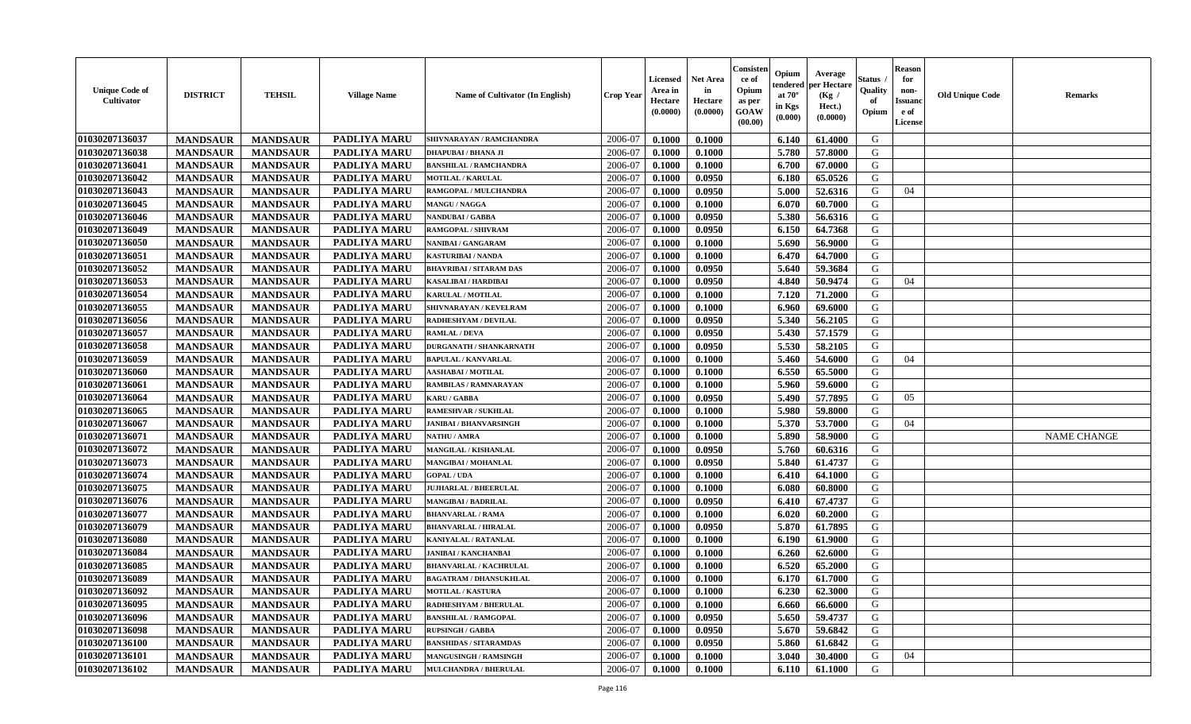| <b>Unique Code of</b><br><b>Cultivator</b> | <b>DISTRICT</b> | <b>TEHSIL</b>   | <b>Village Name</b> | Name of Cultivator (In English) | <b>Crop Year</b> | <b>Licensed</b><br>Area in<br>Hectare<br>(0.0000) | <b>Net Area</b><br>in<br>Hectare<br>(0.0000) | Consister<br>ce of<br>Opium<br>as per<br><b>GOAW</b><br>(00.00) | Opium<br>endered<br>at $70^\circ$<br>in Kgs<br>$(\mathbf{0.000})$ | Average<br>per Hectare<br>(Kg /<br>Hect.)<br>(0.0000) | Status<br>Quality<br>of<br>Opium | <b>Reason</b><br>for<br>non-<br><b>Issuano</b><br>e of<br>License | <b>Old Unique Code</b> | <b>Remarks</b>     |
|--------------------------------------------|-----------------|-----------------|---------------------|---------------------------------|------------------|---------------------------------------------------|----------------------------------------------|-----------------------------------------------------------------|-------------------------------------------------------------------|-------------------------------------------------------|----------------------------------|-------------------------------------------------------------------|------------------------|--------------------|
| 01030207136037                             | <b>MANDSAUR</b> | <b>MANDSAUR</b> | <b>PADLIYA MARU</b> | SHIVNARAYAN / RAMCHANDRA        | 2006-07          | 0.1000                                            | 0.1000                                       |                                                                 | 6.140                                                             | 61.4000                                               | G                                |                                                                   |                        |                    |
| 01030207136038                             | <b>MANDSAUR</b> | <b>MANDSAUR</b> | PADLIYA MARU        | DHAPUBAI / BHANA JI             | 2006-07          | 0.1000                                            | 0.1000                                       |                                                                 | 5.780                                                             | 57.8000                                               | G                                |                                                                   |                        |                    |
| 01030207136041                             | <b>MANDSAUR</b> | <b>MANDSAUR</b> | PADLIYA MARU        | <b>BANSHILAL / RAMCHANDRA</b>   | 2006-07          | 0.1000                                            | 0.1000                                       |                                                                 | 6.700                                                             | 67.0000                                               | G                                |                                                                   |                        |                    |
| 01030207136042                             | <b>MANDSAUR</b> | <b>MANDSAUR</b> | PADLIYA MARU        | <b>MOTILAL / KARULAL</b>        | 2006-07          | 0.1000                                            | 0.0950                                       |                                                                 | 6.180                                                             | 65.0526                                               | G                                |                                                                   |                        |                    |
| 01030207136043                             | <b>MANDSAUR</b> | <b>MANDSAUR</b> | <b>PADLIYA MARU</b> | RAMGOPAL / MULCHANDRA           | 2006-07          | 0.1000                                            | 0.0950                                       |                                                                 | 5.000                                                             | 52.6316                                               | G                                | 04                                                                |                        |                    |
| 01030207136045                             | <b>MANDSAUR</b> | <b>MANDSAUR</b> | <b>PADLIYA MARU</b> | MANGU / NAGGA                   | 2006-07          | 0.1000                                            | 0.1000                                       |                                                                 | 6.070                                                             | 60.7000                                               | G                                |                                                                   |                        |                    |
| 01030207136046                             | <b>MANDSAUR</b> | <b>MANDSAUR</b> | PADLIYA MARU        | <b>NANDUBAI/GABBA</b>           | 2006-07          | 0.1000                                            | 0.0950                                       |                                                                 | 5.380                                                             | 56.6316                                               | G                                |                                                                   |                        |                    |
| 01030207136049                             | <b>MANDSAUR</b> | <b>MANDSAUR</b> | <b>PADLIYA MARU</b> | RAMGOPAL / SHIVRAM              | 2006-07          | 0.1000                                            | 0.0950                                       |                                                                 | 6.150                                                             | 64.7368                                               | G                                |                                                                   |                        |                    |
| 01030207136050                             | <b>MANDSAUR</b> | <b>MANDSAUR</b> | PADLIYA MARU        | NANIBAI / GANGARAM              | 2006-07          | 0.1000                                            | 0.1000                                       |                                                                 | 5.690                                                             | 56.9000                                               | G                                |                                                                   |                        |                    |
| 01030207136051                             | <b>MANDSAUR</b> | <b>MANDSAUR</b> | <b>PADLIYA MARU</b> | KASTURIBAI / NANDA              | 2006-07          | 0.1000                                            | 0.1000                                       |                                                                 | 6.470                                                             | 64.7000                                               | G                                |                                                                   |                        |                    |
| 01030207136052                             | <b>MANDSAUR</b> | <b>MANDSAUR</b> | PADLIYA MARU        | BHAVRIBAI / SITARAM DAS         | 2006-07          | 0.1000                                            | 0.0950                                       |                                                                 | 5.640                                                             | 59.3684                                               | G                                |                                                                   |                        |                    |
| 01030207136053                             | <b>MANDSAUR</b> | <b>MANDSAUR</b> | <b>PADLIYA MARU</b> | KASALIBAI / HARDIBAI            | 2006-07          | 0.1000                                            | 0.0950                                       |                                                                 | 4.840                                                             | 50.9474                                               | G                                | 04                                                                |                        |                    |
| 01030207136054                             | <b>MANDSAUR</b> | <b>MANDSAUR</b> | PADLIYA MARU        | <b>KARULAL / MOTILAL</b>        | 2006-07          | 0.1000                                            | 0.1000                                       |                                                                 | 7.120                                                             | 71.2000                                               | G                                |                                                                   |                        |                    |
| 01030207136055                             | <b>MANDSAUR</b> | <b>MANDSAUR</b> | PADLIYA MARU        | SHIVNARAYAN / KEVELRAM          | 2006-07          | 0.1000                                            | 0.1000                                       |                                                                 | 6.960                                                             | 69.6000                                               | G                                |                                                                   |                        |                    |
| 01030207136056                             | <b>MANDSAUR</b> | <b>MANDSAUR</b> | PADLIYA MARU        | RADHESHYAM / DEVILAL            | 2006-07          | 0.1000                                            | 0.0950                                       |                                                                 | 5.340                                                             | 56.2105                                               | G                                |                                                                   |                        |                    |
| 01030207136057                             | <b>MANDSAUR</b> | <b>MANDSAUR</b> | <b>PADLIYA MARU</b> | <b>RAMLAL / DEVA</b>            | 2006-07          | 0.1000                                            | 0.0950                                       |                                                                 | 5.430                                                             | 57.1579                                               | G                                |                                                                   |                        |                    |
| 01030207136058                             | <b>MANDSAUR</b> | <b>MANDSAUR</b> | <b>PADLIYA MARU</b> | <b>DURGANATH / SHANKARNATH</b>  | 2006-07          | 0.1000                                            | 0.0950                                       |                                                                 | 5.530                                                             | 58.2105                                               | G                                |                                                                   |                        |                    |
| 01030207136059                             | <b>MANDSAUR</b> | <b>MANDSAUR</b> | PADLIYA MARU        | <b>BAPULAL / KANVARLAL</b>      | 2006-07          | 0.1000                                            | 0.1000                                       |                                                                 | 5.460                                                             | 54.6000                                               | G                                | 04                                                                |                        |                    |
| 01030207136060                             | <b>MANDSAUR</b> | <b>MANDSAUR</b> | PADLIYA MARU        | <b>AASHABAI / MOTILAL</b>       | 2006-07          | 0.1000                                            | 0.1000                                       |                                                                 | 6.550                                                             | 65.5000                                               | G                                |                                                                   |                        |                    |
| 01030207136061                             | <b>MANDSAUR</b> | <b>MANDSAUR</b> | PADLIYA MARU        | RAMBILAS / RAMNARAYAN           | 2006-07          | 0.1000                                            | 0.1000                                       |                                                                 | 5.960                                                             | 59.6000                                               | G                                |                                                                   |                        |                    |
| 01030207136064                             | <b>MANDSAUR</b> | <b>MANDSAUR</b> | <b>PADLIYA MARU</b> | <b>KARU / GABBA</b>             | 2006-07          | 0.1000                                            | 0.0950                                       |                                                                 | 5.490                                                             | 57.7895                                               | G                                | 05                                                                |                        |                    |
| 01030207136065                             | <b>MANDSAUR</b> | <b>MANDSAUR</b> | <b>PADLIYA MARU</b> | RAMESHVAR / SUKHLAL             | 2006-07          | 0.1000                                            | 0.1000                                       |                                                                 | 5.980                                                             | 59.8000                                               | G                                |                                                                   |                        |                    |
| 01030207136067                             | <b>MANDSAUR</b> | <b>MANDSAUR</b> | <b>PADLIYA MARU</b> | <b>JANIBAI / BHANVARSINGH</b>   | 2006-07          | 0.1000                                            | 0.1000                                       |                                                                 | 5.370                                                             | 53.7000                                               | G                                | 04                                                                |                        |                    |
| 01030207136071                             | <b>MANDSAUR</b> | <b>MANDSAUR</b> | <b>PADLIYA MARU</b> | NATHU / AMRA                    | 2006-07          | 0.1000                                            | 0.1000                                       |                                                                 | 5.890                                                             | 58.9000                                               | G                                |                                                                   |                        | <b>NAME CHANGE</b> |
| 01030207136072                             | <b>MANDSAUR</b> | <b>MANDSAUR</b> | PADLIYA MARU        | MANGILAL / KISHANLAL            | 2006-07          | 0.1000                                            | 0.0950                                       |                                                                 | 5.760                                                             | 60.6316                                               | G                                |                                                                   |                        |                    |
| 01030207136073                             | <b>MANDSAUR</b> | <b>MANDSAUR</b> | <b>PADLIYA MARU</b> | MANGIBAI / MOHANLAL             | 2006-07          | 0.1000                                            | 0.0950                                       |                                                                 | 5.840                                                             | 61.4737                                               | G                                |                                                                   |                        |                    |
| 01030207136074                             | <b>MANDSAUR</b> | <b>MANDSAUR</b> | <b>PADLIYA MARU</b> | <b>GOPAL / UDA</b>              | 2006-07          | 0.1000                                            | 0.1000                                       |                                                                 | 6.410                                                             | 64.1000                                               | G                                |                                                                   |                        |                    |
| 01030207136075                             | <b>MANDSAUR</b> | <b>MANDSAUR</b> | <b>PADLIYA MARU</b> | <b>JUJHARLAL / BHEERULAL</b>    | 2006-07          | 0.1000                                            | 0.1000                                       |                                                                 | 6.080                                                             | 60.8000                                               | G                                |                                                                   |                        |                    |
| 01030207136076                             | <b>MANDSAUR</b> | <b>MANDSAUR</b> | <b>PADLIYA MARU</b> | <b>MANGIBAI / BADRILAL</b>      | 2006-07          | 0.1000                                            | 0.0950                                       |                                                                 | 6.410                                                             | 67.4737                                               | G                                |                                                                   |                        |                    |
| 01030207136077                             | <b>MANDSAUR</b> | <b>MANDSAUR</b> | PADLIYA MARU        | <b>BHANVARLAL / RAMA</b>        | 2006-07          | 0.1000                                            | 0.1000                                       |                                                                 | 6.020                                                             | 60.2000                                               | G                                |                                                                   |                        |                    |
| 01030207136079                             | <b>MANDSAUR</b> | <b>MANDSAUR</b> | PADLIYA MARU        | <b>BHANVARLAL / HIRALAL</b>     | 2006-07          | 0.1000                                            | 0.0950                                       |                                                                 | 5.870                                                             | 61.7895                                               | G                                |                                                                   |                        |                    |
| 01030207136080                             | <b>MANDSAUR</b> | <b>MANDSAUR</b> | PADLIYA MARU        | <b>KANIYALAL / RATANLAL</b>     | 2006-07          | 0.1000                                            | 0.1000                                       |                                                                 | 6.190                                                             | 61.9000                                               | G                                |                                                                   |                        |                    |
| 01030207136084                             | <b>MANDSAUR</b> | <b>MANDSAUR</b> | <b>PADLIYA MARU</b> | JANIBAI / KANCHANBAI            | 2006-07          | 0.1000                                            | 0.1000                                       |                                                                 | 6.260                                                             | 62.6000                                               | G                                |                                                                   |                        |                    |
| 01030207136085                             | <b>MANDSAUR</b> | <b>MANDSAUR</b> | <b>PADLIYA MARU</b> | <b>BHANVARLAL / KACHRULAL</b>   | 2006-07          | 0.1000                                            | 0.1000                                       |                                                                 | 6.520                                                             | 65.2000                                               | G                                |                                                                   |                        |                    |
| 01030207136089                             | <b>MANDSAUR</b> | <b>MANDSAUR</b> | <b>PADLIYA MARU</b> | <b>BAGATRAM / DHANSUKHLAL</b>   | 2006-07          | 0.1000                                            | 0.1000                                       |                                                                 | 6.170                                                             | 61.7000                                               | G                                |                                                                   |                        |                    |
| 01030207136092                             | <b>MANDSAUR</b> | <b>MANDSAUR</b> | <b>PADLIYA MARU</b> | <b>MOTILAL / KASTURA</b>        | 2006-07          | 0.1000                                            | 0.1000                                       |                                                                 | 6.230                                                             | 62.3000                                               | G                                |                                                                   |                        |                    |
| 01030207136095                             | <b>MANDSAUR</b> | <b>MANDSAUR</b> | PADLIYA MARU        | RADHESHYAM / BHERULAL           | 2006-07          | 0.1000                                            | 0.1000                                       |                                                                 | 6.660                                                             | 66.6000                                               | G                                |                                                                   |                        |                    |
| 01030207136096                             | <b>MANDSAUR</b> | <b>MANDSAUR</b> | <b>PADLIYA MARU</b> | <b>BANSHILAL / RAMGOPAL</b>     | 2006-07          | 0.1000                                            | 0.0950                                       |                                                                 | 5.650                                                             | 59.4737                                               | G                                |                                                                   |                        |                    |
| 01030207136098                             | <b>MANDSAUR</b> | <b>MANDSAUR</b> | PADLIYA MARU        | <b>RUPSINGH / GABBA</b>         | 2006-07          | 0.1000                                            | 0.0950                                       |                                                                 | 5.670                                                             | 59.6842                                               | G                                |                                                                   |                        |                    |
| 01030207136100                             | <b>MANDSAUR</b> | <b>MANDSAUR</b> | <b>PADLIYA MARU</b> | <b>BANSHIDAS / SITARAMDAS</b>   | 2006-07          | 0.1000                                            | 0.0950                                       |                                                                 | 5.860                                                             | 61.6842                                               | G                                |                                                                   |                        |                    |
| 01030207136101                             | <b>MANDSAUR</b> | <b>MANDSAUR</b> | PADLIYA MARU        | <b>MANGUSINGH / RAMSINGH</b>    | 2006-07          | 0.1000                                            | 0.1000                                       |                                                                 | 3.040                                                             | 30.4000                                               | G                                | 04                                                                |                        |                    |
| 01030207136102                             | <b>MANDSAUR</b> | <b>MANDSAUR</b> | PADLIYA MARU        | <b>MULCHANDRA / BHERULAL</b>    | 2006-07          | 0.1000                                            | 0.1000                                       |                                                                 | 6.110                                                             | 61.1000                                               | G                                |                                                                   |                        |                    |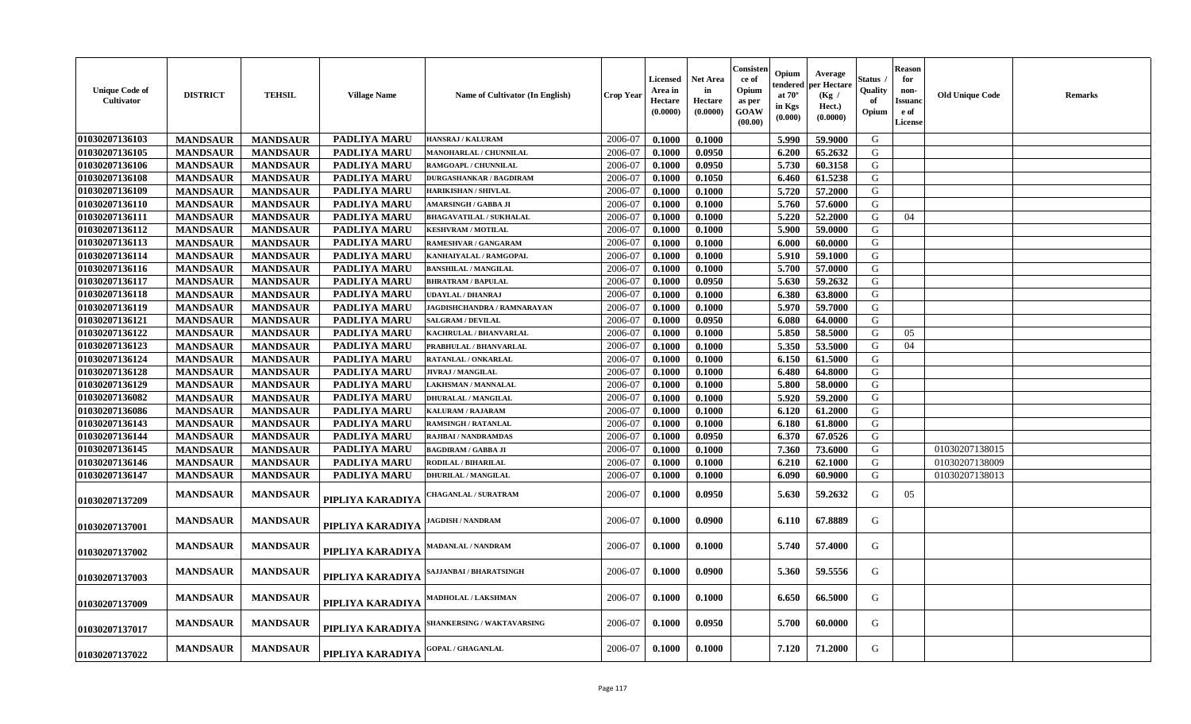| <b>Unique Code of</b><br>Cultivator | <b>DISTRICT</b> | <b>TEHSIL</b>   | <b>Village Name</b> | Name of Cultivator (In English)   | Crop Year | <b>Licensed</b><br>Area in<br>Hectare<br>(0.0000) | <b>Net Area</b><br>in<br>Hectare<br>(0.0000) | Consister<br>ce of<br>Opium<br>as per<br><b>GOAW</b><br>(00.00) | Opium<br>endered<br>at $70^\circ$<br>in Kgs<br>(0.000) | Average<br>per Hectare<br>(Kg /<br>Hect.)<br>(0.0000) | Status<br>Quality<br>-of<br>Opium | <b>Reason</b><br>for<br>non-<br><b>Issuanc</b><br>e of<br>License | <b>Old Unique Code</b> | <b>Remarks</b> |
|-------------------------------------|-----------------|-----------------|---------------------|-----------------------------------|-----------|---------------------------------------------------|----------------------------------------------|-----------------------------------------------------------------|--------------------------------------------------------|-------------------------------------------------------|-----------------------------------|-------------------------------------------------------------------|------------------------|----------------|
| 01030207136103                      | <b>MANDSAUR</b> | <b>MANDSAUR</b> | <b>PADLIYA MARU</b> | <b>HANSRAJ / KALURAM</b>          | 2006-07   | 0.1000                                            | 0.1000                                       |                                                                 | 5.990                                                  | 59.9000                                               | G                                 |                                                                   |                        |                |
| 01030207136105                      | <b>MANDSAUR</b> | <b>MANDSAUR</b> | <b>PADLIYA MARU</b> | MANOHARLAL / CHUNNILAL            | 2006-07   | 0.1000                                            | 0.0950                                       |                                                                 | 6.200                                                  | 65.2632                                               | G                                 |                                                                   |                        |                |
| 01030207136106                      | <b>MANDSAUR</b> | <b>MANDSAUR</b> | PADLIYA MARU        | RAMGOAPL / CHUNNILAL              | 2006-07   | 0.1000                                            | 0.0950                                       |                                                                 | 5.730                                                  | 60.3158                                               | G                                 |                                                                   |                        |                |
| 01030207136108                      | <b>MANDSAUR</b> | <b>MANDSAUR</b> | <b>PADLIYA MARU</b> | <b>DURGASHANKAR / BAGDIRAM</b>    | 2006-07   | 0.1000                                            | 0.1050                                       |                                                                 | 6.460                                                  | 61.5238                                               | G                                 |                                                                   |                        |                |
| 01030207136109                      | <b>MANDSAUR</b> | <b>MANDSAUR</b> | <b>PADLIYA MARU</b> | <b>HARIKISHAN / SHIVLAL</b>       | 2006-07   | 0.1000                                            | 0.1000                                       |                                                                 | 5.720                                                  | 57.2000                                               | G                                 |                                                                   |                        |                |
| 01030207136110                      | <b>MANDSAUR</b> | <b>MANDSAUR</b> | PADLIYA MARU        | <b>AMARSINGH / GABBA JI</b>       | 2006-07   | 0.1000                                            | 0.1000                                       |                                                                 | 5.760                                                  | 57.6000                                               | G                                 |                                                                   |                        |                |
| 01030207136111                      | <b>MANDSAUR</b> | <b>MANDSAUR</b> | PADLIYA MARU        | <b>BHAGAVATILAL / SUKHALAL</b>    | 2006-07   | 0.1000                                            | 0.1000                                       |                                                                 | 5.220                                                  | 52.2000                                               | G                                 | 04                                                                |                        |                |
| 01030207136112                      | <b>MANDSAUR</b> | <b>MANDSAUR</b> | <b>PADLIYA MARU</b> | <b>KESHVRAM / MOTILAL</b>         | 2006-07   | 0.1000                                            | 0.1000                                       |                                                                 | 5.900                                                  | 59.0000                                               | G                                 |                                                                   |                        |                |
| 01030207136113                      | <b>MANDSAUR</b> | <b>MANDSAUR</b> | <b>PADLIYA MARU</b> | RAMESHVAR / GANGARAM              | 2006-07   | 0.1000                                            | 0.1000                                       |                                                                 | 6.000                                                  | 60.0000                                               | G                                 |                                                                   |                        |                |
| 01030207136114                      | <b>MANDSAUR</b> | <b>MANDSAUR</b> | PADLIYA MARU        | KANHAIYALAL / RAMGOPAL            | 2006-07   | 0.1000                                            | 0.1000                                       |                                                                 | 5.910                                                  | 59.1000                                               | G                                 |                                                                   |                        |                |
| 01030207136116                      | <b>MANDSAUR</b> | <b>MANDSAUR</b> | PADLIYA MARU        | <b>BANSHILAL / MANGILAL</b>       | 2006-07   | 0.1000                                            | 0.1000                                       |                                                                 | 5.700                                                  | 57.0000                                               | G                                 |                                                                   |                        |                |
| 01030207136117                      | <b>MANDSAUR</b> | <b>MANDSAUR</b> | <b>PADLIYA MARU</b> | <b>BHRATRAM / BAPULAL</b>         | 2006-07   | 0.1000                                            | 0.0950                                       |                                                                 | 5.630                                                  | 59.2632                                               | G                                 |                                                                   |                        |                |
| 01030207136118                      | <b>MANDSAUR</b> | <b>MANDSAUR</b> | <b>PADLIYA MARU</b> | UDAYLAL / DHANRAJ                 | 2006-07   | 0.1000                                            | 0.1000                                       |                                                                 | 6.380                                                  | 63.8000                                               | G                                 |                                                                   |                        |                |
| 01030207136119                      | <b>MANDSAUR</b> | <b>MANDSAUR</b> | PADLIYA MARU        | JAGDISHCHANDRA / RAMNARAYAN       | 2006-07   | 0.1000                                            | 0.1000                                       |                                                                 | 5.970                                                  | 59.7000                                               | G                                 |                                                                   |                        |                |
| 01030207136121                      | <b>MANDSAUR</b> | <b>MANDSAUR</b> | <b>PADLIYA MARU</b> | <b>SALGRAM / DEVILAL</b>          | 2006-07   | 0.1000                                            | 0.0950                                       |                                                                 | 6.080                                                  | 64.0000                                               | G                                 |                                                                   |                        |                |
| 01030207136122                      | <b>MANDSAUR</b> | <b>MANDSAUR</b> | <b>PADLIYA MARU</b> | KACHRULAL / BHANVARLAL            | 2006-07   | 0.1000                                            | 0.1000                                       |                                                                 | 5.850                                                  | 58.5000                                               | G                                 | 05                                                                |                        |                |
| 01030207136123                      | <b>MANDSAUR</b> | <b>MANDSAUR</b> | PADLIYA MARU        | PRABHULAL / BHANVARLAL            | 2006-07   | 0.1000                                            | 0.1000                                       |                                                                 | 5.350                                                  | 53.5000                                               | G                                 | 04                                                                |                        |                |
| 01030207136124                      | <b>MANDSAUR</b> | <b>MANDSAUR</b> | PADLIYA MARU        | RATANLAL / ONKARLAL               | 2006-07   | 0.1000                                            | 0.1000                                       |                                                                 | 6.150                                                  | 61.5000                                               | G                                 |                                                                   |                        |                |
| 01030207136128                      | <b>MANDSAUR</b> | <b>MANDSAUR</b> | <b>PADLIYA MARU</b> | JIVRAJ / MANGILAL                 | 2006-07   | 0.1000                                            | 0.1000                                       |                                                                 | 6.480                                                  | 64.8000                                               | G                                 |                                                                   |                        |                |
| 01030207136129                      | <b>MANDSAUR</b> | <b>MANDSAUR</b> | PADLIYA MARU        | LAKHSMAN / MANNALAL               | 2006-07   | 0.1000                                            | 0.1000                                       |                                                                 | 5.800                                                  | 58.0000                                               | G                                 |                                                                   |                        |                |
| 01030207136082                      | <b>MANDSAUR</b> | <b>MANDSAUR</b> | <b>PADLIYA MARU</b> | <b>DHURALAL / MANGILAL</b>        | 2006-07   | 0.1000                                            | 0.1000                                       |                                                                 | 5.920                                                  | 59.2000                                               | G                                 |                                                                   |                        |                |
| 01030207136086                      | <b>MANDSAUR</b> | <b>MANDSAUR</b> | PADLIYA MARU        | KALURAM / RAJARAM                 | 2006-07   | 0.1000                                            | 0.1000                                       |                                                                 | 6.120                                                  | 61.2000                                               | G                                 |                                                                   |                        |                |
| 01030207136143                      | <b>MANDSAUR</b> | <b>MANDSAUR</b> | PADLIYA MARU        | <b>RAMSINGH / RATANLAL</b>        | 2006-07   | 0.1000                                            | 0.1000                                       |                                                                 | 6.180                                                  | 61.8000                                               | G                                 |                                                                   |                        |                |
| 01030207136144                      | <b>MANDSAUR</b> | <b>MANDSAUR</b> | <b>PADLIYA MARU</b> | RAJIBAI / NANDRAMDAS              | 2006-07   | 0.1000                                            | 0.0950                                       |                                                                 | 6.370                                                  | 67.0526                                               | G                                 |                                                                   |                        |                |
| 01030207136145                      | <b>MANDSAUR</b> | <b>MANDSAUR</b> | PADLIYA MARU        | <b>BAGDIRAM / GABBA JI</b>        | 2006-07   | 0.1000                                            | 0.1000                                       |                                                                 | 7.360                                                  | 73.6000                                               | G                                 |                                                                   | 01030207138015         |                |
| 01030207136146                      | <b>MANDSAUR</b> | <b>MANDSAUR</b> | <b>PADLIYA MARU</b> | RODILAL / BIHARILAL               | 2006-07   | 0.1000                                            | 0.1000                                       |                                                                 | 6.210                                                  | 62.1000                                               | G                                 |                                                                   | 01030207138009         |                |
| 01030207136147                      | <b>MANDSAUR</b> | <b>MANDSAUR</b> | <b>PADLIYA MARU</b> | <b>DHURILAL / MANGILAL</b>        | 2006-07   | 0.1000                                            | 0.1000                                       |                                                                 | 6.090                                                  | 60.9000                                               | G                                 |                                                                   | 01030207138013         |                |
| 01030207137209                      | <b>MANDSAUR</b> | <b>MANDSAUR</b> | PIPLIYA KARADIYA    | <b>HAGANLAL / SURATRAM</b>        | 2006-07   | 0.1000                                            | 0.0950                                       |                                                                 | 5.630                                                  | 59.2632                                               | G                                 | 05                                                                |                        |                |
| 01030207137001                      | <b>MANDSAUR</b> | <b>MANDSAUR</b> | PIPLIYA KARADIYA    | <b>IAGDISH / NANDRAM</b>          | 2006-07   | 0.1000                                            | 0.0900                                       |                                                                 | 6.110                                                  | 67.8889                                               | G                                 |                                                                   |                        |                |
| 01030207137002                      | <b>MANDSAUR</b> | <b>MANDSAUR</b> | PIPLIYA KARADIYA    | MADANLAL / NANDRAM                | 2006-07   | 0.1000                                            | 0.1000                                       |                                                                 | 5.740                                                  | 57.4000                                               | G                                 |                                                                   |                        |                |
| 01030207137003                      | <b>MANDSAUR</b> | <b>MANDSAUR</b> | PIPLIYA KARADIYA    | AJJANBAI / BHARATSINGH            | 2006-07   | 0.1000                                            | 0.0900                                       |                                                                 | 5.360                                                  | 59.5556                                               | G                                 |                                                                   |                        |                |
| 01030207137009                      | <b>MANDSAUR</b> | <b>MANDSAUR</b> | PIPLIYA KARADIYA    | <b>MADHOLAL / LAKSHMAN</b>        | 2006-07   | 0.1000                                            | 0.1000                                       |                                                                 | 6.650                                                  | 66.5000                                               | G                                 |                                                                   |                        |                |
| 01030207137017                      | <b>MANDSAUR</b> | <b>MANDSAUR</b> | PIPLIYA KARADIYA    | <b>SHANKERSING / WAKTAVARSING</b> | 2006-07   | 0.1000                                            | 0.0950                                       |                                                                 | 5.700                                                  | 60.0000                                               | G                                 |                                                                   |                        |                |
| 01030207137022                      | <b>MANDSAUR</b> | <b>MANDSAUR</b> | PIPLIYA KARADIYA    | <b>GOPAL / GHAGANLAL</b>          | 2006-07   | 0.1000                                            | 0.1000                                       |                                                                 | 7.120                                                  | 71.2000                                               | G                                 |                                                                   |                        |                |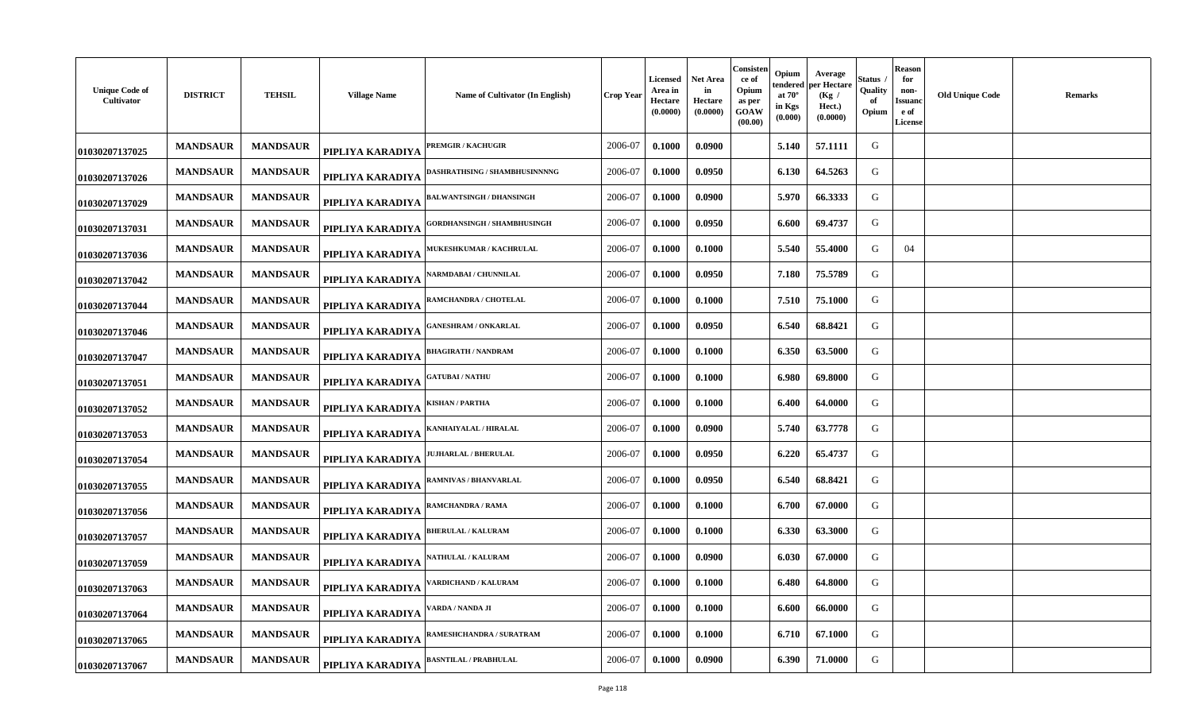| <b>Unique Code of</b><br>Cultivator | <b>DISTRICT</b> | <b>TEHSIL</b>   | <b>Village Name</b> | Name of Cultivator (In English)      | Crop Year | <b>Licensed</b><br>Area in<br>Hectare<br>(0.0000) | Net Area<br>in<br>Hectare<br>(0.0000) | Consisten<br>ce of<br>Opium<br>as per<br>GOAW<br>(00.00) | Opium<br>tendered<br>at $70^\circ$<br>in Kgs<br>(0.000) | Average<br>oer Hectare<br>(Kg)<br>Hect.)<br>(0.0000) | Status<br>Quality<br>оf<br>Opium | <b>Reason</b><br>for<br>non-<br>Issuano<br>e of<br><b>License</b> | <b>Old Unique Code</b> | <b>Remarks</b> |
|-------------------------------------|-----------------|-----------------|---------------------|--------------------------------------|-----------|---------------------------------------------------|---------------------------------------|----------------------------------------------------------|---------------------------------------------------------|------------------------------------------------------|----------------------------------|-------------------------------------------------------------------|------------------------|----------------|
| 01030207137025                      | <b>MANDSAUR</b> | <b>MANDSAUR</b> | PIPLIYA KARADIYA    | <b>PREMGIR / KACHUGIR</b>            | 2006-07   | 0.1000                                            | 0.0900                                |                                                          | 5.140                                                   | 57.1111                                              | G                                |                                                                   |                        |                |
| 01030207137026                      | <b>MANDSAUR</b> | <b>MANDSAUR</b> | PIPLIYA KARADIYA    | <b>)ASHRATHSING / SHAMBHUSINNNNG</b> | 2006-07   | 0.1000                                            | 0.0950                                |                                                          | 6.130                                                   | 64.5263                                              | G                                |                                                                   |                        |                |
| 01030207137029                      | <b>MANDSAUR</b> | <b>MANDSAUR</b> | PIPLIYA KARADIYA    | BALWANTSINGH / DHANSINGH             | 2006-07   | 0.1000                                            | 0.0900                                |                                                          | 5.970                                                   | 66.3333                                              | G                                |                                                                   |                        |                |
| 01030207137031                      | <b>MANDSAUR</b> | <b>MANDSAUR</b> | PIPLIYA KARADIYA    | <b>GORDHANSINGH / SHAMBHUSINGH</b>   | 2006-07   | 0.1000                                            | 0.0950                                |                                                          | 6.600                                                   | 69.4737                                              | G                                |                                                                   |                        |                |
| 01030207137036                      | <b>MANDSAUR</b> | <b>MANDSAUR</b> | PIPLIYA KARADIYA    | <b>IUKESHKUMAR / KACHRULAL</b>       | 2006-07   | 0.1000                                            | 0.1000                                |                                                          | 5.540                                                   | 55.4000                                              | G                                | 04                                                                |                        |                |
| 01030207137042                      | <b>MANDSAUR</b> | <b>MANDSAUR</b> | PIPLIYA KARADIYA    | <b>ARMDABAI/ CHUNNILAL</b>           | 2006-07   | 0.1000                                            | 0.0950                                |                                                          | 7.180                                                   | 75.5789                                              | G                                |                                                                   |                        |                |
| 01030207137044                      | <b>MANDSAUR</b> | <b>MANDSAUR</b> | PIPLIYA KARADIYA    | RAMCHANDRA / CHOTELAL                | 2006-07   | 0.1000                                            | 0.1000                                |                                                          | 7.510                                                   | 75.1000                                              | G                                |                                                                   |                        |                |
| 01030207137046                      | <b>MANDSAUR</b> | <b>MANDSAUR</b> | PIPLIYA KARADIYA    | <b>GANESHRAM / ONKARLAL</b>          | 2006-07   | 0.1000                                            | 0.0950                                |                                                          | 6.540                                                   | 68.8421                                              | G                                |                                                                   |                        |                |
| 01030207137047                      | <b>MANDSAUR</b> | <b>MANDSAUR</b> | PIPLIYA KARADIYA    | <b>BHAGIRATH / NANDRAM</b>           | 2006-07   | 0.1000                                            | 0.1000                                |                                                          | 6.350                                                   | 63.5000                                              | G                                |                                                                   |                        |                |
| 01030207137051                      | <b>MANDSAUR</b> | <b>MANDSAUR</b> | PIPLIYA KARADIYA    | <b>GATUBAI / NATHU</b>               | 2006-07   | 0.1000                                            | 0.1000                                |                                                          | 6.980                                                   | 69.8000                                              | G                                |                                                                   |                        |                |
| 01030207137052                      | <b>MANDSAUR</b> | <b>MANDSAUR</b> | PIPLIYA KARADIYA    | KISHAN / PARTHA                      | 2006-07   | 0.1000                                            | 0.1000                                |                                                          | 6.400                                                   | 64.0000                                              | G                                |                                                                   |                        |                |
| 01030207137053                      | <b>MANDSAUR</b> | <b>MANDSAUR</b> | PIPLIYA KARADIYA    | KANHAIYALAL / HIRALAL                | 2006-07   | 0.1000                                            | 0.0900                                |                                                          | 5.740                                                   | 63.7778                                              | G                                |                                                                   |                        |                |
| 01030207137054                      | <b>MANDSAUR</b> | <b>MANDSAUR</b> | PIPLIYA KARADIYA    | <b>IUJHARLAL / BHERULAL</b>          | 2006-07   | 0.1000                                            | 0.0950                                |                                                          | 6.220                                                   | 65.4737                                              | G                                |                                                                   |                        |                |
| 01030207137055                      | <b>MANDSAUR</b> | <b>MANDSAUR</b> | PIPLIYA KARADIYA    | AMNIVAS / BHANVARLAL                 | 2006-07   | 0.1000                                            | 0.0950                                |                                                          | 6.540                                                   | 68.8421                                              | G                                |                                                                   |                        |                |
| 01030207137056                      | <b>MANDSAUR</b> | <b>MANDSAUR</b> | PIPLIYA KARADIYA    | RAMCHANDRA / RAMA                    | 2006-07   | 0.1000                                            | 0.1000                                |                                                          | 6.700                                                   | 67.0000                                              | G                                |                                                                   |                        |                |
| 01030207137057                      | <b>MANDSAUR</b> | <b>MANDSAUR</b> | PIPLIYA KARADIYA    | <b>BHERULAL / KALURAM</b>            | 2006-07   | 0.1000                                            | 0.1000                                |                                                          | 6.330                                                   | 63.3000                                              | G                                |                                                                   |                        |                |
| 01030207137059                      | <b>MANDSAUR</b> | <b>MANDSAUR</b> | PIPLIYA KARADIYA    | <b>NATHULAL / KALURAM</b>            | 2006-07   | 0.1000                                            | 0.0900                                |                                                          | 6.030                                                   | 67.0000                                              | G                                |                                                                   |                        |                |
| 01030207137063                      | <b>MANDSAUR</b> | <b>MANDSAUR</b> | PIPLIYA KARADIYA    | ARDICHAND / KALURAM                  | 2006-07   | 0.1000                                            | 0.1000                                |                                                          | 6.480                                                   | 64.8000                                              | G                                |                                                                   |                        |                |
| 01030207137064                      | <b>MANDSAUR</b> | <b>MANDSAUR</b> | PIPLIYA KARADIYA    | ARDA / NANDA JI                      | 2006-07   | 0.1000                                            | 0.1000                                |                                                          | 6.600                                                   | 66.0000                                              | G                                |                                                                   |                        |                |
| 01030207137065                      | <b>MANDSAUR</b> | <b>MANDSAUR</b> | PIPLIYA KARADIYA    | <b>AMESHCHANDRA / SURATRAM</b>       | 2006-07   | 0.1000                                            | 0.1000                                |                                                          | 6.710                                                   | 67.1000                                              | G                                |                                                                   |                        |                |
| 01030207137067                      | <b>MANDSAUR</b> | <b>MANDSAUR</b> | PIPLIYA KARADIYA    | <b>BASNTILAL / PRABHULAL</b>         | 2006-07   | 0.1000                                            | 0.0900                                |                                                          | 6.390                                                   | 71.0000                                              | G                                |                                                                   |                        |                |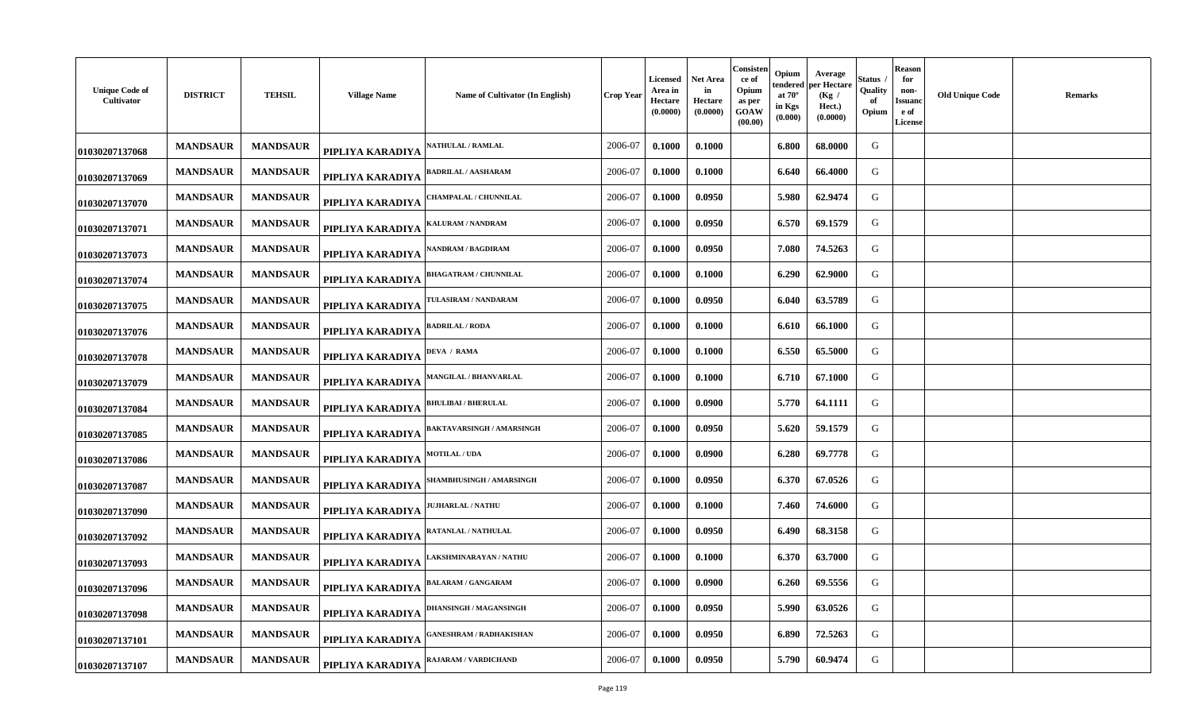| <b>Unique Code of</b><br>Cultivator | <b>DISTRICT</b> | <b>TEHSIL</b>   | <b>Village Name</b> | Name of Cultivator (In English)  | Crop Year | <b>Licensed</b><br>Area in<br>Hectare<br>(0.0000) | Net Area<br>in<br>Hectare<br>(0.0000) | Consisten<br>ce of<br>Opium<br>as per<br>GOAW<br>(00.00) | Opium<br>tendered<br>at $70^\circ$<br>in Kgs<br>(0.000) | Average<br>per Hectare<br>(Kg)<br>Hect.)<br>(0.0000) | Status<br>Quality<br>оf<br>Opium | <b>Reason</b><br>for<br>non-<br>Issuand<br>e of<br><b>License</b> | <b>Old Unique Code</b> | <b>Remarks</b> |
|-------------------------------------|-----------------|-----------------|---------------------|----------------------------------|-----------|---------------------------------------------------|---------------------------------------|----------------------------------------------------------|---------------------------------------------------------|------------------------------------------------------|----------------------------------|-------------------------------------------------------------------|------------------------|----------------|
| 01030207137068                      | <b>MANDSAUR</b> | <b>MANDSAUR</b> | PIPLIYA KARADIYA    | <b>ATHULAL / RAMLAL</b>          | 2006-07   | 0.1000                                            | 0.1000                                |                                                          | 6.800                                                   | 68.0000                                              | G                                |                                                                   |                        |                |
| 01030207137069                      | <b>MANDSAUR</b> | <b>MANDSAUR</b> | PIPLIYA KARADIYA    | BADRILAL / AASHARAM              | 2006-07   | 0.1000                                            | 0.1000                                |                                                          | 6.640                                                   | 66.4000                                              | G                                |                                                                   |                        |                |
| 01030207137070                      | <b>MANDSAUR</b> | <b>MANDSAUR</b> | PIPLIYA KARADIYA    | 'HAMPALAL / CHUNNILAL            | 2006-07   | 0.1000                                            | 0.0950                                |                                                          | 5.980                                                   | 62.9474                                              | G                                |                                                                   |                        |                |
| 01030207137071                      | <b>MANDSAUR</b> | <b>MANDSAUR</b> | PIPLIYA KARADIYA    | KALURAM / NANDRAM                | 2006-07   | 0.1000                                            | 0.0950                                |                                                          | 6.570                                                   | 69.1579                                              | G                                |                                                                   |                        |                |
| 01030207137073                      | <b>MANDSAUR</b> | <b>MANDSAUR</b> | PIPLIYA KARADIYA    | <b>ANDRAM / BAGDIRAM</b>         | 2006-07   | 0.1000                                            | 0.0950                                |                                                          | 7.080                                                   | 74.5263                                              | G                                |                                                                   |                        |                |
| 01030207137074                      | <b>MANDSAUR</b> | <b>MANDSAUR</b> | PIPLIYA KARADIYA    | <b>BHAGATRAM / CHUNNILAL</b>     | 2006-07   | 0.1000                                            | 0.1000                                |                                                          | 6.290                                                   | 62.9000                                              | G                                |                                                                   |                        |                |
| 01030207137075                      | <b>MANDSAUR</b> | <b>MANDSAUR</b> | PIPLIYA KARADIYA    | <b>TULASIRAM / NANDARAM</b>      | 2006-07   | 0.1000                                            | 0.0950                                |                                                          | 6.040                                                   | 63.5789                                              | G                                |                                                                   |                        |                |
| 01030207137076                      | <b>MANDSAUR</b> | <b>MANDSAUR</b> | PIPLIYA KARADIYA    | <b>BADRILAL / RODA</b>           | 2006-07   | 0.1000                                            | 0.1000                                |                                                          | 6.610                                                   | 66.1000                                              | G                                |                                                                   |                        |                |
| 01030207137078                      | <b>MANDSAUR</b> | <b>MANDSAUR</b> | PIPLIYA KARADIYA    | <b>DEVA / RAMA</b>               | 2006-07   | 0.1000                                            | 0.1000                                |                                                          | 6.550                                                   | 65.5000                                              | G                                |                                                                   |                        |                |
| 01030207137079                      | <b>MANDSAUR</b> | <b>MANDSAUR</b> | PIPLIYA KARADIYA    | <b>MANGILAL / BHANVARLAL</b>     | 2006-07   | 0.1000                                            | 0.1000                                |                                                          | 6.710                                                   | 67.1000                                              | G                                |                                                                   |                        |                |
| 01030207137084                      | <b>MANDSAUR</b> | <b>MANDSAUR</b> | PIPLIYA KARADIYA    | <b>BHULIBAI / BHERULAL</b>       | 2006-07   | 0.1000                                            | 0.0900                                |                                                          | 5.770                                                   | 64.1111                                              | G                                |                                                                   |                        |                |
| 01030207137085                      | <b>MANDSAUR</b> | <b>MANDSAUR</b> | PIPLIYA KARADIYA    | <b>BAKTAVARSINGH / AMARSINGH</b> | 2006-07   | 0.1000                                            | 0.0950                                |                                                          | 5.620                                                   | 59.1579                                              | G                                |                                                                   |                        |                |
| 01030207137086                      | <b>MANDSAUR</b> | <b>MANDSAUR</b> | PIPLIYA KARADIYA    | <b>MOTILAL / UDA</b>             | 2006-07   | 0.1000                                            | 0.0900                                |                                                          | 6.280                                                   | 69.7778                                              | G                                |                                                                   |                        |                |
| 01030207137087                      | <b>MANDSAUR</b> | <b>MANDSAUR</b> | PIPLIYA KARADIYA    | <b>HAMBHUSINGH / AMARSINGH</b>   | 2006-07   | 0.1000                                            | 0.0950                                |                                                          | 6.370                                                   | 67.0526                                              | G                                |                                                                   |                        |                |
| 01030207137090                      | <b>MANDSAUR</b> | <b>MANDSAUR</b> | PIPLIYA KARADIYA    | <b>UJHARLAL / NATHU</b>          | 2006-07   | 0.1000                                            | 0.1000                                |                                                          | 7.460                                                   | 74.6000                                              | G                                |                                                                   |                        |                |
| 01030207137092                      | <b>MANDSAUR</b> | <b>MANDSAUR</b> | PIPLIYA KARADIYA    | RATANLAL / NATHULAL              | 2006-07   | 0.1000                                            | 0.0950                                |                                                          | 6.490                                                   | 68.3158                                              | G                                |                                                                   |                        |                |
| 01030207137093                      | <b>MANDSAUR</b> | <b>MANDSAUR</b> | PIPLIYA KARADIYA    | AKSHMINARAYAN / NATHU            | 2006-07   | 0.1000                                            | 0.1000                                |                                                          | 6.370                                                   | 63.7000                                              | G                                |                                                                   |                        |                |
| 01030207137096                      | <b>MANDSAUR</b> | <b>MANDSAUR</b> | PIPLIYA KARADIYA    | <b>BALARAM / GANGARAM</b>        | 2006-07   | 0.1000                                            | 0.0900                                |                                                          | 6.260                                                   | 69.5556                                              | G                                |                                                                   |                        |                |
| 01030207137098                      | <b>MANDSAUR</b> | <b>MANDSAUR</b> | PIPLIYA KARADIYA    | <b>DHANSINGH / MAGANSINGH</b>    | 2006-07   | 0.1000                                            | 0.0950                                |                                                          | 5.990                                                   | 63.0526                                              | G                                |                                                                   |                        |                |
| 01030207137101                      | <b>MANDSAUR</b> | <b>MANDSAUR</b> | PIPLIYA KARADIYA    | ANESHRAM / RADHAKISHAN           | 2006-07   | 0.1000                                            | 0.0950                                |                                                          | 6.890                                                   | 72.5263                                              | G                                |                                                                   |                        |                |
| 01030207137107                      | <b>MANDSAUR</b> | <b>MANDSAUR</b> | PIPLIYA KARADIYA    | RAJARAM / VARDICHAND             | 2006-07   | 0.1000                                            | 0.0950                                |                                                          | 5.790                                                   | 60.9474                                              | G                                |                                                                   |                        |                |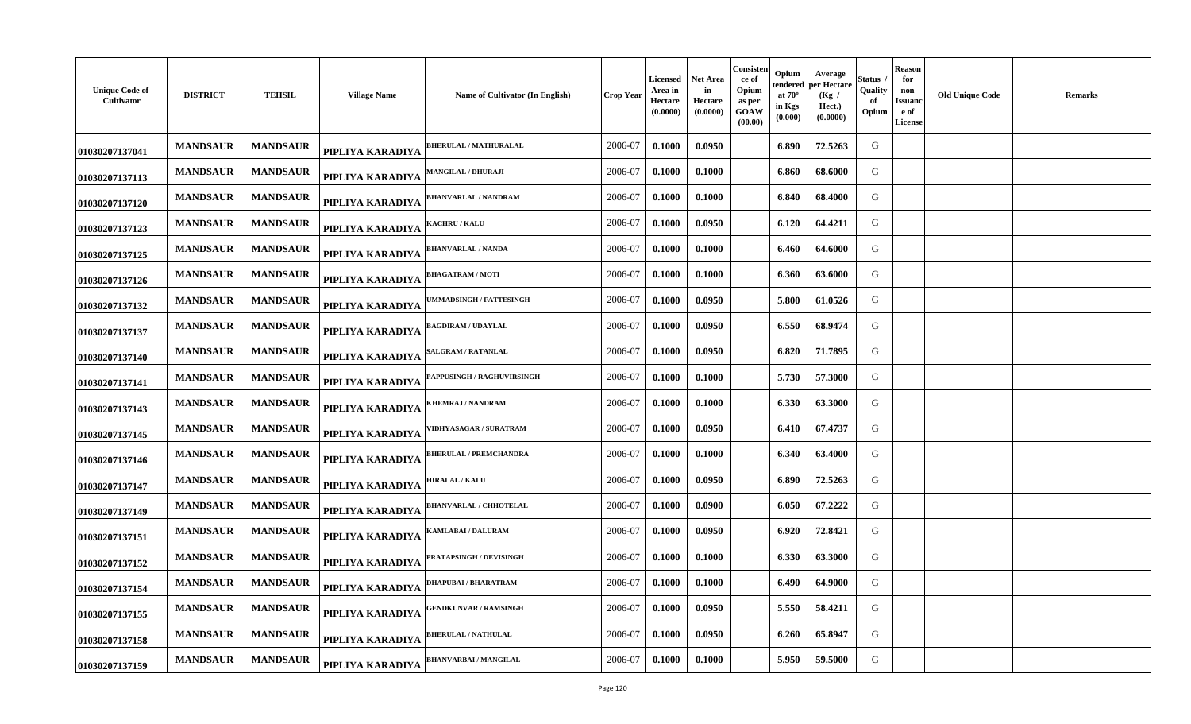| <b>Unique Code of</b><br>Cultivator | <b>DISTRICT</b> | <b>TEHSIL</b>   | <b>Village Name</b> | Name of Cultivator (In English)  | Crop Year | <b>Licensed</b><br>Area in<br>Hectare<br>(0.0000) | Net Area<br>in<br>Hectare<br>(0.0000) | Consisten<br>ce of<br>Opium<br>as per<br>GOAW<br>(00.00) | Opium<br>tendered<br>at $70^\circ$<br>in Kgs<br>(0.000) | Average<br>oer Hectare<br>(Kg /<br>Hect.)<br>(0.0000) | Status<br>Quality<br>оf<br>Opium | <b>Reason</b><br>for<br>non-<br>Issuand<br>e of<br><b>License</b> | <b>Old Unique Code</b> | <b>Remarks</b> |
|-------------------------------------|-----------------|-----------------|---------------------|----------------------------------|-----------|---------------------------------------------------|---------------------------------------|----------------------------------------------------------|---------------------------------------------------------|-------------------------------------------------------|----------------------------------|-------------------------------------------------------------------|------------------------|----------------|
| 01030207137041                      | <b>MANDSAUR</b> | <b>MANDSAUR</b> | PIPLIYA KARADIYA    | <b>BHERULAL / MATHURALAL</b>     | 2006-07   | 0.1000                                            | 0.0950                                |                                                          | 6.890                                                   | 72.5263                                               | G                                |                                                                   |                        |                |
| 01030207137113                      | <b>MANDSAUR</b> | <b>MANDSAUR</b> | PIPLIYA KARADIYA    | <b>MANGILAL / DHURAJI</b>        | 2006-07   | 0.1000                                            | 0.1000                                |                                                          | 6.860                                                   | 68.6000                                               | G                                |                                                                   |                        |                |
| 01030207137120                      | <b>MANDSAUR</b> | <b>MANDSAUR</b> | PIPLIYA KARADIYA    | <b>BHANVARLAL / NANDRAM</b>      | 2006-07   | 0.1000                                            | 0.1000                                |                                                          | 6.840                                                   | 68.4000                                               | G                                |                                                                   |                        |                |
| 01030207137123                      | <b>MANDSAUR</b> | <b>MANDSAUR</b> | PIPLIYA KARADIYA    | <b>KACHRU / KALU</b>             | 2006-07   | 0.1000                                            | 0.0950                                |                                                          | 6.120                                                   | 64.4211                                               | G                                |                                                                   |                        |                |
| 01030207137125                      | <b>MANDSAUR</b> | <b>MANDSAUR</b> | PIPLIYA KARADIYA    | <b>BHANVARLAL / NANDA</b>        | 2006-07   | 0.1000                                            | 0.1000                                |                                                          | 6.460                                                   | 64.6000                                               | G                                |                                                                   |                        |                |
| 01030207137126                      | <b>MANDSAUR</b> | <b>MANDSAUR</b> | PIPLIYA KARADIYA    | <b>BHAGATRAM / MOTI</b>          | 2006-07   | 0.1000                                            | 0.1000                                |                                                          | 6.360                                                   | 63.6000                                               | G                                |                                                                   |                        |                |
| 01030207137132                      | <b>MANDSAUR</b> | <b>MANDSAUR</b> | PIPLIYA KARADIYA    | <b>MMADSINGH / FATTESINGH</b>    | 2006-07   | 0.1000                                            | 0.0950                                |                                                          | 5.800                                                   | 61.0526                                               | G                                |                                                                   |                        |                |
| 01030207137137                      | <b>MANDSAUR</b> | <b>MANDSAUR</b> | PIPLIYA KARADIYA    | <b>BAGDIRAM / UDAYLAL</b>        | 2006-07   | 0.1000                                            | 0.0950                                |                                                          | 6.550                                                   | 68.9474                                               | G                                |                                                                   |                        |                |
| 01030207137140                      | <b>MANDSAUR</b> | <b>MANDSAUR</b> | PIPLIYA KARADIYA    | <b>ALGRAM / RATANLAL</b>         | 2006-07   | 0.1000                                            | 0.0950                                |                                                          | 6.820                                                   | 71.7895                                               | G                                |                                                                   |                        |                |
| 01030207137141                      | <b>MANDSAUR</b> | <b>MANDSAUR</b> | PIPLIYA KARADIYA    | <b>APPUSINGH / RAGHUVIRSINGH</b> | 2006-07   | 0.1000                                            | 0.1000                                |                                                          | 5.730                                                   | 57.3000                                               | G                                |                                                                   |                        |                |
| 01030207137143                      | <b>MANDSAUR</b> | <b>MANDSAUR</b> | PIPLIYA KARADIYA    | KHEMRAJ / NANDRAM                | 2006-07   | 0.1000                                            | 0.1000                                |                                                          | 6.330                                                   | 63.3000                                               | G                                |                                                                   |                        |                |
| 01030207137145                      | <b>MANDSAUR</b> | <b>MANDSAUR</b> | PIPLIYA KARADIYA    | /IDHYASAGAR / SURATRAM           | 2006-07   | 0.1000                                            | 0.0950                                |                                                          | 6.410                                                   | 67.4737                                               | G                                |                                                                   |                        |                |
| 01030207137146                      | <b>MANDSAUR</b> | <b>MANDSAUR</b> | PIPLIYA KARADIYA    | <b>BHERULAL / PREMCHANDRA</b>    | 2006-07   | 0.1000                                            | 0.1000                                |                                                          | 6.340                                                   | 63.4000                                               | G                                |                                                                   |                        |                |
| 01030207137147                      | <b>MANDSAUR</b> | <b>MANDSAUR</b> | PIPLIYA KARADIYA    | <b>IIRALAL / KALU</b>            | 2006-07   | 0.1000                                            | 0.0950                                |                                                          | 6.890                                                   | 72.5263                                               | G                                |                                                                   |                        |                |
| 01030207137149                      | <b>MANDSAUR</b> | <b>MANDSAUR</b> | PIPLIYA KARADIYA    | <b>BHANVARLAL / CHHOTELAL</b>    | 2006-07   | 0.1000                                            | 0.0900                                |                                                          | 6.050                                                   | 67.2222                                               | G                                |                                                                   |                        |                |
| 01030207137151                      | <b>MANDSAUR</b> | <b>MANDSAUR</b> | PIPLIYA KARADIYA    | AMLABAI / DALURAM                | 2006-07   | 0.1000                                            | 0.0950                                |                                                          | 6.920                                                   | 72.8421                                               | G                                |                                                                   |                        |                |
| 01030207137152                      | <b>MANDSAUR</b> | <b>MANDSAUR</b> | PIPLIYA KARADIYA    | <b>PRATAPSINGH / DEVISINGH</b>   | 2006-07   | 0.1000                                            | 0.1000                                |                                                          | 6.330                                                   | 63.3000                                               | G                                |                                                                   |                        |                |
| 01030207137154                      | <b>MANDSAUR</b> | <b>MANDSAUR</b> | PIPLIYA KARADIYA    | <b>DHAPUBAI/BHARATRAM</b>        | 2006-07   | 0.1000                                            | 0.1000                                |                                                          | 6.490                                                   | 64.9000                                               | G                                |                                                                   |                        |                |
| 01030207137155                      | <b>MANDSAUR</b> | <b>MANDSAUR</b> | PIPLIYA KARADIYA    | ENDKUNVAR / RAMSINGH             | 2006-07   | 0.1000                                            | 0.0950                                |                                                          | 5.550                                                   | 58.4211                                               | G                                |                                                                   |                        |                |
| 01030207137158                      | <b>MANDSAUR</b> | <b>MANDSAUR</b> | PIPLIYA KARADIYA    | <b>BHERULAL / NATHULAL</b>       | 2006-07   | 0.1000                                            | 0.0950                                |                                                          | 6.260                                                   | 65.8947                                               | G                                |                                                                   |                        |                |
| 01030207137159                      | <b>MANDSAUR</b> | <b>MANDSAUR</b> | PIPLIYA KARADIYA    | <b>BHANVARBAI / MANGILAL</b>     | 2006-07   | 0.1000                                            | 0.1000                                |                                                          | 5.950                                                   | 59.5000                                               | G                                |                                                                   |                        |                |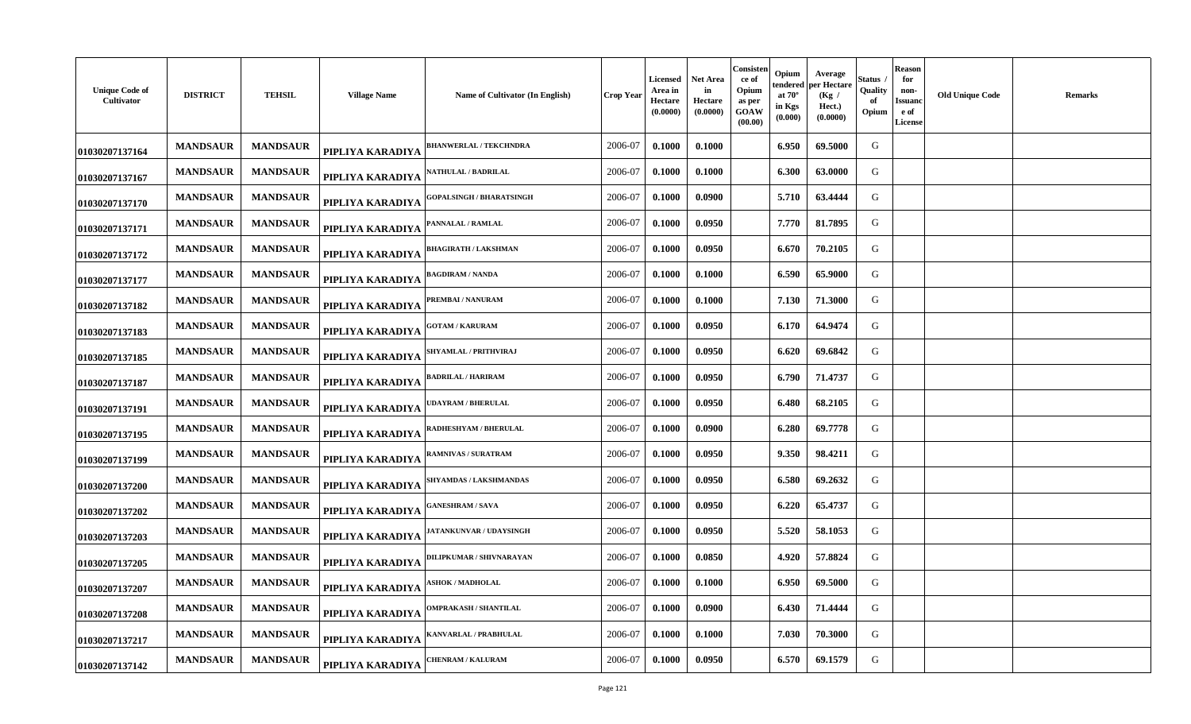| <b>Unique Code of</b><br>Cultivator | <b>DISTRICT</b> | <b>TEHSIL</b>   | <b>Village Name</b> | Name of Cultivator (In English) | Crop Year | <b>Licensed</b><br>Area in<br>Hectare<br>(0.0000) | Net Area<br>in<br>Hectare<br>(0.0000) | Consisten<br>ce of<br>Opium<br>as per<br>GOAW<br>(00.00) | Opium<br>tendered<br>at $70^\circ$<br>in Kgs<br>(0.000) | Average<br>oer Hectare<br>(Kg /<br>Hect.)<br>(0.0000) | Status<br>Quality<br>оf<br>Opium | <b>Reason</b><br>for<br>non-<br>Issuand<br>e of<br><b>License</b> | <b>Old Unique Code</b> | <b>Remarks</b> |
|-------------------------------------|-----------------|-----------------|---------------------|---------------------------------|-----------|---------------------------------------------------|---------------------------------------|----------------------------------------------------------|---------------------------------------------------------|-------------------------------------------------------|----------------------------------|-------------------------------------------------------------------|------------------------|----------------|
| 01030207137164                      | <b>MANDSAUR</b> | <b>MANDSAUR</b> | PIPLIYA KARADIYA    | <b>BHANWERLAL / TEKCHNDRA</b>   | 2006-07   | 0.1000                                            | 0.1000                                |                                                          | 6.950                                                   | 69.5000                                               | G                                |                                                                   |                        |                |
| 01030207137167                      | <b>MANDSAUR</b> | <b>MANDSAUR</b> | PIPLIYA KARADIYA    | <b>\ATHULAL / BADRILAL</b>      | 2006-07   | 0.1000                                            | 0.1000                                |                                                          | 6.300                                                   | 63.0000                                               | G                                |                                                                   |                        |                |
| 01030207137170                      | <b>MANDSAUR</b> | <b>MANDSAUR</b> | PIPLIYA KARADIYA    | <b>GOPALSINGH / BHARATSINGH</b> | 2006-07   | 0.1000                                            | 0.0900                                |                                                          | 5.710                                                   | 63.4444                                               | G                                |                                                                   |                        |                |
| 01030207137171                      | <b>MANDSAUR</b> | <b>MANDSAUR</b> | PIPLIYA KARADIYA    | PANNALAL / RAMLAL               | 2006-07   | 0.1000                                            | 0.0950                                |                                                          | 7.770                                                   | 81.7895                                               | G                                |                                                                   |                        |                |
| 01030207137172                      | <b>MANDSAUR</b> | <b>MANDSAUR</b> | PIPLIYA KARADIYA    | HAGIRATH / LAKSHMAN             | 2006-07   | 0.1000                                            | 0.0950                                |                                                          | 6.670                                                   | 70.2105                                               | G                                |                                                                   |                        |                |
| 01030207137177                      | <b>MANDSAUR</b> | <b>MANDSAUR</b> | PIPLIYA KARADIYA    | <b>BAGDIRAM / NANDA</b>         | 2006-07   | 0.1000                                            | 0.1000                                |                                                          | 6.590                                                   | 65.9000                                               | G                                |                                                                   |                        |                |
| 01030207137182                      | <b>MANDSAUR</b> | <b>MANDSAUR</b> | PIPLIYA KARADIYA    | <b>REMBAI/NANURAM</b>           | 2006-07   | 0.1000                                            | 0.1000                                |                                                          | 7.130                                                   | 71.3000                                               | G                                |                                                                   |                        |                |
| 01030207137183                      | <b>MANDSAUR</b> | <b>MANDSAUR</b> | PIPLIYA KARADIYA    | <b>GOTAM / KARURAM</b>          | 2006-07   | 0.1000                                            | 0.0950                                |                                                          | 6.170                                                   | 64.9474                                               | G                                |                                                                   |                        |                |
| 01030207137185                      | <b>MANDSAUR</b> | <b>MANDSAUR</b> | PIPLIYA KARADIYA    | SHYAMLAL / PRITHVIRAJ           | 2006-07   | 0.1000                                            | 0.0950                                |                                                          | 6.620                                                   | 69.6842                                               | G                                |                                                                   |                        |                |
| 01030207137187                      | <b>MANDSAUR</b> | <b>MANDSAUR</b> | PIPLIYA KARADIYA    | BADRILAL / HARIRAM              | 2006-07   | 0.1000                                            | 0.0950                                |                                                          | 6.790                                                   | 71.4737                                               | G                                |                                                                   |                        |                |
| 01030207137191                      | <b>MANDSAUR</b> | <b>MANDSAUR</b> | PIPLIYA KARADIYA    | <b>JDAYRAM / BHERULAL</b>       | 2006-07   | 0.1000                                            | 0.0950                                |                                                          | 6.480                                                   | 68.2105                                               | G                                |                                                                   |                        |                |
| 01030207137195                      | <b>MANDSAUR</b> | <b>MANDSAUR</b> | PIPLIYA KARADIYA    | <b>RADHESHYAM / BHERULAL</b>    | 2006-07   | 0.1000                                            | 0.0900                                |                                                          | 6.280                                                   | 69.7778                                               | G                                |                                                                   |                        |                |
| 01030207137199                      | <b>MANDSAUR</b> | <b>MANDSAUR</b> | PIPLIYA KARADIYA    | <b>RAMNIVAS / SURATRAM</b>      | 2006-07   | 0.1000                                            | 0.0950                                |                                                          | 9.350                                                   | 98.4211                                               | G                                |                                                                   |                        |                |
| 01030207137200                      | <b>MANDSAUR</b> | <b>MANDSAUR</b> | PIPLIYA KARADIYA    | <b>SHYAMDAS / LAKSHMANDAS</b>   | 2006-07   | 0.1000                                            | 0.0950                                |                                                          | 6.580                                                   | 69.2632                                               | G                                |                                                                   |                        |                |
| 01030207137202                      | <b>MANDSAUR</b> | <b>MANDSAUR</b> | PIPLIYA KARADIYA    | <b>ANESHRAM / SAVA</b>          | 2006-07   | 0.1000                                            | 0.0950                                |                                                          | 6.220                                                   | 65.4737                                               | G                                |                                                                   |                        |                |
| 01030207137203                      | <b>MANDSAUR</b> | <b>MANDSAUR</b> | PIPLIYA KARADIYA    | <b>IATANKUNVAR / UDAYSINGH</b>  | 2006-07   | 0.1000                                            | 0.0950                                |                                                          | 5.520                                                   | 58.1053                                               | G                                |                                                                   |                        |                |
| 01030207137205                      | <b>MANDSAUR</b> | <b>MANDSAUR</b> | PIPLIYA KARADIYA    | <b>DILIPKUMAR / SHIVNARAYAN</b> | 2006-07   | 0.1000                                            | 0.0850                                |                                                          | 4.920                                                   | 57.8824                                               | G                                |                                                                   |                        |                |
| 01030207137207                      | <b>MANDSAUR</b> | <b>MANDSAUR</b> | PIPLIYA KARADIYA    | <b>ASHOK / MADHOLAL</b>         | 2006-07   | 0.1000                                            | 0.1000                                |                                                          | 6.950                                                   | 69.5000                                               | G                                |                                                                   |                        |                |
| 01030207137208                      | <b>MANDSAUR</b> | <b>MANDSAUR</b> | PIPLIYA KARADIYA    | <b>DMPRAKASH / SHANTILAL</b>    | 2006-07   | 0.1000                                            | 0.0900                                |                                                          | 6.430                                                   | 71.4444                                               | G                                |                                                                   |                        |                |
| 01030207137217                      | <b>MANDSAUR</b> | <b>MANDSAUR</b> | PIPLIYA KARADIYA    | <b>(ANVARLAL / PRABHULAL</b>    | 2006-07   | 0.1000                                            | 0.1000                                |                                                          | 7.030                                                   | 70.3000                                               | G                                |                                                                   |                        |                |
| 01030207137142                      | <b>MANDSAUR</b> | <b>MANDSAUR</b> | PIPLIYA KARADIYA    | <b>HENRAM / KALURAM</b>         | 2006-07   | 0.1000                                            | 0.0950                                |                                                          | 6.570                                                   | 69.1579                                               | G                                |                                                                   |                        |                |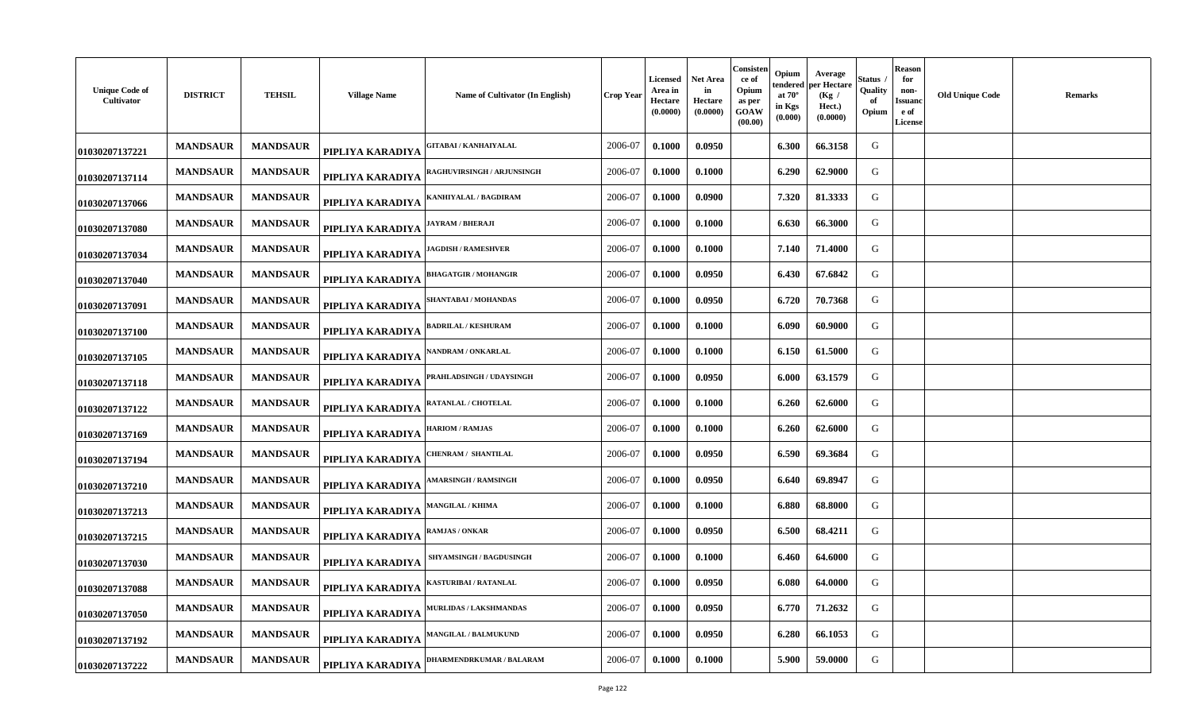| <b>Unique Code of</b><br>Cultivator | <b>DISTRICT</b> | <b>TEHSIL</b>   | <b>Village Name</b> | Name of Cultivator (In English)   | <b>Crop Year</b> | Licensed<br>Area in<br>Hectare<br>(0.0000) | Net Area<br>in<br><b>Hectare</b><br>(0.0000) | Consisten<br>ce of<br>Opium<br>as per<br>GOAW<br>(00.00) | Opium<br>endered<br>at $70^\circ$<br>in Kgs<br>(0.000) | Average<br>per Hectare<br>(Kg)<br>Hect.)<br>(0.0000) | štatus<br>Quality<br>-of<br>Opium | <b>Reason</b><br>for<br>non-<br><b>Issuand</b><br>e of<br><b>License</b> | <b>Old Unique Code</b> | <b>Remarks</b> |
|-------------------------------------|-----------------|-----------------|---------------------|-----------------------------------|------------------|--------------------------------------------|----------------------------------------------|----------------------------------------------------------|--------------------------------------------------------|------------------------------------------------------|-----------------------------------|--------------------------------------------------------------------------|------------------------|----------------|
| 01030207137221                      | <b>MANDSAUR</b> | <b>MANDSAUR</b> | PIPLIYA KARADIYA    | <b>GITABAI/KANHAIYALAL</b>        | 2006-07          | 0.1000                                     | 0.0950                                       |                                                          | 6.300                                                  | 66.3158                                              | G                                 |                                                                          |                        |                |
| 01030207137114                      | <b>MANDSAUR</b> | <b>MANDSAUR</b> | PIPLIYA KARADIYA    | <b>RAGHUVIRSINGH / ARJUNSINGH</b> | 2006-07          | 0.1000                                     | 0.1000                                       |                                                          | 6.290                                                  | 62.9000                                              | G                                 |                                                                          |                        |                |
| 01030207137066                      | <b>MANDSAUR</b> | <b>MANDSAUR</b> | PIPLIYA KARADIYA    | KANHIYALAL / BAGDIRAM             | 2006-07          | 0.1000                                     | 0.0900                                       |                                                          | 7.320                                                  | 81.3333                                              | G                                 |                                                                          |                        |                |
| 01030207137080                      | <b>MANDSAUR</b> | <b>MANDSAUR</b> | PIPLIYA KARADIYA    | JAYRAM / BHERAJI                  | 2006-07          | 0.1000                                     | 0.1000                                       |                                                          | 6.630                                                  | 66.3000                                              | G                                 |                                                                          |                        |                |
| 01030207137034                      | <b>MANDSAUR</b> | <b>MANDSAUR</b> | PIPLIYA KARADIYA    | <b>AGDISH / RAMESHVER</b>         | 2006-07          | 0.1000                                     | 0.1000                                       |                                                          | 7.140                                                  | 71.4000                                              | G                                 |                                                                          |                        |                |
| 01030207137040                      | <b>MANDSAUR</b> | <b>MANDSAUR</b> | PIPLIYA KARADIYA    | <b>BHAGATGIR / MOHANGIR</b>       | 2006-07          | 0.1000                                     | 0.0950                                       |                                                          | 6.430                                                  | 67.6842                                              | G                                 |                                                                          |                        |                |
| 01030207137091                      | <b>MANDSAUR</b> | <b>MANDSAUR</b> | PIPLIYA KARADIYA    | <b>SHANTABAI / MOHANDAS</b>       | 2006-07          | 0.1000                                     | 0.0950                                       |                                                          | 6.720                                                  | 70.7368                                              | G                                 |                                                                          |                        |                |
| 01030207137100                      | <b>MANDSAUR</b> | <b>MANDSAUR</b> | PIPLIYA KARADIYA    | <b>BADRILAL / KESHURAM</b>        | 2006-07          | 0.1000                                     | 0.1000                                       |                                                          | 6.090                                                  | 60.9000                                              | G                                 |                                                                          |                        |                |
| 01030207137105                      | <b>MANDSAUR</b> | <b>MANDSAUR</b> | PIPLIYA KARADIYA    | <b>ANDRAM / ONKARLAL</b>          | 2006-07          | 0.1000                                     | 0.1000                                       |                                                          | 6.150                                                  | 61.5000                                              | G                                 |                                                                          |                        |                |
| 01030207137118                      | <b>MANDSAUR</b> | <b>MANDSAUR</b> | PIPLIYA KARADIYA    | PRAHLADSINGH / UDAYSINGH          | 2006-07          | 0.1000                                     | 0.0950                                       |                                                          | 6.000                                                  | 63.1579                                              | G                                 |                                                                          |                        |                |
| 01030207137122                      | <b>MANDSAUR</b> | <b>MANDSAUR</b> | PIPLIYA KARADIYA    | RATANLAL / CHOTELAL               | 2006-07          | 0.1000                                     | 0.1000                                       |                                                          | 6.260                                                  | 62.6000                                              | G                                 |                                                                          |                        |                |
| 01030207137169                      | <b>MANDSAUR</b> | <b>MANDSAUR</b> | PIPLIYA KARADIYA    | <b>HARIOM / RAMJAS</b>            | 2006-07          | 0.1000                                     | 0.1000                                       |                                                          | 6.260                                                  | 62.6000                                              | G                                 |                                                                          |                        |                |
| 01030207137194                      | <b>MANDSAUR</b> | <b>MANDSAUR</b> | PIPLIYA KARADIYA    | CHENRAM / SHANTILAL               | 2006-07          | 0.1000                                     | 0.0950                                       |                                                          | 6.590                                                  | 69.3684                                              | G                                 |                                                                          |                        |                |
| 01030207137210                      | <b>MANDSAUR</b> | <b>MANDSAUR</b> | PIPLIYA KARADIYA    | <b>MARSINGH / RAMSINGH</b>        | 2006-07          | 0.1000                                     | 0.0950                                       |                                                          | 6.640                                                  | 69.8947                                              | G                                 |                                                                          |                        |                |
| 01030207137213                      | <b>MANDSAUR</b> | <b>MANDSAUR</b> | PIPLIYA KARADIYA    | <b>MANGILAL / KHIMA</b>           | 2006-07          | 0.1000                                     | 0.1000                                       |                                                          | 6.880                                                  | 68.8000                                              | G                                 |                                                                          |                        |                |
| 01030207137215                      | <b>MANDSAUR</b> | <b>MANDSAUR</b> | PIPLIYA KARADIYA    | RAMJAS / ONKAR                    | 2006-07          | 0.1000                                     | 0.0950                                       |                                                          | 6.500                                                  | 68.4211                                              | G                                 |                                                                          |                        |                |
| 01030207137030                      | <b>MANDSAUR</b> | <b>MANDSAUR</b> | PIPLIYA KARADIYA    | <b>SHYAMSINGH / BAGDUSINGH</b>    | 2006-07          | 0.1000                                     | 0.1000                                       |                                                          | 6.460                                                  | 64.6000                                              | G                                 |                                                                          |                        |                |
| 01030207137088                      | <b>MANDSAUR</b> | <b>MANDSAUR</b> | PIPLIYA KARADIYA    | <b>XASTURIBAI / RATANLAL</b>      | 2006-07          | 0.1000                                     | 0.0950                                       |                                                          | 6.080                                                  | 64.0000                                              | G                                 |                                                                          |                        |                |
| 01030207137050                      | <b>MANDSAUR</b> | <b>MANDSAUR</b> | PIPLIYA KARADIYA    | <b>MURLIDAS / LAKSHMANDAS</b>     | 2006-07          | 0.1000                                     | 0.0950                                       |                                                          | 6.770                                                  | 71.2632                                              | G                                 |                                                                          |                        |                |
| 01030207137192                      | <b>MANDSAUR</b> | <b>MANDSAUR</b> | PIPLIYA KARADIYA    | <b>MANGILAL / BALMUKUND</b>       | 2006-07          | 0.1000                                     | 0.0950                                       |                                                          | 6.280                                                  | 66.1053                                              | G                                 |                                                                          |                        |                |
| 01030207137222                      | <b>MANDSAUR</b> | <b>MANDSAUR</b> | PIPLIYA KARADIYA    | <b>DHARMENDRKUMAR / BALARAM</b>   | 2006-07          | 0.1000                                     | 0.1000                                       |                                                          | 5.900                                                  | 59.0000                                              | G                                 |                                                                          |                        |                |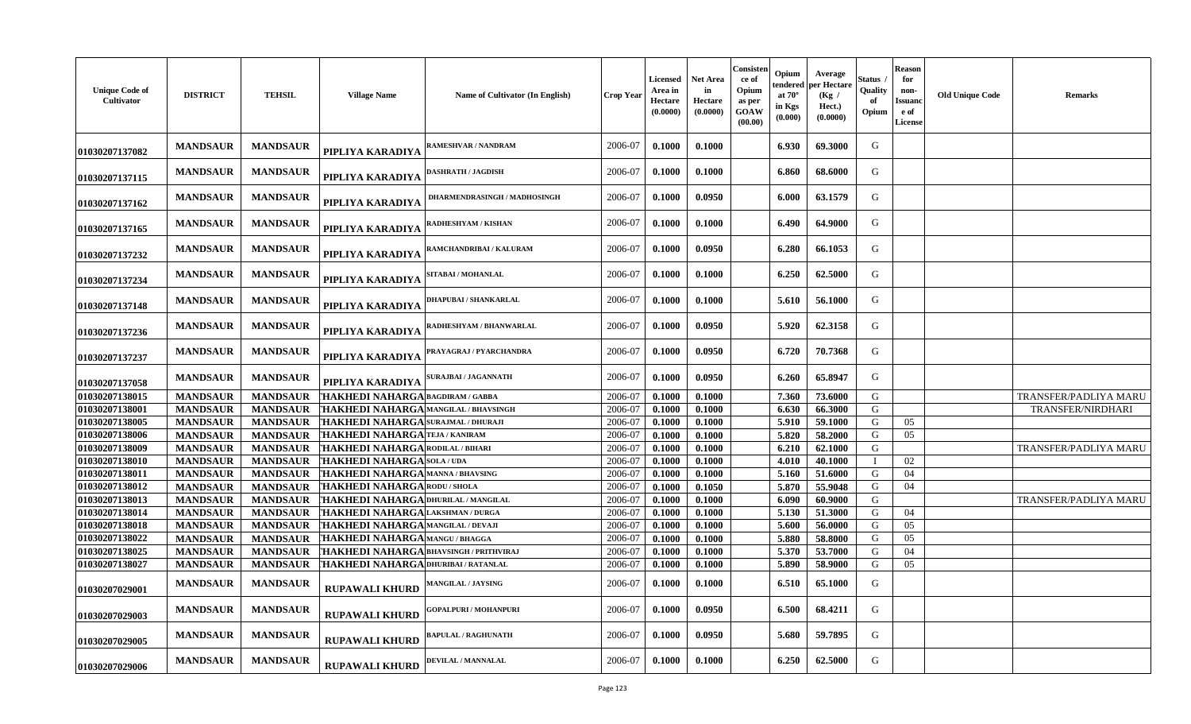| <b>Unique Code of</b><br>Cultivator | <b>DISTRICT</b> | <b>TEHSIL</b>   | <b>Village Name</b>                           | Name of Cultivator (In English) | <b>Crop Year</b> | Licensed<br>Area in<br>Hectare<br>(0.0000) | Net Area<br>in<br><b>Hectare</b><br>(0.0000) | Consisten<br>ce of<br>Opium<br>as per<br>GOAW<br>(00.00) | Opium<br>tendered<br>at $70^\circ$<br>in Kgs<br>(0.000) | Average<br>per Hectare<br>(Kg /<br>Hect.)<br>(0.0000) | Status<br>Quality<br>of<br>Opium | <b>Reason</b><br>for<br>non-<br>Issuano<br>e of<br>License | <b>Old Unique Code</b> | <b>Remarks</b>        |
|-------------------------------------|-----------------|-----------------|-----------------------------------------------|---------------------------------|------------------|--------------------------------------------|----------------------------------------------|----------------------------------------------------------|---------------------------------------------------------|-------------------------------------------------------|----------------------------------|------------------------------------------------------------|------------------------|-----------------------|
| 01030207137082                      | <b>MANDSAUR</b> | <b>MANDSAUR</b> | PIPLIYA KARADIYA                              | AMESHVAR / NANDRAM              | 2006-07          | 0.1000                                     | 0.1000                                       |                                                          | 6.930                                                   | 69.3000                                               | G                                |                                                            |                        |                       |
| 01030207137115                      | <b>MANDSAUR</b> | <b>MANDSAUR</b> | PIPLIYA KARADIYA                              | <b>DASHRATH / JAGDISH</b>       | 2006-07          | 0.1000                                     | 0.1000                                       |                                                          | 6.860                                                   | 68.6000                                               | G                                |                                                            |                        |                       |
| 01030207137162                      | <b>MANDSAUR</b> | <b>MANDSAUR</b> | PIPLIYA KARADIYA                              | DHARMENDRASINGH / MADHOSINGH    | 2006-07          | 0.1000                                     | 0.0950                                       |                                                          | 6.000                                                   | 63.1579                                               | G                                |                                                            |                        |                       |
| 01030207137165                      | <b>MANDSAUR</b> | <b>MANDSAUR</b> | PIPLIYA KARADIYA                              | RADHESHYAM / KISHAN             | 2006-07          | 0.1000                                     | 0.1000                                       |                                                          | 6.490                                                   | 64.9000                                               | G                                |                                                            |                        |                       |
| 01030207137232                      | <b>MANDSAUR</b> | <b>MANDSAUR</b> | PIPLIYA KARADIYA                              | <b>AMCHANDRIBAI / KALURAM</b>   | 2006-07          | 0.1000                                     | 0.0950                                       |                                                          | 6.280                                                   | 66.1053                                               | G                                |                                                            |                        |                       |
| 01030207137234                      | <b>MANDSAUR</b> | <b>MANDSAUR</b> | PIPLIYA KARADIYA                              | <b>SITABAI / MOHANLAL</b>       | 2006-07          | 0.1000                                     | 0.1000                                       |                                                          | 6.250                                                   | 62.5000                                               | G                                |                                                            |                        |                       |
| 01030207137148                      | <b>MANDSAUR</b> | <b>MANDSAUR</b> | PIPLIYA KARADIYA                              | DHAPUBAI / SHANKARLAL           | 2006-07          | 0.1000                                     | 0.1000                                       |                                                          | 5.610                                                   | 56.1000                                               | G                                |                                                            |                        |                       |
| 01030207137236                      | <b>MANDSAUR</b> | <b>MANDSAUR</b> | PIPLIYA KARADIYA                              | ADHESHYAM / BHANWARLAL          | 2006-07          | 0.1000                                     | 0.0950                                       |                                                          | 5.920                                                   | 62.3158                                               | G                                |                                                            |                        |                       |
| 01030207137237                      | <b>MANDSAUR</b> | <b>MANDSAUR</b> | PIPLIYA KARADIYA                              | PRAYAGRAJ / PYARCHANDRA         | 2006-07          | 0.1000                                     | 0.0950                                       |                                                          | 6.720                                                   | 70.7368                                               | G                                |                                                            |                        |                       |
| 01030207137058                      | <b>MANDSAUR</b> | <b>MANDSAUR</b> | PIPLIYA KARADIYA                              | <b>SURAJBAI / JAGANNATH</b>     | 2006-07          | 0.1000                                     | 0.0950                                       |                                                          | 6.260                                                   | 65.8947                                               | G                                |                                                            |                        |                       |
| 01030207138015                      | <b>MANDSAUR</b> | <b>MANDSAUR</b> | THAKHEDI NAHARGA BAGDIRAM / GABBA             |                                 | 2006-07          | 0.1000                                     | 0.1000                                       |                                                          | 7.360                                                   | 73.6000                                               | G                                |                                                            |                        | TRANSFER/PADLIYA MARU |
| 01030207138001                      | <b>MANDSAUR</b> | <b>MANDSAUR</b> | THAKHEDI NAHARGA MANGILAL / BHAVSINGH         |                                 | 2006-07          | 0.1000                                     | 0.1000                                       |                                                          | 6.630                                                   | 66.3000                                               | G                                |                                                            |                        | TRANSFER/NIRDHARI     |
| 01030207138005                      | <b>MANDSAUR</b> | <b>MANDSAUR</b> | [HAKHEDI NAHARGA SURAJMAL/DHURAJI             |                                 | 2006-07          | 0.1000                                     | 0.1000                                       |                                                          | 5.910                                                   | 59.1000                                               | G                                | 05                                                         |                        |                       |
| 01030207138006                      | <b>MANDSAUR</b> | <b>MANDSAUR</b> | THAKHEDI NAHARGA TEJA / KANIRAM               |                                 | 2006-07          | 0.1000                                     | 0.1000                                       |                                                          | 5.820                                                   | 58.2000                                               | G                                | 05                                                         |                        |                       |
| 01030207138009                      | <b>MANDSAUR</b> | <b>MANDSAUR</b> | <b>THAKHEDI NAHARGA RODILAL / BIHARI</b>      |                                 | 2006-07          | 0.1000                                     | 0.1000                                       |                                                          | 6.210                                                   | 62.1000                                               | G                                |                                                            |                        | TRANSFER/PADLIYA MARU |
| 01030207138010                      | <b>MANDSAUR</b> | <b>MANDSAUR</b> | <b>HAKHEDI NAHARGA SOLA/UDA</b>               |                                 | 2006-07          | 0.1000                                     | 0.1000                                       |                                                          | 4.010                                                   | 40.1000                                               |                                  | 02                                                         |                        |                       |
| 01030207138011                      | <b>MANDSAUR</b> | <b>MANDSAUR</b> | THAKHEDI NAHARGA MANNA / BHAVSING             |                                 | 2006-07          | 0.1000                                     | 0.1000                                       |                                                          | 5.160                                                   | 51.6000                                               | ${\bf G}$                        | 04                                                         |                        |                       |
| 01030207138012                      | <b>MANDSAUR</b> | <b>MANDSAUR</b> | THAKHEDI NAHARGA RODU / SHOLA                 |                                 | 2006-07          | 0.1000                                     | 0.1050                                       |                                                          | 5.870                                                   | 55.9048                                               | G                                | 04                                                         |                        |                       |
| 01030207138013                      | <b>MANDSAUR</b> | <b>MANDSAUR</b> | <b>HAKHEDI NAHARGA DHURILAL / MANGILAL</b>    |                                 | 2006-07          | 0.1000                                     | 0.1000                                       |                                                          | 6.090                                                   | 60.9000                                               | G                                |                                                            |                        | TRANSFER/PADLIYA MARU |
| 01030207138014                      | <b>MANDSAUR</b> | <b>MANDSAUR</b> | [HAKHEDI NAHARGA LAKSHMAN/DURGA               |                                 | 2006-07          | 0.1000                                     | 0.1000                                       |                                                          | 5.130                                                   | 51.3000                                               | G                                | 04                                                         |                        |                       |
| 01030207138018                      | <b>MANDSAUR</b> | <b>MANDSAUR</b> | THAKHEDI NAHARGA MANGILAL / DEVAJI            |                                 | 2006-07          | 0.1000                                     | 0.1000                                       |                                                          | 5.600                                                   | 56.0000                                               | G                                | 05                                                         |                        |                       |
| 01030207138022                      | <b>MANDSAUR</b> | <b>MANDSAUR</b> | THAKHEDI NAHARGA MANGU/BHAGGA                 |                                 | 2006-07          | 0.1000                                     | 0.1000                                       |                                                          | 5.880                                                   | 58.8000                                               | G                                | 05                                                         |                        |                       |
| 01030207138025                      | <b>MANDSAUR</b> | <b>MANDSAUR</b> | <b>HAKHEDI NAHARGA BHAVSINGH / PRITHVIRAJ</b> |                                 | 2006-07          | 0.1000                                     | 0.1000                                       |                                                          | 5.370                                                   | 53.7000                                               | G                                | 04                                                         |                        |                       |
| 01030207138027                      | <b>MANDSAUR</b> | <b>MANDSAUR</b> | <b>HAKHEDI NAHARGA DHURIBAI / RATANLAL</b>    |                                 | 2006-07          | 0.1000                                     | 0.1000                                       |                                                          | 5.890                                                   | 58.9000                                               | G                                | 05                                                         |                        |                       |
| 01030207029001                      | <b>MANDSAUR</b> | <b>MANDSAUR</b> | <b>RUPAWALI KHURD</b>                         | <b>MANGILAL / JAYSING</b>       | 2006-07          | 0.1000                                     | 0.1000                                       |                                                          | 6.510                                                   | 65.1000                                               | G                                |                                                            |                        |                       |
| 01030207029003                      | <b>MANDSAUR</b> | <b>MANDSAUR</b> | <b>RUPAWALI KHURD</b>                         | <b>GOPALPURI / MOHANPURI</b>    | 2006-07          | 0.1000                                     | 0.0950                                       |                                                          | 6.500                                                   | 68.4211                                               | G                                |                                                            |                        |                       |
| 01030207029005                      | <b>MANDSAUR</b> | <b>MANDSAUR</b> | <b>RUPAWALI KHURD</b>                         | <b>BAPULAL / RAGHUNATH</b>      | 2006-07          | 0.1000                                     | 0.0950                                       |                                                          | 5.680                                                   | 59.7895                                               | G                                |                                                            |                        |                       |
| 01030207029006                      | <b>MANDSAUR</b> | <b>MANDSAUR</b> | <b>RUPAWALI KHURD</b>                         | <b>DEVILAL / MANNALAL</b>       | 2006-07          | 0.1000                                     | 0.1000                                       |                                                          | 6.250                                                   | 62.5000                                               | G                                |                                                            |                        |                       |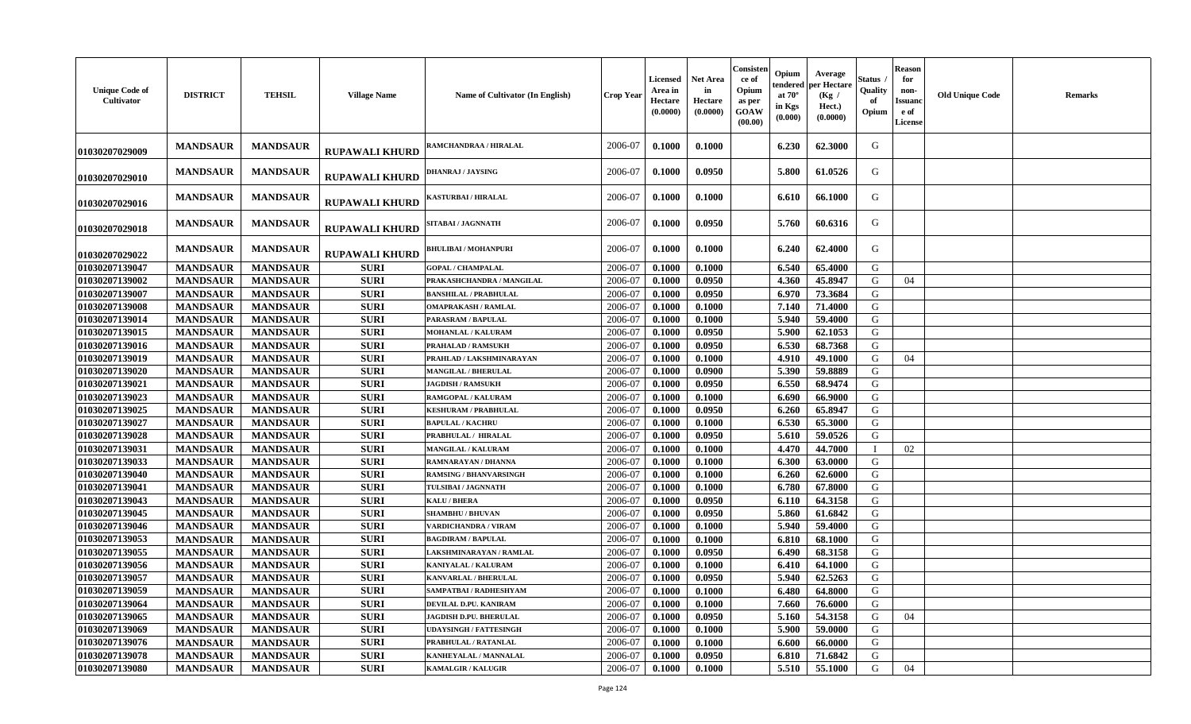| <b>Unique Code of</b><br>Cultivator | <b>DISTRICT</b> | <b>TEHSIL</b>   | <b>Village Name</b>   | Name of Cultivator (In English) | <b>Crop Year</b> | Licensed<br>Area in<br>Hectare<br>(0.0000) | <b>Net Area</b><br>in<br>Hectare<br>(0.0000) | Consister<br>ce of<br>Opium<br>as per<br>GOAW<br>(00.00) | Opium<br>endered<br>at $70^{\circ}$<br>in Kgs<br>(0.000) | Average<br>per Hectare<br>(Kg /<br>Hect.)<br>(0.0000) | Status<br>Quality<br>of<br>Opium | <b>Reason</b><br>for<br>non-<br><b>Issuanc</b><br>e of<br><b>License</b> | <b>Old Unique Code</b> | <b>Remarks</b> |
|-------------------------------------|-----------------|-----------------|-----------------------|---------------------------------|------------------|--------------------------------------------|----------------------------------------------|----------------------------------------------------------|----------------------------------------------------------|-------------------------------------------------------|----------------------------------|--------------------------------------------------------------------------|------------------------|----------------|
| 01030207029009                      | <b>MANDSAUR</b> | <b>MANDSAUR</b> | <b>RUPAWALI KHURD</b> | <b>AMCHANDRAA / HIRALAL</b>     | 2006-07          | 0.1000                                     | 0.1000                                       |                                                          | 6.230                                                    | 62.3000                                               | G                                |                                                                          |                        |                |
| 01030207029010                      | <b>MANDSAUR</b> | <b>MANDSAUR</b> | <b>RUPAWALI KHURD</b> | DHANRAJ / JAYSING               | 2006-07          | 0.1000                                     | 0.0950                                       |                                                          | 5.800                                                    | 61.0526                                               | G                                |                                                                          |                        |                |
| 01030207029016                      | <b>MANDSAUR</b> | <b>MANDSAUR</b> | <b>RUPAWALI KHURD</b> | KASTURBAI / HIRALAL             | 2006-07          | 0.1000                                     | 0.1000                                       |                                                          | 6.610                                                    | 66.1000                                               | G                                |                                                                          |                        |                |
| 01030207029018                      | <b>MANDSAUR</b> | <b>MANDSAUR</b> | <b>RUPAWALI KHURD</b> | SITABAI / JAGNNATH              | 2006-07          | 0.1000                                     | 0.0950                                       |                                                          | 5.760                                                    | 60.6316                                               | G                                |                                                                          |                        |                |
| 01030207029022                      | <b>MANDSAUR</b> | <b>MANDSAUR</b> | <b>RUPAWALI KHURD</b> | <b>BHULIBAI / MOHANPURI</b>     | 2006-07          | 0.1000                                     | 0.1000                                       |                                                          | 6.240                                                    | 62.4000                                               | G                                |                                                                          |                        |                |
| 01030207139047                      | <b>MANDSAUR</b> | <b>MANDSAUR</b> | <b>SURI</b>           | <b>GOPAL / CHAMPALAL</b>        | 2006-07          | 0.1000                                     | 0.1000                                       |                                                          | 6.540                                                    | 65.4000                                               | G                                |                                                                          |                        |                |
| 01030207139002                      | <b>MANDSAUR</b> | <b>MANDSAUR</b> | <b>SURI</b>           | PRAKASHCHANDRA / MANGILAL       | 2006-07          | 0.1000                                     | 0.0950                                       |                                                          | 4.360                                                    | 45.8947                                               | G                                | 04                                                                       |                        |                |
| 01030207139007                      | <b>MANDSAUR</b> | <b>MANDSAUR</b> | <b>SURI</b>           | <b>BANSHILAL / PRABHULAL</b>    | 2006-07          | 0.1000                                     | 0.0950                                       |                                                          | 6.970                                                    | 73.3684                                               | G                                |                                                                          |                        |                |
| 01030207139008                      | <b>MANDSAUR</b> | <b>MANDSAUR</b> | <b>SURI</b>           | <b>OMAPRAKASH / RAMLAL</b>      | 2006-07          | 0.1000                                     | 0.1000                                       |                                                          | 7.140                                                    | 71.4000                                               | G                                |                                                                          |                        |                |
| 01030207139014                      | <b>MANDSAUR</b> | <b>MANDSAUR</b> | <b>SURI</b>           | PARASRAM / BAPULAL              | 2006-07          | 0.1000                                     | 0.1000                                       |                                                          | 5.940                                                    | 59.4000                                               | G                                |                                                                          |                        |                |
| 01030207139015                      | <b>MANDSAUR</b> | <b>MANDSAUR</b> | <b>SURI</b>           | <b>MOHANLAL / KALURAM</b>       | 2006-07          | 0.1000                                     | 0.0950                                       |                                                          | 5.900                                                    | 62.1053                                               | G                                |                                                                          |                        |                |
| 01030207139016                      | <b>MANDSAUR</b> | <b>MANDSAUR</b> | <b>SURI</b>           | PRAHALAD / RAMSUKH              | 2006-07          | 0.1000                                     | 0.0950                                       |                                                          | 6.530                                                    | 68.7368                                               | G                                |                                                                          |                        |                |
| 01030207139019                      | <b>MANDSAUR</b> | <b>MANDSAUR</b> | <b>SURI</b>           | PRAHLAD / LAKSHMINARAYAN        | 2006-07          | 0.1000                                     | 0.1000                                       |                                                          | 4.910                                                    | 49.1000                                               | G                                | 04                                                                       |                        |                |
| 01030207139020                      | <b>MANDSAUR</b> | <b>MANDSAUR</b> | <b>SURI</b>           | <b>MANGILAL / BHERULAL</b>      | 2006-07          | 0.1000                                     | 0.0900                                       |                                                          | 5.390                                                    | 59.8889                                               | G                                |                                                                          |                        |                |
| 01030207139021                      | <b>MANDSAUR</b> | <b>MANDSAUR</b> | <b>SURI</b>           | <b>JAGDISH / RAMSUKH</b>        | 2006-07          | 0.1000                                     | 0.0950                                       |                                                          | 6.550                                                    | 68.9474                                               | G                                |                                                                          |                        |                |
| 01030207139023                      | <b>MANDSAUR</b> | <b>MANDSAUR</b> | <b>SURI</b>           | RAMGOPAL / KALURAM              | 2006-07          | 0.1000                                     | 0.1000                                       |                                                          | 6.690                                                    | 66.9000                                               | G                                |                                                                          |                        |                |
| 01030207139025                      | <b>MANDSAUR</b> | <b>MANDSAUR</b> | <b>SURI</b>           | <b>KESHURAM / PRABHULAL</b>     | 2006-07          | 0.1000                                     | 0.0950                                       |                                                          | 6.260                                                    | 65.8947                                               | G                                |                                                                          |                        |                |
| 01030207139027                      | <b>MANDSAUR</b> | <b>MANDSAUR</b> | <b>SURI</b>           | <b>BAPULAL / KACHRU</b>         | 2006-07          | 0.1000                                     | 0.1000                                       |                                                          | 6.530                                                    | 65.3000                                               | G                                |                                                                          |                        |                |
| 01030207139028                      | <b>MANDSAUR</b> | <b>MANDSAUR</b> | <b>SURI</b>           | PRABHULAL / HIRALAL             | 2006-07          | 0.1000                                     | 0.0950                                       |                                                          | 5.610                                                    | 59.0526                                               | G                                |                                                                          |                        |                |
| 01030207139031                      | <b>MANDSAUR</b> | <b>MANDSAUR</b> | <b>SURI</b>           | <b>MANGILAL / KALURAM</b>       | 2006-07          | 0.1000                                     | 0.1000                                       |                                                          | 4.470                                                    | 44.7000                                               |                                  | 02                                                                       |                        |                |
| 01030207139033                      | <b>MANDSAUR</b> | <b>MANDSAUR</b> | <b>SURI</b>           | RAMNARAYAN / DHANNA             | 2006-07          | 0.1000                                     | 0.1000                                       |                                                          | 6.300                                                    | 63.0000                                               | G                                |                                                                          |                        |                |
| 01030207139040                      | <b>MANDSAUR</b> | <b>MANDSAUR</b> | <b>SURI</b>           | <b>RAMSING / BHANVARSINGH</b>   | 2006-07          | 0.1000                                     | 0.1000                                       |                                                          | 6.260                                                    | 62.6000                                               | G                                |                                                                          |                        |                |
| 01030207139041                      | <b>MANDSAUR</b> | <b>MANDSAUR</b> | <b>SURI</b>           | TULSIBAI / JAGNNATH             | 2006-07          | 0.1000                                     | 0.1000                                       |                                                          | 6.780                                                    | 67.8000                                               | G                                |                                                                          |                        |                |
| 01030207139043                      | <b>MANDSAUR</b> | <b>MANDSAUR</b> | <b>SURI</b>           | <b>KALU / BHERA</b>             | 2006-07          | 0.1000                                     | 0.0950                                       |                                                          | 6.110                                                    | 64.3158                                               | G                                |                                                                          |                        |                |
| 01030207139045                      | <b>MANDSAUR</b> | <b>MANDSAUR</b> | <b>SURI</b>           | <b>SHAMBHU / BHUVAN</b>         | 2006-07          | 0.1000                                     | 0.0950                                       |                                                          | 5.860                                                    | 61.6842                                               | G                                |                                                                          |                        |                |
| 01030207139046                      | <b>MANDSAUR</b> | <b>MANDSAUR</b> | <b>SURI</b>           | VARDICHANDRA / VIRAM            | 2006-07          | 0.1000                                     | 0.1000                                       |                                                          | 5.940                                                    | 59.4000                                               | G                                |                                                                          |                        |                |
| 01030207139053                      | <b>MANDSAUR</b> | <b>MANDSAUR</b> | <b>SURI</b>           | <b>BAGDIRAM / BAPULAL</b>       | 2006-07          | 0.1000                                     | 0.1000                                       |                                                          | 6.810                                                    | 68.1000                                               | G                                |                                                                          |                        |                |
| 01030207139055                      | <b>MANDSAUR</b> | <b>MANDSAUR</b> | <b>SURI</b>           | LAKSHMINARAYAN / RAMLAL         | 2006-07          | 0.1000                                     | 0.0950                                       |                                                          | 6.490                                                    | 68.3158                                               | G                                |                                                                          |                        |                |
| 01030207139056                      | <b>MANDSAUR</b> | <b>MANDSAUR</b> | <b>SURI</b>           | <b>KANIYALAL / KALURAM</b>      | 2006-07          | 0.1000                                     | 0.1000                                       |                                                          | 6.410                                                    | 64.1000                                               | G                                |                                                                          |                        |                |
| 01030207139057                      | <b>MANDSAUR</b> | <b>MANDSAUR</b> | <b>SURI</b>           | <b>KANVARLAL / BHERULAL</b>     | 2006-07          | 0.1000                                     | 0.0950                                       |                                                          | 5.940                                                    | 62.5263                                               | G                                |                                                                          |                        |                |
| 01030207139059                      | <b>MANDSAUR</b> | <b>MANDSAUR</b> | <b>SURI</b>           | SAMPATBAI / RADHESHYAM          | 2006-07          | 0.1000                                     | 0.1000                                       |                                                          | 6.480                                                    | 64.8000                                               | G                                |                                                                          |                        |                |
| 01030207139064                      | <b>MANDSAUR</b> | <b>MANDSAUR</b> | <b>SURI</b>           | DEVILAL D.PU. KANIRAM           | 2006-07          | 0.1000                                     | 0.1000                                       |                                                          | 7.660                                                    | 76.6000                                               | G                                |                                                                          |                        |                |
| 01030207139065                      | <b>MANDSAUR</b> | <b>MANDSAUR</b> | <b>SURI</b>           | JAGDISH D.PU. BHERULAL          | 2006-07          | 0.1000                                     | 0.0950                                       |                                                          | 5.160                                                    | 54.3158                                               | G                                | 04                                                                       |                        |                |
| 01030207139069                      | <b>MANDSAUR</b> | <b>MANDSAUR</b> | <b>SURI</b>           | <b>UDAYSINGH / FATTESINGH</b>   | 2006-07          | 0.1000                                     | 0.1000                                       |                                                          | 5.900                                                    | 59.0000                                               | G                                |                                                                          |                        |                |
| 01030207139076                      | <b>MANDSAUR</b> | <b>MANDSAUR</b> | <b>SURI</b>           | PRABHULAL / RATANLAL            | 2006-07          | 0.1000                                     | 0.1000                                       |                                                          | 6.600                                                    | 66.0000                                               | G                                |                                                                          |                        |                |
| 01030207139078                      | <b>MANDSAUR</b> | <b>MANDSAUR</b> | <b>SURI</b>           | KANHEYALAL / MANNALAL           | 2006-07          | 0.1000                                     | 0.0950                                       |                                                          | 6.810                                                    | 71.6842                                               | G                                |                                                                          |                        |                |
| 01030207139080                      | <b>MANDSAUR</b> | <b>MANDSAUR</b> | <b>SURI</b>           | <b>KAMALGIR / KALUGIR</b>       | 2006-07          | 0.1000                                     | 0.1000                                       |                                                          | 5.510                                                    | 55.1000                                               | G                                | 04                                                                       |                        |                |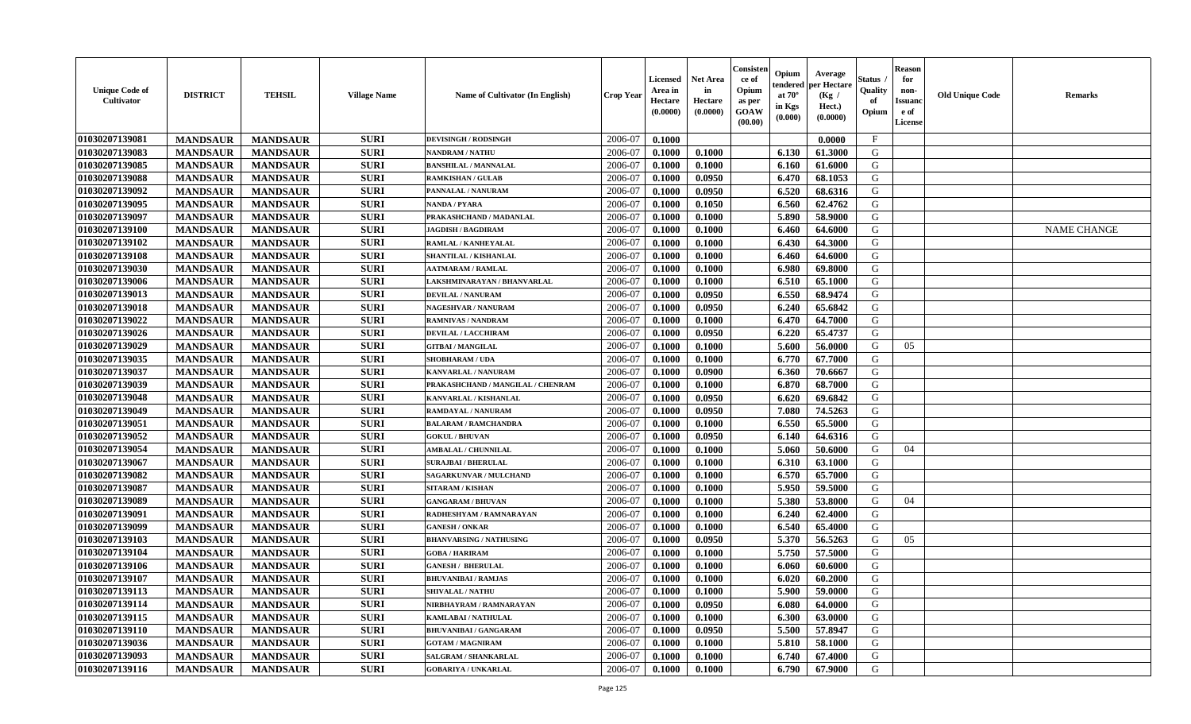| <b>Unique Code of</b><br>Cultivator | <b>DISTRICT</b> | <b>TEHSIL</b>   | <b>Village Name</b> | Name of Cultivator (In English)   | <b>Crop Year</b> | <b>Licensed</b><br>Area in<br>Hectare<br>(0.0000) | <b>Net Area</b><br>in<br>Hectare<br>(0.0000) | Consisten<br>ce of<br>Opium<br>as per<br><b>GOAW</b><br>(00.00) | Opium<br>endered<br>at $70^\circ$<br>in Kgs<br>(0.000) | Average<br>per Hectare<br>(Kg /<br>Hect.)<br>(0.0000) | Status<br>Quality<br>of<br>Opium | <b>Reason</b><br>for<br>non-<br><b>Issuanc</b><br>e of<br><b>License</b> | <b>Old Unique Code</b> | <b>Remarks</b>     |
|-------------------------------------|-----------------|-----------------|---------------------|-----------------------------------|------------------|---------------------------------------------------|----------------------------------------------|-----------------------------------------------------------------|--------------------------------------------------------|-------------------------------------------------------|----------------------------------|--------------------------------------------------------------------------|------------------------|--------------------|
| 01030207139081                      | <b>MANDSAUR</b> | <b>MANDSAUR</b> | <b>SURI</b>         | <b>DEVISINGH / RODSINGH</b>       | 2006-07          | 0.1000                                            |                                              |                                                                 |                                                        | 0.0000                                                | $\mathbf{F}$                     |                                                                          |                        |                    |
| 01030207139083                      | <b>MANDSAUR</b> | <b>MANDSAUR</b> | <b>SURI</b>         | <b>NANDRAM / NATHU</b>            | 2006-07          | 0.1000                                            | 0.1000                                       |                                                                 | 6.130                                                  | 61.3000                                               | G                                |                                                                          |                        |                    |
| 01030207139085                      | <b>MANDSAUR</b> | <b>MANDSAUR</b> | <b>SURI</b>         | <b>BANSHILAL / MANNALAL</b>       | 2006-07          | 0.1000                                            | 0.1000                                       |                                                                 | 6.160                                                  | 61.6000                                               | G                                |                                                                          |                        |                    |
| 01030207139088                      | <b>MANDSAUR</b> | <b>MANDSAUR</b> | <b>SURI</b>         | <b>RAMKISHAN / GULAB</b>          | 2006-07          | 0.1000                                            | 0.0950                                       |                                                                 | 6.470                                                  | 68.1053                                               | G                                |                                                                          |                        |                    |
| 01030207139092                      | <b>MANDSAUR</b> | <b>MANDSAUR</b> | <b>SURI</b>         | PANNALAL / NANURAM                | 2006-07          | 0.1000                                            | 0.0950                                       |                                                                 | 6.520                                                  | 68.6316                                               | G                                |                                                                          |                        |                    |
| 01030207139095                      | <b>MANDSAUR</b> | <b>MANDSAUR</b> | <b>SURI</b>         | <b>NANDA / PYARA</b>              | 2006-07          | 0.1000                                            | 0.1050                                       |                                                                 | 6.560                                                  | 62.4762                                               | G                                |                                                                          |                        |                    |
| 01030207139097                      | <b>MANDSAUR</b> | <b>MANDSAUR</b> | <b>SURI</b>         | PRAKASHCHAND / MADANLAL           | 2006-07          | 0.1000                                            | 0.1000                                       |                                                                 | 5.890                                                  | 58.9000                                               | G                                |                                                                          |                        |                    |
| 01030207139100                      | <b>MANDSAUR</b> | <b>MANDSAUR</b> | <b>SURI</b>         | <b>JAGDISH / BAGDIRAM</b>         | 2006-07          | 0.1000                                            | 0.1000                                       |                                                                 | 6.460                                                  | 64.6000                                               | G                                |                                                                          |                        | <b>NAME CHANGE</b> |
| 01030207139102                      | <b>MANDSAUR</b> | <b>MANDSAUR</b> | <b>SURI</b>         | RAMLAL / KANHEYALAL               | 2006-07          | 0.1000                                            | 0.1000                                       |                                                                 | 6.430                                                  | 64.3000                                               | G                                |                                                                          |                        |                    |
| 01030207139108                      | <b>MANDSAUR</b> | <b>MANDSAUR</b> | <b>SURI</b>         | SHANTILAL / KISHANLAL             | 2006-07          | 0.1000                                            | 0.1000                                       |                                                                 | 6.460                                                  | 64.6000                                               | G                                |                                                                          |                        |                    |
| 01030207139030                      | <b>MANDSAUR</b> | <b>MANDSAUR</b> | <b>SURI</b>         | <b>AATMARAM / RAMLAL</b>          | 2006-07          | 0.1000                                            | 0.1000                                       |                                                                 | 6.980                                                  | 69.8000                                               | G                                |                                                                          |                        |                    |
| 01030207139006                      | <b>MANDSAUR</b> | <b>MANDSAUR</b> | <b>SURI</b>         | LAKSHMINARAYAN / BHANVARLAL       | 2006-07          | 0.1000                                            | 0.1000                                       |                                                                 | 6.510                                                  | 65.1000                                               | G                                |                                                                          |                        |                    |
| 01030207139013                      | <b>MANDSAUR</b> | <b>MANDSAUR</b> | <b>SURI</b>         | <b>DEVILAL / NANURAM</b>          | 2006-07          | 0.1000                                            | 0.0950                                       |                                                                 | 6.550                                                  | 68.9474                                               | G                                |                                                                          |                        |                    |
| 01030207139018                      | <b>MANDSAUR</b> | <b>MANDSAUR</b> | <b>SURI</b>         | <b>NAGESHVAR / NANURAM</b>        | 2006-07          | 0.1000                                            | 0.0950                                       |                                                                 | 6.240                                                  | 65.6842                                               | G                                |                                                                          |                        |                    |
| 01030207139022                      | <b>MANDSAUR</b> | <b>MANDSAUR</b> | <b>SURI</b>         | <b>RAMNIVAS / NANDRAM</b>         | 2006-07          | 0.1000                                            | 0.1000                                       |                                                                 | 6.470                                                  | 64.7000                                               | G                                |                                                                          |                        |                    |
| 01030207139026                      | <b>MANDSAUR</b> | <b>MANDSAUR</b> | <b>SURI</b>         | <b>DEVILAL / LACCHIRAM</b>        | 2006-07          | 0.1000                                            | 0.0950                                       |                                                                 | 6.220                                                  | 65.4737                                               | G                                |                                                                          |                        |                    |
| 01030207139029                      | <b>MANDSAUR</b> | <b>MANDSAUR</b> | <b>SURI</b>         | <b>GITBAI/MANGILAL</b>            | 2006-07          | 0.1000                                            | 0.1000                                       |                                                                 | 5.600                                                  | 56.0000                                               | G                                | 05                                                                       |                        |                    |
| 01030207139035                      | <b>MANDSAUR</b> | <b>MANDSAUR</b> | <b>SURI</b>         | <b>SHOBHARAM / UDA</b>            | 2006-07          | 0.1000                                            | 0.1000                                       |                                                                 | 6.770                                                  | 67.7000                                               | G                                |                                                                          |                        |                    |
| 01030207139037                      | <b>MANDSAUR</b> | <b>MANDSAUR</b> | <b>SURI</b>         | KANVARLAL / NANURAM               | 2006-07          | 0.1000                                            | 0.0900                                       |                                                                 | 6.360                                                  | 70.6667                                               | G                                |                                                                          |                        |                    |
| 01030207139039                      | <b>MANDSAUR</b> | <b>MANDSAUR</b> | <b>SURI</b>         | PRAKASHCHAND / MANGILAL / CHENRAM | 2006-07          | 0.1000                                            | 0.1000                                       |                                                                 | 6.870                                                  | 68.7000                                               | G                                |                                                                          |                        |                    |
| 01030207139048                      | <b>MANDSAUR</b> | <b>MANDSAUR</b> | <b>SURI</b>         | KANVARLAL / KISHANLAL             | 2006-07          | 0.1000                                            | 0.0950                                       |                                                                 | 6.620                                                  | 69.6842                                               | G                                |                                                                          |                        |                    |
| 01030207139049                      | <b>MANDSAUR</b> | <b>MANDSAUR</b> | <b>SURI</b>         | RAMDAYAL / NANURAM                | 2006-07          | 0.1000                                            | 0.0950                                       |                                                                 | 7.080                                                  | 74.5263                                               | G                                |                                                                          |                        |                    |
| 01030207139051                      | <b>MANDSAUR</b> | <b>MANDSAUR</b> | <b>SURI</b>         | <b>BALARAM / RAMCHANDRA</b>       | 2006-07          | 0.1000                                            | 0.1000                                       |                                                                 | 6.550                                                  | 65.5000                                               | G                                |                                                                          |                        |                    |
| 01030207139052                      | <b>MANDSAUR</b> | <b>MANDSAUR</b> | <b>SURI</b>         | <b>GOKUL / BHUVAN</b>             | 2006-07          | 0.1000                                            | 0.0950                                       |                                                                 | 6.140                                                  | 64.6316                                               | G                                |                                                                          |                        |                    |
| 01030207139054                      | <b>MANDSAUR</b> | <b>MANDSAUR</b> | <b>SURI</b>         | <b>AMBALAL / CHUNNILAL</b>        | 2006-07          | 0.1000                                            | 0.1000                                       |                                                                 | 5.060                                                  | 50.6000                                               | G                                | 04                                                                       |                        |                    |
| 01030207139067                      | <b>MANDSAUR</b> | <b>MANDSAUR</b> | <b>SURI</b>         | <b>SURAJBAI / BHERULAL</b>        | 2006-07          | 0.1000                                            | 0.1000                                       |                                                                 | 6.310                                                  | 63.1000                                               | G                                |                                                                          |                        |                    |
| 01030207139082                      | <b>MANDSAUR</b> | <b>MANDSAUR</b> | <b>SURI</b>         | <b>SAGARKUNVAR / MULCHAND</b>     | 2006-07          | 0.1000                                            | 0.1000                                       |                                                                 | 6.570                                                  | 65.7000                                               | G                                |                                                                          |                        |                    |
| 01030207139087                      | <b>MANDSAUR</b> | <b>MANDSAUR</b> | <b>SURI</b>         | <b>SITARAM / KISHAN</b>           | 2006-07          | 0.1000                                            | 0.1000                                       |                                                                 | 5.950                                                  | 59.5000                                               | G                                |                                                                          |                        |                    |
| 01030207139089                      | <b>MANDSAUR</b> | <b>MANDSAUR</b> | <b>SURI</b>         | <b>GANGARAM / BHUVAN</b>          | 2006-07          | 0.1000                                            | 0.1000                                       |                                                                 | 5.380                                                  | 53.8000                                               | G                                | 04                                                                       |                        |                    |
| 01030207139091                      | <b>MANDSAUR</b> | <b>MANDSAUR</b> | <b>SURI</b>         | RADHESHYAM / RAMNARAYAN           | 2006-07          | 0.1000                                            | 0.1000                                       |                                                                 | 6.240                                                  | 62.4000                                               | G                                |                                                                          |                        |                    |
| 01030207139099                      | <b>MANDSAUR</b> | <b>MANDSAUR</b> | <b>SURI</b>         | <b>GANESH / ONKAR</b>             | 2006-07          | 0.1000                                            | 0.1000                                       |                                                                 | 6.540                                                  | 65.4000                                               | G                                |                                                                          |                        |                    |
| 01030207139103                      | <b>MANDSAUR</b> | <b>MANDSAUR</b> | <b>SURI</b>         | <b>BHANVARSING / NATHUSING</b>    | 2006-07          | 0.1000                                            | 0.0950                                       |                                                                 | 5.370                                                  | 56.5263                                               | G                                | 05                                                                       |                        |                    |
| 01030207139104                      | <b>MANDSAUR</b> | <b>MANDSAUR</b> | <b>SURI</b>         | <b>GOBA / HARIRAM</b>             | 2006-07          | 0.1000                                            | 0.1000                                       |                                                                 | 5.750                                                  | 57.5000                                               | G                                |                                                                          |                        |                    |
| 01030207139106                      | <b>MANDSAUR</b> | <b>MANDSAUR</b> | <b>SURI</b>         | <b>GANESH / BHERULAL</b>          | 2006-07          | 0.1000                                            | 0.1000                                       |                                                                 | 6.060                                                  | 60.6000                                               | G                                |                                                                          |                        |                    |
| 01030207139107                      | <b>MANDSAUR</b> | <b>MANDSAUR</b> | <b>SURI</b>         | <b>BHUVANIBAI / RAMJAS</b>        | 2006-07          | 0.1000                                            | 0.1000                                       |                                                                 | 6.020                                                  | 60.2000                                               | G                                |                                                                          |                        |                    |
| 01030207139113                      | <b>MANDSAUR</b> | <b>MANDSAUR</b> | <b>SURI</b>         | <b>SHIVALAL / NATHU</b>           | 2006-07          | 0.1000                                            | 0.1000                                       |                                                                 | 5.900                                                  | 59.0000                                               | G                                |                                                                          |                        |                    |
| 01030207139114                      | <b>MANDSAUR</b> | <b>MANDSAUR</b> | <b>SURI</b>         | NIRBHAYRAM / RAMNARAYAN           | 2006-07          | 0.1000                                            | 0.0950                                       |                                                                 | 6.080                                                  | 64.0000                                               | G                                |                                                                          |                        |                    |
| 01030207139115                      | <b>MANDSAUR</b> | <b>MANDSAUR</b> | <b>SURI</b>         | <b>KAMLABAI/NATHULAL</b>          | 2006-07          | 0.1000                                            | 0.1000                                       |                                                                 | 6.300                                                  | 63.0000                                               | G                                |                                                                          |                        |                    |
| 01030207139110                      | <b>MANDSAUR</b> | <b>MANDSAUR</b> | <b>SURI</b>         | <b>BHUVANIBAI / GANGARAM</b>      | 2006-07          | 0.1000                                            | 0.0950                                       |                                                                 | 5.500                                                  | 57.8947                                               | G                                |                                                                          |                        |                    |
| 01030207139036                      | <b>MANDSAUR</b> | <b>MANDSAUR</b> | <b>SURI</b>         | <b>GOTAM / MAGNIRAM</b>           | 2006-07          | 0.1000                                            | 0.1000                                       |                                                                 | 5.810                                                  | 58.1000                                               | ${\bf G}$                        |                                                                          |                        |                    |
| 01030207139093                      | <b>MANDSAUR</b> | <b>MANDSAUR</b> | <b>SURI</b>         | SALGRAM / SHANKARLAL              | 2006-07          | 0.1000                                            | 0.1000                                       |                                                                 | 6.740                                                  | 67.4000                                               | G                                |                                                                          |                        |                    |
| 01030207139116                      | <b>MANDSAUR</b> | <b>MANDSAUR</b> | <b>SURI</b>         | <b>GOBARIYA / UNKARLAL</b>        | 2006-07          | 0.1000                                            | 0.1000                                       |                                                                 | 6.790                                                  | 67.9000                                               | G                                |                                                                          |                        |                    |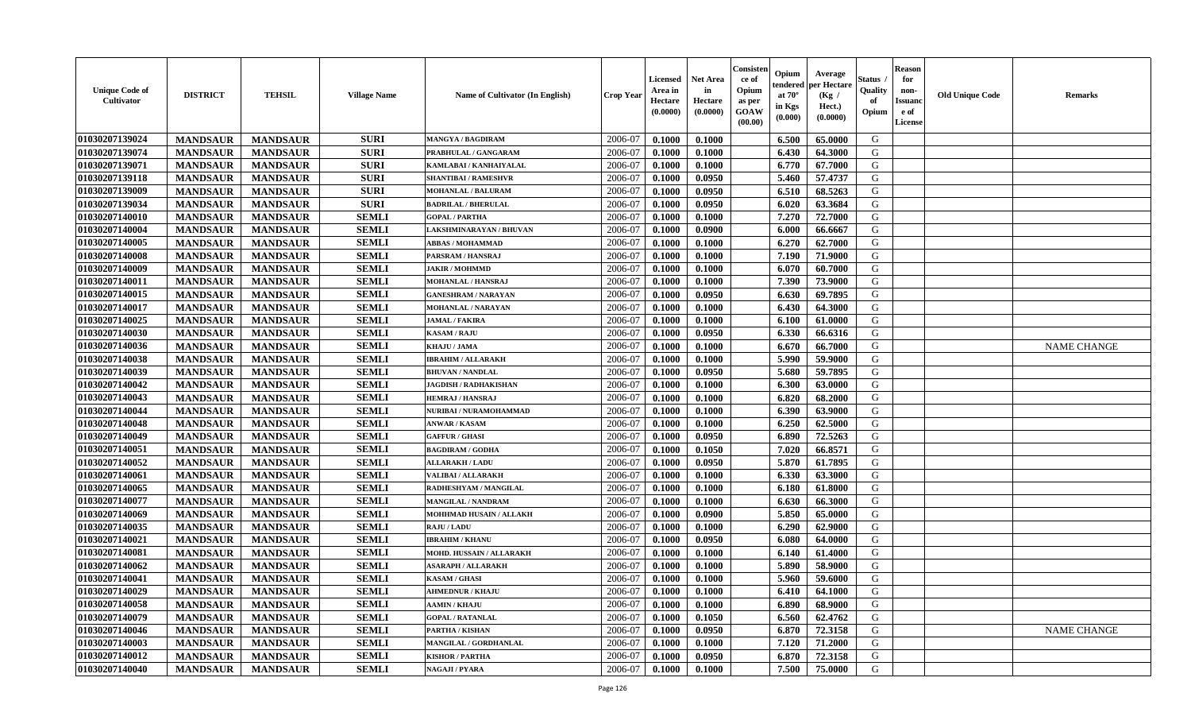| <b>Unique Code of</b><br><b>Cultivator</b> | <b>DISTRICT</b> | <b>TEHSIL</b>   | <b>Village Name</b> | <b>Name of Cultivator (In English)</b> | <b>Crop Year</b> | <b>Licensed</b><br>Area in<br>Hectare<br>(0.0000) | <b>Net Area</b><br>in<br>Hectare<br>(0.0000) | Consister<br>ce of<br>Opium<br>as per<br><b>GOAW</b><br>(00.00) | Opium<br>endered<br>at $70^\circ$<br>in Kgs<br>(0.000) | Average<br>per Hectare<br>(Kg /<br>Hect.)<br>(0.0000) | Status<br>Quality<br>of<br>Opium | <b>Reason</b><br>for<br>non-<br><b>Issuand</b><br>e of<br><b>License</b> | <b>Old Unique Code</b> | <b>Remarks</b>     |
|--------------------------------------------|-----------------|-----------------|---------------------|----------------------------------------|------------------|---------------------------------------------------|----------------------------------------------|-----------------------------------------------------------------|--------------------------------------------------------|-------------------------------------------------------|----------------------------------|--------------------------------------------------------------------------|------------------------|--------------------|
| 01030207139024                             | <b>MANDSAUR</b> | <b>MANDSAUR</b> | <b>SURI</b>         | <b>MANGYA / BAGDIRAM</b>               | 2006-07          | 0.1000                                            | 0.1000                                       |                                                                 | 6.500                                                  | 65.0000                                               | G                                |                                                                          |                        |                    |
| 01030207139074                             | <b>MANDSAUR</b> | <b>MANDSAUR</b> | <b>SURI</b>         | PRABHULAL / GANGARAM                   | 2006-07          | 0.1000                                            | 0.1000                                       |                                                                 | 6.430                                                  | 64.3000                                               | G                                |                                                                          |                        |                    |
| 01030207139071                             | <b>MANDSAUR</b> | <b>MANDSAUR</b> | <b>SURI</b>         | KAMLABAI / KANHAIYALAL                 | 2006-07          | 0.1000                                            | 0.1000                                       |                                                                 | 6.770                                                  | 67.7000                                               | G                                |                                                                          |                        |                    |
| 01030207139118                             | <b>MANDSAUR</b> | <b>MANDSAUR</b> | <b>SURI</b>         | <b>SHANTIBAI / RAMESHVR</b>            | 2006-07          | 0.1000                                            | 0.0950                                       |                                                                 | 5.460                                                  | 57.4737                                               | G                                |                                                                          |                        |                    |
| 01030207139009                             | <b>MANDSAUR</b> | <b>MANDSAUR</b> | <b>SURI</b>         | <b>MOHANLAL / BALURAM</b>              | 2006-07          | 0.1000                                            | 0.0950                                       |                                                                 | 6.510                                                  | 68.5263                                               | G                                |                                                                          |                        |                    |
| 01030207139034                             | <b>MANDSAUR</b> | <b>MANDSAUR</b> | <b>SURI</b>         | <b>BADRILAL / BHERULAL</b>             | 2006-07          | 0.1000                                            | 0.0950                                       |                                                                 | 6.020                                                  | 63.3684                                               | G                                |                                                                          |                        |                    |
| 01030207140010                             | <b>MANDSAUR</b> | <b>MANDSAUR</b> | <b>SEMLI</b>        | <b>GOPAL / PARTHA</b>                  | 2006-07          | 0.1000                                            | 0.1000                                       |                                                                 | 7.270                                                  | 72.7000                                               | G                                |                                                                          |                        |                    |
| 01030207140004                             | <b>MANDSAUR</b> | <b>MANDSAUR</b> | <b>SEMLI</b>        | <b>LAKSHMINARAYAN / BHUVAN</b>         | 2006-07          | 0.1000                                            | 0.0900                                       |                                                                 | 6.000                                                  | 66.6667                                               | G                                |                                                                          |                        |                    |
| 01030207140005                             | <b>MANDSAUR</b> | <b>MANDSAUR</b> | <b>SEMLI</b>        | <b>ABBAS / MOHAMMAD</b>                | 2006-07          | 0.1000                                            | 0.1000                                       |                                                                 | 6.270                                                  | 62.7000                                               | G                                |                                                                          |                        |                    |
| 01030207140008                             | <b>MANDSAUR</b> | <b>MANDSAUR</b> | <b>SEMLI</b>        | PARSRAM / HANSRAJ                      | 2006-07          | 0.1000                                            | 0.1000                                       |                                                                 | 7.190                                                  | 71.9000                                               | G                                |                                                                          |                        |                    |
| 01030207140009                             | <b>MANDSAUR</b> | <b>MANDSAUR</b> | <b>SEMLI</b>        | <b>JAKIR / MOHMMD</b>                  | 2006-07          | 0.1000                                            | 0.1000                                       |                                                                 | 6.070                                                  | 60.7000                                               | G                                |                                                                          |                        |                    |
| 01030207140011                             | <b>MANDSAUR</b> | <b>MANDSAUR</b> | <b>SEMLI</b>        | <b>MOHANLAL / HANSRAJ</b>              | 2006-07          | 0.1000                                            | 0.1000                                       |                                                                 | 7.390                                                  | 73.9000                                               | G                                |                                                                          |                        |                    |
| 01030207140015                             | <b>MANDSAUR</b> | <b>MANDSAUR</b> | <b>SEMLI</b>        | <b>GANESHRAM / NARAYAN</b>             | 2006-07          | 0.1000                                            | 0.0950                                       |                                                                 | 6.630                                                  | 69.7895                                               | G                                |                                                                          |                        |                    |
| 01030207140017                             | <b>MANDSAUR</b> | <b>MANDSAUR</b> | <b>SEMLI</b>        | <b>MOHANLAL / NARAYAN</b>              | 2006-07          | 0.1000                                            | 0.1000                                       |                                                                 | 6.430                                                  | 64.3000                                               | G                                |                                                                          |                        |                    |
| 01030207140025                             | <b>MANDSAUR</b> | <b>MANDSAUR</b> | <b>SEMLI</b>        | <b>JAMAL / FAKIRA</b>                  | 2006-07          | 0.1000                                            | 0.1000                                       |                                                                 | 6.100                                                  | 61.0000                                               | G                                |                                                                          |                        |                    |
| 01030207140030                             | <b>MANDSAUR</b> | <b>MANDSAUR</b> | <b>SEMLI</b>        | <b>KASAM / RAJU</b>                    | 2006-07          | 0.1000                                            | 0.0950                                       |                                                                 | 6.330                                                  | 66.6316                                               | G                                |                                                                          |                        |                    |
| 01030207140036                             | <b>MANDSAUR</b> | <b>MANDSAUR</b> | <b>SEMLI</b>        | KHAJU / JAMA                           | 2006-07          | 0.1000                                            | 0.1000                                       |                                                                 | 6.670                                                  | 66.7000                                               | G                                |                                                                          |                        | <b>NAME CHANGE</b> |
| 01030207140038                             | <b>MANDSAUR</b> | <b>MANDSAUR</b> | <b>SEMLI</b>        | <b>IBRAHIM / ALLARAKH</b>              | 2006-07          | 0.1000                                            | 0.1000                                       |                                                                 | 5.990                                                  | 59.9000                                               | G                                |                                                                          |                        |                    |
| 01030207140039                             | <b>MANDSAUR</b> | <b>MANDSAUR</b> | <b>SEMLI</b>        | <b>BHUVAN / NANDLAL</b>                | 2006-07          | 0.1000                                            | 0.0950                                       |                                                                 | 5.680                                                  | 59.7895                                               | G                                |                                                                          |                        |                    |
| 01030207140042                             | <b>MANDSAUR</b> | <b>MANDSAUR</b> | <b>SEMLI</b>        | <b>JAGDISH / RADHAKISHAN</b>           | 2006-07          | 0.1000                                            | 0.1000                                       |                                                                 | 6.300                                                  | 63.0000                                               | G                                |                                                                          |                        |                    |
| 01030207140043                             | <b>MANDSAUR</b> | <b>MANDSAUR</b> | <b>SEMLI</b>        | <b>HEMRAJ / HANSRAJ</b>                | 2006-07          | 0.1000                                            | 0.1000                                       |                                                                 | 6.820                                                  | 68.2000                                               | G                                |                                                                          |                        |                    |
| 01030207140044                             | <b>MANDSAUR</b> | <b>MANDSAUR</b> | <b>SEMLI</b>        | NURIBAI / NURAMOHAMMAD                 | 2006-07          | 0.1000                                            | 0.1000                                       |                                                                 | 6.390                                                  | 63.9000                                               | G                                |                                                                          |                        |                    |
| 01030207140048                             | <b>MANDSAUR</b> | <b>MANDSAUR</b> | <b>SEMLI</b>        | <b>ANWAR / KASAM</b>                   | 2006-07          | 0.1000                                            | 0.1000                                       |                                                                 | 6.250                                                  | 62.5000                                               | G                                |                                                                          |                        |                    |
| 01030207140049                             | <b>MANDSAUR</b> | <b>MANDSAUR</b> | <b>SEMLI</b>        | <b>GAFFUR / GHASI</b>                  | 2006-07          | 0.1000                                            | 0.0950                                       |                                                                 | 6.890                                                  | 72.5263                                               | G                                |                                                                          |                        |                    |
| 01030207140051                             | <b>MANDSAUR</b> | <b>MANDSAUR</b> | <b>SEMLI</b>        | <b>BAGDIRAM / GODHA</b>                | 2006-07          | 0.1000                                            | 0.1050                                       |                                                                 | 7.020                                                  | 66.8571                                               | G                                |                                                                          |                        |                    |
| 01030207140052                             | <b>MANDSAUR</b> | <b>MANDSAUR</b> | <b>SEMLI</b>        | <b>ALLARAKH / LADU</b>                 | 2006-07          | 0.1000                                            | 0.0950                                       |                                                                 | 5.870                                                  | 61.7895                                               | G                                |                                                                          |                        |                    |
| 01030207140061                             | <b>MANDSAUR</b> | <b>MANDSAUR</b> | <b>SEMLI</b>        | <b>VALIBAI/ALLARAKH</b>                | 2006-07          | 0.1000                                            | 0.1000                                       |                                                                 | 6.330                                                  | 63.3000                                               | G                                |                                                                          |                        |                    |
| 01030207140065                             | <b>MANDSAUR</b> | <b>MANDSAUR</b> | <b>SEMLI</b>        | RADHESHYAM / MANGILAL                  | 2006-07          | 0.1000                                            | 0.1000                                       |                                                                 | 6.180                                                  | 61.8000                                               | G                                |                                                                          |                        |                    |
| 01030207140077                             | <b>MANDSAUR</b> | <b>MANDSAUR</b> | <b>SEMLI</b>        | <b>MANGILAL / NANDRAM</b>              | 2006-07          | 0.1000                                            | 0.1000                                       |                                                                 | 6.630                                                  | 66.3000                                               | G                                |                                                                          |                        |                    |
| 01030207140069                             | <b>MANDSAUR</b> | <b>MANDSAUR</b> | <b>SEMLI</b>        | <b>MOHHMAD HUSAIN / ALLAKH</b>         | 2006-07          | 0.1000                                            | 0.0900                                       |                                                                 | 5.850                                                  | 65.0000                                               | G                                |                                                                          |                        |                    |
| 01030207140035                             | <b>MANDSAUR</b> | <b>MANDSAUR</b> | <b>SEMLI</b>        | <b>RAJU / LADU</b>                     | 2006-07          | 0.1000                                            | 0.1000                                       |                                                                 | 6.290                                                  | 62.9000                                               | G                                |                                                                          |                        |                    |
| 01030207140021                             | <b>MANDSAUR</b> | <b>MANDSAUR</b> | <b>SEMLI</b>        | <b>IBRAHIM / KHANU</b>                 | 2006-07          | 0.1000                                            | 0.0950                                       |                                                                 | 6.080                                                  | 64.0000                                               | ${\bf G}$                        |                                                                          |                        |                    |
| 01030207140081                             | <b>MANDSAUR</b> | <b>MANDSAUR</b> | <b>SEMLI</b>        | MOHD. HUSSAIN / ALLARAKH               | 2006-07          | 0.1000                                            | 0.1000                                       |                                                                 | 6.140                                                  | 61.4000                                               | G                                |                                                                          |                        |                    |
| 01030207140062                             | <b>MANDSAUR</b> | <b>MANDSAUR</b> | <b>SEMLI</b>        | <b>ASARAPH / ALLARAKH</b>              | 2006-07          | 0.1000                                            | 0.1000                                       |                                                                 | 5.890                                                  | 58.9000                                               | G                                |                                                                          |                        |                    |
| 01030207140041                             | <b>MANDSAUR</b> | <b>MANDSAUR</b> | <b>SEMLI</b>        | <b>KASAM / GHASI</b>                   | 2006-07          | 0.1000                                            | 0.1000                                       |                                                                 | 5.960                                                  | 59.6000                                               | G                                |                                                                          |                        |                    |
| 01030207140029                             | <b>MANDSAUR</b> | <b>MANDSAUR</b> | <b>SEMLI</b>        | <b>AHMEDNUR / KHAJU</b>                | 2006-07          | 0.1000                                            | 0.1000                                       |                                                                 | 6.410                                                  | 64.1000                                               | G                                |                                                                          |                        |                    |
| 01030207140058                             | <b>MANDSAUR</b> | <b>MANDSAUR</b> | <b>SEMLI</b>        | <b>AAMIN / KHAJU</b>                   | 2006-07          | 0.1000                                            | 0.1000                                       |                                                                 | 6.890                                                  | 68.9000                                               | G                                |                                                                          |                        |                    |
| 01030207140079                             | <b>MANDSAUR</b> | <b>MANDSAUR</b> | <b>SEMLI</b>        | <b>GOPAL / RATANLAL</b>                | 2006-07          | 0.1000                                            | 0.1050                                       |                                                                 | 6.560                                                  | 62.4762                                               | G                                |                                                                          |                        |                    |
| 01030207140046                             | <b>MANDSAUR</b> | <b>MANDSAUR</b> | <b>SEMLI</b>        | PARTHA / KISHAN                        | 2006-07          | 0.1000                                            | 0.0950                                       |                                                                 | 6.870                                                  | 72.3158                                               | G                                |                                                                          |                        | <b>NAME CHANGE</b> |
| 01030207140003                             | <b>MANDSAUR</b> | <b>MANDSAUR</b> | <b>SEMLI</b>        | MANGILAL / GORDHANLAL                  | 2006-07          | 0.1000                                            | 0.1000                                       |                                                                 | 7.120                                                  | 71.2000                                               | G                                |                                                                          |                        |                    |
| 01030207140012                             | <b>MANDSAUR</b> | <b>MANDSAUR</b> | <b>SEMLI</b>        | <b>KISHOR / PARTHA</b>                 | 2006-07          | 0.1000                                            | 0.0950                                       |                                                                 | 6.870                                                  | 72.3158                                               | G                                |                                                                          |                        |                    |
| 01030207140040                             | <b>MANDSAUR</b> | <b>MANDSAUR</b> | <b>SEMLI</b>        | NAGAJI / PYARA                         | 2006-07          | 0.1000                                            | 0.1000                                       |                                                                 | 7.500                                                  | 75.0000                                               | G                                |                                                                          |                        |                    |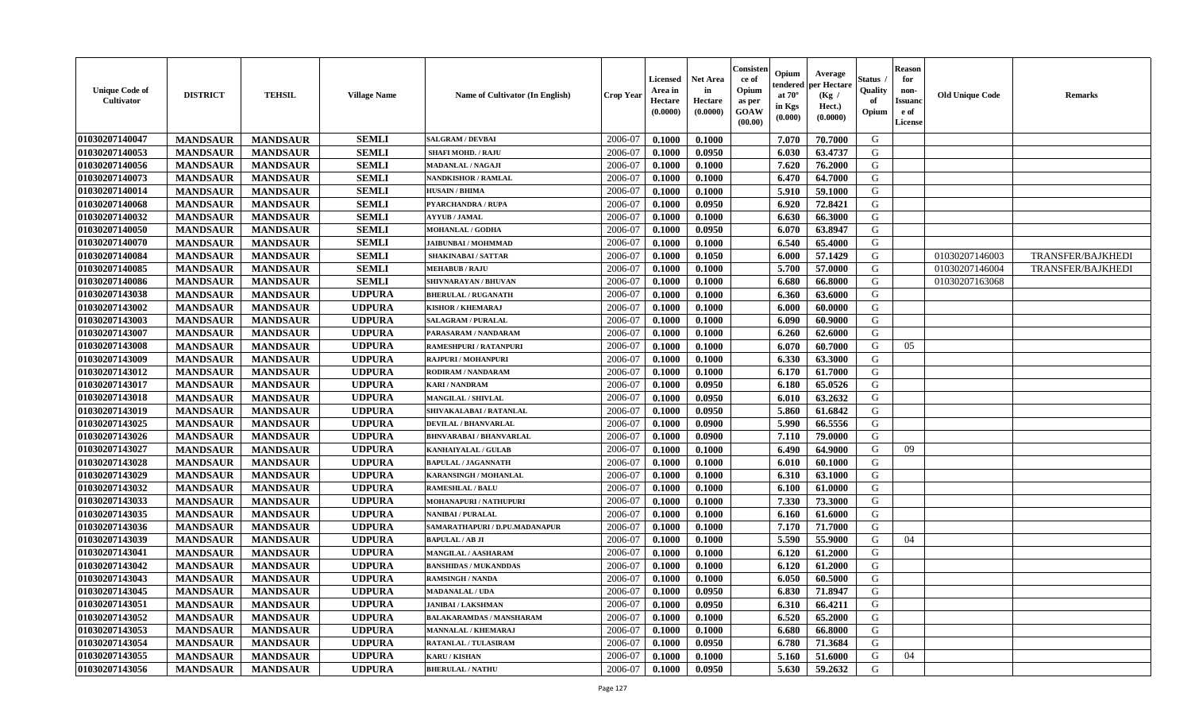| <b>Unique Code of</b><br>Cultivator | <b>DISTRICT</b> | <b>TEHSIL</b>   | <b>Village Name</b> | <b>Name of Cultivator (In English)</b> | <b>Crop Year</b> | Licensed<br>Area in<br>Hectare<br>(0.0000) | <b>Net Area</b><br>in<br>Hectare<br>(0.0000) | Consister<br>ce of<br>Opium<br>as per<br>GOAW<br>(00.00) | Opium<br>endered<br>at $70^\circ$<br>in Kgs<br>(0.000) | Average<br>per Hectare<br>(Kg /<br>Hect.)<br>(0.0000) | Status<br>Quality<br>of<br>Opium | <b>Reason</b><br>for<br>non-<br><b>Issuanc</b><br>e of<br><b>License</b> | <b>Old Unique Code</b> | <b>Remarks</b>           |
|-------------------------------------|-----------------|-----------------|---------------------|----------------------------------------|------------------|--------------------------------------------|----------------------------------------------|----------------------------------------------------------|--------------------------------------------------------|-------------------------------------------------------|----------------------------------|--------------------------------------------------------------------------|------------------------|--------------------------|
| 01030207140047                      | <b>MANDSAUR</b> | <b>MANDSAUR</b> | <b>SEMLI</b>        | <b>SALGRAM / DEVBAI</b>                | 2006-07          | 0.1000                                     | 0.1000                                       |                                                          | 7.070                                                  | 70.7000                                               | G                                |                                                                          |                        |                          |
| 01030207140053                      | <b>MANDSAUR</b> | <b>MANDSAUR</b> | <b>SEMLI</b>        | <b>SHAFI MOHD. / RAJU</b>              | 2006-07          | 0.1000                                     | 0.0950                                       |                                                          | 6.030                                                  | 63.4737                                               | G                                |                                                                          |                        |                          |
| 01030207140056                      | <b>MANDSAUR</b> | <b>MANDSAUR</b> | <b>SEMLI</b>        | <b>MADANLAL / NAGAJI</b>               | 2006-07          | 0.1000                                     | 0.1000                                       |                                                          | 7.620                                                  | 76.2000                                               | G                                |                                                                          |                        |                          |
| 01030207140073                      | <b>MANDSAUR</b> | <b>MANDSAUR</b> | <b>SEMLI</b>        | <b>NANDKISHOR / RAMLAL</b>             | 2006-07          | 0.1000                                     | 0.1000                                       |                                                          | 6.470                                                  | 64.7000                                               | G                                |                                                                          |                        |                          |
| 01030207140014                      | <b>MANDSAUR</b> | <b>MANDSAUR</b> | <b>SEMLI</b>        | <b>HUSAIN / BHIMA</b>                  | 2006-07          | 0.1000                                     | 0.1000                                       |                                                          | 5.910                                                  | 59.1000                                               | G                                |                                                                          |                        |                          |
| 01030207140068                      | <b>MANDSAUR</b> | <b>MANDSAUR</b> | <b>SEMLI</b>        | <b>PYARCHANDRA / RUPA</b>              | 2006-07          | 0.1000                                     | 0.0950                                       |                                                          | 6.920                                                  | 72.8421                                               | G                                |                                                                          |                        |                          |
| 01030207140032                      | <b>MANDSAUR</b> | <b>MANDSAUR</b> | <b>SEMLI</b>        | <b>AYYUB / JAMAL</b>                   | 2006-07          | 0.1000                                     | 0.1000                                       |                                                          | 6.630                                                  | 66.3000                                               | G                                |                                                                          |                        |                          |
| 01030207140050                      | <b>MANDSAUR</b> | <b>MANDSAUR</b> | <b>SEMLI</b>        | <b>MOHANLAL / GODHA</b>                | 2006-07          | 0.1000                                     | 0.0950                                       |                                                          | 6.070                                                  | 63.8947                                               | G                                |                                                                          |                        |                          |
| 01030207140070                      | <b>MANDSAUR</b> | <b>MANDSAUR</b> | <b>SEMLI</b>        | <b>JAIBUNBAI/MOHMMAD</b>               | 2006-07          | 0.1000                                     | 0.1000                                       |                                                          | 6.540                                                  | 65.4000                                               | G                                |                                                                          |                        |                          |
| 01030207140084                      | <b>MANDSAUR</b> | <b>MANDSAUR</b> | <b>SEMLI</b>        | <b>SHAKINABAI/SATTAR</b>               | 2006-07          | 0.1000                                     | 0.1050                                       |                                                          | 6.000                                                  | 57.1429                                               | G                                |                                                                          | 01030207146003         | TRANSFER/BAJKHEDI        |
| 01030207140085                      | <b>MANDSAUR</b> | <b>MANDSAUR</b> | <b>SEMLI</b>        | <b>MEHABUB / RAJU</b>                  | 2006-07          | 0.1000                                     | 0.1000                                       |                                                          | 5.700                                                  | 57.0000                                               | G                                |                                                                          | 01030207146004         | <b>TRANSFER/BAJKHEDI</b> |
| 01030207140086                      | <b>MANDSAUR</b> | <b>MANDSAUR</b> | <b>SEMLI</b>        | SHIVNARAYAN / BHUVAN                   | 2006-07          | 0.1000                                     | 0.1000                                       |                                                          | 6.680                                                  | 66.8000                                               | G                                |                                                                          | 01030207163068         |                          |
| 01030207143038                      | <b>MANDSAUR</b> | <b>MANDSAUR</b> | <b>UDPURA</b>       | <b>BHERULAL / RUGANATH</b>             | 2006-07          | 0.1000                                     | 0.1000                                       |                                                          | 6.360                                                  | 63.6000                                               | G                                |                                                                          |                        |                          |
| 01030207143002                      | <b>MANDSAUR</b> | <b>MANDSAUR</b> | <b>UDPURA</b>       | <b>KISHOR / KHEMARAJ</b>               | 2006-07          | 0.1000                                     | 0.1000                                       |                                                          | 6.000                                                  | 60.0000                                               | G                                |                                                                          |                        |                          |
| 01030207143003                      | <b>MANDSAUR</b> | <b>MANDSAUR</b> | <b>UDPURA</b>       | <b>SALAGRAM / PURALAL</b>              | 2006-07          | 0.1000                                     | 0.1000                                       |                                                          | 6.090                                                  | 60.9000                                               | G                                |                                                                          |                        |                          |
| 01030207143007                      | <b>MANDSAUR</b> | <b>MANDSAUR</b> | <b>UDPURA</b>       | PARASARAM / NANDARAM                   | 2006-07          | 0.1000                                     | 0.1000                                       |                                                          | 6.260                                                  | 62.6000                                               | G                                |                                                                          |                        |                          |
| 01030207143008                      | <b>MANDSAUR</b> | <b>MANDSAUR</b> | <b>UDPURA</b>       | RAMESHPURI / RATANPURI                 | 2006-07          | 0.1000                                     | 0.1000                                       |                                                          | 6.070                                                  | 60.7000                                               | G                                | 05                                                                       |                        |                          |
| 01030207143009                      | <b>MANDSAUR</b> | <b>MANDSAUR</b> | <b>UDPURA</b>       | <b>RAJPURI / MOHANPURI</b>             | 2006-07          | 0.1000                                     | 0.1000                                       |                                                          | 6.330                                                  | 63.3000                                               | G                                |                                                                          |                        |                          |
| 01030207143012                      | <b>MANDSAUR</b> | <b>MANDSAUR</b> | <b>UDPURA</b>       | RODIRAM / NANDARAM                     | 2006-07          | 0.1000                                     | 0.1000                                       |                                                          | 6.170                                                  | 61.7000                                               | G                                |                                                                          |                        |                          |
| 01030207143017                      | <b>MANDSAUR</b> | <b>MANDSAUR</b> | <b>UDPURA</b>       | <b>KARI / NANDRAM</b>                  | 2006-07          | 0.1000                                     | 0.0950                                       |                                                          | 6.180                                                  | 65.0526                                               | G                                |                                                                          |                        |                          |
| 01030207143018                      | <b>MANDSAUR</b> | <b>MANDSAUR</b> | <b>UDPURA</b>       | <b>MANGILAL / SHIVLAL</b>              | 2006-07          | 0.1000                                     | 0.0950                                       |                                                          | 6.010                                                  | 63.2632                                               | G                                |                                                                          |                        |                          |
| 01030207143019                      | <b>MANDSAUR</b> | <b>MANDSAUR</b> | <b>UDPURA</b>       | SHIVAKALABAI / RATANLAL                | 2006-07          | 0.1000                                     | 0.0950                                       |                                                          | 5.860                                                  | 61.6842                                               | G                                |                                                                          |                        |                          |
| 01030207143025                      | <b>MANDSAUR</b> | <b>MANDSAUR</b> | <b>UDPURA</b>       | <b>DEVILAL / BHANVARLAL</b>            | 2006-07          | 0.1000                                     | 0.0900                                       |                                                          | 5.990                                                  | 66.5556                                               | G                                |                                                                          |                        |                          |
| 01030207143026                      | <b>MANDSAUR</b> | <b>MANDSAUR</b> | <b>UDPURA</b>       | <b>BHNVARABAI/BHANVARLAL</b>           | 2006-07          | 0.1000                                     | 0.0900                                       |                                                          | 7.110                                                  | 79.0000                                               | G                                |                                                                          |                        |                          |
| 01030207143027                      | <b>MANDSAUR</b> | <b>MANDSAUR</b> | <b>UDPURA</b>       | <b>KANHAIYALAL / GULAB</b>             | 2006-07          | 0.1000                                     | 0.1000                                       |                                                          | 6.490                                                  | 64.9000                                               | G                                | 09                                                                       |                        |                          |
| 01030207143028                      | <b>MANDSAUR</b> | <b>MANDSAUR</b> | <b>UDPURA</b>       | <b>BAPULAL / JAGANNATH</b>             | 2006-07          | 0.1000                                     | 0.1000                                       |                                                          | 6.010                                                  | 60.1000                                               | G                                |                                                                          |                        |                          |
| 01030207143029                      | <b>MANDSAUR</b> | <b>MANDSAUR</b> | <b>UDPURA</b>       | KARANSINGH / MOHANLAL                  | 2006-07          | 0.1000                                     | 0.1000                                       |                                                          | 6.310                                                  | 63.1000                                               | G                                |                                                                          |                        |                          |
| 01030207143032                      | <b>MANDSAUR</b> | <b>MANDSAUR</b> | <b>UDPURA</b>       | <b>RAMESHLAL / BALU</b>                | 2006-07          | 0.1000                                     | 0.1000                                       |                                                          | 6.100                                                  | 61.0000                                               | G                                |                                                                          |                        |                          |
| 01030207143033                      | <b>MANDSAUR</b> | <b>MANDSAUR</b> | <b>UDPURA</b>       | MOHANAPURI / NATHUPURI                 | 2006-07          | 0.1000                                     | 0.1000                                       |                                                          | 7.330                                                  | 73.3000                                               | G                                |                                                                          |                        |                          |
| 01030207143035                      | <b>MANDSAUR</b> | <b>MANDSAUR</b> | <b>UDPURA</b>       | <b>NANIBAI/PURALAL</b>                 | 2006-07          | 0.1000                                     | 0.1000                                       |                                                          | 6.160                                                  | 61.6000                                               | G                                |                                                                          |                        |                          |
| 01030207143036                      | <b>MANDSAUR</b> | <b>MANDSAUR</b> | <b>UDPURA</b>       | SAMARATHAPURI / D.PU.MADANAPUR         | 2006-07          | 0.1000                                     | 0.1000                                       |                                                          | 7.170                                                  | 71.7000                                               | ${\bf G}$                        |                                                                          |                        |                          |
| 01030207143039                      | <b>MANDSAUR</b> | <b>MANDSAUR</b> | <b>UDPURA</b>       | <b>BAPULAL / AB JI</b>                 | 2006-07          | 0.1000                                     | 0.1000                                       |                                                          | 5.590                                                  | 55.9000                                               | G                                | 04                                                                       |                        |                          |
| 01030207143041                      | <b>MANDSAUR</b> | <b>MANDSAUR</b> | <b>UDPURA</b>       | <b>MANGILAL / AASHARAM</b>             | 2006-07          | 0.1000                                     | 0.1000                                       |                                                          | 6.120                                                  | 61.2000                                               | G                                |                                                                          |                        |                          |
| 01030207143042                      | <b>MANDSAUR</b> | <b>MANDSAUR</b> | <b>UDPURA</b>       | <b>BANSHIDAS / MUKANDDAS</b>           | 2006-07          | 0.1000                                     | 0.1000                                       |                                                          | 6.120                                                  | 61.2000                                               | G                                |                                                                          |                        |                          |
| 01030207143043                      | <b>MANDSAUR</b> | <b>MANDSAUR</b> | <b>UDPURA</b>       | <b>RAMSINGH / NANDA</b>                | 2006-07          | 0.1000                                     | 0.1000                                       |                                                          | 6.050                                                  | 60.5000                                               | G                                |                                                                          |                        |                          |
| 01030207143045                      | <b>MANDSAUR</b> | <b>MANDSAUR</b> | <b>UDPURA</b>       | <b>MADANALAL / UDA</b>                 | 2006-07          | 0.1000                                     | 0.0950                                       |                                                          | 6.830                                                  | 71.8947                                               | G                                |                                                                          |                        |                          |
| 01030207143051                      | <b>MANDSAUR</b> | <b>MANDSAUR</b> | <b>UDPURA</b>       | <b>JANIBAI / LAKSHMAN</b>              | 2006-07          | 0.1000                                     | 0.0950                                       |                                                          | 6.310                                                  | 66.4211                                               | G                                |                                                                          |                        |                          |
| 01030207143052                      | <b>MANDSAUR</b> | <b>MANDSAUR</b> | <b>UDPURA</b>       | <b>BALAKARAMDAS / MANSHARAM</b>        | 2006-07          | 0.1000                                     | 0.1000                                       |                                                          | 6.520                                                  | 65.2000                                               | G                                |                                                                          |                        |                          |
| 01030207143053                      | <b>MANDSAUR</b> | <b>MANDSAUR</b> | <b>UDPURA</b>       | <b>MANNALAL / KHEMARAJ</b>             | 2006-07          | 0.1000                                     | 0.1000                                       |                                                          | 6.680                                                  | 66.8000                                               | G                                |                                                                          |                        |                          |
| 01030207143054                      | <b>MANDSAUR</b> | <b>MANDSAUR</b> | <b>UDPURA</b>       | RATANLAL / TULASIRAM                   | 2006-07          | 0.1000                                     | 0.0950                                       |                                                          | 6.780                                                  | 71.3684                                               | G                                |                                                                          |                        |                          |
| 01030207143055                      | <b>MANDSAUR</b> | <b>MANDSAUR</b> | <b>UDPURA</b>       | <b>KARU / KISHAN</b>                   | 2006-07          | 0.1000                                     | 0.1000                                       |                                                          | 5.160                                                  | 51.6000                                               | G                                | 04                                                                       |                        |                          |
| 01030207143056                      | <b>MANDSAUR</b> | <b>MANDSAUR</b> | <b>UDPURA</b>       | <b>BHERULAL / NATHU</b>                | 2006-07          | 0.1000                                     | 0.0950                                       |                                                          | 5.630                                                  | 59.2632                                               | G                                |                                                                          |                        |                          |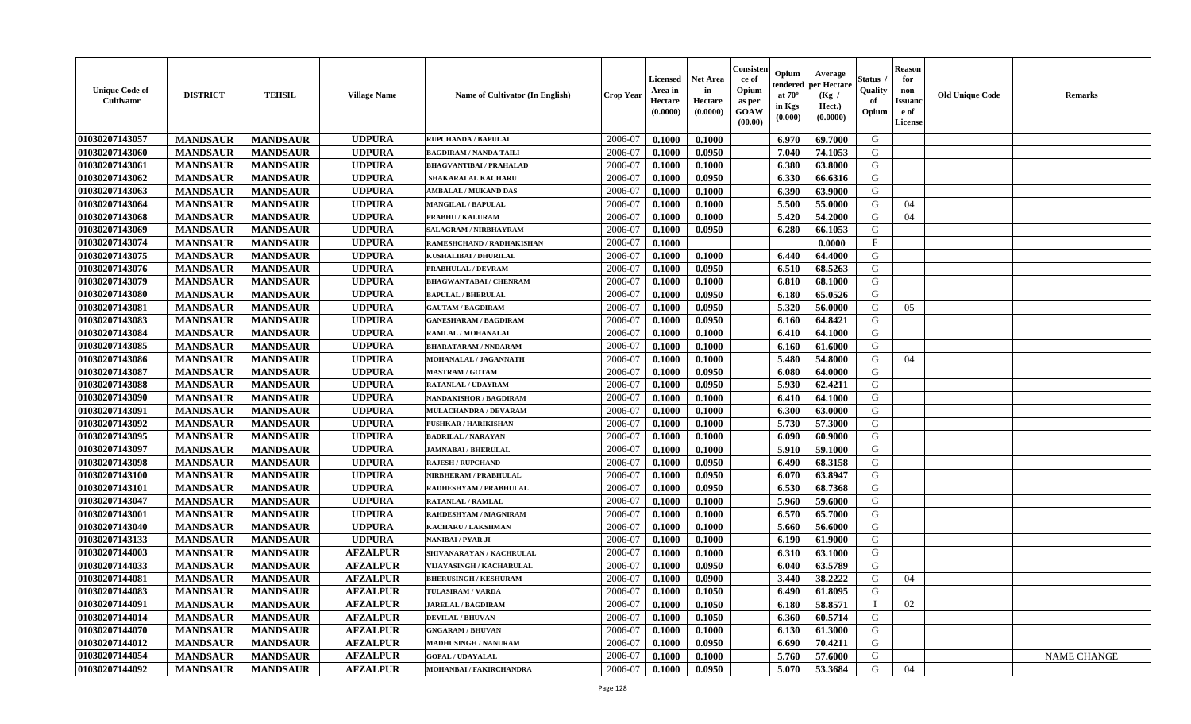| 01030207143057<br><b>UDPURA</b><br>2006-07<br>69.7000<br>G<br><b>MANDSAUR</b><br><b>MANDSAUR</b><br>0.1000<br>0.1000<br>6.970<br>RUPCHANDA / BAPULAL<br>01030207143060<br><b>UDPURA</b><br>2006-07<br>G<br><b>MANDSAUR</b><br>0.0950<br>7.040<br><b>MANDSAUR</b><br><b>BAGDIRAM / NANDA TAILI</b><br>0.1000<br>74.1053<br>01030207143061<br><b>UDPURA</b><br>0.1000<br>6.380<br><b>MANDSAUR</b><br><b>MANDSAUR</b><br><b>BHAGVANTIBAI / PRAHALAD</b><br>2006-07<br>0.1000<br>63.8000<br>G<br>01030207143062<br><b>MANDSAUR</b><br><b>MANDSAUR</b><br><b>UDPURA</b><br>2006-07<br>0.0950<br>6.330<br>G<br><b>SHAKARALAL KACHARL</b><br>0.1000<br>66.6316<br>01030207143063<br><b>MANDSAUR</b><br><b>MANDSAUR</b><br><b>UDPURA</b><br><b>AMBALAL / MUKAND DAS</b><br>2006-07<br>0.1000<br>6.390<br>63.9000<br>G<br>0.1000<br>01030207143064<br><b>MANDSAUR</b><br><b>MANDSAUR</b><br><b>UDPURA</b><br>5.500<br>55,0000<br>G<br>2006-07<br>0.1000<br>0.1000<br><b>MANGILAL / BAPULAL</b><br>04<br>01030207143068<br>5.420<br>54.2000<br>G<br><b>MANDSAUR</b><br><b>MANDSAUR</b><br><b>UDPURA</b><br>2006-07<br><b>PRABHU / KALURAM</b><br>0.1000<br>0.1000<br>04<br>01030207143069<br><b>MANDSAUR</b><br><b>UDPURA</b><br>2006-07<br>G<br><b>MANDSAUR</b><br>SALAGRAM / NIRBHAYRAM<br>0.1000<br>0.0950<br>6.280<br>66.1053<br>01030207143074<br><b>UDPURA</b><br><b>MANDSAUR</b><br><b>MANDSAUR</b><br>2006-07<br>0.0000<br>$_{\rm F}$<br>RAMESHCHAND / RADHAKISHAN<br>0.1000<br>01030207143075<br><b>UDPURA</b><br>G<br><b>MANDSAUR</b><br><b>MANDSAUR</b><br>2006-07<br>0.1000<br>6.440<br><b>KUSHALIBAI / DHURILAL</b><br>0.1000<br>64.4000<br>01030207143076<br><b>MANDSAUR</b><br><b>UDPURA</b><br>2006-07<br>0.0950<br>6.510<br>68.5263<br>G<br><b>MANDSAUR</b><br>PRABHULAL / DEVRAM<br>0.1000<br>01030207143079<br><b>MANDSAUR</b><br><b>MANDSAUR</b><br><b>UDPURA</b><br><b>BHAGWANTABAI/ CHENRAM</b><br>2006-07<br>0.1000<br>0.1000<br>6.810<br>68.1000<br>G<br>01030207143080<br><b>MANDSAUR</b><br><b>MANDSAUR</b><br><b>UDPURA</b><br><b>BAPULAL / BHERULAL</b><br>2006-07<br>0.1000<br>0.0950<br>6.180<br>65.0526<br>G<br>01030207143081<br><b>MANDSAUR</b><br><b>MANDSAUR</b><br><b>UDPURA</b><br>5.320<br>G<br>2006-07<br>0.1000<br>0.0950<br>56.0000<br>0.5<br><b>GAUTAM / BAGDIRAM</b><br>01030207143083<br><b>MANDSAUR</b><br>64.8421<br>G<br><b>MANDSAUR</b><br><b>UDPURA</b><br>2006-07<br>0.1000<br>0.0950<br>6.160<br><b>GANESHARAM / BAGDIRAM</b><br>01030207143084<br><b>MANDSAUR</b><br><b>UDPURA</b><br><b>MANDSAUR</b><br>2006-07<br>0.1000<br>0.1000<br>6.410<br>64.1000<br>G<br>RAMLAL / MOHANALAL<br>01030207143085<br><b>UDPURA</b><br><b>MANDSAUR</b><br><b>MANDSAUR</b><br>2006-07<br>0.1000<br>0.1000<br>61.6000<br>G<br><b>BHARATARAM / NNDARAM</b><br>6.160<br>01030207143086<br><b>UDPURA</b><br>2006-07<br>G<br><b>MANDSAUR</b><br>5.480<br>54.8000<br>04<br><b>MANDSAUR</b><br>MOHANALAL / JAGANNATH<br>0.1000<br>0.1000<br>01030207143087<br><b>MANDSAUR</b><br><b>MANDSAUR</b><br><b>UDPURA</b><br>2006-07<br>0.0950<br>6.080<br>64.0000<br>G<br><b>MASTRAM / GOTAM</b><br>0.1000<br>01030207143088<br><b>MANDSAUR</b><br><b>MANDSAUR</b><br><b>UDPURA</b><br>2006-07<br>0.1000<br>0.0950<br>5.930<br>62.4211<br>G<br><b>RATANLAL / UDAYRAM</b><br>01030207143090<br><b>MANDSAUR</b><br><b>MANDSAUR</b><br><b>UDPURA</b><br>NANDAKISHOR / BAGDIRAM<br>2006-07<br>0.1000<br>0.1000<br>6.410<br>64.1000<br>G<br>01030207143091<br><b>MANDSAUR</b><br><b>MANDSAUR</b><br><b>UDPURA</b><br>6.300<br>63.0000<br>G<br>2006-07<br>0.1000<br>0.1000<br>MULACHANDRA / DEVARAM<br>5.730<br>01030207143092<br><b>MANDSAUR</b><br><b>MANDSAUR</b><br><b>UDPURA</b><br>57.3000<br>G<br><b>PUSHKAR / HARIKISHAN</b><br>2006-07<br>0.1000<br>0.1000<br>01030207143095<br><b>UDPURA</b><br>G<br><b>MANDSAUR</b><br><b>MANDSAUR</b><br>2006-07<br>0.1000<br><b>BADRILAL / NARAYAN</b><br>0.1000<br>6.090<br>60.9000<br>01030207143097<br><b>UDPURA</b><br>2006-07<br>G<br><b>MANDSAUR</b><br><b>MANDSAUR</b><br>0.1000<br>5.910<br>59.1000<br><b>JAMNABAI/BHERULAL</b><br>0.1000<br>01030207143098<br><b>UDPURA</b><br>2006-07<br>G<br><b>MANDSAUR</b><br><b>MANDSAUR</b><br>0.1000<br>0.0950<br>6.490<br>68.3158<br><b>RAJESH / RUPCHAND</b><br>01030207143100<br>G<br><b>MANDSAUR</b><br><b>MANDSAUR</b><br><b>UDPURA</b><br>2006-07<br>0.0950<br>63.8947<br>NIRBHERAM / PRABHULAL<br>0.1000<br>6.070<br>01030207143101<br><b>MANDSAUR</b><br><b>MANDSAUR</b><br><b>UDPURA</b><br>RADHESHYAM / PRABHULAL<br>2006-07<br>0.1000<br>0.0950<br>6.530<br>68.7368<br>G<br>01030207143047<br><b>MANDSAUR</b><br><b>MANDSAUR</b><br><b>UDPURA</b><br>5.960<br><b>RATANLAL / RAMLAL</b><br>2006-07<br>0.1000<br>0.1000<br>59.6000<br>G<br>01030207143001<br><b>MANDSAUR</b><br><b>MANDSAUR</b><br><b>UDPURA</b><br>2006-07<br>6.570<br>65.7000<br>G<br>RAHDESHYAM / MAGNIRAM<br>0.1000<br>0.1000<br>${\bf G}$<br>01030207143040<br><b>MANDSAUR</b><br><b>MANDSAUR</b><br><b>UDPURA</b><br>0.1000<br>5.660<br>56.6000<br>2006-07<br>0.1000<br>KACHARU / LAKSHMAN<br>01030207143133<br><b>UDPURA</b><br>2006-07<br><b>MANDSAUR</b><br><b>MANDSAUR</b><br>6.190<br>61.9000<br>G<br><b>NANIBAI / PYAR JI</b><br>0.1000<br>0.1000<br>01030207144003<br><b>AFZALPUR</b><br>2006-07<br><b>MANDSAUR</b><br><b>MANDSAUR</b><br>0.1000<br>0.1000<br>6.310<br>G<br>SHIVANARAYAN / KACHRULAL<br>63.1000<br>01030207144033<br><b>MANDSAUR</b><br><b>AFZALPUR</b><br>2006-07<br>63.5789<br>G<br><b>MANDSAUR</b><br>VIJAYASINGH / KACHARULAL<br>0.1000<br>0.0950<br>6.040<br>01030207144081<br><b>AFZALPUR</b><br>3.440<br>38.2222<br><b>MANDSAUR</b><br><b>MANDSAUR</b><br><b>BHERUSINGH / KESHURAM</b><br>2006-07<br>0.1000<br>0.0900<br>G<br>04<br>01030207144083<br><b>MANDSAUR</b><br><b>MANDSAUR</b><br><b>AFZALPUR</b><br><b>TULASIRAM / VARDA</b><br>2006-07<br>0.1000<br>0.1050<br>6.490<br>61.8095<br>G<br>01030207144091<br><b>MANDSAUR</b><br><b>MANDSAUR</b><br><b>AFZALPUR</b><br>0.1050<br>6.180<br>58.8571<br><b>JARELAL / BAGDIRAM</b><br>2006-07<br>0.1000<br>$\mathbf{I}$<br>02<br>01030207144014<br><b>MANDSAUR</b><br><b>MANDSAUR</b><br><b>AFZALPUR</b><br>2006-07<br>0.1050<br>6.360<br>60.5714<br>G<br><b>DEVILAL / BHUVAN</b><br>0.1000<br>01030207144070<br><b>AFZALPUR</b><br>G<br><b>MANDSAUR</b><br><b>MANDSAUR</b><br>6.130<br>61.3000<br>2006-07<br>0.1000<br>0.1000<br><b>GNGARAM / BHUVAN</b><br>01030207144012<br><b>AFZALPUR</b><br>G<br><b>MANDSAUR</b><br><b>MANDSAUR</b><br>2006-07<br>0.1000<br>0.0950<br>6.690<br>70.4211<br><b>MADHUSINGH / NANURAM</b><br>01030207144054<br><b>AFZALPUR</b><br>2006-07<br>G<br><b>MANDSAUR</b><br><b>MANDSAUR</b><br>0.1000<br>0.1000<br>5.760<br>57.6000<br><b>NAME CHANGE</b><br><b>GOPAL / UDAYALAL</b><br>01030207144092<br><b>AFZALPUR</b><br>2006-07<br>0.0950<br>53.3684<br>G<br>04<br><b>MANDSAUR</b><br>0.1000<br>5.070<br><b>MANDSAUR</b><br>MOHANBAI / FAKIRCHANDRA | <b>Unique Code of</b><br><b>Cultivator</b> | <b>DISTRICT</b> | <b>TEHSIL</b> | <b>Village Name</b> | Name of Cultivator (In English) | <b>Crop Year</b> | Licensed<br>Area in<br>Hectare<br>(0.0000) | <b>Net Area</b><br>in<br>Hectare<br>(0.0000) | Consister<br>ce of<br>Opium<br>as per<br>GOAW<br>(00.00) | Opium<br>endered<br>at $70^\circ$<br>in Kgs<br>(0.000) | Average<br>per Hectare<br>(Kg /<br>Hect.)<br>(0.0000) | Status<br>Quality<br>of<br>Opium | <b>Reason</b><br>for<br>non-<br><b>Issuand</b><br>e of<br>License | <b>Old Unique Code</b> | <b>Remarks</b> |
|----------------------------------------------------------------------------------------------------------------------------------------------------------------------------------------------------------------------------------------------------------------------------------------------------------------------------------------------------------------------------------------------------------------------------------------------------------------------------------------------------------------------------------------------------------------------------------------------------------------------------------------------------------------------------------------------------------------------------------------------------------------------------------------------------------------------------------------------------------------------------------------------------------------------------------------------------------------------------------------------------------------------------------------------------------------------------------------------------------------------------------------------------------------------------------------------------------------------------------------------------------------------------------------------------------------------------------------------------------------------------------------------------------------------------------------------------------------------------------------------------------------------------------------------------------------------------------------------------------------------------------------------------------------------------------------------------------------------------------------------------------------------------------------------------------------------------------------------------------------------------------------------------------------------------------------------------------------------------------------------------------------------------------------------------------------------------------------------------------------------------------------------------------------------------------------------------------------------------------------------------------------------------------------------------------------------------------------------------------------------------------------------------------------------------------------------------------------------------------------------------------------------------------------------------------------------------------------------------------------------------------------------------------------------------------------------------------------------------------------------------------------------------------------------------------------------------------------------------------------------------------------------------------------------------------------------------------------------------------------------------------------------------------------------------------------------------------------------------------------------------------------------------------------------------------------------------------------------------------------------------------------------------------------------------------------------------------------------------------------------------------------------------------------------------------------------------------------------------------------------------------------------------------------------------------------------------------------------------------------------------------------------------------------------------------------------------------------------------------------------------------------------------------------------------------------------------------------------------------------------------------------------------------------------------------------------------------------------------------------------------------------------------------------------------------------------------------------------------------------------------------------------------------------------------------------------------------------------------------------------------------------------------------------------------------------------------------------------------------------------------------------------------------------------------------------------------------------------------------------------------------------------------------------------------------------------------------------------------------------------------------------------------------------------------------------------------------------------------------------------------------------------------------------------------------------------------------------------------------------------------------------------------------------------------------------------------------------------------------------------------------------------------------------------------------------------------------------------------------------------------------------------------------------------------------------------------------------------------------------------------------------------------------------------------------------------------------------------------------------------------------------------------------------------------------------------------------------------------------------------------------------------------------------------------------------------------------------------------------------------------------------------------------------------------------------------------------------------------------------------------------------------------------------------------------------------------------------------------------------------------------------------------------------------------------------------------------------------------------------------------------------------------------------------------------------------------------------------------------------------------------------------------------------------------------------------------------------------------------------------------------------------------------------------------------------------------------------------------------------------------------------------------------------------------------------------------------------------------------------------------------------------------------------------------------------------------------------------------------------------------------------------------------------------------------------------------------------------------------------------------------------------------------------------------------------------------------------------------------------------------------------------------------------------------------------------------------|--------------------------------------------|-----------------|---------------|---------------------|---------------------------------|------------------|--------------------------------------------|----------------------------------------------|----------------------------------------------------------|--------------------------------------------------------|-------------------------------------------------------|----------------------------------|-------------------------------------------------------------------|------------------------|----------------|
|                                                                                                                                                                                                                                                                                                                                                                                                                                                                                                                                                                                                                                                                                                                                                                                                                                                                                                                                                                                                                                                                                                                                                                                                                                                                                                                                                                                                                                                                                                                                                                                                                                                                                                                                                                                                                                                                                                                                                                                                                                                                                                                                                                                                                                                                                                                                                                                                                                                                                                                                                                                                                                                                                                                                                                                                                                                                                                                                                                                                                                                                                                                                                                                                                                                                                                                                                                                                                                                                                                                                                                                                                                                                                                                                                                                                                                                                                                                                                                                                                                                                                                                                                                                                                                                                                                                                                                                                                                                                                                                                                                                                                                                                                                                                                                                                                                                                                                                                                                                                                                                                                                                                                                                                                                                                                                                                                                                                                                                                                                                                                                                                                                                                                                                                                                                                                                                                                                                                                                                                                                                                                                                                                                                                                                                                                                                                                                                                                                                                                                                                                                                                                                                                                                                                                                                                                                                                                                                                                          |                                            |                 |               |                     |                                 |                  |                                            |                                              |                                                          |                                                        |                                                       |                                  |                                                                   |                        |                |
|                                                                                                                                                                                                                                                                                                                                                                                                                                                                                                                                                                                                                                                                                                                                                                                                                                                                                                                                                                                                                                                                                                                                                                                                                                                                                                                                                                                                                                                                                                                                                                                                                                                                                                                                                                                                                                                                                                                                                                                                                                                                                                                                                                                                                                                                                                                                                                                                                                                                                                                                                                                                                                                                                                                                                                                                                                                                                                                                                                                                                                                                                                                                                                                                                                                                                                                                                                                                                                                                                                                                                                                                                                                                                                                                                                                                                                                                                                                                                                                                                                                                                                                                                                                                                                                                                                                                                                                                                                                                                                                                                                                                                                                                                                                                                                                                                                                                                                                                                                                                                                                                                                                                                                                                                                                                                                                                                                                                                                                                                                                                                                                                                                                                                                                                                                                                                                                                                                                                                                                                                                                                                                                                                                                                                                                                                                                                                                                                                                                                                                                                                                                                                                                                                                                                                                                                                                                                                                                                                          |                                            |                 |               |                     |                                 |                  |                                            |                                              |                                                          |                                                        |                                                       |                                  |                                                                   |                        |                |
|                                                                                                                                                                                                                                                                                                                                                                                                                                                                                                                                                                                                                                                                                                                                                                                                                                                                                                                                                                                                                                                                                                                                                                                                                                                                                                                                                                                                                                                                                                                                                                                                                                                                                                                                                                                                                                                                                                                                                                                                                                                                                                                                                                                                                                                                                                                                                                                                                                                                                                                                                                                                                                                                                                                                                                                                                                                                                                                                                                                                                                                                                                                                                                                                                                                                                                                                                                                                                                                                                                                                                                                                                                                                                                                                                                                                                                                                                                                                                                                                                                                                                                                                                                                                                                                                                                                                                                                                                                                                                                                                                                                                                                                                                                                                                                                                                                                                                                                                                                                                                                                                                                                                                                                                                                                                                                                                                                                                                                                                                                                                                                                                                                                                                                                                                                                                                                                                                                                                                                                                                                                                                                                                                                                                                                                                                                                                                                                                                                                                                                                                                                                                                                                                                                                                                                                                                                                                                                                                                          |                                            |                 |               |                     |                                 |                  |                                            |                                              |                                                          |                                                        |                                                       |                                  |                                                                   |                        |                |
|                                                                                                                                                                                                                                                                                                                                                                                                                                                                                                                                                                                                                                                                                                                                                                                                                                                                                                                                                                                                                                                                                                                                                                                                                                                                                                                                                                                                                                                                                                                                                                                                                                                                                                                                                                                                                                                                                                                                                                                                                                                                                                                                                                                                                                                                                                                                                                                                                                                                                                                                                                                                                                                                                                                                                                                                                                                                                                                                                                                                                                                                                                                                                                                                                                                                                                                                                                                                                                                                                                                                                                                                                                                                                                                                                                                                                                                                                                                                                                                                                                                                                                                                                                                                                                                                                                                                                                                                                                                                                                                                                                                                                                                                                                                                                                                                                                                                                                                                                                                                                                                                                                                                                                                                                                                                                                                                                                                                                                                                                                                                                                                                                                                                                                                                                                                                                                                                                                                                                                                                                                                                                                                                                                                                                                                                                                                                                                                                                                                                                                                                                                                                                                                                                                                                                                                                                                                                                                                                                          |                                            |                 |               |                     |                                 |                  |                                            |                                              |                                                          |                                                        |                                                       |                                  |                                                                   |                        |                |
|                                                                                                                                                                                                                                                                                                                                                                                                                                                                                                                                                                                                                                                                                                                                                                                                                                                                                                                                                                                                                                                                                                                                                                                                                                                                                                                                                                                                                                                                                                                                                                                                                                                                                                                                                                                                                                                                                                                                                                                                                                                                                                                                                                                                                                                                                                                                                                                                                                                                                                                                                                                                                                                                                                                                                                                                                                                                                                                                                                                                                                                                                                                                                                                                                                                                                                                                                                                                                                                                                                                                                                                                                                                                                                                                                                                                                                                                                                                                                                                                                                                                                                                                                                                                                                                                                                                                                                                                                                                                                                                                                                                                                                                                                                                                                                                                                                                                                                                                                                                                                                                                                                                                                                                                                                                                                                                                                                                                                                                                                                                                                                                                                                                                                                                                                                                                                                                                                                                                                                                                                                                                                                                                                                                                                                                                                                                                                                                                                                                                                                                                                                                                                                                                                                                                                                                                                                                                                                                                                          |                                            |                 |               |                     |                                 |                  |                                            |                                              |                                                          |                                                        |                                                       |                                  |                                                                   |                        |                |
|                                                                                                                                                                                                                                                                                                                                                                                                                                                                                                                                                                                                                                                                                                                                                                                                                                                                                                                                                                                                                                                                                                                                                                                                                                                                                                                                                                                                                                                                                                                                                                                                                                                                                                                                                                                                                                                                                                                                                                                                                                                                                                                                                                                                                                                                                                                                                                                                                                                                                                                                                                                                                                                                                                                                                                                                                                                                                                                                                                                                                                                                                                                                                                                                                                                                                                                                                                                                                                                                                                                                                                                                                                                                                                                                                                                                                                                                                                                                                                                                                                                                                                                                                                                                                                                                                                                                                                                                                                                                                                                                                                                                                                                                                                                                                                                                                                                                                                                                                                                                                                                                                                                                                                                                                                                                                                                                                                                                                                                                                                                                                                                                                                                                                                                                                                                                                                                                                                                                                                                                                                                                                                                                                                                                                                                                                                                                                                                                                                                                                                                                                                                                                                                                                                                                                                                                                                                                                                                                                          |                                            |                 |               |                     |                                 |                  |                                            |                                              |                                                          |                                                        |                                                       |                                  |                                                                   |                        |                |
|                                                                                                                                                                                                                                                                                                                                                                                                                                                                                                                                                                                                                                                                                                                                                                                                                                                                                                                                                                                                                                                                                                                                                                                                                                                                                                                                                                                                                                                                                                                                                                                                                                                                                                                                                                                                                                                                                                                                                                                                                                                                                                                                                                                                                                                                                                                                                                                                                                                                                                                                                                                                                                                                                                                                                                                                                                                                                                                                                                                                                                                                                                                                                                                                                                                                                                                                                                                                                                                                                                                                                                                                                                                                                                                                                                                                                                                                                                                                                                                                                                                                                                                                                                                                                                                                                                                                                                                                                                                                                                                                                                                                                                                                                                                                                                                                                                                                                                                                                                                                                                                                                                                                                                                                                                                                                                                                                                                                                                                                                                                                                                                                                                                                                                                                                                                                                                                                                                                                                                                                                                                                                                                                                                                                                                                                                                                                                                                                                                                                                                                                                                                                                                                                                                                                                                                                                                                                                                                                                          |                                            |                 |               |                     |                                 |                  |                                            |                                              |                                                          |                                                        |                                                       |                                  |                                                                   |                        |                |
|                                                                                                                                                                                                                                                                                                                                                                                                                                                                                                                                                                                                                                                                                                                                                                                                                                                                                                                                                                                                                                                                                                                                                                                                                                                                                                                                                                                                                                                                                                                                                                                                                                                                                                                                                                                                                                                                                                                                                                                                                                                                                                                                                                                                                                                                                                                                                                                                                                                                                                                                                                                                                                                                                                                                                                                                                                                                                                                                                                                                                                                                                                                                                                                                                                                                                                                                                                                                                                                                                                                                                                                                                                                                                                                                                                                                                                                                                                                                                                                                                                                                                                                                                                                                                                                                                                                                                                                                                                                                                                                                                                                                                                                                                                                                                                                                                                                                                                                                                                                                                                                                                                                                                                                                                                                                                                                                                                                                                                                                                                                                                                                                                                                                                                                                                                                                                                                                                                                                                                                                                                                                                                                                                                                                                                                                                                                                                                                                                                                                                                                                                                                                                                                                                                                                                                                                                                                                                                                                                          |                                            |                 |               |                     |                                 |                  |                                            |                                              |                                                          |                                                        |                                                       |                                  |                                                                   |                        |                |
|                                                                                                                                                                                                                                                                                                                                                                                                                                                                                                                                                                                                                                                                                                                                                                                                                                                                                                                                                                                                                                                                                                                                                                                                                                                                                                                                                                                                                                                                                                                                                                                                                                                                                                                                                                                                                                                                                                                                                                                                                                                                                                                                                                                                                                                                                                                                                                                                                                                                                                                                                                                                                                                                                                                                                                                                                                                                                                                                                                                                                                                                                                                                                                                                                                                                                                                                                                                                                                                                                                                                                                                                                                                                                                                                                                                                                                                                                                                                                                                                                                                                                                                                                                                                                                                                                                                                                                                                                                                                                                                                                                                                                                                                                                                                                                                                                                                                                                                                                                                                                                                                                                                                                                                                                                                                                                                                                                                                                                                                                                                                                                                                                                                                                                                                                                                                                                                                                                                                                                                                                                                                                                                                                                                                                                                                                                                                                                                                                                                                                                                                                                                                                                                                                                                                                                                                                                                                                                                                                          |                                            |                 |               |                     |                                 |                  |                                            |                                              |                                                          |                                                        |                                                       |                                  |                                                                   |                        |                |
|                                                                                                                                                                                                                                                                                                                                                                                                                                                                                                                                                                                                                                                                                                                                                                                                                                                                                                                                                                                                                                                                                                                                                                                                                                                                                                                                                                                                                                                                                                                                                                                                                                                                                                                                                                                                                                                                                                                                                                                                                                                                                                                                                                                                                                                                                                                                                                                                                                                                                                                                                                                                                                                                                                                                                                                                                                                                                                                                                                                                                                                                                                                                                                                                                                                                                                                                                                                                                                                                                                                                                                                                                                                                                                                                                                                                                                                                                                                                                                                                                                                                                                                                                                                                                                                                                                                                                                                                                                                                                                                                                                                                                                                                                                                                                                                                                                                                                                                                                                                                                                                                                                                                                                                                                                                                                                                                                                                                                                                                                                                                                                                                                                                                                                                                                                                                                                                                                                                                                                                                                                                                                                                                                                                                                                                                                                                                                                                                                                                                                                                                                                                                                                                                                                                                                                                                                                                                                                                                                          |                                            |                 |               |                     |                                 |                  |                                            |                                              |                                                          |                                                        |                                                       |                                  |                                                                   |                        |                |
|                                                                                                                                                                                                                                                                                                                                                                                                                                                                                                                                                                                                                                                                                                                                                                                                                                                                                                                                                                                                                                                                                                                                                                                                                                                                                                                                                                                                                                                                                                                                                                                                                                                                                                                                                                                                                                                                                                                                                                                                                                                                                                                                                                                                                                                                                                                                                                                                                                                                                                                                                                                                                                                                                                                                                                                                                                                                                                                                                                                                                                                                                                                                                                                                                                                                                                                                                                                                                                                                                                                                                                                                                                                                                                                                                                                                                                                                                                                                                                                                                                                                                                                                                                                                                                                                                                                                                                                                                                                                                                                                                                                                                                                                                                                                                                                                                                                                                                                                                                                                                                                                                                                                                                                                                                                                                                                                                                                                                                                                                                                                                                                                                                                                                                                                                                                                                                                                                                                                                                                                                                                                                                                                                                                                                                                                                                                                                                                                                                                                                                                                                                                                                                                                                                                                                                                                                                                                                                                                                          |                                            |                 |               |                     |                                 |                  |                                            |                                              |                                                          |                                                        |                                                       |                                  |                                                                   |                        |                |
|                                                                                                                                                                                                                                                                                                                                                                                                                                                                                                                                                                                                                                                                                                                                                                                                                                                                                                                                                                                                                                                                                                                                                                                                                                                                                                                                                                                                                                                                                                                                                                                                                                                                                                                                                                                                                                                                                                                                                                                                                                                                                                                                                                                                                                                                                                                                                                                                                                                                                                                                                                                                                                                                                                                                                                                                                                                                                                                                                                                                                                                                                                                                                                                                                                                                                                                                                                                                                                                                                                                                                                                                                                                                                                                                                                                                                                                                                                                                                                                                                                                                                                                                                                                                                                                                                                                                                                                                                                                                                                                                                                                                                                                                                                                                                                                                                                                                                                                                                                                                                                                                                                                                                                                                                                                                                                                                                                                                                                                                                                                                                                                                                                                                                                                                                                                                                                                                                                                                                                                                                                                                                                                                                                                                                                                                                                                                                                                                                                                                                                                                                                                                                                                                                                                                                                                                                                                                                                                                                          |                                            |                 |               |                     |                                 |                  |                                            |                                              |                                                          |                                                        |                                                       |                                  |                                                                   |                        |                |
|                                                                                                                                                                                                                                                                                                                                                                                                                                                                                                                                                                                                                                                                                                                                                                                                                                                                                                                                                                                                                                                                                                                                                                                                                                                                                                                                                                                                                                                                                                                                                                                                                                                                                                                                                                                                                                                                                                                                                                                                                                                                                                                                                                                                                                                                                                                                                                                                                                                                                                                                                                                                                                                                                                                                                                                                                                                                                                                                                                                                                                                                                                                                                                                                                                                                                                                                                                                                                                                                                                                                                                                                                                                                                                                                                                                                                                                                                                                                                                                                                                                                                                                                                                                                                                                                                                                                                                                                                                                                                                                                                                                                                                                                                                                                                                                                                                                                                                                                                                                                                                                                                                                                                                                                                                                                                                                                                                                                                                                                                                                                                                                                                                                                                                                                                                                                                                                                                                                                                                                                                                                                                                                                                                                                                                                                                                                                                                                                                                                                                                                                                                                                                                                                                                                                                                                                                                                                                                                                                          |                                            |                 |               |                     |                                 |                  |                                            |                                              |                                                          |                                                        |                                                       |                                  |                                                                   |                        |                |
|                                                                                                                                                                                                                                                                                                                                                                                                                                                                                                                                                                                                                                                                                                                                                                                                                                                                                                                                                                                                                                                                                                                                                                                                                                                                                                                                                                                                                                                                                                                                                                                                                                                                                                                                                                                                                                                                                                                                                                                                                                                                                                                                                                                                                                                                                                                                                                                                                                                                                                                                                                                                                                                                                                                                                                                                                                                                                                                                                                                                                                                                                                                                                                                                                                                                                                                                                                                                                                                                                                                                                                                                                                                                                                                                                                                                                                                                                                                                                                                                                                                                                                                                                                                                                                                                                                                                                                                                                                                                                                                                                                                                                                                                                                                                                                                                                                                                                                                                                                                                                                                                                                                                                                                                                                                                                                                                                                                                                                                                                                                                                                                                                                                                                                                                                                                                                                                                                                                                                                                                                                                                                                                                                                                                                                                                                                                                                                                                                                                                                                                                                                                                                                                                                                                                                                                                                                                                                                                                                          |                                            |                 |               |                     |                                 |                  |                                            |                                              |                                                          |                                                        |                                                       |                                  |                                                                   |                        |                |
|                                                                                                                                                                                                                                                                                                                                                                                                                                                                                                                                                                                                                                                                                                                                                                                                                                                                                                                                                                                                                                                                                                                                                                                                                                                                                                                                                                                                                                                                                                                                                                                                                                                                                                                                                                                                                                                                                                                                                                                                                                                                                                                                                                                                                                                                                                                                                                                                                                                                                                                                                                                                                                                                                                                                                                                                                                                                                                                                                                                                                                                                                                                                                                                                                                                                                                                                                                                                                                                                                                                                                                                                                                                                                                                                                                                                                                                                                                                                                                                                                                                                                                                                                                                                                                                                                                                                                                                                                                                                                                                                                                                                                                                                                                                                                                                                                                                                                                                                                                                                                                                                                                                                                                                                                                                                                                                                                                                                                                                                                                                                                                                                                                                                                                                                                                                                                                                                                                                                                                                                                                                                                                                                                                                                                                                                                                                                                                                                                                                                                                                                                                                                                                                                                                                                                                                                                                                                                                                                                          |                                            |                 |               |                     |                                 |                  |                                            |                                              |                                                          |                                                        |                                                       |                                  |                                                                   |                        |                |
|                                                                                                                                                                                                                                                                                                                                                                                                                                                                                                                                                                                                                                                                                                                                                                                                                                                                                                                                                                                                                                                                                                                                                                                                                                                                                                                                                                                                                                                                                                                                                                                                                                                                                                                                                                                                                                                                                                                                                                                                                                                                                                                                                                                                                                                                                                                                                                                                                                                                                                                                                                                                                                                                                                                                                                                                                                                                                                                                                                                                                                                                                                                                                                                                                                                                                                                                                                                                                                                                                                                                                                                                                                                                                                                                                                                                                                                                                                                                                                                                                                                                                                                                                                                                                                                                                                                                                                                                                                                                                                                                                                                                                                                                                                                                                                                                                                                                                                                                                                                                                                                                                                                                                                                                                                                                                                                                                                                                                                                                                                                                                                                                                                                                                                                                                                                                                                                                                                                                                                                                                                                                                                                                                                                                                                                                                                                                                                                                                                                                                                                                                                                                                                                                                                                                                                                                                                                                                                                                                          |                                            |                 |               |                     |                                 |                  |                                            |                                              |                                                          |                                                        |                                                       |                                  |                                                                   |                        |                |
|                                                                                                                                                                                                                                                                                                                                                                                                                                                                                                                                                                                                                                                                                                                                                                                                                                                                                                                                                                                                                                                                                                                                                                                                                                                                                                                                                                                                                                                                                                                                                                                                                                                                                                                                                                                                                                                                                                                                                                                                                                                                                                                                                                                                                                                                                                                                                                                                                                                                                                                                                                                                                                                                                                                                                                                                                                                                                                                                                                                                                                                                                                                                                                                                                                                                                                                                                                                                                                                                                                                                                                                                                                                                                                                                                                                                                                                                                                                                                                                                                                                                                                                                                                                                                                                                                                                                                                                                                                                                                                                                                                                                                                                                                                                                                                                                                                                                                                                                                                                                                                                                                                                                                                                                                                                                                                                                                                                                                                                                                                                                                                                                                                                                                                                                                                                                                                                                                                                                                                                                                                                                                                                                                                                                                                                                                                                                                                                                                                                                                                                                                                                                                                                                                                                                                                                                                                                                                                                                                          |                                            |                 |               |                     |                                 |                  |                                            |                                              |                                                          |                                                        |                                                       |                                  |                                                                   |                        |                |
|                                                                                                                                                                                                                                                                                                                                                                                                                                                                                                                                                                                                                                                                                                                                                                                                                                                                                                                                                                                                                                                                                                                                                                                                                                                                                                                                                                                                                                                                                                                                                                                                                                                                                                                                                                                                                                                                                                                                                                                                                                                                                                                                                                                                                                                                                                                                                                                                                                                                                                                                                                                                                                                                                                                                                                                                                                                                                                                                                                                                                                                                                                                                                                                                                                                                                                                                                                                                                                                                                                                                                                                                                                                                                                                                                                                                                                                                                                                                                                                                                                                                                                                                                                                                                                                                                                                                                                                                                                                                                                                                                                                                                                                                                                                                                                                                                                                                                                                                                                                                                                                                                                                                                                                                                                                                                                                                                                                                                                                                                                                                                                                                                                                                                                                                                                                                                                                                                                                                                                                                                                                                                                                                                                                                                                                                                                                                                                                                                                                                                                                                                                                                                                                                                                                                                                                                                                                                                                                                                          |                                            |                 |               |                     |                                 |                  |                                            |                                              |                                                          |                                                        |                                                       |                                  |                                                                   |                        |                |
|                                                                                                                                                                                                                                                                                                                                                                                                                                                                                                                                                                                                                                                                                                                                                                                                                                                                                                                                                                                                                                                                                                                                                                                                                                                                                                                                                                                                                                                                                                                                                                                                                                                                                                                                                                                                                                                                                                                                                                                                                                                                                                                                                                                                                                                                                                                                                                                                                                                                                                                                                                                                                                                                                                                                                                                                                                                                                                                                                                                                                                                                                                                                                                                                                                                                                                                                                                                                                                                                                                                                                                                                                                                                                                                                                                                                                                                                                                                                                                                                                                                                                                                                                                                                                                                                                                                                                                                                                                                                                                                                                                                                                                                                                                                                                                                                                                                                                                                                                                                                                                                                                                                                                                                                                                                                                                                                                                                                                                                                                                                                                                                                                                                                                                                                                                                                                                                                                                                                                                                                                                                                                                                                                                                                                                                                                                                                                                                                                                                                                                                                                                                                                                                                                                                                                                                                                                                                                                                                                          |                                            |                 |               |                     |                                 |                  |                                            |                                              |                                                          |                                                        |                                                       |                                  |                                                                   |                        |                |
|                                                                                                                                                                                                                                                                                                                                                                                                                                                                                                                                                                                                                                                                                                                                                                                                                                                                                                                                                                                                                                                                                                                                                                                                                                                                                                                                                                                                                                                                                                                                                                                                                                                                                                                                                                                                                                                                                                                                                                                                                                                                                                                                                                                                                                                                                                                                                                                                                                                                                                                                                                                                                                                                                                                                                                                                                                                                                                                                                                                                                                                                                                                                                                                                                                                                                                                                                                                                                                                                                                                                                                                                                                                                                                                                                                                                                                                                                                                                                                                                                                                                                                                                                                                                                                                                                                                                                                                                                                                                                                                                                                                                                                                                                                                                                                                                                                                                                                                                                                                                                                                                                                                                                                                                                                                                                                                                                                                                                                                                                                                                                                                                                                                                                                                                                                                                                                                                                                                                                                                                                                                                                                                                                                                                                                                                                                                                                                                                                                                                                                                                                                                                                                                                                                                                                                                                                                                                                                                                                          |                                            |                 |               |                     |                                 |                  |                                            |                                              |                                                          |                                                        |                                                       |                                  |                                                                   |                        |                |
|                                                                                                                                                                                                                                                                                                                                                                                                                                                                                                                                                                                                                                                                                                                                                                                                                                                                                                                                                                                                                                                                                                                                                                                                                                                                                                                                                                                                                                                                                                                                                                                                                                                                                                                                                                                                                                                                                                                                                                                                                                                                                                                                                                                                                                                                                                                                                                                                                                                                                                                                                                                                                                                                                                                                                                                                                                                                                                                                                                                                                                                                                                                                                                                                                                                                                                                                                                                                                                                                                                                                                                                                                                                                                                                                                                                                                                                                                                                                                                                                                                                                                                                                                                                                                                                                                                                                                                                                                                                                                                                                                                                                                                                                                                                                                                                                                                                                                                                                                                                                                                                                                                                                                                                                                                                                                                                                                                                                                                                                                                                                                                                                                                                                                                                                                                                                                                                                                                                                                                                                                                                                                                                                                                                                                                                                                                                                                                                                                                                                                                                                                                                                                                                                                                                                                                                                                                                                                                                                                          |                                            |                 |               |                     |                                 |                  |                                            |                                              |                                                          |                                                        |                                                       |                                  |                                                                   |                        |                |
|                                                                                                                                                                                                                                                                                                                                                                                                                                                                                                                                                                                                                                                                                                                                                                                                                                                                                                                                                                                                                                                                                                                                                                                                                                                                                                                                                                                                                                                                                                                                                                                                                                                                                                                                                                                                                                                                                                                                                                                                                                                                                                                                                                                                                                                                                                                                                                                                                                                                                                                                                                                                                                                                                                                                                                                                                                                                                                                                                                                                                                                                                                                                                                                                                                                                                                                                                                                                                                                                                                                                                                                                                                                                                                                                                                                                                                                                                                                                                                                                                                                                                                                                                                                                                                                                                                                                                                                                                                                                                                                                                                                                                                                                                                                                                                                                                                                                                                                                                                                                                                                                                                                                                                                                                                                                                                                                                                                                                                                                                                                                                                                                                                                                                                                                                                                                                                                                                                                                                                                                                                                                                                                                                                                                                                                                                                                                                                                                                                                                                                                                                                                                                                                                                                                                                                                                                                                                                                                                                          |                                            |                 |               |                     |                                 |                  |                                            |                                              |                                                          |                                                        |                                                       |                                  |                                                                   |                        |                |
|                                                                                                                                                                                                                                                                                                                                                                                                                                                                                                                                                                                                                                                                                                                                                                                                                                                                                                                                                                                                                                                                                                                                                                                                                                                                                                                                                                                                                                                                                                                                                                                                                                                                                                                                                                                                                                                                                                                                                                                                                                                                                                                                                                                                                                                                                                                                                                                                                                                                                                                                                                                                                                                                                                                                                                                                                                                                                                                                                                                                                                                                                                                                                                                                                                                                                                                                                                                                                                                                                                                                                                                                                                                                                                                                                                                                                                                                                                                                                                                                                                                                                                                                                                                                                                                                                                                                                                                                                                                                                                                                                                                                                                                                                                                                                                                                                                                                                                                                                                                                                                                                                                                                                                                                                                                                                                                                                                                                                                                                                                                                                                                                                                                                                                                                                                                                                                                                                                                                                                                                                                                                                                                                                                                                                                                                                                                                                                                                                                                                                                                                                                                                                                                                                                                                                                                                                                                                                                                                                          |                                            |                 |               |                     |                                 |                  |                                            |                                              |                                                          |                                                        |                                                       |                                  |                                                                   |                        |                |
|                                                                                                                                                                                                                                                                                                                                                                                                                                                                                                                                                                                                                                                                                                                                                                                                                                                                                                                                                                                                                                                                                                                                                                                                                                                                                                                                                                                                                                                                                                                                                                                                                                                                                                                                                                                                                                                                                                                                                                                                                                                                                                                                                                                                                                                                                                                                                                                                                                                                                                                                                                                                                                                                                                                                                                                                                                                                                                                                                                                                                                                                                                                                                                                                                                                                                                                                                                                                                                                                                                                                                                                                                                                                                                                                                                                                                                                                                                                                                                                                                                                                                                                                                                                                                                                                                                                                                                                                                                                                                                                                                                                                                                                                                                                                                                                                                                                                                                                                                                                                                                                                                                                                                                                                                                                                                                                                                                                                                                                                                                                                                                                                                                                                                                                                                                                                                                                                                                                                                                                                                                                                                                                                                                                                                                                                                                                                                                                                                                                                                                                                                                                                                                                                                                                                                                                                                                                                                                                                                          |                                            |                 |               |                     |                                 |                  |                                            |                                              |                                                          |                                                        |                                                       |                                  |                                                                   |                        |                |
|                                                                                                                                                                                                                                                                                                                                                                                                                                                                                                                                                                                                                                                                                                                                                                                                                                                                                                                                                                                                                                                                                                                                                                                                                                                                                                                                                                                                                                                                                                                                                                                                                                                                                                                                                                                                                                                                                                                                                                                                                                                                                                                                                                                                                                                                                                                                                                                                                                                                                                                                                                                                                                                                                                                                                                                                                                                                                                                                                                                                                                                                                                                                                                                                                                                                                                                                                                                                                                                                                                                                                                                                                                                                                                                                                                                                                                                                                                                                                                                                                                                                                                                                                                                                                                                                                                                                                                                                                                                                                                                                                                                                                                                                                                                                                                                                                                                                                                                                                                                                                                                                                                                                                                                                                                                                                                                                                                                                                                                                                                                                                                                                                                                                                                                                                                                                                                                                                                                                                                                                                                                                                                                                                                                                                                                                                                                                                                                                                                                                                                                                                                                                                                                                                                                                                                                                                                                                                                                                                          |                                            |                 |               |                     |                                 |                  |                                            |                                              |                                                          |                                                        |                                                       |                                  |                                                                   |                        |                |
|                                                                                                                                                                                                                                                                                                                                                                                                                                                                                                                                                                                                                                                                                                                                                                                                                                                                                                                                                                                                                                                                                                                                                                                                                                                                                                                                                                                                                                                                                                                                                                                                                                                                                                                                                                                                                                                                                                                                                                                                                                                                                                                                                                                                                                                                                                                                                                                                                                                                                                                                                                                                                                                                                                                                                                                                                                                                                                                                                                                                                                                                                                                                                                                                                                                                                                                                                                                                                                                                                                                                                                                                                                                                                                                                                                                                                                                                                                                                                                                                                                                                                                                                                                                                                                                                                                                                                                                                                                                                                                                                                                                                                                                                                                                                                                                                                                                                                                                                                                                                                                                                                                                                                                                                                                                                                                                                                                                                                                                                                                                                                                                                                                                                                                                                                                                                                                                                                                                                                                                                                                                                                                                                                                                                                                                                                                                                                                                                                                                                                                                                                                                                                                                                                                                                                                                                                                                                                                                                                          |                                            |                 |               |                     |                                 |                  |                                            |                                              |                                                          |                                                        |                                                       |                                  |                                                                   |                        |                |
|                                                                                                                                                                                                                                                                                                                                                                                                                                                                                                                                                                                                                                                                                                                                                                                                                                                                                                                                                                                                                                                                                                                                                                                                                                                                                                                                                                                                                                                                                                                                                                                                                                                                                                                                                                                                                                                                                                                                                                                                                                                                                                                                                                                                                                                                                                                                                                                                                                                                                                                                                                                                                                                                                                                                                                                                                                                                                                                                                                                                                                                                                                                                                                                                                                                                                                                                                                                                                                                                                                                                                                                                                                                                                                                                                                                                                                                                                                                                                                                                                                                                                                                                                                                                                                                                                                                                                                                                                                                                                                                                                                                                                                                                                                                                                                                                                                                                                                                                                                                                                                                                                                                                                                                                                                                                                                                                                                                                                                                                                                                                                                                                                                                                                                                                                                                                                                                                                                                                                                                                                                                                                                                                                                                                                                                                                                                                                                                                                                                                                                                                                                                                                                                                                                                                                                                                                                                                                                                                                          |                                            |                 |               |                     |                                 |                  |                                            |                                              |                                                          |                                                        |                                                       |                                  |                                                                   |                        |                |
|                                                                                                                                                                                                                                                                                                                                                                                                                                                                                                                                                                                                                                                                                                                                                                                                                                                                                                                                                                                                                                                                                                                                                                                                                                                                                                                                                                                                                                                                                                                                                                                                                                                                                                                                                                                                                                                                                                                                                                                                                                                                                                                                                                                                                                                                                                                                                                                                                                                                                                                                                                                                                                                                                                                                                                                                                                                                                                                                                                                                                                                                                                                                                                                                                                                                                                                                                                                                                                                                                                                                                                                                                                                                                                                                                                                                                                                                                                                                                                                                                                                                                                                                                                                                                                                                                                                                                                                                                                                                                                                                                                                                                                                                                                                                                                                                                                                                                                                                                                                                                                                                                                                                                                                                                                                                                                                                                                                                                                                                                                                                                                                                                                                                                                                                                                                                                                                                                                                                                                                                                                                                                                                                                                                                                                                                                                                                                                                                                                                                                                                                                                                                                                                                                                                                                                                                                                                                                                                                                          |                                            |                 |               |                     |                                 |                  |                                            |                                              |                                                          |                                                        |                                                       |                                  |                                                                   |                        |                |
|                                                                                                                                                                                                                                                                                                                                                                                                                                                                                                                                                                                                                                                                                                                                                                                                                                                                                                                                                                                                                                                                                                                                                                                                                                                                                                                                                                                                                                                                                                                                                                                                                                                                                                                                                                                                                                                                                                                                                                                                                                                                                                                                                                                                                                                                                                                                                                                                                                                                                                                                                                                                                                                                                                                                                                                                                                                                                                                                                                                                                                                                                                                                                                                                                                                                                                                                                                                                                                                                                                                                                                                                                                                                                                                                                                                                                                                                                                                                                                                                                                                                                                                                                                                                                                                                                                                                                                                                                                                                                                                                                                                                                                                                                                                                                                                                                                                                                                                                                                                                                                                                                                                                                                                                                                                                                                                                                                                                                                                                                                                                                                                                                                                                                                                                                                                                                                                                                                                                                                                                                                                                                                                                                                                                                                                                                                                                                                                                                                                                                                                                                                                                                                                                                                                                                                                                                                                                                                                                                          |                                            |                 |               |                     |                                 |                  |                                            |                                              |                                                          |                                                        |                                                       |                                  |                                                                   |                        |                |
|                                                                                                                                                                                                                                                                                                                                                                                                                                                                                                                                                                                                                                                                                                                                                                                                                                                                                                                                                                                                                                                                                                                                                                                                                                                                                                                                                                                                                                                                                                                                                                                                                                                                                                                                                                                                                                                                                                                                                                                                                                                                                                                                                                                                                                                                                                                                                                                                                                                                                                                                                                                                                                                                                                                                                                                                                                                                                                                                                                                                                                                                                                                                                                                                                                                                                                                                                                                                                                                                                                                                                                                                                                                                                                                                                                                                                                                                                                                                                                                                                                                                                                                                                                                                                                                                                                                                                                                                                                                                                                                                                                                                                                                                                                                                                                                                                                                                                                                                                                                                                                                                                                                                                                                                                                                                                                                                                                                                                                                                                                                                                                                                                                                                                                                                                                                                                                                                                                                                                                                                                                                                                                                                                                                                                                                                                                                                                                                                                                                                                                                                                                                                                                                                                                                                                                                                                                                                                                                                                          |                                            |                 |               |                     |                                 |                  |                                            |                                              |                                                          |                                                        |                                                       |                                  |                                                                   |                        |                |
|                                                                                                                                                                                                                                                                                                                                                                                                                                                                                                                                                                                                                                                                                                                                                                                                                                                                                                                                                                                                                                                                                                                                                                                                                                                                                                                                                                                                                                                                                                                                                                                                                                                                                                                                                                                                                                                                                                                                                                                                                                                                                                                                                                                                                                                                                                                                                                                                                                                                                                                                                                                                                                                                                                                                                                                                                                                                                                                                                                                                                                                                                                                                                                                                                                                                                                                                                                                                                                                                                                                                                                                                                                                                                                                                                                                                                                                                                                                                                                                                                                                                                                                                                                                                                                                                                                                                                                                                                                                                                                                                                                                                                                                                                                                                                                                                                                                                                                                                                                                                                                                                                                                                                                                                                                                                                                                                                                                                                                                                                                                                                                                                                                                                                                                                                                                                                                                                                                                                                                                                                                                                                                                                                                                                                                                                                                                                                                                                                                                                                                                                                                                                                                                                                                                                                                                                                                                                                                                                                          |                                            |                 |               |                     |                                 |                  |                                            |                                              |                                                          |                                                        |                                                       |                                  |                                                                   |                        |                |
|                                                                                                                                                                                                                                                                                                                                                                                                                                                                                                                                                                                                                                                                                                                                                                                                                                                                                                                                                                                                                                                                                                                                                                                                                                                                                                                                                                                                                                                                                                                                                                                                                                                                                                                                                                                                                                                                                                                                                                                                                                                                                                                                                                                                                                                                                                                                                                                                                                                                                                                                                                                                                                                                                                                                                                                                                                                                                                                                                                                                                                                                                                                                                                                                                                                                                                                                                                                                                                                                                                                                                                                                                                                                                                                                                                                                                                                                                                                                                                                                                                                                                                                                                                                                                                                                                                                                                                                                                                                                                                                                                                                                                                                                                                                                                                                                                                                                                                                                                                                                                                                                                                                                                                                                                                                                                                                                                                                                                                                                                                                                                                                                                                                                                                                                                                                                                                                                                                                                                                                                                                                                                                                                                                                                                                                                                                                                                                                                                                                                                                                                                                                                                                                                                                                                                                                                                                                                                                                                                          |                                            |                 |               |                     |                                 |                  |                                            |                                              |                                                          |                                                        |                                                       |                                  |                                                                   |                        |                |
|                                                                                                                                                                                                                                                                                                                                                                                                                                                                                                                                                                                                                                                                                                                                                                                                                                                                                                                                                                                                                                                                                                                                                                                                                                                                                                                                                                                                                                                                                                                                                                                                                                                                                                                                                                                                                                                                                                                                                                                                                                                                                                                                                                                                                                                                                                                                                                                                                                                                                                                                                                                                                                                                                                                                                                                                                                                                                                                                                                                                                                                                                                                                                                                                                                                                                                                                                                                                                                                                                                                                                                                                                                                                                                                                                                                                                                                                                                                                                                                                                                                                                                                                                                                                                                                                                                                                                                                                                                                                                                                                                                                                                                                                                                                                                                                                                                                                                                                                                                                                                                                                                                                                                                                                                                                                                                                                                                                                                                                                                                                                                                                                                                                                                                                                                                                                                                                                                                                                                                                                                                                                                                                                                                                                                                                                                                                                                                                                                                                                                                                                                                                                                                                                                                                                                                                                                                                                                                                                                          |                                            |                 |               |                     |                                 |                  |                                            |                                              |                                                          |                                                        |                                                       |                                  |                                                                   |                        |                |
|                                                                                                                                                                                                                                                                                                                                                                                                                                                                                                                                                                                                                                                                                                                                                                                                                                                                                                                                                                                                                                                                                                                                                                                                                                                                                                                                                                                                                                                                                                                                                                                                                                                                                                                                                                                                                                                                                                                                                                                                                                                                                                                                                                                                                                                                                                                                                                                                                                                                                                                                                                                                                                                                                                                                                                                                                                                                                                                                                                                                                                                                                                                                                                                                                                                                                                                                                                                                                                                                                                                                                                                                                                                                                                                                                                                                                                                                                                                                                                                                                                                                                                                                                                                                                                                                                                                                                                                                                                                                                                                                                                                                                                                                                                                                                                                                                                                                                                                                                                                                                                                                                                                                                                                                                                                                                                                                                                                                                                                                                                                                                                                                                                                                                                                                                                                                                                                                                                                                                                                                                                                                                                                                                                                                                                                                                                                                                                                                                                                                                                                                                                                                                                                                                                                                                                                                                                                                                                                                                          |                                            |                 |               |                     |                                 |                  |                                            |                                              |                                                          |                                                        |                                                       |                                  |                                                                   |                        |                |
|                                                                                                                                                                                                                                                                                                                                                                                                                                                                                                                                                                                                                                                                                                                                                                                                                                                                                                                                                                                                                                                                                                                                                                                                                                                                                                                                                                                                                                                                                                                                                                                                                                                                                                                                                                                                                                                                                                                                                                                                                                                                                                                                                                                                                                                                                                                                                                                                                                                                                                                                                                                                                                                                                                                                                                                                                                                                                                                                                                                                                                                                                                                                                                                                                                                                                                                                                                                                                                                                                                                                                                                                                                                                                                                                                                                                                                                                                                                                                                                                                                                                                                                                                                                                                                                                                                                                                                                                                                                                                                                                                                                                                                                                                                                                                                                                                                                                                                                                                                                                                                                                                                                                                                                                                                                                                                                                                                                                                                                                                                                                                                                                                                                                                                                                                                                                                                                                                                                                                                                                                                                                                                                                                                                                                                                                                                                                                                                                                                                                                                                                                                                                                                                                                                                                                                                                                                                                                                                                                          |                                            |                 |               |                     |                                 |                  |                                            |                                              |                                                          |                                                        |                                                       |                                  |                                                                   |                        |                |
|                                                                                                                                                                                                                                                                                                                                                                                                                                                                                                                                                                                                                                                                                                                                                                                                                                                                                                                                                                                                                                                                                                                                                                                                                                                                                                                                                                                                                                                                                                                                                                                                                                                                                                                                                                                                                                                                                                                                                                                                                                                                                                                                                                                                                                                                                                                                                                                                                                                                                                                                                                                                                                                                                                                                                                                                                                                                                                                                                                                                                                                                                                                                                                                                                                                                                                                                                                                                                                                                                                                                                                                                                                                                                                                                                                                                                                                                                                                                                                                                                                                                                                                                                                                                                                                                                                                                                                                                                                                                                                                                                                                                                                                                                                                                                                                                                                                                                                                                                                                                                                                                                                                                                                                                                                                                                                                                                                                                                                                                                                                                                                                                                                                                                                                                                                                                                                                                                                                                                                                                                                                                                                                                                                                                                                                                                                                                                                                                                                                                                                                                                                                                                                                                                                                                                                                                                                                                                                                                                          |                                            |                 |               |                     |                                 |                  |                                            |                                              |                                                          |                                                        |                                                       |                                  |                                                                   |                        |                |
|                                                                                                                                                                                                                                                                                                                                                                                                                                                                                                                                                                                                                                                                                                                                                                                                                                                                                                                                                                                                                                                                                                                                                                                                                                                                                                                                                                                                                                                                                                                                                                                                                                                                                                                                                                                                                                                                                                                                                                                                                                                                                                                                                                                                                                                                                                                                                                                                                                                                                                                                                                                                                                                                                                                                                                                                                                                                                                                                                                                                                                                                                                                                                                                                                                                                                                                                                                                                                                                                                                                                                                                                                                                                                                                                                                                                                                                                                                                                                                                                                                                                                                                                                                                                                                                                                                                                                                                                                                                                                                                                                                                                                                                                                                                                                                                                                                                                                                                                                                                                                                                                                                                                                                                                                                                                                                                                                                                                                                                                                                                                                                                                                                                                                                                                                                                                                                                                                                                                                                                                                                                                                                                                                                                                                                                                                                                                                                                                                                                                                                                                                                                                                                                                                                                                                                                                                                                                                                                                                          |                                            |                 |               |                     |                                 |                  |                                            |                                              |                                                          |                                                        |                                                       |                                  |                                                                   |                        |                |
|                                                                                                                                                                                                                                                                                                                                                                                                                                                                                                                                                                                                                                                                                                                                                                                                                                                                                                                                                                                                                                                                                                                                                                                                                                                                                                                                                                                                                                                                                                                                                                                                                                                                                                                                                                                                                                                                                                                                                                                                                                                                                                                                                                                                                                                                                                                                                                                                                                                                                                                                                                                                                                                                                                                                                                                                                                                                                                                                                                                                                                                                                                                                                                                                                                                                                                                                                                                                                                                                                                                                                                                                                                                                                                                                                                                                                                                                                                                                                                                                                                                                                                                                                                                                                                                                                                                                                                                                                                                                                                                                                                                                                                                                                                                                                                                                                                                                                                                                                                                                                                                                                                                                                                                                                                                                                                                                                                                                                                                                                                                                                                                                                                                                                                                                                                                                                                                                                                                                                                                                                                                                                                                                                                                                                                                                                                                                                                                                                                                                                                                                                                                                                                                                                                                                                                                                                                                                                                                                                          |                                            |                 |               |                     |                                 |                  |                                            |                                              |                                                          |                                                        |                                                       |                                  |                                                                   |                        |                |
|                                                                                                                                                                                                                                                                                                                                                                                                                                                                                                                                                                                                                                                                                                                                                                                                                                                                                                                                                                                                                                                                                                                                                                                                                                                                                                                                                                                                                                                                                                                                                                                                                                                                                                                                                                                                                                                                                                                                                                                                                                                                                                                                                                                                                                                                                                                                                                                                                                                                                                                                                                                                                                                                                                                                                                                                                                                                                                                                                                                                                                                                                                                                                                                                                                                                                                                                                                                                                                                                                                                                                                                                                                                                                                                                                                                                                                                                                                                                                                                                                                                                                                                                                                                                                                                                                                                                                                                                                                                                                                                                                                                                                                                                                                                                                                                                                                                                                                                                                                                                                                                                                                                                                                                                                                                                                                                                                                                                                                                                                                                                                                                                                                                                                                                                                                                                                                                                                                                                                                                                                                                                                                                                                                                                                                                                                                                                                                                                                                                                                                                                                                                                                                                                                                                                                                                                                                                                                                                                                          |                                            |                 |               |                     |                                 |                  |                                            |                                              |                                                          |                                                        |                                                       |                                  |                                                                   |                        |                |
|                                                                                                                                                                                                                                                                                                                                                                                                                                                                                                                                                                                                                                                                                                                                                                                                                                                                                                                                                                                                                                                                                                                                                                                                                                                                                                                                                                                                                                                                                                                                                                                                                                                                                                                                                                                                                                                                                                                                                                                                                                                                                                                                                                                                                                                                                                                                                                                                                                                                                                                                                                                                                                                                                                                                                                                                                                                                                                                                                                                                                                                                                                                                                                                                                                                                                                                                                                                                                                                                                                                                                                                                                                                                                                                                                                                                                                                                                                                                                                                                                                                                                                                                                                                                                                                                                                                                                                                                                                                                                                                                                                                                                                                                                                                                                                                                                                                                                                                                                                                                                                                                                                                                                                                                                                                                                                                                                                                                                                                                                                                                                                                                                                                                                                                                                                                                                                                                                                                                                                                                                                                                                                                                                                                                                                                                                                                                                                                                                                                                                                                                                                                                                                                                                                                                                                                                                                                                                                                                                          |                                            |                 |               |                     |                                 |                  |                                            |                                              |                                                          |                                                        |                                                       |                                  |                                                                   |                        |                |
|                                                                                                                                                                                                                                                                                                                                                                                                                                                                                                                                                                                                                                                                                                                                                                                                                                                                                                                                                                                                                                                                                                                                                                                                                                                                                                                                                                                                                                                                                                                                                                                                                                                                                                                                                                                                                                                                                                                                                                                                                                                                                                                                                                                                                                                                                                                                                                                                                                                                                                                                                                                                                                                                                                                                                                                                                                                                                                                                                                                                                                                                                                                                                                                                                                                                                                                                                                                                                                                                                                                                                                                                                                                                                                                                                                                                                                                                                                                                                                                                                                                                                                                                                                                                                                                                                                                                                                                                                                                                                                                                                                                                                                                                                                                                                                                                                                                                                                                                                                                                                                                                                                                                                                                                                                                                                                                                                                                                                                                                                                                                                                                                                                                                                                                                                                                                                                                                                                                                                                                                                                                                                                                                                                                                                                                                                                                                                                                                                                                                                                                                                                                                                                                                                                                                                                                                                                                                                                                                                          |                                            |                 |               |                     |                                 |                  |                                            |                                              |                                                          |                                                        |                                                       |                                  |                                                                   |                        |                |
|                                                                                                                                                                                                                                                                                                                                                                                                                                                                                                                                                                                                                                                                                                                                                                                                                                                                                                                                                                                                                                                                                                                                                                                                                                                                                                                                                                                                                                                                                                                                                                                                                                                                                                                                                                                                                                                                                                                                                                                                                                                                                                                                                                                                                                                                                                                                                                                                                                                                                                                                                                                                                                                                                                                                                                                                                                                                                                                                                                                                                                                                                                                                                                                                                                                                                                                                                                                                                                                                                                                                                                                                                                                                                                                                                                                                                                                                                                                                                                                                                                                                                                                                                                                                                                                                                                                                                                                                                                                                                                                                                                                                                                                                                                                                                                                                                                                                                                                                                                                                                                                                                                                                                                                                                                                                                                                                                                                                                                                                                                                                                                                                                                                                                                                                                                                                                                                                                                                                                                                                                                                                                                                                                                                                                                                                                                                                                                                                                                                                                                                                                                                                                                                                                                                                                                                                                                                                                                                                                          |                                            |                 |               |                     |                                 |                  |                                            |                                              |                                                          |                                                        |                                                       |                                  |                                                                   |                        |                |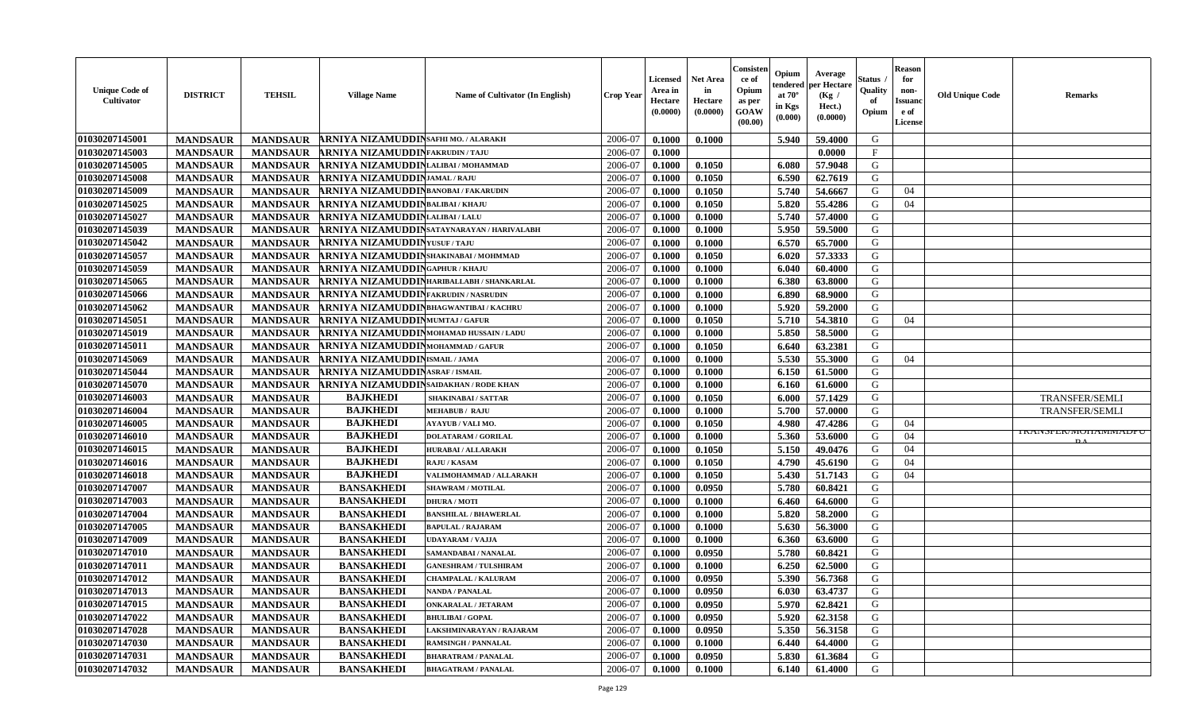| 01030207145001<br>ARNIYA NIZAMUDDIN SAFHI MO. / ALARAKH<br>2006-07<br>G<br>0.1000<br>0.1000<br>5.940<br>59.4000<br><b>MANDSAUR</b><br><b>MANDSAUR</b><br>01030207145003<br>$\mathbf{F}$<br><b>MANDSAUR</b><br>ARNIYA NIZAMUDDINFAKRUDIN/TAJU<br>2006-07<br><b>MANDSAUR</b><br>0.1000<br>0.0000<br>01030207145005<br><b>MANDSAUR</b><br><b>MANDSAUR</b><br>ARNIYA NIZAMUDDINLALIBAI/MOHAMMAD<br>0.1050<br>6.080<br>57.9048<br>G<br>2006-07<br>0.1000<br>62.7619<br>G<br>01030207145008<br><b>MANDSAUR</b><br><b>MANDSAUR</b><br><b>ARNIYA NIZAMUDDIN</b> JAMAL/RAJU<br>2006-07<br>0.1000<br>0.1050<br>6.590<br>5.740<br>54.6667<br>01030207145009<br><b>MANDSAUR</b><br><b>MANDSAUR</b><br><b>RNIYA NIZAMUDDIN</b> BANOBAI/FAKARUDIN<br>2006-07<br>0.1000<br>0.1050<br>G<br>04<br>01030207145025<br><b>MANDSAUR</b><br><b>MANDSAUR</b><br>ARNIYA NIZAMUDDINBALIBAI/KHAJU<br>0.1050<br>5.820<br>55.4286<br>G<br>04<br>2006-07<br>0.1000<br>01030207145027<br><b>MANDSAUR</b><br><b>MANDSAUR</b><br>ARNIYA NIZAMUDDINLALIBAI/LALU<br>0.1000<br>5.740<br>57.4000<br>G<br>2006-07<br>0.1000<br>01030207145039<br><b>RNIYA NIZAMUDDIN</b> SATAYNARAYAN / HARIVALABH<br>5.950<br>G<br><b>MANDSAUR</b><br><b>MANDSAUR</b><br>2006-07<br>0.1000<br>59.5000<br>0.1000<br>01030207145042<br><b>MANDSAUR</b><br><b>MANDSAUR</b><br><b>ARNIYA NIZAMUDDINYUSUF/TAJU</b><br>2006-07<br>6.570<br>65.7000<br>G<br>0.1000<br>0.1000<br>G<br>01030207145057<br>2006-07<br>0.1050<br><b>MANDSAUR</b><br><b>MANDSAUR</b><br>ARNIYA NIZAMUDDINSHAKINABAI/MOHMMAD<br>0.1000<br>6.020<br>57.3333<br>G<br>01030207145059<br><b>MANDSAUR</b><br><b>RNIYA NIZAMUDDINGAPHUR/KHAJU</b><br><b>MANDSAUR</b><br>2006-07<br>0.1000<br>0.1000<br>6.040<br>60.4000<br>01030207145065<br><b>MANDSAUR</b><br>0.1000<br>6.380<br>63.8000<br>G<br><b>MANDSAUR</b><br>ARNIYA NIZAMUDDINHARIBALLABH / SHANKARLAL<br>2006-07<br>0.1000<br>01030207145066<br><b>MANDSAUR</b><br>6.890<br>G<br><b>MANDSAUR</b><br>ARNIYA NIZAMUDDINFAKRUDIN / NASRUDIN<br>2006-07<br>0.1000<br>0.1000<br>68.9000<br>01030207145062<br><b>MANDSAUR</b><br><b>MANDSAUR</b><br>ARNIYA NIZAMUDDINBHAGWANTIBAI / KACHRU<br>5.920<br>59.2000<br>G<br>2006-07<br>0.1000<br>0.1000<br>01030207145051<br><b>MANDSAUR</b><br>0.1050<br>5.710<br>G<br><b>MANDSAUR</b><br><b>RNIYA NIZAMUDDIN</b> MUMTAJ/GAFUR<br>2006-07<br>0.1000<br>54.3810<br>04<br>5.850<br>G<br>01030207145019<br><b>MANDSAUR</b><br><b>MANDSAUR</b><br><b>RNIYA NIZAMUDDIN</b> MOHAMAD HUSSAIN / LADU<br>2006-07<br>0.1000<br>0.1000<br>58.5000<br>01030207145011<br><b>MANDSAUR</b><br>G<br><b>MANDSAUR</b><br>ARNIYA NIZAMUDDINMOHAMMAD / GAFUR<br>2006-07<br>0.1050<br>6.640<br>63.2381<br>0.1000<br>01030207145069<br>ARNIYA NIZAMUDDIN ISMAIL / JAMA<br>2006-07<br>G<br><b>MANDSAUR</b><br><b>MANDSAUR</b><br>5.530<br>04<br>0.1000<br>0.1000<br>55.3000<br>01030207145044<br><b>MANDSAUR</b><br><b>RNIYA NIZAMUDDINASRAF/ISMAIL</b><br>6.150<br>61.5000<br>G<br><b>MANDSAUR</b><br>2006-07<br>0.1000<br>0.1000<br>01030207145070<br><b>MANDSAUR</b><br><b>MANDSAUR</b><br><b>ARNIYA NIZAMUDDIN</b> SAIDAKHAN / RODE KHAN<br>2006-07<br>0.1000<br>0.1000<br>6.160<br>61.6000<br>G<br><b>BAJKHEDI</b><br>01030207146003<br>0.1050<br>6.000<br>57.1429<br>G<br><b>TRANSFER/SEMLI</b><br><b>MANDSAUR</b><br><b>MANDSAUR</b><br>2006-07<br>0.1000<br><b>SHAKINABAI/SATTAR</b><br><b>BAJKHEDI</b><br>G<br><b>MANDSAUR</b><br><b>MANDSAUR</b><br>5.700<br>01030207146004<br>2006-07<br>0.1000<br>0.1000<br>57.0000<br><b>MEHABUB / RAJU</b><br>TRANSFER/SEMLI<br><b>BAJKHEDI</b><br>01030207146005<br><b>MANDSAUR</b><br><b>MANDSAUR</b><br><b>AYAYUB / VALI MO.</b><br>2006-07<br>0.1000<br>0.1050<br>4.980<br>47.4286<br>G<br>04<br>I KAINSPEK/INIUHAININIADPU<br><b>BAJKHEDI</b><br>01030207146010<br><b>MANDSAUR</b><br><b>MANDSAUR</b><br>2006-07<br>0.1000<br>5.360<br>53.6000<br>G<br>04<br>0.1000<br><b>DOLATARAM / GORILAL</b><br><b>BAJKHEDI</b><br>01030207146015<br>G<br><b>MANDSAUR</b><br><b>MANDSAUR</b><br>2006-07<br>0.1050<br>5.150<br>49.0476<br>04<br><b>HURABAI/ALLARAKH</b><br>0.1000<br><b>BAJKHEDI</b><br>01030207146016<br><b>MANDSAUR</b><br>2006-07<br>0.1050<br>4.790<br>G<br>04<br><b>MANDSAUR</b><br>RAJU / KASAM<br>0.1000<br>45.6190<br><b>BAJKHEDI</b><br>5.430<br>01030207146018<br><b>MANDSAUR</b><br><b>MANDSAUR</b><br>2006-07<br>0.1000<br>0.1050<br>51.7143<br>G<br>04<br>VALIMOHAMMAD / ALLARAKH<br>01030207147007<br><b>MANDSAUR</b><br><b>MANDSAUR</b><br><b>BANSAKHEDI</b><br>0.0950<br>5.780<br>60.8421<br>G<br>2006-07<br>0.1000<br><b>SHAWRAM / MOTILAL</b><br>01030207147003<br><b>MANDSAUR</b><br><b>MANDSAUR</b><br><b>BANSAKHEDI</b><br>2006-07<br>64.6000<br>G<br><b>DHURA / MOTI</b><br>0.1000<br>0.1000<br>6.460<br>01030207147004<br><b>BANSAKHEDI</b><br>5.820<br>G<br><b>MANDSAUR</b><br><b>MANDSAUR</b><br>2006-07<br>0.1000<br>0.1000<br>58.2000<br><b>BANSHILAL / BHAWERLAL</b><br>01030207147005<br><b>MANDSAUR</b><br><b>MANDSAUR</b><br><b>BANSAKHEDI</b><br><b>BAPULAL / RAJARAM</b><br>2006-07<br>0.1000<br>0.1000<br>5.630<br>56.3000<br>G<br>G<br>01030207147009<br><b>BANSAKHEDI</b><br>2006-07<br><b>MANDSAUR</b><br><b>MANDSAUR</b><br>0.1000<br>0.1000<br>6.360<br>63.6000<br>UDAYARAM / VAJJA<br>G<br><b>BANSAKHEDI</b><br>01030207147010<br>2006-07<br><b>MANDSAUR</b><br><b>MANDSAUR</b><br>0.1000<br>0.0950<br>5.780<br>60.8421<br>SAMANDABAI / NANALAL<br>01030207147011<br><b>MANDSAUR</b><br><b>BANSAKHEDI</b><br>2006-07<br>0.1000<br>6.250<br>62.5000<br>G<br><b>MANDSAUR</b><br><b>GANESHRAM / TULSHIRAM</b><br>0.1000<br>01030207147012<br>0.0950<br>5.390<br>56.7368<br>G<br><b>MANDSAUR</b><br><b>MANDSAUR</b><br><b>BANSAKHEDI</b><br>2006-07<br>0.1000<br><b>CHAMPALAL / KALURAM</b><br> 01030207147013<br><b>BANSAKHEDI</b><br>0.0950<br>G<br><b>MANDSAUR</b><br>MANDSAUR<br><b>NANDA / PANALAL</b><br>2006-07<br>0.1000<br>$6.030 \pm 63.4737$<br>01030207147015<br><b>MANDSAUR</b><br><b>MANDSAUR</b><br><b>BANSAKHEDI</b><br>2006-07<br>0.1000<br>0.0950<br>5.970<br>62.8421<br>G<br><b>ONKARALAL / JETARAM</b><br>0.0950<br>62.3158<br>01030207147022<br><b>MANDSAUR</b><br><b>MANDSAUR</b><br><b>BANSAKHEDI</b><br>2006-07<br>0.1000<br>5.920<br>G<br><b>BHULIBAI / GOPAL</b><br>01030207147028<br><b>MANDSAUR</b><br><b>MANDSAUR</b><br><b>BANSAKHEDI</b><br>0.0950<br>5.350<br>56.3158<br>G<br>2006-07<br>0.1000<br>LAKSHMINARAYAN / RAJARAM<br>01030207147030<br>G<br><b>MANDSAUR</b><br><b>MANDSAUR</b><br><b>BANSAKHEDI</b><br>2006-07<br>0.1000<br>64.4000<br><b>RAMSINGH / PANNALAL</b><br>0.1000<br>6.440<br>01030207147031<br><b>BANSAKHEDI</b><br>2006-07<br>G<br><b>MANDSAUR</b><br><b>MANDSAUR</b><br><b>BHARATRAM / PANALAL</b><br>0.1000<br>0.0950<br>5.830<br>61.3684 | <b>Unique Code of</b><br><b>Cultivator</b> | <b>DISTRICT</b> | <b>TEHSIL</b>   | <b>Village Name</b> | Name of Cultivator (In English) | <b>Crop Year</b> | <b>Licensed</b><br>Area in<br>Hectare<br>(0.0000) | <b>Net Area</b><br>in<br>Hectare<br>(0.0000) | Consisteı<br>ce of<br>Opium<br>as per<br><b>GOAW</b><br>(00.00) | Opium<br>endered<br>at $70^\circ$<br>in Kgs<br>$(\mathbf{0.000})$ | Average<br>per Hectare<br>(Kg /<br>Hect.)<br>(0.0000) | Status<br>Quality<br>of<br>Opium | Reason<br>for<br>non-<br>Issuan<br>e of<br>License | <b>Old Unique Code</b> | <b>Remarks</b> |
|-------------------------------------------------------------------------------------------------------------------------------------------------------------------------------------------------------------------------------------------------------------------------------------------------------------------------------------------------------------------------------------------------------------------------------------------------------------------------------------------------------------------------------------------------------------------------------------------------------------------------------------------------------------------------------------------------------------------------------------------------------------------------------------------------------------------------------------------------------------------------------------------------------------------------------------------------------------------------------------------------------------------------------------------------------------------------------------------------------------------------------------------------------------------------------------------------------------------------------------------------------------------------------------------------------------------------------------------------------------------------------------------------------------------------------------------------------------------------------------------------------------------------------------------------------------------------------------------------------------------------------------------------------------------------------------------------------------------------------------------------------------------------------------------------------------------------------------------------------------------------------------------------------------------------------------------------------------------------------------------------------------------------------------------------------------------------------------------------------------------------------------------------------------------------------------------------------------------------------------------------------------------------------------------------------------------------------------------------------------------------------------------------------------------------------------------------------------------------------------------------------------------------------------------------------------------------------------------------------------------------------------------------------------------------------------------------------------------------------------------------------------------------------------------------------------------------------------------------------------------------------------------------------------------------------------------------------------------------------------------------------------------------------------------------------------------------------------------------------------------------------------------------------------------------------------------------------------------------------------------------------------------------------------------------------------------------------------------------------------------------------------------------------------------------------------------------------------------------------------------------------------------------------------------------------------------------------------------------------------------------------------------------------------------------------------------------------------------------------------------------------------------------------------------------------------------------------------------------------------------------------------------------------------------------------------------------------------------------------------------------------------------------------------------------------------------------------------------------------------------------------------------------------------------------------------------------------------------------------------------------------------------------------------------------------------------------------------------------------------------------------------------------------------------------------------------------------------------------------------------------------------------------------------------------------------------------------------------------------------------------------------------------------------------------------------------------------------------------------------------------------------------------------------------------------------------------------------------------------------------------------------------------------------------------------------------------------------------------------------------------------------------------------------------------------------------------------------------------------------------------------------------------------------------------------------------------------------------------------------------------------------------------------------------------------------------------------------------------------------------------------------------------------------------------------------------------------------------------------------------------------------------------------------------------------------------------------------------------------------------------------------------------------------------------------------------------------------------------------------------------------------------------------------------------------------------------------------------------------------------------------------------------------------------------------------------------------------------------------------------------------------------------------------------------------------------------------------------------------------------------------------------------------------------------------------------------------------------------------------------------------------------------------------------------------------------------------------------------------------------------------------------------------------------------------------------------------------------------------------------------------------------------------------------------------------------------------------------------------------------------------------------------------------------------------------------------------------------------------------------------------------------------------|--------------------------------------------|-----------------|-----------------|---------------------|---------------------------------|------------------|---------------------------------------------------|----------------------------------------------|-----------------------------------------------------------------|-------------------------------------------------------------------|-------------------------------------------------------|----------------------------------|----------------------------------------------------|------------------------|----------------|
|                                                                                                                                                                                                                                                                                                                                                                                                                                                                                                                                                                                                                                                                                                                                                                                                                                                                                                                                                                                                                                                                                                                                                                                                                                                                                                                                                                                                                                                                                                                                                                                                                                                                                                                                                                                                                                                                                                                                                                                                                                                                                                                                                                                                                                                                                                                                                                                                                                                                                                                                                                                                                                                                                                                                                                                                                                                                                                                                                                                                                                                                                                                                                                                                                                                                                                                                                                                                                                                                                                                                                                                                                                                                                                                                                                                                                                                                                                                                                                                                                                                                                                                                                                                                                                                                                                                                                                                                                                                                                                                                                                                                                                                                                                                                                                                                                                                                                                                                                                                                                                                                                                                                                                                                                                                                                                                                                                                                                                                                                                                                                                                                                                                                                                                                                                                                                                                                                                                                                                                                                                                                                                                                                                                                                                                                                                                                                                                                                                                                                                                                                                                                                                                                                                                                                                               |                                            |                 |                 |                     |                                 |                  |                                                   |                                              |                                                                 |                                                                   |                                                       |                                  |                                                    |                        |                |
|                                                                                                                                                                                                                                                                                                                                                                                                                                                                                                                                                                                                                                                                                                                                                                                                                                                                                                                                                                                                                                                                                                                                                                                                                                                                                                                                                                                                                                                                                                                                                                                                                                                                                                                                                                                                                                                                                                                                                                                                                                                                                                                                                                                                                                                                                                                                                                                                                                                                                                                                                                                                                                                                                                                                                                                                                                                                                                                                                                                                                                                                                                                                                                                                                                                                                                                                                                                                                                                                                                                                                                                                                                                                                                                                                                                                                                                                                                                                                                                                                                                                                                                                                                                                                                                                                                                                                                                                                                                                                                                                                                                                                                                                                                                                                                                                                                                                                                                                                                                                                                                                                                                                                                                                                                                                                                                                                                                                                                                                                                                                                                                                                                                                                                                                                                                                                                                                                                                                                                                                                                                                                                                                                                                                                                                                                                                                                                                                                                                                                                                                                                                                                                                                                                                                                                               |                                            |                 |                 |                     |                                 |                  |                                                   |                                              |                                                                 |                                                                   |                                                       |                                  |                                                    |                        |                |
|                                                                                                                                                                                                                                                                                                                                                                                                                                                                                                                                                                                                                                                                                                                                                                                                                                                                                                                                                                                                                                                                                                                                                                                                                                                                                                                                                                                                                                                                                                                                                                                                                                                                                                                                                                                                                                                                                                                                                                                                                                                                                                                                                                                                                                                                                                                                                                                                                                                                                                                                                                                                                                                                                                                                                                                                                                                                                                                                                                                                                                                                                                                                                                                                                                                                                                                                                                                                                                                                                                                                                                                                                                                                                                                                                                                                                                                                                                                                                                                                                                                                                                                                                                                                                                                                                                                                                                                                                                                                                                                                                                                                                                                                                                                                                                                                                                                                                                                                                                                                                                                                                                                                                                                                                                                                                                                                                                                                                                                                                                                                                                                                                                                                                                                                                                                                                                                                                                                                                                                                                                                                                                                                                                                                                                                                                                                                                                                                                                                                                                                                                                                                                                                                                                                                                                               |                                            |                 |                 |                     |                                 |                  |                                                   |                                              |                                                                 |                                                                   |                                                       |                                  |                                                    |                        |                |
|                                                                                                                                                                                                                                                                                                                                                                                                                                                                                                                                                                                                                                                                                                                                                                                                                                                                                                                                                                                                                                                                                                                                                                                                                                                                                                                                                                                                                                                                                                                                                                                                                                                                                                                                                                                                                                                                                                                                                                                                                                                                                                                                                                                                                                                                                                                                                                                                                                                                                                                                                                                                                                                                                                                                                                                                                                                                                                                                                                                                                                                                                                                                                                                                                                                                                                                                                                                                                                                                                                                                                                                                                                                                                                                                                                                                                                                                                                                                                                                                                                                                                                                                                                                                                                                                                                                                                                                                                                                                                                                                                                                                                                                                                                                                                                                                                                                                                                                                                                                                                                                                                                                                                                                                                                                                                                                                                                                                                                                                                                                                                                                                                                                                                                                                                                                                                                                                                                                                                                                                                                                                                                                                                                                                                                                                                                                                                                                                                                                                                                                                                                                                                                                                                                                                                                               |                                            |                 |                 |                     |                                 |                  |                                                   |                                              |                                                                 |                                                                   |                                                       |                                  |                                                    |                        |                |
|                                                                                                                                                                                                                                                                                                                                                                                                                                                                                                                                                                                                                                                                                                                                                                                                                                                                                                                                                                                                                                                                                                                                                                                                                                                                                                                                                                                                                                                                                                                                                                                                                                                                                                                                                                                                                                                                                                                                                                                                                                                                                                                                                                                                                                                                                                                                                                                                                                                                                                                                                                                                                                                                                                                                                                                                                                                                                                                                                                                                                                                                                                                                                                                                                                                                                                                                                                                                                                                                                                                                                                                                                                                                                                                                                                                                                                                                                                                                                                                                                                                                                                                                                                                                                                                                                                                                                                                                                                                                                                                                                                                                                                                                                                                                                                                                                                                                                                                                                                                                                                                                                                                                                                                                                                                                                                                                                                                                                                                                                                                                                                                                                                                                                                                                                                                                                                                                                                                                                                                                                                                                                                                                                                                                                                                                                                                                                                                                                                                                                                                                                                                                                                                                                                                                                                               |                                            |                 |                 |                     |                                 |                  |                                                   |                                              |                                                                 |                                                                   |                                                       |                                  |                                                    |                        |                |
|                                                                                                                                                                                                                                                                                                                                                                                                                                                                                                                                                                                                                                                                                                                                                                                                                                                                                                                                                                                                                                                                                                                                                                                                                                                                                                                                                                                                                                                                                                                                                                                                                                                                                                                                                                                                                                                                                                                                                                                                                                                                                                                                                                                                                                                                                                                                                                                                                                                                                                                                                                                                                                                                                                                                                                                                                                                                                                                                                                                                                                                                                                                                                                                                                                                                                                                                                                                                                                                                                                                                                                                                                                                                                                                                                                                                                                                                                                                                                                                                                                                                                                                                                                                                                                                                                                                                                                                                                                                                                                                                                                                                                                                                                                                                                                                                                                                                                                                                                                                                                                                                                                                                                                                                                                                                                                                                                                                                                                                                                                                                                                                                                                                                                                                                                                                                                                                                                                                                                                                                                                                                                                                                                                                                                                                                                                                                                                                                                                                                                                                                                                                                                                                                                                                                                                               |                                            |                 |                 |                     |                                 |                  |                                                   |                                              |                                                                 |                                                                   |                                                       |                                  |                                                    |                        |                |
|                                                                                                                                                                                                                                                                                                                                                                                                                                                                                                                                                                                                                                                                                                                                                                                                                                                                                                                                                                                                                                                                                                                                                                                                                                                                                                                                                                                                                                                                                                                                                                                                                                                                                                                                                                                                                                                                                                                                                                                                                                                                                                                                                                                                                                                                                                                                                                                                                                                                                                                                                                                                                                                                                                                                                                                                                                                                                                                                                                                                                                                                                                                                                                                                                                                                                                                                                                                                                                                                                                                                                                                                                                                                                                                                                                                                                                                                                                                                                                                                                                                                                                                                                                                                                                                                                                                                                                                                                                                                                                                                                                                                                                                                                                                                                                                                                                                                                                                                                                                                                                                                                                                                                                                                                                                                                                                                                                                                                                                                                                                                                                                                                                                                                                                                                                                                                                                                                                                                                                                                                                                                                                                                                                                                                                                                                                                                                                                                                                                                                                                                                                                                                                                                                                                                                                               |                                            |                 |                 |                     |                                 |                  |                                                   |                                              |                                                                 |                                                                   |                                                       |                                  |                                                    |                        |                |
|                                                                                                                                                                                                                                                                                                                                                                                                                                                                                                                                                                                                                                                                                                                                                                                                                                                                                                                                                                                                                                                                                                                                                                                                                                                                                                                                                                                                                                                                                                                                                                                                                                                                                                                                                                                                                                                                                                                                                                                                                                                                                                                                                                                                                                                                                                                                                                                                                                                                                                                                                                                                                                                                                                                                                                                                                                                                                                                                                                                                                                                                                                                                                                                                                                                                                                                                                                                                                                                                                                                                                                                                                                                                                                                                                                                                                                                                                                                                                                                                                                                                                                                                                                                                                                                                                                                                                                                                                                                                                                                                                                                                                                                                                                                                                                                                                                                                                                                                                                                                                                                                                                                                                                                                                                                                                                                                                                                                                                                                                                                                                                                                                                                                                                                                                                                                                                                                                                                                                                                                                                                                                                                                                                                                                                                                                                                                                                                                                                                                                                                                                                                                                                                                                                                                                                               |                                            |                 |                 |                     |                                 |                  |                                                   |                                              |                                                                 |                                                                   |                                                       |                                  |                                                    |                        |                |
|                                                                                                                                                                                                                                                                                                                                                                                                                                                                                                                                                                                                                                                                                                                                                                                                                                                                                                                                                                                                                                                                                                                                                                                                                                                                                                                                                                                                                                                                                                                                                                                                                                                                                                                                                                                                                                                                                                                                                                                                                                                                                                                                                                                                                                                                                                                                                                                                                                                                                                                                                                                                                                                                                                                                                                                                                                                                                                                                                                                                                                                                                                                                                                                                                                                                                                                                                                                                                                                                                                                                                                                                                                                                                                                                                                                                                                                                                                                                                                                                                                                                                                                                                                                                                                                                                                                                                                                                                                                                                                                                                                                                                                                                                                                                                                                                                                                                                                                                                                                                                                                                                                                                                                                                                                                                                                                                                                                                                                                                                                                                                                                                                                                                                                                                                                                                                                                                                                                                                                                                                                                                                                                                                                                                                                                                                                                                                                                                                                                                                                                                                                                                                                                                                                                                                                               |                                            |                 |                 |                     |                                 |                  |                                                   |                                              |                                                                 |                                                                   |                                                       |                                  |                                                    |                        |                |
|                                                                                                                                                                                                                                                                                                                                                                                                                                                                                                                                                                                                                                                                                                                                                                                                                                                                                                                                                                                                                                                                                                                                                                                                                                                                                                                                                                                                                                                                                                                                                                                                                                                                                                                                                                                                                                                                                                                                                                                                                                                                                                                                                                                                                                                                                                                                                                                                                                                                                                                                                                                                                                                                                                                                                                                                                                                                                                                                                                                                                                                                                                                                                                                                                                                                                                                                                                                                                                                                                                                                                                                                                                                                                                                                                                                                                                                                                                                                                                                                                                                                                                                                                                                                                                                                                                                                                                                                                                                                                                                                                                                                                                                                                                                                                                                                                                                                                                                                                                                                                                                                                                                                                                                                                                                                                                                                                                                                                                                                                                                                                                                                                                                                                                                                                                                                                                                                                                                                                                                                                                                                                                                                                                                                                                                                                                                                                                                                                                                                                                                                                                                                                                                                                                                                                                               |                                            |                 |                 |                     |                                 |                  |                                                   |                                              |                                                                 |                                                                   |                                                       |                                  |                                                    |                        |                |
|                                                                                                                                                                                                                                                                                                                                                                                                                                                                                                                                                                                                                                                                                                                                                                                                                                                                                                                                                                                                                                                                                                                                                                                                                                                                                                                                                                                                                                                                                                                                                                                                                                                                                                                                                                                                                                                                                                                                                                                                                                                                                                                                                                                                                                                                                                                                                                                                                                                                                                                                                                                                                                                                                                                                                                                                                                                                                                                                                                                                                                                                                                                                                                                                                                                                                                                                                                                                                                                                                                                                                                                                                                                                                                                                                                                                                                                                                                                                                                                                                                                                                                                                                                                                                                                                                                                                                                                                                                                                                                                                                                                                                                                                                                                                                                                                                                                                                                                                                                                                                                                                                                                                                                                                                                                                                                                                                                                                                                                                                                                                                                                                                                                                                                                                                                                                                                                                                                                                                                                                                                                                                                                                                                                                                                                                                                                                                                                                                                                                                                                                                                                                                                                                                                                                                                               |                                            |                 |                 |                     |                                 |                  |                                                   |                                              |                                                                 |                                                                   |                                                       |                                  |                                                    |                        |                |
|                                                                                                                                                                                                                                                                                                                                                                                                                                                                                                                                                                                                                                                                                                                                                                                                                                                                                                                                                                                                                                                                                                                                                                                                                                                                                                                                                                                                                                                                                                                                                                                                                                                                                                                                                                                                                                                                                                                                                                                                                                                                                                                                                                                                                                                                                                                                                                                                                                                                                                                                                                                                                                                                                                                                                                                                                                                                                                                                                                                                                                                                                                                                                                                                                                                                                                                                                                                                                                                                                                                                                                                                                                                                                                                                                                                                                                                                                                                                                                                                                                                                                                                                                                                                                                                                                                                                                                                                                                                                                                                                                                                                                                                                                                                                                                                                                                                                                                                                                                                                                                                                                                                                                                                                                                                                                                                                                                                                                                                                                                                                                                                                                                                                                                                                                                                                                                                                                                                                                                                                                                                                                                                                                                                                                                                                                                                                                                                                                                                                                                                                                                                                                                                                                                                                                                               |                                            |                 |                 |                     |                                 |                  |                                                   |                                              |                                                                 |                                                                   |                                                       |                                  |                                                    |                        |                |
|                                                                                                                                                                                                                                                                                                                                                                                                                                                                                                                                                                                                                                                                                                                                                                                                                                                                                                                                                                                                                                                                                                                                                                                                                                                                                                                                                                                                                                                                                                                                                                                                                                                                                                                                                                                                                                                                                                                                                                                                                                                                                                                                                                                                                                                                                                                                                                                                                                                                                                                                                                                                                                                                                                                                                                                                                                                                                                                                                                                                                                                                                                                                                                                                                                                                                                                                                                                                                                                                                                                                                                                                                                                                                                                                                                                                                                                                                                                                                                                                                                                                                                                                                                                                                                                                                                                                                                                                                                                                                                                                                                                                                                                                                                                                                                                                                                                                                                                                                                                                                                                                                                                                                                                                                                                                                                                                                                                                                                                                                                                                                                                                                                                                                                                                                                                                                                                                                                                                                                                                                                                                                                                                                                                                                                                                                                                                                                                                                                                                                                                                                                                                                                                                                                                                                                               |                                            |                 |                 |                     |                                 |                  |                                                   |                                              |                                                                 |                                                                   |                                                       |                                  |                                                    |                        |                |
|                                                                                                                                                                                                                                                                                                                                                                                                                                                                                                                                                                                                                                                                                                                                                                                                                                                                                                                                                                                                                                                                                                                                                                                                                                                                                                                                                                                                                                                                                                                                                                                                                                                                                                                                                                                                                                                                                                                                                                                                                                                                                                                                                                                                                                                                                                                                                                                                                                                                                                                                                                                                                                                                                                                                                                                                                                                                                                                                                                                                                                                                                                                                                                                                                                                                                                                                                                                                                                                                                                                                                                                                                                                                                                                                                                                                                                                                                                                                                                                                                                                                                                                                                                                                                                                                                                                                                                                                                                                                                                                                                                                                                                                                                                                                                                                                                                                                                                                                                                                                                                                                                                                                                                                                                                                                                                                                                                                                                                                                                                                                                                                                                                                                                                                                                                                                                                                                                                                                                                                                                                                                                                                                                                                                                                                                                                                                                                                                                                                                                                                                                                                                                                                                                                                                                                               |                                            |                 |                 |                     |                                 |                  |                                                   |                                              |                                                                 |                                                                   |                                                       |                                  |                                                    |                        |                |
|                                                                                                                                                                                                                                                                                                                                                                                                                                                                                                                                                                                                                                                                                                                                                                                                                                                                                                                                                                                                                                                                                                                                                                                                                                                                                                                                                                                                                                                                                                                                                                                                                                                                                                                                                                                                                                                                                                                                                                                                                                                                                                                                                                                                                                                                                                                                                                                                                                                                                                                                                                                                                                                                                                                                                                                                                                                                                                                                                                                                                                                                                                                                                                                                                                                                                                                                                                                                                                                                                                                                                                                                                                                                                                                                                                                                                                                                                                                                                                                                                                                                                                                                                                                                                                                                                                                                                                                                                                                                                                                                                                                                                                                                                                                                                                                                                                                                                                                                                                                                                                                                                                                                                                                                                                                                                                                                                                                                                                                                                                                                                                                                                                                                                                                                                                                                                                                                                                                                                                                                                                                                                                                                                                                                                                                                                                                                                                                                                                                                                                                                                                                                                                                                                                                                                                               |                                            |                 |                 |                     |                                 |                  |                                                   |                                              |                                                                 |                                                                   |                                                       |                                  |                                                    |                        |                |
|                                                                                                                                                                                                                                                                                                                                                                                                                                                                                                                                                                                                                                                                                                                                                                                                                                                                                                                                                                                                                                                                                                                                                                                                                                                                                                                                                                                                                                                                                                                                                                                                                                                                                                                                                                                                                                                                                                                                                                                                                                                                                                                                                                                                                                                                                                                                                                                                                                                                                                                                                                                                                                                                                                                                                                                                                                                                                                                                                                                                                                                                                                                                                                                                                                                                                                                                                                                                                                                                                                                                                                                                                                                                                                                                                                                                                                                                                                                                                                                                                                                                                                                                                                                                                                                                                                                                                                                                                                                                                                                                                                                                                                                                                                                                                                                                                                                                                                                                                                                                                                                                                                                                                                                                                                                                                                                                                                                                                                                                                                                                                                                                                                                                                                                                                                                                                                                                                                                                                                                                                                                                                                                                                                                                                                                                                                                                                                                                                                                                                                                                                                                                                                                                                                                                                                               |                                            |                 |                 |                     |                                 |                  |                                                   |                                              |                                                                 |                                                                   |                                                       |                                  |                                                    |                        |                |
|                                                                                                                                                                                                                                                                                                                                                                                                                                                                                                                                                                                                                                                                                                                                                                                                                                                                                                                                                                                                                                                                                                                                                                                                                                                                                                                                                                                                                                                                                                                                                                                                                                                                                                                                                                                                                                                                                                                                                                                                                                                                                                                                                                                                                                                                                                                                                                                                                                                                                                                                                                                                                                                                                                                                                                                                                                                                                                                                                                                                                                                                                                                                                                                                                                                                                                                                                                                                                                                                                                                                                                                                                                                                                                                                                                                                                                                                                                                                                                                                                                                                                                                                                                                                                                                                                                                                                                                                                                                                                                                                                                                                                                                                                                                                                                                                                                                                                                                                                                                                                                                                                                                                                                                                                                                                                                                                                                                                                                                                                                                                                                                                                                                                                                                                                                                                                                                                                                                                                                                                                                                                                                                                                                                                                                                                                                                                                                                                                                                                                                                                                                                                                                                                                                                                                                               |                                            |                 |                 |                     |                                 |                  |                                                   |                                              |                                                                 |                                                                   |                                                       |                                  |                                                    |                        |                |
|                                                                                                                                                                                                                                                                                                                                                                                                                                                                                                                                                                                                                                                                                                                                                                                                                                                                                                                                                                                                                                                                                                                                                                                                                                                                                                                                                                                                                                                                                                                                                                                                                                                                                                                                                                                                                                                                                                                                                                                                                                                                                                                                                                                                                                                                                                                                                                                                                                                                                                                                                                                                                                                                                                                                                                                                                                                                                                                                                                                                                                                                                                                                                                                                                                                                                                                                                                                                                                                                                                                                                                                                                                                                                                                                                                                                                                                                                                                                                                                                                                                                                                                                                                                                                                                                                                                                                                                                                                                                                                                                                                                                                                                                                                                                                                                                                                                                                                                                                                                                                                                                                                                                                                                                                                                                                                                                                                                                                                                                                                                                                                                                                                                                                                                                                                                                                                                                                                                                                                                                                                                                                                                                                                                                                                                                                                                                                                                                                                                                                                                                                                                                                                                                                                                                                                               |                                            |                 |                 |                     |                                 |                  |                                                   |                                              |                                                                 |                                                                   |                                                       |                                  |                                                    |                        |                |
|                                                                                                                                                                                                                                                                                                                                                                                                                                                                                                                                                                                                                                                                                                                                                                                                                                                                                                                                                                                                                                                                                                                                                                                                                                                                                                                                                                                                                                                                                                                                                                                                                                                                                                                                                                                                                                                                                                                                                                                                                                                                                                                                                                                                                                                                                                                                                                                                                                                                                                                                                                                                                                                                                                                                                                                                                                                                                                                                                                                                                                                                                                                                                                                                                                                                                                                                                                                                                                                                                                                                                                                                                                                                                                                                                                                                                                                                                                                                                                                                                                                                                                                                                                                                                                                                                                                                                                                                                                                                                                                                                                                                                                                                                                                                                                                                                                                                                                                                                                                                                                                                                                                                                                                                                                                                                                                                                                                                                                                                                                                                                                                                                                                                                                                                                                                                                                                                                                                                                                                                                                                                                                                                                                                                                                                                                                                                                                                                                                                                                                                                                                                                                                                                                                                                                                               |                                            |                 |                 |                     |                                 |                  |                                                   |                                              |                                                                 |                                                                   |                                                       |                                  |                                                    |                        |                |
|                                                                                                                                                                                                                                                                                                                                                                                                                                                                                                                                                                                                                                                                                                                                                                                                                                                                                                                                                                                                                                                                                                                                                                                                                                                                                                                                                                                                                                                                                                                                                                                                                                                                                                                                                                                                                                                                                                                                                                                                                                                                                                                                                                                                                                                                                                                                                                                                                                                                                                                                                                                                                                                                                                                                                                                                                                                                                                                                                                                                                                                                                                                                                                                                                                                                                                                                                                                                                                                                                                                                                                                                                                                                                                                                                                                                                                                                                                                                                                                                                                                                                                                                                                                                                                                                                                                                                                                                                                                                                                                                                                                                                                                                                                                                                                                                                                                                                                                                                                                                                                                                                                                                                                                                                                                                                                                                                                                                                                                                                                                                                                                                                                                                                                                                                                                                                                                                                                                                                                                                                                                                                                                                                                                                                                                                                                                                                                                                                                                                                                                                                                                                                                                                                                                                                                               |                                            |                 |                 |                     |                                 |                  |                                                   |                                              |                                                                 |                                                                   |                                                       |                                  |                                                    |                        |                |
|                                                                                                                                                                                                                                                                                                                                                                                                                                                                                                                                                                                                                                                                                                                                                                                                                                                                                                                                                                                                                                                                                                                                                                                                                                                                                                                                                                                                                                                                                                                                                                                                                                                                                                                                                                                                                                                                                                                                                                                                                                                                                                                                                                                                                                                                                                                                                                                                                                                                                                                                                                                                                                                                                                                                                                                                                                                                                                                                                                                                                                                                                                                                                                                                                                                                                                                                                                                                                                                                                                                                                                                                                                                                                                                                                                                                                                                                                                                                                                                                                                                                                                                                                                                                                                                                                                                                                                                                                                                                                                                                                                                                                                                                                                                                                                                                                                                                                                                                                                                                                                                                                                                                                                                                                                                                                                                                                                                                                                                                                                                                                                                                                                                                                                                                                                                                                                                                                                                                                                                                                                                                                                                                                                                                                                                                                                                                                                                                                                                                                                                                                                                                                                                                                                                                                                               |                                            |                 |                 |                     |                                 |                  |                                                   |                                              |                                                                 |                                                                   |                                                       |                                  |                                                    |                        |                |
|                                                                                                                                                                                                                                                                                                                                                                                                                                                                                                                                                                                                                                                                                                                                                                                                                                                                                                                                                                                                                                                                                                                                                                                                                                                                                                                                                                                                                                                                                                                                                                                                                                                                                                                                                                                                                                                                                                                                                                                                                                                                                                                                                                                                                                                                                                                                                                                                                                                                                                                                                                                                                                                                                                                                                                                                                                                                                                                                                                                                                                                                                                                                                                                                                                                                                                                                                                                                                                                                                                                                                                                                                                                                                                                                                                                                                                                                                                                                                                                                                                                                                                                                                                                                                                                                                                                                                                                                                                                                                                                                                                                                                                                                                                                                                                                                                                                                                                                                                                                                                                                                                                                                                                                                                                                                                                                                                                                                                                                                                                                                                                                                                                                                                                                                                                                                                                                                                                                                                                                                                                                                                                                                                                                                                                                                                                                                                                                                                                                                                                                                                                                                                                                                                                                                                                               |                                            |                 |                 |                     |                                 |                  |                                                   |                                              |                                                                 |                                                                   |                                                       |                                  |                                                    |                        |                |
|                                                                                                                                                                                                                                                                                                                                                                                                                                                                                                                                                                                                                                                                                                                                                                                                                                                                                                                                                                                                                                                                                                                                                                                                                                                                                                                                                                                                                                                                                                                                                                                                                                                                                                                                                                                                                                                                                                                                                                                                                                                                                                                                                                                                                                                                                                                                                                                                                                                                                                                                                                                                                                                                                                                                                                                                                                                                                                                                                                                                                                                                                                                                                                                                                                                                                                                                                                                                                                                                                                                                                                                                                                                                                                                                                                                                                                                                                                                                                                                                                                                                                                                                                                                                                                                                                                                                                                                                                                                                                                                                                                                                                                                                                                                                                                                                                                                                                                                                                                                                                                                                                                                                                                                                                                                                                                                                                                                                                                                                                                                                                                                                                                                                                                                                                                                                                                                                                                                                                                                                                                                                                                                                                                                                                                                                                                                                                                                                                                                                                                                                                                                                                                                                                                                                                                               |                                            |                 |                 |                     |                                 |                  |                                                   |                                              |                                                                 |                                                                   |                                                       |                                  |                                                    |                        |                |
|                                                                                                                                                                                                                                                                                                                                                                                                                                                                                                                                                                                                                                                                                                                                                                                                                                                                                                                                                                                                                                                                                                                                                                                                                                                                                                                                                                                                                                                                                                                                                                                                                                                                                                                                                                                                                                                                                                                                                                                                                                                                                                                                                                                                                                                                                                                                                                                                                                                                                                                                                                                                                                                                                                                                                                                                                                                                                                                                                                                                                                                                                                                                                                                                                                                                                                                                                                                                                                                                                                                                                                                                                                                                                                                                                                                                                                                                                                                                                                                                                                                                                                                                                                                                                                                                                                                                                                                                                                                                                                                                                                                                                                                                                                                                                                                                                                                                                                                                                                                                                                                                                                                                                                                                                                                                                                                                                                                                                                                                                                                                                                                                                                                                                                                                                                                                                                                                                                                                                                                                                                                                                                                                                                                                                                                                                                                                                                                                                                                                                                                                                                                                                                                                                                                                                                               |                                            |                 |                 |                     |                                 |                  |                                                   |                                              |                                                                 |                                                                   |                                                       |                                  |                                                    |                        |                |
|                                                                                                                                                                                                                                                                                                                                                                                                                                                                                                                                                                                                                                                                                                                                                                                                                                                                                                                                                                                                                                                                                                                                                                                                                                                                                                                                                                                                                                                                                                                                                                                                                                                                                                                                                                                                                                                                                                                                                                                                                                                                                                                                                                                                                                                                                                                                                                                                                                                                                                                                                                                                                                                                                                                                                                                                                                                                                                                                                                                                                                                                                                                                                                                                                                                                                                                                                                                                                                                                                                                                                                                                                                                                                                                                                                                                                                                                                                                                                                                                                                                                                                                                                                                                                                                                                                                                                                                                                                                                                                                                                                                                                                                                                                                                                                                                                                                                                                                                                                                                                                                                                                                                                                                                                                                                                                                                                                                                                                                                                                                                                                                                                                                                                                                                                                                                                                                                                                                                                                                                                                                                                                                                                                                                                                                                                                                                                                                                                                                                                                                                                                                                                                                                                                                                                                               |                                            |                 |                 |                     |                                 |                  |                                                   |                                              |                                                                 |                                                                   |                                                       |                                  |                                                    |                        |                |
|                                                                                                                                                                                                                                                                                                                                                                                                                                                                                                                                                                                                                                                                                                                                                                                                                                                                                                                                                                                                                                                                                                                                                                                                                                                                                                                                                                                                                                                                                                                                                                                                                                                                                                                                                                                                                                                                                                                                                                                                                                                                                                                                                                                                                                                                                                                                                                                                                                                                                                                                                                                                                                                                                                                                                                                                                                                                                                                                                                                                                                                                                                                                                                                                                                                                                                                                                                                                                                                                                                                                                                                                                                                                                                                                                                                                                                                                                                                                                                                                                                                                                                                                                                                                                                                                                                                                                                                                                                                                                                                                                                                                                                                                                                                                                                                                                                                                                                                                                                                                                                                                                                                                                                                                                                                                                                                                                                                                                                                                                                                                                                                                                                                                                                                                                                                                                                                                                                                                                                                                                                                                                                                                                                                                                                                                                                                                                                                                                                                                                                                                                                                                                                                                                                                                                                               |                                            |                 |                 |                     |                                 |                  |                                                   |                                              |                                                                 |                                                                   |                                                       |                                  |                                                    |                        |                |
|                                                                                                                                                                                                                                                                                                                                                                                                                                                                                                                                                                                                                                                                                                                                                                                                                                                                                                                                                                                                                                                                                                                                                                                                                                                                                                                                                                                                                                                                                                                                                                                                                                                                                                                                                                                                                                                                                                                                                                                                                                                                                                                                                                                                                                                                                                                                                                                                                                                                                                                                                                                                                                                                                                                                                                                                                                                                                                                                                                                                                                                                                                                                                                                                                                                                                                                                                                                                                                                                                                                                                                                                                                                                                                                                                                                                                                                                                                                                                                                                                                                                                                                                                                                                                                                                                                                                                                                                                                                                                                                                                                                                                                                                                                                                                                                                                                                                                                                                                                                                                                                                                                                                                                                                                                                                                                                                                                                                                                                                                                                                                                                                                                                                                                                                                                                                                                                                                                                                                                                                                                                                                                                                                                                                                                                                                                                                                                                                                                                                                                                                                                                                                                                                                                                                                                               |                                            |                 |                 |                     |                                 |                  |                                                   |                                              |                                                                 |                                                                   |                                                       |                                  |                                                    |                        |                |
|                                                                                                                                                                                                                                                                                                                                                                                                                                                                                                                                                                                                                                                                                                                                                                                                                                                                                                                                                                                                                                                                                                                                                                                                                                                                                                                                                                                                                                                                                                                                                                                                                                                                                                                                                                                                                                                                                                                                                                                                                                                                                                                                                                                                                                                                                                                                                                                                                                                                                                                                                                                                                                                                                                                                                                                                                                                                                                                                                                                                                                                                                                                                                                                                                                                                                                                                                                                                                                                                                                                                                                                                                                                                                                                                                                                                                                                                                                                                                                                                                                                                                                                                                                                                                                                                                                                                                                                                                                                                                                                                                                                                                                                                                                                                                                                                                                                                                                                                                                                                                                                                                                                                                                                                                                                                                                                                                                                                                                                                                                                                                                                                                                                                                                                                                                                                                                                                                                                                                                                                                                                                                                                                                                                                                                                                                                                                                                                                                                                                                                                                                                                                                                                                                                                                                                               |                                            |                 |                 |                     |                                 |                  |                                                   |                                              |                                                                 |                                                                   |                                                       |                                  |                                                    |                        |                |
|                                                                                                                                                                                                                                                                                                                                                                                                                                                                                                                                                                                                                                                                                                                                                                                                                                                                                                                                                                                                                                                                                                                                                                                                                                                                                                                                                                                                                                                                                                                                                                                                                                                                                                                                                                                                                                                                                                                                                                                                                                                                                                                                                                                                                                                                                                                                                                                                                                                                                                                                                                                                                                                                                                                                                                                                                                                                                                                                                                                                                                                                                                                                                                                                                                                                                                                                                                                                                                                                                                                                                                                                                                                                                                                                                                                                                                                                                                                                                                                                                                                                                                                                                                                                                                                                                                                                                                                                                                                                                                                                                                                                                                                                                                                                                                                                                                                                                                                                                                                                                                                                                                                                                                                                                                                                                                                                                                                                                                                                                                                                                                                                                                                                                                                                                                                                                                                                                                                                                                                                                                                                                                                                                                                                                                                                                                                                                                                                                                                                                                                                                                                                                                                                                                                                                                               |                                            |                 |                 |                     |                                 |                  |                                                   |                                              |                                                                 |                                                                   |                                                       |                                  |                                                    |                        |                |
|                                                                                                                                                                                                                                                                                                                                                                                                                                                                                                                                                                                                                                                                                                                                                                                                                                                                                                                                                                                                                                                                                                                                                                                                                                                                                                                                                                                                                                                                                                                                                                                                                                                                                                                                                                                                                                                                                                                                                                                                                                                                                                                                                                                                                                                                                                                                                                                                                                                                                                                                                                                                                                                                                                                                                                                                                                                                                                                                                                                                                                                                                                                                                                                                                                                                                                                                                                                                                                                                                                                                                                                                                                                                                                                                                                                                                                                                                                                                                                                                                                                                                                                                                                                                                                                                                                                                                                                                                                                                                                                                                                                                                                                                                                                                                                                                                                                                                                                                                                                                                                                                                                                                                                                                                                                                                                                                                                                                                                                                                                                                                                                                                                                                                                                                                                                                                                                                                                                                                                                                                                                                                                                                                                                                                                                                                                                                                                                                                                                                                                                                                                                                                                                                                                                                                                               |                                            |                 |                 |                     |                                 |                  |                                                   |                                              |                                                                 |                                                                   |                                                       |                                  |                                                    |                        |                |
|                                                                                                                                                                                                                                                                                                                                                                                                                                                                                                                                                                                                                                                                                                                                                                                                                                                                                                                                                                                                                                                                                                                                                                                                                                                                                                                                                                                                                                                                                                                                                                                                                                                                                                                                                                                                                                                                                                                                                                                                                                                                                                                                                                                                                                                                                                                                                                                                                                                                                                                                                                                                                                                                                                                                                                                                                                                                                                                                                                                                                                                                                                                                                                                                                                                                                                                                                                                                                                                                                                                                                                                                                                                                                                                                                                                                                                                                                                                                                                                                                                                                                                                                                                                                                                                                                                                                                                                                                                                                                                                                                                                                                                                                                                                                                                                                                                                                                                                                                                                                                                                                                                                                                                                                                                                                                                                                                                                                                                                                                                                                                                                                                                                                                                                                                                                                                                                                                                                                                                                                                                                                                                                                                                                                                                                                                                                                                                                                                                                                                                                                                                                                                                                                                                                                                                               |                                            |                 |                 |                     |                                 |                  |                                                   |                                              |                                                                 |                                                                   |                                                       |                                  |                                                    |                        |                |
|                                                                                                                                                                                                                                                                                                                                                                                                                                                                                                                                                                                                                                                                                                                                                                                                                                                                                                                                                                                                                                                                                                                                                                                                                                                                                                                                                                                                                                                                                                                                                                                                                                                                                                                                                                                                                                                                                                                                                                                                                                                                                                                                                                                                                                                                                                                                                                                                                                                                                                                                                                                                                                                                                                                                                                                                                                                                                                                                                                                                                                                                                                                                                                                                                                                                                                                                                                                                                                                                                                                                                                                                                                                                                                                                                                                                                                                                                                                                                                                                                                                                                                                                                                                                                                                                                                                                                                                                                                                                                                                                                                                                                                                                                                                                                                                                                                                                                                                                                                                                                                                                                                                                                                                                                                                                                                                                                                                                                                                                                                                                                                                                                                                                                                                                                                                                                                                                                                                                                                                                                                                                                                                                                                                                                                                                                                                                                                                                                                                                                                                                                                                                                                                                                                                                                                               |                                            |                 |                 |                     |                                 |                  |                                                   |                                              |                                                                 |                                                                   |                                                       |                                  |                                                    |                        |                |
|                                                                                                                                                                                                                                                                                                                                                                                                                                                                                                                                                                                                                                                                                                                                                                                                                                                                                                                                                                                                                                                                                                                                                                                                                                                                                                                                                                                                                                                                                                                                                                                                                                                                                                                                                                                                                                                                                                                                                                                                                                                                                                                                                                                                                                                                                                                                                                                                                                                                                                                                                                                                                                                                                                                                                                                                                                                                                                                                                                                                                                                                                                                                                                                                                                                                                                                                                                                                                                                                                                                                                                                                                                                                                                                                                                                                                                                                                                                                                                                                                                                                                                                                                                                                                                                                                                                                                                                                                                                                                                                                                                                                                                                                                                                                                                                                                                                                                                                                                                                                                                                                                                                                                                                                                                                                                                                                                                                                                                                                                                                                                                                                                                                                                                                                                                                                                                                                                                                                                                                                                                                                                                                                                                                                                                                                                                                                                                                                                                                                                                                                                                                                                                                                                                                                                                               |                                            |                 |                 |                     |                                 |                  |                                                   |                                              |                                                                 |                                                                   |                                                       |                                  |                                                    |                        |                |
|                                                                                                                                                                                                                                                                                                                                                                                                                                                                                                                                                                                                                                                                                                                                                                                                                                                                                                                                                                                                                                                                                                                                                                                                                                                                                                                                                                                                                                                                                                                                                                                                                                                                                                                                                                                                                                                                                                                                                                                                                                                                                                                                                                                                                                                                                                                                                                                                                                                                                                                                                                                                                                                                                                                                                                                                                                                                                                                                                                                                                                                                                                                                                                                                                                                                                                                                                                                                                                                                                                                                                                                                                                                                                                                                                                                                                                                                                                                                                                                                                                                                                                                                                                                                                                                                                                                                                                                                                                                                                                                                                                                                                                                                                                                                                                                                                                                                                                                                                                                                                                                                                                                                                                                                                                                                                                                                                                                                                                                                                                                                                                                                                                                                                                                                                                                                                                                                                                                                                                                                                                                                                                                                                                                                                                                                                                                                                                                                                                                                                                                                                                                                                                                                                                                                                                               |                                            |                 |                 |                     |                                 |                  |                                                   |                                              |                                                                 |                                                                   |                                                       |                                  |                                                    |                        |                |
|                                                                                                                                                                                                                                                                                                                                                                                                                                                                                                                                                                                                                                                                                                                                                                                                                                                                                                                                                                                                                                                                                                                                                                                                                                                                                                                                                                                                                                                                                                                                                                                                                                                                                                                                                                                                                                                                                                                                                                                                                                                                                                                                                                                                                                                                                                                                                                                                                                                                                                                                                                                                                                                                                                                                                                                                                                                                                                                                                                                                                                                                                                                                                                                                                                                                                                                                                                                                                                                                                                                                                                                                                                                                                                                                                                                                                                                                                                                                                                                                                                                                                                                                                                                                                                                                                                                                                                                                                                                                                                                                                                                                                                                                                                                                                                                                                                                                                                                                                                                                                                                                                                                                                                                                                                                                                                                                                                                                                                                                                                                                                                                                                                                                                                                                                                                                                                                                                                                                                                                                                                                                                                                                                                                                                                                                                                                                                                                                                                                                                                                                                                                                                                                                                                                                                                               |                                            |                 |                 |                     |                                 |                  |                                                   |                                              |                                                                 |                                                                   |                                                       |                                  |                                                    |                        |                |
|                                                                                                                                                                                                                                                                                                                                                                                                                                                                                                                                                                                                                                                                                                                                                                                                                                                                                                                                                                                                                                                                                                                                                                                                                                                                                                                                                                                                                                                                                                                                                                                                                                                                                                                                                                                                                                                                                                                                                                                                                                                                                                                                                                                                                                                                                                                                                                                                                                                                                                                                                                                                                                                                                                                                                                                                                                                                                                                                                                                                                                                                                                                                                                                                                                                                                                                                                                                                                                                                                                                                                                                                                                                                                                                                                                                                                                                                                                                                                                                                                                                                                                                                                                                                                                                                                                                                                                                                                                                                                                                                                                                                                                                                                                                                                                                                                                                                                                                                                                                                                                                                                                                                                                                                                                                                                                                                                                                                                                                                                                                                                                                                                                                                                                                                                                                                                                                                                                                                                                                                                                                                                                                                                                                                                                                                                                                                                                                                                                                                                                                                                                                                                                                                                                                                                                               |                                            |                 |                 |                     |                                 |                  |                                                   |                                              |                                                                 |                                                                   |                                                       |                                  |                                                    |                        |                |
|                                                                                                                                                                                                                                                                                                                                                                                                                                                                                                                                                                                                                                                                                                                                                                                                                                                                                                                                                                                                                                                                                                                                                                                                                                                                                                                                                                                                                                                                                                                                                                                                                                                                                                                                                                                                                                                                                                                                                                                                                                                                                                                                                                                                                                                                                                                                                                                                                                                                                                                                                                                                                                                                                                                                                                                                                                                                                                                                                                                                                                                                                                                                                                                                                                                                                                                                                                                                                                                                                                                                                                                                                                                                                                                                                                                                                                                                                                                                                                                                                                                                                                                                                                                                                                                                                                                                                                                                                                                                                                                                                                                                                                                                                                                                                                                                                                                                                                                                                                                                                                                                                                                                                                                                                                                                                                                                                                                                                                                                                                                                                                                                                                                                                                                                                                                                                                                                                                                                                                                                                                                                                                                                                                                                                                                                                                                                                                                                                                                                                                                                                                                                                                                                                                                                                                               |                                            |                 |                 |                     |                                 |                  |                                                   |                                              |                                                                 |                                                                   |                                                       |                                  |                                                    |                        |                |
|                                                                                                                                                                                                                                                                                                                                                                                                                                                                                                                                                                                                                                                                                                                                                                                                                                                                                                                                                                                                                                                                                                                                                                                                                                                                                                                                                                                                                                                                                                                                                                                                                                                                                                                                                                                                                                                                                                                                                                                                                                                                                                                                                                                                                                                                                                                                                                                                                                                                                                                                                                                                                                                                                                                                                                                                                                                                                                                                                                                                                                                                                                                                                                                                                                                                                                                                                                                                                                                                                                                                                                                                                                                                                                                                                                                                                                                                                                                                                                                                                                                                                                                                                                                                                                                                                                                                                                                                                                                                                                                                                                                                                                                                                                                                                                                                                                                                                                                                                                                                                                                                                                                                                                                                                                                                                                                                                                                                                                                                                                                                                                                                                                                                                                                                                                                                                                                                                                                                                                                                                                                                                                                                                                                                                                                                                                                                                                                                                                                                                                                                                                                                                                                                                                                                                                               |                                            |                 |                 |                     |                                 |                  |                                                   |                                              |                                                                 |                                                                   |                                                       |                                  |                                                    |                        |                |
|                                                                                                                                                                                                                                                                                                                                                                                                                                                                                                                                                                                                                                                                                                                                                                                                                                                                                                                                                                                                                                                                                                                                                                                                                                                                                                                                                                                                                                                                                                                                                                                                                                                                                                                                                                                                                                                                                                                                                                                                                                                                                                                                                                                                                                                                                                                                                                                                                                                                                                                                                                                                                                                                                                                                                                                                                                                                                                                                                                                                                                                                                                                                                                                                                                                                                                                                                                                                                                                                                                                                                                                                                                                                                                                                                                                                                                                                                                                                                                                                                                                                                                                                                                                                                                                                                                                                                                                                                                                                                                                                                                                                                                                                                                                                                                                                                                                                                                                                                                                                                                                                                                                                                                                                                                                                                                                                                                                                                                                                                                                                                                                                                                                                                                                                                                                                                                                                                                                                                                                                                                                                                                                                                                                                                                                                                                                                                                                                                                                                                                                                                                                                                                                                                                                                                                               |                                            |                 |                 |                     |                                 |                  |                                                   |                                              |                                                                 |                                                                   |                                                       |                                  |                                                    |                        |                |
|                                                                                                                                                                                                                                                                                                                                                                                                                                                                                                                                                                                                                                                                                                                                                                                                                                                                                                                                                                                                                                                                                                                                                                                                                                                                                                                                                                                                                                                                                                                                                                                                                                                                                                                                                                                                                                                                                                                                                                                                                                                                                                                                                                                                                                                                                                                                                                                                                                                                                                                                                                                                                                                                                                                                                                                                                                                                                                                                                                                                                                                                                                                                                                                                                                                                                                                                                                                                                                                                                                                                                                                                                                                                                                                                                                                                                                                                                                                                                                                                                                                                                                                                                                                                                                                                                                                                                                                                                                                                                                                                                                                                                                                                                                                                                                                                                                                                                                                                                                                                                                                                                                                                                                                                                                                                                                                                                                                                                                                                                                                                                                                                                                                                                                                                                                                                                                                                                                                                                                                                                                                                                                                                                                                                                                                                                                                                                                                                                                                                                                                                                                                                                                                                                                                                                                               |                                            |                 |                 |                     |                                 |                  |                                                   |                                              |                                                                 |                                                                   |                                                       |                                  |                                                    |                        |                |
|                                                                                                                                                                                                                                                                                                                                                                                                                                                                                                                                                                                                                                                                                                                                                                                                                                                                                                                                                                                                                                                                                                                                                                                                                                                                                                                                                                                                                                                                                                                                                                                                                                                                                                                                                                                                                                                                                                                                                                                                                                                                                                                                                                                                                                                                                                                                                                                                                                                                                                                                                                                                                                                                                                                                                                                                                                                                                                                                                                                                                                                                                                                                                                                                                                                                                                                                                                                                                                                                                                                                                                                                                                                                                                                                                                                                                                                                                                                                                                                                                                                                                                                                                                                                                                                                                                                                                                                                                                                                                                                                                                                                                                                                                                                                                                                                                                                                                                                                                                                                                                                                                                                                                                                                                                                                                                                                                                                                                                                                                                                                                                                                                                                                                                                                                                                                                                                                                                                                                                                                                                                                                                                                                                                                                                                                                                                                                                                                                                                                                                                                                                                                                                                                                                                                                                               |                                            |                 |                 |                     |                                 |                  |                                                   |                                              |                                                                 |                                                                   |                                                       |                                  |                                                    |                        |                |
|                                                                                                                                                                                                                                                                                                                                                                                                                                                                                                                                                                                                                                                                                                                                                                                                                                                                                                                                                                                                                                                                                                                                                                                                                                                                                                                                                                                                                                                                                                                                                                                                                                                                                                                                                                                                                                                                                                                                                                                                                                                                                                                                                                                                                                                                                                                                                                                                                                                                                                                                                                                                                                                                                                                                                                                                                                                                                                                                                                                                                                                                                                                                                                                                                                                                                                                                                                                                                                                                                                                                                                                                                                                                                                                                                                                                                                                                                                                                                                                                                                                                                                                                                                                                                                                                                                                                                                                                                                                                                                                                                                                                                                                                                                                                                                                                                                                                                                                                                                                                                                                                                                                                                                                                                                                                                                                                                                                                                                                                                                                                                                                                                                                                                                                                                                                                                                                                                                                                                                                                                                                                                                                                                                                                                                                                                                                                                                                                                                                                                                                                                                                                                                                                                                                                                                               | 01030207147032                             | <b>MANDSAUR</b> | <b>MANDSAUR</b> | <b>BANSAKHEDI</b>   | <b>BHAGATRAM / PANALAL</b>      | 2006-07          | 0.1000                                            | 0.1000                                       |                                                                 | 6.140                                                             | 61.4000                                               | G                                |                                                    |                        |                |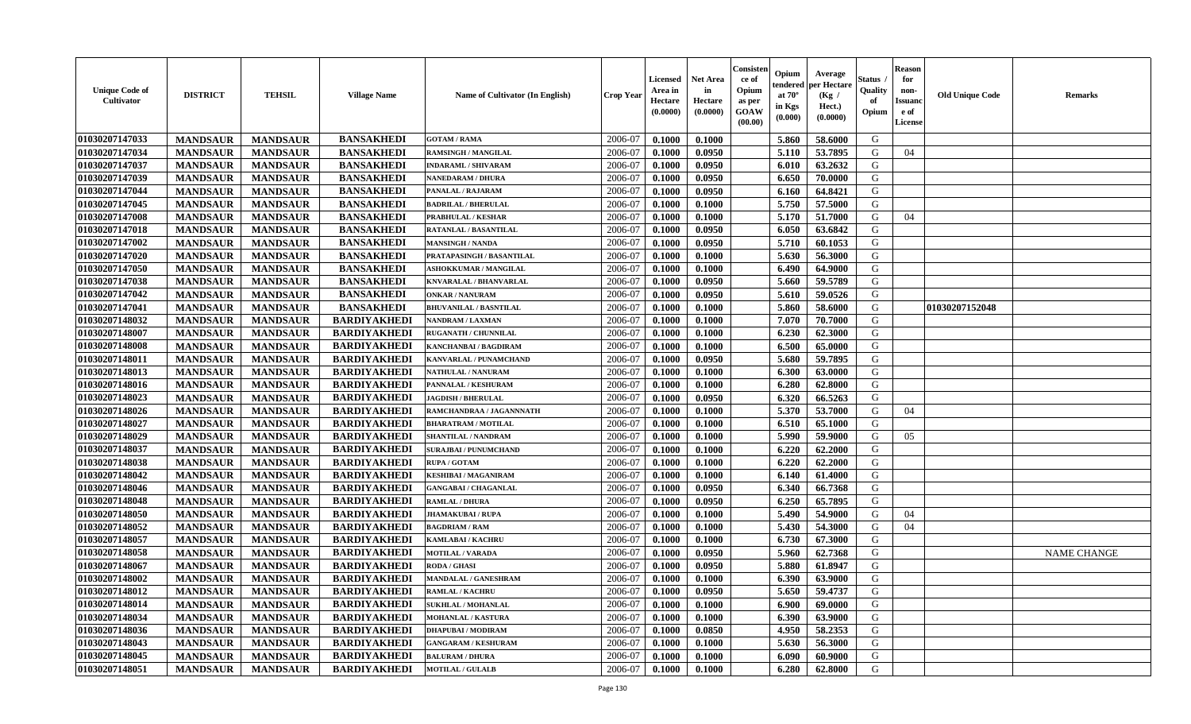| <b>Unique Code of</b><br>Cultivator | <b>DISTRICT</b> | <b>TEHSIL</b>   | <b>Village Name</b> | Name of Cultivator (In English) | <b>Crop Year</b> | <b>Licensed</b><br>Area in<br>Hectare<br>(0.0000) | <b>Net Area</b><br>in<br>Hectare<br>(0.0000) | Consister<br>ce of<br>Opium<br>as per<br><b>GOAW</b><br>(00.00) | Opium<br>endered<br>at $70^\circ$<br>in Kgs<br>(0.000) | Average<br>per Hectare<br>(Kg /<br>Hect.)<br>(0.0000) | <b>Status</b><br>Quality<br>of<br>Opium | <b>Reason</b><br>for<br>non-<br><b>Issuand</b><br>e of<br>License | <b>Old Unique Code</b> | <b>Remarks</b>     |
|-------------------------------------|-----------------|-----------------|---------------------|---------------------------------|------------------|---------------------------------------------------|----------------------------------------------|-----------------------------------------------------------------|--------------------------------------------------------|-------------------------------------------------------|-----------------------------------------|-------------------------------------------------------------------|------------------------|--------------------|
| 01030207147033                      | <b>MANDSAUR</b> | <b>MANDSAUR</b> | <b>BANSAKHEDI</b>   | <b>GOTAM / RAMA</b>             | 2006-07          | 0.1000                                            | 0.1000                                       |                                                                 | 5.860                                                  | 58.6000                                               | G                                       |                                                                   |                        |                    |
| 01030207147034                      | <b>MANDSAUR</b> | <b>MANDSAUR</b> | <b>BANSAKHEDI</b>   | RAMSINGH / MANGILAL             | 2006-07          | 0.1000                                            | 0.0950                                       |                                                                 | 5.110                                                  | 53.7895                                               | G                                       | 04                                                                |                        |                    |
| 01030207147037                      | <b>MANDSAUR</b> | <b>MANDSAUR</b> | <b>BANSAKHEDI</b>   | <b>INDARAML / SHIVARAM</b>      | 2006-07          | 0.1000                                            | 0.0950                                       |                                                                 | 6.010                                                  | 63.2632                                               | G                                       |                                                                   |                        |                    |
| 01030207147039                      | <b>MANDSAUR</b> | <b>MANDSAUR</b> | <b>BANSAKHEDI</b>   | <b>NANEDARAM / DHURA</b>        | 2006-07          | 0.1000                                            | 0.0950                                       |                                                                 | 6.650                                                  | 70.0000                                               | G                                       |                                                                   |                        |                    |
| 01030207147044                      | <b>MANDSAUR</b> | <b>MANDSAUR</b> | <b>BANSAKHEDI</b>   | PANALAL / RAJARAM               | 2006-07          | 0.1000                                            | 0.0950                                       |                                                                 | 6.160                                                  | 64.8421                                               | G                                       |                                                                   |                        |                    |
| 01030207147045                      | <b>MANDSAUR</b> | <b>MANDSAUR</b> | <b>BANSAKHEDI</b>   | <b>BADRILAL / BHERULAL</b>      | 2006-07          | 0.1000                                            | 0.1000                                       |                                                                 | 5.750                                                  | 57.5000                                               | G                                       |                                                                   |                        |                    |
| 01030207147008                      | <b>MANDSAUR</b> | <b>MANDSAUR</b> | <b>BANSAKHEDI</b>   | PRABHULAL / KESHAR              | 2006-07          | 0.1000                                            | 0.1000                                       |                                                                 | 5.170                                                  | 51.7000                                               | G                                       | 04                                                                |                        |                    |
| 01030207147018                      | <b>MANDSAUR</b> | <b>MANDSAUR</b> | <b>BANSAKHEDI</b>   | RATANLAL / BASANTILAL           | 2006-07          | 0.1000                                            | 0.0950                                       |                                                                 | 6.050                                                  | 63.6842                                               | G                                       |                                                                   |                        |                    |
| 01030207147002                      | <b>MANDSAUR</b> | <b>MANDSAUR</b> | <b>BANSAKHEDI</b>   | <b>MANSINGH / NANDA</b>         | 2006-07          | 0.1000                                            | 0.0950                                       |                                                                 | 5.710                                                  | 60.1053                                               | G                                       |                                                                   |                        |                    |
| 01030207147020                      | <b>MANDSAUR</b> | <b>MANDSAUR</b> | <b>BANSAKHEDI</b>   | PRATAPASINGH / BASANTILAL       | 2006-07          | 0.1000                                            | 0.1000                                       |                                                                 | 5.630                                                  | 56.3000                                               | G                                       |                                                                   |                        |                    |
| 01030207147050                      | <b>MANDSAUR</b> | <b>MANDSAUR</b> | <b>BANSAKHEDI</b>   | <b>ASHOKKUMAR / MANGILAL</b>    | 2006-07          | 0.1000                                            | 0.1000                                       |                                                                 | 6.490                                                  | 64.9000                                               | G                                       |                                                                   |                        |                    |
| 01030207147038                      | <b>MANDSAUR</b> | <b>MANDSAUR</b> | <b>BANSAKHEDI</b>   | <b>KNVARALAL / BHANVARLAL</b>   | 2006-07          | 0.1000                                            | 0.0950                                       |                                                                 | 5.660                                                  | 59.5789                                               | G                                       |                                                                   |                        |                    |
| 01030207147042                      | <b>MANDSAUR</b> | <b>MANDSAUR</b> | <b>BANSAKHEDI</b>   | <b>ONKAR / NANURAM</b>          | 2006-07          | 0.1000                                            | 0.0950                                       |                                                                 | 5.610                                                  | 59.0526                                               | G                                       |                                                                   |                        |                    |
| 01030207147041                      | <b>MANDSAUR</b> | <b>MANDSAUR</b> | <b>BANSAKHEDI</b>   | <b>BHUVANILAL / BASNTILAL</b>   | 2006-07          | 0.1000                                            | 0.1000                                       |                                                                 | 5.860                                                  | 58.6000                                               | G                                       |                                                                   | 01030207152048         |                    |
| 01030207148032                      | <b>MANDSAUR</b> | <b>MANDSAUR</b> | <b>BARDIYAKHEDI</b> | <b>NANDRAM / LAXMAN</b>         | 2006-07          | 0.1000                                            | 0.1000                                       |                                                                 | 7.070                                                  | 70.7000                                               | G                                       |                                                                   |                        |                    |
| 01030207148007                      | <b>MANDSAUR</b> | <b>MANDSAUR</b> | <b>BARDIYAKHEDI</b> | RUGANATH / CHUNNILAL            | 2006-07          | 0.1000                                            | 0.1000                                       |                                                                 | 6.230                                                  | 62.3000                                               | G                                       |                                                                   |                        |                    |
| 01030207148008                      | <b>MANDSAUR</b> | <b>MANDSAUR</b> | <b>BARDIYAKHEDI</b> | KANCHANBAI / BAGDIRAM           | 2006-07          | 0.1000                                            | 0.1000                                       |                                                                 | 6.500                                                  | 65.0000                                               | G                                       |                                                                   |                        |                    |
| 01030207148011                      | <b>MANDSAUR</b> | <b>MANDSAUR</b> | <b>BARDIYAKHEDI</b> | KANVARLAL / PUNAMCHAND          | 2006-07          | 0.1000                                            | 0.0950                                       |                                                                 | 5.680                                                  | 59.7895                                               | G                                       |                                                                   |                        |                    |
| 01030207148013                      | <b>MANDSAUR</b> | <b>MANDSAUR</b> | <b>BARDIYAKHEDI</b> | <b>NATHULAL / NANURAM</b>       | 2006-07          | 0.1000                                            | 0.1000                                       |                                                                 | 6.300                                                  | 63.0000                                               | G                                       |                                                                   |                        |                    |
| 01030207148016                      | <b>MANDSAUR</b> | <b>MANDSAUR</b> | <b>BARDIYAKHEDI</b> | PANNALAL / KESHURAM             | 2006-07          | 0.1000                                            | 0.1000                                       |                                                                 | 6.280                                                  | 62.8000                                               | G                                       |                                                                   |                        |                    |
| 01030207148023                      | <b>MANDSAUR</b> | <b>MANDSAUR</b> | <b>BARDIYAKHEDI</b> | <b>JAGDISH / BHERULAL</b>       | 2006-07          | 0.1000                                            | 0.0950                                       |                                                                 | 6.320                                                  | 66.5263                                               | G                                       |                                                                   |                        |                    |
| 01030207148026                      | <b>MANDSAUR</b> | <b>MANDSAUR</b> | <b>BARDIYAKHEDI</b> | RAMCHANDRAA / JAGANNNATH        | 2006-07          | 0.1000                                            | 0.1000                                       |                                                                 | 5.370                                                  | 53.7000                                               | G                                       | 04                                                                |                        |                    |
| 01030207148027                      | <b>MANDSAUR</b> | <b>MANDSAUR</b> | <b>BARDIYAKHEDI</b> | <b>BHARATRAM / MOTILAL</b>      | 2006-07          | 0.1000                                            | 0.1000                                       |                                                                 | 6.510                                                  | 65.1000                                               | G                                       |                                                                   |                        |                    |
| 01030207148029                      | <b>MANDSAUR</b> | <b>MANDSAUR</b> | <b>BARDIYAKHEDI</b> | SHANTILAL / NANDRAM             | 2006-07          | 0.1000                                            | 0.1000                                       |                                                                 | 5.990                                                  | 59.9000                                               | G                                       | 05                                                                |                        |                    |
| 01030207148037                      | <b>MANDSAUR</b> | <b>MANDSAUR</b> | <b>BARDIYAKHEDI</b> | <b>SURAJBAI / PUNUMCHAND</b>    | 2006-07          | 0.1000                                            | 0.1000                                       |                                                                 | 6.220                                                  | 62.2000                                               | G                                       |                                                                   |                        |                    |
| 01030207148038                      | <b>MANDSAUR</b> | <b>MANDSAUR</b> | <b>BARDIYAKHEDI</b> | RUPA / GOTAM                    | 2006-07          | 0.1000                                            | 0.1000                                       |                                                                 | 6.220                                                  | 62.2000                                               | G                                       |                                                                   |                        |                    |
| 01030207148042                      | <b>MANDSAUR</b> | <b>MANDSAUR</b> | <b>BARDIYAKHEDI</b> | KESHIBAI / MAGANIRAM            | 2006-07          | 0.1000                                            | 0.1000                                       |                                                                 | 6.140                                                  | 61.4000                                               | G                                       |                                                                   |                        |                    |
| 01030207148046                      | <b>MANDSAUR</b> | <b>MANDSAUR</b> | <b>BARDIYAKHEDI</b> | <b>GANGABAI / CHAGANLAL</b>     | 2006-07          | 0.1000                                            | 0.0950                                       |                                                                 | 6.340                                                  | 66.7368                                               | G                                       |                                                                   |                        |                    |
| 01030207148048                      | <b>MANDSAUR</b> | <b>MANDSAUR</b> | <b>BARDIYAKHEDI</b> | <b>RAMLAL / DHURA</b>           | 2006-07          | 0.1000                                            | 0.0950                                       |                                                                 | 6.250                                                  | 65.7895                                               | G                                       |                                                                   |                        |                    |
| 01030207148050                      | <b>MANDSAUR</b> | <b>MANDSAUR</b> | <b>BARDIYAKHEDI</b> | <b>JHAMAKUBAI / RUPA</b>        | 2006-07          | 0.1000                                            | 0.1000                                       |                                                                 | 5.490                                                  | 54.9000                                               | G                                       | 04                                                                |                        |                    |
| 01030207148052                      | <b>MANDSAUR</b> | <b>MANDSAUR</b> | <b>BARDIYAKHEDI</b> | <b>BAGDRIAM / RAM</b>           | 2006-07          | 0.1000                                            | 0.1000                                       |                                                                 | 5.430                                                  | 54.3000                                               | G                                       | 04                                                                |                        |                    |
| 01030207148057                      | <b>MANDSAUR</b> | <b>MANDSAUR</b> | <b>BARDIYAKHEDI</b> | KAMLABAI / KACHRU               | 2006-07          | 0.1000                                            | 0.1000                                       |                                                                 | 6.730                                                  | 67.3000                                               | G                                       |                                                                   |                        |                    |
| 01030207148058                      | <b>MANDSAUR</b> | <b>MANDSAUR</b> | <b>BARDIYAKHEDI</b> | <b>MOTILAL / VARADA</b>         | 2006-07          | 0.1000                                            | 0.0950                                       |                                                                 | 5.960                                                  | 62.7368                                               | G                                       |                                                                   |                        | <b>NAME CHANGE</b> |
| 01030207148067                      | <b>MANDSAUR</b> | <b>MANDSAUR</b> | <b>BARDIYAKHEDI</b> | RODA / GHASI                    | 2006-07          | 0.1000                                            | 0.0950                                       |                                                                 | 5.880                                                  | 61.8947                                               | G                                       |                                                                   |                        |                    |
| 01030207148002                      | <b>MANDSAUR</b> | <b>MANDSAUR</b> | <b>BARDIYAKHEDI</b> | MANDALAL / GANESHRAM            | 2006-07          | 0.1000                                            | 0.1000                                       |                                                                 | 6.390                                                  | 63.9000                                               | G                                       |                                                                   |                        |                    |
| 01030207148012                      | <b>MANDSAUR</b> | MANDSAUR        | <b>BARDIYAKHEDI</b> | <b>RAMLAL / KACHRU</b>          | 2006-07          | 0.1000                                            | 0.0950                                       |                                                                 |                                                        | 5.650   59.4737                                       | G                                       |                                                                   |                        |                    |
| 01030207148014                      | <b>MANDSAUR</b> | <b>MANDSAUR</b> | <b>BARDIYAKHEDI</b> | <b>SUKHLAL / MOHANLAL</b>       | 2006-07          | 0.1000                                            | 0.1000                                       |                                                                 | 6.900                                                  | 69.0000                                               | G                                       |                                                                   |                        |                    |
| 01030207148034                      | <b>MANDSAUR</b> | <b>MANDSAUR</b> | <b>BARDIYAKHEDI</b> | <b>MOHANLAL / KASTURA</b>       | 2006-07          | 0.1000                                            | 0.1000                                       |                                                                 | 6.390                                                  | 63.9000                                               | G                                       |                                                                   |                        |                    |
| 01030207148036                      | <b>MANDSAUR</b> | <b>MANDSAUR</b> | <b>BARDIYAKHEDI</b> | <b>DHAPUBAI/MODIRAM</b>         | 2006-07          | 0.1000                                            | 0.0850                                       |                                                                 | 4.950                                                  | 58.2353                                               | G                                       |                                                                   |                        |                    |
| 01030207148043                      | <b>MANDSAUR</b> | <b>MANDSAUR</b> | <b>BARDIYAKHEDI</b> | <b>GANGARAM / KESHURAM</b>      | 2006-07          | 0.1000                                            | 0.1000                                       |                                                                 | 5.630                                                  | 56.3000                                               | G                                       |                                                                   |                        |                    |
| 01030207148045                      | <b>MANDSAUR</b> | <b>MANDSAUR</b> | <b>BARDIYAKHEDI</b> | <b>BALURAM / DHURA</b>          | 2006-07          | 0.1000                                            | 0.1000                                       |                                                                 | 6.090                                                  | 60.9000                                               | G                                       |                                                                   |                        |                    |
| 01030207148051                      | <b>MANDSAUR</b> | <b>MANDSAUR</b> | <b>BARDIYAKHEDI</b> | <b>MOTILAL / GULALB</b>         | 2006-07          | 0.1000                                            | 0.1000                                       |                                                                 | 6.280                                                  | 62.8000                                               | G                                       |                                                                   |                        |                    |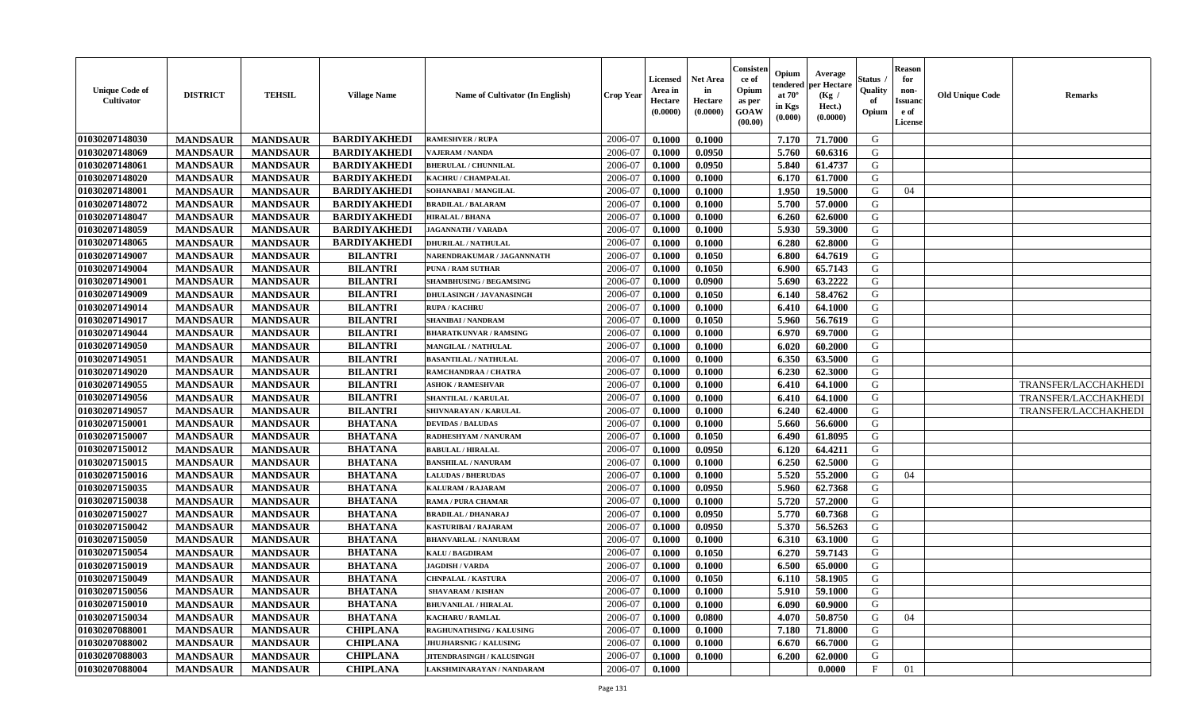| <b>Unique Code of</b><br>Cultivator | <b>DISTRICT</b> | <b>TEHSIL</b>   | <b>Village Name</b> | Name of Cultivator (In English) | <b>Crop Year</b> | <b>Licensed</b><br>Area in<br>Hectare<br>(0.0000) | <b>Net Area</b><br>in<br>Hectare<br>(0.0000) | Consister<br>ce of<br>Opium<br>as per<br><b>GOAW</b><br>(00.00) | Opium<br>endered<br>at $70^\circ$<br>in Kgs<br>$(\mathbf{0.000})$ | Average<br>per Hectare<br>(Kg /<br>Hect.)<br>(0.0000) | <b>Status</b><br>Quality<br>of<br>Opium | <b>Reason</b><br>for<br>non-<br><b>Issuand</b><br>e of<br>License | <b>Old Unique Code</b> | <b>Remarks</b>       |
|-------------------------------------|-----------------|-----------------|---------------------|---------------------------------|------------------|---------------------------------------------------|----------------------------------------------|-----------------------------------------------------------------|-------------------------------------------------------------------|-------------------------------------------------------|-----------------------------------------|-------------------------------------------------------------------|------------------------|----------------------|
| 01030207148030                      | <b>MANDSAUR</b> | <b>MANDSAUR</b> | <b>BARDIYAKHEDI</b> | <b>RAMESHVER / RUPA</b>         | 2006-07          | 0.1000                                            | 0.1000                                       |                                                                 | 7.170                                                             | 71.7000                                               | G                                       |                                                                   |                        |                      |
| 01030207148069                      | <b>MANDSAUR</b> | <b>MANDSAUR</b> | <b>BARDIYAKHEDI</b> | VAJERAM / NANDA                 | 2006-07          | 0.1000                                            | 0.0950                                       |                                                                 | 5.760                                                             | 60.6316                                               | G                                       |                                                                   |                        |                      |
| 01030207148061                      | <b>MANDSAUR</b> | <b>MANDSAUR</b> | <b>BARDIYAKHEDI</b> | <b>BHERULAL / CHUNNILAL</b>     | 2006-07          | 0.1000                                            | 0.0950                                       |                                                                 | 5.840                                                             | 61.4737                                               | G                                       |                                                                   |                        |                      |
| 01030207148020                      | <b>MANDSAUR</b> | <b>MANDSAUR</b> | <b>BARDIYAKHEDI</b> | KACHRU / CHAMPALAL              | 2006-07          | 0.1000                                            | 0.1000                                       |                                                                 | 6.170                                                             | 61.7000                                               | G                                       |                                                                   |                        |                      |
| 01030207148001                      | <b>MANDSAUR</b> | <b>MANDSAUR</b> | <b>BARDIYAKHEDI</b> | SOHANABAI / MANGILAL            | 2006-07          | 0.1000                                            | 0.1000                                       |                                                                 | 1.950                                                             | 19.5000                                               | G                                       | 04                                                                |                        |                      |
| 01030207148072                      | <b>MANDSAUR</b> | <b>MANDSAUR</b> | <b>BARDIYAKHEDI</b> | <b>BRADILAL / BALARAM</b>       | 2006-07          | 0.1000                                            | 0.1000                                       |                                                                 | 5.700                                                             | 57.0000                                               | G                                       |                                                                   |                        |                      |
| 01030207148047                      | <b>MANDSAUR</b> | <b>MANDSAUR</b> | <b>BARDIYAKHEDI</b> | <b>HIRALAL / BHANA</b>          | 2006-07          | 0.1000                                            | 0.1000                                       |                                                                 | 6.260                                                             | 62.6000                                               | G                                       |                                                                   |                        |                      |
| 01030207148059                      | <b>MANDSAUR</b> | <b>MANDSAUR</b> | <b>BARDIYAKHEDI</b> | <b>JAGANNATH / VARADA</b>       | 2006-07          | 0.1000                                            | 0.1000                                       |                                                                 | 5.930                                                             | 59.3000                                               | G                                       |                                                                   |                        |                      |
| 01030207148065                      | <b>MANDSAUR</b> | <b>MANDSAUR</b> | <b>BARDIYAKHEDI</b> | <b>DHURILAL / NATHULAL</b>      | 2006-07          | 0.1000                                            | 0.1000                                       |                                                                 | 6.280                                                             | 62.8000                                               | G                                       |                                                                   |                        |                      |
| 01030207149007                      | <b>MANDSAUR</b> | <b>MANDSAUR</b> | <b>BILANTRI</b>     | NARENDRAKUMAR / JAGANNNATH      | 2006-07          | 0.1000                                            | 0.1050                                       |                                                                 | 6.800                                                             | 64.7619                                               | G                                       |                                                                   |                        |                      |
| 01030207149004                      | <b>MANDSAUR</b> | <b>MANDSAUR</b> | <b>BILANTRI</b>     | PUNA / RAM SUTHAR               | 2006-07          | 0.1000                                            | 0.1050                                       |                                                                 | 6.900                                                             | 65.7143                                               | G                                       |                                                                   |                        |                      |
| 01030207149001                      | <b>MANDSAUR</b> | <b>MANDSAUR</b> | <b>BILANTRI</b>     | <b>SHAMBHUSING / BEGAMSING</b>  | 2006-07          | 0.1000                                            | 0.0900                                       |                                                                 | 5.690                                                             | 63.2222                                               | G                                       |                                                                   |                        |                      |
| 01030207149009                      | <b>MANDSAUR</b> | <b>MANDSAUR</b> | <b>BILANTRI</b>     | DHULASINGH / JAVANASINGH        | 2006-07          | 0.1000                                            | 0.1050                                       |                                                                 | 6.140                                                             | 58.4762                                               | G                                       |                                                                   |                        |                      |
| 01030207149014                      | <b>MANDSAUR</b> | <b>MANDSAUR</b> | <b>BILANTRI</b>     | <b>RUPA / KACHRU</b>            | 2006-07          | 0.1000                                            | 0.1000                                       |                                                                 | 6.410                                                             | 64.1000                                               | G                                       |                                                                   |                        |                      |
| 01030207149017                      | <b>MANDSAUR</b> | <b>MANDSAUR</b> | <b>BILANTRI</b>     | <b>SHANIBAI / NANDRAM</b>       | 2006-07          | 0.1000                                            | 0.1050                                       |                                                                 | 5.960                                                             | 56.7619                                               | G                                       |                                                                   |                        |                      |
| 01030207149044                      | <b>MANDSAUR</b> | <b>MANDSAUR</b> | <b>BILANTRI</b>     | <b>BHARATKUNVAR / RAMSING</b>   | 2006-07          | 0.1000                                            | 0.1000                                       |                                                                 | 6.970                                                             | 69.7000                                               | G                                       |                                                                   |                        |                      |
| 01030207149050                      | <b>MANDSAUR</b> | <b>MANDSAUR</b> | <b>BILANTRI</b>     | MANGILAL / NATHULAL             | 2006-07          | 0.1000                                            | 0.1000                                       |                                                                 | 6.020                                                             | 60.2000                                               | G                                       |                                                                   |                        |                      |
| 01030207149051                      | <b>MANDSAUR</b> | <b>MANDSAUR</b> | <b>BILANTRI</b>     | <b>BASANTILAL / NATHULAL</b>    | 2006-07          | 0.1000                                            | 0.1000                                       |                                                                 | 6.350                                                             | 63.5000                                               | G                                       |                                                                   |                        |                      |
| 01030207149020                      | <b>MANDSAUR</b> | <b>MANDSAUR</b> | <b>BILANTRI</b>     | RAMCHANDRAA / CHATRA            | 2006-07          | 0.1000                                            | 0.1000                                       |                                                                 | 6.230                                                             | 62.3000                                               | G                                       |                                                                   |                        |                      |
| 01030207149055                      | <b>MANDSAUR</b> | <b>MANDSAUR</b> | <b>BILANTRI</b>     | <b>ASHOK / RAMESHVAR</b>        | 2006-07          | 0.1000                                            | 0.1000                                       |                                                                 | 6.410                                                             | 64.1000                                               | G                                       |                                                                   |                        | TRANSFER/LACCHAKHEDI |
| 01030207149056                      | <b>MANDSAUR</b> | <b>MANDSAUR</b> | <b>BILANTRI</b>     | SHANTILAL / KARULAL             | 2006-07          | 0.1000                                            | 0.1000                                       |                                                                 | 6.410                                                             | 64.1000                                               | G                                       |                                                                   |                        | TRANSFER/LACCHAKHEDI |
| 01030207149057                      | <b>MANDSAUR</b> | <b>MANDSAUR</b> | <b>BILANTRI</b>     | SHIVNARAYAN / KARULAL           | 2006-07          | 0.1000                                            | 0.1000                                       |                                                                 | 6.240                                                             | 62.4000                                               | G                                       |                                                                   |                        | TRANSFER/LACCHAKHEDI |
| 01030207150001                      | <b>MANDSAUR</b> | <b>MANDSAUR</b> | <b>BHATANA</b>      | <b>DEVIDAS / BALUDAS</b>        | 2006-07          | 0.1000                                            | 0.1000                                       |                                                                 | 5.660                                                             | 56.6000                                               | G                                       |                                                                   |                        |                      |
| 01030207150007                      | <b>MANDSAUR</b> | <b>MANDSAUR</b> | <b>BHATANA</b>      | RADHESHYAM / NANURAM            | 2006-07          | 0.1000                                            | 0.1050                                       |                                                                 | 6.490                                                             | 61.8095                                               | G                                       |                                                                   |                        |                      |
| 01030207150012                      | <b>MANDSAUR</b> | <b>MANDSAUR</b> | <b>BHATANA</b>      | <b>BABULAL / HIRALAL</b>        | 2006-07          | 0.1000                                            | 0.0950                                       |                                                                 | 6.120                                                             | 64.4211                                               | G                                       |                                                                   |                        |                      |
| 01030207150015                      | <b>MANDSAUR</b> | <b>MANDSAUR</b> | <b>BHATANA</b>      | <b>BANSHILAL / NANURAM</b>      | 2006-07          | 0.1000                                            | 0.1000                                       |                                                                 | 6.250                                                             | 62.5000                                               | G                                       |                                                                   |                        |                      |
| 01030207150016                      | <b>MANDSAUR</b> | <b>MANDSAUR</b> | <b>BHATANA</b>      | <b>LALUDAS / BHERUDAS</b>       | 2006-07          | 0.1000                                            | 0.1000                                       |                                                                 | 5.520                                                             | 55.2000                                               | G                                       | 04                                                                |                        |                      |
| 01030207150035                      | <b>MANDSAUR</b> | <b>MANDSAUR</b> | <b>BHATANA</b>      | KALURAM / RAJARAM               | 2006-07          | 0.1000                                            | 0.0950                                       |                                                                 | 5.960                                                             | 62.7368                                               | G                                       |                                                                   |                        |                      |
| 01030207150038                      | <b>MANDSAUR</b> | <b>MANDSAUR</b> | <b>BHATANA</b>      | <b>RAMA / PURA CHAMAR</b>       | 2006-07          | 0.1000                                            | 0.1000                                       |                                                                 | 5.720                                                             | 57.2000                                               | G                                       |                                                                   |                        |                      |
| 01030207150027                      | <b>MANDSAUR</b> | <b>MANDSAUR</b> | <b>BHATANA</b>      | <b>BRADILAL / DHANARAJ</b>      | 2006-07          | 0.1000                                            | 0.0950                                       |                                                                 | 5.770                                                             | 60.7368                                               | G                                       |                                                                   |                        |                      |
| 01030207150042                      | <b>MANDSAUR</b> | <b>MANDSAUR</b> | <b>BHATANA</b>      | <b>KASTURIBAI/RAJARAM</b>       | 2006-07          | 0.1000                                            | 0.0950                                       |                                                                 | 5.370                                                             | 56.5263                                               | G                                       |                                                                   |                        |                      |
| 01030207150050                      | <b>MANDSAUR</b> | <b>MANDSAUR</b> | <b>BHATANA</b>      | <b>BHANVARLAL / NANURAM</b>     | 2006-07          | 0.1000                                            | 0.1000                                       |                                                                 | 6.310                                                             | 63.1000                                               | G                                       |                                                                   |                        |                      |
| 01030207150054                      | <b>MANDSAUR</b> | <b>MANDSAUR</b> | <b>BHATANA</b>      | <b>KALU / BAGDIRAM</b>          | 2006-07          | 0.1000                                            | 0.1050                                       |                                                                 | 6.270                                                             | 59.7143                                               | G                                       |                                                                   |                        |                      |
| 01030207150019                      | <b>MANDSAUR</b> | <b>MANDSAUR</b> | <b>BHATANA</b>      | <b>JAGDISH / VARDA</b>          | 2006-07          | 0.1000                                            | 0.1000                                       |                                                                 | 6.500                                                             | 65.0000                                               | G                                       |                                                                   |                        |                      |
| 01030207150049                      | <b>MANDSAUR</b> | <b>MANDSAUR</b> | <b>BHATANA</b>      | <b>CHNPALAL / KASTURA</b>       | 2006-07          | 0.1000                                            | 0.1050                                       |                                                                 | 6.110                                                             | 58.1905                                               | G                                       |                                                                   |                        |                      |
| 01030207150056                      | <b>MANDSAUR</b> | MANDSAUR        | <b>BHATANA</b>      | <b>SHAVARAM / KISHAN</b>        | 2006-07          | 0.1000                                            | 0.1000                                       |                                                                 | 5.910                                                             | 59.1000                                               | G                                       |                                                                   |                        |                      |
| 01030207150010                      | <b>MANDSAUR</b> | <b>MANDSAUR</b> | <b>BHATANA</b>      | <b>BHUVANILAL / HIRALAL</b>     | 2006-07          | 0.1000                                            | 0.1000                                       |                                                                 | 6.090                                                             | 60.9000                                               | G                                       |                                                                   |                        |                      |
| 01030207150034                      | <b>MANDSAUR</b> | <b>MANDSAUR</b> | <b>BHATANA</b>      | <b>KACHARU / RAMLAL</b>         | 2006-07          | 0.1000                                            | 0.0800                                       |                                                                 | 4.070                                                             | 50.8750                                               | G                                       | 04                                                                |                        |                      |
| 01030207088001                      | <b>MANDSAUR</b> | <b>MANDSAUR</b> | <b>CHIPLANA</b>     | <b>RAGHUNATHSING / KALUSING</b> | 2006-07          | 0.1000                                            | 0.1000                                       |                                                                 | 7.180                                                             | 71.8000                                               | G                                       |                                                                   |                        |                      |
| 01030207088002                      | <b>MANDSAUR</b> | <b>MANDSAUR</b> | <b>CHIPLANA</b>     | <b>JHUJHARSNIG / KALUSING</b>   | 2006-07          | 0.1000                                            | 0.1000                                       |                                                                 | 6.670                                                             | 66.7000                                               | G                                       |                                                                   |                        |                      |
| 01030207088003                      | <b>MANDSAUR</b> | <b>MANDSAUR</b> | <b>CHIPLANA</b>     | JITENDRASINGH / KALUSINGH       | 2006-07          | 0.1000                                            | 0.1000                                       |                                                                 | 6.200                                                             | 62.0000                                               | G                                       |                                                                   |                        |                      |
| 01030207088004                      | <b>MANDSAUR</b> | <b>MANDSAUR</b> | <b>CHIPLANA</b>     | LAKSHMINARAYAN / NANDARAM       | 2006-07          | 0.1000                                            |                                              |                                                                 |                                                                   | 0.0000                                                | $\mathbf{F}$                            | 01                                                                |                        |                      |
|                                     |                 |                 |                     |                                 |                  |                                                   |                                              |                                                                 |                                                                   |                                                       |                                         |                                                                   |                        |                      |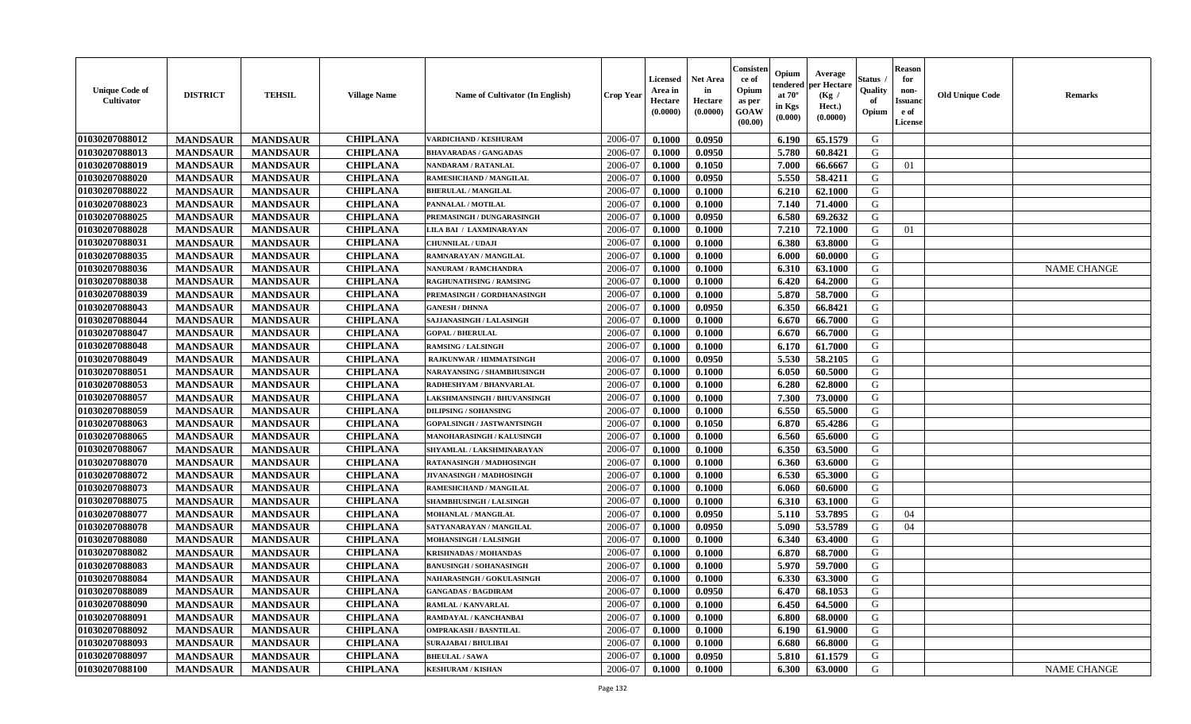| <b>Unique Code of</b><br>Cultivator | <b>DISTRICT</b> | <b>TEHSIL</b>   | <b>Village Name</b> | Name of Cultivator (In English)    | <b>Crop Year</b> | <b>Licensed</b><br>Area in<br>Hectare<br>(0.0000) | <b>Net Area</b><br>in<br>Hectare<br>(0.0000) | Consister<br>ce of<br>Opium<br>as per<br>GOAW<br>(00.00) | Opium<br>endered<br>at $70^\circ$<br>in Kgs<br>(0.000) | Average<br>per Hectare<br>(Kg /<br>Hect.)<br>(0.0000) | <b>Status</b><br>Quality<br>of<br>Opium | <b>Reason</b><br>for<br>non-<br><b>Issuand</b><br>e of<br>License | <b>Old Unique Code</b> | <b>Remarks</b>     |
|-------------------------------------|-----------------|-----------------|---------------------|------------------------------------|------------------|---------------------------------------------------|----------------------------------------------|----------------------------------------------------------|--------------------------------------------------------|-------------------------------------------------------|-----------------------------------------|-------------------------------------------------------------------|------------------------|--------------------|
| 01030207088012                      | <b>MANDSAUR</b> | <b>MANDSAUR</b> | <b>CHIPLANA</b>     | VARDICHAND / KESHURAM              | 2006-07          | 0.1000                                            | 0.0950                                       |                                                          | 6.190                                                  | 65.1579                                               | G                                       |                                                                   |                        |                    |
| 01030207088013                      | <b>MANDSAUR</b> | <b>MANDSAUR</b> | <b>CHIPLANA</b>     | <b>BHAVARADAS / GANGADAS</b>       | 2006-07          | 0.1000                                            | 0.0950                                       |                                                          | 5.780                                                  | 60.8421                                               | G                                       |                                                                   |                        |                    |
| 01030207088019                      | <b>MANDSAUR</b> | <b>MANDSAUR</b> | <b>CHIPLANA</b>     | NANDARAM / RATANLAL                | 2006-07          | 0.1000                                            | 0.1050                                       |                                                          | 7.000                                                  | 66.6667                                               | G                                       | 01                                                                |                        |                    |
| 01030207088020                      | <b>MANDSAUR</b> | <b>MANDSAUR</b> | <b>CHIPLANA</b>     | RAMESHCHAND / MANGILAL             | 2006-07          | 0.1000                                            | 0.0950                                       |                                                          | 5.550                                                  | 58.4211                                               | G                                       |                                                                   |                        |                    |
| 01030207088022                      | <b>MANDSAUR</b> | <b>MANDSAUR</b> | <b>CHIPLANA</b>     | <b>BHERULAL / MANGILAL</b>         | 2006-07          | 0.1000                                            | 0.1000                                       |                                                          | 6.210                                                  | 62.1000                                               | G                                       |                                                                   |                        |                    |
| 01030207088023                      | <b>MANDSAUR</b> | <b>MANDSAUR</b> | <b>CHIPLANA</b>     | PANNALAL / MOTILAL                 | 2006-07          | 0.1000                                            | 0.1000                                       |                                                          | 7.140                                                  | 71.4000                                               | G                                       |                                                                   |                        |                    |
| 01030207088025                      | <b>MANDSAUR</b> | <b>MANDSAUR</b> | <b>CHIPLANA</b>     | PREMASINGH / DUNGARASINGH          | 2006-07          | 0.1000                                            | 0.0950                                       |                                                          | 6.580                                                  | 69.2632                                               | G                                       |                                                                   |                        |                    |
| 01030207088028                      | <b>MANDSAUR</b> | <b>MANDSAUR</b> | <b>CHIPLANA</b>     | LILA BAI / LAXMINARAYAN            | 2006-07          | 0.1000                                            | 0.1000                                       |                                                          | 7.210                                                  | 72.1000                                               | G                                       | 01                                                                |                        |                    |
| 01030207088031                      | <b>MANDSAUR</b> | <b>MANDSAUR</b> | <b>CHIPLANA</b>     | <b>CHUNNILAL / UDAJI</b>           | 2006-07          | 0.1000                                            | 0.1000                                       |                                                          | 6.380                                                  | 63.8000                                               | G                                       |                                                                   |                        |                    |
| 01030207088035                      | <b>MANDSAUR</b> | <b>MANDSAUR</b> | <b>CHIPLANA</b>     | RAMNARAYAN / MANGILAL              | 2006-07          | 0.1000                                            | 0.1000                                       |                                                          | 6.000                                                  | 60.0000                                               | G                                       |                                                                   |                        |                    |
| 01030207088036                      | <b>MANDSAUR</b> | <b>MANDSAUR</b> | <b>CHIPLANA</b>     | <b>NANURAM / RAMCHANDRA</b>        | 2006-07          | 0.1000                                            | 0.1000                                       |                                                          | 6.310                                                  | 63.1000                                               | $\mathbf G$                             |                                                                   |                        | <b>NAME CHANGE</b> |
| 01030207088038                      | <b>MANDSAUR</b> | <b>MANDSAUR</b> | <b>CHIPLANA</b>     | <b>RAGHUNATHSING / RAMSING</b>     | 2006-07          | 0.1000                                            | 0.1000                                       |                                                          | 6.420                                                  | 64.2000                                               | G                                       |                                                                   |                        |                    |
| 01030207088039                      | <b>MANDSAUR</b> | <b>MANDSAUR</b> | <b>CHIPLANA</b>     | PREMASINGH / GORDHANASINGH         | 2006-07          | 0.1000                                            | 0.1000                                       |                                                          | 5.870                                                  | 58.7000                                               | G                                       |                                                                   |                        |                    |
| 01030207088043                      | <b>MANDSAUR</b> | <b>MANDSAUR</b> | <b>CHIPLANA</b>     | <b>GANESH / DHNNA</b>              | 2006-07          | 0.1000                                            | 0.0950                                       |                                                          | 6.350                                                  | 66.8421                                               | G                                       |                                                                   |                        |                    |
| 01030207088044                      | <b>MANDSAUR</b> | <b>MANDSAUR</b> | <b>CHIPLANA</b>     | SAJJANASINGH / LALASINGH           | 2006-07          | 0.1000                                            | 0.1000                                       |                                                          | 6.670                                                  | 66.7000                                               | G                                       |                                                                   |                        |                    |
| 01030207088047                      | <b>MANDSAUR</b> | <b>MANDSAUR</b> | <b>CHIPLANA</b>     | <b>GOPAL / BHERULAL</b>            | 2006-07          | 0.1000                                            | 0.1000                                       |                                                          | 6.670                                                  | 66.7000                                               | G                                       |                                                                   |                        |                    |
| 01030207088048                      | <b>MANDSAUR</b> | <b>MANDSAUR</b> | <b>CHIPLANA</b>     | <b>RAMSING / LALSINGH</b>          | 2006-07          | 0.1000                                            | 0.1000                                       |                                                          | 6.170                                                  | 61.7000                                               | G                                       |                                                                   |                        |                    |
| 01030207088049                      | <b>MANDSAUR</b> | <b>MANDSAUR</b> | <b>CHIPLANA</b>     | <b>RAJKUNWAR / HIMMATSINGH</b>     | 2006-07          | 0.1000                                            | 0.0950                                       |                                                          | 5.530                                                  | 58.2105                                               | G                                       |                                                                   |                        |                    |
| 01030207088051                      | <b>MANDSAUR</b> | <b>MANDSAUR</b> | <b>CHIPLANA</b>     | NARAYANSING / SHAMBHUSINGH         | 2006-07          | 0.1000                                            | 0.1000                                       |                                                          | 6.050                                                  | 60.5000                                               | G                                       |                                                                   |                        |                    |
| 01030207088053                      | <b>MANDSAUR</b> | <b>MANDSAUR</b> | <b>CHIPLANA</b>     | RADHESHYAM / BHANVARLAL            | 2006-07          | 0.1000                                            | 0.1000                                       |                                                          | 6.280                                                  | 62.8000                                               | G                                       |                                                                   |                        |                    |
| 01030207088057                      | <b>MANDSAUR</b> | <b>MANDSAUR</b> | <b>CHIPLANA</b>     | <b>LAKSHMANSINGH / BHUVANSINGH</b> | 2006-07          | 0.1000                                            | 0.1000                                       |                                                          | 7.300                                                  | 73.0000                                               | G                                       |                                                                   |                        |                    |
| 01030207088059                      | <b>MANDSAUR</b> | <b>MANDSAUR</b> | <b>CHIPLANA</b>     | <b>DILIPSING / SOHANSING</b>       | 2006-07          | 0.1000                                            | 0.1000                                       |                                                          | 6.550                                                  | 65.5000                                               | G                                       |                                                                   |                        |                    |
| 01030207088063                      | <b>MANDSAUR</b> | <b>MANDSAUR</b> | <b>CHIPLANA</b>     | <b>GOPALSINGH / JASTWANTSINGH</b>  | 2006-07          | 0.1000                                            | 0.1050                                       |                                                          | 6.870                                                  | 65.4286                                               | ${\bf G}$                               |                                                                   |                        |                    |
| 01030207088065                      | <b>MANDSAUR</b> | <b>MANDSAUR</b> | <b>CHIPLANA</b>     | MANOHARASINGH / KALUSINGH          | 2006-07          | 0.1000                                            | 0.1000                                       |                                                          | 6.560                                                  | 65.6000                                               | G                                       |                                                                   |                        |                    |
| 01030207088067                      | <b>MANDSAUR</b> | <b>MANDSAUR</b> | <b>CHIPLANA</b>     | SHYAMLAL / LAKSHMINARAYAN          | 2006-07          | 0.1000                                            | 0.1000                                       |                                                          | 6.350                                                  | 63.5000                                               | G                                       |                                                                   |                        |                    |
| 01030207088070                      | <b>MANDSAUR</b> | <b>MANDSAUR</b> | <b>CHIPLANA</b>     | RATANASINGH / MADHOSINGH           | 2006-07          | 0.1000                                            | 0.1000                                       |                                                          | 6.360                                                  | 63.6000                                               | G                                       |                                                                   |                        |                    |
| 01030207088072                      | <b>MANDSAUR</b> | <b>MANDSAUR</b> | <b>CHIPLANA</b>     | JIVANASINGH / MADHOSINGH           | 2006-07          | 0.1000                                            | 0.1000                                       |                                                          | 6.530                                                  | 65.3000                                               | G                                       |                                                                   |                        |                    |
| 01030207088073                      | <b>MANDSAUR</b> | <b>MANDSAUR</b> | <b>CHIPLANA</b>     | RAMESHCHAND / MANGILAL             | 2006-07          | 0.1000                                            | 0.1000                                       |                                                          | 6.060                                                  | 60.6000                                               | G                                       |                                                                   |                        |                    |
| 01030207088075                      | <b>MANDSAUR</b> | <b>MANDSAUR</b> | <b>CHIPLANA</b>     | <b>SHAMBHUSINGH / LALSINGH</b>     | 2006-07          | 0.1000                                            | 0.1000                                       |                                                          | 6.310                                                  | 63.1000                                               | G                                       |                                                                   |                        |                    |
| 01030207088077                      | <b>MANDSAUR</b> | <b>MANDSAUR</b> | <b>CHIPLANA</b>     | MOHANLAL / MANGILAL                | 2006-07          | 0.1000                                            | 0.0950                                       |                                                          | 5.110                                                  | 53.7895                                               | G                                       | 04                                                                |                        |                    |
| 01030207088078                      | <b>MANDSAUR</b> | <b>MANDSAUR</b> | <b>CHIPLANA</b>     | SATYANARAYAN / MANGILAL            | 2006-07          | 0.1000                                            | 0.0950                                       |                                                          | 5.090                                                  | 53.5789                                               | G                                       | 04                                                                |                        |                    |
| 01030207088080                      | <b>MANDSAUR</b> | <b>MANDSAUR</b> | <b>CHIPLANA</b>     | MOHANSINGH / LALSINGH              | 2006-07          | 0.1000                                            | 0.1000                                       |                                                          | 6.340                                                  | 63.4000                                               | G                                       |                                                                   |                        |                    |
| 01030207088082                      | <b>MANDSAUR</b> | <b>MANDSAUR</b> | <b>CHIPLANA</b>     | <b>KRISHNADAS / MOHANDAS</b>       | 2006-07          | 0.1000                                            | 0.1000                                       |                                                          | 6.870                                                  | 68.7000                                               | G                                       |                                                                   |                        |                    |
| 01030207088083                      | <b>MANDSAUR</b> | <b>MANDSAUR</b> | <b>CHIPLANA</b>     | <b>BANUSINGH / SOHANASINGH</b>     | 2006-07          | 0.1000                                            | 0.1000                                       |                                                          | 5.970                                                  | 59.7000                                               | G                                       |                                                                   |                        |                    |
| 01030207088084                      | <b>MANDSAUR</b> | <b>MANDSAUR</b> | <b>CHIPLANA</b>     | NAHARASINGH / GOKULASINGH          | 2006-07          | 0.1000                                            | 0.1000                                       |                                                          | 6.330                                                  | 63.3000                                               | G                                       |                                                                   |                        |                    |
| 01030207088089                      | <b>MANDSAUR</b> | <b>MANDSAUR</b> | <b>CHIPLANA</b>     | <b>GANGADAS / BAGDIRAM</b>         | 2006-07          | 0.1000                                            | 0.0950                                       |                                                          | 6.470                                                  | 68.1053                                               | G                                       |                                                                   |                        |                    |
| 01030207088090                      | <b>MANDSAUR</b> | <b>MANDSAUR</b> | <b>CHIPLANA</b>     | RAMLAL / KANVARLAL                 | 2006-07          | 0.1000                                            | 0.1000                                       |                                                          | 6.450                                                  | 64.5000                                               | G                                       |                                                                   |                        |                    |
| 01030207088091                      | <b>MANDSAUR</b> | <b>MANDSAUR</b> | <b>CHIPLANA</b>     | RAMDAYAL / KANCHANBAI              | 2006-07          | 0.1000                                            | 0.1000                                       |                                                          | 6.800                                                  | 68.0000                                               | G                                       |                                                                   |                        |                    |
| 01030207088092                      | <b>MANDSAUR</b> | <b>MANDSAUR</b> | <b>CHIPLANA</b>     | <b>OMPRAKASH / BASNTILAL</b>       | 2006-07          | 0.1000                                            | 0.1000                                       |                                                          | 6.190                                                  | 61.9000                                               | G                                       |                                                                   |                        |                    |
| 01030207088093                      | <b>MANDSAUR</b> | <b>MANDSAUR</b> | <b>CHIPLANA</b>     | <b>SURAJABAI / BHULIBAI</b>        | 2006-07          | 0.1000                                            | 0.1000                                       |                                                          | 6.680                                                  | 66.8000                                               | G                                       |                                                                   |                        |                    |
| 01030207088097                      | <b>MANDSAUR</b> | <b>MANDSAUR</b> | <b>CHIPLANA</b>     | <b>BHEULAL / SAWA</b>              | 2006-07          | 0.1000                                            | 0.0950                                       |                                                          | 5.810                                                  | 61.1579                                               | G                                       |                                                                   |                        |                    |
| 01030207088100                      | <b>MANDSAUR</b> | <b>MANDSAUR</b> | <b>CHIPLANA</b>     | <b>KESHURAM / KISHAN</b>           | 2006-07          | 0.1000                                            | 0.1000                                       |                                                          | 6.300                                                  | 63.0000                                               | G                                       |                                                                   |                        | <b>NAME CHANGE</b> |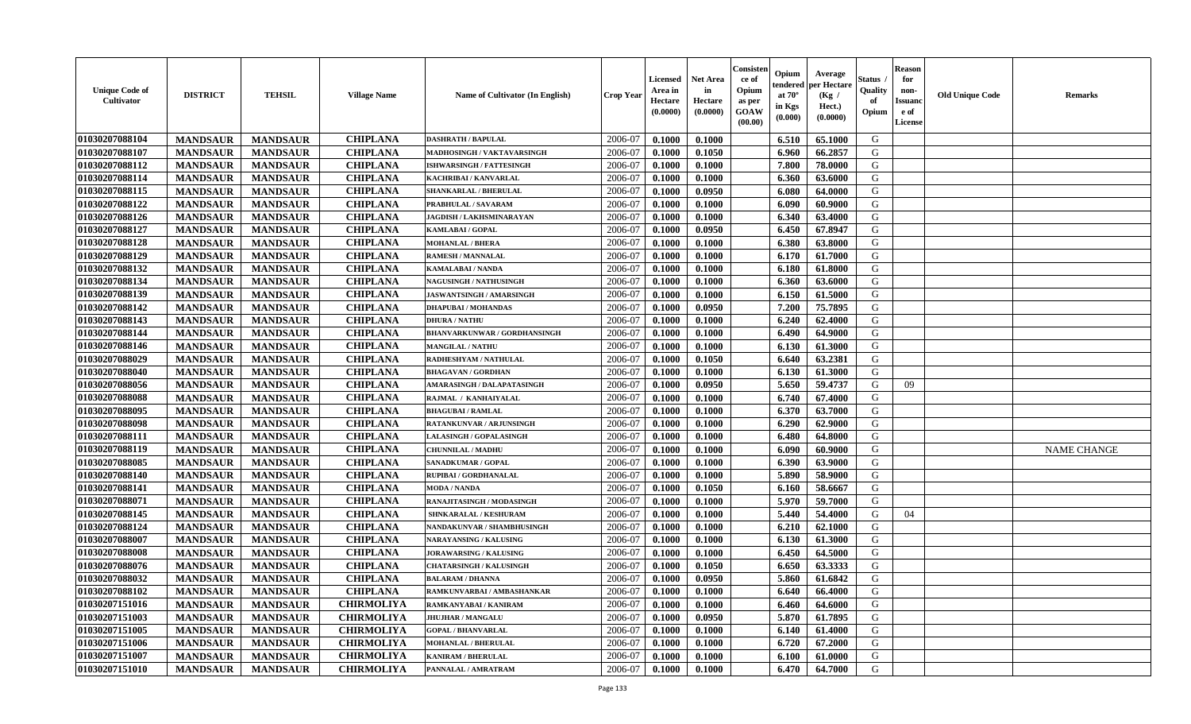| <b>Unique Code of</b><br><b>Cultivator</b> | <b>DISTRICT</b> | <b>TEHSIL</b>   | <b>Village Name</b> | <b>Name of Cultivator (In English)</b> | <b>Crop Year</b> | <b>Licensed</b><br>Area in<br>Hectare<br>(0.0000) | <b>Net Area</b><br>in<br>Hectare<br>(0.0000) | Consister<br>ce of<br>Opium<br>as per<br><b>GOAW</b><br>(00.00) | Opium<br>endered<br>at $70^\circ$<br>in Kgs<br>$(\mathbf{0.000})$ | Average<br>per Hectare<br>(Kg)<br>Hect.)<br>(0.0000) | Status<br>Quality<br>of<br>Opium | <b>Reason</b><br>for<br>non-<br><b>Issuano</b><br>e of<br>License | <b>Old Unique Code</b> | <b>Remarks</b>     |
|--------------------------------------------|-----------------|-----------------|---------------------|----------------------------------------|------------------|---------------------------------------------------|----------------------------------------------|-----------------------------------------------------------------|-------------------------------------------------------------------|------------------------------------------------------|----------------------------------|-------------------------------------------------------------------|------------------------|--------------------|
| 01030207088104                             | <b>MANDSAUR</b> | <b>MANDSAUR</b> | <b>CHIPLANA</b>     | <b>DASHRATH / BAPULAL</b>              | 2006-07          | 0.1000                                            | 0.1000                                       |                                                                 | 6.510                                                             | 65.1000                                              | G                                |                                                                   |                        |                    |
| 01030207088107                             | <b>MANDSAUR</b> | <b>MANDSAUR</b> | <b>CHIPLANA</b>     | MADHOSINGH / VAKTAVARSINGH             | 2006-07          | 0.1000                                            | 0.1050                                       |                                                                 | 6.960                                                             | 66.2857                                              | G                                |                                                                   |                        |                    |
| 01030207088112                             | <b>MANDSAUR</b> | <b>MANDSAUR</b> | <b>CHIPLANA</b>     | <b>ISHWARSINGH / FATTESINGH</b>        | 2006-07          | 0.1000                                            | 0.1000                                       |                                                                 | 7.800                                                             | 78.0000                                              | G                                |                                                                   |                        |                    |
| 01030207088114                             | <b>MANDSAUR</b> | <b>MANDSAUR</b> | <b>CHIPLANA</b>     | KACHRIBAI / KANVARLAL                  | 2006-07          | 0.1000                                            | 0.1000                                       |                                                                 | 6.360                                                             | 63.6000                                              | G                                |                                                                   |                        |                    |
| 01030207088115                             | <b>MANDSAUR</b> | <b>MANDSAUR</b> | <b>CHIPLANA</b>     | SHANKARLAL / BHERULAL                  | 2006-07          | 0.1000                                            | 0.0950                                       |                                                                 | 6.080                                                             | 64.0000                                              | G                                |                                                                   |                        |                    |
| 01030207088122                             | <b>MANDSAUR</b> | <b>MANDSAUR</b> | <b>CHIPLANA</b>     | PRABHULAL / SAVARAM                    | 2006-07          | 0.1000                                            | 0.1000                                       |                                                                 | 6.090                                                             | 60.9000                                              | G                                |                                                                   |                        |                    |
| 01030207088126                             | <b>MANDSAUR</b> | <b>MANDSAUR</b> | <b>CHIPLANA</b>     | JAGDISH / LAKHSMINARAYAN               | 2006-07          | 0.1000                                            | 0.1000                                       |                                                                 | 6.340                                                             | 63.4000                                              | G                                |                                                                   |                        |                    |
| 01030207088127                             | <b>MANDSAUR</b> | <b>MANDSAUR</b> | <b>CHIPLANA</b>     | KAMLABAI / GOPAL                       | 2006-07          | 0.1000                                            | 0.0950                                       |                                                                 | 6.450                                                             | 67.8947                                              | G                                |                                                                   |                        |                    |
| 01030207088128                             | <b>MANDSAUR</b> | <b>MANDSAUR</b> | <b>CHIPLANA</b>     | <b>MOHANLAL / BHERA</b>                | 2006-07          | 0.1000                                            | 0.1000                                       |                                                                 | 6.380                                                             | 63.8000                                              | G                                |                                                                   |                        |                    |
| 01030207088129                             | <b>MANDSAUR</b> | <b>MANDSAUR</b> | <b>CHIPLANA</b>     | RAMESH / MANNALAL                      | 2006-07          | 0.1000                                            | 0.1000                                       |                                                                 | 6.170                                                             | 61.7000                                              | G                                |                                                                   |                        |                    |
| 01030207088132                             | <b>MANDSAUR</b> | <b>MANDSAUR</b> | <b>CHIPLANA</b>     | <b>KAMALABAI/NANDA</b>                 | 2006-07          | 0.1000                                            | 0.1000                                       |                                                                 | 6.180                                                             | 61.8000                                              | G                                |                                                                   |                        |                    |
| 01030207088134                             | <b>MANDSAUR</b> | <b>MANDSAUR</b> | <b>CHIPLANA</b>     | <b>NAGUSINGH / NATHUSINGH</b>          | 2006-07          | 0.1000                                            | 0.1000                                       |                                                                 | 6.360                                                             | 63.6000                                              | G                                |                                                                   |                        |                    |
| 01030207088139                             | <b>MANDSAUR</b> | <b>MANDSAUR</b> | <b>CHIPLANA</b>     | <b>JASWANTSINGH / AMARSINGH</b>        | 2006-07          | 0.1000                                            | 0.1000                                       |                                                                 | 6.150                                                             | 61.5000                                              | G                                |                                                                   |                        |                    |
| 01030207088142                             | <b>MANDSAUR</b> | <b>MANDSAUR</b> | <b>CHIPLANA</b>     | <b>DHAPUBAI/MOHANDAS</b>               | 2006-07          | 0.1000                                            | 0.0950                                       |                                                                 | 7.200                                                             | 75.7895                                              | G                                |                                                                   |                        |                    |
| 01030207088143                             | <b>MANDSAUR</b> | <b>MANDSAUR</b> | <b>CHIPLANA</b>     | <b>DHURA / NATHU</b>                   | 2006-07          | 0.1000                                            | 0.1000                                       |                                                                 | 6.240                                                             | 62.4000                                              | G                                |                                                                   |                        |                    |
| 01030207088144                             | <b>MANDSAUR</b> | <b>MANDSAUR</b> | <b>CHIPLANA</b>     | <b>BHANVARKUNWAR / GORDHANSINGH</b>    | 2006-07          | 0.1000                                            | 0.1000                                       |                                                                 | 6.490                                                             | 64.9000                                              | G                                |                                                                   |                        |                    |
| 01030207088146                             | <b>MANDSAUR</b> | <b>MANDSAUR</b> | <b>CHIPLANA</b>     | <b>MANGILAL / NATHU</b>                | 2006-07          | 0.1000                                            | 0.1000                                       |                                                                 | 6.130                                                             | 61.3000                                              | G                                |                                                                   |                        |                    |
| 01030207088029                             | <b>MANDSAUR</b> | <b>MANDSAUR</b> | <b>CHIPLANA</b>     | RADHESHYAM / NATHULAL                  | 2006-07          | 0.1000                                            | 0.1050                                       |                                                                 | 6.640                                                             | 63.2381                                              | G                                |                                                                   |                        |                    |
| 01030207088040                             | <b>MANDSAUR</b> | <b>MANDSAUR</b> | <b>CHIPLANA</b>     | <b>BHAGAVAN / GORDHAN</b>              | 2006-07          | 0.1000                                            | 0.1000                                       |                                                                 | 6.130                                                             | 61.3000                                              | G                                |                                                                   |                        |                    |
| 01030207088056                             | <b>MANDSAUR</b> | <b>MANDSAUR</b> | <b>CHIPLANA</b>     | AMARASINGH / DALAPATASINGH             | 2006-07          | 0.1000                                            | 0.0950                                       |                                                                 | 5.650                                                             | 59,4737                                              | G                                | 09                                                                |                        |                    |
| 01030207088088                             | <b>MANDSAUR</b> | <b>MANDSAUR</b> | <b>CHIPLANA</b>     | RAJMAL / KANHAIYALAL                   | 2006-07          | 0.1000                                            | 0.1000                                       |                                                                 | 6.740                                                             | 67.4000                                              | G                                |                                                                   |                        |                    |
| 01030207088095                             | <b>MANDSAUR</b> | <b>MANDSAUR</b> | <b>CHIPLANA</b>     | <b>BHAGUBAI/RAMLAL</b>                 | 2006-07          | 0.1000                                            | 0.1000                                       |                                                                 | 6.370                                                             | 63.7000                                              | G                                |                                                                   |                        |                    |
| 01030207088098                             | <b>MANDSAUR</b> | <b>MANDSAUR</b> | <b>CHIPLANA</b>     | RATANKUNVAR / ARJUNSINGH               | 2006-07          | 0.1000                                            | 0.1000                                       |                                                                 | 6.290                                                             | 62.9000                                              | G                                |                                                                   |                        |                    |
| 01030207088111                             | <b>MANDSAUR</b> | <b>MANDSAUR</b> | <b>CHIPLANA</b>     | LALASINGH / GOPALASINGH                | 2006-07          | 0.1000                                            | 0.1000                                       |                                                                 | 6.480                                                             | 64.8000                                              | G                                |                                                                   |                        |                    |
| 01030207088119                             | <b>MANDSAUR</b> | <b>MANDSAUR</b> | <b>CHIPLANA</b>     | CHUNNILAL / MADHU                      | 2006-07          | 0.1000                                            | 0.1000                                       |                                                                 | 6.090                                                             | 60.9000                                              | G                                |                                                                   |                        | <b>NAME CHANGE</b> |
| 01030207088085                             | <b>MANDSAUR</b> | <b>MANDSAUR</b> | <b>CHIPLANA</b>     | <b>SANADKUMAR / GOPAL</b>              | 2006-07          | 0.1000                                            | 0.1000                                       |                                                                 | 6.390                                                             | 63.9000                                              | G                                |                                                                   |                        |                    |
| 01030207088140                             | <b>MANDSAUR</b> | <b>MANDSAUR</b> | <b>CHIPLANA</b>     | RUPIBAI / GORDHANALAL                  | 2006-07          | 0.1000                                            | 0.1000                                       |                                                                 | 5.890                                                             | 58.9000                                              | G                                |                                                                   |                        |                    |
| 01030207088141                             | <b>MANDSAUR</b> | <b>MANDSAUR</b> | <b>CHIPLANA</b>     | <b>MODA / NANDA</b>                    | 2006-07          | 0.1000                                            | 0.1050                                       |                                                                 | 6.160                                                             | 58.6667                                              | G                                |                                                                   |                        |                    |
| 01030207088071                             | <b>MANDSAUR</b> | <b>MANDSAUR</b> | <b>CHIPLANA</b>     | RANAJITASINGH / MODASINGH              | 2006-07          | 0.1000                                            | 0.1000                                       |                                                                 | 5.970                                                             | 59.7000                                              | G                                |                                                                   |                        |                    |
| 01030207088145                             | <b>MANDSAUR</b> | <b>MANDSAUR</b> | <b>CHIPLANA</b>     | SHNKARALAL / KESHURAM                  | 2006-07          | 0.1000                                            | 0.1000                                       |                                                                 | 5.440                                                             | 54.4000                                              | G                                | 04                                                                |                        |                    |
| 01030207088124                             | <b>MANDSAUR</b> | <b>MANDSAUR</b> | <b>CHIPLANA</b>     | NANDAKUNVAR / SHAMBHUSINGH             | 2006-07          | 0.1000                                            | 0.1000                                       |                                                                 | 6.210                                                             | 62.1000                                              | G                                |                                                                   |                        |                    |
| 01030207088007                             | <b>MANDSAUR</b> | <b>MANDSAUR</b> | <b>CHIPLANA</b>     | <b>NARAYANSING / KALUSING</b>          | 2006-07          | 0.1000                                            | 0.1000                                       |                                                                 | 6.130                                                             | 61.3000                                              | G                                |                                                                   |                        |                    |
| 01030207088008                             | <b>MANDSAUR</b> | <b>MANDSAUR</b> | <b>CHIPLANA</b>     | <b>JORAWARSING / KALUSING</b>          | 2006-07          | 0.1000                                            | 0.1000                                       |                                                                 | 6.450                                                             | 64.5000                                              | G                                |                                                                   |                        |                    |
| 01030207088076                             | <b>MANDSAUR</b> | <b>MANDSAUR</b> | <b>CHIPLANA</b>     | <b>CHATARSINGH / KALUSINGH</b>         | 2006-07          | 0.1000                                            | 0.1050                                       |                                                                 | 6.650                                                             | 63.3333                                              | G                                |                                                                   |                        |                    |
| 01030207088032                             | <b>MANDSAUR</b> | <b>MANDSAUR</b> | <b>CHIPLANA</b>     | <b>BALARAM / DHANNA</b>                | 2006-07          | 0.1000                                            | 0.0950                                       |                                                                 | 5.860                                                             | 61.6842                                              | G                                |                                                                   |                        |                    |
| 01030207088102                             | <b>MANDSAUR</b> | <b>MANDSAUR</b> | <b>CHIPLANA</b>     | RAMKUNVARBAI / AMBASHANKAR             | 2006-07          | 0.1000                                            | 0.1000                                       |                                                                 | 6.640                                                             | 66.4000                                              | G                                |                                                                   |                        |                    |
| 01030207151016                             | <b>MANDSAUR</b> | <b>MANDSAUR</b> | <b>CHIRMOLIYA</b>   | RAMKANYABAI / KANIRAM                  | 2006-07          | 0.1000                                            | 0.1000                                       |                                                                 | 6.460                                                             | 64.6000                                              | G                                |                                                                   |                        |                    |
| 01030207151003                             | <b>MANDSAUR</b> | <b>MANDSAUR</b> | <b>CHIRMOLIYA</b>   | <b>JHUJHAR / MANGALU</b>               | 2006-07          | 0.1000                                            | 0.0950                                       |                                                                 | 5.870                                                             | 61.7895                                              | G                                |                                                                   |                        |                    |
| 01030207151005                             | <b>MANDSAUR</b> | <b>MANDSAUR</b> | <b>CHIRMOLIYA</b>   | <b>GOPAL / BHANVARLAL</b>              | 2006-07          | 0.1000                                            | 0.1000                                       |                                                                 | 6.140                                                             | 61.4000                                              | G                                |                                                                   |                        |                    |
| 01030207151006                             | <b>MANDSAUR</b> | <b>MANDSAUR</b> | <b>CHIRMOLIYA</b>   | <b>MOHANLAL / BHERULAL</b>             | 2006-07          | 0.1000                                            | 0.1000                                       |                                                                 | 6.720                                                             | 67.2000                                              | G                                |                                                                   |                        |                    |
| 01030207151007                             | <b>MANDSAUR</b> | <b>MANDSAUR</b> | <b>CHIRMOLIYA</b>   | <b>KANIRAM / BHERULAL</b>              | 2006-07          | 0.1000                                            | 0.1000                                       |                                                                 | 6.100                                                             | 61.0000                                              | G                                |                                                                   |                        |                    |
| 01030207151010                             | <b>MANDSAUR</b> | <b>MANDSAUR</b> | <b>CHIRMOLIYA</b>   | PANNALAL / AMRATRAM                    | 2006-07          | 0.1000                                            | 0.1000                                       |                                                                 | 6.470                                                             | 64.7000                                              | G                                |                                                                   |                        |                    |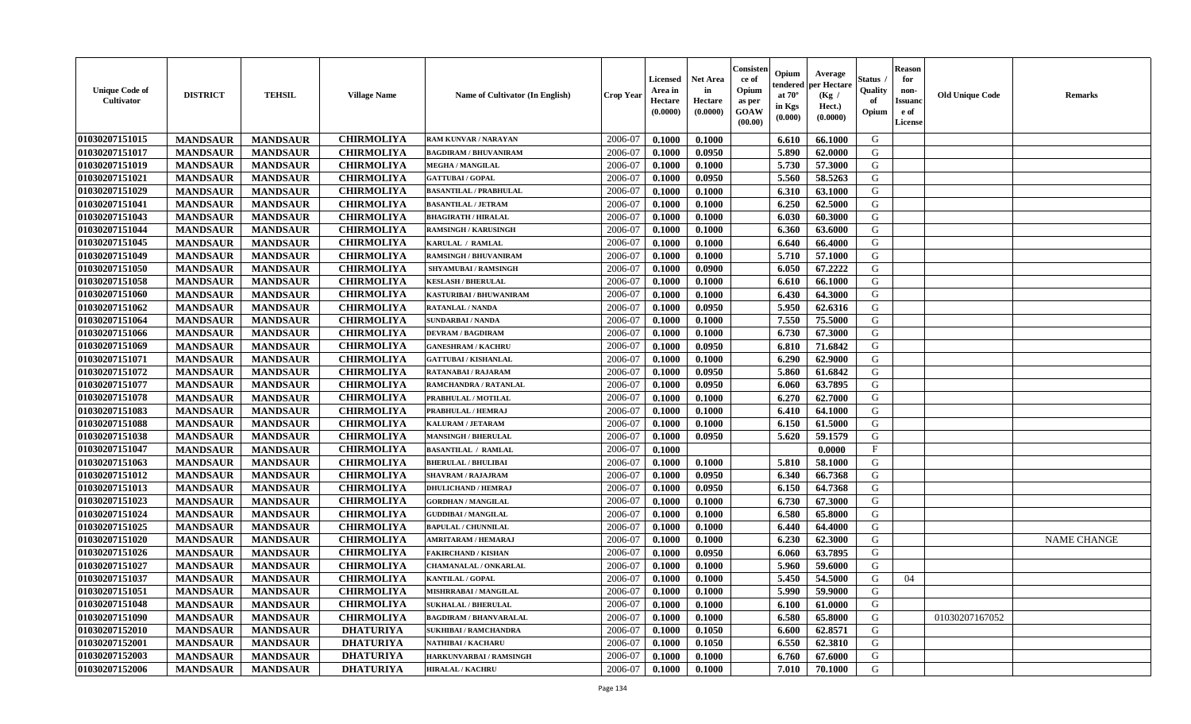| <b>Unique Code of</b><br>Cultivator | <b>DISTRICT</b> | <b>TEHSIL</b>   | <b>Village Name</b> | Name of Cultivator (In English) | <b>Crop Year</b> | <b>Licensed</b><br>Area in<br>Hectare<br>(0.0000) | <b>Net Area</b><br>in<br>Hectare<br>(0.0000) | Consister<br>ce of<br>Opium<br>as per<br><b>GOAW</b><br>(00.00) | Opium<br>endered<br>at $70^{\circ}$<br>in Kgs<br>(0.000) | Average<br>per Hectare<br>(Kg /<br>Hect.)<br>(0.0000) | <b>Status</b><br>Quality<br>of<br>Opium | <b>Reason</b><br>for<br>non-<br><b>Issuand</b><br>e of<br>License | <b>Old Unique Code</b> | <b>Remarks</b>     |
|-------------------------------------|-----------------|-----------------|---------------------|---------------------------------|------------------|---------------------------------------------------|----------------------------------------------|-----------------------------------------------------------------|----------------------------------------------------------|-------------------------------------------------------|-----------------------------------------|-------------------------------------------------------------------|------------------------|--------------------|
| 01030207151015                      | <b>MANDSAUR</b> | <b>MANDSAUR</b> | <b>CHIRMOLIYA</b>   | <b>RAM KUNVAR / NARAYAN</b>     | 2006-07          | 0.1000                                            | 0.1000                                       |                                                                 | 6.610                                                    | 66.1000                                               | G                                       |                                                                   |                        |                    |
| 01030207151017                      | <b>MANDSAUR</b> | <b>MANDSAUR</b> | <b>CHIRMOLIYA</b>   | <b>BAGDIRAM / BHUVANIRAM</b>    | 2006-07          | 0.1000                                            | 0.0950                                       |                                                                 | 5.890                                                    | 62.0000                                               | G                                       |                                                                   |                        |                    |
| 01030207151019                      | <b>MANDSAUR</b> | <b>MANDSAUR</b> | <b>CHIRMOLIYA</b>   | <b>MEGHA / MANGILAL</b>         | 2006-07          | 0.1000                                            | 0.1000                                       |                                                                 | 5.730                                                    | 57.3000                                               | G                                       |                                                                   |                        |                    |
| 01030207151021                      | <b>MANDSAUR</b> | <b>MANDSAUR</b> | <b>CHIRMOLIYA</b>   | <b>GATTUBAI/GOPAL</b>           | 2006-07          | 0.1000                                            | 0.0950                                       |                                                                 | 5.560                                                    | 58.5263                                               | G                                       |                                                                   |                        |                    |
| 01030207151029                      | <b>MANDSAUR</b> | <b>MANDSAUR</b> | <b>CHIRMOLIYA</b>   | <b>BASANTILAL / PRABHULAL</b>   | 2006-07          | 0.1000                                            | 0.1000                                       |                                                                 | 6.310                                                    | 63.1000                                               | G                                       |                                                                   |                        |                    |
| 01030207151041                      | <b>MANDSAUR</b> | <b>MANDSAUR</b> | <b>CHIRMOLIYA</b>   | <b>BASANTILAL / JETRAM</b>      | 2006-07          | 0.1000                                            | 0.1000                                       |                                                                 | 6.250                                                    | 62.5000                                               | G                                       |                                                                   |                        |                    |
| 01030207151043                      | <b>MANDSAUR</b> | <b>MANDSAUR</b> | <b>CHIRMOLIYA</b>   | <b>BHAGIRATH / HIRALAL</b>      | 2006-07          | 0.1000                                            | 0.1000                                       |                                                                 | 6.030                                                    | 60.3000                                               | G                                       |                                                                   |                        |                    |
| 01030207151044                      | <b>MANDSAUR</b> | <b>MANDSAUR</b> | <b>CHIRMOLIYA</b>   | <b>RAMSINGH / KARUSINGH</b>     | 2006-07          | 0.1000                                            | 0.1000                                       |                                                                 | 6.360                                                    | 63.6000                                               | G                                       |                                                                   |                        |                    |
| 01030207151045                      | <b>MANDSAUR</b> | <b>MANDSAUR</b> | <b>CHIRMOLIYA</b>   | KARULAL / RAMLAL                | 2006-07          | 0.1000                                            | 0.1000                                       |                                                                 | 6.640                                                    | 66.4000                                               | G                                       |                                                                   |                        |                    |
| 01030207151049                      | <b>MANDSAUR</b> | <b>MANDSAUR</b> | <b>CHIRMOLIYA</b>   | <b>RAMSINGH / BHUVANIRAM</b>    | 2006-07          | 0.1000                                            | 0.1000                                       |                                                                 | 5.710                                                    | 57.1000                                               | G                                       |                                                                   |                        |                    |
| 01030207151050                      | <b>MANDSAUR</b> | <b>MANDSAUR</b> | <b>CHIRMOLIYA</b>   | SHYAMUBAI / RAMSINGH            | 2006-07          | 0.1000                                            | 0.0900                                       |                                                                 | 6.050                                                    | 67.2222                                               | G                                       |                                                                   |                        |                    |
| 01030207151058                      | <b>MANDSAUR</b> | <b>MANDSAUR</b> | <b>CHIRMOLIYA</b>   | <b>KESLASH / BHERULAL</b>       | 2006-07          | 0.1000                                            | 0.1000                                       |                                                                 | 6.610                                                    | 66.1000                                               | G                                       |                                                                   |                        |                    |
| 01030207151060                      | <b>MANDSAUR</b> | <b>MANDSAUR</b> | <b>CHIRMOLIYA</b>   | KASTURIBAI / BHUWANIRAM         | 2006-07          | 0.1000                                            | 0.1000                                       |                                                                 | 6.430                                                    | 64.3000                                               | G                                       |                                                                   |                        |                    |
| 01030207151062                      | <b>MANDSAUR</b> | <b>MANDSAUR</b> | <b>CHIRMOLIYA</b>   | RATANLAL / NANDA                | 2006-07          | 0.1000                                            | 0.0950                                       |                                                                 | 5.950                                                    | 62.6316                                               | G                                       |                                                                   |                        |                    |
| 01030207151064                      | <b>MANDSAUR</b> | <b>MANDSAUR</b> | <b>CHIRMOLIYA</b>   | <b>SUNDARBAI / NANDA</b>        | 2006-07          | 0.1000                                            | 0.1000                                       |                                                                 | 7.550                                                    | 75.5000                                               | G                                       |                                                                   |                        |                    |
| 01030207151066                      | <b>MANDSAUR</b> | <b>MANDSAUR</b> | <b>CHIRMOLIYA</b>   | <b>DEVRAM / BAGDIRAM</b>        | 2006-07          | 0.1000                                            | 0.1000                                       |                                                                 | 6.730                                                    | 67.3000                                               | G                                       |                                                                   |                        |                    |
| 01030207151069                      | <b>MANDSAUR</b> | <b>MANDSAUR</b> | <b>CHIRMOLIYA</b>   | <b>GANESHRAM / KACHRU</b>       | 2006-07          | 0.1000                                            | 0.0950                                       |                                                                 | 6.810                                                    | 71.6842                                               | G                                       |                                                                   |                        |                    |
| 01030207151071                      | <b>MANDSAUR</b> | <b>MANDSAUR</b> | <b>CHIRMOLIYA</b>   | <b>GATTUBAI/KISHANLAL</b>       | 2006-07          | 0.1000                                            | 0.1000                                       |                                                                 | 6.290                                                    | 62.9000                                               | G                                       |                                                                   |                        |                    |
| 01030207151072                      | <b>MANDSAUR</b> | <b>MANDSAUR</b> | <b>CHIRMOLIYA</b>   | RATANABAI / RAJARAM             | 2006-07          | 0.1000                                            | 0.0950                                       |                                                                 | 5.860                                                    | 61.6842                                               | G                                       |                                                                   |                        |                    |
| 01030207151077                      | <b>MANDSAUR</b> | <b>MANDSAUR</b> | <b>CHIRMOLIYA</b>   | RAMCHANDRA / RATANLAL           | 2006-07          | 0.1000                                            | 0.0950                                       |                                                                 | 6.060                                                    | 63.7895                                               | G                                       |                                                                   |                        |                    |
| 01030207151078                      | <b>MANDSAUR</b> | <b>MANDSAUR</b> | <b>CHIRMOLIYA</b>   | PRABHULAL / MOTILAL             | 2006-07          | 0.1000                                            | 0.1000                                       |                                                                 | 6.270                                                    | 62.7000                                               | G                                       |                                                                   |                        |                    |
| 01030207151083                      | <b>MANDSAUR</b> | <b>MANDSAUR</b> | <b>CHIRMOLIYA</b>   | PRABHULAL / HEMRAJ              | 2006-07          | 0.1000                                            | 0.1000                                       |                                                                 | 6.410                                                    | 64.1000                                               | G                                       |                                                                   |                        |                    |
| 01030207151088                      | <b>MANDSAUR</b> | <b>MANDSAUR</b> | <b>CHIRMOLIYA</b>   | KALURAM / JETARAM               | 2006-07          | 0.1000                                            | 0.1000                                       |                                                                 | 6.150                                                    | 61.5000                                               | G                                       |                                                                   |                        |                    |
| 01030207151038                      | <b>MANDSAUR</b> | <b>MANDSAUR</b> | <b>CHIRMOLIYA</b>   | <b>MANSINGH / BHERULAL</b>      | 2006-07          | 0.1000                                            | 0.0950                                       |                                                                 | 5.620                                                    | 59.1579                                               | G                                       |                                                                   |                        |                    |
| 01030207151047                      | <b>MANDSAUR</b> | <b>MANDSAUR</b> | <b>CHIRMOLIYA</b>   | <b>BASANTILAL / RAMLAL</b>      | 2006-07          | 0.1000                                            |                                              |                                                                 |                                                          | 0.0000                                                | $\mathbf{F}$                            |                                                                   |                        |                    |
| 01030207151063                      | <b>MANDSAUR</b> | <b>MANDSAUR</b> | <b>CHIRMOLIYA</b>   | <b>BHERULAL / BHULIBAI</b>      | 2006-07          | 0.1000                                            | 0.1000                                       |                                                                 | 5.810                                                    | 58.1000                                               | G                                       |                                                                   |                        |                    |
| 01030207151012                      | <b>MANDSAUR</b> | <b>MANDSAUR</b> | <b>CHIRMOLIYA</b>   | <b>SHAVRAM / RAJAJRAM</b>       | 2006-07          | 0.1000                                            | 0.0950                                       |                                                                 | 6.340                                                    | 66.7368                                               | G                                       |                                                                   |                        |                    |
| 01030207151013                      | <b>MANDSAUR</b> | <b>MANDSAUR</b> | <b>CHIRMOLIYA</b>   | <b>DHULICHAND / HEMRAJ</b>      | 2006-07          | 0.1000                                            | 0.0950                                       |                                                                 | 6.150                                                    | 64.7368                                               | G                                       |                                                                   |                        |                    |
| 01030207151023                      | <b>MANDSAUR</b> | <b>MANDSAUR</b> | <b>CHIRMOLIYA</b>   | <b>GORDHAN / MANGILAL</b>       | 2006-07          | 0.1000                                            | 0.1000                                       |                                                                 | 6.730                                                    | 67.3000                                               | G                                       |                                                                   |                        |                    |
| 01030207151024                      | <b>MANDSAUR</b> | <b>MANDSAUR</b> | <b>CHIRMOLIYA</b>   | <b>GUDDIBAI / MANGILAL</b>      | 2006-07          | 0.1000                                            | 0.1000                                       |                                                                 | 6.580                                                    | 65.8000                                               | G                                       |                                                                   |                        |                    |
| 01030207151025                      | <b>MANDSAUR</b> | <b>MANDSAUR</b> | <b>CHIRMOLIYA</b>   | <b>BAPULAL / CHUNNILAL</b>      | 2006-07          | 0.1000                                            | 0.1000                                       |                                                                 | 6.440                                                    | 64.4000                                               | G                                       |                                                                   |                        |                    |
| 01030207151020                      | <b>MANDSAUR</b> | <b>MANDSAUR</b> | <b>CHIRMOLIYA</b>   | AMRITARAM / HEMARAJ             | 2006-07          | 0.1000                                            | 0.1000                                       |                                                                 | 6.230                                                    | 62.3000                                               | G                                       |                                                                   |                        | <b>NAME CHANGE</b> |
| 01030207151026                      | <b>MANDSAUR</b> | <b>MANDSAUR</b> | <b>CHIRMOLIYA</b>   | <b>AKIRCHAND / KISHAN</b>       | 2006-07          | 0.1000                                            | 0.0950                                       |                                                                 | 6.060                                                    | 63.7895                                               | G                                       |                                                                   |                        |                    |
| 01030207151027                      | <b>MANDSAUR</b> | <b>MANDSAUR</b> | <b>CHIRMOLIYA</b>   | CHAMANALAL / ONKARLAL           | 2006-07          | 0.1000                                            | 0.1000                                       |                                                                 | 5.960                                                    | 59.6000                                               | G                                       |                                                                   |                        |                    |
| 01030207151037                      | <b>MANDSAUR</b> | <b>MANDSAUR</b> | <b>CHIRMOLIYA</b>   | <b>KANTILAL / GOPAL</b>         | 2006-07          | 0.1000                                            | 0.1000                                       |                                                                 | 5.450                                                    | 54.5000                                               | G                                       | 04                                                                |                        |                    |
| 01030207151051                      | <b>MANDSAUR</b> | MANDSAUR        | <b>CHIRMOLIYA</b>   | MISHRRABAI / MANGILAL           | 2006-07          | 0.1000                                            | 0.1000                                       |                                                                 | 5.990                                                    | 59.9000                                               | G                                       |                                                                   |                        |                    |
| 01030207151048                      | <b>MANDSAUR</b> | <b>MANDSAUR</b> | <b>CHIRMOLIYA</b>   | <b>SUKHALAL / BHERULAL</b>      | 2006-07          | 0.1000                                            | 0.1000                                       |                                                                 | 6.100                                                    | 61.0000                                               | G                                       |                                                                   |                        |                    |
| 01030207151090                      | <b>MANDSAUR</b> | <b>MANDSAUR</b> | <b>CHIRMOLIYA</b>   | <b>BAGDIRAM / BHANVARALAL</b>   | 2006-07          | 0.1000                                            | 0.1000                                       |                                                                 | 6.580                                                    | 65.8000                                               | G                                       |                                                                   | 01030207167052         |                    |
| 01030207152010                      | <b>MANDSAUR</b> | <b>MANDSAUR</b> | <b>DHATURIYA</b>    | <b>SUKHIBAI / RAMCHANDRA</b>    | 2006-07          | 0.1000                                            | 0.1050                                       |                                                                 | 6.600                                                    | 62.8571                                               | G                                       |                                                                   |                        |                    |
| 01030207152001                      | <b>MANDSAUR</b> | <b>MANDSAUR</b> | <b>DHATURIYA</b>    | NATHIBAI / KACHARU              | 2006-07          | 0.1000                                            | 0.1050                                       |                                                                 | 6.550                                                    | 62.3810                                               | G                                       |                                                                   |                        |                    |
| 01030207152003                      | <b>MANDSAUR</b> | <b>MANDSAUR</b> | <b>DHATURIYA</b>    | HARKUNVARBAI / RAMSINGH         | 2006-07          | 0.1000                                            | 0.1000                                       |                                                                 | 6.760                                                    | 67.6000                                               | G                                       |                                                                   |                        |                    |
| 01030207152006                      | <b>MANDSAUR</b> | <b>MANDSAUR</b> | <b>DHATURIYA</b>    | <b>HIRALAL / KACHRU</b>         | 2006-07          | 0.1000                                            | 0.1000                                       |                                                                 | 7.010                                                    | 70.1000                                               | G                                       |                                                                   |                        |                    |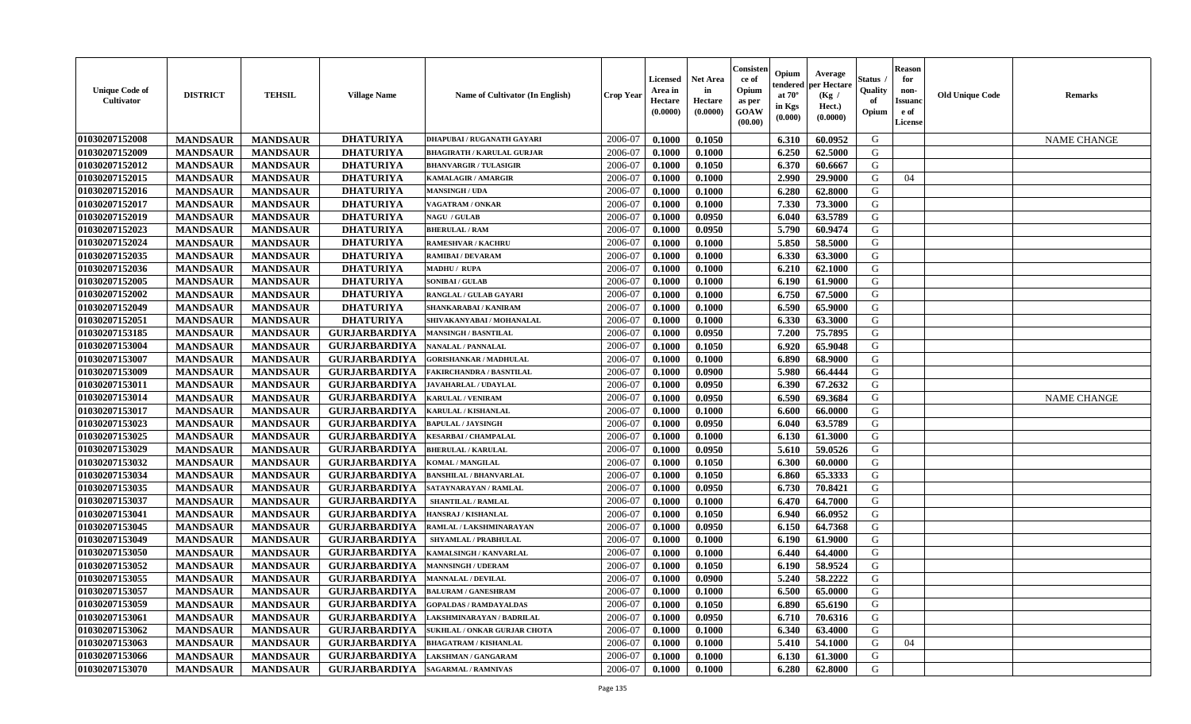| <b>Unique Code of</b><br>Cultivator | <b>DISTRICT</b> | <b>TEHSIL</b>   | <b>Village Name</b>  | Name of Cultivator (In English)   | Crop Year | Licensed<br>Area in<br>Hectare<br>(0.0000) | <b>Net Area</b><br>in<br>Hectare<br>(0.0000) | Consisten<br>ce of<br>Opium<br>as per<br><b>GOAW</b><br>(00.00) | Opium<br>tendered<br>at $70^{\circ}$<br>in Kgs<br>(0.000) | Average<br>per Hectare<br>(Kg /<br>Hect.)<br>(0.0000) | Status<br>Quality<br>of<br>Opium | <b>Reason</b><br>for<br>non-<br><b>Issuand</b><br>e of<br>License | <b>Old Unique Code</b> | <b>Remarks</b>     |
|-------------------------------------|-----------------|-----------------|----------------------|-----------------------------------|-----------|--------------------------------------------|----------------------------------------------|-----------------------------------------------------------------|-----------------------------------------------------------|-------------------------------------------------------|----------------------------------|-------------------------------------------------------------------|------------------------|--------------------|
| 01030207152008                      | <b>MANDSAUR</b> | <b>MANDSAUR</b> | <b>DHATURIYA</b>     | <b>DHAPUBAI/RUGANATH GAYARI</b>   | 2006-07   | 0.1000                                     | 0.1050                                       |                                                                 | 6.310                                                     | 60.0952                                               | G                                |                                                                   |                        | <b>NAME CHANGE</b> |
| 01030207152009                      | <b>MANDSAUR</b> | <b>MANDSAUR</b> | <b>DHATURIYA</b>     | <b>BHAGIRATH / KARULAL GURJAR</b> | 2006-07   | 0.1000                                     | 0.1000                                       |                                                                 | 6.250                                                     | 62.5000                                               | G                                |                                                                   |                        |                    |
| 01030207152012                      | <b>MANDSAUR</b> | <b>MANDSAUR</b> | <b>DHATURIYA</b>     | <b>BHANVARGIR / TULASIGIR</b>     | 2006-07   | 0.1000                                     | 0.1050                                       |                                                                 | 6.370                                                     | 60.6667                                               | G                                |                                                                   |                        |                    |
| 01030207152015                      | <b>MANDSAUR</b> | <b>MANDSAUR</b> | <b>DHATURIYA</b>     | <b>KAMALAGIR / AMARGIR</b>        | 2006-07   | 0.1000                                     | 0.1000                                       |                                                                 | 2.990                                                     | 29.9000                                               | G                                | 04                                                                |                        |                    |
| 01030207152016                      | <b>MANDSAUR</b> | <b>MANDSAUR</b> | <b>DHATURIYA</b>     | <b>MANSINGH / UDA</b>             | 2006-07   | 0.1000                                     | 0.1000                                       |                                                                 | 6.280                                                     | 62.8000                                               | G                                |                                                                   |                        |                    |
| 01030207152017                      | <b>MANDSAUR</b> | <b>MANDSAUR</b> | <b>DHATURIYA</b>     | VAGATRAM / ONKAR                  | 2006-07   | 0.1000                                     | 0.1000                                       |                                                                 | 7.330                                                     | 73.3000                                               | G                                |                                                                   |                        |                    |
| 01030207152019                      | <b>MANDSAUR</b> | <b>MANDSAUR</b> | <b>DHATURIYA</b>     | <b>NAGU / GULAB</b>               | 2006-07   | 0.1000                                     | 0.0950                                       |                                                                 | 6.040                                                     | 63.5789                                               | G                                |                                                                   |                        |                    |
| 01030207152023                      | <b>MANDSAUR</b> | <b>MANDSAUR</b> | <b>DHATURIYA</b>     | <b>BHERULAL / RAM</b>             | 2006-07   | 0.1000                                     | 0.0950                                       |                                                                 | 5.790                                                     | 60.9474                                               | G                                |                                                                   |                        |                    |
| 01030207152024                      | <b>MANDSAUR</b> | <b>MANDSAUR</b> | <b>DHATURIYA</b>     | <b>RAMESHVAR / KACHRU</b>         | 2006-07   | 0.1000                                     | 0.1000                                       |                                                                 | 5.850                                                     | 58.5000                                               | G                                |                                                                   |                        |                    |
| 01030207152035                      | <b>MANDSAUR</b> | <b>MANDSAUR</b> | <b>DHATURIYA</b>     | RAMIBAI / DEVARAM                 | 2006-07   | 0.1000                                     | 0.1000                                       |                                                                 | 6.330                                                     | 63.3000                                               | G                                |                                                                   |                        |                    |
| 01030207152036                      | <b>MANDSAUR</b> | <b>MANDSAUR</b> | <b>DHATURIYA</b>     | <b>MADHU / RUPA</b>               | 2006-07   | 0.1000                                     | 0.1000                                       |                                                                 | 6.210                                                     | 62.1000                                               | G                                |                                                                   |                        |                    |
| 01030207152005                      | <b>MANDSAUR</b> | <b>MANDSAUR</b> | <b>DHATURIYA</b>     | <b>SONIBAI/GULAB</b>              | 2006-07   | 0.1000                                     | 0.1000                                       |                                                                 | 6.190                                                     | 61.9000                                               | G                                |                                                                   |                        |                    |
| 01030207152002                      | <b>MANDSAUR</b> | <b>MANDSAUR</b> | <b>DHATURIYA</b>     | RANGLAL / GULAB GAYARI            | 2006-07   | 0.1000                                     | 0.1000                                       |                                                                 | 6.750                                                     | 67.5000                                               | G                                |                                                                   |                        |                    |
| 01030207152049                      | <b>MANDSAUR</b> | <b>MANDSAUR</b> | <b>DHATURIYA</b>     | SHANKARABAI / KANIRAM             | 2006-07   | 0.1000                                     | 0.1000                                       |                                                                 | 6.590                                                     | 65.9000                                               | G                                |                                                                   |                        |                    |
| 01030207152051                      | <b>MANDSAUR</b> | <b>MANDSAUR</b> | <b>DHATURIYA</b>     | SHIVAKANYABAI / MOHANALAL         | 2006-07   | 0.1000                                     | 0.1000                                       |                                                                 | 6.330                                                     | 63.3000                                               | G                                |                                                                   |                        |                    |
| 01030207153185                      | <b>MANDSAUR</b> | <b>MANDSAUR</b> | <b>GURJARBARDIYA</b> | <b>MANSINGH / BASNTILAL</b>       | 2006-07   | 0.1000                                     | 0.0950                                       |                                                                 | 7.200                                                     | 75.7895                                               | G                                |                                                                   |                        |                    |
| 01030207153004                      | <b>MANDSAUR</b> | <b>MANDSAUR</b> | <b>GURJARBARDIYA</b> | NANALAL / PANNALAL                | 2006-07   | 0.1000                                     | 0.1050                                       |                                                                 | 6.920                                                     | 65.9048                                               | G                                |                                                                   |                        |                    |
| 01030207153007                      | <b>MANDSAUR</b> | <b>MANDSAUR</b> | <b>GURJARBARDIYA</b> | <b>GORISHANKAR / MADHULAL</b>     | 2006-07   | 0.1000                                     | 0.1000                                       |                                                                 | 6.890                                                     | 68.9000                                               | G                                |                                                                   |                        |                    |
| 01030207153009                      | <b>MANDSAUR</b> | <b>MANDSAUR</b> | <b>GURJARBARDIYA</b> | FAKIRCHANDRA / BASNTILAL          | 2006-07   | 0.1000                                     | 0.0900                                       |                                                                 | 5.980                                                     | 66.4444                                               | G                                |                                                                   |                        |                    |
| 01030207153011                      | <b>MANDSAUR</b> | <b>MANDSAUR</b> | <b>GURJARBARDIYA</b> | <b>JAVAHARLAL / UDAYLAL</b>       | 2006-07   | 0.1000                                     | 0.0950                                       |                                                                 | 6.390                                                     | 67.2632                                               | G                                |                                                                   |                        |                    |
| 01030207153014                      | <b>MANDSAUR</b> | <b>MANDSAUR</b> | <b>GURJARBARDIYA</b> | <b>KARULAL / VENIRAM</b>          | 2006-07   | 0.1000                                     | 0.0950                                       |                                                                 | 6.590                                                     | 69.3684                                               | G                                |                                                                   |                        | <b>NAME CHANGE</b> |
| 01030207153017                      | <b>MANDSAUR</b> | <b>MANDSAUR</b> | <b>GURJARBARDIYA</b> | KARULAL / KISHANLAL               | 2006-07   | 0.1000                                     | 0.1000                                       |                                                                 | 6.600                                                     | 66.0000                                               | G                                |                                                                   |                        |                    |
| 01030207153023                      | <b>MANDSAUR</b> | <b>MANDSAUR</b> | <b>GURJARBARDIYA</b> | <b>BAPULAL / JAYSINGH</b>         | 2006-07   | 0.1000                                     | 0.0950                                       |                                                                 | 6.040                                                     | 63.5789                                               | G                                |                                                                   |                        |                    |
| 01030207153025                      | <b>MANDSAUR</b> | <b>MANDSAUR</b> | <b>GURJARBARDIYA</b> | <b>KESARBAI/ CHAMPALAL</b>        | 2006-07   | 0.1000                                     | 0.1000                                       |                                                                 | 6.130                                                     | 61.3000                                               | G                                |                                                                   |                        |                    |
| 01030207153029                      | <b>MANDSAUR</b> | <b>MANDSAUR</b> | <b>GURJARBARDIYA</b> | <b>BHERULAL / KARULAL</b>         | 2006-07   | 0.1000                                     | 0.0950                                       |                                                                 | 5.610                                                     | 59.0526                                               | G                                |                                                                   |                        |                    |
| 01030207153032                      | <b>MANDSAUR</b> | <b>MANDSAUR</b> | <b>GURJARBARDIYA</b> | <b>KOMAL/MANGILAL</b>             | 2006-07   | 0.1000                                     | 0.1050                                       |                                                                 | 6.300                                                     | 60.0000                                               | G                                |                                                                   |                        |                    |
| 01030207153034                      | <b>MANDSAUR</b> | <b>MANDSAUR</b> | <b>GURJARBARDIYA</b> | <b>BANSHILAL / BHANVARLAL</b>     | 2006-07   | 0.1000                                     | 0.1050                                       |                                                                 | 6.860                                                     | 65.3333                                               | G                                |                                                                   |                        |                    |
| 01030207153035                      | <b>MANDSAUR</b> | <b>MANDSAUR</b> | <b>GURJARBARDIYA</b> | SATAYNARAYAN / RAMLAL             | 2006-07   | 0.1000                                     | 0.0950                                       |                                                                 | 6.730                                                     | 70.8421                                               | G                                |                                                                   |                        |                    |
| 01030207153037                      | <b>MANDSAUR</b> | <b>MANDSAUR</b> | <b>GURJARBARDIYA</b> | <b>SHANTILAL / RAMLAL</b>         | 2006-07   | 0.1000                                     | 0.1000                                       |                                                                 | 6.470                                                     | 64.7000                                               | G                                |                                                                   |                        |                    |
| 01030207153041                      | <b>MANDSAUR</b> | <b>MANDSAUR</b> | <b>GURJARBARDIYA</b> | HANSRAJ / KISHANLAL               | 2006-07   | 0.1000                                     | 0.1050                                       |                                                                 | 6.940                                                     | 66.0952                                               | G                                |                                                                   |                        |                    |
| 01030207153045                      | <b>MANDSAUR</b> | <b>MANDSAUR</b> | <b>GURJARBARDIYA</b> | RAMLAL / LAKSHMINARAYAN           | 2006-07   | 0.1000                                     | 0.0950                                       |                                                                 | 6.150                                                     | 64.7368                                               | G                                |                                                                   |                        |                    |
| 01030207153049                      | <b>MANDSAUR</b> | <b>MANDSAUR</b> | <b>GURJARBARDIYA</b> | <b>SHYAMLAL / PRABHULAL</b>       | 2006-07   | 0.1000                                     | 0.1000                                       |                                                                 | 6.190                                                     | 61.9000                                               | G                                |                                                                   |                        |                    |
| 01030207153050                      | <b>MANDSAUR</b> | <b>MANDSAUR</b> | <b>GURJARBARDIYA</b> | KAMALSINGH / KANVARLAL            | 2006-07   | 0.1000                                     | 0.1000                                       |                                                                 | 6.440                                                     | 64.4000                                               | G                                |                                                                   |                        |                    |
| 01030207153052                      | <b>MANDSAUR</b> | <b>MANDSAUR</b> | <b>GURJARBARDIYA</b> | <b>MANNSINGH / UDERAM</b>         | 2006-07   | 0.1000                                     | 0.1050                                       |                                                                 | 6.190                                                     | 58.9524                                               | G                                |                                                                   |                        |                    |
| 01030207153055                      | <b>MANDSAUR</b> | <b>MANDSAUR</b> | <b>GURJARBARDIYA</b> | <b>MANNALAL / DEVILAL</b>         | 2006-07   | 0.1000                                     | 0.0900                                       |                                                                 | 5.240                                                     | 58,2222                                               | G                                |                                                                   |                        |                    |
| 01030207153057                      | <b>MANDSAUR</b> | <b>MANDSAUR</b> | <b>GURJARBARDIYA</b> | <b>BALURAM / GANESHRAM</b>        | 2006-07   | 0.1000                                     | 0.1000                                       |                                                                 | 6.500                                                     | 65.0000                                               | G                                |                                                                   |                        |                    |
| 01030207153059                      | <b>MANDSAUR</b> | <b>MANDSAUR</b> | <b>GURJARBARDIYA</b> | <b>GOPALDAS / RAMDAYALDAS</b>     | 2006-07   | 0.1000                                     | 0.1050                                       |                                                                 | 6.890                                                     | 65.6190                                               | G                                |                                                                   |                        |                    |
| 01030207153061                      | <b>MANDSAUR</b> | <b>MANDSAUR</b> | <b>GURJARBARDIYA</b> | LAKSHMINARAYAN / BADRILAL         | 2006-07   | 0.1000                                     | 0.0950                                       |                                                                 | 6.710                                                     | 70.6316                                               | G                                |                                                                   |                        |                    |
| 01030207153062                      | <b>MANDSAUR</b> | <b>MANDSAUR</b> | <b>GURJARBARDIYA</b> | SUKHLAL / ONKAR GURJAR CHOTA      | 2006-07   | 0.1000                                     | 0.1000                                       |                                                                 | 6.340                                                     | 63.4000                                               | G                                |                                                                   |                        |                    |
| 01030207153063                      | <b>MANDSAUR</b> | <b>MANDSAUR</b> | <b>GURJARBARDIYA</b> | <b>BHAGATRAM / KISHANLAL</b>      | 2006-07   | 0.1000                                     | 0.1000                                       |                                                                 | 5.410                                                     | 54.1000                                               | G                                | 04                                                                |                        |                    |
| 01030207153066                      | <b>MANDSAUR</b> | <b>MANDSAUR</b> | <b>GURJARBARDIYA</b> | <b>LAKSHMAN / GANGARAM</b>        | 2006-07   | 0.1000                                     | 0.1000                                       |                                                                 | 6.130                                                     | 61.3000                                               | G                                |                                                                   |                        |                    |
| 01030207153070                      | <b>MANDSAUR</b> | <b>MANDSAUR</b> | <b>GURJARBARDIYA</b> | <b>SAGARMAL / RAMNIVAS</b>        | 2006-07   | 0.1000                                     | 0.1000                                       |                                                                 | 6.280                                                     | 62.8000                                               | G                                |                                                                   |                        |                    |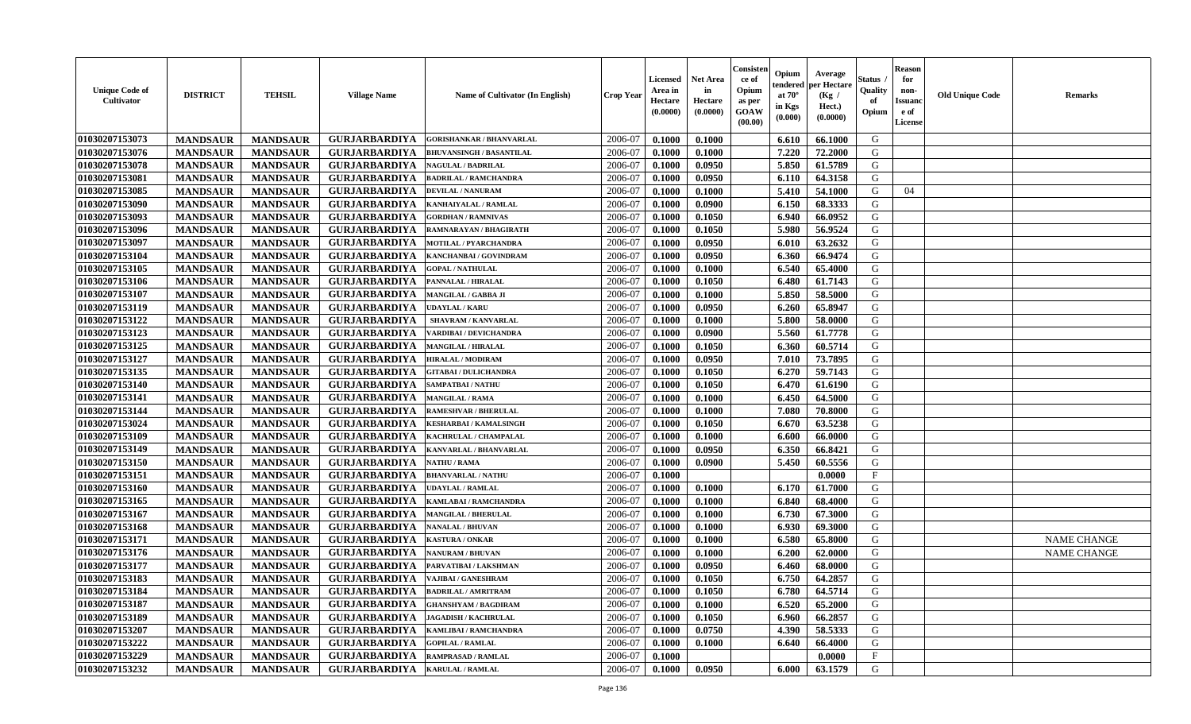| <b>Unique Code of</b><br><b>Cultivator</b> | <b>DISTRICT</b> | <b>TEHSIL</b>   | <b>Village Name</b>  | <b>Name of Cultivator (In English)</b> | <b>Crop Year</b> | <b>Licensed</b><br>Area in<br>Hectare<br>(0.0000) | <b>Net Area</b><br>in<br>Hectare<br>(0.0000) | Consisteı<br>ce of<br>Opium<br>as per<br><b>GOAW</b><br>(00.00) | Opium<br>endered<br>at $70^\circ$<br>in Kgs<br>(0.000) | Average<br>per Hectare<br>(Kg /<br>Hect.)<br>(0.0000) | Status<br>Quality<br>of<br>Opium | Reason<br>for<br>non-<br>Issuan<br>e of<br>License | <b>Old Unique Code</b> | <b>Remarks</b>     |
|--------------------------------------------|-----------------|-----------------|----------------------|----------------------------------------|------------------|---------------------------------------------------|----------------------------------------------|-----------------------------------------------------------------|--------------------------------------------------------|-------------------------------------------------------|----------------------------------|----------------------------------------------------|------------------------|--------------------|
| 01030207153073                             | <b>MANDSAUR</b> | <b>MANDSAUR</b> | <b>GURJARBARDIYA</b> | <b>GORISHANKAR / BHANVARLAL</b>        | 2006-07          | 0.1000                                            | 0.1000                                       |                                                                 | 6.610                                                  | 66.1000                                               | G                                |                                                    |                        |                    |
| 01030207153076                             | <b>MANDSAUR</b> | <b>MANDSAUR</b> | <b>GURJARBARDIYA</b> | <b>BHUVANSINGH / BASANTILAL</b>        | 2006-07          | 0.1000                                            | 0.1000                                       |                                                                 | 7.220                                                  | 72.2000                                               | G                                |                                                    |                        |                    |
| 01030207153078                             | <b>MANDSAUR</b> | <b>MANDSAUR</b> | <b>GURJARBARDIYA</b> | <b>NAGULAL / BADRILAL</b>              | 2006-07          | 0.1000                                            | 0.0950                                       |                                                                 | 5.850                                                  | 61.5789                                               | G                                |                                                    |                        |                    |
| 01030207153081                             | <b>MANDSAUR</b> | <b>MANDSAUR</b> | <b>GURJARBARDIYA</b> | <b>BADRILAL / RAMCHANDRA</b>           | 2006-07          | 0.1000                                            | 0.0950                                       |                                                                 | 6.110                                                  | 64.3158                                               | G                                |                                                    |                        |                    |
| 01030207153085                             | <b>MANDSAUR</b> | <b>MANDSAUR</b> | <b>GURJARBARDIYA</b> | <b>DEVILAL / NANURAM</b>               | 2006-07          | 0.1000                                            | 0.1000                                       |                                                                 | 5.410                                                  | 54.1000                                               | G                                | 04                                                 |                        |                    |
| 01030207153090                             | <b>MANDSAUR</b> | <b>MANDSAUR</b> | <b>GURJARBARDIYA</b> | KANHAIYALAL / RAMLAL                   | 2006-07          | 0.1000                                            | 0.0900                                       |                                                                 | 6.150                                                  | 68.3333                                               | G                                |                                                    |                        |                    |
| 01030207153093                             | <b>MANDSAUR</b> | <b>MANDSAUR</b> | <b>GURJARBARDIYA</b> | <b>GORDHAN / RAMNIVAS</b>              | 2006-07          | 0.1000                                            | 0.1050                                       |                                                                 | 6.940                                                  | 66.0952                                               | G                                |                                                    |                        |                    |
| 01030207153096                             | <b>MANDSAUR</b> | <b>MANDSAUR</b> | <b>GURJARBARDIYA</b> | RAMNARAYAN / BHAGIRATH                 | 2006-07          | 0.1000                                            | 0.1050                                       |                                                                 | 5.980                                                  | 56.9524                                               | G                                |                                                    |                        |                    |
| 01030207153097                             | <b>MANDSAUR</b> | <b>MANDSAUR</b> | <b>GURJARBARDIYA</b> | <b>MOTILAL / PYARCHANDRA</b>           | 2006-07          | 0.1000                                            | 0.0950                                       |                                                                 | 6.010                                                  | 63.2632                                               | G                                |                                                    |                        |                    |
| 01030207153104                             | <b>MANDSAUR</b> | <b>MANDSAUR</b> | <b>GURJARBARDIYA</b> | KANCHANBAI / GOVINDRAM                 | 2006-07          | 0.1000                                            | 0.0950                                       |                                                                 | 6.360                                                  | 66.9474                                               | G                                |                                                    |                        |                    |
| 01030207153105                             | <b>MANDSAUR</b> | <b>MANDSAUR</b> | <b>GURJARBARDIYA</b> | <b>GOPAL / NATHULAL</b>                | 2006-07          | 0.1000                                            | 0.1000                                       |                                                                 | 6.540                                                  | 65.4000                                               | G                                |                                                    |                        |                    |
| 01030207153106                             | <b>MANDSAUR</b> | <b>MANDSAUR</b> | <b>GURJARBARDIYA</b> | PANNALAL / HIRALAL                     | 2006-07          | 0.1000                                            | 0.1050                                       |                                                                 | 6.480                                                  | 61.7143                                               | G                                |                                                    |                        |                    |
| 01030207153107                             | <b>MANDSAUR</b> | <b>MANDSAUR</b> | <b>GURJARBARDIYA</b> | MANGILAL / GABBA JI                    | 2006-07          | 0.1000                                            | 0.1000                                       |                                                                 | 5.850                                                  | 58.5000                                               | G                                |                                                    |                        |                    |
| 01030207153119                             | <b>MANDSAUR</b> | <b>MANDSAUR</b> | <b>GURJARBARDIYA</b> | <b>UDAYLAL / KARU</b>                  | 2006-07          | 0.1000                                            | 0.0950                                       |                                                                 | 6.260                                                  | 65.8947                                               | G                                |                                                    |                        |                    |
| 01030207153122                             | <b>MANDSAUR</b> | <b>MANDSAUR</b> | <b>GURJARBARDIYA</b> | SHAVRAM / KANVARLAL                    | 2006-07          | 0.1000                                            | 0.1000                                       |                                                                 | 5.800                                                  | 58.0000                                               | G                                |                                                    |                        |                    |
| 01030207153123                             | <b>MANDSAUR</b> | <b>MANDSAUR</b> | <b>GURJARBARDIYA</b> | VARDIBAI / DEVICHANDRA                 | 2006-07          | 0.1000                                            | 0.0900                                       |                                                                 | 5.560                                                  | 61.7778                                               | G                                |                                                    |                        |                    |
| 01030207153125                             | <b>MANDSAUR</b> | <b>MANDSAUR</b> | <b>GURJARBARDIYA</b> | <b>MANGILAL / HIRALAL</b>              | 2006-07          | 0.1000                                            | 0.1050                                       |                                                                 | 6.360                                                  | 60.5714                                               | G                                |                                                    |                        |                    |
| 01030207153127                             | <b>MANDSAUR</b> | <b>MANDSAUR</b> | <b>GURJARBARDIYA</b> | <b>HIRALAL / MODIRAM</b>               | 2006-07          | 0.1000                                            | 0.0950                                       |                                                                 | 7.010                                                  | 73.7895                                               | G                                |                                                    |                        |                    |
| 01030207153135                             | <b>MANDSAUR</b> | <b>MANDSAUR</b> | <b>GURJARBARDIYA</b> | <b>GITABAI / DULICHANDRA</b>           | 2006-07          | 0.1000                                            | 0.1050                                       |                                                                 | 6.270                                                  | 59.7143                                               | G                                |                                                    |                        |                    |
| 01030207153140                             | <b>MANDSAUR</b> | <b>MANDSAUR</b> | <b>GURJARBARDIYA</b> | <b>SAMPATBAI/NATHU</b>                 | 2006-07          | 0.1000                                            | 0.1050                                       |                                                                 | 6.470                                                  | 61.6190                                               | G                                |                                                    |                        |                    |
| 01030207153141                             | <b>MANDSAUR</b> | <b>MANDSAUR</b> | <b>GURJARBARDIYA</b> | <b>MANGILAL / RAMA</b>                 | 2006-07          | 0.1000                                            | 0.1000                                       |                                                                 | 6.450                                                  | 64.5000                                               | G                                |                                                    |                        |                    |
| 01030207153144                             | <b>MANDSAUR</b> | <b>MANDSAUR</b> | <b>GURJARBARDIYA</b> | <b>RAMESHVAR / BHERULAL</b>            | 2006-07          | 0.1000                                            | 0.1000                                       |                                                                 | 7.080                                                  | 70.8000                                               | G                                |                                                    |                        |                    |
| 01030207153024                             | <b>MANDSAUR</b> | <b>MANDSAUR</b> | <b>GURJARBARDIYA</b> | <b>KESHARBAI/KAMALSINGH</b>            | 2006-07          | 0.1000                                            | 0.1050                                       |                                                                 | 6.670                                                  | 63.5238                                               | G                                |                                                    |                        |                    |
| 01030207153109                             | <b>MANDSAUR</b> | <b>MANDSAUR</b> | <b>GURJARBARDIYA</b> | KACHRULAL / CHAMPALAL                  | 2006-07          | 0.1000                                            | 0.1000                                       |                                                                 | 6.600                                                  | 66.0000                                               | G                                |                                                    |                        |                    |
| 01030207153149                             | <b>MANDSAUR</b> | <b>MANDSAUR</b> | <b>GURJARBARDIYA</b> | KANVARLAL / BHANVARLAL                 | 2006-07          | 0.1000                                            | 0.0950                                       |                                                                 | 6.350                                                  | 66.8421                                               | G                                |                                                    |                        |                    |
| 01030207153150                             | <b>MANDSAUR</b> | <b>MANDSAUR</b> | <b>GURJARBARDIYA</b> | <b>NATHU / RAMA</b>                    | 2006-07          | 0.1000                                            | 0.0900                                       |                                                                 | 5.450                                                  | 60.5556                                               | G                                |                                                    |                        |                    |
| 01030207153151                             | <b>MANDSAUR</b> | <b>MANDSAUR</b> | <b>GURJARBARDIYA</b> | <b>BHANVARLAL / NATHU</b>              | 2006-07          | 0.1000                                            |                                              |                                                                 |                                                        | 0.0000                                                | $_{\rm F}$                       |                                                    |                        |                    |
| 01030207153160                             | <b>MANDSAUR</b> | <b>MANDSAUR</b> | <b>GURJARBARDIYA</b> | <b>UDAYLAL / RAMLAL</b>                | 2006-07          | 0.1000                                            | 0.1000                                       |                                                                 | 6.170                                                  | 61.7000                                               | G                                |                                                    |                        |                    |
| 01030207153165                             | <b>MANDSAUR</b> | <b>MANDSAUR</b> | <b>GURJARBARDIYA</b> | KAMLABAI / RAMCHANDRA                  | 2006-07          | 0.1000                                            | 0.1000                                       |                                                                 | 6.840                                                  | 68.4000                                               | G                                |                                                    |                        |                    |
| 01030207153167                             | <b>MANDSAUR</b> | <b>MANDSAUR</b> | <b>GURJARBARDIYA</b> | <b>MANGILAL / BHERULAL</b>             | 2006-07          | 0.1000                                            | 0.1000                                       |                                                                 | 6.730                                                  | 67.3000                                               | G                                |                                                    |                        |                    |
| 01030207153168                             | <b>MANDSAUR</b> | <b>MANDSAUR</b> | <b>GURJARBARDIYA</b> | <b>NANALAL / BHUVAN</b>                | 2006-07          | 0.1000                                            | 0.1000                                       |                                                                 | 6.930                                                  | 69.3000                                               | G                                |                                                    |                        |                    |
| 01030207153171                             | <b>MANDSAUR</b> | <b>MANDSAUR</b> | <b>GURJARBARDIYA</b> | <b>KASTURA / ONKAR</b>                 | 2006-07          | 0.1000                                            | 0.1000                                       |                                                                 | 6.580                                                  | 65.8000                                               | G                                |                                                    |                        | NAME CHANGE        |
| 01030207153176                             | <b>MANDSAUR</b> | <b>MANDSAUR</b> | <b>GURJARBARDIYA</b> | <b>NANURAM / BHUVAN</b>                | 2006-07          | 0.1000                                            | 0.1000                                       |                                                                 | 6.200                                                  | 62.0000                                               | G                                |                                                    |                        | <b>NAME CHANGE</b> |
| 01030207153177                             | <b>MANDSAUR</b> | <b>MANDSAUR</b> | <b>GURJARBARDIYA</b> | PARVATIBAI / LAKSHMAN                  | 2006-07          | 0.1000                                            | 0.0950                                       |                                                                 | 6.460                                                  | 68.0000                                               | G                                |                                                    |                        |                    |
| 01030207153183                             | <b>MANDSAUR</b> | <b>MANDSAUR</b> | <b>GURJARBARDIYA</b> | VAJIBAI / GANESHRAM                    | 2006-07          | 0.1000                                            | 0.1050                                       |                                                                 | 6.750                                                  | 64.2857                                               | G                                |                                                    |                        |                    |
| 01030207153184                             | <b>MANDSAUR</b> | <b>MANDSAUR</b> | <b>GURJARBARDIYA</b> | <b>BADRILAL / AMRITRAM</b>             | 2006-07          | 0.1000                                            | 0.1050                                       |                                                                 | $6.780$                                                | 64.5714                                               | G                                |                                                    |                        |                    |
| 01030207153187                             | <b>MANDSAUR</b> | <b>MANDSAUR</b> | <b>GURJARBARDIYA</b> | <b>GHANSHYAM / BAGDIRAM</b>            | 2006-07          | 0.1000                                            | 0.1000                                       |                                                                 | 6.520                                                  | 65.2000                                               | G                                |                                                    |                        |                    |
| 01030207153189                             | <b>MANDSAUR</b> | <b>MANDSAUR</b> | <b>GURJARBARDIYA</b> | <b>JAGADISH / KACHRULAL</b>            | 2006-07          | 0.1000                                            | 0.1050                                       |                                                                 | 6.960                                                  | 66.2857                                               | G                                |                                                    |                        |                    |
| 01030207153207                             | <b>MANDSAUR</b> | <b>MANDSAUR</b> | <b>GURJARBARDIYA</b> | KAMLIBAI / RAMCHANDRA                  | 2006-07          | 0.1000                                            | 0.0750                                       |                                                                 | 4.390                                                  | 58.5333                                               | G                                |                                                    |                        |                    |
| 01030207153222                             | <b>MANDSAUR</b> | <b>MANDSAUR</b> | <b>GURJARBARDIYA</b> | <b>GOPILAL / RAMLAL</b>                | 2006-07          | 0.1000                                            | 0.1000                                       |                                                                 | 6.640                                                  | 66.4000                                               | G                                |                                                    |                        |                    |
| 01030207153229                             | <b>MANDSAUR</b> | <b>MANDSAUR</b> | <b>GURJARBARDIYA</b> | <b>RAMPRASAD / RAMLAL</b>              | 2006-07          | 0.1000                                            |                                              |                                                                 |                                                        | 0.0000                                                | $\mathbf{F}$                     |                                                    |                        |                    |
| 01030207153232                             | <b>MANDSAUR</b> | <b>MANDSAUR</b> | GURJARBARDIYA        | <b>KARULAL / RAMLAL</b>                | 2006-07          | 0.1000                                            | 0.0950                                       |                                                                 | 6.000                                                  | 63.1579                                               | G                                |                                                    |                        |                    |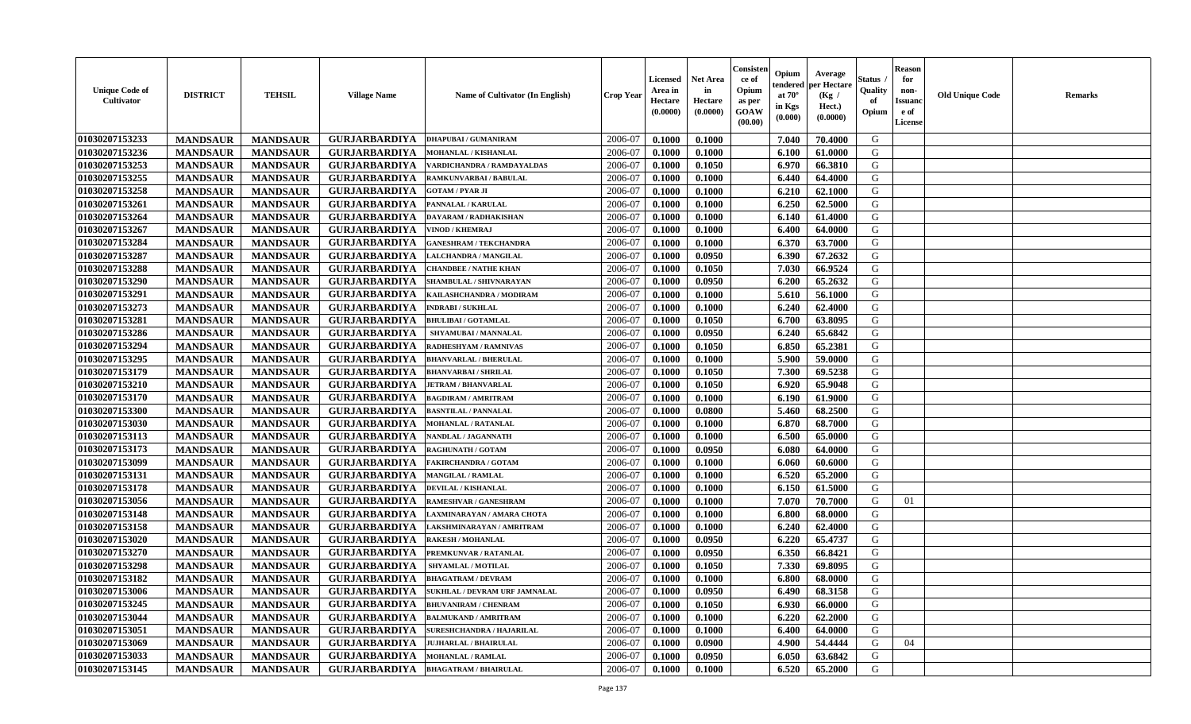| <b>Unique Code of</b><br>Cultivator | <b>DISTRICT</b> | <b>TEHSIL</b>   | <b>Village Name</b>  | Name of Cultivator (In English)      | Crop Year | Licensed<br>Area in<br>Hectare<br>(0.0000) | <b>Net Area</b><br>in<br>Hectare<br>(0.0000) | Consisten<br>ce of<br>Opium<br>as per<br><b>GOAW</b><br>(00.00) | Opium<br>tendered<br>at $70^\circ$<br>in Kgs<br>(0.000) | Average<br>per Hectare<br>(Kg /<br>Hect.)<br>(0.0000) | Status<br>Quality<br>of<br>Opium | <b>Reason</b><br>for<br>non-<br><b>Issuand</b><br>e of<br>License | <b>Old Unique Code</b> | <b>Remarks</b> |
|-------------------------------------|-----------------|-----------------|----------------------|--------------------------------------|-----------|--------------------------------------------|----------------------------------------------|-----------------------------------------------------------------|---------------------------------------------------------|-------------------------------------------------------|----------------------------------|-------------------------------------------------------------------|------------------------|----------------|
| 01030207153233                      | <b>MANDSAUR</b> | <b>MANDSAUR</b> | <b>GURJARBARDIYA</b> | <b>DHAPUBAI/GUMANIRAM</b>            | 2006-07   | 0.1000                                     | 0.1000                                       |                                                                 | 7.040                                                   | 70.4000                                               | G                                |                                                                   |                        |                |
| 01030207153236                      | <b>MANDSAUR</b> | <b>MANDSAUR</b> | <b>GURJARBARDIYA</b> | MOHANLAL / KISHANLAL                 | 2006-07   | 0.1000                                     | 0.1000                                       |                                                                 | 6.100                                                   | 61.0000                                               | G                                |                                                                   |                        |                |
| 01030207153253                      | <b>MANDSAUR</b> | <b>MANDSAUR</b> | <b>GURJARBARDIYA</b> | VARDICHANDRA / RAMDAYALDAS           | 2006-07   | 0.1000                                     | 0.1050                                       |                                                                 | 6.970                                                   | 66.3810                                               | G                                |                                                                   |                        |                |
| 01030207153255                      | <b>MANDSAUR</b> | <b>MANDSAUR</b> | <b>GURJARBARDIYA</b> | RAMKUNVARBAI / BABULAL               | 2006-07   | 0.1000                                     | 0.1000                                       |                                                                 | 6.440                                                   | 64.4000                                               | G                                |                                                                   |                        |                |
| 01030207153258                      | <b>MANDSAUR</b> | <b>MANDSAUR</b> | <b>GURJARBARDIYA</b> | <b>GOTAM / PYAR JI</b>               | 2006-07   | 0.1000                                     | 0.1000                                       |                                                                 | 6.210                                                   | 62.1000                                               | G                                |                                                                   |                        |                |
| 01030207153261                      | <b>MANDSAUR</b> | <b>MANDSAUR</b> | <b>GURJARBARDIYA</b> | PANNALAL / KARULAL                   | 2006-07   | 0.1000                                     | 0.1000                                       |                                                                 | 6.250                                                   | 62.5000                                               | G                                |                                                                   |                        |                |
| 01030207153264                      | <b>MANDSAUR</b> | <b>MANDSAUR</b> | <b>GURJARBARDIYA</b> | DAYARAM / RADHAKISHAN                | 2006-07   | 0.1000                                     | 0.1000                                       |                                                                 | 6.140                                                   | 61.4000                                               | G                                |                                                                   |                        |                |
| 01030207153267                      | <b>MANDSAUR</b> | <b>MANDSAUR</b> | <b>GURJARBARDIYA</b> | <b>VINOD / KHEMRAJ</b>               | 2006-07   | 0.1000                                     | 0.1000                                       |                                                                 | 6.400                                                   | 64.0000                                               | G                                |                                                                   |                        |                |
| 01030207153284                      | <b>MANDSAUR</b> | <b>MANDSAUR</b> | <b>GURJARBARDIYA</b> | <b>GANESHRAM / TEKCHANDRA</b>        | 2006-07   | 0.1000                                     | 0.1000                                       |                                                                 | 6.370                                                   | 63.7000                                               | G                                |                                                                   |                        |                |
| 01030207153287                      | <b>MANDSAUR</b> | <b>MANDSAUR</b> | <b>GURJARBARDIYA</b> | LALCHANDRA / MANGILAL                | 2006-07   | 0.1000                                     | 0.0950                                       |                                                                 | 6.390                                                   | 67.2632                                               | G                                |                                                                   |                        |                |
| 01030207153288                      | <b>MANDSAUR</b> | <b>MANDSAUR</b> | <b>GURJARBARDIYA</b> | <b>CHANDBEE / NATHE KHAN</b>         | 2006-07   | 0.1000                                     | 0.1050                                       |                                                                 | 7.030                                                   | 66.9524                                               | G                                |                                                                   |                        |                |
| 01030207153290                      | <b>MANDSAUR</b> | <b>MANDSAUR</b> | <b>GURJARBARDIYA</b> | SHAMBULAL / SHIVNARAYAN              | 2006-07   | 0.1000                                     | 0.0950                                       |                                                                 | 6.200                                                   | 65.2632                                               | G                                |                                                                   |                        |                |
| 01030207153291                      | <b>MANDSAUR</b> | <b>MANDSAUR</b> | <b>GURJARBARDIYA</b> | KAILASHCHANDRA / MODIRAM             | 2006-07   | 0.1000                                     | 0.1000                                       |                                                                 | 5.610                                                   | 56.1000                                               | G                                |                                                                   |                        |                |
| 01030207153273                      | <b>MANDSAUR</b> | <b>MANDSAUR</b> | <b>GURJARBARDIYA</b> | <b>INDRABI/SUKHLAL</b>               | 2006-07   | 0.1000                                     | 0.1000                                       |                                                                 | 6.240                                                   | 62.4000                                               | G                                |                                                                   |                        |                |
| 01030207153281                      | <b>MANDSAUR</b> | <b>MANDSAUR</b> | <b>GURJARBARDIYA</b> | <b>BHULIBAI / GOTAMLAL</b>           | 2006-07   | 0.1000                                     | 0.1050                                       |                                                                 | 6.700                                                   | 63.8095                                               | G                                |                                                                   |                        |                |
| 01030207153286                      | <b>MANDSAUR</b> | <b>MANDSAUR</b> | <b>GURJARBARDIYA</b> | SHYAMUBAI / MANNALAL                 | 2006-07   | 0.1000                                     | 0.0950                                       |                                                                 | 6.240                                                   | 65.6842                                               | G                                |                                                                   |                        |                |
| 01030207153294                      | <b>MANDSAUR</b> | <b>MANDSAUR</b> | <b>GURJARBARDIYA</b> | RADHESHYAM / RAMNIVAS                | 2006-07   | 0.1000                                     | 0.1050                                       |                                                                 | 6.850                                                   | 65.2381                                               | G                                |                                                                   |                        |                |
| 01030207153295                      | <b>MANDSAUR</b> | <b>MANDSAUR</b> | <b>GURJARBARDIYA</b> | <b>BHANVARLAL / BHERULAI</b>         | 2006-07   | 0.1000                                     | 0.1000                                       |                                                                 | 5.900                                                   | 59.0000                                               | G                                |                                                                   |                        |                |
| 01030207153179                      | <b>MANDSAUR</b> | <b>MANDSAUR</b> | <b>GURJARBARDIYA</b> | <b>BHANVARBAI / SHRILAL</b>          | 2006-07   | 0.1000                                     | 0.1050                                       |                                                                 | 7.300                                                   | 69.5238                                               | G                                |                                                                   |                        |                |
| 01030207153210                      | <b>MANDSAUR</b> | <b>MANDSAUR</b> | <b>GURJARBARDIYA</b> | <b>JETRAM / BHANVARLAL</b>           | 2006-07   | 0.1000                                     | 0.1050                                       |                                                                 | 6.920                                                   | 65.9048                                               | G                                |                                                                   |                        |                |
| 01030207153170                      | <b>MANDSAUR</b> | <b>MANDSAUR</b> | <b>GURJARBARDIYA</b> | <b>BAGDIRAM / AMRITRAM</b>           | 2006-07   | 0.1000                                     | 0.1000                                       |                                                                 | 6.190                                                   | 61.9000                                               | G                                |                                                                   |                        |                |
| 01030207153300                      | <b>MANDSAUR</b> | <b>MANDSAUR</b> | <b>GURJARBARDIYA</b> | <b>BASNTILAL / PANNALAL</b>          | 2006-07   | 0.1000                                     | 0.0800                                       |                                                                 | 5.460                                                   | 68.2500                                               | G                                |                                                                   |                        |                |
| 01030207153030                      | <b>MANDSAUR</b> | <b>MANDSAUR</b> | <b>GURJARBARDIYA</b> | <b>MOHANLAL / RATANLAL</b>           | 2006-07   | 0.1000                                     | 0.1000                                       |                                                                 | 6.870                                                   | 68.7000                                               | G                                |                                                                   |                        |                |
| 01030207153113                      | <b>MANDSAUR</b> | <b>MANDSAUR</b> | <b>GURJARBARDIYA</b> | NANDLAL / JAGANNATH                  | 2006-07   | 0.1000                                     | 0.1000                                       |                                                                 | 6.500                                                   | 65.0000                                               | G                                |                                                                   |                        |                |
| 01030207153173                      | <b>MANDSAUR</b> | <b>MANDSAUR</b> | <b>GURJARBARDIYA</b> | <b>RAGHUNATH / GOTAM</b>             | 2006-07   | 0.1000                                     | 0.0950                                       |                                                                 | 6.080                                                   | 64.0000                                               | G                                |                                                                   |                        |                |
| 01030207153099                      | <b>MANDSAUR</b> | <b>MANDSAUR</b> | <b>GURJARBARDIYA</b> | <b>FAKIRCHANDRA / GOTAM</b>          | 2006-07   | 0.1000                                     | 0.1000                                       |                                                                 | 6.060                                                   | 60.6000                                               | G                                |                                                                   |                        |                |
| 01030207153131                      | <b>MANDSAUR</b> | <b>MANDSAUR</b> | <b>GURJARBARDIYA</b> | <b>MANGILAL / RAMLAL</b>             | 2006-07   | 0.1000                                     | 0.1000                                       |                                                                 | 6.520                                                   | 65.2000                                               | G                                |                                                                   |                        |                |
| 01030207153178                      | <b>MANDSAUR</b> | <b>MANDSAUR</b> | <b>GURJARBARDIYA</b> | <b>DEVILAL / KISHANLAL</b>           | 2006-07   | 0.1000                                     | 0.1000                                       |                                                                 | 6.150                                                   | 61.5000                                               | G                                |                                                                   |                        |                |
| 01030207153056                      | <b>MANDSAUR</b> | <b>MANDSAUR</b> | <b>GURJARBARDIYA</b> | RAMESHVAR / GANESHRAM                | 2006-07   | 0.1000                                     | 0.1000                                       |                                                                 | 7.070                                                   | 70.7000                                               | G                                | 01                                                                |                        |                |
| 01030207153148                      | <b>MANDSAUR</b> | <b>MANDSAUR</b> | <b>GURJARBARDIYA</b> | LAXMINARAYAN / AMARA CHOTA           | 2006-07   | 0.1000                                     | 0.1000                                       |                                                                 | 6.800                                                   | 68.0000                                               | G                                |                                                                   |                        |                |
| 01030207153158                      | <b>MANDSAUR</b> | <b>MANDSAUR</b> | <b>GURJARBARDIYA</b> | LAKSHMINARAYAN / AMRITRAM            | 2006-07   | 0.1000                                     | 0.1000                                       |                                                                 | 6.240                                                   | 62.4000                                               | G                                |                                                                   |                        |                |
| 01030207153020                      | <b>MANDSAUR</b> | <b>MANDSAUR</b> | <b>GURJARBARDIYA</b> | <b>RAKESH / MOHANLAL</b>             | 2006-07   | 0.1000                                     | 0.0950                                       |                                                                 | 6.220                                                   | 65.4737                                               | G                                |                                                                   |                        |                |
| 01030207153270                      | <b>MANDSAUR</b> | <b>MANDSAUR</b> | <b>GURJARBARDIYA</b> | PREMKUNVAR / RATANLAL                | 2006-07   | 0.1000                                     | 0.0950                                       |                                                                 | 6.350                                                   | 66.8421                                               | G                                |                                                                   |                        |                |
| 01030207153298                      | <b>MANDSAUR</b> | <b>MANDSAUR</b> | <b>GURJARBARDIYA</b> | SHYAMLAL / MOTILAL                   | 2006-07   | 0.1000                                     | 0.1050                                       |                                                                 | 7.330                                                   | 69.8095                                               | G                                |                                                                   |                        |                |
| 01030207153182                      | <b>MANDSAUR</b> | <b>MANDSAUR</b> | <b>GURJARBARDIYA</b> | <b>BHAGATRAM / DEVRAM</b>            | 2006-07   | 0.1000                                     | 0.1000                                       |                                                                 | 6.800                                                   | 68.0000                                               | G                                |                                                                   |                        |                |
| 01030207153006                      | <b>MANDSAUR</b> | <b>MANDSAUR</b> | <b>GURJARBARDIYA</b> | <b>SUKHLAL / DEVRAM URF JAMNALAL</b> | 2006-07   | 0.1000                                     | 0.0950                                       |                                                                 | 6.490                                                   | 68.3158                                               | G                                |                                                                   |                        |                |
| 01030207153245                      | <b>MANDSAUR</b> | <b>MANDSAUR</b> | <b>GURJARBARDIYA</b> | <b>BHUVANIRAM / CHENRAM</b>          | 2006-07   | 0.1000                                     | 0.1050                                       |                                                                 | 6.930                                                   | 66.0000                                               | G                                |                                                                   |                        |                |
| 01030207153044                      | <b>MANDSAUR</b> | <b>MANDSAUR</b> | <b>GURJARBARDIYA</b> | <b>BALMUKAND / AMRITRAM</b>          | 2006-07   | 0.1000                                     | 0.1000                                       |                                                                 | 6.220                                                   | 62.2000                                               | G                                |                                                                   |                        |                |
| 01030207153051                      | <b>MANDSAUR</b> | <b>MANDSAUR</b> | <b>GURJARBARDIYA</b> | <b>SURESHCHANDRA / HAJARILAL</b>     | 2006-07   | 0.1000                                     | 0.1000                                       |                                                                 | 6.400                                                   | 64.0000                                               | G                                |                                                                   |                        |                |
| 01030207153069                      | <b>MANDSAUR</b> | <b>MANDSAUR</b> | <b>GURJARBARDIYA</b> | <b>JUJHARLAL / BHAIRULAL</b>         | 2006-07   | 0.1000                                     | 0.0900                                       |                                                                 | 4.900                                                   | 54.4444                                               | G                                | 04                                                                |                        |                |
| 01030207153033                      | <b>MANDSAUR</b> | <b>MANDSAUR</b> | <b>GURJARBARDIYA</b> | <b>MOHANLAL / RAMLAL</b>             | 2006-07   | 0.1000                                     | 0.0950                                       |                                                                 | 6.050                                                   | 63.6842                                               | G                                |                                                                   |                        |                |
| 01030207153145                      | <b>MANDSAUR</b> | <b>MANDSAUR</b> | <b>GURJARBARDIYA</b> | <b>BHAGATRAM / BHAIRULAL</b>         | 2006-07   | 0.1000                                     | 0.1000                                       |                                                                 | 6.520                                                   | 65.2000                                               | G                                |                                                                   |                        |                |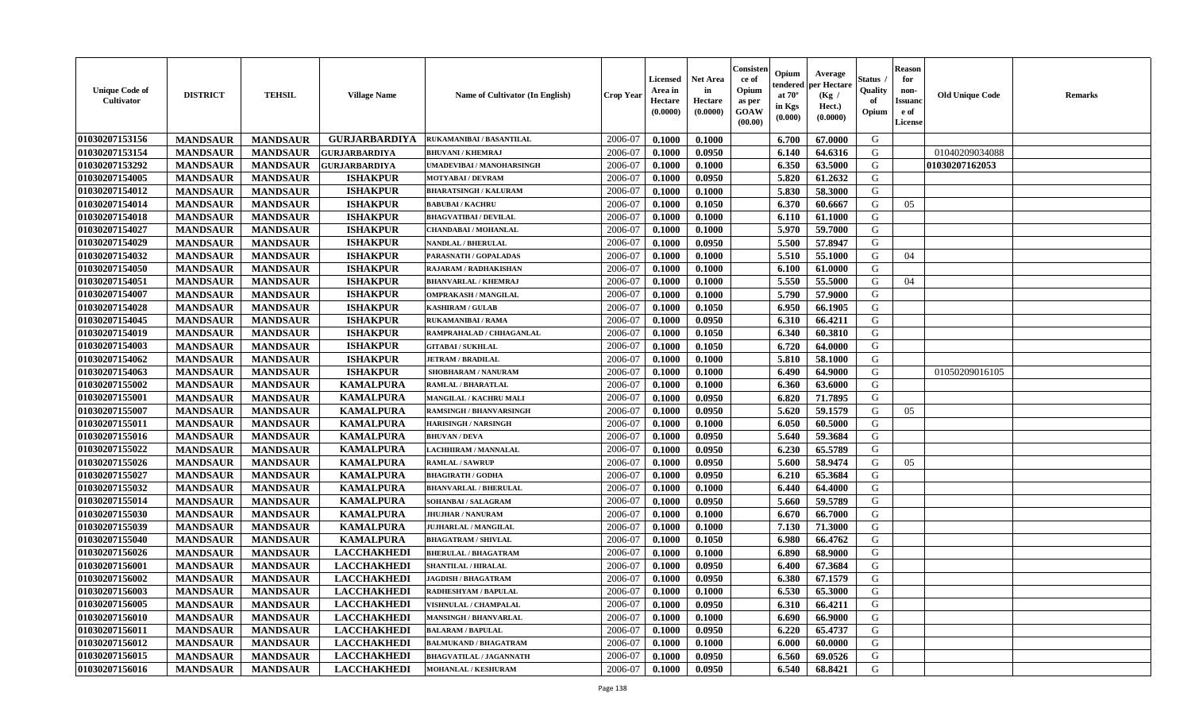| <b>Unique Code of</b><br><b>Cultivator</b> | <b>DISTRICT</b> | <b>TEHSIL</b>   | <b>Village Name</b>  | <b>Name of Cultivator (In English)</b> | <b>Crop Year</b> | <b>Licensed</b><br>Area in<br>Hectare<br>(0.0000) | <b>Net Area</b><br>in<br>Hectare<br>(0.0000) | Consister<br>ce of<br>Opium<br>as per<br><b>GOAW</b><br>(00.00) | Opium<br>endered<br>at $70^\circ$<br>in Kgs<br>$(\mathbf{0.000})$ | Average<br>per Hectare<br>(Kg)<br>Hect.)<br>(0.0000) | Status<br>Quality<br>of<br>Opium | <b>Reason</b><br>for<br>non-<br><b>Issuano</b><br>e of<br>License | <b>Old Unique Code</b> | <b>Remarks</b> |
|--------------------------------------------|-----------------|-----------------|----------------------|----------------------------------------|------------------|---------------------------------------------------|----------------------------------------------|-----------------------------------------------------------------|-------------------------------------------------------------------|------------------------------------------------------|----------------------------------|-------------------------------------------------------------------|------------------------|----------------|
| 01030207153156                             | <b>MANDSAUR</b> | <b>MANDSAUR</b> | <b>GURJARBARDIYA</b> | RUKAMANIBAI / BASANTILAL               | 2006-07          | 0.1000                                            | 0.1000                                       |                                                                 | 6.700                                                             | 67.0000                                              | G                                |                                                                   |                        |                |
| 01030207153154                             | <b>MANDSAUR</b> | <b>MANDSAUR</b> | GURJARBARDIYA        | <b>BHUVANI / KHEMRAJ</b>               | 2006-07          | 0.1000                                            | 0.0950                                       |                                                                 | 6.140                                                             | 64.6316                                              | G                                |                                                                   | 01040209034088         |                |
| 01030207153292                             | <b>MANDSAUR</b> | <b>MANDSAUR</b> | <b>GURJARBARDIYA</b> | UMADEVIBAI / MANOHARSINGH              | 2006-07          | 0.1000                                            | 0.1000                                       |                                                                 | 6.350                                                             | 63.5000                                              | G                                |                                                                   | 01030207162053         |                |
| 01030207154005                             | <b>MANDSAUR</b> | <b>MANDSAUR</b> | <b>ISHAKPUR</b>      | <b>MOTYABAI/DEVRAM</b>                 | 2006-07          | 0.1000                                            | 0.0950                                       |                                                                 | 5.820                                                             | 61.2632                                              | G                                |                                                                   |                        |                |
| 01030207154012                             | <b>MANDSAUR</b> | <b>MANDSAUR</b> | <b>ISHAKPUR</b>      | <b>BHARATSINGH / KALURAM</b>           | 2006-07          | 0.1000                                            | 0.1000                                       |                                                                 | 5.830                                                             | 58.3000                                              | G                                |                                                                   |                        |                |
| 01030207154014                             | <b>MANDSAUR</b> | <b>MANDSAUR</b> | <b>ISHAKPUR</b>      | <b>BABUBAI/KACHRU</b>                  | 2006-07          | 0.1000                                            | 0.1050                                       |                                                                 | 6.370                                                             | 60.6667                                              | G                                | 05                                                                |                        |                |
| 01030207154018                             | <b>MANDSAUR</b> | <b>MANDSAUR</b> | <b>ISHAKPUR</b>      | <b>BHAGVATIBAI/DEVILAL</b>             | 2006-07          | 0.1000                                            | 0.1000                                       |                                                                 | 6.110                                                             | 61.1000                                              | G                                |                                                                   |                        |                |
| 01030207154027                             | <b>MANDSAUR</b> | <b>MANDSAUR</b> | <b>ISHAKPUR</b>      | CHANDABAI / MOHANLAL                   | 2006-07          | 0.1000                                            | 0.1000                                       |                                                                 | 5.970                                                             | 59.7000                                              | G                                |                                                                   |                        |                |
| 01030207154029                             | <b>MANDSAUR</b> | <b>MANDSAUR</b> | <b>ISHAKPUR</b>      | NANDLAL / BHERULAL                     | 2006-07          | 0.1000                                            | 0.0950                                       |                                                                 | 5.500                                                             | 57.8947                                              | G                                |                                                                   |                        |                |
| 01030207154032                             | <b>MANDSAUR</b> | <b>MANDSAUR</b> | <b>ISHAKPUR</b>      | PARASNATH / GOPALADAS                  | 2006-07          | 0.1000                                            | 0.1000                                       |                                                                 | 5.510                                                             | 55.1000                                              | G                                | 04                                                                |                        |                |
| 01030207154050                             | <b>MANDSAUR</b> | <b>MANDSAUR</b> | <b>ISHAKPUR</b>      | RAJARAM / RADHAKISHAN                  | 2006-07          | 0.1000                                            | 0.1000                                       |                                                                 | 6.100                                                             | 61.0000                                              | G                                |                                                                   |                        |                |
| 01030207154051                             | <b>MANDSAUR</b> | <b>MANDSAUR</b> | <b>ISHAKPUR</b>      | <b>BHANVARLAL / KHEMRAJ</b>            | 2006-07          | 0.1000                                            | 0.1000                                       |                                                                 | 5.550                                                             | 55.5000                                              | G                                | 04                                                                |                        |                |
| 01030207154007                             | <b>MANDSAUR</b> | <b>MANDSAUR</b> | <b>ISHAKPUR</b>      | <b>OMPRAKASH / MANGILAL</b>            | 2006-07          | 0.1000                                            | 0.1000                                       |                                                                 | 5.790                                                             | 57.9000                                              | G                                |                                                                   |                        |                |
| 01030207154028                             | <b>MANDSAUR</b> | <b>MANDSAUR</b> | <b>ISHAKPUR</b>      | <b>KASHIRAM / GULAB</b>                | 2006-07          | 0.1000                                            | 0.1050                                       |                                                                 | 6.950                                                             | 66.1905                                              | G                                |                                                                   |                        |                |
| 01030207154045                             | <b>MANDSAUR</b> | <b>MANDSAUR</b> | <b>ISHAKPUR</b>      | RUKAMANIBAI / RAMA                     | 2006-07          | 0.1000                                            | 0.0950                                       |                                                                 | 6.310                                                             | 66.4211                                              | G                                |                                                                   |                        |                |
| 01030207154019                             | <b>MANDSAUR</b> | <b>MANDSAUR</b> | <b>ISHAKPUR</b>      | RAMPRAHALAD / CHHAGANLAL               | 2006-07          | 0.1000                                            | 0.1050                                       |                                                                 | 6.340                                                             | 60.3810                                              | G                                |                                                                   |                        |                |
| 01030207154003                             | <b>MANDSAUR</b> | <b>MANDSAUR</b> | <b>ISHAKPUR</b>      | <b>GITABAI/SUKHLAL</b>                 | 2006-07          | 0.1000                                            | 0.1050                                       |                                                                 | 6.720                                                             | 64.0000                                              | G                                |                                                                   |                        |                |
| 01030207154062                             | <b>MANDSAUR</b> | <b>MANDSAUR</b> | <b>ISHAKPUR</b>      | <b>JETRAM / BRADILAL</b>               | 2006-07          | 0.1000                                            | 0.1000                                       |                                                                 | 5.810                                                             | 58.1000                                              | G                                |                                                                   |                        |                |
| 01030207154063                             | <b>MANDSAUR</b> | <b>MANDSAUR</b> | <b>ISHAKPUR</b>      | SHOBHARAM / NANURAM                    | 2006-07          | 0.1000                                            | 0.1000                                       |                                                                 | 6.490                                                             | 64.9000                                              | G                                |                                                                   | 01050209016105         |                |
| 01030207155002                             | <b>MANDSAUR</b> | <b>MANDSAUR</b> | <b>KAMALPURA</b>     | RAMLAL / BHARATLAL                     | 2006-07          | 0.1000                                            | 0.1000                                       |                                                                 | 6.360                                                             | 63.6000                                              | G                                |                                                                   |                        |                |
| 01030207155001                             | <b>MANDSAUR</b> | <b>MANDSAUR</b> | <b>KAMALPURA</b>     | MANGILAL / KACHRU MALI                 | 2006-07          | 0.1000                                            | 0.0950                                       |                                                                 | 6.820                                                             | 71.7895                                              | G                                |                                                                   |                        |                |
| 01030207155007                             | <b>MANDSAUR</b> | <b>MANDSAUR</b> | <b>KAMALPURA</b>     | RAMSINGH / BHANVARSINGH                | 2006-07          | 0.1000                                            | 0.0950                                       |                                                                 | 5.620                                                             | 59.1579                                              | G                                | 05                                                                |                        |                |
| 01030207155011                             | <b>MANDSAUR</b> | <b>MANDSAUR</b> | <b>KAMALPURA</b>     | <b>HARISINGH / NARSINGH</b>            | 2006-07          | 0.1000                                            | 0.1000                                       |                                                                 | 6.050                                                             | 60.5000                                              | G                                |                                                                   |                        |                |
| 01030207155016                             | <b>MANDSAUR</b> | <b>MANDSAUR</b> | <b>KAMALPURA</b>     | <b>BHUVAN / DEVA</b>                   | 2006-07          | 0.1000                                            | 0.0950                                       |                                                                 | 5.640                                                             | 59.3684                                              | G                                |                                                                   |                        |                |
| 01030207155022                             | <b>MANDSAUR</b> | <b>MANDSAUR</b> | <b>KAMALPURA</b>     | LACHHIRAM / MANNALAL                   | 2006-07          | 0.1000                                            | 0.0950                                       |                                                                 | 6.230                                                             | 65.5789                                              | G                                |                                                                   |                        |                |
| 01030207155026                             | <b>MANDSAUR</b> | <b>MANDSAUR</b> | <b>KAMALPURA</b>     | <b>RAMLAL / SAWRUP</b>                 | 2006-07          | 0.1000                                            | 0.0950                                       |                                                                 | 5.600                                                             | 58.9474                                              | G                                | 05                                                                |                        |                |
| 01030207155027                             | <b>MANDSAUR</b> | <b>MANDSAUR</b> | <b>KAMALPURA</b>     | <b>BHAGIRATH / GODHA</b>               | 2006-07          | 0.1000                                            | 0.0950                                       |                                                                 | 6.210                                                             | 65.3684                                              | G                                |                                                                   |                        |                |
| 01030207155032                             | <b>MANDSAUR</b> | <b>MANDSAUR</b> | <b>KAMALPURA</b>     | <b>BHANVARLAL / BHERULAL</b>           | 2006-07          | 0.1000                                            | 0.1000                                       |                                                                 | 6.440                                                             | 64.4000                                              | G                                |                                                                   |                        |                |
| 01030207155014                             | <b>MANDSAUR</b> | <b>MANDSAUR</b> | <b>KAMALPURA</b>     | SOHANBAI / SALAGRAM                    | 2006-07          | 0.1000                                            | 0.0950                                       |                                                                 | 5.660                                                             | 59.5789                                              | G                                |                                                                   |                        |                |
| 01030207155030                             | <b>MANDSAUR</b> | <b>MANDSAUR</b> | <b>KAMALPURA</b>     | <b>JHUJHAR / NANURAM</b>               | 2006-07          | 0.1000                                            | 0.1000                                       |                                                                 | 6.670                                                             | 66.7000                                              | G                                |                                                                   |                        |                |
| 01030207155039                             | <b>MANDSAUR</b> | <b>MANDSAUR</b> | <b>KAMALPURA</b>     | <b>JUJHARLAL / MANGILAL</b>            | 2006-07          | 0.1000                                            | 0.1000                                       |                                                                 | 7.130                                                             | 71.3000                                              | G                                |                                                                   |                        |                |
| 01030207155040                             | <b>MANDSAUR</b> | <b>MANDSAUR</b> | <b>KAMALPURA</b>     | <b>BHAGATRAM / SHIVLAL</b>             | 2006-07          | 0.1000                                            | 0.1050                                       |                                                                 | 6.980                                                             | 66.4762                                              | G                                |                                                                   |                        |                |
| 01030207156026                             | <b>MANDSAUR</b> | <b>MANDSAUR</b> | <b>LACCHAKHEDI</b>   | <b>BHERULAL / BHAGATRAM</b>            | 2006-07          | 0.1000                                            | 0.1000                                       |                                                                 | 6.890                                                             | 68.9000                                              | G                                |                                                                   |                        |                |
| 01030207156001                             | <b>MANDSAUR</b> | <b>MANDSAUR</b> | <b>LACCHAKHEDI</b>   | SHANTILAL / HIRALAL                    | 2006-07          | 0.1000                                            | 0.0950                                       |                                                                 | 6.400                                                             | 67.3684                                              | G                                |                                                                   |                        |                |
| 01030207156002                             | <b>MANDSAUR</b> | <b>MANDSAUR</b> | <b>LACCHAKHEDI</b>   | <b>JAGDISH / BHAGATRAM</b>             | 2006-07          | 0.1000                                            | 0.0950                                       |                                                                 | 6.380                                                             | 67.1579                                              | G                                |                                                                   |                        |                |
| 01030207156003                             | <b>MANDSAUR</b> | <b>MANDSAUR</b> | <b>LACCHAKHEDI</b>   | RADHESHYAM / BAPULAL                   | 2006-07          | 0.1000                                            | 0.1000                                       |                                                                 | 6.530                                                             | 65.3000                                              | G                                |                                                                   |                        |                |
| 01030207156005                             | <b>MANDSAUR</b> | <b>MANDSAUR</b> | <b>LACCHAKHEDI</b>   | VISHNULAL / CHAMPALAL                  | 2006-07          | 0.1000                                            | 0.0950                                       |                                                                 | 6.310                                                             | 66.4211                                              | G                                |                                                                   |                        |                |
| <b>01030207156010</b>                      | <b>MANDSAUR</b> | <b>MANDSAUR</b> | <b>LACCHAKHEDI</b>   | <b>MANSINGH / BHANVARLAL</b>           | 2006-07          | 0.1000                                            | 0.1000                                       |                                                                 | 6.690                                                             | 66.9000                                              | G                                |                                                                   |                        |                |
| 01030207156011                             | <b>MANDSAUR</b> | <b>MANDSAUR</b> | <b>LACCHAKHEDI</b>   | <b>BALARAM / BAPULAL</b>               | 2006-07          | 0.1000                                            | 0.0950                                       |                                                                 | 6.220                                                             | 65.4737                                              | G                                |                                                                   |                        |                |
| 01030207156012                             | <b>MANDSAUR</b> | <b>MANDSAUR</b> | <b>LACCHAKHEDI</b>   | <b>BALMUKAND / BHAGATRAM</b>           | 2006-07          | 0.1000                                            | 0.1000                                       |                                                                 | 6.000                                                             | 60.0000                                              | G                                |                                                                   |                        |                |
| 01030207156015                             | <b>MANDSAUR</b> | <b>MANDSAUR</b> | <b>LACCHAKHEDI</b>   | <b>BHAGVATILAL / JAGANNATH</b>         | 2006-07          | 0.1000                                            | 0.0950                                       |                                                                 | 6.560                                                             | 69.0526                                              | G                                |                                                                   |                        |                |
| 01030207156016                             | <b>MANDSAUR</b> | <b>MANDSAUR</b> | <b>LACCHAKHEDI</b>   | <b>MOHANLAL / KESHURAM</b>             | 2006-07          | 0.1000                                            | 0.0950                                       |                                                                 | 6.540                                                             | 68.8421                                              | G                                |                                                                   |                        |                |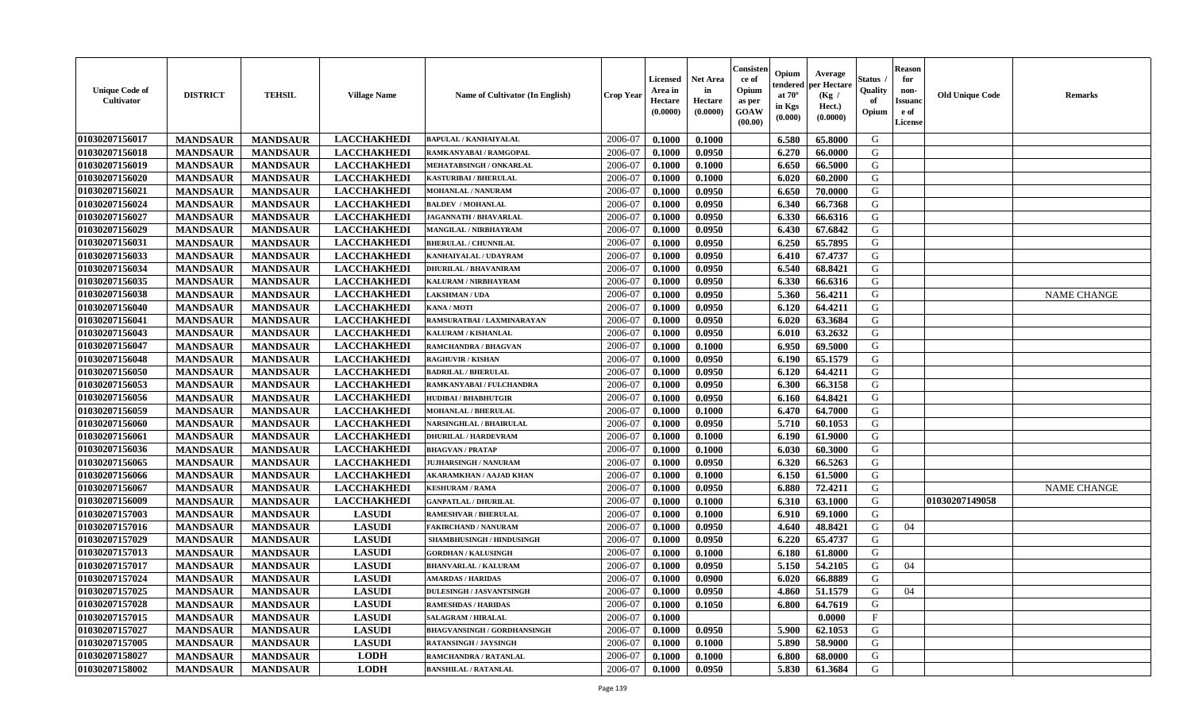| <b>Unique Code of</b><br>Cultivator | <b>DISTRICT</b> | <b>TEHSIL</b>   | <b>Village Name</b> | <b>Name of Cultivator (In English)</b> | <b>Crop Year</b> | <b>Licensed</b><br>Area in<br>Hectare<br>(0.0000) | <b>Net Area</b><br>in<br>Hectare<br>(0.0000) | Consister<br>ce of<br>Opium<br>as per<br><b>GOAW</b><br>(00.00) | Opium<br>tendered<br>at $70^\circ$<br>in Kgs<br>$(\mathbf{0.000})$ | Average<br>per Hectare<br>(Kg /<br>Hect.)<br>(0.0000) | Status .<br>Quality<br>of<br>Opium | <b>Reason</b><br>for<br>non-<br><b>Issuand</b><br>e of<br>License | <b>Old Unique Code</b> | <b>Remarks</b>     |
|-------------------------------------|-----------------|-----------------|---------------------|----------------------------------------|------------------|---------------------------------------------------|----------------------------------------------|-----------------------------------------------------------------|--------------------------------------------------------------------|-------------------------------------------------------|------------------------------------|-------------------------------------------------------------------|------------------------|--------------------|
| 01030207156017                      | <b>MANDSAUR</b> | <b>MANDSAUR</b> | <b>LACCHAKHEDI</b>  | <b>BAPULAL / KANHAIYALAL</b>           | 2006-07          | 0.1000                                            | 0.1000                                       |                                                                 | 6.580                                                              | 65.8000                                               | G                                  |                                                                   |                        |                    |
| 01030207156018                      | <b>MANDSAUR</b> | <b>MANDSAUR</b> | <b>LACCHAKHEDI</b>  | RAMKANYABAI / RAMGOPAL                 | 2006-07          | 0.1000                                            | 0.0950                                       |                                                                 | 6.270                                                              | 66.0000                                               | G                                  |                                                                   |                        |                    |
| 01030207156019                      | <b>MANDSAUR</b> | <b>MANDSAUR</b> | <b>LACCHAKHEDI</b>  | <b>MEHATABSINGH / ONKARLAL</b>         | 2006-07          | 0.1000                                            | 0.1000                                       |                                                                 | 6.650                                                              | 66.5000                                               | G                                  |                                                                   |                        |                    |
| 01030207156020                      | <b>MANDSAUR</b> | <b>MANDSAUR</b> | <b>LACCHAKHEDI</b>  | <b>KASTURIBAI / BHERULAL</b>           | 2006-07          | 0.1000                                            | 0.1000                                       |                                                                 | 6.020                                                              | 60.2000                                               | G                                  |                                                                   |                        |                    |
| 01030207156021                      | <b>MANDSAUR</b> | <b>MANDSAUR</b> | <b>LACCHAKHEDI</b>  | <b>MOHANLAL / NANURAM</b>              | 2006-07          | 0.1000                                            | 0.0950                                       |                                                                 | 6.650                                                              | 70.0000                                               | G                                  |                                                                   |                        |                    |
| 01030207156024                      | <b>MANDSAUR</b> | <b>MANDSAUR</b> | <b>LACCHAKHEDI</b>  | <b>BALDEV / MOHANLAL</b>               | 2006-07          | 0.1000                                            | 0.0950                                       |                                                                 | 6.340                                                              | 66.7368                                               | G                                  |                                                                   |                        |                    |
| 01030207156027                      | <b>MANDSAUR</b> | <b>MANDSAUR</b> | <b>LACCHAKHEDI</b>  | <b>JAGANNATH / BHAVARLAL</b>           | 2006-07          | 0.1000                                            | 0.0950                                       |                                                                 | 6.330                                                              | 66.6316                                               | G                                  |                                                                   |                        |                    |
| 01030207156029                      | <b>MANDSAUR</b> | <b>MANDSAUR</b> | <b>LACCHAKHEDI</b>  | MANGILAL / NIRBHAYRAM                  | 2006-07          | 0.1000                                            | 0.0950                                       |                                                                 | 6.430                                                              | 67.6842                                               | G                                  |                                                                   |                        |                    |
| 01030207156031                      | <b>MANDSAUR</b> | <b>MANDSAUR</b> | <b>LACCHAKHEDI</b>  | <b>BHERULAL / CHUNNILAL</b>            | 2006-07          | 0.1000                                            | 0.0950                                       |                                                                 | 6.250                                                              | 65.7895                                               | G                                  |                                                                   |                        |                    |
| 01030207156033                      | <b>MANDSAUR</b> | <b>MANDSAUR</b> | <b>LACCHAKHEDI</b>  | KANHAIYALAL / UDAYRAM                  | 2006-07          | 0.1000                                            | 0.0950                                       |                                                                 | 6.410                                                              | 67.4737                                               | G                                  |                                                                   |                        |                    |
| 01030207156034                      | <b>MANDSAUR</b> | <b>MANDSAUR</b> | <b>LACCHAKHEDI</b>  | DHURILAL / BHAVANIRAM                  | 2006-07          | 0.1000                                            | 0.0950                                       |                                                                 | 6.540                                                              | 68.8421                                               | G                                  |                                                                   |                        |                    |
| 01030207156035                      | <b>MANDSAUR</b> | <b>MANDSAUR</b> | <b>LACCHAKHEDI</b>  | KALURAM / NIRBHAYRAM                   | 2006-07          | 0.1000                                            | 0.0950                                       |                                                                 | 6.330                                                              | 66.6316                                               | G                                  |                                                                   |                        |                    |
| 01030207156038                      | <b>MANDSAUR</b> | <b>MANDSAUR</b> | <b>LACCHAKHEDI</b>  | <b>LAKSHMAN / UDA</b>                  | 2006-07          | 0.1000                                            | 0.0950                                       |                                                                 | 5.360                                                              | 56.4211                                               | G                                  |                                                                   |                        | <b>NAME CHANGE</b> |
| 01030207156040                      | <b>MANDSAUR</b> | <b>MANDSAUR</b> | <b>LACCHAKHEDI</b>  | KANA / MOTI                            | 2006-07          | 0.1000                                            | 0.0950                                       |                                                                 | 6.120                                                              | 64.4211                                               | G                                  |                                                                   |                        |                    |
| 01030207156041                      | <b>MANDSAUR</b> | <b>MANDSAUR</b> | <b>LACCHAKHEDI</b>  | RAMSURATBAI / LAXMINARAYAN             | 2006-07          | 0.1000                                            | 0.0950                                       |                                                                 | 6.020                                                              | 63.3684                                               | G                                  |                                                                   |                        |                    |
| 01030207156043                      | <b>MANDSAUR</b> | <b>MANDSAUR</b> | <b>LACCHAKHEDI</b>  | KALURAM / KISHANLAL                    | 2006-07          | 0.1000                                            | 0.0950                                       |                                                                 | 6.010                                                              | 63.2632                                               | G                                  |                                                                   |                        |                    |
| 01030207156047                      | <b>MANDSAUR</b> | <b>MANDSAUR</b> | <b>LACCHAKHEDI</b>  | RAMCHANDRA / BHAGVAN                   | 2006-07          | 0.1000                                            | 0.1000                                       |                                                                 | 6.950                                                              | 69.5000                                               | G                                  |                                                                   |                        |                    |
| 01030207156048                      | <b>MANDSAUR</b> | <b>MANDSAUR</b> | <b>LACCHAKHEDI</b>  | <b>RAGHUVIR / KISHAN</b>               | 2006-07          | 0.1000                                            | 0.0950                                       |                                                                 | 6.190                                                              | 65.1579                                               | G                                  |                                                                   |                        |                    |
| 01030207156050                      | <b>MANDSAUR</b> | <b>MANDSAUR</b> | <b>LACCHAKHEDI</b>  | <b>BADRILAL / BHERULAL</b>             | 2006-07          | 0.1000                                            | 0.0950                                       |                                                                 | 6.120                                                              | 64.4211                                               | G                                  |                                                                   |                        |                    |
| 01030207156053                      | <b>MANDSAUR</b> | <b>MANDSAUR</b> | <b>LACCHAKHEDI</b>  | RAMKANYABAI / FULCHANDRA               | 2006-07          | 0.1000                                            | 0.0950                                       |                                                                 | 6.300                                                              | 66.3158                                               | G                                  |                                                                   |                        |                    |
| 01030207156056                      | <b>MANDSAUR</b> | <b>MANDSAUR</b> | <b>LACCHAKHEDI</b>  | <b>HUDIBAI/BHABHUTGIR</b>              | 2006-07          | 0.1000                                            | 0.0950                                       |                                                                 | 6.160                                                              | 64.8421                                               | G                                  |                                                                   |                        |                    |
| 01030207156059                      | <b>MANDSAUR</b> | <b>MANDSAUR</b> | <b>LACCHAKHEDI</b>  | <b>MOHANLAL / BHERULAL</b>             | 2006-07          | 0.1000                                            | 0.1000                                       |                                                                 | 6.470                                                              | 64.7000                                               | G                                  |                                                                   |                        |                    |
| 01030207156060                      | <b>MANDSAUR</b> | <b>MANDSAUR</b> | <b>LACCHAKHEDI</b>  | <b>NARSINGHLAL / BHAIRULAL</b>         | 2006-07          | 0.1000                                            | 0.0950                                       |                                                                 | 5.710                                                              | 60.1053                                               | G                                  |                                                                   |                        |                    |
| 01030207156061                      | <b>MANDSAUR</b> | <b>MANDSAUR</b> | <b>LACCHAKHEDI</b>  | <b>DHURILAL / HARDEVRAM</b>            | 2006-07          | 0.1000                                            | 0.1000                                       |                                                                 | 6.190                                                              | 61.9000                                               | G                                  |                                                                   |                        |                    |
| 01030207156036                      | <b>MANDSAUR</b> | <b>MANDSAUR</b> | <b>LACCHAKHEDI</b>  | <b>BHAGVAN / PRATAP</b>                | 2006-07          | 0.1000                                            | 0.1000                                       |                                                                 | 6.030                                                              | 60.3000                                               | G                                  |                                                                   |                        |                    |
| 01030207156065                      | <b>MANDSAUR</b> | <b>MANDSAUR</b> | <b>LACCHAKHEDI</b>  | <b>JUJHARSINGH / NANURAM</b>           | 2006-07          | 0.1000                                            | 0.0950                                       |                                                                 | 6.320                                                              | 66.5263                                               | G                                  |                                                                   |                        |                    |
| 01030207156066                      | <b>MANDSAUR</b> | <b>MANDSAUR</b> | <b>LACCHAKHEDI</b>  | AKARAMKHAN / AAJAD KHAN                | 2006-07          | 0.1000                                            | 0.1000                                       |                                                                 | 6.150                                                              | 61.5000                                               | G                                  |                                                                   |                        |                    |
| 01030207156067                      | <b>MANDSAUR</b> | <b>MANDSAUR</b> | <b>LACCHAKHEDI</b>  | <b>KESHURAM / RAMA</b>                 | 2006-07          | 0.1000                                            | 0.0950                                       |                                                                 | 6.880                                                              | 72,4211                                               | G                                  |                                                                   |                        | <b>NAME CHANGE</b> |
| 01030207156009                      | <b>MANDSAUR</b> | <b>MANDSAUR</b> | <b>LACCHAKHEDI</b>  | <b>GANPATLAL / DHURILAL</b>            | 2006-07          | 0.1000                                            | 0.1000                                       |                                                                 | 6.310                                                              | 63.1000                                               | G                                  |                                                                   | 01030207149058         |                    |
| 01030207157003                      | <b>MANDSAUR</b> | <b>MANDSAUR</b> | <b>LASUDI</b>       | RAMESHVAR / BHERULAL                   | 2006-07          | 0.1000                                            | 0.1000                                       |                                                                 | 6.910                                                              | 69.1000                                               | G                                  |                                                                   |                        |                    |
| 01030207157016                      | <b>MANDSAUR</b> | <b>MANDSAUR</b> | <b>LASUDI</b>       | <b>FAKIRCHAND / NANURAM</b>            | 2006-07          | 0.1000                                            | 0.0950                                       |                                                                 | 4.640                                                              | 48.8421                                               | G                                  | 04                                                                |                        |                    |
| 01030207157029                      | <b>MANDSAUR</b> | <b>MANDSAUR</b> | <b>LASUDI</b>       | <b>SHAMBHUSINGH / HINDUSINGH</b>       | 2006-07          | 0.1000                                            | 0.0950                                       |                                                                 | 6.220                                                              | 65.4737                                               | G                                  |                                                                   |                        |                    |
| 01030207157013                      | <b>MANDSAUR</b> | <b>MANDSAUR</b> | <b>LASUDI</b>       | <b>GORDHAN / KALUSINGH</b>             | 2006-07          | 0.1000                                            | 0.1000                                       |                                                                 | 6.180                                                              | 61.8000                                               | G                                  |                                                                   |                        |                    |
| 01030207157017                      | <b>MANDSAUR</b> | <b>MANDSAUR</b> | <b>LASUDI</b>       | <b>BHANVARLAL / KALURAM</b>            | 2006-07          | 0.1000                                            | 0.0950                                       |                                                                 | 5.150                                                              | 54.2105                                               | G                                  | 04                                                                |                        |                    |
| 01030207157024                      | <b>MANDSAUR</b> | <b>MANDSAUR</b> | <b>LASUDI</b>       | <b>AMARDAS / HARIDAS</b>               | 2006-07          | 0.1000                                            | 0.0900                                       |                                                                 | 6.020                                                              | 66.8889                                               | G                                  |                                                                   |                        |                    |
| 01030207157025                      | <b>MANDSAUR</b> | <b>MANDSAUR</b> | <b>LASUDI</b>       | <b>DULESINGH / JASVANTSINGH</b>        | 2006-07          | 0.1000                                            | 0.0950                                       |                                                                 | 4.860                                                              | 51.1579                                               | G                                  | 04                                                                |                        |                    |
| 01030207157028                      | <b>MANDSAUR</b> | <b>MANDSAUR</b> | <b>LASUDI</b>       | <b>RAMESHDAS / HARIDAS</b>             | 2006-07          | 0.1000                                            | 0.1050                                       |                                                                 | 6.800                                                              | 64.7619                                               | G                                  |                                                                   |                        |                    |
| 01030207157015                      | <b>MANDSAUR</b> | <b>MANDSAUR</b> | <b>LASUDI</b>       | <b>SALAGRAM / HIRALAL</b>              | 2006-07          | 0.1000                                            |                                              |                                                                 |                                                                    | 0.0000                                                | $\mathbf{F}$                       |                                                                   |                        |                    |
| 01030207157027                      | <b>MANDSAUR</b> | <b>MANDSAUR</b> | <b>LASUDI</b>       | <b>BHAGVANSINGH / GORDHANSINGH</b>     | 2006-07          | 0.1000                                            | 0.0950                                       |                                                                 | 5.900                                                              | 62.1053                                               | G                                  |                                                                   |                        |                    |
| 01030207157005                      | <b>MANDSAUR</b> | <b>MANDSAUR</b> | <b>LASUDI</b>       | <b>RATANSINGH / JAYSINGH</b>           | 2006-07          | 0.1000                                            | 0.1000                                       |                                                                 | 5.890                                                              | 58.9000                                               | G                                  |                                                                   |                        |                    |
| 01030207158027                      | <b>MANDSAUR</b> | <b>MANDSAUR</b> | <b>LODH</b>         | RAMCHANDRA / RATANLAL                  | 2006-07          | 0.1000                                            | 0.1000                                       |                                                                 | 6.800                                                              | 68.0000                                               | G                                  |                                                                   |                        |                    |
| 01030207158002                      | <b>MANDSAUR</b> | <b>MANDSAUR</b> | <b>LODH</b>         | <b>BANSHILAL / RATANLAL</b>            | 2006-07          | 0.1000                                            | 0.0950                                       |                                                                 | 5.830                                                              | 61.3684                                               | G                                  |                                                                   |                        |                    |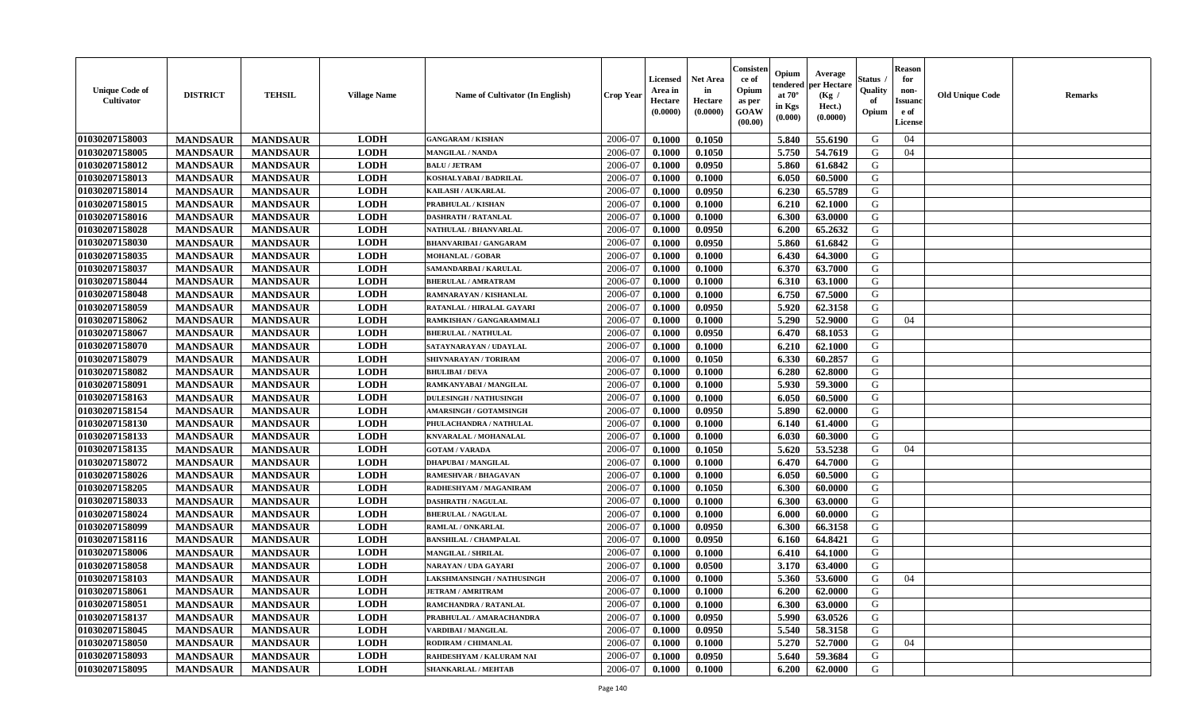| <b>Unique Code of</b><br><b>Cultivator</b> | <b>DISTRICT</b> | <b>TEHSIL</b>   | <b>Village Name</b> | Name of Cultivator (In English)   | <b>Crop Year</b> | <b>Licensed</b><br>Area in<br>Hectare<br>(0.0000) | <b>Net Area</b><br>in<br>Hectare<br>(0.0000) | Consisteı<br>ce of<br>Opium<br>as per<br><b>GOAW</b><br>(00.00) | Opium<br>endered<br>at $70^\circ$<br>in Kgs<br>$(\mathbf{0.000})$ | Average<br>per Hectare<br>(Kg /<br>Hect.)<br>(0.0000) | Status<br>Quality<br>of<br>Opium | Reason<br>for<br>non-<br>Issuan<br>e of<br><b>License</b> | <b>Old Unique Code</b> | <b>Remarks</b> |
|--------------------------------------------|-----------------|-----------------|---------------------|-----------------------------------|------------------|---------------------------------------------------|----------------------------------------------|-----------------------------------------------------------------|-------------------------------------------------------------------|-------------------------------------------------------|----------------------------------|-----------------------------------------------------------|------------------------|----------------|
| 01030207158003                             | <b>MANDSAUR</b> | <b>MANDSAUR</b> | <b>LODH</b>         | <b>GANGARAM / KISHAN</b>          | 2006-07          | 0.1000                                            | 0.1050                                       |                                                                 | 5.840                                                             | 55.6190                                               | G                                | 04                                                        |                        |                |
| 01030207158005                             | <b>MANDSAUR</b> | <b>MANDSAUR</b> | <b>LODH</b>         | <b>MANGILAL / NANDA</b>           | 2006-07          | 0.1000                                            | 0.1050                                       |                                                                 | 5.750                                                             | 54.7619                                               | G                                | 04                                                        |                        |                |
| 01030207158012                             | <b>MANDSAUR</b> | <b>MANDSAUR</b> | <b>LODH</b>         | <b>BALU / JETRAM</b>              | 2006-07          | 0.1000                                            | 0.0950                                       |                                                                 | 5.860                                                             | 61.6842                                               | G                                |                                                           |                        |                |
| 01030207158013                             | <b>MANDSAUR</b> | <b>MANDSAUR</b> | <b>LODH</b>         | KOSHALYABAI / BADRILAL            | 2006-07          | 0.1000                                            | 0.1000                                       |                                                                 | 6.050                                                             | 60.5000                                               | G                                |                                                           |                        |                |
| 01030207158014                             | <b>MANDSAUR</b> | <b>MANDSAUR</b> | <b>LODH</b>         | KAILASH / AUKARLAL                | 2006-07          | 0.1000                                            | 0.0950                                       |                                                                 | 6.230                                                             | 65.5789                                               | G                                |                                                           |                        |                |
| 01030207158015                             | <b>MANDSAUR</b> | <b>MANDSAUR</b> | <b>LODH</b>         | <b>PRABHULAL / KISHAN</b>         | 2006-07          | 0.1000                                            | 0.1000                                       |                                                                 | 6.210                                                             | 62.1000                                               | G                                |                                                           |                        |                |
| 01030207158016                             | <b>MANDSAUR</b> | <b>MANDSAUR</b> | <b>LODH</b>         | <b>DASHRATH / RATANLAL</b>        | 2006-07          | 0.1000                                            | 0.1000                                       |                                                                 | 6.300                                                             | 63.0000                                               | G                                |                                                           |                        |                |
| 01030207158028                             | <b>MANDSAUR</b> | <b>MANDSAUR</b> | <b>LODH</b>         | NATHULAL / BHANVARLAL             | 2006-07          | 0.1000                                            | 0.0950                                       |                                                                 | 6.200                                                             | 65.2632                                               | G                                |                                                           |                        |                |
| 01030207158030                             | <b>MANDSAUR</b> | <b>MANDSAUR</b> | <b>LODH</b>         | <b>BHANVARIBAI / GANGARAM</b>     | 2006-07          | 0.1000                                            | 0.0950                                       |                                                                 | 5.860                                                             | 61.6842                                               | G                                |                                                           |                        |                |
| 01030207158035                             | <b>MANDSAUR</b> | <b>MANDSAUR</b> | <b>LODH</b>         | <b>MOHANLAL / GOBAR</b>           | 2006-07          | 0.1000                                            | 0.1000                                       |                                                                 | 6.430                                                             | 64.3000                                               | G                                |                                                           |                        |                |
| 01030207158037                             | <b>MANDSAUR</b> | <b>MANDSAUR</b> | <b>LODH</b>         | SAMANDARBAI / KARULAL             | 2006-07          | 0.1000                                            | 0.1000                                       |                                                                 | 6.370                                                             | 63.7000                                               | G                                |                                                           |                        |                |
| 01030207158044                             | <b>MANDSAUR</b> | <b>MANDSAUR</b> | <b>LODH</b>         | <b>BHERULAL / AMRATRAM</b>        | 2006-07          | 0.1000                                            | 0.1000                                       |                                                                 | 6.310                                                             | 63.1000                                               | G                                |                                                           |                        |                |
| 01030207158048                             | <b>MANDSAUR</b> | <b>MANDSAUR</b> | <b>LODH</b>         | RAMNARAYAN / KISHANLAL            | 2006-07          | 0.1000                                            | 0.1000                                       |                                                                 | 6.750                                                             | 67.5000                                               | G                                |                                                           |                        |                |
| 01030207158059                             | <b>MANDSAUR</b> | <b>MANDSAUR</b> | <b>LODH</b>         | RATANLAL / HIRALAL GAYARI         | 2006-07          | 0.1000                                            | 0.0950                                       |                                                                 | 5.920                                                             | 62.3158                                               | G                                |                                                           |                        |                |
| 01030207158062                             | <b>MANDSAUR</b> | <b>MANDSAUR</b> | <b>LODH</b>         | RAMKISHAN / GANGARAMMALI          | 2006-07          | 0.1000                                            | 0.1000                                       |                                                                 | 5.290                                                             | 52.9000                                               | G                                | 04                                                        |                        |                |
| 01030207158067                             | <b>MANDSAUR</b> | <b>MANDSAUR</b> | <b>LODH</b>         | <b>BHERULAL / NATHULAL</b>        | 2006-07          | 0.1000                                            | 0.0950                                       |                                                                 | 6.470                                                             | 68.1053                                               | G                                |                                                           |                        |                |
| 01030207158070                             | <b>MANDSAUR</b> | <b>MANDSAUR</b> | <b>LODH</b>         | SATAYNARAYAN / UDAYLAL            | 2006-07          | 0.1000                                            | 0.1000                                       |                                                                 | 6.210                                                             | 62.1000                                               | G                                |                                                           |                        |                |
| 01030207158079                             | <b>MANDSAUR</b> | <b>MANDSAUR</b> | <b>LODH</b>         | SHIVNARAYAN / TORIRAM             | 2006-07          | 0.1000                                            | 0.1050                                       |                                                                 | 6.330                                                             | 60.2857                                               | G                                |                                                           |                        |                |
| 01030207158082                             | <b>MANDSAUR</b> | <b>MANDSAUR</b> | <b>LODH</b>         | <b>BHULIBAI/DEVA</b>              | 2006-07          | 0.1000                                            | 0.1000                                       |                                                                 | 6.280                                                             | 62.8000                                               | G                                |                                                           |                        |                |
| 01030207158091                             | <b>MANDSAUR</b> | <b>MANDSAUR</b> | <b>LODH</b>         | RAMKANYABAI / MANGILAL            | 2006-07          | 0.1000                                            | 0.1000                                       |                                                                 | 5.930                                                             | 59.3000                                               | G                                |                                                           |                        |                |
| 01030207158163                             | <b>MANDSAUR</b> | <b>MANDSAUR</b> | <b>LODH</b>         | <b>DULESINGH / NATHUSINGH</b>     | 2006-07          | 0.1000                                            | 0.1000                                       |                                                                 | 6.050                                                             | 60.5000                                               | G                                |                                                           |                        |                |
| 01030207158154                             | <b>MANDSAUR</b> | <b>MANDSAUR</b> | <b>LODH</b>         | <b>AMARSINGH / GOTAMSINGH</b>     | 2006-07          | 0.1000                                            | 0.0950                                       |                                                                 | 5.890                                                             | 62.0000                                               | G                                |                                                           |                        |                |
| 01030207158130                             | <b>MANDSAUR</b> | <b>MANDSAUR</b> | <b>LODH</b>         | PHULACHANDRA / NATHULAL           | 2006-07          | 0.1000                                            | 0.1000                                       |                                                                 | 6.140                                                             | 61.4000                                               | G                                |                                                           |                        |                |
| 01030207158133                             | <b>MANDSAUR</b> | <b>MANDSAUR</b> | <b>LODH</b>         | KNVARALAL / MOHANALAL             | 2006-07          | 0.1000                                            | 0.1000                                       |                                                                 | 6.030                                                             | 60.3000                                               | G                                |                                                           |                        |                |
| 01030207158135                             | <b>MANDSAUR</b> | <b>MANDSAUR</b> | <b>LODH</b>         | <b>GOTAM / VARADA</b>             | 2006-07          | 0.1000                                            | 0.1050                                       |                                                                 | 5.620                                                             | 53.5238                                               | G                                | 04                                                        |                        |                |
| 01030207158072                             | <b>MANDSAUR</b> | <b>MANDSAUR</b> | <b>LODH</b>         | <b>DHAPUBAI/MANGILAL</b>          | 2006-07          | 0.1000                                            | 0.1000                                       |                                                                 | 6.470                                                             | 64.7000                                               | G                                |                                                           |                        |                |
| 01030207158026                             | <b>MANDSAUR</b> | <b>MANDSAUR</b> | <b>LODH</b>         | <b>RAMESHVAR / BHAGAVAN</b>       | 2006-07          | 0.1000                                            | 0.1000                                       |                                                                 | 6.050                                                             | 60.5000                                               | G                                |                                                           |                        |                |
| 01030207158205                             | <b>MANDSAUR</b> | <b>MANDSAUR</b> | <b>LODH</b>         | RADHESHYAM / MAGANIRAM            | 2006-07          | 0.1000                                            | 0.1050                                       |                                                                 | 6.300                                                             | 60.0000                                               | G                                |                                                           |                        |                |
| 01030207158033                             | <b>MANDSAUR</b> | <b>MANDSAUR</b> | <b>LODH</b>         | <b>DASHRATH / NAGULAL</b>         | 2006-07          | 0.1000                                            | 0.1000                                       |                                                                 | 6.300                                                             | 63.0000                                               | G                                |                                                           |                        |                |
| 01030207158024                             | <b>MANDSAUR</b> | <b>MANDSAUR</b> | <b>LODH</b>         | <b>BHERULAL / NAGULAL</b>         | 2006-07          | 0.1000                                            | 0.1000                                       |                                                                 | 6.000                                                             | 60.0000                                               | G                                |                                                           |                        |                |
| 01030207158099                             | <b>MANDSAUR</b> | <b>MANDSAUR</b> | <b>LODH</b>         | RAMLAL / ONKARLAL                 | 2006-07          | 0.1000                                            | 0.0950                                       |                                                                 | 6.300                                                             | 66.3158                                               | G                                |                                                           |                        |                |
| 01030207158116                             | <b>MANDSAUR</b> | <b>MANDSAUR</b> | <b>LODH</b>         | <b>BANSHILAL / CHAMPALAL</b>      | 2006-07          | 0.1000                                            | 0.0950                                       |                                                                 | 6.160                                                             | 64.8421                                               | G                                |                                                           |                        |                |
| 01030207158006                             | <b>MANDSAUR</b> | <b>MANDSAUR</b> | <b>LODH</b>         | <b>MANGILAL / SHRILAL</b>         | 2006-07          | 0.1000                                            | 0.1000                                       |                                                                 | 6.410                                                             | 64.1000                                               | G                                |                                                           |                        |                |
| 01030207158058                             | <b>MANDSAUR</b> | <b>MANDSAUR</b> | <b>LODH</b>         | NARAYAN / UDA GAYARI              | 2006-07          | 0.1000                                            | 0.0500                                       |                                                                 | 3.170                                                             | 63.4000                                               | G                                |                                                           |                        |                |
| 01030207158103                             | <b>MANDSAUR</b> | <b>MANDSAUR</b> | <b>LODH</b>         | <b>LAKSHMANSINGH / NATHUSINGH</b> | 2006-07          | 0.1000                                            | 0.1000                                       |                                                                 | 5.360                                                             | 53.6000                                               | G                                | 04                                                        |                        |                |
| 01030207158061                             | <b>MANDSAUR</b> | <b>MANDSAUR</b> | <b>LODH</b>         | <b>JETRAM / AMRITRAM</b>          | 2006-07          | 0.1000                                            | 0.1000                                       |                                                                 | $6.200$                                                           | 62.0000                                               | G                                |                                                           |                        |                |
| <b>01030207158051</b>                      | <b>MANDSAUR</b> | <b>MANDSAUR</b> | <b>LODH</b>         | <b>RAMCHANDRA / RATANLAL</b>      | 2006-07          | 0.1000                                            | 0.1000                                       |                                                                 | 6.300                                                             | 63.0000                                               | G                                |                                                           |                        |                |
| <b>01030207158137</b>                      | <b>MANDSAUR</b> | <b>MANDSAUR</b> | <b>LODH</b>         | PRABHULAL / AMARACHANDRA          | 2006-07          | 0.1000                                            | 0.0950                                       |                                                                 | 5.990                                                             | 63.0526                                               | G                                |                                                           |                        |                |
| 01030207158045                             | <b>MANDSAUR</b> | <b>MANDSAUR</b> | <b>LODH</b>         | VARDIBAI / MANGILAL               | 2006-07          | 0.1000                                            | 0.0950                                       |                                                                 | 5.540                                                             | 58.3158                                               | G                                |                                                           |                        |                |
| 01030207158050                             | <b>MANDSAUR</b> | <b>MANDSAUR</b> | <b>LODH</b>         | RODIRAM / CHIMANLAL               | 2006-07          | 0.1000                                            | 0.1000                                       |                                                                 | 5.270                                                             | 52.7000                                               | G                                | 04                                                        |                        |                |
| 01030207158093                             | <b>MANDSAUR</b> | <b>MANDSAUR</b> | <b>LODH</b>         | RAHDESHYAM / KALURAM NAI          | 2006-07          | 0.1000                                            | 0.0950                                       |                                                                 | 5.640                                                             | 59.3684                                               | G                                |                                                           |                        |                |
| 01030207158095                             | <b>MANDSAUR</b> | <b>MANDSAUR</b> | <b>LODH</b>         | <b>SHANKARLAL / MEHTAB</b>        | 2006-07          | 0.1000                                            | 0.1000                                       |                                                                 | 6.200                                                             | 62.0000                                               | G                                |                                                           |                        |                |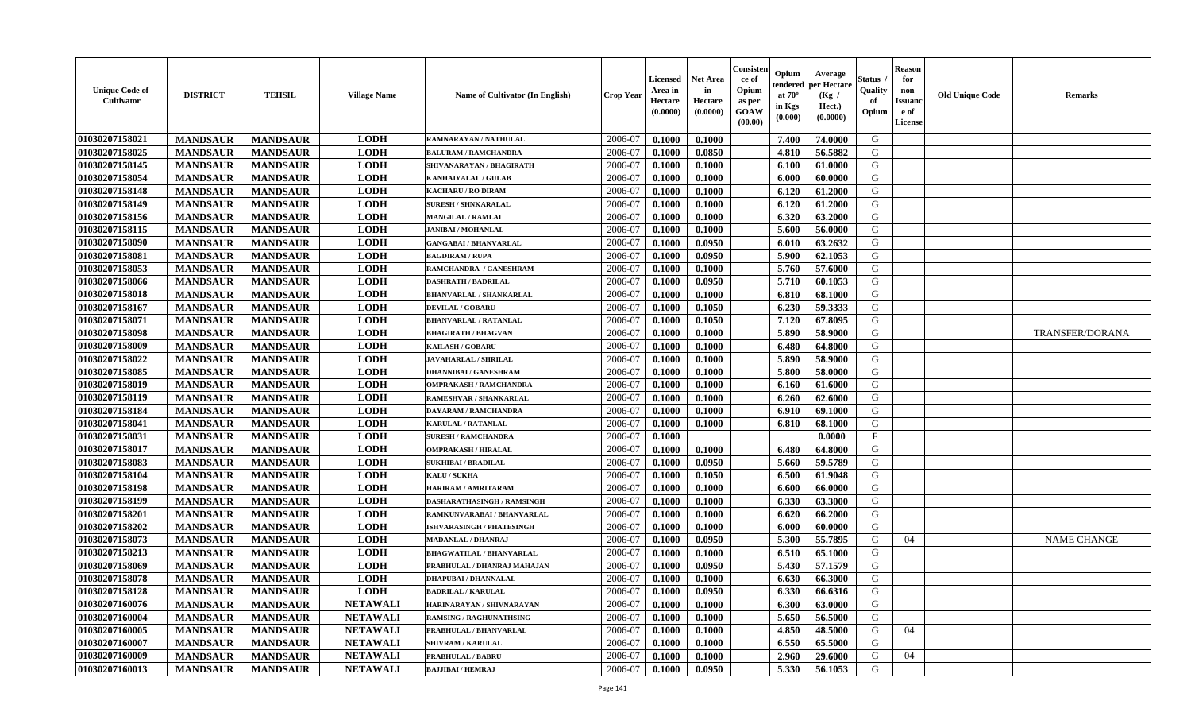| <b>Unique Code of</b><br><b>Cultivator</b> | <b>DISTRICT</b> | <b>TEHSIL</b>   | <b>Village Name</b> | <b>Name of Cultivator (In English)</b> | <b>Crop Year</b> | <b>Licensed</b><br>Area in<br>Hectare<br>(0.0000) | Net Area<br>in<br>Hectare<br>(0.0000) | Consisteı<br>ce of<br>Opium<br>as per<br>GOAW<br>(00.00) | Opium<br>endered<br>at $70^\circ$<br>in Kgs<br>(0.000) | Average<br>per Hectare<br>(Kg /<br>Hect.)<br>(0.0000) | Status<br>Quality<br>of<br>Opium | <b>Reason</b><br>for<br>non-<br>Issuano<br>e of<br>License | <b>Old Unique Code</b> | Remarks                |
|--------------------------------------------|-----------------|-----------------|---------------------|----------------------------------------|------------------|---------------------------------------------------|---------------------------------------|----------------------------------------------------------|--------------------------------------------------------|-------------------------------------------------------|----------------------------------|------------------------------------------------------------|------------------------|------------------------|
| 01030207158021                             | <b>MANDSAUR</b> | <b>MANDSAUR</b> | <b>LODH</b>         | RAMNARAYAN / NATHULAL                  | 2006-07          | 0.1000                                            | 0.1000                                |                                                          | 7.400                                                  | 74.0000                                               | G                                |                                                            |                        |                        |
| 01030207158025                             | <b>MANDSAUR</b> | <b>MANDSAUR</b> | <b>LODH</b>         | <b>BALURAM / RAMCHANDRA</b>            | 2006-07          | 0.1000                                            | 0.0850                                |                                                          | 4.810                                                  | 56.5882                                               | G                                |                                                            |                        |                        |
| 01030207158145                             | <b>MANDSAUR</b> | <b>MANDSAUR</b> | <b>LODH</b>         | SHIVANARAYAN / BHAGIRATH               | 2006-07          | 0.1000                                            | 0.1000                                |                                                          | 6.100                                                  | 61.0000                                               | G                                |                                                            |                        |                        |
| 01030207158054                             | <b>MANDSAUR</b> | <b>MANDSAUR</b> | <b>LODH</b>         | <b>KANHAIYALAL / GULAB</b>             | 2006-07          | 0.1000                                            | 0.1000                                |                                                          | 6.000                                                  | 60.0000                                               | G                                |                                                            |                        |                        |
| 01030207158148                             | <b>MANDSAUR</b> | <b>MANDSAUR</b> | <b>LODH</b>         | <b>KACHARU / RO DIRAM</b>              | 2006-07          | 0.1000                                            | 0.1000                                |                                                          | 6.120                                                  | 61.2000                                               | G                                |                                                            |                        |                        |
| 01030207158149                             | <b>MANDSAUR</b> | <b>MANDSAUR</b> | <b>LODH</b>         | <b>SURESH / SHNKARALAL</b>             | 2006-07          | 0.1000                                            | 0.1000                                |                                                          | 6.120                                                  | 61.2000                                               | G                                |                                                            |                        |                        |
| 01030207158156                             | <b>MANDSAUR</b> | <b>MANDSAUR</b> | <b>LODH</b>         | MANGILAL / RAMLAL                      | 2006-07          | 0.1000                                            | 0.1000                                |                                                          | 6.320                                                  | 63.2000                                               | G                                |                                                            |                        |                        |
| 01030207158115                             | <b>MANDSAUR</b> | <b>MANDSAUR</b> | <b>LODH</b>         | <b>JANIBAI / MOHANLAL</b>              | 2006-07          | 0.1000                                            | 0.1000                                |                                                          | 5.600                                                  | 56.0000                                               | G                                |                                                            |                        |                        |
| 01030207158090                             | <b>MANDSAUR</b> | <b>MANDSAUR</b> | <b>LODH</b>         | <b>GANGABAI / BHANVARLAL</b>           | 2006-07          | 0.1000                                            | 0.0950                                |                                                          | 6.010                                                  | 63.2632                                               | G                                |                                                            |                        |                        |
| 01030207158081                             | <b>MANDSAUR</b> | <b>MANDSAUR</b> | <b>LODH</b>         | <b>BAGDIRAM / RUPA</b>                 | 2006-07          | 0.1000                                            | 0.0950                                |                                                          | 5.900                                                  | 62.1053                                               | G                                |                                                            |                        |                        |
| 01030207158053                             | <b>MANDSAUR</b> | <b>MANDSAUR</b> | <b>LODH</b>         | RAMCHANDRA / GANESHRAM                 | 2006-07          | 0.1000                                            | 0.1000                                |                                                          | 5.760                                                  | 57.6000                                               | G                                |                                                            |                        |                        |
| 01030207158066                             | <b>MANDSAUR</b> | <b>MANDSAUR</b> | <b>LODH</b>         | <b>DASHRATH / BADRILAL</b>             | 2006-07          | 0.1000                                            | 0.0950                                |                                                          | 5.710                                                  | 60.1053                                               | G                                |                                                            |                        |                        |
| 01030207158018                             | <b>MANDSAUR</b> | <b>MANDSAUR</b> | <b>LODH</b>         | <b>BHANVARLAL / SHANKARLAL</b>         | 2006-07          | 0.1000                                            | 0.1000                                |                                                          | 6.810                                                  | 68.1000                                               | G                                |                                                            |                        |                        |
| 01030207158167                             | <b>MANDSAUR</b> | <b>MANDSAUR</b> | <b>LODH</b>         | <b>DEVILAL / GOBARU</b>                | 2006-07          | 0.1000                                            | 0.1050                                |                                                          | 6.230                                                  | 59.3333                                               | G                                |                                                            |                        |                        |
| 01030207158071                             | <b>MANDSAUR</b> | <b>MANDSAUR</b> | <b>LODH</b>         | <b>BHANVARLAL / RATANLAL</b>           | 2006-07          | 0.1000                                            | 0.1050                                |                                                          | 7.120                                                  | 67.8095                                               | $\mathbf G$                      |                                                            |                        |                        |
| 01030207158098                             | <b>MANDSAUR</b> | <b>MANDSAUR</b> | <b>LODH</b>         | <b>BHAGIRATH / BHAGVAN</b>             | 2006-07          | 0.1000                                            | 0.1000                                |                                                          | 5.890                                                  | 58.9000                                               | G                                |                                                            |                        | <b>TRANSFER/DORANA</b> |
| 01030207158009                             | <b>MANDSAUR</b> | <b>MANDSAUR</b> | <b>LODH</b>         | <b>KAILASH / GOBARU</b>                | 2006-07          | 0.1000                                            | 0.1000                                |                                                          | 6.480                                                  | 64.8000                                               | G                                |                                                            |                        |                        |
| 01030207158022                             | <b>MANDSAUR</b> | <b>MANDSAUR</b> | <b>LODH</b>         | <b>JAVAHARLAL / SHRILAL</b>            | 2006-07          | 0.1000                                            | 0.1000                                |                                                          | 5.890                                                  | 58.9000                                               | G                                |                                                            |                        |                        |
| 01030207158085                             | <b>MANDSAUR</b> | <b>MANDSAUR</b> | <b>LODH</b>         | <b>DHANNIBAI/GANESHRAM</b>             | 2006-07          | 0.1000                                            | 0.1000                                |                                                          | 5.800                                                  | 58.0000                                               | G                                |                                                            |                        |                        |
| 01030207158019                             | <b>MANDSAUR</b> | <b>MANDSAUR</b> | <b>LODH</b>         | <b>OMPRAKASH / RAMCHANDRA</b>          | 2006-07          | 0.1000                                            | 0.1000                                |                                                          | 6.160                                                  | 61.6000                                               | G                                |                                                            |                        |                        |
| 01030207158119                             | <b>MANDSAUR</b> | <b>MANDSAUR</b> | <b>LODH</b>         | RAMESHVAR / SHANKARLAL                 | 2006-07          | 0.1000                                            | 0.1000                                |                                                          | 6.260                                                  | 62.6000                                               | G                                |                                                            |                        |                        |
| 01030207158184                             | <b>MANDSAUR</b> | <b>MANDSAUR</b> | <b>LODH</b>         | <b>DAYARAM / RAMCHANDRA</b>            | 2006-07          | 0.1000                                            | 0.1000                                |                                                          | 6.910                                                  | 69.1000                                               | G                                |                                                            |                        |                        |
| 01030207158041                             | <b>MANDSAUR</b> | <b>MANDSAUR</b> | <b>LODH</b>         | <b>KARULAL / RATANLAL</b>              | 2006-07          | 0.1000                                            | 0.1000                                |                                                          | 6.810                                                  | 68.1000                                               | G                                |                                                            |                        |                        |
| 01030207158031                             | <b>MANDSAUR</b> | <b>MANDSAUR</b> | <b>LODH</b>         | <b>SURESH / RAMCHANDRA</b>             | 2006-07          | 0.1000                                            |                                       |                                                          |                                                        | 0.0000                                                | $\rm F$                          |                                                            |                        |                        |
| 01030207158017                             | <b>MANDSAUR</b> | <b>MANDSAUR</b> | <b>LODH</b>         | <b>OMPRAKASH / HIRALAL</b>             | 2006-07          | 0.1000                                            | 0.1000                                |                                                          | 6.480                                                  | 64.8000                                               | G                                |                                                            |                        |                        |
| 01030207158083                             | <b>MANDSAUR</b> | <b>MANDSAUR</b> | <b>LODH</b>         | <b>SUKHIBAI / BRADILAL</b>             | 2006-07          | 0.1000                                            | 0.0950                                |                                                          | 5.660                                                  | 59.5789                                               | G                                |                                                            |                        |                        |
| 01030207158104                             | <b>MANDSAUR</b> | <b>MANDSAUR</b> | <b>LODH</b>         | KALU / SUKHA                           | 2006-07          | 0.1000                                            | 0.1050                                |                                                          | 6.500                                                  | 61.9048                                               | G                                |                                                            |                        |                        |
| 01030207158198                             | <b>MANDSAUR</b> | <b>MANDSAUR</b> | <b>LODH</b>         | HARIRAM / AMRITARAM                    | 2006-07          | 0.1000                                            | 0.1000                                |                                                          | 6.600                                                  | 66.0000                                               | G                                |                                                            |                        |                        |
| 01030207158199                             | <b>MANDSAUR</b> | <b>MANDSAUR</b> | <b>LODH</b>         | DASHARATHASINGH / RAMSINGH             | 2006-07          | 0.1000                                            | 0.1000                                |                                                          | 6.330                                                  | 63.3000                                               | G                                |                                                            |                        |                        |
| 01030207158201                             | <b>MANDSAUR</b> | <b>MANDSAUR</b> | <b>LODH</b>         | RAMKUNVARABAI / BHANVARLAL             | 2006-07          | 0.1000                                            | 0.1000                                |                                                          | 6.620                                                  | 66.2000                                               | G                                |                                                            |                        |                        |
| 01030207158202                             | <b>MANDSAUR</b> | <b>MANDSAUR</b> | <b>LODH</b>         | <b>ISHVARASINGH / PHATESINGH</b>       | 2006-07          | 0.1000                                            | 0.1000                                |                                                          | 6.000                                                  | 60.0000                                               | G                                |                                                            |                        |                        |
| 01030207158073                             | <b>MANDSAUR</b> | <b>MANDSAUR</b> | <b>LODH</b>         | <b>MADANLAL / DHANRAJ</b>              | 2006-07          | 0.1000                                            | 0.0950                                |                                                          | 5.300                                                  | 55.7895                                               | G                                | 04                                                         |                        | <b>NAME CHANGE</b>     |
| 01030207158213                             | <b>MANDSAUR</b> | <b>MANDSAUR</b> | <b>LODH</b>         | <b>BHAGWATILAL / BHANVARLAL</b>        | 2006-07          | 0.1000                                            | 0.1000                                |                                                          | 6.510                                                  | 65.1000                                               | G                                |                                                            |                        |                        |
| 01030207158069                             | <b>MANDSAUR</b> | <b>MANDSAUR</b> | <b>LODH</b>         | PRABHULAL / DHANRAJ MAHAJAN            | 2006-07          | 0.1000                                            | 0.0950                                |                                                          | 5.430                                                  | 57.1579                                               | G                                |                                                            |                        |                        |
| 01030207158078                             | <b>MANDSAUR</b> | <b>MANDSAUR</b> | <b>LODH</b>         | <b>DHAPUBAI / DHANNALAL</b>            | 2006-07          | 0.1000                                            | 0.1000                                |                                                          | 6.630                                                  | 66.3000                                               | G                                |                                                            |                        |                        |
| 01030207158128                             | <b>MANDSAUR</b> | <b>MANDSAUR</b> | <b>LODH</b>         | <b>BADRILAL / KARULAL</b>              | 2006-07          | 0.1000                                            | 0.0950                                |                                                          | 6.330                                                  | 66.6316                                               | G                                |                                                            |                        |                        |
| 01030207160076                             | <b>MANDSAUR</b> | <b>MANDSAUR</b> | <b>NETAWALI</b>     | HARINARAYAN / SHIVNARAYAN              | 2006-07          | 0.1000                                            | 0.1000                                |                                                          | 6.300                                                  | 63.0000                                               | G                                |                                                            |                        |                        |
| 01030207160004                             | <b>MANDSAUR</b> | <b>MANDSAUR</b> | <b>NETAWALI</b>     | <b>RAMSING / RAGHUNATHSING</b>         | 2006-07          | 0.1000                                            | 0.1000                                |                                                          | 5.650                                                  | 56.5000                                               | G                                |                                                            |                        |                        |
| 01030207160005                             | <b>MANDSAUR</b> | <b>MANDSAUR</b> | <b>NETAWALI</b>     | PRABHULAL / BHANVARLAL                 | 2006-07          | 0.1000                                            | 0.1000                                |                                                          | 4.850                                                  | 48.5000                                               | G                                | 04                                                         |                        |                        |
| 01030207160007                             | <b>MANDSAUR</b> | <b>MANDSAUR</b> | <b>NETAWALI</b>     | <b>SHIVRAM / KARULAL</b>               | 2006-07          | 0.1000                                            | 0.1000                                |                                                          | 6.550                                                  | 65.5000                                               | G                                |                                                            |                        |                        |
| 01030207160009                             | <b>MANDSAUR</b> | <b>MANDSAUR</b> | <b>NETAWALI</b>     | <b>PRABHULAL / BABRU</b>               | 2006-07          | 0.1000                                            | 0.1000                                |                                                          | 2.960                                                  | 29.6000                                               | G                                | 04                                                         |                        |                        |
| 01030207160013                             | <b>MANDSAUR</b> | <b>MANDSAUR</b> | <b>NETAWALI</b>     | <b>BAJJIBAI / HEMRAJ</b>               | 2006-07          | 0.1000                                            | 0.0950                                |                                                          | 5.330                                                  | 56.1053                                               | G                                |                                                            |                        |                        |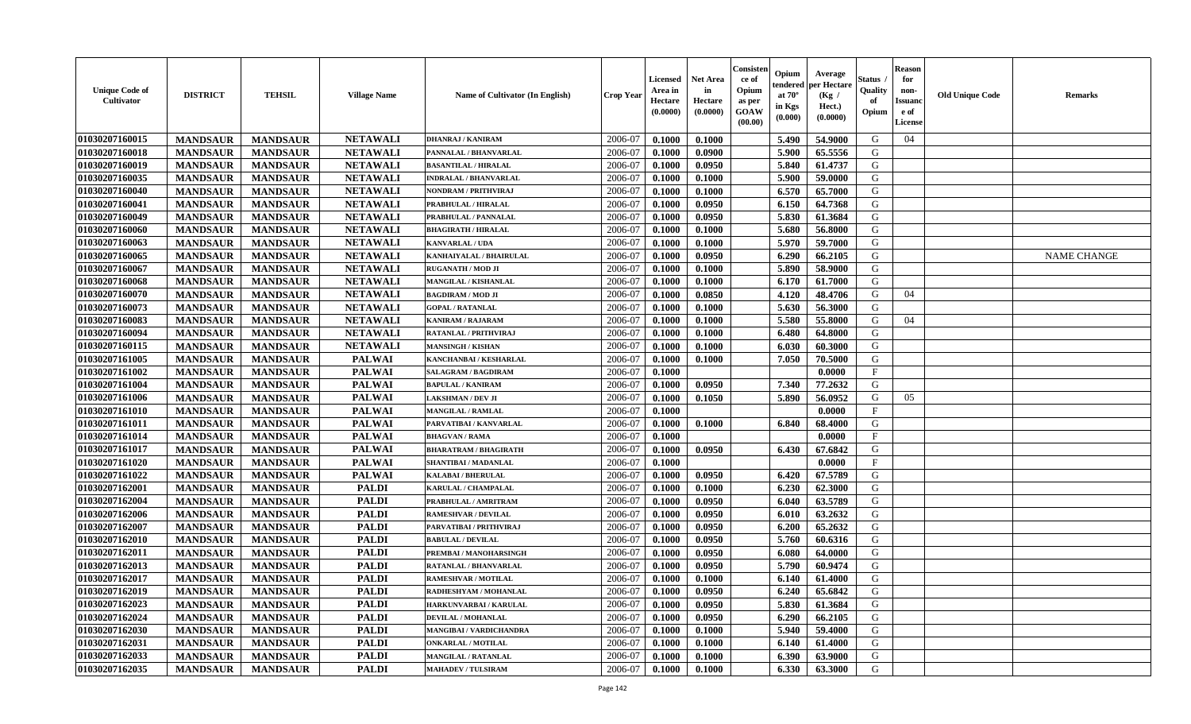| <b>Unique Code of</b><br>Cultivator | <b>DISTRICT</b> | <b>TEHSIL</b>   | <b>Village Name</b> | <b>Name of Cultivator (In English)</b> | <b>Crop Year</b> | <b>Licensed</b><br>Area in<br>Hectare<br>(0.0000) | <b>Net Area</b><br>in<br>Hectare<br>(0.0000) | Consister<br>ce of<br>Opium<br>as per<br><b>GOAW</b><br>(00.00) | Opium<br>endered<br>at $70^\circ$<br>in Kgs<br>$(\mathbf{0.000})$ | Average<br>per Hectare<br>(Kg /<br>Hect.)<br>(0.0000) | Status<br>Quality<br>of<br>Opium | <b>Reason</b><br>for<br>non-<br><b>Issuano</b><br>e of<br>License | <b>Old Unique Code</b> | <b>Remarks</b>     |
|-------------------------------------|-----------------|-----------------|---------------------|----------------------------------------|------------------|---------------------------------------------------|----------------------------------------------|-----------------------------------------------------------------|-------------------------------------------------------------------|-------------------------------------------------------|----------------------------------|-------------------------------------------------------------------|------------------------|--------------------|
| 01030207160015                      | <b>MANDSAUR</b> | <b>MANDSAUR</b> | <b>NETAWALI</b>     | <b>DHANRAJ / KANIRAM</b>               | 2006-07          | 0.1000                                            | 0.1000                                       |                                                                 | 5.490                                                             | 54.9000                                               | G                                | 04                                                                |                        |                    |
| 01030207160018                      | <b>MANDSAUR</b> | <b>MANDSAUR</b> | <b>NETAWALI</b>     | PANNALAL / BHANVARLAL                  | 2006-07          | 0.1000                                            | 0.0900                                       |                                                                 | 5.900                                                             | 65.5556                                               | G                                |                                                                   |                        |                    |
| 01030207160019                      | <b>MANDSAUR</b> | <b>MANDSAUR</b> | <b>NETAWALI</b>     | <b>BASANTILAL / HIRALAL</b>            | 2006-07          | 0.1000                                            | 0.0950                                       |                                                                 | 5.840                                                             | 61.4737                                               | G                                |                                                                   |                        |                    |
| 01030207160035                      | <b>MANDSAUR</b> | <b>MANDSAUR</b> | <b>NETAWALI</b>     | <b>INDRALAL / BHANVARLAL</b>           | 2006-07          | 0.1000                                            | 0.1000                                       |                                                                 | 5.900                                                             | 59.0000                                               | G                                |                                                                   |                        |                    |
| 01030207160040                      | <b>MANDSAUR</b> | <b>MANDSAUR</b> | <b>NETAWALI</b>     | NONDRAM / PRITHVIRAJ                   | 2006-07          | 0.1000                                            | 0.1000                                       |                                                                 | 6.570                                                             | 65.7000                                               | G                                |                                                                   |                        |                    |
| 01030207160041                      | <b>MANDSAUR</b> | <b>MANDSAUR</b> | <b>NETAWALI</b>     | PRABHULAL / HIRALAL                    | 2006-07          | 0.1000                                            | 0.0950                                       |                                                                 | 6.150                                                             | 64.7368                                               | G                                |                                                                   |                        |                    |
| 01030207160049                      | <b>MANDSAUR</b> | <b>MANDSAUR</b> | <b>NETAWALI</b>     | PRABHULAL / PANNALAL                   | 2006-07          | 0.1000                                            | 0.0950                                       |                                                                 | 5.830                                                             | 61.3684                                               | G                                |                                                                   |                        |                    |
| 01030207160060                      | <b>MANDSAUR</b> | <b>MANDSAUR</b> | <b>NETAWALI</b>     | <b>BHAGIRATH / HIRALAL</b>             | 2006-07          | 0.1000                                            | 0.1000                                       |                                                                 | 5.680                                                             | 56.8000                                               | G                                |                                                                   |                        |                    |
| 01030207160063                      | <b>MANDSAUR</b> | <b>MANDSAUR</b> | <b>NETAWALI</b>     | <b>KANVARLAL / UDA</b>                 | 2006-07          | 0.1000                                            | 0.1000                                       |                                                                 | 5.970                                                             | 59.7000                                               | G                                |                                                                   |                        |                    |
| 01030207160065                      | <b>MANDSAUR</b> | <b>MANDSAUR</b> | <b>NETAWALI</b>     | KANHAIYALAL / BHAIRULAL                | 2006-07          | 0.1000                                            | 0.0950                                       |                                                                 | 6.290                                                             | 66.2105                                               | G                                |                                                                   |                        | <b>NAME CHANGE</b> |
| 01030207160067                      | <b>MANDSAUR</b> | <b>MANDSAUR</b> | <b>NETAWALI</b>     | <b>RUGANATH / MOD JI</b>               | 2006-07          | 0.1000                                            | 0.1000                                       |                                                                 | 5.890                                                             | 58.9000                                               | G                                |                                                                   |                        |                    |
| 01030207160068                      | <b>MANDSAUR</b> | <b>MANDSAUR</b> | <b>NETAWALI</b>     | <b>MANGILAL / KISHANLAL</b>            | 2006-07          | 0.1000                                            | 0.1000                                       |                                                                 | 6.170                                                             | 61.7000                                               | G                                |                                                                   |                        |                    |
| 01030207160070                      | <b>MANDSAUR</b> | <b>MANDSAUR</b> | <b>NETAWALI</b>     | <b>BAGDIRAM / MOD JI</b>               | 2006-07          | 0.1000                                            | 0.0850                                       |                                                                 | 4.120                                                             | 48.4706                                               | G                                | 04                                                                |                        |                    |
| 01030207160073                      | <b>MANDSAUR</b> | <b>MANDSAUR</b> | <b>NETAWALI</b>     | <b>GOPAL / RATANLAL</b>                | 2006-07          | 0.1000                                            | 0.1000                                       |                                                                 | 5.630                                                             | 56.3000                                               | G                                |                                                                   |                        |                    |
| 01030207160083                      | <b>MANDSAUR</b> | <b>MANDSAUR</b> | <b>NETAWALI</b>     | <b>KANIRAM / RAJARAM</b>               | 2006-07          | 0.1000                                            | 0.1000                                       |                                                                 | 5.580                                                             | 55.8000                                               | G                                | 04                                                                |                        |                    |
| 01030207160094                      | <b>MANDSAUR</b> | <b>MANDSAUR</b> | <b>NETAWALI</b>     | RATANLAL / PRITHVIRAJ                  | 2006-07          | 0.1000                                            | 0.1000                                       |                                                                 | 6.480                                                             | 64.8000                                               | G                                |                                                                   |                        |                    |
| 01030207160115                      | <b>MANDSAUR</b> | <b>MANDSAUR</b> | <b>NETAWALI</b>     | <b>MANSINGH / KISHAN</b>               | 2006-07          | 0.1000                                            | 0.1000                                       |                                                                 | 6.030                                                             | 60.3000                                               | G                                |                                                                   |                        |                    |
| 01030207161005                      | <b>MANDSAUR</b> | <b>MANDSAUR</b> | <b>PALWAI</b>       | KANCHANBAI / KESHARLAL                 | 2006-07          | 0.1000                                            | 0.1000                                       |                                                                 | 7.050                                                             | 70.5000                                               | G                                |                                                                   |                        |                    |
| 01030207161002                      | <b>MANDSAUR</b> | <b>MANDSAUR</b> | <b>PALWAI</b>       | <b>SALAGRAM / BAGDIRAM</b>             | 2006-07          | 0.1000                                            |                                              |                                                                 |                                                                   | 0.0000                                                | $\mathbf{F}$                     |                                                                   |                        |                    |
| 01030207161004                      | <b>MANDSAUR</b> | <b>MANDSAUR</b> | <b>PALWAI</b>       | <b>BAPULAL / KANIRAM</b>               | 2006-07          | 0.1000                                            | 0.0950                                       |                                                                 | 7.340                                                             | 77.2632                                               | G                                |                                                                   |                        |                    |
| 01030207161006                      | <b>MANDSAUR</b> | <b>MANDSAUR</b> | <b>PALWAI</b>       | LAKSHMAN / DEV JI                      | 2006-07          | 0.1000                                            | 0.1050                                       |                                                                 | 5.890                                                             | 56.0952                                               | G                                | 05                                                                |                        |                    |
| 01030207161010                      | <b>MANDSAUR</b> | <b>MANDSAUR</b> | <b>PALWAI</b>       | MANGILAL / RAMLAL                      | 2006-07          | 0.1000                                            |                                              |                                                                 |                                                                   | 0.0000                                                | $\mathbf{F}$                     |                                                                   |                        |                    |
| 01030207161011                      | <b>MANDSAUR</b> | <b>MANDSAUR</b> | <b>PALWAI</b>       | PARVATIBAI / KANVARLAL                 | 2006-07          | 0.1000                                            | 0.1000                                       |                                                                 | 6.840                                                             | 68.4000                                               | G                                |                                                                   |                        |                    |
| 01030207161014                      | <b>MANDSAUR</b> | <b>MANDSAUR</b> | <b>PALWAI</b>       | <b>BHAGVAN / RAMA</b>                  | 2006-07          | 0.1000                                            |                                              |                                                                 |                                                                   | 0.0000                                                | $\mathbf{F}$                     |                                                                   |                        |                    |
| 01030207161017                      | <b>MANDSAUR</b> | <b>MANDSAUR</b> | <b>PALWAI</b>       | <b>BHARATRAM / BHAGIRATH</b>           | 2006-07          | 0.1000                                            | 0.0950                                       |                                                                 | 6.430                                                             | 67.6842                                               | G                                |                                                                   |                        |                    |
| 01030207161020                      | <b>MANDSAUR</b> | <b>MANDSAUR</b> | <b>PALWAI</b>       | SHANTIBAI / MADANLAL                   | 2006-07          | 0.1000                                            |                                              |                                                                 |                                                                   | 0.0000                                                | F                                |                                                                   |                        |                    |
| 01030207161022                      | <b>MANDSAUR</b> | <b>MANDSAUR</b> | <b>PALWAI</b>       | <b>KALABAI/BHERULAL</b>                | 2006-07          | 0.1000                                            | 0.0950                                       |                                                                 | 6.420                                                             | 67.5789                                               | G                                |                                                                   |                        |                    |
| 01030207162001                      | <b>MANDSAUR</b> | <b>MANDSAUR</b> | <b>PALDI</b>        | KARULAL / CHAMPALAL                    | 2006-07          | 0.1000                                            | 0.1000                                       |                                                                 | 6.230                                                             | 62.3000                                               | G                                |                                                                   |                        |                    |
| 01030207162004                      | <b>MANDSAUR</b> | <b>MANDSAUR</b> | <b>PALDI</b>        | PRABHULAL / AMRITRAM                   | 2006-07          | 0.1000                                            | 0.0950                                       |                                                                 | 6.040                                                             | 63.5789                                               | G                                |                                                                   |                        |                    |
| 01030207162006                      | <b>MANDSAUR</b> | <b>MANDSAUR</b> | <b>PALDI</b>        | <b>RAMESHVAR / DEVILAL</b>             | 2006-07          | 0.1000                                            | 0.0950                                       |                                                                 | 6.010                                                             | 63.2632                                               | G                                |                                                                   |                        |                    |
| 01030207162007                      | <b>MANDSAUR</b> | <b>MANDSAUR</b> | <b>PALDI</b>        | PARVATIBAI / PRITHVIRAJ                | 2006-07          | 0.1000                                            | 0.0950                                       |                                                                 | 6.200                                                             | 65.2632                                               | G                                |                                                                   |                        |                    |
| 01030207162010                      | <b>MANDSAUR</b> | <b>MANDSAUR</b> | <b>PALDI</b>        | <b>BABULAL / DEVILAL</b>               | 2006-07          | 0.1000                                            | 0.0950                                       |                                                                 | 5.760                                                             | 60.6316                                               | G                                |                                                                   |                        |                    |
| 01030207162011                      | <b>MANDSAUR</b> | <b>MANDSAUR</b> | <b>PALDI</b>        | PREMBAI / MANOHARSINGH                 | 2006-07          | 0.1000                                            | 0.0950                                       |                                                                 | 6.080                                                             | 64.0000                                               | G                                |                                                                   |                        |                    |
| 01030207162013                      | <b>MANDSAUR</b> | <b>MANDSAUR</b> | <b>PALDI</b>        | RATANLAL / BHANVARLAL                  | 2006-07          | 0.1000                                            | 0.0950                                       |                                                                 | 5.790                                                             | 60.9474                                               | G                                |                                                                   |                        |                    |
| 01030207162017                      | <b>MANDSAUR</b> | <b>MANDSAUR</b> | <b>PALDI</b>        | <b>RAMESHVAR / MOTILAL</b>             | 2006-07          | 0.1000                                            | 0.1000                                       |                                                                 | 6.140                                                             | 61.4000                                               | G                                |                                                                   |                        |                    |
| 01030207162019                      | <b>MANDSAUR</b> | <b>MANDSAUR</b> | <b>PALDI</b>        | RADHESHYAM / MOHANLAL                  | 2006-07          | 0.1000                                            | 0.0950                                       |                                                                 | 6.240                                                             | 65.6842                                               | G                                |                                                                   |                        |                    |
| 01030207162023                      | <b>MANDSAUR</b> | <b>MANDSAUR</b> | <b>PALDI</b>        | HARKUNVARBAI / KARULAL                 | 2006-07          | 0.1000                                            | 0.0950                                       |                                                                 | 5.830                                                             | 61.3684                                               | G                                |                                                                   |                        |                    |
| 01030207162024                      | <b>MANDSAUR</b> | <b>MANDSAUR</b> | <b>PALDI</b>        | <b>DEVILAL / MOHANLAL</b>              | 2006-07          | 0.1000                                            | 0.0950                                       |                                                                 | 6.290                                                             | 66.2105                                               | G                                |                                                                   |                        |                    |
| 01030207162030                      | <b>MANDSAUR</b> | <b>MANDSAUR</b> | <b>PALDI</b>        | MANGIBAI / VARDICHANDRA                | 2006-07          | 0.1000                                            | 0.1000                                       |                                                                 | 5.940                                                             | 59.4000                                               | G                                |                                                                   |                        |                    |
| 01030207162031                      | <b>MANDSAUR</b> | <b>MANDSAUR</b> | <b>PALDI</b>        | <b>ONKARLAL / MOTILAL</b>              | 2006-07          | 0.1000                                            | 0.1000                                       |                                                                 | 6.140                                                             | 61.4000                                               | G                                |                                                                   |                        |                    |
| 01030207162033                      | <b>MANDSAUR</b> | <b>MANDSAUR</b> | <b>PALDI</b>        | <b>MANGILAL / RATANLAL</b>             | 2006-07          | 0.1000                                            | 0.1000                                       |                                                                 | 6.390                                                             | 63.9000                                               | G                                |                                                                   |                        |                    |
| 01030207162035                      | <b>MANDSAUR</b> | <b>MANDSAUR</b> | <b>PALDI</b>        | <b>MAHADEV / TULSIRAM</b>              | 2006-07          | 0.1000                                            | 0.1000                                       |                                                                 | 6.330                                                             | 63.3000                                               | G                                |                                                                   |                        |                    |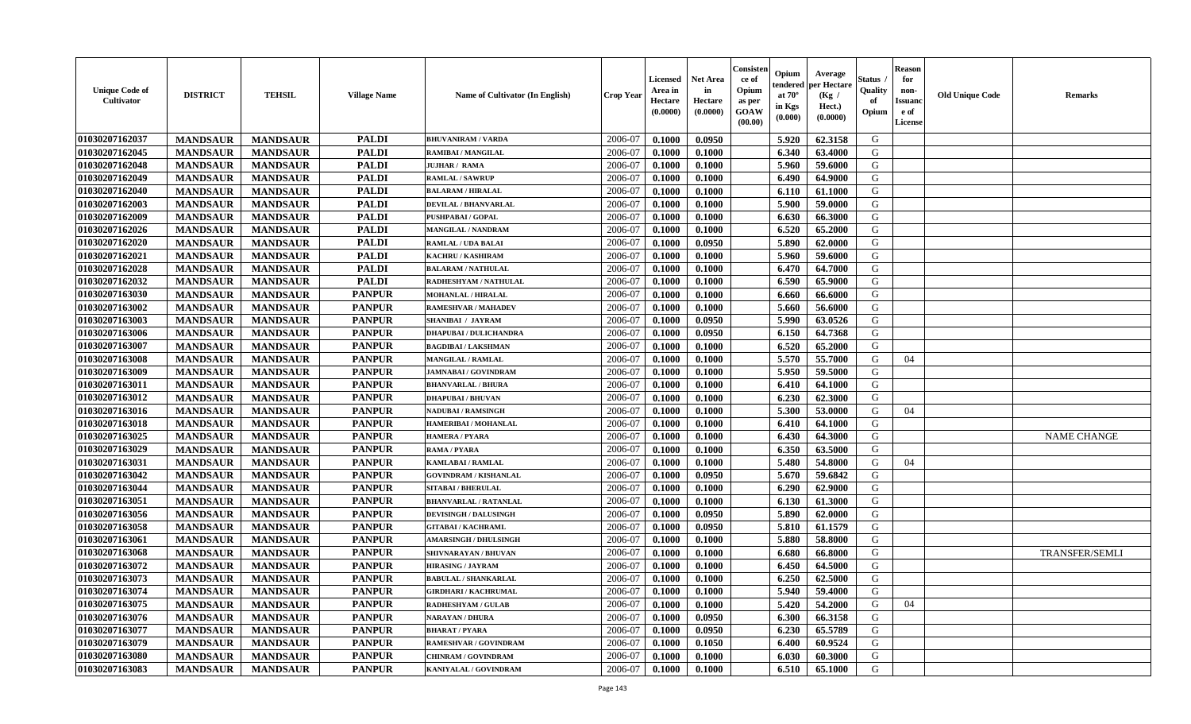| <b>Unique Code of</b><br>Cultivator | <b>DISTRICT</b> | <b>TEHSIL</b>   | <b>Village Name</b> | Name of Cultivator (In English) | <b>Crop Year</b> | <b>Licensed</b><br>Area in<br>Hectare<br>(0.0000) | <b>Net Area</b><br>in<br>Hectare<br>(0.0000) | Consister<br>ce of<br>Opium<br>as per<br>GOAW<br>(00.00) | Opium<br>endered<br>at $70^\circ$<br>in Kgs<br>(0.000) | Average<br>per Hectare<br>(Kg /<br>Hect.)<br>(0.0000) | <b>Status</b><br>Quality<br>of<br>Opium | <b>Reason</b><br>for<br>non-<br><b>Issuand</b><br>e of<br>License | <b>Old Unique Code</b> | <b>Remarks</b>        |
|-------------------------------------|-----------------|-----------------|---------------------|---------------------------------|------------------|---------------------------------------------------|----------------------------------------------|----------------------------------------------------------|--------------------------------------------------------|-------------------------------------------------------|-----------------------------------------|-------------------------------------------------------------------|------------------------|-----------------------|
| 01030207162037                      | <b>MANDSAUR</b> | <b>MANDSAUR</b> | <b>PALDI</b>        | <b>BHUVANIRAM / VARDA</b>       | 2006-07          | 0.1000                                            | 0.0950                                       |                                                          | 5.920                                                  | 62.3158                                               | G                                       |                                                                   |                        |                       |
| 01030207162045                      | <b>MANDSAUR</b> | <b>MANDSAUR</b> | <b>PALDI</b>        | RAMIBAI / MANGILAL              | 2006-07          | 0.1000                                            | 0.1000                                       |                                                          | 6.340                                                  | 63.4000                                               | G                                       |                                                                   |                        |                       |
| 01030207162048                      | <b>MANDSAUR</b> | <b>MANDSAUR</b> | <b>PALDI</b>        | <b>JUJHAR / RAMA</b>            | 2006-07          | 0.1000                                            | 0.1000                                       |                                                          | 5.960                                                  | 59.6000                                               | G                                       |                                                                   |                        |                       |
| 01030207162049                      | <b>MANDSAUR</b> | <b>MANDSAUR</b> | <b>PALDI</b>        | <b>RAMLAL / SAWRUP</b>          | 2006-07          | 0.1000                                            | 0.1000                                       |                                                          | 6.490                                                  | 64.9000                                               | G                                       |                                                                   |                        |                       |
| 01030207162040                      | <b>MANDSAUR</b> | <b>MANDSAUR</b> | <b>PALDI</b>        | <b>BALARAM / HIRALAL</b>        | 2006-07          | 0.1000                                            | 0.1000                                       |                                                          | 6.110                                                  | 61.1000                                               | G                                       |                                                                   |                        |                       |
| 01030207162003                      | <b>MANDSAUR</b> | <b>MANDSAUR</b> | <b>PALDI</b>        | <b>DEVILAL / BHANVARLAL</b>     | 2006-07          | 0.1000                                            | 0.1000                                       |                                                          | 5.900                                                  | 59.0000                                               | G                                       |                                                                   |                        |                       |
| 01030207162009                      | <b>MANDSAUR</b> | <b>MANDSAUR</b> | <b>PALDI</b>        | PUSHPABAI / GOPAL               | 2006-07          | 0.1000                                            | 0.1000                                       |                                                          | 6.630                                                  | 66.3000                                               | G                                       |                                                                   |                        |                       |
| 01030207162026                      | <b>MANDSAUR</b> | <b>MANDSAUR</b> | <b>PALDI</b>        | MANGILAL / NANDRAM              | 2006-07          | 0.1000                                            | 0.1000                                       |                                                          | 6.520                                                  | 65.2000                                               | G                                       |                                                                   |                        |                       |
| 01030207162020                      | <b>MANDSAUR</b> | <b>MANDSAUR</b> | <b>PALDI</b>        | <b>RAMLAL / UDA BALAI</b>       | 2006-07          | 0.1000                                            | 0.0950                                       |                                                          | 5.890                                                  | 62.0000                                               | G                                       |                                                                   |                        |                       |
| 01030207162021                      | <b>MANDSAUR</b> | <b>MANDSAUR</b> | <b>PALDI</b>        | KACHRU / KASHIRAM               | 2006-07          | 0.1000                                            | 0.1000                                       |                                                          | 5.960                                                  | 59.6000                                               | G                                       |                                                                   |                        |                       |
| 01030207162028                      | <b>MANDSAUR</b> | <b>MANDSAUR</b> | <b>PALDI</b>        | <b>BALARAM / NATHULAL</b>       | 2006-07          | 0.1000                                            | 0.1000                                       |                                                          | 6.470                                                  | 64.7000                                               | G                                       |                                                                   |                        |                       |
| 01030207162032                      | <b>MANDSAUR</b> | <b>MANDSAUR</b> | <b>PALDI</b>        | RADHESHYAM / NATHULAL           | 2006-07          | 0.1000                                            | 0.1000                                       |                                                          | 6.590                                                  | 65.9000                                               | G                                       |                                                                   |                        |                       |
| 01030207163030                      | <b>MANDSAUR</b> | <b>MANDSAUR</b> | <b>PANPUR</b>       | <b>MOHANLAL / HIRALAL</b>       | 2006-07          | 0.1000                                            | 0.1000                                       |                                                          | 6.660                                                  | 66.6000                                               | G                                       |                                                                   |                        |                       |
| 01030207163002                      | <b>MANDSAUR</b> | <b>MANDSAUR</b> | <b>PANPUR</b>       | <b>RAMESHVAR / MAHADEV</b>      | 2006-07          | 0.1000                                            | 0.1000                                       |                                                          | 5.660                                                  | 56.6000                                               | G                                       |                                                                   |                        |                       |
| 01030207163003                      | <b>MANDSAUR</b> | <b>MANDSAUR</b> | <b>PANPUR</b>       | SHANIBAI / JAYRAM               | 2006-07          | 0.1000                                            | 0.0950                                       |                                                          | 5.990                                                  | 63.0526                                               | G                                       |                                                                   |                        |                       |
| 01030207163006                      | <b>MANDSAUR</b> | <b>MANDSAUR</b> | <b>PANPUR</b>       | <b>DHAPUBAI / DULICHANDRA</b>   | 2006-07          | 0.1000                                            | 0.0950                                       |                                                          | 6.150                                                  | 64.7368                                               | G                                       |                                                                   |                        |                       |
| 01030207163007                      | <b>MANDSAUR</b> | <b>MANDSAUR</b> | <b>PANPUR</b>       | <b>BAGDIBAI / LAKSHMAN</b>      | 2006-07          | 0.1000                                            | 0.1000                                       |                                                          | 6.520                                                  | 65.2000                                               | G                                       |                                                                   |                        |                       |
| 01030207163008                      | <b>MANDSAUR</b> | <b>MANDSAUR</b> | <b>PANPUR</b>       | <b>MANGILAL / RAMLAL</b>        | 2006-07          | 0.1000                                            | 0.1000                                       |                                                          | 5.570                                                  | 55.7000                                               | G                                       | 04                                                                |                        |                       |
| 01030207163009                      | <b>MANDSAUR</b> | <b>MANDSAUR</b> | <b>PANPUR</b>       | <b>JAMNABAI/GOVINDRAM</b>       | 2006-07          | 0.1000                                            | 0.1000                                       |                                                          | 5.950                                                  | 59.5000                                               | G                                       |                                                                   |                        |                       |
| 01030207163011                      | <b>MANDSAUR</b> | <b>MANDSAUR</b> | <b>PANPUR</b>       | <b>BHANVARLAL / BHURA</b>       | 2006-07          | 0.1000                                            | 0.1000                                       |                                                          | 6.410                                                  | 64.1000                                               | G                                       |                                                                   |                        |                       |
| 01030207163012                      | <b>MANDSAUR</b> | <b>MANDSAUR</b> | <b>PANPUR</b>       | <b>DHAPUBAI/BHUVAN</b>          | 2006-07          | 0.1000                                            | 0.1000                                       |                                                          | 6.230                                                  | 62.3000                                               | G                                       |                                                                   |                        |                       |
| 01030207163016                      | <b>MANDSAUR</b> | <b>MANDSAUR</b> | <b>PANPUR</b>       | <b>NADUBAI/RAMSINGH</b>         | 2006-07          | 0.1000                                            | 0.1000                                       |                                                          | 5.300                                                  | 53.0000                                               | G                                       | 04                                                                |                        |                       |
| 01030207163018                      | <b>MANDSAUR</b> | <b>MANDSAUR</b> | <b>PANPUR</b>       | <b>HAMERIBAI / MOHANLAL</b>     | 2006-07          | 0.1000                                            | 0.1000                                       |                                                          | 6.410                                                  | 64.1000                                               | G                                       |                                                                   |                        |                       |
| 01030207163025                      | <b>MANDSAUR</b> | <b>MANDSAUR</b> | <b>PANPUR</b>       | HAMERA / PYARA                  | 2006-07          | 0.1000                                            | 0.1000                                       |                                                          | 6.430                                                  | 64.3000                                               | G                                       |                                                                   |                        | <b>NAME CHANGE</b>    |
| 01030207163029                      | <b>MANDSAUR</b> | <b>MANDSAUR</b> | <b>PANPUR</b>       | <b>RAMA / PYARA</b>             | 2006-07          | 0.1000                                            | 0.1000                                       |                                                          | 6.350                                                  | 63.5000                                               | G                                       |                                                                   |                        |                       |
| 01030207163031                      | <b>MANDSAUR</b> | <b>MANDSAUR</b> | <b>PANPUR</b>       | KAMLABAI / RAMLAL               | 2006-07          | 0.1000                                            | 0.1000                                       |                                                          | 5.480                                                  | 54.8000                                               | G                                       | 04                                                                |                        |                       |
| 01030207163042                      | <b>MANDSAUR</b> | <b>MANDSAUR</b> | <b>PANPUR</b>       | <b>GOVINDRAM / KISHANLAL</b>    | 2006-07          | 0.1000                                            | 0.0950                                       |                                                          | 5.670                                                  | 59.6842                                               | G                                       |                                                                   |                        |                       |
| 01030207163044                      | <b>MANDSAUR</b> | <b>MANDSAUR</b> | <b>PANPUR</b>       | <b>SITABAI/BHERULAL</b>         | 2006-07          | 0.1000                                            | 0.1000                                       |                                                          | 6.290                                                  | 62.9000                                               | G                                       |                                                                   |                        |                       |
| 01030207163051                      | <b>MANDSAUR</b> | <b>MANDSAUR</b> | <b>PANPUR</b>       | <b>BHANVARLAL / RATANLAL</b>    | 2006-07          | 0.1000                                            | 0.1000                                       |                                                          | 6.130                                                  | 61.3000                                               | G                                       |                                                                   |                        |                       |
| 01030207163056                      | <b>MANDSAUR</b> | <b>MANDSAUR</b> | <b>PANPUR</b>       | <b>DEVISINGH / DALUSINGH</b>    | 2006-07          | 0.1000                                            | 0.0950                                       |                                                          | 5.890                                                  | 62.0000                                               | G                                       |                                                                   |                        |                       |
| 01030207163058                      | <b>MANDSAUR</b> | <b>MANDSAUR</b> | <b>PANPUR</b>       | <b>GITABAI/KACHRAML</b>         | 2006-07          | 0.1000                                            | 0.0950                                       |                                                          | 5.810                                                  | 61.1579                                               | ${\bf G}$                               |                                                                   |                        |                       |
| 01030207163061                      | <b>MANDSAUR</b> | <b>MANDSAUR</b> | <b>PANPUR</b>       | <b>AMARSINGH / DHULSINGH</b>    | 2006-07          | 0.1000                                            | 0.1000                                       |                                                          | 5.880                                                  | 58.8000                                               | G                                       |                                                                   |                        |                       |
| 01030207163068                      | <b>MANDSAUR</b> | <b>MANDSAUR</b> | <b>PANPUR</b>       | SHIVNARAYAN / BHUVAN            | 2006-07          | 0.1000                                            | 0.1000                                       |                                                          | 6.680                                                  | 66.8000                                               | G                                       |                                                                   |                        | <b>TRANSFER/SEMLI</b> |
| 01030207163072                      | <b>MANDSAUR</b> | <b>MANDSAUR</b> | <b>PANPUR</b>       | <b>HIRASING / JAYRAM</b>        | 2006-07          | 0.1000                                            | 0.1000                                       |                                                          | 6.450                                                  | 64.5000                                               | G                                       |                                                                   |                        |                       |
| 01030207163073                      | <b>MANDSAUR</b> | <b>MANDSAUR</b> | <b>PANPUR</b>       | <b>BABULAL / SHANKARLAL</b>     | 2006-07          | 0.1000                                            | 0.1000                                       |                                                          | 6.250                                                  | 62.5000                                               | G                                       |                                                                   |                        |                       |
| 01030207163074                      | <b>MANDSAUR</b> | <b>MANDSAUR</b> | <b>PANPUR</b>       | <b>GIRDHARI / KACHRUMAL</b>     | 2006-07          | 0.1000                                            | 0.1000                                       |                                                          | 5.940                                                  | 59.4000                                               | G                                       |                                                                   |                        |                       |
| 01030207163075                      | <b>MANDSAUR</b> | <b>MANDSAUR</b> | <b>PANPUR</b>       | <b>RADHESHYAM / GULAB</b>       | 2006-07          | 0.1000                                            | 0.1000                                       |                                                          | 5.420                                                  | 54.2000                                               | G                                       | 04                                                                |                        |                       |
| 01030207163076                      | <b>MANDSAUR</b> | <b>MANDSAUR</b> | <b>PANPUR</b>       | NARAYAN / DHURA                 | 2006-07          | 0.1000                                            | 0.0950                                       |                                                          | 6.300                                                  | 66.3158                                               | G                                       |                                                                   |                        |                       |
| 01030207163077                      | <b>MANDSAUR</b> | <b>MANDSAUR</b> | <b>PANPUR</b>       | <b>BHARAT / PYARA</b>           | 2006-07          | 0.1000                                            | 0.0950                                       |                                                          | 6.230                                                  | 65.5789                                               | G                                       |                                                                   |                        |                       |
| 01030207163079                      | <b>MANDSAUR</b> | <b>MANDSAUR</b> | <b>PANPUR</b>       | RAMESHVAR / GOVINDRAM           | 2006-07          | 0.1000                                            | 0.1050                                       |                                                          | 6.400                                                  | 60.9524                                               | G                                       |                                                                   |                        |                       |
| 01030207163080                      | <b>MANDSAUR</b> | <b>MANDSAUR</b> | <b>PANPUR</b>       | CHINRAM / GOVINDRAM             | 2006-07          | 0.1000                                            | 0.1000                                       |                                                          | 6.030                                                  | 60.3000                                               | G                                       |                                                                   |                        |                       |
| 01030207163083                      | <b>MANDSAUR</b> | <b>MANDSAUR</b> | <b>PANPUR</b>       | KANIYALAL / GOVINDRAM           | 2006-07          | 0.1000                                            | 0.1000                                       |                                                          | 6.510                                                  | 65.1000                                               | G                                       |                                                                   |                        |                       |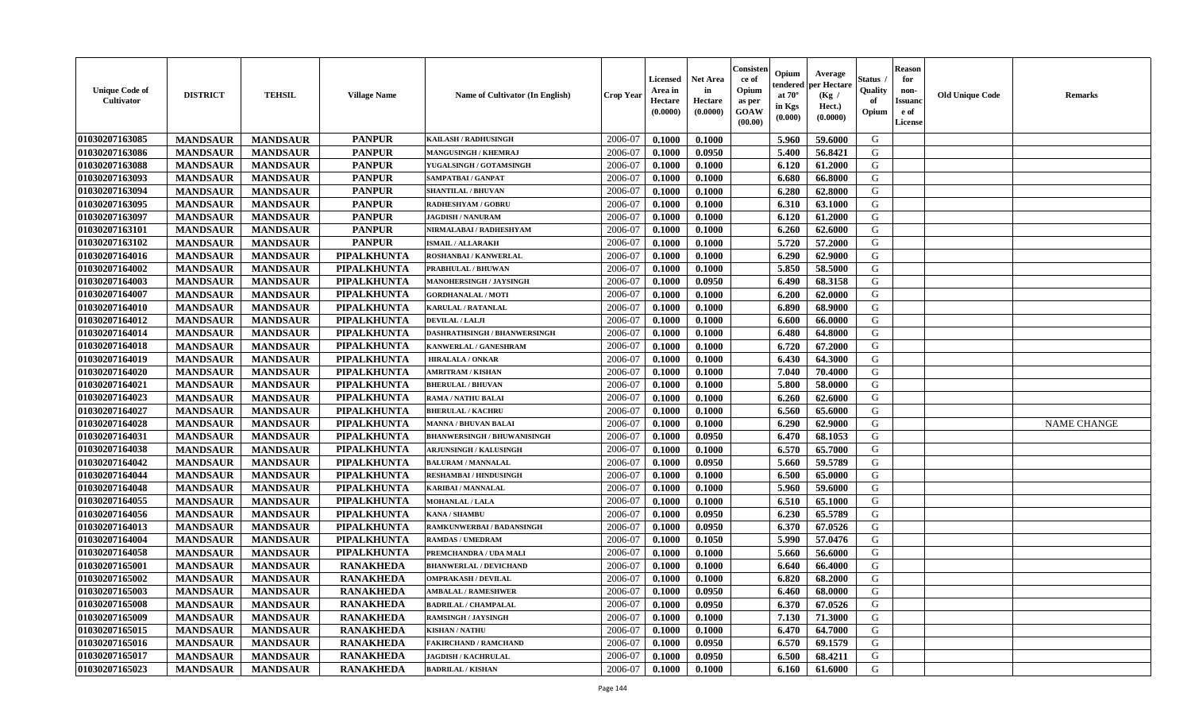| <b>Unique Code of</b><br><b>Cultivator</b> | <b>DISTRICT</b> | <b>TEHSIL</b>   | <b>Village Name</b> | <b>Name of Cultivator (In English)</b> | <b>Crop Year</b> | <b>Licensed</b><br>Area in<br>Hectare<br>(0.0000) | Net Area<br>in<br>Hectare<br>(0.0000) | Consisteı<br>ce of<br>Opium<br>as per<br>GOAW<br>(00.00) | Opium<br>endered<br>at $70^\circ$<br>in Kgs<br>(0.000) | Average<br>per Hectare<br>(Kg /<br>Hect.)<br>(0.0000) | Status<br>Quality<br>of<br>Opium | <b>Reason</b><br>for<br>non-<br><b>Issuand</b><br>e of<br>License | <b>Old Unique Code</b> | Remarks            |
|--------------------------------------------|-----------------|-----------------|---------------------|----------------------------------------|------------------|---------------------------------------------------|---------------------------------------|----------------------------------------------------------|--------------------------------------------------------|-------------------------------------------------------|----------------------------------|-------------------------------------------------------------------|------------------------|--------------------|
| 01030207163085                             | <b>MANDSAUR</b> | <b>MANDSAUR</b> | <b>PANPUR</b>       | KAILASH / RADHUSINGH                   | 2006-07          | 0.1000                                            | 0.1000                                |                                                          | 5.960                                                  | 59.6000                                               | G                                |                                                                   |                        |                    |
| 01030207163086                             | <b>MANDSAUR</b> | <b>MANDSAUR</b> | <b>PANPUR</b>       | <b>MANGUSINGH / KHEMRAJ</b>            | 2006-07          | 0.1000                                            | 0.0950                                |                                                          | 5.400                                                  | 56.8421                                               | G                                |                                                                   |                        |                    |
| 01030207163088                             | <b>MANDSAUR</b> | <b>MANDSAUR</b> | <b>PANPUR</b>       | YUGALSINGH / GOTAMSINGH                | 2006-07          | 0.1000                                            | 0.1000                                |                                                          | 6.120                                                  | 61.2000                                               | G                                |                                                                   |                        |                    |
| 01030207163093                             | <b>MANDSAUR</b> | <b>MANDSAUR</b> | <b>PANPUR</b>       | SAMPATBAI / GANPAT                     | 2006-07          | 0.1000                                            | 0.1000                                |                                                          | 6.680                                                  | 66.8000                                               | G                                |                                                                   |                        |                    |
| 01030207163094                             | <b>MANDSAUR</b> | <b>MANDSAUR</b> | <b>PANPUR</b>       | <b>SHANTILAL / BHUVAN</b>              | 2006-07          | 0.1000                                            | 0.1000                                |                                                          | 6.280                                                  | 62.8000                                               | G                                |                                                                   |                        |                    |
| 01030207163095                             | <b>MANDSAUR</b> | <b>MANDSAUR</b> | <b>PANPUR</b>       | <b>RADHESHYAM / GOBRU</b>              | 2006-07          | 0.1000                                            | 0.1000                                |                                                          | 6.310                                                  | 63.1000                                               | G                                |                                                                   |                        |                    |
| 01030207163097                             | <b>MANDSAUR</b> | <b>MANDSAUR</b> | <b>PANPUR</b>       | <b>JAGDISH / NANURAM</b>               | 2006-07          | 0.1000                                            | 0.1000                                |                                                          | 6.120                                                  | 61.2000                                               | G                                |                                                                   |                        |                    |
| 01030207163101                             | <b>MANDSAUR</b> | <b>MANDSAUR</b> | <b>PANPUR</b>       | NIRMALABAI / RADHESHYAM                | 2006-07          | 0.1000                                            | 0.1000                                |                                                          | 6.260                                                  | 62.6000                                               | G                                |                                                                   |                        |                    |
| 01030207163102                             | <b>MANDSAUR</b> | <b>MANDSAUR</b> | <b>PANPUR</b>       | <b>ISMAIL/ALLARAKH</b>                 | 2006-07          | 0.1000                                            | 0.1000                                |                                                          | 5.720                                                  | 57.2000                                               | G                                |                                                                   |                        |                    |
| 01030207164016                             | <b>MANDSAUR</b> | <b>MANDSAUR</b> | PIPALKHUNTA         | ROSHANBAI / KANWERLAL                  | 2006-07          | 0.1000                                            | 0.1000                                |                                                          | 6.290                                                  | 62.9000                                               | G                                |                                                                   |                        |                    |
| 01030207164002                             | <b>MANDSAUR</b> | <b>MANDSAUR</b> | PIPALKHUNTA         | <b>PRABHULAL / BHUWAN</b>              | 2006-07          | 0.1000                                            | 0.1000                                |                                                          | 5.850                                                  | 58.5000                                               | G                                |                                                                   |                        |                    |
| 01030207164003                             | <b>MANDSAUR</b> | <b>MANDSAUR</b> | PIPALKHUNTA         | MANOHERSINGH / JAYSINGH                | 2006-07          | 0.1000                                            | 0.0950                                |                                                          | 6.490                                                  | 68.3158                                               | G                                |                                                                   |                        |                    |
| 01030207164007                             | <b>MANDSAUR</b> | <b>MANDSAUR</b> | PIPALKHUNTA         | <b>GORDHANALAL / MOTI</b>              | 2006-07          | 0.1000                                            | 0.1000                                |                                                          | 6.200                                                  | 62.0000                                               | G                                |                                                                   |                        |                    |
| 01030207164010                             | <b>MANDSAUR</b> | <b>MANDSAUR</b> | PIPALKHUNTA         | KARULAL / RATANLAL                     | 2006-07          | 0.1000                                            | 0.1000                                |                                                          | 6.890                                                  | 68.9000                                               | G                                |                                                                   |                        |                    |
| 01030207164012                             | <b>MANDSAUR</b> | <b>MANDSAUR</b> | PIPALKHUNTA         | <b>DEVILAL / LALJI</b>                 | 2006-07          | 0.1000                                            | 0.1000                                |                                                          | 6.600                                                  | 66.0000                                               | $\mathbf G$                      |                                                                   |                        |                    |
| 01030207164014                             | <b>MANDSAUR</b> | <b>MANDSAUR</b> | PIPALKHUNTA         | DASHRATHSINGH / BHANWERSINGH           | 2006-07          | 0.1000                                            | 0.1000                                |                                                          | 6.480                                                  | 64.8000                                               | G                                |                                                                   |                        |                    |
| 01030207164018                             | <b>MANDSAUR</b> | <b>MANDSAUR</b> | PIPALKHUNTA         | KANWERLAL / GANESHRAM                  | 2006-07          | 0.1000                                            | 0.1000                                |                                                          | 6.720                                                  | 67.2000                                               | G                                |                                                                   |                        |                    |
| 01030207164019                             | <b>MANDSAUR</b> | <b>MANDSAUR</b> | PIPALKHUNTA         | <b>HIRALALA / ONKAR</b>                | 2006-07          | 0.1000                                            | 0.1000                                |                                                          | 6.430                                                  | 64.3000                                               | G                                |                                                                   |                        |                    |
| 01030207164020                             | <b>MANDSAUR</b> | <b>MANDSAUR</b> | PIPALKHUNTA         | <b>AMRITRAM / KISHAN</b>               | 2006-07          | 0.1000                                            | 0.1000                                |                                                          | 7.040                                                  | 70.4000                                               | G                                |                                                                   |                        |                    |
| 01030207164021                             | <b>MANDSAUR</b> | <b>MANDSAUR</b> | PIPALKHUNTA         | <b>BHERULAL / BHUVAN</b>               | 2006-07          | 0.1000                                            | 0.1000                                |                                                          | 5.800                                                  | 58.0000                                               | G                                |                                                                   |                        |                    |
| 01030207164023                             | <b>MANDSAUR</b> | <b>MANDSAUR</b> | PIPALKHUNTA         | <b>RAMA / NATHU BALAI</b>              | 2006-07          | 0.1000                                            | 0.1000                                |                                                          | 6.260                                                  | 62.6000                                               | G                                |                                                                   |                        |                    |
| 01030207164027                             | <b>MANDSAUR</b> | <b>MANDSAUR</b> | PIPALKHUNTA         | <b>BHERULAL / KACHRU</b>               | 2006-07          | 0.1000                                            | 0.1000                                |                                                          | 6.560                                                  | 65.6000                                               | G                                |                                                                   |                        |                    |
| 01030207164028                             | <b>MANDSAUR</b> | <b>MANDSAUR</b> | PIPALKHUNTA         | <b>MANNA / BHUVAN BALAI</b>            | 2006-07          | 0.1000                                            | 0.1000                                |                                                          | 6.290                                                  | 62.9000                                               | G                                |                                                                   |                        | <b>NAME CHANGE</b> |
| 01030207164031                             | <b>MANDSAUR</b> | <b>MANDSAUR</b> | PIPALKHUNTA         | <b>BHANWERSINGH / BHUWANISINGH</b>     | 2006-07          | 0.1000                                            | 0.0950                                |                                                          | 6.470                                                  | 68.1053                                               | G                                |                                                                   |                        |                    |
| 01030207164038                             | <b>MANDSAUR</b> | <b>MANDSAUR</b> | PIPALKHUNTA         | <b>ARJUNSINGH / KALUSINGH</b>          | 2006-07          | 0.1000                                            | 0.1000                                |                                                          | 6.570                                                  | 65.7000                                               | G                                |                                                                   |                        |                    |
| 01030207164042                             | <b>MANDSAUR</b> | <b>MANDSAUR</b> | PIPALKHUNTA         | <b>BALURAM / MANNALAL</b>              | 2006-07          | 0.1000                                            | 0.0950                                |                                                          | 5.660                                                  | 59.5789                                               | G                                |                                                                   |                        |                    |
| 01030207164044                             | <b>MANDSAUR</b> | <b>MANDSAUR</b> | <b>PIPALKHUNTA</b>  | <b>RESHAMBAI / HINDUSINGH</b>          | 2006-07          | 0.1000                                            | 0.1000                                |                                                          | 6.500                                                  | 65.0000                                               | G                                |                                                                   |                        |                    |
| 01030207164048                             | <b>MANDSAUR</b> | <b>MANDSAUR</b> | PIPALKHUNTA         | <b>KARIBAI/MANNALAL</b>                | 2006-07          | 0.1000                                            | 0.1000                                |                                                          | 5.960                                                  | 59.6000                                               | G                                |                                                                   |                        |                    |
| 01030207164055                             | <b>MANDSAUR</b> | <b>MANDSAUR</b> | PIPALKHUNTA         | <b>MOHANLAL / LALA</b>                 | 2006-07          | 0.1000                                            | 0.1000                                |                                                          | 6.510                                                  | 65.1000                                               | G                                |                                                                   |                        |                    |
| 01030207164056                             | <b>MANDSAUR</b> | <b>MANDSAUR</b> | PIPALKHUNTA         | <b>KANA / SHAMBU</b>                   | 2006-07          | 0.1000                                            | 0.0950                                |                                                          | 6.230                                                  | 65.5789                                               | G                                |                                                                   |                        |                    |
| 01030207164013                             | <b>MANDSAUR</b> | <b>MANDSAUR</b> | PIPALKHUNTA         | RAMKUNWERBAI / BADANSINGH              | 2006-07          | 0.1000                                            | 0.0950                                |                                                          | 6.370                                                  | 67.0526                                               | G                                |                                                                   |                        |                    |
| 01030207164004                             | <b>MANDSAUR</b> | <b>MANDSAUR</b> | PIPALKHUNTA         | <b>RAMDAS / UMEDRAM</b>                | 2006-07          | 0.1000                                            | 0.1050                                |                                                          | 5.990                                                  | 57.0476                                               | G                                |                                                                   |                        |                    |
| 01030207164058                             | <b>MANDSAUR</b> | <b>MANDSAUR</b> | PIPALKHUNTA         | PREMCHANDRA / UDA MALI                 | 2006-07          | 0.1000                                            | 0.1000                                |                                                          | 5.660                                                  | 56.6000                                               | G                                |                                                                   |                        |                    |
| 01030207165001                             | <b>MANDSAUR</b> | <b>MANDSAUR</b> | <b>RANAKHEDA</b>    | <b>BHANWERLAL / DEVICHAND</b>          | 2006-07          | 0.1000                                            | 0.1000                                |                                                          | 6.640                                                  | 66.4000                                               | G                                |                                                                   |                        |                    |
| 01030207165002                             | <b>MANDSAUR</b> | <b>MANDSAUR</b> | <b>RANAKHEDA</b>    | <b>OMPRAKASH / DEVILAL</b>             | 2006-07          | 0.1000                                            | 0.1000                                |                                                          | 6.820                                                  | 68.2000                                               | G                                |                                                                   |                        |                    |
| 01030207165003                             | <b>MANDSAUR</b> | <b>MANDSAUR</b> | <b>RANAKHEDA</b>    | <b>AMBALAL / RAMESHWER</b>             | 2006-07          | 0.1000                                            | 0.0950                                |                                                          | 6.460                                                  | 68.0000                                               | G                                |                                                                   |                        |                    |
| 01030207165008                             | <b>MANDSAUR</b> | <b>MANDSAUR</b> | <b>RANAKHEDA</b>    | <b>BADRILAL / CHAMPALAL</b>            | 2006-07          | 0.1000                                            | 0.0950                                |                                                          | 6.370                                                  | 67.0526                                               | G                                |                                                                   |                        |                    |
| 01030207165009                             | <b>MANDSAUR</b> | <b>MANDSAUR</b> | <b>RANAKHEDA</b>    | <b>RAMSINGH / JAYSINGH</b>             | 2006-07          | 0.1000                                            | 0.1000                                |                                                          | 7.130                                                  | 71.3000                                               | G                                |                                                                   |                        |                    |
| 01030207165015                             | <b>MANDSAUR</b> | <b>MANDSAUR</b> | <b>RANAKHEDA</b>    | <b>KISHAN / NATHU</b>                  | 2006-07          | 0.1000                                            | 0.1000                                |                                                          | 6.470                                                  | 64.7000                                               | G                                |                                                                   |                        |                    |
| 01030207165016                             | <b>MANDSAUR</b> | <b>MANDSAUR</b> | <b>RANAKHEDA</b>    | <b>FAKIRCHAND / RAMCHAND</b>           | 2006-07          | 0.1000                                            | 0.0950                                |                                                          | 6.570                                                  | 69.1579                                               | ${\bf G}$                        |                                                                   |                        |                    |
| 01030207165017                             | <b>MANDSAUR</b> | <b>MANDSAUR</b> | <b>RANAKHEDA</b>    | <b>JAGDISH / KACHRULAL</b>             | 2006-07          | 0.1000                                            | 0.0950                                |                                                          | 6.500                                                  | 68.4211                                               | G                                |                                                                   |                        |                    |
| 01030207165023                             | <b>MANDSAUR</b> | <b>MANDSAUR</b> | <b>RANAKHEDA</b>    | <b>BADRILAL / KISHAN</b>               | 2006-07          | 0.1000                                            | 0.1000                                |                                                          | 6.160                                                  | 61.6000                                               | G                                |                                                                   |                        |                    |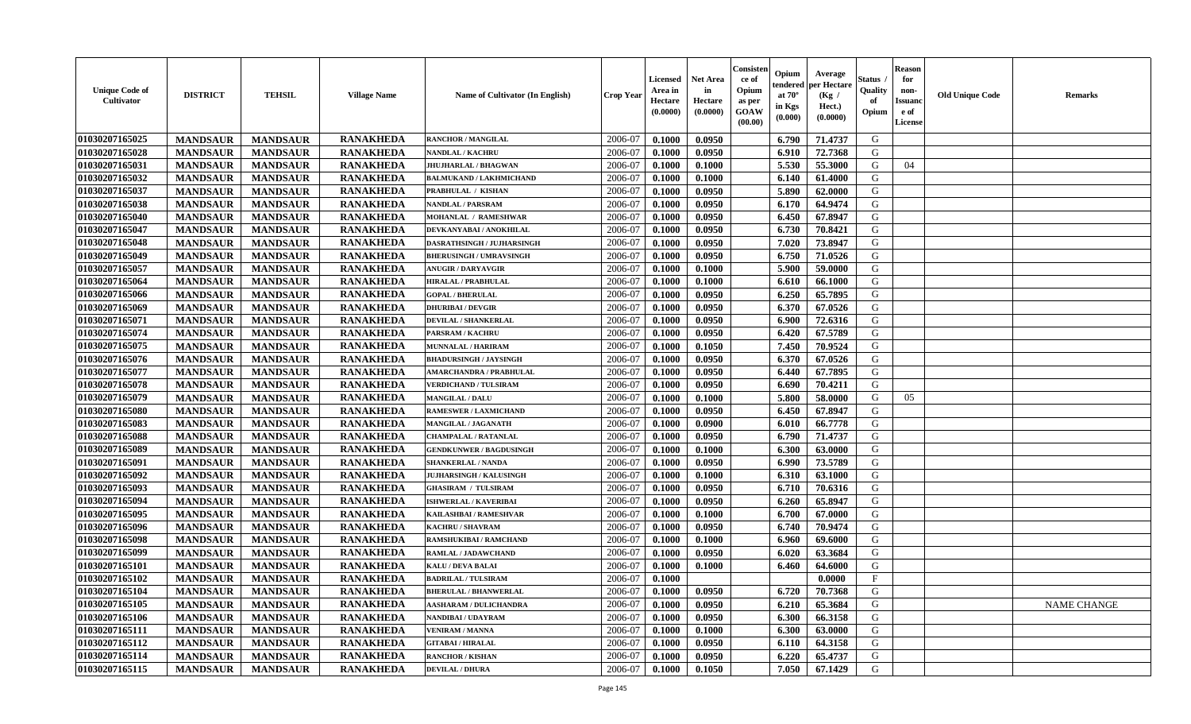| <b>RANAKHEDA</b><br>01030207165025<br>2006-07<br>0.0950<br>6.790<br>71.4737<br>G<br><b>MANDSAUR</b><br><b>MANDSAUR</b><br>0.1000<br><b>RANCHOR / MANGILAL</b><br>01030207165028<br><b>RANAKHEDA</b><br>2006-07<br>G<br><b>MANDSAUR</b><br><b>MANDSAUR</b><br>0.0950<br>6.910<br>72.7368<br><b>NANDLAL / KACHRU</b><br>0.1000<br>5.530<br>01030207165031<br><b>MANDSAUR</b><br><b>RANAKHEDA</b><br>2006-07<br>0.1000<br>0.1000<br>55.3000<br>G<br><b>MANDSAUR</b><br>JHUJHARLAL / BHAGWAN<br>04<br>01030207165032<br><b>MANDSAUR</b><br><b>MANDSAUR</b><br><b>RANAKHEDA</b><br>2006-07<br>0.1000<br>61.4000<br>G<br><b>BALMUKAND / LAKHMICHAND</b><br>0.1000<br>6.140<br>01030207165037<br><b>RANAKHEDA</b><br><b>MANDSAUR</b><br><b>MANDSAUR</b><br>2006-07<br>0.0950<br>5.890<br>62.0000<br>G<br>PRABHULAL / KISHAN<br>0.1000<br>01030207165038<br><b>MANDSAUR</b><br><b>MANDSAUR</b><br><b>RANAKHEDA</b><br>2006-07<br>0.0950<br>6.170<br>64.9474<br>G<br>0.1000<br>NANDLAL / PARSRAM<br>01030207165040<br><b>MANDSAUR</b><br><b>MANDSAUR</b><br><b>RANAKHEDA</b><br>6.450<br>67.8947<br>G<br>2006-07<br>0.0950<br><b>MOHANLAL / RAMESHWAR</b><br>0.1000<br>01030207165047<br><b>RANAKHEDA</b><br>G<br><b>MANDSAUR</b><br><b>MANDSAUR</b><br>2006-07<br>0.1000<br>0.0950<br>6.730<br>70.8421<br>DEVKANYABAI / ANOKHILAL<br><b>RANAKHEDA</b><br>01030207165048<br>G<br><b>MANDSAUR</b><br><b>MANDSAUR</b><br>2006-07<br>0.0950<br>7.020<br>73.8947<br>DASRATHSINGH / JUJHARSINGH<br>0.1000<br>01030207165049<br><b>RANAKHEDA</b><br>2006-07<br>6.750<br>G<br><b>MANDSAUR</b><br><b>MANDSAUR</b><br>0.1000<br>0.0950<br>71.0526<br><b>BHERUSINGH / UMRAVSINGH</b><br>01030207165057<br><b>RANAKHEDA</b><br>5.900<br>G<br><b>MANDSAUR</b><br><b>MANDSAUR</b><br><b>ANUGIR / DARYAVGIR</b><br>2006-07<br>0.1000<br>0.1000<br>59.0000<br>01030207165064<br><b>MANDSAUR</b><br><b>MANDSAUR</b><br><b>RANAKHEDA</b><br><b>HIRALAL / PRABHULAL</b><br>2006-07<br>0.1000<br>0.1000<br>6.610<br>66.1000<br>G<br>01030207165066<br><b>MANDSAUR</b><br><b>MANDSAUR</b><br><b>RANAKHEDA</b><br>0.0950<br>6.250<br>G<br><b>GOPAL / BHERULAL</b><br>2006-07<br>0.1000<br>65.7895<br>01030207165069<br><b>RANAKHEDA</b><br><b>MANDSAUR</b><br><b>MANDSAUR</b><br>2006-07<br>0.0950<br>6.370<br>67.0526<br>G<br><b>DHURIBAI / DEVGIR</b><br>0.1000<br>01030207165071<br><b>RANAKHEDA</b><br>${\bf G}$<br><b>MANDSAUR</b><br><b>MANDSAUR</b><br>0.0950<br>6.900<br>72.6316<br><b>DEVILAL / SHANKERLAL</b><br>2006-07<br>0.1000<br>67.5789<br>G<br>01030207165074<br><b>MANDSAUR</b><br><b>MANDSAUR</b><br><b>RANAKHEDA</b><br>2006-07<br>6.420<br>0.1000<br>0.0950<br><b>PARSRAM / KACHRU</b><br>01030207165075<br><b>RANAKHEDA</b><br>G<br><b>MANDSAUR</b><br>2006-07<br>7.450<br><b>MANDSAUR</b><br>0.1000<br>0.1050<br>70.9524<br><b>MUNNALAL / HARIRAM</b><br>01030207165076<br><b>RANAKHEDA</b><br><b>MANDSAUR</b><br><b>MANDSAUR</b><br>2006-07<br>0.0950<br>67.0526<br>G<br>0.1000<br>6.370<br><b>BHADURSINGH / JAYSINGH</b><br>01030207165077<br><b>RANAKHEDA</b><br>0.0950<br>G<br><b>MANDSAUR</b><br><b>MANDSAUR</b><br>2006-07<br>0.1000<br>6.440<br>67.7895<br>AMARCHANDRA / PRABHULAL<br><b>RANAKHEDA</b><br>0.0950<br>70.4211<br>G<br>01030207165078<br><b>MANDSAUR</b><br><b>MANDSAUR</b><br><b>VERDICHAND / TULSIRAM</b><br>2006-07<br>0.1000<br>6.690<br>01030207165079<br><b>RANAKHEDA</b><br><b>MANDSAUR</b><br><b>MANDSAUR</b><br>2006-07<br>0.1000<br>5.800<br>58.0000<br>G<br><b>MANGILAL / DALU</b><br>0.1000<br>05<br><b>RANAKHEDA</b><br>01030207165080<br><b>MANDSAUR</b><br><b>MANDSAUR</b><br>2006-07<br>0.1000<br>0.0950<br>6.450<br>67.8947<br>G<br><b>RAMESWER / LAXMICHAND</b><br>01030207165083<br><b>MANDSAUR</b><br><b>RANAKHEDA</b><br>66.7778<br>G<br><b>MANDSAUR</b><br>2006-07<br>0.0900<br>6.010<br>MANGILAL / JAGANATH<br>0.1000<br>$\mathsf G$<br>01030207165088<br><b>RANAKHEDA</b><br>2006-07<br><b>MANDSAUR</b><br><b>MANDSAUR</b><br>0.1000<br>0.0950<br>6.790<br>71.4737<br><b>CHAMPALAL / RATANLAL</b><br>01030207165089<br><b>RANAKHEDA</b><br>G<br><b>MANDSAUR</b><br><b>MANDSAUR</b><br>2006-07<br>0.1000<br>6.300<br>63.0000<br><b>GENDKUNWER / BAGDUSINGH</b><br>0.1000<br>01030207165091<br><b>RANAKHEDA</b><br>G<br><b>MANDSAUR</b><br>2006-07<br>0.0950<br>6.990<br>73.5789<br><b>MANDSAUR</b><br>0.1000<br><b>SHANKERLAL / NANDA</b><br>01030207165092<br><b>MANDSAUR</b><br><b>MANDSAUR</b><br><b>RANAKHEDA</b><br>2006-07<br>6.310<br>G<br><b>JUJHARSINGH / KALUSINGH</b><br>0.1000<br>0.1000<br>63.1000<br>01030207165093<br><b>MANDSAUR</b><br><b>RANAKHEDA</b><br>2006-07<br>0.0950<br>6.710<br>G<br><b>MANDSAUR</b><br><b>GHASIRAM / TULSIRAM</b><br>0.1000<br>70.6316<br>01030207165094<br><b>MANDSAUR</b><br><b>RANAKHEDA</b><br>G<br><b>MANDSAUR</b><br><b>ISHWERLAL / KAVERIBAI</b><br>2006-07<br>0.1000<br>0.0950<br>6.260<br>65.8947<br>01030207165095<br><b>MANDSAUR</b><br><b>RANAKHEDA</b><br><b>MANDSAUR</b><br>2006-07<br>0.1000<br>0.1000<br>6.700<br>67.0000<br>G<br>KAILASHBAI / RAMESHVAR<br>01030207165096<br><b>MANDSAUR</b><br><b>MANDSAUR</b><br><b>RANAKHEDA</b><br>0.0950<br>6.740<br>70.9474<br>G<br>2006-07<br>0.1000<br><b>KACHRU / SHAVRAM</b><br>01030207165098<br><b>RANAKHEDA</b><br>G<br><b>MANDSAUR</b><br><b>MANDSAUR</b><br>2006-07<br>6.960<br>RAMSHUKIBAI / RAMCHAND<br>0.1000<br>0.1000<br>69.6000 |
|--------------------------------------------------------------------------------------------------------------------------------------------------------------------------------------------------------------------------------------------------------------------------------------------------------------------------------------------------------------------------------------------------------------------------------------------------------------------------------------------------------------------------------------------------------------------------------------------------------------------------------------------------------------------------------------------------------------------------------------------------------------------------------------------------------------------------------------------------------------------------------------------------------------------------------------------------------------------------------------------------------------------------------------------------------------------------------------------------------------------------------------------------------------------------------------------------------------------------------------------------------------------------------------------------------------------------------------------------------------------------------------------------------------------------------------------------------------------------------------------------------------------------------------------------------------------------------------------------------------------------------------------------------------------------------------------------------------------------------------------------------------------------------------------------------------------------------------------------------------------------------------------------------------------------------------------------------------------------------------------------------------------------------------------------------------------------------------------------------------------------------------------------------------------------------------------------------------------------------------------------------------------------------------------------------------------------------------------------------------------------------------------------------------------------------------------------------------------------------------------------------------------------------------------------------------------------------------------------------------------------------------------------------------------------------------------------------------------------------------------------------------------------------------------------------------------------------------------------------------------------------------------------------------------------------------------------------------------------------------------------------------------------------------------------------------------------------------------------------------------------------------------------------------------------------------------------------------------------------------------------------------------------------------------------------------------------------------------------------------------------------------------------------------------------------------------------------------------------------------------------------------------------------------------------------------------------------------------------------------------------------------------------------------------------------------------------------------------------------------------------------------------------------------------------------------------------------------------------------------------------------------------------------------------------------------------------------------------------------------------------------------------------------------------------------------------------------------------------------------------------------------------------------------------------------------------------------------------------------------------------------------------------------------------------------------------------------------------------------------------------------------------------------------------------------------------------------------------------------------------------------------------------------------------------------------------------------------------------------------------------------------------------------------------------------------------------------------------------------------------------------------------------------------------------------------------------------------------------------------------------------------------------------------------------------------------------------------------------------------------------------------------------------------------------------------------------------------------------------------------------------------------------------------------------------------------------------------------------------------------------------------------------------------------------------------------------------------------------------------------------------------|
|                                                                                                                                                                                                                                                                                                                                                                                                                                                                                                                                                                                                                                                                                                                                                                                                                                                                                                                                                                                                                                                                                                                                                                                                                                                                                                                                                                                                                                                                                                                                                                                                                                                                                                                                                                                                                                                                                                                                                                                                                                                                                                                                                                                                                                                                                                                                                                                                                                                                                                                                                                                                                                                                                                                                                                                                                                                                                                                                                                                                                                                                                                                                                                                                                                                                                                                                                                                                                                                                                                                                                                                                                                                                                                                                                                                                                                                                                                                                                                                                                                                                                                                                                                                                                                                                                                                                                                                                                                                                                                                                                                                                                                                                                                                                                                                                                                                                                                                                                                                                                                                                                                                                                                                                                                                                                                                                                                                      |
|                                                                                                                                                                                                                                                                                                                                                                                                                                                                                                                                                                                                                                                                                                                                                                                                                                                                                                                                                                                                                                                                                                                                                                                                                                                                                                                                                                                                                                                                                                                                                                                                                                                                                                                                                                                                                                                                                                                                                                                                                                                                                                                                                                                                                                                                                                                                                                                                                                                                                                                                                                                                                                                                                                                                                                                                                                                                                                                                                                                                                                                                                                                                                                                                                                                                                                                                                                                                                                                                                                                                                                                                                                                                                                                                                                                                                                                                                                                                                                                                                                                                                                                                                                                                                                                                                                                                                                                                                                                                                                                                                                                                                                                                                                                                                                                                                                                                                                                                                                                                                                                                                                                                                                                                                                                                                                                                                                                      |
|                                                                                                                                                                                                                                                                                                                                                                                                                                                                                                                                                                                                                                                                                                                                                                                                                                                                                                                                                                                                                                                                                                                                                                                                                                                                                                                                                                                                                                                                                                                                                                                                                                                                                                                                                                                                                                                                                                                                                                                                                                                                                                                                                                                                                                                                                                                                                                                                                                                                                                                                                                                                                                                                                                                                                                                                                                                                                                                                                                                                                                                                                                                                                                                                                                                                                                                                                                                                                                                                                                                                                                                                                                                                                                                                                                                                                                                                                                                                                                                                                                                                                                                                                                                                                                                                                                                                                                                                                                                                                                                                                                                                                                                                                                                                                                                                                                                                                                                                                                                                                                                                                                                                                                                                                                                                                                                                                                                      |
|                                                                                                                                                                                                                                                                                                                                                                                                                                                                                                                                                                                                                                                                                                                                                                                                                                                                                                                                                                                                                                                                                                                                                                                                                                                                                                                                                                                                                                                                                                                                                                                                                                                                                                                                                                                                                                                                                                                                                                                                                                                                                                                                                                                                                                                                                                                                                                                                                                                                                                                                                                                                                                                                                                                                                                                                                                                                                                                                                                                                                                                                                                                                                                                                                                                                                                                                                                                                                                                                                                                                                                                                                                                                                                                                                                                                                                                                                                                                                                                                                                                                                                                                                                                                                                                                                                                                                                                                                                                                                                                                                                                                                                                                                                                                                                                                                                                                                                                                                                                                                                                                                                                                                                                                                                                                                                                                                                                      |
|                                                                                                                                                                                                                                                                                                                                                                                                                                                                                                                                                                                                                                                                                                                                                                                                                                                                                                                                                                                                                                                                                                                                                                                                                                                                                                                                                                                                                                                                                                                                                                                                                                                                                                                                                                                                                                                                                                                                                                                                                                                                                                                                                                                                                                                                                                                                                                                                                                                                                                                                                                                                                                                                                                                                                                                                                                                                                                                                                                                                                                                                                                                                                                                                                                                                                                                                                                                                                                                                                                                                                                                                                                                                                                                                                                                                                                                                                                                                                                                                                                                                                                                                                                                                                                                                                                                                                                                                                                                                                                                                                                                                                                                                                                                                                                                                                                                                                                                                                                                                                                                                                                                                                                                                                                                                                                                                                                                      |
|                                                                                                                                                                                                                                                                                                                                                                                                                                                                                                                                                                                                                                                                                                                                                                                                                                                                                                                                                                                                                                                                                                                                                                                                                                                                                                                                                                                                                                                                                                                                                                                                                                                                                                                                                                                                                                                                                                                                                                                                                                                                                                                                                                                                                                                                                                                                                                                                                                                                                                                                                                                                                                                                                                                                                                                                                                                                                                                                                                                                                                                                                                                                                                                                                                                                                                                                                                                                                                                                                                                                                                                                                                                                                                                                                                                                                                                                                                                                                                                                                                                                                                                                                                                                                                                                                                                                                                                                                                                                                                                                                                                                                                                                                                                                                                                                                                                                                                                                                                                                                                                                                                                                                                                                                                                                                                                                                                                      |
|                                                                                                                                                                                                                                                                                                                                                                                                                                                                                                                                                                                                                                                                                                                                                                                                                                                                                                                                                                                                                                                                                                                                                                                                                                                                                                                                                                                                                                                                                                                                                                                                                                                                                                                                                                                                                                                                                                                                                                                                                                                                                                                                                                                                                                                                                                                                                                                                                                                                                                                                                                                                                                                                                                                                                                                                                                                                                                                                                                                                                                                                                                                                                                                                                                                                                                                                                                                                                                                                                                                                                                                                                                                                                                                                                                                                                                                                                                                                                                                                                                                                                                                                                                                                                                                                                                                                                                                                                                                                                                                                                                                                                                                                                                                                                                                                                                                                                                                                                                                                                                                                                                                                                                                                                                                                                                                                                                                      |
|                                                                                                                                                                                                                                                                                                                                                                                                                                                                                                                                                                                                                                                                                                                                                                                                                                                                                                                                                                                                                                                                                                                                                                                                                                                                                                                                                                                                                                                                                                                                                                                                                                                                                                                                                                                                                                                                                                                                                                                                                                                                                                                                                                                                                                                                                                                                                                                                                                                                                                                                                                                                                                                                                                                                                                                                                                                                                                                                                                                                                                                                                                                                                                                                                                                                                                                                                                                                                                                                                                                                                                                                                                                                                                                                                                                                                                                                                                                                                                                                                                                                                                                                                                                                                                                                                                                                                                                                                                                                                                                                                                                                                                                                                                                                                                                                                                                                                                                                                                                                                                                                                                                                                                                                                                                                                                                                                                                      |
|                                                                                                                                                                                                                                                                                                                                                                                                                                                                                                                                                                                                                                                                                                                                                                                                                                                                                                                                                                                                                                                                                                                                                                                                                                                                                                                                                                                                                                                                                                                                                                                                                                                                                                                                                                                                                                                                                                                                                                                                                                                                                                                                                                                                                                                                                                                                                                                                                                                                                                                                                                                                                                                                                                                                                                                                                                                                                                                                                                                                                                                                                                                                                                                                                                                                                                                                                                                                                                                                                                                                                                                                                                                                                                                                                                                                                                                                                                                                                                                                                                                                                                                                                                                                                                                                                                                                                                                                                                                                                                                                                                                                                                                                                                                                                                                                                                                                                                                                                                                                                                                                                                                                                                                                                                                                                                                                                                                      |
|                                                                                                                                                                                                                                                                                                                                                                                                                                                                                                                                                                                                                                                                                                                                                                                                                                                                                                                                                                                                                                                                                                                                                                                                                                                                                                                                                                                                                                                                                                                                                                                                                                                                                                                                                                                                                                                                                                                                                                                                                                                                                                                                                                                                                                                                                                                                                                                                                                                                                                                                                                                                                                                                                                                                                                                                                                                                                                                                                                                                                                                                                                                                                                                                                                                                                                                                                                                                                                                                                                                                                                                                                                                                                                                                                                                                                                                                                                                                                                                                                                                                                                                                                                                                                                                                                                                                                                                                                                                                                                                                                                                                                                                                                                                                                                                                                                                                                                                                                                                                                                                                                                                                                                                                                                                                                                                                                                                      |
|                                                                                                                                                                                                                                                                                                                                                                                                                                                                                                                                                                                                                                                                                                                                                                                                                                                                                                                                                                                                                                                                                                                                                                                                                                                                                                                                                                                                                                                                                                                                                                                                                                                                                                                                                                                                                                                                                                                                                                                                                                                                                                                                                                                                                                                                                                                                                                                                                                                                                                                                                                                                                                                                                                                                                                                                                                                                                                                                                                                                                                                                                                                                                                                                                                                                                                                                                                                                                                                                                                                                                                                                                                                                                                                                                                                                                                                                                                                                                                                                                                                                                                                                                                                                                                                                                                                                                                                                                                                                                                                                                                                                                                                                                                                                                                                                                                                                                                                                                                                                                                                                                                                                                                                                                                                                                                                                                                                      |
|                                                                                                                                                                                                                                                                                                                                                                                                                                                                                                                                                                                                                                                                                                                                                                                                                                                                                                                                                                                                                                                                                                                                                                                                                                                                                                                                                                                                                                                                                                                                                                                                                                                                                                                                                                                                                                                                                                                                                                                                                                                                                                                                                                                                                                                                                                                                                                                                                                                                                                                                                                                                                                                                                                                                                                                                                                                                                                                                                                                                                                                                                                                                                                                                                                                                                                                                                                                                                                                                                                                                                                                                                                                                                                                                                                                                                                                                                                                                                                                                                                                                                                                                                                                                                                                                                                                                                                                                                                                                                                                                                                                                                                                                                                                                                                                                                                                                                                                                                                                                                                                                                                                                                                                                                                                                                                                                                                                      |
|                                                                                                                                                                                                                                                                                                                                                                                                                                                                                                                                                                                                                                                                                                                                                                                                                                                                                                                                                                                                                                                                                                                                                                                                                                                                                                                                                                                                                                                                                                                                                                                                                                                                                                                                                                                                                                                                                                                                                                                                                                                                                                                                                                                                                                                                                                                                                                                                                                                                                                                                                                                                                                                                                                                                                                                                                                                                                                                                                                                                                                                                                                                                                                                                                                                                                                                                                                                                                                                                                                                                                                                                                                                                                                                                                                                                                                                                                                                                                                                                                                                                                                                                                                                                                                                                                                                                                                                                                                                                                                                                                                                                                                                                                                                                                                                                                                                                                                                                                                                                                                                                                                                                                                                                                                                                                                                                                                                      |
|                                                                                                                                                                                                                                                                                                                                                                                                                                                                                                                                                                                                                                                                                                                                                                                                                                                                                                                                                                                                                                                                                                                                                                                                                                                                                                                                                                                                                                                                                                                                                                                                                                                                                                                                                                                                                                                                                                                                                                                                                                                                                                                                                                                                                                                                                                                                                                                                                                                                                                                                                                                                                                                                                                                                                                                                                                                                                                                                                                                                                                                                                                                                                                                                                                                                                                                                                                                                                                                                                                                                                                                                                                                                                                                                                                                                                                                                                                                                                                                                                                                                                                                                                                                                                                                                                                                                                                                                                                                                                                                                                                                                                                                                                                                                                                                                                                                                                                                                                                                                                                                                                                                                                                                                                                                                                                                                                                                      |
|                                                                                                                                                                                                                                                                                                                                                                                                                                                                                                                                                                                                                                                                                                                                                                                                                                                                                                                                                                                                                                                                                                                                                                                                                                                                                                                                                                                                                                                                                                                                                                                                                                                                                                                                                                                                                                                                                                                                                                                                                                                                                                                                                                                                                                                                                                                                                                                                                                                                                                                                                                                                                                                                                                                                                                                                                                                                                                                                                                                                                                                                                                                                                                                                                                                                                                                                                                                                                                                                                                                                                                                                                                                                                                                                                                                                                                                                                                                                                                                                                                                                                                                                                                                                                                                                                                                                                                                                                                                                                                                                                                                                                                                                                                                                                                                                                                                                                                                                                                                                                                                                                                                                                                                                                                                                                                                                                                                      |
|                                                                                                                                                                                                                                                                                                                                                                                                                                                                                                                                                                                                                                                                                                                                                                                                                                                                                                                                                                                                                                                                                                                                                                                                                                                                                                                                                                                                                                                                                                                                                                                                                                                                                                                                                                                                                                                                                                                                                                                                                                                                                                                                                                                                                                                                                                                                                                                                                                                                                                                                                                                                                                                                                                                                                                                                                                                                                                                                                                                                                                                                                                                                                                                                                                                                                                                                                                                                                                                                                                                                                                                                                                                                                                                                                                                                                                                                                                                                                                                                                                                                                                                                                                                                                                                                                                                                                                                                                                                                                                                                                                                                                                                                                                                                                                                                                                                                                                                                                                                                                                                                                                                                                                                                                                                                                                                                                                                      |
|                                                                                                                                                                                                                                                                                                                                                                                                                                                                                                                                                                                                                                                                                                                                                                                                                                                                                                                                                                                                                                                                                                                                                                                                                                                                                                                                                                                                                                                                                                                                                                                                                                                                                                                                                                                                                                                                                                                                                                                                                                                                                                                                                                                                                                                                                                                                                                                                                                                                                                                                                                                                                                                                                                                                                                                                                                                                                                                                                                                                                                                                                                                                                                                                                                                                                                                                                                                                                                                                                                                                                                                                                                                                                                                                                                                                                                                                                                                                                                                                                                                                                                                                                                                                                                                                                                                                                                                                                                                                                                                                                                                                                                                                                                                                                                                                                                                                                                                                                                                                                                                                                                                                                                                                                                                                                                                                                                                      |
|                                                                                                                                                                                                                                                                                                                                                                                                                                                                                                                                                                                                                                                                                                                                                                                                                                                                                                                                                                                                                                                                                                                                                                                                                                                                                                                                                                                                                                                                                                                                                                                                                                                                                                                                                                                                                                                                                                                                                                                                                                                                                                                                                                                                                                                                                                                                                                                                                                                                                                                                                                                                                                                                                                                                                                                                                                                                                                                                                                                                                                                                                                                                                                                                                                                                                                                                                                                                                                                                                                                                                                                                                                                                                                                                                                                                                                                                                                                                                                                                                                                                                                                                                                                                                                                                                                                                                                                                                                                                                                                                                                                                                                                                                                                                                                                                                                                                                                                                                                                                                                                                                                                                                                                                                                                                                                                                                                                      |
|                                                                                                                                                                                                                                                                                                                                                                                                                                                                                                                                                                                                                                                                                                                                                                                                                                                                                                                                                                                                                                                                                                                                                                                                                                                                                                                                                                                                                                                                                                                                                                                                                                                                                                                                                                                                                                                                                                                                                                                                                                                                                                                                                                                                                                                                                                                                                                                                                                                                                                                                                                                                                                                                                                                                                                                                                                                                                                                                                                                                                                                                                                                                                                                                                                                                                                                                                                                                                                                                                                                                                                                                                                                                                                                                                                                                                                                                                                                                                                                                                                                                                                                                                                                                                                                                                                                                                                                                                                                                                                                                                                                                                                                                                                                                                                                                                                                                                                                                                                                                                                                                                                                                                                                                                                                                                                                                                                                      |
|                                                                                                                                                                                                                                                                                                                                                                                                                                                                                                                                                                                                                                                                                                                                                                                                                                                                                                                                                                                                                                                                                                                                                                                                                                                                                                                                                                                                                                                                                                                                                                                                                                                                                                                                                                                                                                                                                                                                                                                                                                                                                                                                                                                                                                                                                                                                                                                                                                                                                                                                                                                                                                                                                                                                                                                                                                                                                                                                                                                                                                                                                                                                                                                                                                                                                                                                                                                                                                                                                                                                                                                                                                                                                                                                                                                                                                                                                                                                                                                                                                                                                                                                                                                                                                                                                                                                                                                                                                                                                                                                                                                                                                                                                                                                                                                                                                                                                                                                                                                                                                                                                                                                                                                                                                                                                                                                                                                      |
|                                                                                                                                                                                                                                                                                                                                                                                                                                                                                                                                                                                                                                                                                                                                                                                                                                                                                                                                                                                                                                                                                                                                                                                                                                                                                                                                                                                                                                                                                                                                                                                                                                                                                                                                                                                                                                                                                                                                                                                                                                                                                                                                                                                                                                                                                                                                                                                                                                                                                                                                                                                                                                                                                                                                                                                                                                                                                                                                                                                                                                                                                                                                                                                                                                                                                                                                                                                                                                                                                                                                                                                                                                                                                                                                                                                                                                                                                                                                                                                                                                                                                                                                                                                                                                                                                                                                                                                                                                                                                                                                                                                                                                                                                                                                                                                                                                                                                                                                                                                                                                                                                                                                                                                                                                                                                                                                                                                      |
|                                                                                                                                                                                                                                                                                                                                                                                                                                                                                                                                                                                                                                                                                                                                                                                                                                                                                                                                                                                                                                                                                                                                                                                                                                                                                                                                                                                                                                                                                                                                                                                                                                                                                                                                                                                                                                                                                                                                                                                                                                                                                                                                                                                                                                                                                                                                                                                                                                                                                                                                                                                                                                                                                                                                                                                                                                                                                                                                                                                                                                                                                                                                                                                                                                                                                                                                                                                                                                                                                                                                                                                                                                                                                                                                                                                                                                                                                                                                                                                                                                                                                                                                                                                                                                                                                                                                                                                                                                                                                                                                                                                                                                                                                                                                                                                                                                                                                                                                                                                                                                                                                                                                                                                                                                                                                                                                                                                      |
|                                                                                                                                                                                                                                                                                                                                                                                                                                                                                                                                                                                                                                                                                                                                                                                                                                                                                                                                                                                                                                                                                                                                                                                                                                                                                                                                                                                                                                                                                                                                                                                                                                                                                                                                                                                                                                                                                                                                                                                                                                                                                                                                                                                                                                                                                                                                                                                                                                                                                                                                                                                                                                                                                                                                                                                                                                                                                                                                                                                                                                                                                                                                                                                                                                                                                                                                                                                                                                                                                                                                                                                                                                                                                                                                                                                                                                                                                                                                                                                                                                                                                                                                                                                                                                                                                                                                                                                                                                                                                                                                                                                                                                                                                                                                                                                                                                                                                                                                                                                                                                                                                                                                                                                                                                                                                                                                                                                      |
|                                                                                                                                                                                                                                                                                                                                                                                                                                                                                                                                                                                                                                                                                                                                                                                                                                                                                                                                                                                                                                                                                                                                                                                                                                                                                                                                                                                                                                                                                                                                                                                                                                                                                                                                                                                                                                                                                                                                                                                                                                                                                                                                                                                                                                                                                                                                                                                                                                                                                                                                                                                                                                                                                                                                                                                                                                                                                                                                                                                                                                                                                                                                                                                                                                                                                                                                                                                                                                                                                                                                                                                                                                                                                                                                                                                                                                                                                                                                                                                                                                                                                                                                                                                                                                                                                                                                                                                                                                                                                                                                                                                                                                                                                                                                                                                                                                                                                                                                                                                                                                                                                                                                                                                                                                                                                                                                                                                      |
|                                                                                                                                                                                                                                                                                                                                                                                                                                                                                                                                                                                                                                                                                                                                                                                                                                                                                                                                                                                                                                                                                                                                                                                                                                                                                                                                                                                                                                                                                                                                                                                                                                                                                                                                                                                                                                                                                                                                                                                                                                                                                                                                                                                                                                                                                                                                                                                                                                                                                                                                                                                                                                                                                                                                                                                                                                                                                                                                                                                                                                                                                                                                                                                                                                                                                                                                                                                                                                                                                                                                                                                                                                                                                                                                                                                                                                                                                                                                                                                                                                                                                                                                                                                                                                                                                                                                                                                                                                                                                                                                                                                                                                                                                                                                                                                                                                                                                                                                                                                                                                                                                                                                                                                                                                                                                                                                                                                      |
|                                                                                                                                                                                                                                                                                                                                                                                                                                                                                                                                                                                                                                                                                                                                                                                                                                                                                                                                                                                                                                                                                                                                                                                                                                                                                                                                                                                                                                                                                                                                                                                                                                                                                                                                                                                                                                                                                                                                                                                                                                                                                                                                                                                                                                                                                                                                                                                                                                                                                                                                                                                                                                                                                                                                                                                                                                                                                                                                                                                                                                                                                                                                                                                                                                                                                                                                                                                                                                                                                                                                                                                                                                                                                                                                                                                                                                                                                                                                                                                                                                                                                                                                                                                                                                                                                                                                                                                                                                                                                                                                                                                                                                                                                                                                                                                                                                                                                                                                                                                                                                                                                                                                                                                                                                                                                                                                                                                      |
|                                                                                                                                                                                                                                                                                                                                                                                                                                                                                                                                                                                                                                                                                                                                                                                                                                                                                                                                                                                                                                                                                                                                                                                                                                                                                                                                                                                                                                                                                                                                                                                                                                                                                                                                                                                                                                                                                                                                                                                                                                                                                                                                                                                                                                                                                                                                                                                                                                                                                                                                                                                                                                                                                                                                                                                                                                                                                                                                                                                                                                                                                                                                                                                                                                                                                                                                                                                                                                                                                                                                                                                                                                                                                                                                                                                                                                                                                                                                                                                                                                                                                                                                                                                                                                                                                                                                                                                                                                                                                                                                                                                                                                                                                                                                                                                                                                                                                                                                                                                                                                                                                                                                                                                                                                                                                                                                                                                      |
|                                                                                                                                                                                                                                                                                                                                                                                                                                                                                                                                                                                                                                                                                                                                                                                                                                                                                                                                                                                                                                                                                                                                                                                                                                                                                                                                                                                                                                                                                                                                                                                                                                                                                                                                                                                                                                                                                                                                                                                                                                                                                                                                                                                                                                                                                                                                                                                                                                                                                                                                                                                                                                                                                                                                                                                                                                                                                                                                                                                                                                                                                                                                                                                                                                                                                                                                                                                                                                                                                                                                                                                                                                                                                                                                                                                                                                                                                                                                                                                                                                                                                                                                                                                                                                                                                                                                                                                                                                                                                                                                                                                                                                                                                                                                                                                                                                                                                                                                                                                                                                                                                                                                                                                                                                                                                                                                                                                      |
|                                                                                                                                                                                                                                                                                                                                                                                                                                                                                                                                                                                                                                                                                                                                                                                                                                                                                                                                                                                                                                                                                                                                                                                                                                                                                                                                                                                                                                                                                                                                                                                                                                                                                                                                                                                                                                                                                                                                                                                                                                                                                                                                                                                                                                                                                                                                                                                                                                                                                                                                                                                                                                                                                                                                                                                                                                                                                                                                                                                                                                                                                                                                                                                                                                                                                                                                                                                                                                                                                                                                                                                                                                                                                                                                                                                                                                                                                                                                                                                                                                                                                                                                                                                                                                                                                                                                                                                                                                                                                                                                                                                                                                                                                                                                                                                                                                                                                                                                                                                                                                                                                                                                                                                                                                                                                                                                                                                      |
|                                                                                                                                                                                                                                                                                                                                                                                                                                                                                                                                                                                                                                                                                                                                                                                                                                                                                                                                                                                                                                                                                                                                                                                                                                                                                                                                                                                                                                                                                                                                                                                                                                                                                                                                                                                                                                                                                                                                                                                                                                                                                                                                                                                                                                                                                                                                                                                                                                                                                                                                                                                                                                                                                                                                                                                                                                                                                                                                                                                                                                                                                                                                                                                                                                                                                                                                                                                                                                                                                                                                                                                                                                                                                                                                                                                                                                                                                                                                                                                                                                                                                                                                                                                                                                                                                                                                                                                                                                                                                                                                                                                                                                                                                                                                                                                                                                                                                                                                                                                                                                                                                                                                                                                                                                                                                                                                                                                      |
|                                                                                                                                                                                                                                                                                                                                                                                                                                                                                                                                                                                                                                                                                                                                                                                                                                                                                                                                                                                                                                                                                                                                                                                                                                                                                                                                                                                                                                                                                                                                                                                                                                                                                                                                                                                                                                                                                                                                                                                                                                                                                                                                                                                                                                                                                                                                                                                                                                                                                                                                                                                                                                                                                                                                                                                                                                                                                                                                                                                                                                                                                                                                                                                                                                                                                                                                                                                                                                                                                                                                                                                                                                                                                                                                                                                                                                                                                                                                                                                                                                                                                                                                                                                                                                                                                                                                                                                                                                                                                                                                                                                                                                                                                                                                                                                                                                                                                                                                                                                                                                                                                                                                                                                                                                                                                                                                                                                      |
|                                                                                                                                                                                                                                                                                                                                                                                                                                                                                                                                                                                                                                                                                                                                                                                                                                                                                                                                                                                                                                                                                                                                                                                                                                                                                                                                                                                                                                                                                                                                                                                                                                                                                                                                                                                                                                                                                                                                                                                                                                                                                                                                                                                                                                                                                                                                                                                                                                                                                                                                                                                                                                                                                                                                                                                                                                                                                                                                                                                                                                                                                                                                                                                                                                                                                                                                                                                                                                                                                                                                                                                                                                                                                                                                                                                                                                                                                                                                                                                                                                                                                                                                                                                                                                                                                                                                                                                                                                                                                                                                                                                                                                                                                                                                                                                                                                                                                                                                                                                                                                                                                                                                                                                                                                                                                                                                                                                      |
| 01030207165099<br><b>RANAKHEDA</b><br>G<br><b>MANDSAUR</b><br><b>MANDSAUR</b><br>2006-07<br>0.0950<br>63.3684<br>RAMLAL / JADAWCHAND<br>0.1000<br>6.020                                                                                                                                                                                                                                                                                                                                                                                                                                                                                                                                                                                                                                                                                                                                                                                                                                                                                                                                                                                                                                                                                                                                                                                                                                                                                                                                                                                                                                                                                                                                                                                                                                                                                                                                                                                                                                                                                                                                                                                                                                                                                                                                                                                                                                                                                                                                                                                                                                                                                                                                                                                                                                                                                                                                                                                                                                                                                                                                                                                                                                                                                                                                                                                                                                                                                                                                                                                                                                                                                                                                                                                                                                                                                                                                                                                                                                                                                                                                                                                                                                                                                                                                                                                                                                                                                                                                                                                                                                                                                                                                                                                                                                                                                                                                                                                                                                                                                                                                                                                                                                                                                                                                                                                                                              |
| <b>RANAKHEDA</b><br>01030207165101<br><b>MANDSAUR</b><br>2006-07<br>G<br><b>MANDSAUR</b><br>0.1000<br>6.460<br>64.6000<br><b>KALU / DEVA BALAI</b><br>0.1000                                                                                                                                                                                                                                                                                                                                                                                                                                                                                                                                                                                                                                                                                                                                                                                                                                                                                                                                                                                                                                                                                                                                                                                                                                                                                                                                                                                                                                                                                                                                                                                                                                                                                                                                                                                                                                                                                                                                                                                                                                                                                                                                                                                                                                                                                                                                                                                                                                                                                                                                                                                                                                                                                                                                                                                                                                                                                                                                                                                                                                                                                                                                                                                                                                                                                                                                                                                                                                                                                                                                                                                                                                                                                                                                                                                                                                                                                                                                                                                                                                                                                                                                                                                                                                                                                                                                                                                                                                                                                                                                                                                                                                                                                                                                                                                                                                                                                                                                                                                                                                                                                                                                                                                                                         |
| $\mathbf{F}$<br>01030207165102<br><b>MANDSAUR</b><br><b>MANDSAUR</b><br><b>RANAKHEDA</b><br>2006-07<br>0.0000<br><b>BADRILAL / TULSIRAM</b><br>0.1000                                                                                                                                                                                                                                                                                                                                                                                                                                                                                                                                                                                                                                                                                                                                                                                                                                                                                                                                                                                                                                                                                                                                                                                                                                                                                                                                                                                                                                                                                                                                                                                                                                                                                                                                                                                                                                                                                                                                                                                                                                                                                                                                                                                                                                                                                                                                                                                                                                                                                                                                                                                                                                                                                                                                                                                                                                                                                                                                                                                                                                                                                                                                                                                                                                                                                                                                                                                                                                                                                                                                                                                                                                                                                                                                                                                                                                                                                                                                                                                                                                                                                                                                                                                                                                                                                                                                                                                                                                                                                                                                                                                                                                                                                                                                                                                                                                                                                                                                                                                                                                                                                                                                                                                                                                |
| 0.0950<br>G<br>01030207165104<br><b>MANDSAUR</b><br><b>MANDSAUR</b><br><b>RANAKHEDA</b><br>2006-07<br>6.720<br><b>BHERULAL / BHANWERLAL</b><br>0.1000<br>70.7368                                                                                                                                                                                                                                                                                                                                                                                                                                                                                                                                                                                                                                                                                                                                                                                                                                                                                                                                                                                                                                                                                                                                                                                                                                                                                                                                                                                                                                                                                                                                                                                                                                                                                                                                                                                                                                                                                                                                                                                                                                                                                                                                                                                                                                                                                                                                                                                                                                                                                                                                                                                                                                                                                                                                                                                                                                                                                                                                                                                                                                                                                                                                                                                                                                                                                                                                                                                                                                                                                                                                                                                                                                                                                                                                                                                                                                                                                                                                                                                                                                                                                                                                                                                                                                                                                                                                                                                                                                                                                                                                                                                                                                                                                                                                                                                                                                                                                                                                                                                                                                                                                                                                                                                                                     |
| 01030207165105<br><b>MANDSAUR</b><br><b>RANAKHEDA</b><br>0.0950<br>G<br><b>MANDSAUR</b><br><b>AASHARAM / DULICHANDRA</b><br>2006-07<br>0.1000<br>6.210<br>65.3684<br><b>NAME CHANGE</b>                                                                                                                                                                                                                                                                                                                                                                                                                                                                                                                                                                                                                                                                                                                                                                                                                                                                                                                                                                                                                                                                                                                                                                                                                                                                                                                                                                                                                                                                                                                                                                                                                                                                                                                                                                                                                                                                                                                                                                                                                                                                                                                                                                                                                                                                                                                                                                                                                                                                                                                                                                                                                                                                                                                                                                                                                                                                                                                                                                                                                                                                                                                                                                                                                                                                                                                                                                                                                                                                                                                                                                                                                                                                                                                                                                                                                                                                                                                                                                                                                                                                                                                                                                                                                                                                                                                                                                                                                                                                                                                                                                                                                                                                                                                                                                                                                                                                                                                                                                                                                                                                                                                                                                                              |
| 01030207165106<br><b>MANDSAUR</b><br><b>MANDSAUR</b><br><b>RANAKHEDA</b><br>6.300<br>G<br>NANDIBAI / UDAYRAM<br>2006-07<br>0.1000<br>0.0950<br>66.3158                                                                                                                                                                                                                                                                                                                                                                                                                                                                                                                                                                                                                                                                                                                                                                                                                                                                                                                                                                                                                                                                                                                                                                                                                                                                                                                                                                                                                                                                                                                                                                                                                                                                                                                                                                                                                                                                                                                                                                                                                                                                                                                                                                                                                                                                                                                                                                                                                                                                                                                                                                                                                                                                                                                                                                                                                                                                                                                                                                                                                                                                                                                                                                                                                                                                                                                                                                                                                                                                                                                                                                                                                                                                                                                                                                                                                                                                                                                                                                                                                                                                                                                                                                                                                                                                                                                                                                                                                                                                                                                                                                                                                                                                                                                                                                                                                                                                                                                                                                                                                                                                                                                                                                                                                               |
| 01030207165111<br><b>MANDSAUR</b><br><b>MANDSAUR</b><br><b>RANAKHEDA</b><br>6.300<br>63.0000<br>G<br><b>VENIRAM / MANNA</b><br>2006-07<br>0.1000<br>0.1000                                                                                                                                                                                                                                                                                                                                                                                                                                                                                                                                                                                                                                                                                                                                                                                                                                                                                                                                                                                                                                                                                                                                                                                                                                                                                                                                                                                                                                                                                                                                                                                                                                                                                                                                                                                                                                                                                                                                                                                                                                                                                                                                                                                                                                                                                                                                                                                                                                                                                                                                                                                                                                                                                                                                                                                                                                                                                                                                                                                                                                                                                                                                                                                                                                                                                                                                                                                                                                                                                                                                                                                                                                                                                                                                                                                                                                                                                                                                                                                                                                                                                                                                                                                                                                                                                                                                                                                                                                                                                                                                                                                                                                                                                                                                                                                                                                                                                                                                                                                                                                                                                                                                                                                                                           |
| 01030207165112<br><b>RANAKHEDA</b><br>${\bf G}$<br><b>MANDSAUR</b><br><b>MANDSAUR</b><br>0.0950<br>64.3158<br>2006-07<br>0.1000<br>6.110<br><b>GITABAI/HIRALAL</b>                                                                                                                                                                                                                                                                                                                                                                                                                                                                                                                                                                                                                                                                                                                                                                                                                                                                                                                                                                                                                                                                                                                                                                                                                                                                                                                                                                                                                                                                                                                                                                                                                                                                                                                                                                                                                                                                                                                                                                                                                                                                                                                                                                                                                                                                                                                                                                                                                                                                                                                                                                                                                                                                                                                                                                                                                                                                                                                                                                                                                                                                                                                                                                                                                                                                                                                                                                                                                                                                                                                                                                                                                                                                                                                                                                                                                                                                                                                                                                                                                                                                                                                                                                                                                                                                                                                                                                                                                                                                                                                                                                                                                                                                                                                                                                                                                                                                                                                                                                                                                                                                                                                                                                                                                   |
| G<br>01030207165114<br>6.220<br>65.4737<br><b>MANDSAUR</b><br><b>MANDSAUR</b><br><b>RANAKHEDA</b><br>2006-07<br>0.0950<br><b>RANCHOR / KISHAN</b><br>0.1000                                                                                                                                                                                                                                                                                                                                                                                                                                                                                                                                                                                                                                                                                                                                                                                                                                                                                                                                                                                                                                                                                                                                                                                                                                                                                                                                                                                                                                                                                                                                                                                                                                                                                                                                                                                                                                                                                                                                                                                                                                                                                                                                                                                                                                                                                                                                                                                                                                                                                                                                                                                                                                                                                                                                                                                                                                                                                                                                                                                                                                                                                                                                                                                                                                                                                                                                                                                                                                                                                                                                                                                                                                                                                                                                                                                                                                                                                                                                                                                                                                                                                                                                                                                                                                                                                                                                                                                                                                                                                                                                                                                                                                                                                                                                                                                                                                                                                                                                                                                                                                                                                                                                                                                                                          |
| G<br>01030207165115<br><b>RANAKHEDA</b><br>2006-07<br>67.1429<br><b>MANDSAUR</b><br><b>MANDSAUR</b><br>0.1000<br>0.1050<br>7.050<br><b>DEVILAL / DHURA</b>                                                                                                                                                                                                                                                                                                                                                                                                                                                                                                                                                                                                                                                                                                                                                                                                                                                                                                                                                                                                                                                                                                                                                                                                                                                                                                                                                                                                                                                                                                                                                                                                                                                                                                                                                                                                                                                                                                                                                                                                                                                                                                                                                                                                                                                                                                                                                                                                                                                                                                                                                                                                                                                                                                                                                                                                                                                                                                                                                                                                                                                                                                                                                                                                                                                                                                                                                                                                                                                                                                                                                                                                                                                                                                                                                                                                                                                                                                                                                                                                                                                                                                                                                                                                                                                                                                                                                                                                                                                                                                                                                                                                                                                                                                                                                                                                                                                                                                                                                                                                                                                                                                                                                                                                                           |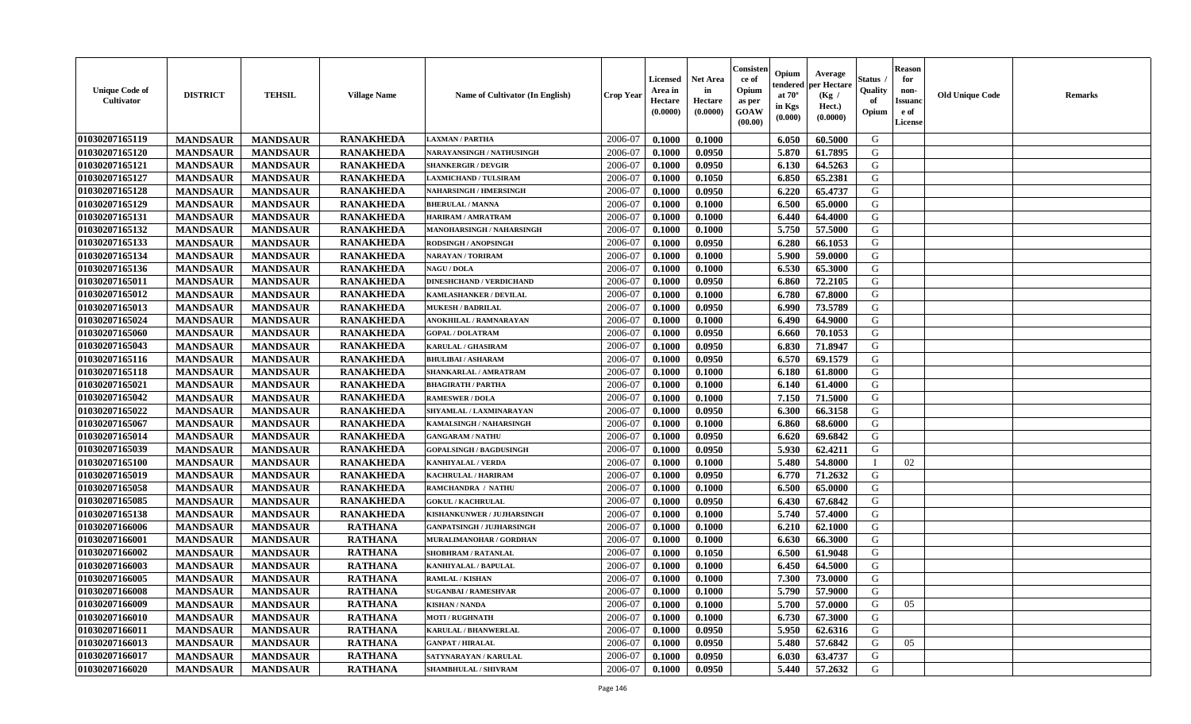| <b>Unique Code of</b><br>Cultivator | <b>DISTRICT</b> | <b>TEHSIL</b>   | <b>Village Name</b> | Name of Cultivator (In English)  | <b>Crop Year</b> | <b>Licensed</b><br>Area in<br>Hectare<br>(0.0000) | <b>Net Area</b><br>in<br>Hectare<br>(0.0000) | Consister<br>ce of<br>Opium<br>as per<br><b>GOAW</b><br>(00.00) | Opium<br>endered<br>at $70^{\circ}$<br>in Kgs<br>$(\mathbf{0.000})$ | Average<br>per Hectare<br>(Kg /<br>Hect.)<br>(0.0000) | Status<br>Quality<br>of<br>Opium | <b>Reason</b><br>for<br>non-<br><b>Issuanc</b><br>e of<br>License | <b>Old Unique Code</b> | <b>Remarks</b> |
|-------------------------------------|-----------------|-----------------|---------------------|----------------------------------|------------------|---------------------------------------------------|----------------------------------------------|-----------------------------------------------------------------|---------------------------------------------------------------------|-------------------------------------------------------|----------------------------------|-------------------------------------------------------------------|------------------------|----------------|
| 01030207165119                      | <b>MANDSAUR</b> | <b>MANDSAUR</b> | <b>RANAKHEDA</b>    | <b>LAXMAN / PARTHA</b>           | 2006-07          | 0.1000                                            | 0.1000                                       |                                                                 | 6.050                                                               | 60.5000                                               | G                                |                                                                   |                        |                |
| 01030207165120                      | <b>MANDSAUR</b> | <b>MANDSAUR</b> | <b>RANAKHEDA</b>    | NARAYANSINGH / NATHUSINGH        | 2006-07          | 0.1000                                            | 0.0950                                       |                                                                 | 5.870                                                               | 61.7895                                               | G                                |                                                                   |                        |                |
| 01030207165121                      | <b>MANDSAUR</b> | <b>MANDSAUR</b> | <b>RANAKHEDA</b>    | <b>SHANKERGIR / DEVGIR</b>       | 2006-07          | 0.1000                                            | 0.0950                                       |                                                                 | 6.130                                                               | 64.5263                                               | G                                |                                                                   |                        |                |
| 01030207165127                      | <b>MANDSAUR</b> | <b>MANDSAUR</b> | <b>RANAKHEDA</b>    | <b>LAXMICHAND / TULSIRAM</b>     | 2006-07          | 0.1000                                            | 0.1050                                       |                                                                 | 6.850                                                               | 65.2381                                               | G                                |                                                                   |                        |                |
| 01030207165128                      | <b>MANDSAUR</b> | <b>MANDSAUR</b> | <b>RANAKHEDA</b>    | <b>NAHARSINGH / HMERSINGH</b>    | 2006-07          | 0.1000                                            | 0.0950                                       |                                                                 | 6.220                                                               | 65.4737                                               | G                                |                                                                   |                        |                |
| 01030207165129                      | <b>MANDSAUR</b> | <b>MANDSAUR</b> | <b>RANAKHEDA</b>    | <b>BHERULAL / MANNA</b>          | 2006-07          | 0.1000                                            | 0.1000                                       |                                                                 | 6.500                                                               | 65.0000                                               | G                                |                                                                   |                        |                |
| 01030207165131                      | <b>MANDSAUR</b> | <b>MANDSAUR</b> | <b>RANAKHEDA</b>    | HARIRAM / AMRATRAM               | 2006-07          | 0.1000                                            | 0.1000                                       |                                                                 | 6.440                                                               | 64.4000                                               | G                                |                                                                   |                        |                |
| 01030207165132                      | <b>MANDSAUR</b> | <b>MANDSAUR</b> | <b>RANAKHEDA</b>    | MANOHARSINGH / NAHARSINGH        | 2006-07          | 0.1000                                            | 0.1000                                       |                                                                 | 5.750                                                               | 57.5000                                               | G                                |                                                                   |                        |                |
| 01030207165133                      | <b>MANDSAUR</b> | <b>MANDSAUR</b> | <b>RANAKHEDA</b>    | RODSINGH / ANOPSINGH             | 2006-07          | 0.1000                                            | 0.0950                                       |                                                                 | 6.280                                                               | 66.1053                                               | G                                |                                                                   |                        |                |
| 01030207165134                      | <b>MANDSAUR</b> | <b>MANDSAUR</b> | <b>RANAKHEDA</b>    | <b>NARAYAN / TORIRAM</b>         | 2006-07          | 0.1000                                            | 0.1000                                       |                                                                 | 5.900                                                               | 59.0000                                               | G                                |                                                                   |                        |                |
| 01030207165136                      | <b>MANDSAUR</b> | <b>MANDSAUR</b> | <b>RANAKHEDA</b>    | <b>NAGU / DOLA</b>               | 2006-07          | 0.1000                                            | 0.1000                                       |                                                                 | 6.530                                                               | 65.3000                                               | G                                |                                                                   |                        |                |
| 01030207165011                      | <b>MANDSAUR</b> | <b>MANDSAUR</b> | <b>RANAKHEDA</b>    | <b>DINESHCHAND / VERDICHAND</b>  | 2006-07          | 0.1000                                            | 0.0950                                       |                                                                 | 6.860                                                               | 72.2105                                               | G                                |                                                                   |                        |                |
| 01030207165012                      | <b>MANDSAUR</b> | <b>MANDSAUR</b> | <b>RANAKHEDA</b>    | <b>KAMLASHANKER / DEVILAL</b>    | 2006-07          | 0.1000                                            | 0.1000                                       |                                                                 | 6.780                                                               | 67.8000                                               | G                                |                                                                   |                        |                |
| 01030207165013                      | <b>MANDSAUR</b> | <b>MANDSAUR</b> | <b>RANAKHEDA</b>    | <b>MUKESH / BADRILAL</b>         | 2006-07          | 0.1000                                            | 0.0950                                       |                                                                 | 6.990                                                               | 73.5789                                               | G                                |                                                                   |                        |                |
| 01030207165024                      | <b>MANDSAUR</b> | <b>MANDSAUR</b> | <b>RANAKHEDA</b>    | ANOKHILAL / RAMNARAYAN           | 2006-07          | 0.1000                                            | 0.1000                                       |                                                                 | 6.490                                                               | 64.9000                                               | G                                |                                                                   |                        |                |
| 01030207165060                      | <b>MANDSAUR</b> | <b>MANDSAUR</b> | <b>RANAKHEDA</b>    | <b>GOPAL / DOLATRAM</b>          | 2006-07          | 0.1000                                            | 0.0950                                       |                                                                 | 6.660                                                               | 70.1053                                               | G                                |                                                                   |                        |                |
| 01030207165043                      | <b>MANDSAUR</b> | <b>MANDSAUR</b> | <b>RANAKHEDA</b>    | <b>KARULAL / GHASIRAM</b>        | 2006-07          | 0.1000                                            | 0.0950                                       |                                                                 | 6.830                                                               | 71.8947                                               | G                                |                                                                   |                        |                |
| 01030207165116                      | <b>MANDSAUR</b> | <b>MANDSAUR</b> | <b>RANAKHEDA</b>    | <b>BHULIBAI / ASHARAM</b>        | 2006-07          | 0.1000                                            | 0.0950                                       |                                                                 | 6.570                                                               | 69.1579                                               | G                                |                                                                   |                        |                |
| 01030207165118                      | <b>MANDSAUR</b> | <b>MANDSAUR</b> | <b>RANAKHEDA</b>    | SHANKARLAL / AMRATRAM            | 2006-07          | 0.1000                                            | 0.1000                                       |                                                                 | 6.180                                                               | 61.8000                                               | G                                |                                                                   |                        |                |
| 01030207165021                      | <b>MANDSAUR</b> | <b>MANDSAUR</b> | <b>RANAKHEDA</b>    | <b>BHAGIRATH / PARTHA</b>        | 2006-07          | 0.1000                                            | 0.1000                                       |                                                                 | 6.140                                                               | 61.4000                                               | G                                |                                                                   |                        |                |
| 01030207165042                      | <b>MANDSAUR</b> | <b>MANDSAUR</b> | <b>RANAKHEDA</b>    | <b>RAMESWER / DOLA</b>           | 2006-07          | 0.1000                                            | 0.1000                                       |                                                                 | 7.150                                                               | 71.5000                                               | G                                |                                                                   |                        |                |
| 01030207165022                      | <b>MANDSAUR</b> | <b>MANDSAUR</b> | <b>RANAKHEDA</b>    | SHYAMLAL / LAXMINARAYAN          | 2006-07          | 0.1000                                            | 0.0950                                       |                                                                 | 6.300                                                               | 66.3158                                               | G                                |                                                                   |                        |                |
| 01030207165067                      | <b>MANDSAUR</b> | <b>MANDSAUR</b> | <b>RANAKHEDA</b>    | KAMALSINGH / NAHARSINGH          | 2006-07          | 0.1000                                            | 0.1000                                       |                                                                 | 6.860                                                               | 68.6000                                               | G                                |                                                                   |                        |                |
| 01030207165014                      | <b>MANDSAUR</b> | <b>MANDSAUR</b> | <b>RANAKHEDA</b>    | <b>GANGARAM / NATHU</b>          | 2006-07          | 0.1000                                            | 0.0950                                       |                                                                 | 6.620                                                               | 69.6842                                               | G                                |                                                                   |                        |                |
| 01030207165039                      | <b>MANDSAUR</b> | <b>MANDSAUR</b> | <b>RANAKHEDA</b>    | <b>GOPALSINGH / BAGDUSINGH</b>   | 2006-07          | 0.1000                                            | 0.0950                                       |                                                                 | 5.930                                                               | 62.4211                                               | G                                |                                                                   |                        |                |
| 01030207165100                      | <b>MANDSAUR</b> | <b>MANDSAUR</b> | <b>RANAKHEDA</b>    | <b>KANHIYALAL / VERDA</b>        | 2006-07          | 0.1000                                            | 0.1000                                       |                                                                 | 5.480                                                               | 54.8000                                               |                                  | 02                                                                |                        |                |
| 01030207165019                      | <b>MANDSAUR</b> | <b>MANDSAUR</b> | <b>RANAKHEDA</b>    | KACHRULAL / HARIRAM              | 2006-07          | 0.1000                                            | 0.0950                                       |                                                                 | 6.770                                                               | 71.2632                                               | G                                |                                                                   |                        |                |
| 01030207165058                      | <b>MANDSAUR</b> | <b>MANDSAUR</b> | <b>RANAKHEDA</b>    | RAMCHANDRA / NATHU               | 2006-07          | 0.1000                                            | 0.1000                                       |                                                                 | 6.500                                                               | 65.0000                                               | G                                |                                                                   |                        |                |
| 01030207165085                      | <b>MANDSAUR</b> | <b>MANDSAUR</b> | <b>RANAKHEDA</b>    | <b>GOKUL / KACHRULAL</b>         | 2006-07          | 0.1000                                            | 0.0950                                       |                                                                 | 6.430                                                               | 67.6842                                               | G                                |                                                                   |                        |                |
| 01030207165138                      | <b>MANDSAUR</b> | <b>MANDSAUR</b> | <b>RANAKHEDA</b>    | KISHANKUNWER / JUJHARSINGH       | 2006-07          | 0.1000                                            | 0.1000                                       |                                                                 | 5.740                                                               | 57.4000                                               | G                                |                                                                   |                        |                |
| 01030207166006                      | <b>MANDSAUR</b> | <b>MANDSAUR</b> | <b>RATHANA</b>      | <b>GANPATSINGH / JUJHARSINGH</b> | 2006-07          | 0.1000                                            | 0.1000                                       |                                                                 | 6.210                                                               | 62.1000                                               | G                                |                                                                   |                        |                |
| 01030207166001                      | <b>MANDSAUR</b> | <b>MANDSAUR</b> | <b>RATHANA</b>      | MURALIMANOHAR / GORDHAN          | 2006-07          | 0.1000                                            | 0.1000                                       |                                                                 | 6.630                                                               | 66.3000                                               | G                                |                                                                   |                        |                |
| 01030207166002                      | <b>MANDSAUR</b> | <b>MANDSAUR</b> | <b>RATHANA</b>      | SHOBHRAM / RATANLAL              | 2006-07          | 0.1000                                            | 0.1050                                       |                                                                 | 6.500                                                               | 61.9048                                               | G                                |                                                                   |                        |                |
| 01030207166003                      | <b>MANDSAUR</b> | <b>MANDSAUR</b> | <b>RATHANA</b>      | KANHIYALAL / BAPULAL             | 2006-07          | 0.1000                                            | 0.1000                                       |                                                                 | 6.450                                                               | 64.5000                                               | G                                |                                                                   |                        |                |
| 01030207166005                      | <b>MANDSAUR</b> | <b>MANDSAUR</b> | <b>RATHANA</b>      | <b>RAMLAL / KISHAN</b>           | 2006-07          | 0.1000                                            | 0.1000                                       |                                                                 | 7.300                                                               | 73.0000                                               | G                                |                                                                   |                        |                |
| 01030207166008                      | <b>MANDSAUR</b> | MANDSAUR        | <b>RATHANA</b>      | <b>SUGANBAI/RAMESHVAR</b>        | 2006-07          | 0.1000                                            | 0.1000                                       |                                                                 |                                                                     | 5.790 57.9000                                         | G                                |                                                                   |                        |                |
| 01030207166009                      | <b>MANDSAUR</b> | <b>MANDSAUR</b> | <b>RATHANA</b>      | <b>KISHAN / NANDA</b>            | 2006-07          | 0.1000                                            | 0.1000                                       |                                                                 | 5.700                                                               | 57.0000                                               | G                                | 05                                                                |                        |                |
| 01030207166010                      | <b>MANDSAUR</b> | <b>MANDSAUR</b> | <b>RATHANA</b>      | <b>MOTI / RUGHNATH</b>           | 2006-07          | 0.1000                                            | 0.1000                                       |                                                                 | 6.730                                                               | 67.3000                                               | G                                |                                                                   |                        |                |
| 01030207166011                      | <b>MANDSAUR</b> | <b>MANDSAUR</b> | <b>RATHANA</b>      | <b>KARULAL / BHANWERLAL</b>      | 2006-07          | 0.1000                                            | 0.0950                                       |                                                                 | 5.950                                                               | 62.6316                                               | G                                |                                                                   |                        |                |
| 01030207166013                      | <b>MANDSAUR</b> | <b>MANDSAUR</b> | <b>RATHANA</b>      | <b>GANPAT / HIRALAL</b>          | 2006-07          | 0.1000                                            | 0.0950                                       |                                                                 | 5.480                                                               | 57.6842                                               | G                                | 05                                                                |                        |                |
| 01030207166017                      | <b>MANDSAUR</b> | <b>MANDSAUR</b> | <b>RATHANA</b>      | SATYNARAYAN / KARULAL            | 2006-07          | 0.1000                                            | 0.0950                                       |                                                                 | 6.030                                                               | 63.4737                                               | G                                |                                                                   |                        |                |
| 01030207166020                      | <b>MANDSAUR</b> | <b>MANDSAUR</b> | <b>RATHANA</b>      | <b>SHAMBHULAL / SHIVRAM</b>      | 2006-07          | 0.1000                                            | 0.0950                                       |                                                                 | 5.440                                                               | 57.2632                                               | G                                |                                                                   |                        |                |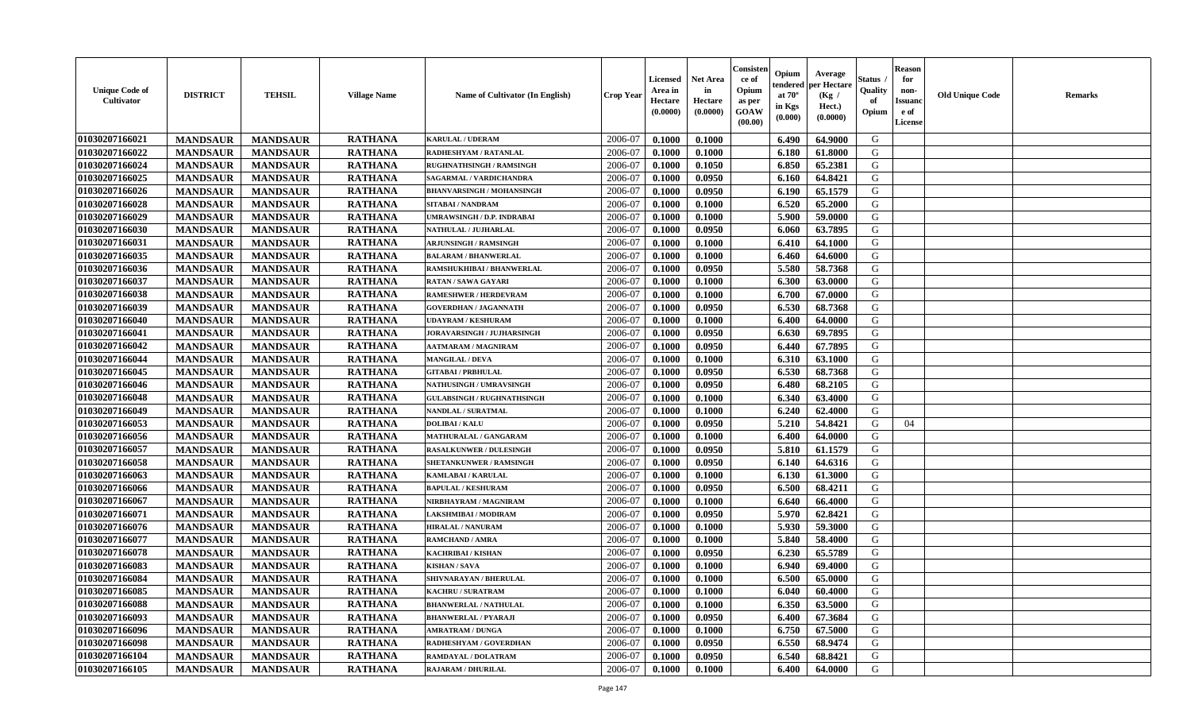| <b>Unique Code of</b><br><b>Cultivator</b> | <b>DISTRICT</b> | <b>TEHSIL</b>   | <b>Village Name</b> | <b>Name of Cultivator (In English)</b> | <b>Crop Year</b> | Licensed<br>Area in<br>Hectare<br>(0.0000) | <b>Net Area</b><br>in<br>Hectare<br>(0.0000) | Consister<br>ce of<br>Opium<br>as per<br>GOAW<br>(00.00) | Opium<br>endered<br>at $70^\circ$<br>in Kgs<br>(0.000) | Average<br>per Hectare<br>(Kg /<br>Hect.)<br>(0.0000) | <b>Status</b> .<br>Quality<br>of<br>Opium | <b>Reason</b><br>for<br>non-<br><b>Issuanc</b><br>e of<br>License | <b>Old Unique Code</b> | <b>Remarks</b> |
|--------------------------------------------|-----------------|-----------------|---------------------|----------------------------------------|------------------|--------------------------------------------|----------------------------------------------|----------------------------------------------------------|--------------------------------------------------------|-------------------------------------------------------|-------------------------------------------|-------------------------------------------------------------------|------------------------|----------------|
| 01030207166021                             | <b>MANDSAUR</b> | <b>MANDSAUR</b> | <b>RATHANA</b>      | <b>KARULAL / UDERAM</b>                | 2006-07          | 0.1000                                     | 0.1000                                       |                                                          | 6.490                                                  | 64.9000                                               | G                                         |                                                                   |                        |                |
| 01030207166022                             | <b>MANDSAUR</b> | <b>MANDSAUR</b> | <b>RATHANA</b>      | RADHESHYAM / RATANLAL                  | 2006-07          | 0.1000                                     | 0.1000                                       |                                                          | 6.180                                                  | 61.8000                                               | G                                         |                                                                   |                        |                |
| 01030207166024                             | <b>MANDSAUR</b> | <b>MANDSAUR</b> | <b>RATHANA</b>      | RUGHNATHSINGH / RAMSINGH               | 2006-07          | 0.1000                                     | 0.1050                                       |                                                          | 6.850                                                  | 65.2381                                               | G                                         |                                                                   |                        |                |
| 01030207166025                             | <b>MANDSAUR</b> | <b>MANDSAUR</b> | <b>RATHANA</b>      | SAGARMAL / VARDICHANDRA                | 2006-07          | 0.1000                                     | 0.0950                                       |                                                          | 6.160                                                  | 64.8421                                               | G                                         |                                                                   |                        |                |
| 01030207166026                             | <b>MANDSAUR</b> | <b>MANDSAUR</b> | <b>RATHANA</b>      | <b>BHANVARSINGH / MOHANSINGH</b>       | 2006-07          | 0.1000                                     | 0.0950                                       |                                                          | 6.190                                                  | 65.1579                                               | G                                         |                                                                   |                        |                |
| 01030207166028                             | <b>MANDSAUR</b> | <b>MANDSAUR</b> | <b>RATHANA</b>      | <b>SITABAI/NANDRAM</b>                 | 2006-07          | 0.1000                                     | 0.1000                                       |                                                          | 6.520                                                  | 65.2000                                               | G                                         |                                                                   |                        |                |
| 01030207166029                             | <b>MANDSAUR</b> | <b>MANDSAUR</b> | <b>RATHANA</b>      | <b>JMRAWSINGH / D.P. INDRABAI</b>      | 2006-07          | 0.1000                                     | 0.1000                                       |                                                          | 5.900                                                  | 59.0000                                               | G                                         |                                                                   |                        |                |
| 01030207166030                             | <b>MANDSAUR</b> | <b>MANDSAUR</b> | <b>RATHANA</b>      | NATHULAL / JUJHARLAL                   | 2006-07          | 0.1000                                     | 0.0950                                       |                                                          | 6.060                                                  | 63.7895                                               | G                                         |                                                                   |                        |                |
| 01030207166031                             | <b>MANDSAUR</b> | <b>MANDSAUR</b> | <b>RATHANA</b>      | <b>ARJUNSINGH / RAMSINGH</b>           | 2006-07          | 0.1000                                     | 0.1000                                       |                                                          | 6.410                                                  | 64.1000                                               | G                                         |                                                                   |                        |                |
| 01030207166035                             | <b>MANDSAUR</b> | <b>MANDSAUR</b> | <b>RATHANA</b>      | <b>BALARAM / BHANWERLAL</b>            | 2006-07          | 0.1000                                     | 0.1000                                       |                                                          | 6.460                                                  | 64.6000                                               | G                                         |                                                                   |                        |                |
| 01030207166036                             | <b>MANDSAUR</b> | <b>MANDSAUR</b> | <b>RATHANA</b>      | RAMSHUKHIBAI / BHANWERLAL              | 2006-07          | 0.1000                                     | 0.0950                                       |                                                          | 5.580                                                  | 58.7368                                               | G                                         |                                                                   |                        |                |
| 01030207166037                             | <b>MANDSAUR</b> | <b>MANDSAUR</b> | <b>RATHANA</b>      | <b>RATAN / SAWA GAYARI</b>             | 2006-07          | 0.1000                                     | 0.1000                                       |                                                          | 6.300                                                  | 63.0000                                               | G                                         |                                                                   |                        |                |
| 01030207166038                             | <b>MANDSAUR</b> | <b>MANDSAUR</b> | <b>RATHANA</b>      | <b>RAMESHWER / HERDEVRAM</b>           | 2006-07          | 0.1000                                     | 0.1000                                       |                                                          | 6.700                                                  | 67.0000                                               | G                                         |                                                                   |                        |                |
| 01030207166039                             | <b>MANDSAUR</b> | <b>MANDSAUR</b> | <b>RATHANA</b>      | <b>GOVERDHAN / JAGANNATH</b>           | 2006-07          | 0.1000                                     | 0.0950                                       |                                                          | 6.530                                                  | 68.7368                                               | G                                         |                                                                   |                        |                |
| 01030207166040                             | <b>MANDSAUR</b> | <b>MANDSAUR</b> | <b>RATHANA</b>      | <b>UDAYRAM / KESHURAM</b>              | 2006-07          | 0.1000                                     | 0.1000                                       |                                                          | 6.400                                                  | 64.0000                                               | ${\bf G}$                                 |                                                                   |                        |                |
| 01030207166041                             | <b>MANDSAUR</b> | <b>MANDSAUR</b> | <b>RATHANA</b>      | JORAVARSINGH / JUJHARSINGH             | 2006-07          | 0.1000                                     | 0.0950                                       |                                                          | 6.630                                                  | 69.7895                                               | G                                         |                                                                   |                        |                |
| 01030207166042                             | <b>MANDSAUR</b> | <b>MANDSAUR</b> | <b>RATHANA</b>      | <b>AATMARAM / MAGNIRAM</b>             | 2006-07          | 0.1000                                     | 0.0950                                       |                                                          | 6.440                                                  | 67.7895                                               | G                                         |                                                                   |                        |                |
| 01030207166044                             | <b>MANDSAUR</b> | <b>MANDSAUR</b> | <b>RATHANA</b>      | <b>MANGILAL / DEVA</b>                 | 2006-07          | 0.1000                                     | 0.1000                                       |                                                          | 6.310                                                  | 63.1000                                               | G                                         |                                                                   |                        |                |
| 01030207166045                             | <b>MANDSAUR</b> | <b>MANDSAUR</b> | <b>RATHANA</b>      | <b>GITABAI / PRBHULAL</b>              | 2006-07          | 0.1000                                     | 0.0950                                       |                                                          | 6.530                                                  | 68.7368                                               | G                                         |                                                                   |                        |                |
| 01030207166046                             | <b>MANDSAUR</b> | <b>MANDSAUR</b> | <b>RATHANA</b>      | <b>NATHUSINGH / UMRAVSINGH</b>         | 2006-07          | 0.1000                                     | 0.0950                                       |                                                          | 6.480                                                  | 68.2105                                               | G                                         |                                                                   |                        |                |
| 01030207166048                             | <b>MANDSAUR</b> | <b>MANDSAUR</b> | <b>RATHANA</b>      | <b>GULABSINGH / RUGHNATHSINGH</b>      | 2006-07          | 0.1000                                     | 0.1000                                       |                                                          | 6.340                                                  | 63.4000                                               | G                                         |                                                                   |                        |                |
| 01030207166049                             | <b>MANDSAUR</b> | <b>MANDSAUR</b> | <b>RATHANA</b>      | NANDLAL / SURATMAL                     | 2006-07          | 0.1000                                     | 0.1000                                       |                                                          | 6.240                                                  | 62.4000                                               | G                                         |                                                                   |                        |                |
| 01030207166053                             | <b>MANDSAUR</b> | <b>MANDSAUR</b> | <b>RATHANA</b>      | <b>DOLIBAI/KALU</b>                    | 2006-07          | 0.1000                                     | 0.0950                                       |                                                          | 5.210                                                  | 54.8421                                               | G                                         | 04                                                                |                        |                |
| 01030207166056                             | <b>MANDSAUR</b> | <b>MANDSAUR</b> | <b>RATHANA</b>      | MATHURALAL / GANGARAM                  | 2006-07          | 0.1000                                     | 0.1000                                       |                                                          | 6.400                                                  | 64.0000                                               | G                                         |                                                                   |                        |                |
| 01030207166057                             | <b>MANDSAUR</b> | <b>MANDSAUR</b> | <b>RATHANA</b>      | <b>RASALKUNWER / DULESINGH</b>         | 2006-07          | 0.1000                                     | 0.0950                                       |                                                          | 5.810                                                  | 61.1579                                               | G                                         |                                                                   |                        |                |
| 01030207166058                             | <b>MANDSAUR</b> | <b>MANDSAUR</b> | <b>RATHANA</b>      | SHETANKUNWER / RAMSINGH                | 2006-07          | 0.1000                                     | 0.0950                                       |                                                          | 6.140                                                  | 64.6316                                               | G                                         |                                                                   |                        |                |
| 01030207166063                             | <b>MANDSAUR</b> | <b>MANDSAUR</b> | <b>RATHANA</b>      | KAMLABAI / KARULAL                     | 2006-07          | 0.1000                                     | 0.1000                                       |                                                          | 6.130                                                  | 61.3000                                               | G                                         |                                                                   |                        |                |
| 01030207166066                             | <b>MANDSAUR</b> | <b>MANDSAUR</b> | <b>RATHANA</b>      | <b>BAPULAL / KESHURAM</b>              | 2006-07          | 0.1000                                     | 0.0950                                       |                                                          | 6.500                                                  | 68.4211                                               | G                                         |                                                                   |                        |                |
| 01030207166067                             | <b>MANDSAUR</b> | <b>MANDSAUR</b> | <b>RATHANA</b>      | NIRBHAYRAM / MAGNIRAM                  | 2006-07          | 0.1000                                     | 0.1000                                       |                                                          | 6.640                                                  | 66.4000                                               | G                                         |                                                                   |                        |                |
| 01030207166071                             | <b>MANDSAUR</b> | <b>MANDSAUR</b> | <b>RATHANA</b>      | LAKSHMIBAI / MODIRAM                   | 2006-07          | 0.1000                                     | 0.0950                                       |                                                          | 5.970                                                  | 62.8421                                               | G                                         |                                                                   |                        |                |
| 01030207166076                             | <b>MANDSAUR</b> | <b>MANDSAUR</b> | <b>RATHANA</b>      | <b>HIRALAL / NANURAM</b>               | 2006-07          | 0.1000                                     | 0.1000                                       |                                                          | 5.930                                                  | 59.3000                                               | G                                         |                                                                   |                        |                |
| 01030207166077                             | <b>MANDSAUR</b> | <b>MANDSAUR</b> | <b>RATHANA</b>      | RAMCHAND / AMRA                        | 2006-07          | 0.1000                                     | 0.1000                                       |                                                          | 5.840                                                  | 58.4000                                               | G                                         |                                                                   |                        |                |
| 01030207166078                             | <b>MANDSAUR</b> | <b>MANDSAUR</b> | <b>RATHANA</b>      | KACHRIBAI / KISHAN                     | 2006-07          | 0.1000                                     | 0.0950                                       |                                                          | 6.230                                                  | 65.5789                                               | G                                         |                                                                   |                        |                |
| 01030207166083                             | <b>MANDSAUR</b> | <b>MANDSAUR</b> | <b>RATHANA</b>      | <b>KISHAN / SAVA</b>                   | 2006-07          | 0.1000                                     | 0.1000                                       |                                                          | 6.940                                                  | 69.4000                                               | G                                         |                                                                   |                        |                |
| 01030207166084                             | <b>MANDSAUR</b> | <b>MANDSAUR</b> | <b>RATHANA</b>      | SHIVNARAYAN / BHERULAL                 | 2006-07          | 0.1000                                     | 0.1000                                       |                                                          | 6.500                                                  | 65.0000                                               | G                                         |                                                                   |                        |                |
| 01030207166085                             | <b>MANDSAUR</b> | <b>MANDSAUR</b> | <b>RATHANA</b>      | <b>KACHRU / SURATRAM</b>               | 2006-07          | 0.1000                                     | 0.1000                                       |                                                          | 6.040                                                  | 60.4000                                               | G                                         |                                                                   |                        |                |
| 01030207166088                             | <b>MANDSAUR</b> | <b>MANDSAUR</b> | <b>RATHANA</b>      | <b>BHANWERLAL / NATHULAL</b>           | 2006-07          | 0.1000                                     | 0.1000                                       |                                                          | 6.350                                                  | 63.5000                                               | G                                         |                                                                   |                        |                |
| 01030207166093                             | <b>MANDSAUR</b> | <b>MANDSAUR</b> | <b>RATHANA</b>      | <b>BHANWERLAL / PYARAJI</b>            | 2006-07          | 0.1000                                     | 0.0950                                       |                                                          | 6.400                                                  | 67.3684                                               | G                                         |                                                                   |                        |                |
| 01030207166096                             | <b>MANDSAUR</b> | <b>MANDSAUR</b> | <b>RATHANA</b>      | <b>AMRATRAM / DUNGA</b>                | 2006-07          | 0.1000                                     | 0.1000                                       |                                                          | 6.750                                                  | 67.5000                                               | G                                         |                                                                   |                        |                |
| 01030207166098                             | <b>MANDSAUR</b> | <b>MANDSAUR</b> | <b>RATHANA</b>      | RADHESHYAM / GOVERDHAN                 | 2006-07          | 0.1000                                     | 0.0950                                       |                                                          | 6.550                                                  | 68.9474                                               | ${\bf G}$                                 |                                                                   |                        |                |
| 01030207166104                             | <b>MANDSAUR</b> | <b>MANDSAUR</b> | <b>RATHANA</b>      | RAMDAYAL / DOLATRAM                    | 2006-07          | 0.1000                                     | 0.0950                                       |                                                          | 6.540                                                  | 68.8421                                               | G                                         |                                                                   |                        |                |
| 01030207166105                             | <b>MANDSAUR</b> | <b>MANDSAUR</b> | <b>RATHANA</b>      | <b>RAJARAM / DHURILAL</b>              | 2006-07          | 0.1000                                     | 0.1000                                       |                                                          | 6.400                                                  | 64.0000                                               | G                                         |                                                                   |                        |                |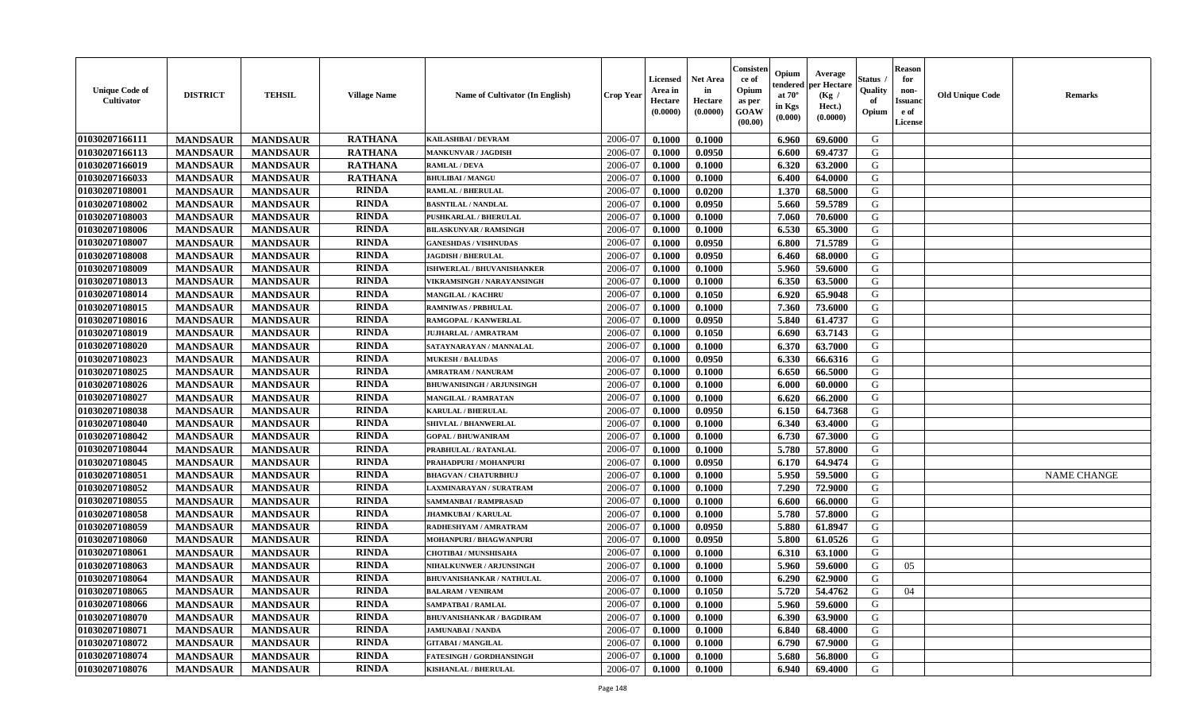| <b>Unique Code of</b><br>Cultivator | <b>DISTRICT</b> | <b>TEHSIL</b>   | <b>Village Name</b> | <b>Name of Cultivator (In English)</b> | <b>Crop Year</b> | <b>Licensed</b><br>Area in<br>Hectare<br>(0.0000) | <b>Net Area</b><br>in<br>Hectare<br>(0.0000) | Consisten<br>ce of<br>Opium<br>as per<br><b>GOAW</b><br>(00.00) | Opium<br>tendered<br>at $70^\circ$<br>in Kgs<br>(0.000) | Average<br>per Hectare<br>(Kg /<br>Hect.)<br>(0.0000) | Status .<br>Quality<br>of<br>Opium | <b>Reason</b><br>for<br>non-<br><b>Issuanc</b><br>e of<br>License | <b>Old Unique Code</b> | <b>Remarks</b>     |
|-------------------------------------|-----------------|-----------------|---------------------|----------------------------------------|------------------|---------------------------------------------------|----------------------------------------------|-----------------------------------------------------------------|---------------------------------------------------------|-------------------------------------------------------|------------------------------------|-------------------------------------------------------------------|------------------------|--------------------|
| 01030207166111                      | <b>MANDSAUR</b> | <b>MANDSAUR</b> | <b>RATHANA</b>      | KAILASHBAI / DEVRAM                    | 2006-07          | 0.1000                                            | 0.1000                                       |                                                                 | 6.960                                                   | 69.6000                                               | G                                  |                                                                   |                        |                    |
| 01030207166113                      | <b>MANDSAUR</b> | <b>MANDSAUR</b> | <b>RATHANA</b>      | <b>MANKUNVAR / JAGDISH</b>             | 2006-07          | 0.1000                                            | 0.0950                                       |                                                                 | 6.600                                                   | 69.4737                                               | G                                  |                                                                   |                        |                    |
| 01030207166019                      | <b>MANDSAUR</b> | <b>MANDSAUR</b> | <b>RATHANA</b>      | <b>RAMLAL / DEVA</b>                   | 2006-07          | 0.1000                                            | 0.1000                                       |                                                                 | 6.320                                                   | 63.2000                                               | G                                  |                                                                   |                        |                    |
| 01030207166033                      | <b>MANDSAUR</b> | <b>MANDSAUR</b> | <b>RATHANA</b>      | <b>BHULIBAI / MANGU</b>                | 2006-07          | 0.1000                                            | 0.1000                                       |                                                                 | 6.400                                                   | 64.0000                                               | G                                  |                                                                   |                        |                    |
| 01030207108001                      | <b>MANDSAUR</b> | <b>MANDSAUR</b> | <b>RINDA</b>        | <b>RAMLAL / BHERULAL</b>               | 2006-07          | 0.1000                                            | 0.0200                                       |                                                                 | 1.370                                                   | 68.5000                                               | G                                  |                                                                   |                        |                    |
| 01030207108002                      | <b>MANDSAUR</b> | <b>MANDSAUR</b> | <b>RINDA</b>        | <b>BASNTILAL / NANDLAL</b>             | 2006-07          | 0.1000                                            | 0.0950                                       |                                                                 | 5.660                                                   | 59.5789                                               | G                                  |                                                                   |                        |                    |
| 01030207108003                      | <b>MANDSAUR</b> | <b>MANDSAUR</b> | <b>RINDA</b>        | PUSHKARLAL / BHERULAL                  | 2006-07          | 0.1000                                            | 0.1000                                       |                                                                 | 7.060                                                   | 70.6000                                               | G                                  |                                                                   |                        |                    |
| 01030207108006                      | <b>MANDSAUR</b> | <b>MANDSAUR</b> | <b>RINDA</b>        | <b>BILASKUNVAR / RAMSINGH</b>          | 2006-07          | 0.1000                                            | 0.1000                                       |                                                                 | 6.530                                                   | 65.3000                                               | G                                  |                                                                   |                        |                    |
| 01030207108007                      | <b>MANDSAUR</b> | <b>MANDSAUR</b> | <b>RINDA</b>        | <b>GANESHDAS / VISHNUDAS</b>           | 2006-07          | 0.1000                                            | 0.0950                                       |                                                                 | 6.800                                                   | 71.5789                                               | G                                  |                                                                   |                        |                    |
| 01030207108008                      | <b>MANDSAUR</b> | <b>MANDSAUR</b> | <b>RINDA</b>        | <b>JAGDISH / BHERULAL</b>              | 2006-07          | 0.1000                                            | 0.0950                                       |                                                                 | 6.460                                                   | 68.0000                                               | G                                  |                                                                   |                        |                    |
| 01030207108009                      | <b>MANDSAUR</b> | <b>MANDSAUR</b> | <b>RINDA</b>        | ISHWERLAL / BHUVANISHANKER             | 2006-07          | 0.1000                                            | 0.1000                                       |                                                                 | 5.960                                                   | 59.6000                                               | G                                  |                                                                   |                        |                    |
| 01030207108013                      | <b>MANDSAUR</b> | <b>MANDSAUR</b> | <b>RINDA</b>        | VIKRAMSINGH / NARAYANSINGH             | 2006-07          | 0.1000                                            | 0.1000                                       |                                                                 | 6.350                                                   | 63.5000                                               | G                                  |                                                                   |                        |                    |
| 01030207108014                      | <b>MANDSAUR</b> | <b>MANDSAUR</b> | <b>RINDA</b>        | <b>MANGILAL / KACHRU</b>               | 2006-07          | 0.1000                                            | 0.1050                                       |                                                                 | 6.920                                                   | 65.9048                                               | G                                  |                                                                   |                        |                    |
| 01030207108015                      | <b>MANDSAUR</b> | <b>MANDSAUR</b> | <b>RINDA</b>        | <b>RAMNIWAS / PRBHULAL</b>             | 2006-07          | 0.1000                                            | 0.1000                                       |                                                                 | 7.360                                                   | 73.6000                                               | G                                  |                                                                   |                        |                    |
| 01030207108016                      | <b>MANDSAUR</b> | <b>MANDSAUR</b> | <b>RINDA</b>        | RAMGOPAL / KANWERLAL                   | 2006-07          | 0.1000                                            | 0.0950                                       |                                                                 | 5.840                                                   | 61.4737                                               | G                                  |                                                                   |                        |                    |
| 01030207108019                      | <b>MANDSAUR</b> | <b>MANDSAUR</b> | <b>RINDA</b>        | JUJHARLAL / AMRATRAM                   | 2006-07          | 0.1000                                            | 0.1050                                       |                                                                 | 6.690                                                   | 63.7143                                               | G                                  |                                                                   |                        |                    |
| 01030207108020                      | <b>MANDSAUR</b> | <b>MANDSAUR</b> | <b>RINDA</b>        | SATAYNARAYAN / MANNALAL                | 2006-07          | 0.1000                                            | 0.1000                                       |                                                                 | 6.370                                                   | 63.7000                                               | G                                  |                                                                   |                        |                    |
| 01030207108023                      | <b>MANDSAUR</b> | <b>MANDSAUR</b> | <b>RINDA</b>        | <b>MUKESH / BALUDAS</b>                | 2006-07          | 0.1000                                            | 0.0950                                       |                                                                 | 6.330                                                   | 66.6316                                               | G                                  |                                                                   |                        |                    |
| 01030207108025                      | <b>MANDSAUR</b> | <b>MANDSAUR</b> | <b>RINDA</b>        | <b>AMRATRAM / NANURAM</b>              | 2006-07          | 0.1000                                            | 0.1000                                       |                                                                 | 6.650                                                   | 66.5000                                               | G                                  |                                                                   |                        |                    |
| 01030207108026                      | <b>MANDSAUR</b> | <b>MANDSAUR</b> | <b>RINDA</b>        | <b>BHUWANISINGH / ARJUNSINGH</b>       | 2006-07          | 0.1000                                            | 0.1000                                       |                                                                 | 6.000                                                   | 60.0000                                               | G                                  |                                                                   |                        |                    |
| 01030207108027                      | <b>MANDSAUR</b> | <b>MANDSAUR</b> | <b>RINDA</b>        | <b>MANGILAL / RAMRATAN</b>             | 2006-07          | 0.1000                                            | 0.1000                                       |                                                                 | 6.620                                                   | 66.2000                                               | G                                  |                                                                   |                        |                    |
| 01030207108038                      | <b>MANDSAUR</b> | <b>MANDSAUR</b> | <b>RINDA</b>        | <b>KARULAL / BHERULAL</b>              | 2006-07          | 0.1000                                            | 0.0950                                       |                                                                 | 6.150                                                   | 64.7368                                               | G                                  |                                                                   |                        |                    |
| 01030207108040                      | <b>MANDSAUR</b> | <b>MANDSAUR</b> | <b>RINDA</b>        | <b>SHIVLAL / BHANWERLAL</b>            | 2006-07          | 0.1000                                            | 0.1000                                       |                                                                 | 6.340                                                   | 63.4000                                               | G                                  |                                                                   |                        |                    |
| 01030207108042                      | <b>MANDSAUR</b> | <b>MANDSAUR</b> | <b>RINDA</b>        | <b>GOPAL / BHUWANIRAM</b>              | 2006-07          | 0.1000                                            | 0.1000                                       |                                                                 | 6.730                                                   | 67.3000                                               | G                                  |                                                                   |                        |                    |
| 01030207108044                      | <b>MANDSAUR</b> | <b>MANDSAUR</b> | <b>RINDA</b>        | PRABHULAL / RATANLAL                   | 2006-07          | 0.1000                                            | 0.1000                                       |                                                                 | 5.780                                                   | 57.8000                                               | G                                  |                                                                   |                        |                    |
| 01030207108045                      | <b>MANDSAUR</b> | <b>MANDSAUR</b> | <b>RINDA</b>        | PRAHADPURI / MOHANPURI                 | 2006-07          | 0.1000                                            | 0.0950                                       |                                                                 | 6.170                                                   | 64.9474                                               | G                                  |                                                                   |                        |                    |
| 01030207108051                      | <b>MANDSAUR</b> | <b>MANDSAUR</b> | <b>RINDA</b>        | <b>BHAGVAN / CHATURBHUJ</b>            | 2006-07          | 0.1000                                            | 0.1000                                       |                                                                 | 5.950                                                   | 59.5000                                               | G                                  |                                                                   |                        | <b>NAME CHANGE</b> |
| 01030207108052                      | <b>MANDSAUR</b> | <b>MANDSAUR</b> | <b>RINDA</b>        | LAXMINARAYAN / SURATRAM                | 2006-07          | 0.1000                                            | 0.1000                                       |                                                                 | 7.290                                                   | 72.9000                                               | G                                  |                                                                   |                        |                    |
| 01030207108055                      | <b>MANDSAUR</b> | <b>MANDSAUR</b> | <b>RINDA</b>        | SAMMANBAI / RAMPRASAD                  | 2006-07          | 0.1000                                            | 0.1000                                       |                                                                 | 6.600                                                   | 66.0000                                               | G                                  |                                                                   |                        |                    |
| 01030207108058                      | <b>MANDSAUR</b> | <b>MANDSAUR</b> | <b>RINDA</b>        | <b>JHAMKUBAI/KARULAL</b>               | 2006-07          | 0.1000                                            | 0.1000                                       |                                                                 | 5.780                                                   | 57.8000                                               | G                                  |                                                                   |                        |                    |
| 01030207108059                      | <b>MANDSAUR</b> | <b>MANDSAUR</b> | <b>RINDA</b>        | RADHESHYAM / AMRATRAM                  | 2006-07          | 0.1000                                            | 0.0950                                       |                                                                 | 5.880                                                   | 61.8947                                               | G                                  |                                                                   |                        |                    |
| 01030207108060                      | <b>MANDSAUR</b> | <b>MANDSAUR</b> | <b>RINDA</b>        | MOHANPURI / BHAGWANPURI                | 2006-07          | 0.1000                                            | 0.0950                                       |                                                                 | 5.800                                                   | 61.0526                                               | G                                  |                                                                   |                        |                    |
| 01030207108061                      | <b>MANDSAUR</b> | <b>MANDSAUR</b> | <b>RINDA</b>        | <b>CHOTIBAI / MUNSHISAHA</b>           | 2006-07          | 0.1000                                            | 0.1000                                       |                                                                 | 6.310                                                   | 63.1000                                               | G                                  |                                                                   |                        |                    |
| 01030207108063                      | <b>MANDSAUR</b> | <b>MANDSAUR</b> | <b>RINDA</b>        | <b>NIHALKUNWER / ARJUNSINGH</b>        | 2006-07          | 0.1000                                            | 0.1000                                       |                                                                 | 5.960                                                   | 59.6000                                               | G                                  | 05                                                                |                        |                    |
| 01030207108064                      | <b>MANDSAUR</b> | <b>MANDSAUR</b> | <b>RINDA</b>        | <b>BHUVANISHANKAR / NATHULAL</b>       | 2006-07          | 0.1000                                            | 0.1000                                       |                                                                 | 6.290                                                   | 62.9000                                               | G                                  |                                                                   |                        |                    |
| 01030207108065                      | <b>MANDSAUR</b> | <b>MANDSAUR</b> | <b>RINDA</b>        | <b>BALARAM / VENIRAM</b>               | 2006-07          | 0.1000                                            | 0.1050                                       |                                                                 | 5.720                                                   | 54.4762                                               | G                                  | 04                                                                |                        |                    |
| 01030207108066                      | <b>MANDSAUR</b> | <b>MANDSAUR</b> | <b>RINDA</b>        | <b>SAMPATBAI / RAMLAL</b>              | 2006-07          | 0.1000                                            | 0.1000                                       |                                                                 | 5.960                                                   | 59.6000                                               | G                                  |                                                                   |                        |                    |
| 01030207108070                      | <b>MANDSAUR</b> | <b>MANDSAUR</b> | <b>RINDA</b>        | <b>BHUVANISHANKAR / BAGDIRAM</b>       | 2006-07          | 0.1000                                            | 0.1000                                       |                                                                 | 6.390                                                   | 63.9000                                               | G                                  |                                                                   |                        |                    |
| 01030207108071                      | <b>MANDSAUR</b> | <b>MANDSAUR</b> | <b>RINDA</b>        | <b>JAMUNABAI / NANDA</b>               | 2006-07          | 0.1000                                            | 0.1000                                       |                                                                 | 6.840                                                   | 68.4000                                               | G                                  |                                                                   |                        |                    |
| 01030207108072                      | <b>MANDSAUR</b> | <b>MANDSAUR</b> | <b>RINDA</b>        | <b>GITABAI/MANGILAL</b>                | 2006-07          | 0.1000                                            | 0.1000                                       |                                                                 | 6.790                                                   | 67.9000                                               | G                                  |                                                                   |                        |                    |
| 01030207108074                      | <b>MANDSAUR</b> | <b>MANDSAUR</b> | <b>RINDA</b>        | <b>FATESINGH / GORDHANSINGH</b>        | 2006-07          | 0.1000                                            | 0.1000                                       |                                                                 | 5.680                                                   | 56.8000                                               | G                                  |                                                                   |                        |                    |
| 01030207108076                      | <b>MANDSAUR</b> | <b>MANDSAUR</b> | <b>RINDA</b>        | KISHANLAL / BHERULAL                   | 2006-07          | 0.1000                                            | 0.1000                                       |                                                                 | 6.940                                                   | 69.4000                                               | G                                  |                                                                   |                        |                    |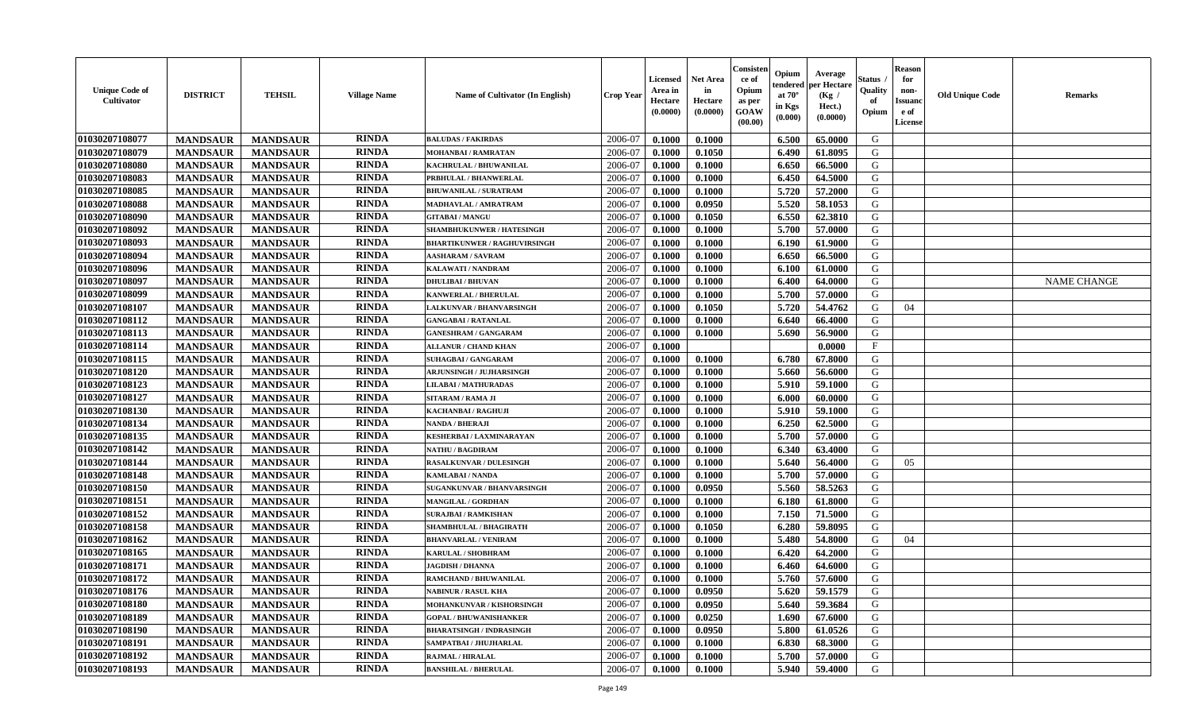| <b>Unique Code of</b><br><b>Cultivator</b> | <b>DISTRICT</b> | <b>TEHSIL</b>   | <b>Village Name</b> | <b>Name of Cultivator (In English)</b> | <b>Crop Year</b> | <b>Licensed</b><br>Area in<br>Hectare<br>(0.0000) | <b>Net Area</b><br>in<br>Hectare<br>(0.0000) | Consisteı<br>ce of<br>Opium<br>as per<br>GOAW<br>(00.00) | Opium<br>endered<br>at $70^\circ$<br>in Kgs<br>(0.000) | Average<br>per Hectare<br>(Kg /<br>Hect.)<br>(0.0000) | Status<br>Quality<br>of<br>Opium | <b>Reason</b><br>for<br>non-<br><b>Issuand</b><br>e of<br>License | <b>Old Unique Code</b> | Remarks            |
|--------------------------------------------|-----------------|-----------------|---------------------|----------------------------------------|------------------|---------------------------------------------------|----------------------------------------------|----------------------------------------------------------|--------------------------------------------------------|-------------------------------------------------------|----------------------------------|-------------------------------------------------------------------|------------------------|--------------------|
| 01030207108077                             | <b>MANDSAUR</b> | <b>MANDSAUR</b> | <b>RINDA</b>        | <b>BALUDAS / FAKIRDAS</b>              | 2006-07          | 0.1000                                            | 0.1000                                       |                                                          | 6.500                                                  | 65.0000                                               | G                                |                                                                   |                        |                    |
| 01030207108079                             | <b>MANDSAUR</b> | <b>MANDSAUR</b> | <b>RINDA</b>        | <b>MOHANBAI/RAMRATAN</b>               | 2006-07          | 0.1000                                            | 0.1050                                       |                                                          | 6.490                                                  | 61.8095                                               | G                                |                                                                   |                        |                    |
| 01030207108080                             | <b>MANDSAUR</b> | <b>MANDSAUR</b> | <b>RINDA</b>        | KACHRULAL / BHUWANILAL                 | 2006-07          | 0.1000                                            | 0.1000                                       |                                                          | 6.650                                                  | 66.5000                                               | G                                |                                                                   |                        |                    |
| 01030207108083                             | <b>MANDSAUR</b> | <b>MANDSAUR</b> | <b>RINDA</b>        | PRBHULAL / BHANWERLAL                  | 2006-07          | 0.1000                                            | 0.1000                                       |                                                          | 6.450                                                  | 64.5000                                               | G                                |                                                                   |                        |                    |
| 01030207108085                             | <b>MANDSAUR</b> | <b>MANDSAUR</b> | <b>RINDA</b>        | <b>BHUWANILAL / SURATRAM</b>           | 2006-07          | 0.1000                                            | 0.1000                                       |                                                          | 5.720                                                  | 57.2000                                               | G                                |                                                                   |                        |                    |
| 01030207108088                             | <b>MANDSAUR</b> | <b>MANDSAUR</b> | <b>RINDA</b>        | MADHAVLAL / AMRATRAM                   | 2006-07          | 0.1000                                            | 0.0950                                       |                                                          | 5.520                                                  | 58.1053                                               | G                                |                                                                   |                        |                    |
| 01030207108090                             | <b>MANDSAUR</b> | <b>MANDSAUR</b> | <b>RINDA</b>        | <b>GITABAI/MANGU</b>                   | 2006-07          | 0.1000                                            | 0.1050                                       |                                                          | 6.550                                                  | 62.3810                                               | G                                |                                                                   |                        |                    |
| 01030207108092                             | <b>MANDSAUR</b> | <b>MANDSAUR</b> | <b>RINDA</b>        | SHAMBHUKUNWER / HATESINGH              | 2006-07          | 0.1000                                            | 0.1000                                       |                                                          | 5.700                                                  | 57.0000                                               | G                                |                                                                   |                        |                    |
| 01030207108093                             | <b>MANDSAUR</b> | <b>MANDSAUR</b> | <b>RINDA</b>        | <b>BHARTIKUNWER / RAGHUVIRSINGH</b>    | 2006-07          | 0.1000                                            | 0.1000                                       |                                                          | 6.190                                                  | 61.9000                                               | G                                |                                                                   |                        |                    |
| 01030207108094                             | <b>MANDSAUR</b> | <b>MANDSAUR</b> | <b>RINDA</b>        | <b>AASHARAM / SAVRAM</b>               | 2006-07          | 0.1000                                            | 0.1000                                       |                                                          | 6.650                                                  | 66.5000                                               | G                                |                                                                   |                        |                    |
| 01030207108096                             | <b>MANDSAUR</b> | <b>MANDSAUR</b> | <b>RINDA</b>        | <b>KALAWATI / NANDRAM</b>              | 2006-07          | 0.1000                                            | 0.1000                                       |                                                          | 6.100                                                  | 61.0000                                               | G                                |                                                                   |                        |                    |
| 01030207108097                             | <b>MANDSAUR</b> | <b>MANDSAUR</b> | <b>RINDA</b>        | <b>DHULIBAI / BHUVAN</b>               | 2006-07          | 0.1000                                            | 0.1000                                       |                                                          | 6.400                                                  | 64.0000                                               | G                                |                                                                   |                        | <b>NAME CHANGE</b> |
| 01030207108099                             | <b>MANDSAUR</b> | <b>MANDSAUR</b> | <b>RINDA</b>        | <b>KANWERLAL / BHERULAL</b>            | 2006-07          | 0.1000                                            | 0.1000                                       |                                                          | 5.700                                                  | 57.0000                                               | G                                |                                                                   |                        |                    |
| 01030207108107                             | <b>MANDSAUR</b> | <b>MANDSAUR</b> | <b>RINDA</b>        | <b>LALKUNVAR / BHANVARSINGH</b>        | 2006-07          | 0.1000                                            | 0.1050                                       |                                                          | 5.720                                                  | 54.4762                                               | G                                | 04                                                                |                        |                    |
| 01030207108112                             | <b>MANDSAUR</b> | <b>MANDSAUR</b> | <b>RINDA</b>        | <b>GANGABAI/RATANLAL</b>               | 2006-07          | 0.1000                                            | 0.1000                                       |                                                          | 6.640                                                  | 66.4000                                               | $\mathbf G$                      |                                                                   |                        |                    |
| 01030207108113                             | <b>MANDSAUR</b> | <b>MANDSAUR</b> | <b>RINDA</b>        | <b>GANESHRAM / GANGARAM</b>            | 2006-07          | 0.1000                                            | 0.1000                                       |                                                          | 5.690                                                  | 56.9000                                               | G                                |                                                                   |                        |                    |
| 01030207108114                             | <b>MANDSAUR</b> | <b>MANDSAUR</b> | <b>RINDA</b>        | <b>ALLANUR / CHAND KHAN</b>            | 2006-07          | 0.1000                                            |                                              |                                                          |                                                        | 0.0000                                                | $\mathbf{F}$                     |                                                                   |                        |                    |
| 01030207108115                             | <b>MANDSAUR</b> | <b>MANDSAUR</b> | <b>RINDA</b>        | <b>SUHAGBAI/GANGARAM</b>               | 2006-07          | 0.1000                                            | 0.1000                                       |                                                          | 6.780                                                  | 67.8000                                               | G                                |                                                                   |                        |                    |
| 01030207108120                             | <b>MANDSAUR</b> | <b>MANDSAUR</b> | <b>RINDA</b>        | <b>ARJUNSINGH / JUJHARSINGH</b>        | 2006-07          | 0.1000                                            | 0.1000                                       |                                                          | 5.660                                                  | 56.6000                                               | G                                |                                                                   |                        |                    |
| 01030207108123                             | <b>MANDSAUR</b> | <b>MANDSAUR</b> | <b>RINDA</b>        | <b>LILABAI/MATHURADAS</b>              | 2006-07          | 0.1000                                            | 0.1000                                       |                                                          | 5.910                                                  | 59.1000                                               | G                                |                                                                   |                        |                    |
| 01030207108127                             | <b>MANDSAUR</b> | <b>MANDSAUR</b> | <b>RINDA</b>        | SITARAM / RAMA JI                      | 2006-07          | 0.1000                                            | 0.1000                                       |                                                          | 6.000                                                  | 60.0000                                               | G                                |                                                                   |                        |                    |
| 01030207108130                             | <b>MANDSAUR</b> | <b>MANDSAUR</b> | <b>RINDA</b>        | <b>KACHANBAI/RAGHUJI</b>               | 2006-07          | 0.1000                                            | 0.1000                                       |                                                          | 5.910                                                  | 59.1000                                               | G                                |                                                                   |                        |                    |
| 01030207108134                             | <b>MANDSAUR</b> | <b>MANDSAUR</b> | <b>RINDA</b>        | NANDA / BHERAJI                        | 2006-07          | 0.1000                                            | 0.1000                                       |                                                          | 6.250                                                  | 62.5000                                               | G                                |                                                                   |                        |                    |
| 01030207108135                             | <b>MANDSAUR</b> | <b>MANDSAUR</b> | <b>RINDA</b>        | <b>KESHERBAI / LAXMINARAYAN</b>        | 2006-07          | 0.1000                                            | 0.1000                                       |                                                          | 5.700                                                  | 57.0000                                               | G                                |                                                                   |                        |                    |
| 01030207108142                             | <b>MANDSAUR</b> | <b>MANDSAUR</b> | <b>RINDA</b>        | <b>NATHU / BAGDIRAM</b>                | 2006-07          | 0.1000                                            | 0.1000                                       |                                                          | 6.340                                                  | 63.4000                                               | G                                |                                                                   |                        |                    |
| 01030207108144                             | <b>MANDSAUR</b> | <b>MANDSAUR</b> | <b>RINDA</b>        | <b>RASALKUNVAR / DULESINGH</b>         | 2006-07          | 0.1000                                            | 0.1000                                       |                                                          | 5.640                                                  | 56.4000                                               | G                                | 05                                                                |                        |                    |
| 01030207108148                             | <b>MANDSAUR</b> | <b>MANDSAUR</b> | <b>RINDA</b>        | KAMLABAI / NANDA                       | 2006-07          | 0.1000                                            | 0.1000                                       |                                                          | 5.700                                                  | 57.0000                                               | G                                |                                                                   |                        |                    |
| 01030207108150                             | <b>MANDSAUR</b> | <b>MANDSAUR</b> | <b>RINDA</b>        | SUGANKUNVAR / BHANVARSINGH             | 2006-07          | 0.1000                                            | 0.0950                                       |                                                          | 5.560                                                  | 58.5263                                               | G                                |                                                                   |                        |                    |
| 01030207108151                             | <b>MANDSAUR</b> | <b>MANDSAUR</b> | <b>RINDA</b>        | <b>MANGILAL / GORDHAN</b>              | 2006-07          | 0.1000                                            | 0.1000                                       |                                                          | 6.180                                                  | 61.8000                                               | G                                |                                                                   |                        |                    |
| 01030207108152                             | <b>MANDSAUR</b> | <b>MANDSAUR</b> | <b>RINDA</b>        | <b>SURAJBAI / RAMKISHAN</b>            | 2006-07          | 0.1000                                            | 0.1000                                       |                                                          | 7.150                                                  | 71.5000                                               | G                                |                                                                   |                        |                    |
| 01030207108158                             | <b>MANDSAUR</b> | <b>MANDSAUR</b> | <b>RINDA</b>        | <b>SHAMBHULAL / BHAGIRATH</b>          | 2006-07          | 0.1000                                            | 0.1050                                       |                                                          | 6.280                                                  | 59.8095                                               | G                                |                                                                   |                        |                    |
| 01030207108162                             | <b>MANDSAUR</b> | <b>MANDSAUR</b> | <b>RINDA</b>        | <b>BHANVARLAL / VENIRAM</b>            | 2006-07          | 0.1000                                            | 0.1000                                       |                                                          | 5.480                                                  | 54.8000                                               | G                                | 04                                                                |                        |                    |
| 01030207108165                             | <b>MANDSAUR</b> | <b>MANDSAUR</b> | <b>RINDA</b>        | <b>KARULAL / SHOBHRAM</b>              | 2006-07          | 0.1000                                            | 0.1000                                       |                                                          | 6.420                                                  | 64.2000                                               | G                                |                                                                   |                        |                    |
| 01030207108171                             | <b>MANDSAUR</b> | <b>MANDSAUR</b> | <b>RINDA</b>        | <b>JAGDISH / DHANNA</b>                | 2006-07          | 0.1000                                            | 0.1000                                       |                                                          | 6.460                                                  | 64.6000                                               | G                                |                                                                   |                        |                    |
| 01030207108172                             | <b>MANDSAUR</b> | <b>MANDSAUR</b> | <b>RINDA</b>        | RAMCHAND / BHUWANILAL                  | 2006-07          | 0.1000                                            | 0.1000                                       |                                                          | 5.760                                                  | 57.6000                                               | G                                |                                                                   |                        |                    |
| 01030207108176                             | <b>MANDSAUR</b> | <b>MANDSAUR</b> | <b>RINDA</b>        | <b>NABINUR / RASUL KHA</b>             | 2006-07          | 0.1000                                            | 0.0950                                       |                                                          | 5.620                                                  | 59.1579                                               | G                                |                                                                   |                        |                    |
| 01030207108180                             | <b>MANDSAUR</b> | <b>MANDSAUR</b> | <b>RINDA</b>        | MOHANKUNVAR / KISHORSINGH              | 2006-07          | 0.1000                                            | 0.0950                                       |                                                          | 5.640                                                  | 59.3684                                               | G                                |                                                                   |                        |                    |
| 01030207108189                             | <b>MANDSAUR</b> | <b>MANDSAUR</b> | <b>RINDA</b>        | <b>GOPAL / BHUWANISHANKER</b>          | 2006-07          | 0.1000                                            | 0.0250                                       |                                                          | 1.690                                                  | 67.6000                                               | G                                |                                                                   |                        |                    |
| 01030207108190                             | <b>MANDSAUR</b> | <b>MANDSAUR</b> | <b>RINDA</b>        | <b>BHARATSINGH / INDRASINGH</b>        | 2006-07          | 0.1000                                            | 0.0950                                       |                                                          | 5.800                                                  | 61.0526                                               | G                                |                                                                   |                        |                    |
| 01030207108191                             | <b>MANDSAUR</b> | <b>MANDSAUR</b> | <b>RINDA</b>        | SAMPATBAI / JHUJHARLAL                 | 2006-07          | 0.1000                                            | 0.1000                                       |                                                          | 6.830                                                  | 68.3000                                               | ${\bf G}$                        |                                                                   |                        |                    |
| 01030207108192                             | <b>MANDSAUR</b> | <b>MANDSAUR</b> | RINDA               | <b>RAJMAL / HIRALAL</b>                | 2006-07          | 0.1000                                            | 0.1000                                       |                                                          | 5.700                                                  | 57.0000                                               | G                                |                                                                   |                        |                    |
| 01030207108193                             | <b>MANDSAUR</b> | <b>MANDSAUR</b> | <b>RINDA</b>        | <b>BANSHILAL / BHERULAL</b>            | 2006-07          | 0.1000                                            | 0.1000                                       |                                                          | 5.940                                                  | 59.4000                                               | G                                |                                                                   |                        |                    |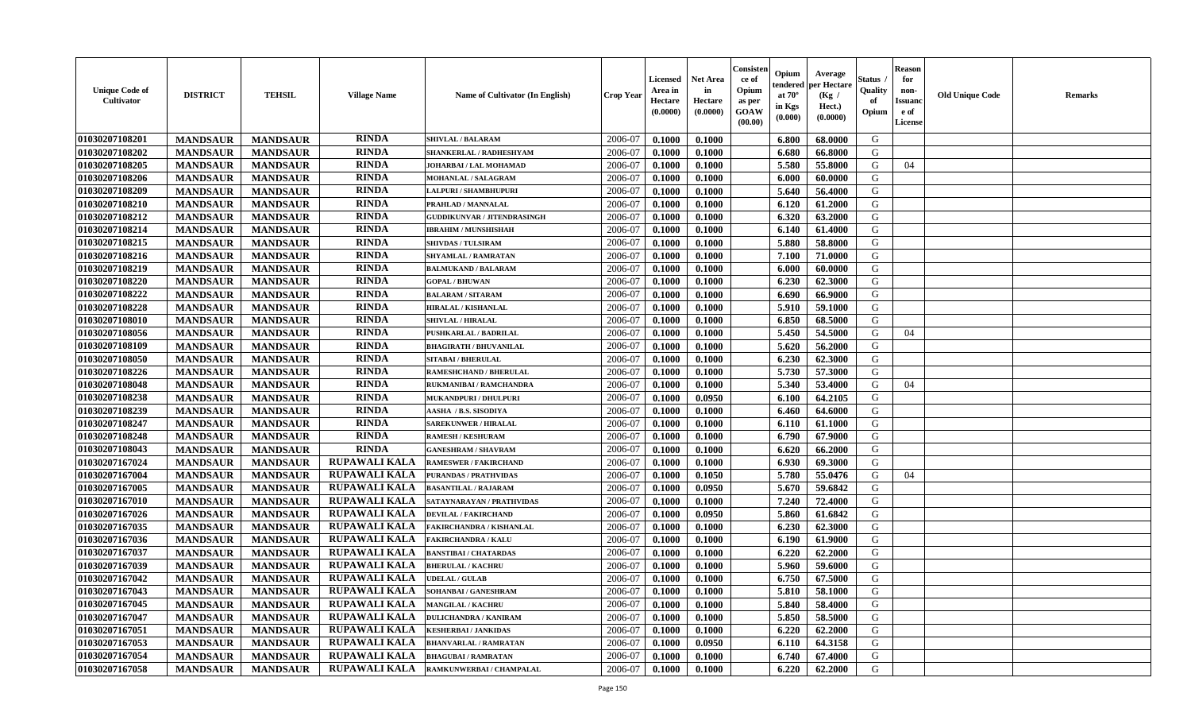| <b>RINDA</b><br>2006-07<br>G<br><b>MANDSAUR</b><br>0.1000<br><b>MANDSAUR</b><br><b>SHIVLAL / BALARAM</b><br>0.1000<br>6.800<br>68.0000<br><b>RINDA</b><br>2006-07<br>G<br><b>MANDSAUR</b><br><b>MANDSAUR</b><br>0.1000<br>0.1000<br>6.680<br>66.8000<br>SHANKERLAL / RADHESHYAM<br><b>RINDA</b><br><b>MANDSAUR</b><br><b>MANDSAUR</b><br>5.580<br>55.8000<br>G<br>JOHARBAI / LAL MOHAMAD<br>2006-07<br>0.1000<br>0.1000<br>04<br><b>RINDA</b><br><b>MANDSAUR</b><br><b>MANDSAUR</b><br>2006-07<br>0.1000<br>0.1000<br>6.000<br>60.0000<br>G<br>MOHANLAL / SALAGRAM<br><b>RINDA</b><br><b>MANDSAUR</b><br><b>MANDSAUR</b><br>2006-07<br>0.1000<br>0.1000<br>5.640<br>56.4000<br>G<br>LALPURI / SHAMBHUPURI<br><b>RINDA</b><br>01030207108210<br><b>MANDSAUR</b><br><b>MANDSAUR</b><br>0.1000<br>61.2000<br>G<br>PRAHLAD / MANNALAL<br>2006-07<br>0.1000<br>6.120<br><b>RINDA</b><br>01030207108212<br><b>MANDSAUR</b><br><b>MANDSAUR</b><br>6.320<br>63.2000<br>G<br><b>GUDDIKUNVAR / JITENDRASINGH</b><br>2006-07<br>0.1000<br>0.1000<br><b>RINDA</b><br>G<br><b>MANDSAUR</b><br><b>MANDSAUR</b><br>2006-07<br>6.140<br><b>IBRAHIM / MUNSHISHAH</b><br>0.1000<br>0.1000<br>61.4000<br><b>RINDA</b><br>01030207108215<br><b>MANDSAUR</b><br>2006-07<br>5.880<br>58.8000<br>G<br><b>MANDSAUR</b><br><b>SHIVDAS / TULSIRAM</b><br>0.1000<br>0.1000<br><b>RINDA</b><br>G<br>01030207108216<br>2006-07<br><b>MANDSAUR</b><br><b>MANDSAUR</b><br>0.1000<br>0.1000<br>7.100<br>71.0000<br>SHYAMLAL / RAMRATAN<br><b>RINDA</b><br>01030207108219<br><b>MANDSAUR</b><br><b>MANDSAUR</b><br>G<br>2006-07<br>0.1000<br>0.1000<br>6.000<br>60.0000<br><b>BALMUKAND / BALARAM</b><br><b>RINDA</b><br>01030207108220<br><b>MANDSAUR</b><br>G<br><b>MANDSAUR</b><br><b>GOPAL / BHUWAN</b><br>2006-07<br>0.1000<br>0.1000<br>6.230<br>62.3000<br><b>RINDA</b><br>01030207108222<br><b>MANDSAUR</b><br>G<br><b>MANDSAUR</b><br>2006-07<br>0.1000<br>0.1000<br>6.690<br>66.9000<br><b>BALARAM / SITARAM</b><br><b>RINDA</b><br>01030207108228<br><b>MANDSAUR</b><br><b>MANDSAUR</b><br>G<br>HIRALAL / KISHANLAL<br>2006-07<br>0.1000<br>0.1000<br>5.910<br>59.1000<br><b>RINDA</b><br>01030207108010<br><b>MANDSAUR</b><br>G<br><b>MANDSAUR</b><br><b>SHIVLAL / HIRALAL</b><br>2006-07<br>0.1000<br>0.1000<br>6.850<br>68.5000<br><b>RINDA</b><br>5.450<br>G<br>01030207108056<br><b>MANDSAUR</b><br><b>MANDSAUR</b><br>2006-07<br>0.1000<br>0.1000<br>54.5000<br>04<br>PUSHKARLAL / BADRILAL<br><b>RINDA</b><br>01030207108109<br><b>MANDSAUR</b><br><b>MANDSAUR</b><br>2006-07<br>0.1000<br>5.620<br>56.2000<br>G<br><b>BHAGIRATH / BHUVANILAL</b><br>0.1000<br>01030207108050<br><b>RINDA</b><br>G<br><b>MANDSAUR</b><br><b>MANDSAUR</b><br>2006-07<br><b>SITABAI / BHERULAL</b><br>0.1000<br>6.230<br>62.3000<br>0.1000<br><b>RINDA</b><br>01030207108226<br>5.730<br>G<br><b>MANDSAUR</b><br><b>MANDSAUR</b><br><b>RAMESHCHAND / BHERULAL</b><br>2006-07<br>0.1000<br>0.1000<br>57.3000<br><b>RINDA</b><br>01030207108048<br><b>MANDSAUR</b><br><b>MANDSAUR</b><br>5.340<br>2006-07<br>0.1000<br>0.1000<br>53.4000<br>G<br>RUKMANIBAI / RAMCHANDRA<br>04<br><b>RINDA</b><br>0.0950<br>64.2105<br>G<br>01030207108238<br><b>MANDSAUR</b><br><b>MANDSAUR</b><br>2006-07<br>6.100<br><b>MUKANDPURI / DHULPURI</b><br>0.1000<br><b>RINDA</b><br><b>MANDSAUR</b><br>G<br>01030207108239<br><b>MANDSAUR</b><br>2006-07<br>0.1000<br>0.1000<br>6.460<br>64.6000<br>AASHA / B.S. SISODIYA<br><b>RINDA</b><br>01030207108247<br><b>MANDSAUR</b><br><b>MANDSAUR</b><br><b>SAREKUNWER / HIRALAL</b><br>2006-07<br>0.1000<br>0.1000<br>6.110<br>61.1000<br>G<br>01030207108248<br><b>RINDA</b><br><b>MANDSAUR</b><br>2006-07<br>6.790<br>G<br><b>MANDSAUR</b><br>0.1000<br>0.1000<br>67.9000<br><b>RAMESH / KESHURAM</b><br><b>RINDA</b><br>01030207108043<br>G<br><b>MANDSAUR</b><br><b>MANDSAUR</b><br>2006-07<br>6.620<br>0.1000<br>0.1000<br>66.2000<br><b>GANESHRAM / SHAVRAM</b><br><b>RUPAWALI KALA</b><br>G<br>01030207167024<br><b>MANDSAUR</b><br>2006-07<br><b>MANDSAUR</b><br><b>RAMESWER / FAKIRCHAND</b><br>0.1000<br>0.1000<br>6.930<br>69.3000<br>RUPAWALI KALA<br>5.780<br>01030207167004<br><b>MANDSAUR</b><br><b>MANDSAUR</b><br>2006-07<br>0.1000<br>0.1050<br>55.0476<br>G<br>PURANDAS / PRATHVIDAS<br>04<br><b>RUPAWALI KALA</b><br>01030207167005<br><b>MANDSAUR</b><br><b>MANDSAUR</b><br>0.0950<br>5.670<br>59.6842<br>G<br><b>BASANTILAL / RAJARAM</b><br>2006-07<br>0.1000<br><b>RUPAWALI KALA</b><br>01030207167010<br><b>MANDSAUR</b><br><b>MANDSAUR</b><br>7.240<br>72.4000<br>G<br>SATAYNARAYAN / PRATHVIDAS<br>2006-07<br>0.1000<br>0.1000<br><b>RUPAWALI KALA</b><br>01030207167026<br><b>MANDSAUR</b><br>5.860<br>G<br><b>MANDSAUR</b><br>2006-07<br>0.1000<br>0.0950<br>61.6842<br><b>DEVILAL / FAKIRCHAND</b><br><b>RUPAWALI KALA</b><br>01030207167035<br><b>MANDSAUR</b><br><b>MANDSAUR</b><br>6.230<br><b>FAKIRCHANDRA / KISHANLAL</b><br>2006-07<br>0.1000<br>0.1000<br>62.3000<br>G<br><b>RUPAWALI KALA</b><br>G<br>01030207167036<br>2006-07<br><b>MANDSAUR</b><br><b>MANDSAUR</b><br>0.1000<br>6.190<br>61.9000<br><b>FAKIRCHANDRA / KALU</b><br>0.1000<br><b>RUPAWALI KALA</b><br>G<br>01030207167037<br>2006-07<br><b>MANDSAUR</b><br><b>MANDSAUR</b><br>0.1000<br>0.1000<br>6.220<br>62.2000<br><b>BANSTIBAI / CHATARDAS</b><br><b>RUPAWALI KALA</b><br>01030207167039<br>2006-07<br>G<br><b>MANDSAUR</b><br><b>MANDSAUR</b><br><b>BHERULAL / KACHRU</b><br>0.1000<br>0.1000<br>5.960<br>59.6000<br><b>RUPAWALI KALA</b><br>6.750<br>67.5000<br>G<br>01030207167042<br><b>MANDSAUR</b><br><b>MANDSAUR</b><br><b>UDELAL / GULAB</b><br>2006-07<br>0.1000<br>0.1000<br> 01030207167043<br>RUPAWALI KALA<br>0.1000<br>G<br><b>MANDSAUR</b><br><b>MANDSAUR</b><br><b>SOHANBAI/GANESHRAM</b><br>2006-07<br>0.1000<br>$5.810$   58.1000<br><b>RUPAWALI KALA</b><br>01030207167045<br>5.840<br><b>MANDSAUR</b><br><b>MANDSAUR</b><br><b>MANGILAL / KACHRU</b><br>2006-07<br>0.1000<br>0.1000<br>58.4000<br>G<br>RUPAWALI KALA<br>01030207167047<br>0.1000<br>58.5000<br><b>MANDSAUR</b><br><b>MANDSAUR</b><br><b>DULICHANDRA / KANIRAM</b><br>2006-07<br>0.1000<br>5.850<br>G<br><b>RUPAWALI KALA</b><br>01030207167051<br><b>MANDSAUR</b><br><b>MANDSAUR</b><br>0.1000<br>6.220<br>62.2000<br>G<br><b>KESHERBAI / JANKIDAS</b><br>2006-07<br>0.1000<br>RUPAWALI KALA<br>01030207167053<br>0.0950<br>G<br><b>MANDSAUR</b><br><b>MANDSAUR</b><br>2006-07<br>64.3158<br><b>BHANVARLAL / RAMRATAN</b><br>0.1000<br>6.110<br>01030207167054<br><b>RUPAWALI KALA</b><br>2006-07<br>G<br><b>MANDSAUR</b><br><b>MANDSAUR</b><br><b>BHAGUBAI/RAMRATAN</b><br>0.1000<br>0.1000<br>6.740<br>67.4000<br>01030207167058<br><b>RUPAWALI KALA</b><br>G<br><b>MANDSAUR</b><br>RAMKUNWERBAI / CHAMPALAL<br>2006-07<br>0.1000<br>6.220<br>62.2000<br><b>MANDSAUR</b><br>0.1000 | <b>Unique Code of</b><br><b>Cultivator</b> | <b>DISTRICT</b> | <b>TEHSIL</b> | <b>Village Name</b> | Name of Cultivator (In English) | <b>Crop Year</b> | <b>Licensed</b><br>Area in<br>Hectare<br>(0.0000) | <b>Net Area</b><br>in<br>Hectare<br>(0.0000) | Consisteı<br>ce of<br>Opium<br>as per<br><b>GOAW</b><br>(00.00) | Opium<br>endered<br>at $70^\circ$<br>in Kgs<br>$(\mathbf{0.000})$ | Average<br>per Hectare<br>(Kg /<br>Hect.)<br>(0.0000) | Status<br>Quality<br>of<br>Opium | Reason<br>for<br>non-<br>Issuan<br>e of<br><b>License</b> | <b>Old Unique Code</b> | <b>Remarks</b> |
|-----------------------------------------------------------------------------------------------------------------------------------------------------------------------------------------------------------------------------------------------------------------------------------------------------------------------------------------------------------------------------------------------------------------------------------------------------------------------------------------------------------------------------------------------------------------------------------------------------------------------------------------------------------------------------------------------------------------------------------------------------------------------------------------------------------------------------------------------------------------------------------------------------------------------------------------------------------------------------------------------------------------------------------------------------------------------------------------------------------------------------------------------------------------------------------------------------------------------------------------------------------------------------------------------------------------------------------------------------------------------------------------------------------------------------------------------------------------------------------------------------------------------------------------------------------------------------------------------------------------------------------------------------------------------------------------------------------------------------------------------------------------------------------------------------------------------------------------------------------------------------------------------------------------------------------------------------------------------------------------------------------------------------------------------------------------------------------------------------------------------------------------------------------------------------------------------------------------------------------------------------------------------------------------------------------------------------------------------------------------------------------------------------------------------------------------------------------------------------------------------------------------------------------------------------------------------------------------------------------------------------------------------------------------------------------------------------------------------------------------------------------------------------------------------------------------------------------------------------------------------------------------------------------------------------------------------------------------------------------------------------------------------------------------------------------------------------------------------------------------------------------------------------------------------------------------------------------------------------------------------------------------------------------------------------------------------------------------------------------------------------------------------------------------------------------------------------------------------------------------------------------------------------------------------------------------------------------------------------------------------------------------------------------------------------------------------------------------------------------------------------------------------------------------------------------------------------------------------------------------------------------------------------------------------------------------------------------------------------------------------------------------------------------------------------------------------------------------------------------------------------------------------------------------------------------------------------------------------------------------------------------------------------------------------------------------------------------------------------------------------------------------------------------------------------------------------------------------------------------------------------------------------------------------------------------------------------------------------------------------------------------------------------------------------------------------------------------------------------------------------------------------------------------------------------------------------------------------------------------------------------------------------------------------------------------------------------------------------------------------------------------------------------------------------------------------------------------------------------------------------------------------------------------------------------------------------------------------------------------------------------------------------------------------------------------------------------------------------------------------------------------------------------------------------------------------------------------------------------------------------------------------------------------------------------------------------------------------------------------------------------------------------------------------------------------------------------------------------------------------------------------------------------------------------------------------------------------------------------------------------------------------------------------------------------------------------------------------------------------------------------------------------------------------------------------------------------------------------------------------------------------------------------------------------------------------------------------------------------------------------------------------------------------------------------------------------------------------------------------------------------------------------------------------------------------------------------------------------------------------------------------------------------------------------------------------------------------------------------------------------------------------------------------------------------------------------------------------------------------------------------------------------------------------------------------------------------------------------------------------------------|--------------------------------------------|-----------------|---------------|---------------------|---------------------------------|------------------|---------------------------------------------------|----------------------------------------------|-----------------------------------------------------------------|-------------------------------------------------------------------|-------------------------------------------------------|----------------------------------|-----------------------------------------------------------|------------------------|----------------|
|                                                                                                                                                                                                                                                                                                                                                                                                                                                                                                                                                                                                                                                                                                                                                                                                                                                                                                                                                                                                                                                                                                                                                                                                                                                                                                                                                                                                                                                                                                                                                                                                                                                                                                                                                                                                                                                                                                                                                                                                                                                                                                                                                                                                                                                                                                                                                                                                                                                                                                                                                                                                                                                                                                                                                                                                                                                                                                                                                                                                                                                                                                                                                                                                                                                                                                                                                                                                                                                                                                                                                                                                                                                                                                                                                                                                                                                                                                                                                                                                                                                                                                                                                                                                                                                                                                                                                                                                                                                                                                                                                                                                                                                                                                                                                                                                                                                                                                                                                                                                                                                                                                                                                                                                                                                                                                                                                                                                                                                                                                                                                                                                                                                                                                                                                                                                                                                                                                                                                                                                                                                                                                                                                                                                                                                                                                                                                                                                                                                                                                                                                                                                                                                                                                                                                                                                                                                                             | 01030207108201                             |                 |               |                     |                                 |                  |                                                   |                                              |                                                                 |                                                                   |                                                       |                                  |                                                           |                        |                |
|                                                                                                                                                                                                                                                                                                                                                                                                                                                                                                                                                                                                                                                                                                                                                                                                                                                                                                                                                                                                                                                                                                                                                                                                                                                                                                                                                                                                                                                                                                                                                                                                                                                                                                                                                                                                                                                                                                                                                                                                                                                                                                                                                                                                                                                                                                                                                                                                                                                                                                                                                                                                                                                                                                                                                                                                                                                                                                                                                                                                                                                                                                                                                                                                                                                                                                                                                                                                                                                                                                                                                                                                                                                                                                                                                                                                                                                                                                                                                                                                                                                                                                                                                                                                                                                                                                                                                                                                                                                                                                                                                                                                                                                                                                                                                                                                                                                                                                                                                                                                                                                                                                                                                                                                                                                                                                                                                                                                                                                                                                                                                                                                                                                                                                                                                                                                                                                                                                                                                                                                                                                                                                                                                                                                                                                                                                                                                                                                                                                                                                                                                                                                                                                                                                                                                                                                                                                                             | 01030207108202                             |                 |               |                     |                                 |                  |                                                   |                                              |                                                                 |                                                                   |                                                       |                                  |                                                           |                        |                |
|                                                                                                                                                                                                                                                                                                                                                                                                                                                                                                                                                                                                                                                                                                                                                                                                                                                                                                                                                                                                                                                                                                                                                                                                                                                                                                                                                                                                                                                                                                                                                                                                                                                                                                                                                                                                                                                                                                                                                                                                                                                                                                                                                                                                                                                                                                                                                                                                                                                                                                                                                                                                                                                                                                                                                                                                                                                                                                                                                                                                                                                                                                                                                                                                                                                                                                                                                                                                                                                                                                                                                                                                                                                                                                                                                                                                                                                                                                                                                                                                                                                                                                                                                                                                                                                                                                                                                                                                                                                                                                                                                                                                                                                                                                                                                                                                                                                                                                                                                                                                                                                                                                                                                                                                                                                                                                                                                                                                                                                                                                                                                                                                                                                                                                                                                                                                                                                                                                                                                                                                                                                                                                                                                                                                                                                                                                                                                                                                                                                                                                                                                                                                                                                                                                                                                                                                                                                                             | 01030207108205                             |                 |               |                     |                                 |                  |                                                   |                                              |                                                                 |                                                                   |                                                       |                                  |                                                           |                        |                |
|                                                                                                                                                                                                                                                                                                                                                                                                                                                                                                                                                                                                                                                                                                                                                                                                                                                                                                                                                                                                                                                                                                                                                                                                                                                                                                                                                                                                                                                                                                                                                                                                                                                                                                                                                                                                                                                                                                                                                                                                                                                                                                                                                                                                                                                                                                                                                                                                                                                                                                                                                                                                                                                                                                                                                                                                                                                                                                                                                                                                                                                                                                                                                                                                                                                                                                                                                                                                                                                                                                                                                                                                                                                                                                                                                                                                                                                                                                                                                                                                                                                                                                                                                                                                                                                                                                                                                                                                                                                                                                                                                                                                                                                                                                                                                                                                                                                                                                                                                                                                                                                                                                                                                                                                                                                                                                                                                                                                                                                                                                                                                                                                                                                                                                                                                                                                                                                                                                                                                                                                                                                                                                                                                                                                                                                                                                                                                                                                                                                                                                                                                                                                                                                                                                                                                                                                                                                                             | 01030207108206                             |                 |               |                     |                                 |                  |                                                   |                                              |                                                                 |                                                                   |                                                       |                                  |                                                           |                        |                |
|                                                                                                                                                                                                                                                                                                                                                                                                                                                                                                                                                                                                                                                                                                                                                                                                                                                                                                                                                                                                                                                                                                                                                                                                                                                                                                                                                                                                                                                                                                                                                                                                                                                                                                                                                                                                                                                                                                                                                                                                                                                                                                                                                                                                                                                                                                                                                                                                                                                                                                                                                                                                                                                                                                                                                                                                                                                                                                                                                                                                                                                                                                                                                                                                                                                                                                                                                                                                                                                                                                                                                                                                                                                                                                                                                                                                                                                                                                                                                                                                                                                                                                                                                                                                                                                                                                                                                                                                                                                                                                                                                                                                                                                                                                                                                                                                                                                                                                                                                                                                                                                                                                                                                                                                                                                                                                                                                                                                                                                                                                                                                                                                                                                                                                                                                                                                                                                                                                                                                                                                                                                                                                                                                                                                                                                                                                                                                                                                                                                                                                                                                                                                                                                                                                                                                                                                                                                                             | 01030207108209                             |                 |               |                     |                                 |                  |                                                   |                                              |                                                                 |                                                                   |                                                       |                                  |                                                           |                        |                |
|                                                                                                                                                                                                                                                                                                                                                                                                                                                                                                                                                                                                                                                                                                                                                                                                                                                                                                                                                                                                                                                                                                                                                                                                                                                                                                                                                                                                                                                                                                                                                                                                                                                                                                                                                                                                                                                                                                                                                                                                                                                                                                                                                                                                                                                                                                                                                                                                                                                                                                                                                                                                                                                                                                                                                                                                                                                                                                                                                                                                                                                                                                                                                                                                                                                                                                                                                                                                                                                                                                                                                                                                                                                                                                                                                                                                                                                                                                                                                                                                                                                                                                                                                                                                                                                                                                                                                                                                                                                                                                                                                                                                                                                                                                                                                                                                                                                                                                                                                                                                                                                                                                                                                                                                                                                                                                                                                                                                                                                                                                                                                                                                                                                                                                                                                                                                                                                                                                                                                                                                                                                                                                                                                                                                                                                                                                                                                                                                                                                                                                                                                                                                                                                                                                                                                                                                                                                                             |                                            |                 |               |                     |                                 |                  |                                                   |                                              |                                                                 |                                                                   |                                                       |                                  |                                                           |                        |                |
|                                                                                                                                                                                                                                                                                                                                                                                                                                                                                                                                                                                                                                                                                                                                                                                                                                                                                                                                                                                                                                                                                                                                                                                                                                                                                                                                                                                                                                                                                                                                                                                                                                                                                                                                                                                                                                                                                                                                                                                                                                                                                                                                                                                                                                                                                                                                                                                                                                                                                                                                                                                                                                                                                                                                                                                                                                                                                                                                                                                                                                                                                                                                                                                                                                                                                                                                                                                                                                                                                                                                                                                                                                                                                                                                                                                                                                                                                                                                                                                                                                                                                                                                                                                                                                                                                                                                                                                                                                                                                                                                                                                                                                                                                                                                                                                                                                                                                                                                                                                                                                                                                                                                                                                                                                                                                                                                                                                                                                                                                                                                                                                                                                                                                                                                                                                                                                                                                                                                                                                                                                                                                                                                                                                                                                                                                                                                                                                                                                                                                                                                                                                                                                                                                                                                                                                                                                                                             |                                            |                 |               |                     |                                 |                  |                                                   |                                              |                                                                 |                                                                   |                                                       |                                  |                                                           |                        |                |
|                                                                                                                                                                                                                                                                                                                                                                                                                                                                                                                                                                                                                                                                                                                                                                                                                                                                                                                                                                                                                                                                                                                                                                                                                                                                                                                                                                                                                                                                                                                                                                                                                                                                                                                                                                                                                                                                                                                                                                                                                                                                                                                                                                                                                                                                                                                                                                                                                                                                                                                                                                                                                                                                                                                                                                                                                                                                                                                                                                                                                                                                                                                                                                                                                                                                                                                                                                                                                                                                                                                                                                                                                                                                                                                                                                                                                                                                                                                                                                                                                                                                                                                                                                                                                                                                                                                                                                                                                                                                                                                                                                                                                                                                                                                                                                                                                                                                                                                                                                                                                                                                                                                                                                                                                                                                                                                                                                                                                                                                                                                                                                                                                                                                                                                                                                                                                                                                                                                                                                                                                                                                                                                                                                                                                                                                                                                                                                                                                                                                                                                                                                                                                                                                                                                                                                                                                                                                             | 01030207108214                             |                 |               |                     |                                 |                  |                                                   |                                              |                                                                 |                                                                   |                                                       |                                  |                                                           |                        |                |
|                                                                                                                                                                                                                                                                                                                                                                                                                                                                                                                                                                                                                                                                                                                                                                                                                                                                                                                                                                                                                                                                                                                                                                                                                                                                                                                                                                                                                                                                                                                                                                                                                                                                                                                                                                                                                                                                                                                                                                                                                                                                                                                                                                                                                                                                                                                                                                                                                                                                                                                                                                                                                                                                                                                                                                                                                                                                                                                                                                                                                                                                                                                                                                                                                                                                                                                                                                                                                                                                                                                                                                                                                                                                                                                                                                                                                                                                                                                                                                                                                                                                                                                                                                                                                                                                                                                                                                                                                                                                                                                                                                                                                                                                                                                                                                                                                                                                                                                                                                                                                                                                                                                                                                                                                                                                                                                                                                                                                                                                                                                                                                                                                                                                                                                                                                                                                                                                                                                                                                                                                                                                                                                                                                                                                                                                                                                                                                                                                                                                                                                                                                                                                                                                                                                                                                                                                                                                             |                                            |                 |               |                     |                                 |                  |                                                   |                                              |                                                                 |                                                                   |                                                       |                                  |                                                           |                        |                |
|                                                                                                                                                                                                                                                                                                                                                                                                                                                                                                                                                                                                                                                                                                                                                                                                                                                                                                                                                                                                                                                                                                                                                                                                                                                                                                                                                                                                                                                                                                                                                                                                                                                                                                                                                                                                                                                                                                                                                                                                                                                                                                                                                                                                                                                                                                                                                                                                                                                                                                                                                                                                                                                                                                                                                                                                                                                                                                                                                                                                                                                                                                                                                                                                                                                                                                                                                                                                                                                                                                                                                                                                                                                                                                                                                                                                                                                                                                                                                                                                                                                                                                                                                                                                                                                                                                                                                                                                                                                                                                                                                                                                                                                                                                                                                                                                                                                                                                                                                                                                                                                                                                                                                                                                                                                                                                                                                                                                                                                                                                                                                                                                                                                                                                                                                                                                                                                                                                                                                                                                                                                                                                                                                                                                                                                                                                                                                                                                                                                                                                                                                                                                                                                                                                                                                                                                                                                                             |                                            |                 |               |                     |                                 |                  |                                                   |                                              |                                                                 |                                                                   |                                                       |                                  |                                                           |                        |                |
|                                                                                                                                                                                                                                                                                                                                                                                                                                                                                                                                                                                                                                                                                                                                                                                                                                                                                                                                                                                                                                                                                                                                                                                                                                                                                                                                                                                                                                                                                                                                                                                                                                                                                                                                                                                                                                                                                                                                                                                                                                                                                                                                                                                                                                                                                                                                                                                                                                                                                                                                                                                                                                                                                                                                                                                                                                                                                                                                                                                                                                                                                                                                                                                                                                                                                                                                                                                                                                                                                                                                                                                                                                                                                                                                                                                                                                                                                                                                                                                                                                                                                                                                                                                                                                                                                                                                                                                                                                                                                                                                                                                                                                                                                                                                                                                                                                                                                                                                                                                                                                                                                                                                                                                                                                                                                                                                                                                                                                                                                                                                                                                                                                                                                                                                                                                                                                                                                                                                                                                                                                                                                                                                                                                                                                                                                                                                                                                                                                                                                                                                                                                                                                                                                                                                                                                                                                                                             |                                            |                 |               |                     |                                 |                  |                                                   |                                              |                                                                 |                                                                   |                                                       |                                  |                                                           |                        |                |
|                                                                                                                                                                                                                                                                                                                                                                                                                                                                                                                                                                                                                                                                                                                                                                                                                                                                                                                                                                                                                                                                                                                                                                                                                                                                                                                                                                                                                                                                                                                                                                                                                                                                                                                                                                                                                                                                                                                                                                                                                                                                                                                                                                                                                                                                                                                                                                                                                                                                                                                                                                                                                                                                                                                                                                                                                                                                                                                                                                                                                                                                                                                                                                                                                                                                                                                                                                                                                                                                                                                                                                                                                                                                                                                                                                                                                                                                                                                                                                                                                                                                                                                                                                                                                                                                                                                                                                                                                                                                                                                                                                                                                                                                                                                                                                                                                                                                                                                                                                                                                                                                                                                                                                                                                                                                                                                                                                                                                                                                                                                                                                                                                                                                                                                                                                                                                                                                                                                                                                                                                                                                                                                                                                                                                                                                                                                                                                                                                                                                                                                                                                                                                                                                                                                                                                                                                                                                             |                                            |                 |               |                     |                                 |                  |                                                   |                                              |                                                                 |                                                                   |                                                       |                                  |                                                           |                        |                |
|                                                                                                                                                                                                                                                                                                                                                                                                                                                                                                                                                                                                                                                                                                                                                                                                                                                                                                                                                                                                                                                                                                                                                                                                                                                                                                                                                                                                                                                                                                                                                                                                                                                                                                                                                                                                                                                                                                                                                                                                                                                                                                                                                                                                                                                                                                                                                                                                                                                                                                                                                                                                                                                                                                                                                                                                                                                                                                                                                                                                                                                                                                                                                                                                                                                                                                                                                                                                                                                                                                                                                                                                                                                                                                                                                                                                                                                                                                                                                                                                                                                                                                                                                                                                                                                                                                                                                                                                                                                                                                                                                                                                                                                                                                                                                                                                                                                                                                                                                                                                                                                                                                                                                                                                                                                                                                                                                                                                                                                                                                                                                                                                                                                                                                                                                                                                                                                                                                                                                                                                                                                                                                                                                                                                                                                                                                                                                                                                                                                                                                                                                                                                                                                                                                                                                                                                                                                                             |                                            |                 |               |                     |                                 |                  |                                                   |                                              |                                                                 |                                                                   |                                                       |                                  |                                                           |                        |                |
|                                                                                                                                                                                                                                                                                                                                                                                                                                                                                                                                                                                                                                                                                                                                                                                                                                                                                                                                                                                                                                                                                                                                                                                                                                                                                                                                                                                                                                                                                                                                                                                                                                                                                                                                                                                                                                                                                                                                                                                                                                                                                                                                                                                                                                                                                                                                                                                                                                                                                                                                                                                                                                                                                                                                                                                                                                                                                                                                                                                                                                                                                                                                                                                                                                                                                                                                                                                                                                                                                                                                                                                                                                                                                                                                                                                                                                                                                                                                                                                                                                                                                                                                                                                                                                                                                                                                                                                                                                                                                                                                                                                                                                                                                                                                                                                                                                                                                                                                                                                                                                                                                                                                                                                                                                                                                                                                                                                                                                                                                                                                                                                                                                                                                                                                                                                                                                                                                                                                                                                                                                                                                                                                                                                                                                                                                                                                                                                                                                                                                                                                                                                                                                                                                                                                                                                                                                                                             |                                            |                 |               |                     |                                 |                  |                                                   |                                              |                                                                 |                                                                   |                                                       |                                  |                                                           |                        |                |
|                                                                                                                                                                                                                                                                                                                                                                                                                                                                                                                                                                                                                                                                                                                                                                                                                                                                                                                                                                                                                                                                                                                                                                                                                                                                                                                                                                                                                                                                                                                                                                                                                                                                                                                                                                                                                                                                                                                                                                                                                                                                                                                                                                                                                                                                                                                                                                                                                                                                                                                                                                                                                                                                                                                                                                                                                                                                                                                                                                                                                                                                                                                                                                                                                                                                                                                                                                                                                                                                                                                                                                                                                                                                                                                                                                                                                                                                                                                                                                                                                                                                                                                                                                                                                                                                                                                                                                                                                                                                                                                                                                                                                                                                                                                                                                                                                                                                                                                                                                                                                                                                                                                                                                                                                                                                                                                                                                                                                                                                                                                                                                                                                                                                                                                                                                                                                                                                                                                                                                                                                                                                                                                                                                                                                                                                                                                                                                                                                                                                                                                                                                                                                                                                                                                                                                                                                                                                             |                                            |                 |               |                     |                                 |                  |                                                   |                                              |                                                                 |                                                                   |                                                       |                                  |                                                           |                        |                |
|                                                                                                                                                                                                                                                                                                                                                                                                                                                                                                                                                                                                                                                                                                                                                                                                                                                                                                                                                                                                                                                                                                                                                                                                                                                                                                                                                                                                                                                                                                                                                                                                                                                                                                                                                                                                                                                                                                                                                                                                                                                                                                                                                                                                                                                                                                                                                                                                                                                                                                                                                                                                                                                                                                                                                                                                                                                                                                                                                                                                                                                                                                                                                                                                                                                                                                                                                                                                                                                                                                                                                                                                                                                                                                                                                                                                                                                                                                                                                                                                                                                                                                                                                                                                                                                                                                                                                                                                                                                                                                                                                                                                                                                                                                                                                                                                                                                                                                                                                                                                                                                                                                                                                                                                                                                                                                                                                                                                                                                                                                                                                                                                                                                                                                                                                                                                                                                                                                                                                                                                                                                                                                                                                                                                                                                                                                                                                                                                                                                                                                                                                                                                                                                                                                                                                                                                                                                                             |                                            |                 |               |                     |                                 |                  |                                                   |                                              |                                                                 |                                                                   |                                                       |                                  |                                                           |                        |                |
|                                                                                                                                                                                                                                                                                                                                                                                                                                                                                                                                                                                                                                                                                                                                                                                                                                                                                                                                                                                                                                                                                                                                                                                                                                                                                                                                                                                                                                                                                                                                                                                                                                                                                                                                                                                                                                                                                                                                                                                                                                                                                                                                                                                                                                                                                                                                                                                                                                                                                                                                                                                                                                                                                                                                                                                                                                                                                                                                                                                                                                                                                                                                                                                                                                                                                                                                                                                                                                                                                                                                                                                                                                                                                                                                                                                                                                                                                                                                                                                                                                                                                                                                                                                                                                                                                                                                                                                                                                                                                                                                                                                                                                                                                                                                                                                                                                                                                                                                                                                                                                                                                                                                                                                                                                                                                                                                                                                                                                                                                                                                                                                                                                                                                                                                                                                                                                                                                                                                                                                                                                                                                                                                                                                                                                                                                                                                                                                                                                                                                                                                                                                                                                                                                                                                                                                                                                                                             |                                            |                 |               |                     |                                 |                  |                                                   |                                              |                                                                 |                                                                   |                                                       |                                  |                                                           |                        |                |
|                                                                                                                                                                                                                                                                                                                                                                                                                                                                                                                                                                                                                                                                                                                                                                                                                                                                                                                                                                                                                                                                                                                                                                                                                                                                                                                                                                                                                                                                                                                                                                                                                                                                                                                                                                                                                                                                                                                                                                                                                                                                                                                                                                                                                                                                                                                                                                                                                                                                                                                                                                                                                                                                                                                                                                                                                                                                                                                                                                                                                                                                                                                                                                                                                                                                                                                                                                                                                                                                                                                                                                                                                                                                                                                                                                                                                                                                                                                                                                                                                                                                                                                                                                                                                                                                                                                                                                                                                                                                                                                                                                                                                                                                                                                                                                                                                                                                                                                                                                                                                                                                                                                                                                                                                                                                                                                                                                                                                                                                                                                                                                                                                                                                                                                                                                                                                                                                                                                                                                                                                                                                                                                                                                                                                                                                                                                                                                                                                                                                                                                                                                                                                                                                                                                                                                                                                                                                             |                                            |                 |               |                     |                                 |                  |                                                   |                                              |                                                                 |                                                                   |                                                       |                                  |                                                           |                        |                |
|                                                                                                                                                                                                                                                                                                                                                                                                                                                                                                                                                                                                                                                                                                                                                                                                                                                                                                                                                                                                                                                                                                                                                                                                                                                                                                                                                                                                                                                                                                                                                                                                                                                                                                                                                                                                                                                                                                                                                                                                                                                                                                                                                                                                                                                                                                                                                                                                                                                                                                                                                                                                                                                                                                                                                                                                                                                                                                                                                                                                                                                                                                                                                                                                                                                                                                                                                                                                                                                                                                                                                                                                                                                                                                                                                                                                                                                                                                                                                                                                                                                                                                                                                                                                                                                                                                                                                                                                                                                                                                                                                                                                                                                                                                                                                                                                                                                                                                                                                                                                                                                                                                                                                                                                                                                                                                                                                                                                                                                                                                                                                                                                                                                                                                                                                                                                                                                                                                                                                                                                                                                                                                                                                                                                                                                                                                                                                                                                                                                                                                                                                                                                                                                                                                                                                                                                                                                                             |                                            |                 |               |                     |                                 |                  |                                                   |                                              |                                                                 |                                                                   |                                                       |                                  |                                                           |                        |                |
|                                                                                                                                                                                                                                                                                                                                                                                                                                                                                                                                                                                                                                                                                                                                                                                                                                                                                                                                                                                                                                                                                                                                                                                                                                                                                                                                                                                                                                                                                                                                                                                                                                                                                                                                                                                                                                                                                                                                                                                                                                                                                                                                                                                                                                                                                                                                                                                                                                                                                                                                                                                                                                                                                                                                                                                                                                                                                                                                                                                                                                                                                                                                                                                                                                                                                                                                                                                                                                                                                                                                                                                                                                                                                                                                                                                                                                                                                                                                                                                                                                                                                                                                                                                                                                                                                                                                                                                                                                                                                                                                                                                                                                                                                                                                                                                                                                                                                                                                                                                                                                                                                                                                                                                                                                                                                                                                                                                                                                                                                                                                                                                                                                                                                                                                                                                                                                                                                                                                                                                                                                                                                                                                                                                                                                                                                                                                                                                                                                                                                                                                                                                                                                                                                                                                                                                                                                                                             |                                            |                 |               |                     |                                 |                  |                                                   |                                              |                                                                 |                                                                   |                                                       |                                  |                                                           |                        |                |
|                                                                                                                                                                                                                                                                                                                                                                                                                                                                                                                                                                                                                                                                                                                                                                                                                                                                                                                                                                                                                                                                                                                                                                                                                                                                                                                                                                                                                                                                                                                                                                                                                                                                                                                                                                                                                                                                                                                                                                                                                                                                                                                                                                                                                                                                                                                                                                                                                                                                                                                                                                                                                                                                                                                                                                                                                                                                                                                                                                                                                                                                                                                                                                                                                                                                                                                                                                                                                                                                                                                                                                                                                                                                                                                                                                                                                                                                                                                                                                                                                                                                                                                                                                                                                                                                                                                                                                                                                                                                                                                                                                                                                                                                                                                                                                                                                                                                                                                                                                                                                                                                                                                                                                                                                                                                                                                                                                                                                                                                                                                                                                                                                                                                                                                                                                                                                                                                                                                                                                                                                                                                                                                                                                                                                                                                                                                                                                                                                                                                                                                                                                                                                                                                                                                                                                                                                                                                             |                                            |                 |               |                     |                                 |                  |                                                   |                                              |                                                                 |                                                                   |                                                       |                                  |                                                           |                        |                |
|                                                                                                                                                                                                                                                                                                                                                                                                                                                                                                                                                                                                                                                                                                                                                                                                                                                                                                                                                                                                                                                                                                                                                                                                                                                                                                                                                                                                                                                                                                                                                                                                                                                                                                                                                                                                                                                                                                                                                                                                                                                                                                                                                                                                                                                                                                                                                                                                                                                                                                                                                                                                                                                                                                                                                                                                                                                                                                                                                                                                                                                                                                                                                                                                                                                                                                                                                                                                                                                                                                                                                                                                                                                                                                                                                                                                                                                                                                                                                                                                                                                                                                                                                                                                                                                                                                                                                                                                                                                                                                                                                                                                                                                                                                                                                                                                                                                                                                                                                                                                                                                                                                                                                                                                                                                                                                                                                                                                                                                                                                                                                                                                                                                                                                                                                                                                                                                                                                                                                                                                                                                                                                                                                                                                                                                                                                                                                                                                                                                                                                                                                                                                                                                                                                                                                                                                                                                                             |                                            |                 |               |                     |                                 |                  |                                                   |                                              |                                                                 |                                                                   |                                                       |                                  |                                                           |                        |                |
|                                                                                                                                                                                                                                                                                                                                                                                                                                                                                                                                                                                                                                                                                                                                                                                                                                                                                                                                                                                                                                                                                                                                                                                                                                                                                                                                                                                                                                                                                                                                                                                                                                                                                                                                                                                                                                                                                                                                                                                                                                                                                                                                                                                                                                                                                                                                                                                                                                                                                                                                                                                                                                                                                                                                                                                                                                                                                                                                                                                                                                                                                                                                                                                                                                                                                                                                                                                                                                                                                                                                                                                                                                                                                                                                                                                                                                                                                                                                                                                                                                                                                                                                                                                                                                                                                                                                                                                                                                                                                                                                                                                                                                                                                                                                                                                                                                                                                                                                                                                                                                                                                                                                                                                                                                                                                                                                                                                                                                                                                                                                                                                                                                                                                                                                                                                                                                                                                                                                                                                                                                                                                                                                                                                                                                                                                                                                                                                                                                                                                                                                                                                                                                                                                                                                                                                                                                                                             |                                            |                 |               |                     |                                 |                  |                                                   |                                              |                                                                 |                                                                   |                                                       |                                  |                                                           |                        |                |
|                                                                                                                                                                                                                                                                                                                                                                                                                                                                                                                                                                                                                                                                                                                                                                                                                                                                                                                                                                                                                                                                                                                                                                                                                                                                                                                                                                                                                                                                                                                                                                                                                                                                                                                                                                                                                                                                                                                                                                                                                                                                                                                                                                                                                                                                                                                                                                                                                                                                                                                                                                                                                                                                                                                                                                                                                                                                                                                                                                                                                                                                                                                                                                                                                                                                                                                                                                                                                                                                                                                                                                                                                                                                                                                                                                                                                                                                                                                                                                                                                                                                                                                                                                                                                                                                                                                                                                                                                                                                                                                                                                                                                                                                                                                                                                                                                                                                                                                                                                                                                                                                                                                                                                                                                                                                                                                                                                                                                                                                                                                                                                                                                                                                                                                                                                                                                                                                                                                                                                                                                                                                                                                                                                                                                                                                                                                                                                                                                                                                                                                                                                                                                                                                                                                                                                                                                                                                             |                                            |                 |               |                     |                                 |                  |                                                   |                                              |                                                                 |                                                                   |                                                       |                                  |                                                           |                        |                |
|                                                                                                                                                                                                                                                                                                                                                                                                                                                                                                                                                                                                                                                                                                                                                                                                                                                                                                                                                                                                                                                                                                                                                                                                                                                                                                                                                                                                                                                                                                                                                                                                                                                                                                                                                                                                                                                                                                                                                                                                                                                                                                                                                                                                                                                                                                                                                                                                                                                                                                                                                                                                                                                                                                                                                                                                                                                                                                                                                                                                                                                                                                                                                                                                                                                                                                                                                                                                                                                                                                                                                                                                                                                                                                                                                                                                                                                                                                                                                                                                                                                                                                                                                                                                                                                                                                                                                                                                                                                                                                                                                                                                                                                                                                                                                                                                                                                                                                                                                                                                                                                                                                                                                                                                                                                                                                                                                                                                                                                                                                                                                                                                                                                                                                                                                                                                                                                                                                                                                                                                                                                                                                                                                                                                                                                                                                                                                                                                                                                                                                                                                                                                                                                                                                                                                                                                                                                                             |                                            |                 |               |                     |                                 |                  |                                                   |                                              |                                                                 |                                                                   |                                                       |                                  |                                                           |                        |                |
|                                                                                                                                                                                                                                                                                                                                                                                                                                                                                                                                                                                                                                                                                                                                                                                                                                                                                                                                                                                                                                                                                                                                                                                                                                                                                                                                                                                                                                                                                                                                                                                                                                                                                                                                                                                                                                                                                                                                                                                                                                                                                                                                                                                                                                                                                                                                                                                                                                                                                                                                                                                                                                                                                                                                                                                                                                                                                                                                                                                                                                                                                                                                                                                                                                                                                                                                                                                                                                                                                                                                                                                                                                                                                                                                                                                                                                                                                                                                                                                                                                                                                                                                                                                                                                                                                                                                                                                                                                                                                                                                                                                                                                                                                                                                                                                                                                                                                                                                                                                                                                                                                                                                                                                                                                                                                                                                                                                                                                                                                                                                                                                                                                                                                                                                                                                                                                                                                                                                                                                                                                                                                                                                                                                                                                                                                                                                                                                                                                                                                                                                                                                                                                                                                                                                                                                                                                                                             |                                            |                 |               |                     |                                 |                  |                                                   |                                              |                                                                 |                                                                   |                                                       |                                  |                                                           |                        |                |
|                                                                                                                                                                                                                                                                                                                                                                                                                                                                                                                                                                                                                                                                                                                                                                                                                                                                                                                                                                                                                                                                                                                                                                                                                                                                                                                                                                                                                                                                                                                                                                                                                                                                                                                                                                                                                                                                                                                                                                                                                                                                                                                                                                                                                                                                                                                                                                                                                                                                                                                                                                                                                                                                                                                                                                                                                                                                                                                                                                                                                                                                                                                                                                                                                                                                                                                                                                                                                                                                                                                                                                                                                                                                                                                                                                                                                                                                                                                                                                                                                                                                                                                                                                                                                                                                                                                                                                                                                                                                                                                                                                                                                                                                                                                                                                                                                                                                                                                                                                                                                                                                                                                                                                                                                                                                                                                                                                                                                                                                                                                                                                                                                                                                                                                                                                                                                                                                                                                                                                                                                                                                                                                                                                                                                                                                                                                                                                                                                                                                                                                                                                                                                                                                                                                                                                                                                                                                             |                                            |                 |               |                     |                                 |                  |                                                   |                                              |                                                                 |                                                                   |                                                       |                                  |                                                           |                        |                |
|                                                                                                                                                                                                                                                                                                                                                                                                                                                                                                                                                                                                                                                                                                                                                                                                                                                                                                                                                                                                                                                                                                                                                                                                                                                                                                                                                                                                                                                                                                                                                                                                                                                                                                                                                                                                                                                                                                                                                                                                                                                                                                                                                                                                                                                                                                                                                                                                                                                                                                                                                                                                                                                                                                                                                                                                                                                                                                                                                                                                                                                                                                                                                                                                                                                                                                                                                                                                                                                                                                                                                                                                                                                                                                                                                                                                                                                                                                                                                                                                                                                                                                                                                                                                                                                                                                                                                                                                                                                                                                                                                                                                                                                                                                                                                                                                                                                                                                                                                                                                                                                                                                                                                                                                                                                                                                                                                                                                                                                                                                                                                                                                                                                                                                                                                                                                                                                                                                                                                                                                                                                                                                                                                                                                                                                                                                                                                                                                                                                                                                                                                                                                                                                                                                                                                                                                                                                                             |                                            |                 |               |                     |                                 |                  |                                                   |                                              |                                                                 |                                                                   |                                                       |                                  |                                                           |                        |                |
|                                                                                                                                                                                                                                                                                                                                                                                                                                                                                                                                                                                                                                                                                                                                                                                                                                                                                                                                                                                                                                                                                                                                                                                                                                                                                                                                                                                                                                                                                                                                                                                                                                                                                                                                                                                                                                                                                                                                                                                                                                                                                                                                                                                                                                                                                                                                                                                                                                                                                                                                                                                                                                                                                                                                                                                                                                                                                                                                                                                                                                                                                                                                                                                                                                                                                                                                                                                                                                                                                                                                                                                                                                                                                                                                                                                                                                                                                                                                                                                                                                                                                                                                                                                                                                                                                                                                                                                                                                                                                                                                                                                                                                                                                                                                                                                                                                                                                                                                                                                                                                                                                                                                                                                                                                                                                                                                                                                                                                                                                                                                                                                                                                                                                                                                                                                                                                                                                                                                                                                                                                                                                                                                                                                                                                                                                                                                                                                                                                                                                                                                                                                                                                                                                                                                                                                                                                                                             |                                            |                 |               |                     |                                 |                  |                                                   |                                              |                                                                 |                                                                   |                                                       |                                  |                                                           |                        |                |
|                                                                                                                                                                                                                                                                                                                                                                                                                                                                                                                                                                                                                                                                                                                                                                                                                                                                                                                                                                                                                                                                                                                                                                                                                                                                                                                                                                                                                                                                                                                                                                                                                                                                                                                                                                                                                                                                                                                                                                                                                                                                                                                                                                                                                                                                                                                                                                                                                                                                                                                                                                                                                                                                                                                                                                                                                                                                                                                                                                                                                                                                                                                                                                                                                                                                                                                                                                                                                                                                                                                                                                                                                                                                                                                                                                                                                                                                                                                                                                                                                                                                                                                                                                                                                                                                                                                                                                                                                                                                                                                                                                                                                                                                                                                                                                                                                                                                                                                                                                                                                                                                                                                                                                                                                                                                                                                                                                                                                                                                                                                                                                                                                                                                                                                                                                                                                                                                                                                                                                                                                                                                                                                                                                                                                                                                                                                                                                                                                                                                                                                                                                                                                                                                                                                                                                                                                                                                             |                                            |                 |               |                     |                                 |                  |                                                   |                                              |                                                                 |                                                                   |                                                       |                                  |                                                           |                        |                |
|                                                                                                                                                                                                                                                                                                                                                                                                                                                                                                                                                                                                                                                                                                                                                                                                                                                                                                                                                                                                                                                                                                                                                                                                                                                                                                                                                                                                                                                                                                                                                                                                                                                                                                                                                                                                                                                                                                                                                                                                                                                                                                                                                                                                                                                                                                                                                                                                                                                                                                                                                                                                                                                                                                                                                                                                                                                                                                                                                                                                                                                                                                                                                                                                                                                                                                                                                                                                                                                                                                                                                                                                                                                                                                                                                                                                                                                                                                                                                                                                                                                                                                                                                                                                                                                                                                                                                                                                                                                                                                                                                                                                                                                                                                                                                                                                                                                                                                                                                                                                                                                                                                                                                                                                                                                                                                                                                                                                                                                                                                                                                                                                                                                                                                                                                                                                                                                                                                                                                                                                                                                                                                                                                                                                                                                                                                                                                                                                                                                                                                                                                                                                                                                                                                                                                                                                                                                                             |                                            |                 |               |                     |                                 |                  |                                                   |                                              |                                                                 |                                                                   |                                                       |                                  |                                                           |                        |                |
|                                                                                                                                                                                                                                                                                                                                                                                                                                                                                                                                                                                                                                                                                                                                                                                                                                                                                                                                                                                                                                                                                                                                                                                                                                                                                                                                                                                                                                                                                                                                                                                                                                                                                                                                                                                                                                                                                                                                                                                                                                                                                                                                                                                                                                                                                                                                                                                                                                                                                                                                                                                                                                                                                                                                                                                                                                                                                                                                                                                                                                                                                                                                                                                                                                                                                                                                                                                                                                                                                                                                                                                                                                                                                                                                                                                                                                                                                                                                                                                                                                                                                                                                                                                                                                                                                                                                                                                                                                                                                                                                                                                                                                                                                                                                                                                                                                                                                                                                                                                                                                                                                                                                                                                                                                                                                                                                                                                                                                                                                                                                                                                                                                                                                                                                                                                                                                                                                                                                                                                                                                                                                                                                                                                                                                                                                                                                                                                                                                                                                                                                                                                                                                                                                                                                                                                                                                                                             |                                            |                 |               |                     |                                 |                  |                                                   |                                              |                                                                 |                                                                   |                                                       |                                  |                                                           |                        |                |
|                                                                                                                                                                                                                                                                                                                                                                                                                                                                                                                                                                                                                                                                                                                                                                                                                                                                                                                                                                                                                                                                                                                                                                                                                                                                                                                                                                                                                                                                                                                                                                                                                                                                                                                                                                                                                                                                                                                                                                                                                                                                                                                                                                                                                                                                                                                                                                                                                                                                                                                                                                                                                                                                                                                                                                                                                                                                                                                                                                                                                                                                                                                                                                                                                                                                                                                                                                                                                                                                                                                                                                                                                                                                                                                                                                                                                                                                                                                                                                                                                                                                                                                                                                                                                                                                                                                                                                                                                                                                                                                                                                                                                                                                                                                                                                                                                                                                                                                                                                                                                                                                                                                                                                                                                                                                                                                                                                                                                                                                                                                                                                                                                                                                                                                                                                                                                                                                                                                                                                                                                                                                                                                                                                                                                                                                                                                                                                                                                                                                                                                                                                                                                                                                                                                                                                                                                                                                             |                                            |                 |               |                     |                                 |                  |                                                   |                                              |                                                                 |                                                                   |                                                       |                                  |                                                           |                        |                |
|                                                                                                                                                                                                                                                                                                                                                                                                                                                                                                                                                                                                                                                                                                                                                                                                                                                                                                                                                                                                                                                                                                                                                                                                                                                                                                                                                                                                                                                                                                                                                                                                                                                                                                                                                                                                                                                                                                                                                                                                                                                                                                                                                                                                                                                                                                                                                                                                                                                                                                                                                                                                                                                                                                                                                                                                                                                                                                                                                                                                                                                                                                                                                                                                                                                                                                                                                                                                                                                                                                                                                                                                                                                                                                                                                                                                                                                                                                                                                                                                                                                                                                                                                                                                                                                                                                                                                                                                                                                                                                                                                                                                                                                                                                                                                                                                                                                                                                                                                                                                                                                                                                                                                                                                                                                                                                                                                                                                                                                                                                                                                                                                                                                                                                                                                                                                                                                                                                                                                                                                                                                                                                                                                                                                                                                                                                                                                                                                                                                                                                                                                                                                                                                                                                                                                                                                                                                                             |                                            |                 |               |                     |                                 |                  |                                                   |                                              |                                                                 |                                                                   |                                                       |                                  |                                                           |                        |                |
|                                                                                                                                                                                                                                                                                                                                                                                                                                                                                                                                                                                                                                                                                                                                                                                                                                                                                                                                                                                                                                                                                                                                                                                                                                                                                                                                                                                                                                                                                                                                                                                                                                                                                                                                                                                                                                                                                                                                                                                                                                                                                                                                                                                                                                                                                                                                                                                                                                                                                                                                                                                                                                                                                                                                                                                                                                                                                                                                                                                                                                                                                                                                                                                                                                                                                                                                                                                                                                                                                                                                                                                                                                                                                                                                                                                                                                                                                                                                                                                                                                                                                                                                                                                                                                                                                                                                                                                                                                                                                                                                                                                                                                                                                                                                                                                                                                                                                                                                                                                                                                                                                                                                                                                                                                                                                                                                                                                                                                                                                                                                                                                                                                                                                                                                                                                                                                                                                                                                                                                                                                                                                                                                                                                                                                                                                                                                                                                                                                                                                                                                                                                                                                                                                                                                                                                                                                                                             |                                            |                 |               |                     |                                 |                  |                                                   |                                              |                                                                 |                                                                   |                                                       |                                  |                                                           |                        |                |
|                                                                                                                                                                                                                                                                                                                                                                                                                                                                                                                                                                                                                                                                                                                                                                                                                                                                                                                                                                                                                                                                                                                                                                                                                                                                                                                                                                                                                                                                                                                                                                                                                                                                                                                                                                                                                                                                                                                                                                                                                                                                                                                                                                                                                                                                                                                                                                                                                                                                                                                                                                                                                                                                                                                                                                                                                                                                                                                                                                                                                                                                                                                                                                                                                                                                                                                                                                                                                                                                                                                                                                                                                                                                                                                                                                                                                                                                                                                                                                                                                                                                                                                                                                                                                                                                                                                                                                                                                                                                                                                                                                                                                                                                                                                                                                                                                                                                                                                                                                                                                                                                                                                                                                                                                                                                                                                                                                                                                                                                                                                                                                                                                                                                                                                                                                                                                                                                                                                                                                                                                                                                                                                                                                                                                                                                                                                                                                                                                                                                                                                                                                                                                                                                                                                                                                                                                                                                             |                                            |                 |               |                     |                                 |                  |                                                   |                                              |                                                                 |                                                                   |                                                       |                                  |                                                           |                        |                |
|                                                                                                                                                                                                                                                                                                                                                                                                                                                                                                                                                                                                                                                                                                                                                                                                                                                                                                                                                                                                                                                                                                                                                                                                                                                                                                                                                                                                                                                                                                                                                                                                                                                                                                                                                                                                                                                                                                                                                                                                                                                                                                                                                                                                                                                                                                                                                                                                                                                                                                                                                                                                                                                                                                                                                                                                                                                                                                                                                                                                                                                                                                                                                                                                                                                                                                                                                                                                                                                                                                                                                                                                                                                                                                                                                                                                                                                                                                                                                                                                                                                                                                                                                                                                                                                                                                                                                                                                                                                                                                                                                                                                                                                                                                                                                                                                                                                                                                                                                                                                                                                                                                                                                                                                                                                                                                                                                                                                                                                                                                                                                                                                                                                                                                                                                                                                                                                                                                                                                                                                                                                                                                                                                                                                                                                                                                                                                                                                                                                                                                                                                                                                                                                                                                                                                                                                                                                                             |                                            |                 |               |                     |                                 |                  |                                                   |                                              |                                                                 |                                                                   |                                                       |                                  |                                                           |                        |                |
|                                                                                                                                                                                                                                                                                                                                                                                                                                                                                                                                                                                                                                                                                                                                                                                                                                                                                                                                                                                                                                                                                                                                                                                                                                                                                                                                                                                                                                                                                                                                                                                                                                                                                                                                                                                                                                                                                                                                                                                                                                                                                                                                                                                                                                                                                                                                                                                                                                                                                                                                                                                                                                                                                                                                                                                                                                                                                                                                                                                                                                                                                                                                                                                                                                                                                                                                                                                                                                                                                                                                                                                                                                                                                                                                                                                                                                                                                                                                                                                                                                                                                                                                                                                                                                                                                                                                                                                                                                                                                                                                                                                                                                                                                                                                                                                                                                                                                                                                                                                                                                                                                                                                                                                                                                                                                                                                                                                                                                                                                                                                                                                                                                                                                                                                                                                                                                                                                                                                                                                                                                                                                                                                                                                                                                                                                                                                                                                                                                                                                                                                                                                                                                                                                                                                                                                                                                                                             |                                            |                 |               |                     |                                 |                  |                                                   |                                              |                                                                 |                                                                   |                                                       |                                  |                                                           |                        |                |
|                                                                                                                                                                                                                                                                                                                                                                                                                                                                                                                                                                                                                                                                                                                                                                                                                                                                                                                                                                                                                                                                                                                                                                                                                                                                                                                                                                                                                                                                                                                                                                                                                                                                                                                                                                                                                                                                                                                                                                                                                                                                                                                                                                                                                                                                                                                                                                                                                                                                                                                                                                                                                                                                                                                                                                                                                                                                                                                                                                                                                                                                                                                                                                                                                                                                                                                                                                                                                                                                                                                                                                                                                                                                                                                                                                                                                                                                                                                                                                                                                                                                                                                                                                                                                                                                                                                                                                                                                                                                                                                                                                                                                                                                                                                                                                                                                                                                                                                                                                                                                                                                                                                                                                                                                                                                                                                                                                                                                                                                                                                                                                                                                                                                                                                                                                                                                                                                                                                                                                                                                                                                                                                                                                                                                                                                                                                                                                                                                                                                                                                                                                                                                                                                                                                                                                                                                                                                             |                                            |                 |               |                     |                                 |                  |                                                   |                                              |                                                                 |                                                                   |                                                       |                                  |                                                           |                        |                |
|                                                                                                                                                                                                                                                                                                                                                                                                                                                                                                                                                                                                                                                                                                                                                                                                                                                                                                                                                                                                                                                                                                                                                                                                                                                                                                                                                                                                                                                                                                                                                                                                                                                                                                                                                                                                                                                                                                                                                                                                                                                                                                                                                                                                                                                                                                                                                                                                                                                                                                                                                                                                                                                                                                                                                                                                                                                                                                                                                                                                                                                                                                                                                                                                                                                                                                                                                                                                                                                                                                                                                                                                                                                                                                                                                                                                                                                                                                                                                                                                                                                                                                                                                                                                                                                                                                                                                                                                                                                                                                                                                                                                                                                                                                                                                                                                                                                                                                                                                                                                                                                                                                                                                                                                                                                                                                                                                                                                                                                                                                                                                                                                                                                                                                                                                                                                                                                                                                                                                                                                                                                                                                                                                                                                                                                                                                                                                                                                                                                                                                                                                                                                                                                                                                                                                                                                                                                                             |                                            |                 |               |                     |                                 |                  |                                                   |                                              |                                                                 |                                                                   |                                                       |                                  |                                                           |                        |                |
|                                                                                                                                                                                                                                                                                                                                                                                                                                                                                                                                                                                                                                                                                                                                                                                                                                                                                                                                                                                                                                                                                                                                                                                                                                                                                                                                                                                                                                                                                                                                                                                                                                                                                                                                                                                                                                                                                                                                                                                                                                                                                                                                                                                                                                                                                                                                                                                                                                                                                                                                                                                                                                                                                                                                                                                                                                                                                                                                                                                                                                                                                                                                                                                                                                                                                                                                                                                                                                                                                                                                                                                                                                                                                                                                                                                                                                                                                                                                                                                                                                                                                                                                                                                                                                                                                                                                                                                                                                                                                                                                                                                                                                                                                                                                                                                                                                                                                                                                                                                                                                                                                                                                                                                                                                                                                                                                                                                                                                                                                                                                                                                                                                                                                                                                                                                                                                                                                                                                                                                                                                                                                                                                                                                                                                                                                                                                                                                                                                                                                                                                                                                                                                                                                                                                                                                                                                                                             |                                            |                 |               |                     |                                 |                  |                                                   |                                              |                                                                 |                                                                   |                                                       |                                  |                                                           |                        |                |
|                                                                                                                                                                                                                                                                                                                                                                                                                                                                                                                                                                                                                                                                                                                                                                                                                                                                                                                                                                                                                                                                                                                                                                                                                                                                                                                                                                                                                                                                                                                                                                                                                                                                                                                                                                                                                                                                                                                                                                                                                                                                                                                                                                                                                                                                                                                                                                                                                                                                                                                                                                                                                                                                                                                                                                                                                                                                                                                                                                                                                                                                                                                                                                                                                                                                                                                                                                                                                                                                                                                                                                                                                                                                                                                                                                                                                                                                                                                                                                                                                                                                                                                                                                                                                                                                                                                                                                                                                                                                                                                                                                                                                                                                                                                                                                                                                                                                                                                                                                                                                                                                                                                                                                                                                                                                                                                                                                                                                                                                                                                                                                                                                                                                                                                                                                                                                                                                                                                                                                                                                                                                                                                                                                                                                                                                                                                                                                                                                                                                                                                                                                                                                                                                                                                                                                                                                                                                             |                                            |                 |               |                     |                                 |                  |                                                   |                                              |                                                                 |                                                                   |                                                       |                                  |                                                           |                        |                |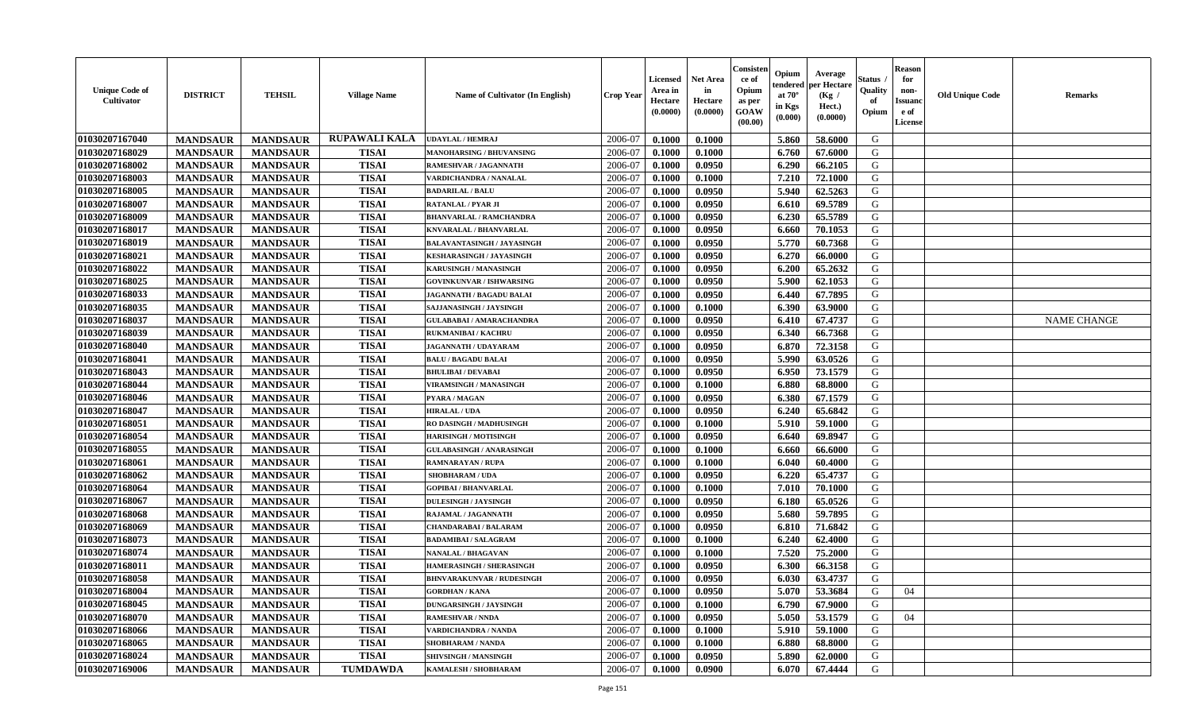| <b>Unique Code of</b><br><b>Cultivator</b> | <b>DISTRICT</b> | <b>TEHSIL</b>   | <b>Village Name</b> | Name of Cultivator (In English)  | <b>Crop Year</b> | <b>Licensed</b><br>Area in<br>Hectare<br>(0.0000) | <b>Net Area</b><br>in<br>Hectare<br>(0.0000) | Consisteı<br>ce of<br>Opium<br>as per<br><b>GOAW</b><br>(00.00) | Opium<br>endered<br>at $70^\circ$<br>in Kgs<br>$(\mathbf{0.000})$ | Average<br>per Hectare<br>(Kg /<br>Hect.)<br>(0.0000) | Status<br>Quality<br>of<br>Opium | Reason<br>for<br>non-<br>Issuan<br>e of<br><b>License</b> | <b>Old Unique Code</b> | <b>Remarks</b>     |
|--------------------------------------------|-----------------|-----------------|---------------------|----------------------------------|------------------|---------------------------------------------------|----------------------------------------------|-----------------------------------------------------------------|-------------------------------------------------------------------|-------------------------------------------------------|----------------------------------|-----------------------------------------------------------|------------------------|--------------------|
| 01030207167040                             | <b>MANDSAUR</b> | <b>MANDSAUR</b> | RUPAWALI KALA       | <b>UDAYLAL / HEMRAJ</b>          | 2006-07          | 0.1000                                            | 0.1000                                       |                                                                 | 5.860                                                             | 58.6000                                               | G                                |                                                           |                        |                    |
| 01030207168029                             | <b>MANDSAUR</b> | <b>MANDSAUR</b> | <b>TISAI</b>        | <b>MANOHARSING / BHUVANSING</b>  | 2006-07          | 0.1000                                            | 0.1000                                       |                                                                 | 6.760                                                             | 67.6000                                               | G                                |                                                           |                        |                    |
| 01030207168002                             | <b>MANDSAUR</b> | <b>MANDSAUR</b> | <b>TISAI</b>        | RAMESHVAR / JAGANNATH            | 2006-07          | 0.1000                                            | 0.0950                                       |                                                                 | 6.290                                                             | 66.2105                                               | G                                |                                                           |                        |                    |
| 01030207168003                             | <b>MANDSAUR</b> | <b>MANDSAUR</b> | <b>TISAI</b>        | VARDICHANDRA / NANALAL           | 2006-07          | 0.1000                                            | 0.1000                                       |                                                                 | 7.210                                                             | 72.1000                                               | G                                |                                                           |                        |                    |
| 01030207168005                             | <b>MANDSAUR</b> | <b>MANDSAUR</b> | <b>TISAI</b>        | <b>BADARILAL / BALU</b>          | 2006-07          | 0.1000                                            | 0.0950                                       |                                                                 | 5.940                                                             | 62.5263                                               | G                                |                                                           |                        |                    |
| 01030207168007                             | <b>MANDSAUR</b> | <b>MANDSAUR</b> | <b>TISAI</b>        | <b>RATANLAL / PYAR JI</b>        | 2006-07          | 0.1000                                            | 0.0950                                       |                                                                 | 6.610                                                             | 69.5789                                               | G                                |                                                           |                        |                    |
| 01030207168009                             | <b>MANDSAUR</b> | <b>MANDSAUR</b> | <b>TISAI</b>        | <b>BHANVARLAL / RAMCHANDRA</b>   | 2006-07          | 0.1000                                            | 0.0950                                       |                                                                 | 6.230                                                             | 65.5789                                               | G                                |                                                           |                        |                    |
| 01030207168017                             | <b>MANDSAUR</b> | <b>MANDSAUR</b> | <b>TISAI</b>        | KNVARALAL / BHANVARLAL           | 2006-07          | 0.1000                                            | 0.0950                                       |                                                                 | 6.660                                                             | 70.1053                                               | G                                |                                                           |                        |                    |
| 01030207168019                             | <b>MANDSAUR</b> | <b>MANDSAUR</b> | <b>TISAI</b>        | BALAVANTASINGH / JAYASINGH       | 2006-07          | 0.1000                                            | 0.0950                                       |                                                                 | 5.770                                                             | 60.7368                                               | G                                |                                                           |                        |                    |
| 01030207168021                             | <b>MANDSAUR</b> | <b>MANDSAUR</b> | <b>TISAI</b>        | KESHARASINGH / JAYASINGH         | 2006-07          | 0.1000                                            | 0.0950                                       |                                                                 | 6.270                                                             | 66.0000                                               | G                                |                                                           |                        |                    |
| 01030207168022                             | <b>MANDSAUR</b> | <b>MANDSAUR</b> | <b>TISAI</b>        | KARUSINGH / MANASINGH            | 2006-07          | 0.1000                                            | 0.0950                                       |                                                                 | 6.200                                                             | 65.2632                                               | G                                |                                                           |                        |                    |
| 01030207168025                             | <b>MANDSAUR</b> | <b>MANDSAUR</b> | <b>TISAI</b>        | <b>GOVINKUNVAR / ISHWARSING</b>  | 2006-07          | 0.1000                                            | 0.0950                                       |                                                                 | 5.900                                                             | 62.1053                                               | G                                |                                                           |                        |                    |
| 01030207168033                             | <b>MANDSAUR</b> | <b>MANDSAUR</b> | <b>TISAI</b>        | <b>JAGANNATH / BAGADU BALAI</b>  | 2006-07          | 0.1000                                            | 0.0950                                       |                                                                 | 6.440                                                             | 67.7895                                               | G                                |                                                           |                        |                    |
| 01030207168035                             | <b>MANDSAUR</b> | <b>MANDSAUR</b> | <b>TISAI</b>        | SAJJANASINGH / JAYSINGH          | 2006-07          | 0.1000                                            | 0.1000                                       |                                                                 | 6.390                                                             | 63.9000                                               | G                                |                                                           |                        |                    |
| 01030207168037                             | <b>MANDSAUR</b> | <b>MANDSAUR</b> | <b>TISAI</b>        | <b>GULABABAI / AMARACHANDRA</b>  | 2006-07          | 0.1000                                            | 0.0950                                       |                                                                 | 6.410                                                             | 67.4737                                               | G                                |                                                           |                        | <b>NAME CHANGE</b> |
| 01030207168039                             | <b>MANDSAUR</b> | <b>MANDSAUR</b> | <b>TISAI</b>        | <b>RUKMANIBAI/KACHRU</b>         | 2006-07          | 0.1000                                            | 0.0950                                       |                                                                 | 6.340                                                             | 66.7368                                               | G                                |                                                           |                        |                    |
| 01030207168040                             | <b>MANDSAUR</b> | <b>MANDSAUR</b> | <b>TISAI</b>        | JAGANNATH / UDAYARAM             | 2006-07          | 0.1000                                            | 0.0950                                       |                                                                 | 6.870                                                             | 72.3158                                               | G                                |                                                           |                        |                    |
| 01030207168041                             | <b>MANDSAUR</b> | <b>MANDSAUR</b> | <b>TISAI</b>        | <b>BALU / BAGADU BALAI</b>       | 2006-07          | 0.1000                                            | 0.0950                                       |                                                                 | 5.990                                                             | 63.0526                                               | G                                |                                                           |                        |                    |
| 01030207168043                             | <b>MANDSAUR</b> | <b>MANDSAUR</b> | <b>TISAI</b>        | <b>BHULIBAI / DEVABAI</b>        | 2006-07          | 0.1000                                            | 0.0950                                       |                                                                 | 6.950                                                             | 73.1579                                               | G                                |                                                           |                        |                    |
| 01030207168044                             | <b>MANDSAUR</b> | <b>MANDSAUR</b> | <b>TISAI</b>        | <b>VIRAMSINGH / MANASINGH</b>    | 2006-07          | 0.1000                                            | 0.1000                                       |                                                                 | 6.880                                                             | 68.8000                                               | G                                |                                                           |                        |                    |
| 01030207168046                             | <b>MANDSAUR</b> | <b>MANDSAUR</b> | <b>TISAI</b>        | PYARA / MAGAN                    | 2006-07          | 0.1000                                            | 0.0950                                       |                                                                 | 6.380                                                             | 67.1579                                               | G                                |                                                           |                        |                    |
| 01030207168047                             | <b>MANDSAUR</b> | <b>MANDSAUR</b> | <b>TISAI</b>        | <b>HIRALAL / UDA</b>             | 2006-07          | 0.1000                                            | 0.0950                                       |                                                                 | 6.240                                                             | 65.6842                                               | G                                |                                                           |                        |                    |
| 01030207168051                             | <b>MANDSAUR</b> | <b>MANDSAUR</b> | <b>TISAI</b>        | RO DASINGH / MADHUSINGH          | 2006-07          | 0.1000                                            | 0.1000                                       |                                                                 | 5.910                                                             | 59.1000                                               | G                                |                                                           |                        |                    |
| 01030207168054                             | <b>MANDSAUR</b> | <b>MANDSAUR</b> | <b>TISAI</b>        | <b>HARISINGH / MOTISINGH</b>     | 2006-07          | 0.1000                                            | 0.0950                                       |                                                                 | 6.640                                                             | 69.8947                                               | G                                |                                                           |                        |                    |
| 01030207168055                             | <b>MANDSAUR</b> | <b>MANDSAUR</b> | <b>TISAI</b>        | <b>GULABASINGH / ANARASINGH</b>  | 2006-07          | 0.1000                                            | 0.1000                                       |                                                                 | 6.660                                                             | 66.6000                                               | G                                |                                                           |                        |                    |
| 01030207168061                             | <b>MANDSAUR</b> | <b>MANDSAUR</b> | <b>TISAI</b>        | RAMNARAYAN / RUPA                | 2006-07          | 0.1000                                            | 0.1000                                       |                                                                 | 6.040                                                             | 60.4000                                               | G                                |                                                           |                        |                    |
| 01030207168062                             | <b>MANDSAUR</b> | <b>MANDSAUR</b> | <b>TISAI</b>        | <b>SHOBHARAM / UDA</b>           | 2006-07          | 0.1000                                            | 0.0950                                       |                                                                 | 6.220                                                             | 65.4737                                               | G                                |                                                           |                        |                    |
| 01030207168064                             | <b>MANDSAUR</b> | <b>MANDSAUR</b> | <b>TISAI</b>        | <b>GOPIBAI/BHANVARLAL</b>        | 2006-07          | 0.1000                                            | 0.1000                                       |                                                                 | 7.010                                                             | 70.1000                                               | G                                |                                                           |                        |                    |
| 01030207168067                             | <b>MANDSAUR</b> | <b>MANDSAUR</b> | <b>TISAI</b>        | <b>DULESINGH / JAYSINGH</b>      | 2006-07          | 0.1000                                            | 0.0950                                       |                                                                 | 6.180                                                             | 65.0526                                               | G                                |                                                           |                        |                    |
| 01030207168068                             | <b>MANDSAUR</b> | <b>MANDSAUR</b> | <b>TISAI</b>        | RAJAMAL / JAGANNATH              | 2006-07          | 0.1000                                            | 0.0950                                       |                                                                 | 5.680                                                             | 59.7895                                               | G                                |                                                           |                        |                    |
| 01030207168069                             | <b>MANDSAUR</b> | <b>MANDSAUR</b> | <b>TISAI</b>        | <b>CHANDARABAI / BALARAM</b>     | 2006-07          | 0.1000                                            | 0.0950                                       |                                                                 | 6.810                                                             | 71.6842                                               | G                                |                                                           |                        |                    |
| 01030207168073                             | <b>MANDSAUR</b> | <b>MANDSAUR</b> | <b>TISAI</b>        | <b>BADAMIBAI / SALAGRAM</b>      | 2006-07          | 0.1000                                            | 0.1000                                       |                                                                 | 6.240                                                             | 62.4000                                               | G                                |                                                           |                        |                    |
| 01030207168074                             | <b>MANDSAUR</b> | <b>MANDSAUR</b> | <b>TISAI</b>        | <b>NANALAL / BHAGAVAN</b>        | 2006-07          | 0.1000                                            | 0.1000                                       |                                                                 | 7.520                                                             | 75.2000                                               | G                                |                                                           |                        |                    |
| 01030207168011                             | <b>MANDSAUR</b> | <b>MANDSAUR</b> | <b>TISAI</b>        | <b>HAMERASINGH / SHERASINGH</b>  | 2006-07          | 0.1000                                            | 0.0950                                       |                                                                 | 6.300                                                             | 66.3158                                               | G                                |                                                           |                        |                    |
| 01030207168058                             | <b>MANDSAUR</b> | <b>MANDSAUR</b> | <b>TISAI</b>        | <b>BHNVARAKUNVAR / RUDESINGH</b> | 2006-07          | 0.1000                                            | 0.0950                                       |                                                                 | 6.030                                                             | 63.4737                                               | G                                |                                                           |                        |                    |
| 01030207168004                             | <b>MANDSAUR</b> | <b>MANDSAUR</b> | TISAI               | <b>GORDHAN / KANA</b>            | 2006-07          | 0.1000                                            | 0.0950                                       |                                                                 |                                                                   | $5.070$   53.3684                                     | G                                | 04                                                        |                        |                    |
| 01030207168045                             | <b>MANDSAUR</b> | <b>MANDSAUR</b> | <b>TISAI</b>        | <b>DUNGARSINGH / JAYSINGH</b>    | 2006-07          | 0.1000                                            | 0.1000                                       |                                                                 | 6.790                                                             | 67.9000                                               | G                                |                                                           |                        |                    |
| <b>01030207168070</b>                      | <b>MANDSAUR</b> | <b>MANDSAUR</b> | <b>TISAI</b>        | <b>RAMESHVAR / NNDA</b>          | 2006-07          | 0.1000                                            | 0.0950                                       |                                                                 | 5.050                                                             | 53.1579                                               | G                                | 04                                                        |                        |                    |
| 01030207168066                             | <b>MANDSAUR</b> | <b>MANDSAUR</b> | <b>TISAI</b>        | <b>VARDICHANDRA / NANDA</b>      | 2006-07          | 0.1000                                            | 0.1000                                       |                                                                 | 5.910                                                             | 59.1000                                               | G                                |                                                           |                        |                    |
| 01030207168065                             | <b>MANDSAUR</b> | <b>MANDSAUR</b> | <b>TISAI</b>        | <b>SHOBHARAM / NANDA</b>         | 2006-07          | 0.1000                                            | 0.1000                                       |                                                                 | 6.880                                                             | 68.8000                                               | G                                |                                                           |                        |                    |
| 01030207168024                             | <b>MANDSAUR</b> | <b>MANDSAUR</b> | <b>TISAI</b>        | SHIVSINGH / MANSINGH             | 2006-07          | 0.1000                                            | 0.0950                                       |                                                                 | 5.890                                                             | 62.0000                                               | G                                |                                                           |                        |                    |
| 01030207169006                             | <b>MANDSAUR</b> | <b>MANDSAUR</b> | <b>TUMDAWDA</b>     | KAMALESH / SHOBHARAM             | 2006-07          | 0.1000                                            | 0.0900                                       |                                                                 | 6.070                                                             | 67.4444                                               | G                                |                                                           |                        |                    |